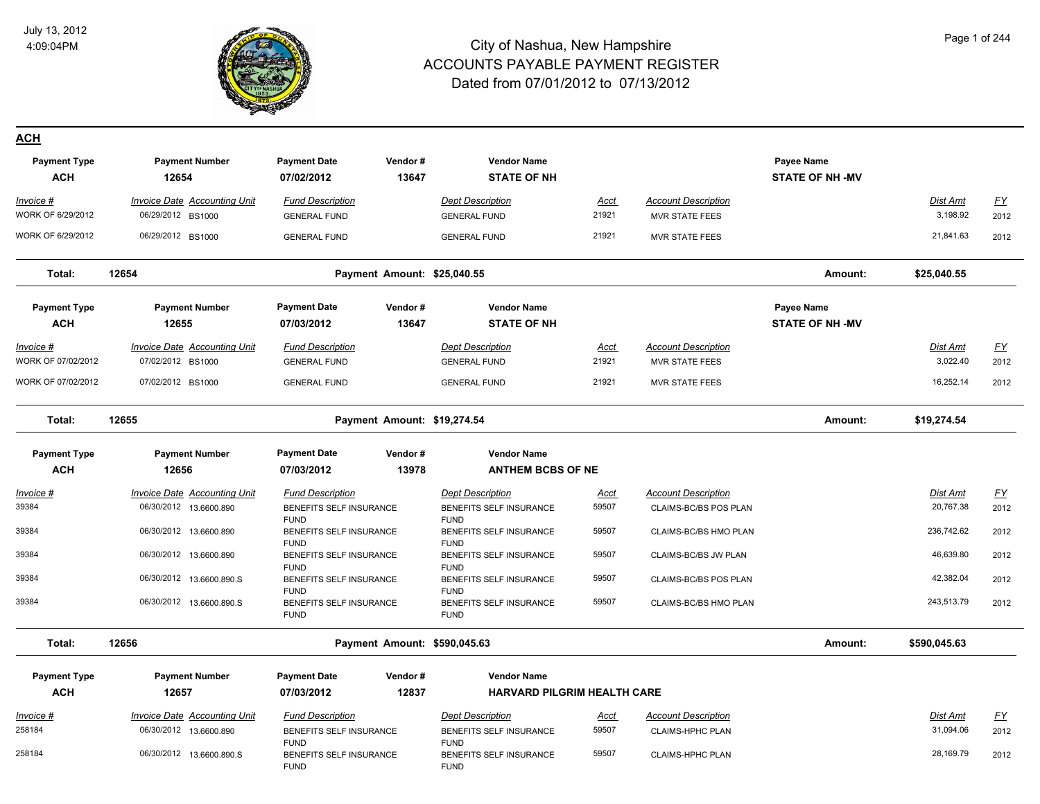

FUND

FUND

#### City of Nashua, New Hampshire ACCOUNTS PAYABLE PAYMENT REGISTER Dated from 07/01/2012 to 07/13/2012

#### Page 1 of 244

**ACH**

| <b>Payment Type</b><br><b>ACH</b> | <b>Payment Number</b><br>12654      | <b>Payment Date</b><br>07/02/2012      | Vendor#<br>13647             | <b>Vendor Name</b><br><b>STATE OF NH</b> |             |                            | Payee Name<br><b>STATE OF NH -MV</b> |                 |           |
|-----------------------------------|-------------------------------------|----------------------------------------|------------------------------|------------------------------------------|-------------|----------------------------|--------------------------------------|-----------------|-----------|
| Invoice #                         | Invoice Date Accounting Unit        | <b>Fund Description</b>                |                              | <b>Dept Description</b>                  | Acct        | <b>Account Description</b> |                                      | Dist Amt        | <u>FY</u> |
| WORK OF 6/29/2012                 | 06/29/2012 BS1000                   | <b>GENERAL FUND</b>                    |                              | <b>GENERAL FUND</b>                      | 21921       | <b>MVR STATE FEES</b>      |                                      | 3,198.92        | 2012      |
| WORK OF 6/29/2012                 | 06/29/2012 BS1000                   | <b>GENERAL FUND</b>                    |                              | <b>GENERAL FUND</b>                      | 21921       | <b>MVR STATE FEES</b>      |                                      | 21,841.63       | 2012      |
| Total:                            | 12654                               |                                        | Payment Amount: \$25,040.55  |                                          |             |                            | Amount:                              | \$25,040.55     |           |
| <b>Payment Type</b><br><b>ACH</b> | <b>Payment Number</b><br>12655      | <b>Payment Date</b><br>07/03/2012      | Vendor#<br>13647             | <b>Vendor Name</b><br><b>STATE OF NH</b> |             |                            | Payee Name<br><b>STATE OF NH -MV</b> |                 |           |
| <u>Invoice #</u>                  | <b>Invoice Date Accounting Unit</b> | <b>Fund Description</b>                |                              | <b>Dept Description</b>                  | <u>Acct</u> | <b>Account Description</b> |                                      | <b>Dist Amt</b> | <u>FY</u> |
| WORK OF 07/02/2012                | 07/02/2012 BS1000                   | <b>GENERAL FUND</b>                    |                              | <b>GENERAL FUND</b>                      | 21921       | MVR STATE FEES             |                                      | 3,022.40        | 2012      |
| WORK OF 07/02/2012                | 07/02/2012 BS1000                   | <b>GENERAL FUND</b>                    |                              | <b>GENERAL FUND</b>                      | 21921       | <b>MVR STATE FEES</b>      |                                      | 16,252.14       | 2012      |
| Total:                            | 12655                               |                                        | Payment Amount: \$19,274.54  |                                          |             |                            | Amount:                              | \$19,274.54     |           |
| <b>Payment Type</b>               | <b>Payment Number</b>               | <b>Payment Date</b>                    | Vendor#                      | <b>Vendor Name</b>                       |             |                            |                                      |                 |           |
| <b>ACH</b>                        | 12656                               | 07/03/2012                             | 13978                        | <b>ANTHEM BCBS OF NE</b>                 |             |                            |                                      |                 |           |
| Invoice #                         | Invoice Date Accounting Unit        | <b>Fund Description</b>                |                              | <b>Dept Description</b>                  | <b>Acct</b> | <b>Account Description</b> |                                      | Dist Amt        | <u>FY</u> |
| 39384                             | 06/30/2012 13.6600.890              | BENEFITS SELF INSURANCE                |                              | BENEFITS SELF INSURANCE                  | 59507       | CLAIMS-BC/BS POS PLAN      |                                      | 20,767.38       | 2012      |
|                                   |                                     | <b>FUND</b>                            |                              | <b>FUND</b>                              |             |                            |                                      |                 |           |
| 39384                             | 06/30/2012 13.6600.890              | BENEFITS SELF INSURANCE<br><b>FUND</b> |                              | BENEFITS SELF INSURANCE<br><b>FUND</b>   | 59507       | CLAIMS-BC/BS HMO PLAN      |                                      | 236,742.62      | 2012      |
| 39384                             | 06/30/2012 13.6600.890              | BENEFITS SELF INSURANCE                |                              | BENEFITS SELF INSURANCE                  | 59507       | CLAIMS-BC/BS JW PLAN       |                                      | 46,639.80       | 2012      |
| 39384                             |                                     | <b>FUND</b>                            |                              | <b>FUND</b>                              | 59507       |                            |                                      | 42,382.04       |           |
|                                   | 06/30/2012 13.6600.890.S            | BENEFITS SELF INSURANCE<br><b>FUND</b> |                              | BENEFITS SELF INSURANCE<br><b>FUND</b>   |             | CLAIMS-BC/BS POS PLAN      |                                      |                 | 2012      |
| 39384                             | 06/30/2012 13.6600.890.S            | BENEFITS SELF INSURANCE<br><b>FUND</b> |                              | BENEFITS SELF INSURANCE<br><b>FUND</b>   | 59507       | CLAIMS-BC/BS HMO PLAN      |                                      | 243,513.79      | 2012      |
| Total:                            | 12656                               |                                        | Payment Amount: \$590,045.63 |                                          |             |                            | Amount:                              | \$590,045.63    |           |
| <b>Payment Type</b>               | <b>Payment Number</b>               | <b>Payment Date</b>                    | Vendor#                      | <b>Vendor Name</b>                       |             |                            |                                      |                 |           |
| <b>ACH</b>                        | 12657                               | 07/03/2012                             | 12837                        | <b>HARVARD PILGRIM HEALTH CARE</b>       |             |                            |                                      |                 |           |
| Invoice #                         | Invoice Date Accounting Unit        | <b>Fund Description</b>                |                              | <b>Dept Description</b>                  | Acct        | <b>Account Description</b> |                                      | Dist Amt        | <u>FY</u> |
| 258184                            | 06/30/2012 13.6600.890              | BENEFITS SELF INSURANCE                |                              | BENEFITS SELF INSURANCE                  | 59507       | <b>CLAIMS-HPHC PLAN</b>    |                                      | 31,094.06       | 2012      |

FUND

FUND

06/30/2012 13.6600.890.S BENEFITS SELF INSURANCE 2012 258184 59507 CLAIMS-HPHC PLAN 28,169.79

BENEFITS SELF INSURANCE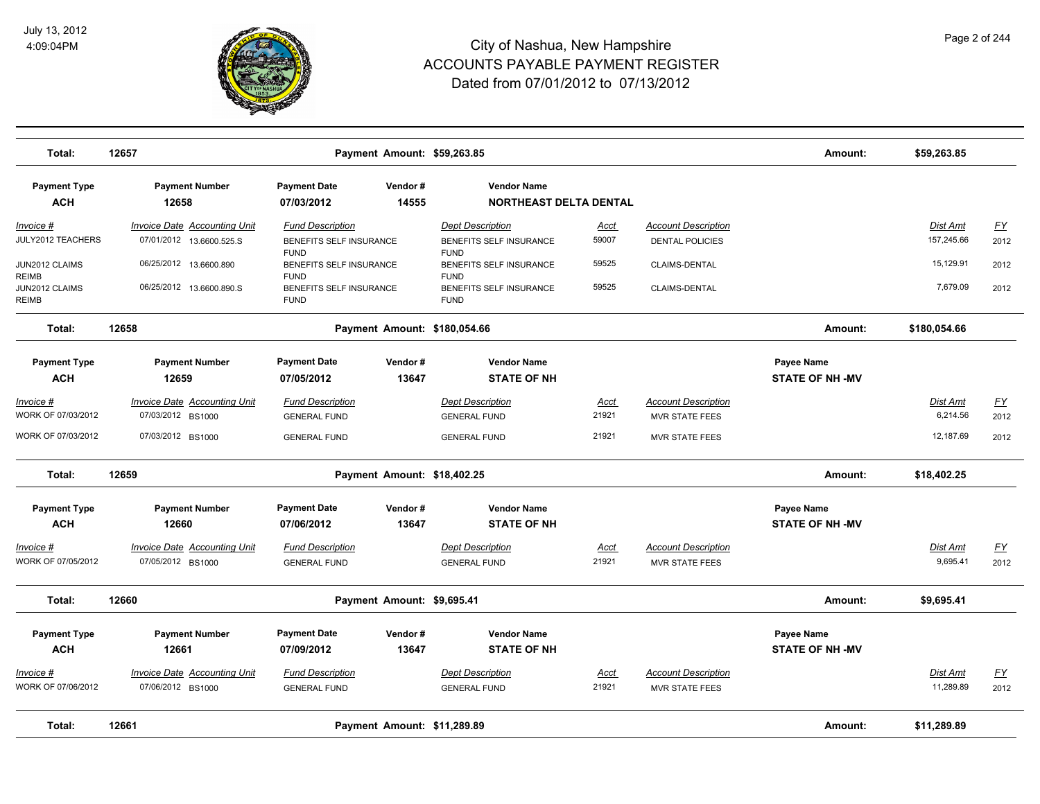

| Total:                                  | 12657                                                           |                                                       | Payment Amount: \$59,263.85  |                                                       |                      |                                                      | Amount:                                     | \$59,263.85                   |                   |
|-----------------------------------------|-----------------------------------------------------------------|-------------------------------------------------------|------------------------------|-------------------------------------------------------|----------------------|------------------------------------------------------|---------------------------------------------|-------------------------------|-------------------|
| <b>Payment Type</b><br><b>ACH</b>       | <b>Payment Number</b><br>12658                                  | <b>Payment Date</b><br>07/03/2012                     | Vendor#<br>14555             | <b>Vendor Name</b><br><b>NORTHEAST DELTA DENTAL</b>   |                      |                                                      |                                             |                               |                   |
| $Invoice$ #<br>JULY2012 TEACHERS        | <b>Invoice Date Accounting Unit</b><br>07/01/2012 13.6600.525.S | <b>Fund Description</b><br>BENEFITS SELF INSURANCE    |                              | <b>Dept Description</b><br>BENEFITS SELF INSURANCE    | <u>Acct</u><br>59007 | <b>Account Description</b><br><b>DENTAL POLICIES</b> |                                             | <b>Dist Amt</b><br>157,245.66 | <u>FY</u><br>2012 |
| JUN2012 CLAIMS<br>REIMB                 | 06/25/2012 13.6600.890                                          | <b>FUND</b><br>BENEFITS SELF INSURANCE<br><b>FUND</b> |                              | <b>FUND</b><br>BENEFITS SELF INSURANCE<br><b>FUND</b> | 59525                | CLAIMS-DENTAL                                        |                                             | 15,129.91                     | 2012              |
| JUN2012 CLAIMS<br>REIMB                 | 06/25/2012 13.6600.890.S                                        | BENEFITS SELF INSURANCE<br><b>FUND</b>                |                              | BENEFITS SELF INSURANCE<br><b>FUND</b>                | 59525                | CLAIMS-DENTAL                                        |                                             | 7,679.09                      | 2012              |
| Total:                                  | 12658                                                           |                                                       | Payment Amount: \$180,054.66 |                                                       |                      |                                                      | Amount:                                     | \$180,054.66                  |                   |
| <b>Payment Type</b><br><b>ACH</b>       | <b>Payment Number</b><br>12659                                  | <b>Payment Date</b><br>07/05/2012                     | Vendor#<br>13647             | <b>Vendor Name</b><br><b>STATE OF NH</b>              |                      |                                                      | Payee Name<br><b>STATE OF NH -MV</b>        |                               |                   |
| Invoice #<br>WORK OF 07/03/2012         | <b>Invoice Date Accounting Unit</b><br>07/03/2012 BS1000        | <b>Fund Description</b><br><b>GENERAL FUND</b>        |                              | <b>Dept Description</b><br><b>GENERAL FUND</b>        | Acct<br>21921        | <b>Account Description</b><br><b>MVR STATE FEES</b>  |                                             | Dist Amt<br>6,214.56          | EY<br>2012        |
| WORK OF 07/03/2012                      | 07/03/2012 BS1000                                               | <b>GENERAL FUND</b>                                   |                              | <b>GENERAL FUND</b>                                   | 21921                | MVR STATE FEES                                       |                                             | 12,187.69                     | 2012              |
| Total:                                  | 12659                                                           |                                                       | Payment Amount: \$18,402.25  |                                                       |                      |                                                      | Amount:                                     | \$18,402.25                   |                   |
| <b>Payment Type</b><br><b>ACH</b>       | <b>Payment Number</b><br>12660                                  | <b>Payment Date</b><br>07/06/2012                     | Vendor#<br>13647             | <b>Vendor Name</b><br><b>STATE OF NH</b>              |                      |                                                      | <b>Payee Name</b><br><b>STATE OF NH -MV</b> |                               |                   |
| Invoice #<br>WORK OF 07/05/2012         | <b>Invoice Date Accounting Unit</b><br>07/05/2012 BS1000        | <b>Fund Description</b><br><b>GENERAL FUND</b>        |                              | <b>Dept Description</b><br><b>GENERAL FUND</b>        | Acct<br>21921        | <b>Account Description</b><br><b>MVR STATE FEES</b>  |                                             | Dist Amt<br>9,695.41          | EY<br>2012        |
| Total:                                  | 12660                                                           |                                                       | Payment Amount: \$9,695.41   |                                                       |                      |                                                      | Amount:                                     | \$9,695.41                    |                   |
| <b>Payment Type</b><br><b>ACH</b>       | <b>Payment Number</b><br>12661                                  | <b>Payment Date</b><br>07/09/2012                     | Vendor#<br>13647             | <b>Vendor Name</b><br><b>STATE OF NH</b>              |                      |                                                      | <b>Payee Name</b><br><b>STATE OF NH -MV</b> |                               |                   |
| <u> Invoice #</u><br>WORK OF 07/06/2012 | <b>Invoice Date Accounting Unit</b><br>07/06/2012 BS1000        | <b>Fund Description</b><br><b>GENERAL FUND</b>        |                              | <b>Dept Description</b><br><b>GENERAL FUND</b>        | <u>Acct</u><br>21921 | <b>Account Description</b><br>MVR STATE FEES         |                                             | Dist Amt<br>11,289.89         | <u>FY</u><br>2012 |
| Total:                                  | 12661                                                           |                                                       | Payment Amount: \$11,289.89  |                                                       |                      |                                                      | Amount:                                     | \$11,289.89                   |                   |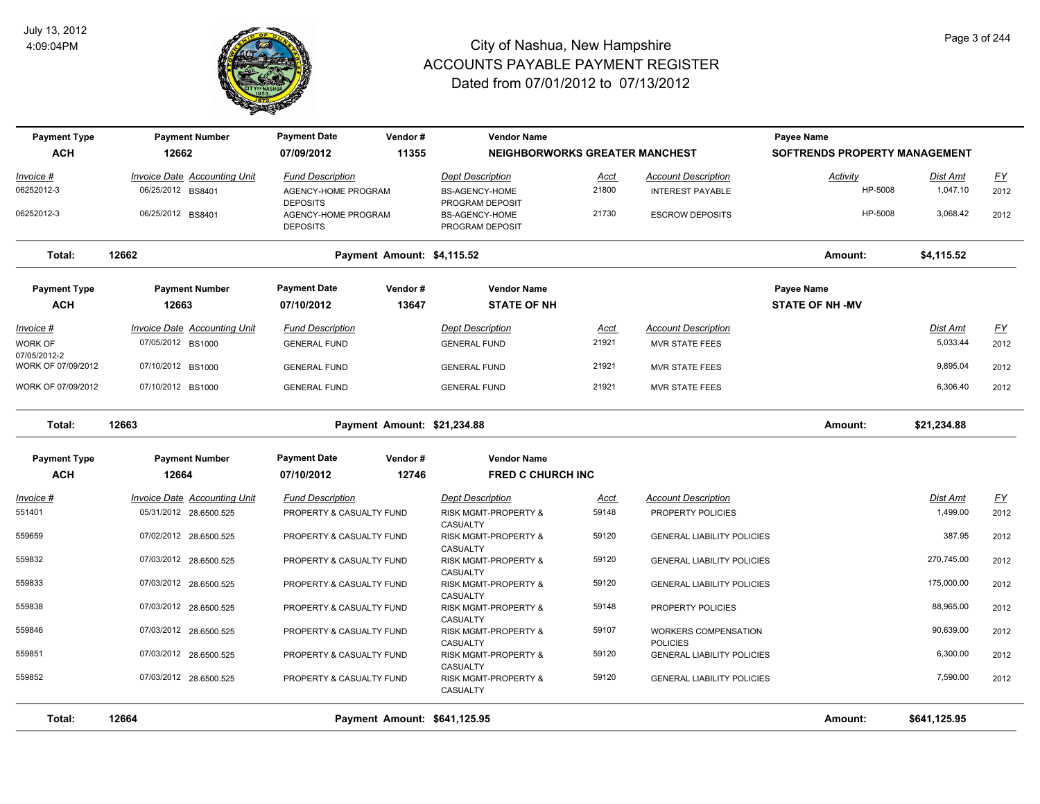

| <b>Payment Type</b>                | <b>Payment Number</b>               | <b>Payment Date</b>                    | Vendor#                      | <b>Vendor Name</b>                           |             |                                         | Payee Name                    |                 |                  |
|------------------------------------|-------------------------------------|----------------------------------------|------------------------------|----------------------------------------------|-------------|-----------------------------------------|-------------------------------|-----------------|------------------|
| <b>ACH</b>                         | 12662                               | 07/09/2012                             | 11355                        | <b>NEIGHBORWORKS GREATER MANCHEST</b>        |             |                                         | SOFTRENDS PROPERTY MANAGEMENT |                 |                  |
| Invoice #                          | <b>Invoice Date Accounting Unit</b> | <b>Fund Description</b>                |                              | <b>Dept Description</b>                      | <b>Acct</b> | <b>Account Description</b>              | Activity                      | Dist Amt        | $\underline{FY}$ |
| 06252012-3                         | 06/25/2012 BS8401                   | AGENCY-HOME PROGRAM<br><b>DEPOSITS</b> |                              | <b>BS-AGENCY-HOME</b><br>PROGRAM DEPOSIT     | 21800       | <b>INTEREST PAYABLE</b>                 | HP-5008                       | 1,047.10        | 2012             |
| 06252012-3                         | 06/25/2012 BS8401                   | AGENCY-HOME PROGRAM<br><b>DEPOSITS</b> |                              | BS-AGENCY-HOME<br>PROGRAM DEPOSIT            | 21730       | <b>ESCROW DEPOSITS</b>                  | HP-5008                       | 3,068.42        | 2012             |
| Total:                             | 12662                               |                                        | Payment Amount: \$4,115.52   |                                              |             |                                         | Amount:                       | \$4,115.52      |                  |
| <b>Payment Type</b>                | <b>Payment Number</b>               | <b>Payment Date</b>                    | Vendor#                      | <b>Vendor Name</b>                           |             |                                         | Payee Name                    |                 |                  |
| <b>ACH</b>                         | 12663                               | 07/10/2012                             | 13647                        | <b>STATE OF NH</b>                           |             |                                         | <b>STATE OF NH -MV</b>        |                 |                  |
| <u> Invoice #</u>                  | <b>Invoice Date Accounting Unit</b> | <b>Fund Description</b>                |                              | <b>Dept Description</b>                      | <b>Acct</b> | <b>Account Description</b>              |                               | <b>Dist Amt</b> | EY               |
| <b>WORK OF</b>                     | 07/05/2012 BS1000                   | <b>GENERAL FUND</b>                    |                              | <b>GENERAL FUND</b>                          | 21921       | <b>MVR STATE FEES</b>                   |                               | 5,033.44        | 2012             |
| 07/05/2012-2<br>WORK OF 07/09/2012 | 07/10/2012 BS1000                   | <b>GENERAL FUND</b>                    |                              | <b>GENERAL FUND</b>                          | 21921       | <b>MVR STATE FEES</b>                   |                               | 9,895.04        | 2012             |
| WORK OF 07/09/2012                 | 07/10/2012 BS1000                   | <b>GENERAL FUND</b>                    |                              | <b>GENERAL FUND</b>                          | 21921       | <b>MVR STATE FEES</b>                   |                               | 6,306.40        | 2012             |
| Total:                             | 12663                               |                                        | Payment Amount: \$21,234.88  |                                              |             |                                         | Amount:                       | \$21,234.88     |                  |
| <b>Payment Type</b>                | <b>Payment Number</b>               | <b>Payment Date</b>                    | Vendor#                      | <b>Vendor Name</b>                           |             |                                         |                               |                 |                  |
| <b>ACH</b>                         | 12664                               | 07/10/2012                             | 12746                        | <b>FRED C CHURCH INC</b>                     |             |                                         |                               |                 |                  |
| Invoice #                          | Invoice Date Accounting Unit        | <b>Fund Description</b>                |                              | <b>Dept Description</b>                      | <u>Acct</u> | <b>Account Description</b>              |                               | Dist Amt        | $\underline{FY}$ |
| 551401                             | 05/31/2012 28.6500.525              | PROPERTY & CASUALTY FUND               |                              | RISK MGMT-PROPERTY &<br>CASUALTY             | 59148       | PROPERTY POLICIES                       |                               | 1,499.00        | 2012             |
| 559659                             | 07/02/2012 28.6500.525              | PROPERTY & CASUALTY FUND               |                              | RISK MGMT-PROPERTY &<br>CASUALTY             | 59120       | <b>GENERAL LIABILITY POLICIES</b>       |                               | 387.95          | 2012             |
| 559832                             | 07/03/2012 28.6500.525              | PROPERTY & CASUALTY FUND               |                              | RISK MGMT-PROPERTY &<br>CASUALTY             | 59120       | <b>GENERAL LIABILITY POLICIES</b>       |                               | 270,745.00      | 2012             |
| 559833                             | 07/03/2012 28.6500.525              | PROPERTY & CASUALTY FUND               |                              | <b>RISK MGMT-PROPERTY &amp;</b>              | 59120       | <b>GENERAL LIABILITY POLICIES</b>       |                               | 175,000.00      | 2012             |
| 559838                             | 07/03/2012 28.6500.525              | PROPERTY & CASUALTY FUND               |                              | CASUALTY<br><b>RISK MGMT-PROPERTY &amp;</b>  | 59148       | PROPERTY POLICIES                       |                               | 88,965.00       | 2012             |
| 559846                             | 07/03/2012 28.6500.525              | PROPERTY & CASUALTY FUND               |                              | CASUALTY<br>RISK MGMT-PROPERTY &<br>CASUALTY | 59107       | WORKERS COMPENSATION<br><b>POLICIES</b> |                               | 90,639.00       | 2012             |
| 559851                             | 07/03/2012 28.6500.525              | PROPERTY & CASUALTY FUND               |                              | <b>RISK MGMT-PROPERTY &amp;</b><br>CASUALTY  | 59120       | <b>GENERAL LIABILITY POLICIES</b>       |                               | 6,300.00        | 2012             |
| 559852                             | 07/03/2012 28.6500.525              | PROPERTY & CASUALTY FUND               |                              | <b>RISK MGMT-PROPERTY &amp;</b><br>CASUALTY  | 59120       | <b>GENERAL LIABILITY POLICIES</b>       |                               | 7,590.00        | 2012             |
| Total:                             | 12664                               |                                        | Payment Amount: \$641,125.95 |                                              |             |                                         | Amount:                       | \$641,125.95    |                  |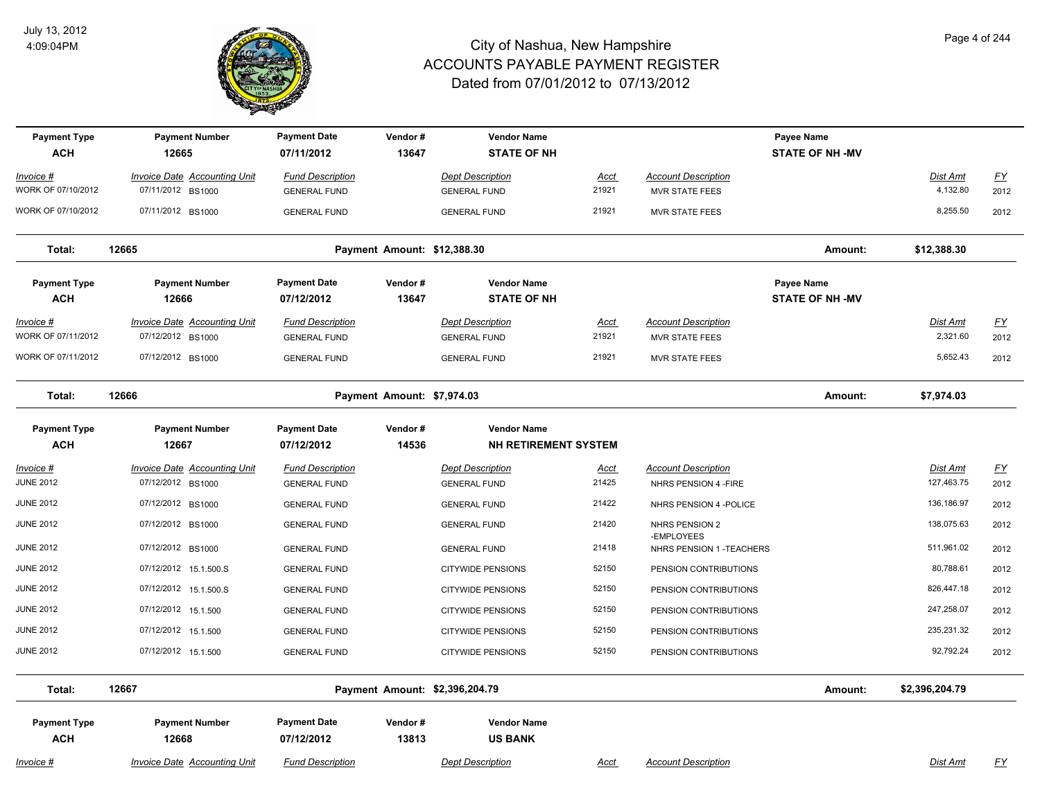

| <b>Payment Type</b><br><b>ACH</b> | <b>Payment Number</b><br>12665      | <b>Payment Date</b><br>07/11/2012 | Vendor#<br>13647            | <b>Vendor Name</b><br><b>STATE OF NH</b> |       |                              | Payee Name<br><b>STATE OF NH -MV</b> |                 |                  |
|-----------------------------------|-------------------------------------|-----------------------------------|-----------------------------|------------------------------------------|-------|------------------------------|--------------------------------------|-----------------|------------------|
| Invoice #                         | <b>Invoice Date Accounting Unit</b> | <b>Fund Description</b>           |                             | <b>Dept Description</b>                  | Acct  | <b>Account Description</b>   |                                      | Dist Amt        | $\underline{FY}$ |
| WORK OF 07/10/2012                | 07/11/2012 BS1000                   | <b>GENERAL FUND</b>               |                             | <b>GENERAL FUND</b>                      | 21921 | <b>MVR STATE FEES</b>        |                                      | 4,132.80        | 2012             |
| WORK OF 07/10/2012                | 07/11/2012 BS1000                   | <b>GENERAL FUND</b>               |                             | <b>GENERAL FUND</b>                      | 21921 | <b>MVR STATE FEES</b>        |                                      | 8,255.50        | 2012             |
| Total:                            | 12665                               |                                   | Payment Amount: \$12,388.30 |                                          |       |                              | Amount:                              | \$12,388.30     |                  |
| <b>Payment Type</b>               | <b>Payment Number</b>               | <b>Payment Date</b>               | Vendor#                     | <b>Vendor Name</b>                       |       |                              | Payee Name                           |                 |                  |
| <b>ACH</b>                        | 12666                               | 07/12/2012                        | 13647                       | <b>STATE OF NH</b>                       |       |                              | <b>STATE OF NH -MV</b>               |                 |                  |
| <u> Invoice #</u>                 | <b>Invoice Date Accounting Unit</b> | <b>Fund Description</b>           |                             | <b>Dept Description</b>                  | Acct  | <b>Account Description</b>   |                                      | <u>Dist Amt</u> | <u>FY</u>        |
| WORK OF 07/11/2012                | 07/12/2012 BS1000                   | <b>GENERAL FUND</b>               |                             | <b>GENERAL FUND</b>                      | 21921 | <b>MVR STATE FEES</b>        |                                      | 2,321.60        | 2012             |
| WORK OF 07/11/2012                | 07/12/2012 BS1000                   | <b>GENERAL FUND</b>               |                             | <b>GENERAL FUND</b>                      | 21921 | <b>MVR STATE FEES</b>        |                                      | 5,652.43        | 2012             |
| Total:                            | 12666                               |                                   | Payment Amount: \$7,974.03  |                                          |       |                              | Amount:                              | \$7,974.03      |                  |
| <b>Payment Type</b>               | <b>Payment Number</b>               | <b>Payment Date</b>               | Vendor#                     | <b>Vendor Name</b>                       |       |                              |                                      |                 |                  |
| <b>ACH</b>                        | 12667                               | 07/12/2012                        | 14536                       | <b>NH RETIREMENT SYSTEM</b>              |       |                              |                                      |                 |                  |
| Invoice #                         | <b>Invoice Date Accounting Unit</b> | <b>Fund Description</b>           |                             | <b>Dept Description</b>                  | Acct  | <b>Account Description</b>   |                                      | Dist Amt        | $\underline{FY}$ |
| <b>JUNE 2012</b>                  | 07/12/2012 BS1000                   | <b>GENERAL FUND</b>               |                             | <b>GENERAL FUND</b>                      | 21425 | NHRS PENSION 4 - FIRE        |                                      | 127,463.75      | 2012             |
| <b>JUNE 2012</b>                  | 07/12/2012 BS1000                   | <b>GENERAL FUND</b>               |                             | <b>GENERAL FUND</b>                      | 21422 | NHRS PENSION 4 - POLICE      |                                      | 136,186.97      | 2012             |
| <b>JUNE 2012</b>                  | 07/12/2012 BS1000                   | <b>GENERAL FUND</b>               |                             | <b>GENERAL FUND</b>                      | 21420 | NHRS PENSION 2<br>-EMPLOYEES |                                      | 138,075.63      | 2012             |
| <b>JUNE 2012</b>                  | 07/12/2012 BS1000                   | <b>GENERAL FUND</b>               |                             | <b>GENERAL FUND</b>                      | 21418 | NHRS PENSION 1 - TEACHERS    |                                      | 511,961.02      | 2012             |
| <b>JUNE 2012</b>                  | 07/12/2012 15.1.500.S               | <b>GENERAL FUND</b>               |                             | <b>CITYWIDE PENSIONS</b>                 | 52150 | PENSION CONTRIBUTIONS        |                                      | 80,788.61       | 2012             |
| <b>JUNE 2012</b>                  | 07/12/2012 15.1.500.S               | <b>GENERAL FUND</b>               |                             | <b>CITYWIDE PENSIONS</b>                 | 52150 | PENSION CONTRIBUTIONS        |                                      | 826,447.18      | 2012             |
| <b>JUNE 2012</b>                  | 07/12/2012 15.1.500                 | <b>GENERAL FUND</b>               |                             | <b>CITYWIDE PENSIONS</b>                 | 52150 | PENSION CONTRIBUTIONS        |                                      | 247,258.07      | 2012             |
| <b>JUNE 2012</b>                  | 07/12/2012 15.1.500                 | <b>GENERAL FUND</b>               |                             | <b>CITYWIDE PENSIONS</b>                 | 52150 | PENSION CONTRIBUTIONS        |                                      | 235,231.32      | 2012             |
| <b>JUNE 2012</b>                  | 07/12/2012 15.1.500                 | <b>GENERAL FUND</b>               |                             | <b>CITYWIDE PENSIONS</b>                 | 52150 | PENSION CONTRIBUTIONS        |                                      | 92,792.24       | 2012             |
| Total:                            | 12667                               |                                   |                             | Payment Amount: \$2,396,204.79           |       |                              | Amount:                              | \$2,396,204.79  |                  |
| <b>Payment Type</b>               | <b>Payment Number</b>               | <b>Payment Date</b>               | Vendor#                     | <b>Vendor Name</b>                       |       |                              |                                      |                 |                  |
| <b>ACH</b>                        | 12668                               | 07/12/2012                        | 13813                       | <b>US BANK</b>                           |       |                              |                                      |                 |                  |
| Invoice #                         | <b>Invoice Date Accounting Unit</b> | <b>Fund Description</b>           |                             | <b>Dept Description</b>                  | Acct  | <b>Account Description</b>   |                                      | Dist Amt        | <u>FY</u>        |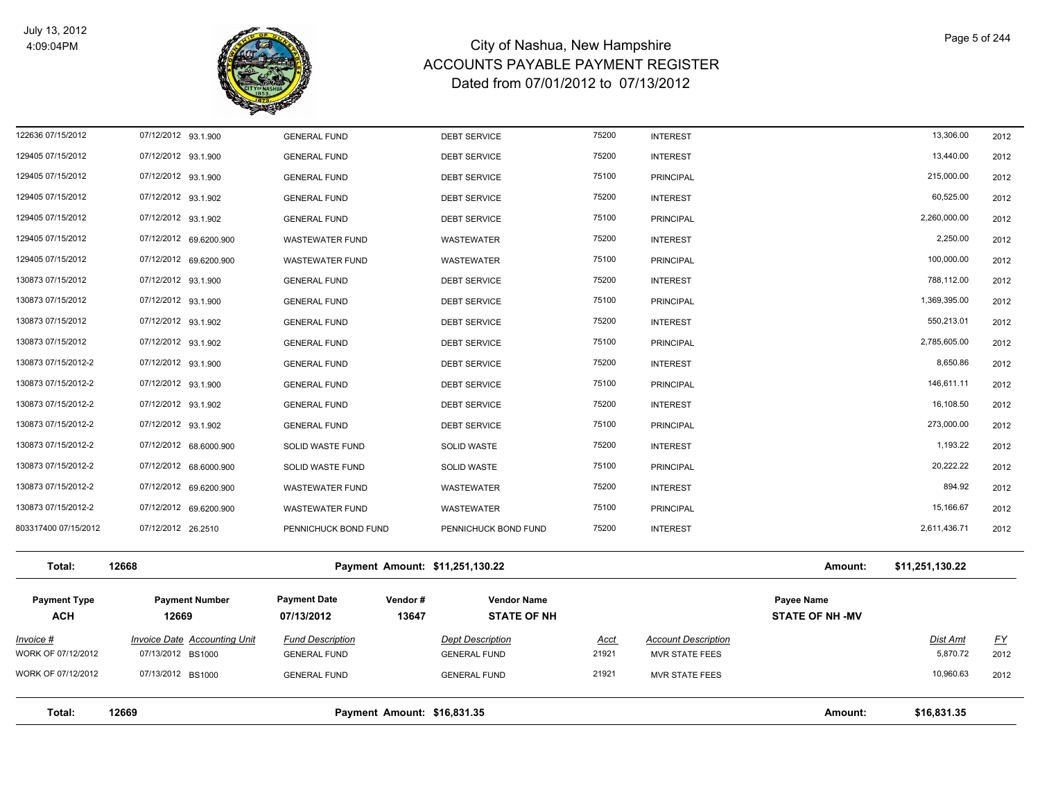

| Total:                            | 12669                                                    | Payment Amount: \$16,831.35                           |                                                |                      |                                                     | Amount:                              | \$16,831.35                 |                   |
|-----------------------------------|----------------------------------------------------------|-------------------------------------------------------|------------------------------------------------|----------------------|-----------------------------------------------------|--------------------------------------|-----------------------------|-------------------|
| WORK OF 07/12/2012                | 07/13/2012 BS1000                                        | <b>GENERAL FUND</b>                                   | <b>GENERAL FUND</b>                            | 21921                | <b>MVR STATE FEES</b>                               |                                      | 10,960.63                   | 2012              |
| Invoice #<br>WORK OF 07/12/2012   | <b>Invoice Date Accounting Unit</b><br>07/13/2012 BS1000 | <b>Fund Description</b><br><b>GENERAL FUND</b>        | <b>Dept Description</b><br><b>GENERAL FUND</b> | <b>Acct</b><br>21921 | <b>Account Description</b><br><b>MVR STATE FEES</b> |                                      | <b>Dist Amt</b><br>5,870.72 | <u>FY</u><br>2012 |
| <b>Payment Type</b><br><b>ACH</b> | <b>Payment Number</b><br>12669                           | <b>Payment Date</b><br>Vendor#<br>13647<br>07/13/2012 | <b>Vendor Name</b><br><b>STATE OF NH</b>       |                      |                                                     | Payee Name<br><b>STATE OF NH -MV</b> |                             |                   |
| Total:                            | 12668                                                    | Payment Amount: \$11,251,130.22                       |                                                |                      |                                                     | Amount:                              | \$11,251,130.22             |                   |
| 803317400 07/15/2012              | 07/12/2012 26.2510                                       | PENNICHUCK BOND FUND                                  | PENNICHUCK BOND FUND                           | 75200                | <b>INTEREST</b>                                     |                                      | 2,611,436.71                | 2012              |
| 130873 07/15/2012-2               | 07/12/2012 69.6200.900                                   | <b>WASTEWATER FUND</b>                                | WASTEWATER                                     | 75100                | <b>PRINCIPAL</b>                                    |                                      | 15,166.67                   | 2012              |
| 130873 07/15/2012-2               | 07/12/2012 69.6200.900                                   | <b>WASTEWATER FUND</b>                                | WASTEWATER                                     | 75200                | <b>INTEREST</b>                                     |                                      | 894.92                      | 2012              |
| 130873 07/15/2012-2               | 07/12/2012 68.6000.900                                   | SOLID WASTE FUND                                      | <b>SOLID WASTE</b>                             | 75100                | <b>PRINCIPAL</b>                                    |                                      | 20,222.22                   | 2012              |
| 130873 07/15/2012-2               | 07/12/2012 68.6000.900                                   | SOLID WASTE FUND                                      | SOLID WASTE                                    | 75200                | <b>INTEREST</b>                                     |                                      | 1,193.22                    | 2012              |
| 130873 07/15/2012-2               | 07/12/2012 93.1.902                                      | <b>GENERAL FUND</b>                                   | <b>DEBT SERVICE</b>                            | 75100                | <b>PRINCIPAL</b>                                    |                                      | 273,000.00                  | 2012              |
| 130873 07/15/2012-2               | 07/12/2012 93.1.902                                      | <b>GENERAL FUND</b>                                   | <b>DEBT SERVICE</b>                            | 75200                | <b>INTEREST</b>                                     |                                      | 16,108.50                   | 2012              |
| 130873 07/15/2012-2               | 07/12/2012 93.1.900                                      | <b>GENERAL FUND</b>                                   | <b>DEBT SERVICE</b>                            | 75100                | <b>PRINCIPAL</b>                                    |                                      | 146,611.11                  | 2012              |
| 130873 07/15/2012-2               | 07/12/2012 93.1.900                                      | <b>GENERAL FUND</b>                                   | <b>DEBT SERVICE</b>                            | 75200                | <b>INTEREST</b>                                     |                                      | 8,650.86                    | 2012              |
| 130873 07/15/2012                 | 07/12/2012 93.1.902                                      | <b>GENERAL FUND</b>                                   | <b>DEBT SERVICE</b>                            | 75100                | <b>PRINCIPAL</b>                                    |                                      | 2,785,605.00                | 2012              |
| 130873 07/15/2012                 | 07/12/2012 93.1.902                                      | <b>GENERAL FUND</b>                                   | <b>DEBT SERVICE</b>                            | 75200                | <b>INTEREST</b>                                     |                                      | 550,213.01                  | 2012              |
| 130873 07/15/2012                 | 07/12/2012 93.1.900                                      | <b>GENERAL FUND</b>                                   | <b>DEBT SERVICE</b>                            | 75100                | <b>PRINCIPAL</b>                                    |                                      | 1,369,395.00                | 2012              |
| 130873 07/15/2012                 | 07/12/2012 93.1.900                                      | <b>GENERAL FUND</b>                                   | <b>DEBT SERVICE</b>                            | 75200                | <b>INTEREST</b>                                     |                                      | 788,112.00                  | 2012              |
| 129405 07/15/2012                 | 07/12/2012 69.6200.900                                   | <b>WASTEWATER FUND</b>                                | WASTEWATER                                     | 75100                | <b>PRINCIPAL</b>                                    |                                      | 100,000.00                  | 2012              |
| 129405 07/15/2012                 | 07/12/2012 69.6200.900                                   | <b>WASTEWATER FUND</b>                                | WASTEWATER                                     | 75200                | <b>INTEREST</b>                                     |                                      | 2,250.00                    | 2012              |
| 129405 07/15/2012                 | 07/12/2012 93.1.902                                      | <b>GENERAL FUND</b>                                   | <b>DEBT SERVICE</b>                            | 75100                | <b>PRINCIPAL</b>                                    |                                      | 2,260,000.00                | 2012              |
| 129405 07/15/2012                 | 07/12/2012 93.1.902                                      | <b>GENERAL FUND</b>                                   | <b>DEBT SERVICE</b>                            | 75200                | <b>INTEREST</b>                                     |                                      | 60,525.00                   | 2012              |
| 129405 07/15/2012                 | 07/12/2012 93.1.900                                      | <b>GENERAL FUND</b>                                   | <b>DEBT SERVICE</b>                            | 75100                | <b>PRINCIPAL</b>                                    |                                      | 215,000.00                  | 2012              |
| 129405 07/15/2012                 | 07/12/2012 93.1.900                                      | <b>GENERAL FUND</b>                                   | <b>DEBT SERVICE</b>                            | 75200                | <b>INTEREST</b>                                     |                                      | 13,440.00                   | 2012              |
| 122636 07/15/2012                 | 07/12/2012 93.1.900                                      | <b>GENERAL FUND</b>                                   | <b>DEBT SERVICE</b>                            | 75200                | <b>INTEREST</b>                                     |                                      | 13,306.00                   | 2012              |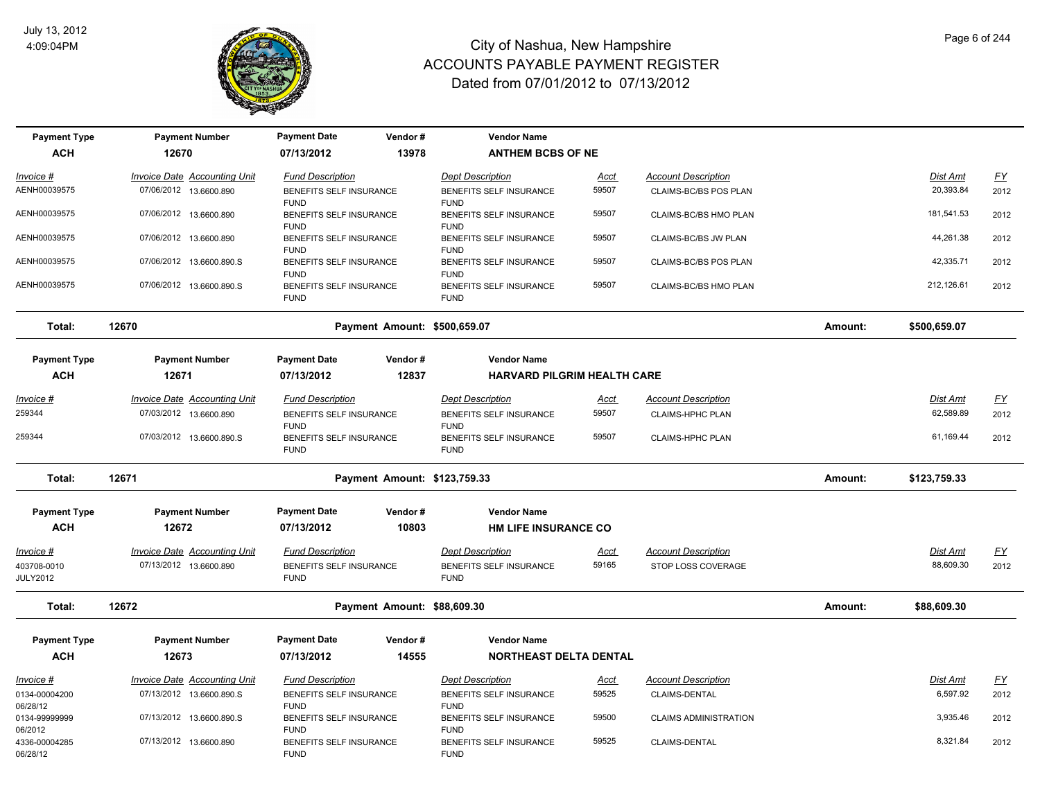

| <b>Payment Type</b>            | <b>Payment Number</b>               | <b>Payment Date</b>                    | Vendor#                      | <b>Vendor Name</b>                     |             |                              |         |                 |           |
|--------------------------------|-------------------------------------|----------------------------------------|------------------------------|----------------------------------------|-------------|------------------------------|---------|-----------------|-----------|
| <b>ACH</b>                     | 12670                               | 07/13/2012                             | 13978                        | <b>ANTHEM BCBS OF NE</b>               |             |                              |         |                 |           |
| Invoice #                      | <b>Invoice Date Accounting Unit</b> | <b>Fund Description</b>                |                              | <b>Dept Description</b>                | <u>Acct</u> | <b>Account Description</b>   |         | <b>Dist Amt</b> | <u>FY</u> |
| AENH00039575                   | 07/06/2012 13.6600.890              | BENEFITS SELF INSURANCE<br><b>FUND</b> |                              | BENEFITS SELF INSURANCE<br><b>FUND</b> | 59507       | CLAIMS-BC/BS POS PLAN        |         | 20,393.84       | 2012      |
| AENH00039575                   | 07/06/2012 13.6600.890              | BENEFITS SELF INSURANCE<br><b>FUND</b> |                              | BENEFITS SELF INSURANCE<br><b>FUND</b> | 59507       | CLAIMS-BC/BS HMO PLAN        |         | 181,541.53      | 2012      |
| AENH00039575                   | 07/06/2012 13.6600.890              | BENEFITS SELF INSURANCE<br><b>FUND</b> |                              | BENEFITS SELF INSURANCE<br><b>FUND</b> | 59507       | CLAIMS-BC/BS JW PLAN         |         | 44,261.38       | 2012      |
| AENH00039575                   | 07/06/2012 13.6600.890.S            | BENEFITS SELF INSURANCE<br><b>FUND</b> |                              | BENEFITS SELF INSURANCE<br><b>FUND</b> | 59507       | CLAIMS-BC/BS POS PLAN        |         | 42,335.71       | 2012      |
| AENH00039575                   | 07/06/2012 13.6600.890.S            | BENEFITS SELF INSURANCE<br><b>FUND</b> |                              | BENEFITS SELF INSURANCE<br><b>FUND</b> | 59507       | CLAIMS-BC/BS HMO PLAN        |         | 212,126.61      | 2012      |
| Total:                         | 12670                               |                                        | Payment Amount: \$500,659.07 |                                        |             |                              | Amount: | \$500,659.07    |           |
| <b>Payment Type</b>            | <b>Payment Number</b>               | <b>Payment Date</b>                    | Vendor#                      | <b>Vendor Name</b>                     |             |                              |         |                 |           |
| <b>ACH</b>                     | 12671                               | 07/13/2012                             | 12837                        | <b>HARVARD PILGRIM HEALTH CARE</b>     |             |                              |         |                 |           |
| <u>Invoice #</u>               | <b>Invoice Date Accounting Unit</b> | <b>Fund Description</b>                |                              | <b>Dept Description</b>                | <u>Acct</u> | <b>Account Description</b>   |         | <b>Dist Amt</b> | EY        |
| 259344                         | 07/03/2012 13.6600.890              | BENEFITS SELF INSURANCE<br><b>FUND</b> |                              | BENEFITS SELF INSURANCE<br><b>FUND</b> | 59507       | <b>CLAIMS-HPHC PLAN</b>      |         | 62,589.89       | 2012      |
| 259344                         | 07/03/2012 13.6600.890.S            | BENEFITS SELF INSURANCE<br><b>FUND</b> |                              | BENEFITS SELF INSURANCE<br><b>FUND</b> | 59507       | <b>CLAIMS-HPHC PLAN</b>      |         | 61,169.44       | 2012      |
| Total:                         | 12671                               |                                        | Payment Amount: \$123,759.33 |                                        |             |                              | Amount: | \$123,759.33    |           |
| <b>Payment Type</b>            | <b>Payment Number</b>               | <b>Payment Date</b>                    | Vendor#                      | <b>Vendor Name</b>                     |             |                              |         |                 |           |
| <b>ACH</b>                     | 12672                               | 07/13/2012                             | 10803                        | <b>HM LIFE INSURANCE CO</b>            |             |                              |         |                 |           |
| <u> Invoice #</u>              | <b>Invoice Date Accounting Unit</b> | <b>Fund Description</b>                |                              | <b>Dept Description</b>                | <u>Acct</u> | <b>Account Description</b>   |         | Dist Amt        | <u>FY</u> |
| 403708-0010<br><b>JULY2012</b> | 07/13/2012 13.6600.890              | BENEFITS SELF INSURANCE<br><b>FUND</b> |                              | BENEFITS SELF INSURANCE<br><b>FUND</b> | 59165       | STOP LOSS COVERAGE           |         | 88,609.30       | 2012      |
| Total:                         | 12672                               |                                        | Payment Amount: \$88,609.30  |                                        |             |                              | Amount: | \$88,609.30     |           |
| <b>Payment Type</b>            | <b>Payment Number</b>               | <b>Payment Date</b>                    | Vendor#                      | <b>Vendor Name</b>                     |             |                              |         |                 |           |
| <b>ACH</b>                     | 12673                               | 07/13/2012                             | 14555                        | <b>NORTHEAST DELTA DENTAL</b>          |             |                              |         |                 |           |
| <u> Invoice #</u>              | <b>Invoice Date Accounting Unit</b> | <b>Fund Description</b>                |                              | <b>Dept Description</b>                | <u>Acct</u> | <b>Account Description</b>   |         | <b>Dist Amt</b> | <u>FY</u> |
| 0134-00004200<br>06/28/12      | 07/13/2012 13.6600.890.S            | BENEFITS SELF INSURANCE<br><b>FUND</b> |                              | BENEFITS SELF INSURANCE<br><b>FUND</b> | 59525       | CLAIMS-DENTAL                |         | 6,597.92        | 2012      |
| 0134-99999999<br>06/2012       | 07/13/2012 13.6600.890.S            | BENEFITS SELF INSURANCE<br><b>FUND</b> |                              | BENEFITS SELF INSURANCE<br><b>FUND</b> | 59500       | <b>CLAIMS ADMINISTRATION</b> |         | 3,935.46        | 2012      |
| 4336-00004285<br>06/28/12      | 07/13/2012 13.6600.890              | BENEFITS SELF INSURANCE<br><b>FUND</b> |                              | BENEFITS SELF INSURANCE<br><b>FUND</b> | 59525       | CLAIMS-DENTAL                |         | 8,321.84        | 2012      |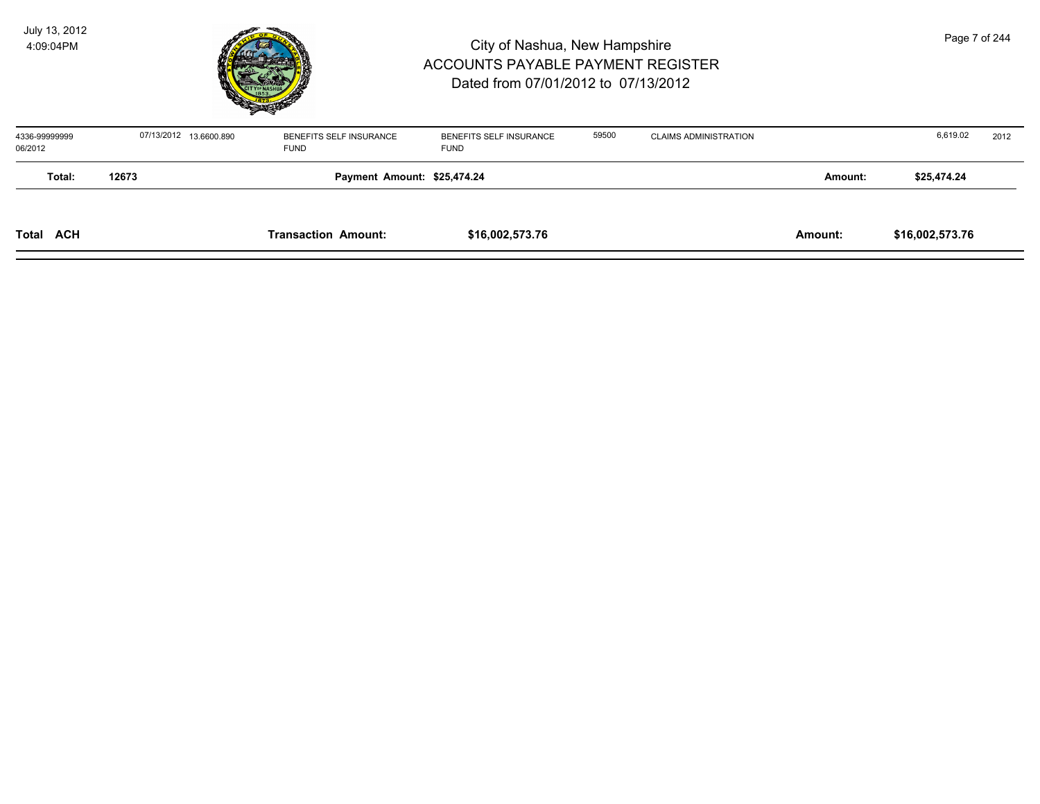

| 4336-99999999<br>06/2012 |       | 07/13/2012 13.6600.890      | BENEFITS SELF INSURANCE<br><b>FUND</b> | BENEFITS SELF INSURANCE<br><b>FUND</b> | 59500 | <b>CLAIMS ADMINISTRATION</b> |         | 6,619.02        | 2012 |
|--------------------------|-------|-----------------------------|----------------------------------------|----------------------------------------|-------|------------------------------|---------|-----------------|------|
| Total:                   | 12673 | Payment Amount: \$25,474.24 |                                        |                                        |       |                              |         | \$25,474.24     |      |
| <b>Total ACH</b>         |       |                             | <b>Transaction Amount:</b>             | \$16,002,573.76                        |       |                              | Amount: | \$16,002,573.76 |      |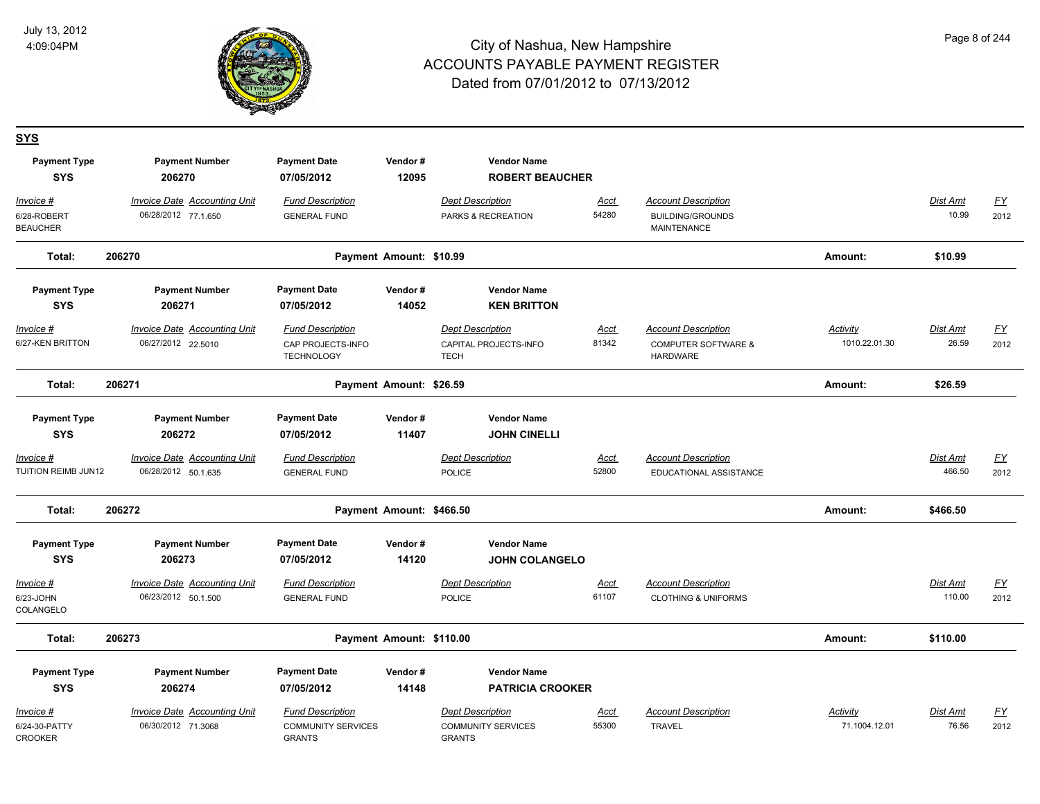

#### **SYS**

| <b>Payment Type</b><br><b>SYS</b>            | <b>Payment Number</b><br>206270                            | <b>Payment Date</b><br>07/05/2012                                     | Vendor#<br>12095         | <b>Vendor Name</b><br><b>ROBERT BEAUCHER</b>                    |                      |                                                                                 |                                  |                          |                   |
|----------------------------------------------|------------------------------------------------------------|-----------------------------------------------------------------------|--------------------------|-----------------------------------------------------------------|----------------------|---------------------------------------------------------------------------------|----------------------------------|--------------------------|-------------------|
| Invoice #<br>6/28-ROBERT<br><b>BEAUCHER</b>  | <b>Invoice Date Accounting Unit</b><br>06/28/2012 77.1.650 | <b>Fund Description</b><br><b>GENERAL FUND</b>                        |                          | <b>Dept Description</b><br>PARKS & RECREATION                   | <u>Acct</u><br>54280 | <b>Account Description</b><br><b>BUILDING/GROUNDS</b><br>MAINTENANCE            |                                  | Dist Amt<br>10.99        | <u>FY</u><br>2012 |
| Total:                                       | 206270                                                     |                                                                       | Payment Amount: \$10.99  |                                                                 |                      |                                                                                 | Amount:                          | \$10.99                  |                   |
| <b>Payment Type</b><br><b>SYS</b>            | <b>Payment Number</b><br>206271                            | <b>Payment Date</b><br>07/05/2012                                     | Vendor#<br>14052         | <b>Vendor Name</b><br><b>KEN BRITTON</b>                        |                      |                                                                                 |                                  |                          |                   |
| $Invoice$ #<br>6/27-KEN BRITTON              | <b>Invoice Date Accounting Unit</b><br>06/27/2012 22.5010  | <b>Fund Description</b><br>CAP PROJECTS-INFO<br><b>TECHNOLOGY</b>     |                          | <b>Dept Description</b><br>CAPITAL PROJECTS-INFO<br><b>TECH</b> | <u>Acct</u><br>81342 | <b>Account Description</b><br><b>COMPUTER SOFTWARE &amp;</b><br><b>HARDWARE</b> | <b>Activity</b><br>1010.22.01.30 | <b>Dist Amt</b><br>26.59 | <u>FY</u><br>2012 |
| Total:                                       | 206271                                                     |                                                                       | Payment Amount: \$26.59  |                                                                 |                      |                                                                                 | Amount:                          | \$26.59                  |                   |
| <b>Payment Type</b><br><b>SYS</b>            | <b>Payment Number</b><br>206272                            | <b>Payment Date</b><br>07/05/2012                                     | Vendor#<br>11407         | <b>Vendor Name</b><br><b>JOHN CINELLI</b>                       |                      |                                                                                 |                                  |                          |                   |
| Invoice #<br>TUITION REIMB JUN12             | <b>Invoice Date Accounting Unit</b><br>06/28/2012 50.1.635 | <b>Fund Description</b><br><b>GENERAL FUND</b>                        |                          | <b>Dept Description</b><br>POLICE                               | Acct<br>52800        | <b>Account Description</b><br>EDUCATIONAL ASSISTANCE                            |                                  | Dist Amt<br>466.50       | <u>FY</u><br>2012 |
| Total:                                       | 206272                                                     |                                                                       | Payment Amount: \$466.50 |                                                                 |                      |                                                                                 | Amount:                          | \$466.50                 |                   |
| <b>Payment Type</b><br><b>SYS</b>            | <b>Payment Number</b><br>206273                            | <b>Payment Date</b><br>07/05/2012                                     | Vendor#<br>14120         | <b>Vendor Name</b><br><b>JOHN COLANGELO</b>                     |                      |                                                                                 |                                  |                          |                   |
| Invoice #<br>6/23-JOHN<br>COLANGELO          | <b>Invoice Date Accounting Unit</b><br>06/23/2012 50.1.500 | <b>Fund Description</b><br><b>GENERAL FUND</b>                        |                          | <b>Dept Description</b><br><b>POLICE</b>                        | <u>Acct</u><br>61107 | <b>Account Description</b><br><b>CLOTHING &amp; UNIFORMS</b>                    |                                  | Dist Amt<br>110.00       | <u>FY</u><br>2012 |
| Total:                                       | 206273                                                     |                                                                       | Payment Amount: \$110.00 |                                                                 |                      |                                                                                 | Amount:                          | \$110.00                 |                   |
| <b>Payment Type</b><br><b>SYS</b>            | <b>Payment Number</b><br>206274                            | <b>Payment Date</b><br>07/05/2012                                     | Vendor#<br>14148         | <b>Vendor Name</b><br><b>PATRICIA CROOKER</b>                   |                      |                                                                                 |                                  |                          |                   |
| Invoice #<br>6/24-30-PATTY<br><b>CROOKER</b> | <b>Invoice Date Accounting Unit</b><br>06/30/2012 71.3068  | <b>Fund Description</b><br><b>COMMUNITY SERVICES</b><br><b>GRANTS</b> |                          | Dept Description<br><b>COMMUNITY SERVICES</b><br><b>GRANTS</b>  | <u>Acct</u><br>55300 | <b>Account Description</b><br><b>TRAVEL</b>                                     | Activity<br>71.1004.12.01        | Dist Amt<br>76.56        | <u>FY</u><br>2012 |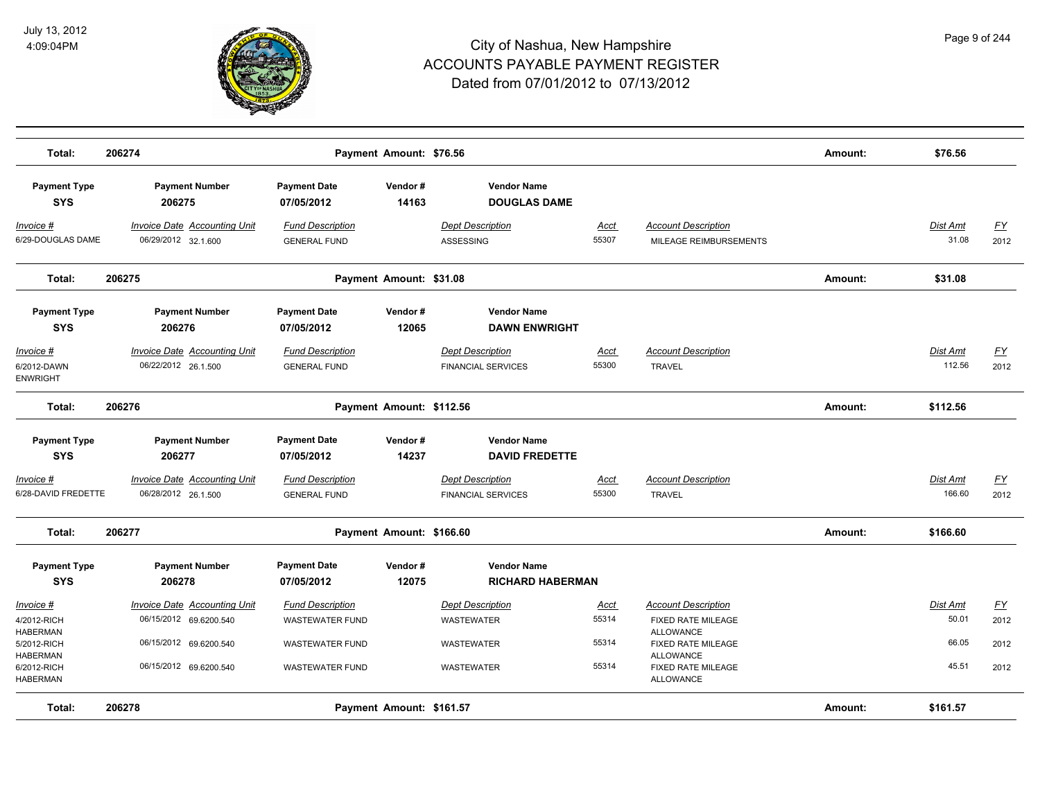

| Total:                                                           | 206274                                                        |                                                   | Payment Amount: \$76.56  |                                                      |                      |                                                                                  | Amount: | \$76.56                   |                   |
|------------------------------------------------------------------|---------------------------------------------------------------|---------------------------------------------------|--------------------------|------------------------------------------------------|----------------------|----------------------------------------------------------------------------------|---------|---------------------------|-------------------|
| <b>Payment Type</b><br><b>SYS</b>                                | <b>Payment Number</b><br>206275                               | <b>Payment Date</b><br>07/05/2012                 | Vendor#<br>14163         | <b>Vendor Name</b><br><b>DOUGLAS DAME</b>            |                      |                                                                                  |         |                           |                   |
| Invoice #<br>6/29-DOUGLAS DAME                                   | <b>Invoice Date Accounting Unit</b><br>06/29/2012 32.1.600    | <b>Fund Description</b><br><b>GENERAL FUND</b>    |                          | <b>Dept Description</b><br><b>ASSESSING</b>          | Acct<br>55307        | <b>Account Description</b><br>MILEAGE REIMBURSEMENTS                             |         | Dist Amt<br>31.08         | <u>FY</u><br>2012 |
| Total:                                                           | 206275                                                        |                                                   | Payment Amount: \$31.08  |                                                      |                      |                                                                                  | Amount: | \$31.08                   |                   |
| <b>Payment Type</b><br><b>SYS</b>                                | <b>Payment Number</b><br>206276                               | <b>Payment Date</b><br>07/05/2012                 | Vendor#<br>12065         | <b>Vendor Name</b><br><b>DAWN ENWRIGHT</b>           |                      |                                                                                  |         |                           |                   |
| Invoice #<br>6/2012-DAWN<br><b>ENWRIGHT</b>                      | <b>Invoice Date Accounting Unit</b><br>06/22/2012 26.1.500    | <b>Fund Description</b><br><b>GENERAL FUND</b>    |                          | <b>Dept Description</b><br><b>FINANCIAL SERVICES</b> | <b>Acct</b><br>55300 | <b>Account Description</b><br><b>TRAVEL</b>                                      |         | Dist Amt<br>112.56        | <u>FY</u><br>2012 |
| Total:                                                           | 206276                                                        |                                                   | Payment Amount: \$112.56 |                                                      |                      |                                                                                  | Amount: | \$112.56                  |                   |
| <b>Payment Type</b><br><b>SYS</b>                                | <b>Payment Number</b><br>206277                               | <b>Payment Date</b><br>07/05/2012                 | Vendor#<br>14237         | <b>Vendor Name</b><br><b>DAVID FREDETTE</b>          |                      |                                                                                  |         |                           |                   |
| Invoice #<br>6/28-DAVID FREDETTE                                 | Invoice Date Accounting Unit<br>06/28/2012 26.1.500           | <b>Fund Description</b><br><b>GENERAL FUND</b>    |                          | <b>Dept Description</b><br><b>FINANCIAL SERVICES</b> | Acct<br>55300        | <b>Account Description</b><br><b>TRAVEL</b>                                      |         | <b>Dist Amt</b><br>166.60 | FY<br>2012        |
| Total:                                                           | 206277                                                        |                                                   | Payment Amount: \$166.60 |                                                      |                      |                                                                                  | Amount: | \$166.60                  |                   |
| <b>Payment Type</b><br><b>SYS</b>                                | <b>Payment Number</b><br>206278                               | <b>Payment Date</b><br>07/05/2012                 | Vendor#<br>12075         | <b>Vendor Name</b><br><b>RICHARD HABERMAN</b>        |                      |                                                                                  |         |                           |                   |
| Invoice #<br>4/2012-RICH<br><b>HABERMAN</b>                      | <b>Invoice Date Accounting Unit</b><br>06/15/2012 69.6200.540 | <b>Fund Description</b><br><b>WASTEWATER FUND</b> |                          | <b>Dept Description</b><br><b>WASTEWATER</b>         | Acct<br>55314        | <b>Account Description</b><br>FIXED RATE MILEAGE<br><b>ALLOWANCE</b>             |         | Dist Amt<br>50.01         | <u>FY</u><br>2012 |
| 5/2012-RICH<br><b>HABERMAN</b><br>6/2012-RICH<br><b>HABERMAN</b> | 06/15/2012 69.6200.540<br>06/15/2012 69.6200.540              | <b>WASTEWATER FUND</b><br><b>WASTEWATER FUND</b>  |                          | WASTEWATER<br>WASTEWATER                             | 55314<br>55314       | FIXED RATE MILEAGE<br><b>ALLOWANCE</b><br>FIXED RATE MILEAGE<br><b>ALLOWANCE</b> |         | 66.05<br>45.51            | 2012<br>2012      |
| Total:                                                           | 206278                                                        |                                                   | Payment Amount: \$161.57 |                                                      |                      |                                                                                  | Amount: | \$161.57                  |                   |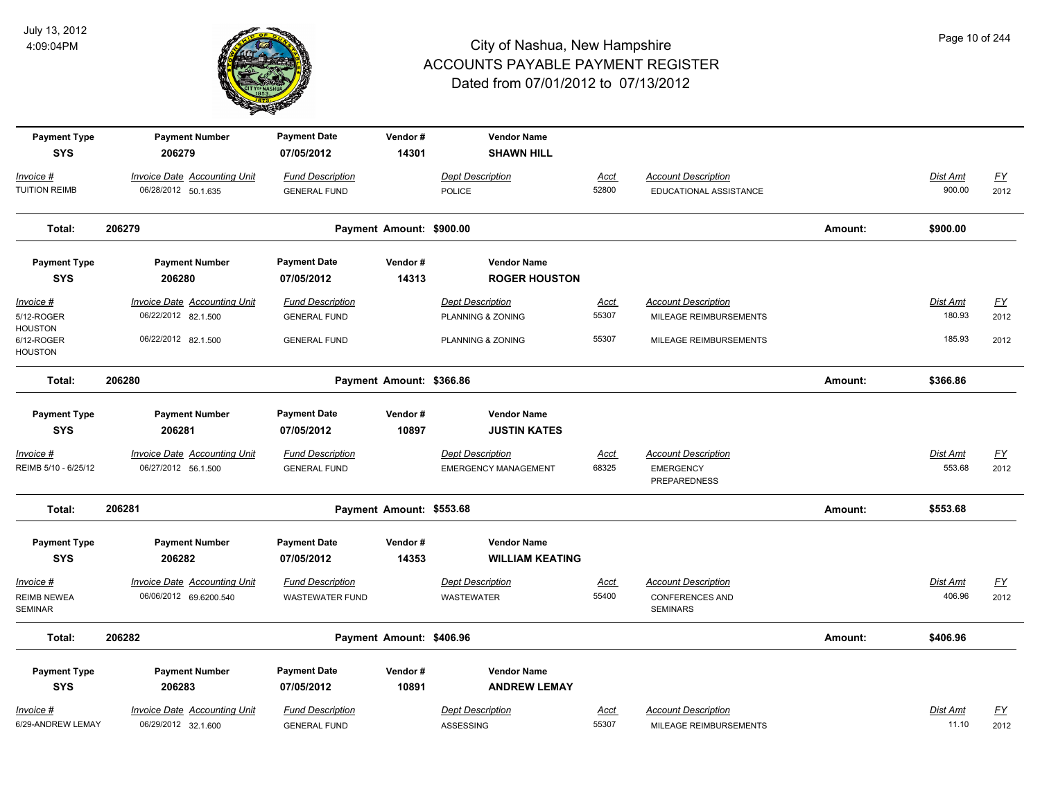

| <b>Payment Type</b><br><b>SYS</b>              | <b>Payment Number</b><br>206279                               | <b>Payment Date</b><br>07/05/2012                 | Vendor#<br>14301         | <b>Vendor Name</b><br><b>SHAWN HILL</b>      |               |                                                                         |         |                    |                          |
|------------------------------------------------|---------------------------------------------------------------|---------------------------------------------------|--------------------------|----------------------------------------------|---------------|-------------------------------------------------------------------------|---------|--------------------|--------------------------|
| Invoice #<br><b>TUITION REIMB</b>              | <b>Invoice Date Accounting Unit</b><br>06/28/2012 50.1.635    | <b>Fund Description</b><br><b>GENERAL FUND</b>    |                          | <b>Dept Description</b><br><b>POLICE</b>     | Acct<br>52800 | <b>Account Description</b><br>EDUCATIONAL ASSISTANCE                    |         | Dist Amt<br>900.00 | $\underline{FY}$<br>2012 |
| Total:                                         | 206279                                                        |                                                   | Payment Amount: \$900.00 |                                              |               |                                                                         | Amount: | \$900.00           |                          |
| <b>Payment Type</b><br><b>SYS</b>              | <b>Payment Number</b><br>206280                               | <b>Payment Date</b><br>07/05/2012                 | Vendor#<br>14313         | <b>Vendor Name</b><br><b>ROGER HOUSTON</b>   |               |                                                                         |         |                    |                          |
| Invoice #                                      | <b>Invoice Date Accounting Unit</b>                           | <b>Fund Description</b>                           |                          | <b>Dept Description</b>                      | <u>Acct</u>   | <b>Account Description</b>                                              |         | <b>Dist Amt</b>    | <u>FY</u>                |
| 5/12-ROGER                                     | 06/22/2012 82.1.500                                           | <b>GENERAL FUND</b>                               |                          | PLANNING & ZONING                            | 55307         | MILEAGE REIMBURSEMENTS                                                  |         | 180.93             | 2012                     |
| <b>HOUSTON</b><br>6/12-ROGER<br><b>HOUSTON</b> | 06/22/2012 82.1.500                                           | <b>GENERAL FUND</b>                               |                          | PLANNING & ZONING                            | 55307         | MILEAGE REIMBURSEMENTS                                                  |         | 185.93             | 2012                     |
| Total:                                         | 206280                                                        |                                                   | Payment Amount: \$366.86 |                                              |               |                                                                         | Amount: | \$366.86           |                          |
| <b>Payment Type</b><br><b>SYS</b>              | <b>Payment Number</b><br>206281                               | <b>Payment Date</b><br>07/05/2012                 | Vendor#<br>10897         | <b>Vendor Name</b><br><b>JUSTIN KATES</b>    |               |                                                                         |         |                    |                          |
| Invoice #                                      | Invoice Date Accounting Unit                                  | <b>Fund Description</b>                           |                          | <b>Dept Description</b>                      | <b>Acct</b>   | <b>Account Description</b>                                              |         | Dist Amt           | $\underline{FY}$         |
| REIMB 5/10 - 6/25/12                           | 06/27/2012 56.1.500                                           | <b>GENERAL FUND</b>                               |                          | <b>EMERGENCY MANAGEMENT</b>                  | 68325         | <b>EMERGENCY</b><br><b>PREPAREDNESS</b>                                 |         | 553.68             | 2012                     |
| Total:                                         | 206281                                                        |                                                   | Payment Amount: \$553.68 |                                              |               |                                                                         | Amount: | \$553.68           |                          |
| <b>Payment Type</b><br><b>SYS</b>              | <b>Payment Number</b><br>206282                               | <b>Payment Date</b><br>07/05/2012                 | Vendor#<br>14353         | <b>Vendor Name</b><br><b>WILLIAM KEATING</b> |               |                                                                         |         |                    |                          |
| Invoice #<br><b>REIMB NEWEA</b><br>SEMINAR     | <b>Invoice Date Accounting Unit</b><br>06/06/2012 69.6200.540 | <b>Fund Description</b><br><b>WASTEWATER FUND</b> |                          | <b>Dept Description</b><br><b>WASTEWATER</b> | Acct<br>55400 | <b>Account Description</b><br><b>CONFERENCES AND</b><br><b>SEMINARS</b> |         | Dist Amt<br>406.96 | <u>FY</u><br>2012        |
| Total:                                         | 206282                                                        |                                                   | Payment Amount: \$406.96 |                                              |               |                                                                         | Amount: | \$406.96           |                          |
| <b>Payment Type</b><br><b>SYS</b>              | <b>Payment Number</b><br>206283                               | <b>Payment Date</b><br>07/05/2012                 | Vendor#<br>10891         | <b>Vendor Name</b><br><b>ANDREW LEMAY</b>    |               |                                                                         |         |                    |                          |
| Invoice #                                      | <b>Invoice Date Accounting Unit</b>                           | <b>Fund Description</b>                           |                          | <b>Dept Description</b>                      | <u>Acct</u>   | <b>Account Description</b>                                              |         | Dist Amt           | $\underline{FY}$         |
| 6/29-ANDREW LEMAY                              | 06/29/2012 32.1.600                                           | <b>GENERAL FUND</b>                               |                          | ASSESSING                                    | 55307         | MILEAGE REIMBURSEMENTS                                                  |         | 11.10              | 2012                     |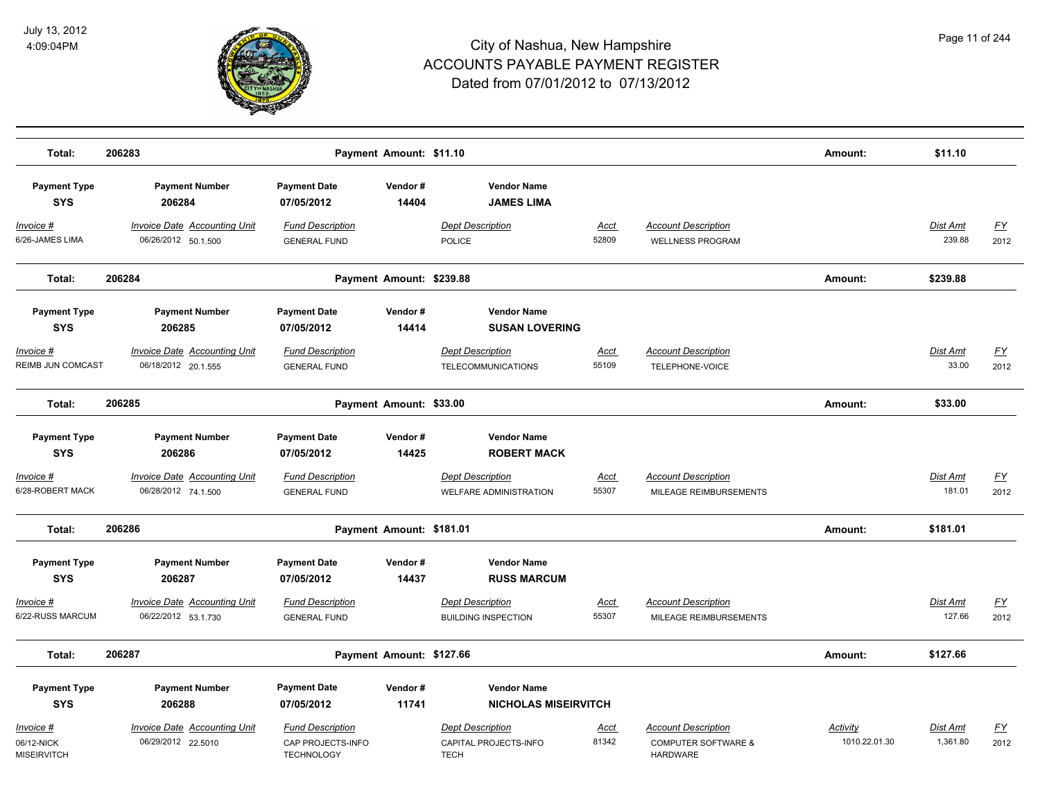

| Total:                                        | 206283                                                     |                                                                   | Payment Amount: \$11.10  |                                                                 |                      |                                                                                 | Amount:                   | \$11.10              |                   |
|-----------------------------------------------|------------------------------------------------------------|-------------------------------------------------------------------|--------------------------|-----------------------------------------------------------------|----------------------|---------------------------------------------------------------------------------|---------------------------|----------------------|-------------------|
| <b>Payment Type</b><br><b>SYS</b>             | <b>Payment Number</b><br>206284                            | <b>Payment Date</b><br>07/05/2012                                 | Vendor#<br>14404         | <b>Vendor Name</b><br><b>JAMES LIMA</b>                         |                      |                                                                                 |                           |                      |                   |
| Invoice #<br>6/26-JAMES LIMA                  | <b>Invoice Date Accounting Unit</b><br>06/26/2012 50.1.500 | <b>Fund Description</b><br><b>GENERAL FUND</b>                    |                          | <b>Dept Description</b><br><b>POLICE</b>                        | Acct<br>52809        | <b>Account Description</b><br><b>WELLNESS PROGRAM</b>                           |                           | Dist Amt<br>239.88   | <u>FY</u><br>2012 |
| Total:                                        | 206284                                                     |                                                                   | Payment Amount: \$239.88 |                                                                 |                      |                                                                                 | Amount:                   | \$239.88             |                   |
| <b>Payment Type</b><br><b>SYS</b>             | <b>Payment Number</b><br>206285                            | <b>Payment Date</b><br>07/05/2012                                 | Vendor#<br>14414         | <b>Vendor Name</b><br><b>SUSAN LOVERING</b>                     |                      |                                                                                 |                           |                      |                   |
| Invoice #<br>REIMB JUN COMCAST                | <b>Invoice Date Accounting Unit</b><br>06/18/2012 20.1.555 | <b>Fund Description</b><br><b>GENERAL FUND</b>                    |                          | <b>Dept Description</b><br><b>TELECOMMUNICATIONS</b>            | Acct<br>55109        | <b>Account Description</b><br>TELEPHONE-VOICE                                   |                           | Dist Amt<br>33.00    | <u>FY</u><br>2012 |
| Total:                                        | 206285                                                     |                                                                   | Payment Amount: \$33.00  |                                                                 |                      |                                                                                 | Amount:                   | \$33.00              |                   |
| <b>Payment Type</b><br><b>SYS</b>             | <b>Payment Number</b><br>206286                            | <b>Payment Date</b><br>07/05/2012                                 | Vendor#<br>14425         | <b>Vendor Name</b><br><b>ROBERT MACK</b>                        |                      |                                                                                 |                           |                      |                   |
| Invoice #<br>6/28-ROBERT MACK                 | Invoice Date Accounting Unit<br>06/28/2012 74.1.500        | <b>Fund Description</b><br><b>GENERAL FUND</b>                    |                          | <b>Dept Description</b><br><b>WELFARE ADMINISTRATION</b>        | Acct<br>55307        | <b>Account Description</b><br>MILEAGE REIMBURSEMENTS                            |                           | Dist Amt<br>181.01   | <u>FY</u><br>2012 |
| Total:                                        | 206286                                                     |                                                                   | Payment Amount: \$181.01 |                                                                 |                      |                                                                                 | Amount:                   | \$181.01             |                   |
| <b>Payment Type</b><br><b>SYS</b>             | <b>Payment Number</b><br>206287                            | <b>Payment Date</b><br>07/05/2012                                 | Vendor#<br>14437         | <b>Vendor Name</b><br><b>RUSS MARCUM</b>                        |                      |                                                                                 |                           |                      |                   |
| Invoice #<br>6/22-RUSS MARCUM                 | <b>Invoice Date Accounting Unit</b><br>06/22/2012 53.1.730 | <b>Fund Description</b><br><b>GENERAL FUND</b>                    |                          | <b>Dept Description</b><br><b>BUILDING INSPECTION</b>           | Acct<br>55307        | <b>Account Description</b><br>MILEAGE REIMBURSEMENTS                            |                           | Dist Amt<br>127.66   | <u>FY</u><br>2012 |
| Total:                                        | 206287                                                     |                                                                   | Payment Amount: \$127.66 |                                                                 |                      |                                                                                 | Amount:                   | \$127.66             |                   |
| <b>Payment Type</b><br><b>SYS</b>             | <b>Payment Number</b><br>206288                            | <b>Payment Date</b><br>07/05/2012                                 | Vendor#<br>11741         | <b>Vendor Name</b><br><b>NICHOLAS MISEIRVITCH</b>               |                      |                                                                                 |                           |                      |                   |
| Invoice #<br>06/12-NICK<br><b>MISEIRVITCH</b> | <b>Invoice Date Accounting Unit</b><br>06/29/2012 22.5010  | <b>Fund Description</b><br>CAP PROJECTS-INFO<br><b>TECHNOLOGY</b> |                          | <b>Dept Description</b><br>CAPITAL PROJECTS-INFO<br><b>TECH</b> | <u>Acct</u><br>81342 | <b>Account Description</b><br><b>COMPUTER SOFTWARE &amp;</b><br><b>HARDWARE</b> | Activity<br>1010.22.01.30 | Dist Amt<br>1,361.80 | <u>FY</u><br>2012 |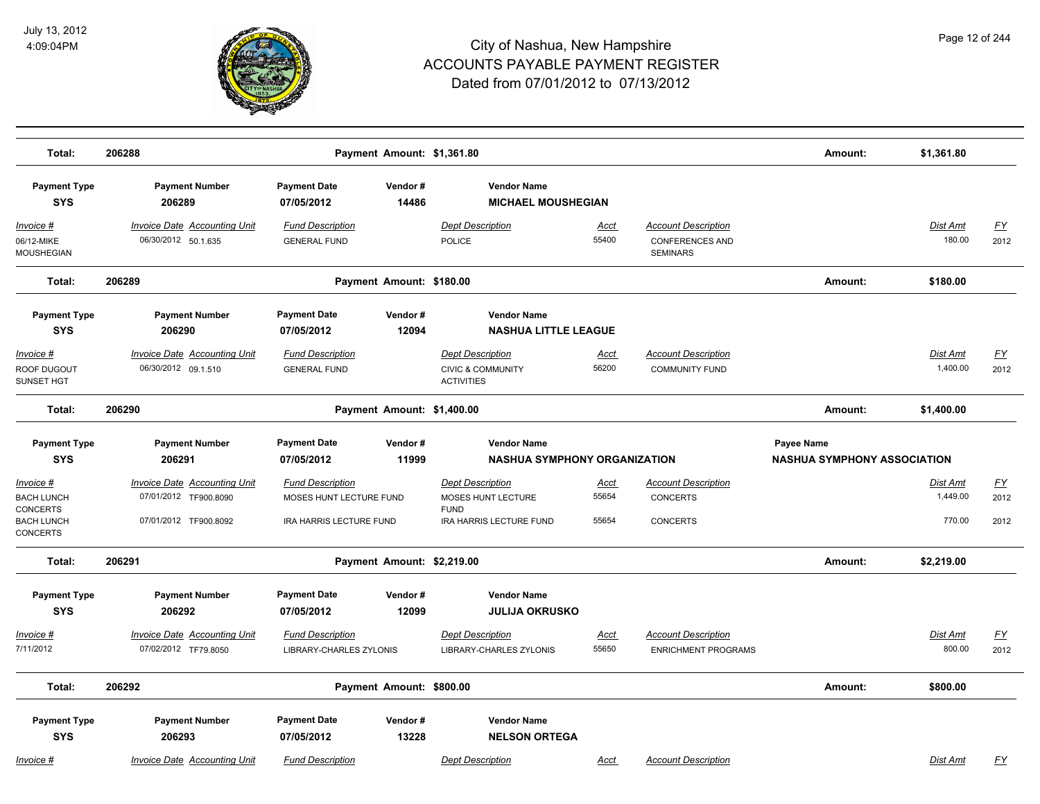

| Total:                                         | 206288                                                       | Payment Amount: \$1,361.80                         |                  |                                                                              |                      |                                                                  | Amount:                                          | \$1,361.80                  |                   |
|------------------------------------------------|--------------------------------------------------------------|----------------------------------------------------|------------------|------------------------------------------------------------------------------|----------------------|------------------------------------------------------------------|--------------------------------------------------|-----------------------------|-------------------|
| <b>Payment Type</b><br><b>SYS</b>              | <b>Payment Number</b><br>206289                              | <b>Payment Date</b><br>07/05/2012                  | Vendor#<br>14486 | <b>Vendor Name</b><br><b>MICHAEL MOUSHEGIAN</b>                              |                      |                                                                  |                                                  |                             |                   |
| Invoice #<br>06/12-MIKE<br>MOUSHEGIAN          | <b>Invoice Date Accounting Unit</b><br>06/30/2012 50.1.635   | <b>Fund Description</b><br><b>GENERAL FUND</b>     |                  | <b>Dept Description</b><br>POLICE                                            | Acct<br>55400        | <b>Account Description</b><br>CONFERENCES AND<br><b>SEMINARS</b> |                                                  | Dist Amt<br>180.00          | <u>FY</u><br>2012 |
| Total:                                         | 206289                                                       | Payment Amount: \$180.00                           |                  |                                                                              |                      |                                                                  | Amount:                                          | \$180.00                    |                   |
| <b>Payment Type</b><br><b>SYS</b>              | <b>Payment Number</b><br>206290                              | <b>Payment Date</b><br>07/05/2012                  | Vendor#<br>12094 | <b>Vendor Name</b><br><b>NASHUA LITTLE LEAGUE</b>                            |                      |                                                                  |                                                  |                             |                   |
| <u> Invoice #</u><br>ROOF DUGOUT<br>SUNSET HGT | <b>Invoice Date Accounting Unit</b><br>06/30/2012 09.1.510   | <b>Fund Description</b><br><b>GENERAL FUND</b>     |                  | <b>Dept Description</b><br><b>CIVIC &amp; COMMUNITY</b><br><b>ACTIVITIES</b> | <u>Acct</u><br>56200 | <b>Account Description</b><br><b>COMMUNITY FUND</b>              |                                                  | Dist Amt<br>1,400.00        | <u>FY</u><br>2012 |
| Total:                                         | 206290                                                       | Payment Amount: \$1,400.00                         |                  |                                                                              |                      |                                                                  | Amount:                                          | \$1,400.00                  |                   |
| <b>Payment Type</b><br><b>SYS</b>              | <b>Payment Number</b><br>206291                              | <b>Payment Date</b><br>07/05/2012                  | Vendor#<br>11999 | <b>Vendor Name</b><br>NASHUA SYMPHONY ORGANIZATION                           |                      |                                                                  | Payee Name<br><b>NASHUA SYMPHONY ASSOCIATION</b> |                             |                   |
|                                                |                                                              |                                                    |                  |                                                                              |                      |                                                                  |                                                  |                             |                   |
| Invoice #<br><b>BACH LUNCH</b><br>CONCERTS     | <b>Invoice Date Accounting Unit</b><br>07/01/2012 TF900.8090 | <b>Fund Description</b><br>MOSES HUNT LECTURE FUND |                  | <b>Dept Description</b><br>MOSES HUNT LECTURE<br><b>FUND</b>                 | <u>Acct</u><br>55654 | <b>Account Description</b><br><b>CONCERTS</b>                    |                                                  | <u>Dist Amt</u><br>1,449.00 | <u>FY</u><br>2012 |
| <b>BACH LUNCH</b><br>CONCERTS                  | 07/01/2012 TF900.8092                                        | IRA HARRIS LECTURE FUND                            |                  | IRA HARRIS LECTURE FUND                                                      | 55654                | <b>CONCERTS</b>                                                  |                                                  | 770.00                      | 2012              |
| Total:                                         | 206291                                                       | Payment Amount: \$2,219.00                         |                  |                                                                              |                      |                                                                  | Amount:                                          | \$2,219.00                  |                   |
| <b>Payment Type</b><br><b>SYS</b>              | <b>Payment Number</b><br>206292                              | <b>Payment Date</b><br>07/05/2012                  | Vendor#<br>12099 | <b>Vendor Name</b><br><b>JULIJA OKRUSKO</b>                                  |                      |                                                                  |                                                  |                             |                   |
| Invoice #                                      | <b>Invoice Date Accounting Unit</b>                          | <b>Fund Description</b>                            |                  | <b>Dept Description</b>                                                      | <u>Acct</u>          | <b>Account Description</b>                                       |                                                  | Dist Amt                    | <u>FY</u>         |
| 7/11/2012                                      | 07/02/2012 TF79.8050                                         | <b>LIBRARY-CHARLES ZYLONIS</b>                     |                  | LIBRARY-CHARLES ZYLONIS                                                      | 55650                | <b>ENRICHMENT PROGRAMS</b>                                       |                                                  | 800.00                      | 2012              |
| Total:                                         | 206292                                                       | Payment Amount: \$800.00                           |                  |                                                                              |                      |                                                                  | Amount:                                          | \$800.00                    |                   |
| <b>Payment Type</b><br><b>SYS</b>              | <b>Payment Number</b><br>206293                              | <b>Payment Date</b><br>07/05/2012                  | Vendor#<br>13228 | <b>Vendor Name</b><br><b>NELSON ORTEGA</b>                                   |                      |                                                                  |                                                  |                             |                   |
| <u>Invoice #</u>                               | <b>Invoice Date Accounting Unit</b>                          | <b>Fund Description</b>                            |                  | <b>Dept Description</b>                                                      | <u>Acct</u>          | <b>Account Description</b>                                       |                                                  | Dist Amt                    | <u>FY</u>         |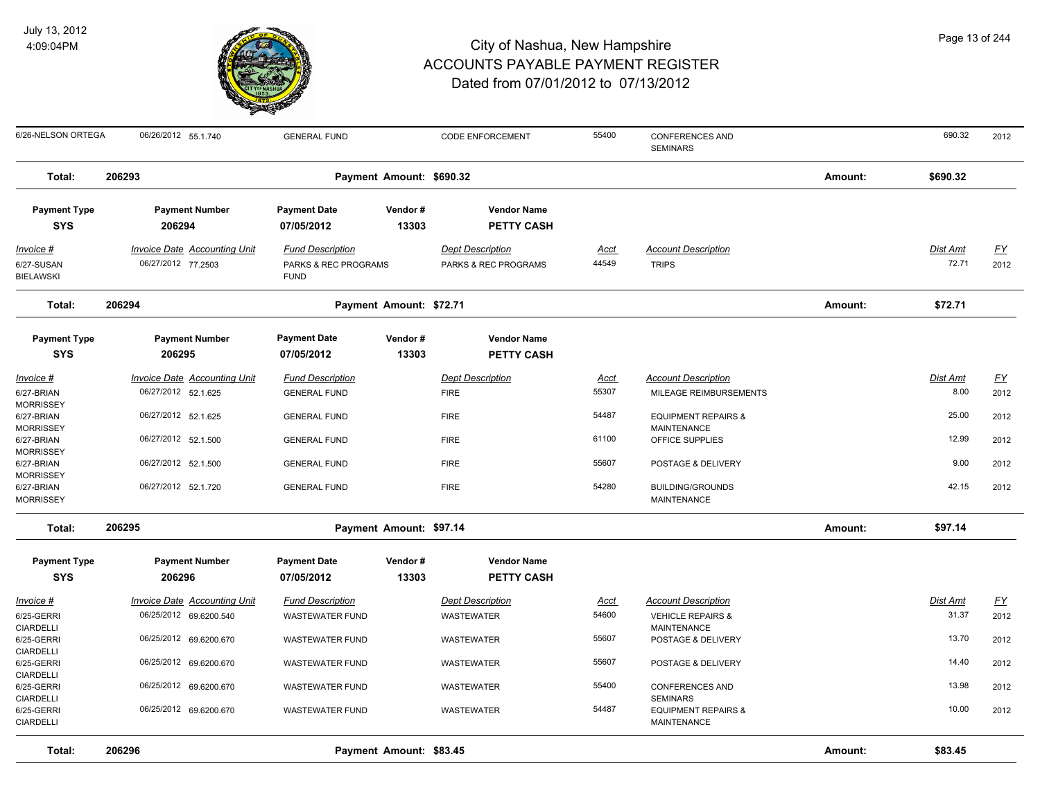

| 6/26-NELSON ORTEGA                          | 06/26/2012 55.1.740                                        | <b>GENERAL FUND</b>                                            |                          | <b>CODE ENFORCEMENT</b>                         | 55400                | <b>CONFERENCES AND</b><br><b>SEMINARS</b>            |         | 690.32                   | 2012              |
|---------------------------------------------|------------------------------------------------------------|----------------------------------------------------------------|--------------------------|-------------------------------------------------|----------------------|------------------------------------------------------|---------|--------------------------|-------------------|
| Total:                                      | 206293                                                     |                                                                | Payment Amount: \$690.32 |                                                 |                      |                                                      | Amount: | \$690.32                 |                   |
| <b>Payment Type</b><br><b>SYS</b>           | <b>Payment Number</b><br>206294                            | <b>Payment Date</b><br>07/05/2012                              | Vendor#<br>13303         | <b>Vendor Name</b><br><b>PETTY CASH</b>         |                      |                                                      |         |                          |                   |
| Invoice #<br>6/27-SUSAN<br><b>BIELAWSKI</b> | <b>Invoice Date Accounting Unit</b><br>06/27/2012 77.2503  | <b>Fund Description</b><br>PARKS & REC PROGRAMS<br><b>FUND</b> |                          | <b>Dept Description</b><br>PARKS & REC PROGRAMS | <u>Acct</u><br>44549 | <b>Account Description</b><br><b>TRIPS</b>           |         | <u>Dist Amt</u><br>72.71 | <u>FY</u><br>2012 |
| Total:                                      | 206294                                                     |                                                                | Payment Amount: \$72.71  |                                                 |                      |                                                      | Amount: | \$72.71                  |                   |
| <b>Payment Type</b><br><b>SYS</b>           | <b>Payment Number</b><br>206295                            | <b>Payment Date</b><br>07/05/2012                              | Vendor#<br>13303         | <b>Vendor Name</b><br><b>PETTY CASH</b>         |                      |                                                      |         |                          |                   |
| Invoice #<br>6/27-BRIAN<br><b>MORRISSEY</b> | <b>Invoice Date Accounting Unit</b><br>06/27/2012 52.1.625 | <b>Fund Description</b><br><b>GENERAL FUND</b>                 |                          | <b>Dept Description</b><br><b>FIRE</b>          | Acct<br>55307        | <b>Account Description</b><br>MILEAGE REIMBURSEMENTS |         | Dist Amt<br>8.00         | <u>FY</u><br>2012 |
| 6/27-BRIAN<br><b>MORRISSEY</b>              | 06/27/2012 52.1.625                                        | <b>GENERAL FUND</b>                                            |                          | <b>FIRE</b>                                     | 54487                | <b>EQUIPMENT REPAIRS &amp;</b><br><b>MAINTENANCE</b> |         | 25.00                    | 2012              |
| 6/27-BRIAN<br><b>MORRISSEY</b>              | 06/27/2012 52.1.500                                        | <b>GENERAL FUND</b>                                            |                          | <b>FIRE</b>                                     | 61100                | OFFICE SUPPLIES                                      |         | 12.99                    | 2012              |
| 6/27-BRIAN<br><b>MORRISSEY</b>              | 06/27/2012 52.1.500                                        | <b>GENERAL FUND</b>                                            |                          | <b>FIRE</b>                                     | 55607                | POSTAGE & DELIVERY                                   |         | 9.00                     | 2012              |
| 6/27-BRIAN<br><b>MORRISSEY</b>              | 06/27/2012 52.1.720                                        | <b>GENERAL FUND</b>                                            |                          | <b>FIRE</b>                                     | 54280                | <b>BUILDING/GROUNDS</b><br>MAINTENANCE               |         | 42.15                    | 2012              |
| Total:                                      | 206295                                                     |                                                                | Payment Amount: \$97.14  |                                                 |                      |                                                      | Amount: | \$97.14                  |                   |
| <b>Payment Type</b><br><b>SYS</b>           | <b>Payment Number</b><br>206296                            | <b>Payment Date</b><br>07/05/2012                              | Vendor#<br>13303         | <b>Vendor Name</b><br><b>PETTY CASH</b>         |                      |                                                      |         |                          |                   |
| $Invoice$ #                                 | <b>Invoice Date Accounting Unit</b>                        | <b>Fund Description</b>                                        |                          | <b>Dept Description</b>                         | <b>Acct</b>          | <b>Account Description</b>                           |         | Dist Amt                 | $\underline{FY}$  |
| 6/25-GERRI<br><b>CIARDELLI</b>              | 06/25/2012 69.6200.540                                     | <b>WASTEWATER FUND</b>                                         |                          | <b>WASTEWATER</b>                               | 54600                | <b>VEHICLE REPAIRS &amp;</b><br><b>MAINTENANCE</b>   |         | 31.37                    | 2012              |
| 6/25-GERRI<br><b>CIARDELLI</b>              | 06/25/2012 69.6200.670                                     | <b>WASTEWATER FUND</b>                                         |                          | WASTEWATER                                      | 55607                | POSTAGE & DELIVERY                                   |         | 13.70                    | 2012              |
| 6/25-GERRI<br><b>CIARDELLI</b>              | 06/25/2012 69.6200.670                                     | <b>WASTEWATER FUND</b>                                         |                          | WASTEWATER                                      | 55607                | POSTAGE & DELIVERY                                   |         | 14.40                    | 2012              |
| 6/25-GERRI<br>CIARDELLI                     | 06/25/2012 69.6200.670                                     | <b>WASTEWATER FUND</b>                                         |                          | <b>WASTEWATER</b>                               | 55400                | <b>CONFERENCES AND</b><br><b>SEMINARS</b>            |         | 13.98                    | 2012              |
| 6/25-GERRI<br><b>CIARDELLI</b>              | 06/25/2012 69.6200.670                                     | <b>WASTEWATER FUND</b>                                         |                          | <b>WASTEWATER</b>                               | 54487                | <b>EQUIPMENT REPAIRS &amp;</b><br><b>MAINTENANCE</b> |         | 10.00                    | 2012              |
| Total:                                      | 206296                                                     |                                                                | Payment Amount: \$83.45  |                                                 |                      |                                                      | Amount: | \$83.45                  |                   |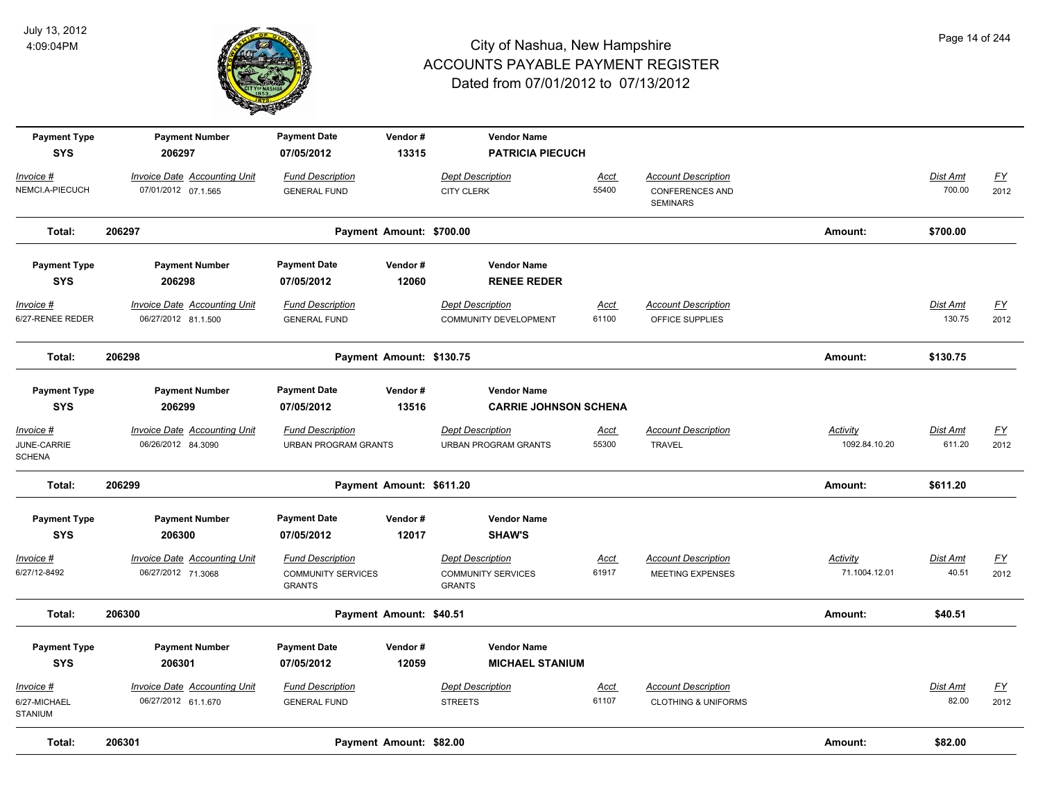

| <b>Payment Type</b><br><b>SYS</b>                 | <b>Payment Number</b><br>206297                            | <b>Payment Date</b><br>07/05/2012                                     | Vendor#<br>13315         | <b>Vendor Name</b><br><b>PATRICIA PIECUCH</b>                         |                      |                                                                         |                           |                           |                          |
|---------------------------------------------------|------------------------------------------------------------|-----------------------------------------------------------------------|--------------------------|-----------------------------------------------------------------------|----------------------|-------------------------------------------------------------------------|---------------------------|---------------------------|--------------------------|
| <u> Invoice #</u><br>NEMCI.A-PIECUCH              | <b>Invoice Date Accounting Unit</b><br>07/01/2012 07.1.565 | <b>Fund Description</b><br><b>GENERAL FUND</b>                        |                          | <b>Dept Description</b><br><b>CITY CLERK</b>                          | Acct<br>55400        | <b>Account Description</b><br><b>CONFERENCES AND</b><br><b>SEMINARS</b> |                           | Dist Amt<br>700.00        | $\underline{FY}$<br>2012 |
| Total:                                            | 206297                                                     |                                                                       | Payment Amount: \$700.00 |                                                                       |                      |                                                                         | Amount:                   | \$700.00                  |                          |
| <b>Payment Type</b><br><b>SYS</b>                 | <b>Payment Number</b><br>206298                            | <b>Payment Date</b><br>07/05/2012                                     | Vendor#<br>12060         | <b>Vendor Name</b><br><b>RENEE REDER</b>                              |                      |                                                                         |                           |                           |                          |
| $Invoice$ #<br>6/27-RENEE REDER                   | <b>Invoice Date Accounting Unit</b><br>06/27/2012 81.1.500 | <b>Fund Description</b><br><b>GENERAL FUND</b>                        |                          | <b>Dept Description</b><br><b>COMMUNITY DEVELOPMENT</b>               | <u>Acct</u><br>61100 | <b>Account Description</b><br>OFFICE SUPPLIES                           |                           | <b>Dist Amt</b><br>130.75 | <u>FY</u><br>2012        |
| Total:                                            | 206298                                                     |                                                                       | Payment Amount: \$130.75 |                                                                       |                      |                                                                         | Amount:                   | \$130.75                  |                          |
| <b>Payment Type</b><br><b>SYS</b>                 | <b>Payment Number</b><br>206299                            | <b>Payment Date</b><br>07/05/2012                                     | Vendor#<br>13516         | <b>Vendor Name</b><br><b>CARRIE JOHNSON SCHENA</b>                    |                      |                                                                         |                           |                           |                          |
| <u> Invoice #</u><br>JUNE-CARRIE<br><b>SCHENA</b> | <b>Invoice Date Accounting Unit</b><br>06/26/2012 84.3090  | <b>Fund Description</b><br><b>URBAN PROGRAM GRANTS</b>                |                          | <b>Dept Description</b><br><b>URBAN PROGRAM GRANTS</b>                | <u>Acct</u><br>55300 | <b>Account Description</b><br><b>TRAVEL</b>                             | Activity<br>1092.84.10.20 | Dist Amt<br>611.20        | <u>FY</u><br>2012        |
| Total:                                            | 206299                                                     |                                                                       | Payment Amount: \$611.20 |                                                                       |                      |                                                                         | Amount:                   | \$611.20                  |                          |
| <b>Payment Type</b><br><b>SYS</b>                 | <b>Payment Number</b><br>206300                            | <b>Payment Date</b><br>07/05/2012                                     | Vendor#<br>12017         | <b>Vendor Name</b><br><b>SHAW'S</b>                                   |                      |                                                                         |                           |                           |                          |
| <u> Invoice #</u><br>6/27/12-8492                 | <b>Invoice Date Accounting Unit</b><br>06/27/2012 71.3068  | <b>Fund Description</b><br><b>COMMUNITY SERVICES</b><br><b>GRANTS</b> |                          | <b>Dept Description</b><br><b>COMMUNITY SERVICES</b><br><b>GRANTS</b> | <u>Acct</u><br>61917 | <b>Account Description</b><br><b>MEETING EXPENSES</b>                   | Activity<br>71.1004.12.01 | Dist Amt<br>40.51         | <u>FY</u><br>2012        |
| Total:                                            | 206300                                                     |                                                                       | Payment Amount: \$40.51  |                                                                       |                      |                                                                         | Amount:                   | \$40.51                   |                          |
| <b>Payment Type</b><br><b>SYS</b>                 | <b>Payment Number</b><br>206301                            | <b>Payment Date</b><br>07/05/2012                                     | Vendor#<br>12059         | <b>Vendor Name</b><br><b>MICHAEL STANIUM</b>                          |                      |                                                                         |                           |                           |                          |
| Invoice #<br>6/27-MICHAEL<br><b>STANIUM</b>       | <b>Invoice Date Accounting Unit</b><br>06/27/2012 61.1.670 | <b>Fund Description</b><br><b>GENERAL FUND</b>                        |                          | <b>Dept Description</b><br><b>STREETS</b>                             | Acct<br>61107        | <b>Account Description</b><br><b>CLOTHING &amp; UNIFORMS</b>            |                           | Dist Amt<br>82.00         | EY<br>2012               |
| Total:                                            | 206301                                                     |                                                                       | Payment Amount: \$82.00  |                                                                       |                      |                                                                         | Amount:                   | \$82.00                   |                          |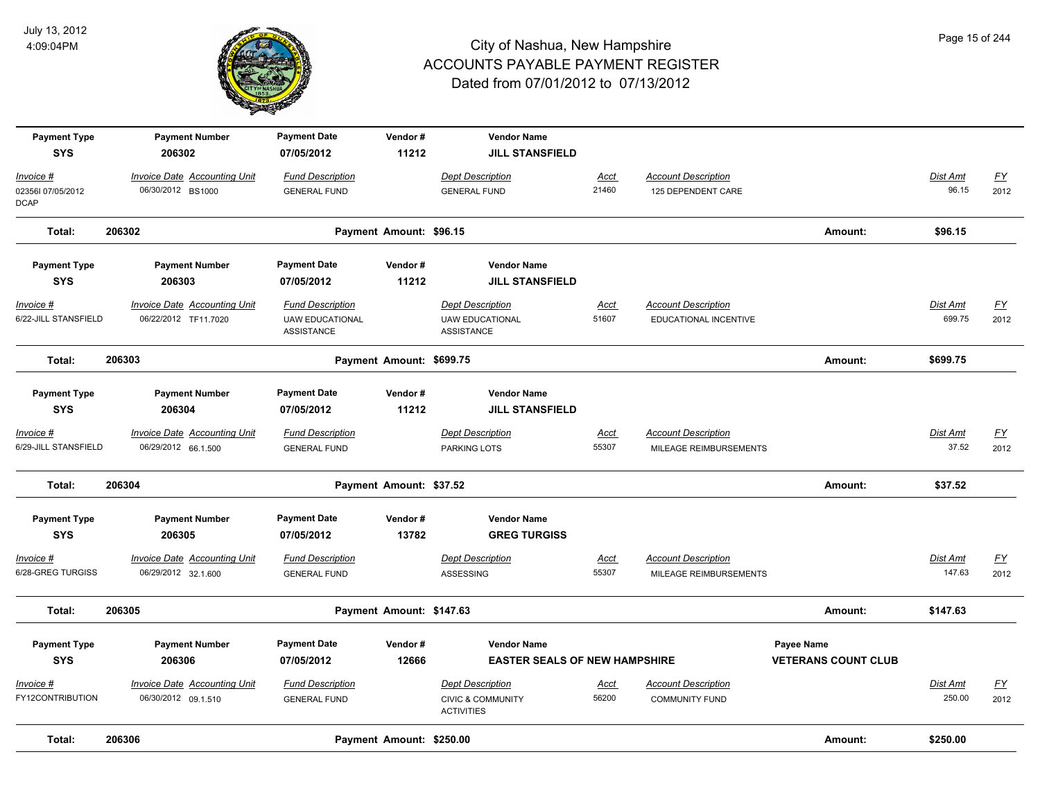

| <b>Payment Type</b><br><b>SYS</b>             | <b>Payment Number</b><br>206302                             | <b>Payment Date</b><br>07/05/2012                                      | Vendor#<br>11212         | <b>Vendor Name</b><br><b>JILL STANSFIELD</b>                                 |                      |                                                      |                                          |                           |                          |
|-----------------------------------------------|-------------------------------------------------------------|------------------------------------------------------------------------|--------------------------|------------------------------------------------------------------------------|----------------------|------------------------------------------------------|------------------------------------------|---------------------------|--------------------------|
| Invoice #<br>023561 07/05/2012<br><b>DCAP</b> | <b>Invoice Date Accounting Unit</b><br>06/30/2012 BS1000    | <b>Fund Description</b><br><b>GENERAL FUND</b>                         |                          | <b>Dept Description</b><br><b>GENERAL FUND</b>                               | Acct<br>21460        | <b>Account Description</b><br>125 DEPENDENT CARE     |                                          | Dist Amt<br>96.15         | EY<br>2012               |
| Total:                                        | 206302                                                      |                                                                        | Payment Amount: \$96.15  |                                                                              |                      |                                                      | Amount:                                  | \$96.15                   |                          |
| <b>Payment Type</b><br><b>SYS</b>             | <b>Payment Number</b><br>206303                             | <b>Payment Date</b><br>07/05/2012                                      | Vendor#<br>11212         | <b>Vendor Name</b><br><b>JILL STANSFIELD</b>                                 |                      |                                                      |                                          |                           |                          |
| Invoice #<br>6/22-JILL STANSFIELD             | <b>Invoice Date Accounting Unit</b><br>06/22/2012 TF11.7020 | <b>Fund Description</b><br><b>UAW EDUCATIONAL</b><br><b>ASSISTANCE</b> |                          | <b>Dept Description</b><br><b>UAW EDUCATIONAL</b><br><b>ASSISTANCE</b>       | <b>Acct</b><br>51607 | <b>Account Description</b><br>EDUCATIONAL INCENTIVE  |                                          | Dist Amt<br>699.75        | <u>FY</u><br>2012        |
| Total:                                        | 206303                                                      |                                                                        | Payment Amount: \$699.75 |                                                                              |                      |                                                      | Amount:                                  | \$699.75                  |                          |
| <b>Payment Type</b><br><b>SYS</b>             | <b>Payment Number</b><br>206304                             | <b>Payment Date</b><br>07/05/2012                                      | Vendor#<br>11212         | <b>Vendor Name</b><br><b>JILL STANSFIELD</b>                                 |                      |                                                      |                                          |                           |                          |
| Invoice #<br>6/29-JILL STANSFIELD             | Invoice Date Accounting Unit<br>06/29/2012 66.1.500         | <b>Fund Description</b><br><b>GENERAL FUND</b>                         |                          | <b>Dept Description</b><br>PARKING LOTS                                      | <u>Acct</u><br>55307 | <b>Account Description</b><br>MILEAGE REIMBURSEMENTS |                                          | <b>Dist Amt</b><br>37.52  | $\underline{FY}$<br>2012 |
| Total:                                        | 206304                                                      |                                                                        | Payment Amount: \$37.52  |                                                                              |                      |                                                      | Amount:                                  | \$37.52                   |                          |
| <b>Payment Type</b><br><b>SYS</b>             | <b>Payment Number</b><br>206305                             | <b>Payment Date</b><br>07/05/2012                                      | Vendor#<br>13782         | <b>Vendor Name</b><br><b>GREG TURGISS</b>                                    |                      |                                                      |                                          |                           |                          |
| Invoice #<br>6/28-GREG TURGISS                | <b>Invoice Date Accounting Unit</b><br>06/29/2012 32.1.600  | <b>Fund Description</b><br><b>GENERAL FUND</b>                         |                          | <b>Dept Description</b><br><b>ASSESSING</b>                                  | Acct<br>55307        | <b>Account Description</b><br>MILEAGE REIMBURSEMENTS |                                          | <b>Dist Amt</b><br>147.63 | EY<br>2012               |
| Total:                                        | 206305                                                      |                                                                        | Payment Amount: \$147.63 |                                                                              |                      |                                                      | Amount:                                  | \$147.63                  |                          |
| <b>Payment Type</b><br><b>SYS</b>             | <b>Payment Number</b><br>206306                             | <b>Payment Date</b><br>07/05/2012                                      | Vendor#<br>12666         | <b>Vendor Name</b><br><b>EASTER SEALS OF NEW HAMPSHIRE</b>                   |                      |                                                      | Payee Name<br><b>VETERANS COUNT CLUB</b> |                           |                          |
| Invoice #<br>FY12CONTRIBUTION                 | <b>Invoice Date Accounting Unit</b><br>06/30/2012 09.1.510  | <b>Fund Description</b><br><b>GENERAL FUND</b>                         |                          | <b>Dept Description</b><br><b>CIVIC &amp; COMMUNITY</b><br><b>ACTIVITIES</b> | <u>Acct</u><br>56200 | <b>Account Description</b><br><b>COMMUNITY FUND</b>  |                                          | <b>Dist Amt</b><br>250.00 | <u>FY</u><br>2012        |
| Total:                                        | 206306                                                      |                                                                        | Payment Amount: \$250.00 |                                                                              |                      |                                                      | Amount:                                  | \$250.00                  |                          |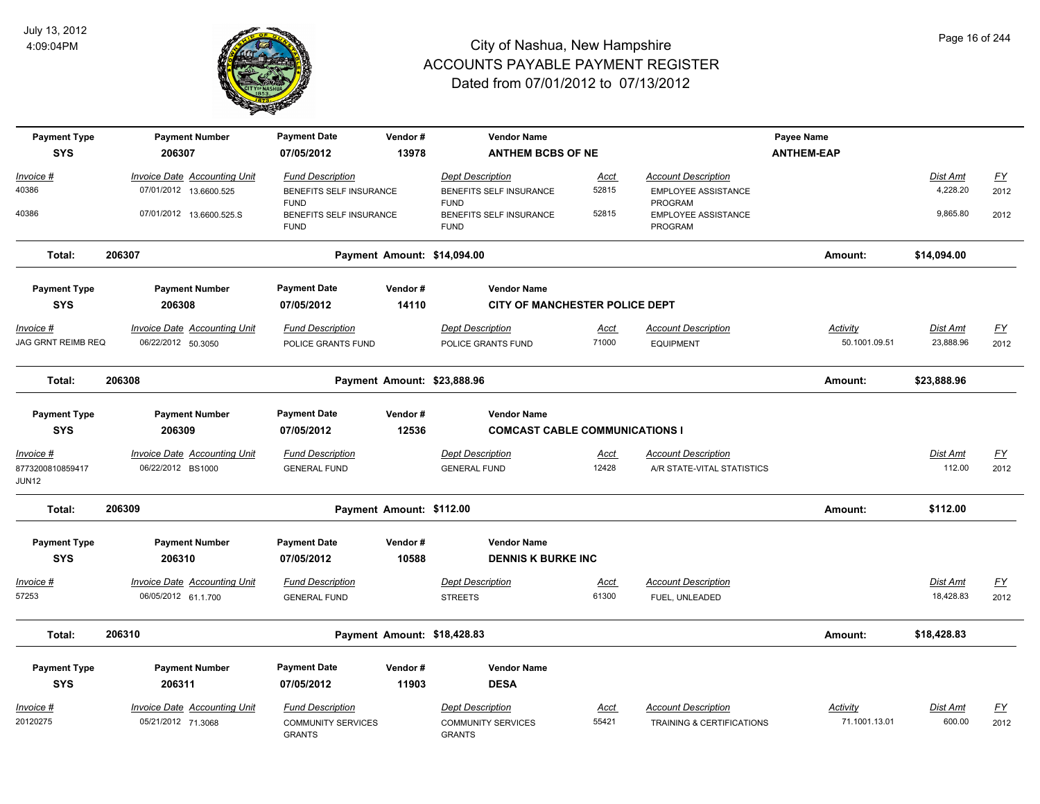

| <b>Payment Type</b><br><b>SYS</b> | <b>Payment Number</b><br>206307                        | <b>Payment Date</b><br>07/05/2012                  | Vendor#<br>13978            | <b>Vendor Name</b><br><b>ANTHEM BCBS OF NE</b>     |               |                                                          | Payee Name<br><b>ANTHEM-EAP</b> |                      |                   |
|-----------------------------------|--------------------------------------------------------|----------------------------------------------------|-----------------------------|----------------------------------------------------|---------------|----------------------------------------------------------|---------------------------------|----------------------|-------------------|
|                                   |                                                        |                                                    |                             |                                                    |               |                                                          |                                 |                      |                   |
| Invoice #<br>40386                | Invoice Date Accounting Unit<br>07/01/2012 13.6600.525 | <b>Fund Description</b><br>BENEFITS SELF INSURANCE |                             | <b>Dept Description</b><br>BENEFITS SELF INSURANCE | Acct<br>52815 | <b>Account Description</b><br><b>EMPLOYEE ASSISTANCE</b> |                                 | Dist Amt<br>4,228.20 | <u>FY</u><br>2012 |
|                                   |                                                        | <b>FUND</b>                                        |                             | <b>FUND</b>                                        |               | PROGRAM                                                  |                                 |                      |                   |
| 40386                             | 07/01/2012 13.6600.525.S                               | BENEFITS SELF INSURANCE<br><b>FUND</b>             |                             | BENEFITS SELF INSURANCE<br><b>FUND</b>             | 52815         | EMPLOYEE ASSISTANCE<br>PROGRAM                           |                                 | 9,865.80             | 2012              |
| Total:                            | 206307                                                 |                                                    | Payment Amount: \$14,094.00 |                                                    |               |                                                          | Amount:                         | \$14,094.00          |                   |
| <b>Payment Type</b>               | <b>Payment Number</b>                                  | <b>Payment Date</b>                                | Vendor#                     | <b>Vendor Name</b>                                 |               |                                                          |                                 |                      |                   |
| <b>SYS</b>                        | 206308                                                 | 07/05/2012                                         | 14110                       | CITY OF MANCHESTER POLICE DEPT                     |               |                                                          |                                 |                      |                   |
| Invoice #                         | <b>Invoice Date Accounting Unit</b>                    | <b>Fund Description</b>                            |                             | <b>Dept Description</b>                            | <b>Acct</b>   | <b>Account Description</b>                               | <b>Activity</b>                 | <b>Dist Amt</b>      | EY                |
| JAG GRNT REIMB REQ                | 06/22/2012 50.3050                                     | POLICE GRANTS FUND                                 |                             | POLICE GRANTS FUND                                 | 71000         | <b>EQUIPMENT</b>                                         | 50.1001.09.51                   | 23,888.96            | 2012              |
| Total:                            | 206308                                                 |                                                    | Payment Amount: \$23,888.96 |                                                    |               |                                                          | Amount:                         | \$23,888.96          |                   |
| <b>Payment Type</b>               | <b>Payment Number</b>                                  | <b>Payment Date</b>                                | Vendor#                     | <b>Vendor Name</b>                                 |               |                                                          |                                 |                      |                   |
| <b>SYS</b>                        | 206309                                                 | 07/05/2012                                         | 12536                       | <b>COMCAST CABLE COMMUNICATIONS I</b>              |               |                                                          |                                 |                      |                   |
| Invoice #                         | <b>Invoice Date Accounting Unit</b>                    | <b>Fund Description</b>                            |                             | <b>Dept Description</b>                            | Acct          | <b>Account Description</b>                               |                                 | Dist Amt             | <u>FY</u>         |
| 8773200810859417<br>JUN12         | 06/22/2012 BS1000                                      | <b>GENERAL FUND</b>                                |                             | <b>GENERAL FUND</b>                                | 12428         | A/R STATE-VITAL STATISTICS                               |                                 | 112.00               | 2012              |
| Total:                            | 206309                                                 |                                                    | Payment Amount: \$112.00    |                                                    |               |                                                          | Amount:                         | \$112.00             |                   |
| <b>Payment Type</b>               | <b>Payment Number</b>                                  | <b>Payment Date</b>                                | Vendor#                     | <b>Vendor Name</b>                                 |               |                                                          |                                 |                      |                   |
| <b>SYS</b>                        | 206310                                                 | 07/05/2012                                         | 10588                       | <b>DENNIS K BURKE INC</b>                          |               |                                                          |                                 |                      |                   |
| <u> Invoice #</u>                 | <b>Invoice Date Accounting Unit</b>                    | <b>Fund Description</b>                            |                             | <b>Dept Description</b>                            | <u>Acct</u>   | <b>Account Description</b>                               |                                 | <b>Dist Amt</b>      | $\underline{FY}$  |
| 57253                             | 06/05/2012 61.1.700                                    | <b>GENERAL FUND</b>                                |                             | <b>STREETS</b>                                     | 61300         | FUEL, UNLEADED                                           |                                 | 18,428.83            | 2012              |
| Total:                            | 206310                                                 |                                                    | Payment Amount: \$18,428.83 |                                                    |               |                                                          | Amount:                         | \$18,428.83          |                   |
| <b>Payment Type</b>               | <b>Payment Number</b>                                  | <b>Payment Date</b>                                | Vendor#                     | <b>Vendor Name</b>                                 |               |                                                          |                                 |                      |                   |
| <b>SYS</b>                        | 206311                                                 | 07/05/2012                                         | 11903                       | <b>DESA</b>                                        |               |                                                          |                                 |                      |                   |
| Invoice #                         | <b>Invoice Date Accounting Unit</b>                    | <b>Fund Description</b>                            |                             | <b>Dept Description</b>                            | Acct          | <b>Account Description</b>                               | Activity                        | Dist Amt             | $\underline{FY}$  |
| 20120275                          | 05/21/2012 71.3068                                     | <b>COMMUNITY SERVICES</b><br><b>GRANTS</b>         |                             | <b>COMMUNITY SERVICES</b><br><b>GRANTS</b>         | 55421         | <b>TRAINING &amp; CERTIFICATIONS</b>                     | 71.1001.13.01                   | 600.00               | 2012              |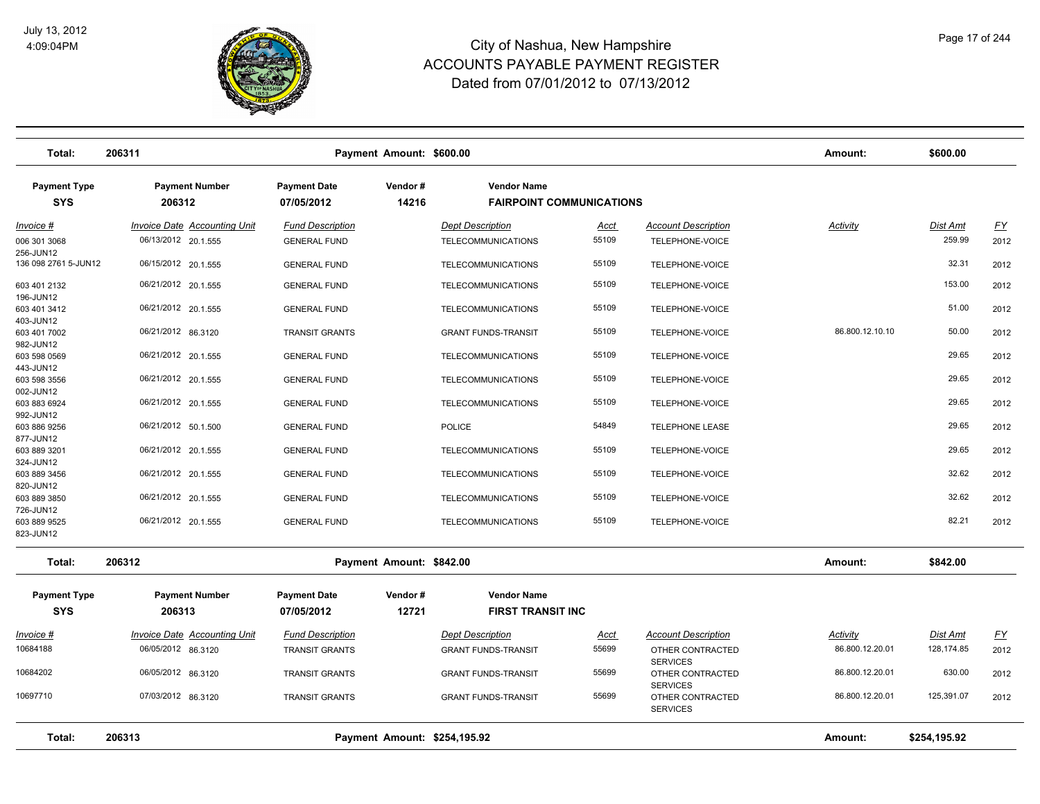

| Total:                            | 206311                              |                                   | Payment Amount: \$600.00     |                                                       |       |                                     | Amount:         | \$600.00        |                  |
|-----------------------------------|-------------------------------------|-----------------------------------|------------------------------|-------------------------------------------------------|-------|-------------------------------------|-----------------|-----------------|------------------|
| <b>Payment Type</b><br><b>SYS</b> | <b>Payment Number</b><br>206312     | <b>Payment Date</b><br>07/05/2012 | Vendor#<br>14216             | <b>Vendor Name</b><br><b>FAIRPOINT COMMUNICATIONS</b> |       |                                     |                 |                 |                  |
| Invoice #                         | <b>Invoice Date Accounting Unit</b> | <b>Fund Description</b>           |                              | <b>Dept Description</b>                               | Acct  | <b>Account Description</b>          | <b>Activity</b> | <b>Dist Amt</b> | <u>FY</u>        |
| 006 301 3068<br>256-JUN12         | 06/13/2012 20.1.555                 | <b>GENERAL FUND</b>               |                              | <b>TELECOMMUNICATIONS</b>                             | 55109 | TELEPHONE-VOICE                     |                 | 259.99          | 2012             |
| 136 098 2761 5-JUN12              | 06/15/2012 20.1.555                 | <b>GENERAL FUND</b>               |                              | <b>TELECOMMUNICATIONS</b>                             | 55109 | TELEPHONE-VOICE                     |                 | 32.31           | 2012             |
| 603 401 2132<br>196-JUN12         | 06/21/2012 20.1.555                 | <b>GENERAL FUND</b>               |                              | <b>TELECOMMUNICATIONS</b>                             | 55109 | TELEPHONE-VOICE                     |                 | 153.00          | 2012             |
| 603 401 3412<br>403-JUN12         | 06/21/2012 20.1.555                 | <b>GENERAL FUND</b>               |                              | TELECOMMUNICATIONS                                    | 55109 | TELEPHONE-VOICE                     |                 | 51.00           | 2012             |
| 603 401 7002<br>982-JUN12         | 06/21/2012 86.3120                  | <b>TRANSIT GRANTS</b>             |                              | <b>GRANT FUNDS-TRANSIT</b>                            | 55109 | TELEPHONE-VOICE                     | 86.800.12.10.10 | 50.00           | 2012             |
| 603 598 0569<br>443-JUN12         | 06/21/2012 20.1.555                 | <b>GENERAL FUND</b>               |                              | <b>TELECOMMUNICATIONS</b>                             | 55109 | TELEPHONE-VOICE                     |                 | 29.65           | 2012             |
| 603 598 3556<br>002-JUN12         | 06/21/2012 20.1.555                 | <b>GENERAL FUND</b>               |                              | <b>TELECOMMUNICATIONS</b>                             | 55109 | TELEPHONE-VOICE                     |                 | 29.65           | 2012             |
| 603 883 6924<br>992-JUN12         | 06/21/2012 20.1.555                 | <b>GENERAL FUND</b>               |                              | <b>TELECOMMUNICATIONS</b>                             | 55109 | TELEPHONE-VOICE                     |                 | 29.65           | 2012             |
| 603 886 9256<br>877-JUN12         | 06/21/2012 50.1.500                 | <b>GENERAL FUND</b>               |                              | <b>POLICE</b>                                         | 54849 | <b>TELEPHONE LEASE</b>              |                 | 29.65           | 2012             |
| 603 889 3201<br>324-JUN12         | 06/21/2012 20.1.555                 | <b>GENERAL FUND</b>               |                              | <b>TELECOMMUNICATIONS</b>                             | 55109 | TELEPHONE-VOICE                     |                 | 29.65           | 2012             |
| 603 889 3456<br>820-JUN12         | 06/21/2012 20.1.555                 | <b>GENERAL FUND</b>               |                              | <b>TELECOMMUNICATIONS</b>                             | 55109 | TELEPHONE-VOICE                     |                 | 32.62           | 2012             |
| 603 889 3850<br>726-JUN12         | 06/21/2012 20.1.555                 | <b>GENERAL FUND</b>               |                              | <b>TELECOMMUNICATIONS</b>                             | 55109 | TELEPHONE-VOICE                     |                 | 32.62           | 2012             |
| 603 889 9525<br>823-JUN12         | 06/21/2012 20.1.555                 | <b>GENERAL FUND</b>               |                              | <b>TELECOMMUNICATIONS</b>                             | 55109 | TELEPHONE-VOICE                     |                 | 82.21           | 2012             |
| Total:                            | 206312                              |                                   | Payment Amount: \$842.00     |                                                       |       |                                     | Amount:         | \$842.00        |                  |
| <b>Payment Type</b>               | <b>Payment Number</b>               | <b>Payment Date</b>               | Vendor#                      | <b>Vendor Name</b>                                    |       |                                     |                 |                 |                  |
| <b>SYS</b>                        | 206313                              | 07/05/2012                        | 12721                        | <b>FIRST TRANSIT INC</b>                              |       |                                     |                 |                 |                  |
| Invoice #                         | <b>Invoice Date Accounting Unit</b> | <b>Fund Description</b>           |                              | <b>Dept Description</b>                               | Acct  | <b>Account Description</b>          | Activity        | <b>Dist Amt</b> | $\underline{FY}$ |
| 10684188                          | 06/05/2012 86.3120                  | <b>TRANSIT GRANTS</b>             |                              | <b>GRANT FUNDS-TRANSIT</b>                            | 55699 | OTHER CONTRACTED<br><b>SERVICES</b> | 86.800.12.20.01 | 128,174.85      | 2012             |
| 10684202                          | 06/05/2012 86.3120                  | <b>TRANSIT GRANTS</b>             |                              | <b>GRANT FUNDS-TRANSIT</b>                            | 55699 | OTHER CONTRACTED<br><b>SERVICES</b> | 86.800.12.20.01 | 630.00          | 2012             |
| 10697710                          | 07/03/2012 86.3120                  | <b>TRANSIT GRANTS</b>             |                              | <b>GRANT FUNDS-TRANSIT</b>                            | 55699 | OTHER CONTRACTED<br><b>SERVICES</b> | 86.800.12.20.01 | 125,391.07      | 2012             |
| Total:                            | 206313                              |                                   | Payment Amount: \$254,195.92 |                                                       |       |                                     | Amount:         | \$254,195.92    |                  |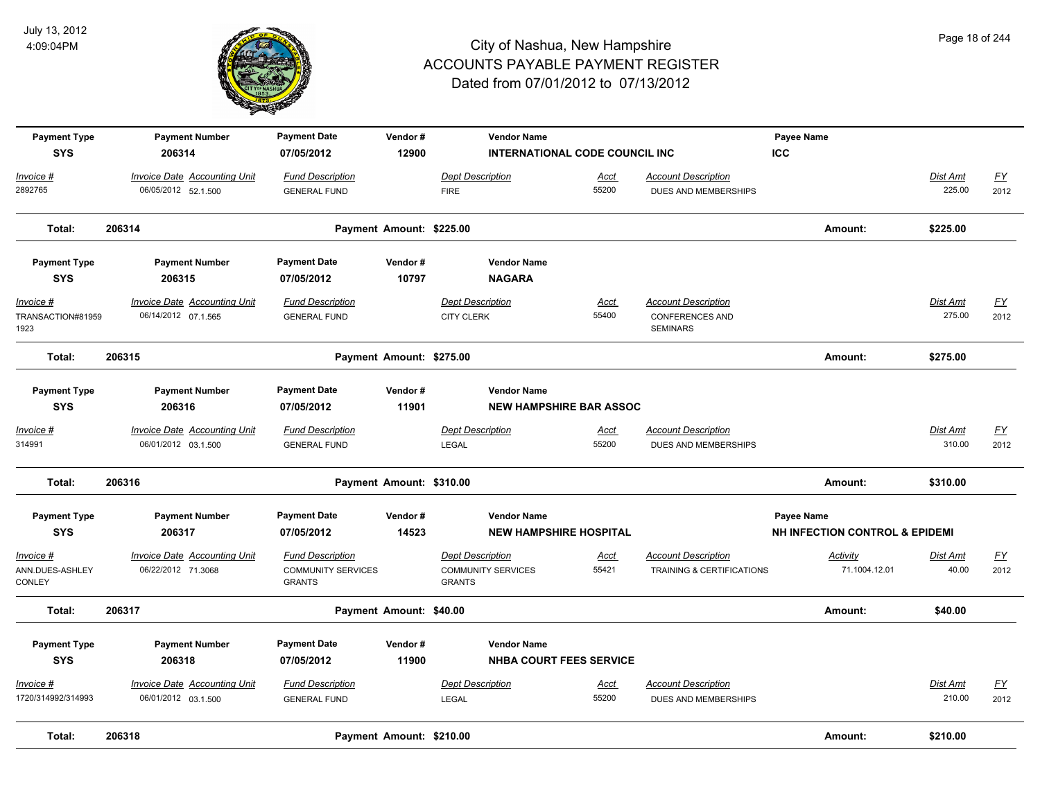

| <b>Payment Type</b><br><b>SYS</b>              | <b>Payment Number</b><br>206314                            | <b>Payment Date</b><br>07/05/2012                                     | Vendor#<br>12900         | <b>Vendor Name</b><br><b>INTERNATIONAL CODE COUNCIL INC</b>           |                      |                                                                         | Payee Name<br><b>ICC</b>                                       |                           |                          |
|------------------------------------------------|------------------------------------------------------------|-----------------------------------------------------------------------|--------------------------|-----------------------------------------------------------------------|----------------------|-------------------------------------------------------------------------|----------------------------------------------------------------|---------------------------|--------------------------|
| Invoice #<br>2892765                           | <b>Invoice Date Accounting Unit</b><br>06/05/2012 52.1.500 | <b>Fund Description</b><br><b>GENERAL FUND</b>                        |                          | <b>Dept Description</b><br><b>FIRE</b>                                | Acct<br>55200        | <b>Account Description</b><br>DUES AND MEMBERSHIPS                      |                                                                | Dist Amt<br>225.00        | <u>FY</u><br>2012        |
| Total:                                         | 206314                                                     |                                                                       | Payment Amount: \$225.00 |                                                                       |                      |                                                                         | Amount:                                                        | \$225.00                  |                          |
| <b>Payment Type</b><br><b>SYS</b>              | <b>Payment Number</b><br>206315                            | <b>Payment Date</b><br>07/05/2012                                     | Vendor#<br>10797         | <b>Vendor Name</b><br><b>NAGARA</b>                                   |                      |                                                                         |                                                                |                           |                          |
| <u> Invoice #</u><br>TRANSACTION#81959<br>1923 | <b>Invoice Date Accounting Unit</b><br>06/14/2012 07.1.565 | <b>Fund Description</b><br><b>GENERAL FUND</b>                        |                          | <b>Dept Description</b><br><b>CITY CLERK</b>                          | <b>Acct</b><br>55400 | <b>Account Description</b><br><b>CONFERENCES AND</b><br><b>SEMINARS</b> |                                                                | <b>Dist Amt</b><br>275.00 | <u>FY</u><br>2012        |
| Total:                                         | 206315                                                     |                                                                       | Payment Amount: \$275.00 |                                                                       |                      |                                                                         | Amount:                                                        | \$275.00                  |                          |
| <b>Payment Type</b><br><b>SYS</b>              | <b>Payment Number</b><br>206316                            | <b>Payment Date</b><br>07/05/2012                                     | Vendor#<br>11901         | <b>Vendor Name</b><br><b>NEW HAMPSHIRE BAR ASSOC</b>                  |                      |                                                                         |                                                                |                           |                          |
| Invoice #<br>314991                            | <b>Invoice Date Accounting Unit</b><br>06/01/2012 03.1.500 | <b>Fund Description</b><br><b>GENERAL FUND</b>                        |                          | <b>Dept Description</b><br>LEGAL                                      | <u>Acct</u><br>55200 | <b>Account Description</b><br>DUES AND MEMBERSHIPS                      |                                                                | <b>Dist Amt</b><br>310.00 | <u>FY</u><br>2012        |
| Total:                                         | 206316                                                     |                                                                       | Payment Amount: \$310.00 |                                                                       |                      |                                                                         | Amount:                                                        | \$310.00                  |                          |
| <b>Payment Type</b><br><b>SYS</b>              | <b>Payment Number</b><br>206317                            | <b>Payment Date</b><br>07/05/2012                                     | Vendor#<br>14523         | <b>Vendor Name</b><br><b>NEW HAMPSHIRE HOSPITAL</b>                   |                      |                                                                         | <b>Payee Name</b><br><b>NH INFECTION CONTROL &amp; EPIDEMI</b> |                           |                          |
| Invoice #<br>ANN.DUES-ASHLEY<br>CONLEY         | <b>Invoice Date Accounting Unit</b><br>06/22/2012 71.3068  | <b>Fund Description</b><br><b>COMMUNITY SERVICES</b><br><b>GRANTS</b> |                          | <b>Dept Description</b><br><b>COMMUNITY SERVICES</b><br><b>GRANTS</b> | <u>Acct</u><br>55421 | <b>Account Description</b><br>TRAINING & CERTIFICATIONS                 | <b>Activity</b><br>71.1004.12.01                               | Dist Amt<br>40.00         | $\underline{FY}$<br>2012 |
| Total:                                         | 206317                                                     |                                                                       | Payment Amount: \$40.00  |                                                                       |                      |                                                                         | Amount:                                                        | \$40.00                   |                          |
| <b>Payment Type</b><br><b>SYS</b>              | <b>Payment Number</b><br>206318                            | <b>Payment Date</b><br>07/05/2012                                     | Vendor#<br>11900         | <b>Vendor Name</b><br><b>NHBA COURT FEES SERVICE</b>                  |                      |                                                                         |                                                                |                           |                          |
| <u> Invoice #</u><br>1720/314992/314993        | <b>Invoice Date Accounting Unit</b><br>06/01/2012 03.1.500 | <b>Fund Description</b><br><b>GENERAL FUND</b>                        |                          | <b>Dept Description</b><br><b>LEGAL</b>                               | Acct<br>55200        | <b>Account Description</b><br>DUES AND MEMBERSHIPS                      |                                                                | Dist Amt<br>210.00        | $\underline{FY}$<br>2012 |
| Total:                                         | 206318                                                     |                                                                       | Payment Amount: \$210.00 |                                                                       |                      |                                                                         | Amount:                                                        | \$210.00                  |                          |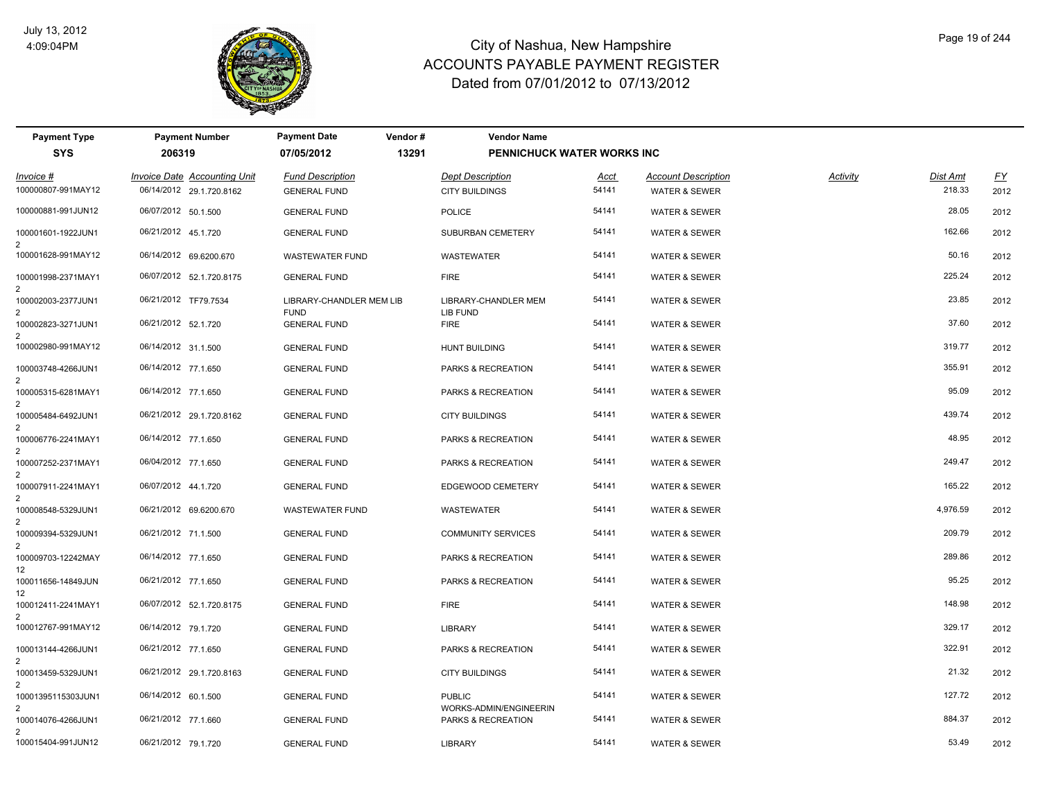

| <b>Payment Type</b>                  | <b>Payment Number</b>        | <b>Payment Date</b><br>Vendor#          | <b>Vendor Name</b>                      |                                   |                            |                 |                 |           |
|--------------------------------------|------------------------------|-----------------------------------------|-----------------------------------------|-----------------------------------|----------------------------|-----------------|-----------------|-----------|
| <b>SYS</b>                           | 206319                       | 07/05/2012                              | 13291                                   | <b>PENNICHUCK WATER WORKS INC</b> |                            |                 |                 |           |
| Invoice #                            | Invoice Date Accounting Unit | <b>Fund Description</b>                 | <b>Dept Description</b>                 | Acct                              | <b>Account Description</b> | <b>Activity</b> | <b>Dist Amt</b> | <u>FY</u> |
| 100000807-991MAY12                   | 06/14/2012 29.1.720.8162     | <b>GENERAL FUND</b>                     | <b>CITY BUILDINGS</b>                   | 54141                             | <b>WATER &amp; SEWER</b>   |                 | 218.33          | 2012      |
| 100000881-991JUN12                   | 06/07/2012 50.1.500          | <b>GENERAL FUND</b>                     | <b>POLICE</b>                           | 54141                             | <b>WATER &amp; SEWER</b>   |                 | 28.05           | 2012      |
| 100001601-1922JUN1<br>$\overline{2}$ | 06/21/2012 45.1.720          | <b>GENERAL FUND</b>                     | SUBURBAN CEMETERY                       | 54141                             | <b>WATER &amp; SEWER</b>   |                 | 162.66          | 2012      |
| 100001628-991MAY12                   | 06/14/2012 69.6200.670       | <b>WASTEWATER FUND</b>                  | WASTEWATER                              | 54141                             | <b>WATER &amp; SEWER</b>   |                 | 50.16           | 2012      |
| 100001998-2371MAY1                   | 06/07/2012 52.1.720.8175     | <b>GENERAL FUND</b>                     | <b>FIRE</b>                             | 54141                             | <b>WATER &amp; SEWER</b>   |                 | 225.24          | 2012      |
| 100002003-2377JUN1                   | 06/21/2012 TF79.7534         | LIBRARY-CHANDLER MEM LIB<br><b>FUND</b> | LIBRARY-CHANDLER MEM                    | 54141                             | <b>WATER &amp; SEWER</b>   |                 | 23.85           | 2012      |
| 100002823-3271JUN1<br>$\mathfrak{p}$ | 06/21/2012 52.1.720          | <b>GENERAL FUND</b>                     | LIB FUND<br><b>FIRE</b>                 | 54141                             | <b>WATER &amp; SEWER</b>   |                 | 37.60           | 2012      |
| 100002980-991MAY12                   | 06/14/2012 31.1.500          | <b>GENERAL FUND</b>                     | <b>HUNT BUILDING</b>                    | 54141                             | <b>WATER &amp; SEWER</b>   |                 | 319.77          | 2012      |
| 100003748-4266JUN1<br>2              | 06/14/2012 77.1.650          | <b>GENERAL FUND</b>                     | PARKS & RECREATION                      | 54141                             | <b>WATER &amp; SEWER</b>   |                 | 355.91          | 2012      |
| 100005315-6281MAY1                   | 06/14/2012 77.1.650          | <b>GENERAL FUND</b>                     | PARKS & RECREATION                      | 54141                             | <b>WATER &amp; SEWER</b>   |                 | 95.09           | 2012      |
| 100005484-6492JUN1                   | 06/21/2012 29.1.720.8162     | <b>GENERAL FUND</b>                     | <b>CITY BUILDINGS</b>                   | 54141                             | <b>WATER &amp; SEWER</b>   |                 | 439.74          | 2012      |
| 100006776-2241MAY1<br>2              | 06/14/2012 77.1.650          | <b>GENERAL FUND</b>                     | PARKS & RECREATION                      | 54141                             | <b>WATER &amp; SEWER</b>   |                 | 48.95           | 2012      |
| 100007252-2371MAY1                   | 06/04/2012 77.1.650          | <b>GENERAL FUND</b>                     | PARKS & RECREATION                      | 54141                             | <b>WATER &amp; SEWER</b>   |                 | 249.47          | 2012      |
| 2<br>100007911-2241MAY1              | 06/07/2012 44.1.720          | <b>GENERAL FUND</b>                     | EDGEWOOD CEMETERY                       | 54141                             | <b>WATER &amp; SEWER</b>   |                 | 165.22          | 2012      |
| 100008548-5329JUN1<br>2              | 06/21/2012 69.6200.670       | WASTEWATER FUND                         | WASTEWATER                              | 54141                             | <b>WATER &amp; SEWER</b>   |                 | 4,976.59        | 2012      |
| 100009394-5329JUN1<br>2              | 06/21/2012 71.1.500          | <b>GENERAL FUND</b>                     | <b>COMMUNITY SERVICES</b>               | 54141                             | <b>WATER &amp; SEWER</b>   |                 | 209.79          | 2012      |
| 100009703-12242MAY<br>12             | 06/14/2012 77.1.650          | <b>GENERAL FUND</b>                     | PARKS & RECREATION                      | 54141                             | <b>WATER &amp; SEWER</b>   |                 | 289.86          | 2012      |
| 100011656-14849JUN                   | 06/21/2012 77.1.650          | <b>GENERAL FUND</b>                     | PARKS & RECREATION                      | 54141                             | <b>WATER &amp; SEWER</b>   |                 | 95.25           | 2012      |
| 12<br>100012411-2241MAY1             | 06/07/2012 52.1.720.8175     | <b>GENERAL FUND</b>                     | <b>FIRE</b>                             | 54141                             | WATER & SEWER              |                 | 148.98          | 2012      |
| 100012767-991MAY12                   | 06/14/2012 79.1.720          | <b>GENERAL FUND</b>                     | <b>LIBRARY</b>                          | 54141                             | WATER & SEWER              |                 | 329.17          | 2012      |
| 100013144-4266JUN1<br>2              | 06/21/2012 77.1.650          | <b>GENERAL FUND</b>                     | PARKS & RECREATION                      | 54141                             | <b>WATER &amp; SEWER</b>   |                 | 322.91          | 2012      |
| 100013459-5329JUN1<br>2              | 06/21/2012 29.1.720.8163     | <b>GENERAL FUND</b>                     | <b>CITY BUILDINGS</b>                   | 54141                             | <b>WATER &amp; SEWER</b>   |                 | 21.32           | 2012      |
| 10001395115303JUN1                   | 06/14/2012 60.1.500          | <b>GENERAL FUND</b>                     | <b>PUBLIC</b><br>WORKS-ADMIN/ENGINEERIN | 54141                             | <b>WATER &amp; SEWER</b>   |                 | 127.72          | 2012      |
| 100014076-4266JUN1<br>2              | 06/21/2012 77.1.660          | <b>GENERAL FUND</b>                     | PARKS & RECREATION                      | 54141                             | <b>WATER &amp; SEWER</b>   |                 | 884.37          | 2012      |
| 100015404-991JUN12                   | 06/21/2012 79.1.720          | <b>GENERAL FUND</b>                     | <b>LIBRARY</b>                          | 54141                             | <b>WATER &amp; SEWER</b>   |                 | 53.49           | 2012      |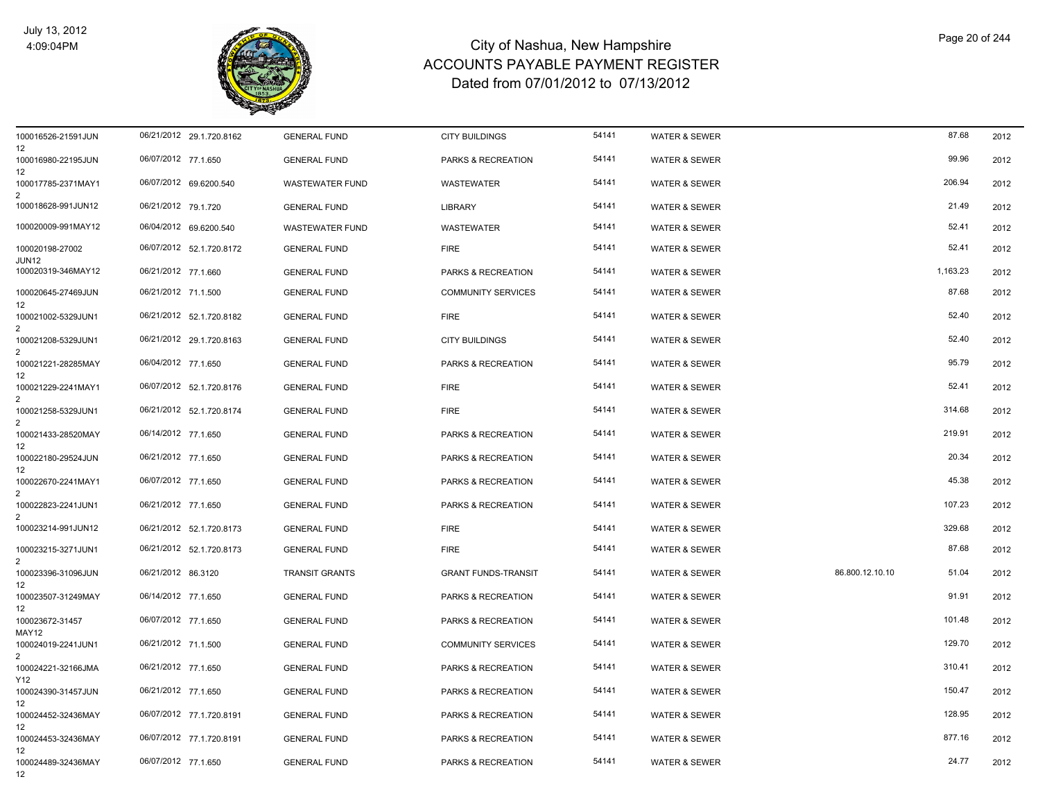

| 100016526-21591JUN<br>12  | 06/21/2012 29.1.720.8162 | <b>GENERAL FUND</b>    | <b>CITY BUILDINGS</b>      | 54141 | <b>WATER &amp; SEWER</b> |                 | 87.68    | 2012 |
|---------------------------|--------------------------|------------------------|----------------------------|-------|--------------------------|-----------------|----------|------|
| 100016980-22195JUN<br>12  | 06/07/2012 77.1.650      | <b>GENERAL FUND</b>    | PARKS & RECREATION         | 54141 | <b>WATER &amp; SEWER</b> |                 | 99.96    | 2012 |
| 100017785-2371MAY1        | 06/07/2012 69.6200.540   | <b>WASTEWATER FUND</b> | <b>WASTEWATER</b>          | 54141 | <b>WATER &amp; SEWER</b> |                 | 206.94   | 2012 |
| 100018628-991JUN12        | 06/21/2012 79.1.720      | <b>GENERAL FUND</b>    | <b>LIBRARY</b>             | 54141 | <b>WATER &amp; SEWER</b> |                 | 21.49    | 2012 |
| 100020009-991MAY12        | 06/04/2012 69.6200.540   | <b>WASTEWATER FUND</b> | <b>WASTEWATER</b>          | 54141 | <b>WATER &amp; SEWER</b> |                 | 52.41    | 2012 |
| 100020198-27002<br>JUN12  | 06/07/2012 52.1.720.8172 | <b>GENERAL FUND</b>    | <b>FIRE</b>                | 54141 | <b>WATER &amp; SEWER</b> |                 | 52.41    | 2012 |
| 100020319-346MAY12        | 06/21/2012 77.1.660      | <b>GENERAL FUND</b>    | PARKS & RECREATION         | 54141 | <b>WATER &amp; SEWER</b> |                 | 1,163.23 | 2012 |
| 100020645-27469JUN<br>12  | 06/21/2012 71.1.500      | <b>GENERAL FUND</b>    | <b>COMMUNITY SERVICES</b>  | 54141 | WATER & SEWER            |                 | 87.68    | 2012 |
| 100021002-5329JUN1<br>2   | 06/21/2012 52.1.720.8182 | <b>GENERAL FUND</b>    | <b>FIRE</b>                | 54141 | <b>WATER &amp; SEWER</b> |                 | 52.40    | 2012 |
| 100021208-5329JUN1        | 06/21/2012 29.1.720.8163 | <b>GENERAL FUND</b>    | <b>CITY BUILDINGS</b>      | 54141 | <b>WATER &amp; SEWER</b> |                 | 52.40    | 2012 |
| 100021221-28285MAY<br>12  | 06/04/2012 77.1.650      | <b>GENERAL FUND</b>    | PARKS & RECREATION         | 54141 | <b>WATER &amp; SEWER</b> |                 | 95.79    | 2012 |
| 100021229-2241MAY1        | 06/07/2012 52.1.720.8176 | <b>GENERAL FUND</b>    | <b>FIRE</b>                | 54141 | <b>WATER &amp; SEWER</b> |                 | 52.41    | 2012 |
| 100021258-5329JUN1        | 06/21/2012 52.1.720.8174 | <b>GENERAL FUND</b>    | <b>FIRE</b>                | 54141 | <b>WATER &amp; SEWER</b> |                 | 314.68   | 2012 |
| 100021433-28520MAY<br>12  | 06/14/2012 77.1.650      | <b>GENERAL FUND</b>    | PARKS & RECREATION         | 54141 | <b>WATER &amp; SEWER</b> |                 | 219.91   | 2012 |
| 100022180-29524JUN<br>12  | 06/21/2012 77.1.650      | <b>GENERAL FUND</b>    | PARKS & RECREATION         | 54141 | <b>WATER &amp; SEWER</b> |                 | 20.34    | 2012 |
| 100022670-2241MAY1<br>2   | 06/07/2012 77.1.650      | <b>GENERAL FUND</b>    | PARKS & RECREATION         | 54141 | <b>WATER &amp; SEWER</b> |                 | 45.38    | 2012 |
| 100022823-2241JUN1        | 06/21/2012 77.1.650      | <b>GENERAL FUND</b>    | PARKS & RECREATION         | 54141 | <b>WATER &amp; SEWER</b> |                 | 107.23   | 2012 |
| 100023214-991JUN12        | 06/21/2012 52.1.720.8173 | <b>GENERAL FUND</b>    | <b>FIRE</b>                | 54141 | <b>WATER &amp; SEWER</b> |                 | 329.68   | 2012 |
| 100023215-3271JUN1        | 06/21/2012 52.1.720.8173 | <b>GENERAL FUND</b>    | <b>FIRE</b>                | 54141 | <b>WATER &amp; SEWER</b> |                 | 87.68    | 2012 |
| 100023396-31096JUN<br>12  | 06/21/2012 86.3120       | <b>TRANSIT GRANTS</b>  | <b>GRANT FUNDS-TRANSIT</b> | 54141 | WATER & SEWER            | 86.800.12.10.10 | 51.04    | 2012 |
| 100023507-31249MAY<br>12  | 06/14/2012 77.1.650      | <b>GENERAL FUND</b>    | PARKS & RECREATION         | 54141 | WATER & SEWER            |                 | 91.91    | 2012 |
| 100023672-31457<br>MAY12  | 06/07/2012 77.1.650      | <b>GENERAL FUND</b>    | PARKS & RECREATION         | 54141 | <b>WATER &amp; SEWER</b> |                 | 101.48   | 2012 |
| 100024019-2241JUN1<br>2   | 06/21/2012 71.1.500      | <b>GENERAL FUND</b>    | <b>COMMUNITY SERVICES</b>  | 54141 | <b>WATER &amp; SEWER</b> |                 | 129.70   | 2012 |
| 100024221-32166JMA<br>Y12 | 06/21/2012 77.1.650      | <b>GENERAL FUND</b>    | PARKS & RECREATION         | 54141 | <b>WATER &amp; SEWER</b> |                 | 310.41   | 2012 |
| 100024390-31457JUN<br>12  | 06/21/2012 77.1.650      | <b>GENERAL FUND</b>    | PARKS & RECREATION         | 54141 | <b>WATER &amp; SEWER</b> |                 | 150.47   | 2012 |
| 100024452-32436MAY<br>12  | 06/07/2012 77.1.720.8191 | <b>GENERAL FUND</b>    | PARKS & RECREATION         | 54141 | <b>WATER &amp; SEWER</b> |                 | 128.95   | 2012 |
| 100024453-32436MAY<br>12  | 06/07/2012 77.1.720.8191 | <b>GENERAL FUND</b>    | PARKS & RECREATION         | 54141 | <b>WATER &amp; SEWER</b> |                 | 877.16   | 2012 |
| 100024489-32436MAY<br>12  | 06/07/2012 77.1.650      | <b>GENERAL FUND</b>    | PARKS & RECREATION         | 54141 | <b>WATER &amp; SEWER</b> |                 | 24.77    | 2012 |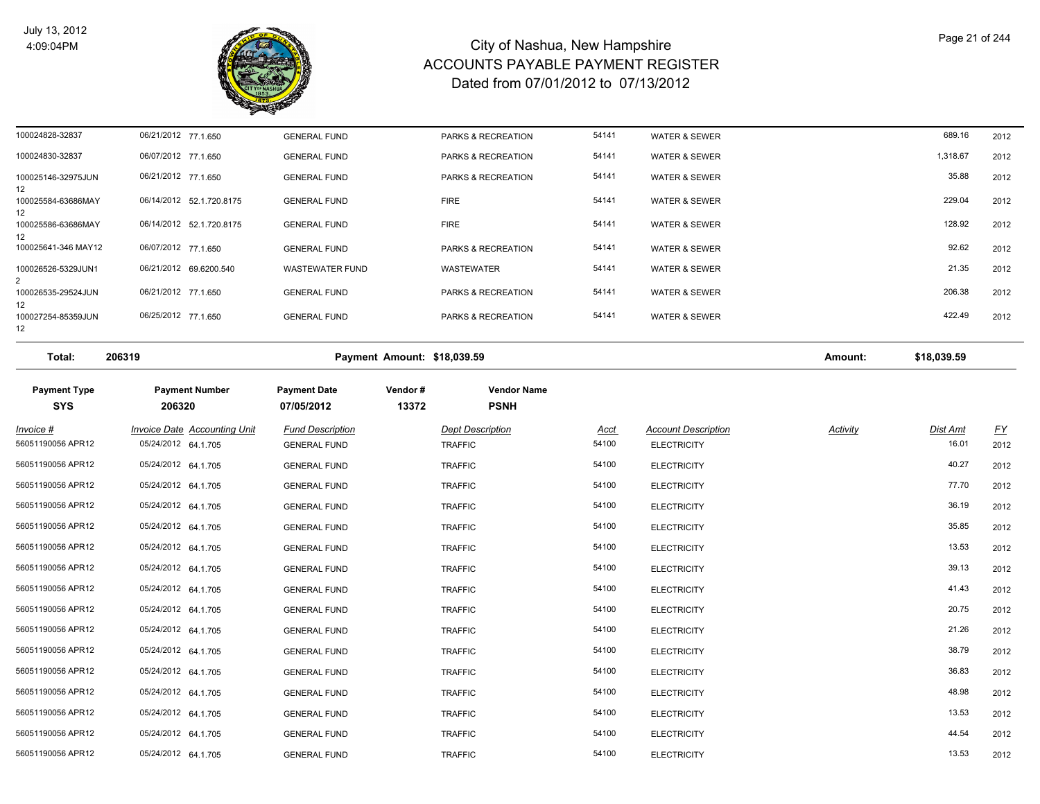

| 100024828-32837                       | 06/21/2012 77.1.650 |                          | <b>GENERAL FUND</b>    | <b>PARKS &amp; RECREATION</b> | 54141 | WATER & SEWER | 689.16   | 2012 |
|---------------------------------------|---------------------|--------------------------|------------------------|-------------------------------|-------|---------------|----------|------|
| 100024830-32837                       | 06/07/2012 77.1.650 |                          | <b>GENERAL FUND</b>    | <b>PARKS &amp; RECREATION</b> | 54141 | WATER & SEWER | 1,318.67 | 2012 |
| 100025146-32975JUN<br>12 <sup>°</sup> | 06/21/2012 77.1.650 |                          | <b>GENERAL FUND</b>    | <b>PARKS &amp; RECREATION</b> | 54141 | WATER & SEWER | 35.88    | 2012 |
| 100025584-63686MAY<br>12              |                     | 06/14/2012 52.1.720.8175 | <b>GENERAL FUND</b>    | <b>FIRE</b>                   | 54141 | WATER & SEWER | 229.04   | 2012 |
| 100025586-63686MAY<br>12              |                     | 06/14/2012 52.1.720.8175 | <b>GENERAL FUND</b>    | <b>FIRE</b>                   | 54141 | WATER & SEWER | 128.92   | 2012 |
| 100025641-346 MAY12                   | 06/07/2012 77.1.650 |                          | <b>GENERAL FUND</b>    | PARKS & RECREATION            | 54141 | WATER & SEWER | 92.62    | 2012 |
| 100026526-5329JUN1                    |                     | 06/21/2012 69.6200.540   | <b>WASTEWATER FUND</b> | <b>WASTEWATER</b>             | 54141 | WATER & SEWER | 21.35    | 2012 |
| 100026535-29524JUN<br>12              | 06/21/2012 77.1.650 |                          | <b>GENERAL FUND</b>    | <b>PARKS &amp; RECREATION</b> | 54141 | WATER & SEWER | 206.38   | 2012 |
| 100027254-85359JUN<br>12              | 06/25/2012 77.1.650 |                          | <b>GENERAL FUND</b>    | <b>PARKS &amp; RECREATION</b> | 54141 | WATER & SEWER | 422.49   | 2012 |

| Total: | 206319 | \$18.039.59<br><b>Payment Amount:</b> | Amount: | \$18.039.59 |
|--------|--------|---------------------------------------|---------|-------------|
|        |        |                                       |         |             |

| <b>Payment Type</b><br><b>SYS</b> | <b>Payment Number</b><br>206320                     | <b>Payment Date</b><br>07/05/2012              | Vendor#<br>13372 | <b>Vendor Name</b><br><b>PSNH</b>         |                      |                                                  |                 |                          |                   |
|-----------------------------------|-----------------------------------------------------|------------------------------------------------|------------------|-------------------------------------------|----------------------|--------------------------------------------------|-----------------|--------------------------|-------------------|
| $Invoice$ #<br>56051190056 APR12  | Invoice Date Accounting Unit<br>05/24/2012 64.1.705 | <b>Fund Description</b><br><b>GENERAL FUND</b> |                  | <b>Dept Description</b><br><b>TRAFFIC</b> | <u>Acct</u><br>54100 | <b>Account Description</b><br><b>ELECTRICITY</b> | <b>Activity</b> | <u>Dist Amt</u><br>16.01 | <u>FY</u><br>2012 |
| 56051190056 APR12                 | 05/24/2012 64.1.705                                 | <b>GENERAL FUND</b>                            |                  | <b>TRAFFIC</b>                            | 54100                | <b>ELECTRICITY</b>                               |                 | 40.27                    | 2012              |
| 56051190056 APR12                 | 05/24/2012 64.1.705                                 | <b>GENERAL FUND</b>                            |                  | <b>TRAFFIC</b>                            | 54100                | <b>ELECTRICITY</b>                               |                 | 77.70                    | 2012              |
| 56051190056 APR12                 | 05/24/2012 64.1.705                                 | <b>GENERAL FUND</b>                            |                  | <b>TRAFFIC</b>                            | 54100                | <b>ELECTRICITY</b>                               |                 | 36.19                    | 2012              |
| 56051190056 APR12                 | 05/24/2012 64.1.705                                 | <b>GENERAL FUND</b>                            |                  | <b>TRAFFIC</b>                            | 54100                | <b>ELECTRICITY</b>                               |                 | 35.85                    | 2012              |
| 56051190056 APR12                 | 05/24/2012 64.1.705                                 | <b>GENERAL FUND</b>                            |                  | <b>TRAFFIC</b>                            | 54100                | <b>ELECTRICITY</b>                               |                 | 13.53                    | 2012              |
| 56051190056 APR12                 | 05/24/2012 64.1.705                                 | <b>GENERAL FUND</b>                            |                  | <b>TRAFFIC</b>                            | 54100                | <b>ELECTRICITY</b>                               |                 | 39.13                    | 2012              |
| 56051190056 APR12                 | 05/24/2012 64.1.705                                 | <b>GENERAL FUND</b>                            |                  | <b>TRAFFIC</b>                            | 54100                | <b>ELECTRICITY</b>                               |                 | 41.43                    | 2012              |
| 56051190056 APR12                 | 05/24/2012 64.1.705                                 | <b>GENERAL FUND</b>                            |                  | <b>TRAFFIC</b>                            | 54100                | <b>ELECTRICITY</b>                               |                 | 20.75                    | 2012              |
| 56051190056 APR12                 | 05/24/2012 64.1.705                                 | <b>GENERAL FUND</b>                            |                  | <b>TRAFFIC</b>                            | 54100                | <b>ELECTRICITY</b>                               |                 | 21.26                    | 2012              |
| 56051190056 APR12                 | 05/24/2012 64.1.705                                 | <b>GENERAL FUND</b>                            |                  | <b>TRAFFIC</b>                            | 54100                | <b>ELECTRICITY</b>                               |                 | 38.79                    | 2012              |
| 56051190056 APR12                 | 05/24/2012 64.1.705                                 | <b>GENERAL FUND</b>                            |                  | <b>TRAFFIC</b>                            | 54100                | <b>ELECTRICITY</b>                               |                 | 36.83                    | 2012              |
| 56051190056 APR12                 | 05/24/2012 64.1.705                                 | <b>GENERAL FUND</b>                            |                  | <b>TRAFFIC</b>                            | 54100                | <b>ELECTRICITY</b>                               |                 | 48.98                    | 2012              |
| 56051190056 APR12                 | 05/24/2012 64.1.705                                 | <b>GENERAL FUND</b>                            |                  | <b>TRAFFIC</b>                            | 54100                | <b>ELECTRICITY</b>                               |                 | 13.53                    | 2012              |
| 56051190056 APR12                 | 05/24/2012 64.1.705                                 | <b>GENERAL FUND</b>                            |                  | <b>TRAFFIC</b>                            | 54100                | <b>ELECTRICITY</b>                               |                 | 44.54                    | 2012              |
| 56051190056 APR12                 | 05/24/2012 64.1.705                                 | <b>GENERAL FUND</b>                            |                  | <b>TRAFFIC</b>                            | 54100                | <b>ELECTRICITY</b>                               |                 | 13.53                    | 2012              |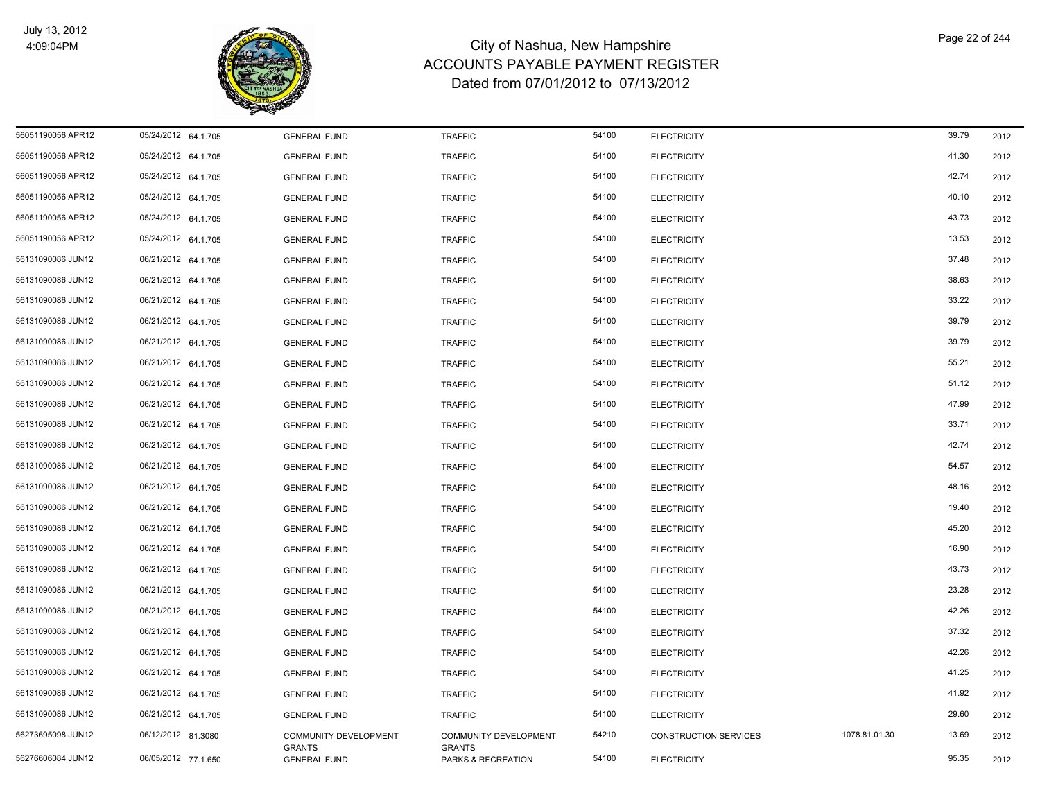

| 56051190056 APR12 | 05/24/2012 64.1.705 | <b>GENERAL FUND</b>                  | <b>TRAFFIC</b>                      | 54100 | <b>ELECTRICITY</b>           |               | 39.79 | 2012 |
|-------------------|---------------------|--------------------------------------|-------------------------------------|-------|------------------------------|---------------|-------|------|
| 56051190056 APR12 | 05/24/2012 64.1.705 | <b>GENERAL FUND</b>                  | <b>TRAFFIC</b>                      | 54100 | <b>ELECTRICITY</b>           |               | 41.30 | 2012 |
| 56051190056 APR12 | 05/24/2012 64.1.705 | <b>GENERAL FUND</b>                  | <b>TRAFFIC</b>                      | 54100 | <b>ELECTRICITY</b>           |               | 42.74 | 2012 |
| 56051190056 APR12 | 05/24/2012 64.1.705 | <b>GENERAL FUND</b>                  | <b>TRAFFIC</b>                      | 54100 | <b>ELECTRICITY</b>           |               | 40.10 | 2012 |
| 56051190056 APR12 | 05/24/2012 64.1.705 | <b>GENERAL FUND</b>                  | <b>TRAFFIC</b>                      | 54100 | <b>ELECTRICITY</b>           |               | 43.73 | 2012 |
| 56051190056 APR12 | 05/24/2012 64.1.705 | <b>GENERAL FUND</b>                  | <b>TRAFFIC</b>                      | 54100 | <b>ELECTRICITY</b>           |               | 13.53 | 2012 |
| 56131090086 JUN12 | 06/21/2012 64.1.705 | <b>GENERAL FUND</b>                  | <b>TRAFFIC</b>                      | 54100 | <b>ELECTRICITY</b>           |               | 37.48 | 2012 |
| 56131090086 JUN12 | 06/21/2012 64.1.705 | <b>GENERAL FUND</b>                  | <b>TRAFFIC</b>                      | 54100 | <b>ELECTRICITY</b>           |               | 38.63 | 2012 |
| 56131090086 JUN12 | 06/21/2012 64.1.705 | <b>GENERAL FUND</b>                  | <b>TRAFFIC</b>                      | 54100 | <b>ELECTRICITY</b>           |               | 33.22 | 2012 |
| 56131090086 JUN12 | 06/21/2012 64.1.705 | <b>GENERAL FUND</b>                  | <b>TRAFFIC</b>                      | 54100 | <b>ELECTRICITY</b>           |               | 39.79 | 2012 |
| 56131090086 JUN12 | 06/21/2012 64.1.705 | <b>GENERAL FUND</b>                  | <b>TRAFFIC</b>                      | 54100 | <b>ELECTRICITY</b>           |               | 39.79 | 2012 |
| 56131090086 JUN12 | 06/21/2012 64.1.705 | <b>GENERAL FUND</b>                  | <b>TRAFFIC</b>                      | 54100 | <b>ELECTRICITY</b>           |               | 55.21 | 2012 |
| 56131090086 JUN12 | 06/21/2012 64.1.705 | <b>GENERAL FUND</b>                  | <b>TRAFFIC</b>                      | 54100 | <b>ELECTRICITY</b>           |               | 51.12 | 2012 |
| 56131090086 JUN12 | 06/21/2012 64.1.705 | <b>GENERAL FUND</b>                  | <b>TRAFFIC</b>                      | 54100 | <b>ELECTRICITY</b>           |               | 47.99 | 2012 |
| 56131090086 JUN12 | 06/21/2012 64.1.705 | <b>GENERAL FUND</b>                  | <b>TRAFFIC</b>                      | 54100 | <b>ELECTRICITY</b>           |               | 33.71 | 2012 |
| 56131090086 JUN12 | 06/21/2012 64.1.705 | <b>GENERAL FUND</b>                  | <b>TRAFFIC</b>                      | 54100 | <b>ELECTRICITY</b>           |               | 42.74 | 2012 |
| 56131090086 JUN12 | 06/21/2012 64.1.705 | <b>GENERAL FUND</b>                  | <b>TRAFFIC</b>                      | 54100 | <b>ELECTRICITY</b>           |               | 54.57 | 2012 |
| 56131090086 JUN12 | 06/21/2012 64.1.705 | <b>GENERAL FUND</b>                  | <b>TRAFFIC</b>                      | 54100 | <b>ELECTRICITY</b>           |               | 48.16 | 2012 |
| 56131090086 JUN12 | 06/21/2012 64.1.705 | <b>GENERAL FUND</b>                  | <b>TRAFFIC</b>                      | 54100 | <b>ELECTRICITY</b>           |               | 19.40 | 2012 |
| 56131090086 JUN12 | 06/21/2012 64.1.705 | <b>GENERAL FUND</b>                  | <b>TRAFFIC</b>                      | 54100 | <b>ELECTRICITY</b>           |               | 45.20 | 2012 |
| 56131090086 JUN12 | 06/21/2012 64.1.705 | <b>GENERAL FUND</b>                  | <b>TRAFFIC</b>                      | 54100 | <b>ELECTRICITY</b>           |               | 16.90 | 2012 |
| 56131090086 JUN12 | 06/21/2012 64.1.705 | <b>GENERAL FUND</b>                  | <b>TRAFFIC</b>                      | 54100 | <b>ELECTRICITY</b>           |               | 43.73 | 2012 |
| 56131090086 JUN12 | 06/21/2012 64.1.705 | <b>GENERAL FUND</b>                  | <b>TRAFFIC</b>                      | 54100 | <b>ELECTRICITY</b>           |               | 23.28 | 2012 |
| 56131090086 JUN12 | 06/21/2012 64.1.705 | <b>GENERAL FUND</b>                  | <b>TRAFFIC</b>                      | 54100 | <b>ELECTRICITY</b>           |               | 42.26 | 2012 |
| 56131090086 JUN12 | 06/21/2012 64.1.705 | <b>GENERAL FUND</b>                  | <b>TRAFFIC</b>                      | 54100 | <b>ELECTRICITY</b>           |               | 37.32 | 2012 |
| 56131090086 JUN12 | 06/21/2012 64.1.705 | <b>GENERAL FUND</b>                  | <b>TRAFFIC</b>                      | 54100 | <b>ELECTRICITY</b>           |               | 42.26 | 2012 |
| 56131090086 JUN12 | 06/21/2012 64.1.705 | <b>GENERAL FUND</b>                  | <b>TRAFFIC</b>                      | 54100 | <b>ELECTRICITY</b>           |               | 41.25 | 2012 |
| 56131090086 JUN12 | 06/21/2012 64.1.705 | <b>GENERAL FUND</b>                  | <b>TRAFFIC</b>                      | 54100 | <b>ELECTRICITY</b>           |               | 41.92 | 2012 |
| 56131090086 JUN12 | 06/21/2012 64.1.705 | <b>GENERAL FUND</b>                  | <b>TRAFFIC</b>                      | 54100 | <b>ELECTRICITY</b>           |               | 29.60 | 2012 |
| 56273695098 JUN12 | 06/12/2012 81.3080  | COMMUNITY DEVELOPMENT                | COMMUNITY DEVELOPMENT               | 54210 | <b>CONSTRUCTION SERVICES</b> | 1078.81.01.30 | 13.69 | 2012 |
| 56276606084 JUN12 | 06/05/2012 77.1.650 | <b>GRANTS</b><br><b>GENERAL FUND</b> | <b>GRANTS</b><br>PARKS & RECREATION | 54100 | <b>ELECTRICITY</b>           |               | 95.35 | 2012 |
|                   |                     |                                      |                                     |       |                              |               |       |      |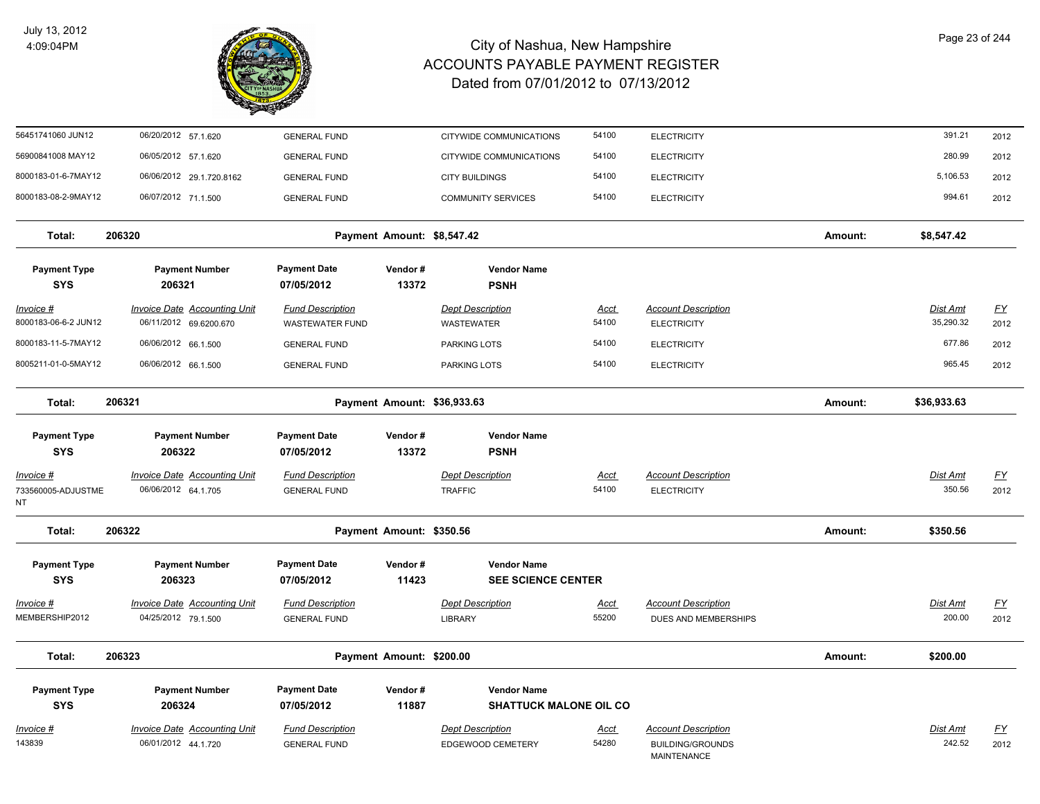

| 56451741060 JUN12                        | 06/20/2012 57.1.620                                           | <b>GENERAL FUND</b>                               |                             | CITYWIDE COMMUNICATIONS                             | 54100                | <b>ELECTRICITY</b>                                                   |         | 391.21                       | 2012                     |
|------------------------------------------|---------------------------------------------------------------|---------------------------------------------------|-----------------------------|-----------------------------------------------------|----------------------|----------------------------------------------------------------------|---------|------------------------------|--------------------------|
| 56900841008 MAY12                        | 06/05/2012 57.1.620                                           | <b>GENERAL FUND</b>                               |                             | CITYWIDE COMMUNICATIONS                             | 54100                | <b>ELECTRICITY</b>                                                   |         | 280.99                       | 2012                     |
| 8000183-01-6-7MAY12                      | 06/06/2012 29.1.720.8162                                      | <b>GENERAL FUND</b>                               |                             | <b>CITY BUILDINGS</b>                               | 54100                | <b>ELECTRICITY</b>                                                   |         | 5,106.53                     | 2012                     |
| 8000183-08-2-9MAY12                      | 06/07/2012 71.1.500                                           | <b>GENERAL FUND</b>                               |                             | <b>COMMUNITY SERVICES</b>                           | 54100                | <b>ELECTRICITY</b>                                                   |         | 994.61                       | 2012                     |
| Total:                                   | 206320                                                        |                                                   | Payment Amount: \$8,547.42  |                                                     |                      |                                                                      | Amount: | \$8,547.42                   |                          |
| <b>Payment Type</b><br><b>SYS</b>        | <b>Payment Number</b><br>206321                               | <b>Payment Date</b><br>07/05/2012                 | Vendor#<br>13372            | <b>Vendor Name</b><br><b>PSNH</b>                   |                      |                                                                      |         |                              |                          |
| <u>Invoice #</u><br>8000183-06-6-2 JUN12 | <b>Invoice Date Accounting Unit</b><br>06/11/2012 69.6200.670 | <b>Fund Description</b><br><b>WASTEWATER FUND</b> |                             | <b>Dept Description</b><br><b>WASTEWATER</b>        | <u>Acct</u><br>54100 | <b>Account Description</b><br><b>ELECTRICITY</b>                     |         | <b>Dist Amt</b><br>35,290.32 | <u>FY</u><br>2012        |
| 8000183-11-5-7MAY12                      | 06/06/2012 66.1.500                                           | <b>GENERAL FUND</b>                               |                             | PARKING LOTS                                        | 54100                | <b>ELECTRICITY</b>                                                   |         | 677.86                       | 2012                     |
| 8005211-01-0-5MAY12                      | 06/06/2012 66.1.500                                           | <b>GENERAL FUND</b>                               |                             | PARKING LOTS                                        | 54100                | <b>ELECTRICITY</b>                                                   |         | 965.45                       | 2012                     |
| Total:                                   | 206321                                                        |                                                   | Payment Amount: \$36,933.63 |                                                     |                      |                                                                      | Amount: | \$36,933.63                  |                          |
| <b>Payment Type</b><br><b>SYS</b>        | <b>Payment Number</b><br>206322                               | <b>Payment Date</b><br>07/05/2012                 | Vendor#<br>13372            | <b>Vendor Name</b><br><b>PSNH</b>                   |                      |                                                                      |         |                              |                          |
| Invoice #<br>733560005-ADJUSTME<br>NΤ    | <b>Invoice Date Accounting Unit</b><br>06/06/2012 64.1.705    | <b>Fund Description</b><br><b>GENERAL FUND</b>    |                             | <b>Dept Description</b><br><b>TRAFFIC</b>           | Acct<br>54100        | <b>Account Description</b><br><b>ELECTRICITY</b>                     |         | <b>Dist Amt</b><br>350.56    | $\underline{FY}$<br>2012 |
| Total:                                   | 206322                                                        |                                                   | Payment Amount: \$350.56    |                                                     |                      |                                                                      | Amount: | \$350.56                     |                          |
| <b>Payment Type</b><br><b>SYS</b>        | <b>Payment Number</b><br>206323                               | <b>Payment Date</b><br>07/05/2012                 | Vendor#<br>11423            | <b>Vendor Name</b><br><b>SEE SCIENCE CENTER</b>     |                      |                                                                      |         |                              |                          |
| Invoice #<br>MEMBERSHIP2012              | <b>Invoice Date Accounting Unit</b><br>04/25/2012 79.1.500    | <b>Fund Description</b><br><b>GENERAL FUND</b>    |                             | <b>Dept Description</b><br><b>LIBRARY</b>           | Acct<br>55200        | <b>Account Description</b><br>DUES AND MEMBERSHIPS                   |         | Dist Amt<br>200.00           | $\underline{FY}$<br>2012 |
| Total:                                   | 206323                                                        |                                                   | Payment Amount: \$200.00    |                                                     |                      |                                                                      | Amount: | \$200.00                     |                          |
| <b>Payment Type</b><br><b>SYS</b>        | <b>Payment Number</b><br>206324                               | <b>Payment Date</b><br>07/05/2012                 | Vendor#<br>11887            | <b>Vendor Name</b><br><b>SHATTUCK MALONE OIL CO</b> |                      |                                                                      |         |                              |                          |
| <u>Invoice #</u><br>143839               | <b>Invoice Date Accounting Unit</b><br>06/01/2012 44.1.720    | <b>Fund Description</b><br><b>GENERAL FUND</b>    |                             | <b>Dept Description</b><br>EDGEWOOD CEMETERY        | <u>Acct</u><br>54280 | <b>Account Description</b><br><b>BUILDING/GROUNDS</b><br>MAINTENANCE |         | Dist Amt<br>242.52           | <u>FY</u><br>2012        |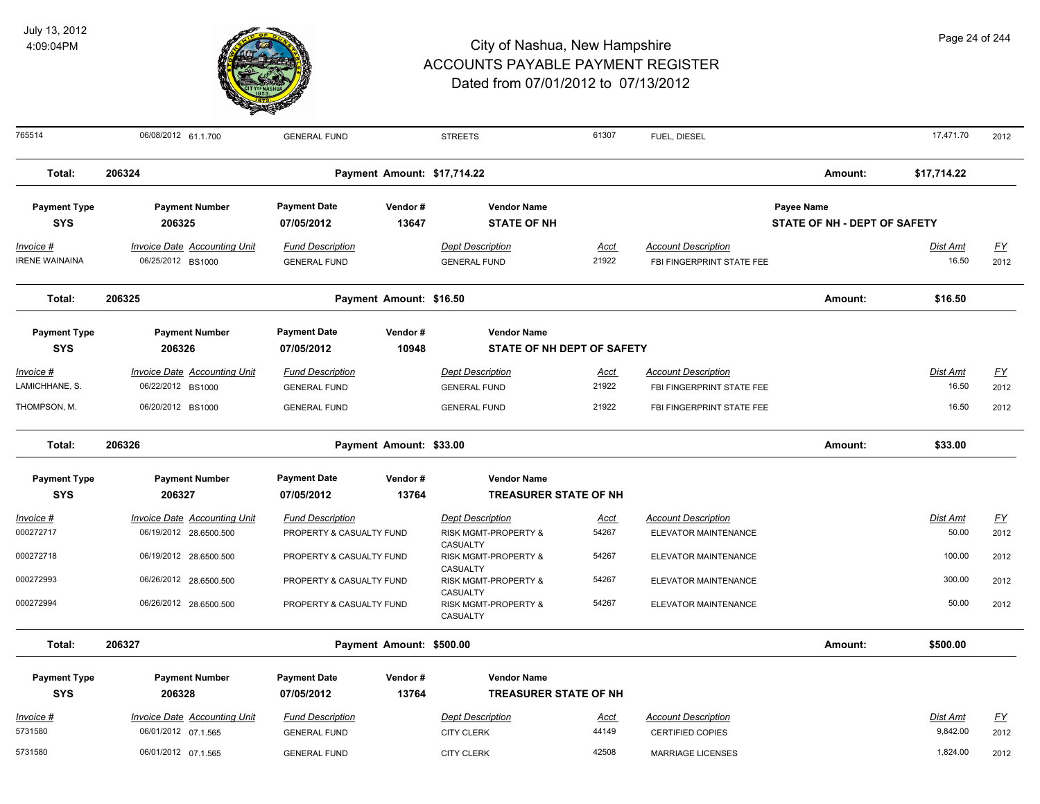

| 765514                             | 06/08/2012 61.1.700                                      | <b>GENERAL FUND</b>                            |                             | <b>STREETS</b>                                 | 61307                | FUEL, DIESEL                                            |                                            | 17,471.70                | 2012         |
|------------------------------------|----------------------------------------------------------|------------------------------------------------|-----------------------------|------------------------------------------------|----------------------|---------------------------------------------------------|--------------------------------------------|--------------------------|--------------|
| Total:                             | 206324                                                   |                                                | Payment Amount: \$17,714.22 |                                                |                      |                                                         | Amount:                                    | \$17,714.22              |              |
| <b>Payment Type</b><br><b>SYS</b>  | <b>Payment Number</b><br>206325                          | <b>Payment Date</b><br>07/05/2012              | Vendor#<br>13647            | <b>Vendor Name</b><br><b>STATE OF NH</b>       |                      |                                                         | Payee Name<br>STATE OF NH - DEPT OF SAFETY |                          |              |
| Invoice #<br><b>IRENE WAINAINA</b> | <b>Invoice Date Accounting Unit</b><br>06/25/2012 BS1000 | <b>Fund Description</b><br><b>GENERAL FUND</b> |                             | <b>Dept Description</b><br><b>GENERAL FUND</b> | <u>Acct</u><br>21922 | <b>Account Description</b><br>FBI FINGERPRINT STATE FEE |                                            | <b>Dist Amt</b><br>16.50 | EY<br>2012   |
| Total:                             | 206325                                                   |                                                | Payment Amount: \$16.50     |                                                |                      |                                                         | Amount:                                    | \$16.50                  |              |
| <b>Payment Type</b>                | <b>Payment Number</b>                                    | <b>Payment Date</b>                            | Vendor#                     | <b>Vendor Name</b>                             |                      |                                                         |                                            |                          |              |
| <b>SYS</b>                         | 206326                                                   | 07/05/2012                                     | 10948                       | STATE OF NH DEPT OF SAFETY                     |                      |                                                         |                                            |                          |              |
| Invoice #<br>LAMICHHANE, S.        | <b>Invoice Date Accounting Unit</b><br>06/22/2012 BS1000 | <b>Fund Description</b><br><b>GENERAL FUND</b> |                             | <b>Dept Description</b><br><b>GENERAL FUND</b> | <u>Acct</u><br>21922 | <b>Account Description</b><br>FBI FINGERPRINT STATE FEE |                                            | Dist Amt<br>16.50        | $FY$<br>2012 |
| THOMPSON, M.                       | 06/20/2012 BS1000                                        | <b>GENERAL FUND</b>                            |                             | <b>GENERAL FUND</b>                            | 21922                | FBI FINGERPRINT STATE FEE                               |                                            | 16.50                    | 2012         |
| Total:                             | 206326                                                   |                                                | Payment Amount: \$33.00     |                                                |                      |                                                         | Amount:                                    | \$33.00                  |              |
| <b>Payment Type</b>                | <b>Payment Number</b>                                    | <b>Payment Date</b>                            | Vendor#                     | <b>Vendor Name</b>                             |                      |                                                         |                                            |                          |              |
| <b>SYS</b>                         | 206327                                                   | 07/05/2012                                     | 13764                       | <b>TREASURER STATE OF NH</b>                   |                      |                                                         |                                            |                          |              |
| Invoice #                          | <b>Invoice Date Accounting Unit</b>                      | <b>Fund Description</b>                        |                             | <b>Dept Description</b>                        | Acct                 | <b>Account Description</b>                              |                                            | Dist Amt                 | <u>FY</u>    |
| 000272717                          | 06/19/2012 28.6500.500                                   | PROPERTY & CASUALTY FUND                       |                             | RISK MGMT-PROPERTY &<br>CASUALTY               | 54267                | ELEVATOR MAINTENANCE                                    |                                            | 50.00                    | 2012         |
| 000272718                          | 06/19/2012 28.6500.500                                   | PROPERTY & CASUALTY FUND                       |                             | RISK MGMT-PROPERTY &                           | 54267                | ELEVATOR MAINTENANCE                                    |                                            | 100.00                   | 2012         |
| 000272993                          | 06/26/2012 28.6500.500                                   | PROPERTY & CASUALTY FUND                       |                             | CASUALTY<br><b>RISK MGMT-PROPERTY &amp;</b>    | 54267                | ELEVATOR MAINTENANCE                                    |                                            | 300.00                   | 2012         |
| 000272994                          | 06/26/2012 28.6500.500                                   | PROPERTY & CASUALTY FUND                       |                             | CASUALTY<br>RISK MGMT-PROPERTY &<br>CASUALTY   | 54267                | ELEVATOR MAINTENANCE                                    |                                            | 50.00                    | 2012         |
| Total:                             | 206327                                                   |                                                | Payment Amount: \$500.00    |                                                |                      |                                                         | Amount:                                    | \$500.00                 |              |
| <b>Payment Type</b>                | <b>Payment Number</b>                                    | <b>Payment Date</b>                            | Vendor#                     | <b>Vendor Name</b>                             |                      |                                                         |                                            |                          |              |
| <b>SYS</b>                         | 206328                                                   | 07/05/2012                                     | 13764                       | <b>TREASURER STATE OF NH</b>                   |                      |                                                         |                                            |                          |              |
| Invoice #                          | Invoice Date Accounting Unit                             | <b>Fund Description</b>                        |                             | <b>Dept Description</b>                        | Acct                 | <b>Account Description</b>                              |                                            | Dist Amt                 | <u>FY</u>    |
| 5731580                            | 06/01/2012 07.1.565                                      | <b>GENERAL FUND</b>                            |                             | <b>CITY CLERK</b>                              | 44149                | <b>CERTIFIED COPIES</b>                                 |                                            | 9,842.00                 | 2012         |
| 5731580                            | 06/01/2012 07.1.565                                      | <b>GENERAL FUND</b>                            |                             | <b>CITY CLERK</b>                              | 42508                | <b>MARRIAGE LICENSES</b>                                |                                            | 1,824.00                 | 2012         |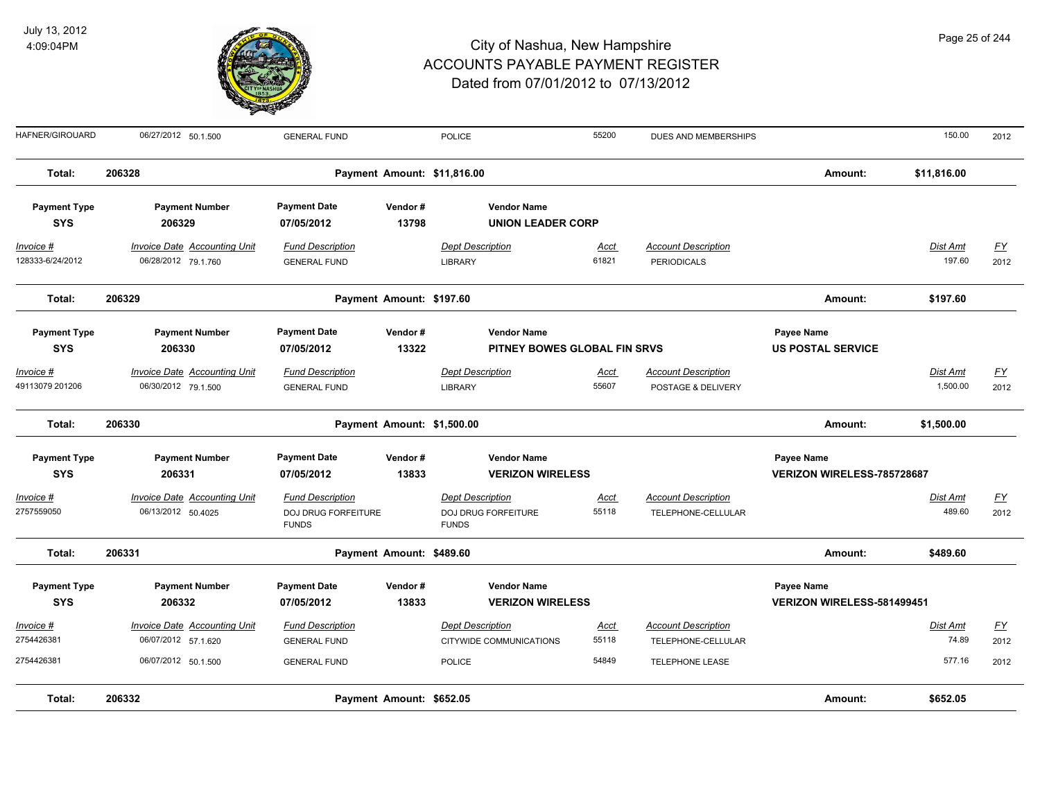

| Page 25 of 244 |  |  |
|----------------|--|--|
|                |  |  |

| HAFNER/GIROUARD                   | 06/27/2012 50.1.500                                        | <b>GENERAL FUND</b>                                            |                             | POLICE                                                         | 55200                | DUES AND MEMBERSHIPS                             |                                                 | 150.00                    | 2012              |
|-----------------------------------|------------------------------------------------------------|----------------------------------------------------------------|-----------------------------|----------------------------------------------------------------|----------------------|--------------------------------------------------|-------------------------------------------------|---------------------------|-------------------|
| Total:                            | 206328                                                     |                                                                | Payment Amount: \$11,816.00 |                                                                |                      |                                                  | Amount:                                         | \$11,816.00               |                   |
| <b>Payment Type</b><br><b>SYS</b> | <b>Payment Number</b><br>206329                            | <b>Payment Date</b><br>07/05/2012                              | Vendor#<br>13798            | <b>Vendor Name</b><br><b>UNION LEADER CORP</b>                 |                      |                                                  |                                                 |                           |                   |
| $Invoice$ #<br>128333-6/24/2012   | <b>Invoice Date Accounting Unit</b><br>06/28/2012 79.1.760 | <b>Fund Description</b><br><b>GENERAL FUND</b>                 |                             | <b>Dept Description</b><br><b>LIBRARY</b>                      | Acct<br>61821        | <b>Account Description</b><br><b>PERIODICALS</b> |                                                 | <b>Dist Amt</b><br>197.60 | <u>FY</u><br>2012 |
| Total:                            | 206329                                                     |                                                                | Payment Amount: \$197.60    |                                                                |                      |                                                  | Amount:                                         | \$197.60                  |                   |
| <b>Payment Type</b><br><b>SYS</b> | <b>Payment Number</b><br>206330                            | <b>Payment Date</b><br>07/05/2012                              | Vendor#<br>13322            | <b>Vendor Name</b><br>PITNEY BOWES GLOBAL FIN SRVS             |                      |                                                  | <b>Payee Name</b><br><b>US POSTAL SERVICE</b>   |                           |                   |
| Invoice #<br>49113079 201206      | <b>Invoice Date Accounting Unit</b><br>06/30/2012 79.1.500 | <b>Fund Description</b><br><b>GENERAL FUND</b>                 |                             | <b>Dept Description</b><br><b>LIBRARY</b>                      | Acct<br>55607        | <b>Account Description</b><br>POSTAGE & DELIVERY |                                                 | Dist Amt<br>1,500.00      | <u>FY</u><br>2012 |
| Total:                            | 206330                                                     |                                                                | Payment Amount: \$1,500.00  |                                                                |                      |                                                  | Amount:                                         | \$1,500.00                |                   |
| <b>Payment Type</b><br><b>SYS</b> | <b>Payment Number</b><br>206331                            | <b>Payment Date</b><br>07/05/2012                              | Vendor#<br>13833            | <b>Vendor Name</b><br><b>VERIZON WIRELESS</b>                  |                      |                                                  | <b>Payee Name</b><br>VERIZON WIRELESS-785728687 |                           |                   |
| $Invoice$ #<br>2757559050         | <b>Invoice Date Accounting Unit</b><br>06/13/2012 50.4025  | <b>Fund Description</b><br>DOJ DRUG FORFEITURE<br><b>FUNDS</b> |                             | <b>Dept Description</b><br>DOJ DRUG FORFEITURE<br><b>FUNDS</b> | Acct<br>55118        | <b>Account Description</b><br>TELEPHONE-CELLULAR |                                                 | Dist Amt<br>489.60        | <u>FY</u><br>2012 |
| Total:                            | 206331                                                     |                                                                | Payment Amount: \$489.60    |                                                                |                      |                                                  | Amount:                                         | \$489.60                  |                   |
| <b>Payment Type</b><br><b>SYS</b> | <b>Payment Number</b><br>206332                            | <b>Payment Date</b><br>07/05/2012                              | Vendor#<br>13833            | <b>Vendor Name</b><br><b>VERIZON WIRELESS</b>                  |                      |                                                  | Payee Name<br>VERIZON WIRELESS-581499451        |                           |                   |
| Invoice #<br>2754426381           | Invoice Date Accounting Unit<br>06/07/2012 57.1.620        | <b>Fund Description</b><br><b>GENERAL FUND</b>                 |                             | <b>Dept Description</b><br>CITYWIDE COMMUNICATIONS             | <b>Acct</b><br>55118 | <b>Account Description</b><br>TELEPHONE-CELLULAR |                                                 | Dist Amt<br>74.89         | <u>FY</u><br>2012 |
| 2754426381                        | 06/07/2012 50.1.500                                        | <b>GENERAL FUND</b>                                            |                             | <b>POLICE</b>                                                  | 54849                | TELEPHONE LEASE                                  |                                                 | 577.16                    | 2012              |
| Total:                            | 206332                                                     |                                                                | Payment Amount: \$652.05    |                                                                |                      |                                                  | Amount:                                         | \$652.05                  |                   |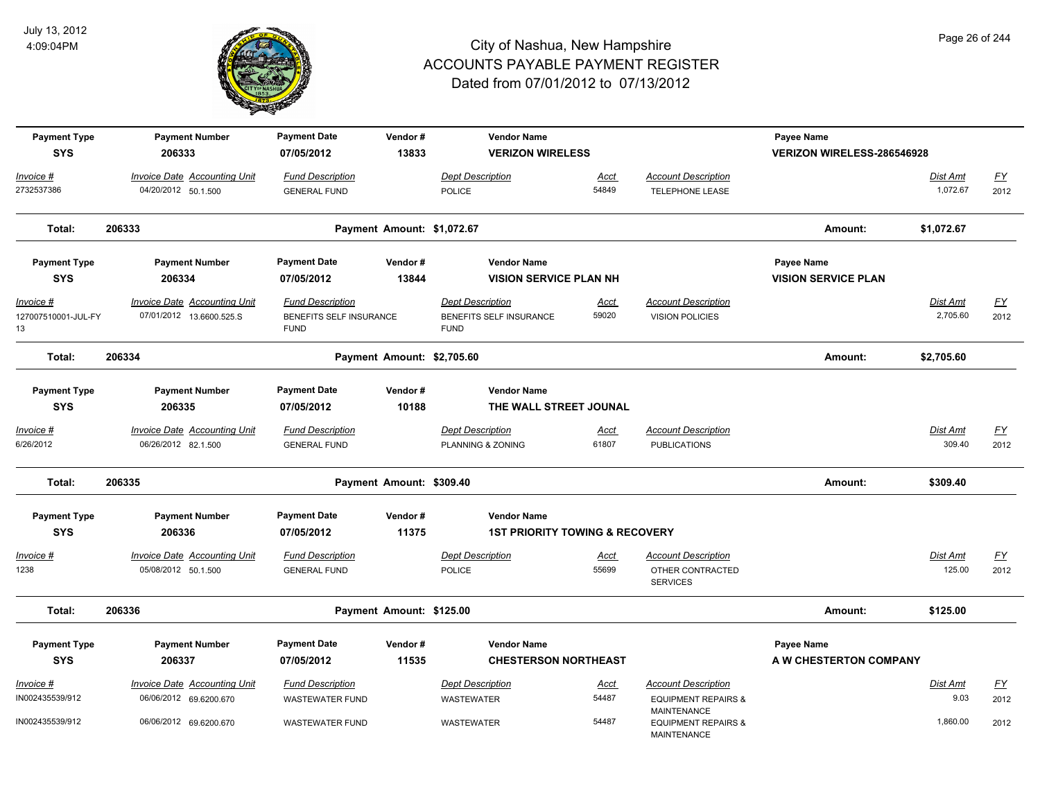

| <b>Payment Type</b><br><b>SYS</b>              | <b>Payment Number</b><br>206333                                 | <b>Payment Date</b><br>07/05/2012                                 | Vendor#<br>13833           | <b>Vendor Name</b><br><b>VERIZON WIRELESS</b>                     |                      |                                                      | <b>Payee Name</b><br><b>VERIZON WIRELESS-286546928</b> |                             |                   |
|------------------------------------------------|-----------------------------------------------------------------|-------------------------------------------------------------------|----------------------------|-------------------------------------------------------------------|----------------------|------------------------------------------------------|--------------------------------------------------------|-----------------------------|-------------------|
| Invoice #                                      | <b>Invoice Date Accounting Unit</b>                             | <b>Fund Description</b>                                           |                            | Dept Description                                                  | Acct                 | <b>Account Description</b>                           |                                                        | Dist Amt                    | EY                |
| 2732537386                                     | 04/20/2012 50.1.500                                             | <b>GENERAL FUND</b>                                               |                            | <b>POLICE</b>                                                     | 54849                | <b>TELEPHONE LEASE</b>                               |                                                        | 1,072.67                    | 2012              |
| Total:                                         | 206333                                                          |                                                                   | Payment Amount: \$1,072.67 |                                                                   |                      |                                                      | Amount:                                                | \$1,072.67                  |                   |
| <b>Payment Type</b><br><b>SYS</b>              | <b>Payment Number</b><br>206334                                 | <b>Payment Date</b><br>07/05/2012                                 | Vendor#<br>13844           | <b>Vendor Name</b><br><b>VISION SERVICE PLAN NH</b>               |                      |                                                      | Payee Name<br><b>VISION SERVICE PLAN</b>               |                             |                   |
|                                                |                                                                 |                                                                   |                            |                                                                   |                      |                                                      |                                                        |                             |                   |
| <u> Invoice #</u><br>127007510001-JUL-FY<br>13 | <b>Invoice Date Accounting Unit</b><br>07/01/2012 13.6600.525.S | <b>Fund Description</b><br>BENEFITS SELF INSURANCE<br><b>FUND</b> |                            | <b>Dept Description</b><br>BENEFITS SELF INSURANCE<br><b>FUND</b> | <u>Acct</u><br>59020 | <b>Account Description</b><br><b>VISION POLICIES</b> |                                                        | <b>Dist Amt</b><br>2,705.60 | <u>FY</u><br>2012 |
| Total:                                         | 206334                                                          |                                                                   | Payment Amount: \$2,705.60 |                                                                   |                      |                                                      | Amount:                                                | \$2,705.60                  |                   |
| <b>Payment Type</b><br><b>SYS</b>              | <b>Payment Number</b><br>206335                                 | <b>Payment Date</b><br>07/05/2012                                 | Vendor#<br>10188           | <b>Vendor Name</b><br>THE WALL STREET JOUNAL                      |                      |                                                      |                                                        |                             |                   |
| Invoice #                                      | <b>Invoice Date Accounting Unit</b>                             | <b>Fund Description</b>                                           |                            | <b>Dept Description</b>                                           | <u>Acct</u>          | <b>Account Description</b>                           |                                                        | Dist Amt                    | EY                |
| 6/26/2012                                      | 06/26/2012 82.1.500                                             | <b>GENERAL FUND</b>                                               |                            | PLANNING & ZONING                                                 | 61807                | <b>PUBLICATIONS</b>                                  |                                                        | 309.40                      | 2012              |
| Total:                                         | 206335                                                          |                                                                   | Payment Amount: \$309.40   |                                                                   |                      |                                                      | Amount:                                                | \$309.40                    |                   |
| <b>Payment Type</b>                            | <b>Payment Number</b>                                           | <b>Payment Date</b>                                               | Vendor#                    | <b>Vendor Name</b>                                                |                      |                                                      |                                                        |                             |                   |
| <b>SYS</b>                                     | 206336                                                          | 07/05/2012                                                        | 11375                      | <b>1ST PRIORITY TOWING &amp; RECOVERY</b>                         |                      |                                                      |                                                        |                             |                   |
| <u> Invoice #</u>                              | <b>Invoice Date Accounting Unit</b>                             | <b>Fund Description</b>                                           |                            | <b>Dept Description</b>                                           | <u>Acct</u>          | <b>Account Description</b>                           |                                                        | Dist Amt                    | <u>FY</u>         |
| 1238                                           | 05/08/2012 50.1.500                                             | <b>GENERAL FUND</b>                                               |                            | POLICE                                                            | 55699                | OTHER CONTRACTED<br><b>SERVICES</b>                  |                                                        | 125.00                      | 2012              |
| Total:                                         | 206336                                                          |                                                                   | Payment Amount: \$125.00   |                                                                   |                      |                                                      | Amount:                                                | \$125.00                    |                   |
| <b>Payment Type</b>                            | <b>Payment Number</b>                                           | <b>Payment Date</b>                                               | Vendor#                    | <b>Vendor Name</b>                                                |                      |                                                      | Payee Name                                             |                             |                   |
| <b>SYS</b>                                     | 206337                                                          | 07/05/2012                                                        | 11535                      | <b>CHESTERSON NORTHEAST</b>                                       |                      |                                                      | A W CHESTERTON COMPANY                                 |                             |                   |
| <u> Invoice #</u>                              | <b>Invoice Date Accounting Unit</b>                             | <b>Fund Description</b>                                           |                            | <b>Dept Description</b>                                           | <u>Acct</u>          | <b>Account Description</b>                           |                                                        | <b>Dist Amt</b>             | <u>FY</u>         |
| IN002435539/912                                | 06/06/2012 69.6200.670                                          | <b>WASTEWATER FUND</b>                                            |                            | WASTEWATER                                                        | 54487                | <b>EQUIPMENT REPAIRS &amp;</b><br><b>MAINTENANCE</b> |                                                        | 9.03                        | 2012              |
| IN002435539/912                                | 06/06/2012 69.6200.670                                          | <b>WASTEWATER FUND</b>                                            |                            | WASTEWATER                                                        | 54487                | <b>EQUIPMENT REPAIRS &amp;</b><br><b>MAINTENANCE</b> |                                                        | 1,860.00                    | 2012              |

Page 26 of 244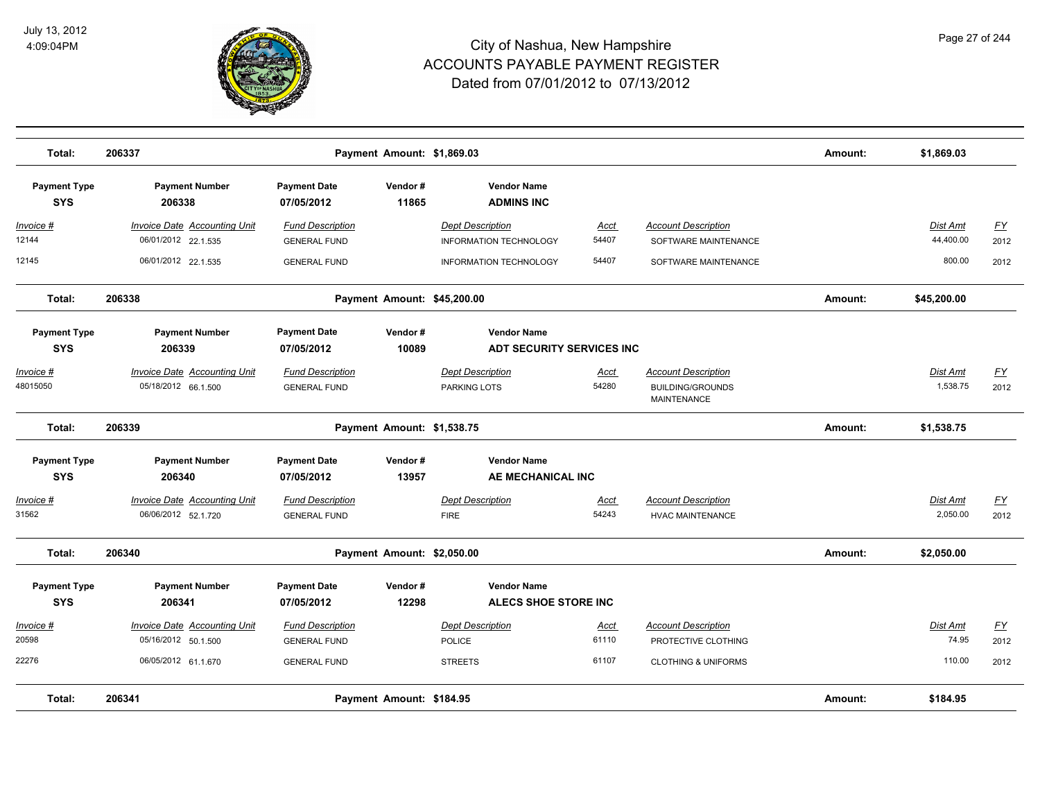

| Total:                            | 206337                                                                 |                                                              | Payment Amount: \$1,869.03  |                                                                    |                      |                                                                             | Amount: | \$1,869.03            |                          |
|-----------------------------------|------------------------------------------------------------------------|--------------------------------------------------------------|-----------------------------|--------------------------------------------------------------------|----------------------|-----------------------------------------------------------------------------|---------|-----------------------|--------------------------|
| <b>Payment Type</b><br><b>SYS</b> | <b>Payment Number</b><br>206338                                        | <b>Payment Date</b><br>07/05/2012                            | Vendor#<br>11865            | <b>Vendor Name</b><br><b>ADMINS INC</b>                            |                      |                                                                             |         |                       |                          |
| <u> Invoice #</u><br>12144        | <b>Invoice Date Accounting Unit</b><br>06/01/2012 22.1.535             | <b>Fund Description</b><br><b>GENERAL FUND</b>               |                             | <b>Dept Description</b><br><b>INFORMATION TECHNOLOGY</b>           | Acct<br>54407        | <b>Account Description</b><br>SOFTWARE MAINTENANCE                          |         | Dist Amt<br>44,400.00 | <u>FY</u><br>2012        |
| 12145                             | 06/01/2012 22.1.535                                                    | <b>GENERAL FUND</b>                                          |                             | <b>INFORMATION TECHNOLOGY</b>                                      | 54407                | SOFTWARE MAINTENANCE                                                        |         | 800.00                | 2012                     |
| Total:                            | 206338                                                                 |                                                              | Payment Amount: \$45,200.00 |                                                                    |                      |                                                                             | Amount: | \$45,200.00           |                          |
| <b>Payment Type</b><br><b>SYS</b> | <b>Payment Number</b><br>206339                                        | <b>Payment Date</b><br>07/05/2012                            | Vendor#<br>10089            | <b>Vendor Name</b><br>ADT SECURITY SERVICES INC                    |                      |                                                                             |         |                       |                          |
| <u> Invoice #</u><br>48015050     | <b>Invoice Date Accounting Unit</b><br>05/18/2012 66.1.500             | <b>Fund Description</b><br><b>GENERAL FUND</b>               |                             | <b>Dept Description</b><br>PARKING LOTS                            | <u>Acct</u><br>54280 | <b>Account Description</b><br><b>BUILDING/GROUNDS</b><br><b>MAINTENANCE</b> |         | Dist Amt<br>1,538.75  | EY<br>2012               |
| Total:                            | 206339                                                                 |                                                              | Payment Amount: \$1,538.75  |                                                                    |                      |                                                                             | Amount: | \$1,538.75            |                          |
| <b>Payment Type</b><br><b>SYS</b> | <b>Payment Number</b><br>206340<br><b>Invoice Date Accounting Unit</b> | <b>Payment Date</b><br>07/05/2012<br><b>Fund Description</b> | Vendor#<br>13957            | <b>Vendor Name</b><br>AE MECHANICAL INC<br><b>Dept Description</b> |                      | <b>Account Description</b>                                                  |         |                       |                          |
| Invoice #<br>31562                | 06/06/2012 52.1.720                                                    | <b>GENERAL FUND</b>                                          |                             | <b>FIRE</b>                                                        | Acct<br>54243        | <b>HVAC MAINTENANCE</b>                                                     |         | Dist Amt<br>2,050.00  | $\underline{FY}$<br>2012 |
| Total:                            | 206340                                                                 |                                                              | Payment Amount: \$2,050.00  |                                                                    |                      |                                                                             | Amount: | \$2,050.00            |                          |
| <b>Payment Type</b><br><b>SYS</b> | <b>Payment Number</b><br>206341                                        | <b>Payment Date</b><br>07/05/2012                            | Vendor#<br>12298            | <b>Vendor Name</b><br>ALECS SHOE STORE INC                         |                      |                                                                             |         |                       |                          |
| Invoice #<br>20598                | <b>Invoice Date Accounting Unit</b><br>05/16/2012 50.1.500             | <b>Fund Description</b><br><b>GENERAL FUND</b>               |                             | <b>Dept Description</b><br><b>POLICE</b>                           | Acct<br>61110        | <b>Account Description</b><br>PROTECTIVE CLOTHING                           |         | Dist Amt<br>74.95     | EY<br>2012               |
| 22276                             | 06/05/2012 61.1.670                                                    | <b>GENERAL FUND</b>                                          |                             | <b>STREETS</b>                                                     | 61107                | <b>CLOTHING &amp; UNIFORMS</b>                                              |         | 110.00                | 2012                     |
| Total:                            | 206341                                                                 |                                                              | Payment Amount: \$184.95    |                                                                    |                      |                                                                             | Amount: | \$184.95              |                          |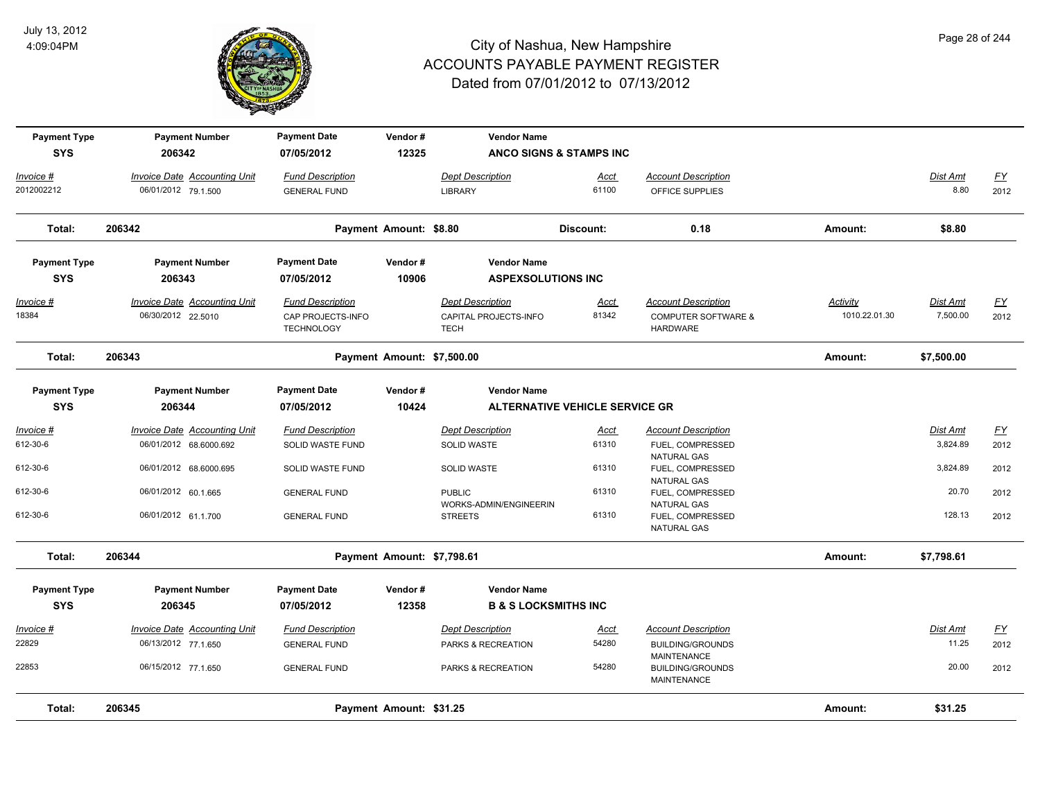

| <b>Payment Type</b> | <b>Payment Number</b>               | <b>Payment Date</b>                    | Vendor#                    | <b>Vendor Name</b>                   |                                       |                                                              |                 |                 |                  |
|---------------------|-------------------------------------|----------------------------------------|----------------------------|--------------------------------------|---------------------------------------|--------------------------------------------------------------|-----------------|-----------------|------------------|
| <b>SYS</b>          | 206342                              | 07/05/2012                             | 12325                      |                                      | <b>ANCO SIGNS &amp; STAMPS INC</b>    |                                                              |                 |                 |                  |
| Invoice #           | Invoice Date Accounting Unit        | <b>Fund Description</b>                |                            | <b>Dept Description</b>              | Acct                                  | <b>Account Description</b>                                   |                 | Dist Amt        | <u>FY</u>        |
| 2012002212          | 06/01/2012 79.1.500                 | <b>GENERAL FUND</b>                    |                            | <b>LIBRARY</b>                       | 61100                                 | OFFICE SUPPLIES                                              |                 | 8.80            | 2012             |
| Total:              | 206342                              |                                        | Payment Amount: \$8.80     |                                      | Discount:                             | 0.18                                                         | Amount:         | \$8.80          |                  |
| <b>Payment Type</b> | <b>Payment Number</b>               | <b>Payment Date</b>                    | Vendor#                    | <b>Vendor Name</b>                   |                                       |                                                              |                 |                 |                  |
| <b>SYS</b>          | 206343                              | 07/05/2012                             | 10906                      | <b>ASPEXSOLUTIONS INC</b>            |                                       |                                                              |                 |                 |                  |
| <u> Invoice #</u>   | <b>Invoice Date Accounting Unit</b> | <b>Fund Description</b>                |                            | <b>Dept Description</b>              | <u>Acct</u>                           | <b>Account Description</b>                                   | <b>Activity</b> | <u>Dist Amt</u> | <u>FY</u>        |
| 18384               | 06/30/2012 22.5010                  | CAP PROJECTS-INFO<br><b>TECHNOLOGY</b> |                            | CAPITAL PROJECTS-INFO<br><b>TECH</b> | 81342                                 | <b>COMPUTER SOFTWARE &amp;</b><br><b>HARDWARE</b>            | 1010.22.01.30   | 7,500.00        | 2012             |
| Total:              | 206343                              |                                        | Payment Amount: \$7,500.00 |                                      |                                       |                                                              | Amount:         | \$7,500.00      |                  |
| <b>Payment Type</b> | <b>Payment Number</b>               | <b>Payment Date</b>                    | Vendor#                    | <b>Vendor Name</b>                   |                                       |                                                              |                 |                 |                  |
| <b>SYS</b>          | 206344                              | 07/05/2012                             | 10424                      |                                      | <b>ALTERNATIVE VEHICLE SERVICE GR</b> |                                                              |                 |                 |                  |
| <u>Invoice #</u>    | <b>Invoice Date Accounting Unit</b> | <b>Fund Description</b>                |                            | <b>Dept Description</b>              | <u>Acct</u>                           | <b>Account Description</b>                                   |                 | Dist Amt        | $\underline{FY}$ |
| 612-30-6            | 06/01/2012 68.6000.692              | SOLID WASTE FUND                       |                            | <b>SOLID WASTE</b>                   | 61310                                 | FUEL, COMPRESSED                                             |                 | 3,824.89        | 2012             |
| 612-30-6            | 06/01/2012 68.6000.695              | SOLID WASTE FUND                       |                            | <b>SOLID WASTE</b>                   | 61310                                 | NATURAL GAS<br>FUEL, COMPRESSED                              |                 | 3,824.89        | 2012             |
| 612-30-6            | 06/01/2012 60.1.665                 | <b>GENERAL FUND</b>                    |                            | <b>PUBLIC</b>                        | 61310                                 | <b>NATURAL GAS</b><br>FUEL, COMPRESSED                       |                 | 20.70           | 2012             |
| 612-30-6            |                                     |                                        |                            | WORKS-ADMIN/ENGINEERIN               | 61310                                 | <b>NATURAL GAS</b>                                           |                 | 128.13          |                  |
|                     | 06/01/2012 61.1.700                 | <b>GENERAL FUND</b>                    |                            | <b>STREETS</b>                       |                                       | FUEL, COMPRESSED<br>NATURAL GAS                              |                 |                 | 2012             |
| Total:              | 206344                              |                                        | Payment Amount: \$7,798.61 |                                      |                                       |                                                              | Amount:         | \$7,798.61      |                  |
| <b>Payment Type</b> | <b>Payment Number</b>               | <b>Payment Date</b>                    | Vendor#                    | <b>Vendor Name</b>                   |                                       |                                                              |                 |                 |                  |
| <b>SYS</b>          | 206345                              | 07/05/2012                             | 12358                      | <b>B &amp; S LOCKSMITHS INC</b>      |                                       |                                                              |                 |                 |                  |
| Invoice #           | Invoice Date Accounting Unit        | <b>Fund Description</b>                |                            | <b>Dept Description</b>              | <u>Acct</u>                           | <b>Account Description</b>                                   |                 | Dist Amt        | $\underline{FY}$ |
| 22829               | 06/13/2012 77.1.650                 | <b>GENERAL FUND</b>                    |                            | PARKS & RECREATION                   | 54280                                 | <b>BUILDING/GROUNDS</b>                                      |                 | 11.25           | 2012             |
| 22853               | 06/15/2012 77.1.650                 | <b>GENERAL FUND</b>                    |                            | PARKS & RECREATION                   | 54280                                 | <b>MAINTENANCE</b><br><b>BUILDING/GROUNDS</b><br>MAINTENANCE |                 | 20.00           | 2012             |
| Total:              | 206345                              |                                        | Payment Amount: \$31.25    |                                      |                                       |                                                              | Amount:         | \$31.25         |                  |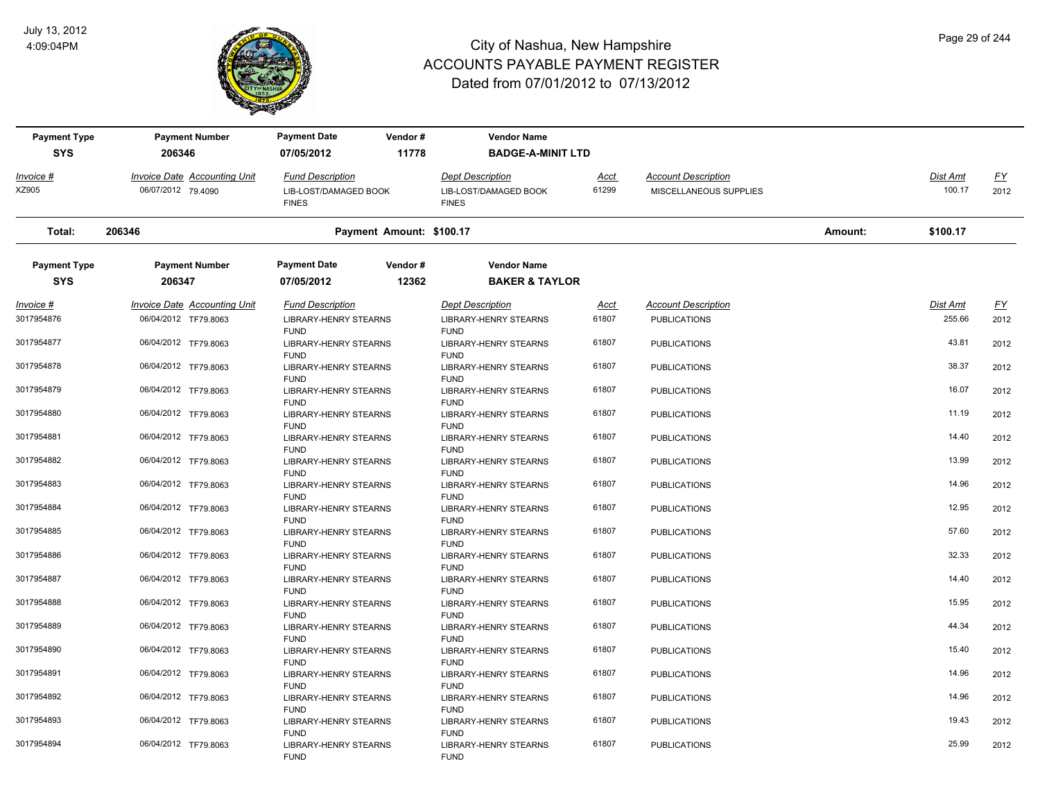

| <b>Payment Type</b> | <b>Payment Number</b>               | <b>Payment Date</b>                         | Vendor# | <b>Vendor Name</b>                          |             |                            |         |                 |           |
|---------------------|-------------------------------------|---------------------------------------------|---------|---------------------------------------------|-------------|----------------------------|---------|-----------------|-----------|
| <b>SYS</b>          | 206346                              | 07/05/2012                                  | 11778   | <b>BADGE-A-MINIT LTD</b>                    |             |                            |         |                 |           |
| Invoice #           | Invoice Date Accounting Unit        | <b>Fund Description</b>                     |         | <b>Dept Description</b>                     | Acct        | <b>Account Description</b> |         | Dist Amt        | <u>FY</u> |
| XZ905               | 06/07/2012 79.4090                  | LIB-LOST/DAMAGED BOOK<br><b>FINES</b>       |         | LIB-LOST/DAMAGED BOOK<br><b>FINES</b>       | 61299       | MISCELLANEOUS SUPPLIES     |         | 100.17          | 2012      |
| Total:              | 206346                              | Payment Amount: \$100.17                    |         |                                             |             |                            | Amount: | \$100.17        |           |
| <b>Payment Type</b> | <b>Payment Number</b>               | <b>Payment Date</b>                         | Vendor# | <b>Vendor Name</b>                          |             |                            |         |                 |           |
| <b>SYS</b>          | 206347                              | 07/05/2012                                  | 12362   | <b>BAKER &amp; TAYLOR</b>                   |             |                            |         |                 |           |
| $Invoice$ #         | <b>Invoice Date Accounting Unit</b> | <b>Fund Description</b>                     |         | <b>Dept Description</b>                     | <u>Acct</u> | <b>Account Description</b> |         | <b>Dist Amt</b> | EY        |
| 3017954876          | 06/04/2012 TF79.8063                | <b>LIBRARY-HENRY STEARNS</b><br><b>FUND</b> |         | <b>LIBRARY-HENRY STEARNS</b><br><b>FUND</b> | 61807       | <b>PUBLICATIONS</b>        |         | 255.66          | 2012      |
| 3017954877          | 06/04/2012 TF79.8063                | <b>LIBRARY-HENRY STEARNS</b>                |         | <b>LIBRARY-HENRY STEARNS</b>                | 61807       | <b>PUBLICATIONS</b>        |         | 43.81           | 2012      |
| 3017954878          | 06/04/2012 TF79.8063                | <b>FUND</b><br>LIBRARY-HENRY STEARNS        |         | <b>FUND</b><br>LIBRARY-HENRY STEARNS        | 61807       | <b>PUBLICATIONS</b>        |         | 38.37           | 2012      |
| 3017954879          | 06/04/2012 TF79.8063                | <b>FUND</b><br>LIBRARY-HENRY STEARNS        |         | <b>FUND</b><br>LIBRARY-HENRY STEARNS        | 61807       | <b>PUBLICATIONS</b>        |         | 16.07           | 2012      |
| 3017954880          | 06/04/2012 TF79.8063                | <b>FUND</b><br>LIBRARY-HENRY STEARNS        |         | <b>FUND</b><br>LIBRARY-HENRY STEARNS        | 61807       | <b>PUBLICATIONS</b>        |         | 11.19           | 2012      |
| 3017954881          | 06/04/2012 TF79.8063                | <b>FUND</b><br><b>LIBRARY-HENRY STEARNS</b> |         | <b>FUND</b><br><b>LIBRARY-HENRY STEARNS</b> | 61807       | <b>PUBLICATIONS</b>        |         | 14.40           | 2012      |
|                     |                                     | <b>FUND</b>                                 |         | <b>FUND</b>                                 |             |                            |         |                 |           |
| 3017954882          | 06/04/2012 TF79.8063                | <b>LIBRARY-HENRY STEARNS</b><br><b>FUND</b> |         | <b>LIBRARY-HENRY STEARNS</b><br><b>FUND</b> | 61807       | <b>PUBLICATIONS</b>        |         | 13.99           | 2012      |
| 3017954883          | 06/04/2012 TF79.8063                | <b>LIBRARY-HENRY STEARNS</b>                |         | <b>LIBRARY-HENRY STEARNS</b>                | 61807       | <b>PUBLICATIONS</b>        |         | 14.96           | 2012      |
| 3017954884          | 06/04/2012 TF79.8063                | <b>FUND</b><br><b>LIBRARY-HENRY STEARNS</b> |         | <b>FUND</b><br><b>LIBRARY-HENRY STEARNS</b> | 61807       | <b>PUBLICATIONS</b>        |         | 12.95           | 2012      |
| 3017954885          | 06/04/2012 TF79.8063                | <b>FUND</b><br>LIBRARY-HENRY STEARNS        |         | <b>FUND</b><br>LIBRARY-HENRY STEARNS        | 61807       | <b>PUBLICATIONS</b>        |         | 57.60           | 2012      |
|                     |                                     | <b>FUND</b>                                 |         | <b>FUND</b>                                 |             |                            |         |                 |           |
| 3017954886          | 06/04/2012 TF79.8063                | LIBRARY-HENRY STEARNS<br><b>FUND</b>        |         | <b>LIBRARY-HENRY STEARNS</b><br><b>FUND</b> | 61807       | <b>PUBLICATIONS</b>        |         | 32.33           | 2012      |
| 3017954887          | 06/04/2012 TF79.8063                | LIBRARY-HENRY STEARNS<br><b>FUND</b>        |         | <b>LIBRARY-HENRY STEARNS</b><br><b>FUND</b> | 61807       | <b>PUBLICATIONS</b>        |         | 14.40           | 2012      |
| 3017954888          | 06/04/2012 TF79.8063                | <b>LIBRARY-HENRY STEARNS</b>                |         | <b>LIBRARY-HENRY STEARNS</b>                | 61807       | <b>PUBLICATIONS</b>        |         | 15.95           | 2012      |
| 3017954889          | 06/04/2012 TF79.8063                | <b>FUND</b><br><b>LIBRARY-HENRY STEARNS</b> |         | <b>FUND</b><br><b>LIBRARY-HENRY STEARNS</b> | 61807       | <b>PUBLICATIONS</b>        |         | 44.34           | 2012      |
|                     |                                     | <b>FUND</b>                                 |         | <b>FUND</b>                                 |             |                            |         |                 |           |
| 3017954890          | 06/04/2012 TF79.8063                | <b>LIBRARY-HENRY STEARNS</b>                |         | <b>LIBRARY-HENRY STEARNS</b>                | 61807       | <b>PUBLICATIONS</b>        |         | 15.40           | 2012      |
| 3017954891          | 06/04/2012 TF79.8063                | <b>FUND</b><br><b>LIBRARY-HENRY STEARNS</b> |         | <b>FUND</b><br><b>LIBRARY-HENRY STEARNS</b> | 61807       | <b>PUBLICATIONS</b>        |         | 14.96           | 2012      |
|                     |                                     | <b>FUND</b>                                 |         | <b>FUND</b>                                 |             |                            |         |                 |           |
| 3017954892          | 06/04/2012 TF79.8063                | LIBRARY-HENRY STEARNS                       |         | LIBRARY-HENRY STEARNS                       | 61807       | <b>PUBLICATIONS</b>        |         | 14.96           | 2012      |
| 3017954893          | 06/04/2012 TF79.8063                | <b>FUND</b><br>LIBRARY-HENRY STEARNS        |         | <b>FUND</b><br>LIBRARY-HENRY STEARNS        | 61807       | <b>PUBLICATIONS</b>        |         | 19.43           | 2012      |
|                     |                                     | <b>FUND</b>                                 |         | <b>FUND</b>                                 |             |                            |         |                 |           |
| 3017954894          | 06/04/2012 TF79.8063                | <b>LIBRARY-HENRY STEARNS</b><br><b>FUND</b> |         | <b>LIBRARY-HENRY STEARNS</b><br><b>FUND</b> | 61807       | <b>PUBLICATIONS</b>        |         | 25.99           | 2012      |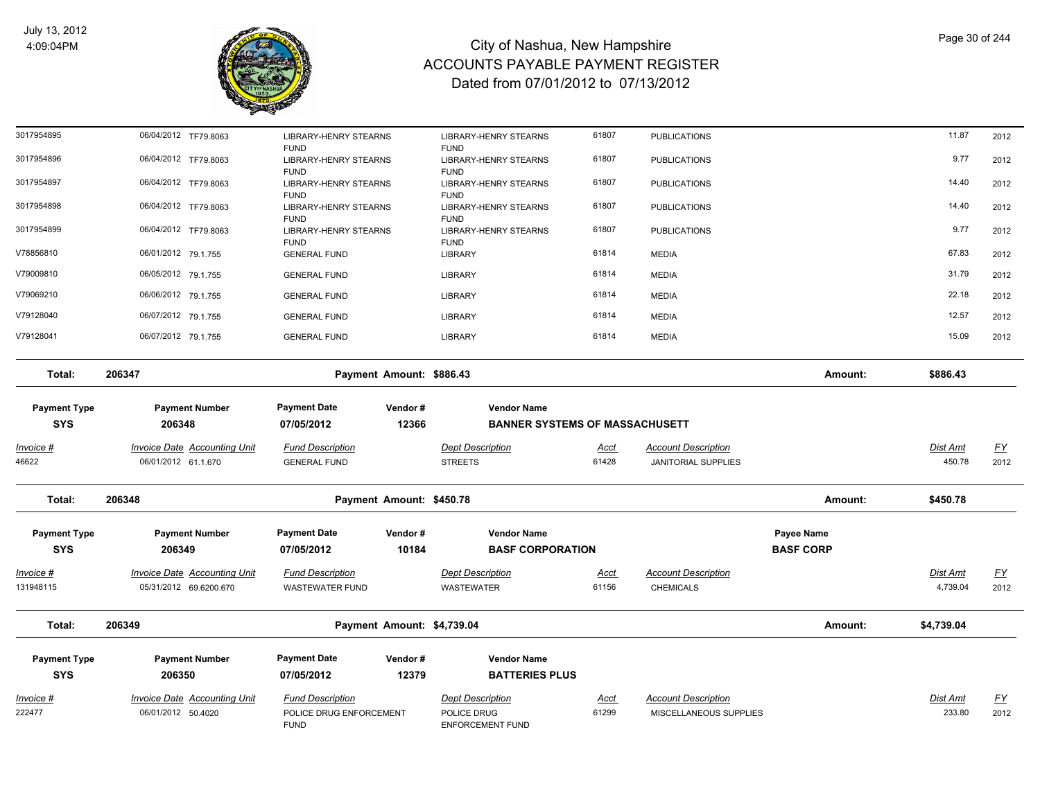

FUND

# City of Nashua, New Hampshire ACCOUNTS PAYABLE PAYMENT REGISTER Dated from 07/01/2012 to 07/13/2012

| $Invoice$ #<br>46622              | Invoice Date Accounting Unit<br>06/01/2012 61.1.670 | <b>Fund Description</b><br><b>GENERAL FUND</b>             |                          | <b>Dept Description</b><br><b>STREETS</b>                   | Acct<br>61428 | <b>Account Description</b><br><b>JANITORIAL SUPPLIES</b> |         | <b>Dist Amt</b><br>450.78 | <u>FY</u><br>2012 |
|-----------------------------------|-----------------------------------------------------|------------------------------------------------------------|--------------------------|-------------------------------------------------------------|---------------|----------------------------------------------------------|---------|---------------------------|-------------------|
| <b>Payment Type</b><br><b>SYS</b> | <b>Payment Number</b><br>206348                     | <b>Payment Date</b><br>07/05/2012                          | Vendor#<br>12366         | <b>Vendor Name</b><br><b>BANNER SYSTEMS OF MASSACHUSETT</b> |               |                                                          |         |                           |                   |
| Total:                            | 206347                                              |                                                            | Payment Amount: \$886.43 |                                                             |               |                                                          | Amount: | \$886.43                  |                   |
| V79128041                         | 06/07/2012 79.1.755                                 | <b>GENERAL FUND</b>                                        |                          | <b>LIBRARY</b>                                              | 61814         | <b>MEDIA</b>                                             |         | 15.09                     | 2012              |
| V79128040                         | 06/07/2012 79.1.755                                 | <b>GENERAL FUND</b>                                        |                          | <b>LIBRARY</b>                                              | 61814         | <b>MEDIA</b>                                             |         | 12.57                     | 2012              |
| V79069210                         | 06/06/2012 79.1.755                                 | <b>GENERAL FUND</b>                                        |                          | <b>LIBRARY</b>                                              | 61814         | <b>MEDIA</b>                                             |         | 22.18                     | 2012              |
| V79009810                         | 06/05/2012 79.1.755                                 | <b>GENERAL FUND</b>                                        |                          | <b>LIBRARY</b>                                              | 61814         | <b>MEDIA</b>                                             |         | 31.79                     | 2012              |
| V78856810                         | 06/01/2012 79.1.755                                 | <b>GENERAL FUND</b>                                        |                          | <b>LIBRARY</b>                                              | 61814         | <b>MEDIA</b>                                             |         | 67.83                     | 2012              |
| 3017954899                        | 06/04/2012 TF79.8063                                | <b>LIBRARY-HENRY STEARNS</b><br><b>FUND</b>                |                          | <b>LIBRARY-HENRY STEARNS</b><br><b>FUND</b>                 | 61807         | <b>PUBLICATIONS</b>                                      |         | 9.77                      | 2012              |
| 3017954898                        | 06/04/2012 TF79.8063                                | <b>FUND</b><br><b>LIBRARY-HENRY STEARNS</b><br><b>FUND</b> |                          | <b>FUND</b><br><b>LIBRARY-HENRY STEARNS</b><br><b>FUND</b>  | 61807         | <b>PUBLICATIONS</b>                                      |         | 14.40                     | 2012              |
| 3017954897                        | 06/04/2012 TF79.8063                                | <b>FUND</b><br><b>LIBRARY-HENRY STEARNS</b>                |                          | <b>FUND</b><br><b>LIBRARY-HENRY STEARNS</b>                 | 61807         | <b>PUBLICATIONS</b>                                      |         | 14.40                     | 2012              |
| 3017954896                        | 06/04/2012 TF79.8063                                | <b>LIBRARY-HENRY STEARNS</b>                               |                          | <b>LIBRARY-HENRY STEARNS</b>                                | 61807         | <b>PUBLICATIONS</b>                                      |         | 9.77                      | 2012              |
| 3017954895                        | 06/04/2012 TF79.8063                                | LIBRARY-HENRY STEARNS<br><b>FUND</b>                       |                          | <b>LIBRARY-HENRY STEARNS</b><br><b>FUND</b>                 | 61807         | <b>PUBLICATIONS</b>                                      |         | 11.87                     | 2012              |

| Total:                            | 206348                                                 |                                                    | Payment Amount: \$450.78   |                                               |                      |                                                      | Amount:                        | \$450.78             |                   |
|-----------------------------------|--------------------------------------------------------|----------------------------------------------------|----------------------------|-----------------------------------------------|----------------------|------------------------------------------------------|--------------------------------|----------------------|-------------------|
| <b>Payment Type</b><br><b>SYS</b> | <b>Payment Number</b><br>206349                        | <b>Payment Date</b><br>07/05/2012                  | Vendor#<br>10184           | <b>Vendor Name</b><br><b>BASF CORPORATION</b> |                      |                                                      | Payee Name<br><b>BASF CORP</b> |                      |                   |
| Invoice #<br>131948115            | Invoice Date Accounting Unit<br>05/31/2012 69.6200.670 | <b>Fund Description</b><br><b>WASTEWATER FUND</b>  |                            | <b>Dept Description</b><br><b>WASTEWATER</b>  | <u>Acct</u><br>61156 | <b>Account Description</b><br><b>CHEMICALS</b>       |                                | Dist Amt<br>4,739.04 | <u>FY</u><br>2012 |
| Total:                            | 206349                                                 |                                                    | Payment Amount: \$4,739.04 |                                               |                      |                                                      | Amount:                        | \$4,739.04           |                   |
| <b>Payment Type</b><br><b>SYS</b> | <b>Payment Number</b><br>206350                        | <b>Payment Date</b><br>07/05/2012                  | Vendor#<br>12379           | <b>Vendor Name</b><br><b>BATTERIES PLUS</b>   |                      |                                                      |                                |                      |                   |
| Invoice #<br>222477               | Invoice Date Accounting Unit<br>06/01/2012 50.4020     | <b>Fund Description</b><br>POLICE DRUG ENFORCEMENT |                            | <b>Dept Description</b><br><b>POLICE DRUG</b> | Acct<br>61299        | <b>Account Description</b><br>MISCELLANEOUS SUPPLIES |                                | Dist Amt<br>233.80   | <u>FY</u><br>2012 |

ENFORCEMENT FUND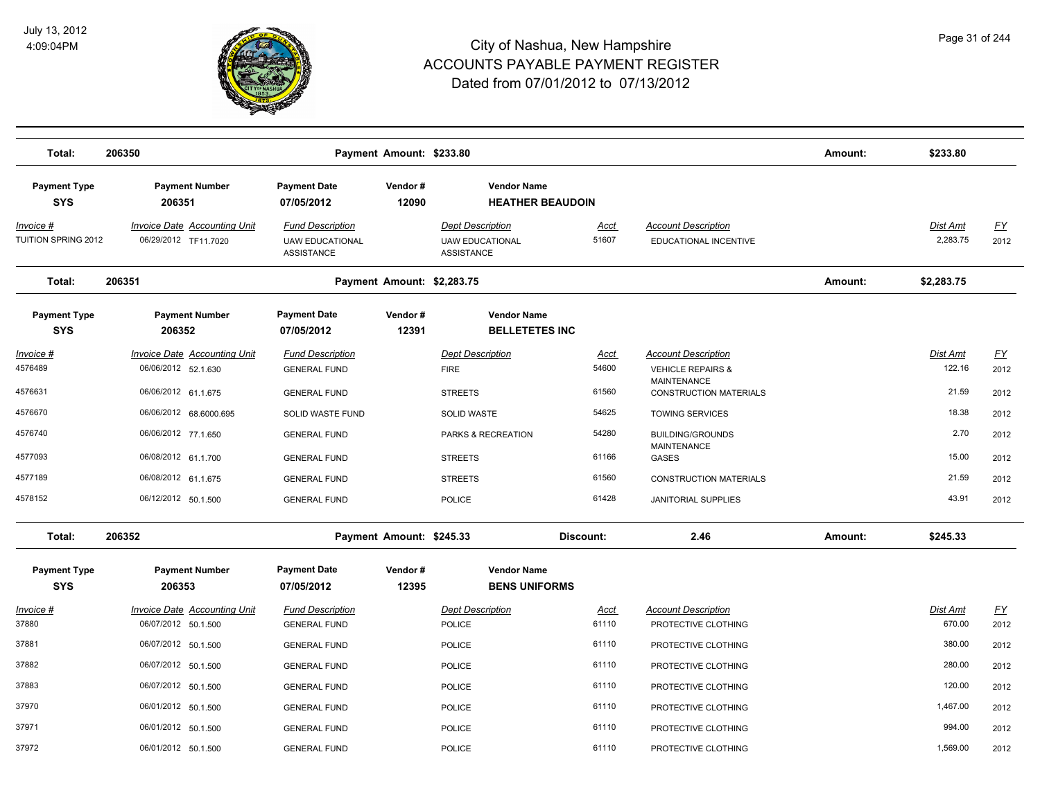

| Total:                                   | 206350                                                      |                                                                 | Payment Amount: \$233.80   |                                                                 |                      |                                                                           | Amount: | \$233.80                  |                          |
|------------------------------------------|-------------------------------------------------------------|-----------------------------------------------------------------|----------------------------|-----------------------------------------------------------------|----------------------|---------------------------------------------------------------------------|---------|---------------------------|--------------------------|
| <b>Payment Type</b><br><b>SYS</b>        | <b>Payment Number</b><br>206351                             | <b>Payment Date</b><br>07/05/2012                               | Vendor#<br>12090           | <b>Vendor Name</b><br><b>HEATHER BEAUDOIN</b>                   |                      |                                                                           |         |                           |                          |
| <u> Invoice #</u><br>TUITION SPRING 2012 | <b>Invoice Date Accounting Unit</b><br>06/29/2012 TF11.7020 | <b>Fund Description</b><br><b>UAW EDUCATIONAL</b><br>ASSISTANCE |                            | <b>Dept Description</b><br><b>UAW EDUCATIONAL</b><br>ASSISTANCE | <u>Acct</u><br>51607 | <b>Account Description</b><br>EDUCATIONAL INCENTIVE                       |         | Dist Amt<br>2,283.75      | EY<br>2012               |
| Total:                                   | 206351                                                      |                                                                 | Payment Amount: \$2,283.75 |                                                                 |                      |                                                                           | Amount: | \$2,283.75                |                          |
| <b>Payment Type</b><br><b>SYS</b>        | <b>Payment Number</b><br>206352                             | <b>Payment Date</b><br>07/05/2012                               | Vendor#<br>12391           | <b>Vendor Name</b><br><b>BELLETETES INC</b>                     |                      |                                                                           |         |                           |                          |
| <u> Invoice #</u><br>4576489             | <b>Invoice Date Accounting Unit</b><br>06/06/2012 52.1.630  | <b>Fund Description</b><br><b>GENERAL FUND</b>                  |                            | <b>Dept Description</b><br><b>FIRE</b>                          | <u>Acct</u><br>54600 | <b>Account Description</b><br><b>VEHICLE REPAIRS &amp;</b><br>MAINTENANCE |         | Dist Amt<br>122.16        | EY<br>2012               |
| 4576631                                  | 06/06/2012 61.1.675                                         | <b>GENERAL FUND</b>                                             |                            | <b>STREETS</b>                                                  | 61560                | <b>CONSTRUCTION MATERIALS</b>                                             |         | 21.59                     | 2012                     |
| 4576670                                  | 06/06/2012 68.6000.695                                      | <b>SOLID WASTE FUND</b>                                         |                            | SOLID WASTE                                                     | 54625                | <b>TOWING SERVICES</b>                                                    |         | 18.38                     | 2012                     |
| 4576740                                  | 06/06/2012 77.1.650                                         | <b>GENERAL FUND</b>                                             |                            | PARKS & RECREATION                                              | 54280                | <b>BUILDING/GROUNDS</b><br>MAINTENANCE                                    |         | 2.70                      | 2012                     |
| 4577093                                  | 06/08/2012 61.1.700                                         | <b>GENERAL FUND</b>                                             |                            | <b>STREETS</b>                                                  | 61166                | GASES                                                                     |         | 15.00                     | 2012                     |
| 4577189                                  | 06/08/2012 61.1.675                                         | <b>GENERAL FUND</b>                                             |                            | <b>STREETS</b>                                                  | 61560                | <b>CONSTRUCTION MATERIALS</b>                                             |         | 21.59                     | 2012                     |
| 4578152                                  | 06/12/2012 50.1.500                                         | <b>GENERAL FUND</b>                                             |                            | POLICE                                                          | 61428                | JANITORIAL SUPPLIES                                                       |         | 43.91                     | 2012                     |
| Total:                                   | 206352                                                      |                                                                 | Payment Amount: \$245.33   |                                                                 | Discount:            | 2.46                                                                      | Amount: | \$245.33                  |                          |
| <b>Payment Type</b><br><b>SYS</b>        | <b>Payment Number</b><br>206353                             | <b>Payment Date</b><br>07/05/2012                               | Vendor#<br>12395           | <b>Vendor Name</b><br><b>BENS UNIFORMS</b>                      |                      |                                                                           |         |                           |                          |
| $Invoice$ #<br>37880                     | <b>Invoice Date Accounting Unit</b><br>06/07/2012 50.1.500  | <b>Fund Description</b><br><b>GENERAL FUND</b>                  |                            | <b>Dept Description</b><br>POLICE                               | <u>Acct</u><br>61110 | <b>Account Description</b><br>PROTECTIVE CLOTHING                         |         | <b>Dist Amt</b><br>670.00 | $\underline{FY}$<br>2012 |
| 37881                                    | 06/07/2012 50.1.500                                         | <b>GENERAL FUND</b>                                             |                            | POLICE                                                          | 61110                | PROTECTIVE CLOTHING                                                       |         | 380.00                    | 2012                     |
| 37882                                    | 06/07/2012 50.1.500                                         | <b>GENERAL FUND</b>                                             |                            | POLICE                                                          | 61110                | PROTECTIVE CLOTHING                                                       |         | 280.00                    | 2012                     |
| 37883                                    | 06/07/2012 50.1.500                                         | <b>GENERAL FUND</b>                                             |                            | POLICE                                                          | 61110                | PROTECTIVE CLOTHING                                                       |         | 120.00                    | 2012                     |
| 37970                                    | 06/01/2012 50.1.500                                         | <b>GENERAL FUND</b>                                             |                            | POLICE                                                          | 61110                | PROTECTIVE CLOTHING                                                       |         | 1,467.00                  | 2012                     |
| 37971                                    | 06/01/2012 50.1.500                                         | <b>GENERAL FUND</b>                                             |                            | POLICE                                                          | 61110                | PROTECTIVE CLOTHING                                                       |         | 994.00                    | 2012                     |
| 37972                                    | 06/01/2012 50.1.500                                         | <b>GENERAL FUND</b>                                             |                            | POLICE                                                          | 61110                | PROTECTIVE CLOTHING                                                       |         | 1,569.00                  | 2012                     |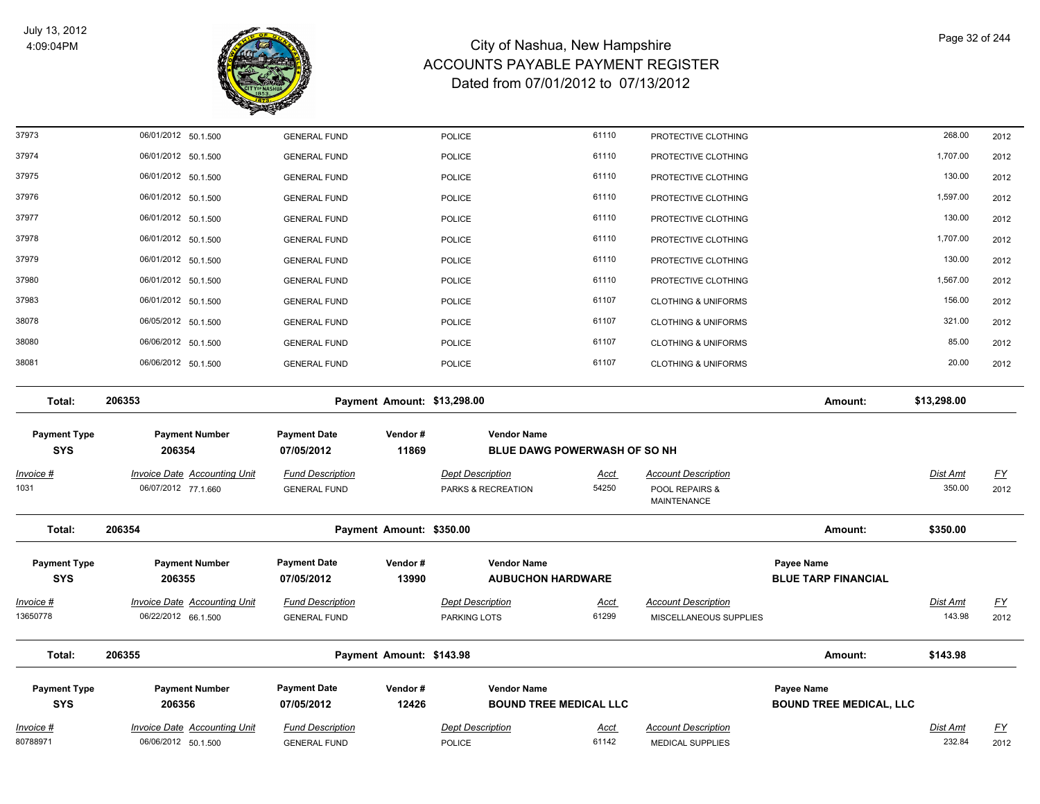

| 37973               | 06/01/2012 50.1.500                 | <b>GENERAL FUND</b>     |                             | <b>POLICE</b>                 | 61110                        | PROTECTIVE CLOTHING                  |                                | 268.00          | 2012      |
|---------------------|-------------------------------------|-------------------------|-----------------------------|-------------------------------|------------------------------|--------------------------------------|--------------------------------|-----------------|-----------|
| 37974               | 06/01/2012 50.1.500                 | <b>GENERAL FUND</b>     |                             | <b>POLICE</b>                 | 61110                        | PROTECTIVE CLOTHING                  |                                | 1,707.00        | 2012      |
| 37975               | 06/01/2012 50.1.500                 | <b>GENERAL FUND</b>     |                             | POLICE                        | 61110                        | PROTECTIVE CLOTHING                  |                                | 130.00          | 2012      |
| 37976               | 06/01/2012 50.1.500                 | <b>GENERAL FUND</b>     |                             | <b>POLICE</b>                 | 61110                        | PROTECTIVE CLOTHING                  |                                | 1,597.00        | 2012      |
| 37977               | 06/01/2012 50.1.500                 | <b>GENERAL FUND</b>     |                             | <b>POLICE</b>                 | 61110                        | PROTECTIVE CLOTHING                  |                                | 130.00          | 2012      |
| 37978               | 06/01/2012 50.1.500                 | <b>GENERAL FUND</b>     |                             | <b>POLICE</b>                 | 61110                        | PROTECTIVE CLOTHING                  |                                | 1,707.00        | 2012      |
| 37979               | 06/01/2012 50.1.500                 | <b>GENERAL FUND</b>     |                             | POLICE                        | 61110                        | PROTECTIVE CLOTHING                  |                                | 130.00          | 2012      |
| 37980               | 06/01/2012 50.1.500                 | <b>GENERAL FUND</b>     |                             | <b>POLICE</b>                 | 61110                        | PROTECTIVE CLOTHING                  |                                | 1,567.00        | 2012      |
| 37983               | 06/01/2012 50.1.500                 | <b>GENERAL FUND</b>     |                             | <b>POLICE</b>                 | 61107                        | <b>CLOTHING &amp; UNIFORMS</b>       |                                | 156.00          | 2012      |
| 38078               | 06/05/2012 50.1.500                 | <b>GENERAL FUND</b>     |                             | <b>POLICE</b>                 | 61107                        | <b>CLOTHING &amp; UNIFORMS</b>       |                                | 321.00          | 2012      |
| 38080               | 06/06/2012 50.1.500                 | <b>GENERAL FUND</b>     |                             | <b>POLICE</b>                 | 61107                        | <b>CLOTHING &amp; UNIFORMS</b>       |                                | 85.00           | 2012      |
| 38081               | 06/06/2012 50.1.500                 | <b>GENERAL FUND</b>     |                             | POLICE                        | 61107                        | <b>CLOTHING &amp; UNIFORMS</b>       |                                | 20.00           | 2012      |
| Total:              | 206353                              |                         | Payment Amount: \$13,298.00 |                               |                              |                                      | Amount:                        | \$13,298.00     |           |
| <b>Payment Type</b> | <b>Payment Number</b>               | <b>Payment Date</b>     | Vendor#                     | <b>Vendor Name</b>            |                              |                                      |                                |                 |           |
| <b>SYS</b>          | 206354                              | 07/05/2012              | 11869                       |                               | BLUE DAWG POWERWASH OF SO NH |                                      |                                |                 |           |
| <u>Invoice #</u>    | <b>Invoice Date Accounting Unit</b> | <b>Fund Description</b> |                             | <b>Dept Description</b>       | Acct                         | <b>Account Description</b>           |                                | Dist Amt        | <u>FY</u> |
| 1031                | 06/07/2012 77.1.660                 | <b>GENERAL FUND</b>     |                             | PARKS & RECREATION            | 54250                        | POOL REPAIRS &<br><b>MAINTENANCE</b> |                                | 350.00          | 2012      |
| Total:              | 206354                              |                         | Payment Amount: \$350.00    |                               |                              |                                      | Amount:                        | \$350.00        |           |
| <b>Payment Type</b> | <b>Payment Number</b>               | <b>Payment Date</b>     | Vendor#                     | <b>Vendor Name</b>            |                              |                                      | Payee Name                     |                 |           |
| <b>SYS</b>          | 206355                              | 07/05/2012              | 13990                       | <b>AUBUCHON HARDWARE</b>      |                              |                                      | <b>BLUE TARP FINANCIAL</b>     |                 |           |
| <u>Invoice #</u>    | <b>Invoice Date Accounting Unit</b> | <b>Fund Description</b> |                             | <b>Dept Description</b>       | <u>Acct</u>                  | <b>Account Description</b>           |                                | <u>Dist Amt</u> | <u>FY</u> |
| 13650778            | 06/22/2012 66.1.500                 | <b>GENERAL FUND</b>     |                             | PARKING LOTS                  | 61299                        | MISCELLANEOUS SUPPLIES               |                                | 143.98          | 2012      |
| Total:              | 206355                              |                         | Payment Amount: \$143.98    |                               |                              |                                      | Amount:                        | \$143.98        |           |
| <b>Payment Type</b> | <b>Payment Number</b>               | <b>Payment Date</b>     | Vendor#                     | <b>Vendor Name</b>            |                              |                                      | Payee Name                     |                 |           |
| <b>SYS</b>          | 206356                              | 07/05/2012              | 12426                       | <b>BOUND TREE MEDICAL LLC</b> |                              |                                      | <b>BOUND TREE MEDICAL, LLC</b> |                 |           |
| <u>Invoice #</u>    | <b>Invoice Date Accounting Unit</b> | <b>Fund Description</b> |                             | Dept Description              | <u>Acct</u>                  | <b>Account Description</b>           |                                | <u>Dist Amt</u> | <u>FY</u> |
| 80788971            | 06/06/2012 50.1.500                 | <b>GENERAL FUND</b>     |                             | <b>POLICE</b>                 | 61142                        | <b>MEDICAL SUPPLIES</b>              |                                | 232.84          | 2012      |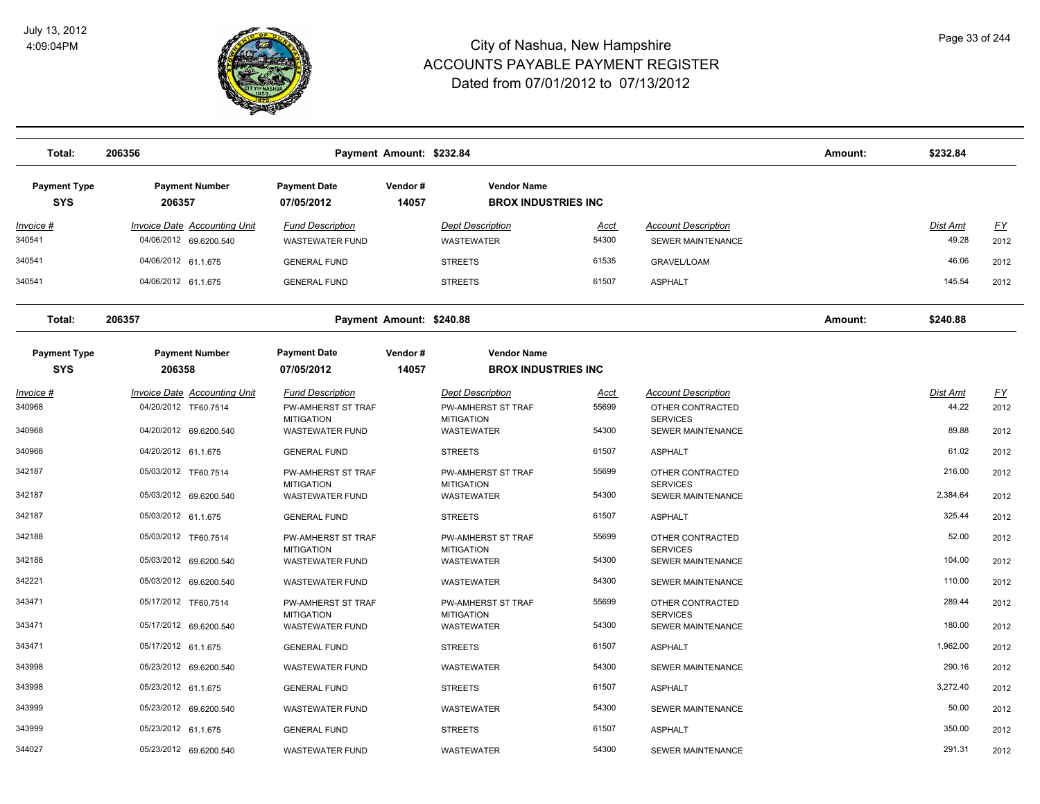

| Total:                            | 206356<br>Payment Amount: \$232.84                            |                                                   |                  |                                                  |                      |                                                 |  | \$232.84          |                   |
|-----------------------------------|---------------------------------------------------------------|---------------------------------------------------|------------------|--------------------------------------------------|----------------------|-------------------------------------------------|--|-------------------|-------------------|
| <b>Payment Type</b><br><b>SYS</b> | <b>Payment Number</b><br>206357                               | <b>Payment Date</b><br>07/05/2012                 | Vendor#<br>14057 | <b>Vendor Name</b><br><b>BROX INDUSTRIES INC</b> |                      |                                                 |  |                   |                   |
| Invoice #<br>340541               | <b>Invoice Date Accounting Unit</b><br>04/06/2012 69.6200.540 | <b>Fund Description</b><br><b>WASTEWATER FUND</b> |                  | <b>Dept Description</b><br><b>WASTEWATER</b>     | <u>Acct</u><br>54300 | <b>Account Description</b><br>SEWER MAINTENANCE |  | Dist Amt<br>49.28 | <u>FY</u><br>2012 |
| 340541                            | 04/06/2012 61.1.675                                           | <b>GENERAL FUND</b>                               |                  | <b>STREETS</b>                                   | 61535                | <b>GRAVEL/LOAM</b>                              |  | 46.06             | 2012              |
| 340541                            | 04/06/2012 61.1.675                                           | <b>GENERAL FUND</b>                               |                  | <b>STREETS</b>                                   | 61507                | <b>ASPHALT</b>                                  |  | 145.54            | 2012              |
| Total:                            | 206357<br>Payment Amount: \$240.88                            |                                                   |                  |                                                  |                      |                                                 |  | \$240.88          |                   |
| <b>Payment Type</b><br><b>SYS</b> | <b>Payment Number</b><br>206358                               | <b>Payment Date</b><br>07/05/2012                 | Vendor#<br>14057 | <b>Vendor Name</b><br><b>BROX INDUSTRIES INC</b> |                      |                                                 |  |                   |                   |
| Invoice #                         | <b>Invoice Date Accounting Unit</b>                           | <b>Fund Description</b>                           |                  | <b>Dept Description</b>                          | <u>Acct</u>          | <b>Account Description</b>                      |  | Dist Amt          | <u>FY</u>         |
| 340968                            | 04/20/2012 TF60.7514                                          | <b>PW-AMHERST ST TRAF</b>                         |                  | <b>PW-AMHERST ST TRAF</b>                        | 55699                | OTHER CONTRACTED<br><b>SERVICES</b>             |  | 44.22             | 2012              |
| 340968                            | 04/20/2012 69.6200.540                                        | <b>MITIGATION</b><br><b>WASTEWATER FUND</b>       |                  | <b>MITIGATION</b><br>WASTEWATER                  | 54300                | <b>SEWER MAINTENANCE</b>                        |  | 89.88             | 2012              |
| 340968                            | 04/20/2012 61.1.675                                           | <b>GENERAL FUND</b>                               |                  | <b>STREETS</b>                                   | 61507                | <b>ASPHALT</b>                                  |  | 61.02             | 2012              |
| 342187                            | 05/03/2012 TF60.7514                                          | PW-AMHERST ST TRAF<br><b>MITIGATION</b>           |                  | PW-AMHERST ST TRAF<br><b>MITIGATION</b>          | 55699                | OTHER CONTRACTED<br><b>SERVICES</b>             |  | 216.00            | 2012              |
| 342187                            | 05/03/2012 69.6200.540                                        | <b>WASTEWATER FUND</b>                            |                  | <b>WASTEWATER</b>                                | 54300                | <b>SEWER MAINTENANCE</b>                        |  | 2,384.64          | 2012              |
| 342187                            | 05/03/2012 61.1.675                                           | <b>GENERAL FUND</b>                               |                  | <b>STREETS</b>                                   | 61507                | <b>ASPHALT</b>                                  |  | 325.44            | 2012              |
| 342188                            | 05/03/2012 TF60.7514                                          | PW-AMHERST ST TRAF<br><b>MITIGATION</b>           |                  | <b>PW-AMHERST ST TRAF</b><br><b>MITIGATION</b>   | 55699                | OTHER CONTRACTED<br><b>SERVICES</b>             |  | 52.00             | 2012              |
| 342188                            | 05/03/2012 69.6200.540                                        | <b>WASTEWATER FUND</b>                            |                  | <b>WASTEWATER</b>                                | 54300                | SEWER MAINTENANCE                               |  | 104.00            | 2012              |
| 342221                            | 05/03/2012 69.6200.540                                        | <b>WASTEWATER FUND</b>                            |                  | <b>WASTEWATER</b>                                | 54300                | <b>SEWER MAINTENANCE</b>                        |  | 110.00            | 2012              |
| 343471                            | 05/17/2012 TF60.7514                                          | PW-AMHERST ST TRAF                                |                  | PW-AMHERST ST TRAF                               | 55699                | OTHER CONTRACTED                                |  | 289.44            | 2012              |
| 343471                            | 05/17/2012 69.6200.540                                        | <b>MITIGATION</b><br><b>WASTEWATER FUND</b>       |                  | <b>MITIGATION</b><br><b>WASTEWATER</b>           | 54300                | <b>SERVICES</b><br><b>SEWER MAINTENANCE</b>     |  | 180.00            | 2012              |
| 343471                            | 05/17/2012 61.1.675                                           | <b>GENERAL FUND</b>                               |                  | <b>STREETS</b>                                   | 61507                | <b>ASPHALT</b>                                  |  | 1,962.00          | 2012              |
| 343998                            | 05/23/2012 69.6200.540                                        | <b>WASTEWATER FUND</b>                            |                  | <b>WASTEWATER</b>                                | 54300                | <b>SEWER MAINTENANCE</b>                        |  | 290.16            | 2012              |
| 343998                            | 05/23/2012 61.1.675                                           | <b>GENERAL FUND</b>                               |                  | <b>STREETS</b>                                   | 61507                | <b>ASPHALT</b>                                  |  | 3,272.40          | 2012              |
| 343999                            | 05/23/2012 69.6200.540                                        | <b>WASTEWATER FUND</b>                            |                  | <b>WASTEWATER</b>                                | 54300                | <b>SEWER MAINTENANCE</b>                        |  | 50.00             | 2012              |
| 343999                            | 05/23/2012 61.1.675                                           | <b>GENERAL FUND</b>                               |                  | <b>STREETS</b>                                   | 61507                | <b>ASPHALT</b>                                  |  | 350.00            | 2012              |
| 344027                            | 05/23/2012 69.6200.540                                        | <b>WASTEWATER FUND</b>                            |                  | <b>WASTEWATER</b>                                | 54300                | <b>SEWER MAINTENANCE</b>                        |  | 291.31            | 2012              |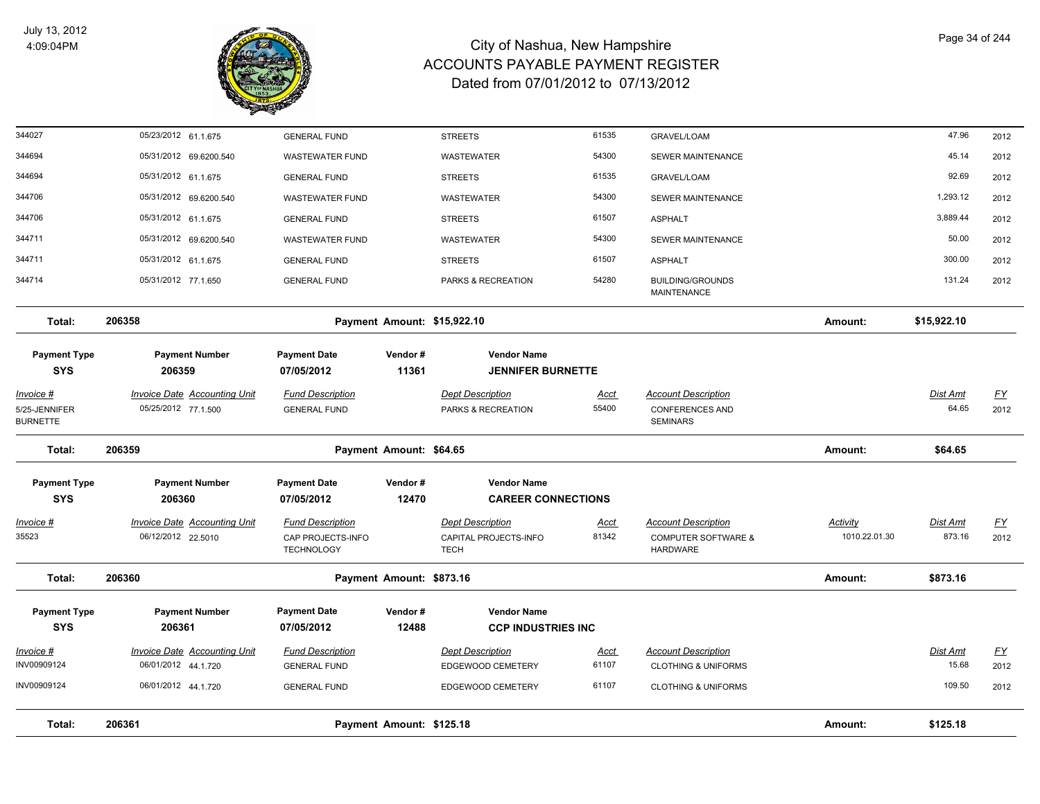

| Total:                            | 206361<br>Payment Amount: \$125.18                         |                                                |                             |                                                 |                      |                                                      |               | \$125.18          |                                   |
|-----------------------------------|------------------------------------------------------------|------------------------------------------------|-----------------------------|-------------------------------------------------|----------------------|------------------------------------------------------|---------------|-------------------|-----------------------------------|
| INV00909124                       | 06/01/2012 44.1.720                                        | <b>GENERAL FUND</b>                            |                             | EDGEWOOD CEMETERY                               | 61107                | <b>CLOTHING &amp; UNIFORMS</b>                       |               | 109.50            | 2012                              |
| INV00909124                       | 06/01/2012 44.1.720                                        | <b>GENERAL FUND</b>                            |                             | EDGEWOOD CEMETERY                               | 61107                | <b>CLOTHING &amp; UNIFORMS</b>                       |               | 15.68             | 2012                              |
| Invoice #                         | <b>Invoice Date Accounting Unit</b>                        | <b>Fund Description</b>                        |                             | <b>Dept Description</b>                         | <u>Acct</u>          | <b>Account Description</b>                           |               | <b>Dist Amt</b>   | $\underline{FY}$                  |
| <b>SYS</b>                        | 206361                                                     | 07/05/2012                                     | 12488                       | <b>CCP INDUSTRIES INC</b>                       |                      |                                                      |               |                   |                                   |
| <b>Payment Type</b>               | <b>Payment Number</b>                                      | <b>Payment Date</b>                            | Vendor#                     | <b>Vendor Name</b>                              |                      |                                                      |               |                   |                                   |
| Total:                            | 206360                                                     |                                                | Payment Amount: \$873.16    |                                                 |                      |                                                      | Amount:       | \$873.16          |                                   |
| 35523                             | 06/12/2012 22.5010                                         | CAP PROJECTS-INFO<br><b>TECHNOLOGY</b>         |                             | CAPITAL PROJECTS-INFO<br><b>TECH</b>            | 81342                | <b>COMPUTER SOFTWARE &amp;</b><br><b>HARDWARE</b>    | 1010.22.01.30 | 873.16            | 2012                              |
| Invoice #                         | <b>Invoice Date Accounting Unit</b>                        | <b>Fund Description</b>                        |                             | <b>Dept Description</b>                         | Acct                 | <b>Account Description</b>                           | Activity      | Dist Amt          | $\underline{FY}$                  |
| <b>Payment Type</b><br><b>SYS</b> | <b>Payment Number</b><br>206360                            | <b>Payment Date</b><br>07/05/2012              | Vendor#<br>12470            | <b>Vendor Name</b><br><b>CAREER CONNECTIONS</b> |                      |                                                      |               |                   |                                   |
| Total:                            | 206359                                                     |                                                | Payment Amount: \$64.65     |                                                 |                      |                                                      | Amount:       | \$64.65           |                                   |
| <b>BURNETTE</b>                   |                                                            |                                                |                             |                                                 |                      | <b>SEMINARS</b>                                      |               |                   |                                   |
| $Invoice$ #<br>5/25-JENNIFER      | <b>Invoice Date Accounting Unit</b><br>05/25/2012 77.1.500 | <b>Fund Description</b><br><b>GENERAL FUND</b> |                             | <b>Dept Description</b><br>PARKS & RECREATION   | <u>Acct</u><br>55400 | <b>Account Description</b><br><b>CONFERENCES AND</b> |               | Dist Amt<br>64.65 | $\underline{\mathsf{FY}}$<br>2012 |
| <b>SYS</b>                        | 206359                                                     | 07/05/2012                                     | 11361                       | <b>JENNIFER BURNETTE</b>                        |                      |                                                      |               |                   |                                   |
| <b>Payment Type</b>               | <b>Payment Number</b>                                      | <b>Payment Date</b>                            | Vendor#                     | <b>Vendor Name</b>                              |                      |                                                      |               |                   |                                   |
| Total:                            | 206358                                                     |                                                | Payment Amount: \$15,922.10 |                                                 |                      |                                                      | Amount:       | \$15,922.10       |                                   |
| 344714                            | 05/31/2012 77.1.650                                        | <b>GENERAL FUND</b>                            |                             | PARKS & RECREATION                              | 54280                | <b>BUILDING/GROUNDS</b><br><b>MAINTENANCE</b>        |               | 131.24            | 2012                              |
| 344711                            | 05/31/2012 61.1.675                                        | <b>GENERAL FUND</b>                            |                             | <b>STREETS</b>                                  | 61507                | <b>ASPHALT</b>                                       |               | 300.00            | 2012                              |
| 344711                            | 05/31/2012 69.6200.540                                     | <b>WASTEWATER FUND</b>                         |                             | <b>WASTEWATER</b>                               | 54300                | <b>SEWER MAINTENANCE</b>                             |               | 50.00             | 2012                              |
| 344706                            | 05/31/2012 61.1.675                                        | <b>GENERAL FUND</b>                            |                             | <b>STREETS</b>                                  | 61507                | <b>ASPHALT</b>                                       |               | 3,889.44          | 2012                              |
| 344706                            | 05/31/2012 69.6200.540                                     | <b>WASTEWATER FUND</b>                         |                             | <b>WASTEWATER</b>                               | 54300                | <b>SEWER MAINTENANCE</b>                             |               | 1,293.12          | 2012                              |
| 344694                            | 05/31/2012 61.1.675                                        | <b>GENERAL FUND</b>                            |                             | <b>STREETS</b>                                  | 61535                | <b>GRAVEL/LOAM</b>                                   |               | 92.69             | 2012                              |
| 344694                            | 05/31/2012 69.6200.540                                     | <b>WASTEWATER FUND</b>                         |                             | WASTEWATER                                      | 54300                | SEWER MAINTENANCE                                    |               | 45.14             | 2012                              |
| 344027                            | 05/23/2012 61.1.675                                        | <b>GENERAL FUND</b>                            |                             | <b>STREETS</b>                                  | 61535                | <b>GRAVEL/LOAM</b>                                   |               | 47.96             | 2012                              |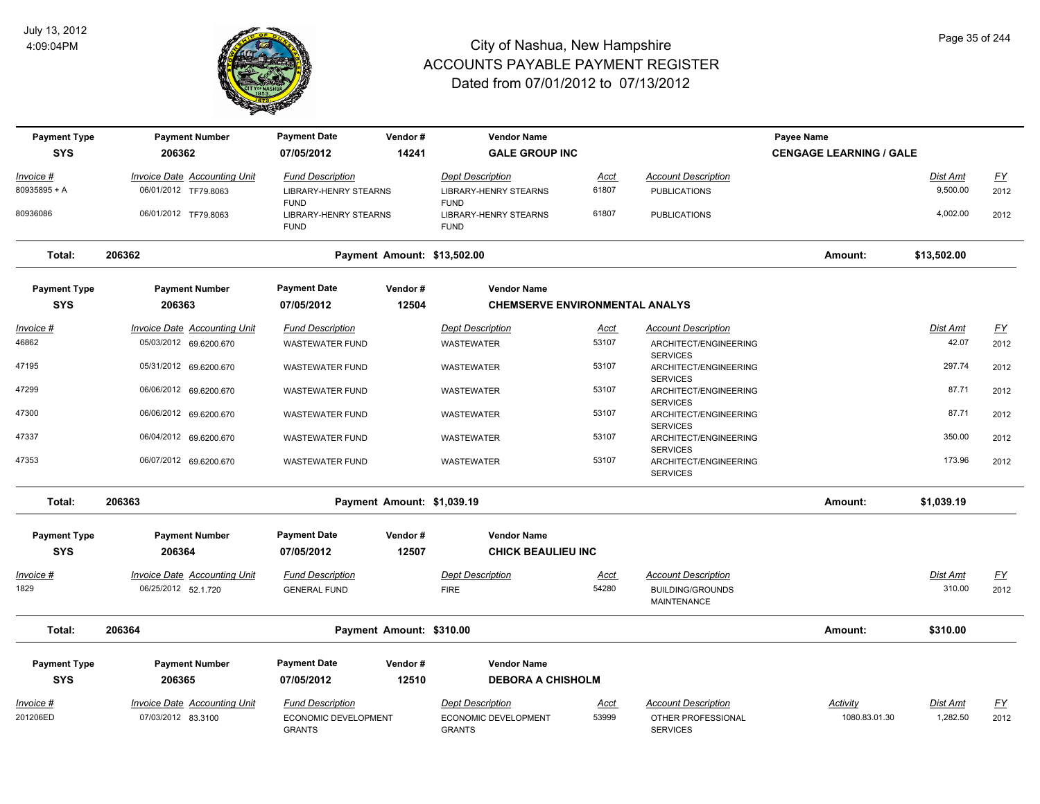

| <b>Payment Type</b> | <b>Payment Number</b>               | <b>Payment Date</b>                          | Vendor#                     | <b>Vendor Name</b>                          |             |                                                             | <b>Payee Name</b>              |             |           |
|---------------------|-------------------------------------|----------------------------------------------|-----------------------------|---------------------------------------------|-------------|-------------------------------------------------------------|--------------------------------|-------------|-----------|
| <b>SYS</b>          | 206362                              | 07/05/2012                                   | 14241                       | <b>GALE GROUP INC</b>                       |             |                                                             | <b>CENGAGE LEARNING / GALE</b> |             |           |
| Invoice #           | <b>Invoice Date Accounting Unit</b> | <b>Fund Description</b>                      |                             | <b>Dept Description</b>                     | <u>Acct</u> | <b>Account Description</b>                                  |                                | Dist Amt    | EY        |
| 80935895 + A        | 06/01/2012 TF79.8063                | <b>LIBRARY-HENRY STEARNS</b><br><b>FUND</b>  |                             | <b>LIBRARY-HENRY STEARNS</b><br><b>FUND</b> | 61807       | <b>PUBLICATIONS</b>                                         |                                | 9,500.00    | 2012      |
| 80936086            | 06/01/2012 TF79.8063                | <b>LIBRARY-HENRY STEARNS</b><br><b>FUND</b>  |                             | <b>LIBRARY-HENRY STEARNS</b><br><b>FUND</b> | 61807       | <b>PUBLICATIONS</b>                                         |                                | 4,002.00    | 2012      |
| Total:              | 206362                              |                                              | Payment Amount: \$13,502.00 |                                             |             |                                                             | Amount:                        | \$13,502.00 |           |
| <b>Payment Type</b> | <b>Payment Number</b>               | <b>Payment Date</b>                          | Vendor#                     | <b>Vendor Name</b>                          |             |                                                             |                                |             |           |
| <b>SYS</b>          | 206363                              | 07/05/2012                                   | 12504                       | <b>CHEMSERVE ENVIRONMENTAL ANALYS</b>       |             |                                                             |                                |             |           |
| Invoice #           | <b>Invoice Date Accounting Unit</b> | <b>Fund Description</b>                      |                             | <b>Dept Description</b>                     | <u>Acct</u> | <b>Account Description</b>                                  |                                | Dist Amt    | <u>FY</u> |
| 46862               | 05/03/2012 69.6200.670              | <b>WASTEWATER FUND</b>                       |                             | WASTEWATER                                  | 53107       | ARCHITECT/ENGINEERING<br><b>SERVICES</b>                    |                                | 42.07       | 2012      |
| 47195               | 05/31/2012 69.6200.670              | <b>WASTEWATER FUND</b>                       |                             | WASTEWATER                                  | 53107       | ARCHITECT/ENGINEERING                                       |                                | 297.74      | 2012      |
| 47299               | 06/06/2012 69.6200.670              | <b>WASTEWATER FUND</b>                       |                             | WASTEWATER                                  | 53107       | <b>SERVICES</b><br>ARCHITECT/ENGINEERING                    |                                | 87.71       | 2012      |
| 47300               | 06/06/2012 69.6200.670              | <b>WASTEWATER FUND</b>                       |                             | WASTEWATER                                  | 53107       | <b>SERVICES</b><br>ARCHITECT/ENGINEERING                    |                                | 87.71       | 2012      |
| 47337               | 06/04/2012 69.6200.670              | <b>WASTEWATER FUND</b>                       |                             | <b>WASTEWATER</b>                           | 53107       | <b>SERVICES</b><br>ARCHITECT/ENGINEERING                    |                                | 350.00      | 2012      |
| 47353               | 06/07/2012 69.6200.670              | <b>WASTEWATER FUND</b>                       |                             | WASTEWATER                                  | 53107       | <b>SERVICES</b><br>ARCHITECT/ENGINEERING<br><b>SERVICES</b> |                                | 173.96      | 2012      |
| Total:              | 206363                              |                                              | Payment Amount: \$1,039.19  |                                             |             |                                                             | Amount:                        | \$1,039.19  |           |
| <b>Payment Type</b> | <b>Payment Number</b>               | <b>Payment Date</b>                          | Vendor#                     | <b>Vendor Name</b>                          |             |                                                             |                                |             |           |
| <b>SYS</b>          | 206364                              | 07/05/2012                                   | 12507                       | <b>CHICK BEAULIEU INC</b>                   |             |                                                             |                                |             |           |
| Invoice #           | <b>Invoice Date Accounting Unit</b> | <b>Fund Description</b>                      |                             | <b>Dept Description</b>                     | <u>Acct</u> | <b>Account Description</b>                                  |                                | Dist Amt    | <u>FY</u> |
| 1829                | 06/25/2012 52.1.720                 | <b>GENERAL FUND</b>                          |                             | <b>FIRE</b>                                 | 54280       | <b>BUILDING/GROUNDS</b><br><b>MAINTENANCE</b>               |                                | 310.00      | 2012      |
| Total:              | 206364                              |                                              | Payment Amount: \$310.00    |                                             |             |                                                             | Amount:                        | \$310.00    |           |
| <b>Payment Type</b> | <b>Payment Number</b>               | <b>Payment Date</b>                          | Vendor#                     | <b>Vendor Name</b>                          |             |                                                             |                                |             |           |
| <b>SYS</b>          | 206365                              | 07/05/2012                                   | 12510                       | <b>DEBORA A CHISHOLM</b>                    |             |                                                             |                                |             |           |
| Invoice #           | <b>Invoice Date Accounting Unit</b> | <b>Fund Description</b>                      |                             | Dept Description                            | Acct        | <b>Account Description</b>                                  | Activity                       | Dist Amt    | <u>FY</u> |
| 201206ED            | 07/03/2012 83.3100                  | <b>ECONOMIC DEVELOPMENT</b><br><b>GRANTS</b> |                             | ECONOMIC DEVELOPMENT<br><b>GRANTS</b>       | 53999       | OTHER PROFESSIONAL<br><b>SERVICES</b>                       | 1080.83.01.30                  | 1,282.50    | 2012      |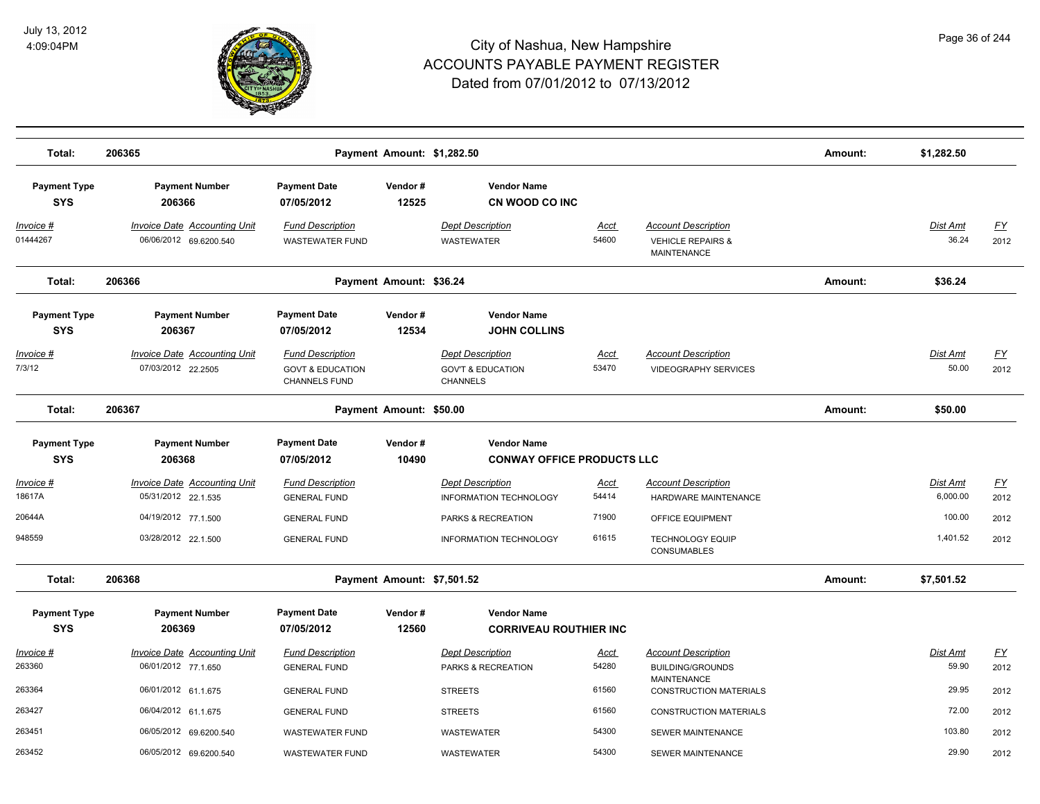

| Total:                            | 206365                                                        |                                                                         | Payment Amount: \$1,282.50 |                                                                     |                      |                                                                                  | Amount: | \$1,282.50               |                          |
|-----------------------------------|---------------------------------------------------------------|-------------------------------------------------------------------------|----------------------------|---------------------------------------------------------------------|----------------------|----------------------------------------------------------------------------------|---------|--------------------------|--------------------------|
| <b>Payment Type</b><br><b>SYS</b> | <b>Payment Number</b><br>206366                               | <b>Payment Date</b><br>07/05/2012                                       | Vendor#<br>12525           | <b>Vendor Name</b><br>CN WOOD CO INC                                |                      |                                                                                  |         |                          |                          |
| <u> Invoice #</u><br>01444267     | <b>Invoice Date Accounting Unit</b><br>06/06/2012 69.6200.540 | <b>Fund Description</b><br><b>WASTEWATER FUND</b>                       |                            | <b>Dept Description</b><br><b>WASTEWATER</b>                        | <u>Acct</u><br>54600 | <b>Account Description</b><br><b>VEHICLE REPAIRS &amp;</b><br><b>MAINTENANCE</b> |         | Dist Amt<br>36.24        | <u>FY</u><br>2012        |
| Total:                            | 206366                                                        |                                                                         | Payment Amount: \$36.24    |                                                                     |                      |                                                                                  | Amount: | \$36.24                  |                          |
| <b>Payment Type</b><br><b>SYS</b> | <b>Payment Number</b><br>206367                               | <b>Payment Date</b><br>07/05/2012                                       | Vendor#<br>12534           | <b>Vendor Name</b><br><b>JOHN COLLINS</b>                           |                      |                                                                                  |         |                          |                          |
| Invoice #<br>7/3/12               | Invoice Date Accounting Unit<br>07/03/2012 22.2505            | <b>Fund Description</b><br><b>GOVT &amp; EDUCATION</b><br>CHANNELS FUND |                            | <b>Dept Description</b><br><b>GOV'T &amp; EDUCATION</b><br>CHANNELS | <u>Acct</u><br>53470 | <b>Account Description</b><br><b>VIDEOGRAPHY SERVICES</b>                        |         | Dist Amt<br>50.00        | $\underline{FY}$<br>2012 |
| Total:                            | 206367                                                        |                                                                         | Payment Amount: \$50.00    |                                                                     |                      |                                                                                  | Amount: | \$50.00                  |                          |
| <b>Payment Type</b><br><b>SYS</b> | <b>Payment Number</b><br>206368                               | <b>Payment Date</b><br>07/05/2012                                       | Vendor#<br>10490           | <b>Vendor Name</b><br><b>CONWAY OFFICE PRODUCTS LLC</b>             |                      |                                                                                  |         |                          |                          |
| Invoice #<br>18617A               | <b>Invoice Date Accounting Unit</b><br>05/31/2012 22.1.535    | <b>Fund Description</b><br><b>GENERAL FUND</b>                          |                            | <b>Dept Description</b><br><b>INFORMATION TECHNOLOGY</b>            | Acct<br>54414        | <b>Account Description</b><br>HARDWARE MAINTENANCE                               |         | Dist Amt<br>6,000.00     | <u>FY</u><br>2012        |
| 20644A<br>948559                  | 04/19/2012 77.1.500<br>03/28/2012 22.1.500                    | <b>GENERAL FUND</b><br><b>GENERAL FUND</b>                              |                            | PARKS & RECREATION<br><b>INFORMATION TECHNOLOGY</b>                 | 71900<br>61615       | OFFICE EQUIPMENT<br><b>TECHNOLOGY EQUIP</b><br><b>CONSUMABLES</b>                |         | 100.00<br>1,401.52       | 2012<br>2012             |
| Total:                            | 206368                                                        |                                                                         | Payment Amount: \$7,501.52 |                                                                     |                      |                                                                                  | Amount: | \$7,501.52               |                          |
| <b>Payment Type</b><br><b>SYS</b> | <b>Payment Number</b><br>206369                               | <b>Payment Date</b><br>07/05/2012                                       | Vendor#<br>12560           | <b>Vendor Name</b><br><b>CORRIVEAU ROUTHIER INC</b>                 |                      |                                                                                  |         |                          |                          |
| Invoice #<br>263360               | <b>Invoice Date Accounting Unit</b><br>06/01/2012 77.1.650    | <b>Fund Description</b><br><b>GENERAL FUND</b>                          |                            | <b>Dept Description</b><br>PARKS & RECREATION                       | <u>Acct</u><br>54280 | <b>Account Description</b><br><b>BUILDING/GROUNDS</b>                            |         | <b>Dist Amt</b><br>59.90 | <u>FY</u><br>2012        |
| 263364                            | 06/01/2012 61.1.675                                           | <b>GENERAL FUND</b>                                                     |                            | <b>STREETS</b>                                                      | 61560                | MAINTENANCE<br><b>CONSTRUCTION MATERIALS</b>                                     |         | 29.95                    | 2012                     |
| 263427                            | 06/04/2012 61.1.675                                           | <b>GENERAL FUND</b>                                                     |                            | <b>STREETS</b>                                                      | 61560                | <b>CONSTRUCTION MATERIALS</b>                                                    |         | 72.00                    | 2012                     |
| 263451<br>263452                  | 06/05/2012 69.6200.540<br>06/05/2012 69.6200.540              | <b>WASTEWATER FUND</b><br><b>WASTEWATER FUND</b>                        |                            | WASTEWATER<br><b>WASTEWATER</b>                                     | 54300<br>54300       | SEWER MAINTENANCE<br><b>SEWER MAINTENANCE</b>                                    |         | 103.80<br>29.90          | 2012<br>2012             |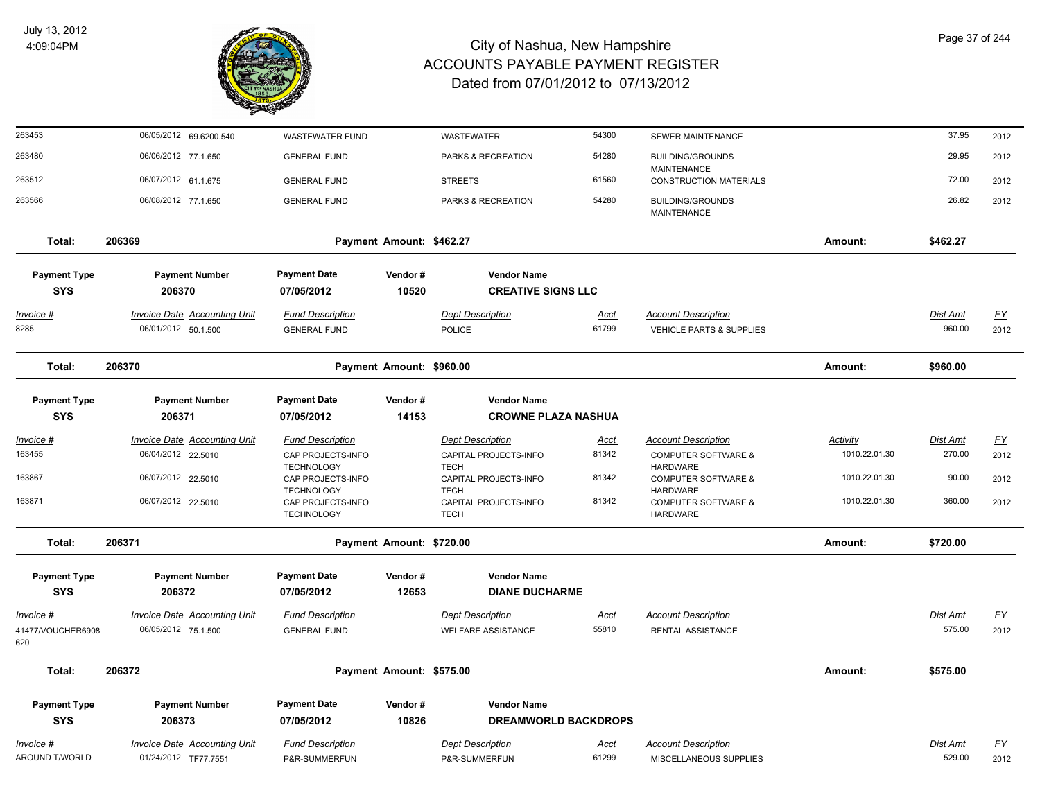

| 263453                            | 06/05/2012 69.6200.540                                     | <b>WASTEWATER FUND</b>                         |                          | WASTEWATER                                       | 54300                | SEWER MAINTENANCE                                                 |                           | 37.95              | 2012                      |
|-----------------------------------|------------------------------------------------------------|------------------------------------------------|--------------------------|--------------------------------------------------|----------------------|-------------------------------------------------------------------|---------------------------|--------------------|---------------------------|
| 263480                            | 06/06/2012 77.1.650                                        | <b>GENERAL FUND</b>                            |                          | PARKS & RECREATION                               | 54280                | <b>BUILDING/GROUNDS</b>                                           |                           | 29.95              | 2012                      |
| 263512                            | 06/07/2012 61.1.675                                        | <b>GENERAL FUND</b>                            |                          | <b>STREETS</b>                                   | 61560                | <b>MAINTENANCE</b><br><b>CONSTRUCTION MATERIALS</b>               |                           | 72.00              | 2012                      |
| 263566                            | 06/08/2012 77.1.650                                        | <b>GENERAL FUND</b>                            |                          | PARKS & RECREATION                               | 54280                | <b>BUILDING/GROUNDS</b><br><b>MAINTENANCE</b>                     |                           | 26.82              | 2012                      |
| Total:                            | 206369                                                     |                                                | Payment Amount: \$462.27 |                                                  |                      |                                                                   | Amount:                   | \$462.27           |                           |
| <b>Payment Type</b>               | <b>Payment Number</b>                                      | <b>Payment Date</b>                            | Vendor#                  | <b>Vendor Name</b>                               |                      |                                                                   |                           |                    |                           |
| <b>SYS</b>                        | 206370                                                     | 07/05/2012                                     | 10520                    | <b>CREATIVE SIGNS LLC</b>                        |                      |                                                                   |                           |                    |                           |
| <u>Invoice #</u><br>8285          | <b>Invoice Date Accounting Unit</b><br>06/01/2012 50.1.500 | <b>Fund Description</b><br><b>GENERAL FUND</b> |                          | <b>Dept Description</b><br>POLICE                | <b>Acct</b><br>61799 | <b>Account Description</b><br><b>VEHICLE PARTS &amp; SUPPLIES</b> |                           | Dist Amt<br>960.00 | <u>FY</u><br>2012         |
| Total:                            | 206370                                                     |                                                | Payment Amount: \$960.00 |                                                  |                      |                                                                   | Amount:                   | \$960.00           |                           |
| <b>Payment Type</b><br><b>SYS</b> | <b>Payment Number</b><br>206371                            | <b>Payment Date</b><br>07/05/2012              | Vendor#<br>14153         | <b>Vendor Name</b><br><b>CROWNE PLAZA NASHUA</b> |                      |                                                                   |                           |                    |                           |
|                                   |                                                            |                                                |                          |                                                  |                      |                                                                   |                           |                    |                           |
| Invoice #<br>163455               | <b>Invoice Date Accounting Unit</b><br>06/04/2012 22.5010  | <b>Fund Description</b><br>CAP PROJECTS-INFO   |                          | <b>Dept Description</b><br>CAPITAL PROJECTS-INFO | <u>Acct</u><br>81342 | <b>Account Description</b><br><b>COMPUTER SOFTWARE &amp;</b>      | Activity<br>1010.22.01.30 | Dist Amt<br>270.00 | EY<br>2012                |
| 163867                            | 06/07/2012 22.5010                                         | <b>TECHNOLOGY</b><br>CAP PROJECTS-INFO         |                          | <b>TECH</b><br>CAPITAL PROJECTS-INFO             | 81342                | <b>HARDWARE</b><br><b>COMPUTER SOFTWARE &amp;</b>                 | 1010.22.01.30             | 90.00              | 2012                      |
|                                   |                                                            | <b>TECHNOLOGY</b>                              |                          | <b>TECH</b>                                      |                      | <b>HARDWARE</b>                                                   |                           |                    |                           |
| 163871                            | 06/07/2012 22.5010                                         | CAP PROJECTS-INFO<br><b>TECHNOLOGY</b>         |                          | CAPITAL PROJECTS-INFO<br><b>TECH</b>             | 81342                | <b>COMPUTER SOFTWARE &amp;</b><br><b>HARDWARE</b>                 | 1010.22.01.30             | 360.00             | 2012                      |
| Total:                            | 206371                                                     |                                                | Payment Amount: \$720.00 |                                                  |                      |                                                                   | Amount:                   | \$720.00           |                           |
| <b>Payment Type</b>               | <b>Payment Number</b>                                      | <b>Payment Date</b>                            | Vendor#                  | <b>Vendor Name</b>                               |                      |                                                                   |                           |                    |                           |
| <b>SYS</b>                        | 206372                                                     | 07/05/2012                                     | 12653                    | <b>DIANE DUCHARME</b>                            |                      |                                                                   |                           |                    |                           |
| Invoice #                         | <b>Invoice Date Accounting Unit</b>                        | <b>Fund Description</b>                        |                          | <b>Dept Description</b>                          | Acct                 | <b>Account Description</b>                                        |                           | Dist Amt           | $\underline{\mathsf{FY}}$ |
| 41477/VOUCHER6908<br>620          | 06/05/2012 75.1.500                                        | <b>GENERAL FUND</b>                            |                          | <b>WELFARE ASSISTANCE</b>                        | 55810                | RENTAL ASSISTANCE                                                 |                           | 575.00             | 2012                      |
| Total:                            | 206372                                                     |                                                | Payment Amount: \$575.00 |                                                  |                      |                                                                   | Amount:                   | \$575.00           |                           |
| <b>Payment Type</b>               | <b>Payment Number</b>                                      | <b>Payment Date</b>                            | Vendor#                  | <b>Vendor Name</b>                               |                      |                                                                   |                           |                    |                           |
| <b>SYS</b>                        | 206373                                                     | 07/05/2012                                     | 10826                    | <b>DREAMWORLD BACKDROPS</b>                      |                      |                                                                   |                           |                    |                           |
| <u>Invoice #</u>                  | <b>Invoice Date Accounting Unit</b>                        | <b>Fund Description</b>                        |                          | <b>Dept Description</b>                          | <u>Acct</u>          | <b>Account Description</b>                                        |                           | Dist Amt           | <u>FY</u>                 |
| AROUND T/WORLD                    | 01/24/2012 TF77.7551                                       | P&R-SUMMERFUN                                  |                          | P&R-SUMMERFUN                                    | 61299                | MISCELLANEOUS SUPPLIES                                            |                           | 529.00             | 2012                      |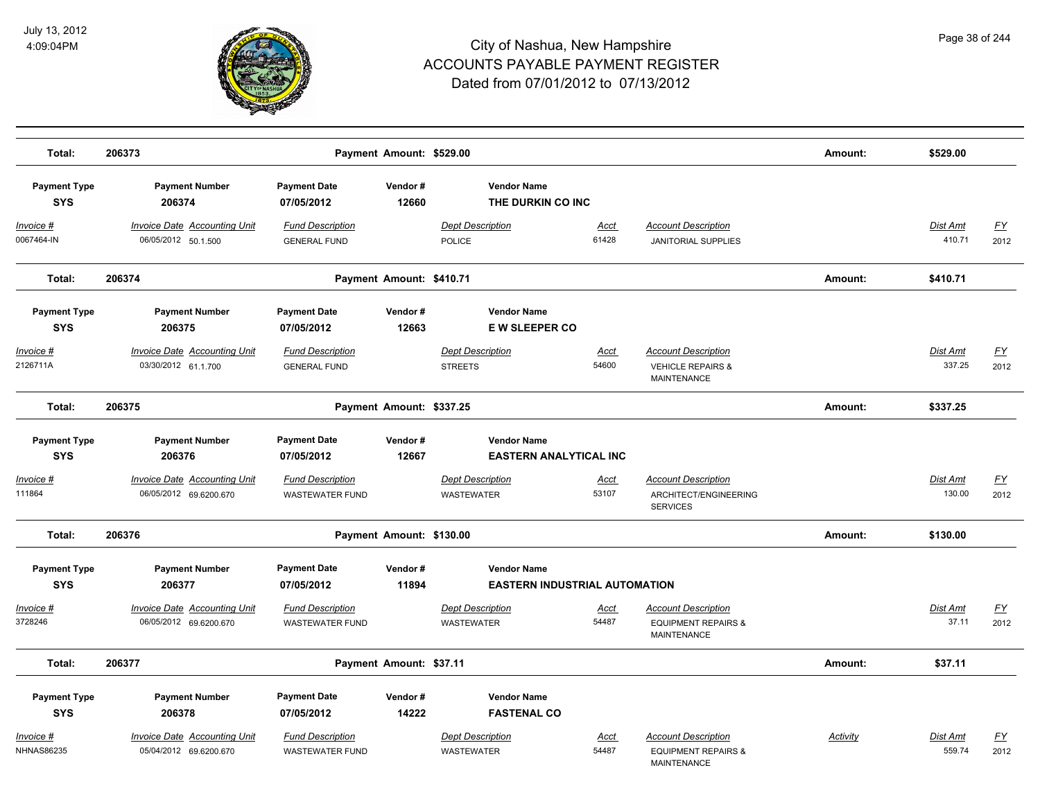

| Total:                                 | 206373                                                        |                                                   | Payment Amount: \$529.00 |                                                            |                      |                                                                                    | Amount:         | \$529.00                  |                   |
|----------------------------------------|---------------------------------------------------------------|---------------------------------------------------|--------------------------|------------------------------------------------------------|----------------------|------------------------------------------------------------------------------------|-----------------|---------------------------|-------------------|
| <b>Payment Type</b><br><b>SYS</b>      | <b>Payment Number</b><br>206374                               | <b>Payment Date</b><br>07/05/2012                 | Vendor#<br>12660         | <b>Vendor Name</b><br>THE DURKIN CO INC                    |                      |                                                                                    |                 |                           |                   |
| $Invoice$ #<br>0067464-IN              | <b>Invoice Date Accounting Unit</b><br>06/05/2012 50.1.500    | <b>Fund Description</b><br><b>GENERAL FUND</b>    |                          | <b>Dept Description</b><br>POLICE                          | Acct<br>61428        | <b>Account Description</b><br><b>JANITORIAL SUPPLIES</b>                           |                 | <b>Dist Amt</b><br>410.71 | <u>FY</u><br>2012 |
| Total:                                 | 206374                                                        |                                                   | Payment Amount: \$410.71 |                                                            |                      |                                                                                    | Amount:         | \$410.71                  |                   |
| <b>Payment Type</b><br><b>SYS</b>      | <b>Payment Number</b><br>206375                               | <b>Payment Date</b><br>07/05/2012                 | Vendor#<br>12663         | <b>Vendor Name</b><br><b>EW SLEEPER CO</b>                 |                      |                                                                                    |                 |                           |                   |
| Invoice #<br>2126711A                  | <b>Invoice Date Accounting Unit</b><br>03/30/2012 61.1.700    | <b>Fund Description</b><br><b>GENERAL FUND</b>    |                          | <b>Dept Description</b><br><b>STREETS</b>                  | Acct<br>54600        | <b>Account Description</b><br><b>VEHICLE REPAIRS &amp;</b><br><b>MAINTENANCE</b>   |                 | Dist Amt<br>337.25        | <u>FY</u><br>2012 |
| Total:                                 | 206375                                                        |                                                   | Payment Amount: \$337.25 |                                                            |                      |                                                                                    | Amount:         | \$337.25                  |                   |
| <b>Payment Type</b><br><b>SYS</b>      | <b>Payment Number</b><br>206376                               | <b>Payment Date</b><br>07/05/2012                 | Vendor#<br>12667         | <b>Vendor Name</b><br><b>EASTERN ANALYTICAL INC</b>        |                      |                                                                                    |                 |                           |                   |
| Invoice #<br>111864                    | <b>Invoice Date Accounting Unit</b><br>06/05/2012 69.6200.670 | <b>Fund Description</b><br><b>WASTEWATER FUND</b> |                          | <b>Dept Description</b><br><b>WASTEWATER</b>               | <u>Acct</u><br>53107 | <b>Account Description</b><br>ARCHITECT/ENGINEERING<br><b>SERVICES</b>             |                 | Dist Amt<br>130.00        | <u>FY</u><br>2012 |
| Total:                                 | 206376                                                        |                                                   | Payment Amount: \$130.00 |                                                            |                      |                                                                                    | Amount:         | \$130.00                  |                   |
| <b>Payment Type</b><br><b>SYS</b>      | <b>Payment Number</b><br>206377                               | <b>Payment Date</b><br>07/05/2012                 | Vendor#<br>11894         | <b>Vendor Name</b><br><b>EASTERN INDUSTRIAL AUTOMATION</b> |                      |                                                                                    |                 |                           |                   |
| Invoice #<br>3728246                   | <b>Invoice Date Accounting Unit</b><br>06/05/2012 69.6200.670 | <b>Fund Description</b><br><b>WASTEWATER FUND</b> |                          | <b>Dept Description</b><br><b>WASTEWATER</b>               | Acct<br>54487        | <b>Account Description</b><br><b>EQUIPMENT REPAIRS &amp;</b><br>MAINTENANCE        |                 | <b>Dist Amt</b><br>37.11  | <u>FY</u><br>2012 |
| Total:                                 | 206377                                                        |                                                   | Payment Amount: \$37.11  |                                                            |                      |                                                                                    | Amount:         | \$37.11                   |                   |
| <b>Payment Type</b><br><b>SYS</b>      | <b>Payment Number</b><br>206378                               | <b>Payment Date</b><br>07/05/2012                 | Vendor#<br>14222         | <b>Vendor Name</b><br><b>FASTENAL CO</b>                   |                      |                                                                                    |                 |                           |                   |
| <u> Invoice #</u><br><b>NHNAS86235</b> | <b>Invoice Date Accounting Unit</b><br>05/04/2012 69.6200.670 | <b>Fund Description</b><br><b>WASTEWATER FUND</b> |                          | <b>Dept Description</b><br>WASTEWATER                      | <u>Acct</u><br>54487 | <b>Account Description</b><br><b>EQUIPMENT REPAIRS &amp;</b><br><b>MAINTENANCE</b> | <b>Activity</b> | Dist Amt<br>559.74        | <u>FY</u><br>2012 |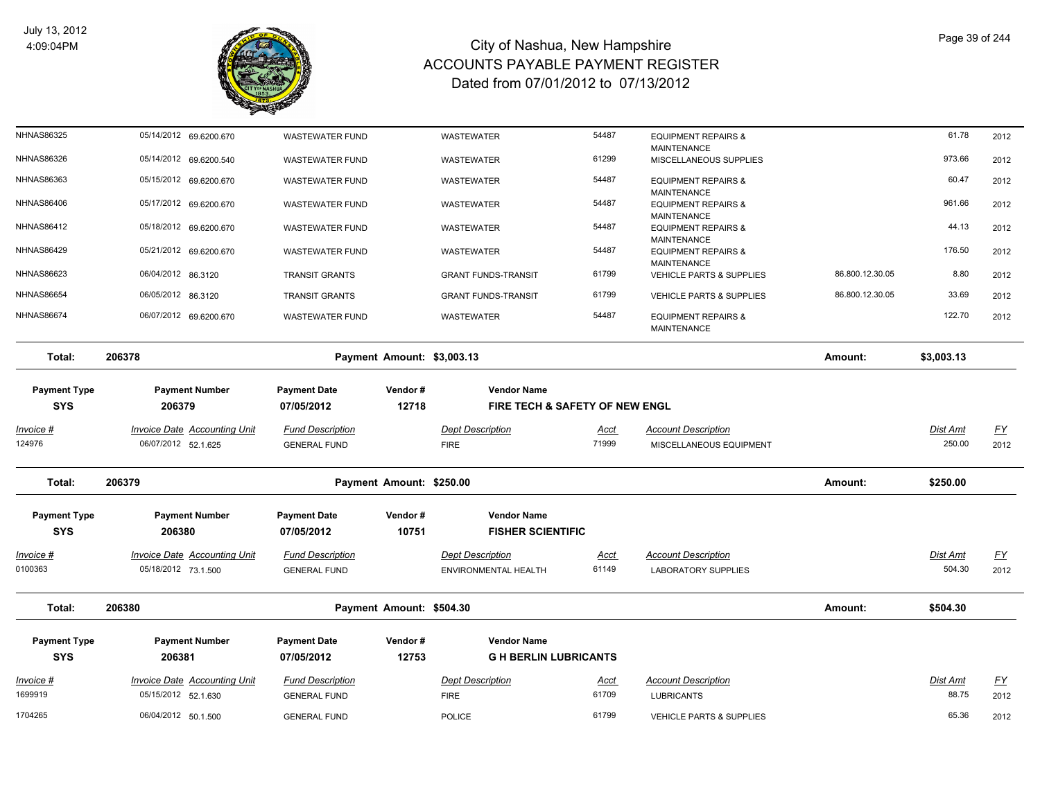

| <b>NHNAS86325</b>                 | 05/14/2012 69.6200.670                                     | WASTEWATER FUND                                |                  | WASTEWATER                                           | 54487                | <b>EQUIPMENT REPAIRS &amp;</b><br><b>MAINTENANCE</b>     |                 | 61.78              | 2012              |
|-----------------------------------|------------------------------------------------------------|------------------------------------------------|------------------|------------------------------------------------------|----------------------|----------------------------------------------------------|-----------------|--------------------|-------------------|
| <b>NHNAS86326</b>                 | 05/14/2012 69.6200.540                                     | <b>WASTEWATER FUND</b>                         |                  | WASTEWATER                                           | 61299                | MISCELLANEOUS SUPPLIES                                   |                 | 973.66             | 2012              |
| <b>NHNAS86363</b>                 | 05/15/2012 69.6200.670                                     | <b>WASTEWATER FUND</b>                         |                  | <b>WASTEWATER</b>                                    | 54487                | <b>EQUIPMENT REPAIRS &amp;</b><br><b>MAINTENANCE</b>     |                 | 60.47              | 2012              |
| NHNAS86406                        | 05/17/2012 69.6200.670                                     | <b>WASTEWATER FUND</b>                         |                  | <b>WASTEWATER</b>                                    | 54487                | <b>EQUIPMENT REPAIRS &amp;</b><br><b>MAINTENANCE</b>     |                 | 961.66             | 2012              |
| <b>NHNAS86412</b>                 | 05/18/2012 69.6200.670                                     | <b>WASTEWATER FUND</b>                         |                  | <b>WASTEWATER</b>                                    | 54487                | <b>EQUIPMENT REPAIRS &amp;</b><br><b>MAINTENANCE</b>     |                 | 44.13              | 2012              |
| <b>NHNAS86429</b>                 | 05/21/2012 69.6200.670                                     | <b>WASTEWATER FUND</b>                         |                  | WASTEWATER                                           | 54487                | <b>EQUIPMENT REPAIRS &amp;</b><br><b>MAINTENANCE</b>     |                 | 176.50             | 2012              |
| <b>NHNAS86623</b>                 | 06/04/2012 86.3120                                         | <b>TRANSIT GRANTS</b>                          |                  | <b>GRANT FUNDS-TRANSIT</b>                           | 61799                | VEHICLE PARTS & SUPPLIES                                 | 86.800.12.30.05 | 8.80               | 2012              |
| <b>NHNAS86654</b>                 | 06/05/2012 86.3120                                         | <b>TRANSIT GRANTS</b>                          |                  | <b>GRANT FUNDS-TRANSIT</b>                           | 61799                | <b>VEHICLE PARTS &amp; SUPPLIES</b>                      | 86.800.12.30.05 | 33.69              | 2012              |
| <b>NHNAS86674</b>                 | 06/07/2012 69.6200.670                                     | <b>WASTEWATER FUND</b>                         |                  | WASTEWATER                                           | 54487                | <b>EQUIPMENT REPAIRS &amp;</b><br><b>MAINTENANCE</b>     |                 | 122.70             | 2012              |
| Total:                            | 206378                                                     | Payment Amount: \$3,003.13                     |                  |                                                      |                      |                                                          | Amount:         | \$3,003.13         |                   |
| <b>Payment Type</b><br><b>SYS</b> | <b>Payment Number</b><br>206379                            | <b>Payment Date</b><br>07/05/2012              | Vendor#<br>12718 | <b>Vendor Name</b><br>FIRE TECH & SAFETY OF NEW ENGL |                      |                                                          |                 |                    |                   |
| <u> Invoice #</u>                 | <b>Invoice Date Accounting Unit</b>                        | <b>Fund Description</b>                        |                  | <b>Dept Description</b>                              | <u>Acct</u>          | <b>Account Description</b>                               |                 | Dist Amt           | <u>FY</u>         |
| 124976                            | 06/07/2012 52.1.625                                        | <b>GENERAL FUND</b>                            |                  | <b>FIRE</b>                                          | 71999                | MISCELLANEOUS EQUIPMENT                                  |                 | 250.00             | 2012              |
| Total:                            | 206379                                                     | Payment Amount: \$250.00                       |                  |                                                      |                      |                                                          | Amount:         | \$250.00           |                   |
| <b>Payment Type</b>               | <b>Payment Number</b>                                      | <b>Payment Date</b>                            | Vendor#          | <b>Vendor Name</b>                                   |                      |                                                          |                 |                    |                   |
| <b>SYS</b>                        | 206380                                                     | 07/05/2012                                     | 10751            | <b>FISHER SCIENTIFIC</b>                             |                      |                                                          |                 |                    |                   |
| <u> Invoice #</u><br>0100363      | <b>Invoice Date Accounting Unit</b><br>05/18/2012 73.1.500 | <b>Fund Description</b><br><b>GENERAL FUND</b> |                  | <b>Dept Description</b><br>ENVIRONMENTAL HEALTH      | <u>Acct</u><br>61149 | <b>Account Description</b><br><b>LABORATORY SUPPLIES</b> |                 | Dist Amt<br>504.30 | <u>FY</u><br>2012 |
| Total:                            | 206380                                                     | Payment Amount: \$504.30                       |                  |                                                      |                      |                                                          | Amount:         | \$504.30           |                   |
| <b>Payment Type</b>               | <b>Payment Number</b>                                      | <b>Payment Date</b>                            | Vendor#          | <b>Vendor Name</b>                                   |                      |                                                          |                 |                    |                   |
| <b>SYS</b>                        | 206381                                                     | 07/05/2012                                     | 12753            | <b>G H BERLIN LUBRICANTS</b>                         |                      |                                                          |                 |                    |                   |
| <u>Invoice #</u><br>1699919       | <b>Invoice Date Accounting Unit</b><br>05/15/2012 52.1.630 | <b>Fund Description</b>                        |                  | <b>Dept Description</b>                              | <u>Acct</u><br>61709 | <b>Account Description</b>                               |                 | Dist Amt<br>88.75  | <u>FY</u>         |
| 1704265                           |                                                            | <b>GENERAL FUND</b>                            |                  | <b>FIRE</b>                                          | 61799                | <b>LUBRICANTS</b>                                        |                 | 65.36              | 2012              |
|                                   | 06/04/2012 50.1.500                                        | <b>GENERAL FUND</b>                            |                  | <b>POLICE</b>                                        |                      | <b>VEHICLE PARTS &amp; SUPPLIES</b>                      |                 |                    | 2012              |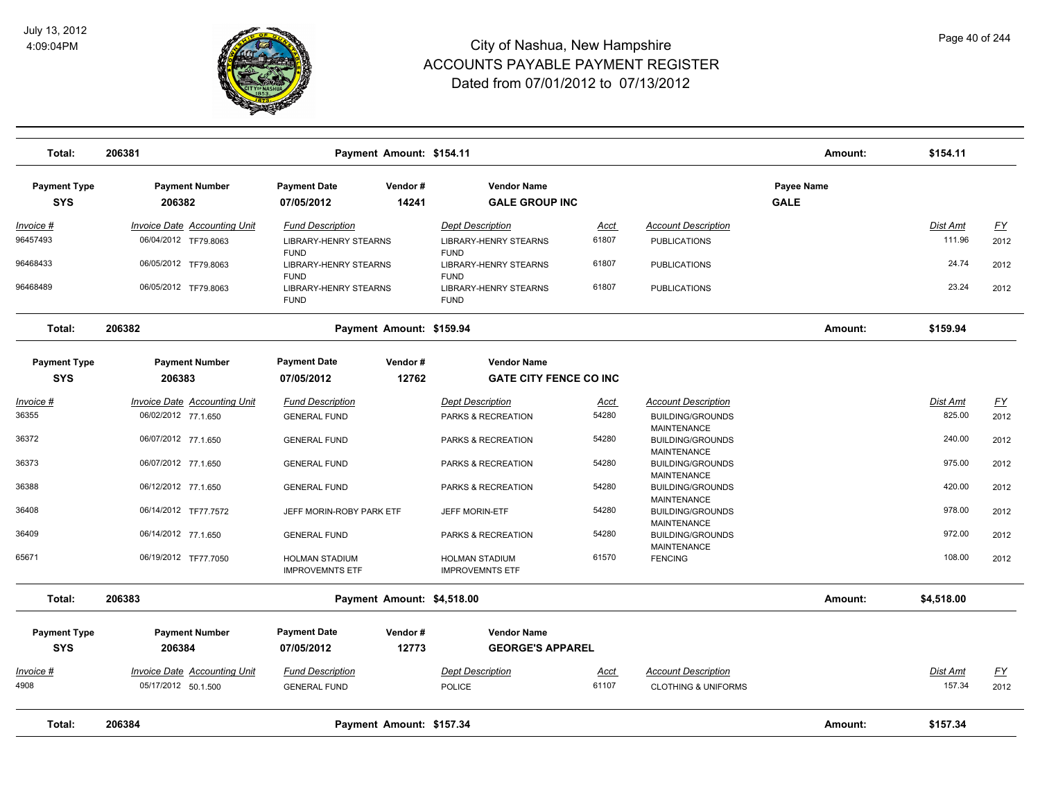

| Total:                            | 206381                                                      |                                                            | Payment Amount: \$154.11   |                                                            |                      |                                                              | Amount:                          | \$154.11                  |                   |
|-----------------------------------|-------------------------------------------------------------|------------------------------------------------------------|----------------------------|------------------------------------------------------------|----------------------|--------------------------------------------------------------|----------------------------------|---------------------------|-------------------|
| <b>Payment Type</b><br><b>SYS</b> | <b>Payment Number</b><br>206382                             | <b>Payment Date</b><br>07/05/2012                          | Vendor#<br>14241           | <b>Vendor Name</b><br><b>GALE GROUP INC</b>                |                      |                                                              | <b>Payee Name</b><br><b>GALE</b> |                           |                   |
| <u>Invoice #</u><br>96457493      | <b>Invoice Date Accounting Unit</b><br>06/04/2012 TF79.8063 | <b>Fund Description</b><br><b>LIBRARY-HENRY STEARNS</b>    |                            | <b>Dept Description</b><br><b>LIBRARY-HENRY STEARNS</b>    | Acct<br>61807        | <b>Account Description</b><br><b>PUBLICATIONS</b>            |                                  | <b>Dist Amt</b><br>111.96 | <u>FY</u><br>2012 |
| 96468433                          | 06/05/2012 TF79.8063                                        | <b>FUND</b><br><b>LIBRARY-HENRY STEARNS</b><br><b>FUND</b> |                            | <b>FUND</b><br><b>LIBRARY-HENRY STEARNS</b><br><b>FUND</b> | 61807                | <b>PUBLICATIONS</b>                                          |                                  | 24.74                     | 2012              |
| 96468489                          | 06/05/2012 TF79.8063                                        | <b>LIBRARY-HENRY STEARNS</b><br><b>FUND</b>                |                            | <b>LIBRARY-HENRY STEARNS</b><br><b>FUND</b>                | 61807                | <b>PUBLICATIONS</b>                                          |                                  | 23.24                     | 2012              |
| Total:                            | 206382                                                      |                                                            | Payment Amount: \$159.94   |                                                            |                      |                                                              | Amount:                          | \$159.94                  |                   |
| <b>Payment Type</b>               | <b>Payment Number</b>                                       | <b>Payment Date</b>                                        | Vendor#                    | <b>Vendor Name</b>                                         |                      |                                                              |                                  |                           |                   |
| <b>SYS</b>                        | 206383                                                      | 07/05/2012                                                 | 12762                      | <b>GATE CITY FENCE CO INC</b>                              |                      |                                                              |                                  |                           |                   |
| Invoice #                         | Invoice Date Accounting Unit                                | <b>Fund Description</b>                                    |                            | <b>Dept Description</b>                                    | <u>Acct</u>          | <b>Account Description</b>                                   |                                  | Dist Amt                  | <u>FY</u>         |
| 36355                             | 06/02/2012 77.1.650                                         | <b>GENERAL FUND</b>                                        |                            | PARKS & RECREATION                                         | 54280                | <b>BUILDING/GROUNDS</b><br><b>MAINTENANCE</b>                |                                  | 825.00                    | 2012              |
| 36372                             | 06/07/2012 77.1.650                                         | <b>GENERAL FUND</b>                                        |                            | PARKS & RECREATION                                         | 54280                | <b>BUILDING/GROUNDS</b><br><b>MAINTENANCE</b>                |                                  | 240.00                    | 2012              |
| 36373                             | 06/07/2012 77.1.650                                         | <b>GENERAL FUND</b>                                        |                            | PARKS & RECREATION                                         | 54280                | <b>BUILDING/GROUNDS</b><br><b>MAINTENANCE</b>                |                                  | 975.00                    | 2012              |
| 36388                             | 06/12/2012 77.1.650                                         | <b>GENERAL FUND</b>                                        |                            | PARKS & RECREATION                                         | 54280                | <b>BUILDING/GROUNDS</b><br><b>MAINTENANCE</b>                |                                  | 420.00                    | 2012              |
| 36408                             | 06/14/2012 TF77.7572                                        | JEFF MORIN-ROBY PARK ETF                                   |                            | JEFF MORIN-ETF                                             | 54280                | <b>BUILDING/GROUNDS</b><br><b>MAINTENANCE</b>                |                                  | 978.00                    | 2012              |
| 36409                             | 06/14/2012 77.1.650                                         | <b>GENERAL FUND</b>                                        |                            | PARKS & RECREATION                                         | 54280                | <b>BUILDING/GROUNDS</b><br><b>MAINTENANCE</b>                |                                  | 972.00                    | 2012              |
| 65671                             | 06/19/2012 TF77.7050                                        | <b>HOLMAN STADIUM</b><br><b>IMPROVEMNTS ETF</b>            |                            | <b>HOLMAN STADIUM</b><br><b>IMPROVEMNTS ETF</b>            | 61570                | <b>FENCING</b>                                               |                                  | 108.00                    | 2012              |
| Total:                            | 206383                                                      |                                                            | Payment Amount: \$4,518.00 |                                                            |                      |                                                              | Amount:                          | \$4,518.00                |                   |
| <b>Payment Type</b>               | <b>Payment Number</b>                                       | <b>Payment Date</b>                                        | Vendor#                    | <b>Vendor Name</b>                                         |                      |                                                              |                                  |                           |                   |
| <b>SYS</b>                        | 206384                                                      | 07/05/2012                                                 | 12773                      | <b>GEORGE'S APPAREL</b>                                    |                      |                                                              |                                  |                           |                   |
| Invoice #<br>4908                 | <b>Invoice Date Accounting Unit</b><br>05/17/2012 50.1.500  | <b>Fund Description</b><br><b>GENERAL FUND</b>             |                            | <b>Dept Description</b><br><b>POLICE</b>                   | <u>Acct</u><br>61107 | <b>Account Description</b><br><b>CLOTHING &amp; UNIFORMS</b> |                                  | Dist Amt<br>157.34        | <u>FY</u><br>2012 |
| Total:                            | 206384                                                      |                                                            | Payment Amount: \$157.34   |                                                            |                      |                                                              | Amount:                          | \$157.34                  |                   |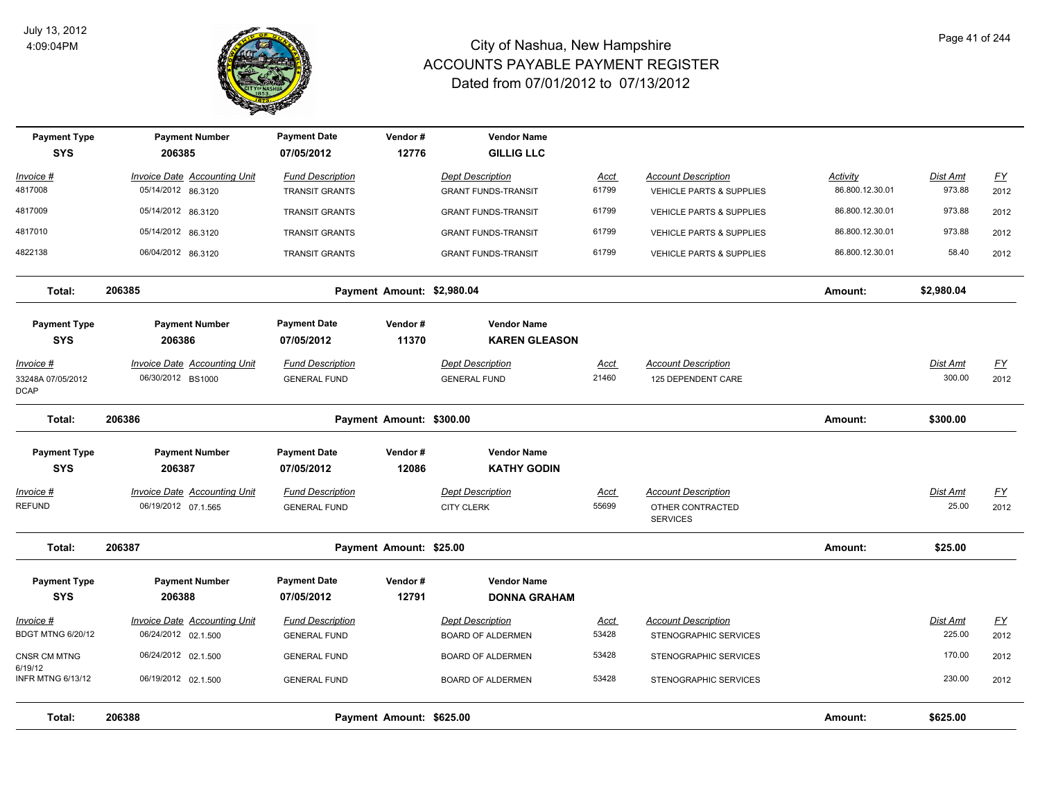

| <b>Payment Type</b><br><b>SYS</b>                    | <b>Payment Number</b><br>206385                            | <b>Payment Date</b><br>07/05/2012                | Vendor#<br>12776           | <b>Vendor Name</b><br><b>GILLIG LLC</b>               |                      |                                                                   |                             |                           |                          |
|------------------------------------------------------|------------------------------------------------------------|--------------------------------------------------|----------------------------|-------------------------------------------------------|----------------------|-------------------------------------------------------------------|-----------------------------|---------------------------|--------------------------|
| Invoice #<br>4817008                                 | <b>Invoice Date Accounting Unit</b><br>05/14/2012 86.3120  | <b>Fund Description</b><br><b>TRANSIT GRANTS</b> |                            | <b>Dept Description</b><br><b>GRANT FUNDS-TRANSIT</b> | <u>Acct</u><br>61799 | <b>Account Description</b><br><b>VEHICLE PARTS &amp; SUPPLIES</b> | Activity<br>86.800.12.30.01 | Dist Amt<br>973.88        | $\underline{FY}$<br>2012 |
| 4817009                                              | 05/14/2012 86.3120                                         | <b>TRANSIT GRANTS</b>                            |                            | <b>GRANT FUNDS-TRANSIT</b>                            | 61799                | VEHICLE PARTS & SUPPLIES                                          | 86.800.12.30.01             | 973.88                    | 2012                     |
| 4817010                                              | 05/14/2012 86.3120                                         | <b>TRANSIT GRANTS</b>                            |                            | <b>GRANT FUNDS-TRANSIT</b>                            | 61799                | <b>VEHICLE PARTS &amp; SUPPLIES</b>                               | 86.800.12.30.01             | 973.88                    | 2012                     |
| 4822138                                              | 06/04/2012 86.3120                                         | <b>TRANSIT GRANTS</b>                            |                            | <b>GRANT FUNDS-TRANSIT</b>                            | 61799                | VEHICLE PARTS & SUPPLIES                                          | 86.800.12.30.01             | 58.40                     | 2012                     |
| Total:                                               | 206385                                                     |                                                  | Payment Amount: \$2,980.04 |                                                       |                      |                                                                   | Amount:                     | \$2,980.04                |                          |
| <b>Payment Type</b><br><b>SYS</b>                    | <b>Payment Number</b><br>206386                            | <b>Payment Date</b><br>07/05/2012                | Vendor#<br>11370           | <b>Vendor Name</b><br><b>KAREN GLEASON</b>            |                      |                                                                   |                             |                           |                          |
| <u>Invoice #</u><br>33248A 07/05/2012<br><b>DCAP</b> | <b>Invoice Date Accounting Unit</b><br>06/30/2012 BS1000   | <b>Fund Description</b><br><b>GENERAL FUND</b>   |                            | <b>Dept Description</b><br><b>GENERAL FUND</b>        | <b>Acct</b><br>21460 | <b>Account Description</b><br>125 DEPENDENT CARE                  |                             | <b>Dist Amt</b><br>300.00 | <u>FY</u><br>2012        |
| Total:                                               | 206386                                                     |                                                  | Payment Amount: \$300.00   |                                                       |                      |                                                                   | Amount:                     | \$300.00                  |                          |
| <b>Payment Type</b><br><b>SYS</b>                    | <b>Payment Number</b><br>206387                            | <b>Payment Date</b><br>07/05/2012                | Vendor#<br>12086           | <b>Vendor Name</b><br><b>KATHY GODIN</b>              |                      |                                                                   |                             |                           |                          |
| <u>Invoice #</u><br><b>REFUND</b>                    | <b>Invoice Date Accounting Unit</b><br>06/19/2012 07.1.565 | <b>Fund Description</b><br><b>GENERAL FUND</b>   |                            | <b>Dept Description</b><br><b>CITY CLERK</b>          | <u>Acct</u><br>55699 | <b>Account Description</b><br>OTHER CONTRACTED<br><b>SERVICES</b> |                             | Dist Amt<br>25.00         | $\underline{FY}$<br>2012 |
| Total:                                               | 206387                                                     |                                                  | Payment Amount: \$25.00    |                                                       |                      |                                                                   | Amount:                     | \$25.00                   |                          |
| <b>Payment Type</b><br><b>SYS</b>                    | <b>Payment Number</b><br>206388                            | <b>Payment Date</b><br>07/05/2012                | Vendor#<br>12791           | <b>Vendor Name</b><br><b>DONNA GRAHAM</b>             |                      |                                                                   |                             |                           |                          |
| Invoice #<br><b>BDGT MTNG 6/20/12</b>                | <b>Invoice Date Accounting Unit</b><br>06/24/2012 02.1.500 | <b>Fund Description</b><br><b>GENERAL FUND</b>   |                            | <b>Dept Description</b><br><b>BOARD OF ALDERMEN</b>   | <u>Acct</u><br>53428 | <b>Account Description</b><br>STENOGRAPHIC SERVICES               |                             | <b>Dist Amt</b><br>225.00 | <u>FY</u><br>2012        |
| CNSR CM MTNG                                         | 06/24/2012 02.1.500                                        | <b>GENERAL FUND</b>                              |                            | BOARD OF ALDERMEN                                     | 53428                | STENOGRAPHIC SERVICES                                             |                             | 170.00                    | 2012                     |
| 6/19/12<br><b>INFR MTNG 6/13/12</b>                  | 06/19/2012 02.1.500                                        | <b>GENERAL FUND</b>                              |                            | <b>BOARD OF ALDERMEN</b>                              | 53428                | STENOGRAPHIC SERVICES                                             |                             | 230.00                    | 2012                     |
| Total:                                               | 206388                                                     |                                                  | Payment Amount: \$625.00   |                                                       |                      |                                                                   | Amount:                     | \$625.00                  |                          |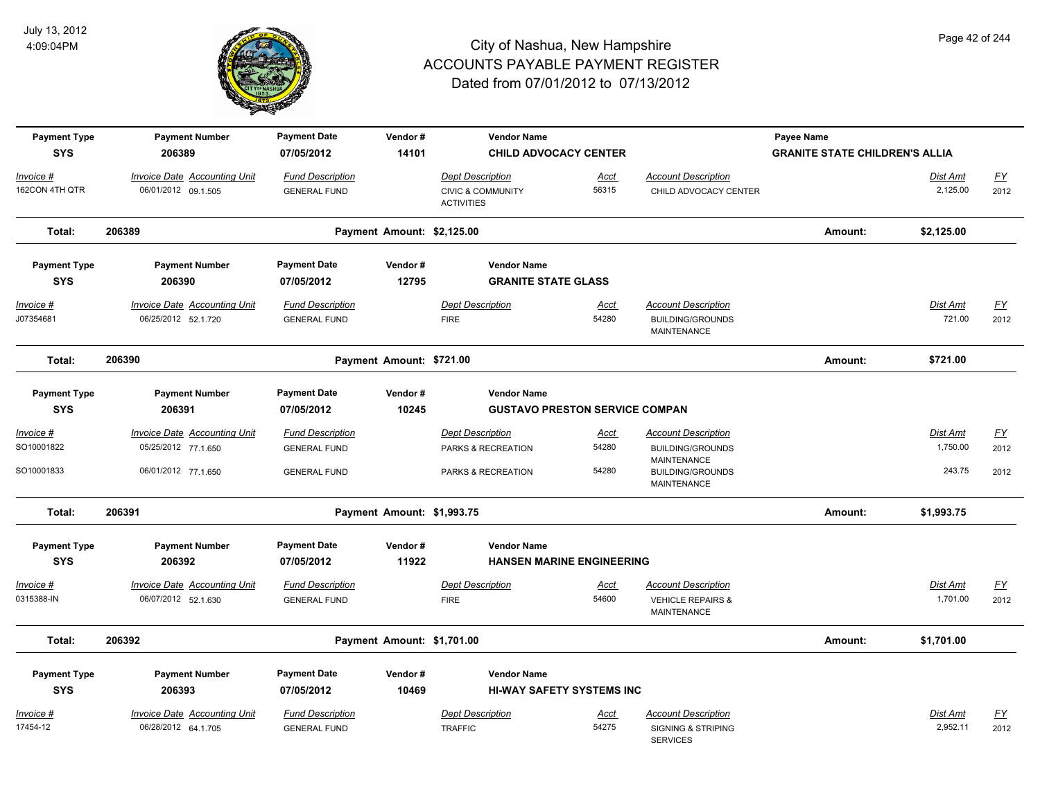

| <b>Payment Type</b><br><b>SYS</b> | <b>Payment Number</b><br>206389     | <b>Payment Date</b><br>07/05/2012 | Vendor#<br>14101           | <b>Vendor Name</b><br><b>CHILD ADVOCACY CENTER</b> |                                       |                                                       | Payee Name<br><b>GRANITE STATE CHILDREN'S ALLIA</b> |            |                           |
|-----------------------------------|-------------------------------------|-----------------------------------|----------------------------|----------------------------------------------------|---------------------------------------|-------------------------------------------------------|-----------------------------------------------------|------------|---------------------------|
| Invoice #                         | <b>Invoice Date Accounting Unit</b> | <b>Fund Description</b>           |                            | <b>Dept Description</b>                            | <u>Acct</u>                           | <b>Account Description</b>                            |                                                     | Dist Amt   | <u>FY</u>                 |
| 162CON 4TH QTR                    | 06/01/2012 09.1.505                 | <b>GENERAL FUND</b>               |                            | <b>CIVIC &amp; COMMUNITY</b><br><b>ACTIVITIES</b>  | 56315                                 | CHILD ADVOCACY CENTER                                 |                                                     | 2,125.00   | 2012                      |
| Total:                            | 206389                              |                                   | Payment Amount: \$2,125.00 |                                                    |                                       |                                                       | Amount:                                             | \$2,125.00 |                           |
| <b>Payment Type</b>               | <b>Payment Number</b>               | <b>Payment Date</b>               | Vendor#                    | <b>Vendor Name</b>                                 |                                       |                                                       |                                                     |            |                           |
| <b>SYS</b>                        | 206390                              | 07/05/2012                        | 12795                      | <b>GRANITE STATE GLASS</b>                         |                                       |                                                       |                                                     |            |                           |
| <u>Invoice #</u>                  | <b>Invoice Date Accounting Unit</b> | <b>Fund Description</b>           |                            | <b>Dept Description</b>                            | <u>Acct</u>                           | <b>Account Description</b>                            |                                                     | Dist Amt   | <u>FY</u>                 |
| J07354681                         | 06/25/2012 52.1.720                 | <b>GENERAL FUND</b>               |                            | <b>FIRE</b>                                        | 54280                                 | <b>BUILDING/GROUNDS</b><br><b>MAINTENANCE</b>         |                                                     | 721.00     | 2012                      |
| Total:                            | 206390                              |                                   | Payment Amount: \$721.00   |                                                    |                                       |                                                       | Amount:                                             | \$721.00   |                           |
| <b>Payment Type</b>               | <b>Payment Number</b>               | <b>Payment Date</b>               | Vendor#                    | <b>Vendor Name</b>                                 |                                       |                                                       |                                                     |            |                           |
| <b>SYS</b>                        | 206391                              | 07/05/2012                        | 10245                      |                                                    | <b>GUSTAVO PRESTON SERVICE COMPAN</b> |                                                       |                                                     |            |                           |
| Invoice #                         | Invoice Date Accounting Unit        | <b>Fund Description</b>           |                            | <b>Dept Description</b>                            | Acct                                  | <b>Account Description</b>                            |                                                     | Dist Amt   | $\underline{FY}$          |
| SO10001822                        | 05/25/2012 77.1.650                 | <b>GENERAL FUND</b>               |                            | PARKS & RECREATION                                 | 54280                                 | <b>BUILDING/GROUNDS</b>                               |                                                     | 1,750.00   | 2012                      |
| SO10001833                        | 06/01/2012 77.1.650                 | <b>GENERAL FUND</b>               |                            | PARKS & RECREATION                                 | 54280                                 | MAINTENANCE<br><b>BUILDING/GROUNDS</b><br>MAINTENANCE |                                                     | 243.75     | 2012                      |
| Total:                            | 206391                              |                                   | Payment Amount: \$1,993.75 |                                                    |                                       |                                                       | Amount:                                             | \$1,993.75 |                           |
| <b>Payment Type</b>               | <b>Payment Number</b>               | <b>Payment Date</b>               | Vendor#                    | <b>Vendor Name</b>                                 |                                       |                                                       |                                                     |            |                           |
| <b>SYS</b>                        | 206392                              | 07/05/2012                        | 11922                      |                                                    | <b>HANSEN MARINE ENGINEERING</b>      |                                                       |                                                     |            |                           |
| Invoice #                         | <b>Invoice Date Accounting Unit</b> | <b>Fund Description</b>           |                            | <b>Dept Description</b>                            | <u>Acct</u>                           | <b>Account Description</b>                            |                                                     | Dist Amt   | $\underline{\mathsf{FY}}$ |
| 0315388-IN                        | 06/07/2012 52.1.630                 | <b>GENERAL FUND</b>               |                            | <b>FIRE</b>                                        | 54600                                 | <b>VEHICLE REPAIRS &amp;</b><br><b>MAINTENANCE</b>    |                                                     | 1,701.00   | 2012                      |
| Total:                            | 206392                              |                                   | Payment Amount: \$1,701.00 |                                                    |                                       |                                                       | Amount:                                             | \$1,701.00 |                           |
| <b>Payment Type</b>               | <b>Payment Number</b>               | <b>Payment Date</b>               | Vendor#                    | <b>Vendor Name</b>                                 |                                       |                                                       |                                                     |            |                           |
| <b>SYS</b>                        | 206393                              | 07/05/2012                        | 10469                      |                                                    | <b>HI-WAY SAFETY SYSTEMS INC</b>      |                                                       |                                                     |            |                           |
| Invoice #                         | Invoice Date Accounting Unit        | <b>Fund Description</b>           |                            | <b>Dept Description</b>                            | <u>Acct</u>                           | <b>Account Description</b>                            |                                                     | Dist Amt   | $\mathsf{F}\mathsf{Y}$    |
| 17454-12                          | 06/28/2012 64.1.705                 | <b>GENERAL FUND</b>               |                            | <b>TRAFFIC</b>                                     | 54275                                 | <b>SIGNING &amp; STRIPING</b>                         |                                                     | 2,952.11   | 2012                      |

SERVICES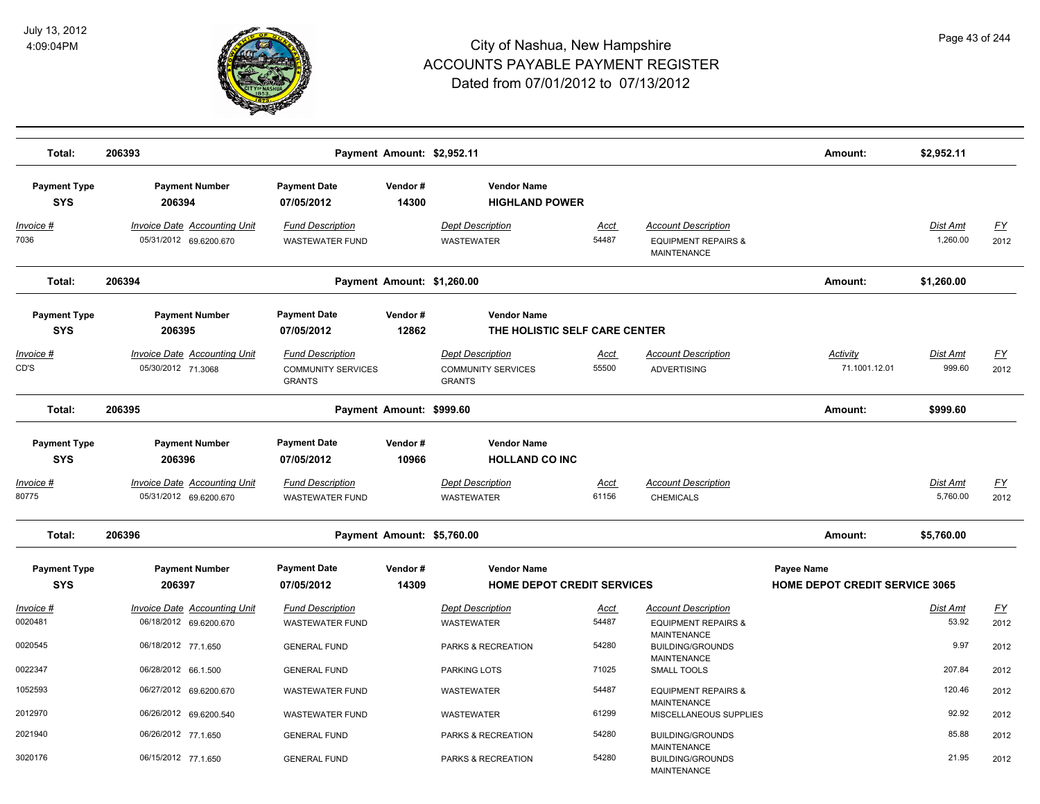

| Total:                            | 206393                                                        |                                                                       | Payment Amount: \$2,952.11 |                                                                       |                      |                                                                                    | Amount:                                             | \$2,952.11           |                   |
|-----------------------------------|---------------------------------------------------------------|-----------------------------------------------------------------------|----------------------------|-----------------------------------------------------------------------|----------------------|------------------------------------------------------------------------------------|-----------------------------------------------------|----------------------|-------------------|
| <b>Payment Type</b><br><b>SYS</b> | <b>Payment Number</b><br>206394                               | <b>Payment Date</b><br>07/05/2012                                     | Vendor#<br>14300           | <b>Vendor Name</b><br><b>HIGHLAND POWER</b>                           |                      |                                                                                    |                                                     |                      |                   |
| <u>Invoice #</u><br>7036          | <b>Invoice Date Accounting Unit</b><br>05/31/2012 69.6200.670 | <b>Fund Description</b><br><b>WASTEWATER FUND</b>                     |                            | <b>Dept Description</b><br><b>WASTEWATER</b>                          | <b>Acct</b><br>54487 | <b>Account Description</b><br><b>EQUIPMENT REPAIRS &amp;</b><br><b>MAINTENANCE</b> |                                                     | Dist Amt<br>1,260.00 | <u>FY</u><br>2012 |
| Total:                            | 206394                                                        |                                                                       | Payment Amount: \$1,260.00 |                                                                       |                      |                                                                                    | Amount:                                             | \$1,260.00           |                   |
| <b>Payment Type</b><br><b>SYS</b> | <b>Payment Number</b><br>206395                               | <b>Payment Date</b><br>07/05/2012                                     | Vendor#<br>12862           | <b>Vendor Name</b><br>THE HOLISTIC SELF CARE CENTER                   |                      |                                                                                    |                                                     |                      |                   |
| Invoice #<br>CD'S                 | <b>Invoice Date Accounting Unit</b><br>05/30/2012 71.3068     | <b>Fund Description</b><br><b>COMMUNITY SERVICES</b><br><b>GRANTS</b> |                            | <b>Dept Description</b><br><b>COMMUNITY SERVICES</b><br><b>GRANTS</b> | <u>Acct</u><br>55500 | <b>Account Description</b><br><b>ADVERTISING</b>                                   | Activity<br>71.1001.12.01                           | Dist Amt<br>999.60   | <u>FY</u><br>2012 |
| Total:                            | 206395                                                        |                                                                       | Payment Amount: \$999.60   |                                                                       |                      |                                                                                    | Amount:                                             | \$999.60             |                   |
| <b>Payment Type</b><br><b>SYS</b> | <b>Payment Number</b><br>206396                               | <b>Payment Date</b><br>07/05/2012                                     | Vendor#<br>10966           | <b>Vendor Name</b><br><b>HOLLAND CO INC</b>                           |                      |                                                                                    |                                                     |                      |                   |
| Invoice #<br>80775                | <b>Invoice Date Accounting Unit</b><br>05/31/2012 69.6200.670 | <b>Fund Description</b><br><b>WASTEWATER FUND</b>                     |                            | <b>Dept Description</b><br>WASTEWATER                                 | Acct<br>61156        | <b>Account Description</b><br><b>CHEMICALS</b>                                     |                                                     | Dist Amt<br>5,760.00 | <u>FY</u><br>2012 |
| Total:                            | 206396                                                        |                                                                       | Payment Amount: \$5,760.00 |                                                                       |                      |                                                                                    | Amount:                                             | \$5,760.00           |                   |
| <b>Payment Type</b><br><b>SYS</b> | <b>Payment Number</b><br>206397                               | <b>Payment Date</b><br>07/05/2012                                     | Vendor#<br>14309           | <b>Vendor Name</b><br><b>HOME DEPOT CREDIT SERVICES</b>               |                      |                                                                                    | Payee Name<br><b>HOME DEPOT CREDIT SERVICE 3065</b> |                      |                   |
| Invoice #                         | <b>Invoice Date Accounting Unit</b>                           | <b>Fund Description</b>                                               |                            | <b>Dept Description</b>                                               | Acct                 | <b>Account Description</b>                                                         |                                                     | <b>Dist Amt</b>      | <u>FY</u>         |
| 0020481                           | 06/18/2012 69.6200.670                                        | <b>WASTEWATER FUND</b>                                                |                            | <b>WASTEWATER</b>                                                     | 54487                | <b>EQUIPMENT REPAIRS &amp;</b><br><b>MAINTENANCE</b>                               |                                                     | 53.92                | 2012              |
| 0020545                           | 06/18/2012 77.1.650                                           | <b>GENERAL FUND</b>                                                   |                            | PARKS & RECREATION                                                    | 54280                | <b>BUILDING/GROUNDS</b><br><b>MAINTENANCE</b>                                      |                                                     | 9.97                 | 2012              |
| 0022347                           | 06/28/2012 66.1.500                                           | <b>GENERAL FUND</b>                                                   |                            | PARKING LOTS                                                          | 71025                | SMALL TOOLS                                                                        |                                                     | 207.84               | 2012              |
| 1052593                           | 06/27/2012 69.6200.670                                        | <b>WASTEWATER FUND</b>                                                |                            | <b>WASTEWATER</b>                                                     | 54487                | <b>EQUIPMENT REPAIRS &amp;</b><br><b>MAINTENANCE</b>                               |                                                     | 120.46               | 2012              |
| 2012970                           | 06/26/2012 69.6200.540                                        | <b>WASTEWATER FUND</b>                                                |                            | WASTEWATER                                                            | 61299                | MISCELLANEOUS SUPPLIES                                                             |                                                     | 92.92                | 2012              |
| 2021940                           | 06/26/2012 77.1.650                                           | <b>GENERAL FUND</b>                                                   |                            | PARKS & RECREATION                                                    | 54280                | <b>BUILDING/GROUNDS</b><br><b>MAINTENANCE</b>                                      |                                                     | 85.88                | 2012              |
| 3020176                           | 06/15/2012 77.1.650                                           | <b>GENERAL FUND</b>                                                   |                            | <b>PARKS &amp; RECREATION</b>                                         | 54280                | <b>BUILDING/GROUNDS</b><br><b>MAINTENANCE</b>                                      |                                                     | 21.95                | 2012              |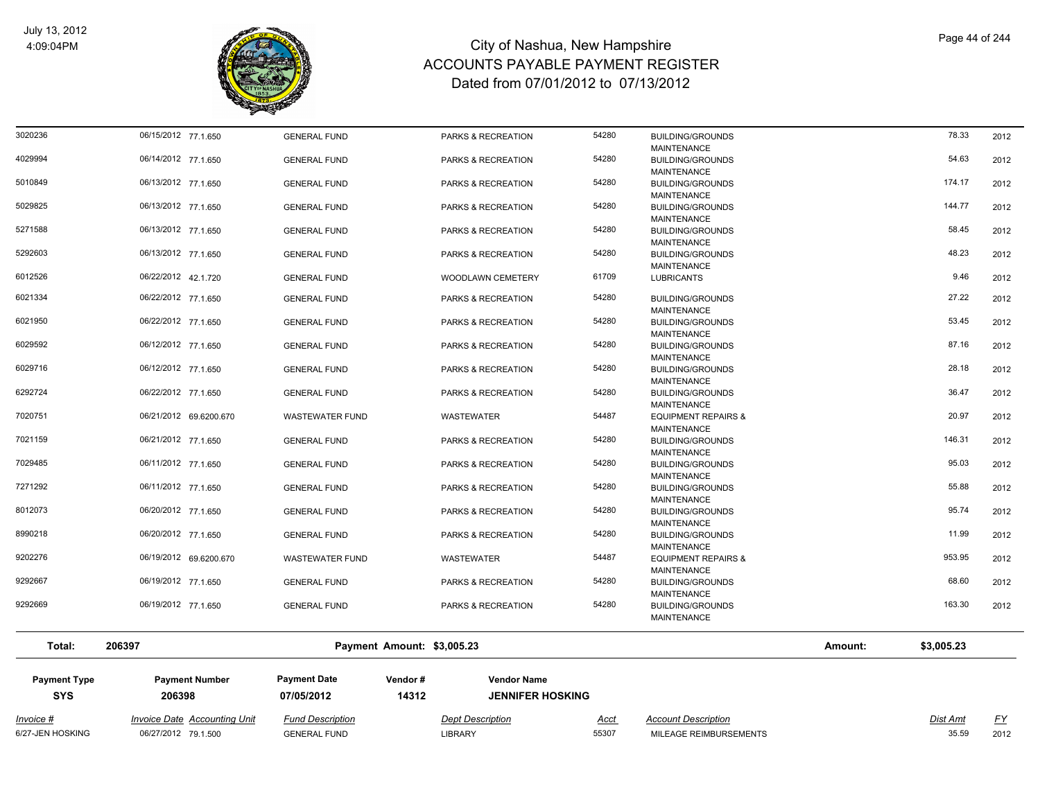

| Total:             | 206397                                     |                                            | Payment Amount: \$3,005.23               |                |                                                                          | Amount: | \$3,005.23      |              |
|--------------------|--------------------------------------------|--------------------------------------------|------------------------------------------|----------------|--------------------------------------------------------------------------|---------|-----------------|--------------|
|                    |                                            |                                            |                                          |                | MAINTENANCE                                                              |         |                 |              |
| 9292667<br>9292669 | 06/19/2012 77.1.650<br>06/19/2012 77.1.650 | <b>GENERAL FUND</b><br><b>GENERAL FUND</b> | PARKS & RECREATION<br>PARKS & RECREATION | 54280<br>54280 | <b>BUILDING/GROUNDS</b><br><b>MAINTENANCE</b><br><b>BUILDING/GROUNDS</b> |         | 68.60<br>163.30 | 2012<br>2012 |
| 9202276            | 06/19/2012 69.6200.670                     | <b>WASTEWATER FUND</b>                     | WASTEWATER                               | 54487          | <b>EQUIPMENT REPAIRS &amp;</b><br><b>MAINTENANCE</b>                     |         |                 | 2012         |
| 8990218            | 06/20/2012 77.1.650                        | <b>GENERAL FUND</b>                        | PARKS & RECREATION                       | 54280          | <b>BUILDING/GROUNDS</b><br><b>MAINTENANCE</b>                            |         | 11.99<br>953.95 | 2012         |
| 8012073            | 06/20/2012 77.1.650                        | <b>GENERAL FUND</b>                        | PARKS & RECREATION                       | 54280          | <b>BUILDING/GROUNDS</b><br><b>MAINTENANCE</b>                            |         | 95.74           | 2012         |
| 7271292            | 06/11/2012 77.1.650                        | <b>GENERAL FUND</b>                        | PARKS & RECREATION                       | 54280          | <b>BUILDING/GROUNDS</b><br><b>MAINTENANCE</b>                            |         | 55.88           | 2012         |
| 7029485            | 06/11/2012 77.1.650                        | <b>GENERAL FUND</b>                        | PARKS & RECREATION                       | 54280          | <b>BUILDING/GROUNDS</b><br><b>MAINTENANCE</b>                            |         | 95.03           | 2012         |
| 7021159            | 06/21/2012 77.1.650                        | <b>GENERAL FUND</b>                        | PARKS & RECREATION                       | 54280          | <b>BUILDING/GROUNDS</b><br><b>MAINTENANCE</b>                            |         | 146.31          | 2012         |
| 7020751            | 06/21/2012 69.6200.670                     | <b>WASTEWATER FUND</b>                     | WASTEWATER                               | 54487          | <b>EQUIPMENT REPAIRS &amp;</b><br><b>MAINTENANCE</b>                     |         | 20.97           | 2012         |
| 6292724            | 06/22/2012 77.1.650                        | <b>GENERAL FUND</b>                        | PARKS & RECREATION                       | 54280          | <b>BUILDING/GROUNDS</b><br><b>MAINTENANCE</b>                            |         | 36.47           | 2012         |
| 6029716            | 06/12/2012 77.1.650                        | <b>GENERAL FUND</b>                        | PARKS & RECREATION                       | 54280          | <b>BUILDING/GROUNDS</b><br><b>MAINTENANCE</b>                            |         | 28.18           | 2012         |
| 6029592            | 06/12/2012 77.1.650                        | <b>GENERAL FUND</b>                        | PARKS & RECREATION                       | 54280          | <b>BUILDING/GROUNDS</b><br><b>MAINTENANCE</b>                            |         | 87.16           | 2012         |
| 6021950            | 06/22/2012 77.1.650                        | <b>GENERAL FUND</b>                        | PARKS & RECREATION                       | 54280          | <b>BUILDING/GROUNDS</b><br><b>MAINTENANCE</b>                            |         | 53.45           | 2012         |
| 6021334            | 06/22/2012 77.1.650                        | <b>GENERAL FUND</b>                        | PARKS & RECREATION                       | 54280          | <b>BUILDING/GROUNDS</b><br><b>MAINTENANCE</b>                            |         | 27.22           | 2012         |
| 6012526            | 06/22/2012 42.1.720                        | <b>GENERAL FUND</b>                        | <b>WOODLAWN CEMETERY</b>                 | 61709          | <b>LUBRICANTS</b>                                                        |         | 9.46            | 2012         |
| 5292603            | 06/13/2012 77.1.650                        | <b>GENERAL FUND</b>                        | PARKS & RECREATION                       | 54280          | <b>BUILDING/GROUNDS</b><br><b>MAINTENANCE</b>                            |         | 48.23           | 2012         |
| 5271588            | 06/13/2012 77.1.650                        | <b>GENERAL FUND</b>                        | PARKS & RECREATION                       | 54280          | <b>BUILDING/GROUNDS</b><br><b>MAINTENANCE</b>                            |         | 58.45           | 2012         |
| 5029825            | 06/13/2012 77.1.650                        | <b>GENERAL FUND</b>                        | <b>PARKS &amp; RECREATION</b>            | 54280          | <b>BUILDING/GROUNDS</b><br><b>MAINTENANCE</b>                            |         | 144.77          | 2012         |
| 5010849            | 06/13/2012 77.1.650                        | <b>GENERAL FUND</b>                        | PARKS & RECREATION                       | 54280          | <b>MAINTENANCE</b><br><b>BUILDING/GROUNDS</b><br><b>MAINTENANCE</b>      |         | 174.17          | 2012         |
| 4029994            | 06/14/2012 77.1.650                        | <b>GENERAL FUND</b>                        | PARKS & RECREATION                       | 54280          | <b>MAINTENANCE</b><br><b>BUILDING/GROUNDS</b>                            |         | 54.63           | 2012         |
| 3020236            | 06/15/2012 77.1.650                        | <b>GENERAL FUND</b>                        | PARKS & RECREATION                       | 54280          | <b>BUILDING/GROUNDS</b>                                                  |         | 78.33           | 2012         |

| <b>Payment Type</b><br>SYS | <b>Payment Number</b><br>206398 | <b>Payment Date</b><br>07/05/2012 | Vendor#<br>14312 | <b>Vendor Name</b><br><b>JENNIFER HOSKING</b> |             |                            |          |          |
|----------------------------|---------------------------------|-----------------------------------|------------------|-----------------------------------------------|-------------|----------------------------|----------|----------|
| Invoice #                  | Invoice Date Accounting Unit    | <b>Fund Description</b>           |                  | <b>Dept Description</b>                       | <u>Acct</u> | <b>Account Description</b> | Dist Amt | $\Gamma$ |
| 6/27-JEN HOSKING           | 06/27/2012 79.1.500             | <b>GENERAL FUND</b>               |                  | LIBRARY                                       | 55307       | MILEAGE REIMBURSEMENTS     | 35.59    | 2012     |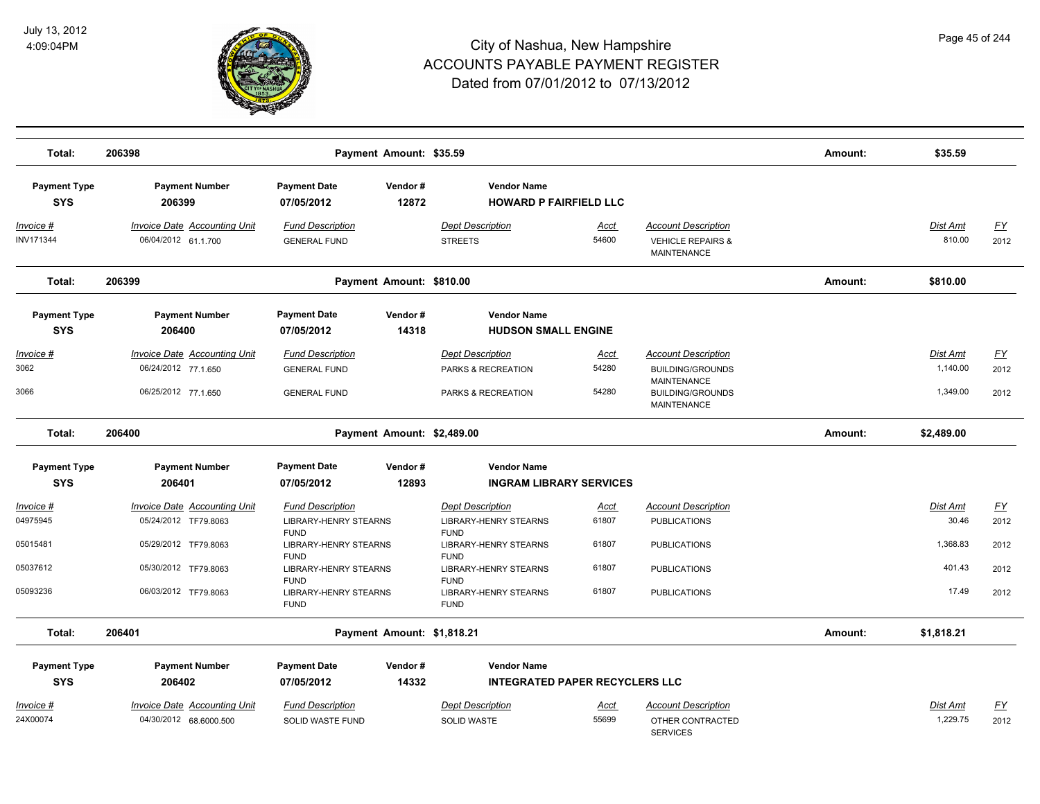

| Total:                            | 206398                                                                     |                                                                       | Payment Amount: \$35.59    |                                                                     |                               |                                                                                                                              | Amount: | \$35.59                          |                           |
|-----------------------------------|----------------------------------------------------------------------------|-----------------------------------------------------------------------|----------------------------|---------------------------------------------------------------------|-------------------------------|------------------------------------------------------------------------------------------------------------------------------|---------|----------------------------------|---------------------------|
| <b>Payment Type</b><br><b>SYS</b> | <b>Payment Number</b><br>206399                                            | <b>Payment Date</b><br>07/05/2012                                     | Vendor#<br>12872           | <b>Vendor Name</b><br><b>HOWARD P FAIRFIELD LLC</b>                 |                               |                                                                                                                              |         |                                  |                           |
| Invoice #<br>INV171344            | <b>Invoice Date Accounting Unit</b><br>06/04/2012 61.1.700                 | <b>Fund Description</b><br><b>GENERAL FUND</b>                        |                            | <b>Dept Description</b><br><b>STREETS</b>                           | <u>Acct</u><br>54600          | <b>Account Description</b><br><b>VEHICLE REPAIRS &amp;</b><br><b>MAINTENANCE</b>                                             |         | Dist Amt<br>810.00               | <u>FY</u><br>2012         |
| Total:                            | 206399                                                                     |                                                                       | Payment Amount: \$810.00   |                                                                     |                               |                                                                                                                              | Amount: | \$810.00                         |                           |
| <b>Payment Type</b><br><b>SYS</b> | <b>Payment Number</b><br>206400                                            | <b>Payment Date</b><br>07/05/2012                                     | Vendor#<br>14318           | <b>Vendor Name</b><br><b>HUDSON SMALL ENGINE</b>                    |                               |                                                                                                                              |         |                                  |                           |
| Invoice #<br>3062<br>3066         | Invoice Date Accounting Unit<br>06/24/2012 77.1.650<br>06/25/2012 77.1.650 | <b>Fund Description</b><br><b>GENERAL FUND</b><br><b>GENERAL FUND</b> |                            | <b>Dept Description</b><br>PARKS & RECREATION<br>PARKS & RECREATION | <b>Acct</b><br>54280<br>54280 | <b>Account Description</b><br><b>BUILDING/GROUNDS</b><br><b>MAINTENANCE</b><br><b>BUILDING/GROUNDS</b><br><b>MAINTENANCE</b> |         | Dist Amt<br>1,140.00<br>1,349.00 | <u>FY</u><br>2012<br>2012 |
| Total:                            | 206400                                                                     |                                                                       | Payment Amount: \$2,489.00 |                                                                     |                               |                                                                                                                              | Amount: | \$2,489.00                       |                           |
| <b>Payment Type</b>               | <b>Payment Number</b>                                                      | <b>Payment Date</b>                                                   | Vendor#                    | <b>Vendor Name</b>                                                  |                               |                                                                                                                              |         |                                  |                           |
| <b>SYS</b>                        | 206401                                                                     | 07/05/2012                                                            | 12893                      | <b>INGRAM LIBRARY SERVICES</b>                                      |                               |                                                                                                                              |         |                                  |                           |
| <u> Invoice #</u><br>04975945     | <b>Invoice Date Accounting Unit</b><br>05/24/2012 TF79.8063                | <b>Fund Description</b><br><b>LIBRARY-HENRY STEARNS</b>               |                            | <b>Dept Description</b><br><b>LIBRARY-HENRY STEARNS</b>             | Acct<br>61807                 | <b>Account Description</b><br><b>PUBLICATIONS</b>                                                                            |         | Dist Amt<br>30.46                | <u>FY</u><br>2012         |
| 05015481                          | 05/29/2012 TF79.8063                                                       | <b>FUND</b><br><b>LIBRARY-HENRY STEARNS</b><br><b>FUND</b>            |                            | <b>FUND</b><br><b>LIBRARY-HENRY STEARNS</b><br><b>FUND</b>          | 61807                         | <b>PUBLICATIONS</b>                                                                                                          |         | 1,368.83                         | 2012                      |
| 05037612                          | 05/30/2012 TF79.8063                                                       | <b>LIBRARY-HENRY STEARNS</b><br><b>FUND</b>                           |                            | <b>LIBRARY-HENRY STEARNS</b><br><b>FUND</b>                         | 61807                         | <b>PUBLICATIONS</b>                                                                                                          |         | 401.43                           | 2012                      |
| 05093236                          | 06/03/2012 TF79.8063                                                       | LIBRARY-HENRY STEARNS<br><b>FUND</b>                                  |                            | LIBRARY-HENRY STEARNS<br><b>FUND</b>                                | 61807                         | <b>PUBLICATIONS</b>                                                                                                          |         | 17.49                            | 2012                      |
| Total:                            | 206401                                                                     |                                                                       | Payment Amount: \$1,818.21 |                                                                     |                               |                                                                                                                              | Amount: | \$1,818.21                       |                           |
| <b>Payment Type</b>               | <b>Payment Number</b>                                                      | <b>Payment Date</b>                                                   | Vendor#                    | <b>Vendor Name</b>                                                  |                               |                                                                                                                              |         |                                  |                           |
| <b>SYS</b>                        | 206402                                                                     | 07/05/2012                                                            | 14332                      | <b>INTEGRATED PAPER RECYCLERS LLC</b>                               |                               |                                                                                                                              |         |                                  |                           |
| Invoice #                         | <b>Invoice Date Accounting Unit</b>                                        | <b>Fund Description</b>                                               |                            | <b>Dept Description</b>                                             | Acct                          | <b>Account Description</b>                                                                                                   |         | Dist Amt                         | <u>FY</u>                 |
| 24X00074                          | 04/30/2012 68.6000.500                                                     | SOLID WASTE FUND                                                      |                            | <b>SOLID WASTE</b>                                                  | 55699                         | OTHER CONTRACTED<br><b>SERVICES</b>                                                                                          |         | 1,229.75                         | 2012                      |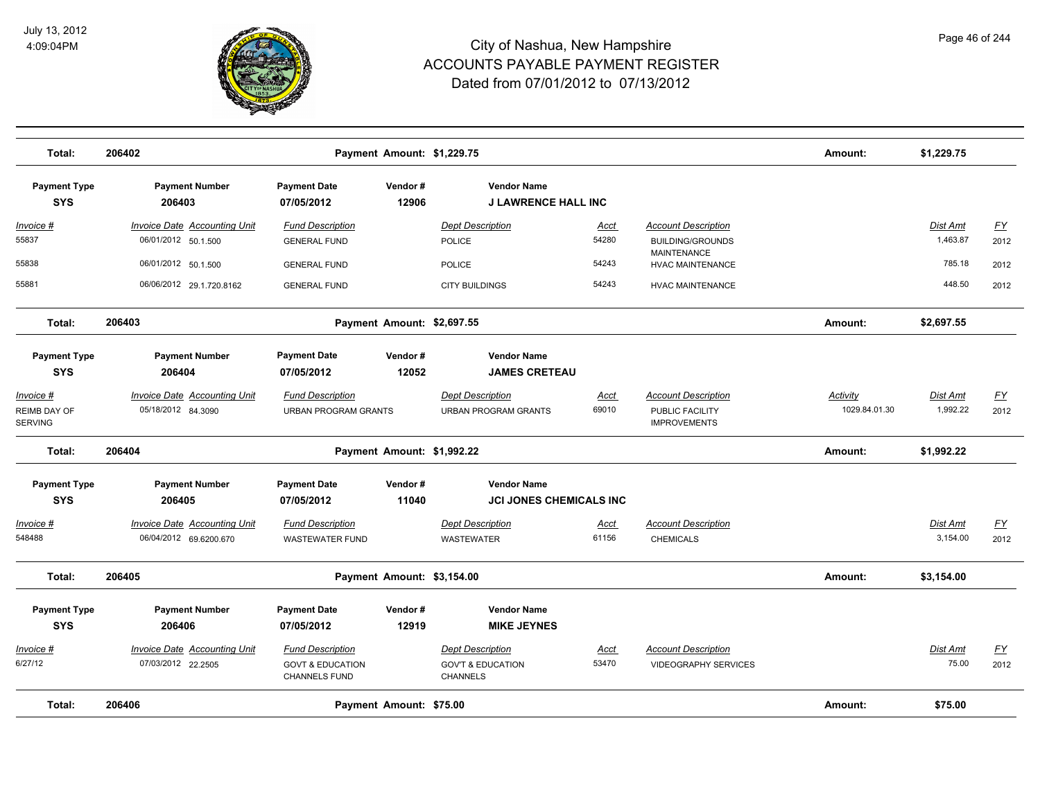

| Total:                                      | 206402                                                        |                                                                                | Payment Amount: \$1,229.75 |                                                                            |                      |                                                                      | Amount:                   | \$1,229.75                  |                          |
|---------------------------------------------|---------------------------------------------------------------|--------------------------------------------------------------------------------|----------------------------|----------------------------------------------------------------------------|----------------------|----------------------------------------------------------------------|---------------------------|-----------------------------|--------------------------|
| <b>Payment Type</b><br><b>SYS</b>           | <b>Payment Number</b><br>206403                               | <b>Payment Date</b><br>07/05/2012                                              | Vendor#<br>12906           | <b>Vendor Name</b><br><b>J LAWRENCE HALL INC</b>                           |                      |                                                                      |                           |                             |                          |
| <u> Invoice #</u><br>55837                  | <b>Invoice Date Accounting Unit</b><br>06/01/2012 50.1.500    | <b>Fund Description</b><br><b>GENERAL FUND</b>                                 |                            | <b>Dept Description</b><br>POLICE                                          | <u>Acct</u><br>54280 | <b>Account Description</b><br><b>BUILDING/GROUNDS</b>                |                           | <b>Dist Amt</b><br>1,463.87 | <u>FY</u><br>2012        |
| 55838                                       | 06/01/2012 50.1.500                                           | <b>GENERAL FUND</b>                                                            |                            | <b>POLICE</b>                                                              | 54243                | MAINTENANCE<br><b>HVAC MAINTENANCE</b>                               |                           | 785.18                      | 2012                     |
| 55881                                       | 06/06/2012 29.1.720.8162                                      | <b>GENERAL FUND</b>                                                            |                            | <b>CITY BUILDINGS</b>                                                      | 54243                | <b>HVAC MAINTENANCE</b>                                              |                           | 448.50                      | 2012                     |
| Total:                                      | 206403                                                        |                                                                                | Payment Amount: \$2,697.55 |                                                                            |                      |                                                                      | Amount:                   | \$2,697.55                  |                          |
| <b>Payment Type</b><br><b>SYS</b>           | <b>Payment Number</b><br>206404                               | <b>Payment Date</b><br>07/05/2012                                              | Vendor#<br>12052           | <b>Vendor Name</b><br><b>JAMES CRETEAU</b>                                 |                      |                                                                      |                           |                             |                          |
| Invoice #<br>REIMB DAY OF<br><b>SERVING</b> | <b>Invoice Date Accounting Unit</b><br>05/18/2012 84.3090     | <b>Fund Description</b><br><b>URBAN PROGRAM GRANTS</b>                         |                            | <b>Dept Description</b><br><b>URBAN PROGRAM GRANTS</b>                     | <u>Acct</u><br>69010 | <b>Account Description</b><br>PUBLIC FACILITY<br><b>IMPROVEMENTS</b> | Activity<br>1029.84.01.30 | Dist Amt<br>1,992.22        | <u>FY</u><br>2012        |
| Total:                                      | 206404                                                        |                                                                                | Payment Amount: \$1,992.22 |                                                                            |                      |                                                                      | Amount:                   | \$1,992.22                  |                          |
| <b>Payment Type</b><br><b>SYS</b>           | <b>Payment Number</b><br>206405                               | <b>Payment Date</b><br>07/05/2012                                              | Vendor#<br>11040           | <b>Vendor Name</b><br><b>JCI JONES CHEMICALS INC</b>                       |                      |                                                                      |                           |                             |                          |
| <u> Invoice #</u><br>548488                 | <b>Invoice Date Accounting Unit</b><br>06/04/2012 69.6200.670 | <b>Fund Description</b><br><b>WASTEWATER FUND</b>                              |                            | <b>Dept Description</b><br><b>WASTEWATER</b>                               | <u>Acct</u><br>61156 | <b>Account Description</b><br><b>CHEMICALS</b>                       |                           | Dist Amt<br>3,154.00        | <u>FY</u><br>2012        |
| Total:                                      | 206405                                                        |                                                                                | Payment Amount: \$3,154.00 |                                                                            |                      |                                                                      | Amount:                   | \$3,154.00                  |                          |
| <b>Payment Type</b>                         | <b>Payment Number</b>                                         | <b>Payment Date</b>                                                            | Vendor#                    | <b>Vendor Name</b>                                                         |                      |                                                                      |                           |                             |                          |
| <b>SYS</b>                                  | 206406                                                        | 07/05/2012                                                                     | 12919                      | <b>MIKE JEYNES</b>                                                         |                      |                                                                      |                           |                             |                          |
| Invoice #<br>6/27/12                        | <b>Invoice Date Accounting Unit</b><br>07/03/2012 22.2505     | <b>Fund Description</b><br><b>GOVT &amp; EDUCATION</b><br><b>CHANNELS FUND</b> |                            | <b>Dept Description</b><br><b>GOV'T &amp; EDUCATION</b><br><b>CHANNELS</b> | Acct<br>53470        | <b>Account Description</b><br><b>VIDEOGRAPHY SERVICES</b>            |                           | Dist Amt<br>75.00           | $\underline{FY}$<br>2012 |
| Total:                                      | 206406                                                        |                                                                                | Payment Amount: \$75.00    |                                                                            |                      |                                                                      | Amount:                   | \$75.00                     |                          |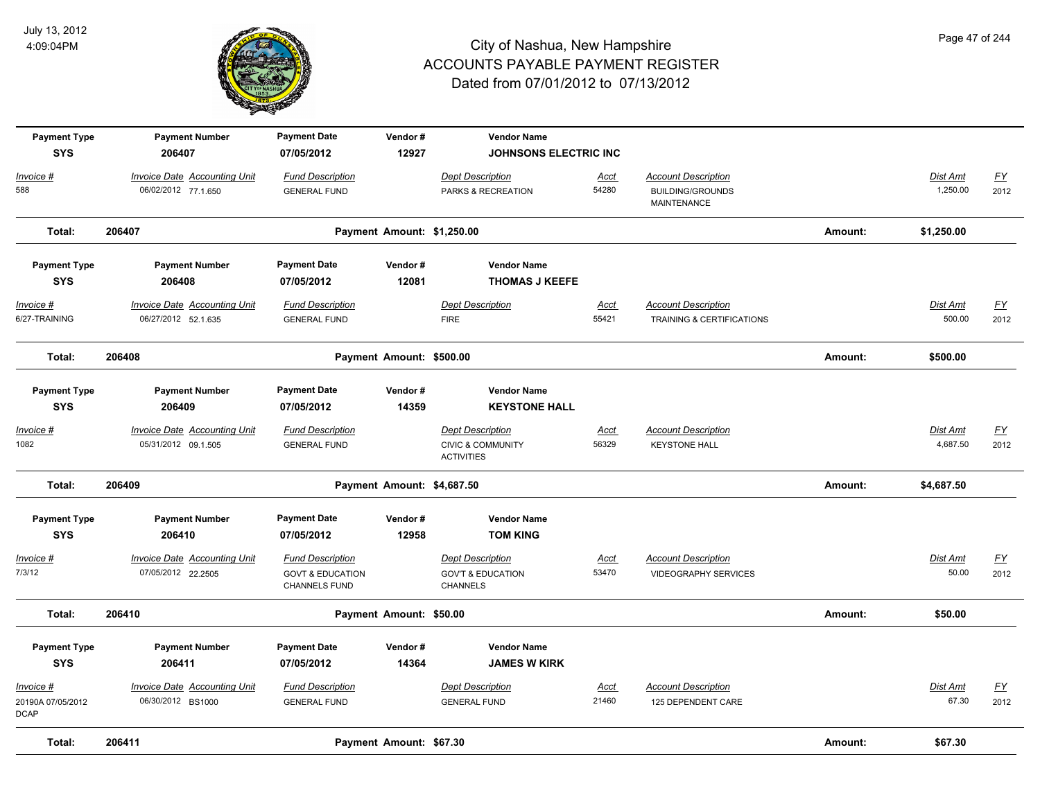

| <b>Payment Type</b><br><b>SYS</b>             | <b>Payment Number</b><br>206407                            | <b>Payment Date</b><br>07/05/2012                                       | Vendor#<br>12927           | <b>Vendor Name</b><br><b>JOHNSONS ELECTRIC INC</b>                           |                      |                                                                      |         |                           |                          |
|-----------------------------------------------|------------------------------------------------------------|-------------------------------------------------------------------------|----------------------------|------------------------------------------------------------------------------|----------------------|----------------------------------------------------------------------|---------|---------------------------|--------------------------|
| Invoice #<br>588                              | Invoice Date Accounting Unit<br>06/02/2012 77.1.650        | <b>Fund Description</b><br><b>GENERAL FUND</b>                          |                            | <b>Dept Description</b><br>PARKS & RECREATION                                | Acct<br>54280        | <b>Account Description</b><br><b>BUILDING/GROUNDS</b><br>MAINTENANCE |         | Dist Amt<br>1,250.00      | $\underline{FY}$<br>2012 |
| Total:                                        | 206407                                                     |                                                                         | Payment Amount: \$1,250.00 |                                                                              |                      |                                                                      | Amount: | \$1,250.00                |                          |
| <b>Payment Type</b>                           | <b>Payment Number</b>                                      | <b>Payment Date</b>                                                     | Vendor#                    | <b>Vendor Name</b>                                                           |                      |                                                                      |         |                           |                          |
| <b>SYS</b>                                    | 206408                                                     | 07/05/2012                                                              | 12081                      | <b>THOMAS J KEEFE</b>                                                        |                      |                                                                      |         |                           |                          |
| <u> Invoice #</u><br>6/27-TRAINING            | <b>Invoice Date Accounting Unit</b><br>06/27/2012 52.1.635 | <b>Fund Description</b><br><b>GENERAL FUND</b>                          |                            | <b>Dept Description</b><br><b>FIRE</b>                                       | <b>Acct</b><br>55421 | <b>Account Description</b><br><b>TRAINING &amp; CERTIFICATIONS</b>   |         | <b>Dist Amt</b><br>500.00 | <u>FY</u><br>2012        |
| Total:                                        | 206408                                                     |                                                                         | Payment Amount: \$500.00   |                                                                              |                      |                                                                      | Amount: | \$500.00                  |                          |
| <b>Payment Type</b><br><b>SYS</b>             | <b>Payment Number</b><br>206409                            | <b>Payment Date</b><br>07/05/2012                                       | Vendor#<br>14359           | <b>Vendor Name</b><br><b>KEYSTONE HALL</b>                                   |                      |                                                                      |         |                           |                          |
| Invoice #<br>1082                             | <b>Invoice Date Accounting Unit</b><br>05/31/2012 09.1.505 | <b>Fund Description</b><br><b>GENERAL FUND</b>                          |                            | <b>Dept Description</b><br><b>CIVIC &amp; COMMUNITY</b><br><b>ACTIVITIES</b> | Acct<br>56329        | <b>Account Description</b><br><b>KEYSTONE HALL</b>                   |         | Dist Amt<br>4,687.50      | <u>FY</u><br>2012        |
| Total:                                        | 206409                                                     |                                                                         | Payment Amount: \$4,687.50 |                                                                              |                      |                                                                      | Amount: | \$4,687.50                |                          |
| <b>Payment Type</b><br><b>SYS</b>             | <b>Payment Number</b><br>206410                            | <b>Payment Date</b><br>07/05/2012                                       | Vendor#<br>12958           | <b>Vendor Name</b><br><b>TOM KING</b>                                        |                      |                                                                      |         |                           |                          |
| Invoice #<br>7/3/12                           | <b>Invoice Date Accounting Unit</b><br>07/05/2012 22.2505  | <b>Fund Description</b><br><b>GOVT &amp; EDUCATION</b><br>CHANNELS FUND |                            | <b>Dept Description</b><br><b>GOV'T &amp; EDUCATION</b><br><b>CHANNELS</b>   | <b>Acct</b><br>53470 | <b>Account Description</b><br><b>VIDEOGRAPHY SERVICES</b>            |         | <b>Dist Amt</b><br>50.00  | EY<br>2012               |
| Total:                                        | 206410                                                     |                                                                         | Payment Amount: \$50.00    |                                                                              |                      |                                                                      | Amount: | \$50.00                   |                          |
| <b>Payment Type</b><br><b>SYS</b>             | <b>Payment Number</b><br>206411                            | <b>Payment Date</b><br>07/05/2012                                       | Vendor#<br>14364           | <b>Vendor Name</b><br><b>JAMES W KIRK</b>                                    |                      |                                                                      |         |                           |                          |
| Invoice #<br>20190A 07/05/2012<br><b>DCAP</b> | <b>Invoice Date Accounting Unit</b><br>06/30/2012 BS1000   | <b>Fund Description</b><br><b>GENERAL FUND</b>                          |                            | <b>Dept Description</b><br><b>GENERAL FUND</b>                               | Acct<br>21460        | <b>Account Description</b><br>125 DEPENDENT CARE                     |         | Dist Amt<br>67.30         | <u>FY</u><br>2012        |
| Total:                                        | 206411                                                     |                                                                         | Payment Amount: \$67.30    |                                                                              |                      |                                                                      | Amount: | \$67.30                   |                          |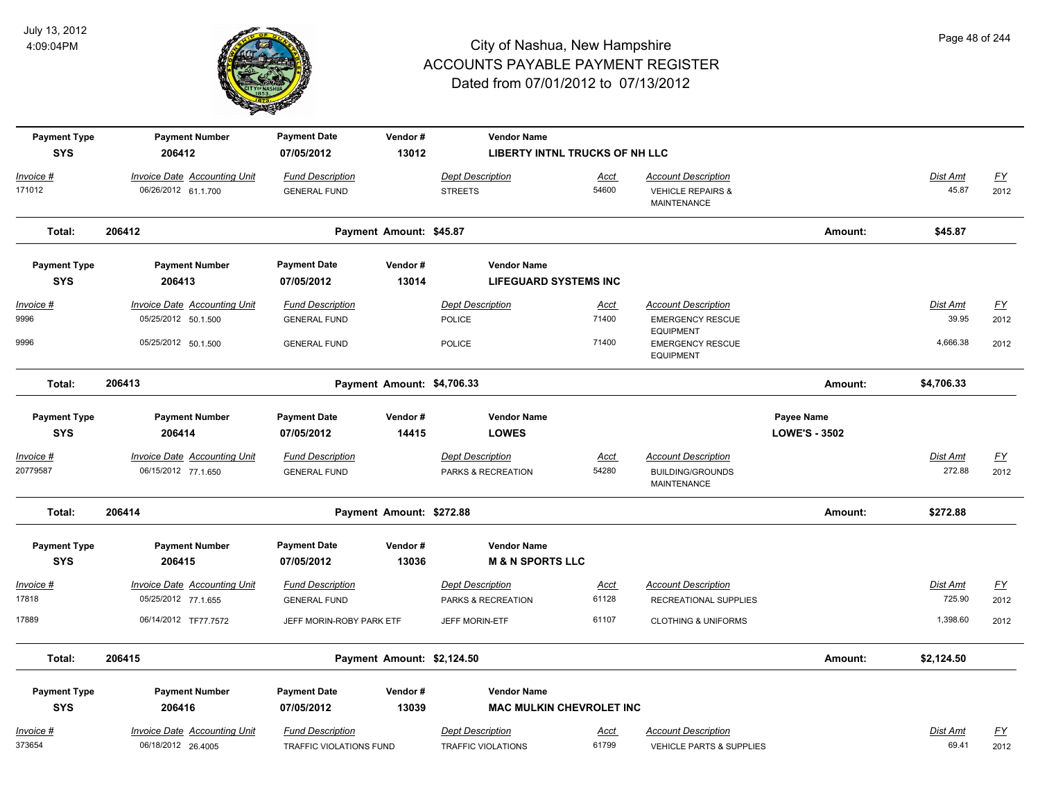

| <b>Payment Type</b> | <b>Payment Number</b>                              | <b>Payment Date</b>                                | Vendor#                    | <b>Vendor Name</b>                                   |               |                                                                 |                      |                          |                   |
|---------------------|----------------------------------------------------|----------------------------------------------------|----------------------------|------------------------------------------------------|---------------|-----------------------------------------------------------------|----------------------|--------------------------|-------------------|
| <b>SYS</b>          | 206412                                             | 07/05/2012                                         | 13012                      | LIBERTY INTNL TRUCKS OF NH LLC                       |               |                                                                 |                      |                          |                   |
| Invoice #           | <b>Invoice Date Accounting Unit</b>                | <b>Fund Description</b>                            |                            | <b>Dept Description</b>                              | <u>Acct</u>   | <b>Account Description</b>                                      |                      | Dist Amt                 | $\underline{FY}$  |
| 171012              | 06/26/2012 61.1.700                                | <b>GENERAL FUND</b>                                |                            | <b>STREETS</b>                                       | 54600         | <b>VEHICLE REPAIRS &amp;</b><br>MAINTENANCE                     |                      | 45.87                    | 2012              |
| Total:              | 206412                                             |                                                    | Payment Amount: \$45.87    |                                                      |               |                                                                 | Amount:              | \$45.87                  |                   |
| <b>Payment Type</b> | <b>Payment Number</b>                              | <b>Payment Date</b>                                | Vendor#                    | <b>Vendor Name</b>                                   |               |                                                                 |                      |                          |                   |
| <b>SYS</b>          | 206413                                             | 07/05/2012                                         | 13014                      | <b>LIFEGUARD SYSTEMS INC</b>                         |               |                                                                 |                      |                          |                   |
| <u> Invoice #</u>   | <b>Invoice Date Accounting Unit</b>                | <b>Fund Description</b>                            |                            | <b>Dept Description</b>                              | <b>Acct</b>   | <b>Account Description</b>                                      |                      | <b>Dist Amt</b>          | <u>FY</u>         |
| 9996                | 05/25/2012 50.1.500                                | <b>GENERAL FUND</b>                                |                            | <b>POLICE</b>                                        | 71400         | <b>EMERGENCY RESCUE</b>                                         |                      | 39.95                    | 2012              |
| 9996                | 05/25/2012 50.1.500                                | <b>GENERAL FUND</b>                                |                            | <b>POLICE</b>                                        | 71400         | <b>EQUIPMENT</b><br><b>EMERGENCY RESCUE</b><br><b>EQUIPMENT</b> |                      | 4,666.38                 | 2012              |
| Total:              | 206413                                             |                                                    | Payment Amount: \$4,706.33 |                                                      |               |                                                                 | Amount:              | \$4,706.33               |                   |
| <b>Payment Type</b> | <b>Payment Number</b>                              | <b>Payment Date</b>                                | Vendor#                    | <b>Vendor Name</b>                                   |               |                                                                 | Payee Name           |                          |                   |
| <b>SYS</b>          | 206414                                             | 07/05/2012                                         | 14415                      | <b>LOWES</b>                                         |               |                                                                 | <b>LOWE'S - 3502</b> |                          |                   |
| Invoice #           | <b>Invoice Date Accounting Unit</b>                | <b>Fund Description</b>                            |                            | <b>Dept Description</b>                              | Acct          | <b>Account Description</b>                                      |                      | Dist Amt                 | <u>FY</u>         |
| 20779587            | 06/15/2012 77.1.650                                | <b>GENERAL FUND</b>                                |                            | PARKS & RECREATION                                   | 54280         | <b>BUILDING/GROUNDS</b><br><b>MAINTENANCE</b>                   |                      | 272.88                   | 2012              |
| Total:              | 206414                                             |                                                    | Payment Amount: \$272.88   |                                                      |               |                                                                 | Amount:              | \$272.88                 |                   |
| <b>Payment Type</b> | <b>Payment Number</b>                              | <b>Payment Date</b>                                | Vendor#                    | <b>Vendor Name</b>                                   |               |                                                                 |                      |                          |                   |
| <b>SYS</b>          | 206415                                             | 07/05/2012                                         | 13036                      | <b>M &amp; N SPORTS LLC</b>                          |               |                                                                 |                      |                          |                   |
| Invoice #           | Invoice Date Accounting Unit                       | <b>Fund Description</b>                            |                            | <b>Dept Description</b>                              | Acct          | <b>Account Description</b>                                      |                      | <b>Dist Amt</b>          | EY                |
| 17818               | 05/25/2012 77.1.655                                | <b>GENERAL FUND</b>                                |                            | PARKS & RECREATION                                   | 61128         | RECREATIONAL SUPPLIES                                           |                      | 725.90                   | 2012              |
| 17889               | 06/14/2012 TF77.7572                               | JEFF MORIN-ROBY PARK ETF                           |                            | JEFF MORIN-ETF                                       | 61107         | <b>CLOTHING &amp; UNIFORMS</b>                                  |                      | 1,398.60                 | 2012              |
| Total:              | 206415                                             |                                                    | Payment Amount: \$2,124.50 |                                                      |               |                                                                 | Amount:              | \$2,124.50               |                   |
| <b>Payment Type</b> | <b>Payment Number</b>                              | <b>Payment Date</b>                                | Vendor#                    | <b>Vendor Name</b>                                   |               |                                                                 |                      |                          |                   |
| <b>SYS</b>          | 206416                                             | 07/05/2012                                         | 13039                      | <b>MAC MULKIN CHEVROLET INC</b>                      |               |                                                                 |                      |                          |                   |
| Invoice #<br>373654 | Invoice Date Accounting Unit<br>06/18/2012 26.4005 | <b>Fund Description</b><br>TRAFFIC VIOLATIONS FUND |                            | <b>Dept Description</b><br><b>TRAFFIC VIOLATIONS</b> | Acct<br>61799 | <b>Account Description</b><br>VEHICLE PARTS & SUPPLIES          |                      | <b>Dist Amt</b><br>69.41 | <u>FY</u><br>2012 |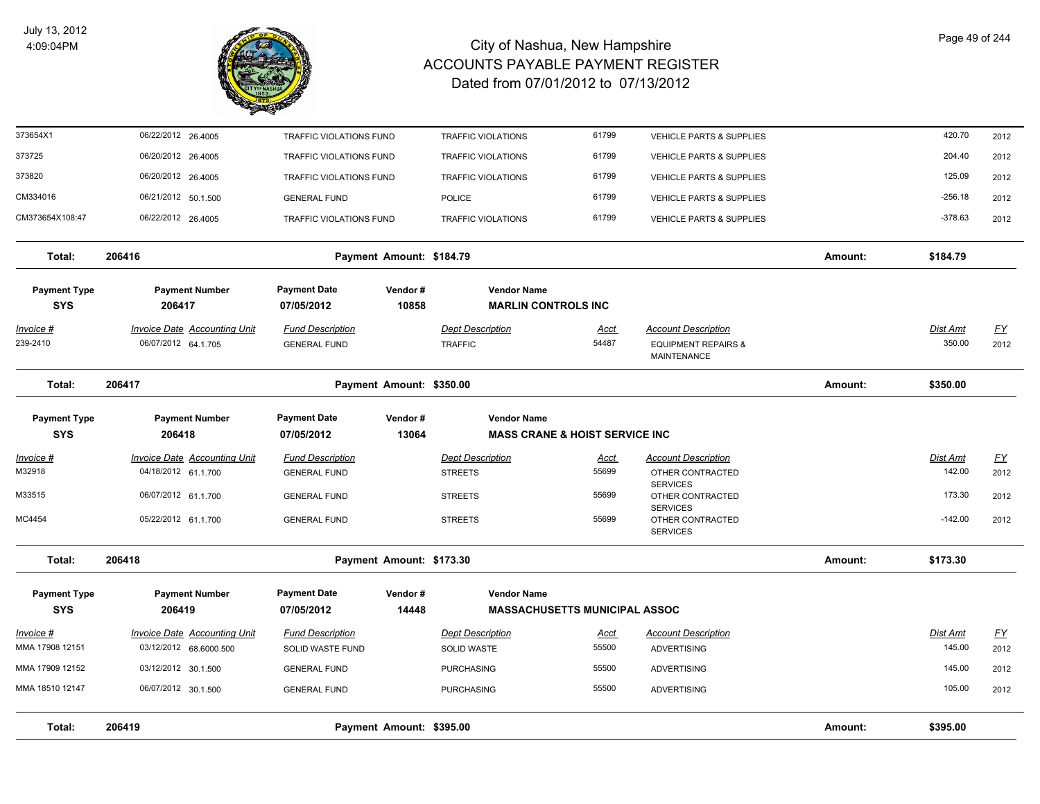

| Total:                            | 206419<br>Payment Amount: \$395.00                         |                                                |                          |                                           |                                           |                                                                                    | Amount: | \$395.00                  |                   |
|-----------------------------------|------------------------------------------------------------|------------------------------------------------|--------------------------|-------------------------------------------|-------------------------------------------|------------------------------------------------------------------------------------|---------|---------------------------|-------------------|
| MMA 18510 12147                   | 06/07/2012 30.1.500                                        | <b>GENERAL FUND</b>                            |                          | <b>PURCHASING</b>                         | 55500                                     | <b>ADVERTISING</b>                                                                 |         | 105.00                    | 2012              |
| MMA 17909 12152                   | 03/12/2012 30.1.500                                        | <b>GENERAL FUND</b>                            |                          | <b>PURCHASING</b>                         | 55500                                     | <b>ADVERTISING</b>                                                                 |         | 145.00                    | 2012              |
| MMA 17908 12151                   | 03/12/2012 68.6000.500                                     | SOLID WASTE FUND                               |                          | <b>SOLID WASTE</b>                        | 55500                                     | <b>ADVERTISING</b>                                                                 |         | 145.00                    | 2012              |
| Invoice #                         | <b>Invoice Date Accounting Unit</b>                        | <b>Fund Description</b>                        |                          | <b>Dept Description</b>                   | Acct                                      | <b>Account Description</b>                                                         |         | Dist Amt                  | <u>FY</u>         |
| <b>Payment Type</b><br><b>SYS</b> | <b>Payment Number</b><br>206419                            | <b>Payment Date</b><br>07/05/2012              | Vendor#<br>14448         | <b>Vendor Name</b>                        | <b>MASSACHUSETTS MUNICIPAL ASSOC</b>      |                                                                                    |         |                           |                   |
| Total:                            | 206418                                                     |                                                | Payment Amount: \$173.30 |                                           |                                           |                                                                                    | Amount: | \$173.30                  |                   |
| MC4454                            | 05/22/2012 61.1.700                                        | <b>GENERAL FUND</b>                            |                          | <b>STREETS</b>                            | 55699                                     | OTHER CONTRACTED<br><b>SERVICES</b>                                                |         | $-142.00$                 | 2012              |
| M33515                            | 06/07/2012 61.1.700                                        | <b>GENERAL FUND</b>                            |                          | <b>STREETS</b>                            | 55699                                     | OTHER CONTRACTED<br><b>SERVICES</b>                                                |         | 173.30                    | 2012              |
| M32918                            | 04/18/2012 61.1.700                                        | <b>GENERAL FUND</b>                            |                          | <b>STREETS</b>                            | 55699                                     | OTHER CONTRACTED<br><b>SERVICES</b>                                                |         | 142.00                    | 2012              |
| Invoice #                         | <b>Invoice Date Accounting Unit</b>                        | <b>Fund Description</b>                        |                          | <b>Dept Description</b>                   | <b>Acct</b>                               | <b>Account Description</b>                                                         |         | Dist Amt                  | EY                |
| <b>SYS</b>                        | 206418                                                     | 07/05/2012                                     | 13064                    |                                           | <b>MASS CRANE &amp; HOIST SERVICE INC</b> |                                                                                    |         |                           |                   |
| <b>Payment Type</b>               | <b>Payment Number</b>                                      | <b>Payment Date</b>                            | Vendor#                  | <b>Vendor Name</b>                        |                                           |                                                                                    |         |                           |                   |
| Total:                            | 206417                                                     |                                                | Payment Amount: \$350.00 |                                           |                                           |                                                                                    | Amount: | \$350.00                  |                   |
| Invoice #<br>239-2410             | <b>Invoice Date Accounting Unit</b><br>06/07/2012 64.1.705 | <b>Fund Description</b><br><b>GENERAL FUND</b> |                          | <b>Dept Description</b><br><b>TRAFFIC</b> | <u>Acct</u><br>54487                      | <b>Account Description</b><br><b>EQUIPMENT REPAIRS &amp;</b><br><b>MAINTENANCE</b> |         | <u>Dist Amt</u><br>350.00 | <u>FY</u><br>2012 |
| <b>SYS</b>                        | 206417                                                     | 07/05/2012                                     | 10858                    | <b>MARLIN CONTROLS INC</b>                |                                           |                                                                                    |         |                           |                   |
| <b>Payment Type</b>               | <b>Payment Number</b>                                      | <b>Payment Date</b>                            | Vendor#                  | <b>Vendor Name</b>                        |                                           |                                                                                    |         |                           |                   |
| Total:                            | 206416                                                     |                                                | Payment Amount: \$184.79 |                                           |                                           |                                                                                    | Amount: | \$184.79                  |                   |
| CM373654X108:47                   | 06/22/2012 26.4005                                         | <b>TRAFFIC VIOLATIONS FUND</b>                 |                          | <b>TRAFFIC VIOLATIONS</b>                 | 61799                                     | <b>VEHICLE PARTS &amp; SUPPLIES</b>                                                |         | $-378.63$                 | 2012              |
| CM334016                          | 06/21/2012 50.1.500                                        | <b>GENERAL FUND</b>                            |                          | POLICE                                    | 61799                                     | VEHICLE PARTS & SUPPLIES                                                           |         | $-256.18$                 | 2012              |
| 373820                            | 06/20/2012 26.4005                                         | <b>TRAFFIC VIOLATIONS FUND</b>                 |                          | <b>TRAFFIC VIOLATIONS</b>                 | 61799                                     | <b>VEHICLE PARTS &amp; SUPPLIES</b>                                                |         | 125.09                    | 2012              |
| 373725                            | 06/20/2012 26.4005                                         | <b>TRAFFIC VIOLATIONS FUND</b>                 |                          | <b>TRAFFIC VIOLATIONS</b>                 | 61799                                     | <b>VEHICLE PARTS &amp; SUPPLIES</b>                                                |         | 204.40                    | 2012              |
| 373654X1                          | 06/22/2012 26.4005                                         | <b>TRAFFIC VIOLATIONS FUND</b>                 |                          | <b>TRAFFIC VIOLATIONS</b>                 | 61799                                     | VEHICLE PARTS & SUPPLIES                                                           |         | 420.70                    | 2012              |
|                                   |                                                            |                                                |                          |                                           |                                           |                                                                                    |         |                           |                   |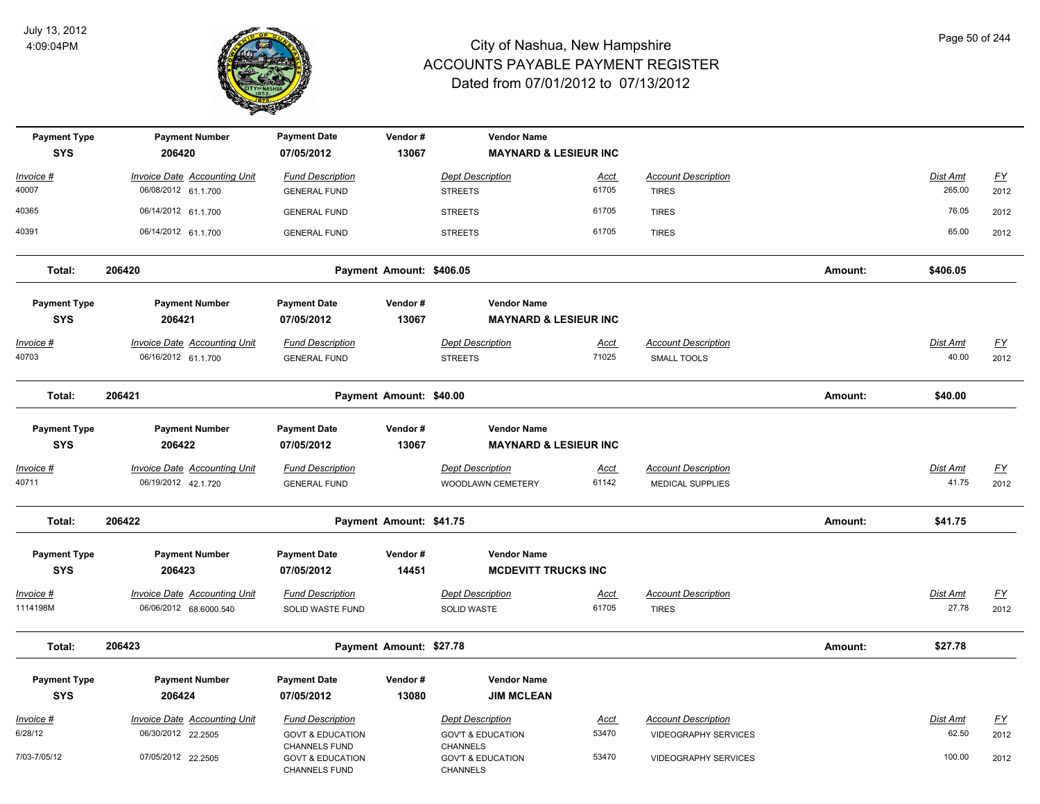

| <b>Payment Type</b><br><b>SYS</b> | <b>Payment Number</b><br>206420                               | <b>Payment Date</b><br>07/05/2012                                    | Vendor#<br>13067         | <b>Vendor Name</b><br><b>MAYNARD &amp; LESIEUR INC</b>             |                      |                                                |         |                          |                   |
|-----------------------------------|---------------------------------------------------------------|----------------------------------------------------------------------|--------------------------|--------------------------------------------------------------------|----------------------|------------------------------------------------|---------|--------------------------|-------------------|
| Invoice #                         | <b>Invoice Date Accounting Unit</b>                           | <b>Fund Description</b>                                              |                          | <b>Dept Description</b>                                            | Acct                 | <b>Account Description</b>                     |         | Dist Amt                 | $\underline{FY}$  |
| 40007                             | 06/08/2012 61.1.700                                           | <b>GENERAL FUND</b>                                                  |                          | <b>STREETS</b>                                                     | 61705                | <b>TIRES</b>                                   |         | 265.00                   | 2012              |
| 40365                             | 06/14/2012 61.1.700                                           | <b>GENERAL FUND</b>                                                  |                          | <b>STREETS</b>                                                     | 61705                | <b>TIRES</b>                                   |         | 76.05                    | 2012              |
| 40391                             | 06/14/2012 61.1.700                                           | <b>GENERAL FUND</b>                                                  |                          | <b>STREETS</b>                                                     | 61705                | <b>TIRES</b>                                   |         | 65.00                    | 2012              |
| Total:                            | 206420                                                        |                                                                      | Payment Amount: \$406.05 |                                                                    |                      |                                                | Amount: | \$406.05                 |                   |
| <b>Payment Type</b><br><b>SYS</b> | <b>Payment Number</b><br>206421                               | <b>Payment Date</b><br>07/05/2012                                    | Vendor#<br>13067         | <b>Vendor Name</b><br><b>MAYNARD &amp; LESIEUR INC</b>             |                      |                                                |         |                          |                   |
| Invoice #<br>40703                | <b>Invoice Date Accounting Unit</b><br>06/16/2012 61.1.700    | <b>Fund Description</b><br><b>GENERAL FUND</b>                       |                          | <b>Dept Description</b><br><b>STREETS</b>                          | <u>Acct</u><br>71025 | <b>Account Description</b><br>SMALL TOOLS      |         | <b>Dist Amt</b><br>40.00 | EY<br>2012        |
| Total:                            | 206421                                                        |                                                                      | Payment Amount: \$40.00  |                                                                    |                      |                                                | Amount: | \$40.00                  |                   |
| <b>Payment Type</b><br><b>SYS</b> | <b>Payment Number</b><br>206422                               | <b>Payment Date</b><br>07/05/2012                                    | Vendor#<br>13067         | <b>Vendor Name</b><br><b>MAYNARD &amp; LESIEUR INC</b>             |                      |                                                |         |                          |                   |
| Invoice #<br>40711                | <b>Invoice Date Accounting Unit</b><br>06/19/2012 42.1.720    | <b>Fund Description</b><br><b>GENERAL FUND</b>                       |                          | <b>Dept Description</b><br><b>WOODLAWN CEMETERY</b>                | Acct<br>61142        | <b>Account Description</b><br>MEDICAL SUPPLIES |         | Dist Amt<br>41.75        | <u>FY</u><br>2012 |
| Total:                            | 206422                                                        |                                                                      | Payment Amount: \$41.75  |                                                                    |                      |                                                | Amount: | \$41.75                  |                   |
| <b>Payment Type</b><br><b>SYS</b> | <b>Payment Number</b><br>206423                               | <b>Payment Date</b><br>07/05/2012                                    | Vendor#<br>14451         | <b>Vendor Name</b><br><b>MCDEVITT TRUCKS INC</b>                   |                      |                                                |         |                          |                   |
| Invoice #<br>1114198M             | <b>Invoice Date Accounting Unit</b><br>06/06/2012 68.6000.540 | <b>Fund Description</b><br>SOLID WASTE FUND                          |                          | <b>Dept Description</b><br>SOLID WASTE                             | Acct<br>61705        | <b>Account Description</b><br><b>TIRES</b>     |         | Dist Amt<br>27.78        | <u>FY</u><br>2012 |
| Total:                            | 206423                                                        |                                                                      | Payment Amount: \$27.78  |                                                                    |                      |                                                | Amount: | \$27.78                  |                   |
| <b>Payment Type</b><br><b>SYS</b> | <b>Payment Number</b><br>206424                               | <b>Payment Date</b><br>07/05/2012                                    | Vendor#<br>13080         | <b>Vendor Name</b><br><b>JIM MCLEAN</b>                            |                      |                                                |         |                          |                   |
| Invoice #                         | Invoice Date Accounting Unit                                  | <b>Fund Description</b>                                              |                          | <b>Dept Description</b>                                            | Acct                 | <b>Account Description</b>                     |         | Dist Amt                 | <u>FY</u>         |
| 6/28/12                           | 06/30/2012 22.2505                                            | <b>GOVT &amp; EDUCATION</b>                                          |                          | <b>GOV'T &amp; EDUCATION</b>                                       | 53470                | VIDEOGRAPHY SERVICES                           |         | 62.50                    | 2012              |
| 7/03-7/05/12                      | 07/05/2012 22.2505                                            | <b>CHANNELS FUND</b><br><b>GOVT &amp; EDUCATION</b><br>CHANNELS FUND |                          | <b>CHANNELS</b><br><b>GOV'T &amp; EDUCATION</b><br><b>CHANNELS</b> | 53470                | <b>VIDEOGRAPHY SERVICES</b>                    |         | 100.00                   | 2012              |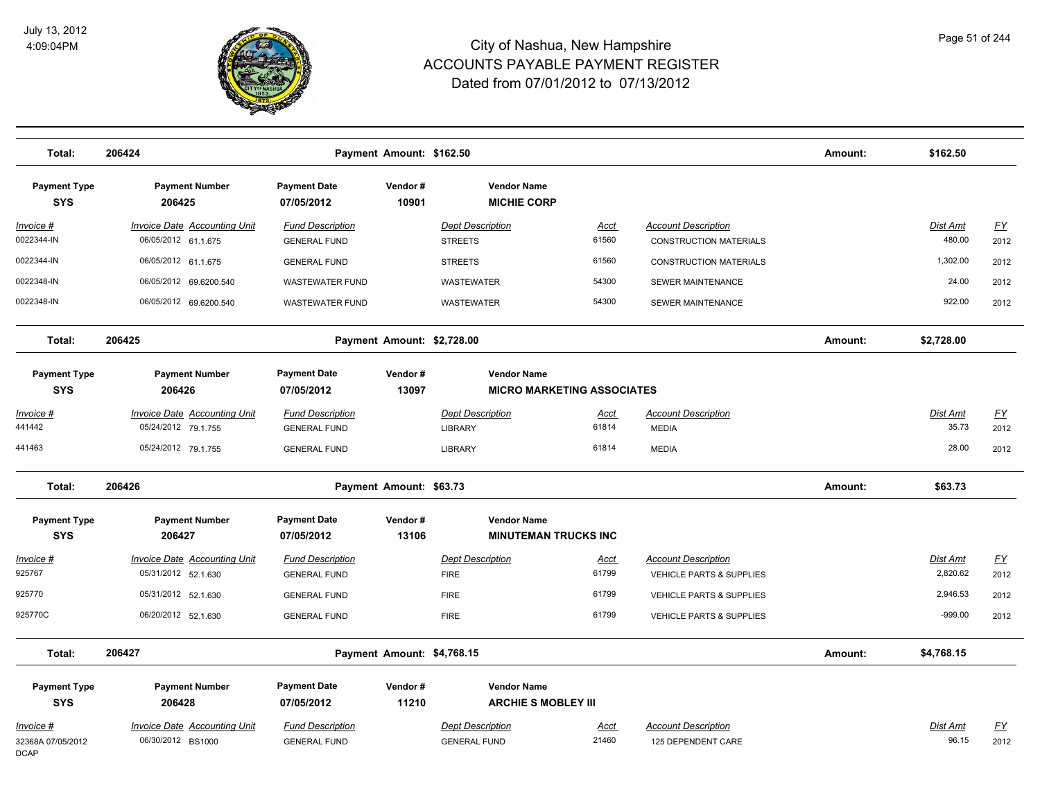

| Total:                                        | 206424                                                     |                                                | Payment Amount: \$162.50   |                                                         |                      |                                                        | Amount: | \$162.50                  |                   |
|-----------------------------------------------|------------------------------------------------------------|------------------------------------------------|----------------------------|---------------------------------------------------------|----------------------|--------------------------------------------------------|---------|---------------------------|-------------------|
| <b>Payment Type</b><br><b>SYS</b>             | <b>Payment Number</b><br>206425                            | <b>Payment Date</b><br>07/05/2012              | Vendor#<br>10901           | <b>Vendor Name</b><br><b>MICHIE CORP</b>                |                      |                                                        |         |                           |                   |
| Invoice #<br>0022344-IN                       | <b>Invoice Date Accounting Unit</b><br>06/05/2012 61.1.675 | <b>Fund Description</b><br><b>GENERAL FUND</b> |                            | <b>Dept Description</b><br><b>STREETS</b>               | <b>Acct</b><br>61560 | <b>Account Description</b><br>CONSTRUCTION MATERIALS   |         | <b>Dist Amt</b><br>480.00 | <u>FY</u><br>2012 |
| 0022344-IN                                    | 06/05/2012 61.1.675                                        | <b>GENERAL FUND</b>                            |                            | <b>STREETS</b>                                          | 61560                | <b>CONSTRUCTION MATERIALS</b>                          |         | 1,302.00                  | 2012              |
| 0022348-IN                                    | 06/05/2012 69.6200.540                                     | <b>WASTEWATER FUND</b>                         |                            | WASTEWATER                                              | 54300                | SEWER MAINTENANCE                                      |         | 24.00                     | 2012              |
| 0022348-IN                                    | 06/05/2012 69.6200.540                                     | <b>WASTEWATER FUND</b>                         |                            | WASTEWATER                                              | 54300                | SEWER MAINTENANCE                                      |         | 922.00                    | 2012              |
| Total:                                        | 206425                                                     |                                                | Payment Amount: \$2,728.00 |                                                         |                      |                                                        | Amount: | \$2,728.00                |                   |
| <b>Payment Type</b><br><b>SYS</b>             | <b>Payment Number</b><br>206426                            | <b>Payment Date</b><br>07/05/2012              | Vendor#<br>13097           | <b>Vendor Name</b><br><b>MICRO MARKETING ASSOCIATES</b> |                      |                                                        |         |                           |                   |
| Invoice #                                     | <b>Invoice Date Accounting Unit</b>                        | <b>Fund Description</b>                        |                            | <b>Dept Description</b>                                 | Acct                 | <b>Account Description</b>                             |         | Dist Amt                  | $\underline{FY}$  |
| 441442                                        | 05/24/2012 79.1.755                                        | <b>GENERAL FUND</b>                            |                            | <b>LIBRARY</b>                                          | 61814                | <b>MEDIA</b>                                           |         | 35.73                     | 2012              |
| 441463                                        | 05/24/2012 79.1.755                                        | <b>GENERAL FUND</b>                            |                            | LIBRARY                                                 | 61814                | <b>MEDIA</b>                                           |         | 28.00                     | 2012              |
| Total:                                        | 206426                                                     |                                                | Payment Amount: \$63.73    |                                                         |                      |                                                        | Amount: | \$63.73                   |                   |
| <b>Payment Type</b><br><b>SYS</b>             | <b>Payment Number</b><br>206427                            | <b>Payment Date</b><br>07/05/2012              | Vendor#<br>13106           | <b>Vendor Name</b><br><b>MINUTEMAN TRUCKS INC</b>       |                      |                                                        |         |                           |                   |
| Invoice #<br>925767                           | Invoice Date Accounting Unit<br>05/31/2012 52.1.630        | <b>Fund Description</b><br><b>GENERAL FUND</b> |                            | <b>Dept Description</b><br><b>FIRE</b>                  | <u>Acct</u><br>61799 | <b>Account Description</b><br>VEHICLE PARTS & SUPPLIES |         | Dist Amt<br>2,820.62      | EY<br>2012        |
| 925770                                        | 05/31/2012 52.1.630                                        | <b>GENERAL FUND</b>                            |                            | <b>FIRE</b>                                             | 61799                | VEHICLE PARTS & SUPPLIES                               |         | 2,946.53                  | 2012              |
| 925770C                                       | 06/20/2012 52.1.630                                        | <b>GENERAL FUND</b>                            |                            | <b>FIRE</b>                                             | 61799                | <b>VEHICLE PARTS &amp; SUPPLIES</b>                    |         | $-999.00$                 | 2012              |
| Total:                                        | 206427                                                     |                                                | Payment Amount: \$4,768.15 |                                                         |                      |                                                        | Amount: | \$4,768.15                |                   |
| <b>Payment Type</b><br><b>SYS</b>             | <b>Payment Number</b><br>206428                            | <b>Payment Date</b><br>07/05/2012              | Vendor#<br>11210           | <b>Vendor Name</b><br><b>ARCHIE S MOBLEY III</b>        |                      |                                                        |         |                           |                   |
| Invoice #<br>32368A 07/05/2012<br><b>DCAP</b> | <b>Invoice Date Accounting Unit</b><br>06/30/2012 BS1000   | <b>Fund Description</b><br><b>GENERAL FUND</b> |                            | <b>Dept Description</b><br><b>GENERAL FUND</b>          | <u>Acct</u><br>21460 | <b>Account Description</b><br>125 DEPENDENT CARE       |         | Dist Amt<br>96.15         | <u>FY</u><br>2012 |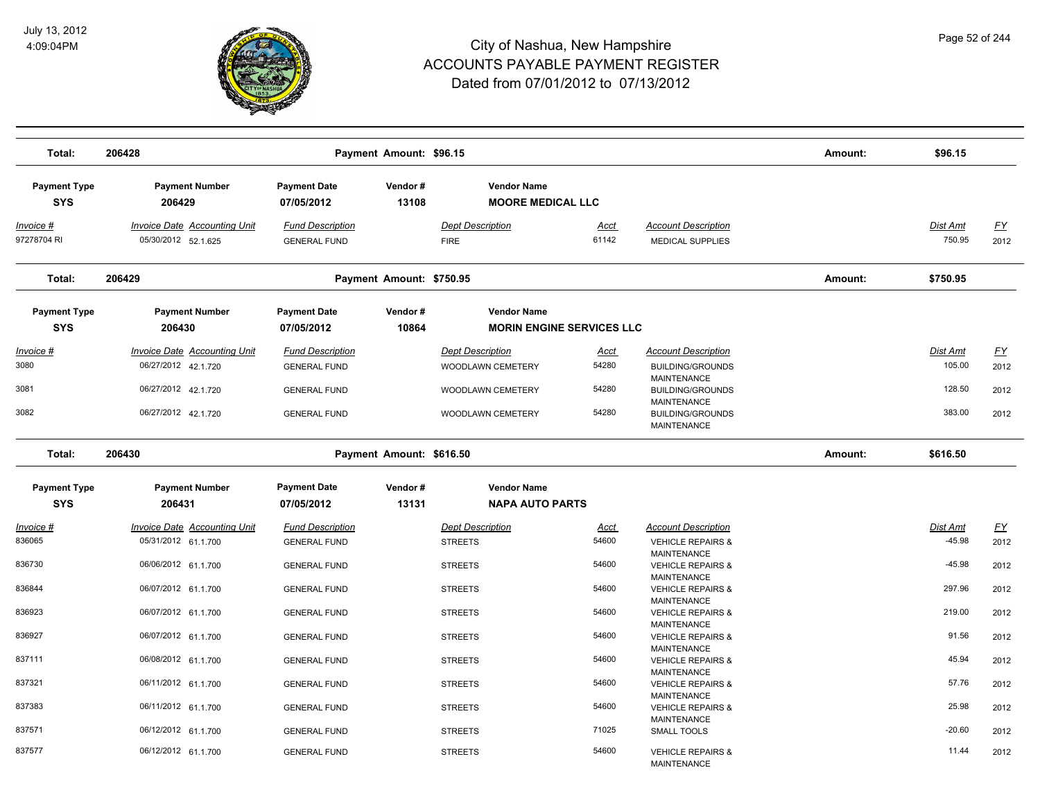

| Total:                            | 206428                                                     |                                                | Payment Amount: \$96.15  |                                                |                      |                                                                                    | Amount: | \$96.15            |                   |
|-----------------------------------|------------------------------------------------------------|------------------------------------------------|--------------------------|------------------------------------------------|----------------------|------------------------------------------------------------------------------------|---------|--------------------|-------------------|
| <b>Payment Type</b><br><b>SYS</b> | <b>Payment Number</b><br>206429                            | <b>Payment Date</b><br>07/05/2012              | Vendor#<br>13108         | <b>Vendor Name</b><br><b>MOORE MEDICAL LLC</b> |                      |                                                                                    |         |                    |                   |
| <u>Invoice #</u><br>97278704 RI   | <b>Invoice Date Accounting Unit</b><br>05/30/2012 52.1.625 | <b>Fund Description</b><br><b>GENERAL FUND</b> |                          | <b>Dept Description</b><br><b>FIRE</b>         | <u>Acct</u><br>61142 | <b>Account Description</b><br><b>MEDICAL SUPPLIES</b>                              |         | Dist Amt<br>750.95 | <u>FY</u><br>2012 |
| Total:                            | 206429                                                     |                                                | Payment Amount: \$750.95 |                                                |                      |                                                                                    | Amount: | \$750.95           |                   |
| <b>Payment Type</b>               | <b>Payment Number</b>                                      | <b>Payment Date</b>                            | Vendor#                  | <b>Vendor Name</b>                             |                      |                                                                                    |         |                    |                   |
| <b>SYS</b>                        | 206430                                                     | 07/05/2012                                     | 10864                    | <b>MORIN ENGINE SERVICES LLC</b>               |                      |                                                                                    |         |                    |                   |
| Invoice #<br>3080                 | Invoice Date Accounting Unit<br>06/27/2012 42.1.720        | <b>Fund Description</b><br><b>GENERAL FUND</b> |                          | <b>Dept Description</b><br>WOODLAWN CEMETERY   | Acct<br>54280        | <b>Account Description</b><br>BUILDING/GROUNDS                                     |         | Dist Amt<br>105.00 | <u>FY</u><br>2012 |
| 3081                              | 06/27/2012 42.1.720                                        | <b>GENERAL FUND</b>                            |                          | WOODLAWN CEMETERY                              | 54280                | <b>MAINTENANCE</b><br><b>BUILDING/GROUNDS</b><br><b>MAINTENANCE</b>                |         | 128.50             | 2012              |
| 3082                              | 06/27/2012 42.1.720                                        | <b>GENERAL FUND</b>                            |                          | WOODLAWN CEMETERY                              | 54280                | <b>BUILDING/GROUNDS</b><br><b>MAINTENANCE</b>                                      |         | 383.00             | 2012              |
| Total:                            | 206430                                                     |                                                | Payment Amount: \$616.50 |                                                |                      |                                                                                    | Amount: | \$616.50           |                   |
| <b>Payment Type</b><br><b>SYS</b> | <b>Payment Number</b><br>206431                            | <b>Payment Date</b><br>07/05/2012              | Vendor#<br>13131         | <b>Vendor Name</b><br><b>NAPA AUTO PARTS</b>   |                      |                                                                                    |         |                    |                   |
| Invoice #                         | Invoice Date Accounting Unit                               | <b>Fund Description</b>                        |                          | <b>Dept Description</b>                        | Acct                 | <b>Account Description</b>                                                         |         | Dist Amt           | <u>FY</u>         |
| 836065                            | 05/31/2012 61.1.700                                        | <b>GENERAL FUND</b>                            |                          | <b>STREETS</b>                                 | 54600                | <b>VEHICLE REPAIRS &amp;</b><br><b>MAINTENANCE</b>                                 |         | $-45.98$           | 2012              |
| 836730                            | 06/06/2012 61.1.700                                        | <b>GENERAL FUND</b>                            |                          | <b>STREETS</b>                                 | 54600                | <b>VEHICLE REPAIRS &amp;</b><br>MAINTENANCE                                        |         | $-45.98$           | 2012              |
| 836844<br>836923                  | 06/07/2012 61.1.700                                        | <b>GENERAL FUND</b>                            |                          | <b>STREETS</b>                                 | 54600<br>54600       | <b>VEHICLE REPAIRS &amp;</b><br><b>MAINTENANCE</b>                                 |         | 297.96<br>219.00   | 2012              |
| 836927                            | 06/07/2012 61.1.700<br>06/07/2012 61.1.700                 | <b>GENERAL FUND</b><br><b>GENERAL FUND</b>     |                          | <b>STREETS</b><br><b>STREETS</b>               | 54600                | <b>VEHICLE REPAIRS &amp;</b><br><b>MAINTENANCE</b><br><b>VEHICLE REPAIRS &amp;</b> |         | 91.56              | 2012<br>2012      |
| 837111                            | 06/08/2012 61.1.700                                        | <b>GENERAL FUND</b>                            |                          | <b>STREETS</b>                                 | 54600                | <b>MAINTENANCE</b><br><b>VEHICLE REPAIRS &amp;</b>                                 |         | 45.94              | 2012              |
| 837321                            | 06/11/2012 61.1.700                                        | <b>GENERAL FUND</b>                            |                          | <b>STREETS</b>                                 | 54600                | <b>MAINTENANCE</b><br><b>VEHICLE REPAIRS &amp;</b>                                 |         | 57.76              | 2012              |
| 837383                            | 06/11/2012 61.1.700                                        | <b>GENERAL FUND</b>                            |                          | <b>STREETS</b>                                 | 54600                | <b>MAINTENANCE</b><br><b>VEHICLE REPAIRS &amp;</b><br>MAINTENANCE                  |         | 25.98              | 2012              |
| 837571                            | 06/12/2012 61.1.700                                        | <b>GENERAL FUND</b>                            |                          | <b>STREETS</b>                                 | 71025                | <b>SMALL TOOLS</b>                                                                 |         | $-20.60$           | 2012              |
| 837577                            | 06/12/2012 61.1.700                                        | <b>GENERAL FUND</b>                            |                          | <b>STREETS</b>                                 | 54600                | <b>VEHICLE REPAIRS &amp;</b><br><b>MAINTENANCE</b>                                 |         | 11.44              | 2012              |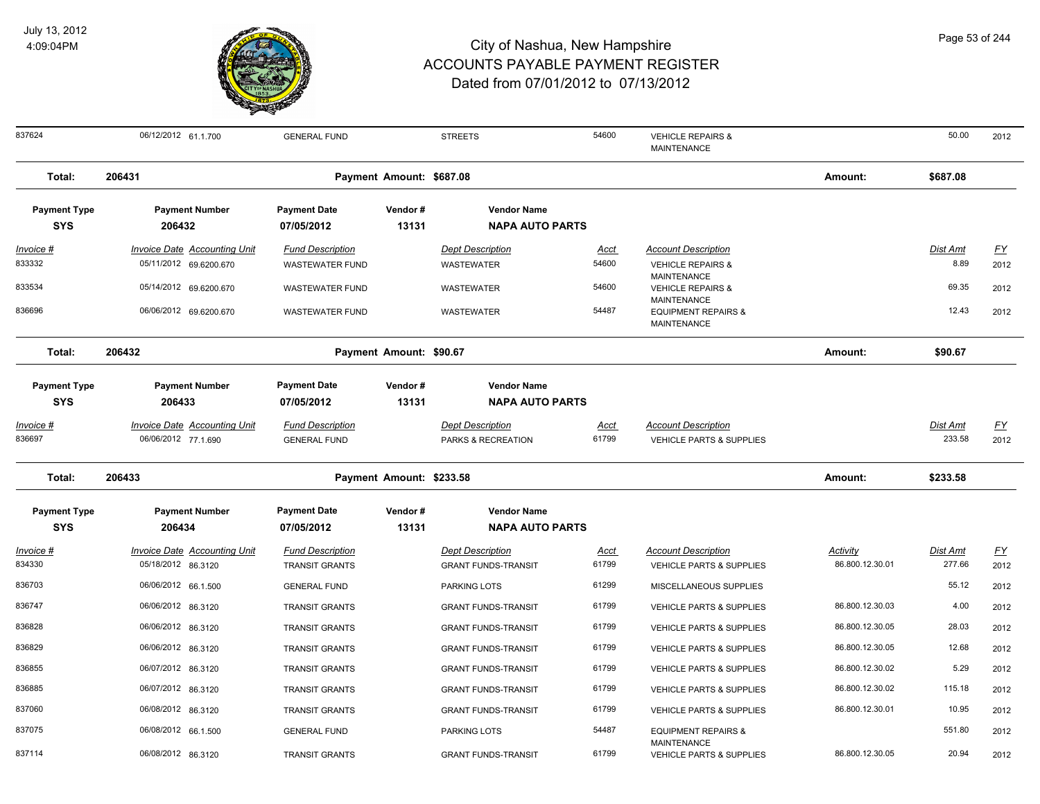

| 837624                            | 06/12/2012 61.1.700                                           | <b>GENERAL FUND</b>                               |                          | <b>STREETS</b>                                        | 54600                | <b>VEHICLE REPAIRS &amp;</b><br><b>MAINTENANCE</b>                |                                    | 50.00                     | 2012              |
|-----------------------------------|---------------------------------------------------------------|---------------------------------------------------|--------------------------|-------------------------------------------------------|----------------------|-------------------------------------------------------------------|------------------------------------|---------------------------|-------------------|
| Total:                            | 206431                                                        |                                                   | Payment Amount: \$687.08 |                                                       |                      |                                                                   | Amount:                            | \$687.08                  |                   |
| <b>Payment Type</b><br><b>SYS</b> | <b>Payment Number</b><br>206432                               | <b>Payment Date</b><br>07/05/2012                 | Vendor#<br>13131         | <b>Vendor Name</b><br><b>NAPA AUTO PARTS</b>          |                      |                                                                   |                                    |                           |                   |
| <b>Invoice #</b><br>833332        | <b>Invoice Date Accounting Unit</b><br>05/11/2012 69.6200.670 | <b>Fund Description</b><br><b>WASTEWATER FUND</b> |                          | <b>Dept Description</b><br><b>WASTEWATER</b>          | <u>Acct</u><br>54600 | <b>Account Description</b><br><b>VEHICLE REPAIRS &amp;</b>        |                                    | <u>Dist Amt</u><br>8.89   | <u>FY</u><br>2012 |
| 833534                            | 05/14/2012 69.6200.670                                        | <b>WASTEWATER FUND</b>                            |                          | <b>WASTEWATER</b>                                     | 54600                | MAINTENANCE<br><b>VEHICLE REPAIRS &amp;</b><br><b>MAINTENANCE</b> |                                    | 69.35                     | 2012              |
| 836696                            | 06/06/2012 69.6200.670                                        | <b>WASTEWATER FUND</b>                            |                          | <b>WASTEWATER</b>                                     | 54487                | <b>EQUIPMENT REPAIRS &amp;</b><br><b>MAINTENANCE</b>              |                                    | 12.43                     | 2012              |
| Total:                            | 206432                                                        | Payment Amount: \$90.67                           |                          |                                                       |                      | Amount:                                                           | \$90.67                            |                           |                   |
| <b>Payment Type</b><br><b>SYS</b> | <b>Payment Number</b><br>206433                               | <b>Payment Date</b><br>07/05/2012                 | Vendor#<br>13131         | <b>Vendor Name</b><br><b>NAPA AUTO PARTS</b>          |                      |                                                                   |                                    |                           |                   |
| Invoice #<br>836697               | <b>Invoice Date Accounting Unit</b><br>06/06/2012 77.1.690    | <b>Fund Description</b><br><b>GENERAL FUND</b>    |                          | <b>Dept Description</b><br>PARKS & RECREATION         | Acct<br>61799        | <b>Account Description</b><br>VEHICLE PARTS & SUPPLIES            |                                    | Dist Amt<br>233.58        | <u>FY</u><br>2012 |
| Total:                            | 206433                                                        |                                                   | Payment Amount: \$233.58 |                                                       |                      |                                                                   | Amount:                            | \$233.58                  |                   |
| <b>Payment Type</b><br><b>SYS</b> | <b>Payment Number</b><br>206434                               | <b>Payment Date</b><br>07/05/2012                 | Vendor#<br>13131         | <b>Vendor Name</b><br><b>NAPA AUTO PARTS</b>          |                      |                                                                   |                                    |                           |                   |
| Invoice #<br>834330               | <b>Invoice Date Accounting Unit</b><br>05/18/2012 86.3120     | <b>Fund Description</b><br><b>TRANSIT GRANTS</b>  |                          | <b>Dept Description</b><br><b>GRANT FUNDS-TRANSIT</b> | Acct<br>61799        | <b>Account Description</b><br><b>VEHICLE PARTS &amp; SUPPLIES</b> | <b>Activity</b><br>86.800.12.30.01 | <b>Dist Amt</b><br>277.66 | <u>FY</u><br>2012 |
| 836703                            | 06/06/2012 66.1.500                                           | <b>GENERAL FUND</b>                               |                          | PARKING LOTS                                          | 61299                | MISCELLANEOUS SUPPLIES                                            |                                    | 55.12                     | 2012              |
| 836747                            | 06/06/2012 86.3120                                            | <b>TRANSIT GRANTS</b>                             |                          | <b>GRANT FUNDS-TRANSIT</b>                            | 61799                | <b>VEHICLE PARTS &amp; SUPPLIES</b>                               | 86.800.12.30.03                    | 4.00                      | 2012              |
| 836828                            | 06/06/2012 86.3120                                            | <b>TRANSIT GRANTS</b>                             |                          | <b>GRANT FUNDS-TRANSIT</b>                            | 61799                | <b>VEHICLE PARTS &amp; SUPPLIES</b>                               | 86.800.12.30.05                    | 28.03                     | 2012              |
| 836829                            | 06/06/2012 86.3120                                            | <b>TRANSIT GRANTS</b>                             |                          | <b>GRANT FUNDS-TRANSIT</b>                            | 61799                | <b>VEHICLE PARTS &amp; SUPPLIES</b>                               | 86.800.12.30.05                    | 12.68                     | 2012              |
| 836855                            | 06/07/2012 86.3120                                            | <b>TRANSIT GRANTS</b>                             |                          | <b>GRANT FUNDS-TRANSIT</b>                            | 61799                | VEHICLE PARTS & SUPPLIES                                          | 86.800.12.30.02                    | 5.29                      | 2012              |
| 836885                            | 06/07/2012 86.3120                                            | <b>TRANSIT GRANTS</b>                             |                          | <b>GRANT FUNDS-TRANSIT</b>                            | 61799                | <b>VEHICLE PARTS &amp; SUPPLIES</b>                               | 86.800.12.30.02                    | 115.18                    | 2012              |
| 837060                            | 06/08/2012 86.3120                                            | TRANSIT GRANTS                                    |                          | <b>GRANT FUNDS-TRANSIT</b>                            | 61799                | VEHICLE PARTS & SUPPLIES                                          | 86.800.12.30.01                    | 10.95                     | 2012              |
| 837075                            | 06/08/2012 66.1.500                                           | <b>GENERAL FUND</b>                               |                          | PARKING LOTS                                          | 54487                | <b>EQUIPMENT REPAIRS &amp;</b><br><b>MAINTENANCE</b>              |                                    | 551.80                    | 2012              |
| 837114                            | 06/08/2012 86.3120                                            | <b>TRANSIT GRANTS</b>                             |                          | <b>GRANT FUNDS-TRANSIT</b>                            | 61799                | VEHICLE PARTS & SUPPLIES                                          | 86.800.12.30.05                    | 20.94                     | 2012              |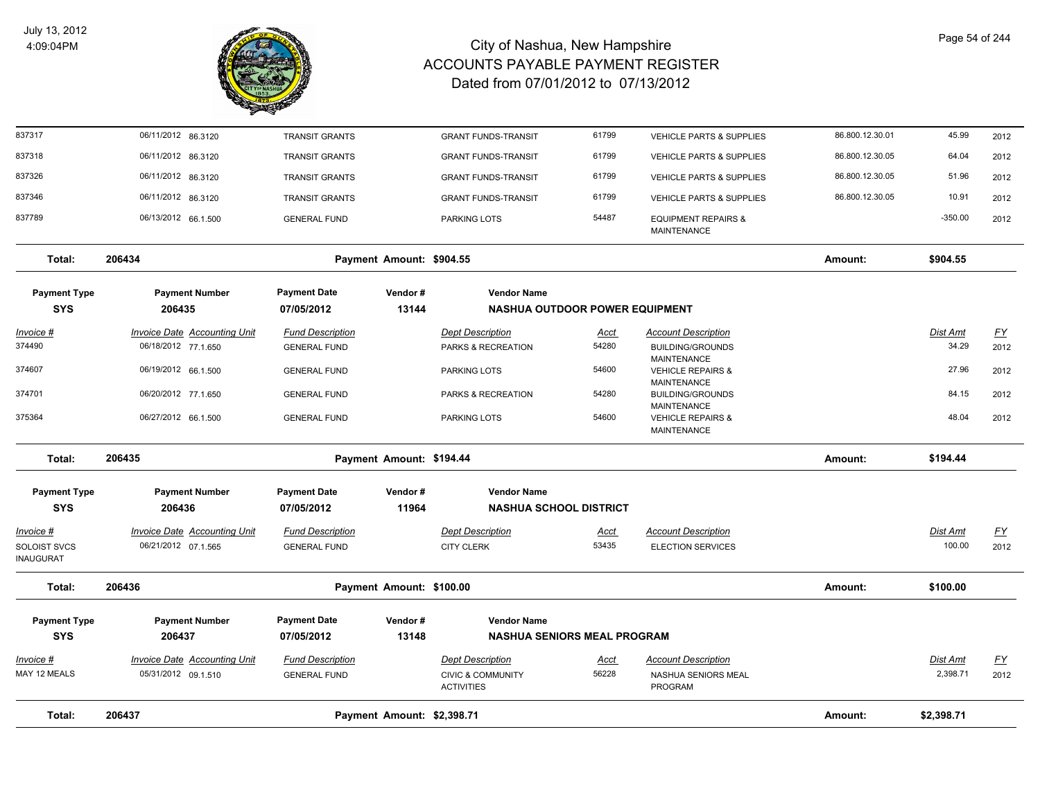

| Total:                    | 206437                                              | Payment Amount: \$2,398.71                     |                          |                                                         |                      |                                                        |                 |                      |                   |
|---------------------------|-----------------------------------------------------|------------------------------------------------|--------------------------|---------------------------------------------------------|----------------------|--------------------------------------------------------|-----------------|----------------------|-------------------|
|                           |                                                     |                                                |                          | <b>ACTIVITIES</b>                                       |                      | PROGRAM                                                |                 |                      |                   |
| Invoice #<br>MAY 12 MEALS | Invoice Date Accounting Unit<br>05/31/2012 09.1.510 | <b>Fund Description</b><br><b>GENERAL FUND</b> |                          | <b>Dept Description</b><br><b>CIVIC &amp; COMMUNITY</b> | Acct<br>56228        | <b>Account Description</b><br>NASHUA SENIORS MEAL      |                 | Dist Amt<br>2,398.71 | <u>FY</u><br>2012 |
| <b>SYS</b>                | 206437                                              | 07/05/2012                                     | 13148                    | <b>NASHUA SENIORS MEAL PROGRAM</b>                      |                      |                                                        |                 |                      |                   |
| <b>Payment Type</b>       | <b>Payment Number</b>                               | <b>Payment Date</b>                            | Vendor#                  | <b>Vendor Name</b>                                      |                      |                                                        |                 |                      |                   |
| Total:                    | 206436                                              |                                                | Payment Amount: \$100.00 |                                                         |                      |                                                        | Amount:         | \$100.00             |                   |
| <b>INAUGURAT</b>          |                                                     |                                                |                          |                                                         |                      |                                                        |                 |                      |                   |
| Invoice #<br>SOLOIST SVCS | Invoice Date Accounting Unit<br>06/21/2012 07.1.565 | <b>Fund Description</b><br><b>GENERAL FUND</b> |                          | <b>Dept Description</b><br><b>CITY CLERK</b>            | <u>Acct</u><br>53435 | <b>Account Description</b><br><b>ELECTION SERVICES</b> |                 | Dist Amt<br>100.00   | <u>FY</u><br>2012 |
| <b>SYS</b>                | 206436                                              | 07/05/2012                                     | 11964                    | <b>NASHUA SCHOOL DISTRICT</b>                           |                      |                                                        |                 |                      |                   |
| <b>Payment Type</b>       | <b>Payment Number</b>                               | <b>Payment Date</b>                            | Vendor#                  | <b>Vendor Name</b>                                      |                      |                                                        |                 |                      |                   |
| Total:                    | 206435                                              |                                                | Payment Amount: \$194.44 |                                                         |                      |                                                        | Amount:         | \$194.44             |                   |
| 375364                    | 06/27/2012 66.1.500                                 | <b>GENERAL FUND</b>                            |                          | PARKING LOTS                                            | 54600                | <b>VEHICLE REPAIRS &amp;</b><br><b>MAINTENANCE</b>     |                 | 48.04                | 2012              |
| 374701                    | 06/20/2012 77.1.650                                 | <b>GENERAL FUND</b>                            |                          | PARKS & RECREATION                                      | 54280                | <b>BUILDING/GROUNDS</b><br><b>MAINTENANCE</b>          |                 | 84.15                | 2012              |
| 374607                    | 06/19/2012 66.1.500                                 | <b>GENERAL FUND</b>                            |                          | PARKING LOTS                                            | 54600                | <b>VEHICLE REPAIRS &amp;</b><br><b>MAINTENANCE</b>     |                 | 27.96                | 2012              |
| 374490                    | 06/18/2012 77.1.650                                 | <b>GENERAL FUND</b>                            |                          | PARKS & RECREATION                                      | 54280                | <b>BUILDING/GROUNDS</b><br><b>MAINTENANCE</b>          |                 | 34.29                | 2012              |
| <u>Invoice #</u>          | <b>Invoice Date Accounting Unit</b>                 | <b>Fund Description</b>                        |                          | <b>Dept Description</b>                                 | <u>Acct</u>          | <b>Account Description</b>                             |                 | <b>Dist Amt</b>      | <u>FY</u>         |
| <b>SYS</b>                | 206435                                              | 07/05/2012                                     | 13144                    | <b>NASHUA OUTDOOR POWER EQUIPMENT</b>                   |                      |                                                        |                 |                      |                   |
| <b>Payment Type</b>       | <b>Payment Number</b>                               | <b>Payment Date</b>                            | Vendor#                  | <b>Vendor Name</b>                                      |                      |                                                        |                 |                      |                   |
| Total:                    | 206434                                              |                                                | Payment Amount: \$904.55 |                                                         |                      |                                                        | Amount:         | \$904.55             |                   |
| 837789                    | 06/13/2012 66.1.500                                 | <b>GENERAL FUND</b>                            |                          | PARKING LOTS                                            | 54487                | <b>EQUIPMENT REPAIRS &amp;</b><br>MAINTENANCE          |                 | $-350.00$            | 2012              |
| 837346                    | 06/11/2012 86.3120                                  | <b>TRANSIT GRANTS</b>                          |                          | <b>GRANT FUNDS-TRANSIT</b>                              | 61799                | <b>VEHICLE PARTS &amp; SUPPLIES</b>                    | 86.800.12.30.05 | 10.91                | 2012              |
| 837326                    | 06/11/2012 86.3120                                  | <b>TRANSIT GRANTS</b>                          |                          | <b>GRANT FUNDS-TRANSIT</b>                              | 61799                | <b>VEHICLE PARTS &amp; SUPPLIES</b>                    | 86.800.12.30.05 | 51.96                | 2012              |
| 837318                    | 06/11/2012 86.3120                                  | <b>TRANSIT GRANTS</b>                          |                          | <b>GRANT FUNDS-TRANSIT</b>                              | 61799                | <b>VEHICLE PARTS &amp; SUPPLIES</b>                    | 86.800.12.30.05 | 64.04                | 2012              |
| 837317                    | 06/11/2012 86.3120                                  | <b>TRANSIT GRANTS</b>                          |                          | <b>GRANT FUNDS-TRANSIT</b>                              | 61799                | <b>VEHICLE PARTS &amp; SUPPLIES</b>                    | 86.800.12.30.01 | 45.99                | 2012              |
|                           |                                                     |                                                |                          |                                                         |                      |                                                        |                 |                      |                   |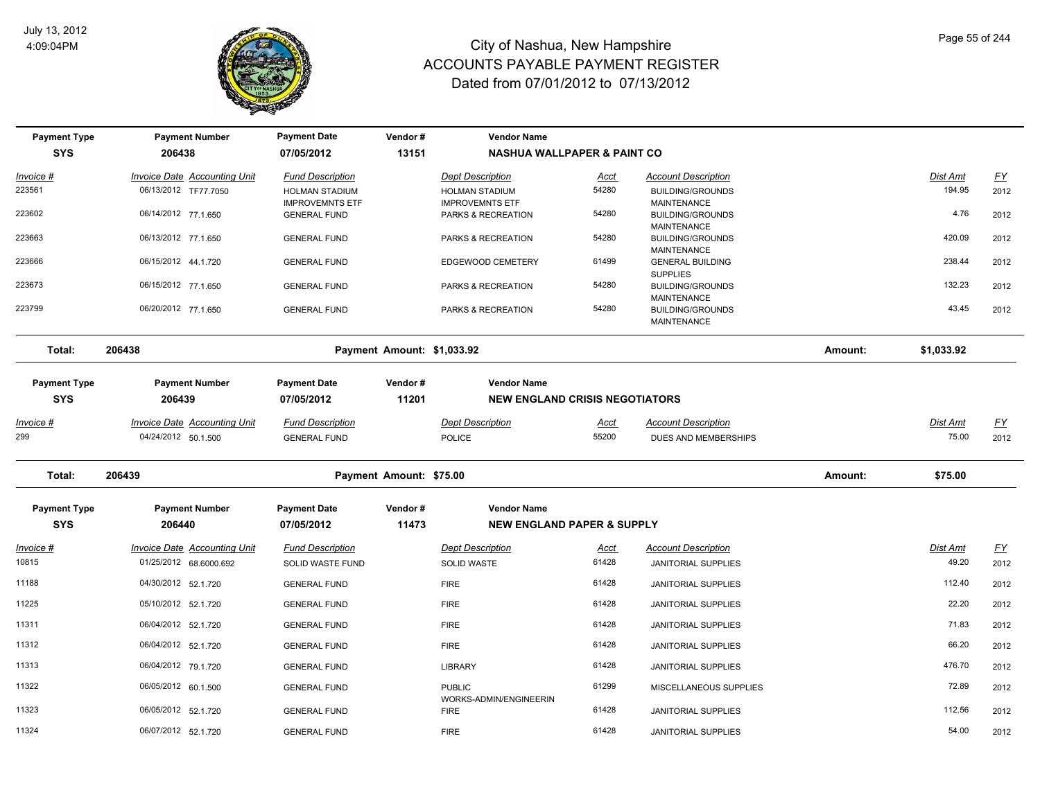

| <b>Payment Type</b> | <b>Payment Number</b>                                         | <b>Payment Date</b>                             | Vendor#                    | <b>Vendor Name</b>                              |               |                                                          |         |                   |                   |
|---------------------|---------------------------------------------------------------|-------------------------------------------------|----------------------------|-------------------------------------------------|---------------|----------------------------------------------------------|---------|-------------------|-------------------|
| <b>SYS</b>          | 206438                                                        | 07/05/2012                                      | 13151                      | <b>NASHUA WALLPAPER &amp; PAINT CO</b>          |               |                                                          |         |                   |                   |
| <u> Invoice #</u>   | <b>Invoice Date Accounting Unit</b>                           | <b>Fund Description</b>                         |                            | <b>Dept Description</b>                         | <b>Acct</b>   | <b>Account Description</b>                               |         | Dist Amt          | EY                |
| 223561              | 06/13/2012 TF77.7050                                          | <b>HOLMAN STADIUM</b><br><b>IMPROVEMNTS ETF</b> |                            | <b>HOLMAN STADIUM</b><br><b>IMPROVEMNTS ETF</b> | 54280         | <b>BUILDING/GROUNDS</b><br>MAINTENANCE                   |         | 194.95            | 2012              |
| 223602              | 06/14/2012 77.1.650                                           | <b>GENERAL FUND</b>                             |                            | PARKS & RECREATION                              | 54280         | <b>BUILDING/GROUNDS</b><br>MAINTENANCE                   |         | 4.76              | 2012              |
| 223663              | 06/13/2012 77.1.650                                           | <b>GENERAL FUND</b>                             |                            | PARKS & RECREATION                              | 54280         | <b>BUILDING/GROUNDS</b><br>MAINTENANCE                   |         | 420.09            | 2012              |
| 223666              | 06/15/2012 44.1.720                                           | <b>GENERAL FUND</b>                             |                            | EDGEWOOD CEMETERY                               | 61499         | <b>GENERAL BUILDING</b><br><b>SUPPLIES</b>               |         | 238.44            | 2012              |
| 223673              | 06/15/2012 77.1.650                                           | <b>GENERAL FUND</b>                             |                            | PARKS & RECREATION                              | 54280         | <b>BUILDING/GROUNDS</b>                                  |         | 132.23            | 2012              |
| 223799              | 06/20/2012 77.1.650                                           | <b>GENERAL FUND</b>                             |                            | PARKS & RECREATION                              | 54280         | MAINTENANCE<br><b>BUILDING/GROUNDS</b><br>MAINTENANCE    |         | 43.45             | 2012              |
| Total:              | 206438                                                        |                                                 | Payment Amount: \$1,033.92 |                                                 |               |                                                          | Amount: | \$1,033.92        |                   |
| <b>Payment Type</b> | <b>Payment Number</b>                                         | <b>Payment Date</b>                             | Vendor#                    | <b>Vendor Name</b>                              |               |                                                          |         |                   |                   |
| <b>SYS</b>          | 206439                                                        | 07/05/2012                                      | 11201                      | <b>NEW ENGLAND CRISIS NEGOTIATORS</b>           |               |                                                          |         |                   |                   |
| $Invoice$ #         | <b>Invoice Date Accounting Unit</b>                           | <b>Fund Description</b>                         |                            | <b>Dept Description</b>                         | <u>Acct</u>   | <b>Account Description</b>                               |         | <b>Dist Amt</b>   | <u>FY</u>         |
| 299                 | 04/24/2012 50.1.500                                           | <b>GENERAL FUND</b>                             |                            | <b>POLICE</b>                                   | 55200         | DUES AND MEMBERSHIPS                                     |         | 75.00             | 2012              |
| Total:              | 206439                                                        |                                                 | Payment Amount: \$75.00    |                                                 |               |                                                          | Amount: | \$75.00           |                   |
| <b>Payment Type</b> | <b>Payment Number</b>                                         | <b>Payment Date</b>                             | Vendor#                    | <b>Vendor Name</b>                              |               |                                                          |         |                   |                   |
| <b>SYS</b>          | 206440                                                        | 07/05/2012                                      | 11473                      | <b>NEW ENGLAND PAPER &amp; SUPPLY</b>           |               |                                                          |         |                   |                   |
| Invoice #<br>10815  | <b>Invoice Date Accounting Unit</b><br>01/25/2012 68.6000.692 | <b>Fund Description</b><br>SOLID WASTE FUND     |                            | <b>Dept Description</b><br>SOLID WASTE          | Acct<br>61428 | <b>Account Description</b><br><b>JANITORIAL SUPPLIES</b> |         | Dist Amt<br>49.20 | <u>FY</u><br>2012 |
| 11188               | 04/30/2012 52.1.720                                           | <b>GENERAL FUND</b>                             |                            | <b>FIRE</b>                                     | 61428         | JANITORIAL SUPPLIES                                      |         | 112.40            | 2012              |
| 11225               | 05/10/2012 52.1.720                                           | <b>GENERAL FUND</b>                             |                            | <b>FIRE</b>                                     | 61428         | JANITORIAL SUPPLIES                                      |         | 22.20             | 2012              |
| 11311               | 06/04/2012 52.1.720                                           | <b>GENERAL FUND</b>                             |                            | <b>FIRE</b>                                     | 61428         | <b>JANITORIAL SUPPLIES</b>                               |         | 71.83             | 2012              |
| 11312               | 06/04/2012 52.1.720                                           | <b>GENERAL FUND</b>                             |                            | <b>FIRE</b>                                     | 61428         | <b>JANITORIAL SUPPLIES</b>                               |         | 66.20             | 2012              |
| 11313               | 06/04/2012 79.1.720                                           | <b>GENERAL FUND</b>                             |                            | <b>LIBRARY</b>                                  | 61428         | <b>JANITORIAL SUPPLIES</b>                               |         | 476.70            | 2012              |
| 11322               | 06/05/2012 60.1.500                                           | <b>GENERAL FUND</b>                             |                            | <b>PUBLIC</b>                                   | 61299         | MISCELLANEOUS SUPPLIES                                   |         | 72.89             | 2012              |
| 11323               | 06/05/2012 52.1.720                                           | <b>GENERAL FUND</b>                             |                            | WORKS-ADMIN/ENGINEERIN<br><b>FIRE</b>           | 61428         | <b>JANITORIAL SUPPLIES</b>                               |         | 112.56            | 2012              |
| 11324               | 06/07/2012 52.1.720                                           | <b>GENERAL FUND</b>                             |                            | <b>FIRE</b>                                     | 61428         | JANITORIAL SUPPLIES                                      |         | 54.00             | 2012              |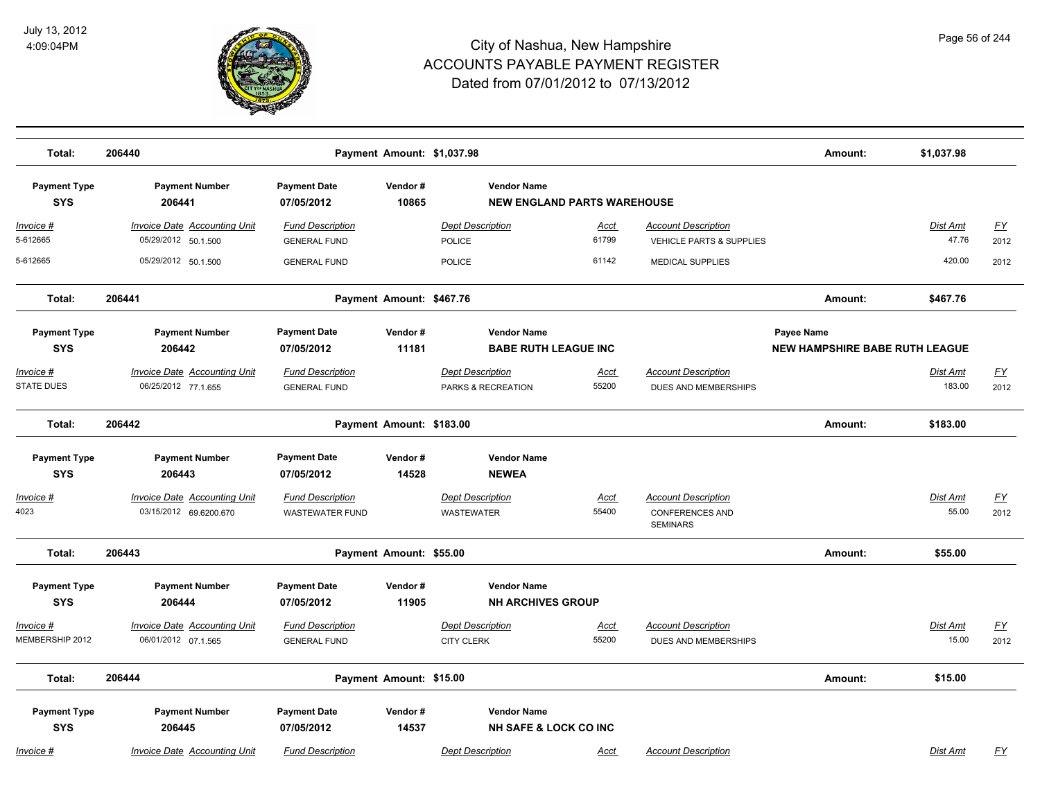

| Total:                                 | 206440                                                     |                                                | Payment Amount: \$1,037.98 |                                                          |                      |                                                                   | Amount:                               | \$1,037.98               |                   |
|----------------------------------------|------------------------------------------------------------|------------------------------------------------|----------------------------|----------------------------------------------------------|----------------------|-------------------------------------------------------------------|---------------------------------------|--------------------------|-------------------|
| <b>Payment Type</b><br><b>SYS</b>      | <b>Payment Number</b><br>206441                            | <b>Payment Date</b><br>07/05/2012              | Vendor#<br>10865           | <b>Vendor Name</b><br><b>NEW ENGLAND PARTS WAREHOUSE</b> |                      |                                                                   |                                       |                          |                   |
| <u> Invoice #</u><br>5-612665          | <b>Invoice Date Accounting Unit</b><br>05/29/2012 50.1.500 | <b>Fund Description</b><br><b>GENERAL FUND</b> |                            | <b>Dept Description</b><br>POLICE                        | <b>Acct</b><br>61799 | <b>Account Description</b><br><b>VEHICLE PARTS &amp; SUPPLIES</b> |                                       | <b>Dist Amt</b><br>47.76 | EY<br>2012        |
| 5-612665                               | 05/29/2012 50.1.500                                        | <b>GENERAL FUND</b>                            |                            | <b>POLICE</b>                                            | 61142                | <b>MEDICAL SUPPLIES</b>                                           |                                       | 420.00                   | 2012              |
| Total:                                 | 206441                                                     |                                                | Payment Amount: \$467.76   |                                                          |                      |                                                                   | Amount:                               | \$467.76                 |                   |
| <b>Payment Type</b>                    | <b>Payment Number</b>                                      | <b>Payment Date</b>                            | Vendor#                    | <b>Vendor Name</b>                                       |                      |                                                                   | Payee Name                            |                          |                   |
| <b>SYS</b>                             | 206442                                                     | 07/05/2012                                     | 11181                      | <b>BABE RUTH LEAGUE INC</b>                              |                      |                                                                   | <b>NEW HAMPSHIRE BABE RUTH LEAGUE</b> |                          |                   |
| <u> Invoice #</u><br><b>STATE DUES</b> | <b>Invoice Date Accounting Unit</b><br>06/25/2012 77.1.655 | <b>Fund Description</b><br><b>GENERAL FUND</b> |                            | <b>Dept Description</b><br>PARKS & RECREATION            | Acct<br>55200        | <b>Account Description</b><br>DUES AND MEMBERSHIPS                |                                       | Dist Amt<br>183.00       | <u>FY</u><br>2012 |
| Total:                                 | 206442                                                     |                                                | Payment Amount: \$183.00   |                                                          |                      |                                                                   | Amount:                               | \$183.00                 |                   |
| <b>Payment Type</b>                    | <b>Payment Number</b>                                      | <b>Payment Date</b>                            | Vendor#                    | <b>Vendor Name</b>                                       |                      |                                                                   |                                       |                          |                   |
| <b>SYS</b>                             | 206443                                                     | 07/05/2012                                     | 14528                      | <b>NEWEA</b>                                             |                      |                                                                   |                                       |                          |                   |
| <u> Invoice #</u>                      | <b>Invoice Date Accounting Unit</b>                        | <b>Fund Description</b>                        |                            | <b>Dept Description</b>                                  | <b>Acct</b>          | <b>Account Description</b>                                        |                                       | Dist Amt                 | <u>FY</u>         |
| 4023                                   | 03/15/2012 69.6200.670                                     | <b>WASTEWATER FUND</b>                         |                            | <b>WASTEWATER</b>                                        | 55400                | <b>CONFERENCES AND</b><br><b>SEMINARS</b>                         |                                       | 55.00                    | 2012              |
| Total:                                 | 206443                                                     |                                                | Payment Amount: \$55.00    |                                                          |                      |                                                                   | Amount:                               | \$55.00                  |                   |
| <b>Payment Type</b><br><b>SYS</b>      | <b>Payment Number</b><br>206444                            | <b>Payment Date</b><br>07/05/2012              | Vendor#<br>11905           | <b>Vendor Name</b><br><b>NH ARCHIVES GROUP</b>           |                      |                                                                   |                                       |                          |                   |
| Invoice #                              | <b>Invoice Date Accounting Unit</b>                        | <b>Fund Description</b>                        |                            | <b>Dept Description</b>                                  | Acct                 | <b>Account Description</b>                                        |                                       | Dist Amt                 | <u>FY</u>         |
| MEMBERSHIP 2012                        | 06/01/2012 07.1.565                                        | <b>GENERAL FUND</b>                            |                            | <b>CITY CLERK</b>                                        | 55200                | DUES AND MEMBERSHIPS                                              |                                       | 15.00                    | 2012              |
| Total:                                 | 206444                                                     |                                                | Payment Amount: \$15.00    |                                                          |                      |                                                                   | Amount:                               | \$15.00                  |                   |
| <b>Payment Type</b><br><b>SYS</b>      | <b>Payment Number</b><br>206445                            | <b>Payment Date</b><br>07/05/2012              | Vendor#<br>14537           | <b>Vendor Name</b><br><b>NH SAFE &amp; LOCK CO INC</b>   |                      |                                                                   |                                       |                          |                   |
| Invoice #                              | Invoice Date Accounting Unit                               | <b>Fund Description</b>                        |                            | <b>Dept Description</b>                                  | Acct                 | <b>Account Description</b>                                        |                                       | <b>Dist Amt</b>          | FY                |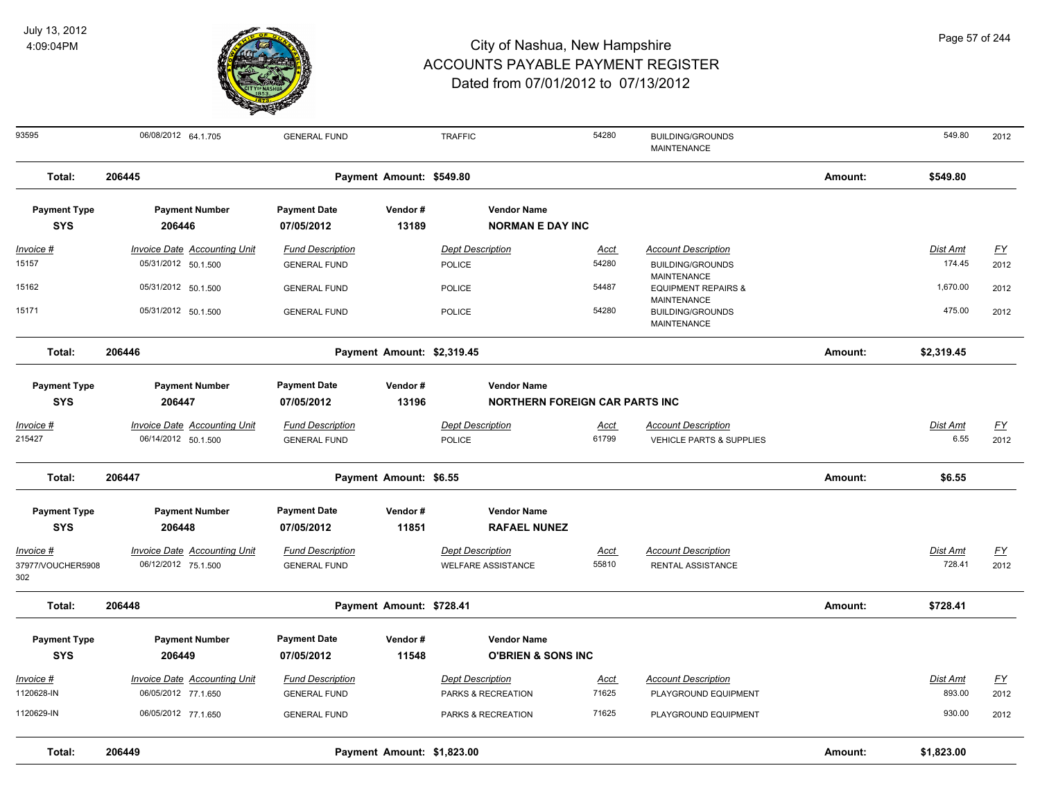

| 93595               | 06/08/2012 64.1.705                 | <b>GENERAL FUND</b>     |                            | <b>TRAFFIC</b>                        | 54280       | <b>BUILDING/GROUNDS</b><br><b>MAINTENANCE</b>        |         | 549.80     | 2012                      |
|---------------------|-------------------------------------|-------------------------|----------------------------|---------------------------------------|-------------|------------------------------------------------------|---------|------------|---------------------------|
| Total:              | 206445                              |                         | Payment Amount: \$549.80   |                                       |             |                                                      | Amount: | \$549.80   |                           |
| <b>Payment Type</b> | <b>Payment Number</b>               | <b>Payment Date</b>     | Vendor#                    | <b>Vendor Name</b>                    |             |                                                      |         |            |                           |
| <b>SYS</b>          | 206446                              | 07/05/2012              | 13189                      | <b>NORMAN E DAY INC</b>               |             |                                                      |         |            |                           |
| Invoice #           | <b>Invoice Date Accounting Unit</b> | <b>Fund Description</b> |                            | <b>Dept Description</b>               | <u>Acct</u> | <b>Account Description</b>                           |         | Dist Amt   | <u>FY</u>                 |
| 15157               | 05/31/2012 50.1.500                 | <b>GENERAL FUND</b>     |                            | <b>POLICE</b>                         | 54280       | <b>BUILDING/GROUNDS</b>                              |         | 174.45     | 2012                      |
| 15162               | 05/31/2012 50.1.500                 | <b>GENERAL FUND</b>     |                            | <b>POLICE</b>                         | 54487       | <b>MAINTENANCE</b><br><b>EQUIPMENT REPAIRS &amp;</b> |         | 1,670.00   | 2012                      |
|                     |                                     |                         |                            |                                       |             | <b>MAINTENANCE</b>                                   |         |            |                           |
| 15171               | 05/31/2012 50.1.500                 | <b>GENERAL FUND</b>     |                            | <b>POLICE</b>                         | 54280       | <b>BUILDING/GROUNDS</b><br>MAINTENANCE               |         | 475.00     | 2012                      |
|                     |                                     |                         |                            |                                       |             |                                                      |         |            |                           |
| Total:              | 206446                              |                         | Payment Amount: \$2,319.45 |                                       |             |                                                      | Amount: | \$2,319.45 |                           |
| <b>Payment Type</b> | <b>Payment Number</b>               | <b>Payment Date</b>     | Vendor#                    | <b>Vendor Name</b>                    |             |                                                      |         |            |                           |
| <b>SYS</b>          | 206447                              | 07/05/2012              | 13196                      | <b>NORTHERN FOREIGN CAR PARTS INC</b> |             |                                                      |         |            |                           |
| Invoice #           | Invoice Date Accounting Unit        | <b>Fund Description</b> |                            | <b>Dept Description</b>               | Acct        | <b>Account Description</b>                           |         | Dist Amt   | <u>FY</u>                 |
| 215427              | 06/14/2012 50.1.500                 | <b>GENERAL FUND</b>     |                            | POLICE                                | 61799       | VEHICLE PARTS & SUPPLIES                             |         | 6.55       | 2012                      |
|                     |                                     |                         |                            |                                       |             |                                                      |         |            |                           |
| Total:              | 206447                              |                         | Payment Amount: \$6.55     |                                       |             |                                                      | Amount: | \$6.55     |                           |
| <b>Payment Type</b> | <b>Payment Number</b>               | <b>Payment Date</b>     | Vendor#                    | <b>Vendor Name</b>                    |             |                                                      |         |            |                           |
| <b>SYS</b>          | 206448                              | 07/05/2012              | 11851                      | <b>RAFAEL NUNEZ</b>                   |             |                                                      |         |            |                           |
| Invoice #           | <b>Invoice Date Accounting Unit</b> | <b>Fund Description</b> |                            | <b>Dept Description</b>               | <b>Acct</b> | <b>Account Description</b>                           |         | Dist Amt   | $\underline{\mathsf{FY}}$ |
| 37977/VOUCHER5908   | 06/12/2012 75.1.500                 | <b>GENERAL FUND</b>     |                            | <b>WELFARE ASSISTANCE</b>             | 55810       | RENTAL ASSISTANCE                                    |         | 728.41     | 2012                      |
| 302                 |                                     |                         |                            |                                       |             |                                                      |         |            |                           |
| Total:              | 206448                              |                         | Payment Amount: \$728.41   |                                       |             |                                                      | Amount: | \$728.41   |                           |
|                     |                                     |                         |                            |                                       |             |                                                      |         |            |                           |
| <b>Payment Type</b> | <b>Payment Number</b>               | <b>Payment Date</b>     | Vendor#                    | <b>Vendor Name</b>                    |             |                                                      |         |            |                           |
| <b>SYS</b>          | 206449                              | 07/05/2012              | 11548                      | <b>O'BRIEN &amp; SONS INC</b>         |             |                                                      |         |            |                           |
| Invoice #           | <b>Invoice Date Accounting Unit</b> | <b>Fund Description</b> |                            | <b>Dept Description</b>               | Acct        | <b>Account Description</b>                           |         | Dist Amt   | EY                        |
| 1120628-IN          | 06/05/2012 77.1.650                 | <b>GENERAL FUND</b>     |                            | PARKS & RECREATION                    | 71625       | PLAYGROUND EQUIPMENT                                 |         | 893.00     | 2012                      |
| 1120629-IN          | 06/05/2012 77.1.650                 | <b>GENERAL FUND</b>     |                            | PARKS & RECREATION                    | 71625       | PLAYGROUND EQUIPMENT                                 |         | 930.00     | 2012                      |
| Total:              | 206449                              |                         | Payment Amount: \$1,823.00 |                                       |             |                                                      | Amount: | \$1,823.00 |                           |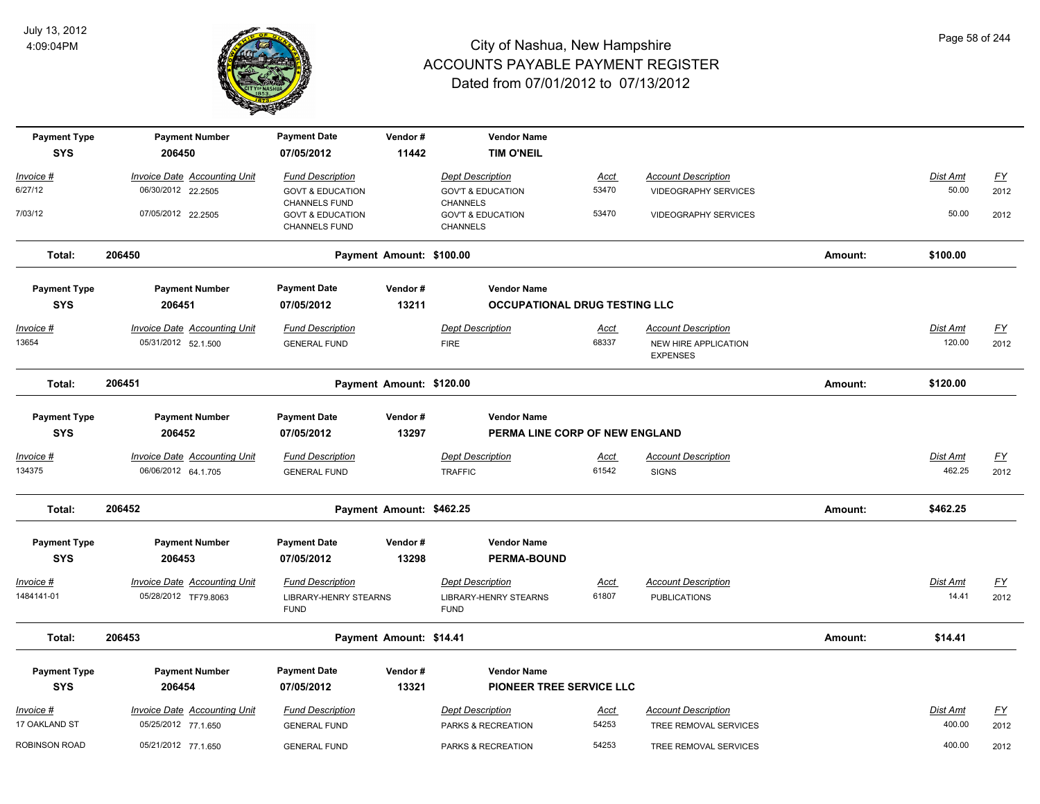

| <b>Payment Type</b>  | <b>Payment Number</b>               | <b>Payment Date</b>                                 | Vendor#                  | <b>Vendor Name</b>                              |             |                                         |         |          |                  |
|----------------------|-------------------------------------|-----------------------------------------------------|--------------------------|-------------------------------------------------|-------------|-----------------------------------------|---------|----------|------------------|
| <b>SYS</b>           | 206450                              | 07/05/2012                                          | 11442                    | <b>TIM O'NEIL</b>                               |             |                                         |         |          |                  |
| Invoice #            | <b>Invoice Date Accounting Unit</b> | <b>Fund Description</b>                             |                          | <b>Dept Description</b>                         | <u>Acct</u> | <b>Account Description</b>              |         | Dist Amt | $\underline{FY}$ |
| 6/27/12              | 06/30/2012 22.2505                  | <b>GOVT &amp; EDUCATION</b><br><b>CHANNELS FUND</b> |                          | <b>GOV'T &amp; EDUCATION</b><br><b>CHANNELS</b> | 53470       | <b>VIDEOGRAPHY SERVICES</b>             |         | 50.00    | 2012             |
| 7/03/12              | 07/05/2012 22.2505                  | <b>GOVT &amp; EDUCATION</b><br>CHANNELS FUND        |                          | <b>GOV'T &amp; EDUCATION</b><br>CHANNELS        | 53470       | VIDEOGRAPHY SERVICES                    |         | 50.00    | 2012             |
| Total:               | 206450                              |                                                     | Payment Amount: \$100.00 |                                                 |             |                                         | Amount: | \$100.00 |                  |
| <b>Payment Type</b>  | <b>Payment Number</b>               | <b>Payment Date</b>                                 | Vendor#                  | <b>Vendor Name</b>                              |             |                                         |         |          |                  |
| <b>SYS</b>           | 206451                              | 07/05/2012                                          | 13211                    | <b>OCCUPATIONAL DRUG TESTING LLC</b>            |             |                                         |         |          |                  |
| Invoice #            | <b>Invoice Date Accounting Unit</b> | <b>Fund Description</b>                             |                          | <b>Dept Description</b>                         | <b>Acct</b> | <b>Account Description</b>              |         | Dist Amt | <u>FY</u>        |
| 13654                | 05/31/2012 52.1.500                 | <b>GENERAL FUND</b>                                 |                          | <b>FIRE</b>                                     | 68337       | NEW HIRE APPLICATION<br><b>EXPENSES</b> |         | 120.00   | 2012             |
| Total:               | 206451                              |                                                     | Payment Amount: \$120.00 |                                                 |             |                                         | Amount: | \$120.00 |                  |
| <b>Payment Type</b>  | <b>Payment Number</b>               | <b>Payment Date</b>                                 | Vendor#                  | <b>Vendor Name</b>                              |             |                                         |         |          |                  |
| <b>SYS</b>           | 206452                              | 07/05/2012                                          | 13297                    | PERMA LINE CORP OF NEW ENGLAND                  |             |                                         |         |          |                  |
| Invoice #            | Invoice Date Accounting Unit        | <b>Fund Description</b>                             |                          | <b>Dept Description</b>                         | Acct        | <b>Account Description</b>              |         | Dist Amt | <u>FY</u>        |
| 134375               | 06/06/2012 64.1.705                 | <b>GENERAL FUND</b>                                 |                          | <b>TRAFFIC</b>                                  | 61542       | <b>SIGNS</b>                            |         | 462.25   | 2012             |
| Total:               | 206452                              |                                                     | Payment Amount: \$462.25 |                                                 |             |                                         | Amount: | \$462.25 |                  |
| <b>Payment Type</b>  | <b>Payment Number</b>               | <b>Payment Date</b>                                 | Vendor#                  | <b>Vendor Name</b>                              |             |                                         |         |          |                  |
| <b>SYS</b>           | 206453                              | 07/05/2012                                          | 13298                    | <b>PERMA-BOUND</b>                              |             |                                         |         |          |                  |
| Invoice #            | Invoice Date Accounting Unit        | <b>Fund Description</b>                             |                          | <b>Dept Description</b>                         | <b>Acct</b> | <b>Account Description</b>              |         | Dist Amt | $\underline{FY}$ |
| 1484141-01           | 05/28/2012 TF79.8063                | <b>LIBRARY-HENRY STEARNS</b><br><b>FUND</b>         |                          | <b>LIBRARY-HENRY STEARNS</b><br><b>FUND</b>     | 61807       | <b>PUBLICATIONS</b>                     |         | 14.41    | 2012             |
| Total:               | 206453                              |                                                     | Payment Amount: \$14.41  |                                                 |             |                                         | Amount: | \$14.41  |                  |
| <b>Payment Type</b>  | <b>Payment Number</b>               | <b>Payment Date</b>                                 | Vendor#                  | <b>Vendor Name</b>                              |             |                                         |         |          |                  |
| <b>SYS</b>           | 206454                              | 07/05/2012                                          | 13321                    | PIONEER TREE SERVICE LLC                        |             |                                         |         |          |                  |
| Invoice #            | <b>Invoice Date Accounting Unit</b> | <b>Fund Description</b>                             |                          | <b>Dept Description</b>                         | <u>Acct</u> | <b>Account Description</b>              |         | Dist Amt | <u>FY</u>        |
| 17 OAKLAND ST        | 05/25/2012 77.1.650                 | <b>GENERAL FUND</b>                                 |                          | PARKS & RECREATION                              | 54253       | TREE REMOVAL SERVICES                   |         | 400.00   | 2012             |
| <b>ROBINSON ROAD</b> | 05/21/2012 77.1.650                 | <b>GENERAL FUND</b>                                 |                          | PARKS & RECREATION                              | 54253       | TREE REMOVAL SERVICES                   |         | 400.00   | 2012             |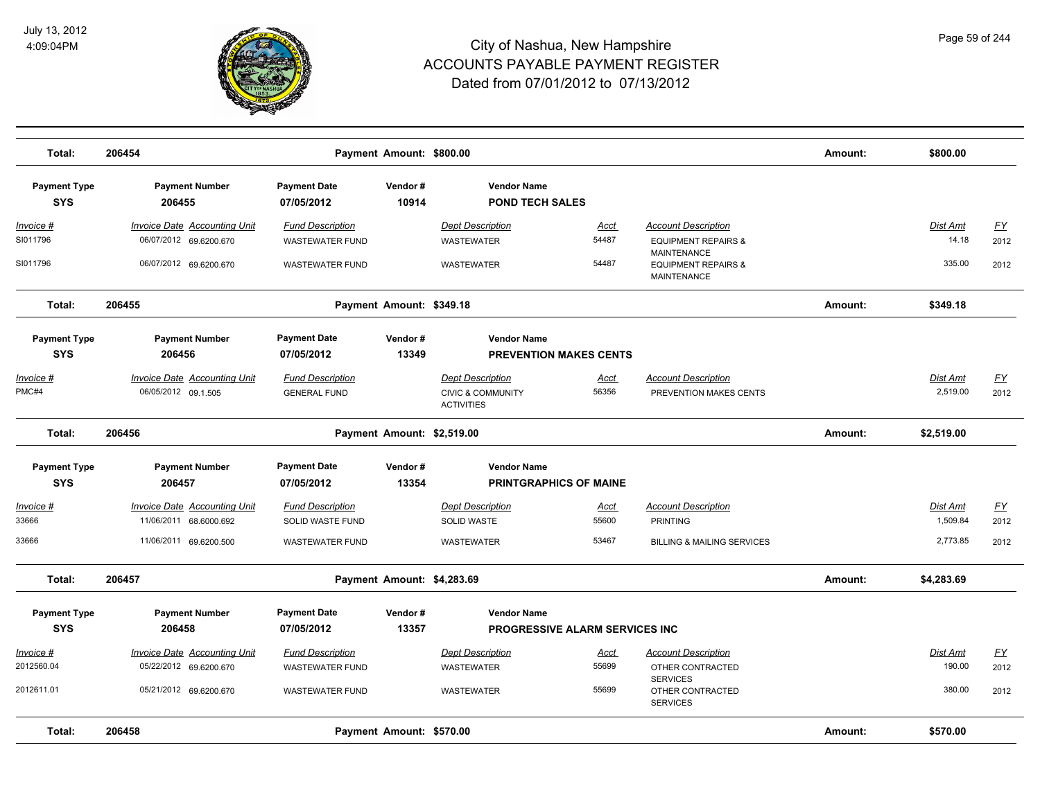

| Total:                            | 206454                              |                                   | Payment Amount: \$800.00   |                                                   |             |                                                        | Amount: | \$800.00   |           |
|-----------------------------------|-------------------------------------|-----------------------------------|----------------------------|---------------------------------------------------|-------------|--------------------------------------------------------|---------|------------|-----------|
| <b>Payment Type</b><br><b>SYS</b> | <b>Payment Number</b><br>206455     | <b>Payment Date</b><br>07/05/2012 | Vendor#<br>10914           | <b>Vendor Name</b><br><b>POND TECH SALES</b>      |             |                                                        |         |            |           |
| <u>Invoice #</u>                  | <b>Invoice Date Accounting Unit</b> | <b>Fund Description</b>           |                            | <b>Dept Description</b>                           | <u>Acct</u> | <b>Account Description</b>                             |         | Dist Amt   | <u>FY</u> |
| SI011796                          | 06/07/2012 69.6200.670              | <b>WASTEWATER FUND</b>            |                            | <b>WASTEWATER</b>                                 | 54487       | <b>EQUIPMENT REPAIRS &amp;</b><br><b>MAINTENANCE</b>   |         | 14.18      | 2012      |
| SI011796                          | 06/07/2012 69.6200.670              | <b>WASTEWATER FUND</b>            |                            | WASTEWATER                                        | 54487       | <b>EQUIPMENT REPAIRS &amp;</b><br>MAINTENANCE          |         | 335.00     | 2012      |
| Total:                            | 206455                              |                                   | Payment Amount: \$349.18   |                                                   |             |                                                        | Amount: | \$349.18   |           |
| <b>Payment Type</b>               | <b>Payment Number</b>               | <b>Payment Date</b>               | Vendor#                    | <b>Vendor Name</b>                                |             |                                                        |         |            |           |
| <b>SYS</b>                        | 206456                              | 07/05/2012                        | 13349                      | <b>PREVENTION MAKES CENTS</b>                     |             |                                                        |         |            |           |
| Invoice #                         | <b>Invoice Date Accounting Unit</b> | <b>Fund Description</b>           |                            | <b>Dept Description</b>                           | Acct        | <b>Account Description</b>                             |         | Dist Amt   | <u>FY</u> |
| PMC#4                             | 06/05/2012 09.1.505                 | <b>GENERAL FUND</b>               |                            | <b>CIVIC &amp; COMMUNITY</b><br><b>ACTIVITIES</b> | 56356       | PREVENTION MAKES CENTS                                 |         | 2,519.00   | 2012      |
| Total:                            | 206456                              |                                   | Payment Amount: \$2,519.00 |                                                   |             |                                                        | Amount: | \$2,519.00 |           |
| <b>Payment Type</b>               | <b>Payment Number</b>               | <b>Payment Date</b>               | Vendor#                    | <b>Vendor Name</b>                                |             |                                                        |         |            |           |
| <b>SYS</b>                        | 206457                              | 07/05/2012                        | 13354                      | <b>PRINTGRAPHICS OF MAINE</b>                     |             |                                                        |         |            |           |
| Invoice #                         | Invoice Date Accounting Unit        | <b>Fund Description</b>           |                            | <b>Dept Description</b>                           | Acct        | <b>Account Description</b>                             |         | Dist Amt   | <u>FY</u> |
| 33666                             | 11/06/2011 68.6000.692              | <b>SOLID WASTE FUND</b>           |                            | <b>SOLID WASTE</b>                                | 55600       | <b>PRINTING</b>                                        |         | 1,509.84   | 2012      |
| 33666                             | 11/06/2011 69.6200.500              | <b>WASTEWATER FUND</b>            |                            | WASTEWATER                                        | 53467       | <b>BILLING &amp; MAILING SERVICES</b>                  |         | 2,773.85   | 2012      |
| Total:                            | 206457                              |                                   | Payment Amount: \$4,283.69 |                                                   |             |                                                        | Amount: | \$4,283.69 |           |
| <b>Payment Type</b>               | <b>Payment Number</b>               | <b>Payment Date</b>               | Vendor#                    | <b>Vendor Name</b>                                |             |                                                        |         |            |           |
| <b>SYS</b>                        | 206458                              | 07/05/2012                        | 13357                      | PROGRESSIVE ALARM SERVICES INC                    |             |                                                        |         |            |           |
| <u>Invoice #</u>                  | <b>Invoice Date Accounting Unit</b> | <b>Fund Description</b>           |                            | <b>Dept Description</b>                           | <u>Acct</u> | <b>Account Description</b>                             |         | Dist Amt   | EY        |
| 2012560.04                        | 05/22/2012 69.6200.670              | <b>WASTEWATER FUND</b>            |                            | WASTEWATER                                        | 55699       | OTHER CONTRACTED                                       |         | 190.00     | 2012      |
| 2012611.01                        | 05/21/2012 69.6200.670              | <b>WASTEWATER FUND</b>            |                            | <b>WASTEWATER</b>                                 | 55699       | <b>SERVICES</b><br>OTHER CONTRACTED<br><b>SERVICES</b> |         | 380.00     | 2012      |
| Total:                            | 206458                              |                                   | Payment Amount: \$570.00   |                                                   |             |                                                        | Amount: | \$570.00   |           |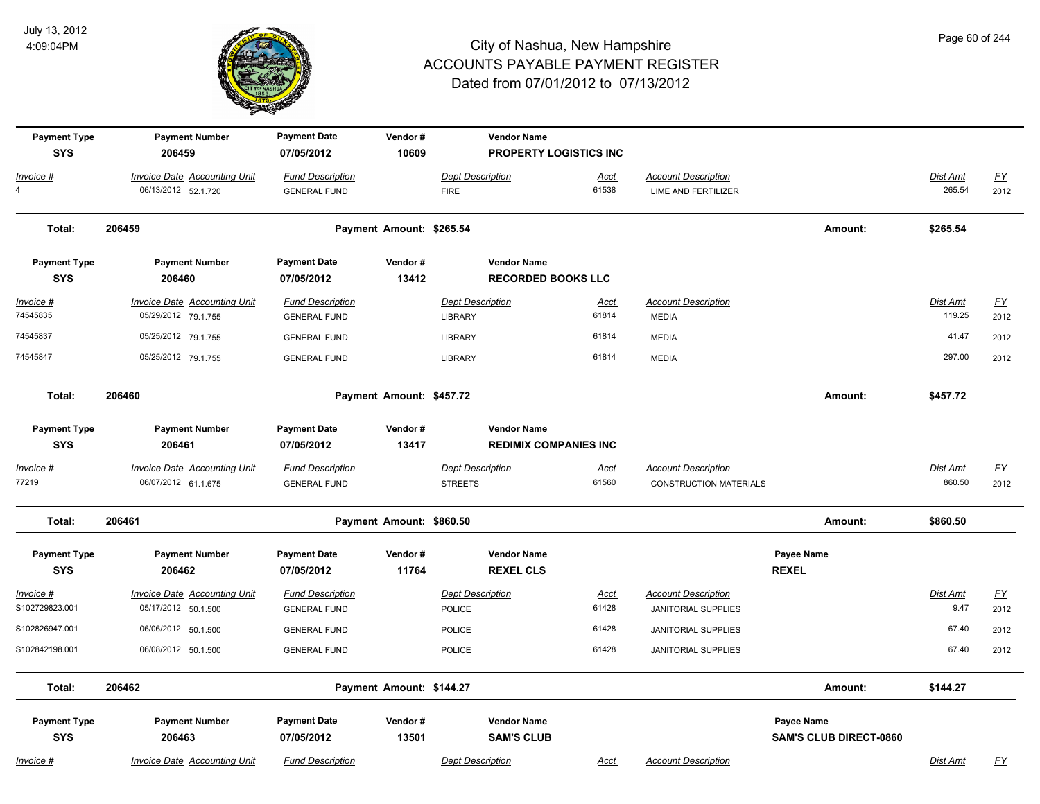

| <b>Payment Type</b><br><b>SYS</b>  | <b>Payment Number</b><br>206459                            | <b>Payment Date</b><br>07/05/2012              | Vendor#<br>10609         |                                           | <b>Vendor Name</b><br><b>PROPERTY LOGISTICS INC.</b> |             |                                                          |                                                    |                           |                          |
|------------------------------------|------------------------------------------------------------|------------------------------------------------|--------------------------|-------------------------------------------|------------------------------------------------------|-------------|----------------------------------------------------------|----------------------------------------------------|---------------------------|--------------------------|
| Invoice #                          | <b>Invoice Date Accounting Unit</b>                        | <b>Fund Description</b>                        |                          | <b>Dept Description</b>                   |                                                      | Acct        | <b>Account Description</b>                               |                                                    | Dist Amt                  | $\underline{FY}$         |
| $\overline{4}$                     | 06/13/2012 52.1.720                                        | <b>GENERAL FUND</b>                            |                          | <b>FIRE</b>                               | 61538                                                |             | <b>LIME AND FERTILIZER</b>                               |                                                    | 265.54                    | 2012                     |
| Total:                             | 206459                                                     |                                                | Payment Amount: \$265.54 |                                           |                                                      |             |                                                          | Amount:                                            | \$265.54                  |                          |
| <b>Payment Type</b><br><b>SYS</b>  | <b>Payment Number</b><br>206460                            | <b>Payment Date</b><br>07/05/2012              | Vendor#<br>13412         |                                           | <b>Vendor Name</b><br><b>RECORDED BOOKS LLC</b>      |             |                                                          |                                                    |                           |                          |
| <u>Invoice #</u><br>74545835       | <b>Invoice Date Accounting Unit</b><br>05/29/2012 79.1.755 | <b>Fund Description</b><br><b>GENERAL FUND</b> |                          | <b>Dept Description</b><br><b>LIBRARY</b> | 61814                                                | <u>Acct</u> | <b>Account Description</b><br><b>MEDIA</b>               |                                                    | <b>Dist Amt</b><br>119.25 | EY<br>2012               |
| 74545837                           | 05/25/2012 79.1.755                                        | <b>GENERAL FUND</b>                            |                          | LIBRARY                                   | 61814                                                |             | <b>MEDIA</b>                                             |                                                    | 41.47                     | 2012                     |
| 74545847                           | 05/25/2012 79.1.755                                        | <b>GENERAL FUND</b>                            |                          | LIBRARY                                   | 61814                                                |             | <b>MEDIA</b>                                             |                                                    | 297.00                    | 2012                     |
| Total:                             | 206460                                                     |                                                | Payment Amount: \$457.72 |                                           |                                                      |             |                                                          | Amount:                                            | \$457.72                  |                          |
| <b>Payment Type</b><br><b>SYS</b>  | <b>Payment Number</b><br>206461                            | <b>Payment Date</b><br>07/05/2012              | Vendor#<br>13417         |                                           | <b>Vendor Name</b><br><b>REDIMIX COMPANIES INC</b>   |             |                                                          |                                                    |                           |                          |
| Invoice #                          | <b>Invoice Date Accounting Unit</b>                        | <b>Fund Description</b>                        |                          | <b>Dept Description</b>                   |                                                      | <u>Acct</u> | <b>Account Description</b>                               |                                                    | Dist Amt                  | $\underline{FY}$         |
| 77219                              | 06/07/2012 61.1.675                                        | <b>GENERAL FUND</b>                            |                          | <b>STREETS</b>                            | 61560                                                |             | <b>CONSTRUCTION MATERIALS</b>                            |                                                    | 860.50                    | 2012                     |
| Total:                             | 206461                                                     |                                                | Payment Amount: \$860.50 |                                           |                                                      |             |                                                          | Amount:                                            | \$860.50                  |                          |
| <b>Payment Type</b><br><b>SYS</b>  | <b>Payment Number</b><br>206462                            | <b>Payment Date</b><br>07/05/2012              | Vendor#<br>11764         |                                           | <b>Vendor Name</b><br><b>REXEL CLS</b>               |             |                                                          | Payee Name<br><b>REXEL</b>                         |                           |                          |
| <u>Invoice #</u><br>S102729823.001 | <b>Invoice Date Accounting Unit</b><br>05/17/2012 50.1.500 | <b>Fund Description</b><br><b>GENERAL FUND</b> |                          | <b>Dept Description</b><br><b>POLICE</b>  | 61428                                                | <u>Acct</u> | <b>Account Description</b><br><b>JANITORIAL SUPPLIES</b> |                                                    | Dist Amt<br>9.47          | $\underline{FY}$<br>2012 |
| S102826947.001                     | 06/06/2012 50.1.500                                        | <b>GENERAL FUND</b>                            |                          | POLICE                                    | 61428                                                |             | <b>JANITORIAL SUPPLIES</b>                               |                                                    | 67.40                     | 2012                     |
| S102842198.001                     | 06/08/2012 50.1.500                                        | <b>GENERAL FUND</b>                            |                          | POLICE                                    | 61428                                                |             | JANITORIAL SUPPLIES                                      |                                                    | 67.40                     | 2012                     |
| Total:                             | 206462                                                     |                                                | Payment Amount: \$144.27 |                                           |                                                      |             |                                                          | Amount:                                            | \$144.27                  |                          |
| <b>Payment Type</b><br><b>SYS</b>  | <b>Payment Number</b><br>206463                            | <b>Payment Date</b><br>07/05/2012              | Vendor#<br>13501         |                                           | <b>Vendor Name</b><br><b>SAM'S CLUB</b>              |             |                                                          | <b>Payee Name</b><br><b>SAM'S CLUB DIRECT-0860</b> |                           |                          |
| Invoice #                          | <b>Invoice Date Accounting Unit</b>                        | <b>Fund Description</b>                        |                          | <b>Dept Description</b>                   |                                                      | Acct        | <b>Account Description</b>                               |                                                    | Dist Amt                  | <u>FY</u>                |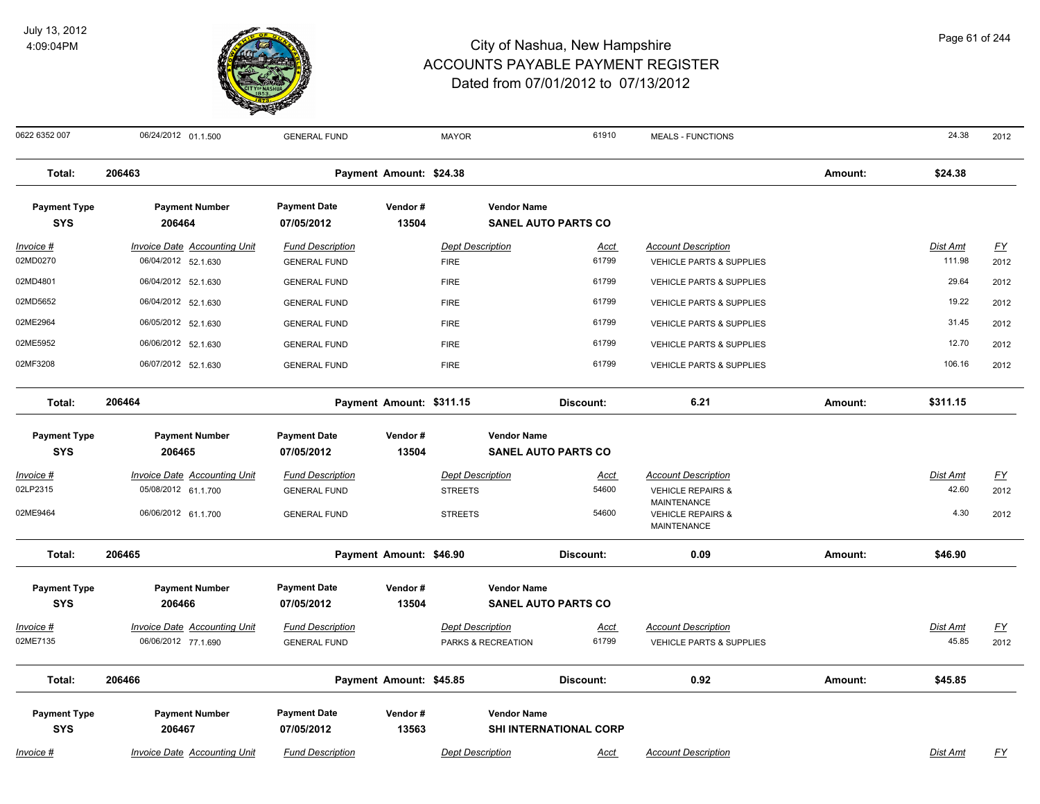

| Page 61 of 244 |  |  |
|----------------|--|--|
|----------------|--|--|

| 0622 6352 007                     | 06/24/2012 01.1.500                                        | <b>GENERAL FUND</b>                            |                          | <b>MAYOR</b>                           | 61910                         | <b>MEALS - FUNCTIONS</b>                                                 |         | 24.38                     | 2012              |
|-----------------------------------|------------------------------------------------------------|------------------------------------------------|--------------------------|----------------------------------------|-------------------------------|--------------------------------------------------------------------------|---------|---------------------------|-------------------|
| Total:                            | 206463                                                     |                                                | Payment Amount: \$24.38  |                                        |                               |                                                                          | Amount: | \$24.38                   |                   |
| <b>Payment Type</b><br><b>SYS</b> | <b>Payment Number</b><br>206464                            | <b>Payment Date</b><br>07/05/2012              | Vendor#<br>13504         | <b>Vendor Name</b>                     | <b>SANEL AUTO PARTS CO</b>    |                                                                          |         |                           |                   |
| <b>Invoice #</b><br>02MD0270      | <b>Invoice Date Accounting Unit</b><br>06/04/2012 52.1.630 | <b>Fund Description</b><br><b>GENERAL FUND</b> |                          | <b>Dept Description</b><br><b>FIRE</b> | <u>Acct</u><br>61799          | <b>Account Description</b><br><b>VEHICLE PARTS &amp; SUPPLIES</b>        |         | <b>Dist Amt</b><br>111.98 | <u>FY</u><br>2012 |
| 02MD4801                          | 06/04/2012 52.1.630                                        | <b>GENERAL FUND</b>                            |                          | <b>FIRE</b>                            | 61799                         | <b>VEHICLE PARTS &amp; SUPPLIES</b>                                      |         | 29.64                     | 2012              |
| 02MD5652                          | 06/04/2012 52.1.630                                        | <b>GENERAL FUND</b>                            |                          | <b>FIRE</b>                            | 61799                         | <b>VEHICLE PARTS &amp; SUPPLIES</b>                                      |         | 19.22                     | 2012              |
| 02ME2964                          | 06/05/2012 52.1.630                                        | <b>GENERAL FUND</b>                            |                          | <b>FIRE</b>                            | 61799                         | <b>VEHICLE PARTS &amp; SUPPLIES</b>                                      |         | 31.45                     | 2012              |
| 02ME5952                          | 06/06/2012 52.1.630                                        | <b>GENERAL FUND</b>                            |                          | <b>FIRE</b>                            | 61799                         | <b>VEHICLE PARTS &amp; SUPPLIES</b>                                      |         | 12.70                     | 2012              |
| 02MF3208                          | 06/07/2012 52.1.630                                        | <b>GENERAL FUND</b>                            |                          | <b>FIRE</b>                            | 61799                         | VEHICLE PARTS & SUPPLIES                                                 |         | 106.16                    | 2012              |
| Total:                            | 206464                                                     |                                                | Payment Amount: \$311.15 |                                        | Discount:                     | 6.21                                                                     | Amount: | \$311.15                  |                   |
| <b>Payment Type</b>               | <b>Payment Number</b>                                      | <b>Payment Date</b>                            | Vendor#                  | <b>Vendor Name</b>                     |                               |                                                                          |         |                           |                   |
| <b>SYS</b>                        | 206465                                                     | 07/05/2012                                     | 13504                    |                                        | <b>SANEL AUTO PARTS CO</b>    |                                                                          |         |                           |                   |
| <i>Invoice</i> #                  | <b>Invoice Date Accounting Unit</b>                        | <b>Fund Description</b>                        |                          | <b>Dept Description</b>                | <u>Acct</u>                   | <b>Account Description</b>                                               |         | Dist Amt                  | <u>FY</u>         |
| 02LP2315                          | 05/08/2012 61.1.700                                        | <b>GENERAL FUND</b>                            |                          | <b>STREETS</b>                         | 54600                         | <b>VEHICLE REPAIRS &amp;</b>                                             |         | 42.60                     | 2012              |
| 02ME9464                          | 06/06/2012 61.1.700                                        | <b>GENERAL FUND</b>                            |                          | <b>STREETS</b>                         | 54600                         | <b>MAINTENANCE</b><br><b>VEHICLE REPAIRS &amp;</b><br><b>MAINTENANCE</b> |         | 4.30                      | 2012              |
| Total:                            | 206465                                                     |                                                | Payment Amount: \$46.90  |                                        | Discount:                     | 0.09                                                                     | Amount: | \$46.90                   |                   |
| <b>Payment Type</b><br><b>SYS</b> | <b>Payment Number</b><br>206466                            | <b>Payment Date</b><br>07/05/2012              | Vendor#<br>13504         | <b>Vendor Name</b>                     | <b>SANEL AUTO PARTS CO</b>    |                                                                          |         |                           |                   |
| Invoice #                         | <b>Invoice Date Accounting Unit</b>                        | <b>Fund Description</b>                        |                          | <b>Dept Description</b>                | <u>Acct</u>                   | <b>Account Description</b>                                               |         | Dist Amt                  | EY                |
| 02ME7135                          | 06/06/2012 77.1.690                                        | <b>GENERAL FUND</b>                            |                          | PARKS & RECREATION                     | 61799                         | <b>VEHICLE PARTS &amp; SUPPLIES</b>                                      |         | 45.85                     | 2012              |
| Total:                            | 206466                                                     |                                                | Payment Amount: \$45.85  |                                        | Discount:                     | 0.92                                                                     | Amount: | \$45.85                   |                   |
| <b>Payment Type</b><br><b>SYS</b> | <b>Payment Number</b><br>206467                            | <b>Payment Date</b><br>07/05/2012              | Vendor#<br>13563         | <b>Vendor Name</b>                     | <b>SHI INTERNATIONAL CORP</b> |                                                                          |         |                           |                   |
| Invoice #                         | <b>Invoice Date Accounting Unit</b>                        | <b>Fund Description</b>                        |                          | <b>Dept Description</b>                | Acct                          | <b>Account Description</b>                                               |         | <b>Dist Amt</b>           | <u>FY</u>         |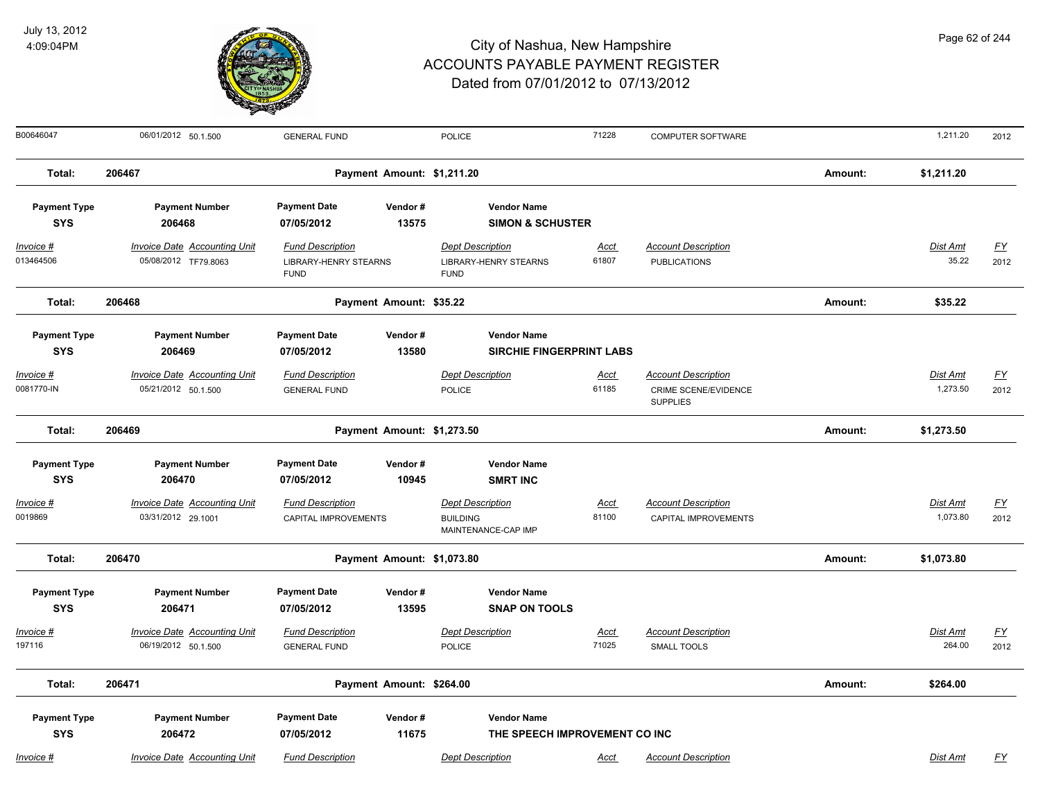

| Page 62 of 244 |  |  |
|----------------|--|--|
|                |  |  |

| B00646047           | 06/01/2012 50.1.500                 | <b>GENERAL FUND</b>                         |                            | POLICE                                      | 71228       | <b>COMPUTER SOFTWARE</b>                       |         | 1,211.20        | 2012      |
|---------------------|-------------------------------------|---------------------------------------------|----------------------------|---------------------------------------------|-------------|------------------------------------------------|---------|-----------------|-----------|
| Total:              | 206467                              |                                             | Payment Amount: \$1,211.20 |                                             |             |                                                | Amount: | \$1,211.20      |           |
| <b>Payment Type</b> | <b>Payment Number</b>               | <b>Payment Date</b>                         | Vendor#                    | <b>Vendor Name</b>                          |             |                                                |         |                 |           |
| <b>SYS</b>          | 206468                              | 07/05/2012                                  | 13575                      | <b>SIMON &amp; SCHUSTER</b>                 |             |                                                |         |                 |           |
| Invoice #           | <b>Invoice Date Accounting Unit</b> | <b>Fund Description</b>                     |                            | <b>Dept Description</b>                     | Acct        | <b>Account Description</b>                     |         | <b>Dist Amt</b> | FY        |
| 013464506           | 05/08/2012 TF79.8063                | <b>LIBRARY-HENRY STEARNS</b><br><b>FUND</b> |                            | <b>LIBRARY-HENRY STEARNS</b><br><b>FUND</b> | 61807       | <b>PUBLICATIONS</b>                            |         | 35.22           | 2012      |
| Total:              | 206468                              |                                             | Payment Amount: \$35.22    |                                             |             |                                                | Amount: | \$35.22         |           |
| <b>Payment Type</b> | <b>Payment Number</b>               | <b>Payment Date</b>                         | Vendor#                    | <b>Vendor Name</b>                          |             |                                                |         |                 |           |
| <b>SYS</b>          | 206469                              | 07/05/2012                                  | 13580                      | <b>SIRCHIE FINGERPRINT LABS</b>             |             |                                                |         |                 |           |
| Invoice #           | <b>Invoice Date Accounting Unit</b> | <b>Fund Description</b>                     |                            | <b>Dept Description</b>                     | <u>Acct</u> | <b>Account Description</b>                     |         | Dist Amt        | <u>FY</u> |
| 0081770-IN          | 05/21/2012 50.1.500                 | <b>GENERAL FUND</b>                         |                            | POLICE                                      | 61185       | <b>CRIME SCENE/EVIDENCE</b><br><b>SUPPLIES</b> |         | 1,273.50        | 2012      |
| Total:              | 206469                              |                                             | Payment Amount: \$1,273.50 |                                             |             |                                                | Amount: | \$1,273.50      |           |
| <b>Payment Type</b> | <b>Payment Number</b>               | <b>Payment Date</b>                         | Vendor#                    | <b>Vendor Name</b>                          |             |                                                |         |                 |           |
| <b>SYS</b>          | 206470                              | 07/05/2012                                  | 10945                      | <b>SMRT INC</b>                             |             |                                                |         |                 |           |
| Invoice #           | <b>Invoice Date Accounting Unit</b> | <b>Fund Description</b>                     |                            | <b>Dept Description</b>                     | Acct        | <b>Account Description</b>                     |         | Dist Amt        | <u>FY</u> |
| 0019869             | 03/31/2012 29.1001                  | CAPITAL IMPROVEMENTS                        |                            | <b>BUILDING</b><br>MAINTENANCE-CAP IMP      | 81100       | CAPITAL IMPROVEMENTS                           |         | 1,073.80        | 2012      |
| Total:              | 206470                              |                                             | Payment Amount: \$1,073.80 |                                             |             |                                                | Amount: | \$1,073.80      |           |
| <b>Payment Type</b> | <b>Payment Number</b>               | <b>Payment Date</b>                         | Vendor#                    | <b>Vendor Name</b>                          |             |                                                |         |                 |           |
| <b>SYS</b>          | 206471                              | 07/05/2012                                  | 13595                      | <b>SNAP ON TOOLS</b>                        |             |                                                |         |                 |           |
| Invoice #           | Invoice Date Accounting Unit        | <b>Fund Description</b>                     |                            | <b>Dept Description</b>                     | Acct        | <b>Account Description</b>                     |         | <b>Dist Amt</b> | <u>FY</u> |
| 197116              | 06/19/2012 50.1.500                 | <b>GENERAL FUND</b>                         |                            | <b>POLICE</b>                               | 71025       | <b>SMALL TOOLS</b>                             |         | 264.00          | 2012      |
| Total:              | 206471                              |                                             | Payment Amount: \$264.00   |                                             |             |                                                | Amount: | \$264.00        |           |
| <b>Payment Type</b> | <b>Payment Number</b>               | <b>Payment Date</b>                         | Vendor#                    | <b>Vendor Name</b>                          |             |                                                |         |                 |           |
| <b>SYS</b>          | 206472                              | 07/05/2012                                  | 11675                      | THE SPEECH IMPROVEMENT CO INC               |             |                                                |         |                 |           |
| Invoice #           | Invoice Date Accounting Unit        | <b>Fund Description</b>                     |                            | <b>Dept Description</b>                     | Acct        | <b>Account Description</b>                     |         | <b>Dist Amt</b> | <u>FY</u> |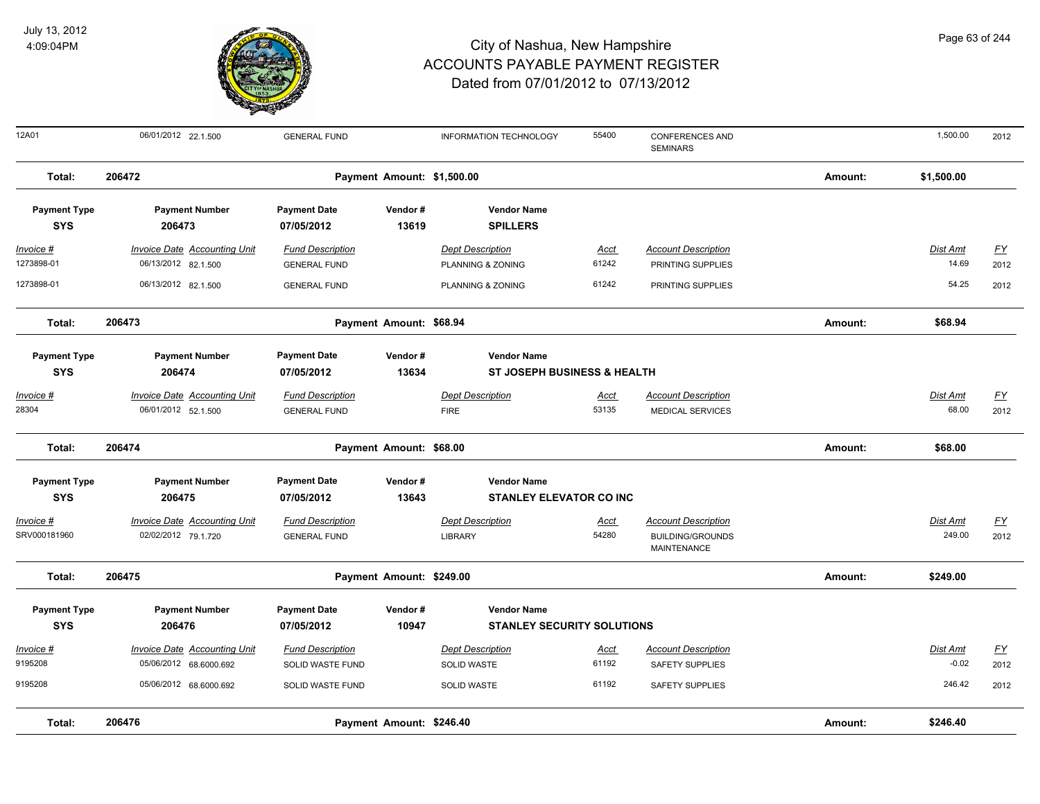

| 12A01               | 06/01/2012 22.1.500                 | <b>GENERAL FUND</b>     |                            | <b>INFORMATION TECHNOLOGY</b>          | 55400       | <b>CONFERENCES AND</b><br><b>SEMINARS</b>     |         | 1,500.00        | 2012             |
|---------------------|-------------------------------------|-------------------------|----------------------------|----------------------------------------|-------------|-----------------------------------------------|---------|-----------------|------------------|
| Total:              | 206472                              |                         | Payment Amount: \$1,500.00 |                                        |             |                                               | Amount: | \$1,500.00      |                  |
| <b>Payment Type</b> | <b>Payment Number</b>               | <b>Payment Date</b>     | Vendor#                    | <b>Vendor Name</b>                     |             |                                               |         |                 |                  |
| <b>SYS</b>          | 206473                              | 07/05/2012              | 13619                      | <b>SPILLERS</b>                        |             |                                               |         |                 |                  |
| Invoice #           | <b>Invoice Date Accounting Unit</b> | <b>Fund Description</b> |                            | <b>Dept Description</b>                | Acct        | <b>Account Description</b>                    |         | <b>Dist Amt</b> | <u>FY</u>        |
| 1273898-01          | 06/13/2012 82.1.500                 | <b>GENERAL FUND</b>     |                            | PLANNING & ZONING                      | 61242       | PRINTING SUPPLIES                             |         | 14.69           | 2012             |
| 1273898-01          | 06/13/2012 82.1.500                 | <b>GENERAL FUND</b>     |                            | PLANNING & ZONING                      | 61242       | PRINTING SUPPLIES                             |         | 54.25           | 2012             |
| Total:              | 206473                              |                         | Payment Amount: \$68.94    |                                        |             |                                               | Amount: | \$68.94         |                  |
| <b>Payment Type</b> | <b>Payment Number</b>               | <b>Payment Date</b>     | Vendor#                    | <b>Vendor Name</b>                     |             |                                               |         |                 |                  |
| <b>SYS</b>          | 206474                              | 07/05/2012              | 13634                      | <b>ST JOSEPH BUSINESS &amp; HEALTH</b> |             |                                               |         |                 |                  |
| Invoice #           | Invoice Date Accounting Unit        | <b>Fund Description</b> |                            | <b>Dept Description</b>                | Acct        | <b>Account Description</b>                    |         | <b>Dist Amt</b> | $\underline{FY}$ |
| 28304               | 06/01/2012 52.1.500                 | <b>GENERAL FUND</b>     |                            | <b>FIRE</b>                            | 53135       | <b>MEDICAL SERVICES</b>                       |         | 68.00           | 2012             |
| Total:              | 206474                              |                         | Payment Amount: \$68.00    |                                        |             |                                               | Amount: | \$68.00         |                  |
| <b>Payment Type</b> | <b>Payment Number</b>               | <b>Payment Date</b>     | Vendor#                    | <b>Vendor Name</b>                     |             |                                               |         |                 |                  |
| <b>SYS</b>          | 206475                              | 07/05/2012              | 13643                      | <b>STANLEY ELEVATOR CO INC</b>         |             |                                               |         |                 |                  |
| Invoice #           | <b>Invoice Date Accounting Unit</b> | <b>Fund Description</b> |                            | <b>Dept Description</b>                | <u>Acct</u> | <b>Account Description</b>                    |         | Dist Amt        | <u>FY</u>        |
| SRV000181960        | 02/02/2012 79.1.720                 | <b>GENERAL FUND</b>     |                            | <b>LIBRARY</b>                         | 54280       | <b>BUILDING/GROUNDS</b><br><b>MAINTENANCE</b> |         | 249.00          | 2012             |
| Total:              | 206475                              |                         | Payment Amount: \$249.00   |                                        |             |                                               | Amount: | \$249.00        |                  |
| <b>Payment Type</b> | <b>Payment Number</b>               | <b>Payment Date</b>     | Vendor#                    | <b>Vendor Name</b>                     |             |                                               |         |                 |                  |
| <b>SYS</b>          | 206476                              | 07/05/2012              | 10947                      | <b>STANLEY SECURITY SOLUTIONS</b>      |             |                                               |         |                 |                  |
| Invoice #           | <b>Invoice Date Accounting Unit</b> | <b>Fund Description</b> |                            | <b>Dept Description</b>                | <u>Acct</u> | <b>Account Description</b>                    |         | Dist Amt        | EY               |
| 9195208             | 05/06/2012 68.6000.692              | SOLID WASTE FUND        |                            | <b>SOLID WASTE</b>                     | 61192       | <b>SAFETY SUPPLIES</b>                        |         | $-0.02$         | 2012             |
| 9195208             | 05/06/2012 68.6000.692              | SOLID WASTE FUND        |                            | <b>SOLID WASTE</b>                     | 61192       | <b>SAFETY SUPPLIES</b>                        |         | 246.42          | 2012             |
| Total:              | 206476                              |                         | Payment Amount: \$246.40   |                                        |             |                                               | Amount: | \$246.40        |                  |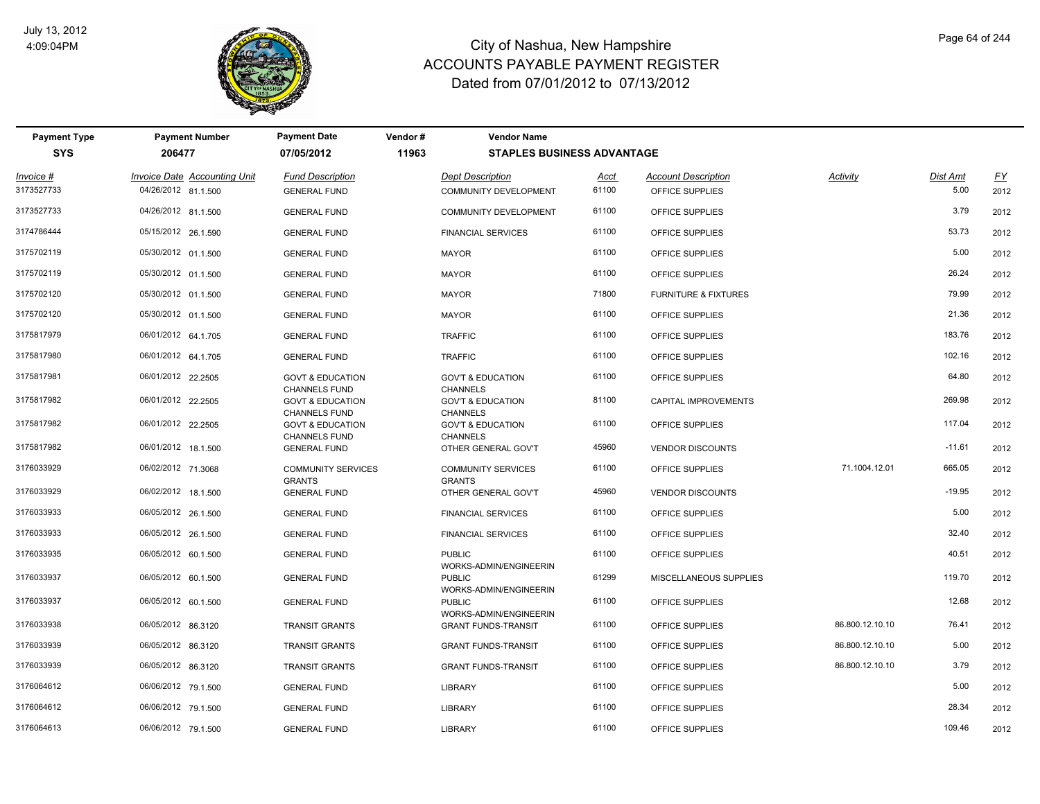

| <b>Payment Type</b><br><b>SYS</b> | <b>Payment Number</b><br>206477                            | <b>Payment Date</b><br>07/05/2012                   | Vendor#<br>11963 | <b>Vendor Name</b><br><b>STAPLES BUSINESS ADVANTAGE</b> |               |                                               |                 |                  |                   |
|-----------------------------------|------------------------------------------------------------|-----------------------------------------------------|------------------|---------------------------------------------------------|---------------|-----------------------------------------------|-----------------|------------------|-------------------|
| Invoice #<br>3173527733           | <b>Invoice Date Accounting Unit</b><br>04/26/2012 81.1.500 | <b>Fund Description</b><br><b>GENERAL FUND</b>      |                  | <b>Dept Description</b><br><b>COMMUNITY DEVELOPMENT</b> | Acct<br>61100 | <b>Account Description</b><br>OFFICE SUPPLIES | Activity        | Dist Amt<br>5.00 | <u>FY</u><br>2012 |
| 3173527733                        | 04/26/2012 81.1.500                                        | <b>GENERAL FUND</b>                                 |                  | <b>COMMUNITY DEVELOPMENT</b>                            | 61100         | OFFICE SUPPLIES                               |                 | 3.79             | 2012              |
| 3174786444                        | 05/15/2012 26.1.590                                        | <b>GENERAL FUND</b>                                 |                  | <b>FINANCIAL SERVICES</b>                               | 61100         | OFFICE SUPPLIES                               |                 | 53.73            | 2012              |
| 3175702119                        | 05/30/2012 01.1.500                                        | <b>GENERAL FUND</b>                                 |                  | <b>MAYOR</b>                                            | 61100         | OFFICE SUPPLIES                               |                 | 5.00             | 2012              |
| 3175702119                        | 05/30/2012 01.1.500                                        | <b>GENERAL FUND</b>                                 |                  | <b>MAYOR</b>                                            | 61100         | OFFICE SUPPLIES                               |                 | 26.24            | 2012              |
| 3175702120                        | 05/30/2012 01.1.500                                        | <b>GENERAL FUND</b>                                 |                  | <b>MAYOR</b>                                            | 71800         | <b>FURNITURE &amp; FIXTURES</b>               |                 | 79.99            | 2012              |
| 3175702120                        | 05/30/2012 01.1.500                                        | <b>GENERAL FUND</b>                                 |                  | <b>MAYOR</b>                                            | 61100         | OFFICE SUPPLIES                               |                 | 21.36            | 2012              |
| 3175817979                        | 06/01/2012 64.1.705                                        | <b>GENERAL FUND</b>                                 |                  | <b>TRAFFIC</b>                                          | 61100         | OFFICE SUPPLIES                               |                 | 183.76           | 2012              |
| 3175817980                        | 06/01/2012 64.1.705                                        | <b>GENERAL FUND</b>                                 |                  | <b>TRAFFIC</b>                                          | 61100         | OFFICE SUPPLIES                               |                 | 102.16           | 2012              |
| 3175817981                        | 06/01/2012 22.2505                                         | <b>GOVT &amp; EDUCATION</b>                         |                  | <b>GOV'T &amp; EDUCATION</b>                            | 61100         | OFFICE SUPPLIES                               |                 | 64.80            | 2012              |
| 3175817982                        | 06/01/2012 22.2505                                         | <b>CHANNELS FUND</b><br><b>GOVT &amp; EDUCATION</b> |                  | <b>CHANNELS</b><br><b>GOV'T &amp; EDUCATION</b>         | 81100         | CAPITAL IMPROVEMENTS                          |                 | 269.98           | 2012              |
| 3175817982                        | 06/01/2012 22.2505                                         | <b>CHANNELS FUND</b><br><b>GOVT &amp; EDUCATION</b> |                  | <b>CHANNELS</b><br><b>GOV'T &amp; EDUCATION</b>         | 61100         | OFFICE SUPPLIES                               |                 | 117.04           | 2012              |
| 3175817982                        | 06/01/2012 18.1.500                                        | <b>CHANNELS FUND</b><br><b>GENERAL FUND</b>         |                  | <b>CHANNELS</b><br>OTHER GENERAL GOV'T                  | 45960         | <b>VENDOR DISCOUNTS</b>                       |                 | $-11.61$         | 2012              |
| 3176033929                        | 06/02/2012 71.3068                                         | <b>COMMUNITY SERVICES</b>                           |                  | <b>COMMUNITY SERVICES</b>                               | 61100         | OFFICE SUPPLIES                               | 71.1004.12.01   | 665.05           | 2012              |
|                                   |                                                            | <b>GRANTS</b>                                       |                  | <b>GRANTS</b>                                           | 45960         |                                               |                 | $-19.95$         |                   |
| 3176033929                        | 06/02/2012 18.1.500                                        | <b>GENERAL FUND</b>                                 |                  | OTHER GENERAL GOV'T                                     |               | <b>VENDOR DISCOUNTS</b>                       |                 |                  | 2012              |
| 3176033933                        | 06/05/2012 26.1.500                                        | <b>GENERAL FUND</b>                                 |                  | <b>FINANCIAL SERVICES</b>                               | 61100         | OFFICE SUPPLIES                               |                 | 5.00             | 2012              |
| 3176033933                        | 06/05/2012 26.1.500                                        | <b>GENERAL FUND</b>                                 |                  | <b>FINANCIAL SERVICES</b>                               | 61100         | OFFICE SUPPLIES                               |                 | 32.40            | 2012              |
| 3176033935                        | 06/05/2012 60.1.500                                        | <b>GENERAL FUND</b>                                 |                  | <b>PUBLIC</b><br>WORKS-ADMIN/ENGINEERIN                 | 61100         | OFFICE SUPPLIES                               |                 | 40.51            | 2012              |
| 3176033937                        | 06/05/2012 60.1.500                                        | <b>GENERAL FUND</b>                                 |                  | <b>PUBLIC</b><br>WORKS-ADMIN/ENGINEERIN                 | 61299         | MISCELLANEOUS SUPPLIES                        |                 | 119.70           | 2012              |
| 3176033937                        | 06/05/2012 60.1.500                                        | <b>GENERAL FUND</b>                                 |                  | <b>PUBLIC</b>                                           | 61100         | OFFICE SUPPLIES                               |                 | 12.68            | 2012              |
| 3176033938                        | 06/05/2012 86.3120                                         | <b>TRANSIT GRANTS</b>                               |                  | WORKS-ADMIN/ENGINEERIN<br><b>GRANT FUNDS-TRANSIT</b>    | 61100         | OFFICE SUPPLIES                               | 86.800.12.10.10 | 76.41            | 2012              |
| 3176033939                        | 06/05/2012 86.3120                                         | <b>TRANSIT GRANTS</b>                               |                  | <b>GRANT FUNDS-TRANSIT</b>                              | 61100         | OFFICE SUPPLIES                               | 86.800.12.10.10 | 5.00             | 2012              |
| 3176033939                        | 06/05/2012 86.3120                                         | <b>TRANSIT GRANTS</b>                               |                  | <b>GRANT FUNDS-TRANSIT</b>                              | 61100         | OFFICE SUPPLIES                               | 86.800.12.10.10 | 3.79             | 2012              |
| 3176064612                        | 06/06/2012 79.1.500                                        | <b>GENERAL FUND</b>                                 |                  | <b>LIBRARY</b>                                          | 61100         | OFFICE SUPPLIES                               |                 | 5.00             | 2012              |
| 3176064612                        | 06/06/2012 79.1.500                                        | <b>GENERAL FUND</b>                                 |                  | <b>LIBRARY</b>                                          | 61100         | OFFICE SUPPLIES                               |                 | 28.34            | 2012              |
| 3176064613                        | 06/06/2012 79.1.500                                        | <b>GENERAL FUND</b>                                 |                  | LIBRARY                                                 | 61100         | OFFICE SUPPLIES                               |                 | 109.46           | 2012              |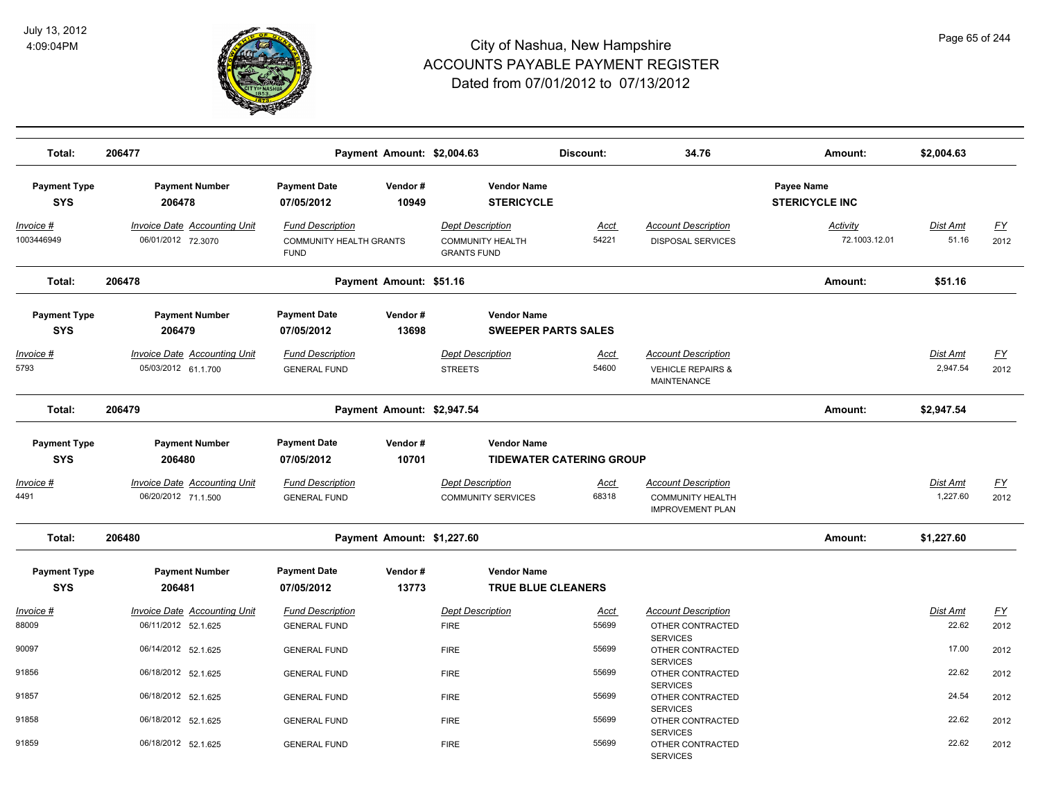

| Total:                            | 206477                                                     |                                                                          | Payment Amount: \$2,004.63 |                                                                          | Discount:                       | 34.76                                                                            | Amount:                             | \$2,004.63                  |                                   |
|-----------------------------------|------------------------------------------------------------|--------------------------------------------------------------------------|----------------------------|--------------------------------------------------------------------------|---------------------------------|----------------------------------------------------------------------------------|-------------------------------------|-----------------------------|-----------------------------------|
| <b>Payment Type</b><br><b>SYS</b> | <b>Payment Number</b><br>206478                            | <b>Payment Date</b><br>07/05/2012                                        | Vendor#<br>10949           | <b>Vendor Name</b><br><b>STERICYCLE</b>                                  |                                 |                                                                                  | Payee Name<br><b>STERICYCLE INC</b> |                             |                                   |
| Invoice #<br>1003446949           | <b>Invoice Date Accounting Unit</b><br>06/01/2012 72.3070  | <b>Fund Description</b><br><b>COMMUNITY HEALTH GRANTS</b><br><b>FUND</b> |                            | <b>Dept Description</b><br><b>COMMUNITY HEALTH</b><br><b>GRANTS FUND</b> | Acct<br>54221                   | <b>Account Description</b><br><b>DISPOSAL SERVICES</b>                           | Activity<br>72.1003.12.01           | Dist Amt<br>51.16           | <u>FY</u><br>2012                 |
| Total:                            | 206478                                                     |                                                                          | Payment Amount: \$51.16    |                                                                          |                                 |                                                                                  | Amount:                             | \$51.16                     |                                   |
| <b>Payment Type</b><br><b>SYS</b> | <b>Payment Number</b><br>206479                            | <b>Payment Date</b><br>07/05/2012                                        | Vendor#<br>13698           | <b>Vendor Name</b><br><b>SWEEPER PARTS SALES</b>                         |                                 |                                                                                  |                                     |                             |                                   |
| <u> Invoice #</u><br>5793         | <b>Invoice Date Accounting Unit</b><br>05/03/2012 61.1.700 | <b>Fund Description</b><br><b>GENERAL FUND</b>                           |                            | <b>Dept Description</b><br><b>STREETS</b>                                | <u>Acct</u><br>54600            | <b>Account Description</b><br><b>VEHICLE REPAIRS &amp;</b><br><b>MAINTENANCE</b> |                                     | Dist Amt<br>2,947.54        | <u>FY</u><br>2012                 |
| Total:                            | 206479                                                     |                                                                          | Payment Amount: \$2,947.54 |                                                                          |                                 |                                                                                  | Amount:                             | \$2,947.54                  |                                   |
| <b>Payment Type</b><br><b>SYS</b> | <b>Payment Number</b><br>206480                            | <b>Payment Date</b><br>07/05/2012                                        | Vendor#<br>10701           | <b>Vendor Name</b>                                                       | <b>TIDEWATER CATERING GROUP</b> |                                                                                  |                                     |                             |                                   |
| Invoice #<br>4491                 | Invoice Date Accounting Unit<br>06/20/2012 71.1.500        | <b>Fund Description</b><br><b>GENERAL FUND</b>                           |                            | <b>Dept Description</b><br><b>COMMUNITY SERVICES</b>                     | <b>Acct</b><br>68318            | <b>Account Description</b><br><b>COMMUNITY HEALTH</b><br><b>IMPROVEMENT PLAN</b> |                                     | <b>Dist Amt</b><br>1,227.60 | $\underline{\mathsf{FY}}$<br>2012 |
| Total:                            | 206480                                                     |                                                                          | Payment Amount: \$1,227.60 |                                                                          |                                 |                                                                                  | Amount:                             | \$1,227.60                  |                                   |
| <b>Payment Type</b><br><b>SYS</b> | <b>Payment Number</b><br>206481                            | <b>Payment Date</b><br>07/05/2012                                        | Vendor#<br>13773           | <b>Vendor Name</b><br><b>TRUE BLUE CLEANERS</b>                          |                                 |                                                                                  |                                     |                             |                                   |
| Invoice #<br>88009                | Invoice Date Accounting Unit<br>06/11/2012 52.1.625        | <b>Fund Description</b><br><b>GENERAL FUND</b>                           |                            | <b>Dept Description</b><br><b>FIRE</b>                                   | Acct<br>55699                   | <b>Account Description</b><br>OTHER CONTRACTED                                   |                                     | Dist Amt<br>22.62           | <u>FY</u><br>2012                 |
| 90097                             | 06/14/2012 52.1.625                                        | <b>GENERAL FUND</b>                                                      |                            | <b>FIRE</b>                                                              | 55699                           | <b>SERVICES</b><br>OTHER CONTRACTED<br><b>SERVICES</b>                           |                                     | 17.00                       | 2012                              |
| 91856                             | 06/18/2012 52.1.625                                        | <b>GENERAL FUND</b>                                                      |                            | <b>FIRE</b>                                                              | 55699                           | OTHER CONTRACTED<br><b>SERVICES</b>                                              |                                     | 22.62                       | 2012                              |
| 91857<br>91858                    | 06/18/2012 52.1.625<br>06/18/2012 52.1.625                 | <b>GENERAL FUND</b><br><b>GENERAL FUND</b>                               |                            | <b>FIRE</b><br><b>FIRE</b>                                               | 55699<br>55699                  | OTHER CONTRACTED<br><b>SERVICES</b><br>OTHER CONTRACTED                          |                                     | 24.54<br>22.62              | 2012<br>2012                      |
| 91859                             | 06/18/2012 52.1.625                                        | <b>GENERAL FUND</b>                                                      |                            | <b>FIRE</b>                                                              | 55699                           | <b>SERVICES</b><br>OTHER CONTRACTED<br><b>SERVICES</b>                           |                                     | 22.62                       | 2012                              |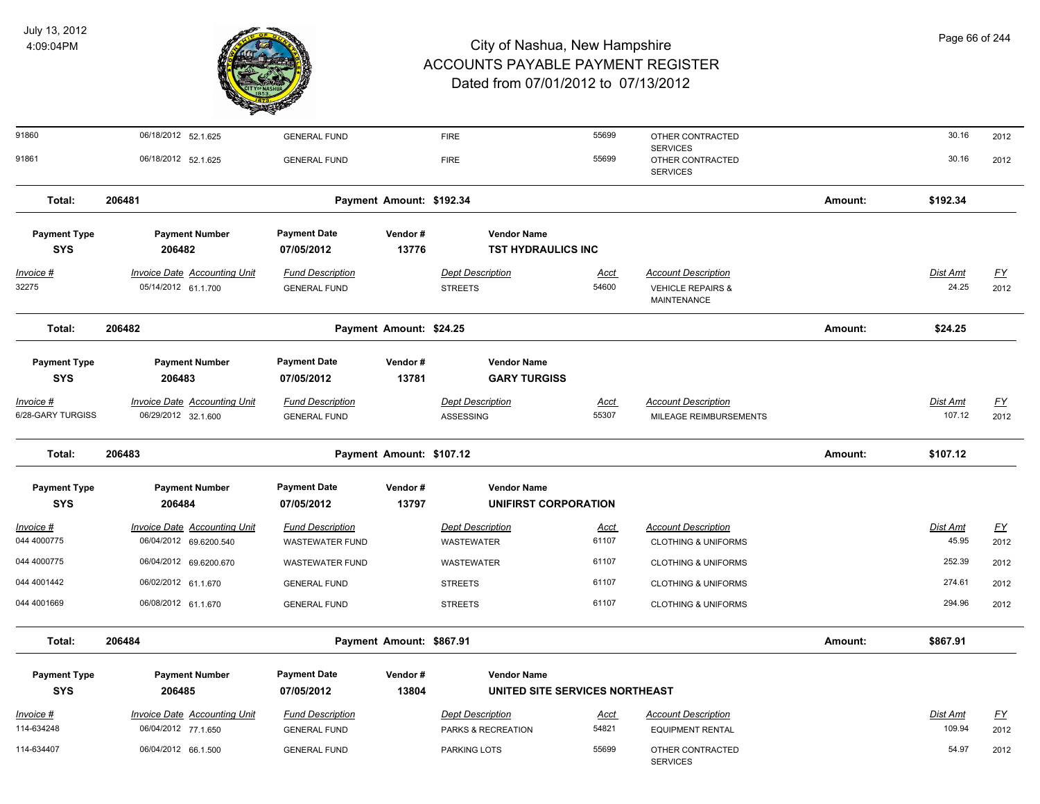

| Page 66 of 244 |  |  |  |
|----------------|--|--|--|
|----------------|--|--|--|

| 91860               | 06/18/2012 52.1.625                 | <b>GENERAL FUND</b>     |                          | <b>FIRE</b>                    | 55699 | OTHER CONTRACTED<br><b>SERVICES</b>                |         | 30.16           | 2012      |
|---------------------|-------------------------------------|-------------------------|--------------------------|--------------------------------|-------|----------------------------------------------------|---------|-----------------|-----------|
| 91861               | 06/18/2012 52.1.625                 | <b>GENERAL FUND</b>     |                          | <b>FIRE</b>                    | 55699 | OTHER CONTRACTED<br><b>SERVICES</b>                |         | 30.16           | 2012      |
| Total:              | 206481                              |                         | Payment Amount: \$192.34 |                                |       |                                                    | Amount: | \$192.34        |           |
| <b>Payment Type</b> | <b>Payment Number</b>               | <b>Payment Date</b>     | Vendor#                  | <b>Vendor Name</b>             |       |                                                    |         |                 |           |
| <b>SYS</b>          | 206482                              | 07/05/2012              | 13776                    | <b>TST HYDRAULICS INC</b>      |       |                                                    |         |                 |           |
| $Invoice$ #         | <b>Invoice Date Accounting Unit</b> | <b>Fund Description</b> |                          | <b>Dept Description</b>        | Acct  | <b>Account Description</b>                         |         | <b>Dist Amt</b> | <u>FY</u> |
| 32275               | 05/14/2012 61.1.700                 | <b>GENERAL FUND</b>     |                          | <b>STREETS</b>                 | 54600 | <b>VEHICLE REPAIRS &amp;</b><br><b>MAINTENANCE</b> |         | 24.25           | 2012      |
| Total:              | 206482                              |                         | Payment Amount: \$24.25  |                                |       |                                                    | Amount: | \$24.25         |           |
| <b>Payment Type</b> | <b>Payment Number</b>               | <b>Payment Date</b>     | Vendor#                  | <b>Vendor Name</b>             |       |                                                    |         |                 |           |
| <b>SYS</b>          | 206483                              | 07/05/2012              | 13781                    | <b>GARY TURGISS</b>            |       |                                                    |         |                 |           |
| Invoice #           | <b>Invoice Date Accounting Unit</b> | <b>Fund Description</b> |                          | <b>Dept Description</b>        | Acct  | <b>Account Description</b>                         |         | <b>Dist Amt</b> | <u>FY</u> |
| 6/28-GARY TURGISS   | 06/29/2012 32.1.600                 | <b>GENERAL FUND</b>     |                          | ASSESSING                      | 55307 | MILEAGE REIMBURSEMENTS                             |         | 107.12          | 2012      |
| Total:              | 206483                              |                         | Payment Amount: \$107.12 |                                |       |                                                    | Amount: | \$107.12        |           |
| <b>Payment Type</b> | <b>Payment Number</b>               | <b>Payment Date</b>     | Vendor#                  | <b>Vendor Name</b>             |       |                                                    |         |                 |           |
| <b>SYS</b>          | 206484                              | 07/05/2012              | 13797                    | UNIFIRST CORPORATION           |       |                                                    |         |                 |           |
| Invoice #           | <b>Invoice Date Accounting Unit</b> | <b>Fund Description</b> |                          | <b>Dept Description</b>        | Acct  | <b>Account Description</b>                         |         | <b>Dist Amt</b> | <u>FY</u> |
| 044 4000775         | 06/04/2012 69.6200.540              | <b>WASTEWATER FUND</b>  |                          | <b>WASTEWATER</b>              | 61107 | <b>CLOTHING &amp; UNIFORMS</b>                     |         | 45.95           | 2012      |
| 044 4000775         | 06/04/2012 69.6200.670              | <b>WASTEWATER FUND</b>  |                          | <b>WASTEWATER</b>              | 61107 | <b>CLOTHING &amp; UNIFORMS</b>                     |         | 252.39          | 2012      |
| 044 4001442         | 06/02/2012 61.1.670                 | <b>GENERAL FUND</b>     |                          | <b>STREETS</b>                 | 61107 | <b>CLOTHING &amp; UNIFORMS</b>                     |         | 274.61          | 2012      |
| 044 4001669         | 06/08/2012 61.1.670                 | <b>GENERAL FUND</b>     |                          | <b>STREETS</b>                 | 61107 | <b>CLOTHING &amp; UNIFORMS</b>                     |         | 294.96          | 2012      |
| Total:              | 206484                              |                         | Payment Amount: \$867.91 |                                |       |                                                    | Amount: | \$867.91        |           |
| <b>Payment Type</b> | <b>Payment Number</b>               | <b>Payment Date</b>     | Vendor#                  | <b>Vendor Name</b>             |       |                                                    |         |                 |           |
| <b>SYS</b>          | 206485                              | 07/05/2012              | 13804                    | UNITED SITE SERVICES NORTHEAST |       |                                                    |         |                 |           |
| Invoice #           | <b>Invoice Date Accounting Unit</b> | <b>Fund Description</b> |                          | <b>Dept Description</b>        | Acct  | <b>Account Description</b>                         |         | <b>Dist Amt</b> | <u>FY</u> |
| 114-634248          | 06/04/2012 77.1.650                 | <b>GENERAL FUND</b>     |                          | PARKS & RECREATION             | 54821 | <b>EQUIPMENT RENTAL</b>                            |         | 109.94          | 2012      |
| 114-634407          | 06/04/2012 66.1.500                 | <b>GENERAL FUND</b>     |                          | PARKING LOTS                   | 55699 | OTHER CONTRACTED<br><b>SERVICES</b>                |         | 54.97           | 2012      |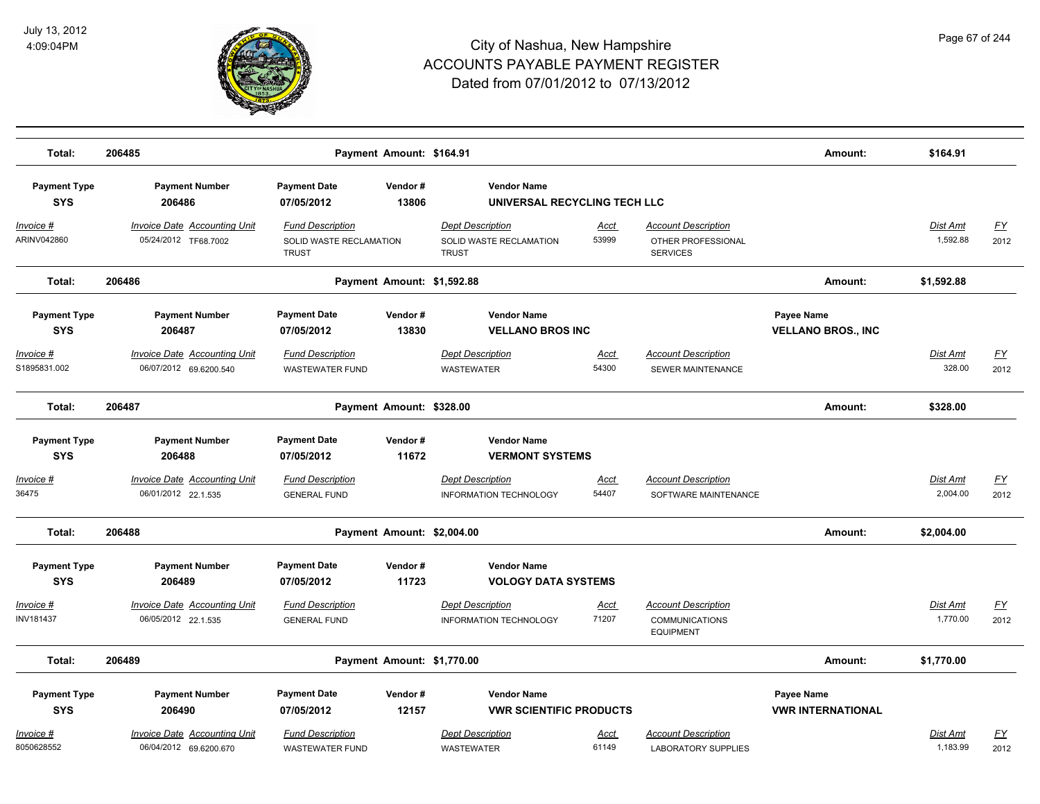

| Total:                                | 206485                                                        |                                                                    | Payment Amount: \$164.91   |                                                                    |                      |                                                                         | Amount:                                 | \$164.91                    |                   |
|---------------------------------------|---------------------------------------------------------------|--------------------------------------------------------------------|----------------------------|--------------------------------------------------------------------|----------------------|-------------------------------------------------------------------------|-----------------------------------------|-----------------------------|-------------------|
| <b>Payment Type</b><br><b>SYS</b>     | <b>Payment Number</b><br>206486                               | <b>Payment Date</b><br>07/05/2012                                  | Vendor#<br>13806           | <b>Vendor Name</b><br>UNIVERSAL RECYCLING TECH LLC                 |                      |                                                                         |                                         |                             |                   |
| <u> Invoice #</u><br>ARINV042860      | <b>Invoice Date Accounting Unit</b><br>05/24/2012 TF68.7002   | <b>Fund Description</b><br>SOLID WASTE RECLAMATION<br><b>TRUST</b> |                            | <b>Dept Description</b><br>SOLID WASTE RECLAMATION<br><b>TRUST</b> | <u>Acct</u><br>53999 | <b>Account Description</b><br>OTHER PROFESSIONAL<br><b>SERVICES</b>     |                                         | <b>Dist Amt</b><br>1,592.88 | <u>FY</u><br>2012 |
| Total:                                | 206486                                                        |                                                                    | Payment Amount: \$1,592.88 |                                                                    |                      |                                                                         | Amount:                                 | \$1,592.88                  |                   |
| <b>Payment Type</b><br><b>SYS</b>     | <b>Payment Number</b><br>206487                               | <b>Payment Date</b><br>07/05/2012                                  | Vendor#<br>13830           | <b>Vendor Name</b><br><b>VELLANO BROS INC</b>                      |                      |                                                                         | Payee Name<br><b>VELLANO BROS., INC</b> |                             |                   |
| Invoice #<br>S1895831.002             | <b>Invoice Date Accounting Unit</b><br>06/07/2012 69.6200.540 | <b>Fund Description</b><br><b>WASTEWATER FUND</b>                  |                            | <b>Dept Description</b><br><b>WASTEWATER</b>                       | <b>Acct</b><br>54300 | <b>Account Description</b><br>SEWER MAINTENANCE                         |                                         | Dist Amt<br>328.00          | <u>FY</u><br>2012 |
| Total:                                | 206487                                                        |                                                                    | Payment Amount: \$328.00   |                                                                    |                      |                                                                         | Amount:                                 | \$328.00                    |                   |
| <b>Payment Type</b><br><b>SYS</b>     | <b>Payment Number</b><br>206488                               | <b>Payment Date</b><br>07/05/2012                                  | Vendor#<br>11672           | <b>Vendor Name</b><br><b>VERMONT SYSTEMS</b>                       |                      |                                                                         |                                         |                             |                   |
| <u> Invoice #</u><br>36475            | <b>Invoice Date Accounting Unit</b><br>06/01/2012 22.1.535    | <b>Fund Description</b><br><b>GENERAL FUND</b>                     |                            | <b>Dept Description</b><br>INFORMATION TECHNOLOGY                  | <u>Acct</u><br>54407 | <b>Account Description</b><br>SOFTWARE MAINTENANCE                      |                                         | Dist Amt<br>2,004.00        | <u>FY</u><br>2012 |
| Total:                                | 206488                                                        |                                                                    | Payment Amount: \$2,004.00 |                                                                    |                      |                                                                         | Amount:                                 | \$2,004.00                  |                   |
| <b>Payment Type</b><br><b>SYS</b>     | <b>Payment Number</b><br>206489                               | <b>Payment Date</b><br>07/05/2012                                  | Vendor#<br>11723           | <b>Vendor Name</b><br><b>VOLOGY DATA SYSTEMS</b>                   |                      |                                                                         |                                         |                             |                   |
| <u> Invoice #</u><br><b>INV181437</b> | <b>Invoice Date Accounting Unit</b><br>06/05/2012 22.1.535    | <b>Fund Description</b><br><b>GENERAL FUND</b>                     |                            | <b>Dept Description</b><br><b>INFORMATION TECHNOLOGY</b>           | <u>Acct</u><br>71207 | <b>Account Description</b><br><b>COMMUNICATIONS</b><br><b>EQUIPMENT</b> |                                         | <b>Dist Amt</b><br>1,770.00 | <u>FY</u><br>2012 |
| Total:                                | 206489                                                        |                                                                    | Payment Amount: \$1,770.00 |                                                                    |                      |                                                                         | Amount:                                 | \$1,770.00                  |                   |
| <b>Payment Type</b><br><b>SYS</b>     | <b>Payment Number</b><br>206490                               | <b>Payment Date</b><br>07/05/2012                                  | Vendor#<br>12157           | <b>Vendor Name</b><br><b>VWR SCIENTIFIC PRODUCTS</b>               |                      |                                                                         | Payee Name<br><b>VWR INTERNATIONAL</b>  |                             |                   |
| <u> Invoice #</u><br>8050628552       | <b>Invoice Date Accounting Unit</b><br>06/04/2012 69.6200.670 | <b>Fund Description</b><br><b>WASTEWATER FUND</b>                  |                            | <b>Dept Description</b><br><b>WASTEWATER</b>                       | <u>Acct</u><br>61149 | <b>Account Description</b><br><b>LABORATORY SUPPLIES</b>                |                                         | Dist Amt<br>1,183.99        | <u>FY</u><br>2012 |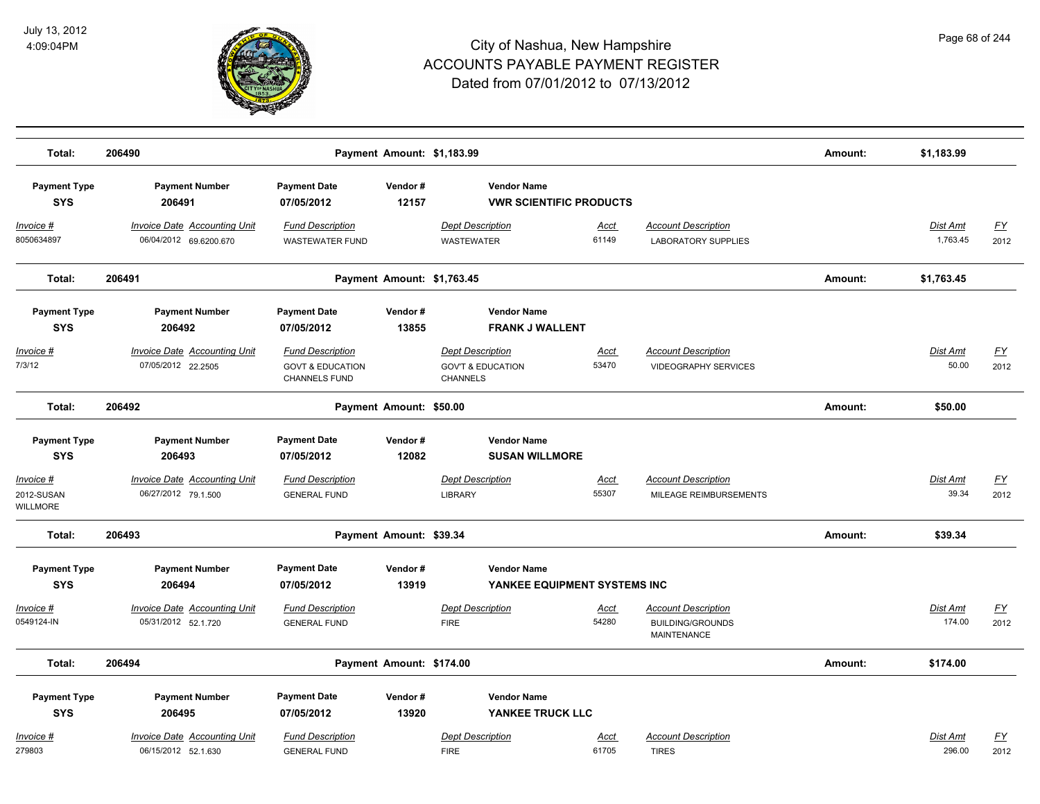

| Total:                                     | 206490                                                        |                                                                         | Payment Amount: \$1,183.99 |                                                                     |                      |                                                                             | Amount: | \$1,183.99                  |                   |
|--------------------------------------------|---------------------------------------------------------------|-------------------------------------------------------------------------|----------------------------|---------------------------------------------------------------------|----------------------|-----------------------------------------------------------------------------|---------|-----------------------------|-------------------|
| <b>Payment Type</b><br><b>SYS</b>          | <b>Payment Number</b><br>206491                               | <b>Payment Date</b><br>07/05/2012                                       | Vendor#<br>12157           | <b>Vendor Name</b><br><b>VWR SCIENTIFIC PRODUCTS</b>                |                      |                                                                             |         |                             |                   |
| Invoice #<br>8050634897                    | <b>Invoice Date Accounting Unit</b><br>06/04/2012 69.6200.670 | <b>Fund Description</b><br><b>WASTEWATER FUND</b>                       |                            | <b>Dept Description</b><br><b>WASTEWATER</b>                        | <u>Acct</u><br>61149 | <b>Account Description</b><br><b>LABORATORY SUPPLIES</b>                    |         | <b>Dist Amt</b><br>1,763.45 | <u>FY</u><br>2012 |
| Total:                                     | 206491                                                        |                                                                         | Payment Amount: \$1,763.45 |                                                                     |                      |                                                                             | Amount: | \$1,763.45                  |                   |
| <b>Payment Type</b><br><b>SYS</b>          | <b>Payment Number</b><br>206492                               | <b>Payment Date</b><br>07/05/2012                                       | Vendor#<br>13855           | <b>Vendor Name</b><br><b>FRANK J WALLENT</b>                        |                      |                                                                             |         |                             |                   |
| Invoice #<br>7/3/12                        | <b>Invoice Date Accounting Unit</b><br>07/05/2012 22.2505     | <b>Fund Description</b><br><b>GOVT &amp; EDUCATION</b><br>CHANNELS FUND |                            | <b>Dept Description</b><br><b>GOV'T &amp; EDUCATION</b><br>CHANNELS | <b>Acct</b><br>53470 | <b>Account Description</b><br><b>VIDEOGRAPHY SERVICES</b>                   |         | Dist Amt<br>50.00           | <u>FY</u><br>2012 |
| Total:                                     | 206492                                                        |                                                                         | Payment Amount: \$50.00    |                                                                     |                      |                                                                             | Amount: | \$50.00                     |                   |
| <b>Payment Type</b><br><b>SYS</b>          | <b>Payment Number</b><br>206493                               | <b>Payment Date</b><br>07/05/2012                                       | Vendor#<br>12082           | <b>Vendor Name</b><br><b>SUSAN WILLMORE</b>                         |                      |                                                                             |         |                             |                   |
| Invoice #<br>2012-SUSAN<br><b>WILLMORE</b> | <b>Invoice Date Accounting Unit</b><br>06/27/2012 79.1.500    | <b>Fund Description</b><br><b>GENERAL FUND</b>                          |                            | <b>Dept Description</b><br><b>LIBRARY</b>                           | <b>Acct</b><br>55307 | <b>Account Description</b><br>MILEAGE REIMBURSEMENTS                        |         | Dist Amt<br>39.34           | <u>FY</u><br>2012 |
| Total:                                     | 206493                                                        |                                                                         | Payment Amount: \$39.34    |                                                                     |                      |                                                                             | Amount: | \$39.34                     |                   |
| <b>Payment Type</b><br><b>SYS</b>          | <b>Payment Number</b><br>206494                               | <b>Payment Date</b><br>07/05/2012                                       | Vendor#<br>13919           | <b>Vendor Name</b><br>YANKEE EQUIPMENT SYSTEMS INC                  |                      |                                                                             |         |                             |                   |
| Invoice #<br>0549124-IN                    | Invoice Date Accounting Unit<br>05/31/2012 52.1.720           | <b>Fund Description</b><br><b>GENERAL FUND</b>                          |                            | <b>Dept Description</b><br><b>FIRE</b>                              | <b>Acct</b><br>54280 | <b>Account Description</b><br><b>BUILDING/GROUNDS</b><br><b>MAINTENANCE</b> |         | Dist Amt<br>174.00          | <u>FY</u><br>2012 |
| Total:                                     | 206494                                                        |                                                                         | Payment Amount: \$174.00   |                                                                     |                      |                                                                             | Amount: | \$174.00                    |                   |
| <b>Payment Type</b><br><b>SYS</b>          | <b>Payment Number</b><br>206495                               | <b>Payment Date</b><br>07/05/2012                                       | Vendor#<br>13920           | <b>Vendor Name</b><br>YANKEE TRUCK LLC                              |                      |                                                                             |         |                             |                   |
| Invoice #<br>279803                        | <b>Invoice Date Accounting Unit</b><br>06/15/2012 52.1.630    | <b>Fund Description</b><br><b>GENERAL FUND</b>                          |                            | <b>Dept Description</b><br><b>FIRE</b>                              | <u>Acct</u><br>61705 | <b>Account Description</b><br><b>TIRES</b>                                  |         | <b>Dist Amt</b><br>296.00   | <u>FY</u><br>2012 |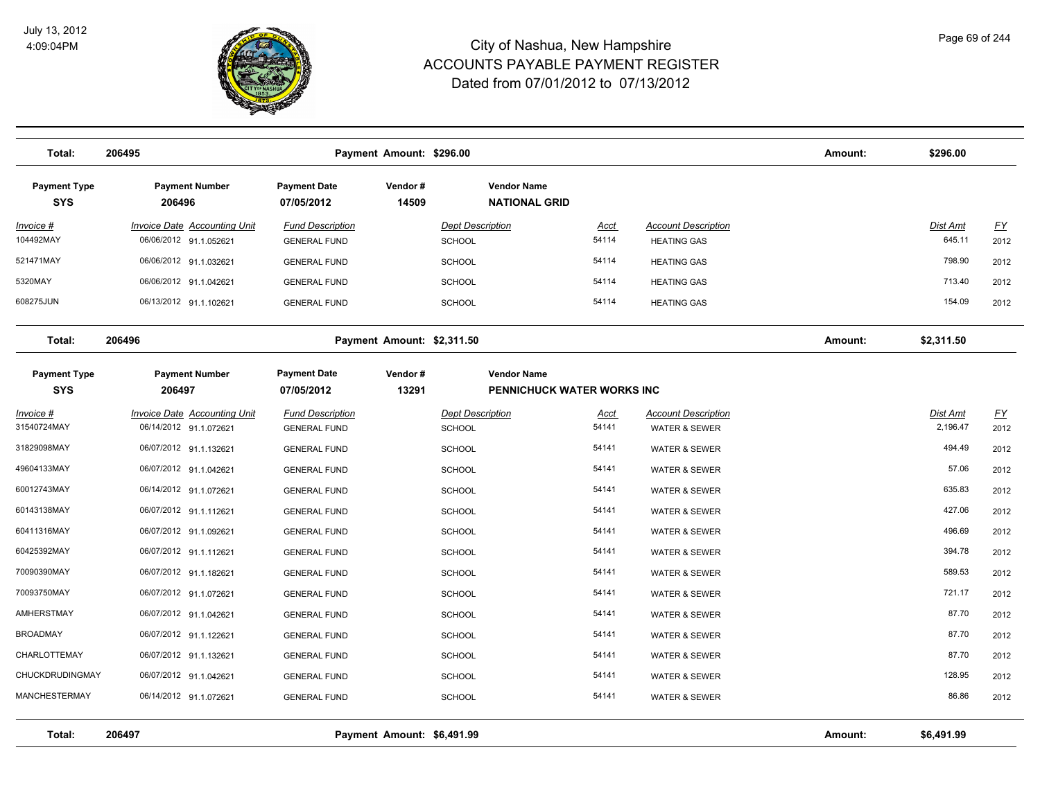

| Total:                            | 206495                                                        | Amount:                                        | \$296.00                   |                                            |                            |                                                        |         |                      |                                   |
|-----------------------------------|---------------------------------------------------------------|------------------------------------------------|----------------------------|--------------------------------------------|----------------------------|--------------------------------------------------------|---------|----------------------|-----------------------------------|
| <b>Payment Type</b><br><b>SYS</b> | <b>Payment Number</b><br>206496                               | <b>Payment Date</b><br>07/05/2012              | Vendor#<br>14509           | <b>Vendor Name</b><br><b>NATIONAL GRID</b> |                            |                                                        |         |                      |                                   |
| <u> Invoice #</u><br>104492MAY    | <b>Invoice Date Accounting Unit</b><br>06/06/2012 91.1.052621 | <b>Fund Description</b><br><b>GENERAL FUND</b> |                            | <b>Dept Description</b><br><b>SCHOOL</b>   | Acct<br>54114              | <b>Account Description</b><br><b>HEATING GAS</b>       |         | Dist Amt<br>645.11   | EY<br>2012                        |
| 521471MAY                         | 06/06/2012 91.1.032621                                        | <b>GENERAL FUND</b>                            |                            | SCHOOL                                     | 54114                      | <b>HEATING GAS</b>                                     |         | 798.90               | 2012                              |
| 5320MAY                           | 06/06/2012 91.1.042621                                        | <b>GENERAL FUND</b>                            |                            | <b>SCHOOL</b>                              | 54114                      | <b>HEATING GAS</b>                                     |         | 713.40               | 2012                              |
| 608275JUN                         | 06/13/2012 91.1.102621                                        | <b>GENERAL FUND</b>                            |                            | <b>SCHOOL</b>                              | 54114                      | <b>HEATING GAS</b>                                     |         | 154.09               | 2012                              |
| Total:                            | 206496                                                        |                                                | Payment Amount: \$2,311.50 |                                            |                            |                                                        | Amount: | \$2,311.50           |                                   |
| <b>Payment Type</b><br><b>SYS</b> | <b>Payment Number</b><br>206497                               | <b>Payment Date</b><br>07/05/2012              | Vendor#<br>13291           | <b>Vendor Name</b>                         | PENNICHUCK WATER WORKS INC |                                                        |         |                      |                                   |
| <u>Invoice #</u><br>31540724MAY   | <b>Invoice Date Accounting Unit</b><br>06/14/2012 91.1.072621 | <b>Fund Description</b><br><b>GENERAL FUND</b> |                            | <b>Dept Description</b><br><b>SCHOOL</b>   | Acct<br>54141              | <b>Account Description</b><br><b>WATER &amp; SEWER</b> |         | Dist Amt<br>2,196.47 | $\underline{\mathsf{FY}}$<br>2012 |
| 31829098MAY                       | 06/07/2012 91.1.132621                                        | <b>GENERAL FUND</b>                            |                            | SCHOOL                                     | 54141                      | WATER & SEWER                                          |         | 494.49               | 2012                              |
| 49604133MAY                       | 06/07/2012 91.1.042621                                        | <b>GENERAL FUND</b>                            |                            | <b>SCHOOL</b>                              | 54141                      | <b>WATER &amp; SEWER</b>                               |         | 57.06                | 2012                              |
| 60012743MAY                       | 06/14/2012 91.1.072621                                        | <b>GENERAL FUND</b>                            |                            | <b>SCHOOL</b>                              | 54141                      | <b>WATER &amp; SEWER</b>                               |         | 635.83               | 2012                              |
| 60143138MAY                       | 06/07/2012 91.1.112621                                        | <b>GENERAL FUND</b>                            |                            | SCHOOL                                     | 54141                      | <b>WATER &amp; SEWER</b>                               |         | 427.06               | 2012                              |
| 60411316MAY                       | 06/07/2012 91.1.092621                                        | <b>GENERAL FUND</b>                            |                            | <b>SCHOOL</b>                              | 54141                      | <b>WATER &amp; SEWER</b>                               |         | 496.69               | 2012                              |
| 60425392MAY                       | 06/07/2012 91.1.112621                                        | <b>GENERAL FUND</b>                            |                            | SCHOOL                                     | 54141                      | <b>WATER &amp; SEWER</b>                               |         | 394.78               | 2012                              |
| 70090390MAY                       | 06/07/2012 91.1.182621                                        | <b>GENERAL FUND</b>                            |                            | <b>SCHOOL</b>                              | 54141                      | <b>WATER &amp; SEWER</b>                               |         | 589.53               | 2012                              |
| 70093750MAY                       | 06/07/2012 91.1.072621                                        | <b>GENERAL FUND</b>                            |                            | SCHOOL                                     | 54141                      | <b>WATER &amp; SEWER</b>                               |         | 721.17               | 2012                              |
| <b>AMHERSTMAY</b>                 | 06/07/2012 91.1.042621                                        | <b>GENERAL FUND</b>                            |                            | <b>SCHOOL</b>                              | 54141                      | <b>WATER &amp; SEWER</b>                               |         | 87.70                | 2012                              |
| <b>BROADMAY</b>                   | 06/07/2012 91.1.122621                                        | <b>GENERAL FUND</b>                            |                            | SCHOOL                                     | 54141                      | <b>WATER &amp; SEWER</b>                               |         | 87.70                | 2012                              |
| CHARLOTTEMAY                      | 06/07/2012 91.1.132621                                        | <b>GENERAL FUND</b>                            |                            | SCHOOL                                     | 54141                      | <b>WATER &amp; SEWER</b>                               |         | 87.70                | 2012                              |
| CHUCKDRUDINGMAY                   | 06/07/2012 91.1.042621                                        | <b>GENERAL FUND</b>                            |                            | SCHOOL                                     | 54141                      | <b>WATER &amp; SEWER</b>                               |         | 128.95               | 2012                              |
| MANCHESTERMAY                     | 06/14/2012 91.1.072621                                        | <b>GENERAL FUND</b>                            |                            | <b>SCHOOL</b>                              | 54141                      | <b>WATER &amp; SEWER</b>                               |         | 86.86                | 2012                              |
| Total:                            | 206497                                                        |                                                | Payment Amount: \$6,491.99 |                                            |                            |                                                        | Amount: | \$6,491.99           |                                   |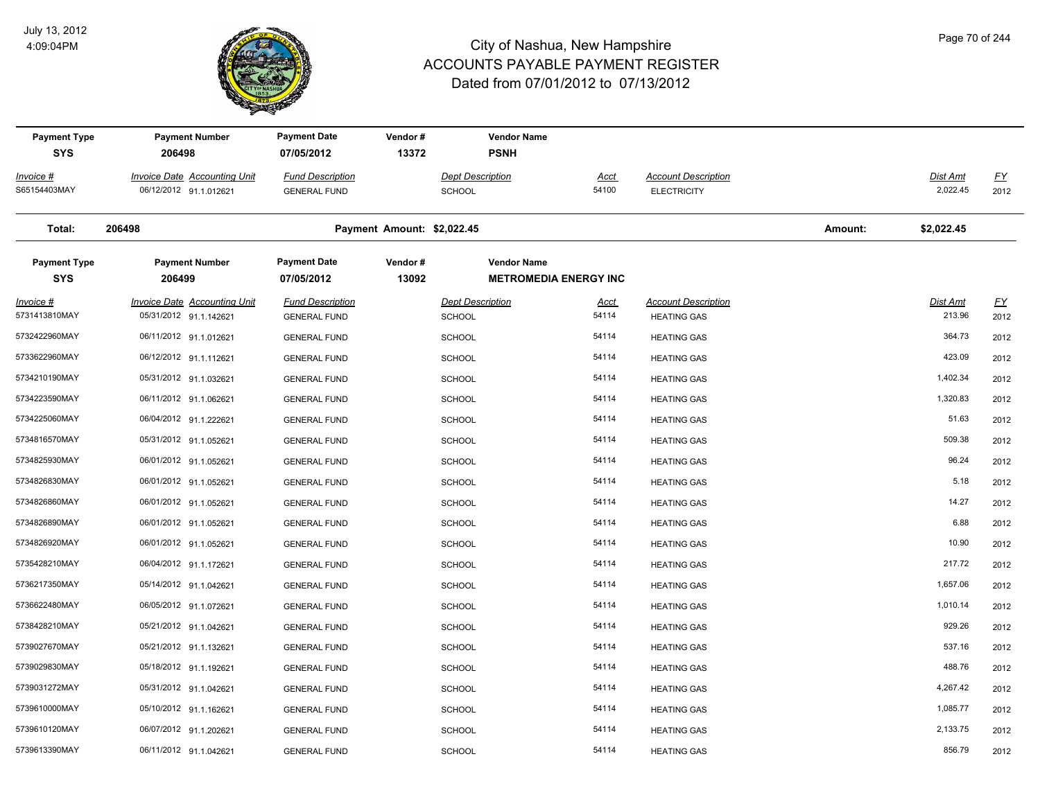

| <b>Payment Type</b><br><b>SYS</b> | <b>Payment Number</b><br>206498                               | <b>Payment Date</b><br>07/05/2012              | Vendor#<br>13372           | <b>Vendor Name</b><br><b>PSNH</b>                  |                      |                                                  |         |                           |                          |
|-----------------------------------|---------------------------------------------------------------|------------------------------------------------|----------------------------|----------------------------------------------------|----------------------|--------------------------------------------------|---------|---------------------------|--------------------------|
|                                   |                                                               |                                                |                            |                                                    |                      |                                                  |         |                           |                          |
| Invoice #<br>S65154403MAY         | <b>Invoice Date Accounting Unit</b><br>06/12/2012 91.1.012621 | <b>Fund Description</b><br><b>GENERAL FUND</b> |                            | <b>Dept Description</b><br>SCHOOL                  | <u>Acct</u><br>54100 | <b>Account Description</b><br><b>ELECTRICITY</b> |         | Dist Amt<br>2,022.45      | $\underline{FY}$<br>2012 |
| Total:                            | 206498                                                        |                                                | Payment Amount: \$2,022.45 |                                                    |                      |                                                  | Amount: | \$2,022.45                |                          |
| <b>Payment Type</b><br><b>SYS</b> | <b>Payment Number</b><br>206499                               | <b>Payment Date</b><br>07/05/2012              | Vendor#<br>13092           | <b>Vendor Name</b><br><b>METROMEDIA ENERGY INC</b> |                      |                                                  |         |                           |                          |
| <u>Invoice #</u><br>5731413810MAY | <b>Invoice Date Accounting Unit</b><br>05/31/2012 91.1.142621 | <b>Fund Description</b><br><b>GENERAL FUND</b> |                            | <b>Dept Description</b><br><b>SCHOOL</b>           | <u>Acct</u><br>54114 | <b>Account Description</b><br><b>HEATING GAS</b> |         | <b>Dist Amt</b><br>213.96 | <u>FY</u><br>2012        |
| 5732422960MAY                     | 06/11/2012 91.1.012621                                        | <b>GENERAL FUND</b>                            |                            | <b>SCHOOL</b>                                      | 54114                | <b>HEATING GAS</b>                               |         | 364.73                    | 2012                     |
| 5733622960MAY                     | 06/12/2012 91.1.112621                                        | <b>GENERAL FUND</b>                            |                            | <b>SCHOOL</b>                                      | 54114                | <b>HEATING GAS</b>                               |         | 423.09                    | 2012                     |
| 5734210190MAY                     | 05/31/2012 91.1.032621                                        | <b>GENERAL FUND</b>                            |                            | <b>SCHOOL</b>                                      | 54114                | <b>HEATING GAS</b>                               |         | 1,402.34                  | 2012                     |
| 5734223590MAY                     | 06/11/2012 91.1.062621                                        | <b>GENERAL FUND</b>                            |                            | <b>SCHOOL</b>                                      | 54114                | <b>HEATING GAS</b>                               |         | 1,320.83                  | 2012                     |
| 5734225060MAY                     | 06/04/2012 91.1.222621                                        | <b>GENERAL FUND</b>                            |                            | <b>SCHOOL</b>                                      | 54114                | <b>HEATING GAS</b>                               |         | 51.63                     | 2012                     |
| 5734816570MAY                     | 05/31/2012 91.1.052621                                        | <b>GENERAL FUND</b>                            |                            | <b>SCHOOL</b>                                      | 54114                | <b>HEATING GAS</b>                               |         | 509.38                    | 2012                     |
| 5734825930MAY                     | 06/01/2012 91.1.052621                                        | <b>GENERAL FUND</b>                            |                            | <b>SCHOOL</b>                                      | 54114                | <b>HEATING GAS</b>                               |         | 96.24                     | 2012                     |
| 5734826830MAY                     | 06/01/2012 91.1.052621                                        | <b>GENERAL FUND</b>                            |                            | <b>SCHOOL</b>                                      | 54114                | <b>HEATING GAS</b>                               |         | 5.18                      | 2012                     |
| 5734826860MAY                     | 06/01/2012 91.1.052621                                        | <b>GENERAL FUND</b>                            |                            | SCHOOL                                             | 54114                | <b>HEATING GAS</b>                               |         | 14.27                     | 2012                     |
| 5734826890MAY                     | 06/01/2012 91.1.052621                                        | <b>GENERAL FUND</b>                            |                            | <b>SCHOOL</b>                                      | 54114                | <b>HEATING GAS</b>                               |         | 6.88                      | 2012                     |
| 5734826920MAY                     | 06/01/2012 91.1.052621                                        | <b>GENERAL FUND</b>                            |                            | <b>SCHOOL</b>                                      | 54114                | <b>HEATING GAS</b>                               |         | 10.90                     | 2012                     |
| 5735428210MAY                     | 06/04/2012 91.1.172621                                        | <b>GENERAL FUND</b>                            |                            | <b>SCHOOL</b>                                      | 54114                | <b>HEATING GAS</b>                               |         | 217.72                    | 2012                     |
| 5736217350MAY                     | 05/14/2012 91.1.042621                                        | <b>GENERAL FUND</b>                            |                            | <b>SCHOOL</b>                                      | 54114                | <b>HEATING GAS</b>                               |         | 1,657.06                  | 2012                     |
| 5736622480MAY                     | 06/05/2012 91.1.072621                                        | <b>GENERAL FUND</b>                            |                            | <b>SCHOOL</b>                                      | 54114                | <b>HEATING GAS</b>                               |         | 1,010.14                  | 2012                     |
| 5738428210MAY                     | 05/21/2012 91.1.042621                                        | <b>GENERAL FUND</b>                            |                            | <b>SCHOOL</b>                                      | 54114                | <b>HEATING GAS</b>                               |         | 929.26                    | 2012                     |
| 5739027670MAY                     | 05/21/2012 91.1.132621                                        | <b>GENERAL FUND</b>                            |                            | <b>SCHOOL</b>                                      | 54114                | <b>HEATING GAS</b>                               |         | 537.16                    | 2012                     |
| 5739029830MAY                     | 05/18/2012 91.1.192621                                        | <b>GENERAL FUND</b>                            |                            | <b>SCHOOL</b>                                      | 54114                | <b>HEATING GAS</b>                               |         | 488.76                    | 2012                     |
| 5739031272MAY                     | 05/31/2012 91.1.042621                                        | <b>GENERAL FUND</b>                            |                            | <b>SCHOOL</b>                                      | 54114                | <b>HEATING GAS</b>                               |         | 4,267.42                  | 2012                     |
| 5739610000MAY                     | 05/10/2012 91.1.162621                                        | <b>GENERAL FUND</b>                            |                            | <b>SCHOOL</b>                                      | 54114                | <b>HEATING GAS</b>                               |         | 1,085.77                  | 2012                     |
| 5739610120MAY                     | 06/07/2012 91.1.202621                                        | <b>GENERAL FUND</b>                            |                            | <b>SCHOOL</b>                                      | 54114                | <b>HEATING GAS</b>                               |         | 2,133.75                  | 2012                     |
| 5739613390MAY                     | 06/11/2012 91.1.042621                                        | <b>GENERAL FUND</b>                            |                            | SCHOOL                                             | 54114                | <b>HEATING GAS</b>                               |         | 856.79                    | 2012                     |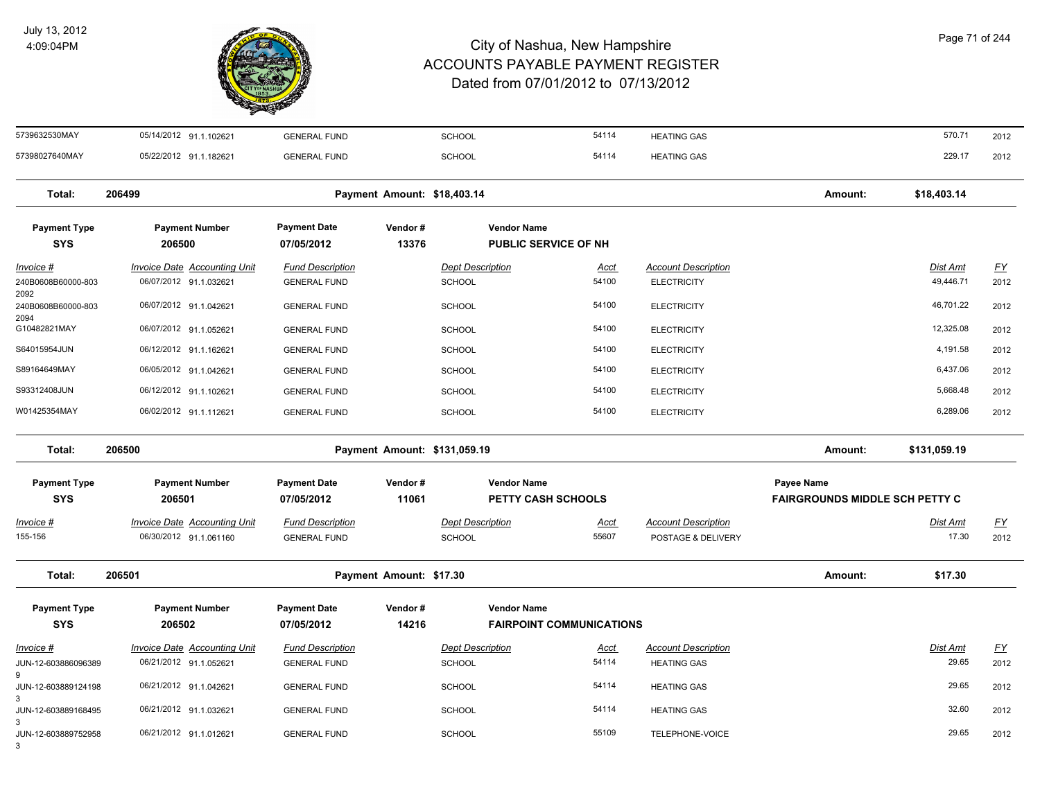

| Page 71 of 244 |  |  |  |
|----------------|--|--|--|
|----------------|--|--|--|

| 5739632530MAY                      | 05/14/2012 91.1.102621                                        | <b>GENERAL FUND</b>                            |                              | <b>SCHOOL</b>                            | 54114                           | <b>HEATING GAS</b>                               |                                                     | 570.71                       | 2012                      |
|------------------------------------|---------------------------------------------------------------|------------------------------------------------|------------------------------|------------------------------------------|---------------------------------|--------------------------------------------------|-----------------------------------------------------|------------------------------|---------------------------|
| 57398027640MAY                     | 05/22/2012 91.1.182621                                        | <b>GENERAL FUND</b>                            |                              | <b>SCHOOL</b>                            | 54114                           | <b>HEATING GAS</b>                               |                                                     | 229.17                       | 2012                      |
| Total:                             | 206499                                                        |                                                | Payment Amount: \$18,403.14  |                                          |                                 |                                                  | Amount:                                             | \$18,403.14                  |                           |
| <b>Payment Type</b><br><b>SYS</b>  | <b>Payment Number</b><br>206500                               | <b>Payment Date</b><br>07/05/2012              | Vendor#<br>13376             | <b>Vendor Name</b>                       | <b>PUBLIC SERVICE OF NH</b>     |                                                  |                                                     |                              |                           |
| $Invoice$ #<br>240B0608B60000-803  | <b>Invoice Date Accounting Unit</b><br>06/07/2012 91.1.032621 | <b>Fund Description</b><br><b>GENERAL FUND</b> |                              | <b>Dept Description</b><br><b>SCHOOL</b> | <b>Acct</b><br>54100            | <b>Account Description</b><br><b>ELECTRICITY</b> |                                                     | <b>Dist Amt</b><br>49,446.71 | EY<br>2012                |
| 2092<br>240B0608B60000-803<br>2094 | 06/07/2012 91.1.042621                                        | <b>GENERAL FUND</b>                            |                              | <b>SCHOOL</b>                            | 54100                           | <b>ELECTRICITY</b>                               |                                                     | 46,701.22                    | 2012                      |
| G10482821MAY                       | 06/07/2012 91.1.052621                                        | <b>GENERAL FUND</b>                            |                              | <b>SCHOOL</b>                            | 54100                           | <b>ELECTRICITY</b>                               |                                                     | 12,325.08                    | 2012                      |
| S64015954JUN                       | 06/12/2012 91.1.162621                                        | <b>GENERAL FUND</b>                            |                              | <b>SCHOOL</b>                            | 54100                           | <b>ELECTRICITY</b>                               |                                                     | 4,191.58                     | 2012                      |
| S89164649MAY                       | 06/05/2012 91.1.042621                                        | <b>GENERAL FUND</b>                            |                              | <b>SCHOOL</b>                            | 54100                           | <b>ELECTRICITY</b>                               |                                                     | 6,437.06                     | 2012                      |
| S93312408JUN                       | 06/12/2012 91.1.102621                                        | <b>GENERAL FUND</b>                            |                              | <b>SCHOOL</b>                            | 54100                           | <b>ELECTRICITY</b>                               |                                                     | 5,668.48                     | 2012                      |
| W01425354MAY                       | 06/02/2012 91.1.112621                                        | <b>GENERAL FUND</b>                            |                              | <b>SCHOOL</b>                            | 54100                           | <b>ELECTRICITY</b>                               |                                                     | 6,289.06                     | 2012                      |
| Total:                             | 206500                                                        |                                                | Payment Amount: \$131,059.19 |                                          |                                 |                                                  | Amount:                                             | \$131,059.19                 |                           |
| <b>Payment Type</b><br><b>SYS</b>  | <b>Payment Number</b><br>206501                               | <b>Payment Date</b><br>07/05/2012              | Vendor#<br>11061             | <b>Vendor Name</b>                       | PETTY CASH SCHOOLS              |                                                  | Payee Name<br><b>FAIRGROUNDS MIDDLE SCH PETTY C</b> |                              |                           |
| Invoice #<br>155-156               | <b>Invoice Date Accounting Unit</b><br>06/30/2012 91.1.061160 | <b>Fund Description</b><br><b>GENERAL FUND</b> |                              | <b>Dept Description</b><br><b>SCHOOL</b> | Acct<br>55607                   | <b>Account Description</b><br>POSTAGE & DELIVERY |                                                     | Dist Amt<br>17.30            | <u>FY</u><br>2012         |
| Total:                             | 206501                                                        |                                                | Payment Amount: \$17.30      |                                          |                                 |                                                  | Amount:                                             | \$17.30                      |                           |
| <b>Payment Type</b><br><b>SYS</b>  | <b>Payment Number</b><br>206502                               | <b>Payment Date</b><br>07/05/2012              | Vendor#<br>14216             | <b>Vendor Name</b>                       | <b>FAIRPOINT COMMUNICATIONS</b> |                                                  |                                                     |                              |                           |
| Invoice #                          | <b>Invoice Date Accounting Unit</b>                           | <b>Fund Description</b>                        |                              | <b>Dept Description</b>                  | Acct                            | <b>Account Description</b>                       |                                                     | Dist Amt                     | $\underline{\mathsf{FY}}$ |
| JUN-12-603886096389<br>9           | 06/21/2012 91.1.052621                                        | <b>GENERAL FUND</b>                            |                              | <b>SCHOOL</b>                            | 54114                           | <b>HEATING GAS</b>                               |                                                     | 29.65                        | 2012                      |
| JUN-12-603889124198                | 06/21/2012 91.1.042621                                        | <b>GENERAL FUND</b>                            |                              | <b>SCHOOL</b>                            | 54114                           | <b>HEATING GAS</b>                               |                                                     | 29.65                        | 2012                      |
| 3<br>JUN-12-603889168495           | 06/21/2012 91.1.032621                                        | <b>GENERAL FUND</b>                            |                              | <b>SCHOOL</b>                            | 54114                           | <b>HEATING GAS</b>                               |                                                     | 32.60                        | 2012                      |
| 3                                  |                                                               |                                                |                              |                                          |                                 |                                                  |                                                     |                              |                           |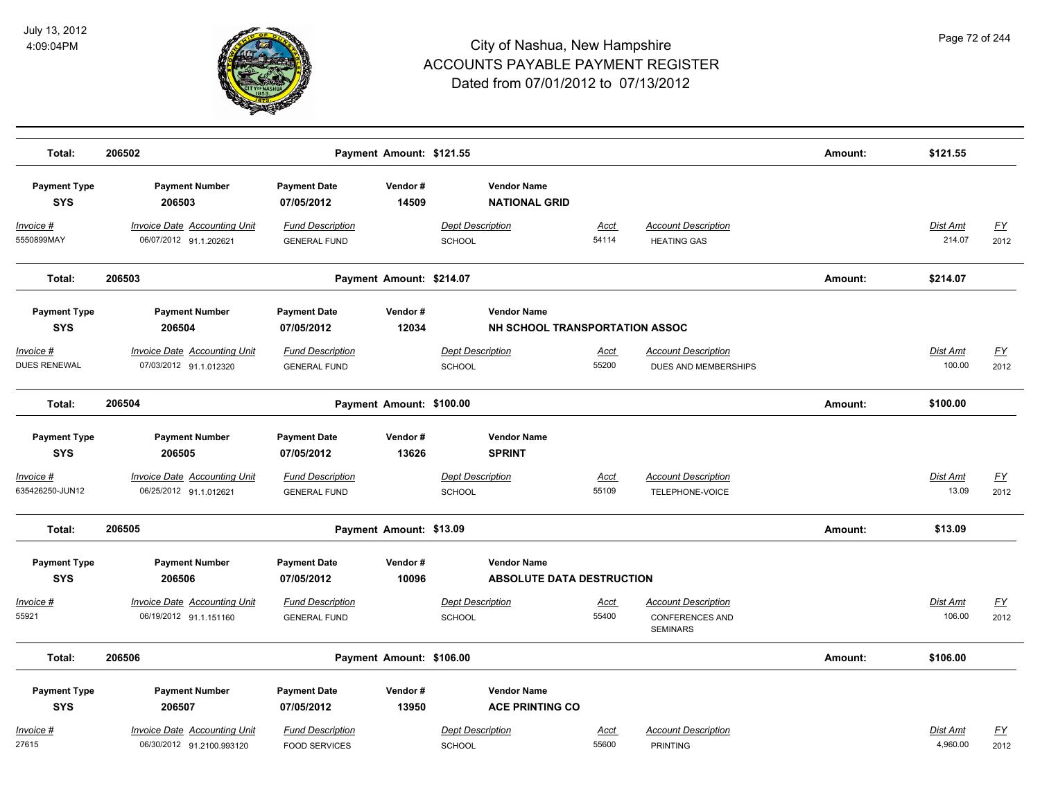

| Total:                               | 206502                                                           | Amount:                                         | \$121.55                 |                                                        |                      |                                                                         |         |                           |                                   |
|--------------------------------------|------------------------------------------------------------------|-------------------------------------------------|--------------------------|--------------------------------------------------------|----------------------|-------------------------------------------------------------------------|---------|---------------------------|-----------------------------------|
| <b>Payment Type</b><br><b>SYS</b>    | <b>Payment Number</b><br>206503                                  | <b>Payment Date</b><br>07/05/2012               | Vendor#<br>14509         | <b>Vendor Name</b><br><b>NATIONAL GRID</b>             |                      |                                                                         |         |                           |                                   |
| Invoice #<br>5550899MAY              | <b>Invoice Date Accounting Unit</b><br>06/07/2012 91.1.202621    | <b>Fund Description</b><br><b>GENERAL FUND</b>  |                          | <b>Dept Description</b><br>SCHOOL                      | Acct<br>54114        | <b>Account Description</b><br><b>HEATING GAS</b>                        |         | <b>Dist Amt</b><br>214.07 | EY<br>2012                        |
| Total:                               | 206503                                                           |                                                 | Payment Amount: \$214.07 |                                                        |                      |                                                                         | Amount: | \$214.07                  |                                   |
| <b>Payment Type</b><br><b>SYS</b>    | <b>Payment Number</b><br>206504                                  | <b>Payment Date</b><br>07/05/2012               | Vendor#<br>12034         | <b>Vendor Name</b><br>NH SCHOOL TRANSPORTATION ASSOC   |                      |                                                                         |         |                           |                                   |
| Invoice #<br>DUES RENEWAL            | <b>Invoice Date Accounting Unit</b><br>07/03/2012 91.1.012320    | <b>Fund Description</b><br><b>GENERAL FUND</b>  |                          | <b>Dept Description</b><br>SCHOOL                      | Acct<br>55200        | <b>Account Description</b><br>DUES AND MEMBERSHIPS                      |         | Dist Amt<br>100.00        | <u>FY</u><br>2012                 |
| Total:                               | 206504                                                           |                                                 | Payment Amount: \$100.00 |                                                        |                      |                                                                         | Amount: | \$100.00                  |                                   |
| <b>Payment Type</b><br><b>SYS</b>    | <b>Payment Number</b><br>206505                                  | <b>Payment Date</b><br>07/05/2012               | Vendor#<br>13626         | <b>Vendor Name</b><br><b>SPRINT</b>                    |                      |                                                                         |         |                           |                                   |
| <u> Invoice #</u><br>635426250-JUN12 | <b>Invoice Date Accounting Unit</b><br>06/25/2012 91.1.012621    | <b>Fund Description</b><br><b>GENERAL FUND</b>  |                          | <b>Dept Description</b><br>SCHOOL                      | <b>Acct</b><br>55109 | <b>Account Description</b><br>TELEPHONE-VOICE                           |         | Dist Amt<br>13.09         | <u>FY</u><br>2012                 |
| Total:                               | 206505                                                           |                                                 | Payment Amount: \$13.09  |                                                        |                      |                                                                         | Amount: | \$13.09                   |                                   |
| <b>Payment Type</b><br><b>SYS</b>    | <b>Payment Number</b><br>206506                                  | <b>Payment Date</b><br>07/05/2012               | Vendor#<br>10096         | <b>Vendor Name</b><br><b>ABSOLUTE DATA DESTRUCTION</b> |                      |                                                                         |         |                           |                                   |
| Invoice #<br>55921                   | <b>Invoice Date Accounting Unit</b><br>06/19/2012 91.1.151160    | <b>Fund Description</b><br><b>GENERAL FUND</b>  |                          | <b>Dept Description</b><br>SCHOOL                      | <u>Acct</u><br>55400 | <b>Account Description</b><br><b>CONFERENCES AND</b><br><b>SEMINARS</b> |         | <b>Dist Amt</b><br>106.00 | <u>FY</u><br>2012                 |
| Total:                               | 206506                                                           |                                                 | Payment Amount: \$106.00 |                                                        |                      |                                                                         | Amount: | \$106.00                  |                                   |
| <b>Payment Type</b><br><b>SYS</b>    | <b>Payment Number</b><br>206507                                  | <b>Payment Date</b><br>07/05/2012               | Vendor#<br>13950         | <b>Vendor Name</b><br><b>ACE PRINTING CO</b>           |                      |                                                                         |         |                           |                                   |
| Invoice #<br>27615                   | <b>Invoice Date Accounting Unit</b><br>06/30/2012 91.2100.993120 | <b>Fund Description</b><br><b>FOOD SERVICES</b> |                          | <b>Dept Description</b><br>SCHOOL                      | Acct<br>55600        | <b>Account Description</b><br><b>PRINTING</b>                           |         | Dist Amt<br>4,960.00      | $\underline{\mathsf{FY}}$<br>2012 |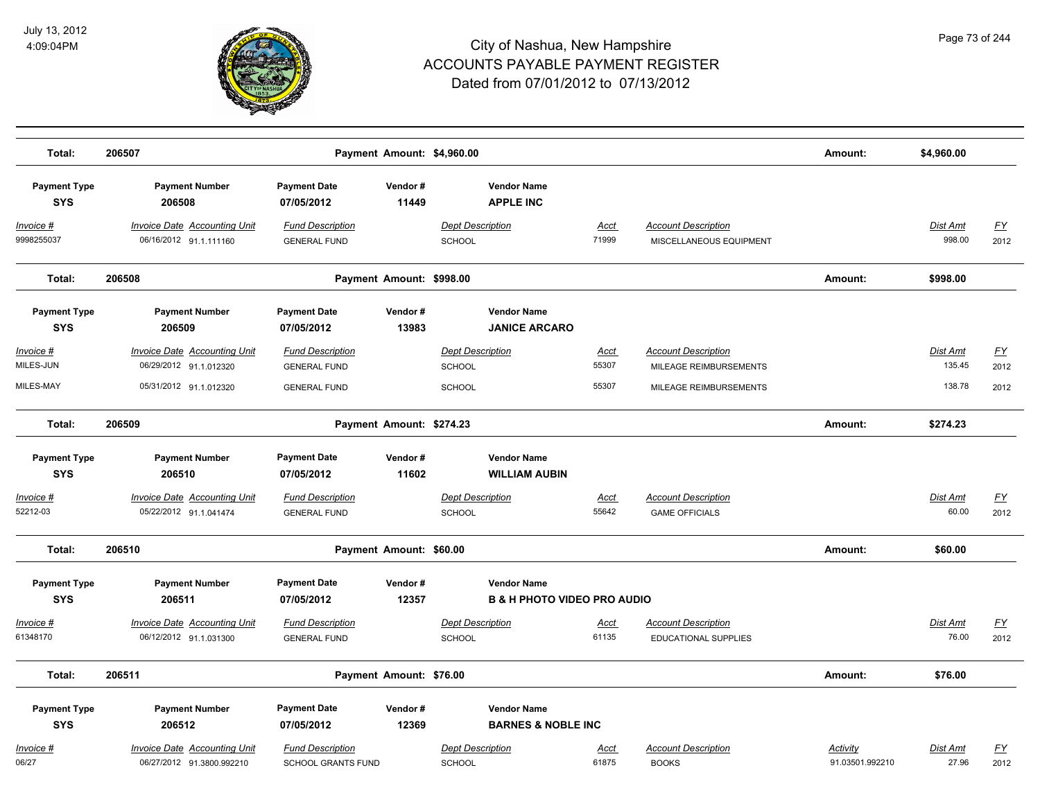

| Total:                            | 206507                                                           |                                                      |                  | Payment Amount: \$4,960.00                                   |                      |                                                       | Amount:                     | \$4,960.00                |                                   |
|-----------------------------------|------------------------------------------------------------------|------------------------------------------------------|------------------|--------------------------------------------------------------|----------------------|-------------------------------------------------------|-----------------------------|---------------------------|-----------------------------------|
| <b>Payment Type</b><br><b>SYS</b> | <b>Payment Number</b><br>206508                                  | <b>Payment Date</b><br>07/05/2012                    | Vendor#<br>11449 | <b>Vendor Name</b><br><b>APPLE INC</b>                       |                      |                                                       |                             |                           |                                   |
| <u>Invoice #</u><br>9998255037    | <b>Invoice Date Accounting Unit</b><br>06/16/2012 91.1.111160    | <b>Fund Description</b><br><b>GENERAL FUND</b>       |                  | <b>Dept Description</b><br>SCHOOL                            | <u>Acct</u><br>71999 | <b>Account Description</b><br>MISCELLANEOUS EQUIPMENT |                             | <u>Dist Amt</u><br>998.00 | <u>FY</u><br>2012                 |
| Total:                            | 206508                                                           | Payment Amount: \$998.00                             |                  |                                                              |                      |                                                       | Amount:                     | \$998.00                  |                                   |
| <b>Payment Type</b><br><b>SYS</b> | <b>Payment Number</b><br>206509                                  | <b>Payment Date</b><br>07/05/2012                    | Vendor#<br>13983 | <b>Vendor Name</b><br><b>JANICE ARCARO</b>                   |                      |                                                       |                             |                           |                                   |
| Invoice #<br>MILES-JUN            | <b>Invoice Date Accounting Unit</b><br>06/29/2012 91.1.012320    | <b>Fund Description</b><br><b>GENERAL FUND</b>       |                  | <b>Dept Description</b><br><b>SCHOOL</b>                     | Acct<br>55307        | <b>Account Description</b><br>MILEAGE REIMBURSEMENTS  |                             | Dist Amt<br>135.45        | EY<br>2012                        |
| MILES-MAY                         | 05/31/2012 91.1.012320                                           | <b>GENERAL FUND</b>                                  |                  | <b>SCHOOL</b>                                                | 55307                | MILEAGE REIMBURSEMENTS                                | Amount:                     | 138.78<br>\$274.23        | 2012                              |
| Total:                            | 206509                                                           | Payment Amount: \$274.23                             |                  |                                                              |                      |                                                       |                             |                           |                                   |
| <b>Payment Type</b><br><b>SYS</b> | <b>Payment Number</b><br>206510                                  | <b>Payment Date</b><br>07/05/2012                    | Vendor#<br>11602 | <b>Vendor Name</b><br><b>WILLIAM AUBIN</b>                   |                      |                                                       |                             |                           |                                   |
| Invoice #<br>52212-03             | <b>Invoice Date Accounting Unit</b><br>05/22/2012 91.1.041474    | <b>Fund Description</b><br><b>GENERAL FUND</b>       |                  | <b>Dept Description</b><br><b>SCHOOL</b>                     | Acct<br>55642        | <b>Account Description</b><br><b>GAME OFFICIALS</b>   |                             | <u>Dist Amt</u><br>60.00  | <u>FY</u><br>2012                 |
| Total:                            | 206510                                                           | Payment Amount: \$60.00                              |                  |                                                              |                      |                                                       | Amount:                     | \$60.00                   |                                   |
| <b>Payment Type</b><br><b>SYS</b> | <b>Payment Number</b><br>206511                                  | <b>Payment Date</b><br>07/05/2012                    | Vendor#<br>12357 | <b>Vendor Name</b><br><b>B &amp; H PHOTO VIDEO PRO AUDIO</b> |                      |                                                       |                             |                           |                                   |
| <u>Invoice #</u><br>61348170      | <b>Invoice Date Accounting Unit</b><br>06/12/2012 91.1.031300    | <b>Fund Description</b><br><b>GENERAL FUND</b>       |                  | <b>Dept Description</b><br><b>SCHOOL</b>                     | <u>Acct</u><br>61135 | <b>Account Description</b><br>EDUCATIONAL SUPPLIES    |                             | Dist Amt<br>76.00         | $\underline{\mathsf{FY}}$<br>2012 |
| Total:                            | 206511                                                           | Payment Amount: \$76.00                              |                  |                                                              |                      |                                                       | Amount:                     | \$76.00                   |                                   |
| <b>Payment Type</b><br><b>SYS</b> | <b>Payment Number</b><br>206512                                  | <b>Payment Date</b><br>07/05/2012                    | Vendor#<br>12369 | <b>Vendor Name</b><br><b>BARNES &amp; NOBLE INC</b>          |                      |                                                       |                             |                           |                                   |
| <u>Invoice #</u><br>06/27         | <b>Invoice Date Accounting Unit</b><br>06/27/2012 91.3800.992210 | <b>Fund Description</b><br><b>SCHOOL GRANTS FUND</b> |                  | <b>Dept Description</b><br>SCHOOL                            | <u>Acct</u><br>61875 | <b>Account Description</b><br><b>BOOKS</b>            | Activity<br>91.03501.992210 | Dist Amt<br>27.96         | <u>FY</u><br>2012                 |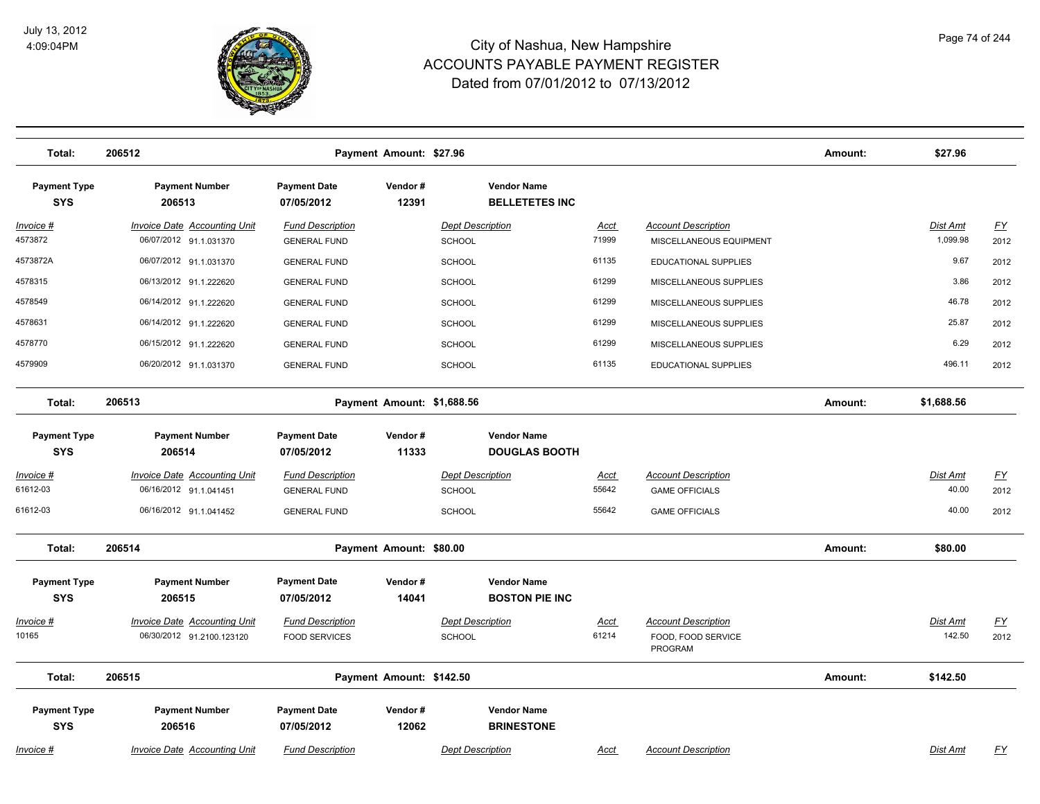

| Total:                            | 206512                                                           |                                                 | Payment Amount: \$27.96    |                                             |                      |                                                             | Amount: | \$27.96                     |                          |
|-----------------------------------|------------------------------------------------------------------|-------------------------------------------------|----------------------------|---------------------------------------------|----------------------|-------------------------------------------------------------|---------|-----------------------------|--------------------------|
| <b>Payment Type</b><br><b>SYS</b> | <b>Payment Number</b><br>206513                                  | <b>Payment Date</b><br>07/05/2012               | Vendor#<br>12391           | <b>Vendor Name</b><br><b>BELLETETES INC</b> |                      |                                                             |         |                             |                          |
| $Invoice$ #<br>4573872            | <b>Invoice Date Accounting Unit</b><br>06/07/2012 91.1.031370    | <b>Fund Description</b><br><b>GENERAL FUND</b>  |                            | <b>Dept Description</b><br><b>SCHOOL</b>    | <u>Acct</u><br>71999 | <b>Account Description</b><br>MISCELLANEOUS EQUIPMENT       |         | <b>Dist Amt</b><br>1,099.98 | EY<br>2012               |
| 4573872A                          | 06/07/2012 91.1.031370                                           | <b>GENERAL FUND</b>                             |                            | <b>SCHOOL</b>                               | 61135                | EDUCATIONAL SUPPLIES                                        |         | 9.67                        | 2012                     |
| 4578315                           | 06/13/2012 91.1.222620                                           | <b>GENERAL FUND</b>                             |                            | <b>SCHOOL</b>                               | 61299                | MISCELLANEOUS SUPPLIES                                      |         | 3.86                        | 2012                     |
| 4578549                           | 06/14/2012 91.1.222620                                           | <b>GENERAL FUND</b>                             |                            | <b>SCHOOL</b>                               | 61299                | MISCELLANEOUS SUPPLIES                                      |         | 46.78                       | 2012                     |
| 4578631                           | 06/14/2012 91.1.222620                                           | <b>GENERAL FUND</b>                             |                            | <b>SCHOOL</b>                               | 61299                | MISCELLANEOUS SUPPLIES                                      |         | 25.87                       | 2012                     |
| 4578770                           | 06/15/2012 91.1.222620                                           | <b>GENERAL FUND</b>                             |                            | <b>SCHOOL</b>                               | 61299                | MISCELLANEOUS SUPPLIES                                      |         | 6.29                        | 2012                     |
| 4579909                           | 06/20/2012 91.1.031370                                           | <b>GENERAL FUND</b>                             |                            | <b>SCHOOL</b>                               | 61135                | EDUCATIONAL SUPPLIES                                        |         | 496.11                      | 2012                     |
| Total:                            | 206513                                                           |                                                 | Payment Amount: \$1,688.56 |                                             |                      |                                                             | Amount: | \$1,688.56                  |                          |
| <b>Payment Type</b>               | <b>Payment Number</b>                                            | <b>Payment Date</b>                             | Vendor#                    | <b>Vendor Name</b>                          |                      |                                                             |         |                             |                          |
| <b>SYS</b>                        | 206514                                                           | 07/05/2012                                      | 11333                      | <b>DOUGLAS BOOTH</b>                        |                      |                                                             |         |                             |                          |
| <u>Invoice #</u>                  | Invoice Date Accounting Unit                                     | <b>Fund Description</b>                         |                            | <b>Dept Description</b>                     | <u>Acct</u>          | <b>Account Description</b>                                  |         | Dist Amt                    | $\underline{FY}$         |
| 61612-03                          | 06/16/2012 91.1.041451                                           | <b>GENERAL FUND</b>                             |                            | SCHOOL                                      | 55642                | <b>GAME OFFICIALS</b>                                       |         | 40.00                       | 2012                     |
| 61612-03                          | 06/16/2012 91.1.041452                                           | <b>GENERAL FUND</b>                             |                            | SCHOOL                                      | 55642                | <b>GAME OFFICIALS</b>                                       |         | 40.00                       | 2012                     |
| Total:                            | 206514                                                           |                                                 | Payment Amount: \$80.00    |                                             |                      |                                                             | Amount: | \$80.00                     |                          |
| <b>Payment Type</b><br><b>SYS</b> | <b>Payment Number</b><br>206515                                  | <b>Payment Date</b><br>07/05/2012               | Vendor#<br>14041           | <b>Vendor Name</b><br><b>BOSTON PIE INC</b> |                      |                                                             |         |                             |                          |
| <u> Invoice #</u><br>10165        | <b>Invoice Date Accounting Unit</b><br>06/30/2012 91.2100.123120 | <b>Fund Description</b><br><b>FOOD SERVICES</b> |                            | <b>Dept Description</b><br><b>SCHOOL</b>    | <u>Acct</u><br>61214 | <b>Account Description</b><br>FOOD, FOOD SERVICE<br>PROGRAM |         | <b>Dist Amt</b><br>142.50   | $\underline{FY}$<br>2012 |
| Total:                            | 206515                                                           |                                                 | Payment Amount: \$142.50   |                                             |                      |                                                             | Amount: | \$142.50                    |                          |
| <b>Payment Type</b><br><b>SYS</b> | <b>Payment Number</b><br>206516                                  | <b>Payment Date</b><br>07/05/2012               | Vendor#<br>12062           | <b>Vendor Name</b><br><b>BRINESTONE</b>     |                      |                                                             |         |                             |                          |
| Invoice #                         | <b>Invoice Date Accounting Unit</b>                              | <b>Fund Description</b>                         |                            | Dept Description                            | Acct                 | <b>Account Description</b>                                  |         | Dist Amt                    | FY                       |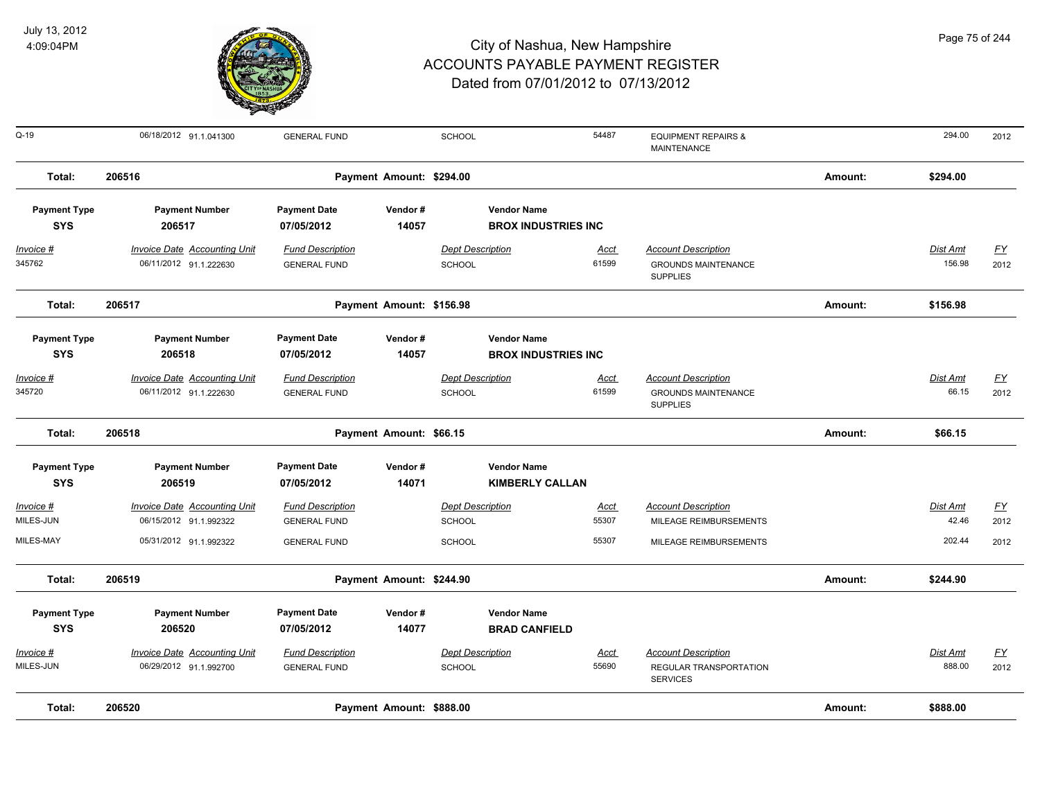

| Q-19                              | 06/18/2012 91.1.041300                                        | <b>GENERAL FUND</b>                            |                          | <b>SCHOOL</b>                            |                                                   | 54487                | <b>EQUIPMENT REPAIRS &amp;</b><br><b>MAINTENANCE</b>                        |         | 294.00                    | 2012                     |
|-----------------------------------|---------------------------------------------------------------|------------------------------------------------|--------------------------|------------------------------------------|---------------------------------------------------|----------------------|-----------------------------------------------------------------------------|---------|---------------------------|--------------------------|
| Total:                            | 206516                                                        |                                                | Payment Amount: \$294.00 |                                          |                                                   |                      |                                                                             | Amount: | \$294.00                  |                          |
| <b>Payment Type</b><br><b>SYS</b> | <b>Payment Number</b><br>206517                               | <b>Payment Date</b><br>07/05/2012              | Vendor#<br>14057         |                                          | <b>Vendor Name</b><br><b>BROX INDUSTRIES INC.</b> |                      |                                                                             |         |                           |                          |
| Invoice #<br>345762               | <b>Invoice Date Accounting Unit</b><br>06/11/2012 91.1.222630 | <b>Fund Description</b><br><b>GENERAL FUND</b> |                          | <b>Dept Description</b><br><b>SCHOOL</b> |                                                   | Acct<br>61599        | <b>Account Description</b><br><b>GROUNDS MAINTENANCE</b><br><b>SUPPLIES</b> |         | <b>Dist Amt</b><br>156.98 | <u>FY</u><br>2012        |
| Total:                            | 206517                                                        |                                                | Payment Amount: \$156.98 |                                          |                                                   |                      |                                                                             | Amount: | \$156.98                  |                          |
| <b>Payment Type</b><br><b>SYS</b> | <b>Payment Number</b><br>206518                               | <b>Payment Date</b><br>07/05/2012              | Vendor#<br>14057         |                                          | <b>Vendor Name</b><br><b>BROX INDUSTRIES INC</b>  |                      |                                                                             |         |                           |                          |
| Invoice #<br>345720               | <b>Invoice Date Accounting Unit</b><br>06/11/2012 91.1.222630 | <b>Fund Description</b><br><b>GENERAL FUND</b> |                          | <b>Dept Description</b><br><b>SCHOOL</b> |                                                   | <u>Acct</u><br>61599 | <b>Account Description</b><br><b>GROUNDS MAINTENANCE</b><br><b>SUPPLIES</b> |         | Dist Amt<br>66.15         | <u>FY</u><br>2012        |
| Total:                            | 206518                                                        |                                                | Payment Amount: \$66.15  |                                          |                                                   |                      |                                                                             | Amount: | \$66.15                   |                          |
| <b>Payment Type</b><br><b>SYS</b> | <b>Payment Number</b><br>206519                               | <b>Payment Date</b><br>07/05/2012              | Vendor#<br>14071         |                                          | <b>Vendor Name</b><br><b>KIMBERLY CALLAN</b>      |                      |                                                                             |         |                           |                          |
| Invoice #<br>MILES-JUN            | <b>Invoice Date Accounting Unit</b><br>06/15/2012 91.1.992322 | <b>Fund Description</b><br><b>GENERAL FUND</b> |                          | <b>Dept Description</b><br><b>SCHOOL</b> |                                                   | <u>Acct</u><br>55307 | <b>Account Description</b><br>MILEAGE REIMBURSEMENTS                        |         | Dist Amt<br>42.46         | $\underline{FY}$<br>2012 |
| MILES-MAY                         | 05/31/2012 91.1.992322                                        | <b>GENERAL FUND</b>                            |                          | <b>SCHOOL</b>                            |                                                   | 55307                | MILEAGE REIMBURSEMENTS                                                      |         | 202.44                    | 2012                     |
| Total:                            | 206519                                                        |                                                | Payment Amount: \$244.90 |                                          |                                                   |                      |                                                                             | Amount: | \$244.90                  |                          |
| <b>Payment Type</b><br><b>SYS</b> | <b>Payment Number</b><br>206520                               | <b>Payment Date</b><br>07/05/2012              | Vendor#<br>14077         |                                          | <b>Vendor Name</b><br><b>BRAD CANFIELD</b>        |                      |                                                                             |         |                           |                          |
| Invoice #<br>MILES-JUN            | <b>Invoice Date Accounting Unit</b><br>06/29/2012 91.1.992700 | <b>Fund Description</b><br><b>GENERAL FUND</b> |                          | <b>Dept Description</b><br><b>SCHOOL</b> |                                                   | <b>Acct</b><br>55690 | <b>Account Description</b><br>REGULAR TRANSPORTATION<br><b>SERVICES</b>     |         | Dist Amt<br>888.00        | <u>FY</u><br>2012        |
| Total:                            | 206520                                                        |                                                | Payment Amount: \$888.00 |                                          |                                                   |                      |                                                                             | Amount: | \$888.00                  |                          |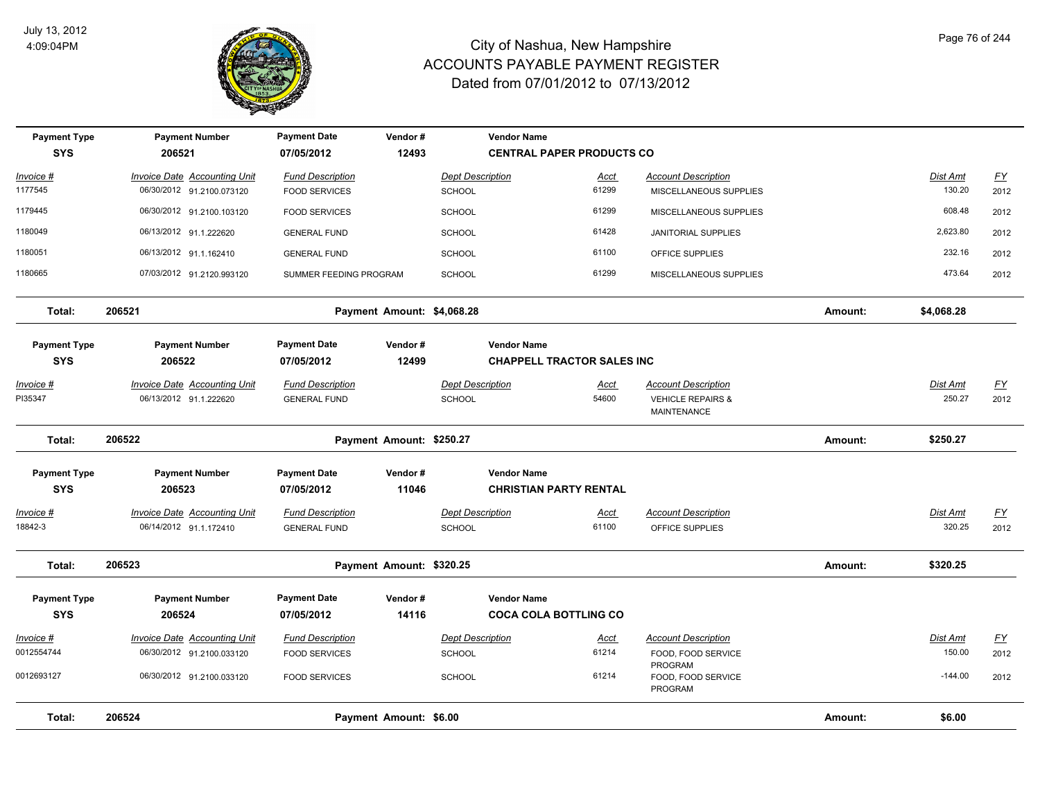

| <b>Payment Type</b><br><b>SYS</b> | <b>Payment Number</b><br>206521                               | <b>Payment Date</b><br>07/05/2012              | Vendor#<br>12493           |                                          | <b>Vendor Name</b><br><b>CENTRAL PAPER PRODUCTS CO</b>  |                                                                           |         |                           |                   |
|-----------------------------------|---------------------------------------------------------------|------------------------------------------------|----------------------------|------------------------------------------|---------------------------------------------------------|---------------------------------------------------------------------------|---------|---------------------------|-------------------|
| Invoice #                         | Invoice Date Accounting Unit                                  | <b>Fund Description</b>                        |                            | <b>Dept Description</b>                  | Acct                                                    | <b>Account Description</b>                                                |         | Dist Amt                  | <u>FY</u>         |
| 1177545                           | 06/30/2012 91.2100.073120                                     | <b>FOOD SERVICES</b>                           |                            | SCHOOL                                   | 61299                                                   | MISCELLANEOUS SUPPLIES                                                    |         | 130.20                    | 2012              |
| 1179445                           | 06/30/2012 91.2100.103120                                     | <b>FOOD SERVICES</b>                           |                            | <b>SCHOOL</b>                            | 61299                                                   | MISCELLANEOUS SUPPLIES                                                    |         | 608.48                    | 2012              |
| 1180049                           | 06/13/2012 91.1.222620                                        | <b>GENERAL FUND</b>                            |                            | <b>SCHOOL</b>                            | 61428                                                   | <b>JANITORIAL SUPPLIES</b>                                                |         | 2,623.80                  | 2012              |
| 1180051                           | 06/13/2012 91.1.162410                                        | <b>GENERAL FUND</b>                            |                            | <b>SCHOOL</b>                            | 61100                                                   | OFFICE SUPPLIES                                                           |         | 232.16                    | 2012              |
| 1180665                           | 07/03/2012 91.2120.993120                                     | SUMMER FEEDING PROGRAM                         |                            | <b>SCHOOL</b>                            | 61299                                                   | MISCELLANEOUS SUPPLIES                                                    |         | 473.64                    | 2012              |
| Total:                            | 206521                                                        |                                                | Payment Amount: \$4,068.28 |                                          |                                                         |                                                                           | Amount: | \$4,068.28                |                   |
| <b>Payment Type</b><br><b>SYS</b> | <b>Payment Number</b><br>206522                               | <b>Payment Date</b><br>07/05/2012              | Vendor#<br>12499           |                                          | <b>Vendor Name</b><br><b>CHAPPELL TRACTOR SALES INC</b> |                                                                           |         |                           |                   |
| <u> Invoice #</u><br>PI35347      | <b>Invoice Date Accounting Unit</b><br>06/13/2012 91.1.222620 | <b>Fund Description</b><br><b>GENERAL FUND</b> |                            | <b>Dept Description</b><br><b>SCHOOL</b> | <u>Acct</u><br>54600                                    | <b>Account Description</b><br><b>VEHICLE REPAIRS &amp;</b><br>MAINTENANCE |         | <b>Dist Amt</b><br>250.27 | <u>FY</u><br>2012 |
| Total:                            | 206522                                                        |                                                | Payment Amount: \$250.27   |                                          |                                                         |                                                                           | Amount: | \$250.27                  |                   |
| <b>Payment Type</b><br><b>SYS</b> | <b>Payment Number</b><br>206523                               | <b>Payment Date</b><br>07/05/2012              | Vendor#<br>11046           |                                          | <b>Vendor Name</b><br><b>CHRISTIAN PARTY RENTAL</b>     |                                                                           |         |                           |                   |
| Invoice #<br>18842-3              | <b>Invoice Date Accounting Unit</b><br>06/14/2012 91.1.172410 | <b>Fund Description</b><br><b>GENERAL FUND</b> |                            | <b>Dept Description</b><br><b>SCHOOL</b> | <u>Acct</u><br>61100                                    | <b>Account Description</b><br>OFFICE SUPPLIES                             |         | Dist Amt<br>320.25        | <u>FY</u><br>2012 |
| Total:                            | 206523                                                        |                                                | Payment Amount: \$320.25   |                                          |                                                         |                                                                           | Amount: | \$320.25                  |                   |
| <b>Payment Type</b><br><b>SYS</b> | <b>Payment Number</b><br>206524                               | <b>Payment Date</b><br>07/05/2012              | Vendor#<br>14116           |                                          | <b>Vendor Name</b><br><b>COCA COLA BOTTLING CO</b>      |                                                                           |         |                           |                   |
| Invoice #                         | <b>Invoice Date Accounting Unit</b>                           | <b>Fund Description</b>                        |                            | <b>Dept Description</b>                  | <u>Acct</u>                                             | <b>Account Description</b>                                                |         | Dist Amt                  | $\underline{FY}$  |
| 0012554744                        | 06/30/2012 91.2100.033120                                     | <b>FOOD SERVICES</b>                           |                            | <b>SCHOOL</b>                            | 61214                                                   | FOOD, FOOD SERVICE                                                        |         | 150.00                    | 2012              |
| 0012693127                        | 06/30/2012 91.2100.033120                                     | <b>FOOD SERVICES</b>                           |                            | <b>SCHOOL</b>                            | 61214                                                   | PROGRAM<br>FOOD, FOOD SERVICE<br>PROGRAM                                  |         | $-144.00$                 | 2012              |
| Total:                            | 206524                                                        |                                                | Payment Amount: \$6.00     |                                          |                                                         |                                                                           | Amount: | \$6.00                    |                   |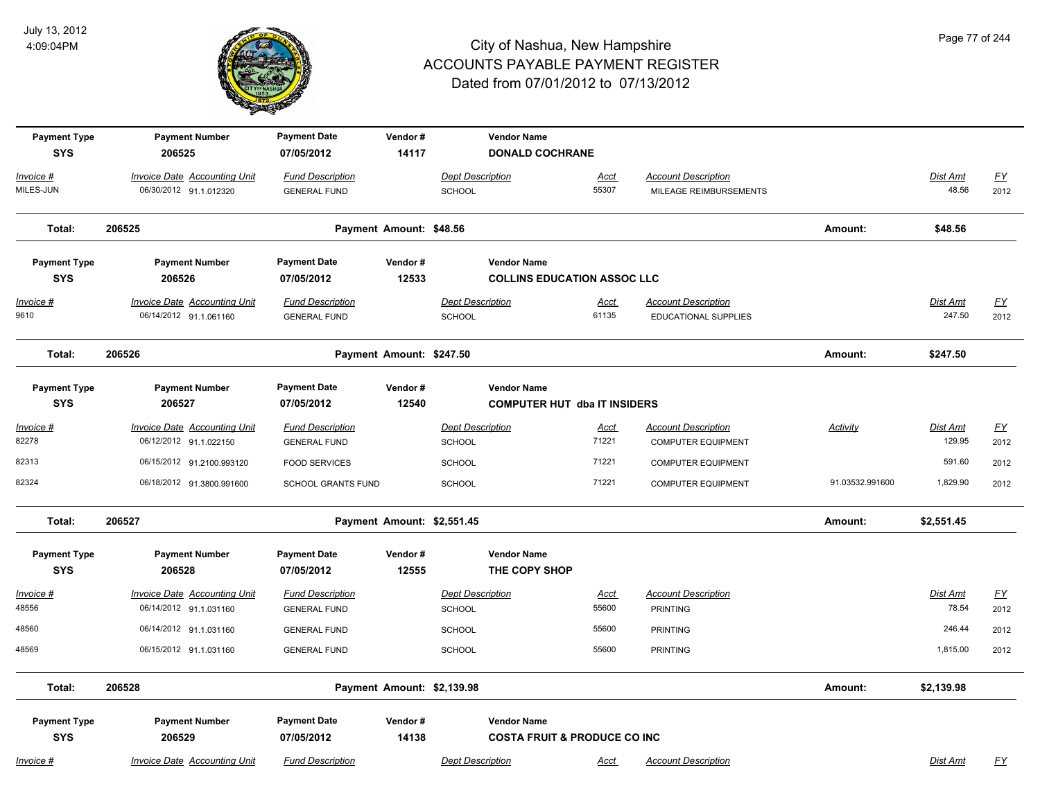

| <b>Payment Type</b><br><b>SYS</b> | <b>Payment Number</b><br>206525                               | <b>Payment Date</b><br>07/05/2012              | Vendor#<br>14117           |                                          | <b>Vendor Name</b><br><b>DONALD COCHRANE</b>                  |                      |                                                         |                 |                    |                          |
|-----------------------------------|---------------------------------------------------------------|------------------------------------------------|----------------------------|------------------------------------------|---------------------------------------------------------------|----------------------|---------------------------------------------------------|-----------------|--------------------|--------------------------|
| Invoice #                         | <b>Invoice Date Accounting Unit</b>                           | <b>Fund Description</b>                        |                            | <b>Dept Description</b>                  |                                                               | <u>Acct</u>          | <b>Account Description</b>                              |                 | Dist Amt           | $FY$                     |
| MILES-JUN                         | 06/30/2012 91.1.012320                                        | <b>GENERAL FUND</b>                            |                            | <b>SCHOOL</b>                            |                                                               | 55307                | MILEAGE REIMBURSEMENTS                                  |                 | 48.56              | 2012                     |
| Total:                            | 206525                                                        |                                                | Payment Amount: \$48.56    |                                          |                                                               |                      |                                                         | Amount:         | \$48.56            |                          |
| <b>Payment Type</b>               | <b>Payment Number</b>                                         | <b>Payment Date</b>                            | Vendor#                    |                                          | <b>Vendor Name</b>                                            |                      |                                                         |                 |                    |                          |
| <b>SYS</b>                        | 206526                                                        | 07/05/2012                                     | 12533                      |                                          | <b>COLLINS EDUCATION ASSOC LLC</b>                            |                      |                                                         |                 |                    |                          |
| Invoice #<br>9610                 | <b>Invoice Date Accounting Unit</b><br>06/14/2012 91.1.061160 | <b>Fund Description</b><br><b>GENERAL FUND</b> |                            | <b>Dept Description</b><br>SCHOOL        |                                                               | <b>Acct</b><br>61135 | <b>Account Description</b><br>EDUCATIONAL SUPPLIES      |                 | Dist Amt<br>247.50 | <u>FY</u><br>2012        |
| Total:                            | 206526                                                        |                                                | Payment Amount: \$247.50   |                                          |                                                               |                      |                                                         | Amount:         | \$247.50           |                          |
| <b>Payment Type</b>               | <b>Payment Number</b>                                         | <b>Payment Date</b>                            | Vendor#                    |                                          | <b>Vendor Name</b>                                            |                      |                                                         |                 |                    |                          |
| <b>SYS</b>                        | 206527                                                        | 07/05/2012                                     | 12540                      |                                          | <b>COMPUTER HUT dba IT INSIDERS</b>                           |                      |                                                         |                 |                    |                          |
| Invoice #<br>82278                | <b>Invoice Date Accounting Unit</b><br>06/12/2012 91.1.022150 | <b>Fund Description</b><br><b>GENERAL FUND</b> |                            | <b>Dept Description</b><br><b>SCHOOL</b> |                                                               | <u>Acct</u><br>71221 | <b>Account Description</b><br><b>COMPUTER EQUIPMENT</b> | Activity        | Dist Amt<br>129.95 | $\underline{FY}$<br>2012 |
| 82313                             | 06/15/2012 91.2100.993120                                     | <b>FOOD SERVICES</b>                           |                            | <b>SCHOOL</b>                            |                                                               | 71221                | <b>COMPUTER EQUIPMENT</b>                               |                 | 591.60             | 2012                     |
| 82324                             | 06/18/2012 91.3800.991600                                     | SCHOOL GRANTS FUND                             |                            | <b>SCHOOL</b>                            |                                                               | 71221                | <b>COMPUTER EQUIPMENT</b>                               | 91.03532.991600 | 1,829.90           | 2012                     |
| Total:                            | 206527                                                        |                                                | Payment Amount: \$2,551.45 |                                          |                                                               |                      |                                                         | Amount:         | \$2,551.45         |                          |
| <b>Payment Type</b><br><b>SYS</b> | <b>Payment Number</b><br>206528                               | <b>Payment Date</b><br>07/05/2012              | Vendor#<br>12555           |                                          | <b>Vendor Name</b><br>THE COPY SHOP                           |                      |                                                         |                 |                    |                          |
| <u> Invoice #</u><br>48556        | <b>Invoice Date Accounting Unit</b><br>06/14/2012 91.1.031160 | <b>Fund Description</b><br><b>GENERAL FUND</b> |                            | <b>Dept Description</b><br><b>SCHOOL</b> |                                                               | <u>Acct</u><br>55600 | <b>Account Description</b><br><b>PRINTING</b>           |                 | Dist Amt<br>78.54  | $\underline{FY}$<br>2012 |
| 48560                             | 06/14/2012 91.1.031160                                        | <b>GENERAL FUND</b>                            |                            | <b>SCHOOL</b>                            |                                                               | 55600                | <b>PRINTING</b>                                         |                 | 246.44             | 2012                     |
| 48569                             | 06/15/2012 91.1.031160                                        | <b>GENERAL FUND</b>                            |                            | <b>SCHOOL</b>                            |                                                               | 55600                | <b>PRINTING</b>                                         |                 | 1,815.00           | 2012                     |
| Total:                            | 206528                                                        |                                                | Payment Amount: \$2,139.98 |                                          |                                                               |                      |                                                         | Amount:         | \$2,139.98         |                          |
| <b>Payment Type</b><br><b>SYS</b> | <b>Payment Number</b><br>206529                               | <b>Payment Date</b><br>07/05/2012              | Vendor#<br>14138           |                                          | <b>Vendor Name</b><br><b>COSTA FRUIT &amp; PRODUCE CO INC</b> |                      |                                                         |                 |                    |                          |
| Invoice #                         | Invoice Date Accounting Unit                                  | <b>Fund Description</b>                        |                            | <b>Dept Description</b>                  |                                                               | Acct                 | <b>Account Description</b>                              |                 | Dist Amt           | FY                       |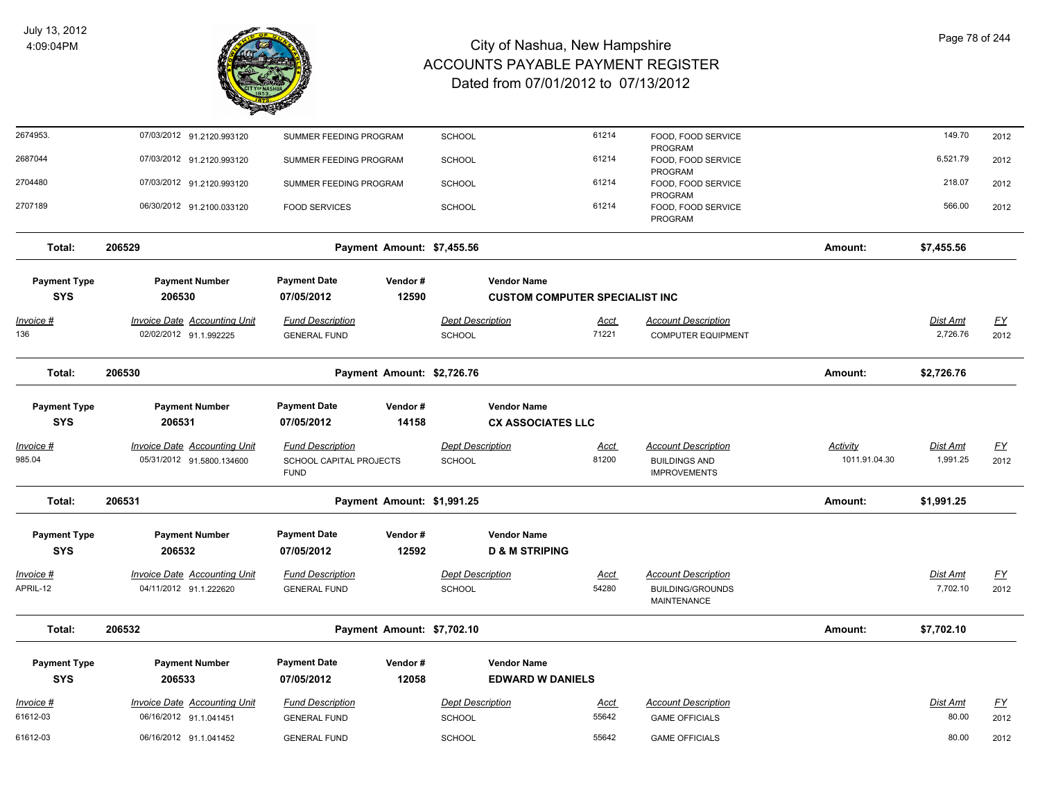

| 2674953.                          | 07/03/2012 91.2120.993120                                     | SUMMER FEEDING PROGRAM                                | <b>SCHOOL</b>                     |                                                 | 61214                | FOOD, FOOD SERVICE<br>PROGRAM                           |               | 149.70               | 2012                      |
|-----------------------------------|---------------------------------------------------------------|-------------------------------------------------------|-----------------------------------|-------------------------------------------------|----------------------|---------------------------------------------------------|---------------|----------------------|---------------------------|
| 2687044                           | 07/03/2012 91.2120.993120                                     | SUMMER FEEDING PROGRAM                                | SCHOOL                            |                                                 | 61214                | FOOD, FOOD SERVICE<br>PROGRAM                           |               | 6,521.79             | 2012                      |
| 2704480                           | 07/03/2012 91.2120.993120                                     | SUMMER FEEDING PROGRAM                                | <b>SCHOOL</b>                     |                                                 | 61214                | FOOD, FOOD SERVICE<br>PROGRAM                           |               | 218.07               | 2012                      |
| 2707189                           | 06/30/2012 91.2100.033120                                     | <b>FOOD SERVICES</b>                                  | SCHOOL                            |                                                 | 61214                | FOOD, FOOD SERVICE<br>PROGRAM                           |               | 566.00               | 2012                      |
| Total:                            | 206529                                                        | Payment Amount: \$7,455.56                            |                                   |                                                 |                      |                                                         | Amount:       | \$7,455.56           |                           |
| <b>Payment Type</b>               | <b>Payment Number</b>                                         | <b>Payment Date</b><br>Vendor#                        |                                   | <b>Vendor Name</b>                              |                      |                                                         |               |                      |                           |
| <b>SYS</b>                        | 206530                                                        | 12590<br>07/05/2012                                   |                                   | <b>CUSTOM COMPUTER SPECIALIST INC</b>           |                      |                                                         |               |                      |                           |
| <u>Invoice #</u><br>136           | <b>Invoice Date Accounting Unit</b><br>02/02/2012 91.1.992225 | <b>Fund Description</b><br><b>GENERAL FUND</b>        | <b>Dept Description</b><br>SCHOOL |                                                 | <u>Acct</u><br>71221 | <b>Account Description</b><br><b>COMPUTER EQUIPMENT</b> |               | Dist Amt<br>2,726.76 | <u>FY</u><br>2012         |
| Total:                            | 206530                                                        | Payment Amount: \$2,726.76                            |                                   |                                                 |                      |                                                         | Amount:       | \$2,726.76           |                           |
| <b>Payment Type</b><br><b>SYS</b> | <b>Payment Number</b><br>206531                               | <b>Payment Date</b><br>Vendor#<br>14158<br>07/05/2012 |                                   | <b>Vendor Name</b><br><b>CX ASSOCIATES LLC</b>  |                      |                                                         |               |                      |                           |
| Invoice #                         | Invoice Date Accounting Unit                                  | <b>Fund Description</b>                               | <b>Dept Description</b>           |                                                 | Acct                 | <b>Account Description</b>                              | Activity      | Dist Amt             | $\underline{\mathsf{FY}}$ |
| 985.04                            | 05/31/2012 91.5800.134600                                     | SCHOOL CAPITAL PROJECTS<br><b>FUND</b>                | SCHOOL                            |                                                 | 81200                | <b>BUILDINGS AND</b><br><b>IMPROVEMENTS</b>             | 1011.91.04.30 | 1,991.25             | 2012                      |
| Total:                            | 206531                                                        | Payment Amount: \$1,991.25                            |                                   |                                                 |                      |                                                         | Amount:       | \$1,991.25           |                           |
| <b>Payment Type</b><br><b>SYS</b> | <b>Payment Number</b><br>206532                               | <b>Payment Date</b><br>Vendor#<br>12592<br>07/05/2012 |                                   | <b>Vendor Name</b><br><b>D &amp; M STRIPING</b> |                      |                                                         |               |                      |                           |
| Invoice #                         | <b>Invoice Date Accounting Unit</b>                           | <b>Fund Description</b>                               | <b>Dept Description</b>           |                                                 | <u>Acct</u>          | <b>Account Description</b>                              |               | <u>Dist Amt</u>      | <u>FY</u>                 |
| APRIL-12                          | 04/11/2012 91.1.222620                                        | <b>GENERAL FUND</b>                                   | SCHOOL                            |                                                 | 54280                | <b>BUILDING/GROUNDS</b><br><b>MAINTENANCE</b>           |               | 7,702.10             | 2012                      |
| Total:                            | 206532                                                        | Payment Amount: \$7,702.10                            |                                   |                                                 |                      |                                                         | Amount:       | \$7,702.10           |                           |
| <b>Payment Type</b><br><b>SYS</b> | <b>Payment Number</b><br>206533                               | <b>Payment Date</b><br>Vendor#<br>07/05/2012<br>12058 |                                   | <b>Vendor Name</b><br><b>EDWARD W DANIELS</b>   |                      |                                                         |               |                      |                           |
| Invoice #                         | <b>Invoice Date Accounting Unit</b>                           | <b>Fund Description</b>                               | <b>Dept Description</b>           |                                                 | Acct                 | <b>Account Description</b>                              |               | Dist Amt             | <u>FY</u>                 |
| 61612-03                          | 06/16/2012 91.1.041451                                        | <b>GENERAL FUND</b>                                   | <b>SCHOOL</b>                     |                                                 | 55642                | <b>GAME OFFICIALS</b>                                   |               | 80.00                | 2012                      |
| 61612-03                          | 06/16/2012 91.1.041452                                        | <b>GENERAL FUND</b>                                   | <b>SCHOOL</b>                     |                                                 | 55642                | <b>GAME OFFICIALS</b>                                   |               | 80.00                | 2012                      |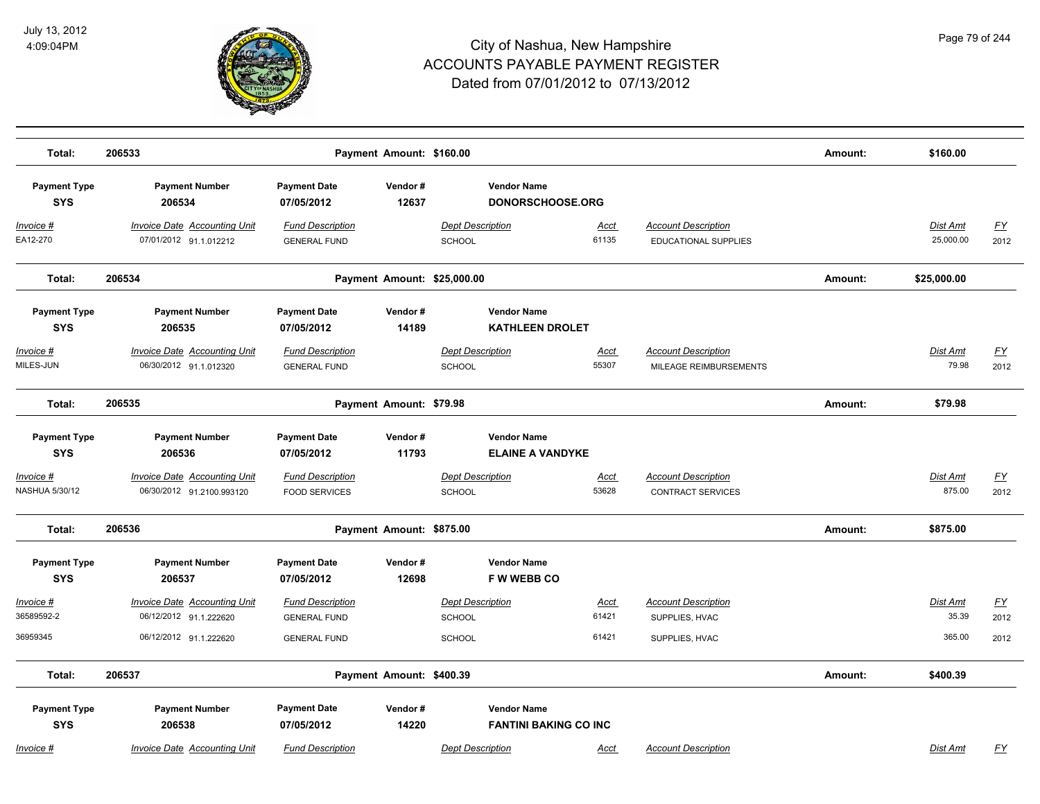

| Total:                            | 206533                                                        | Payment Amount: \$160.00                        |                  |                                                    |                      |                                                        | Amount: | \$160.00              |                   |
|-----------------------------------|---------------------------------------------------------------|-------------------------------------------------|------------------|----------------------------------------------------|----------------------|--------------------------------------------------------|---------|-----------------------|-------------------|
| <b>Payment Type</b><br><b>SYS</b> | <b>Payment Number</b><br>206534                               | <b>Payment Date</b><br>07/05/2012               | Vendor#<br>12637 | <b>Vendor Name</b><br>DONORSCHOOSE.ORG             |                      |                                                        |         |                       |                   |
| <u> Invoice #</u><br>EA12-270     | <b>Invoice Date Accounting Unit</b><br>07/01/2012 91.1.012212 | <b>Fund Description</b><br><b>GENERAL FUND</b>  |                  | <b>Dept Description</b><br>SCHOOL                  | <b>Acct</b><br>61135 | <b>Account Description</b><br>EDUCATIONAL SUPPLIES     |         | Dist Amt<br>25,000.00 | <u>FY</u><br>2012 |
| Total:                            | 206534                                                        |                                                 |                  | Payment Amount: \$25,000.00                        |                      |                                                        | Amount: | \$25,000.00           |                   |
| <b>Payment Type</b><br><b>SYS</b> | <b>Payment Number</b><br>206535                               | <b>Payment Date</b><br>07/05/2012               | Vendor#<br>14189 | <b>Vendor Name</b><br><b>KATHLEEN DROLET</b>       |                      |                                                        |         |                       |                   |
| Invoice #<br>MILES-JUN            | <b>Invoice Date Accounting Unit</b><br>06/30/2012 91.1.012320 | <b>Fund Description</b><br><b>GENERAL FUND</b>  |                  | <b>Dept Description</b><br><b>SCHOOL</b>           | <b>Acct</b><br>55307 | <b>Account Description</b><br>MILEAGE REIMBURSEMENTS   |         | Dist Amt<br>79.98     | <u>FY</u><br>2012 |
| Total:                            | 206535                                                        | Payment Amount: \$79.98                         |                  |                                                    |                      |                                                        | Amount: | \$79.98               |                   |
| <b>Payment Type</b><br><b>SYS</b> | <b>Payment Number</b><br>206536                               | <b>Payment Date</b><br>07/05/2012               | Vendor#<br>11793 | <b>Vendor Name</b><br><b>ELAINE A VANDYKE</b>      |                      |                                                        |         |                       |                   |
| Invoice #<br>NASHUA 5/30/12       | Invoice Date Accounting Unit<br>06/30/2012 91.2100.993120     | <b>Fund Description</b><br><b>FOOD SERVICES</b> |                  | Dept Description<br>SCHOOL                         | Acct<br>53628        | <b>Account Description</b><br><b>CONTRACT SERVICES</b> |         | Dist Amt<br>875.00    | <u>FY</u><br>2012 |
| Total:                            | 206536                                                        | Payment Amount: \$875.00                        |                  |                                                    |                      |                                                        | Amount: | \$875.00              |                   |
| <b>Payment Type</b><br><b>SYS</b> | <b>Payment Number</b><br>206537                               | <b>Payment Date</b><br>07/05/2012               | Vendor#<br>12698 | <b>Vendor Name</b><br><b>FWWEBBCO</b>              |                      |                                                        |         |                       |                   |
| <u> Invoice #</u><br>36589592-2   | <b>Invoice Date Accounting Unit</b><br>06/12/2012 91.1.222620 | <b>Fund Description</b><br><b>GENERAL FUND</b>  |                  | <b>Dept Description</b><br><b>SCHOOL</b>           | Acct<br>61421        | <b>Account Description</b><br>SUPPLIES, HVAC           |         | Dist Amt<br>35.39     | <u>FY</u><br>2012 |
| 36959345                          | 06/12/2012 91.1.222620                                        | <b>GENERAL FUND</b>                             |                  | <b>SCHOOL</b>                                      | 61421                | SUPPLIES, HVAC                                         |         | 365.00                | 2012              |
| Total:                            | 206537                                                        | Payment Amount: \$400.39                        |                  |                                                    |                      |                                                        | Amount: | \$400.39              |                   |
| <b>Payment Type</b><br><b>SYS</b> | <b>Payment Number</b><br>206538                               | <b>Payment Date</b><br>07/05/2012               | Vendor#<br>14220 | <b>Vendor Name</b><br><b>FANTINI BAKING CO INC</b> |                      |                                                        |         |                       |                   |
| Invoice #                         | Invoice Date Accounting Unit                                  | <b>Fund Description</b>                         |                  | <b>Dept Description</b>                            | Acct                 | <b>Account Description</b>                             |         | <b>Dist Amt</b>       | <b>FY</b>         |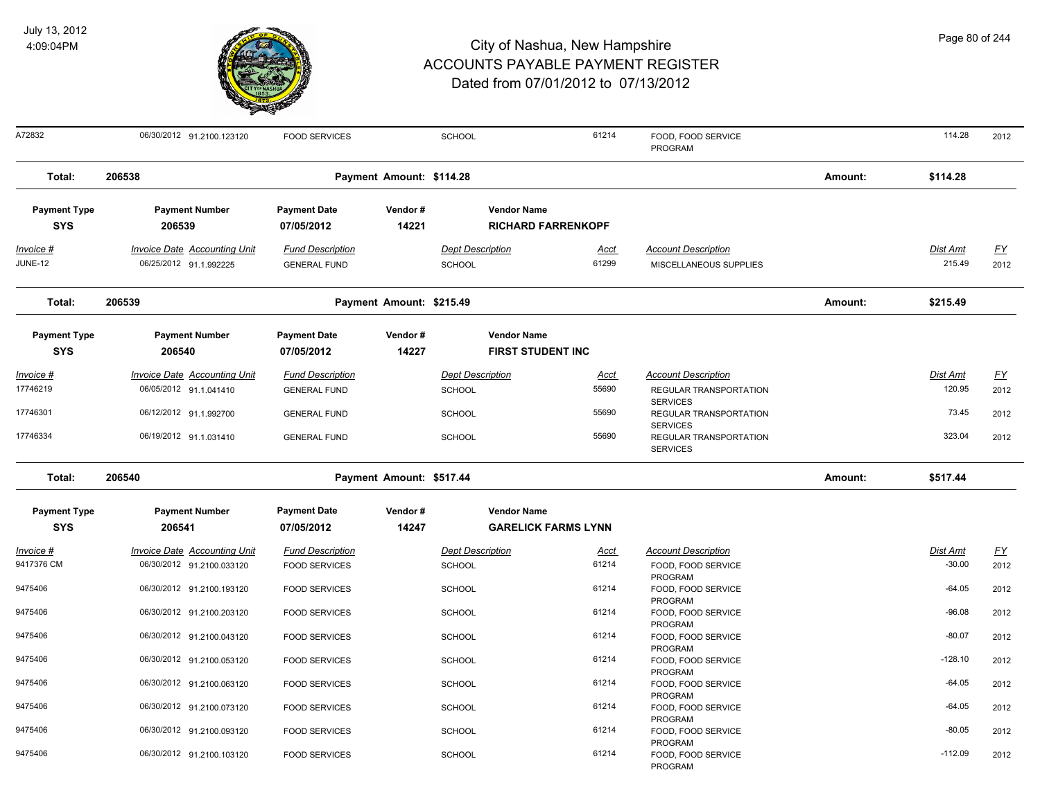

| Page 80 of 244 |  |  |  |
|----------------|--|--|--|
|----------------|--|--|--|

| A72832                            | 06/30/2012 91.2100.123120           | <b>FOOD SERVICES</b>              |                          | SCHOOL                  |                                                  | 61214       | FOOD, FOOD SERVICE<br><b>PROGRAM</b>      |         | 114.28          | 2012      |
|-----------------------------------|-------------------------------------|-----------------------------------|--------------------------|-------------------------|--------------------------------------------------|-------------|-------------------------------------------|---------|-----------------|-----------|
| Total:                            | 206538                              |                                   | Payment Amount: \$114.28 |                         |                                                  |             |                                           | Amount: | \$114.28        |           |
| <b>Payment Type</b>               | <b>Payment Number</b>               | <b>Payment Date</b>               | Vendor#                  |                         | <b>Vendor Name</b>                               |             |                                           |         |                 |           |
| <b>SYS</b>                        | 206539                              | 07/05/2012                        | 14221                    |                         | <b>RICHARD FARRENKOPF</b>                        |             |                                           |         |                 |           |
| $Invoice$ #                       | <b>Invoice Date Accounting Unit</b> | <b>Fund Description</b>           |                          | <b>Dept Description</b> |                                                  | Acct        | <b>Account Description</b>                |         | <b>Dist Amt</b> | <u>FY</u> |
| <b>JUNE-12</b>                    | 06/25/2012 91.1.992225              | <b>GENERAL FUND</b>               |                          | <b>SCHOOL</b>           |                                                  | 61299       | MISCELLANEOUS SUPPLIES                    |         | 215.49          | 2012      |
| Total:                            | 206539                              |                                   | Payment Amount: \$215.49 |                         |                                                  |             |                                           | Amount: | \$215.49        |           |
| <b>Payment Type</b>               | <b>Payment Number</b>               | <b>Payment Date</b>               | Vendor#                  |                         | <b>Vendor Name</b>                               |             |                                           |         |                 |           |
| <b>SYS</b>                        | 206540                              | 07/05/2012                        | 14227                    |                         | <b>FIRST STUDENT INC</b>                         |             |                                           |         |                 |           |
| Invoice #                         | Invoice Date Accounting Unit        | <b>Fund Description</b>           |                          | <b>Dept Description</b> |                                                  | Acct        | <b>Account Description</b>                |         | Dist Amt        | <u>FY</u> |
| 17746219                          | 06/05/2012 91.1.041410              | <b>GENERAL FUND</b>               |                          | <b>SCHOOL</b>           |                                                  | 55690       | REGULAR TRANSPORTATION                    |         | 120.95          | 2012      |
|                                   |                                     |                                   |                          |                         |                                                  |             | <b>SERVICES</b>                           |         |                 |           |
| 17746301                          | 06/12/2012 91.1.992700              | <b>GENERAL FUND</b>               |                          | <b>SCHOOL</b>           |                                                  | 55690       | REGULAR TRANSPORTATION<br><b>SERVICES</b> |         | 73.45           | 2012      |
| 17746334                          | 06/19/2012 91.1.031410              | <b>GENERAL FUND</b>               |                          | <b>SCHOOL</b>           |                                                  | 55690       | REGULAR TRANSPORTATION<br><b>SERVICES</b> |         | 323.04          | 2012      |
| Total:                            | 206540                              |                                   | Payment Amount: \$517.44 |                         |                                                  |             |                                           | Amount: | \$517.44        |           |
| <b>Payment Type</b><br><b>SYS</b> | <b>Payment Number</b><br>206541     | <b>Payment Date</b><br>07/05/2012 | Vendor#<br>14247         |                         | <b>Vendor Name</b><br><b>GARELICK FARMS LYNN</b> |             |                                           |         |                 |           |
| Invoice #                         | Invoice Date Accounting Unit        | <b>Fund Description</b>           |                          | <b>Dept Description</b> |                                                  | <b>Acct</b> | <b>Account Description</b>                |         | Dist Amt        | EY        |
| 9417376 CM                        | 06/30/2012 91.2100.033120           | <b>FOOD SERVICES</b>              |                          | SCHOOL                  |                                                  | 61214       | FOOD, FOOD SERVICE<br>PROGRAM             |         | $-30.00$        | 2012      |
| 9475406                           | 06/30/2012 91.2100.193120           | <b>FOOD SERVICES</b>              |                          | <b>SCHOOL</b>           |                                                  | 61214       | FOOD, FOOD SERVICE<br>PROGRAM             |         | $-64.05$        | 2012      |
| 9475406                           | 06/30/2012 91.2100.203120           | <b>FOOD SERVICES</b>              |                          | <b>SCHOOL</b>           |                                                  | 61214       | FOOD, FOOD SERVICE<br>PROGRAM             |         | $-96.08$        | 2012      |
| 9475406                           | 06/30/2012 91.2100.043120           | <b>FOOD SERVICES</b>              |                          | SCHOOL                  |                                                  | 61214       | FOOD, FOOD SERVICE<br>PROGRAM             |         | $-80.07$        | 2012      |
| 9475406                           | 06/30/2012 91.2100.053120           | <b>FOOD SERVICES</b>              |                          | SCHOOL                  |                                                  | 61214       | FOOD, FOOD SERVICE<br>PROGRAM             |         | $-128.10$       | 2012      |
| 9475406                           | 06/30/2012 91.2100.063120           | <b>FOOD SERVICES</b>              |                          | SCHOOL                  |                                                  | 61214       | FOOD, FOOD SERVICE<br><b>PROGRAM</b>      |         | $-64.05$        | 2012      |
| 9475406                           | 06/30/2012 91.2100.073120           | <b>FOOD SERVICES</b>              |                          | <b>SCHOOL</b>           |                                                  | 61214       | FOOD, FOOD SERVICE<br>PROGRAM             |         | $-64.05$        | 2012      |
| 9475406                           | 06/30/2012 91.2100.093120           | <b>FOOD SERVICES</b>              |                          | <b>SCHOOL</b>           |                                                  | 61214       | FOOD, FOOD SERVICE<br>PROGRAM             |         | $-80.05$        | 2012      |
| 9475406                           | 06/30/2012 91.2100.103120           | <b>FOOD SERVICES</b>              |                          | SCHOOL                  |                                                  | 61214       | FOOD, FOOD SERVICE<br>PROGRAM             |         | $-112.09$       | 2012      |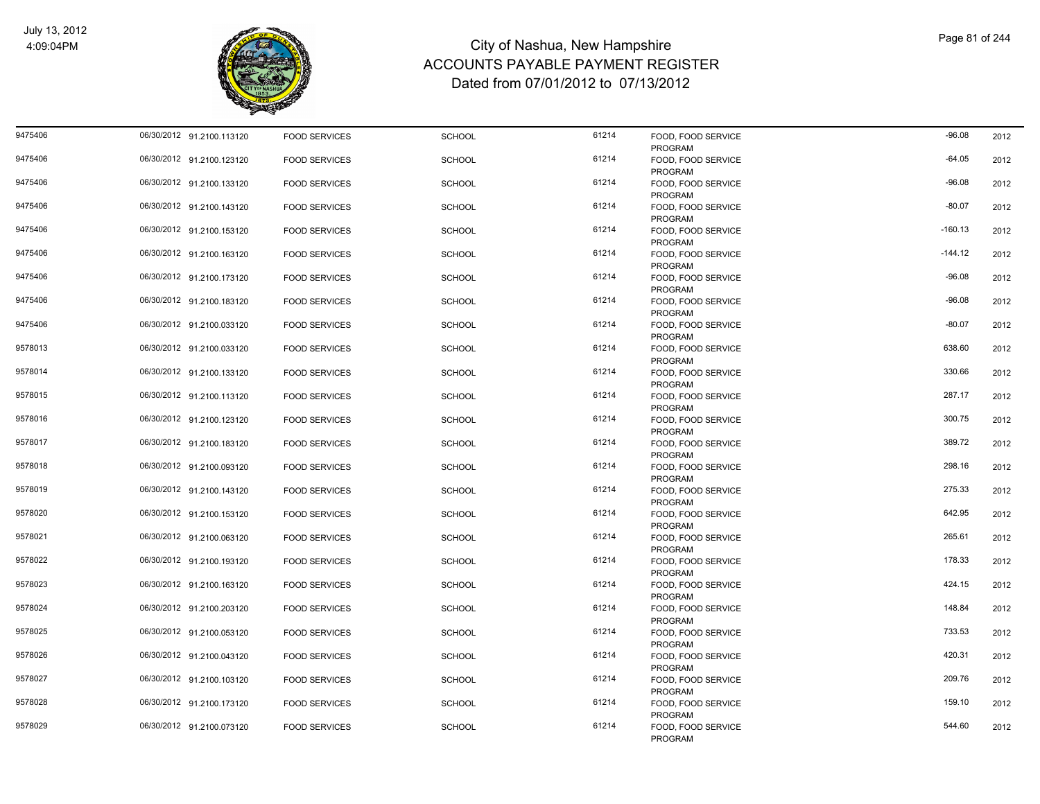

| 9475406 | 06/30/2012 91.2100.113120 | <b>FOOD SERVICES</b> | <b>SCHOOL</b> | 61214 | FOOD, FOOD SERVICE<br><b>PROGRAM</b> | $-96.08$  | 2012 |
|---------|---------------------------|----------------------|---------------|-------|--------------------------------------|-----------|------|
| 9475406 | 06/30/2012 91.2100.123120 | <b>FOOD SERVICES</b> | <b>SCHOOL</b> | 61214 | FOOD. FOOD SERVICE<br><b>PROGRAM</b> | $-64.05$  | 2012 |
| 9475406 | 06/30/2012 91.2100.133120 | <b>FOOD SERVICES</b> | <b>SCHOOL</b> | 61214 | FOOD, FOOD SERVICE<br><b>PROGRAM</b> | $-96.08$  | 2012 |
| 9475406 | 06/30/2012 91.2100.143120 | <b>FOOD SERVICES</b> | <b>SCHOOL</b> | 61214 | FOOD, FOOD SERVICE<br><b>PROGRAM</b> | $-80.07$  | 2012 |
| 9475406 | 06/30/2012 91.2100.153120 | <b>FOOD SERVICES</b> | <b>SCHOOL</b> | 61214 | FOOD, FOOD SERVICE<br><b>PROGRAM</b> | $-160.13$ | 2012 |
| 9475406 | 06/30/2012 91.2100.163120 | <b>FOOD SERVICES</b> | <b>SCHOOL</b> | 61214 | FOOD, FOOD SERVICE<br>PROGRAM        | $-144.12$ | 2012 |
| 9475406 | 06/30/2012 91.2100.173120 | <b>FOOD SERVICES</b> | <b>SCHOOL</b> | 61214 | FOOD, FOOD SERVICE<br><b>PROGRAM</b> | $-96.08$  | 2012 |
| 9475406 | 06/30/2012 91.2100.183120 | <b>FOOD SERVICES</b> | <b>SCHOOL</b> | 61214 | FOOD, FOOD SERVICE<br><b>PROGRAM</b> | $-96.08$  | 2012 |
| 9475406 | 06/30/2012 91.2100.033120 | <b>FOOD SERVICES</b> | <b>SCHOOL</b> | 61214 | FOOD, FOOD SERVICE<br>PROGRAM        | $-80.07$  | 2012 |
| 9578013 | 06/30/2012 91.2100.033120 | <b>FOOD SERVICES</b> | <b>SCHOOL</b> | 61214 | FOOD, FOOD SERVICE<br>PROGRAM        | 638.60    | 2012 |
| 9578014 | 06/30/2012 91.2100.133120 | <b>FOOD SERVICES</b> | <b>SCHOOL</b> | 61214 | FOOD, FOOD SERVICE<br><b>PROGRAM</b> | 330.66    | 2012 |
| 9578015 | 06/30/2012 91.2100.113120 | <b>FOOD SERVICES</b> | <b>SCHOOL</b> | 61214 | FOOD, FOOD SERVICE<br>PROGRAM        | 287.17    | 2012 |
| 9578016 | 06/30/2012 91.2100.123120 | <b>FOOD SERVICES</b> | <b>SCHOOL</b> | 61214 | FOOD, FOOD SERVICE<br>PROGRAM        | 300.75    | 2012 |
| 9578017 | 06/30/2012 91.2100.183120 | <b>FOOD SERVICES</b> | <b>SCHOOL</b> | 61214 | FOOD, FOOD SERVICE<br>PROGRAM        | 389.72    | 2012 |
| 9578018 | 06/30/2012 91.2100.093120 | <b>FOOD SERVICES</b> | <b>SCHOOL</b> | 61214 | FOOD, FOOD SERVICE<br>PROGRAM        | 298.16    | 2012 |
| 9578019 | 06/30/2012 91.2100.143120 | <b>FOOD SERVICES</b> | <b>SCHOOL</b> | 61214 | FOOD, FOOD SERVICE<br>PROGRAM        | 275.33    | 2012 |
| 9578020 | 06/30/2012 91.2100.153120 | <b>FOOD SERVICES</b> | <b>SCHOOL</b> | 61214 | FOOD, FOOD SERVICE<br>PROGRAM        | 642.95    | 2012 |
| 9578021 | 06/30/2012 91.2100.063120 | <b>FOOD SERVICES</b> | <b>SCHOOL</b> | 61214 | FOOD, FOOD SERVICE<br>PROGRAM        | 265.61    | 2012 |
| 9578022 | 06/30/2012 91.2100.193120 | <b>FOOD SERVICES</b> | <b>SCHOOL</b> | 61214 | FOOD, FOOD SERVICE<br>PROGRAM        | 178.33    | 2012 |
| 9578023 | 06/30/2012 91.2100.163120 | <b>FOOD SERVICES</b> | <b>SCHOOL</b> | 61214 | FOOD, FOOD SERVICE<br>PROGRAM        | 424.15    | 2012 |
| 9578024 | 06/30/2012 91.2100.203120 | <b>FOOD SERVICES</b> | <b>SCHOOL</b> | 61214 | FOOD, FOOD SERVICE<br>PROGRAM        | 148.84    | 2012 |
| 9578025 | 06/30/2012 91.2100.053120 | <b>FOOD SERVICES</b> | <b>SCHOOL</b> | 61214 | FOOD, FOOD SERVICE<br>PROGRAM        | 733.53    | 2012 |
| 9578026 | 06/30/2012 91.2100.043120 | <b>FOOD SERVICES</b> | <b>SCHOOL</b> | 61214 | FOOD, FOOD SERVICE<br>PROGRAM        | 420.31    | 2012 |
| 9578027 | 06/30/2012 91.2100.103120 | <b>FOOD SERVICES</b> | <b>SCHOOL</b> | 61214 | FOOD, FOOD SERVICE<br>PROGRAM        | 209.76    | 2012 |
| 9578028 | 06/30/2012 91.2100.173120 | <b>FOOD SERVICES</b> | <b>SCHOOL</b> | 61214 | FOOD, FOOD SERVICE<br><b>PROGRAM</b> | 159.10    | 2012 |
| 9578029 | 06/30/2012 91.2100.073120 | <b>FOOD SERVICES</b> | <b>SCHOOL</b> | 61214 | FOOD, FOOD SERVICE<br>PROGRAM        | 544.60    | 2012 |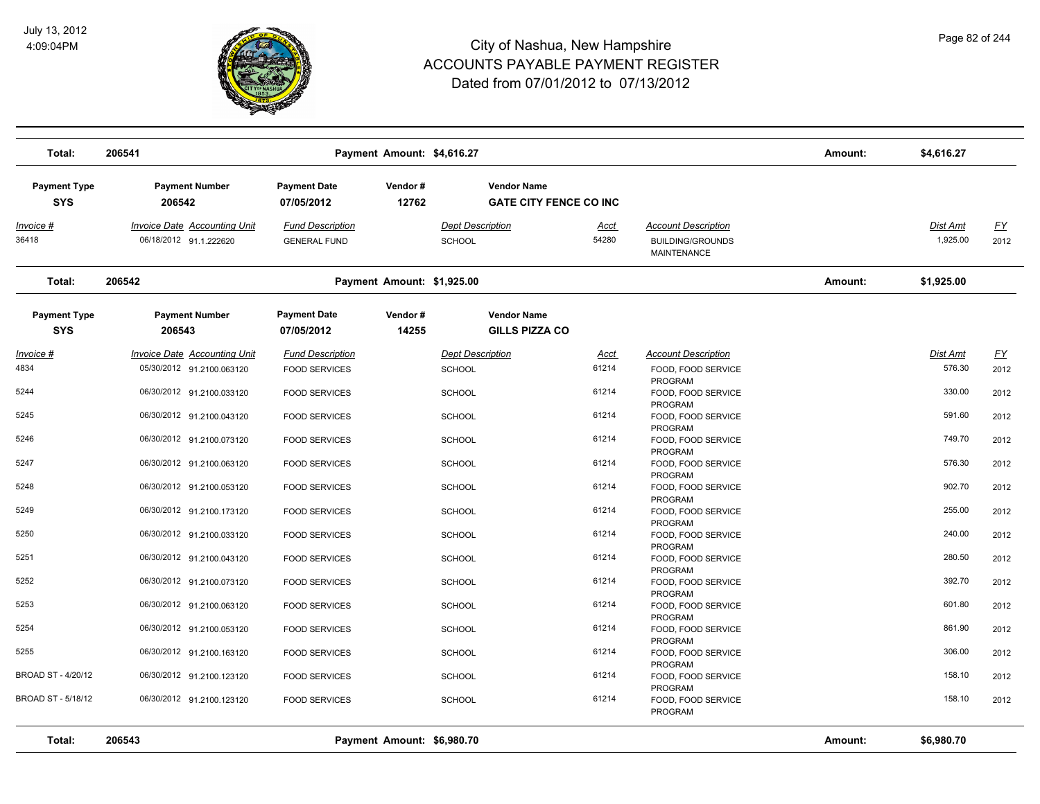

| Total:                            | 206541                                                        |                                                | Payment Amount: \$4,616.27 |                                   |                                                     |                      |                                                                             | Amount: | \$4,616.27                  |                   |
|-----------------------------------|---------------------------------------------------------------|------------------------------------------------|----------------------------|-----------------------------------|-----------------------------------------------------|----------------------|-----------------------------------------------------------------------------|---------|-----------------------------|-------------------|
| <b>Payment Type</b><br><b>SYS</b> | <b>Payment Number</b><br>206542                               | <b>Payment Date</b><br>07/05/2012              | Vendor#<br>12762           |                                   | <b>Vendor Name</b><br><b>GATE CITY FENCE CO INC</b> |                      |                                                                             |         |                             |                   |
| <u>Invoice #</u><br>36418         | <b>Invoice Date Accounting Unit</b><br>06/18/2012 91.1.222620 | <b>Fund Description</b><br><b>GENERAL FUND</b> |                            | <b>Dept Description</b><br>SCHOOL |                                                     | <u>Acct</u><br>54280 | <b>Account Description</b><br><b>BUILDING/GROUNDS</b><br><b>MAINTENANCE</b> |         | <b>Dist Amt</b><br>1,925.00 | <u>FY</u><br>2012 |
| Total:                            | 206542                                                        |                                                | Payment Amount: \$1,925.00 |                                   |                                                     |                      |                                                                             | Amount: | \$1,925.00                  |                   |
| <b>Payment Type</b><br><b>SYS</b> | <b>Payment Number</b><br>206543                               | <b>Payment Date</b><br>07/05/2012              | Vendor#<br>14255           |                                   | <b>Vendor Name</b><br><b>GILLS PIZZA CO</b>         |                      |                                                                             |         |                             |                   |
| Invoice #                         | <b>Invoice Date Accounting Unit</b>                           | <b>Fund Description</b>                        |                            | <b>Dept Description</b>           |                                                     | Acct                 | <b>Account Description</b>                                                  |         | Dist Amt                    | <u>FY</u>         |
| 4834                              | 05/30/2012 91.2100.063120                                     | <b>FOOD SERVICES</b>                           |                            | <b>SCHOOL</b>                     |                                                     | 61214                | FOOD, FOOD SERVICE<br>PROGRAM                                               |         | 576.30                      | 2012              |
| 5244                              | 06/30/2012 91.2100.033120                                     | <b>FOOD SERVICES</b>                           |                            | <b>SCHOOL</b>                     |                                                     | 61214                | FOOD, FOOD SERVICE<br><b>PROGRAM</b>                                        |         | 330.00                      | 2012              |
| 5245                              | 06/30/2012 91.2100.043120                                     | <b>FOOD SERVICES</b>                           |                            | <b>SCHOOL</b>                     |                                                     | 61214                | FOOD, FOOD SERVICE<br>PROGRAM                                               |         | 591.60                      | 2012              |
| 5246                              | 06/30/2012 91.2100.073120                                     | <b>FOOD SERVICES</b>                           |                            | <b>SCHOOL</b>                     |                                                     | 61214                | FOOD, FOOD SERVICE<br>PROGRAM                                               |         | 749.70                      | 2012              |
| 5247                              | 06/30/2012 91.2100.063120                                     | <b>FOOD SERVICES</b>                           |                            | <b>SCHOOL</b>                     |                                                     | 61214                | FOOD, FOOD SERVICE<br>PROGRAM                                               |         | 576.30                      | 2012              |
| 5248                              | 06/30/2012 91.2100.053120                                     | <b>FOOD SERVICES</b>                           |                            | SCHOOL                            |                                                     | 61214                | FOOD, FOOD SERVICE<br>PROGRAM                                               |         | 902.70                      | 2012              |
| 5249                              | 06/30/2012 91.2100.173120                                     | <b>FOOD SERVICES</b>                           |                            | <b>SCHOOL</b>                     |                                                     | 61214                | FOOD, FOOD SERVICE<br>PROGRAM                                               |         | 255.00                      | 2012              |
| 5250                              | 06/30/2012 91.2100.033120                                     | <b>FOOD SERVICES</b>                           |                            | <b>SCHOOL</b>                     |                                                     | 61214                | FOOD, FOOD SERVICE<br>PROGRAM                                               |         | 240.00                      | 2012              |
| 5251                              | 06/30/2012 91.2100.043120                                     | <b>FOOD SERVICES</b>                           |                            | <b>SCHOOL</b>                     |                                                     | 61214                | FOOD, FOOD SERVICE<br><b>PROGRAM</b>                                        |         | 280.50                      | 2012              |
| 5252                              | 06/30/2012 91.2100.073120                                     | <b>FOOD SERVICES</b>                           |                            | <b>SCHOOL</b>                     |                                                     | 61214                | FOOD, FOOD SERVICE                                                          |         | 392.70                      | 2012              |
| 5253                              | 06/30/2012 91.2100.063120                                     | <b>FOOD SERVICES</b>                           |                            | <b>SCHOOL</b>                     |                                                     | 61214                | <b>PROGRAM</b><br>FOOD, FOOD SERVICE                                        |         | 601.80                      | 2012              |
| 5254                              | 06/30/2012 91.2100.053120                                     | <b>FOOD SERVICES</b>                           |                            | <b>SCHOOL</b>                     |                                                     | 61214                | <b>PROGRAM</b><br>FOOD, FOOD SERVICE                                        |         | 861.90                      | 2012              |
| 5255                              | 06/30/2012 91.2100.163120                                     | <b>FOOD SERVICES</b>                           |                            | <b>SCHOOL</b>                     |                                                     | 61214                | PROGRAM<br>FOOD, FOOD SERVICE                                               |         | 306.00                      | 2012              |
| BROAD ST - 4/20/12                | 06/30/2012 91.2100.123120                                     | <b>FOOD SERVICES</b>                           |                            | <b>SCHOOL</b>                     |                                                     | 61214                | PROGRAM<br>FOOD, FOOD SERVICE                                               |         | 158.10                      | 2012              |
| BROAD ST - 5/18/12                | 06/30/2012 91.2100.123120                                     | <b>FOOD SERVICES</b>                           |                            | <b>SCHOOL</b>                     |                                                     | 61214                | PROGRAM<br>FOOD, FOOD SERVICE<br>PROGRAM                                    |         | 158.10                      | 2012              |
| Total:                            | 206543                                                        |                                                | Payment Amount: \$6,980.70 |                                   |                                                     |                      |                                                                             | Amount: | \$6,980.70                  |                   |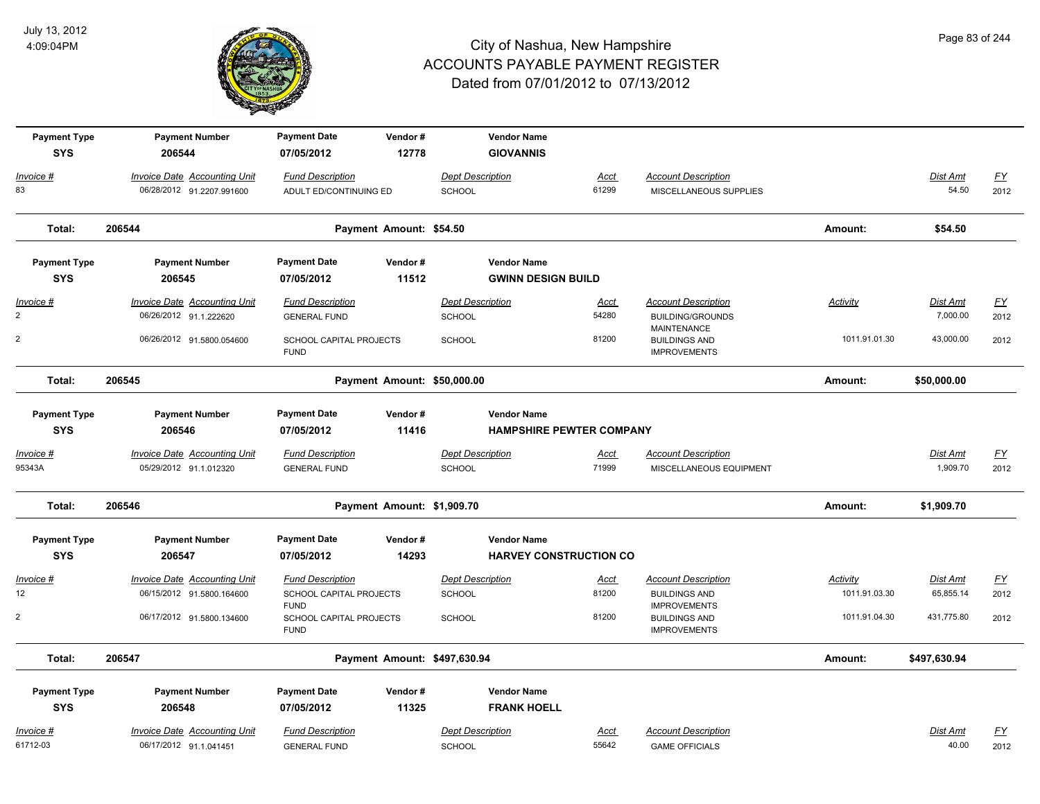

| <b>Payment Type</b> | <b>Payment Number</b>               | <b>Payment Date</b>                    | Vendor#                     | <b>Vendor Name</b>           |                                 |                                             |                 |                 |           |
|---------------------|-------------------------------------|----------------------------------------|-----------------------------|------------------------------|---------------------------------|---------------------------------------------|-----------------|-----------------|-----------|
| <b>SYS</b>          | 206544                              | 07/05/2012                             | 12778                       | <b>GIOVANNIS</b>             |                                 |                                             |                 |                 |           |
| Invoice #           | <b>Invoice Date Accounting Unit</b> | <b>Fund Description</b>                |                             | <b>Dept Description</b>      | <b>Acct</b>                     | <b>Account Description</b>                  |                 | Dist Amt        | <u>FY</u> |
| 83                  | 06/28/2012 91.2207.991600           | ADULT ED/CONTINUING ED                 |                             | SCHOOL                       | 61299                           | MISCELLANEOUS SUPPLIES                      |                 | 54.50           | 2012      |
| Total:              | 206544                              |                                        | Payment Amount: \$54.50     |                              |                                 |                                             | Amount:         | \$54.50         |           |
| <b>Payment Type</b> | <b>Payment Number</b>               | <b>Payment Date</b>                    | Vendor#                     | <b>Vendor Name</b>           |                                 |                                             |                 |                 |           |
| <b>SYS</b>          | 206545                              | 07/05/2012                             | 11512                       | <b>GWINN DESIGN BUILD</b>    |                                 |                                             |                 |                 |           |
| Invoice #           | <b>Invoice Date Accounting Unit</b> | <b>Fund Description</b>                |                             | <b>Dept Description</b>      | <u>Acct</u>                     | <b>Account Description</b>                  | <u>Activity</u> | Dist Amt        | <u>FY</u> |
| $\overline{2}$      | 06/26/2012 91.1.222620              | <b>GENERAL FUND</b>                    |                             | SCHOOL                       | 54280                           | <b>BUILDING/GROUNDS</b><br>MAINTENANCE      |                 | 7,000.00        | 2012      |
| 2                   | 06/26/2012 91.5800.054600           | SCHOOL CAPITAL PROJECTS<br><b>FUND</b> |                             | <b>SCHOOL</b>                | 81200                           | <b>BUILDINGS AND</b><br><b>IMPROVEMENTS</b> | 1011.91.01.30   | 43,000.00       | 2012      |
| Total:              | 206545                              |                                        | Payment Amount: \$50,000.00 |                              |                                 |                                             | Amount:         | \$50,000.00     |           |
| <b>Payment Type</b> | <b>Payment Number</b>               | <b>Payment Date</b>                    | Vendor#                     | <b>Vendor Name</b>           |                                 |                                             |                 |                 |           |
| <b>SYS</b>          | 206546                              | 07/05/2012                             | 11416                       |                              | <b>HAMPSHIRE PEWTER COMPANY</b> |                                             |                 |                 |           |
| Invoice #           | <b>Invoice Date Accounting Unit</b> | <b>Fund Description</b>                |                             | <b>Dept Description</b>      | <u>Acct</u>                     | <b>Account Description</b>                  |                 | <u>Dist Amt</u> | <u>FY</u> |
| 95343A              | 05/29/2012 91.1.012320              | <b>GENERAL FUND</b>                    |                             | SCHOOL                       | 71999                           | MISCELLANEOUS EQUIPMENT                     |                 | 1,909.70        | 2012      |
| Total:              | 206546                              |                                        | Payment Amount: \$1,909.70  |                              |                                 |                                             | Amount:         | \$1,909.70      |           |
| <b>Payment Type</b> | <b>Payment Number</b>               | <b>Payment Date</b>                    | Vendor#                     | <b>Vendor Name</b>           |                                 |                                             |                 |                 |           |
| <b>SYS</b>          | 206547                              | 07/05/2012                             | 14293                       |                              | <b>HARVEY CONSTRUCTION CO</b>   |                                             |                 |                 |           |
| <u> Invoice #</u>   | <b>Invoice Date Accounting Unit</b> | <b>Fund Description</b>                |                             | <b>Dept Description</b>      | <u>Acct</u>                     | <b>Account Description</b>                  | Activity        | <b>Dist Amt</b> | <u>FY</u> |
| 12 <sup>°</sup>     | 06/15/2012 91.5800.164600           | SCHOOL CAPITAL PROJECTS<br><b>FUND</b> |                             | <b>SCHOOL</b>                | 81200                           | <b>BUILDINGS AND</b><br><b>IMPROVEMENTS</b> | 1011.91.03.30   | 65,855.14       | 2012      |
| $\overline{2}$      | 06/17/2012 91.5800.134600           | SCHOOL CAPITAL PROJECTS<br><b>FUND</b> |                             | <b>SCHOOL</b>                | 81200                           | <b>BUILDINGS AND</b><br><b>IMPROVEMENTS</b> | 1011.91.04.30   | 431,775.80      | 2012      |
| Total:              | 206547                              |                                        |                             | Payment Amount: \$497,630.94 |                                 |                                             | Amount:         | \$497,630.94    |           |
| <b>Payment Type</b> | <b>Payment Number</b>               | <b>Payment Date</b>                    | Vendor#                     | <b>Vendor Name</b>           |                                 |                                             |                 |                 |           |
| <b>SYS</b>          | 206548                              | 07/05/2012                             | 11325                       | <b>FRANK HOELL</b>           |                                 |                                             |                 |                 |           |
| Invoice #           | Invoice Date Accounting Unit        | <b>Fund Description</b>                |                             | <b>Dept Description</b>      | Acct                            | <b>Account Description</b>                  |                 | Dist Amt        | <u>FY</u> |
| 61712-03            | 06/17/2012 91.1.041451              | <b>GENERAL FUND</b>                    |                             | SCHOOL                       | 55642                           | <b>GAME OFFICIALS</b>                       |                 | 40.00           | 2012      |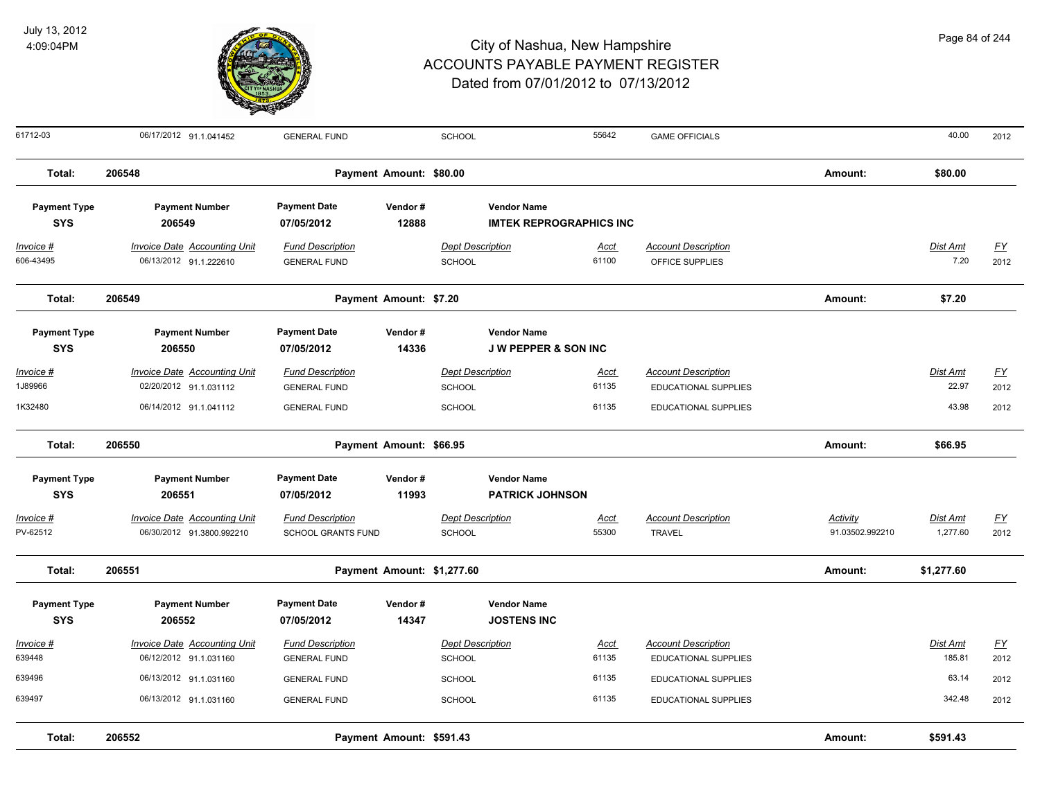

| 61712-03                                                   | 06/17/2012 91.1.041452                                                                              | <b>GENERAL FUND</b>                                                                |                            | SCHOOL                                   |                                                       | 55642                | <b>GAME OFFICIALS</b>                                     |                             | 40.00                       | 2012              |
|------------------------------------------------------------|-----------------------------------------------------------------------------------------------------|------------------------------------------------------------------------------------|----------------------------|------------------------------------------|-------------------------------------------------------|----------------------|-----------------------------------------------------------|-----------------------------|-----------------------------|-------------------|
| Total:                                                     | 206548                                                                                              |                                                                                    | Payment Amount: \$80.00    |                                          |                                                       |                      |                                                           | Amount:                     | \$80.00                     |                   |
| <b>Payment Type</b><br><b>SYS</b>                          | <b>Payment Number</b><br>206549                                                                     | <b>Payment Date</b><br>07/05/2012                                                  | Vendor#<br>12888           |                                          | <b>Vendor Name</b><br><b>IMTEK REPROGRAPHICS INC</b>  |                      |                                                           |                             |                             |                   |
| <u> Invoice #</u><br>606-43495                             | <b>Invoice Date Accounting Unit</b><br>06/13/2012 91.1.222610                                       | <b>Fund Description</b><br><b>GENERAL FUND</b>                                     |                            | <b>Dept Description</b><br>SCHOOL        |                                                       | <u>Acct</u><br>61100 | <b>Account Description</b><br>OFFICE SUPPLIES             |                             | <b>Dist Amt</b><br>7.20     | <u>FY</u><br>2012 |
| Total:                                                     | 206549                                                                                              |                                                                                    | Payment Amount: \$7.20     |                                          |                                                       |                      |                                                           | Amount:                     | \$7.20                      |                   |
| <b>Payment Type</b><br><b>SYS</b>                          | <b>Payment Number</b><br>206550                                                                     | <b>Payment Date</b><br>07/05/2012                                                  | Vendor#<br>14336           |                                          | <b>Vendor Name</b><br><b>J W PEPPER &amp; SON INC</b> |                      |                                                           |                             |                             |                   |
| <u> Invoice #</u><br>1J89966                               | <b>Invoice Date Accounting Unit</b><br>02/20/2012 91.1.031112                                       | <b>Fund Description</b><br><b>GENERAL FUND</b>                                     |                            | <b>Dept Description</b><br>SCHOOL        |                                                       | <u>Acct</u><br>61135 | <b>Account Description</b><br><b>EDUCATIONAL SUPPLIES</b> |                             | Dist Amt<br>22.97           | <u>FY</u><br>2012 |
| 1K32480                                                    | 06/14/2012 91.1.041112                                                                              | <b>GENERAL FUND</b>                                                                |                            | <b>SCHOOL</b>                            |                                                       | 61135                | EDUCATIONAL SUPPLIES                                      |                             | 43.98                       | 2012              |
| Total:                                                     | 206550                                                                                              |                                                                                    | Payment Amount: \$66.95    |                                          |                                                       |                      |                                                           | Amount:                     | \$66.95                     |                   |
| <b>Payment Type</b><br><b>SYS</b><br>Invoice #<br>PV-62512 | <b>Payment Number</b><br>206551<br><b>Invoice Date Accounting Unit</b><br>06/30/2012 91.3800.992210 | <b>Payment Date</b><br>07/05/2012<br><b>Fund Description</b><br>SCHOOL GRANTS FUND | Vendor#<br>11993           | <b>Dept Description</b><br><b>SCHOOL</b> | <b>Vendor Name</b><br><b>PATRICK JOHNSON</b>          | <b>Acct</b><br>55300 | <b>Account Description</b><br><b>TRAVEL</b>               | Activity<br>91.03502.992210 | <b>Dist Amt</b><br>1,277.60 | <u>FY</u><br>2012 |
| Total:                                                     | 206551                                                                                              |                                                                                    | Payment Amount: \$1,277.60 |                                          |                                                       |                      |                                                           | Amount:                     | \$1,277.60                  |                   |
| <b>Payment Type</b><br><b>SYS</b>                          | <b>Payment Number</b><br>206552                                                                     | <b>Payment Date</b><br>07/05/2012                                                  | Vendor#<br>14347           |                                          | <b>Vendor Name</b><br><b>JOSTENS INC</b>              |                      |                                                           |                             |                             |                   |
| Invoice #<br>639448                                        | <b>Invoice Date Accounting Unit</b><br>06/12/2012 91.1.031160                                       | <b>Fund Description</b><br><b>GENERAL FUND</b>                                     |                            | <b>Dept Description</b><br>SCHOOL        |                                                       | Acct<br>61135        | <b>Account Description</b><br><b>EDUCATIONAL SUPPLIES</b> |                             | Dist Amt<br>185.81          | <u>FY</u><br>2012 |
| 639496<br>639497                                           | 06/13/2012 91.1.031160<br>06/13/2012 91.1.031160                                                    | <b>GENERAL FUND</b><br><b>GENERAL FUND</b>                                         |                            | <b>SCHOOL</b><br>SCHOOL                  |                                                       | 61135<br>61135       | EDUCATIONAL SUPPLIES<br>EDUCATIONAL SUPPLIES              |                             | 63.14<br>342.48             | 2012<br>2012      |
| Total:                                                     | 206552                                                                                              |                                                                                    | Payment Amount: \$591.43   |                                          |                                                       |                      |                                                           | Amount:                     | \$591.43                    |                   |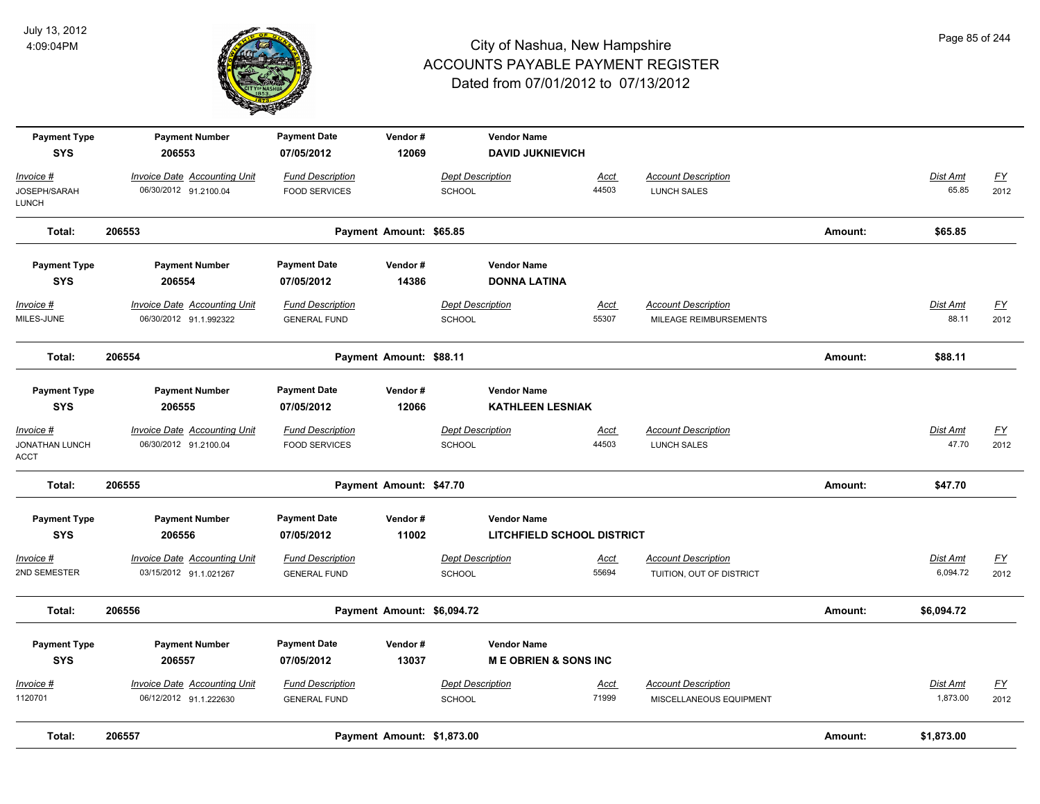

| <b>Payment Type</b>           | <b>Payment Number</b>               | <b>Payment Date</b>     | Vendor#                    |                         | <b>Vendor Name</b>              |             |                            |         |                 |                  |
|-------------------------------|-------------------------------------|-------------------------|----------------------------|-------------------------|---------------------------------|-------------|----------------------------|---------|-----------------|------------------|
| <b>SYS</b>                    | 206553                              | 07/05/2012              | 12069                      |                         | <b>DAVID JUKNIEVICH</b>         |             |                            |         |                 |                  |
| Invoice #                     | <b>Invoice Date Accounting Unit</b> | <b>Fund Description</b> |                            | <b>Dept Description</b> |                                 | Acct        | <b>Account Description</b> |         | Dist Amt        | $\underline{FY}$ |
| JOSEPH/SARAH<br>LUNCH         | 06/30/2012 91.2100.04               | <b>FOOD SERVICES</b>    |                            | <b>SCHOOL</b>           |                                 | 44503       | LUNCH SALES                |         | 65.85           | 2012             |
| Total:                        | 206553                              |                         | Payment Amount: \$65.85    |                         |                                 |             |                            | Amount: | \$65.85         |                  |
| <b>Payment Type</b>           | <b>Payment Number</b>               | <b>Payment Date</b>     | Vendor#                    |                         | <b>Vendor Name</b>              |             |                            |         |                 |                  |
| <b>SYS</b>                    | 206554                              | 07/05/2012              | 14386                      |                         | <b>DONNA LATINA</b>             |             |                            |         |                 |                  |
| Invoice #                     | <b>Invoice Date Accounting Unit</b> | <b>Fund Description</b> |                            | <b>Dept Description</b> |                                 | <u>Acct</u> | <b>Account Description</b> |         | <b>Dist Amt</b> | <u>FY</u>        |
| MILES-JUNE                    | 06/30/2012 91.1.992322              | <b>GENERAL FUND</b>     |                            | <b>SCHOOL</b>           |                                 | 55307       | MILEAGE REIMBURSEMENTS     |         | 88.11           | 2012             |
| Total:                        | 206554                              |                         | Payment Amount: \$88.11    |                         |                                 |             |                            | Amount: | \$88.11         |                  |
| <b>Payment Type</b>           | <b>Payment Number</b>               | <b>Payment Date</b>     | Vendor#                    |                         | <b>Vendor Name</b>              |             |                            |         |                 |                  |
| <b>SYS</b>                    | 206555                              | 07/05/2012              | 12066                      |                         | <b>KATHLEEN LESNIAK</b>         |             |                            |         |                 |                  |
| Invoice #                     | <b>Invoice Date Accounting Unit</b> | <b>Fund Description</b> |                            | <b>Dept Description</b> |                                 | <u>Acct</u> | <b>Account Description</b> |         | <b>Dist Amt</b> | $\underline{FY}$ |
| <b>JONATHAN LUNCH</b><br>ACCT | 06/30/2012 91.2100.04               | <b>FOOD SERVICES</b>    |                            | SCHOOL                  |                                 | 44503       | LUNCH SALES                |         | 47.70           | 2012             |
| Total:                        | 206555                              |                         | Payment Amount: \$47.70    |                         |                                 |             |                            | Amount: | \$47.70         |                  |
| <b>Payment Type</b>           | <b>Payment Number</b>               | <b>Payment Date</b>     | Vendor#                    |                         | <b>Vendor Name</b>              |             |                            |         |                 |                  |
| <b>SYS</b>                    | 206556                              | 07/05/2012              | 11002                      |                         | LITCHFIELD SCHOOL DISTRICT      |             |                            |         |                 |                  |
| Invoice #                     | <b>Invoice Date Accounting Unit</b> | <b>Fund Description</b> |                            | <b>Dept Description</b> |                                 | Acct        | <b>Account Description</b> |         | Dist Amt        | $\underline{FY}$ |
| 2ND SEMESTER                  | 03/15/2012 91.1.021267              | <b>GENERAL FUND</b>     |                            | <b>SCHOOL</b>           |                                 | 55694       | TUITION, OUT OF DISTRICT   |         | 6,094.72        | 2012             |
| Total:                        | 206556                              |                         | Payment Amount: \$6,094.72 |                         |                                 |             |                            | Amount: | \$6,094.72      |                  |
| <b>Payment Type</b>           | <b>Payment Number</b>               | <b>Payment Date</b>     | Vendor#                    |                         | <b>Vendor Name</b>              |             |                            |         |                 |                  |
| <b>SYS</b>                    | 206557                              | 07/05/2012              | 13037                      |                         | <b>ME OBRIEN &amp; SONS INC</b> |             |                            |         |                 |                  |
| <u> Invoice #</u>             | <b>Invoice Date Accounting Unit</b> | <b>Fund Description</b> |                            | <b>Dept Description</b> |                                 | <u>Acct</u> | <b>Account Description</b> |         | Dist Amt        | $\underline{FY}$ |
| 1120701                       | 06/12/2012 91.1.222630              | <b>GENERAL FUND</b>     |                            | <b>SCHOOL</b>           |                                 | 71999       | MISCELLANEOUS EQUIPMENT    |         | 1,873.00        | 2012             |
| Total:                        | 206557                              |                         | Payment Amount: \$1,873.00 |                         |                                 |             |                            | Amount: | \$1,873.00      |                  |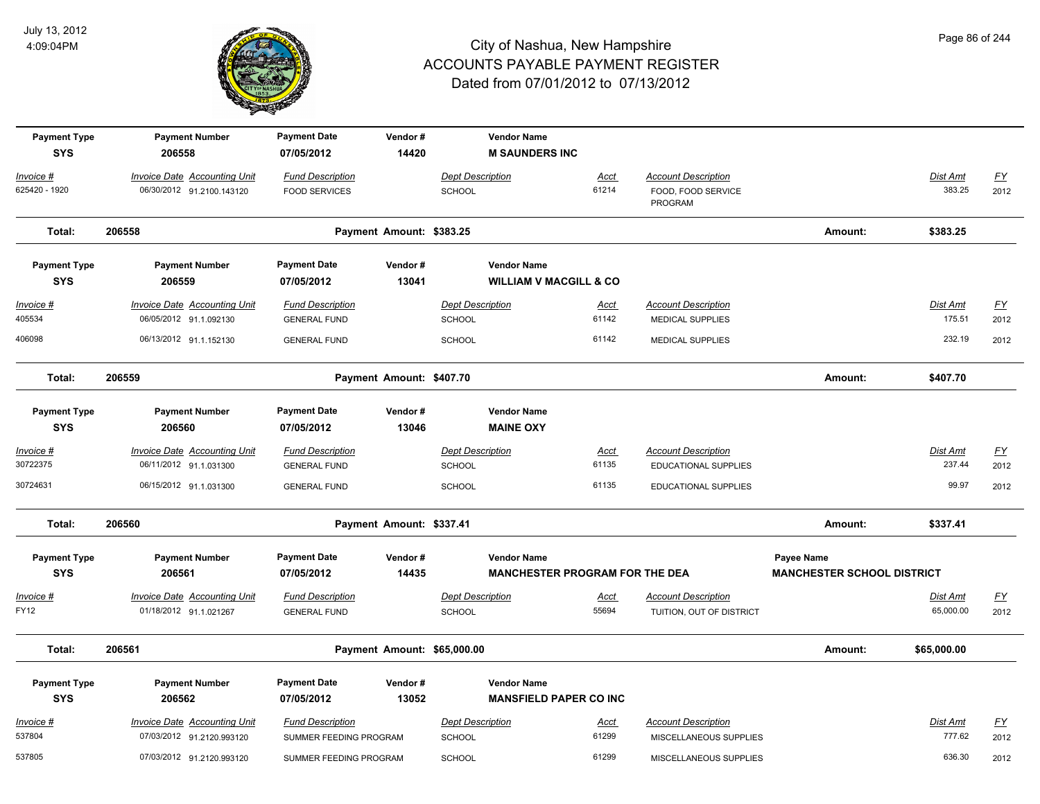

| <b>Payment Type</b><br><b>SYS</b> | <b>Payment Number</b><br>206558                                  | <b>Payment Date</b><br>07/05/2012                 | Vendor#<br>14420            |                                          | <b>Vendor Name</b><br><b>M SAUNDERS INC</b>                 |                      |                                                             |                                                 |                           |                   |
|-----------------------------------|------------------------------------------------------------------|---------------------------------------------------|-----------------------------|------------------------------------------|-------------------------------------------------------------|----------------------|-------------------------------------------------------------|-------------------------------------------------|---------------------------|-------------------|
| Invoice #<br>625420 - 1920        | <b>Invoice Date Accounting Unit</b><br>06/30/2012 91.2100.143120 | <b>Fund Description</b><br><b>FOOD SERVICES</b>   |                             | <b>Dept Description</b><br><b>SCHOOL</b> |                                                             | Acct<br>61214        | <b>Account Description</b><br>FOOD, FOOD SERVICE<br>PROGRAM |                                                 | Dist Amt<br>383.25        | <u>FY</u><br>2012 |
| Total:                            | 206558                                                           |                                                   | Payment Amount: \$383.25    |                                          |                                                             |                      |                                                             | Amount:                                         | \$383.25                  |                   |
| <b>Payment Type</b><br><b>SYS</b> | <b>Payment Number</b><br>206559                                  | <b>Payment Date</b><br>07/05/2012                 | Vendor#<br>13041            |                                          | <b>Vendor Name</b><br><b>WILLIAM V MACGILL &amp; CO</b>     |                      |                                                             |                                                 |                           |                   |
| $Invoice$ #<br>405534             | <b>Invoice Date Accounting Unit</b><br>06/05/2012 91.1.092130    | <b>Fund Description</b><br><b>GENERAL FUND</b>    |                             | <b>Dept Description</b><br>SCHOOL        |                                                             | Acct<br>61142        | <b>Account Description</b><br>MEDICAL SUPPLIES              |                                                 | <b>Dist Amt</b><br>175.51 | <u>FY</u><br>2012 |
| 406098                            | 06/13/2012 91.1.152130                                           | <b>GENERAL FUND</b>                               |                             | <b>SCHOOL</b>                            |                                                             | 61142                | <b>MEDICAL SUPPLIES</b>                                     |                                                 | 232.19                    | 2012              |
| Total:                            | 206559                                                           |                                                   | Payment Amount: \$407.70    |                                          |                                                             |                      |                                                             | Amount:                                         | \$407.70                  |                   |
| <b>Payment Type</b><br><b>SYS</b> | <b>Payment Number</b><br>206560                                  | <b>Payment Date</b><br>07/05/2012                 | Vendor#<br>13046            |                                          | <b>Vendor Name</b><br><b>MAINE OXY</b>                      |                      |                                                             |                                                 |                           |                   |
| Invoice #<br>30722375             | <b>Invoice Date Accounting Unit</b><br>06/11/2012 91.1.031300    | <b>Fund Description</b><br><b>GENERAL FUND</b>    |                             | <b>Dept Description</b><br><b>SCHOOL</b> |                                                             | <u>Acct</u><br>61135 | <b>Account Description</b><br><b>EDUCATIONAL SUPPLIES</b>   |                                                 | Dist Amt<br>237.44        | EY<br>2012        |
| 30724631                          | 06/15/2012 91.1.031300                                           | <b>GENERAL FUND</b>                               |                             | SCHOOL                                   |                                                             | 61135                | EDUCATIONAL SUPPLIES                                        |                                                 | 99.97                     | 2012              |
| Total:                            | 206560                                                           |                                                   | Payment Amount: \$337.41    |                                          |                                                             |                      |                                                             | Amount:                                         | \$337.41                  |                   |
| <b>Payment Type</b><br><b>SYS</b> | <b>Payment Number</b><br>206561                                  | <b>Payment Date</b><br>07/05/2012                 | Vendor#<br>14435            |                                          | <b>Vendor Name</b><br><b>MANCHESTER PROGRAM FOR THE DEA</b> |                      |                                                             | Payee Name<br><b>MANCHESTER SCHOOL DISTRICT</b> |                           |                   |
| Invoice #<br>FY12                 | Invoice Date Accounting Unit<br>01/18/2012 91.1.021267           | <b>Fund Description</b><br><b>GENERAL FUND</b>    |                             | <b>Dept Description</b><br><b>SCHOOL</b> |                                                             | <u>Acct</u><br>55694 | <b>Account Description</b><br>TUITION, OUT OF DISTRICT      |                                                 | Dist Amt<br>65,000.00     | <u>FY</u><br>2012 |
| Total:                            | 206561                                                           |                                                   | Payment Amount: \$65,000.00 |                                          |                                                             |                      |                                                             | Amount:                                         | \$65,000.00               |                   |
| <b>Payment Type</b><br><b>SYS</b> | <b>Payment Number</b><br>206562                                  | <b>Payment Date</b><br>07/05/2012                 | Vendor#<br>13052            |                                          | <b>Vendor Name</b><br><b>MANSFIELD PAPER CO INC</b>         |                      |                                                             |                                                 |                           |                   |
| Invoice #<br>537804               | <b>Invoice Date Accounting Unit</b><br>07/03/2012 91.2120.993120 | <b>Fund Description</b><br>SUMMER FEEDING PROGRAM |                             | <b>Dept Description</b><br>SCHOOL        |                                                             | <u>Acct</u><br>61299 | <b>Account Description</b><br>MISCELLANEOUS SUPPLIES        |                                                 | Dist Amt<br>777.62        | <u>FY</u><br>2012 |
| 537805                            | 07/03/2012 91.2120.993120                                        | SUMMER FEEDING PROGRAM                            |                             | <b>SCHOOL</b>                            |                                                             | 61299                | MISCELLANEOUS SUPPLIES                                      |                                                 | 636.30                    | 2012              |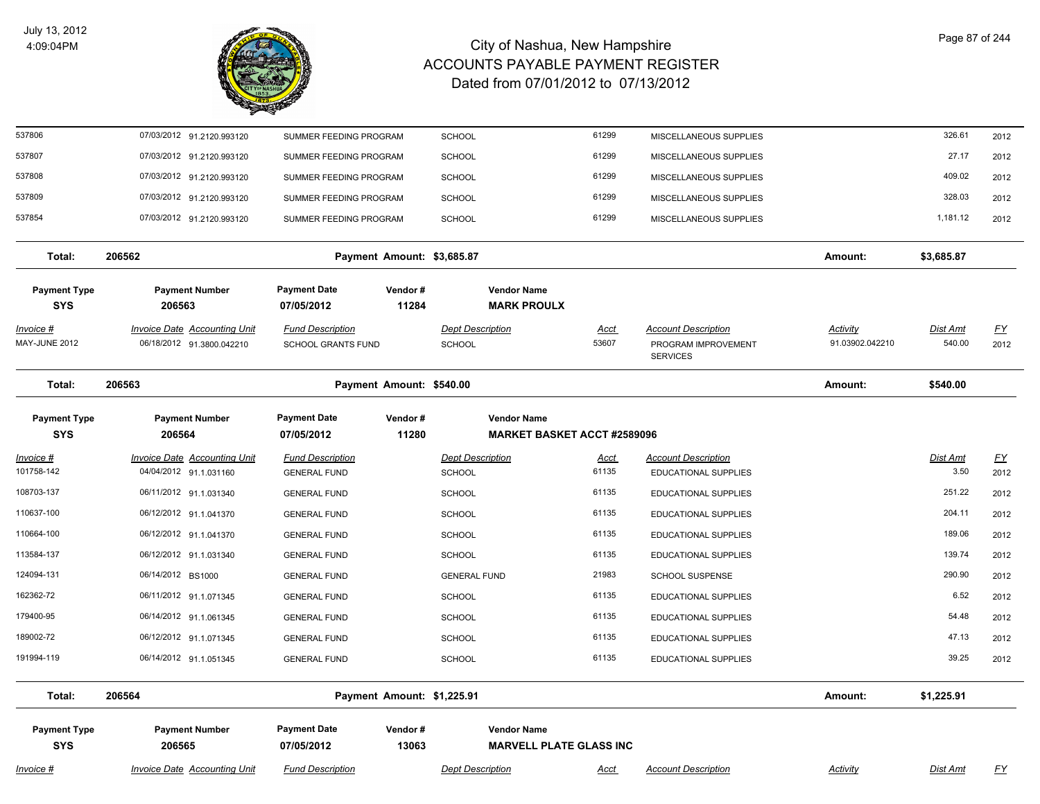

| 537806                            | 07/03/2012 91.2120.993120           | SUMMER FEEDING PROGRAM            |                            | <b>SCHOOL</b>           |                                                      | 61299       | MISCELLANEOUS SUPPLIES     |                 | 326.61          | 2012             |
|-----------------------------------|-------------------------------------|-----------------------------------|----------------------------|-------------------------|------------------------------------------------------|-------------|----------------------------|-----------------|-----------------|------------------|
| 537807                            | 07/03/2012 91.2120.993120           | SUMMER FEEDING PROGRAM            |                            | <b>SCHOOL</b>           |                                                      | 61299       | MISCELLANEOUS SUPPLIES     |                 | 27.17           | 2012             |
| 537808                            | 07/03/2012 91.2120.993120           | SUMMER FEEDING PROGRAM            |                            | <b>SCHOOL</b>           |                                                      | 61299       | MISCELLANEOUS SUPPLIES     |                 | 409.02          | 2012             |
| 537809                            | 07/03/2012 91.2120.993120           | SUMMER FEEDING PROGRAM            |                            | <b>SCHOOL</b>           |                                                      | 61299       | MISCELLANEOUS SUPPLIES     |                 | 328.03          | 2012             |
| 537854                            | 07/03/2012 91.2120.993120           | SUMMER FEEDING PROGRAM            |                            | <b>SCHOOL</b>           |                                                      | 61299       | MISCELLANEOUS SUPPLIES     |                 | 1,181.12        | 2012             |
|                                   |                                     |                                   |                            |                         |                                                      |             |                            |                 |                 |                  |
| Total:                            | 206562                              |                                   | Payment Amount: \$3,685.87 |                         |                                                      |             |                            | Amount:         | \$3,685.87      |                  |
| <b>Payment Type</b>               | <b>Payment Number</b>               | <b>Payment Date</b>               | Vendor#                    |                         | <b>Vendor Name</b>                                   |             |                            |                 |                 |                  |
| <b>SYS</b>                        | 206563                              | 07/05/2012                        | 11284                      |                         | <b>MARK PROULX</b>                                   |             |                            |                 |                 |                  |
| Invoice #                         | <b>Invoice Date Accounting Unit</b> | <b>Fund Description</b>           |                            | <b>Dept Description</b> |                                                      | Acct        | <b>Account Description</b> | <b>Activity</b> | <b>Dist Amt</b> | <u>FY</u>        |
| MAY-JUNE 2012                     | 06/18/2012 91.3800.042210           | <b>SCHOOL GRANTS FUND</b>         |                            | <b>SCHOOL</b>           |                                                      | 53607       | PROGRAM IMPROVEMENT        | 91.03902.042210 | 540.00          | 2012             |
|                                   |                                     |                                   |                            |                         |                                                      |             | <b>SERVICES</b>            |                 |                 |                  |
| Total:                            | 206563                              |                                   | Payment Amount: \$540.00   |                         |                                                      |             |                            | Amount:         | \$540.00        |                  |
| <b>Payment Type</b>               | <b>Payment Number</b>               | <b>Payment Date</b>               | Vendor#                    |                         | <b>Vendor Name</b>                                   |             |                            |                 |                 |                  |
| <b>SYS</b>                        | 206564                              | 07/05/2012                        | 11280                      |                         | <b>MARKET BASKET ACCT #2589096</b>                   |             |                            |                 |                 |                  |
| <u> Invoice #</u>                 | <b>Invoice Date Accounting Unit</b> | <b>Fund Description</b>           |                            | <b>Dept Description</b> |                                                      | <u>Acct</u> | <b>Account Description</b> |                 | Dist Amt        | $\underline{FY}$ |
| 101758-142                        | 04/04/2012 91.1.031160              | <b>GENERAL FUND</b>               |                            | SCHOOL                  |                                                      | 61135       | EDUCATIONAL SUPPLIES       |                 | 3.50            | 2012             |
| 108703-137                        | 06/11/2012 91.1.031340              | <b>GENERAL FUND</b>               |                            | <b>SCHOOL</b>           |                                                      | 61135       | EDUCATIONAL SUPPLIES       |                 | 251.22          | 2012             |
| 110637-100                        | 06/12/2012 91.1.041370              | <b>GENERAL FUND</b>               |                            | <b>SCHOOL</b>           |                                                      | 61135       | EDUCATIONAL SUPPLIES       |                 | 204.11          | 2012             |
| 110664-100                        | 06/12/2012 91.1.041370              | <b>GENERAL FUND</b>               |                            | <b>SCHOOL</b>           |                                                      | 61135       | EDUCATIONAL SUPPLIES       |                 | 189.06          | 2012             |
| 113584-137                        | 06/12/2012 91.1.031340              | <b>GENERAL FUND</b>               |                            | <b>SCHOOL</b>           |                                                      | 61135       | EDUCATIONAL SUPPLIES       |                 | 139.74          | 2012             |
| 124094-131                        | 06/14/2012 BS1000                   | <b>GENERAL FUND</b>               |                            | <b>GENERAL FUND</b>     |                                                      | 21983       | <b>SCHOOL SUSPENSE</b>     |                 | 290.90          | 2012             |
| 162362-72                         | 06/11/2012 91.1.071345              | <b>GENERAL FUND</b>               |                            | <b>SCHOOL</b>           |                                                      | 61135       | EDUCATIONAL SUPPLIES       |                 | 6.52            | 2012             |
| 179400-95                         | 06/14/2012 91.1.061345              | <b>GENERAL FUND</b>               |                            | <b>SCHOOL</b>           |                                                      | 61135       | EDUCATIONAL SUPPLIES       |                 | 54.48           | 2012             |
| 189002-72                         | 06/12/2012 91.1.071345              | <b>GENERAL FUND</b>               |                            | <b>SCHOOL</b>           |                                                      | 61135       | EDUCATIONAL SUPPLIES       |                 | 47.13           | 2012             |
| 191994-119                        | 06/14/2012 91.1.051345              | <b>GENERAL FUND</b>               |                            | <b>SCHOOL</b>           |                                                      | 61135       | EDUCATIONAL SUPPLIES       |                 | 39.25           | 2012             |
| Total:                            | 206564                              |                                   | Payment Amount: \$1,225.91 |                         |                                                      |             |                            | Amount:         | \$1,225.91      |                  |
|                                   |                                     |                                   |                            |                         |                                                      |             |                            |                 |                 |                  |
| <b>Payment Type</b><br><b>SYS</b> | <b>Payment Number</b><br>206565     | <b>Payment Date</b><br>07/05/2012 | Vendor#<br>13063           |                         | <b>Vendor Name</b><br><b>MARVELL PLATE GLASS INC</b> |             |                            |                 |                 |                  |
| Invoice #                         | <b>Invoice Date Accounting Unit</b> | <b>Fund Description</b>           |                            | <b>Dept Description</b> |                                                      | <b>Acct</b> | <b>Account Description</b> | Activity        | Dist Amt        | <u>FY</u>        |
|                                   |                                     |                                   |                            |                         |                                                      |             |                            |                 |                 |                  |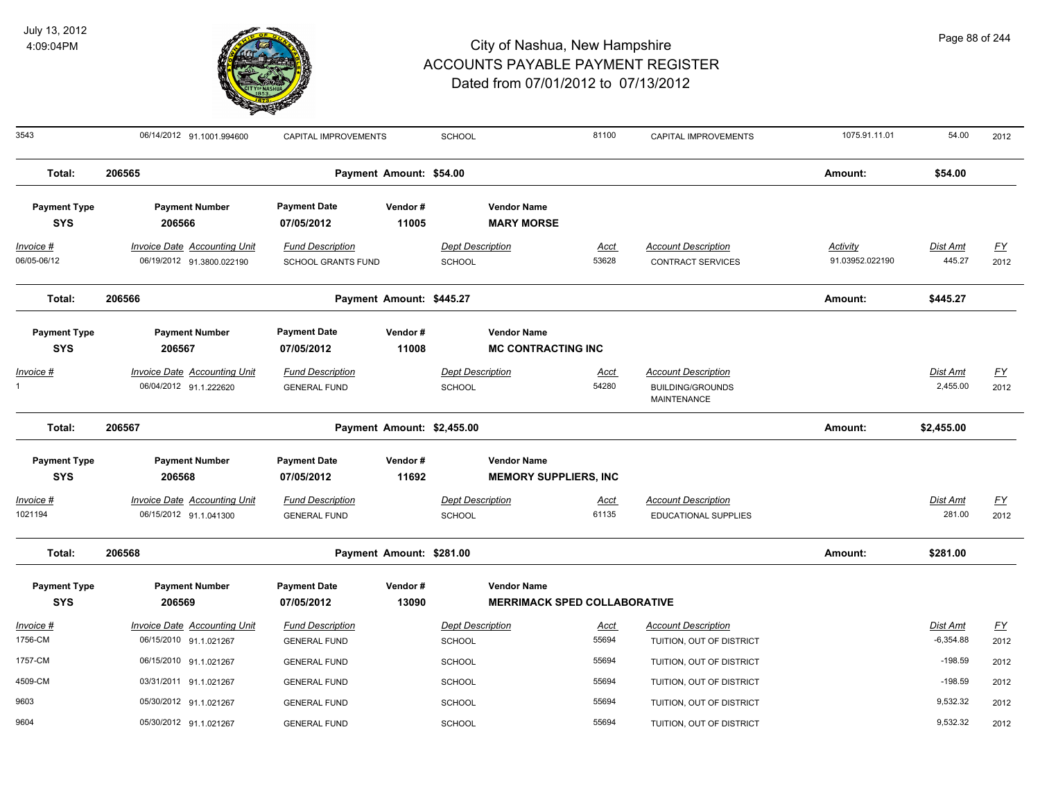

| 3543                              | 06/14/2012 91.1001.994600                                        | CAPITAL IMPROVEMENTS                                 |                            | <b>SCHOOL</b>                            |                                                           | 81100                | CAPITAL IMPROVEMENTS                                                 | 1075.91.11.01                      | 54.00                     | 2012                     |
|-----------------------------------|------------------------------------------------------------------|------------------------------------------------------|----------------------------|------------------------------------------|-----------------------------------------------------------|----------------------|----------------------------------------------------------------------|------------------------------------|---------------------------|--------------------------|
| Total:                            | 206565                                                           |                                                      | Payment Amount: \$54.00    |                                          |                                                           |                      |                                                                      | Amount:                            | \$54.00                   |                          |
| <b>Payment Type</b><br><b>SYS</b> | <b>Payment Number</b><br>206566                                  | <b>Payment Date</b><br>07/05/2012                    | Vendor#<br>11005           |                                          | <b>Vendor Name</b><br><b>MARY MORSE</b>                   |                      |                                                                      |                                    |                           |                          |
| <u> Invoice #</u><br>06/05-06/12  | <b>Invoice Date Accounting Unit</b><br>06/19/2012 91.3800.022190 | <b>Fund Description</b><br><b>SCHOOL GRANTS FUND</b> |                            | <b>Dept Description</b><br><b>SCHOOL</b> |                                                           | <b>Acct</b><br>53628 | <b>Account Description</b><br><b>CONTRACT SERVICES</b>               | <b>Activity</b><br>91.03952.022190 | <b>Dist Amt</b><br>445.27 | EY<br>2012               |
| Total:                            | 206566                                                           |                                                      | Payment Amount: \$445.27   |                                          |                                                           |                      |                                                                      | Amount:                            | \$445.27                  |                          |
| <b>Payment Type</b><br><b>SYS</b> | <b>Payment Number</b><br>206567                                  | <b>Payment Date</b><br>07/05/2012                    | Vendor#<br>11008           |                                          | <b>Vendor Name</b><br><b>MC CONTRACTING INC</b>           |                      |                                                                      |                                    |                           |                          |
| <u> Invoice #</u>                 | <b>Invoice Date Accounting Unit</b><br>06/04/2012 91.1.222620    | <b>Fund Description</b><br><b>GENERAL FUND</b>       |                            | <b>Dept Description</b><br><b>SCHOOL</b> |                                                           | <u>Acct</u><br>54280 | <b>Account Description</b><br><b>BUILDING/GROUNDS</b><br>MAINTENANCE |                                    | Dist Amt<br>2,455.00      | $\underline{FY}$<br>2012 |
| Total:                            | 206567                                                           |                                                      | Payment Amount: \$2,455.00 |                                          |                                                           |                      |                                                                      | Amount:                            | \$2,455.00                |                          |
| <b>Payment Type</b><br><b>SYS</b> | <b>Payment Number</b><br>206568                                  | <b>Payment Date</b><br>07/05/2012                    | Vendor#<br>11692           |                                          | <b>Vendor Name</b><br><b>MEMORY SUPPLIERS, INC</b>        |                      |                                                                      |                                    |                           |                          |
| Invoice #<br>1021194              | Invoice Date Accounting Unit<br>06/15/2012 91.1.041300           | <b>Fund Description</b><br><b>GENERAL FUND</b>       |                            | <b>Dept Description</b><br>SCHOOL        |                                                           | <u>Acct</u><br>61135 | <b>Account Description</b><br>EDUCATIONAL SUPPLIES                   |                                    | Dist Amt<br>281.00        | $\underline{FY}$<br>2012 |
| Total:                            | 206568                                                           |                                                      | Payment Amount: \$281.00   |                                          |                                                           |                      |                                                                      | Amount:                            | \$281.00                  |                          |
| <b>Payment Type</b><br><b>SYS</b> | <b>Payment Number</b><br>206569                                  | <b>Payment Date</b><br>07/05/2012                    | Vendor#<br>13090           |                                          | <b>Vendor Name</b><br><b>MERRIMACK SPED COLLABORATIVE</b> |                      |                                                                      |                                    |                           |                          |
| <u> Invoice #</u>                 | <b>Invoice Date Accounting Unit</b>                              | <b>Fund Description</b>                              |                            | <b>Dept Description</b>                  |                                                           | <u>Acct</u>          | <b>Account Description</b>                                           |                                    | Dist Amt                  | <u>FY</u>                |
| 1756-CM                           | 06/15/2010 91.1.021267                                           | <b>GENERAL FUND</b>                                  |                            | <b>SCHOOL</b>                            |                                                           | 55694                | TUITION, OUT OF DISTRICT                                             |                                    | $-6,354.88$               | 2012                     |
| 1757-CM                           | 06/15/2010 91.1.021267                                           | <b>GENERAL FUND</b>                                  |                            | <b>SCHOOL</b>                            |                                                           | 55694                | TUITION, OUT OF DISTRICT                                             |                                    | $-198.59$                 | 2012                     |
| 4509-CM                           | 03/31/2011 91.1.021267                                           | <b>GENERAL FUND</b>                                  |                            | <b>SCHOOL</b>                            |                                                           | 55694                | TUITION, OUT OF DISTRICT                                             |                                    | $-198.59$                 | 2012                     |
| 9603                              | 05/30/2012 91.1.021267                                           | <b>GENERAL FUND</b>                                  |                            | <b>SCHOOL</b>                            |                                                           | 55694                | TUITION, OUT OF DISTRICT                                             |                                    | 9,532.32                  | 2012                     |
| 9604                              | 05/30/2012 91.1.021267                                           | <b>GENERAL FUND</b>                                  |                            | SCHOOL                                   |                                                           | 55694                | TUITION, OUT OF DISTRICT                                             |                                    | 9.532.32                  | 2012                     |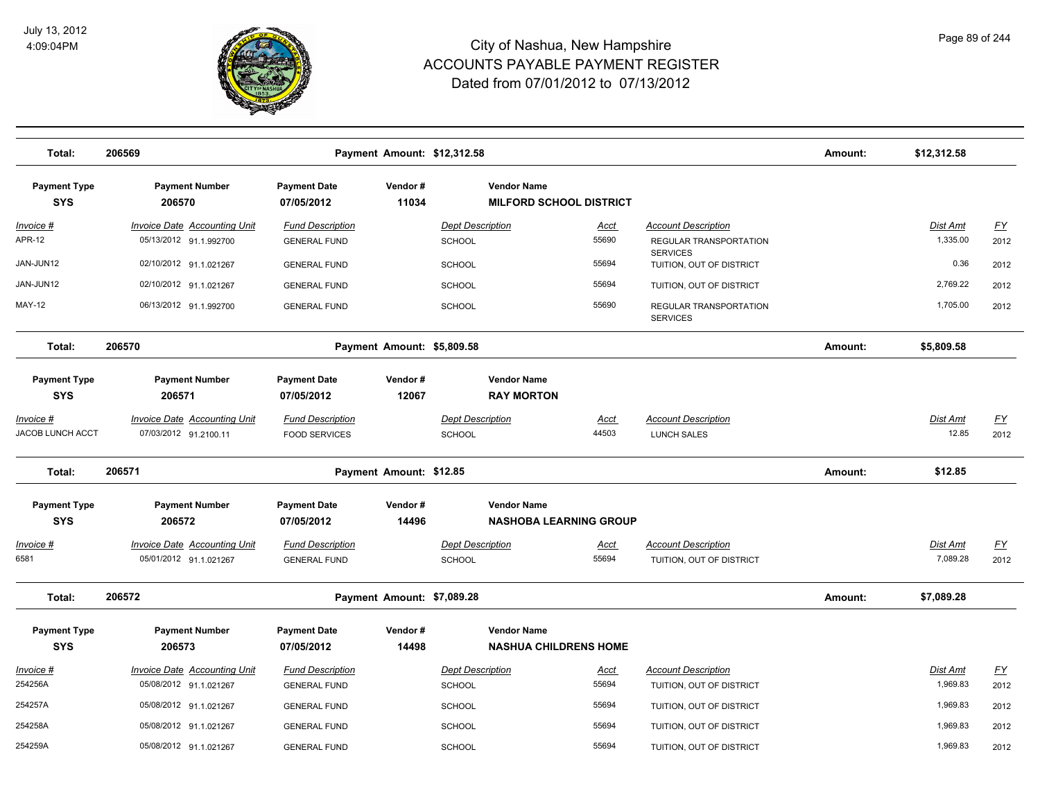

| Total:                            | 206569                                                        |                                                | Payment Amount: \$12,312.58 |                                   |                                                     |                      |                                                      | Amount: | \$12,312.58                 |                                   |
|-----------------------------------|---------------------------------------------------------------|------------------------------------------------|-----------------------------|-----------------------------------|-----------------------------------------------------|----------------------|------------------------------------------------------|---------|-----------------------------|-----------------------------------|
| <b>Payment Type</b><br><b>SYS</b> | <b>Payment Number</b><br>206570                               | <b>Payment Date</b><br>07/05/2012              | Vendor#<br>11034            |                                   | <b>Vendor Name</b><br>MILFORD SCHOOL DISTRICT       |                      |                                                      |         |                             |                                   |
| <u> Invoice #</u><br>APR-12       | <b>Invoice Date Accounting Unit</b><br>05/13/2012 91.1.992700 | <b>Fund Description</b><br><b>GENERAL FUND</b> |                             | <b>Dept Description</b><br>SCHOOL |                                                     | <u>Acct</u><br>55690 | <b>Account Description</b><br>REGULAR TRANSPORTATION |         | <b>Dist Amt</b><br>1,335.00 | $\underline{\mathsf{FY}}$<br>2012 |
| JAN-JUN12                         | 02/10/2012 91.1.021267                                        | <b>GENERAL FUND</b>                            |                             | SCHOOL                            |                                                     | 55694                | <b>SERVICES</b><br>TUITION, OUT OF DISTRICT          |         | 0.36                        | 2012                              |
| JAN-JUN12                         | 02/10/2012 91.1.021267                                        | <b>GENERAL FUND</b>                            |                             | <b>SCHOOL</b>                     |                                                     | 55694                | TUITION, OUT OF DISTRICT                             |         | 2,769.22                    | 2012                              |
| MAY-12                            | 06/13/2012 91.1.992700                                        | <b>GENERAL FUND</b>                            |                             | SCHOOL                            |                                                     | 55690                | REGULAR TRANSPORTATION<br><b>SERVICES</b>            |         | 1,705.00                    | 2012                              |
| Total:                            | 206570                                                        |                                                | Payment Amount: \$5,809.58  |                                   |                                                     |                      |                                                      | Amount: | \$5,809.58                  |                                   |
| <b>Payment Type</b><br><b>SYS</b> | <b>Payment Number</b><br>206571                               | <b>Payment Date</b><br>07/05/2012              | Vendor#<br>12067            |                                   | <b>Vendor Name</b><br><b>RAY MORTON</b>             |                      |                                                      |         |                             |                                   |
| <u> Invoice #</u>                 | <b>Invoice Date Accounting Unit</b>                           | <b>Fund Description</b>                        |                             | <b>Dept Description</b>           |                                                     | <u>Acct</u>          | <b>Account Description</b>                           |         | Dist Amt                    | $\underline{FY}$                  |
| <b>JACOB LUNCH ACCT</b>           | 07/03/2012 91.2100.11                                         | <b>FOOD SERVICES</b>                           |                             | <b>SCHOOL</b>                     |                                                     | 44503                | <b>LUNCH SALES</b>                                   |         | 12.85                       | 2012                              |
| Total:                            | 206571                                                        |                                                | Payment Amount: \$12.85     |                                   |                                                     |                      |                                                      | Amount: | \$12.85                     |                                   |
| <b>Payment Type</b><br><b>SYS</b> | <b>Payment Number</b><br>206572                               | <b>Payment Date</b><br>07/05/2012              | Vendor#<br>14496            |                                   | <b>Vendor Name</b><br><b>NASHOBA LEARNING GROUP</b> |                      |                                                      |         |                             |                                   |
| <u> Invoice #</u>                 | <b>Invoice Date Accounting Unit</b>                           | <b>Fund Description</b>                        |                             | <b>Dept Description</b>           |                                                     | <u>Acct</u>          | <b>Account Description</b>                           |         | <b>Dist Amt</b>             | <u>FY</u>                         |
| 6581                              | 05/01/2012 91.1.021267                                        | <b>GENERAL FUND</b>                            |                             | <b>SCHOOL</b>                     |                                                     | 55694                | TUITION, OUT OF DISTRICT                             |         | 7,089.28                    | 2012                              |
| Total:                            | 206572                                                        |                                                | Payment Amount: \$7,089.28  |                                   |                                                     |                      |                                                      | Amount: | \$7,089.28                  |                                   |
| <b>Payment Type</b><br><b>SYS</b> | <b>Payment Number</b><br>206573                               | <b>Payment Date</b><br>07/05/2012              | Vendor#<br>14498            |                                   | <b>Vendor Name</b><br><b>NASHUA CHILDRENS HOME</b>  |                      |                                                      |         |                             |                                   |
| Invoice #                         | <b>Invoice Date Accounting Unit</b>                           | <b>Fund Description</b>                        |                             | <b>Dept Description</b>           |                                                     | Acct                 | <b>Account Description</b>                           |         | Dist Amt                    | $\underline{FY}$                  |
| 254256A                           | 05/08/2012 91.1.021267                                        | <b>GENERAL FUND</b>                            |                             | <b>SCHOOL</b>                     |                                                     | 55694                | TUITION, OUT OF DISTRICT                             |         | 1,969.83                    | 2012                              |
| 254257A                           | 05/08/2012 91.1.021267                                        | <b>GENERAL FUND</b>                            |                             | <b>SCHOOL</b>                     |                                                     | 55694                | TUITION, OUT OF DISTRICT                             |         | 1,969.83                    | 2012                              |
| 254258A                           | 05/08/2012 91.1.021267                                        | <b>GENERAL FUND</b>                            |                             | SCHOOL                            |                                                     | 55694                | TUITION, OUT OF DISTRICT                             |         | 1,969.83                    | 2012                              |
| 254259A                           | 05/08/2012 91.1.021267                                        | <b>GENERAL FUND</b>                            |                             | SCHOOL                            |                                                     | 55694                | TUITION, OUT OF DISTRICT                             |         | 1,969.83                    | 2012                              |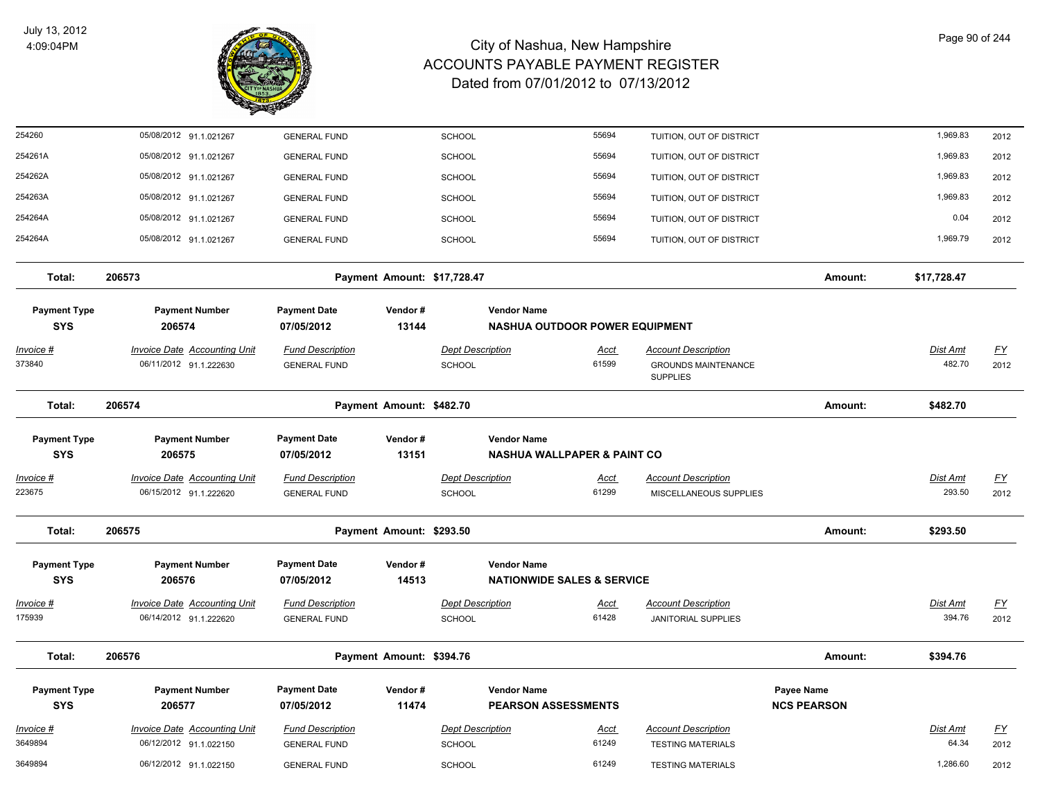

| 254260                            | 05/08/2012 91.1.021267                                        | <b>GENERAL FUND</b>                            |                             | <b>SCHOOL</b>                     | 55694                                                       | TUITION, OUT OF DISTRICT                             |                                  | 1,969.83           | 2012             |
|-----------------------------------|---------------------------------------------------------------|------------------------------------------------|-----------------------------|-----------------------------------|-------------------------------------------------------------|------------------------------------------------------|----------------------------------|--------------------|------------------|
| 254261A                           | 05/08/2012 91.1.021267                                        | <b>GENERAL FUND</b>                            |                             | SCHOOL                            | 55694                                                       | TUITION, OUT OF DISTRICT                             |                                  | 1,969.83           | 2012             |
| 254262A                           | 05/08/2012 91.1.021267                                        | <b>GENERAL FUND</b>                            |                             | SCHOOL                            | 55694                                                       | TUITION, OUT OF DISTRICT                             |                                  | 1,969.83           | 2012             |
| 254263A                           | 05/08/2012 91.1.021267                                        | <b>GENERAL FUND</b>                            |                             | <b>SCHOOL</b>                     | 55694                                                       | TUITION, OUT OF DISTRICT                             |                                  | 1,969.83           | 2012             |
| 254264A                           | 05/08/2012 91.1.021267                                        | <b>GENERAL FUND</b>                            |                             | <b>SCHOOL</b>                     | 55694                                                       | TUITION, OUT OF DISTRICT                             |                                  | 0.04               | 2012             |
| 254264A                           | 05/08/2012 91.1.021267                                        | <b>GENERAL FUND</b>                            |                             | SCHOOL                            | 55694                                                       | TUITION, OUT OF DISTRICT                             |                                  | 1,969.79           | 2012             |
| Total:                            | 206573                                                        |                                                | Payment Amount: \$17,728.47 |                                   |                                                             |                                                      | Amount:                          | \$17,728.47        |                  |
| <b>Payment Type</b><br><b>SYS</b> | <b>Payment Number</b><br>206574                               | <b>Payment Date</b><br>07/05/2012              | Vendor#<br>13144            |                                   | <b>Vendor Name</b><br><b>NASHUA OUTDOOR POWER EQUIPMENT</b> |                                                      |                                  |                    |                  |
| <u>Invoice #</u>                  | <b>Invoice Date Accounting Unit</b>                           | <b>Fund Description</b>                        |                             | <b>Dept Description</b>           | <u>Acct</u>                                                 | <b>Account Description</b>                           |                                  | <u>Dist Amt</u>    | <u>FY</u>        |
| 373840                            | 06/11/2012 91.1.222630                                        | <b>GENERAL FUND</b>                            |                             | <b>SCHOOL</b>                     | 61599                                                       | <b>GROUNDS MAINTENANCE</b><br><b>SUPPLIES</b>        |                                  | 482.70             | 2012             |
| Total:                            | 206574                                                        |                                                | Payment Amount: \$482.70    |                                   |                                                             |                                                      | Amount:                          | \$482.70           |                  |
| <b>Payment Type</b>               | <b>Payment Number</b>                                         | <b>Payment Date</b>                            | Vendor#                     |                                   | <b>Vendor Name</b>                                          |                                                      |                                  |                    |                  |
| <b>SYS</b>                        | 206575                                                        | 07/05/2012                                     | 13151                       |                                   | <b>NASHUA WALLPAPER &amp; PAINT CO</b>                      |                                                      |                                  |                    |                  |
| Invoice #<br>223675               | <b>Invoice Date Accounting Unit</b><br>06/15/2012 91.1.222620 | <b>Fund Description</b><br><b>GENERAL FUND</b> |                             | <b>Dept Description</b><br>SCHOOL | <b>Acct</b><br>61299                                        | <b>Account Description</b><br>MISCELLANEOUS SUPPLIES |                                  | Dist Amt<br>293.50 | EY<br>2012       |
| Total:                            | 206575                                                        |                                                | Payment Amount: \$293.50    |                                   |                                                             |                                                      | Amount:                          | \$293.50           |                  |
| <b>Payment Type</b><br><b>SYS</b> | <b>Payment Number</b><br>206576                               | <b>Payment Date</b><br>07/05/2012              | Vendor#<br>14513            |                                   | <b>Vendor Name</b><br><b>NATIONWIDE SALES &amp; SERVICE</b> |                                                      |                                  |                    |                  |
| Invoice #                         | Invoice Date Accounting Unit                                  | <b>Fund Description</b>                        |                             | <b>Dept Description</b>           | Acct                                                        | <b>Account Description</b>                           |                                  | Dist Amt           | $\underline{FY}$ |
| 175939                            | 06/14/2012 91.1.222620                                        | <b>GENERAL FUND</b>                            |                             | <b>SCHOOL</b>                     | 61428                                                       | <b>JANITORIAL SUPPLIES</b>                           |                                  | 394.76             | 2012             |
| Total:                            | 206576                                                        |                                                | Payment Amount: \$394.76    |                                   |                                                             |                                                      | Amount:                          | \$394.76           |                  |
| <b>Payment Type</b><br><b>SYS</b> | <b>Payment Number</b><br>206577                               | <b>Payment Date</b><br>07/05/2012              | Vendor#<br>11474            |                                   | <b>Vendor Name</b><br><b>PEARSON ASSESSMENTS</b>            |                                                      | Payee Name<br><b>NCS PEARSON</b> |                    |                  |
| <u>Invoice #</u>                  | <b>Invoice Date Accounting Unit</b>                           | <b>Fund Description</b>                        |                             | <b>Dept Description</b>           | <u>Acct</u>                                                 | <b>Account Description</b>                           |                                  | Dist Amt           | EY               |
| 3649894                           | 06/12/2012 91.1.022150                                        | <b>GENERAL FUND</b>                            |                             | <b>SCHOOL</b>                     | 61249                                                       | <b>TESTING MATERIALS</b>                             |                                  | 64.34              | 2012             |
| 3649894                           | 06/12/2012 91.1.022150                                        | <b>GENERAL FUND</b>                            |                             | <b>SCHOOL</b>                     | 61249                                                       | <b>TESTING MATERIALS</b>                             |                                  | 1,286.60           | 2012             |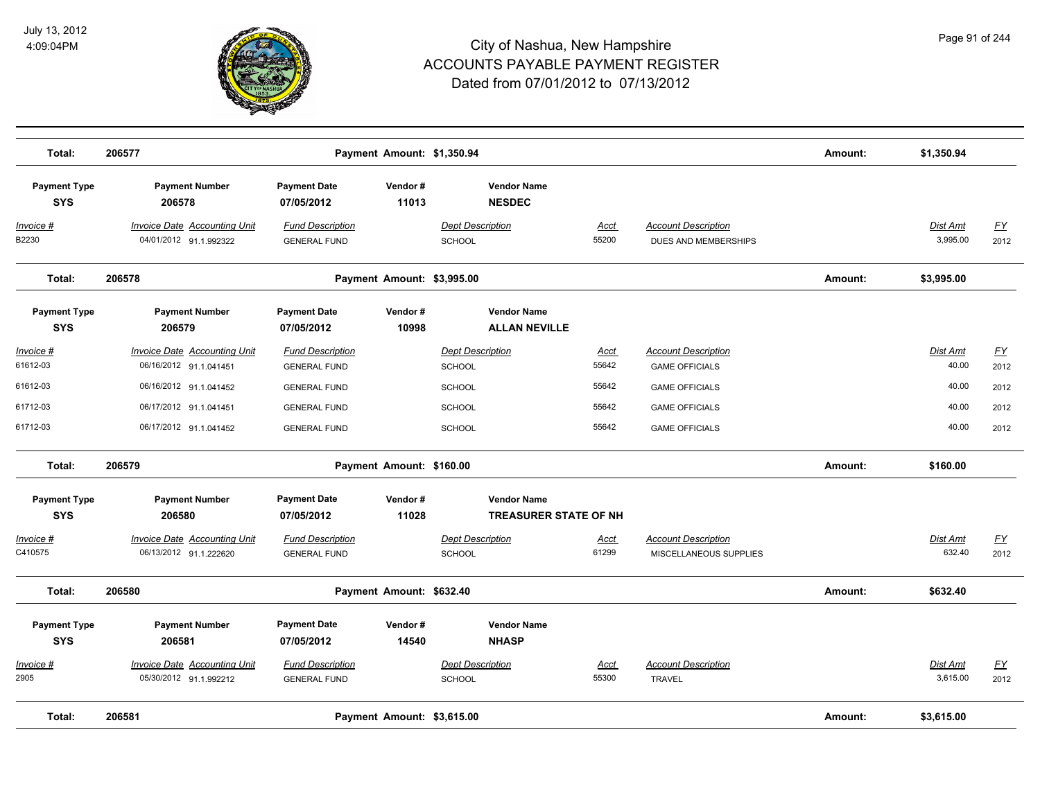

| Total:                            | 206577                                                        |                                                | Payment Amount: \$1,350.94 |                                                    |                      |                                                      | Amount: | \$1,350.94                  |                                   |
|-----------------------------------|---------------------------------------------------------------|------------------------------------------------|----------------------------|----------------------------------------------------|----------------------|------------------------------------------------------|---------|-----------------------------|-----------------------------------|
| <b>Payment Type</b><br><b>SYS</b> | <b>Payment Number</b><br>206578                               | <b>Payment Date</b><br>07/05/2012              | Vendor#<br>11013           | <b>Vendor Name</b><br><b>NESDEC</b>                |                      |                                                      |         |                             |                                   |
| <u>Invoice #</u><br>B2230         | <b>Invoice Date Accounting Unit</b><br>04/01/2012 91.1.992322 | <b>Fund Description</b><br><b>GENERAL FUND</b> |                            | <b>Dept Description</b><br>SCHOOL                  | <b>Acct</b><br>55200 | <b>Account Description</b><br>DUES AND MEMBERSHIPS   |         | Dist Amt<br>3,995.00        | $\underline{\mathsf{FY}}$<br>2012 |
| Total:                            | 206578                                                        |                                                | Payment Amount: \$3,995.00 |                                                    |                      |                                                      | Amount: | \$3,995.00                  |                                   |
| <b>Payment Type</b><br><b>SYS</b> | <b>Payment Number</b><br>206579                               | <b>Payment Date</b><br>07/05/2012              | Vendor#<br>10998           | <b>Vendor Name</b><br><b>ALLAN NEVILLE</b>         |                      |                                                      |         |                             |                                   |
| Invoice #<br>61612-03             | <b>Invoice Date Accounting Unit</b><br>06/16/2012 91.1.041451 | <b>Fund Description</b><br><b>GENERAL FUND</b> |                            | <b>Dept Description</b><br>SCHOOL                  | <u>Acct</u><br>55642 | <b>Account Description</b><br><b>GAME OFFICIALS</b>  |         | Dist Amt<br>40.00           | EY<br>2012                        |
| 61612-03                          | 06/16/2012 91.1.041452                                        | <b>GENERAL FUND</b>                            |                            | <b>SCHOOL</b>                                      | 55642                | <b>GAME OFFICIALS</b>                                |         | 40.00                       | 2012                              |
| 61712-03                          | 06/17/2012 91.1.041451                                        | <b>GENERAL FUND</b>                            |                            | <b>SCHOOL</b>                                      | 55642                | <b>GAME OFFICIALS</b>                                |         | 40.00                       | 2012                              |
| 61712-03                          | 06/17/2012 91.1.041452                                        | <b>GENERAL FUND</b>                            |                            | SCHOOL                                             | 55642                | <b>GAME OFFICIALS</b>                                |         | 40.00                       | 2012                              |
| Total:                            | 206579                                                        |                                                | Payment Amount: \$160.00   |                                                    |                      |                                                      | Amount: | \$160.00                    |                                   |
| <b>Payment Type</b><br><b>SYS</b> | <b>Payment Number</b><br>206580                               | <b>Payment Date</b><br>07/05/2012              | Vendor#<br>11028           | <b>Vendor Name</b><br><b>TREASURER STATE OF NH</b> |                      |                                                      |         |                             |                                   |
| Invoice #<br>C410575              | Invoice Date Accounting Unit<br>06/13/2012 91.1.222620        | <b>Fund Description</b><br><b>GENERAL FUND</b> |                            | <b>Dept Description</b><br>SCHOOL                  | Acct<br>61299        | <b>Account Description</b><br>MISCELLANEOUS SUPPLIES |         | Dist Amt<br>632.40          | EY<br>2012                        |
| Total:                            | 206580                                                        |                                                | Payment Amount: \$632.40   |                                                    |                      |                                                      | Amount: | \$632.40                    |                                   |
| <b>Payment Type</b><br><b>SYS</b> | <b>Payment Number</b><br>206581                               | <b>Payment Date</b><br>07/05/2012              | Vendor#<br>14540           | <b>Vendor Name</b><br><b>NHASP</b>                 |                      |                                                      |         |                             |                                   |
| Invoice #<br>2905                 | Invoice Date Accounting Unit<br>05/30/2012 91.1.992212        | <b>Fund Description</b><br><b>GENERAL FUND</b> |                            | <b>Dept Description</b><br>SCHOOL                  | <b>Acct</b><br>55300 | <b>Account Description</b><br><b>TRAVEL</b>          |         | <b>Dist Amt</b><br>3,615.00 | $\underline{FY}$<br>2012          |
| Total:                            | 206581                                                        |                                                | Payment Amount: \$3,615.00 |                                                    |                      |                                                      | Amount: | \$3,615.00                  |                                   |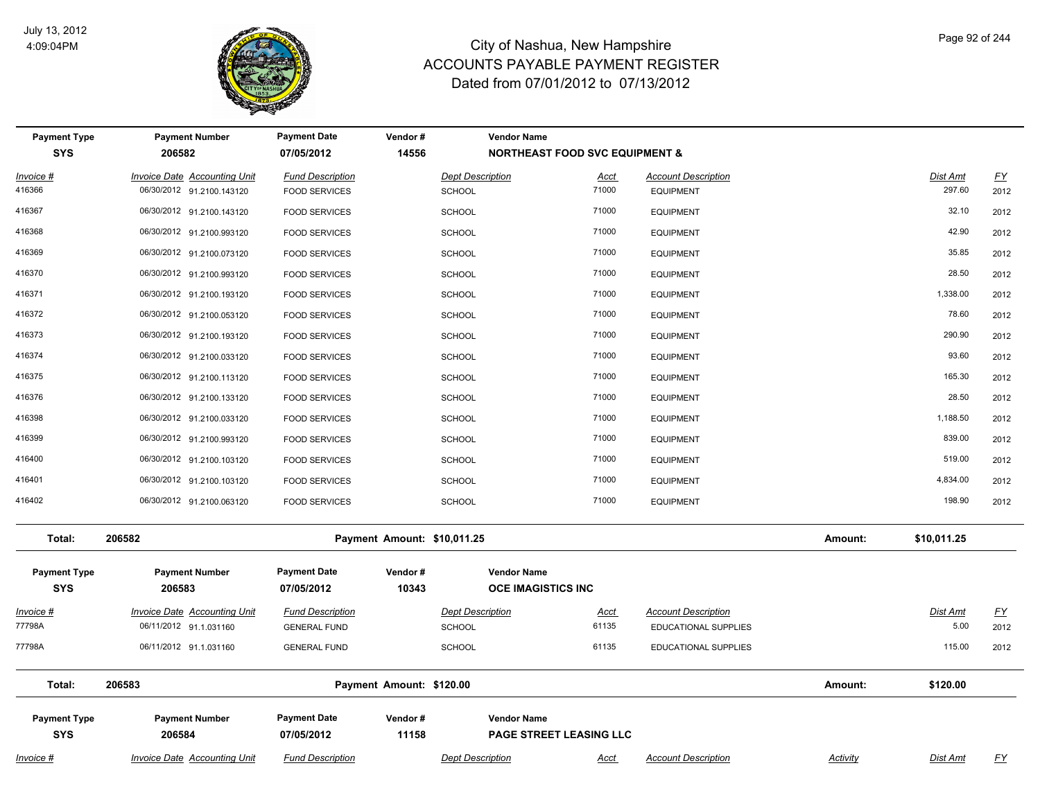

| <b>Payment Type</b><br><b>SYS</b> | <b>Payment Number</b><br>206582                                  | <b>Payment Date</b><br>07/05/2012               | Vendor#<br>14556            | <b>Vendor Name</b>                       | <b>NORTHEAST FOOD SVC EQUIPMENT &amp;</b> |                                                           |                 |                           |                          |
|-----------------------------------|------------------------------------------------------------------|-------------------------------------------------|-----------------------------|------------------------------------------|-------------------------------------------|-----------------------------------------------------------|-----------------|---------------------------|--------------------------|
| Invoice #<br>416366               | <b>Invoice Date Accounting Unit</b><br>06/30/2012 91.2100.143120 | <b>Fund Description</b><br><b>FOOD SERVICES</b> |                             | <b>Dept Description</b><br><b>SCHOOL</b> | <u>Acct</u><br>71000                      | <b>Account Description</b><br><b>EQUIPMENT</b>            |                 | <b>Dist Amt</b><br>297.60 | $\underline{FY}$<br>2012 |
| 416367                            | 06/30/2012 91.2100.143120                                        | <b>FOOD SERVICES</b>                            |                             | <b>SCHOOL</b>                            | 71000                                     | <b>EQUIPMENT</b>                                          |                 | 32.10                     | 2012                     |
| 416368                            | 06/30/2012 91.2100.993120                                        | <b>FOOD SERVICES</b>                            |                             | <b>SCHOOL</b>                            | 71000                                     | <b>EQUIPMENT</b>                                          |                 | 42.90                     | 2012                     |
| 416369                            | 06/30/2012 91.2100.073120                                        | <b>FOOD SERVICES</b>                            |                             | <b>SCHOOL</b>                            | 71000                                     | <b>EQUIPMENT</b>                                          |                 | 35.85                     | 2012                     |
| 416370                            | 06/30/2012 91.2100.993120                                        | <b>FOOD SERVICES</b>                            |                             | <b>SCHOOL</b>                            | 71000                                     | <b>EQUIPMENT</b>                                          |                 | 28.50                     | 2012                     |
| 416371                            | 06/30/2012 91.2100.193120                                        | <b>FOOD SERVICES</b>                            |                             | <b>SCHOOL</b>                            | 71000                                     | <b>EQUIPMENT</b>                                          |                 | 1,338.00                  | 2012                     |
| 416372                            | 06/30/2012 91.2100.053120                                        | <b>FOOD SERVICES</b>                            |                             | <b>SCHOOL</b>                            | 71000                                     | <b>EQUIPMENT</b>                                          |                 | 78.60                     | 2012                     |
| 416373                            | 06/30/2012 91.2100.193120                                        | <b>FOOD SERVICES</b>                            |                             | <b>SCHOOL</b>                            | 71000                                     | <b>EQUIPMENT</b>                                          |                 | 290.90                    | 2012                     |
| 416374                            | 06/30/2012 91.2100.033120                                        | <b>FOOD SERVICES</b>                            |                             | SCHOOL                                   | 71000                                     | <b>EQUIPMENT</b>                                          |                 | 93.60                     | 2012                     |
| 416375                            | 06/30/2012 91.2100.113120                                        | <b>FOOD SERVICES</b>                            |                             | <b>SCHOOL</b>                            | 71000                                     | <b>EQUIPMENT</b>                                          |                 | 165.30                    | 2012                     |
| 416376                            | 06/30/2012 91.2100.133120                                        | <b>FOOD SERVICES</b>                            |                             | <b>SCHOOL</b>                            | 71000                                     | <b>EQUIPMENT</b>                                          |                 | 28.50                     | 2012                     |
| 416398                            | 06/30/2012 91.2100.033120                                        | <b>FOOD SERVICES</b>                            |                             | <b>SCHOOL</b>                            | 71000                                     | <b>EQUIPMENT</b>                                          |                 | 1,188.50                  | 2012                     |
| 416399                            | 06/30/2012 91.2100.993120                                        | <b>FOOD SERVICES</b>                            |                             | <b>SCHOOL</b>                            | 71000                                     | <b>EQUIPMENT</b>                                          |                 | 839.00                    | 2012                     |
| 416400                            | 06/30/2012 91.2100.103120                                        | <b>FOOD SERVICES</b>                            |                             | <b>SCHOOL</b>                            | 71000                                     | <b>EQUIPMENT</b>                                          |                 | 519.00                    | 2012                     |
| 416401                            | 06/30/2012 91.2100.103120                                        | <b>FOOD SERVICES</b>                            |                             | <b>SCHOOL</b>                            | 71000                                     | <b>EQUIPMENT</b>                                          |                 | 4,834.00                  | 2012                     |
| 416402                            | 06/30/2012 91.2100.063120                                        | <b>FOOD SERVICES</b>                            |                             | <b>SCHOOL</b>                            | 71000                                     | <b>EQUIPMENT</b>                                          |                 | 198.90                    | 2012                     |
| Total:                            | 206582                                                           |                                                 | Payment Amount: \$10,011.25 |                                          |                                           |                                                           | Amount:         | \$10,011.25               |                          |
| <b>Payment Type</b><br><b>SYS</b> | <b>Payment Number</b><br>206583                                  | <b>Payment Date</b><br>07/05/2012               | Vendor#<br>10343            | <b>Vendor Name</b>                       | <b>OCE IMAGISTICS INC</b>                 |                                                           |                 |                           |                          |
| $Invoice$ #<br>77798A             | <b>Invoice Date Accounting Unit</b><br>06/11/2012 91.1.031160    | <b>Fund Description</b><br><b>GENERAL FUND</b>  |                             | <b>Dept Description</b><br><b>SCHOOL</b> | <b>Acct</b><br>61135                      | <b>Account Description</b><br><b>EDUCATIONAL SUPPLIES</b> |                 | <b>Dist Amt</b><br>5.00   | <u>FY</u><br>2012        |
| 77798A                            | 06/11/2012 91.1.031160                                           | <b>GENERAL FUND</b>                             |                             | <b>SCHOOL</b>                            | 61135                                     | <b>EDUCATIONAL SUPPLIES</b>                               |                 | 115.00                    | 2012                     |
| Total:                            | 206583                                                           |                                                 | Payment Amount: \$120.00    |                                          |                                           |                                                           | Amount:         | \$120.00                  |                          |
| <b>Payment Type</b><br><b>SYS</b> | <b>Payment Number</b><br>206584                                  | <b>Payment Date</b><br>07/05/2012               | Vendor#<br>11158            | <b>Vendor Name</b>                       | <b>PAGE STREET LEASING LLC</b>            |                                                           |                 |                           |                          |
| Invoice #                         | <b>Invoice Date Accounting Unit</b>                              | <b>Fund Description</b>                         |                             | <b>Dept Description</b>                  | <u>Acct</u>                               | <b>Account Description</b>                                | <b>Activity</b> | <b>Dist Amt</b>           | $\underline{FY}$         |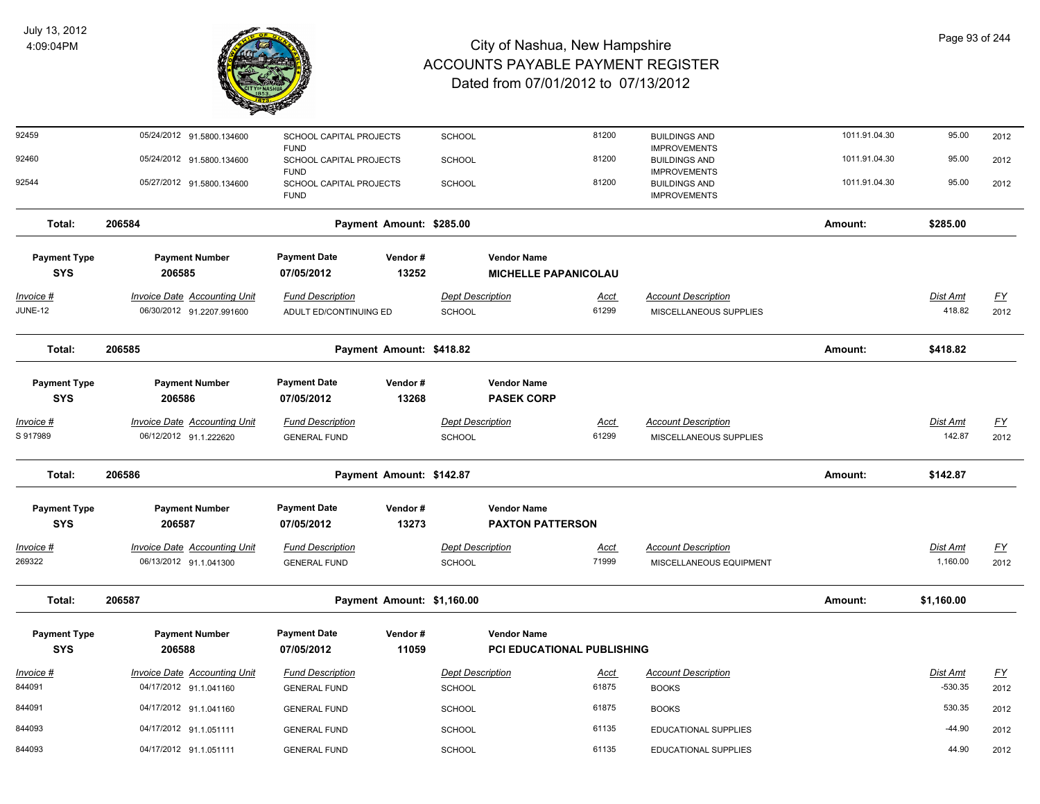

| 92459                              | 05/24/2012 91.5800.134600                                        | SCHOOL CAPITAL PROJECTS<br><b>FUND</b>                |                            | <b>SCHOOL</b>                            |                                                   | 81200                | <b>BUILDINGS AND</b><br><b>IMPROVEMENTS</b>                        | 1011.91.04.30 | 95.00                     | 2012                     |
|------------------------------------|------------------------------------------------------------------|-------------------------------------------------------|----------------------------|------------------------------------------|---------------------------------------------------|----------------------|--------------------------------------------------------------------|---------------|---------------------------|--------------------------|
| 92460                              | 05/24/2012 91.5800.134600                                        | SCHOOL CAPITAL PROJECTS                               |                            | <b>SCHOOL</b>                            |                                                   | 81200                | <b>BUILDINGS AND</b>                                               | 1011.91.04.30 | 95.00                     | 2012                     |
| 92544                              | 05/27/2012 91.5800.134600                                        | <b>FUND</b><br>SCHOOL CAPITAL PROJECTS<br><b>FUND</b> |                            | <b>SCHOOL</b>                            |                                                   | 81200                | <b>IMPROVEMENTS</b><br><b>BUILDINGS AND</b><br><b>IMPROVEMENTS</b> | 1011.91.04.30 | 95.00                     | 2012                     |
| Total:                             | 206584                                                           |                                                       | Payment Amount: \$285.00   |                                          |                                                   |                      |                                                                    | Amount:       | \$285.00                  |                          |
| <b>Payment Type</b><br><b>SYS</b>  | <b>Payment Number</b><br>206585                                  | <b>Payment Date</b><br>07/05/2012                     | Vendor#<br>13252           |                                          | <b>Vendor Name</b><br><b>MICHELLE PAPANICOLAU</b> |                      |                                                                    |               |                           |                          |
| <u>Invoice #</u><br><b>JUNE-12</b> | <b>Invoice Date Accounting Unit</b><br>06/30/2012 91.2207.991600 | <b>Fund Description</b><br>ADULT ED/CONTINUING ED     |                            | <b>Dept Description</b><br><b>SCHOOL</b> |                                                   | <u>Acct</u><br>61299 | <b>Account Description</b><br>MISCELLANEOUS SUPPLIES               |               | <b>Dist Amt</b><br>418.82 | <u>FY</u><br>2012        |
| Total:                             | 206585                                                           |                                                       | Payment Amount: \$418.82   |                                          |                                                   |                      |                                                                    | Amount:       | \$418.82                  |                          |
| <b>Payment Type</b><br><b>SYS</b>  | <b>Payment Number</b><br>206586                                  | <b>Payment Date</b><br>07/05/2012                     | Vendor#<br>13268           |                                          | <b>Vendor Name</b><br><b>PASEK CORP</b>           |                      |                                                                    |               |                           |                          |
| Invoice #<br>S 917989              | <b>Invoice Date Accounting Unit</b><br>06/12/2012 91.1.222620    | <b>Fund Description</b><br><b>GENERAL FUND</b>        |                            | <b>Dept Description</b><br>SCHOOL        |                                                   | <u>Acct</u><br>61299 | <b>Account Description</b><br>MISCELLANEOUS SUPPLIES               |               | Dist Amt<br>142.87        | $\underline{FY}$<br>2012 |
| Total:                             | 206586                                                           |                                                       | Payment Amount: \$142.87   |                                          |                                                   |                      |                                                                    | Amount:       | \$142.87                  |                          |
| <b>Payment Type</b><br><b>SYS</b>  | <b>Payment Number</b><br>206587                                  | <b>Payment Date</b><br>07/05/2012                     | Vendor#<br>13273           |                                          | <b>Vendor Name</b><br><b>PAXTON PATTERSON</b>     |                      |                                                                    |               |                           |                          |
| Invoice #<br>269322                | <b>Invoice Date Accounting Unit</b><br>06/13/2012 91.1.041300    | <b>Fund Description</b><br><b>GENERAL FUND</b>        |                            | <b>Dept Description</b><br><b>SCHOOL</b> |                                                   | <u>Acct</u><br>71999 | <b>Account Description</b><br>MISCELLANEOUS EQUIPMENT              |               | Dist Amt<br>1,160.00      | EY<br>2012               |
| Total:                             | 206587                                                           |                                                       | Payment Amount: \$1,160.00 |                                          |                                                   |                      |                                                                    | Amount:       | \$1,160.00                |                          |
| <b>Payment Type</b><br><b>SYS</b>  | <b>Payment Number</b><br>206588                                  | <b>Payment Date</b><br>07/05/2012                     | Vendor#<br>11059           |                                          | <b>Vendor Name</b><br>PCI EDUCATIONAL PUBLISHING  |                      |                                                                    |               |                           |                          |
| Invoice #<br>844091                | Invoice Date Accounting Unit<br>04/17/2012 91.1.041160           | <b>Fund Description</b><br><b>GENERAL FUND</b>        |                            | <b>Dept Description</b><br>SCHOOL        |                                                   | <u>Acct</u><br>61875 | <b>Account Description</b><br><b>BOOKS</b>                         |               | Dist Amt<br>$-530.35$     | <u>FY</u><br>2012        |
| 844091                             | 04/17/2012 91.1.041160                                           | <b>GENERAL FUND</b>                                   |                            | <b>SCHOOL</b>                            |                                                   | 61875                | <b>BOOKS</b>                                                       |               | 530.35                    | 2012                     |
| 844093                             | 04/17/2012 91.1.051111                                           | <b>GENERAL FUND</b>                                   |                            | SCHOOL                                   |                                                   | 61135                | EDUCATIONAL SUPPLIES                                               |               | $-44.90$                  | 2012                     |
| 844093                             | 04/17/2012 91.1.051111                                           | <b>GENERAL FUND</b>                                   |                            | SCHOOL                                   |                                                   | 61135                | <b>EDUCATIONAL SUPPLIES</b>                                        |               | 44.90                     | 2012                     |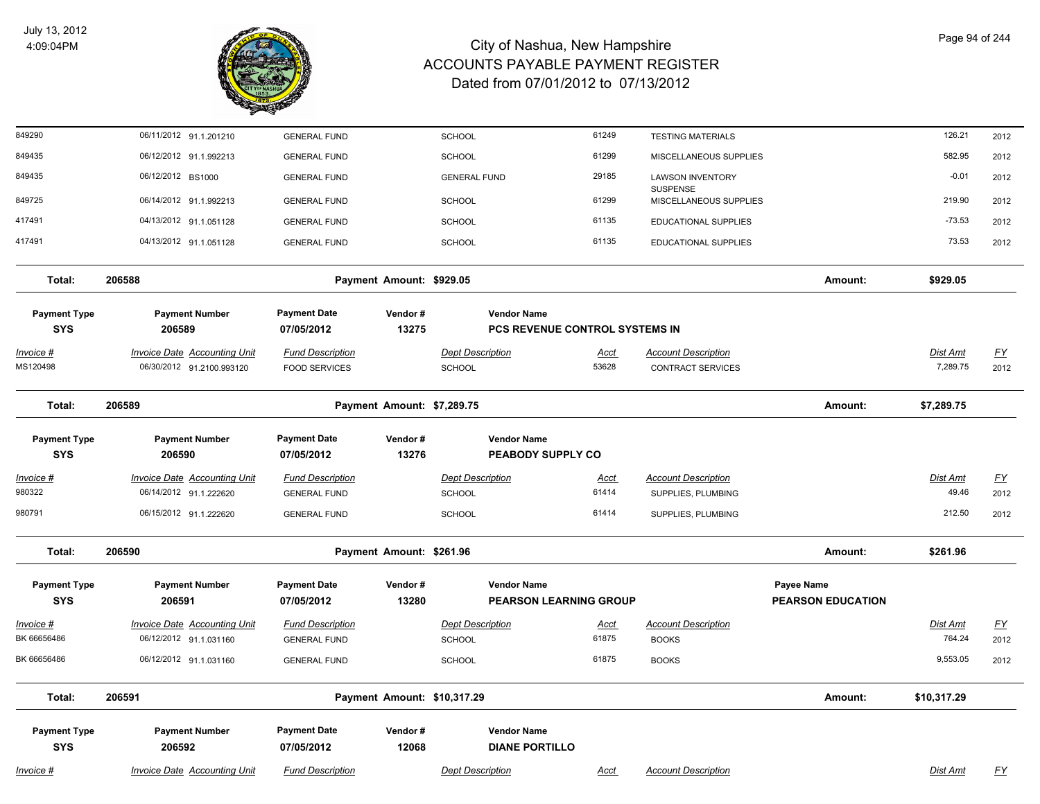

| 849290                            | 06/11/2012 91.1.201210                                           | <b>GENERAL FUND</b>                             |                             | <b>SCHOOL</b>                               | 61249                          | <b>TESTING MATERIALS</b>                               |                                        | 126.21                      | 2012              |
|-----------------------------------|------------------------------------------------------------------|-------------------------------------------------|-----------------------------|---------------------------------------------|--------------------------------|--------------------------------------------------------|----------------------------------------|-----------------------------|-------------------|
| 849435                            | 06/12/2012 91.1.992213                                           | <b>GENERAL FUND</b>                             |                             | SCHOOL                                      | 61299                          | MISCELLANEOUS SUPPLIES                                 |                                        | 582.95                      | 2012              |
| 849435                            | 06/12/2012 BS1000                                                | <b>GENERAL FUND</b>                             |                             | <b>GENERAL FUND</b>                         | 29185                          | <b>LAWSON INVENTORY</b>                                |                                        | $-0.01$                     | 2012              |
| 849725                            | 06/14/2012 91.1.992213                                           | <b>GENERAL FUND</b>                             |                             | SCHOOL                                      | 61299                          | <b>SUSPENSE</b><br>MISCELLANEOUS SUPPLIES              |                                        | 219.90                      | 2012              |
| 417491                            | 04/13/2012 91.1.051128                                           | <b>GENERAL FUND</b>                             |                             | SCHOOL                                      | 61135                          | EDUCATIONAL SUPPLIES                                   |                                        | $-73.53$                    | 2012              |
| 417491                            | 04/13/2012 91.1.051128                                           | <b>GENERAL FUND</b>                             |                             | <b>SCHOOL</b>                               | 61135                          | <b>EDUCATIONAL SUPPLIES</b>                            |                                        | 73.53                       | 2012              |
| Total:                            | 206588                                                           |                                                 | Payment Amount: \$929.05    |                                             |                                |                                                        | Amount:                                | \$929.05                    |                   |
| <b>Payment Type</b><br><b>SYS</b> | <b>Payment Number</b><br>206589                                  | <b>Payment Date</b><br>07/05/2012               | Vendor#<br>13275            | <b>Vendor Name</b>                          | PCS REVENUE CONTROL SYSTEMS IN |                                                        |                                        |                             |                   |
| <u> Invoice #</u><br>MS120498     | <b>Invoice Date Accounting Unit</b><br>06/30/2012 91.2100.993120 | <b>Fund Description</b><br><b>FOOD SERVICES</b> |                             | <b>Dept Description</b><br><b>SCHOOL</b>    | <u>Acct</u><br>53628           | <b>Account Description</b><br><b>CONTRACT SERVICES</b> |                                        | <u>Dist Amt</u><br>7,289.75 | <u>FY</u><br>2012 |
| Total:                            | 206589                                                           |                                                 | Payment Amount: \$7,289.75  |                                             |                                |                                                        | Amount:                                | \$7,289.75                  |                   |
| <b>Payment Type</b><br><b>SYS</b> | <b>Payment Number</b><br>206590                                  | <b>Payment Date</b><br>07/05/2012               | Vendor#<br>13276            | <b>Vendor Name</b>                          | PEABODY SUPPLY CO              |                                                        |                                        |                             |                   |
| Invoice #                         | <b>Invoice Date Accounting Unit</b>                              | <b>Fund Description</b>                         |                             | <b>Dept Description</b>                     | <b>Acct</b>                    | <b>Account Description</b>                             |                                        | Dist Amt                    | <u>FY</u>         |
| 980322                            | 06/14/2012 91.1.222620                                           | <b>GENERAL FUND</b>                             |                             | <b>SCHOOL</b>                               | 61414                          | SUPPLIES, PLUMBING                                     |                                        | 49.46                       | 2012              |
| 980791                            | 06/15/2012 91.1.222620                                           | <b>GENERAL FUND</b>                             |                             | SCHOOL                                      | 61414                          | SUPPLIES, PLUMBING                                     |                                        | 212.50                      | 2012              |
| Total:                            | 206590                                                           |                                                 | Payment Amount: \$261.96    |                                             |                                |                                                        | Amount:                                | \$261.96                    |                   |
| <b>Payment Type</b><br><b>SYS</b> | <b>Payment Number</b><br>206591                                  | <b>Payment Date</b><br>07/05/2012               | Vendor#<br>13280            | <b>Vendor Name</b>                          | <b>PEARSON LEARNING GROUP</b>  |                                                        | Payee Name<br><b>PEARSON EDUCATION</b> |                             |                   |
| Invoice #                         | <b>Invoice Date Accounting Unit</b>                              | <b>Fund Description</b>                         |                             | <b>Dept Description</b>                     | <u>Acct</u>                    | <b>Account Description</b>                             |                                        | <u>Dist Amt</u>             | <u>FY</u>         |
| BK 66656486                       | 06/12/2012 91.1.031160                                           | <b>GENERAL FUND</b>                             |                             | <b>SCHOOL</b>                               | 61875                          | <b>BOOKS</b>                                           |                                        | 764.24                      | 2012              |
| BK 66656486                       | 06/12/2012 91.1.031160                                           | <b>GENERAL FUND</b>                             |                             | <b>SCHOOL</b>                               | 61875                          | <b>BOOKS</b>                                           |                                        | 9,553.05                    | 2012              |
| Total:                            | 206591                                                           |                                                 | Payment Amount: \$10,317.29 |                                             |                                |                                                        | Amount:                                | \$10,317.29                 |                   |
| <b>Payment Type</b><br><b>SYS</b> | <b>Payment Number</b><br>206592                                  | <b>Payment Date</b><br>07/05/2012               | Vendor#<br>12068            | <b>Vendor Name</b><br><b>DIANE PORTILLO</b> |                                |                                                        |                                        |                             |                   |
| Invoice #                         | <b>Invoice Date Accounting Unit</b>                              | <b>Fund Description</b>                         |                             | <b>Dept Description</b>                     | <b>Acct</b>                    | <b>Account Description</b>                             |                                        | Dist Amt                    | <u>FY</u>         |
|                                   |                                                                  |                                                 |                             |                                             |                                |                                                        |                                        |                             |                   |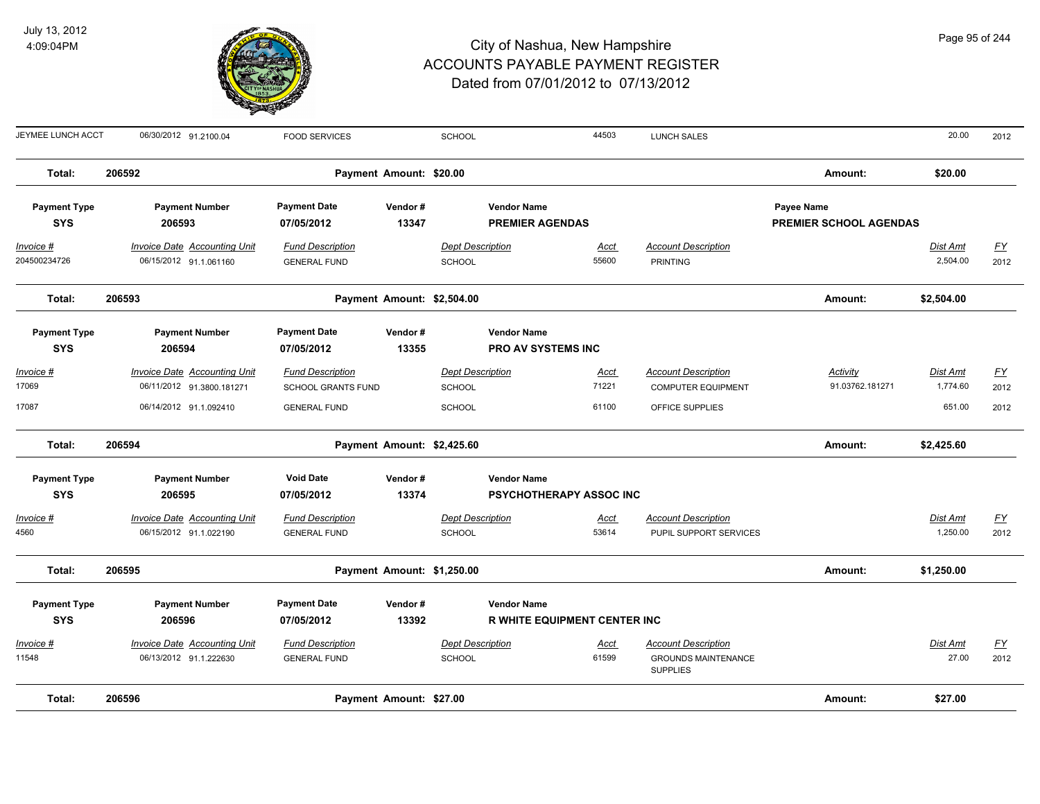

| JEYMEE LUNCH ACCT                 | 06/30/2012 91.2100.04                                            | <b>FOOD SERVICES</b>                                 |                            | SCHOOL                                   |                                                      | 44503                | LUNCH SALES                                                                 |            |                               | 20.00                       | 2012                              |
|-----------------------------------|------------------------------------------------------------------|------------------------------------------------------|----------------------------|------------------------------------------|------------------------------------------------------|----------------------|-----------------------------------------------------------------------------|------------|-------------------------------|-----------------------------|-----------------------------------|
| Total:                            | 206592                                                           |                                                      | Payment Amount: \$20.00    |                                          |                                                      |                      |                                                                             |            | Amount:                       | \$20.00                     |                                   |
| <b>Payment Type</b><br><b>SYS</b> | <b>Payment Number</b><br>206593                                  | <b>Payment Date</b><br>07/05/2012                    | Vendor#<br>13347           |                                          | <b>Vendor Name</b><br><b>PREMIER AGENDAS</b>         |                      |                                                                             | Payee Name | <b>PREMIER SCHOOL AGENDAS</b> |                             |                                   |
| <u>Invoice #</u>                  | <b>Invoice Date Accounting Unit</b>                              | <b>Fund Description</b>                              |                            | <b>Dept Description</b>                  |                                                      | <u>Acct</u>          | <b>Account Description</b>                                                  |            |                               | <u>Dist Amt</u>             | <u>FY</u>                         |
| 204500234726                      | 06/15/2012 91.1.061160                                           | <b>GENERAL FUND</b>                                  |                            | <b>SCHOOL</b>                            |                                                      | 55600                | <b>PRINTING</b>                                                             |            |                               | 2,504.00                    | 2012                              |
| Total:                            | 206593                                                           |                                                      | Payment Amount: \$2,504.00 |                                          |                                                      |                      |                                                                             |            | Amount:                       | \$2,504.00                  |                                   |
| <b>Payment Type</b><br><b>SYS</b> | <b>Payment Number</b><br>206594                                  | <b>Payment Date</b><br>07/05/2012                    | Vendor#<br>13355           |                                          | <b>Vendor Name</b><br><b>PRO AV SYSTEMS INC</b>      |                      |                                                                             |            |                               |                             |                                   |
| Invoice #<br>17069                | <b>Invoice Date Accounting Unit</b><br>06/11/2012 91.3800.181271 | <b>Fund Description</b><br><b>SCHOOL GRANTS FUND</b> |                            | <b>Dept Description</b><br>SCHOOL        |                                                      | <u>Acct</u><br>71221 | <b>Account Description</b><br><b>COMPUTER EQUIPMENT</b>                     |            | Activity<br>91.03762.181271   | Dist Amt<br>1,774.60        | $\underline{\mathsf{FY}}$<br>2012 |
| 17087                             | 06/14/2012 91.1.092410                                           | <b>GENERAL FUND</b>                                  |                            | <b>SCHOOL</b>                            |                                                      | 61100                | OFFICE SUPPLIES                                                             |            |                               | 651.00                      | 2012                              |
| Total:                            | 206594                                                           |                                                      | Payment Amount: \$2,425.60 |                                          |                                                      |                      |                                                                             |            | Amount:                       | \$2,425.60                  |                                   |
| <b>Payment Type</b><br><b>SYS</b> | <b>Payment Number</b><br>206595                                  | <b>Void Date</b><br>07/05/2012                       | Vendor#<br>13374           |                                          | <b>Vendor Name</b><br><b>PSYCHOTHERAPY ASSOC INC</b> |                      |                                                                             |            |                               |                             |                                   |
| <u> Invoice #</u><br>4560         | <b>Invoice Date Accounting Unit</b><br>06/15/2012 91.1.022190    | <b>Fund Description</b><br><b>GENERAL FUND</b>       |                            | <b>Dept Description</b><br><b>SCHOOL</b> |                                                      | <u>Acct</u><br>53614 | <b>Account Description</b><br>PUPIL SUPPORT SERVICES                        |            |                               | <u>Dist Amt</u><br>1,250.00 | <u>FY</u><br>2012                 |
| Total:                            | 206595                                                           |                                                      | Payment Amount: \$1,250.00 |                                          |                                                      |                      |                                                                             |            | Amount:                       | \$1,250.00                  |                                   |
| <b>Payment Type</b>               | <b>Payment Number</b>                                            | <b>Payment Date</b>                                  | Vendor#                    |                                          | <b>Vendor Name</b>                                   |                      |                                                                             |            |                               |                             |                                   |
| <b>SYS</b>                        | 206596                                                           | 07/05/2012                                           | 13392                      |                                          | <b>R WHITE EQUIPMENT CENTER INC</b>                  |                      |                                                                             |            |                               |                             |                                   |
| Invoice #<br>11548                | <b>Invoice Date Accounting Unit</b><br>06/13/2012 91.1.222630    | <b>Fund Description</b><br><b>GENERAL FUND</b>       |                            | <b>Dept Description</b><br><b>SCHOOL</b> |                                                      | <u>Acct</u><br>61599 | <b>Account Description</b><br><b>GROUNDS MAINTENANCE</b><br><b>SUPPLIES</b> |            |                               | Dist Amt<br>27.00           | $\underline{FY}$<br>2012          |
| Total:                            | 206596                                                           |                                                      | Payment Amount: \$27.00    |                                          |                                                      |                      |                                                                             |            | Amount:                       | \$27.00                     |                                   |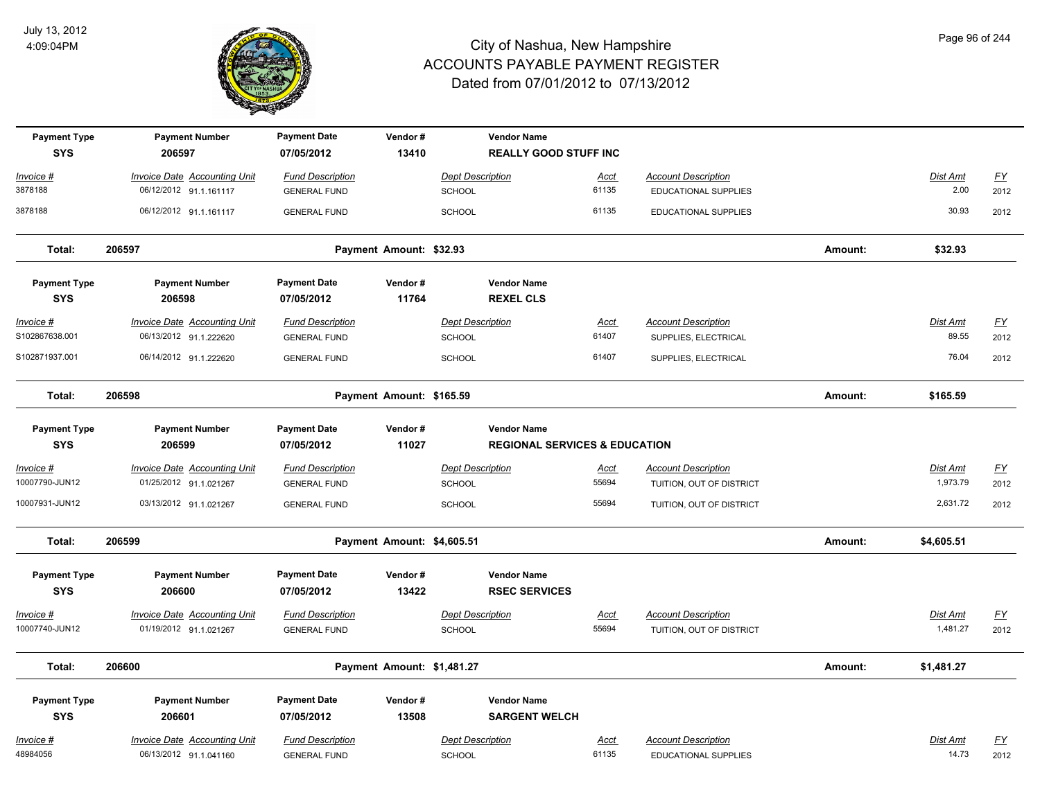

| <b>Payment Type</b>               | <b>Payment Number</b>               | <b>Payment Date</b>               | Vendor#                    |                         | <b>Vendor Name</b>                                             |       |                            |         |                 |           |
|-----------------------------------|-------------------------------------|-----------------------------------|----------------------------|-------------------------|----------------------------------------------------------------|-------|----------------------------|---------|-----------------|-----------|
| <b>SYS</b>                        | 206597                              | 07/05/2012                        | 13410                      |                         | <b>REALLY GOOD STUFF INC</b>                                   |       |                            |         |                 |           |
| Invoice #                         | Invoice Date Accounting Unit        | <b>Fund Description</b>           |                            | <b>Dept Description</b> |                                                                | Acct  | <b>Account Description</b> |         | Dist Amt        | <u>FY</u> |
| 3878188                           | 06/12/2012 91.1.161117              | <b>GENERAL FUND</b>               |                            | SCHOOL                  |                                                                | 61135 | EDUCATIONAL SUPPLIES       |         | 2.00            | 2012      |
| 3878188                           | 06/12/2012 91.1.161117              | <b>GENERAL FUND</b>               |                            | <b>SCHOOL</b>           |                                                                | 61135 | EDUCATIONAL SUPPLIES       |         | 30.93           | 2012      |
| Total:                            | 206597                              |                                   | Payment Amount: \$32.93    |                         |                                                                |       |                            | Amount: | \$32.93         |           |
| <b>Payment Type</b><br><b>SYS</b> | <b>Payment Number</b><br>206598     | <b>Payment Date</b><br>07/05/2012 | Vendor#<br>11764           |                         | <b>Vendor Name</b><br><b>REXEL CLS</b>                         |       |                            |         |                 |           |
| Invoice #                         | <b>Invoice Date Accounting Unit</b> | <b>Fund Description</b>           |                            | <b>Dept Description</b> |                                                                | Acct  | <b>Account Description</b> |         | Dist Amt        | <u>FY</u> |
| S102867638.001                    | 06/13/2012 91.1.222620              | <b>GENERAL FUND</b>               |                            | <b>SCHOOL</b>           |                                                                | 61407 | SUPPLIES, ELECTRICAL       |         | 89.55           | 2012      |
| S102871937.001                    | 06/14/2012 91.1.222620              | <b>GENERAL FUND</b>               |                            | <b>SCHOOL</b>           |                                                                | 61407 | SUPPLIES, ELECTRICAL       |         | 76.04           | 2012      |
| Total:                            | 206598                              |                                   | Payment Amount: \$165.59   |                         |                                                                |       |                            | Amount: | \$165.59        |           |
| <b>Payment Type</b><br><b>SYS</b> | <b>Payment Number</b><br>206599     | <b>Payment Date</b><br>07/05/2012 | Vendor#<br>11027           |                         | <b>Vendor Name</b><br><b>REGIONAL SERVICES &amp; EDUCATION</b> |       |                            |         |                 |           |
| Invoice #                         | <b>Invoice Date Accounting Unit</b> | <b>Fund Description</b>           |                            | <b>Dept Description</b> |                                                                | Acct  | <b>Account Description</b> |         | Dist Amt        | <u>FY</u> |
| 10007790-JUN12                    | 01/25/2012 91.1.021267              | <b>GENERAL FUND</b>               |                            | SCHOOL                  |                                                                | 55694 | TUITION, OUT OF DISTRICT   |         | 1,973.79        | 2012      |
| 10007931-JUN12                    | 03/13/2012 91.1.021267              | <b>GENERAL FUND</b>               |                            | SCHOOL                  |                                                                | 55694 | TUITION, OUT OF DISTRICT   |         | 2,631.72        | 2012      |
| Total:                            | 206599                              |                                   | Payment Amount: \$4,605.51 |                         |                                                                |       |                            | Amount: | \$4,605.51      |           |
| <b>Payment Type</b><br><b>SYS</b> | <b>Payment Number</b><br>206600     | <b>Payment Date</b><br>07/05/2012 | Vendor#<br>13422           |                         | <b>Vendor Name</b><br><b>RSEC SERVICES</b>                     |       |                            |         |                 |           |
| Invoice #                         | <b>Invoice Date Accounting Unit</b> | <b>Fund Description</b>           |                            | <b>Dept Description</b> |                                                                | Acct  | <b>Account Description</b> |         | <u>Dist Amt</u> | <u>FY</u> |
| 10007740-JUN12                    | 01/19/2012 91.1.021267              | <b>GENERAL FUND</b>               |                            | <b>SCHOOL</b>           |                                                                | 55694 | TUITION, OUT OF DISTRICT   |         | 1,481.27        | 2012      |
| Total:                            | 206600                              |                                   | Payment Amount: \$1,481.27 |                         |                                                                |       |                            | Amount: | \$1,481.27      |           |
| <b>Payment Type</b><br><b>SYS</b> | <b>Payment Number</b><br>206601     | <b>Payment Date</b><br>07/05/2012 | Vendor#<br>13508           |                         | <b>Vendor Name</b><br><b>SARGENT WELCH</b>                     |       |                            |         |                 |           |
| <u> Invoice #</u>                 | <b>Invoice Date Accounting Unit</b> | <b>Fund Description</b>           |                            | <b>Dept Description</b> |                                                                | Acct  | <b>Account Description</b> |         | Dist Amt        | <u>FY</u> |
| 48984056                          | 06/13/2012 91.1.041160              | <b>GENERAL FUND</b>               |                            | SCHOOL                  |                                                                | 61135 | EDUCATIONAL SUPPLIES       |         | 14.73           | 2012      |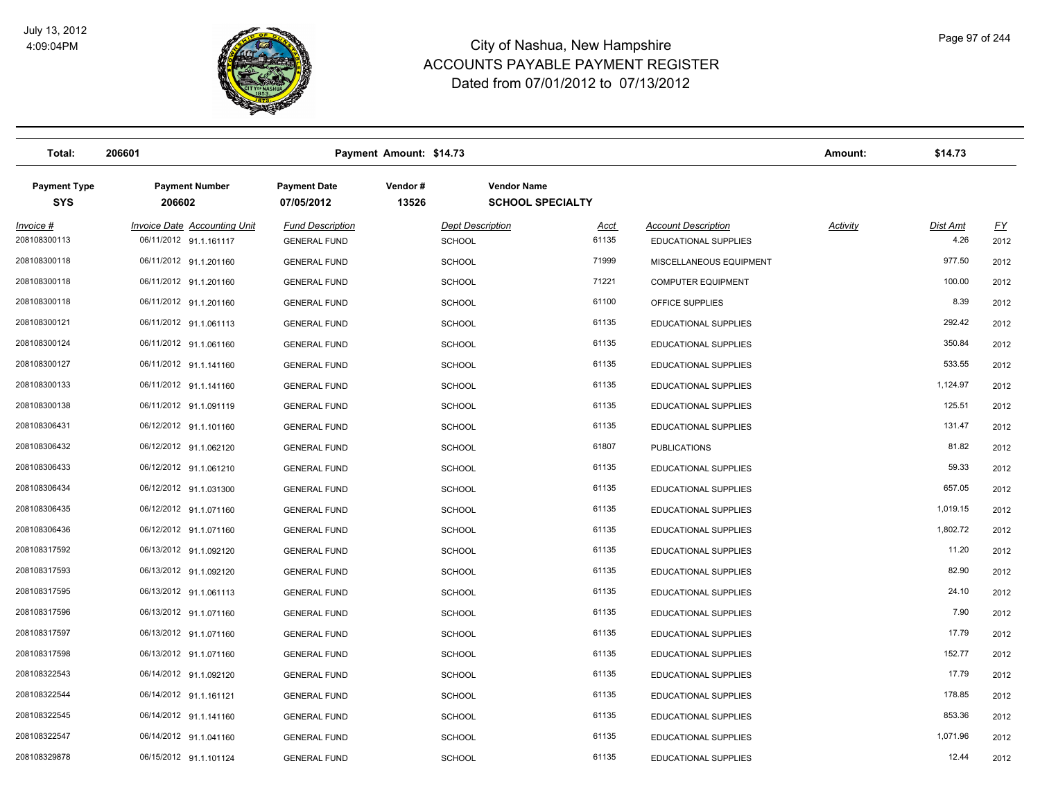

| Total:                            | 206601                                                        |                                                | Payment Amount: \$14.73 |                                               |                      |                                                           | Amount:         | \$14.73                 |                   |
|-----------------------------------|---------------------------------------------------------------|------------------------------------------------|-------------------------|-----------------------------------------------|----------------------|-----------------------------------------------------------|-----------------|-------------------------|-------------------|
| <b>Payment Type</b><br><b>SYS</b> | <b>Payment Number</b><br>206602                               | <b>Payment Date</b><br>07/05/2012              | Vendor#<br>13526        | <b>Vendor Name</b><br><b>SCHOOL SPECIALTY</b> |                      |                                                           |                 |                         |                   |
| Invoice #<br>208108300113         | <b>Invoice Date Accounting Unit</b><br>06/11/2012 91.1.161117 | <b>Fund Description</b><br><b>GENERAL FUND</b> |                         | <b>Dept Description</b><br><b>SCHOOL</b>      | <u>Acct</u><br>61135 | <b>Account Description</b><br><b>EDUCATIONAL SUPPLIES</b> | <b>Activity</b> | <b>Dist Amt</b><br>4.26 | <u>FY</u><br>2012 |
| 208108300118                      | 06/11/2012 91.1.201160                                        | <b>GENERAL FUND</b>                            |                         | <b>SCHOOL</b>                                 | 71999                | MISCELLANEOUS EQUIPMENT                                   |                 | 977.50                  | 2012              |
| 208108300118                      | 06/11/2012 91.1.201160                                        | <b>GENERAL FUND</b>                            |                         | <b>SCHOOL</b>                                 | 71221                | <b>COMPUTER EQUIPMENT</b>                                 |                 | 100.00                  | 2012              |
| 208108300118                      | 06/11/2012 91.1.201160                                        | <b>GENERAL FUND</b>                            |                         | <b>SCHOOL</b>                                 | 61100                | OFFICE SUPPLIES                                           |                 | 8.39                    | 2012              |
| 208108300121                      | 06/11/2012 91.1.061113                                        | <b>GENERAL FUND</b>                            |                         | <b>SCHOOL</b>                                 | 61135                | EDUCATIONAL SUPPLIES                                      |                 | 292.42                  | 2012              |
| 208108300124                      | 06/11/2012 91.1.061160                                        | <b>GENERAL FUND</b>                            |                         | <b>SCHOOL</b>                                 | 61135                | <b>EDUCATIONAL SUPPLIES</b>                               |                 | 350.84                  | 2012              |
| 208108300127                      | 06/11/2012 91.1.141160                                        | <b>GENERAL FUND</b>                            |                         | <b>SCHOOL</b>                                 | 61135                | <b>EDUCATIONAL SUPPLIES</b>                               |                 | 533.55                  | 2012              |
| 208108300133                      | 06/11/2012 91.1.141160                                        | <b>GENERAL FUND</b>                            |                         | <b>SCHOOL</b>                                 | 61135                | <b>EDUCATIONAL SUPPLIES</b>                               |                 | 1,124.97                | 2012              |
| 208108300138                      | 06/11/2012 91.1.091119                                        | <b>GENERAL FUND</b>                            |                         | <b>SCHOOL</b>                                 | 61135                | EDUCATIONAL SUPPLIES                                      |                 | 125.51                  | 2012              |
| 208108306431                      | 06/12/2012 91.1.101160                                        | <b>GENERAL FUND</b>                            |                         | <b>SCHOOL</b>                                 | 61135                | <b>EDUCATIONAL SUPPLIES</b>                               |                 | 131.47                  | 2012              |
| 208108306432                      | 06/12/2012 91.1.062120                                        | <b>GENERAL FUND</b>                            |                         | <b>SCHOOL</b>                                 | 61807                | <b>PUBLICATIONS</b>                                       |                 | 81.82                   | 2012              |
| 208108306433                      | 06/12/2012 91.1.061210                                        | <b>GENERAL FUND</b>                            |                         | <b>SCHOOL</b>                                 | 61135                | <b>EDUCATIONAL SUPPLIES</b>                               |                 | 59.33                   | 2012              |
| 208108306434                      | 06/12/2012 91.1.031300                                        | <b>GENERAL FUND</b>                            |                         | <b>SCHOOL</b>                                 | 61135                | <b>EDUCATIONAL SUPPLIES</b>                               |                 | 657.05                  | 2012              |
| 208108306435                      | 06/12/2012 91.1.071160                                        | <b>GENERAL FUND</b>                            |                         | <b>SCHOOL</b>                                 | 61135                | <b>EDUCATIONAL SUPPLIES</b>                               |                 | 1,019.15                | 2012              |
| 208108306436                      | 06/12/2012 91.1.071160                                        | <b>GENERAL FUND</b>                            |                         | <b>SCHOOL</b>                                 | 61135                | EDUCATIONAL SUPPLIES                                      |                 | 1,802.72                | 2012              |
| 208108317592                      | 06/13/2012 91.1.092120                                        | <b>GENERAL FUND</b>                            |                         | SCHOOL                                        | 61135                | EDUCATIONAL SUPPLIES                                      |                 | 11.20                   | 2012              |
| 208108317593                      | 06/13/2012 91.1.092120                                        | <b>GENERAL FUND</b>                            |                         | <b>SCHOOL</b>                                 | 61135                | <b>EDUCATIONAL SUPPLIES</b>                               |                 | 82.90                   | 2012              |
| 208108317595                      | 06/13/2012 91.1.061113                                        | <b>GENERAL FUND</b>                            |                         | <b>SCHOOL</b>                                 | 61135                | <b>EDUCATIONAL SUPPLIES</b>                               |                 | 24.10                   | 2012              |
| 208108317596                      | 06/13/2012 91.1.071160                                        | <b>GENERAL FUND</b>                            |                         | <b>SCHOOL</b>                                 | 61135                | <b>EDUCATIONAL SUPPLIES</b>                               |                 | 7.90                    | 2012              |
| 208108317597                      | 06/13/2012 91.1.071160                                        | <b>GENERAL FUND</b>                            |                         | SCHOOL                                        | 61135                | <b>EDUCATIONAL SUPPLIES</b>                               |                 | 17.79                   | 2012              |
| 208108317598                      | 06/13/2012 91.1.071160                                        | <b>GENERAL FUND</b>                            |                         | SCHOOL                                        | 61135                | <b>EDUCATIONAL SUPPLIES</b>                               |                 | 152.77                  | 2012              |
| 208108322543                      | 06/14/2012 91.1.092120                                        | <b>GENERAL FUND</b>                            |                         | <b>SCHOOL</b>                                 | 61135                | <b>EDUCATIONAL SUPPLIES</b>                               |                 | 17.79                   | 2012              |
| 208108322544                      | 06/14/2012 91.1.161121                                        | <b>GENERAL FUND</b>                            |                         | <b>SCHOOL</b>                                 | 61135                | <b>EDUCATIONAL SUPPLIES</b>                               |                 | 178.85                  | 2012              |
| 208108322545                      | 06/14/2012 91.1.141160                                        | <b>GENERAL FUND</b>                            |                         | <b>SCHOOL</b>                                 | 61135                | EDUCATIONAL SUPPLIES                                      |                 | 853.36                  | 2012              |
| 208108322547                      | 06/14/2012 91.1.041160                                        | <b>GENERAL FUND</b>                            |                         | <b>SCHOOL</b>                                 | 61135                | <b>EDUCATIONAL SUPPLIES</b>                               |                 | 1,071.96                | 2012              |
| 208108329878                      | 06/15/2012 91.1.101124                                        | <b>GENERAL FUND</b>                            | SCHOOL                  |                                               | 61135                | <b>EDUCATIONAL SUPPLIES</b>                               |                 | 12.44                   | 2012              |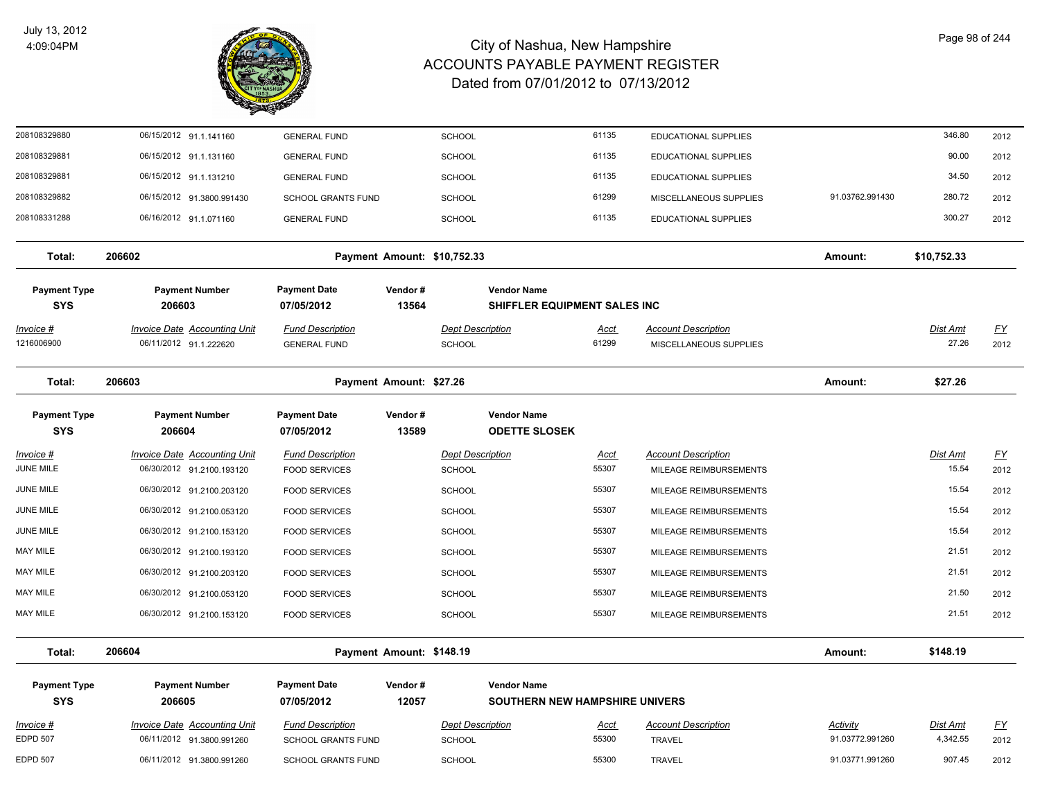

| 208108329880                      | 06/15/2012 91.1.141160              | <b>GENERAL FUND</b>               | SCHOOL                      |                                                    | 61135       | <b>EDUCATIONAL SUPPLIES</b> |                 | 346.80          | 2012      |
|-----------------------------------|-------------------------------------|-----------------------------------|-----------------------------|----------------------------------------------------|-------------|-----------------------------|-----------------|-----------------|-----------|
| 208108329881                      | 06/15/2012 91.1.131160              | <b>GENERAL FUND</b>               | <b>SCHOOL</b>               |                                                    | 61135       | EDUCATIONAL SUPPLIES        |                 | 90.00           | 2012      |
| 208108329881                      | 06/15/2012 91.1.131210              | <b>GENERAL FUND</b>               | <b>SCHOOL</b>               |                                                    | 61135       | <b>EDUCATIONAL SUPPLIES</b> |                 | 34.50           | 2012      |
| 208108329882                      | 06/15/2012 91.3800.991430           | <b>SCHOOL GRANTS FUND</b>         | SCHOOL                      |                                                    | 61299       | MISCELLANEOUS SUPPLIES      | 91.03762.991430 | 280.72          | 2012      |
| 208108331288                      | 06/16/2012 91.1.071160              | <b>GENERAL FUND</b>               | <b>SCHOOL</b>               |                                                    | 61135       | <b>EDUCATIONAL SUPPLIES</b> |                 | 300.27          | 2012      |
| Total:                            | 206602                              |                                   | Payment Amount: \$10,752.33 |                                                    |             |                             | Amount:         | \$10,752.33     |           |
| <b>Payment Type</b><br><b>SYS</b> | <b>Payment Number</b><br>206603     | <b>Payment Date</b><br>07/05/2012 | Vendor#<br>13564            | <b>Vendor Name</b><br>SHIFFLER EQUIPMENT SALES INC |             |                             |                 |                 |           |
| <u>Invoice #</u>                  | <b>Invoice Date Accounting Unit</b> | <b>Fund Description</b>           |                             | <b>Dept Description</b>                            | <b>Acct</b> | <b>Account Description</b>  |                 | <b>Dist Amt</b> | EY        |
| 1216006900                        | 06/11/2012 91.1.222620              | <b>GENERAL FUND</b>               | SCHOOL                      |                                                    | 61299       | MISCELLANEOUS SUPPLIES      |                 | 27.26           | 2012      |
| Total:                            | 206603                              |                                   | Payment Amount: \$27.26     |                                                    |             |                             | Amount:         | \$27.26         |           |
| <b>Payment Type</b><br><b>SYS</b> | <b>Payment Number</b><br>206604     | <b>Payment Date</b><br>07/05/2012 | Vendor#<br>13589            | <b>Vendor Name</b><br><b>ODETTE SLOSEK</b>         |             |                             |                 |                 |           |
| Invoice #                         | <b>Invoice Date Accounting Unit</b> | <b>Fund Description</b>           |                             | <b>Dept Description</b>                            | <u>Acct</u> | <b>Account Description</b>  |                 | Dist Amt        | $FY$      |
| JUNE MILE                         | 06/30/2012 91.2100.193120           | <b>FOOD SERVICES</b>              | <b>SCHOOL</b>               |                                                    | 55307       | MILEAGE REIMBURSEMENTS      |                 | 15.54           | 2012      |
| JUNE MILE                         | 06/30/2012 91.2100.203120           | <b>FOOD SERVICES</b>              | SCHOOL                      |                                                    | 55307       | MILEAGE REIMBURSEMENTS      |                 | 15.54           | 2012      |
| JUNE MILE                         | 06/30/2012 91.2100.053120           | <b>FOOD SERVICES</b>              | <b>SCHOOL</b>               |                                                    | 55307       | MILEAGE REIMBURSEMENTS      |                 | 15.54           | 2012      |
| JUNE MILE                         | 06/30/2012 91.2100.153120           | <b>FOOD SERVICES</b>              | SCHOOL                      |                                                    | 55307       | MILEAGE REIMBURSEMENTS      |                 | 15.54           | 2012      |
| MAY MILE                          | 06/30/2012 91.2100.193120           | <b>FOOD SERVICES</b>              | <b>SCHOOL</b>               |                                                    | 55307       | MILEAGE REIMBURSEMENTS      |                 | 21.51           | 2012      |
| MAY MILE                          | 06/30/2012 91.2100.203120           | <b>FOOD SERVICES</b>              | <b>SCHOOL</b>               |                                                    | 55307       | MILEAGE REIMBURSEMENTS      |                 | 21.51           | 2012      |
| MAY MILE                          | 06/30/2012 91.2100.053120           | <b>FOOD SERVICES</b>              | SCHOOL                      |                                                    | 55307       | MILEAGE REIMBURSEMENTS      |                 | 21.50           | 2012      |
| MAY MILE                          | 06/30/2012 91.2100.153120           | <b>FOOD SERVICES</b>              | <b>SCHOOL</b>               |                                                    | 55307       | MILEAGE REIMBURSEMENTS      |                 | 21.51           | 2012      |
| Total:                            | 206604                              |                                   | Payment Amount: \$148.19    |                                                    |             |                             | Amount:         | \$148.19        |           |
| <b>Payment Type</b>               | <b>Payment Number</b>               | <b>Payment Date</b>               | Vendor#                     | <b>Vendor Name</b>                                 |             |                             |                 |                 |           |
| <b>SYS</b>                        | 206605                              | 07/05/2012                        | 12057                       | <b>SOUTHERN NEW HAMPSHIRE UNIVERS</b>              |             |                             |                 |                 |           |
| Invoice #                         | <b>Invoice Date Accounting Unit</b> | <b>Fund Description</b>           |                             | <b>Dept Description</b>                            | <u>Acct</u> | <b>Account Description</b>  | Activity        | Dist Amt        | <u>FY</u> |
| <b>EDPD 507</b>                   | 06/11/2012 91.3800.991260           | <b>SCHOOL GRANTS FUND</b>         | SCHOOL                      |                                                    | 55300       | <b>TRAVEL</b>               | 91.03772.991260 | 4,342.55        | 2012      |
| <b>EDPD 507</b>                   | 06/11/2012 91.3800.991260           | <b>SCHOOL GRANTS FUND</b>         | SCHOOL                      |                                                    | 55300       | <b>TRAVEL</b>               | 91.03771.991260 | 907.45          | 2012      |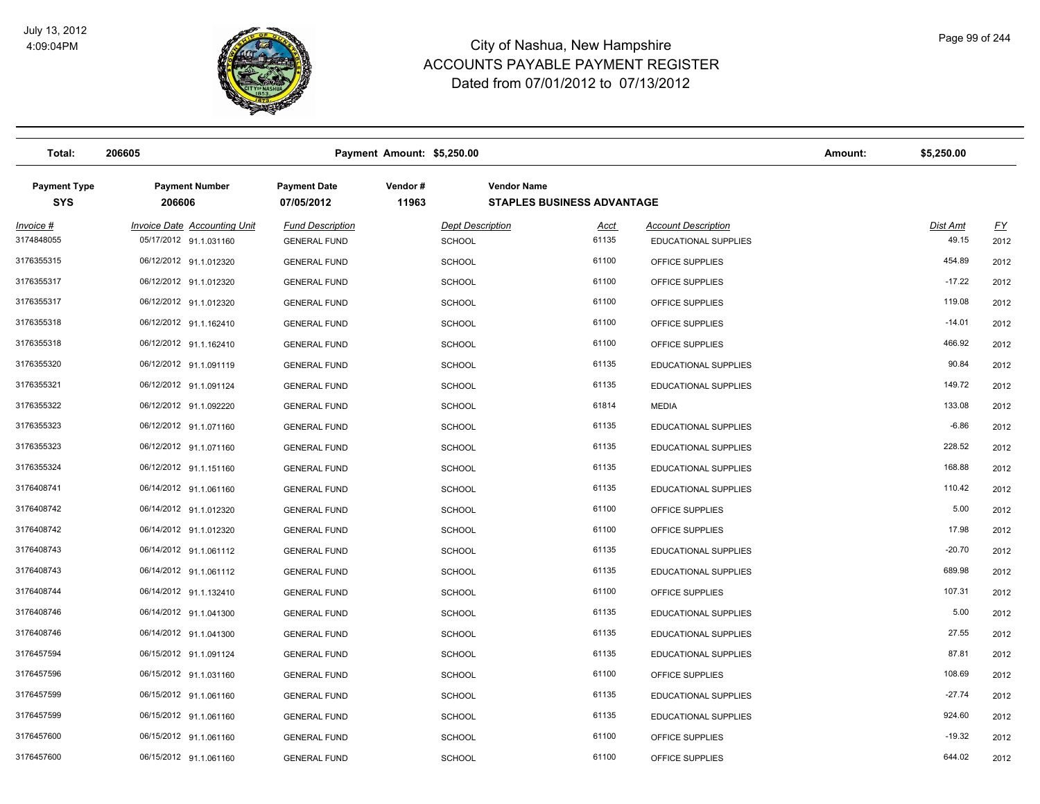

| Total:                            | 206605                                                        |                                                | Payment Amount: \$5,250.00 |                                          |                                                         |                                                    | Amount: | \$5,250.00               |                   |
|-----------------------------------|---------------------------------------------------------------|------------------------------------------------|----------------------------|------------------------------------------|---------------------------------------------------------|----------------------------------------------------|---------|--------------------------|-------------------|
| <b>Payment Type</b><br><b>SYS</b> | <b>Payment Number</b><br>206606                               | <b>Payment Date</b><br>07/05/2012              | Vendor#<br>11963           |                                          | <b>Vendor Name</b><br><b>STAPLES BUSINESS ADVANTAGE</b> |                                                    |         |                          |                   |
| $Invoice$ #<br>3174848055         | <b>Invoice Date Accounting Unit</b><br>05/17/2012 91.1.031160 | <b>Fund Description</b><br><b>GENERAL FUND</b> |                            | <b>Dept Description</b><br><b>SCHOOL</b> | <u>Acct</u><br>61135                                    | <b>Account Description</b><br>EDUCATIONAL SUPPLIES |         | <b>Dist Amt</b><br>49.15 | <u>FY</u><br>2012 |
| 3176355315                        | 06/12/2012 91.1.012320                                        | <b>GENERAL FUND</b>                            |                            | <b>SCHOOL</b>                            | 61100                                                   | OFFICE SUPPLIES                                    |         | 454.89                   | 2012              |
| 3176355317                        | 06/12/2012 91.1.012320                                        | <b>GENERAL FUND</b>                            |                            | <b>SCHOOL</b>                            | 61100                                                   | OFFICE SUPPLIES                                    |         | $-17.22$                 | 2012              |
| 3176355317                        | 06/12/2012 91.1.012320                                        | <b>GENERAL FUND</b>                            |                            | <b>SCHOOL</b>                            | 61100                                                   | OFFICE SUPPLIES                                    |         | 119.08                   | 2012              |
| 3176355318                        | 06/12/2012 91.1.162410                                        | <b>GENERAL FUND</b>                            |                            | <b>SCHOOL</b>                            | 61100                                                   | OFFICE SUPPLIES                                    |         | $-14.01$                 | 2012              |
| 3176355318                        | 06/12/2012 91.1.162410                                        | <b>GENERAL FUND</b>                            |                            | <b>SCHOOL</b>                            | 61100                                                   | OFFICE SUPPLIES                                    |         | 466.92                   | 2012              |
| 3176355320                        | 06/12/2012 91.1.091119                                        | <b>GENERAL FUND</b>                            |                            | <b>SCHOOL</b>                            | 61135                                                   | <b>EDUCATIONAL SUPPLIES</b>                        |         | 90.84                    | 2012              |
| 3176355321                        | 06/12/2012 91.1.091124                                        | <b>GENERAL FUND</b>                            |                            | <b>SCHOOL</b>                            | 61135                                                   | <b>EDUCATIONAL SUPPLIES</b>                        |         | 149.72                   | 2012              |
| 3176355322                        | 06/12/2012 91.1.092220                                        | <b>GENERAL FUND</b>                            |                            | <b>SCHOOL</b>                            | 61814                                                   | <b>MEDIA</b>                                       |         | 133.08                   | 2012              |
| 3176355323                        | 06/12/2012 91.1.071160                                        | <b>GENERAL FUND</b>                            |                            | <b>SCHOOL</b>                            | 61135                                                   | <b>EDUCATIONAL SUPPLIES</b>                        |         | $-6.86$                  | 2012              |
| 3176355323                        | 06/12/2012 91.1.071160                                        | <b>GENERAL FUND</b>                            |                            | <b>SCHOOL</b>                            | 61135                                                   | <b>EDUCATIONAL SUPPLIES</b>                        |         | 228.52                   | 2012              |
| 3176355324                        | 06/12/2012 91.1.151160                                        | <b>GENERAL FUND</b>                            |                            | <b>SCHOOL</b>                            | 61135                                                   | EDUCATIONAL SUPPLIES                               |         | 168.88                   | 2012              |
| 3176408741                        | 06/14/2012 91.1.061160                                        | <b>GENERAL FUND</b>                            |                            | <b>SCHOOL</b>                            | 61135                                                   | <b>EDUCATIONAL SUPPLIES</b>                        |         | 110.42                   | 2012              |
| 3176408742                        | 06/14/2012 91.1.012320                                        | <b>GENERAL FUND</b>                            |                            | <b>SCHOOL</b>                            | 61100                                                   | OFFICE SUPPLIES                                    |         | 5.00                     | 2012              |
| 3176408742                        | 06/14/2012 91.1.012320                                        | <b>GENERAL FUND</b>                            |                            | <b>SCHOOL</b>                            | 61100                                                   | OFFICE SUPPLIES                                    |         | 17.98                    | 2012              |
| 3176408743                        | 06/14/2012 91.1.061112                                        | <b>GENERAL FUND</b>                            |                            | <b>SCHOOL</b>                            | 61135                                                   | <b>EDUCATIONAL SUPPLIES</b>                        |         | $-20.70$                 | 2012              |
| 3176408743                        | 06/14/2012 91.1.061112                                        | <b>GENERAL FUND</b>                            |                            | <b>SCHOOL</b>                            | 61135                                                   | <b>EDUCATIONAL SUPPLIES</b>                        |         | 689.98                   | 2012              |
| 3176408744                        | 06/14/2012 91.1.132410                                        | <b>GENERAL FUND</b>                            |                            | <b>SCHOOL</b>                            | 61100                                                   | OFFICE SUPPLIES                                    |         | 107.31                   | 2012              |
| 3176408746                        | 06/14/2012 91.1.041300                                        | <b>GENERAL FUND</b>                            |                            | <b>SCHOOL</b>                            | 61135                                                   | <b>EDUCATIONAL SUPPLIES</b>                        |         | 5.00                     | 2012              |
| 3176408746                        | 06/14/2012 91.1.041300                                        | <b>GENERAL FUND</b>                            |                            | <b>SCHOOL</b>                            | 61135                                                   | <b>EDUCATIONAL SUPPLIES</b>                        |         | 27.55                    | 2012              |
| 3176457594                        | 06/15/2012 91.1.091124                                        | <b>GENERAL FUND</b>                            |                            | <b>SCHOOL</b>                            | 61135                                                   | <b>EDUCATIONAL SUPPLIES</b>                        |         | 87.81                    | 2012              |
| 3176457596                        | 06/15/2012 91.1.031160                                        | <b>GENERAL FUND</b>                            |                            | <b>SCHOOL</b>                            | 61100                                                   | OFFICE SUPPLIES                                    |         | 108.69                   | 2012              |
| 3176457599                        | 06/15/2012 91.1.061160                                        | <b>GENERAL FUND</b>                            |                            | <b>SCHOOL</b>                            | 61135                                                   | <b>EDUCATIONAL SUPPLIES</b>                        |         | $-27.74$                 | 2012              |
| 3176457599                        | 06/15/2012 91.1.061160                                        | <b>GENERAL FUND</b>                            |                            | <b>SCHOOL</b>                            | 61135                                                   | <b>EDUCATIONAL SUPPLIES</b>                        |         | 924.60                   | 2012              |
| 3176457600                        | 06/15/2012 91.1.061160                                        | <b>GENERAL FUND</b>                            |                            | <b>SCHOOL</b>                            | 61100                                                   | OFFICE SUPPLIES                                    |         | $-19.32$                 | 2012              |
| 3176457600                        | 06/15/2012 91.1.061160                                        | <b>GENERAL FUND</b>                            |                            | <b>SCHOOL</b>                            | 61100                                                   | OFFICE SUPPLIES                                    |         | 644.02                   | 2012              |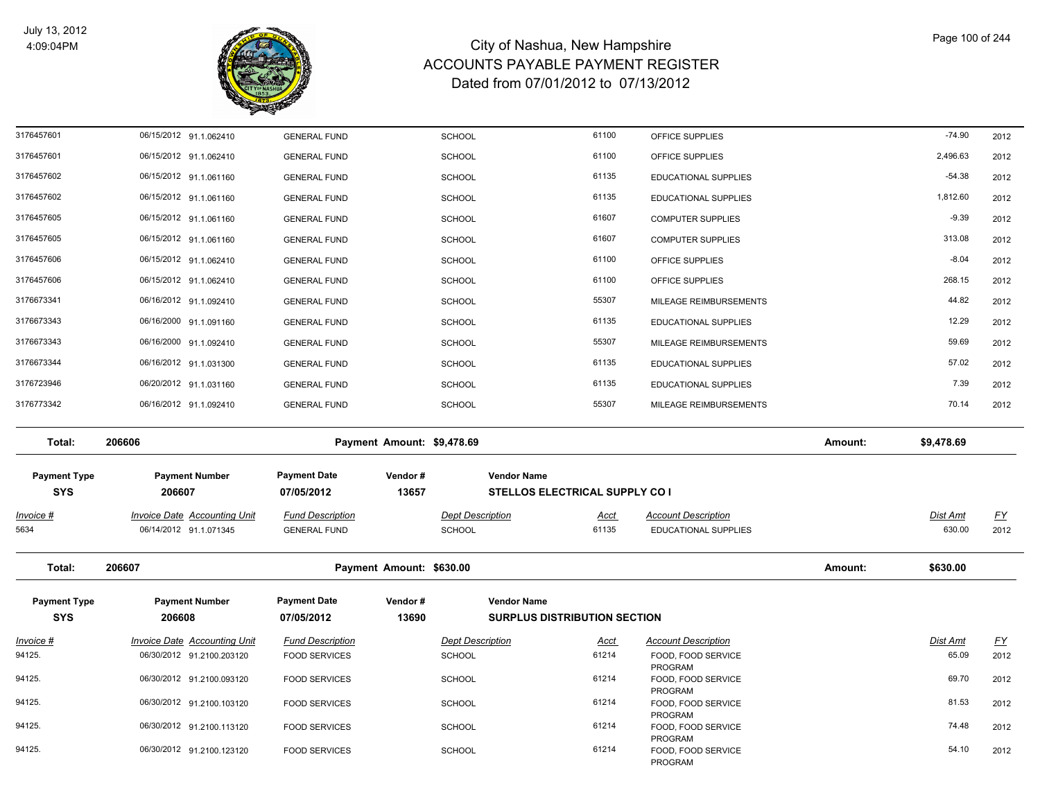

| 3176457601          | 06/15/2012 91.1.062410              | <b>GENERAL FUND</b>     |                            | <b>SCHOOL</b>           | 61100                                 | OFFICE SUPPLIES                      |         | $-74.90$        | 2012      |
|---------------------|-------------------------------------|-------------------------|----------------------------|-------------------------|---------------------------------------|--------------------------------------|---------|-----------------|-----------|
| 3176457601          | 06/15/2012 91.1.062410              | <b>GENERAL FUND</b>     |                            | <b>SCHOOL</b>           | 61100                                 | OFFICE SUPPLIES                      |         | 2,496.63        | 2012      |
| 3176457602          | 06/15/2012 91.1.061160              | <b>GENERAL FUND</b>     |                            | <b>SCHOOL</b>           | 61135                                 | EDUCATIONAL SUPPLIES                 |         | $-54.38$        | 2012      |
| 3176457602          | 06/15/2012 91.1.061160              | <b>GENERAL FUND</b>     |                            | <b>SCHOOL</b>           | 61135                                 | EDUCATIONAL SUPPLIES                 |         | 1,812.60        | 2012      |
| 3176457605          | 06/15/2012 91.1.061160              | <b>GENERAL FUND</b>     |                            | <b>SCHOOL</b>           | 61607                                 | <b>COMPUTER SUPPLIES</b>             |         | $-9.39$         | 2012      |
| 3176457605          | 06/15/2012 91.1.061160              | <b>GENERAL FUND</b>     |                            | SCHOOL                  | 61607                                 | <b>COMPUTER SUPPLIES</b>             |         | 313.08          | 2012      |
| 3176457606          | 06/15/2012 91.1.062410              | <b>GENERAL FUND</b>     |                            | <b>SCHOOL</b>           | 61100                                 | OFFICE SUPPLIES                      |         | $-8.04$         | 2012      |
| 3176457606          | 06/15/2012 91.1.062410              | <b>GENERAL FUND</b>     |                            | SCHOOL                  | 61100                                 | OFFICE SUPPLIES                      |         | 268.15          | 2012      |
| 3176673341          | 06/16/2012 91.1.092410              | <b>GENERAL FUND</b>     |                            | <b>SCHOOL</b>           | 55307                                 | MILEAGE REIMBURSEMENTS               |         | 44.82           | 2012      |
| 3176673343          | 06/16/2000 91.1.091160              | <b>GENERAL FUND</b>     |                            | <b>SCHOOL</b>           | 61135                                 | EDUCATIONAL SUPPLIES                 |         | 12.29           | 2012      |
| 3176673343          | 06/16/2000 91.1.092410              | <b>GENERAL FUND</b>     |                            | <b>SCHOOL</b>           | 55307                                 | MILEAGE REIMBURSEMENTS               |         | 59.69           | 2012      |
| 3176673344          | 06/16/2012 91.1.031300              | <b>GENERAL FUND</b>     |                            | <b>SCHOOL</b>           | 61135                                 | EDUCATIONAL SUPPLIES                 |         | 57.02           | 2012      |
| 3176723946          | 06/20/2012 91.1.031160              | <b>GENERAL FUND</b>     |                            | <b>SCHOOL</b>           | 61135                                 | EDUCATIONAL SUPPLIES                 |         | 7.39            | 2012      |
| 3176773342          | 06/16/2012 91.1.092410              | <b>GENERAL FUND</b>     |                            | <b>SCHOOL</b>           | 55307                                 | MILEAGE REIMBURSEMENTS               |         | 70.14           | 2012      |
|                     |                                     |                         |                            |                         |                                       |                                      |         |                 |           |
| Total:              | 206606                              |                         | Payment Amount: \$9,478.69 |                         |                                       |                                      | Amount: | \$9,478.69      |           |
| <b>Payment Type</b> | <b>Payment Number</b>               | <b>Payment Date</b>     | Vendor#                    |                         | <b>Vendor Name</b>                    |                                      |         |                 |           |
| <b>SYS</b>          | 206607                              | 07/05/2012              | 13657                      |                         | <b>STELLOS ELECTRICAL SUPPLY CO I</b> |                                      |         |                 |           |
| <u>Invoice #</u>    | <b>Invoice Date Accounting Unit</b> | <b>Fund Description</b> |                            | <b>Dept Description</b> | <u>Acct</u>                           | <b>Account Description</b>           |         | <u>Dist Amt</u> | <u>FY</u> |
| 5634                | 06/14/2012 91.1.071345              | <b>GENERAL FUND</b>     |                            | <b>SCHOOL</b>           | 61135                                 | <b>EDUCATIONAL SUPPLIES</b>          |         | 630.00          | 2012      |
|                     |                                     |                         |                            |                         |                                       |                                      |         |                 |           |
| Total:              | 206607                              |                         | Payment Amount: \$630.00   |                         |                                       |                                      | Amount: | \$630.00        |           |
| <b>Payment Type</b> | <b>Payment Number</b>               | <b>Payment Date</b>     | Vendor#                    |                         | <b>Vendor Name</b>                    |                                      |         |                 |           |
| <b>SYS</b>          | 206608                              | 07/05/2012              | 13690                      |                         | <b>SURPLUS DISTRIBUTION SECTION</b>   |                                      |         |                 |           |
| Invoice #           | <b>Invoice Date Accounting Unit</b> | <b>Fund Description</b> |                            | <b>Dept Description</b> | <u>Acct</u>                           | <b>Account Description</b>           |         | Dist Amt        | <u>FY</u> |
| 94125.              | 06/30/2012 91.2100.203120           | <b>FOOD SERVICES</b>    |                            | SCHOOL                  | 61214                                 | FOOD, FOOD SERVICE                   |         | 65.09           | 2012      |
| 94125.              | 06/30/2012 91.2100.093120           | <b>FOOD SERVICES</b>    |                            | <b>SCHOOL</b>           | 61214                                 | PROGRAM<br>FOOD, FOOD SERVICE        |         | 69.70           | 2012      |
| 94125.              | 06/30/2012 91.2100.103120           | <b>FOOD SERVICES</b>    |                            | <b>SCHOOL</b>           | 61214                                 | <b>PROGRAM</b><br>FOOD, FOOD SERVICE |         | 81.53           | 2012      |
| 94125.              | 06/30/2012 91.2100.113120           | <b>FOOD SERVICES</b>    |                            | <b>SCHOOL</b>           | 61214                                 | PROGRAM                              |         | 74.48           | 2012      |
|                     |                                     |                         |                            |                         |                                       | FOOD, FOOD SERVICE<br>PROGRAM        |         |                 |           |
| 94125.              | 06/30/2012 91.2100.123120           | <b>FOOD SERVICES</b>    |                            | <b>SCHOOL</b>           | 61214                                 | FOOD, FOOD SERVICE<br>PROGRAM        |         | 54.10           | 2012      |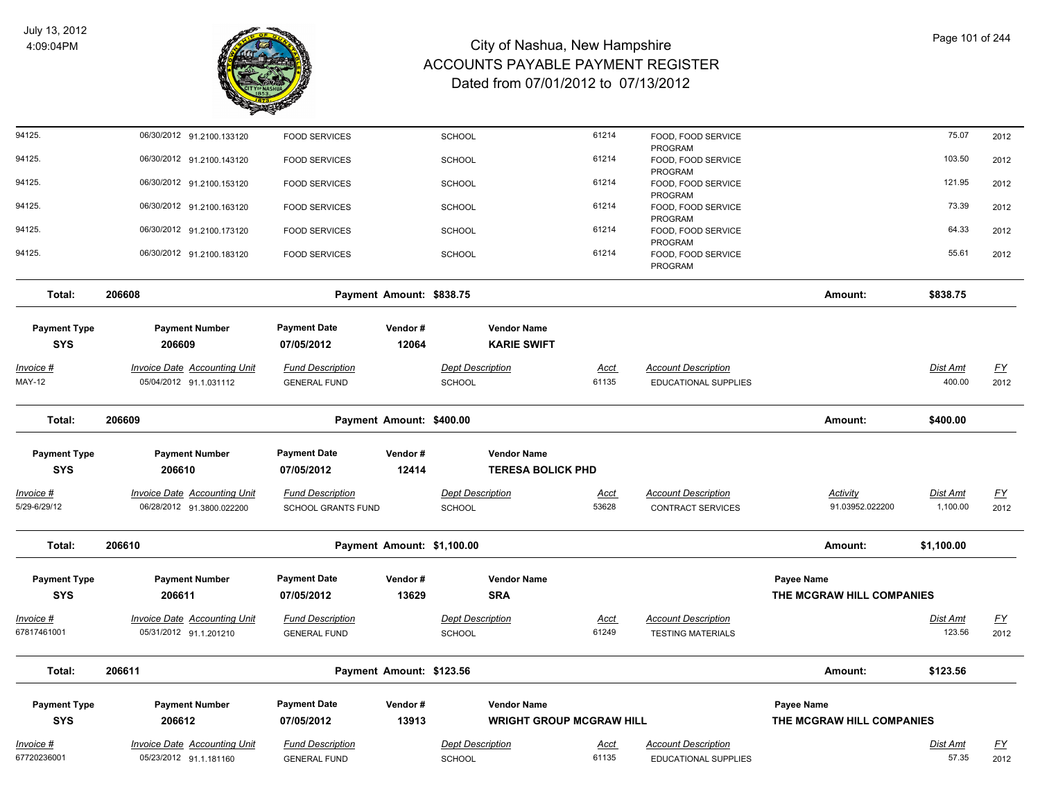

| 94125.              | 06/30/2012 91.2100.133120           | <b>FOOD SERVICES</b>      |                            | <b>SCHOOL</b>           |                                 | 61214       | FOOD, FOOD SERVICE                   |                           | 75.07      | 2012      |
|---------------------|-------------------------------------|---------------------------|----------------------------|-------------------------|---------------------------------|-------------|--------------------------------------|---------------------------|------------|-----------|
| 94125.              | 06/30/2012 91.2100.143120           | <b>FOOD SERVICES</b>      |                            | <b>SCHOOL</b>           |                                 | 61214       | PROGRAM<br>FOOD, FOOD SERVICE        |                           | 103.50     | 2012      |
| 94125.              | 06/30/2012 91.2100.153120           | <b>FOOD SERVICES</b>      |                            | SCHOOL                  |                                 | 61214       | PROGRAM<br>FOOD, FOOD SERVICE        |                           | 121.95     | 2012      |
| 94125.              | 06/30/2012 91.2100.163120           | <b>FOOD SERVICES</b>      |                            | <b>SCHOOL</b>           |                                 | 61214       | PROGRAM<br>FOOD, FOOD SERVICE        |                           | 73.39      | 2012      |
| 94125.              | 06/30/2012 91.2100.173120           | <b>FOOD SERVICES</b>      |                            | <b>SCHOOL</b>           |                                 | 61214       | PROGRAM<br>FOOD, FOOD SERVICE        |                           | 64.33      | 2012      |
| 94125.              |                                     |                           |                            |                         |                                 | 61214       | PROGRAM                              |                           | 55.61      |           |
|                     | 06/30/2012 91.2100.183120           | <b>FOOD SERVICES</b>      |                            | SCHOOL                  |                                 |             | FOOD, FOOD SERVICE<br><b>PROGRAM</b> |                           |            | 2012      |
| Total:              | 206608                              |                           | Payment Amount: \$838.75   |                         |                                 |             |                                      | Amount:                   | \$838.75   |           |
| <b>Payment Type</b> | <b>Payment Number</b>               | <b>Payment Date</b>       | Vendor#                    |                         | <b>Vendor Name</b>              |             |                                      |                           |            |           |
| <b>SYS</b>          | 206609                              | 07/05/2012                | 12064                      |                         | <b>KARIE SWIFT</b>              |             |                                      |                           |            |           |
| <u>Invoice #</u>    | <b>Invoice Date Accounting Unit</b> | <b>Fund Description</b>   |                            | <b>Dept Description</b> |                                 | <u>Acct</u> | <b>Account Description</b>           |                           | Dist Amt   | <u>FY</u> |
| <b>MAY-12</b>       | 05/04/2012 91.1.031112              | <b>GENERAL FUND</b>       |                            | SCHOOL                  |                                 | 61135       | EDUCATIONAL SUPPLIES                 |                           | 400.00     | 2012      |
| Total:              | 206609                              |                           | Payment Amount: \$400.00   |                         |                                 |             |                                      | Amount:                   | \$400.00   |           |
| <b>Payment Type</b> | <b>Payment Number</b>               | <b>Payment Date</b>       | Vendor#                    |                         | <b>Vendor Name</b>              |             |                                      |                           |            |           |
| <b>SYS</b>          | 206610                              | 07/05/2012                | 12414                      |                         | <b>TERESA BOLICK PHD</b>        |             |                                      |                           |            |           |
| Invoice #           | Invoice Date Accounting Unit        | <b>Fund Description</b>   |                            | <b>Dept Description</b> |                                 | Acct        | <b>Account Description</b>           | Activity                  | Dist Amt   | EY        |
| 5/29-6/29/12        | 06/28/2012 91.3800.022200           | <b>SCHOOL GRANTS FUND</b> |                            | SCHOOL                  |                                 | 53628       | <b>CONTRACT SERVICES</b>             | 91.03952.022200           | 1,100.00   | 2012      |
| Total:              | 206610                              |                           | Payment Amount: \$1,100.00 |                         |                                 |             |                                      | Amount:                   | \$1,100.00 |           |
| <b>Payment Type</b> | <b>Payment Number</b>               | <b>Payment Date</b>       | Vendor#                    |                         | <b>Vendor Name</b>              |             |                                      | Payee Name                |            |           |
| <b>SYS</b>          | 206611                              | 07/05/2012                | 13629                      |                         | <b>SRA</b>                      |             |                                      | THE MCGRAW HILL COMPANIES |            |           |
| Invoice #           | <b>Invoice Date Accounting Unit</b> | <b>Fund Description</b>   |                            | <b>Dept Description</b> |                                 | Acct        | <b>Account Description</b>           |                           | Dist Amt   | <u>FY</u> |
| 67817461001         | 05/31/2012 91.1.201210              | <b>GENERAL FUND</b>       |                            | SCHOOL                  |                                 | 61249       | <b>TESTING MATERIALS</b>             |                           | 123.56     | 2012      |
| Total:              | 206611                              |                           | Payment Amount: \$123.56   |                         |                                 |             |                                      | Amount:                   | \$123.56   |           |
| <b>Payment Type</b> | <b>Payment Number</b>               | <b>Payment Date</b>       | Vendor#                    |                         | <b>Vendor Name</b>              |             |                                      | Payee Name                |            |           |
| <b>SYS</b>          | 206612                              | 07/05/2012                | 13913                      |                         | <b>WRIGHT GROUP MCGRAW HILL</b> |             |                                      | THE MCGRAW HILL COMPANIES |            |           |
| Invoice #           | <b>Invoice Date Accounting Unit</b> | <b>Fund Description</b>   |                            | <b>Dept Description</b> |                                 | Acct        | <b>Account Description</b>           |                           | Dist Amt   | <u>FY</u> |
| 67720236001         | 05/23/2012 91.1.181160              | <b>GENERAL FUND</b>       |                            | SCHOOL                  |                                 | 61135       | <b>EDUCATIONAL SUPPLIES</b>          |                           | 57.35      | 2012      |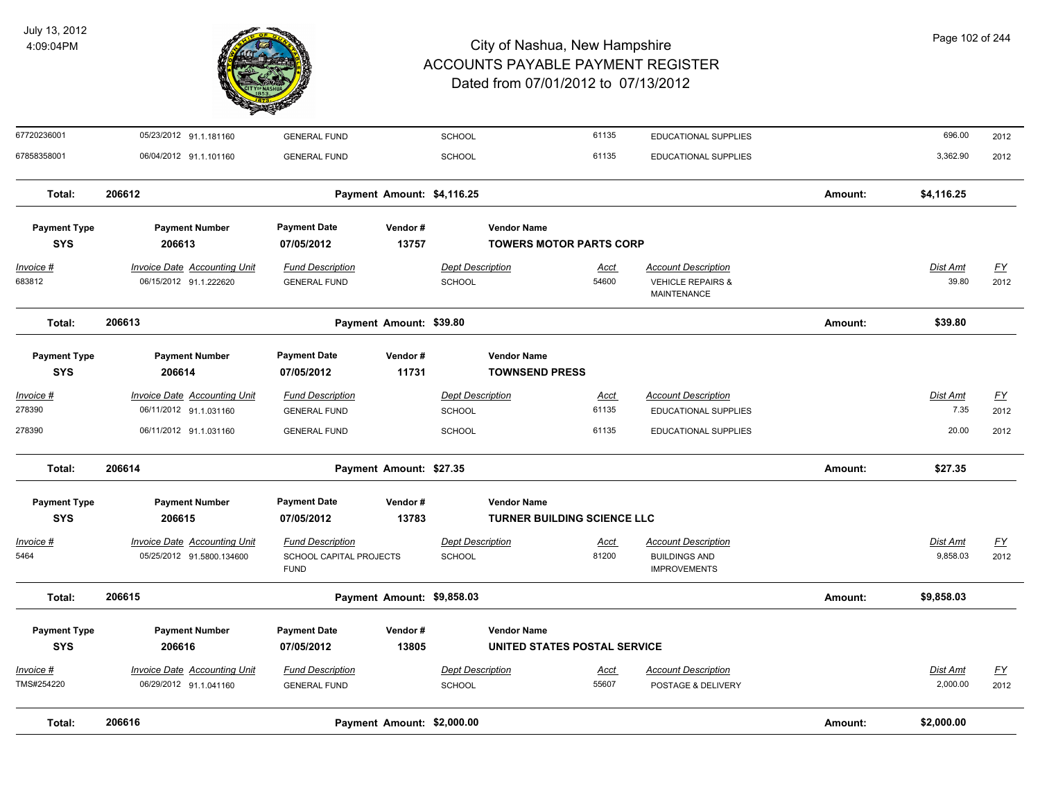

| 67720236001         | 05/23/2012 91.1.181160              | <b>GENERAL FUND</b>                    |                            | <b>SCHOOL</b>           |                                    | 61135       | EDUCATIONAL SUPPLIES                               |         | 696.00          | 2012             |
|---------------------|-------------------------------------|----------------------------------------|----------------------------|-------------------------|------------------------------------|-------------|----------------------------------------------------|---------|-----------------|------------------|
| 67858358001         | 06/04/2012 91.1.101160              | <b>GENERAL FUND</b>                    |                            | <b>SCHOOL</b>           |                                    | 61135       | <b>EDUCATIONAL SUPPLIES</b>                        |         | 3,362.90        | 2012             |
| Total:              | 206612                              |                                        | Payment Amount: \$4,116.25 |                         |                                    |             |                                                    | Amount: | \$4,116.25      |                  |
| <b>Payment Type</b> | <b>Payment Number</b>               | <b>Payment Date</b>                    | Vendor#                    |                         | <b>Vendor Name</b>                 |             |                                                    |         |                 |                  |
| <b>SYS</b>          | 206613                              | 07/05/2012                             | 13757                      |                         | <b>TOWERS MOTOR PARTS CORP</b>     |             |                                                    |         |                 |                  |
| Invoice #           | <b>Invoice Date Accounting Unit</b> | <b>Fund Description</b>                |                            | <b>Dept Description</b> |                                    | <b>Acct</b> | <b>Account Description</b>                         |         | <b>Dist Amt</b> | <u>FY</u>        |
| 683812              | 06/15/2012 91.1.222620              | <b>GENERAL FUND</b>                    |                            | <b>SCHOOL</b>           |                                    | 54600       | <b>VEHICLE REPAIRS &amp;</b><br><b>MAINTENANCE</b> |         | 39.80           | 2012             |
| Total:              | 206613                              |                                        | Payment Amount: \$39.80    |                         |                                    |             |                                                    | Amount: | \$39.80         |                  |
| <b>Payment Type</b> | <b>Payment Number</b>               | <b>Payment Date</b>                    | Vendor#                    |                         | <b>Vendor Name</b>                 |             |                                                    |         |                 |                  |
| <b>SYS</b>          | 206614                              | 07/05/2012                             | 11731                      |                         | <b>TOWNSEND PRESS</b>              |             |                                                    |         |                 |                  |
| Invoice #           | <b>Invoice Date Accounting Unit</b> | <b>Fund Description</b>                |                            | Dept Description        |                                    | <u>Acct</u> | <b>Account Description</b>                         |         | Dist Amt        | <u>FY</u>        |
| 278390              | 06/11/2012 91.1.031160              | <b>GENERAL FUND</b>                    |                            | <b>SCHOOL</b>           |                                    | 61135       | EDUCATIONAL SUPPLIES                               |         | 7.35            | 2012             |
| 278390              | 06/11/2012 91.1.031160              | <b>GENERAL FUND</b>                    |                            | <b>SCHOOL</b>           |                                    | 61135       | EDUCATIONAL SUPPLIES                               |         | 20.00           | 2012             |
| Total:              | 206614                              |                                        | Payment Amount: \$27.35    |                         |                                    |             |                                                    | Amount: | \$27.35         |                  |
| <b>Payment Type</b> | <b>Payment Number</b>               | <b>Payment Date</b>                    | Vendor#                    |                         | <b>Vendor Name</b>                 |             |                                                    |         |                 |                  |
| <b>SYS</b>          | 206615                              | 07/05/2012                             | 13783                      |                         | <b>TURNER BUILDING SCIENCE LLC</b> |             |                                                    |         |                 |                  |
| Invoice #           | <b>Invoice Date Accounting Unit</b> | <b>Fund Description</b>                |                            | <b>Dept Description</b> |                                    | <u>Acct</u> | <b>Account Description</b>                         |         | Dist Amt        | EY               |
| 5464                | 05/25/2012 91.5800.134600           | SCHOOL CAPITAL PROJECTS<br><b>FUND</b> |                            | <b>SCHOOL</b>           |                                    | 81200       | <b>BUILDINGS AND</b><br><b>IMPROVEMENTS</b>        |         | 9,858.03        | 2012             |
| Total:              | 206615                              |                                        | Payment Amount: \$9,858.03 |                         |                                    |             |                                                    | Amount: | \$9,858.03      |                  |
| <b>Payment Type</b> | <b>Payment Number</b>               | <b>Payment Date</b>                    | Vendor#                    |                         | <b>Vendor Name</b>                 |             |                                                    |         |                 |                  |
| <b>SYS</b>          | 206616                              | 07/05/2012                             | 13805                      |                         | UNITED STATES POSTAL SERVICE       |             |                                                    |         |                 |                  |
| Invoice #           | <b>Invoice Date Accounting Unit</b> | <b>Fund Description</b>                |                            | <b>Dept Description</b> |                                    | <u>Acct</u> | <b>Account Description</b>                         |         | <b>Dist Amt</b> | $\underline{FY}$ |
| TMS#254220          | 06/29/2012 91.1.041160              | <b>GENERAL FUND</b>                    |                            | <b>SCHOOL</b>           |                                    | 55607       | POSTAGE & DELIVERY                                 |         | 2,000.00        | 2012             |
| Total:              | 206616                              |                                        | Payment Amount: \$2,000.00 |                         |                                    |             |                                                    | Amount: | \$2,000.00      |                  |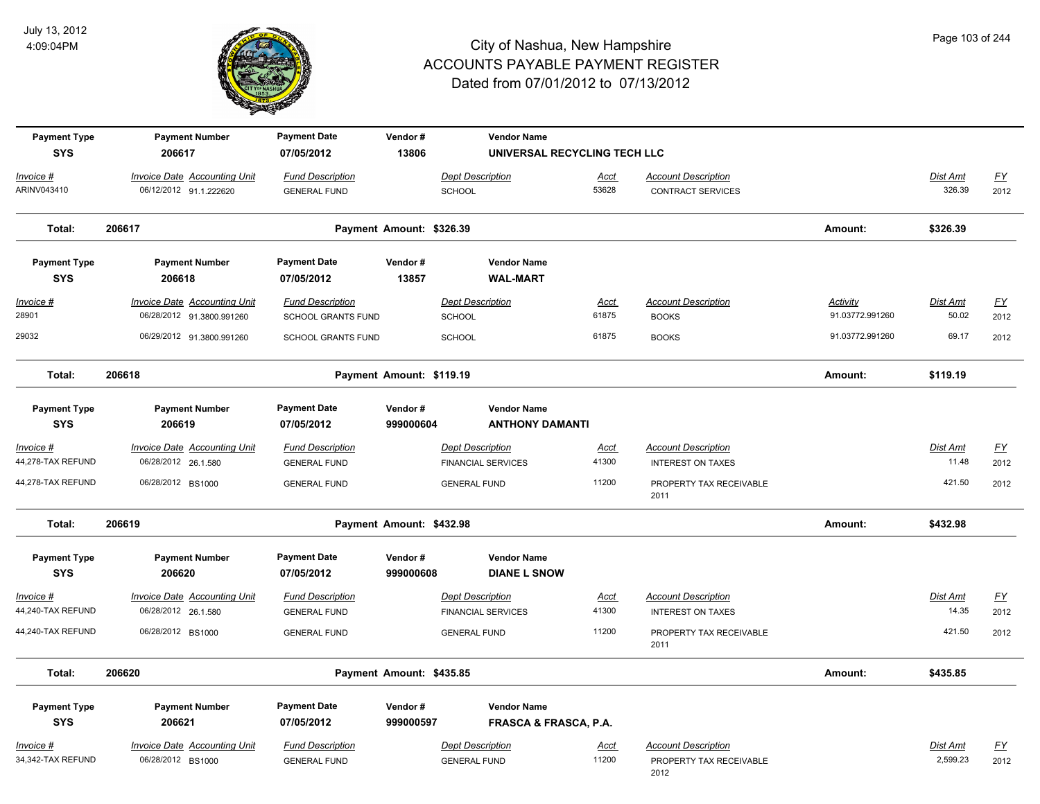

| <b>Payment Type</b>               | <b>Payment Number</b>               | <b>Payment Date</b>               | Vendor#                  |                           | <b>Vendor Name</b>                                     |             |                                 |                 |                 |                  |
|-----------------------------------|-------------------------------------|-----------------------------------|--------------------------|---------------------------|--------------------------------------------------------|-------------|---------------------------------|-----------------|-----------------|------------------|
| <b>SYS</b>                        | 206617                              | 07/05/2012                        | 13806                    |                           | UNIVERSAL RECYCLING TECH LLC                           |             |                                 |                 |                 |                  |
| Invoice #                         | <b>Invoice Date Accounting Unit</b> | <b>Fund Description</b>           |                          | <b>Dept Description</b>   |                                                        | Acct        | <b>Account Description</b>      |                 | <b>Dist Amt</b> | $\underline{FY}$ |
| ARINV043410                       | 06/12/2012 91.1.222620              | <b>GENERAL FUND</b>               |                          | <b>SCHOOL</b>             |                                                        | 53628       | <b>CONTRACT SERVICES</b>        |                 | 326.39          | 2012             |
| Total:                            | 206617                              |                                   | Payment Amount: \$326.39 |                           |                                                        |             |                                 | Amount:         | \$326.39        |                  |
| <b>Payment Type</b>               | <b>Payment Number</b>               | <b>Payment Date</b>               | Vendor#                  |                           | <b>Vendor Name</b>                                     |             |                                 |                 |                 |                  |
| <b>SYS</b>                        | 206618                              | 07/05/2012                        | 13857                    |                           | <b>WAL-MART</b>                                        |             |                                 |                 |                 |                  |
| $Invoice$ #                       | <b>Invoice Date Accounting Unit</b> | <b>Fund Description</b>           |                          | <b>Dept Description</b>   |                                                        | Acct        | <b>Account Description</b>      | <b>Activity</b> | <b>Dist Amt</b> | <u>FY</u>        |
| 28901                             | 06/28/2012 91.3800.991260           | SCHOOL GRANTS FUND                |                          | <b>SCHOOL</b>             |                                                        | 61875       | <b>BOOKS</b>                    | 91.03772.991260 | 50.02           | 2012             |
| 29032                             | 06/29/2012 91.3800.991260           | SCHOOL GRANTS FUND                |                          | SCHOOL                    |                                                        | 61875       | <b>BOOKS</b>                    | 91.03772.991260 | 69.17           | 2012             |
| Total:                            | 206618                              |                                   | Payment Amount: \$119.19 |                           |                                                        |             |                                 | Amount:         | \$119.19        |                  |
| <b>Payment Type</b><br><b>SYS</b> | <b>Payment Number</b><br>206619     | <b>Payment Date</b><br>07/05/2012 | Vendor#<br>999000604     |                           | <b>Vendor Name</b><br><b>ANTHONY DAMANTI</b>           |             |                                 |                 |                 |                  |
| Invoice #                         | <b>Invoice Date Accounting Unit</b> | <b>Fund Description</b>           |                          | <b>Dept Description</b>   |                                                        | <u>Acct</u> | <b>Account Description</b>      |                 | Dist Amt        | EY               |
| 44,278-TAX REFUND                 | 06/28/2012 26.1.580                 | <b>GENERAL FUND</b>               |                          | <b>FINANCIAL SERVICES</b> |                                                        | 41300       | <b>INTEREST ON TAXES</b>        |                 | 11.48           | 2012             |
| 44,278-TAX REFUND                 | 06/28/2012 BS1000                   | <b>GENERAL FUND</b>               |                          | <b>GENERAL FUND</b>       |                                                        | 11200       | PROPERTY TAX RECEIVABLE<br>2011 |                 | 421.50          | 2012             |
| Total:                            | 206619                              |                                   | Payment Amount: \$432.98 |                           |                                                        |             |                                 | Amount:         | \$432.98        |                  |
| <b>Payment Type</b><br><b>SYS</b> | <b>Payment Number</b><br>206620     | <b>Payment Date</b><br>07/05/2012 | Vendor#<br>999000608     |                           | <b>Vendor Name</b><br><b>DIANE L SNOW</b>              |             |                                 |                 |                 |                  |
| Invoice #                         | <b>Invoice Date Accounting Unit</b> | <b>Fund Description</b>           |                          | <b>Dept Description</b>   |                                                        | <u>Acct</u> | <b>Account Description</b>      |                 | Dist Amt        | EY               |
| 44,240-TAX REFUND                 | 06/28/2012 26.1.580                 | <b>GENERAL FUND</b>               |                          | <b>FINANCIAL SERVICES</b> |                                                        | 41300       | <b>INTEREST ON TAXES</b>        |                 | 14.35           | 2012             |
| 44,240-TAX REFUND                 | 06/28/2012 BS1000                   | <b>GENERAL FUND</b>               |                          | <b>GENERAL FUND</b>       |                                                        | 11200       | PROPERTY TAX RECEIVABLE<br>2011 |                 | 421.50          | 2012             |
| Total:                            | 206620                              |                                   | Payment Amount: \$435.85 |                           |                                                        |             |                                 | Amount:         | \$435.85        |                  |
| <b>Payment Type</b><br><b>SYS</b> | <b>Payment Number</b><br>206621     | <b>Payment Date</b><br>07/05/2012 | Vendor#<br>999000597     |                           | <b>Vendor Name</b><br><b>FRASCA &amp; FRASCA, P.A.</b> |             |                                 |                 |                 |                  |
| Invoice #                         | <b>Invoice Date Accounting Unit</b> | <b>Fund Description</b>           |                          | <b>Dept Description</b>   |                                                        | <u>Acct</u> | <b>Account Description</b>      |                 | Dist Amt        | <u>FY</u>        |
| 34,342-TAX REFUND                 | 06/28/2012 BS1000                   | <b>GENERAL FUND</b>               |                          | <b>GENERAL FUND</b>       |                                                        | 11200       | PROPERTY TAX RECEIVABLE<br>2012 |                 | 2,599.23        | 2012             |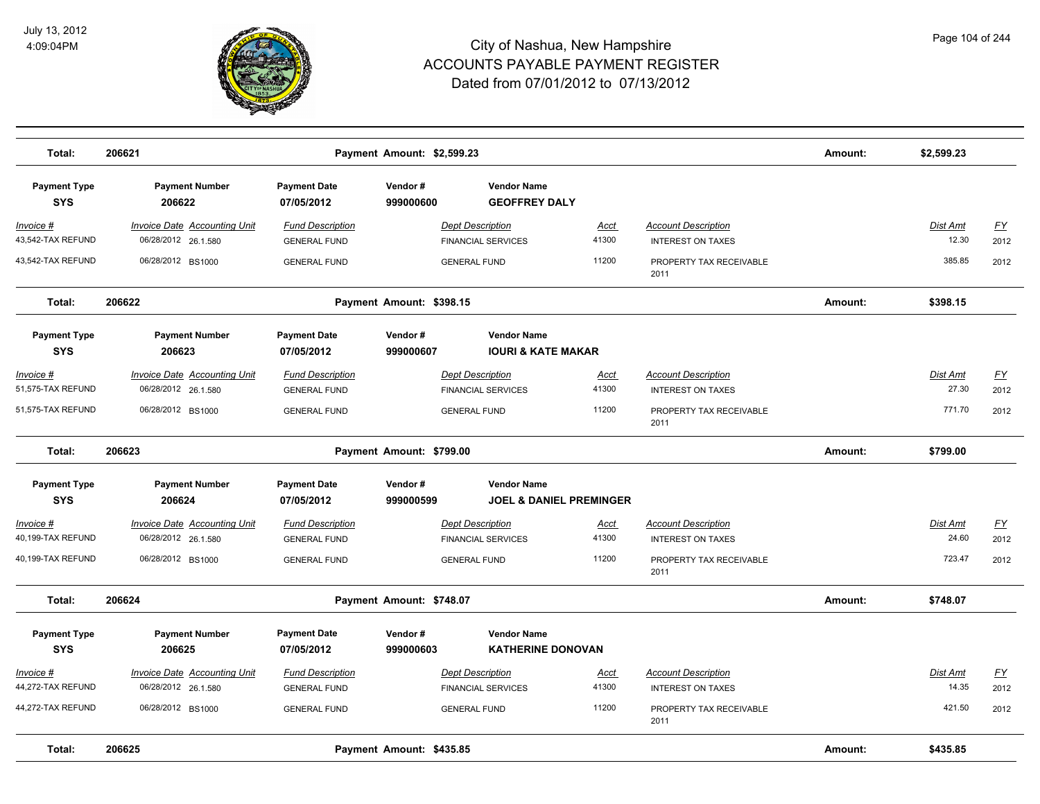

| Total:                                              | 206621                                                                          | Payment Amount: \$2,599.23                                            |                          | Amount:                                                                     | \$2,599.23             |                                                                                   |         |                             |                                           |
|-----------------------------------------------------|---------------------------------------------------------------------------------|-----------------------------------------------------------------------|--------------------------|-----------------------------------------------------------------------------|------------------------|-----------------------------------------------------------------------------------|---------|-----------------------------|-------------------------------------------|
| <b>Payment Type</b><br><b>SYS</b>                   | <b>Payment Number</b><br>206622                                                 | <b>Payment Date</b><br>07/05/2012                                     | Vendor#<br>999000600     | <b>Vendor Name</b><br><b>GEOFFREY DALY</b>                                  |                        |                                                                                   |         |                             |                                           |
| Invoice #<br>43,542-TAX REFUND                      | <b>Invoice Date Accounting Unit</b><br>06/28/2012 26.1.580                      | <b>Fund Description</b><br><b>GENERAL FUND</b>                        |                          | <b>Dept Description</b><br><b>FINANCIAL SERVICES</b>                        | <u>Acct</u><br>41300   | <b>Account Description</b><br><b>INTEREST ON TAXES</b>                            |         | <b>Dist Amt</b><br>12.30    | <u>FY</u><br>2012                         |
| 43,542-TAX REFUND                                   | 06/28/2012 BS1000                                                               | <b>GENERAL FUND</b>                                                   |                          | <b>GENERAL FUND</b>                                                         | 11200                  | PROPERTY TAX RECEIVABLE<br>2011                                                   |         | 385.85                      | 2012                                      |
| Total:                                              | 206622                                                                          |                                                                       | Payment Amount: \$398.15 |                                                                             |                        |                                                                                   | Amount: | \$398.15                    |                                           |
| <b>Payment Type</b><br><b>SYS</b>                   | <b>Payment Number</b><br>206623                                                 | <b>Payment Date</b><br>07/05/2012                                     | Vendor#<br>999000607     | <b>Vendor Name</b><br><b>IOURI &amp; KATE MAKAR</b>                         |                        |                                                                                   |         |                             |                                           |
| Invoice #<br>51,575-TAX REFUND<br>51,575-TAX REFUND | <b>Invoice Date Accounting Unit</b><br>06/28/2012 26.1.580<br>06/28/2012 BS1000 | <b>Fund Description</b><br><b>GENERAL FUND</b><br><b>GENERAL FUND</b> |                          | <b>Dept Description</b><br><b>FINANCIAL SERVICES</b><br><b>GENERAL FUND</b> | Acct<br>41300<br>11200 | <b>Account Description</b><br><b>INTEREST ON TAXES</b><br>PROPERTY TAX RECEIVABLE |         | Dist Amt<br>27.30<br>771.70 | $\underline{\mathsf{FY}}$<br>2012<br>2012 |
| Total:                                              | 206623                                                                          |                                                                       | Payment Amount: \$799.00 |                                                                             |                        | 2011                                                                              | Amount: | \$799.00                    |                                           |
| <b>Payment Type</b><br><b>SYS</b>                   | <b>Payment Number</b><br>206624                                                 | <b>Payment Date</b><br>07/05/2012                                     | Vendor#<br>999000599     | <b>Vendor Name</b><br><b>JOEL &amp; DANIEL PREMINGER</b>                    |                        |                                                                                   |         |                             |                                           |
| Invoice #<br>40,199-TAX REFUND                      | <b>Invoice Date Accounting Unit</b><br>06/28/2012 26.1.580                      | <b>Fund Description</b><br><b>GENERAL FUND</b>                        |                          | <b>Dept Description</b><br><b>FINANCIAL SERVICES</b>                        | <b>Acct</b><br>41300   | <b>Account Description</b><br><b>INTEREST ON TAXES</b>                            |         | Dist Amt<br>24.60           | EY<br>2012                                |
| 40,199-TAX REFUND                                   | 06/28/2012 BS1000                                                               | <b>GENERAL FUND</b>                                                   |                          | <b>GENERAL FUND</b>                                                         | 11200                  | PROPERTY TAX RECEIVABLE<br>2011                                                   |         | 723.47                      | 2012                                      |
| Total:                                              | 206624                                                                          |                                                                       | Payment Amount: \$748.07 |                                                                             |                        |                                                                                   | Amount: | \$748.07                    |                                           |
| <b>Payment Type</b><br><b>SYS</b>                   | <b>Payment Number</b><br>206625                                                 | <b>Payment Date</b><br>07/05/2012                                     | Vendor#<br>999000603     | <b>Vendor Name</b><br><b>KATHERINE DONOVAN</b>                              |                        |                                                                                   |         |                             |                                           |
| Invoice #<br>44,272-TAX REFUND                      | <b>Invoice Date Accounting Unit</b><br>06/28/2012 26.1.580                      | <b>Fund Description</b><br><b>GENERAL FUND</b>                        |                          | <b>Dept Description</b><br><b>FINANCIAL SERVICES</b>                        | <u>Acct</u><br>41300   | <b>Account Description</b><br><b>INTEREST ON TAXES</b>                            |         | Dist Amt<br>14.35           | <u>FY</u><br>2012                         |
| 44,272-TAX REFUND                                   | 06/28/2012 BS1000                                                               | <b>GENERAL FUND</b>                                                   |                          | <b>GENERAL FUND</b>                                                         | 11200                  | PROPERTY TAX RECEIVABLE<br>2011                                                   |         | 421.50                      | 2012                                      |
| Total:                                              | 206625                                                                          |                                                                       | Payment Amount: \$435.85 |                                                                             |                        |                                                                                   | Amount: | \$435.85                    |                                           |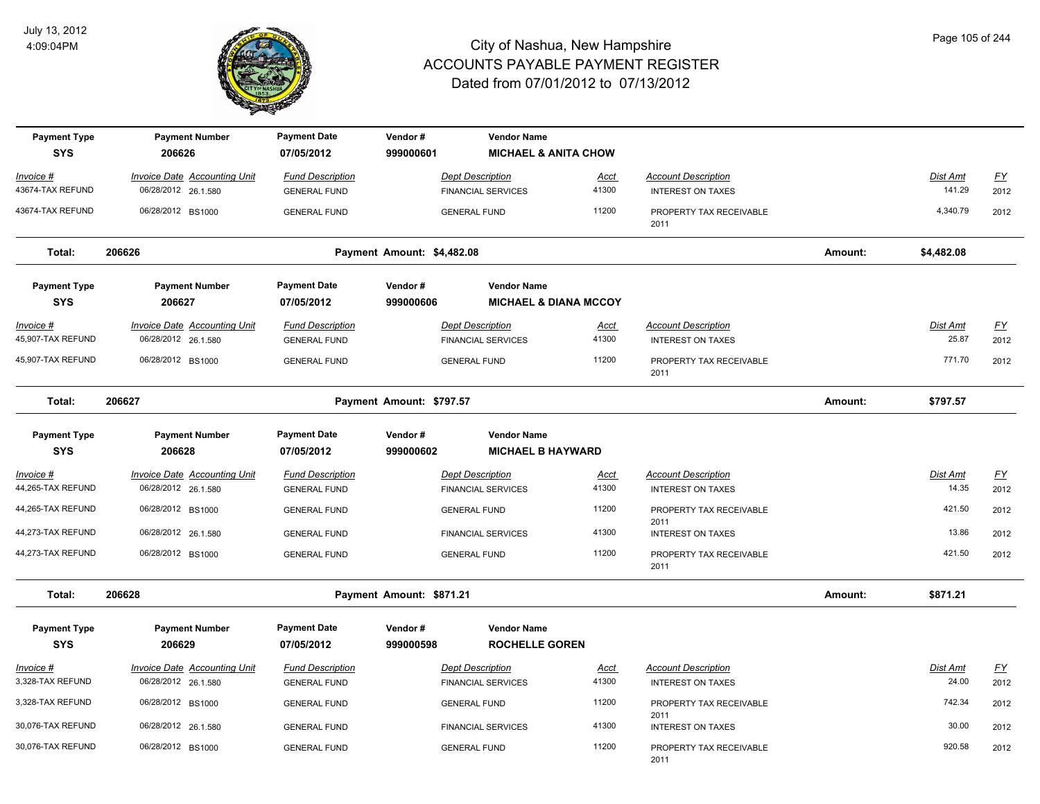

| <b>Payment Type</b><br><b>SYS</b>     | <b>Payment Number</b><br>206626                            | <b>Payment Date</b><br>07/05/2012              | Vendor#<br>999000601       | <b>Vendor Name</b><br><b>MICHAEL &amp; ANITA CHOW</b>  |                      |                                                        |         |                   |                                   |
|---------------------------------------|------------------------------------------------------------|------------------------------------------------|----------------------------|--------------------------------------------------------|----------------------|--------------------------------------------------------|---------|-------------------|-----------------------------------|
| Invoice #                             | Invoice Date Accounting Unit                               | <b>Fund Description</b>                        |                            | <b>Dept Description</b>                                | Acct                 | <b>Account Description</b>                             |         | Dist Amt          | <u>FY</u>                         |
| 43674-TAX REFUND                      | 06/28/2012 26.1.580                                        | <b>GENERAL FUND</b>                            |                            | <b>FINANCIAL SERVICES</b>                              | 41300                | <b>INTEREST ON TAXES</b>                               |         | 141.29            | 2012                              |
| 43674-TAX REFUND                      | 06/28/2012 BS1000                                          | <b>GENERAL FUND</b>                            |                            | <b>GENERAL FUND</b>                                    | 11200                | PROPERTY TAX RECEIVABLE<br>2011                        |         | 4,340.79          | 2012                              |
| Total:                                | 206626                                                     |                                                | Payment Amount: \$4,482.08 |                                                        |                      |                                                        | Amount: | \$4,482.08        |                                   |
| <b>Payment Type</b><br><b>SYS</b>     | <b>Payment Number</b><br>206627                            | <b>Payment Date</b><br>07/05/2012              | Vendor#<br>999000606       | <b>Vendor Name</b><br><b>MICHAEL &amp; DIANA MCCOY</b> |                      |                                                        |         |                   |                                   |
| <u>Invoice #</u><br>45,907-TAX REFUND | <b>Invoice Date Accounting Unit</b><br>06/28/2012 26.1.580 | <b>Fund Description</b><br><b>GENERAL FUND</b> |                            | <b>Dept Description</b><br><b>FINANCIAL SERVICES</b>   | <u>Acct</u><br>41300 | <b>Account Description</b><br><b>INTEREST ON TAXES</b> |         | Dist Amt<br>25.87 | $\underline{\mathsf{FY}}$<br>2012 |
| 45,907-TAX REFUND                     | 06/28/2012 BS1000                                          | <b>GENERAL FUND</b>                            |                            | <b>GENERAL FUND</b>                                    | 11200                | PROPERTY TAX RECEIVABLE<br>2011                        |         | 771.70            | 2012                              |
| Total:                                | 206627                                                     |                                                | Payment Amount: \$797.57   |                                                        |                      |                                                        | Amount: | \$797.57          |                                   |
| <b>Payment Type</b>                   | <b>Payment Number</b>                                      | <b>Payment Date</b>                            | Vendor#                    | <b>Vendor Name</b>                                     |                      |                                                        |         |                   |                                   |
| <b>SYS</b>                            | 206628                                                     | 07/05/2012                                     | 999000602                  | <b>MICHAEL B HAYWARD</b>                               |                      |                                                        |         |                   |                                   |
| <u> Invoice #</u>                     | <b>Invoice Date Accounting Unit</b>                        | <b>Fund Description</b>                        |                            | <b>Dept Description</b>                                | <u>Acct</u>          | <b>Account Description</b>                             |         | <u>Dist Amt</u>   | <u>FY</u>                         |
| 44,265-TAX REFUND                     | 06/28/2012 26.1.580                                        | <b>GENERAL FUND</b>                            |                            | <b>FINANCIAL SERVICES</b>                              | 41300                | <b>INTEREST ON TAXES</b>                               |         | 14.35             | 2012                              |
| 44,265-TAX REFUND                     | 06/28/2012 BS1000                                          | <b>GENERAL FUND</b>                            |                            | <b>GENERAL FUND</b>                                    | 11200                | PROPERTY TAX RECEIVABLE                                |         | 421.50            | 2012                              |
| 44,273-TAX REFUND                     | 06/28/2012 26.1.580                                        | <b>GENERAL FUND</b>                            |                            | <b>FINANCIAL SERVICES</b>                              | 41300                | 2011<br><b>INTEREST ON TAXES</b>                       |         | 13.86             | 2012                              |
| 44,273-TAX REFUND                     | 06/28/2012 BS1000                                          | <b>GENERAL FUND</b>                            |                            | <b>GENERAL FUND</b>                                    | 11200                | PROPERTY TAX RECEIVABLE<br>2011                        |         | 421.50            | 2012                              |
| Total:                                | 206628                                                     |                                                | Payment Amount: \$871.21   |                                                        |                      |                                                        | Amount: | \$871.21          |                                   |
| <b>Payment Type</b><br><b>SYS</b>     | <b>Payment Number</b><br>206629                            | <b>Payment Date</b><br>07/05/2012              | Vendor#<br>999000598       | <b>Vendor Name</b><br><b>ROCHELLE GOREN</b>            |                      |                                                        |         |                   |                                   |
| <u> Invoice #</u><br>3,328-TAX REFUND | <b>Invoice Date Accounting Unit</b><br>06/28/2012 26.1.580 | <b>Fund Description</b><br><b>GENERAL FUND</b> |                            | <b>Dept Description</b><br><b>FINANCIAL SERVICES</b>   | Acct<br>41300        | <b>Account Description</b><br><b>INTEREST ON TAXES</b> |         | Dist Amt<br>24.00 | EY<br>2012                        |
| 3,328-TAX REFUND                      |                                                            |                                                |                            |                                                        | 11200                |                                                        |         | 742.34            |                                   |
|                                       | 06/28/2012 BS1000                                          | <b>GENERAL FUND</b>                            |                            | <b>GENERAL FUND</b>                                    |                      | PROPERTY TAX RECEIVABLE<br>2011                        |         |                   | 2012                              |
| 30,076-TAX REFUND                     | 06/28/2012 26.1.580                                        | <b>GENERAL FUND</b>                            |                            | <b>FINANCIAL SERVICES</b>                              | 41300                | <b>INTEREST ON TAXES</b>                               |         | 30.00             | 2012                              |
| 30,076-TAX REFUND                     | 06/28/2012 BS1000                                          | <b>GENERAL FUND</b>                            |                            | <b>GENERAL FUND</b>                                    | 11200                | PROPERTY TAX RECEIVABLE<br>2011                        |         | 920.58            | 2012                              |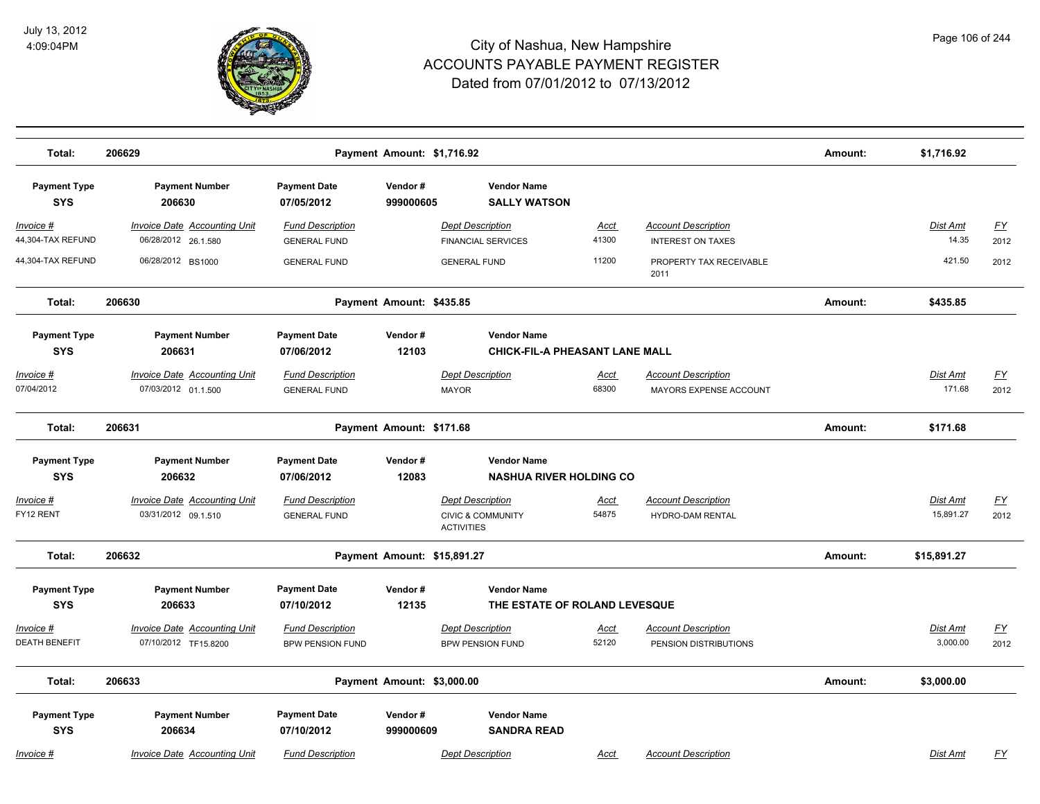

| Total:                            | 206629                                                      | Payment Amount: \$1,716.92                         |                             | Amount:                                                                      | \$1,716.92           |                                                        |         |                              |                   |
|-----------------------------------|-------------------------------------------------------------|----------------------------------------------------|-----------------------------|------------------------------------------------------------------------------|----------------------|--------------------------------------------------------|---------|------------------------------|-------------------|
| <b>Payment Type</b><br><b>SYS</b> | <b>Payment Number</b><br>206630                             | <b>Payment Date</b><br>07/05/2012                  | Vendor#<br>999000605        | <b>Vendor Name</b><br><b>SALLY WATSON</b>                                    |                      |                                                        |         |                              |                   |
| Invoice #<br>44,304-TAX REFUND    | <b>Invoice Date Accounting Unit</b><br>06/28/2012 26.1.580  | <b>Fund Description</b><br><b>GENERAL FUND</b>     |                             | <b>Dept Description</b><br><b>FINANCIAL SERVICES</b>                         | <u>Acct</u><br>41300 | <b>Account Description</b><br><b>INTEREST ON TAXES</b> |         | <b>Dist Amt</b><br>14.35     | <u>FY</u><br>2012 |
| 44,304-TAX REFUND                 | 06/28/2012 BS1000                                           | <b>GENERAL FUND</b>                                |                             | <b>GENERAL FUND</b>                                                          | 11200                | PROPERTY TAX RECEIVABLE<br>2011                        |         | 421.50                       | 2012              |
| Total:                            | 206630                                                      |                                                    | Payment Amount: \$435.85    |                                                                              |                      |                                                        | Amount: | \$435.85                     |                   |
| <b>Payment Type</b><br><b>SYS</b> | <b>Payment Number</b><br>206631                             | <b>Payment Date</b><br>07/06/2012                  | Vendor#<br>12103            | <b>Vendor Name</b><br><b>CHICK-FIL-A PHEASANT LANE MALL</b>                  |                      |                                                        |         |                              |                   |
| Invoice #<br>07/04/2012           | <b>Invoice Date Accounting Unit</b><br>07/03/2012 01.1.500  | <b>Fund Description</b><br><b>GENERAL FUND</b>     |                             | <b>Dept Description</b><br><b>MAYOR</b>                                      | <u>Acct</u><br>68300 | <b>Account Description</b><br>MAYORS EXPENSE ACCOUNT   |         | <b>Dist Amt</b><br>171.68    | <u>FY</u><br>2012 |
| Total:                            | 206631                                                      |                                                    | Payment Amount: \$171.68    |                                                                              |                      |                                                        | Amount: | \$171.68                     |                   |
| <b>Payment Type</b><br><b>SYS</b> | <b>Payment Number</b><br>206632                             | <b>Payment Date</b><br>07/06/2012                  | Vendor#<br>12083            | <b>Vendor Name</b><br><b>NASHUA RIVER HOLDING CO</b>                         |                      |                                                        |         |                              |                   |
| <u>Invoice #</u><br>FY12 RENT     | <b>Invoice Date Accounting Unit</b><br>03/31/2012 09.1.510  | <b>Fund Description</b><br><b>GENERAL FUND</b>     |                             | <b>Dept Description</b><br><b>CIVIC &amp; COMMUNITY</b><br><b>ACTIVITIES</b> | <u>Acct</u><br>54875 | <b>Account Description</b><br><b>HYDRO-DAM RENTAL</b>  |         | <b>Dist Amt</b><br>15,891.27 | <u>FY</u><br>2012 |
| Total:                            | 206632                                                      |                                                    | Payment Amount: \$15,891.27 |                                                                              |                      |                                                        | Amount: | \$15,891.27                  |                   |
| <b>Payment Type</b><br><b>SYS</b> | <b>Payment Number</b><br>206633                             | <b>Payment Date</b><br>07/10/2012                  | Vendor#<br>12135            | <b>Vendor Name</b><br>THE ESTATE OF ROLAND LEVESQUE                          |                      |                                                        |         |                              |                   |
| Invoice #<br><b>DEATH BENEFIT</b> | <b>Invoice Date Accounting Unit</b><br>07/10/2012 TF15.8200 | <b>Fund Description</b><br><b>BPW PENSION FUND</b> |                             | <b>Dept Description</b><br><b>BPW PENSION FUND</b>                           | Acct<br>52120        | <b>Account Description</b><br>PENSION DISTRIBUTIONS    |         | Dist Amt<br>3,000.00         | <u>FY</u><br>2012 |
| Total:                            | 206633                                                      |                                                    | Payment Amount: \$3,000.00  |                                                                              |                      |                                                        | Amount: | \$3,000.00                   |                   |
| <b>Payment Type</b><br><b>SYS</b> | <b>Payment Number</b><br>206634                             | <b>Payment Date</b><br>07/10/2012                  | Vendor#<br>999000609        | <b>Vendor Name</b><br><b>SANDRA READ</b>                                     |                      |                                                        |         |                              |                   |
| Invoice #                         | Invoice Date Accounting Unit                                | <b>Fund Description</b>                            |                             | <b>Dept Description</b>                                                      | Acct                 | <b>Account Description</b>                             |         | <b>Dist Amt</b>              | FY                |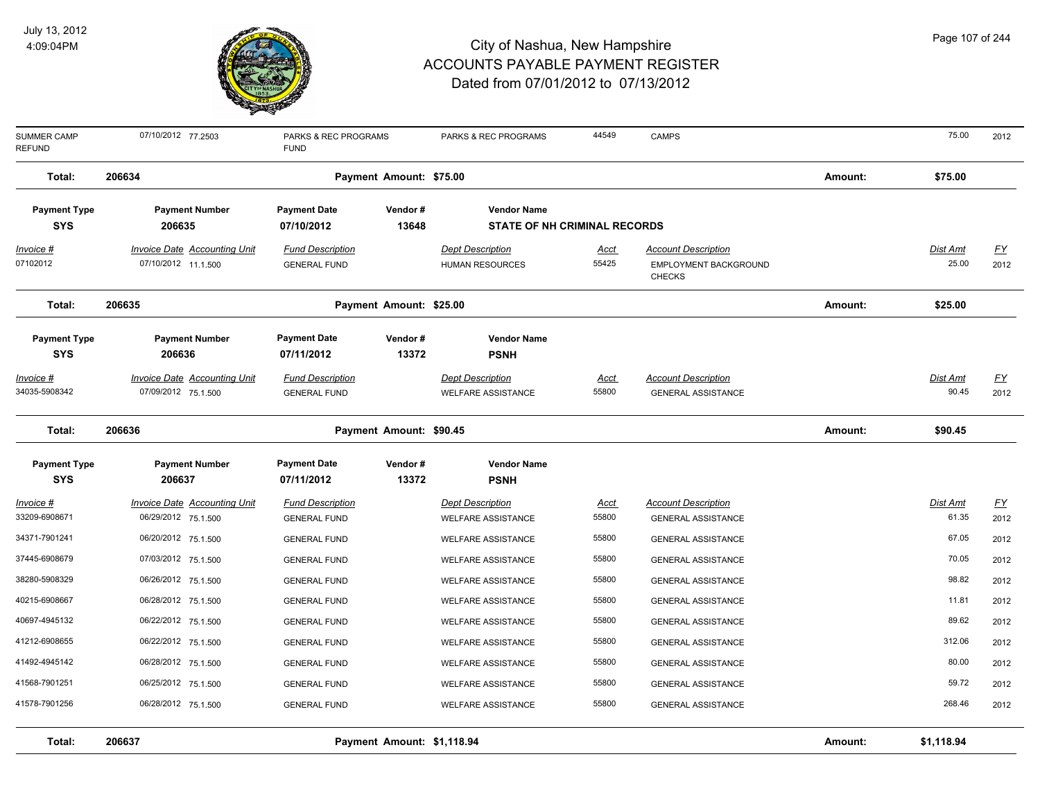

| <b>SUMMER CAMP</b><br><b>REFUND</b> | 07/10/2012 77.2503                  | PARKS & REC PROGRAMS<br><b>FUND</b> |                            | PARKS & REC PROGRAMS                | 44549       | <b>CAMPS</b>                           |         | 75.00           | 2012             |
|-------------------------------------|-------------------------------------|-------------------------------------|----------------------------|-------------------------------------|-------------|----------------------------------------|---------|-----------------|------------------|
| Total:                              | 206634                              |                                     | Payment Amount: \$75.00    |                                     |             |                                        | Amount: | \$75.00         |                  |
| <b>Payment Type</b>                 | <b>Payment Number</b>               | <b>Payment Date</b>                 | Vendor#                    | <b>Vendor Name</b>                  |             |                                        |         |                 |                  |
| <b>SYS</b>                          | 206635                              | 07/10/2012                          | 13648                      | <b>STATE OF NH CRIMINAL RECORDS</b> |             |                                        |         |                 |                  |
| Invoice #                           | <b>Invoice Date Accounting Unit</b> | <b>Fund Description</b>             |                            | <b>Dept Description</b>             | <b>Acct</b> | <b>Account Description</b>             |         | <u>Dist Amt</u> | <u>FY</u>        |
| 07102012                            | 07/10/2012 11.1.500                 | <b>GENERAL FUND</b>                 |                            | <b>HUMAN RESOURCES</b>              | 55425       | EMPLOYMENT BACKGROUND<br><b>CHECKS</b> |         | 25.00           | 2012             |
| Total:                              | 206635                              |                                     | Payment Amount: \$25.00    |                                     |             |                                        | Amount: | \$25.00         |                  |
| <b>Payment Type</b>                 | <b>Payment Number</b>               | <b>Payment Date</b>                 | Vendor#                    | <b>Vendor Name</b>                  |             |                                        |         |                 |                  |
| <b>SYS</b>                          | 206636                              | 07/11/2012                          | 13372                      | <b>PSNH</b>                         |             |                                        |         |                 |                  |
| <u> Invoice #</u>                   | <b>Invoice Date Accounting Unit</b> | <b>Fund Description</b>             |                            | <b>Dept Description</b>             | <u>Acct</u> | <b>Account Description</b>             |         | Dist Amt        | $FY$             |
| 34035-5908342                       | 07/09/2012 75.1.500                 | <b>GENERAL FUND</b>                 |                            | <b>WELFARE ASSISTANCE</b>           | 55800       | <b>GENERAL ASSISTANCE</b>              |         | 90.45           | 2012             |
| Total:                              | 206636                              |                                     | Payment Amount: \$90.45    |                                     |             |                                        | Amount: | \$90.45         |                  |
| <b>Payment Type</b>                 | <b>Payment Number</b>               | <b>Payment Date</b>                 | Vendor#                    | <b>Vendor Name</b>                  |             |                                        |         |                 |                  |
| <b>SYS</b>                          | 206637                              | 07/11/2012                          | 13372                      | <b>PSNH</b>                         |             |                                        |         |                 |                  |
| Invoice #                           | <b>Invoice Date Accounting Unit</b> | <b>Fund Description</b>             |                            | <b>Dept Description</b>             | <u>Acct</u> | <b>Account Description</b>             |         | <b>Dist Amt</b> | $\underline{FY}$ |
| 33209-6908671                       | 06/29/2012 75.1.500                 | <b>GENERAL FUND</b>                 |                            | <b>WELFARE ASSISTANCE</b>           | 55800       | <b>GENERAL ASSISTANCE</b>              |         | 61.35           | 2012             |
| 34371-7901241                       | 06/20/2012 75.1.500                 | <b>GENERAL FUND</b>                 |                            | <b>WELFARE ASSISTANCE</b>           | 55800       | <b>GENERAL ASSISTANCE</b>              |         | 67.05           | 2012             |
| 37445-6908679                       | 07/03/2012 75.1.500                 | <b>GENERAL FUND</b>                 |                            | <b>WELFARE ASSISTANCE</b>           | 55800       | <b>GENERAL ASSISTANCE</b>              |         | 70.05           | 2012             |
| 38280-5908329                       | 06/26/2012 75.1.500                 | <b>GENERAL FUND</b>                 |                            | <b>WELFARE ASSISTANCE</b>           | 55800       | <b>GENERAL ASSISTANCE</b>              |         | 98.82           | 2012             |
| 40215-6908667                       | 06/28/2012 75.1.500                 | <b>GENERAL FUND</b>                 |                            | <b>WELFARE ASSISTANCE</b>           | 55800       | <b>GENERAL ASSISTANCE</b>              |         | 11.81           | 2012             |
| 40697-4945132                       | 06/22/2012 75.1.500                 | <b>GENERAL FUND</b>                 |                            | <b>WELFARE ASSISTANCE</b>           | 55800       | <b>GENERAL ASSISTANCE</b>              |         | 89.62           | 2012             |
| 41212-6908655                       | 06/22/2012 75.1.500                 | <b>GENERAL FUND</b>                 |                            | <b>WELFARE ASSISTANCE</b>           | 55800       | <b>GENERAL ASSISTANCE</b>              |         | 312.06          | 2012             |
| 41492-4945142                       | 06/28/2012 75.1.500                 | <b>GENERAL FUND</b>                 |                            | <b>WELFARE ASSISTANCE</b>           | 55800       | <b>GENERAL ASSISTANCE</b>              |         | 80.00           | 2012             |
| 41568-7901251                       | 06/25/2012 75.1.500                 | <b>GENERAL FUND</b>                 |                            | <b>WELFARE ASSISTANCE</b>           | 55800       | <b>GENERAL ASSISTANCE</b>              |         | 59.72           | 2012             |
| 41578-7901256                       | 06/28/2012 75.1.500                 | <b>GENERAL FUND</b>                 |                            | <b>WELFARE ASSISTANCE</b>           | 55800       | <b>GENERAL ASSISTANCE</b>              |         | 268.46          | 2012             |
| Total:                              | 206637                              |                                     | Payment Amount: \$1,118.94 |                                     |             |                                        | Amount: | \$1,118.94      |                  |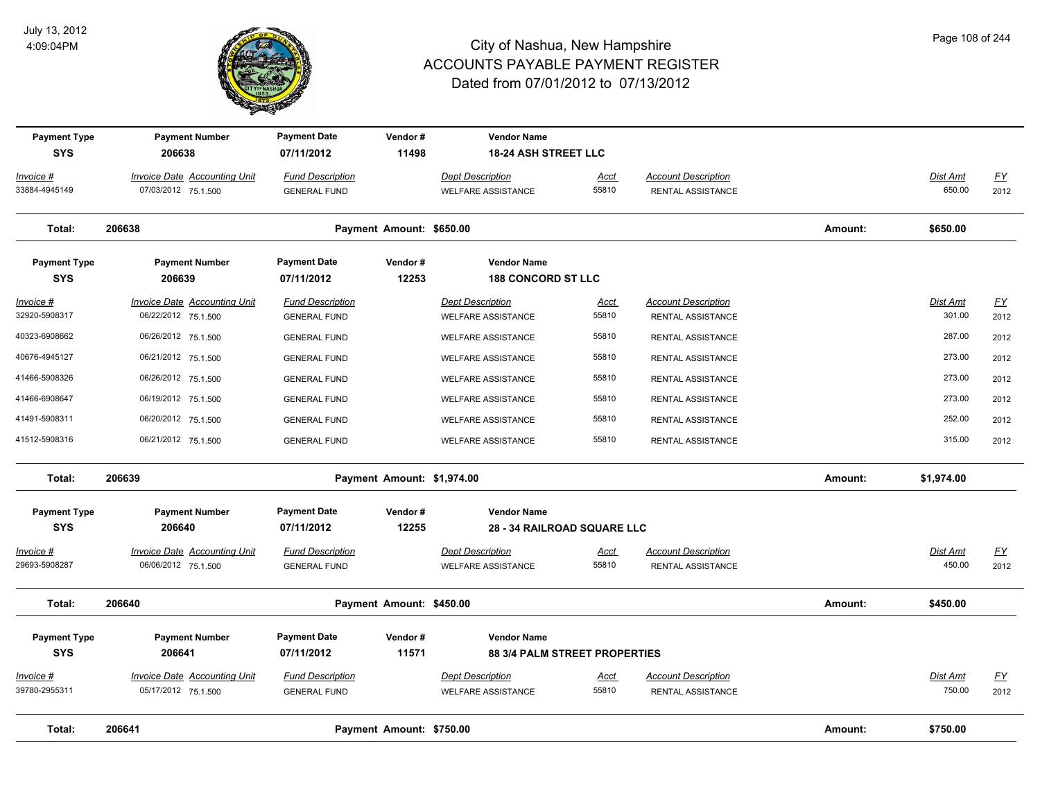

| <b>Payment Type</b><br><b>SYS</b> | <b>Payment Number</b><br>206638                            | <b>Payment Date</b><br>07/11/2012              | Vendor#<br>11498 | <b>Vendor Name</b><br><b>18-24 ASH STREET LLC</b>    |                      |                                                 |         |                           |                          |
|-----------------------------------|------------------------------------------------------------|------------------------------------------------|------------------|------------------------------------------------------|----------------------|-------------------------------------------------|---------|---------------------------|--------------------------|
| $Invoice$ #                       | Invoice Date Accounting Unit                               | <b>Fund Description</b>                        |                  | <b>Dept Description</b>                              | Acct                 | <b>Account Description</b>                      |         | Dist Amt                  | <u>FY</u>                |
| 33884-4945149                     | 07/03/2012 75.1.500                                        | <b>GENERAL FUND</b>                            |                  | <b>WELFARE ASSISTANCE</b>                            | 55810                | RENTAL ASSISTANCE                               |         | 650.00                    | 2012                     |
| Total:                            | 206638<br>Payment Amount: \$650.00                         |                                                |                  |                                                      |                      |                                                 | Amount: | \$650.00                  |                          |
| <b>Payment Type</b><br><b>SYS</b> | <b>Payment Number</b><br>206639                            | <b>Payment Date</b><br>07/11/2012              | Vendor#<br>12253 | <b>Vendor Name</b><br><b>188 CONCORD ST LLC</b>      |                      |                                                 |         |                           |                          |
| Invoice #                         | <b>Invoice Date Accounting Unit</b>                        | <b>Fund Description</b>                        |                  | <b>Dept Description</b>                              | <u>Acct</u>          | <b>Account Description</b>                      |         | <b>Dist Amt</b>           | <u>FY</u>                |
| 32920-5908317                     | 06/22/2012 75.1.500                                        | <b>GENERAL FUND</b>                            |                  | <b>WELFARE ASSISTANCE</b>                            | 55810                | RENTAL ASSISTANCE                               |         | 301.00                    | 2012                     |
| 40323-6908662                     | 06/26/2012 75.1.500                                        | <b>GENERAL FUND</b>                            |                  | <b>WELFARE ASSISTANCE</b>                            | 55810                | RENTAL ASSISTANCE                               |         | 287.00                    | 2012                     |
| 40676-4945127                     | 06/21/2012 75.1.500                                        | <b>GENERAL FUND</b>                            |                  | <b>WELFARE ASSISTANCE</b>                            | 55810                | RENTAL ASSISTANCE                               |         | 273.00                    | 2012                     |
| 41466-5908326                     | 06/26/2012 75.1.500                                        | <b>GENERAL FUND</b>                            |                  | <b>WELFARE ASSISTANCE</b>                            | 55810                | RENTAL ASSISTANCE                               |         | 273.00                    | 2012                     |
| 41466-6908647                     | 06/19/2012 75.1.500                                        | <b>GENERAL FUND</b>                            |                  | <b>WELFARE ASSISTANCE</b>                            | 55810                | RENTAL ASSISTANCE                               |         | 273.00                    | 2012                     |
| 41491-5908311                     | 06/20/2012 75.1.500                                        | <b>GENERAL FUND</b>                            |                  | <b>WELFARE ASSISTANCE</b>                            | 55810                | RENTAL ASSISTANCE                               |         | 252.00                    | 2012                     |
| 41512-5908316                     | 06/21/2012 75.1.500                                        | <b>GENERAL FUND</b>                            |                  | <b>WELFARE ASSISTANCE</b>                            | 55810                | RENTAL ASSISTANCE                               |         | 315.00                    | 2012                     |
| Total:                            | 206639<br>Payment Amount: \$1,974.00                       |                                                |                  |                                                      |                      |                                                 | Amount: | \$1,974.00                |                          |
| <b>Payment Type</b>               | <b>Payment Number</b>                                      | <b>Payment Date</b>                            | Vendor#          | <b>Vendor Name</b>                                   |                      |                                                 |         |                           |                          |
| <b>SYS</b>                        | 206640                                                     | 07/11/2012                                     | 12255            | <b>28 - 34 RAILROAD SQUARE LLC</b>                   |                      |                                                 |         |                           |                          |
| $Invoice$ #                       | <b>Invoice Date Accounting Unit</b>                        | <b>Fund Description</b>                        |                  | <b>Dept Description</b>                              | <b>Acct</b>          | <b>Account Description</b>                      |         | Dist Amt                  | <u>FY</u>                |
| 29693-5908287                     | 06/06/2012 75.1.500                                        | <b>GENERAL FUND</b>                            |                  | <b>WELFARE ASSISTANCE</b>                            | 55810                | RENTAL ASSISTANCE                               |         | 450.00                    | 2012                     |
| Total:                            | 206640<br>Payment Amount: \$450.00                         |                                                |                  |                                                      |                      |                                                 | Amount: | \$450.00                  |                          |
| <b>Payment Type</b>               | <b>Payment Number</b>                                      | <b>Payment Date</b>                            | Vendor#          | <b>Vendor Name</b>                                   |                      |                                                 |         |                           |                          |
| <b>SYS</b>                        | 206641                                                     | 07/11/2012                                     | 11571            | <b>88 3/4 PALM STREET PROPERTIES</b>                 |                      |                                                 |         |                           |                          |
| Invoice #<br>39780-2955311        | <b>Invoice Date Accounting Unit</b><br>05/17/2012 75.1.500 | <b>Fund Description</b><br><b>GENERAL FUND</b> |                  | <b>Dept Description</b><br><b>WELFARE ASSISTANCE</b> | <u>Acct</u><br>55810 | <b>Account Description</b><br>RENTAL ASSISTANCE |         | <b>Dist Amt</b><br>750.00 | $\underline{FY}$<br>2012 |
| Total:                            | 206641<br>Payment Amount: \$750.00                         |                                                |                  |                                                      |                      |                                                 |         | \$750.00                  |                          |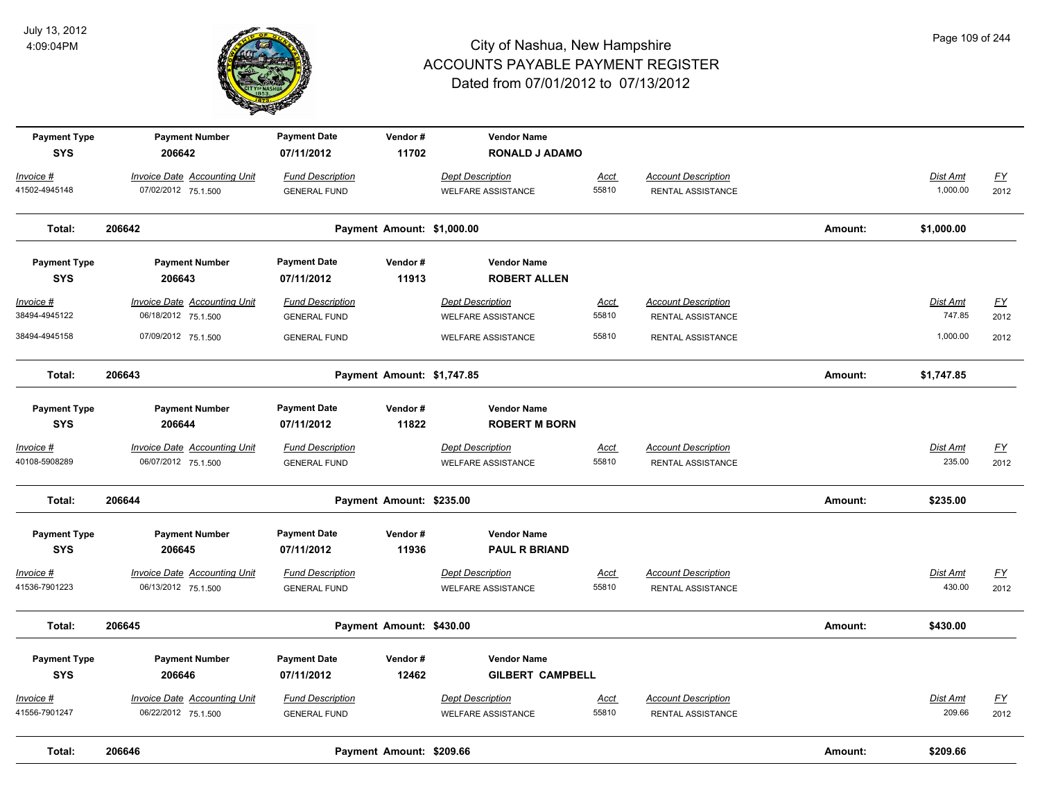

| <b>Payment Type</b><br><b>SYS</b> | <b>Payment Number</b><br>206642                            | <b>Payment Date</b><br>07/11/2012              | Vendor#<br>11702           | <b>Vendor Name</b><br><b>RONALD J ADAMO</b>          |                      |                                                        |         |                           |                                   |
|-----------------------------------|------------------------------------------------------------|------------------------------------------------|----------------------------|------------------------------------------------------|----------------------|--------------------------------------------------------|---------|---------------------------|-----------------------------------|
| Invoice #<br>41502-4945148        | <b>Invoice Date Accounting Unit</b><br>07/02/2012 75.1.500 | <b>Fund Description</b><br><b>GENERAL FUND</b> |                            | <b>Dept Description</b><br><b>WELFARE ASSISTANCE</b> | Acct<br>55810        | <b>Account Description</b><br>RENTAL ASSISTANCE        |         | Dist Amt<br>1,000.00      | $\underline{FY}$<br>2012          |
| Total:                            | 206642                                                     |                                                | Payment Amount: \$1,000.00 |                                                      |                      |                                                        | Amount: | \$1,000.00                |                                   |
| <b>Payment Type</b><br><b>SYS</b> | <b>Payment Number</b><br>206643                            | <b>Payment Date</b><br>07/11/2012              | Vendor#<br>11913           | <b>Vendor Name</b><br><b>ROBERT ALLEN</b>            |                      |                                                        |         |                           |                                   |
| <u>Invoice #</u><br>38494-4945122 | <b>Invoice Date Accounting Unit</b><br>06/18/2012 75.1.500 | <b>Fund Description</b><br><b>GENERAL FUND</b> |                            | <b>Dept Description</b><br><b>WELFARE ASSISTANCE</b> | <u>Acct</u><br>55810 | <b>Account Description</b><br>RENTAL ASSISTANCE        |         | <u>Dist Amt</u><br>747.85 | $\underline{\mathsf{FY}}$<br>2012 |
| 38494-4945158                     | 07/09/2012 75.1.500                                        | <b>GENERAL FUND</b>                            |                            | <b>WELFARE ASSISTANCE</b>                            | 55810                | RENTAL ASSISTANCE                                      |         | 1,000.00                  | 2012                              |
| Total:                            | 206643                                                     |                                                | Payment Amount: \$1,747.85 |                                                      |                      |                                                        | Amount: | \$1,747.85                |                                   |
| <b>Payment Type</b><br><b>SYS</b> | <b>Payment Number</b><br>206644                            | <b>Payment Date</b><br>07/11/2012              | Vendor#<br>11822           | <b>Vendor Name</b><br><b>ROBERT M BORN</b>           |                      |                                                        |         |                           |                                   |
| Invoice #<br>40108-5908289        | <b>Invoice Date Accounting Unit</b><br>06/07/2012 75.1.500 | <b>Fund Description</b><br><b>GENERAL FUND</b> |                            | <b>Dept Description</b><br><b>WELFARE ASSISTANCE</b> | <u>Acct</u><br>55810 | <b>Account Description</b><br><b>RENTAL ASSISTANCE</b> |         | Dist Amt<br>235.00        | $\underline{FY}$<br>2012          |
| Total:                            | 206644                                                     |                                                | Payment Amount: \$235.00   |                                                      |                      |                                                        | Amount: | \$235.00                  |                                   |
| <b>Payment Type</b><br><b>SYS</b> | <b>Payment Number</b><br>206645                            | <b>Payment Date</b><br>07/11/2012              | Vendor#<br>11936           | <b>Vendor Name</b><br><b>PAUL R BRIAND</b>           |                      |                                                        |         |                           |                                   |
| Invoice #<br>41536-7901223        | Invoice Date Accounting Unit<br>06/13/2012 75.1.500        | <b>Fund Description</b><br><b>GENERAL FUND</b> |                            | <b>Dept Description</b><br><b>WELFARE ASSISTANCE</b> | Acct<br>55810        | <b>Account Description</b><br>RENTAL ASSISTANCE        |         | Dist Amt<br>430.00        | $\underline{FY}$<br>2012          |
| Total:                            | 206645                                                     |                                                | Payment Amount: \$430.00   |                                                      |                      |                                                        | Amount: | \$430.00                  |                                   |
| <b>Payment Type</b><br><b>SYS</b> | <b>Payment Number</b><br>206646                            | <b>Payment Date</b><br>07/11/2012              | Vendor#<br>12462           | <b>Vendor Name</b><br><b>GILBERT CAMPBELL</b>        |                      |                                                        |         |                           |                                   |
| Invoice #<br>41556-7901247        | <b>Invoice Date Accounting Unit</b><br>06/22/2012 75.1.500 | <b>Fund Description</b><br><b>GENERAL FUND</b> |                            | <b>Dept Description</b><br><b>WELFARE ASSISTANCE</b> | Acct<br>55810        | <b>Account Description</b><br>RENTAL ASSISTANCE        |         | Dist Amt<br>209.66        | $\underline{FY}$<br>2012          |
| Total:                            | 206646                                                     |                                                | Payment Amount: \$209.66   |                                                      |                      |                                                        | Amount: | \$209.66                  |                                   |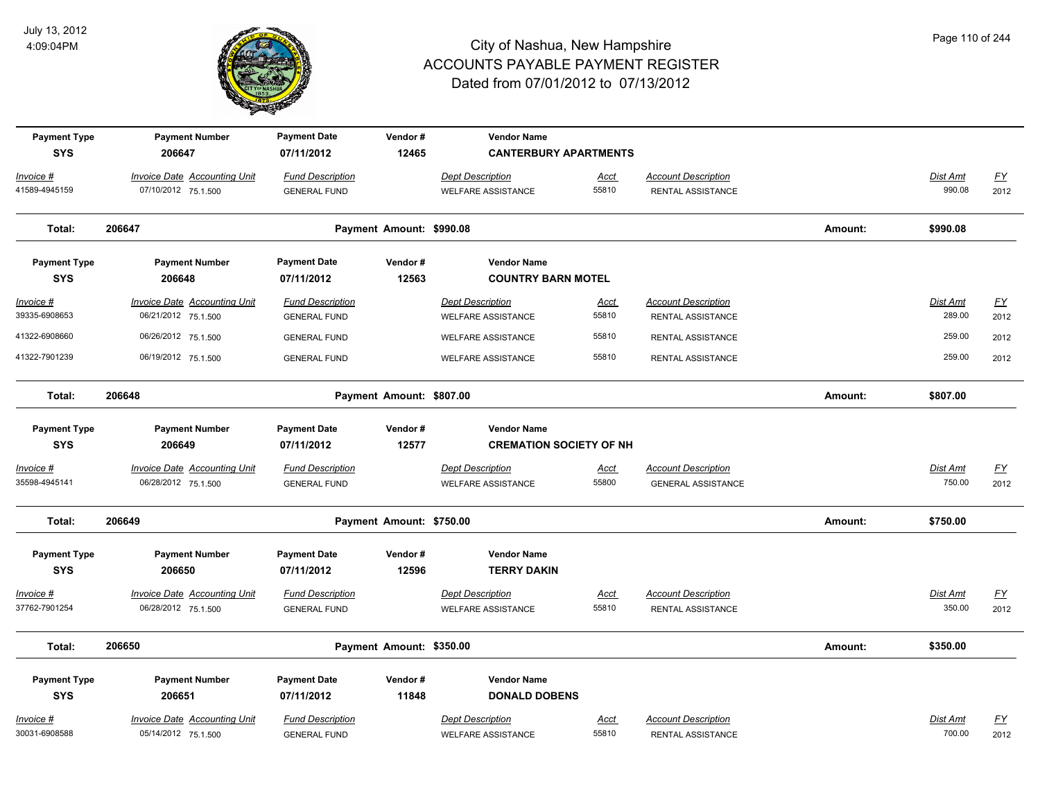

| <b>Payment Type</b><br><b>SYS</b> | <b>Payment Number</b><br>206647                            | <b>Payment Date</b><br>07/11/2012              | Vendor#<br>12465         | <b>Vendor Name</b><br><b>CANTERBURY APARTMENTS</b>   |                      |                                                 |         |                    |                  |
|-----------------------------------|------------------------------------------------------------|------------------------------------------------|--------------------------|------------------------------------------------------|----------------------|-------------------------------------------------|---------|--------------------|------------------|
| Invoice #<br>41589-4945159        | <b>Invoice Date Accounting Unit</b><br>07/10/2012 75.1.500 | <b>Fund Description</b><br><b>GENERAL FUND</b> |                          | <b>Dept Description</b><br><b>WELFARE ASSISTANCE</b> | <b>Acct</b><br>55810 | <b>Account Description</b><br>RENTAL ASSISTANCE |         | Dist Amt<br>990.08 | $FY$<br>2012     |
| Total:                            | 206647                                                     |                                                | Payment Amount: \$990.08 |                                                      |                      |                                                 | Amount: | \$990.08           |                  |
| <b>Payment Type</b>               | <b>Payment Number</b>                                      | <b>Payment Date</b>                            | Vendor#                  | <b>Vendor Name</b>                                   |                      |                                                 |         |                    |                  |
| <b>SYS</b>                        | 206648                                                     | 07/11/2012                                     | 12563                    | <b>COUNTRY BARN MOTEL</b>                            |                      |                                                 |         |                    |                  |
| <u>Invoice #</u>                  | <b>Invoice Date Accounting Unit</b>                        | <b>Fund Description</b>                        |                          | <b>Dept Description</b>                              | <u>Acct</u>          | <b>Account Description</b>                      |         | Dist Amt           | $\underline{FY}$ |
| 39335-6908653                     | 06/21/2012 75.1.500                                        | <b>GENERAL FUND</b>                            |                          | <b>WELFARE ASSISTANCE</b>                            | 55810                | RENTAL ASSISTANCE                               |         | 289.00             | 2012             |
| 41322-6908660                     | 06/26/2012 75.1.500                                        | <b>GENERAL FUND</b>                            |                          | <b>WELFARE ASSISTANCE</b>                            | 55810                | RENTAL ASSISTANCE                               |         | 259.00             | 2012             |
| 41322-7901239                     | 06/19/2012 75.1.500                                        | <b>GENERAL FUND</b>                            |                          | <b>WELFARE ASSISTANCE</b>                            | 55810                | RENTAL ASSISTANCE                               |         | 259.00             | 2012             |
| Total:                            | 206648                                                     |                                                | Payment Amount: \$807.00 |                                                      |                      |                                                 | Amount: | \$807.00           |                  |
| <b>Payment Type</b>               | <b>Payment Number</b>                                      | <b>Payment Date</b>                            | Vendor#                  | <b>Vendor Name</b>                                   |                      |                                                 |         |                    |                  |
| <b>SYS</b>                        | 206649                                                     | 07/11/2012                                     | 12577                    | <b>CREMATION SOCIETY OF NH</b>                       |                      |                                                 |         |                    |                  |
| Invoice #                         | <b>Invoice Date Accounting Unit</b>                        | <b>Fund Description</b>                        |                          | <b>Dept Description</b>                              | <u>Acct</u>          | <b>Account Description</b>                      |         | Dist Amt           | $FY$             |
| 35598-4945141                     | 06/28/2012 75.1.500                                        | <b>GENERAL FUND</b>                            |                          | <b>WELFARE ASSISTANCE</b>                            | 55800                | <b>GENERAL ASSISTANCE</b>                       |         | 750.00             | 2012             |
| Total:                            | 206649                                                     |                                                | Payment Amount: \$750.00 |                                                      |                      |                                                 | Amount: | \$750.00           |                  |
| <b>Payment Type</b>               | <b>Payment Number</b>                                      | <b>Payment Date</b>                            | Vendor#                  | <b>Vendor Name</b>                                   |                      |                                                 |         |                    |                  |
| <b>SYS</b>                        | 206650                                                     | 07/11/2012                                     | 12596                    | <b>TERRY DAKIN</b>                                   |                      |                                                 |         |                    |                  |
| Invoice #                         | Invoice Date Accounting Unit                               | <b>Fund Description</b>                        |                          | <b>Dept Description</b>                              | <u>Acct</u>          | <b>Account Description</b>                      |         | Dist Amt           | $\underline{FY}$ |
| 37762-7901254                     | 06/28/2012 75.1.500                                        | <b>GENERAL FUND</b>                            |                          | <b>WELFARE ASSISTANCE</b>                            | 55810                | <b>RENTAL ASSISTANCE</b>                        |         | 350.00             | 2012             |
| Total:                            | 206650                                                     |                                                | Payment Amount: \$350.00 |                                                      |                      |                                                 | Amount: | \$350.00           |                  |
| <b>Payment Type</b>               | <b>Payment Number</b>                                      | <b>Payment Date</b>                            | Vendor#                  | <b>Vendor Name</b>                                   |                      |                                                 |         |                    |                  |
| <b>SYS</b>                        | 206651                                                     | 07/11/2012                                     | 11848                    | <b>DONALD DOBENS</b>                                 |                      |                                                 |         |                    |                  |
| Invoice #                         | <b>Invoice Date Accounting Unit</b>                        | <b>Fund Description</b>                        |                          | <b>Dept Description</b>                              | <u>Acct</u>          | <b>Account Description</b>                      |         | Dist Amt           | $FY$             |
| 30031-6908588                     | 05/14/2012 75.1.500                                        | <b>GENERAL FUND</b>                            |                          | <b>WELFARE ASSISTANCE</b>                            | 55810                | RENTAL ASSISTANCE                               |         | 700.00             | 2012             |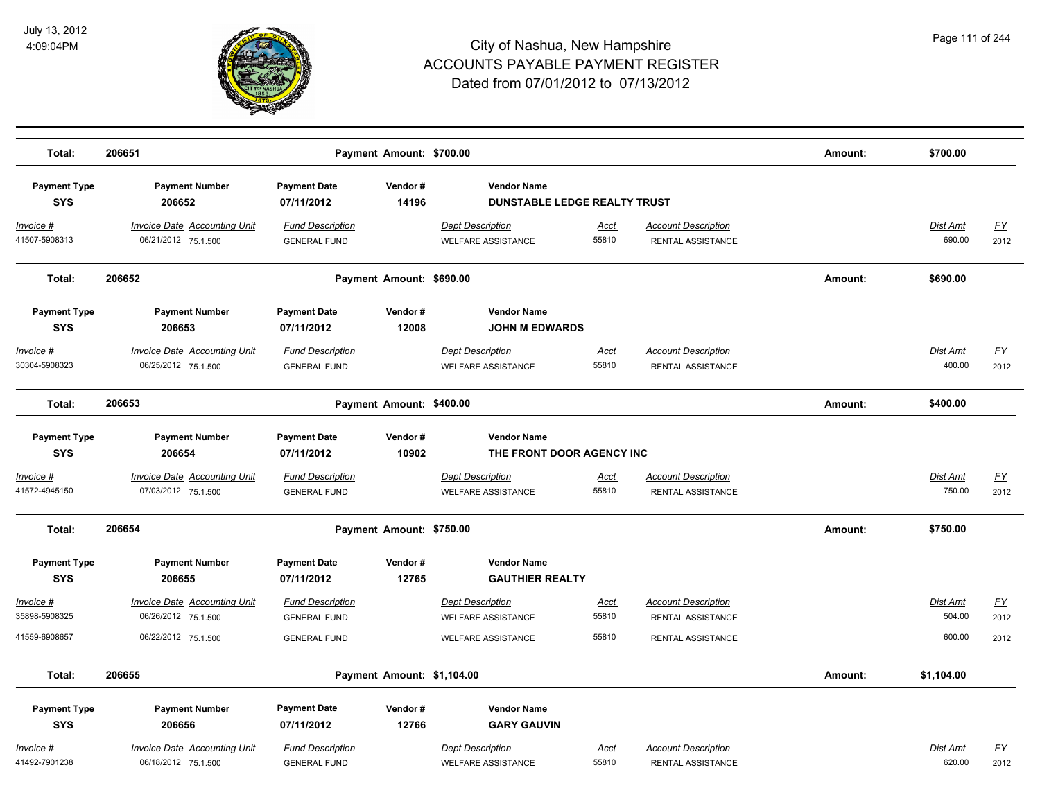

| Total:                            | 206651                                                     |                                                | Payment Amount: \$700.00   |                                                           |                      |                                                 | Amount: | \$700.00           |                   |
|-----------------------------------|------------------------------------------------------------|------------------------------------------------|----------------------------|-----------------------------------------------------------|----------------------|-------------------------------------------------|---------|--------------------|-------------------|
| <b>Payment Type</b><br><b>SYS</b> | <b>Payment Number</b><br>206652                            | <b>Payment Date</b><br>07/11/2012              | Vendor#<br>14196           | <b>Vendor Name</b><br><b>DUNSTABLE LEDGE REALTY TRUST</b> |                      |                                                 |         |                    |                   |
| Invoice #<br>41507-5908313        | <b>Invoice Date Accounting Unit</b><br>06/21/2012 75.1.500 | <b>Fund Description</b><br><b>GENERAL FUND</b> |                            | <b>Dept Description</b><br><b>WELFARE ASSISTANCE</b>      | Acct<br>55810        | <b>Account Description</b><br>RENTAL ASSISTANCE |         | Dist Amt<br>690.00 | <u>FY</u><br>2012 |
| Total:                            | 206652                                                     |                                                | Payment Amount: \$690.00   |                                                           |                      |                                                 | Amount: | \$690.00           |                   |
| <b>Payment Type</b><br><b>SYS</b> | <b>Payment Number</b><br>206653                            | <b>Payment Date</b><br>07/11/2012              | Vendor#<br>12008           | <b>Vendor Name</b><br><b>JOHN M EDWARDS</b>               |                      |                                                 |         |                    |                   |
| Invoice #<br>30304-5908323        | Invoice Date Accounting Unit<br>06/25/2012 75.1.500        | <b>Fund Description</b><br><b>GENERAL FUND</b> |                            | <b>Dept Description</b><br><b>WELFARE ASSISTANCE</b>      | Acct<br>55810        | <b>Account Description</b><br>RENTAL ASSISTANCE |         | Dist Amt<br>400.00 | <u>FY</u><br>2012 |
| Total:                            | 206653                                                     |                                                | Payment Amount: \$400.00   |                                                           |                      |                                                 | Amount: | \$400.00           |                   |
| <b>Payment Type</b><br><b>SYS</b> | <b>Payment Number</b><br>206654                            | <b>Payment Date</b><br>07/11/2012              | Vendor#<br>10902           | <b>Vendor Name</b><br>THE FRONT DOOR AGENCY INC           |                      |                                                 |         |                    |                   |
| Invoice #                         | <b>Invoice Date Accounting Unit</b>                        | <b>Fund Description</b>                        |                            | <b>Dept Description</b>                                   | Acct                 | <b>Account Description</b>                      |         | Dist Amt           | <u>FY</u>         |
| 41572-4945150                     | 07/03/2012 75.1.500                                        | <b>GENERAL FUND</b>                            |                            | <b>WELFARE ASSISTANCE</b>                                 | 55810                | RENTAL ASSISTANCE                               |         | 750.00             | 2012              |
| Total:                            | 206654                                                     |                                                | Payment Amount: \$750.00   |                                                           |                      |                                                 | Amount: | \$750.00           |                   |
| <b>Payment Type</b><br><b>SYS</b> | <b>Payment Number</b><br>206655                            | <b>Payment Date</b><br>07/11/2012              | Vendor#<br>12765           | <b>Vendor Name</b><br><b>GAUTHIER REALTY</b>              |                      |                                                 |         |                    |                   |
| Invoice #                         | Invoice Date Accounting Unit                               | <b>Fund Description</b>                        |                            | <b>Dept Description</b>                                   | <u>Acct</u>          | <b>Account Description</b>                      |         | Dist Amt           | <u>FY</u>         |
| 35898-5908325                     | 06/26/2012 75.1.500                                        | <b>GENERAL FUND</b>                            |                            | <b>WELFARE ASSISTANCE</b>                                 | 55810                | RENTAL ASSISTANCE                               |         | 504.00             | 2012              |
| 41559-6908657                     | 06/22/2012 75.1.500                                        | <b>GENERAL FUND</b>                            |                            | <b>WELFARE ASSISTANCE</b>                                 | 55810                | RENTAL ASSISTANCE                               |         | 600.00             | 2012              |
| Total:                            | 206655                                                     |                                                | Payment Amount: \$1,104.00 |                                                           |                      |                                                 | Amount: | \$1,104.00         |                   |
| <b>Payment Type</b><br><b>SYS</b> | <b>Payment Number</b><br>206656                            | <b>Payment Date</b><br>07/11/2012              | Vendor#<br>12766           | <b>Vendor Name</b><br><b>GARY GAUVIN</b>                  |                      |                                                 |         |                    |                   |
| Invoice #<br>41492-7901238        | <b>Invoice Date Accounting Unit</b><br>06/18/2012 75.1.500 | <b>Fund Description</b><br><b>GENERAL FUND</b> |                            | <b>Dept Description</b><br><b>WELFARE ASSISTANCE</b>      | <u>Acct</u><br>55810 | <b>Account Description</b><br>RENTAL ASSISTANCE |         | Dist Amt<br>620.00 | <u>FY</u><br>2012 |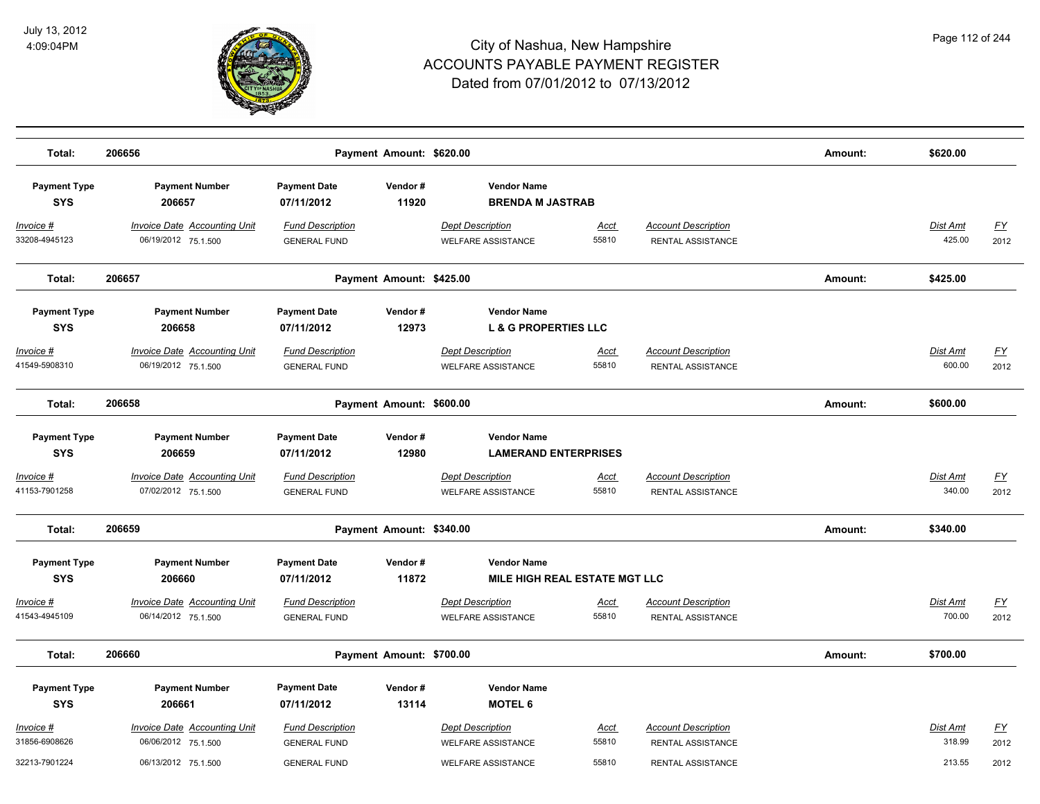

| Total:                            | 206656                                                     |                                                | Payment Amount: \$620.00 |                                                      |                      |                                                 | Amount: | \$620.00                  |                   |
|-----------------------------------|------------------------------------------------------------|------------------------------------------------|--------------------------|------------------------------------------------------|----------------------|-------------------------------------------------|---------|---------------------------|-------------------|
| <b>Payment Type</b><br><b>SYS</b> | <b>Payment Number</b><br>206657                            | <b>Payment Date</b><br>07/11/2012              | Vendor#<br>11920         | <b>Vendor Name</b><br><b>BRENDA M JASTRAB</b>        |                      |                                                 |         |                           |                   |
| Invoice #<br>33208-4945123        | <b>Invoice Date Accounting Unit</b><br>06/19/2012 75.1.500 | <b>Fund Description</b><br><b>GENERAL FUND</b> |                          | <b>Dept Description</b><br><b>WELFARE ASSISTANCE</b> | Acct<br>55810        | <b>Account Description</b><br>RENTAL ASSISTANCE |         | <b>Dist Amt</b><br>425.00 | <u>FY</u><br>2012 |
| Total:                            | 206657                                                     |                                                | Payment Amount: \$425.00 |                                                      |                      |                                                 | Amount: | \$425.00                  |                   |
| <b>Payment Type</b>               | <b>Payment Number</b>                                      | <b>Payment Date</b>                            | Vendor#                  | <b>Vendor Name</b>                                   |                      |                                                 |         |                           |                   |
| <b>SYS</b>                        | 206658                                                     | 07/11/2012                                     | 12973                    | <b>L &amp; G PROPERTIES LLC</b>                      |                      |                                                 |         |                           |                   |
| Invoice #<br>41549-5908310        | <b>Invoice Date Accounting Unit</b><br>06/19/2012 75.1.500 | <b>Fund Description</b><br><b>GENERAL FUND</b> |                          | <b>Dept Description</b><br><b>WELFARE ASSISTANCE</b> | <u>Acct</u><br>55810 | <b>Account Description</b><br>RENTAL ASSISTANCE |         | Dist Amt<br>600.00        | <u>FY</u><br>2012 |
| Total:                            | 206658                                                     |                                                | Payment Amount: \$600.00 |                                                      |                      |                                                 | Amount: | \$600.00                  |                   |
| <b>Payment Type</b>               | <b>Payment Number</b>                                      | <b>Payment Date</b>                            | Vendor#                  | <b>Vendor Name</b>                                   |                      |                                                 |         |                           |                   |
| <b>SYS</b>                        | 206659                                                     | 07/11/2012                                     | 12980                    | <b>LAMERAND ENTERPRISES</b>                          |                      |                                                 |         |                           |                   |
| Invoice #                         | <b>Invoice Date Accounting Unit</b>                        | <b>Fund Description</b>                        |                          | <b>Dept Description</b>                              | Acct                 | <b>Account Description</b>                      |         | Dist Amt                  | <u>FY</u>         |
| 41153-7901258                     | 07/02/2012 75.1.500                                        | <b>GENERAL FUND</b>                            |                          | <b>WELFARE ASSISTANCE</b>                            | 55810                | RENTAL ASSISTANCE                               |         | 340.00                    | 2012              |
| Total:                            | 206659                                                     |                                                | Payment Amount: \$340.00 |                                                      |                      |                                                 | Amount: | \$340.00                  |                   |
| <b>Payment Type</b>               | <b>Payment Number</b>                                      | <b>Payment Date</b>                            | Vendor#                  | <b>Vendor Name</b>                                   |                      |                                                 |         |                           |                   |
| <b>SYS</b>                        | 206660                                                     | 07/11/2012                                     | 11872                    | <b>MILE HIGH REAL ESTATE MGT LLC</b>                 |                      |                                                 |         |                           |                   |
| Invoice #                         | <b>Invoice Date Accounting Unit</b>                        | <b>Fund Description</b>                        |                          | <b>Dept Description</b>                              | Acct                 | <b>Account Description</b>                      |         | Dist Amt                  | <u>FY</u>         |
| 41543-4945109                     | 06/14/2012 75.1.500                                        | <b>GENERAL FUND</b>                            |                          | <b>WELFARE ASSISTANCE</b>                            | 55810                | RENTAL ASSISTANCE                               |         | 700.00                    | 2012              |
| Total:                            | 206660                                                     |                                                | Payment Amount: \$700.00 |                                                      |                      |                                                 | Amount: | \$700.00                  |                   |
| <b>Payment Type</b>               | <b>Payment Number</b>                                      | <b>Payment Date</b>                            | Vendor#                  | <b>Vendor Name</b>                                   |                      |                                                 |         |                           |                   |
| <b>SYS</b>                        | 206661                                                     | 07/11/2012                                     | 13114                    | <b>MOTEL 6</b>                                       |                      |                                                 |         |                           |                   |
| Invoice #                         | <b>Invoice Date Accounting Unit</b>                        | <b>Fund Description</b>                        |                          | <b>Dept Description</b>                              | <u>Acct</u>          | <b>Account Description</b>                      |         | Dist Amt                  | <u>FY</u>         |
| 31856-6908626                     | 06/06/2012 75.1.500                                        | <b>GENERAL FUND</b>                            |                          | <b>WELFARE ASSISTANCE</b>                            | 55810                | RENTAL ASSISTANCE                               |         | 318.99                    | 2012              |
| 32213-7901224                     | 06/13/2012 75.1.500                                        | <b>GENERAL FUND</b>                            |                          | <b>WELFARE ASSISTANCE</b>                            | 55810                | RENTAL ASSISTANCE                               |         | 213.55                    | 2012              |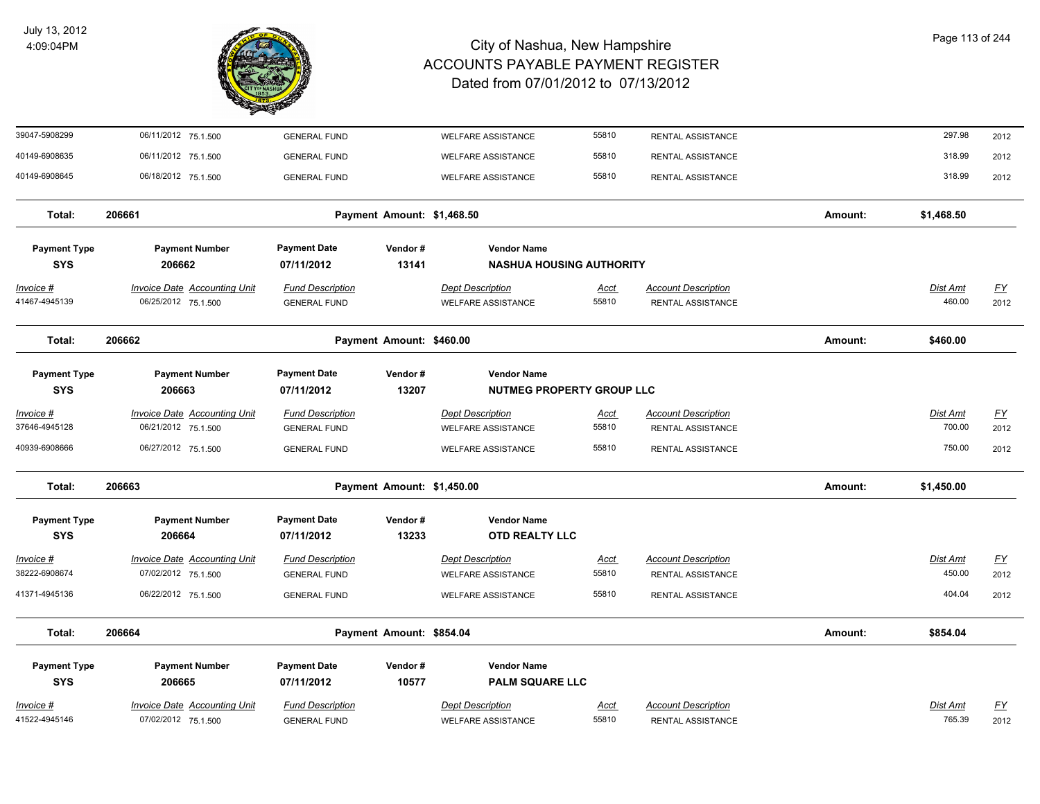

| 39047-5908299                     | 06/11/2012 75.1.500                 | <b>GENERAL FUND</b>               |                            | WELFARE ASSISTANCE              | 55810         | RENTAL ASSISTANCE          |         | 297.98     | 2012             |
|-----------------------------------|-------------------------------------|-----------------------------------|----------------------------|---------------------------------|---------------|----------------------------|---------|------------|------------------|
| 40149-6908635                     | 06/11/2012 75.1.500                 | <b>GENERAL FUND</b>               |                            | <b>WELFARE ASSISTANCE</b>       | 55810         | RENTAL ASSISTANCE          |         | 318.99     | 2012             |
| 40149-6908645                     | 06/18/2012 75.1.500                 | <b>GENERAL FUND</b>               |                            | <b>WELFARE ASSISTANCE</b>       | 55810         | RENTAL ASSISTANCE          |         | 318.99     | 2012             |
| Total:                            | 206661                              |                                   | Payment Amount: \$1,468.50 |                                 |               |                            | Amount: | \$1,468.50 |                  |
| <b>Payment Type</b>               | <b>Payment Number</b>               | <b>Payment Date</b>               | Vendor#                    | <b>Vendor Name</b>              |               |                            |         |            |                  |
| <b>SYS</b>                        | 206662                              | 07/11/2012                        | 13141                      | <b>NASHUA HOUSING AUTHORITY</b> |               |                            |         |            |                  |
| <u>Invoice #</u>                  | <b>Invoice Date Accounting Unit</b> | <b>Fund Description</b>           |                            | <b>Dept Description</b>         | <u>Acct</u>   | <b>Account Description</b> |         | Dist Amt   | <u>FY</u>        |
| 41467-4945139                     | 06/25/2012 75.1.500                 | <b>GENERAL FUND</b>               |                            | <b>WELFARE ASSISTANCE</b>       | 55810         | RENTAL ASSISTANCE          |         | 460.00     | 2012             |
| Total:                            | 206662                              |                                   | Payment Amount: \$460.00   |                                 |               |                            | Amount: | \$460.00   |                  |
| <b>Payment Type</b>               | <b>Payment Number</b>               | <b>Payment Date</b>               | Vendor#                    | <b>Vendor Name</b>              |               |                            |         |            |                  |
| <b>SYS</b>                        | 206663                              | 07/11/2012                        | 13207                      | NUTMEG PROPERTY GROUP LLC       |               |                            |         |            |                  |
| Invoice #                         | <b>Invoice Date Accounting Unit</b> | <b>Fund Description</b>           |                            | <b>Dept Description</b>         | <u>Acct</u>   | <b>Account Description</b> |         | Dist Amt   | <u>FY</u>        |
| 37646-4945128                     | 06/21/2012 75.1.500                 | <b>GENERAL FUND</b>               |                            | <b>WELFARE ASSISTANCE</b>       | 55810         | RENTAL ASSISTANCE          |         | 700.00     | 2012             |
| 40939-6908666                     | 06/27/2012 75.1.500                 | <b>GENERAL FUND</b>               |                            | <b>WELFARE ASSISTANCE</b>       | 55810         | RENTAL ASSISTANCE          |         | 750.00     | 2012             |
| Total:                            | 206663                              |                                   | Payment Amount: \$1,450.00 |                                 |               |                            | Amount: | \$1,450.00 |                  |
| <b>Payment Type</b>               | <b>Payment Number</b>               | <b>Payment Date</b>               | Vendor#                    | <b>Vendor Name</b>              |               |                            |         |            |                  |
| <b>SYS</b>                        | 206664                              | 07/11/2012                        | 13233                      | <b>OTD REALTY LLC</b>           |               |                            |         |            |                  |
| <u> Invoice #</u>                 | <b>Invoice Date Accounting Unit</b> | <b>Fund Description</b>           |                            | <b>Dept Description</b>         | <u>Acct</u>   | <b>Account Description</b> |         | Dist Amt   | <u>FY</u>        |
| 38222-6908674                     | 07/02/2012 75.1.500                 | <b>GENERAL FUND</b>               |                            | <b>WELFARE ASSISTANCE</b>       | 55810         | RENTAL ASSISTANCE          |         | 450.00     | 2012             |
| 41371-4945136                     | 06/22/2012 75.1.500                 | <b>GENERAL FUND</b>               |                            | <b>WELFARE ASSISTANCE</b>       | 55810         | RENTAL ASSISTANCE          |         | 404.04     | 2012             |
| Total:                            | 206664                              |                                   | Payment Amount: \$854.04   |                                 |               |                            | Amount: | \$854.04   |                  |
|                                   |                                     |                                   |                            | <b>Vendor Name</b>              |               |                            |         |            |                  |
| <b>Payment Type</b><br><b>SYS</b> | <b>Payment Number</b><br>206665     | <b>Payment Date</b><br>07/11/2012 | Vendor#<br>10577           | <b>PALM SQUARE LLC</b>          |               |                            |         |            |                  |
|                                   |                                     |                                   |                            |                                 |               |                            |         |            |                  |
| Invoice #<br>41522-4945146        | Invoice Date Accounting Unit        | <b>Fund Description</b>           |                            | <b>Dept Description</b>         | Acct<br>55810 | <b>Account Description</b> |         | Dist Amt   | $\underline{FY}$ |
|                                   | 07/02/2012 75.1.500                 | <b>GENERAL FUND</b>               |                            | <b>WELFARE ASSISTANCE</b>       |               | RENTAL ASSISTANCE          |         | 765.39     | 2012             |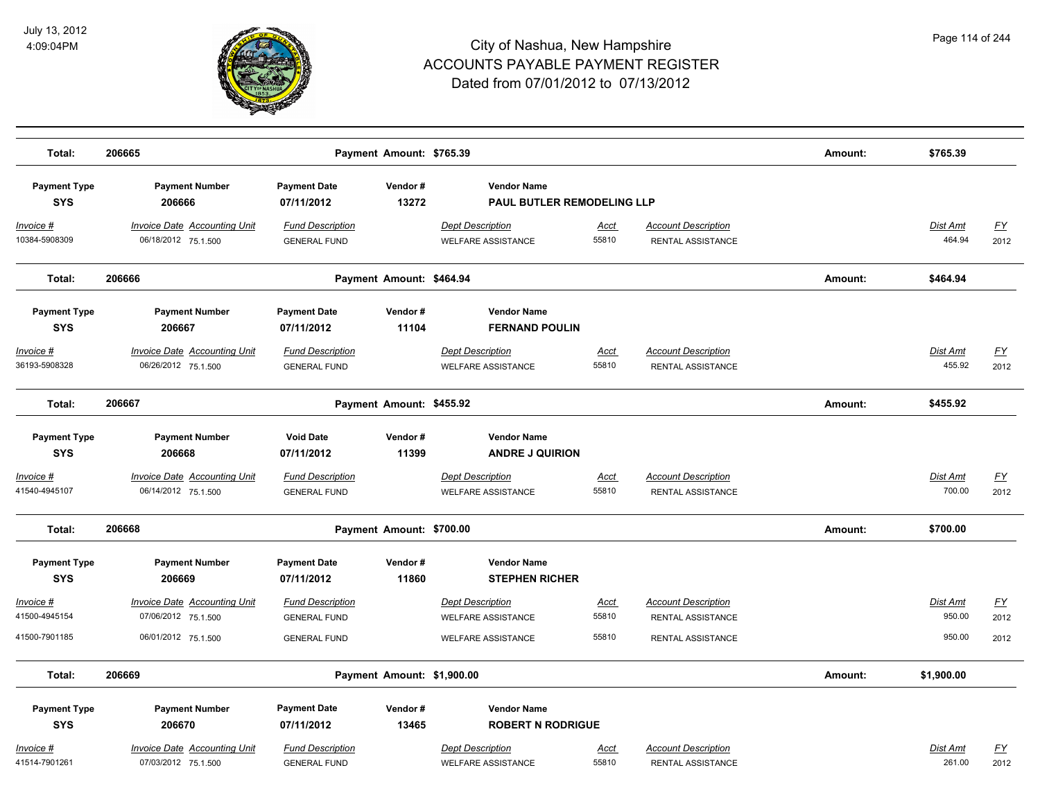

| Total:                            | 206665                                                     |                                                | Payment Amount: \$765.39   |                                                      |                      |                                                  | Amount: | \$765.39                  |                   |
|-----------------------------------|------------------------------------------------------------|------------------------------------------------|----------------------------|------------------------------------------------------|----------------------|--------------------------------------------------|---------|---------------------------|-------------------|
| <b>Payment Type</b><br><b>SYS</b> | <b>Payment Number</b><br>206666                            | <b>Payment Date</b><br>07/11/2012              | Vendor#<br>13272           | <b>Vendor Name</b><br>PAUL BUTLER REMODELING LLP     |                      |                                                  |         |                           |                   |
| $Invoice$ #<br>10384-5908309      | <b>Invoice Date Accounting Unit</b><br>06/18/2012 75.1.500 | <b>Fund Description</b><br><b>GENERAL FUND</b> |                            | <b>Dept Description</b><br><b>WELFARE ASSISTANCE</b> | <u>Acct</u><br>55810 | <b>Account Description</b><br>RENTAL ASSISTANCE  |         | <u>Dist Amt</u><br>464.94 | <u>FY</u><br>2012 |
| Total:                            | 206666                                                     |                                                | Payment Amount: \$464.94   |                                                      |                      |                                                  | Amount: | \$464.94                  |                   |
| <b>Payment Type</b><br><b>SYS</b> | <b>Payment Number</b><br>206667                            | <b>Payment Date</b><br>07/11/2012              | Vendor#<br>11104           | <b>Vendor Name</b><br><b>FERNAND POULIN</b>          |                      |                                                  |         |                           |                   |
| Invoice #<br>36193-5908328        | <b>Invoice Date Accounting Unit</b><br>06/26/2012 75.1.500 | <b>Fund Description</b><br><b>GENERAL FUND</b> |                            | <b>Dept Description</b><br><b>WELFARE ASSISTANCE</b> | Acct<br>55810        | <b>Account Description</b><br>RENTAL ASSISTANCE. |         | Dist Amt<br>455.92        | <u>FY</u><br>2012 |
| Total:                            | 206667                                                     |                                                | Payment Amount: \$455.92   |                                                      |                      |                                                  | Amount: | \$455.92                  |                   |
| <b>Payment Type</b><br><b>SYS</b> | <b>Payment Number</b><br>206668                            | <b>Void Date</b><br>07/11/2012                 | Vendor#<br>11399           | <b>Vendor Name</b><br><b>ANDRE J QUIRION</b>         |                      |                                                  |         |                           |                   |
| <b>Invoice #</b><br>41540-4945107 | <b>Invoice Date Accounting Unit</b><br>06/14/2012 75.1.500 | <b>Fund Description</b><br><b>GENERAL FUND</b> |                            | <b>Dept Description</b><br><b>WELFARE ASSISTANCE</b> | <u>Acct</u><br>55810 | <b>Account Description</b><br>RENTAL ASSISTANCE  |         | Dist Amt<br>700.00        | <u>FY</u><br>2012 |
| Total:                            | 206668                                                     |                                                | Payment Amount: \$700.00   |                                                      |                      |                                                  | Amount: | \$700.00                  |                   |
| <b>Payment Type</b><br><b>SYS</b> | <b>Payment Number</b><br>206669                            | <b>Payment Date</b><br>07/11/2012              | Vendor#<br>11860           | <b>Vendor Name</b><br><b>STEPHEN RICHER</b>          |                      |                                                  |         |                           |                   |
| Invoice #<br>41500-4945154        | Invoice Date Accounting Unit<br>07/06/2012 75.1.500        | <b>Fund Description</b><br><b>GENERAL FUND</b> |                            | <b>Dept Description</b><br><b>WELFARE ASSISTANCE</b> | <u>Acct</u><br>55810 | <b>Account Description</b><br>RENTAL ASSISTANCE  |         | Dist Amt<br>950.00        | <u>FY</u><br>2012 |
| 41500-7901185                     | 06/01/2012 75.1.500                                        | <b>GENERAL FUND</b>                            |                            | <b>WELFARE ASSISTANCE</b>                            | 55810                | RENTAL ASSISTANCE                                |         | 950.00                    | 2012              |
| Total:                            | 206669                                                     |                                                | Payment Amount: \$1,900.00 |                                                      |                      |                                                  | Amount: | \$1,900.00                |                   |
| <b>Payment Type</b><br><b>SYS</b> | <b>Payment Number</b><br>206670                            | <b>Payment Date</b><br>07/11/2012              | Vendor#<br>13465           | <b>Vendor Name</b><br><b>ROBERT N RODRIGUE</b>       |                      |                                                  |         |                           |                   |
| Invoice #<br>41514-7901261        | <b>Invoice Date Accounting Unit</b><br>07/03/2012 75.1.500 | <b>Fund Description</b><br><b>GENERAL FUND</b> |                            | <b>Dept Description</b><br><b>WELFARE ASSISTANCE</b> | <b>Acct</b><br>55810 | <b>Account Description</b><br>RENTAL ASSISTANCE  |         | Dist Amt<br>261.00        | <u>FY</u><br>2012 |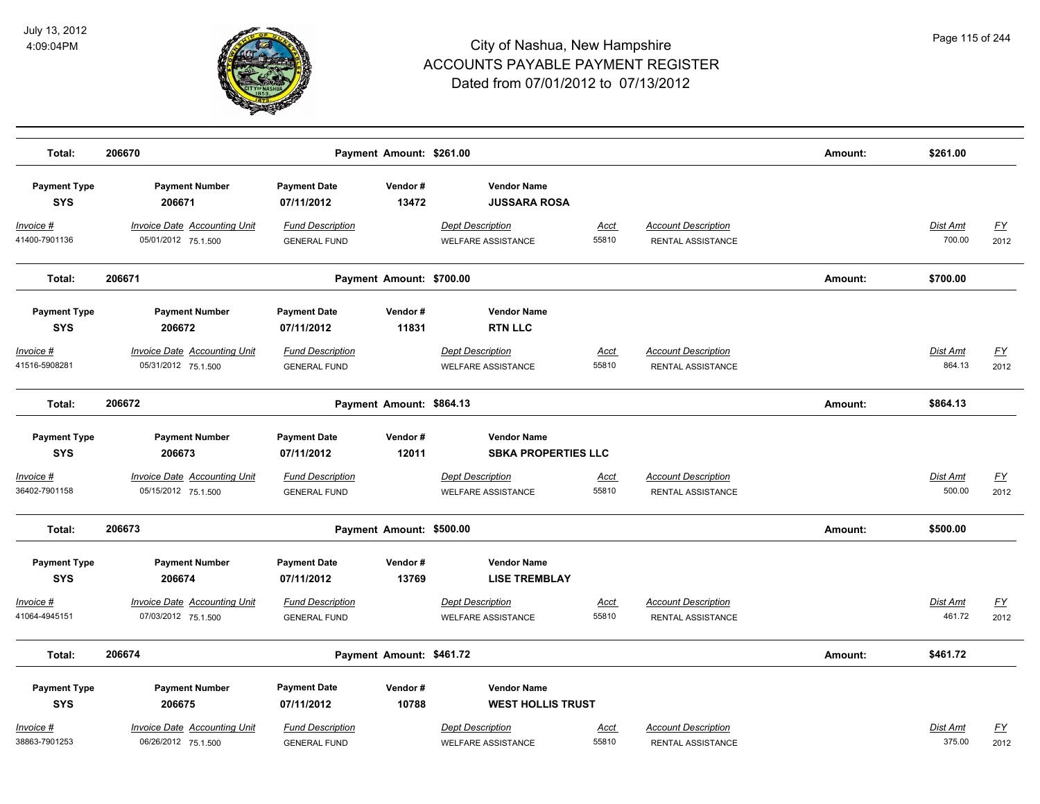

| Total:                             | 206670                                                     | Payment Amount: \$261.00                       |                  |                                                      |                      |                                                 | Amount: | \$261.00                  |                   |
|------------------------------------|------------------------------------------------------------|------------------------------------------------|------------------|------------------------------------------------------|----------------------|-------------------------------------------------|---------|---------------------------|-------------------|
| <b>Payment Type</b><br><b>SYS</b>  | <b>Payment Number</b><br>206671                            | <b>Payment Date</b><br>07/11/2012              | Vendor#<br>13472 | <b>Vendor Name</b><br><b>JUSSARA ROSA</b>            |                      |                                                 |         |                           |                   |
| <u>Invoice #</u><br>41400-7901136  | <b>Invoice Date Accounting Unit</b><br>05/01/2012 75.1.500 | <b>Fund Description</b><br><b>GENERAL FUND</b> |                  | <b>Dept Description</b><br><b>WELFARE ASSISTANCE</b> | <u>Acct</u><br>55810 | <b>Account Description</b><br>RENTAL ASSISTANCE |         | <b>Dist Amt</b><br>700.00 | <u>FY</u><br>2012 |
| Total:                             | 206671                                                     | Payment Amount: \$700.00                       |                  |                                                      |                      |                                                 | Amount: | \$700.00                  |                   |
| <b>Payment Type</b><br><b>SYS</b>  | <b>Payment Number</b><br>206672                            | <b>Payment Date</b><br>07/11/2012              | Vendor#<br>11831 | <b>Vendor Name</b><br><b>RTN LLC</b>                 |                      |                                                 |         |                           |                   |
| Invoice #<br>41516-5908281         | <b>Invoice Date Accounting Unit</b><br>05/31/2012 75.1.500 | <b>Fund Description</b><br><b>GENERAL FUND</b> |                  | <b>Dept Description</b><br><b>WELFARE ASSISTANCE</b> | Acct<br>55810        | <b>Account Description</b><br>RENTAL ASSISTANCE |         | Dist Amt<br>864.13        | <u>FY</u><br>2012 |
| Total:                             | 206672                                                     | Payment Amount: \$864.13                       |                  |                                                      |                      |                                                 | Amount: | \$864.13                  |                   |
| <b>Payment Type</b><br><b>SYS</b>  | <b>Payment Number</b><br>206673                            | <b>Payment Date</b><br>07/11/2012              | Vendor#<br>12011 | <b>Vendor Name</b><br><b>SBKA PROPERTIES LLC</b>     |                      |                                                 |         |                           |                   |
| <u> Invoice #</u><br>36402-7901158 | <b>Invoice Date Accounting Unit</b><br>05/15/2012 75.1.500 | <b>Fund Description</b><br><b>GENERAL FUND</b> |                  | <b>Dept Description</b><br><b>WELFARE ASSISTANCE</b> | <u>Acct</u><br>55810 | <b>Account Description</b><br>RENTAL ASSISTANCE |         | Dist Amt<br>500.00        | <u>FY</u><br>2012 |
| Total:                             | 206673                                                     | Payment Amount: \$500.00                       |                  |                                                      |                      |                                                 | Amount: | \$500.00                  |                   |
| <b>Payment Type</b><br><b>SYS</b>  | <b>Payment Number</b><br>206674                            | <b>Payment Date</b><br>07/11/2012              | Vendor#<br>13769 | <b>Vendor Name</b><br><b>LISE TREMBLAY</b>           |                      |                                                 |         |                           |                   |
| <u> Invoice #</u><br>41064-4945151 | <b>Invoice Date Accounting Unit</b><br>07/03/2012 75.1.500 | <b>Fund Description</b><br><b>GENERAL FUND</b> |                  | <b>Dept Description</b><br><b>WELFARE ASSISTANCE</b> | <u>Acct</u><br>55810 | <b>Account Description</b><br>RENTAL ASSISTANCE |         | Dist Amt<br>461.72        | <u>FY</u><br>2012 |
| Total:                             | 206674                                                     | Payment Amount: \$461.72                       |                  |                                                      |                      |                                                 | Amount: | \$461.72                  |                   |
| <b>Payment Type</b><br><b>SYS</b>  | <b>Payment Number</b><br>206675                            | <b>Payment Date</b><br>07/11/2012              | Vendor#<br>10788 | <b>Vendor Name</b><br><b>WEST HOLLIS TRUST</b>       |                      |                                                 |         |                           |                   |
| Invoice #<br>38863-7901253         | <b>Invoice Date Accounting Unit</b><br>06/26/2012 75.1.500 | <b>Fund Description</b><br><b>GENERAL FUND</b> |                  | <b>Dept Description</b><br><b>WELFARE ASSISTANCE</b> | Acct<br>55810        | <b>Account Description</b><br>RENTAL ASSISTANCE |         | Dist Amt<br>375.00        | <u>FY</u><br>2012 |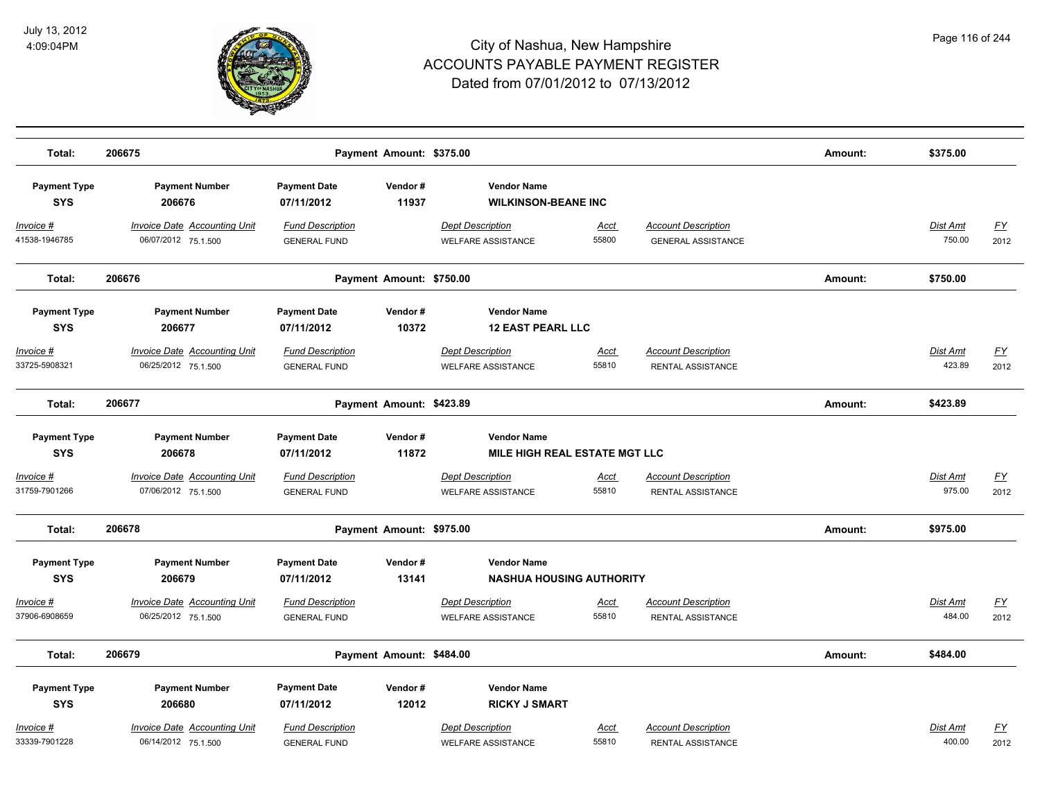

| Total:              | 206675                              |                         | Payment Amount: \$375.00 |                                 |             |                            | Amount: | \$375.00        |           |
|---------------------|-------------------------------------|-------------------------|--------------------------|---------------------------------|-------------|----------------------------|---------|-----------------|-----------|
|                     |                                     |                         |                          |                                 |             |                            |         |                 |           |
| <b>Payment Type</b> | <b>Payment Number</b>               | <b>Payment Date</b>     | Vendor#                  | <b>Vendor Name</b>              |             |                            |         |                 |           |
| <b>SYS</b>          | 206676                              | 07/11/2012              | 11937                    | <b>WILKINSON-BEANE INC</b>      |             |                            |         |                 |           |
| Invoice #           | <b>Invoice Date Accounting Unit</b> | <b>Fund Description</b> |                          | <b>Dept Description</b>         | <u>Acct</u> | <b>Account Description</b> |         | Dist Amt        | <u>FY</u> |
| 41538-1946785       | 06/07/2012 75.1.500                 | <b>GENERAL FUND</b>     |                          | <b>WELFARE ASSISTANCE</b>       | 55800       | <b>GENERAL ASSISTANCE</b>  |         | 750.00          | 2012      |
| Total:              | 206676                              |                         | Payment Amount: \$750.00 |                                 |             |                            | Amount: | \$750.00        |           |
| <b>Payment Type</b> | <b>Payment Number</b>               | <b>Payment Date</b>     | Vendor#                  | <b>Vendor Name</b>              |             |                            |         |                 |           |
| <b>SYS</b>          | 206677                              | 07/11/2012              | 10372                    | <b>12 EAST PEARL LLC</b>        |             |                            |         |                 |           |
| Invoice #           | <b>Invoice Date Accounting Unit</b> | <b>Fund Description</b> |                          | <b>Dept Description</b>         | Acct        | <b>Account Description</b> |         | Dist Amt        | <u>FY</u> |
| 33725-5908321       | 06/25/2012 75.1.500                 | <b>GENERAL FUND</b>     |                          | <b>WELFARE ASSISTANCE</b>       | 55810       | RENTAL ASSISTANCE          |         | 423.89          | 2012      |
| Total:              | 206677                              |                         | Payment Amount: \$423.89 |                                 |             |                            | Amount: | \$423.89        |           |
| <b>Payment Type</b> | <b>Payment Number</b>               | <b>Payment Date</b>     | Vendor#                  | <b>Vendor Name</b>              |             |                            |         |                 |           |
| <b>SYS</b>          | 206678                              | 07/11/2012              | 11872                    | MILE HIGH REAL ESTATE MGT LLC   |             |                            |         |                 |           |
| <u>Invoice #</u>    | <b>Invoice Date Accounting Unit</b> | <b>Fund Description</b> |                          | <b>Dept Description</b>         | <u>Acct</u> | <b>Account Description</b> |         | <b>Dist Amt</b> | <u>FY</u> |
| 31759-7901266       | 07/06/2012 75.1.500                 | <b>GENERAL FUND</b>     |                          | <b>WELFARE ASSISTANCE</b>       | 55810       | RENTAL ASSISTANCE          |         | 975.00          | 2012      |
| Total:              | 206678                              |                         | Payment Amount: \$975.00 |                                 |             |                            | Amount: | \$975.00        |           |
| <b>Payment Type</b> | <b>Payment Number</b>               | <b>Payment Date</b>     | Vendor#                  | <b>Vendor Name</b>              |             |                            |         |                 |           |
| <b>SYS</b>          | 206679                              | 07/11/2012              | 13141                    | <b>NASHUA HOUSING AUTHORITY</b> |             |                            |         |                 |           |
| Invoice #           | <b>Invoice Date Accounting Unit</b> | <b>Fund Description</b> |                          | <b>Dept Description</b>         | <u>Acct</u> | <b>Account Description</b> |         | Dist Amt        | <u>FY</u> |
| 37906-6908659       | 06/25/2012 75.1.500                 | <b>GENERAL FUND</b>     |                          | <b>WELFARE ASSISTANCE</b>       | 55810       | RENTAL ASSISTANCE          |         | 484.00          | 2012      |
| Total:              | 206679                              |                         | Payment Amount: \$484.00 |                                 |             |                            | Amount: | \$484.00        |           |
| <b>Payment Type</b> | <b>Payment Number</b>               | <b>Payment Date</b>     | Vendor#                  | <b>Vendor Name</b>              |             |                            |         |                 |           |
| <b>SYS</b>          | 206680                              | 07/11/2012              | 12012                    | <b>RICKY J SMART</b>            |             |                            |         |                 |           |
| Invoice #           | <b>Invoice Date Accounting Unit</b> | <b>Fund Description</b> |                          | <b>Dept Description</b>         | Acct        | <b>Account Description</b> |         | Dist Amt        | <u>FY</u> |
| 33339-7901228       | 06/14/2012 75.1.500                 | <b>GENERAL FUND</b>     |                          | <b>WELFARE ASSISTANCE</b>       | 55810       | RENTAL ASSISTANCE          |         | 400.00          | 2012      |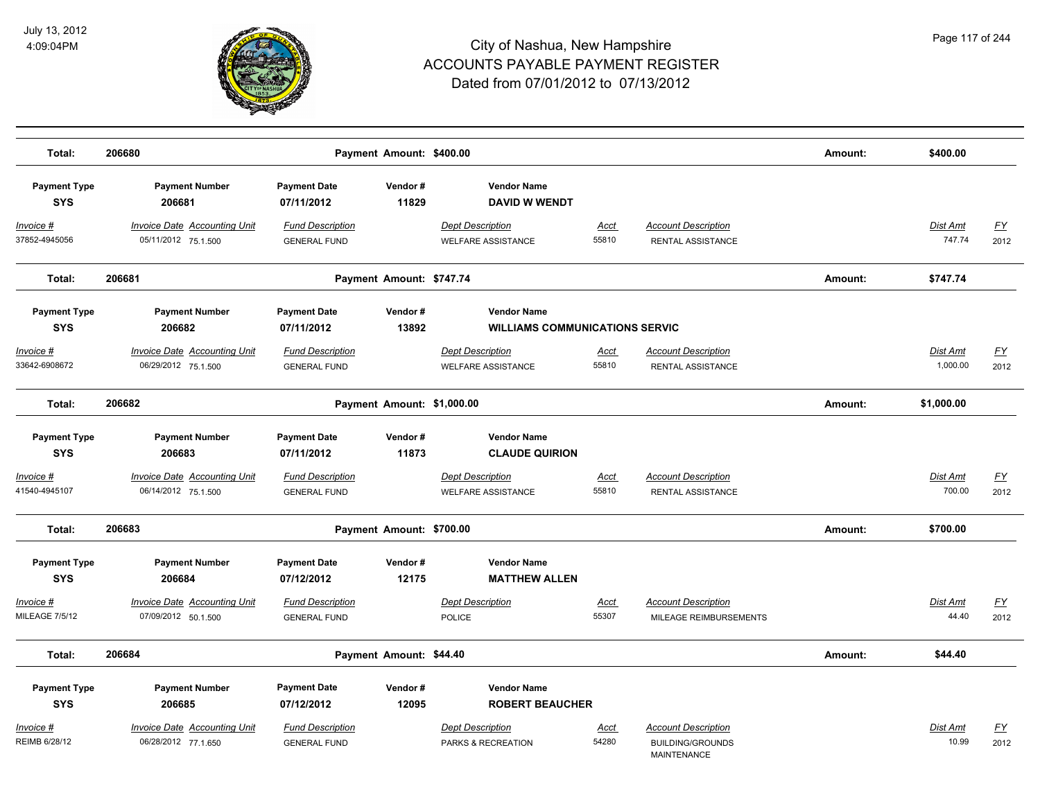

| Total:                                     | 206680                                                     |                                                | Payment Amount: \$400.00   |                                                             |                      |                                                                             | Amount: | \$400.00                  |                   |
|--------------------------------------------|------------------------------------------------------------|------------------------------------------------|----------------------------|-------------------------------------------------------------|----------------------|-----------------------------------------------------------------------------|---------|---------------------------|-------------------|
| <b>Payment Type</b><br><b>SYS</b>          | <b>Payment Number</b><br>206681                            | <b>Payment Date</b><br>07/11/2012              | Vendor#<br>11829           | <b>Vendor Name</b><br><b>DAVID W WENDT</b>                  |                      |                                                                             |         |                           |                   |
| <u>Invoice #</u><br>37852-4945056          | <b>Invoice Date Accounting Unit</b><br>05/11/2012 75.1.500 | <b>Fund Description</b><br><b>GENERAL FUND</b> |                            | <b>Dept Description</b><br><b>WELFARE ASSISTANCE</b>        | <u>Acct</u><br>55810 | <b>Account Description</b><br>RENTAL ASSISTANCE                             |         | <b>Dist Amt</b><br>747.74 | <u>FY</u><br>2012 |
| Total:                                     | 206681                                                     |                                                | Payment Amount: \$747.74   |                                                             |                      |                                                                             | Amount: | \$747.74                  |                   |
| <b>Payment Type</b><br><b>SYS</b>          | <b>Payment Number</b><br>206682                            | <b>Payment Date</b><br>07/11/2012              | Vendor#<br>13892           | <b>Vendor Name</b><br><b>WILLIAMS COMMUNICATIONS SERVIC</b> |                      |                                                                             |         |                           |                   |
| <u> Invoice #</u><br>33642-6908672         | <b>Invoice Date Accounting Unit</b><br>06/29/2012 75.1.500 | <b>Fund Description</b><br><b>GENERAL FUND</b> |                            | <b>Dept Description</b><br><b>WELFARE ASSISTANCE</b>        | <u>Acct</u><br>55810 | <b>Account Description</b><br>RENTAL ASSISTANCE                             |         | Dist Amt<br>1,000.00      | <u>FY</u><br>2012 |
| Total:                                     | 206682                                                     |                                                | Payment Amount: \$1,000.00 |                                                             |                      |                                                                             | Amount: | \$1,000.00                |                   |
| <b>Payment Type</b><br><b>SYS</b>          | <b>Payment Number</b><br>206683                            | <b>Payment Date</b><br>07/11/2012              | Vendor#<br>11873           | <b>Vendor Name</b><br><b>CLAUDE QUIRION</b>                 |                      |                                                                             |         |                           |                   |
| Invoice #<br>41540-4945107                 | <b>Invoice Date Accounting Unit</b><br>06/14/2012 75.1.500 | <b>Fund Description</b><br><b>GENERAL FUND</b> |                            | <b>Dept Description</b><br>WELFARE ASSISTANCE               | Acct<br>55810        | <b>Account Description</b><br>RENTAL ASSISTANCE                             |         | Dist Amt<br>700.00        | <u>FY</u><br>2012 |
| Total:                                     | 206683                                                     |                                                | Payment Amount: \$700.00   |                                                             |                      |                                                                             | Amount: | \$700.00                  |                   |
| <b>Payment Type</b><br><b>SYS</b>          | <b>Payment Number</b><br>206684                            | <b>Payment Date</b><br>07/12/2012              | Vendor#<br>12175           | <b>Vendor Name</b><br><b>MATTHEW ALLEN</b>                  |                      |                                                                             |         |                           |                   |
| <u> Invoice #</u><br><b>MILEAGE 7/5/12</b> | <b>Invoice Date Accounting Unit</b><br>07/09/2012 50.1.500 | <b>Fund Description</b><br><b>GENERAL FUND</b> |                            | <b>Dept Description</b><br><b>POLICE</b>                    | <u>Acct</u><br>55307 | <b>Account Description</b><br>MILEAGE REIMBURSEMENTS                        |         | Dist Amt<br>44.40         | <u>FY</u><br>2012 |
| Total:                                     | 206684                                                     |                                                | Payment Amount: \$44.40    |                                                             |                      |                                                                             | Amount: | \$44.40                   |                   |
| <b>Payment Type</b><br><b>SYS</b>          | <b>Payment Number</b><br>206685                            | <b>Payment Date</b><br>07/12/2012              | Vendor#<br>12095           | <b>Vendor Name</b><br><b>ROBERT BEAUCHER</b>                |                      |                                                                             |         |                           |                   |
| Invoice #<br>REIMB 6/28/12                 | <b>Invoice Date Accounting Unit</b><br>06/28/2012 77.1.650 | <b>Fund Description</b><br><b>GENERAL FUND</b> |                            | <b>Dept Description</b><br>PARKS & RECREATION               | <b>Acct</b><br>54280 | <b>Account Description</b><br><b>BUILDING/GROUNDS</b><br><b>MAINTENANCE</b> |         | Dist Amt<br>10.99         | <u>FY</u><br>2012 |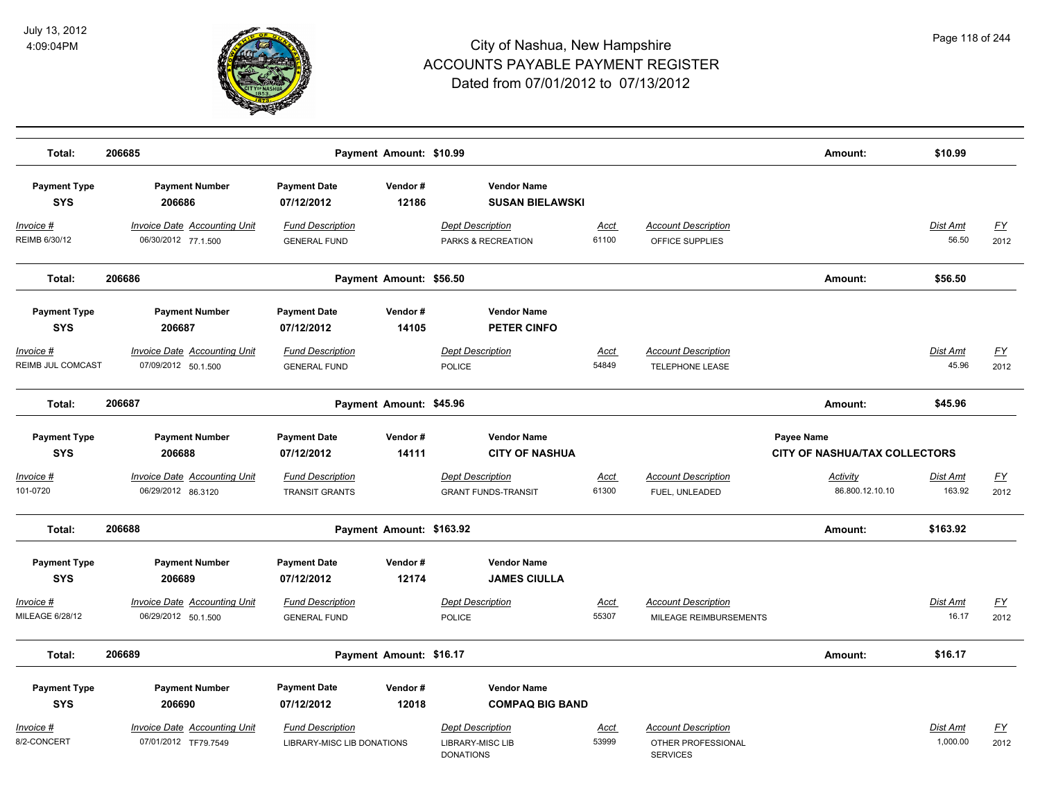

| Total:                               | 206685                                                     |                                                              | Payment Amount: \$10.99  |                                                                        |               |                                                                     | Amount:                                            | \$10.99              |                   |
|--------------------------------------|------------------------------------------------------------|--------------------------------------------------------------|--------------------------|------------------------------------------------------------------------|---------------|---------------------------------------------------------------------|----------------------------------------------------|----------------------|-------------------|
| <b>Payment Type</b><br><b>SYS</b>    | <b>Payment Number</b><br>206686                            | <b>Payment Date</b><br>07/12/2012                            | Vendor#<br>12186         | <b>Vendor Name</b><br><b>SUSAN BIELAWSKI</b>                           |               |                                                                     |                                                    |                      |                   |
| Invoice #<br>REIMB 6/30/12           | <b>Invoice Date Accounting Unit</b><br>06/30/2012 77.1.500 | <b>Fund Description</b><br><b>GENERAL FUND</b>               |                          | <b>Dept Description</b><br>PARKS & RECREATION                          | Acct<br>61100 | <b>Account Description</b><br>OFFICE SUPPLIES                       |                                                    | Dist Amt<br>56.50    | <u>FY</u><br>2012 |
| Total:                               | 206686                                                     |                                                              | Payment Amount: \$56.50  |                                                                        |               |                                                                     | Amount:                                            | \$56.50              |                   |
| <b>Payment Type</b><br><b>SYS</b>    | <b>Payment Number</b><br>206687                            | <b>Payment Date</b><br>07/12/2012                            | Vendor#<br>14105         | <b>Vendor Name</b><br>PETER CINFO                                      |               |                                                                     |                                                    |                      |                   |
| Invoice #<br>REIMB JUL COMCAST       | <b>Invoice Date Accounting Unit</b><br>07/09/2012 50.1.500 | <b>Fund Description</b><br><b>GENERAL FUND</b>               |                          | <b>Dept Description</b><br><b>POLICE</b>                               | Acct<br>54849 | <b>Account Description</b><br><b>TELEPHONE LEASE</b>                |                                                    | Dist Amt<br>45.96    | <u>FY</u><br>2012 |
| Total:                               | 206687                                                     |                                                              | Payment Amount: \$45.96  |                                                                        |               |                                                                     | Amount:                                            | \$45.96              |                   |
| <b>Payment Type</b><br><b>SYS</b>    | <b>Payment Number</b><br>206688                            | <b>Payment Date</b><br>07/12/2012                            | Vendor#<br>14111         | <b>Vendor Name</b><br><b>CITY OF NASHUA</b>                            |               |                                                                     | Payee Name<br><b>CITY OF NASHUA/TAX COLLECTORS</b> |                      |                   |
| Invoice #<br>101-0720                | <b>Invoice Date Accounting Unit</b><br>06/29/2012 86.3120  | <b>Fund Description</b><br><b>TRANSIT GRANTS</b>             |                          | <b>Dept Description</b><br><b>GRANT FUNDS-TRANSIT</b>                  | Acct<br>61300 | <b>Account Description</b><br>FUEL, UNLEADED                        | Activity<br>86.800.12.10.10                        | Dist Amt<br>163.92   | <u>FY</u><br>2012 |
| Total:                               | 206688                                                     |                                                              | Payment Amount: \$163.92 |                                                                        |               |                                                                     | Amount:                                            | \$163.92             |                   |
| <b>Payment Type</b><br><b>SYS</b>    | <b>Payment Number</b><br>206689                            | <b>Payment Date</b><br>07/12/2012                            | Vendor#<br>12174         | <b>Vendor Name</b><br><b>JAMES CIULLA</b>                              |               |                                                                     |                                                    |                      |                   |
| <u> Invoice #</u><br>MILEAGE 6/28/12 | <b>Invoice Date Accounting Unit</b><br>06/29/2012 50.1.500 | <b>Fund Description</b><br><b>GENERAL FUND</b>               |                          | <b>Dept Description</b><br><b>POLICE</b>                               | Acct<br>55307 | <b>Account Description</b><br>MILEAGE REIMBURSEMENTS                |                                                    | Dist Amt<br>16.17    | <u>FY</u><br>2012 |
| Total:                               | 206689                                                     |                                                              | Payment Amount: \$16.17  |                                                                        |               |                                                                     | Amount:                                            | \$16.17              |                   |
| <b>Payment Type</b><br><b>SYS</b>    | <b>Payment Number</b><br>206690                            | <b>Payment Date</b><br>07/12/2012                            | Vendor#<br>12018         | <b>Vendor Name</b><br><b>COMPAQ BIG BAND</b>                           |               |                                                                     |                                                    |                      |                   |
| Invoice #<br>8/2-CONCERT             | Invoice Date Accounting Unit<br>07/01/2012 TF79.7549       | <b>Fund Description</b><br><b>LIBRARY-MISC LIB DONATIONS</b> |                          | <b>Dept Description</b><br><b>LIBRARY-MISC LIB</b><br><b>DONATIONS</b> | Acct<br>53999 | <b>Account Description</b><br>OTHER PROFESSIONAL<br><b>SERVICES</b> |                                                    | Dist Amt<br>1,000.00 | <u>FY</u><br>2012 |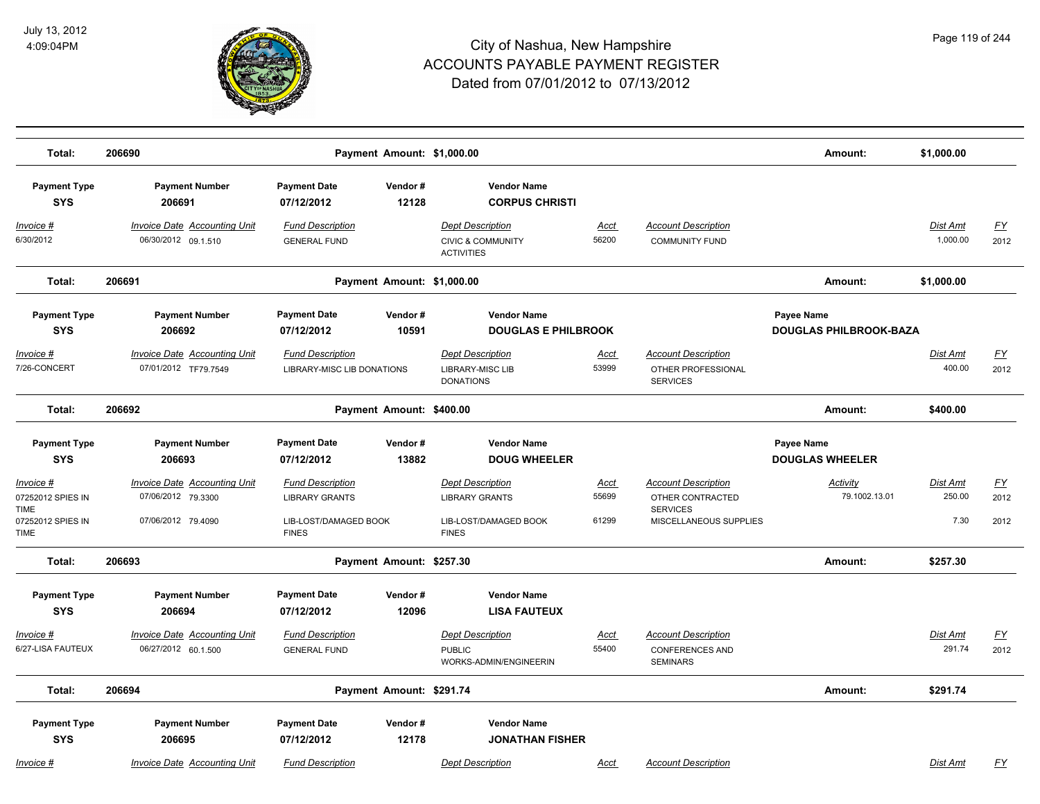

| Total:                                 | 206690                                                      |                                                       | Payment Amount: \$1,000.00 |                                                                              |                      |                                                                     | Amount:                                     | \$1,000.00                  |                   |
|----------------------------------------|-------------------------------------------------------------|-------------------------------------------------------|----------------------------|------------------------------------------------------------------------------|----------------------|---------------------------------------------------------------------|---------------------------------------------|-----------------------------|-------------------|
| <b>Payment Type</b><br><b>SYS</b>      | <b>Payment Number</b><br>206691                             | <b>Payment Date</b><br>07/12/2012                     | Vendor#<br>12128           | <b>Vendor Name</b><br><b>CORPUS CHRISTI</b>                                  |                      |                                                                     |                                             |                             |                   |
| <u> Invoice #</u><br>6/30/2012         | <b>Invoice Date Accounting Unit</b><br>06/30/2012 09.1.510  | <b>Fund Description</b><br><b>GENERAL FUND</b>        |                            | <b>Dept Description</b><br><b>CIVIC &amp; COMMUNITY</b><br><b>ACTIVITIES</b> | <b>Acct</b><br>56200 | <b>Account Description</b><br><b>COMMUNITY FUND</b>                 |                                             | <b>Dist Amt</b><br>1,000.00 | <u>FY</u><br>2012 |
| Total:                                 | 206691                                                      |                                                       | Payment Amount: \$1,000.00 |                                                                              |                      |                                                                     | Amount:                                     | \$1,000.00                  |                   |
| <b>Payment Type</b><br><b>SYS</b>      | <b>Payment Number</b><br>206692                             | <b>Payment Date</b><br>07/12/2012                     | Vendor#<br>10591           | <b>Vendor Name</b><br><b>DOUGLAS E PHILBROOK</b>                             |                      |                                                                     | Payee Name<br><b>DOUGLAS PHILBROOK-BAZA</b> |                             |                   |
| <u> Invoice #</u><br>7/26-CONCERT      | <b>Invoice Date Accounting Unit</b><br>07/01/2012 TF79.7549 | <b>Fund Description</b><br>LIBRARY-MISC LIB DONATIONS |                            | <b>Dept Description</b><br><b>LIBRARY-MISC LIB</b><br><b>DONATIONS</b>       | <u>Acct</u><br>53999 | <b>Account Description</b><br>OTHER PROFESSIONAL<br><b>SERVICES</b> |                                             | Dist Amt<br>400.00          | <u>FY</u><br>2012 |
| Total:                                 | 206692                                                      |                                                       | Payment Amount: \$400.00   |                                                                              |                      |                                                                     | Amount:                                     | \$400.00                    |                   |
| <b>Payment Type</b><br><b>SYS</b>      | <b>Payment Number</b><br>206693                             | <b>Payment Date</b><br>07/12/2012                     | Vendor#<br>13882           | <b>Vendor Name</b><br><b>DOUG WHEELER</b>                                    |                      |                                                                     | Payee Name<br><b>DOUGLAS WHEELER</b>        |                             |                   |
|                                        |                                                             |                                                       |                            |                                                                              |                      |                                                                     |                                             |                             |                   |
| Invoice #<br>07252012 SPIES IN<br>TIME | Invoice Date Accounting Unit<br>07/06/2012 79.3300          | <b>Fund Description</b><br><b>LIBRARY GRANTS</b>      |                            | <b>Dept Description</b><br><b>LIBRARY GRANTS</b>                             | <b>Acct</b><br>55699 | <b>Account Description</b><br>OTHER CONTRACTED<br><b>SERVICES</b>   | Activity<br>79.1002.13.01                   | Dist Amt<br>250.00          | <u>FY</u><br>2012 |
| 07252012 SPIES IN<br>TIME              | 07/06/2012 79.4090                                          | LIB-LOST/DAMAGED BOOK<br><b>FINES</b>                 |                            | LIB-LOST/DAMAGED BOOK<br><b>FINES</b>                                        | 61299                | MISCELLANEOUS SUPPLIES                                              |                                             | 7.30                        | 2012              |
| Total:                                 | 206693                                                      |                                                       | Payment Amount: \$257.30   |                                                                              |                      |                                                                     | Amount:                                     | \$257.30                    |                   |
| <b>Payment Type</b><br><b>SYS</b>      | <b>Payment Number</b><br>206694                             | <b>Payment Date</b><br>07/12/2012                     | Vendor#<br>12096           | <b>Vendor Name</b><br><b>LISA FAUTEUX</b>                                    |                      |                                                                     |                                             |                             |                   |
| <u>Invoice</u> #                       | <b>Invoice Date Accounting Unit</b>                         | <b>Fund Description</b>                               |                            | <b>Dept Description</b>                                                      | <b>Acct</b>          | <b>Account Description</b>                                          |                                             | Dist Amt                    | <u>FY</u>         |
| 6/27-LISA FAUTEUX                      | 06/27/2012 60.1.500                                         | <b>GENERAL FUND</b>                                   |                            | <b>PUBLIC</b><br>WORKS-ADMIN/ENGINEERIN                                      | 55400                | <b>CONFERENCES AND</b><br><b>SEMINARS</b>                           |                                             | 291.74                      | 2012              |
| Total:                                 | 206694                                                      |                                                       | Payment Amount: \$291.74   |                                                                              |                      |                                                                     | Amount:                                     | \$291.74                    |                   |
| <b>Payment Type</b><br><b>SYS</b>      | <b>Payment Number</b><br>206695                             | <b>Payment Date</b><br>07/12/2012                     | Vendor#<br>12178           | <b>Vendor Name</b><br><b>JONATHAN FISHER</b>                                 |                      |                                                                     |                                             |                             |                   |
| Invoice #                              | <b>Invoice Date Accounting Unit</b>                         | <b>Fund Description</b>                               |                            | <b>Dept Description</b>                                                      | Acct                 | <b>Account Description</b>                                          |                                             | <b>Dist Amt</b>             | FY                |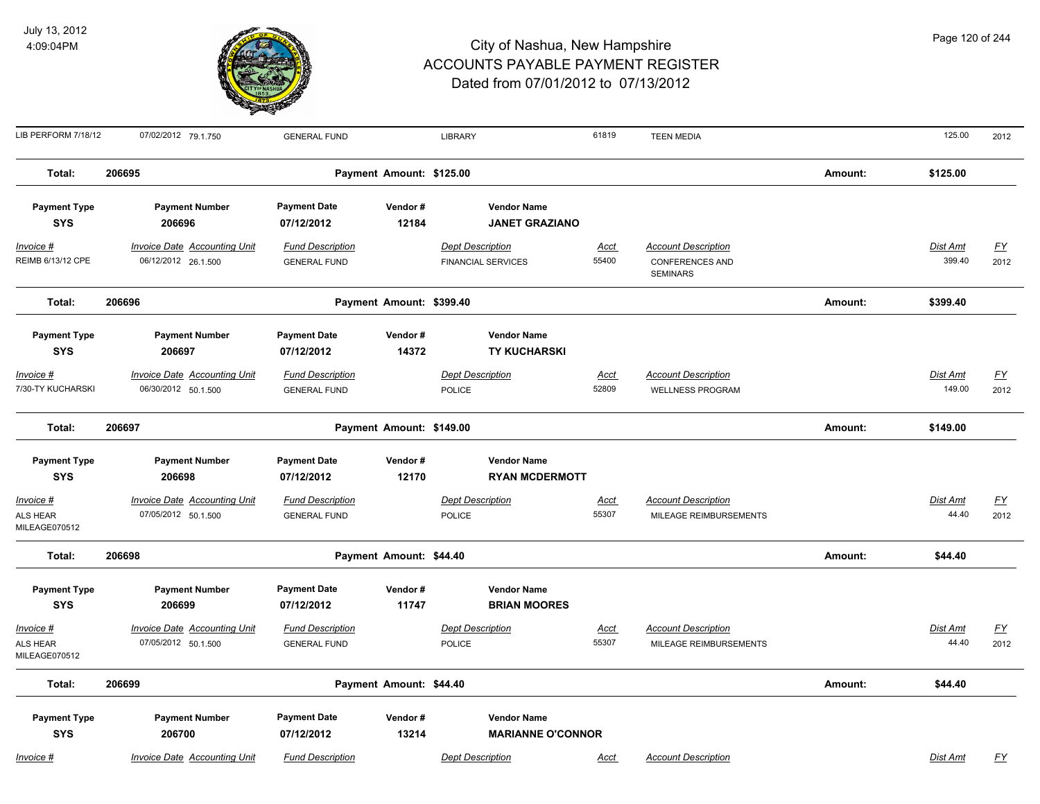

| LIB PERFORM 7/18/12                            | 07/02/2012 79.1.750                                             | <b>GENERAL FUND</b>                                          |                          | <b>LIBRARY</b>                                                       | 61819                | <b>TEEN MEDIA</b>                                                       |         | 125.00                    | 2012              |
|------------------------------------------------|-----------------------------------------------------------------|--------------------------------------------------------------|--------------------------|----------------------------------------------------------------------|----------------------|-------------------------------------------------------------------------|---------|---------------------------|-------------------|
| Total:                                         | 206695                                                          |                                                              | Payment Amount: \$125.00 |                                                                      |                      |                                                                         | Amount: | \$125.00                  |                   |
| <b>Payment Type</b><br><b>SYS</b>              | <b>Payment Number</b><br>206696                                 | <b>Payment Date</b><br>07/12/2012                            | Vendor#<br>12184         | <b>Vendor Name</b><br><b>JANET GRAZIANO</b>                          |                      |                                                                         |         |                           |                   |
| <u>Invoice #</u><br>REIMB 6/13/12 CPE          | <b>Invoice Date Accounting Unit</b><br>06/12/2012 26.1.500      | <b>Fund Description</b><br><b>GENERAL FUND</b>               |                          | <b>Dept Description</b><br><b>FINANCIAL SERVICES</b>                 | <u>Acct</u><br>55400 | <b>Account Description</b><br><b>CONFERENCES AND</b><br><b>SEMINARS</b> |         | <b>Dist Amt</b><br>399.40 | <u>FY</u><br>2012 |
| Total:                                         | 206696                                                          |                                                              | Payment Amount: \$399.40 |                                                                      |                      |                                                                         | Amount: | \$399.40                  |                   |
| <b>Payment Type</b><br><b>SYS</b><br>Invoice # | <b>Payment Number</b><br>206697<br>Invoice Date Accounting Unit | <b>Payment Date</b><br>07/12/2012<br><b>Fund Description</b> | Vendor#<br>14372         | <b>Vendor Name</b><br><b>TY KUCHARSKI</b><br><b>Dept Description</b> | Acct                 | <b>Account Description</b>                                              |         | Dist Amt                  | EY                |
| 7/30-TY KUCHARSKI                              | 06/30/2012 50.1.500                                             | <b>GENERAL FUND</b>                                          |                          | POLICE                                                               | 52809                | <b>WELLNESS PROGRAM</b>                                                 |         | 149.00                    | 2012              |
| Total:                                         | 206697                                                          |                                                              | Payment Amount: \$149.00 |                                                                      |                      |                                                                         | Amount: | \$149.00                  |                   |
| <b>Payment Type</b><br><b>SYS</b>              | <b>Payment Number</b><br>206698                                 | <b>Payment Date</b><br>07/12/2012                            | Vendor#<br>12170         | <b>Vendor Name</b><br><b>RYAN MCDERMOTT</b>                          |                      |                                                                         |         |                           |                   |
| <u>Invoice #</u><br>ALS HEAR<br>MILEAGE070512  | Invoice Date Accounting Unit<br>07/05/2012 50.1.500             | <b>Fund Description</b><br><b>GENERAL FUND</b>               |                          | <b>Dept Description</b><br>POLICE                                    | <u>Acct</u><br>55307 | <b>Account Description</b><br>MILEAGE REIMBURSEMENTS                    |         | Dist Amt<br>44.40         | EY<br>2012        |
| Total:                                         | 206698                                                          |                                                              | Payment Amount: \$44.40  |                                                                      |                      |                                                                         | Amount: | \$44.40                   |                   |
| <b>Payment Type</b><br><b>SYS</b>              | <b>Payment Number</b><br>206699                                 | <b>Payment Date</b><br>07/12/2012                            | Vendor#<br>11747         | <b>Vendor Name</b><br><b>BRIAN MOORES</b>                            |                      |                                                                         |         |                           |                   |
| <b>Invoice #</b><br>ALS HEAR<br>MILEAGE070512  | <b>Invoice Date Accounting Unit</b><br>07/05/2012 50.1.500      | <b>Fund Description</b><br><b>GENERAL FUND</b>               |                          | <b>Dept Description</b><br><b>POLICE</b>                             | <u>Acct</u><br>55307 | <b>Account Description</b><br>MILEAGE REIMBURSEMENTS                    |         | <b>Dist Amt</b><br>44.40  | EY<br>2012        |
| Total:                                         | 206699                                                          |                                                              | Payment Amount: \$44.40  |                                                                      |                      |                                                                         | Amount: | \$44.40                   |                   |
| <b>Payment Type</b><br><b>SYS</b>              | <b>Payment Number</b><br>206700                                 | <b>Payment Date</b><br>07/12/2012                            | Vendor#<br>13214         | <b>Vendor Name</b><br><b>MARIANNE O'CONNOR</b>                       |                      |                                                                         |         |                           |                   |
| Invoice #                                      | Invoice Date Accounting Unit                                    | <b>Fund Description</b>                                      |                          | <b>Dept Description</b>                                              | Acct                 | <b>Account Description</b>                                              |         | Dist Amt                  | FY                |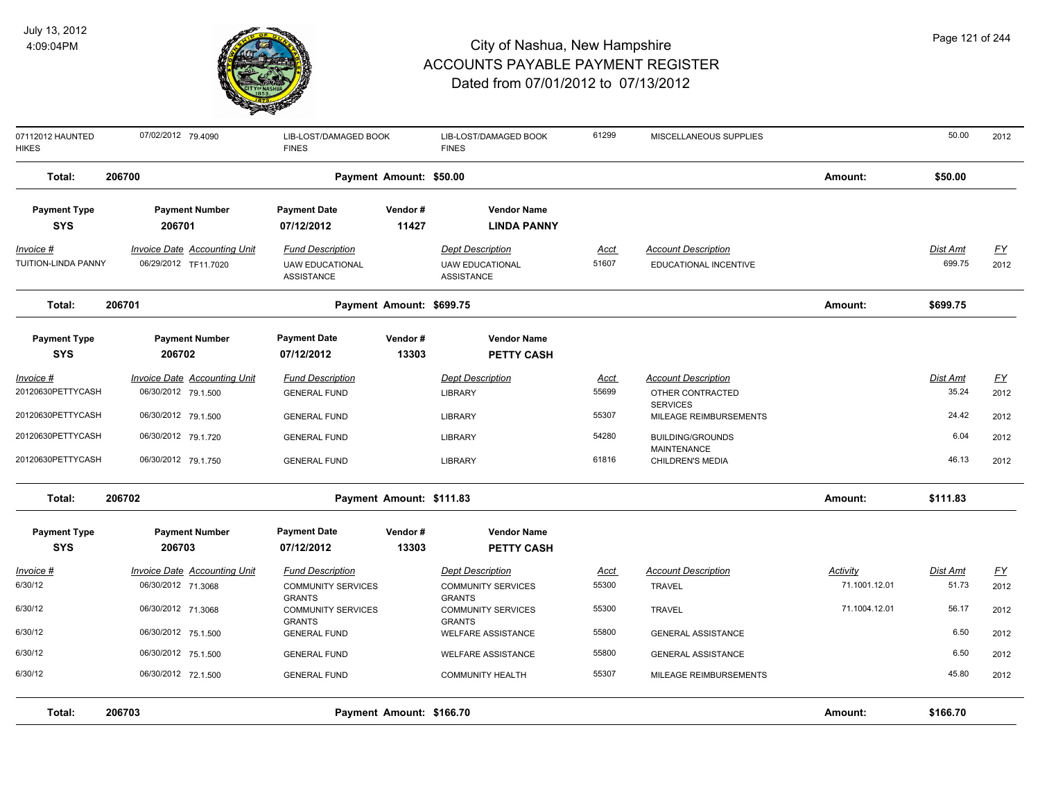

| 07112012 HAUNTED<br>HIKES               | 07/02/2012 79.4090                                          | LIB-LOST/DAMAGED BOOK<br><b>FINES</b>                                  |                          | LIB-LOST/DAMAGED BOOK<br><b>FINES</b>                                  | 61299                | MISCELLANEOUS SUPPLIES                              |               | 50.00              | 2012              |
|-----------------------------------------|-------------------------------------------------------------|------------------------------------------------------------------------|--------------------------|------------------------------------------------------------------------|----------------------|-----------------------------------------------------|---------------|--------------------|-------------------|
| Total:                                  | 206700                                                      |                                                                        | Payment Amount: \$50.00  |                                                                        |                      |                                                     | Amount:       | \$50.00            |                   |
| <b>Payment Type</b><br><b>SYS</b>       | <b>Payment Number</b><br>206701                             | <b>Payment Date</b><br>07/12/2012                                      | Vendor#<br>11427         | <b>Vendor Name</b><br><b>LINDA PANNY</b>                               |                      |                                                     |               |                    |                   |
| <u>Invoice #</u><br>TUITION-LINDA PANNY | <b>Invoice Date Accounting Unit</b><br>06/29/2012 TF11.7020 | <b>Fund Description</b><br><b>UAW EDUCATIONAL</b><br><b>ASSISTANCE</b> |                          | <b>Dept Description</b><br><b>UAW EDUCATIONAL</b><br><b>ASSISTANCE</b> | <u>Acct</u><br>51607 | <b>Account Description</b><br>EDUCATIONAL INCENTIVE |               | Dist Amt<br>699.75 | <u>FY</u><br>2012 |
| Total:                                  | 206701                                                      |                                                                        | Payment Amount: \$699.75 |                                                                        |                      |                                                     | Amount:       | \$699.75           |                   |
| <b>Payment Type</b><br><b>SYS</b>       | <b>Payment Number</b><br>206702                             | <b>Payment Date</b><br>07/12/2012                                      | Vendor#<br>13303         | <b>Vendor Name</b><br><b>PETTY CASH</b>                                |                      |                                                     |               |                    |                   |
| Invoice #<br>20120630PETTYCASH          | <b>Invoice Date Accounting Unit</b><br>06/30/2012 79.1.500  | <b>Fund Description</b><br><b>GENERAL FUND</b>                         |                          | <b>Dept Description</b><br><b>LIBRARY</b>                              | <u>Acct</u><br>55699 | <b>Account Description</b><br>OTHER CONTRACTED      |               | Dist Amt<br>35.24  | <u>FY</u><br>2012 |
| 20120630PETTYCASH                       | 06/30/2012 79.1.500                                         | <b>GENERAL FUND</b>                                                    |                          | <b>LIBRARY</b>                                                         | 55307                | <b>SERVICES</b><br>MILEAGE REIMBURSEMENTS           |               | 24.42              | 2012              |
| 20120630PETTYCASH                       | 06/30/2012 79.1.720                                         | <b>GENERAL FUND</b>                                                    |                          | <b>LIBRARY</b>                                                         | 54280                | <b>BUILDING/GROUNDS</b><br><b>MAINTENANCE</b>       |               | 6.04               | 2012              |
| 20120630PETTYCASH                       | 06/30/2012 79.1.750                                         | <b>GENERAL FUND</b>                                                    |                          | LIBRARY                                                                | 61816                | CHILDREN'S MEDIA                                    |               | 46.13              | 2012              |
| Total:                                  | 206702                                                      |                                                                        | Payment Amount: \$111.83 |                                                                        |                      |                                                     | Amount:       | \$111.83           |                   |
| <b>Payment Type</b><br><b>SYS</b>       | <b>Payment Number</b><br>206703                             | <b>Payment Date</b><br>07/12/2012                                      | Vendor#<br>13303         | <b>Vendor Name</b><br>PETTY CASH                                       |                      |                                                     |               |                    |                   |
| Invoice #                               | Invoice Date Accounting Unit                                | <b>Fund Description</b>                                                |                          | <b>Dept Description</b>                                                | <b>Acct</b>          | <b>Account Description</b>                          | Activity      | Dist Amt           | EY                |
| 6/30/12                                 | 06/30/2012 71.3068                                          | <b>COMMUNITY SERVICES</b><br><b>GRANTS</b>                             |                          | <b>COMMUNITY SERVICES</b><br><b>GRANTS</b>                             | 55300                | <b>TRAVEL</b>                                       | 71.1001.12.01 | 51.73              | 2012              |
| 6/30/12                                 | 06/30/2012 71.3068                                          | <b>COMMUNITY SERVICES</b><br><b>GRANTS</b>                             |                          | <b>COMMUNITY SERVICES</b><br><b>GRANTS</b>                             | 55300                | <b>TRAVEL</b>                                       | 71.1004.12.01 | 56.17              | 2012              |
| 6/30/12                                 | 06/30/2012 75.1.500                                         | <b>GENERAL FUND</b>                                                    |                          | <b>WELFARE ASSISTANCE</b>                                              | 55800                | <b>GENERAL ASSISTANCE</b>                           |               | 6.50               | 2012              |
| 6/30/12                                 | 06/30/2012 75.1.500                                         | <b>GENERAL FUND</b>                                                    |                          | <b>WELFARE ASSISTANCE</b>                                              | 55800                | <b>GENERAL ASSISTANCE</b>                           |               | 6.50               | 2012              |
| 6/30/12                                 | 06/30/2012 72.1.500                                         | <b>GENERAL FUND</b>                                                    |                          | <b>COMMUNITY HEALTH</b>                                                | 55307                | MILEAGE REIMBURSEMENTS                              |               | 45.80              | 2012              |
| Total:                                  | 206703                                                      |                                                                        | Payment Amount: \$166.70 |                                                                        |                      |                                                     | Amount:       | \$166.70           |                   |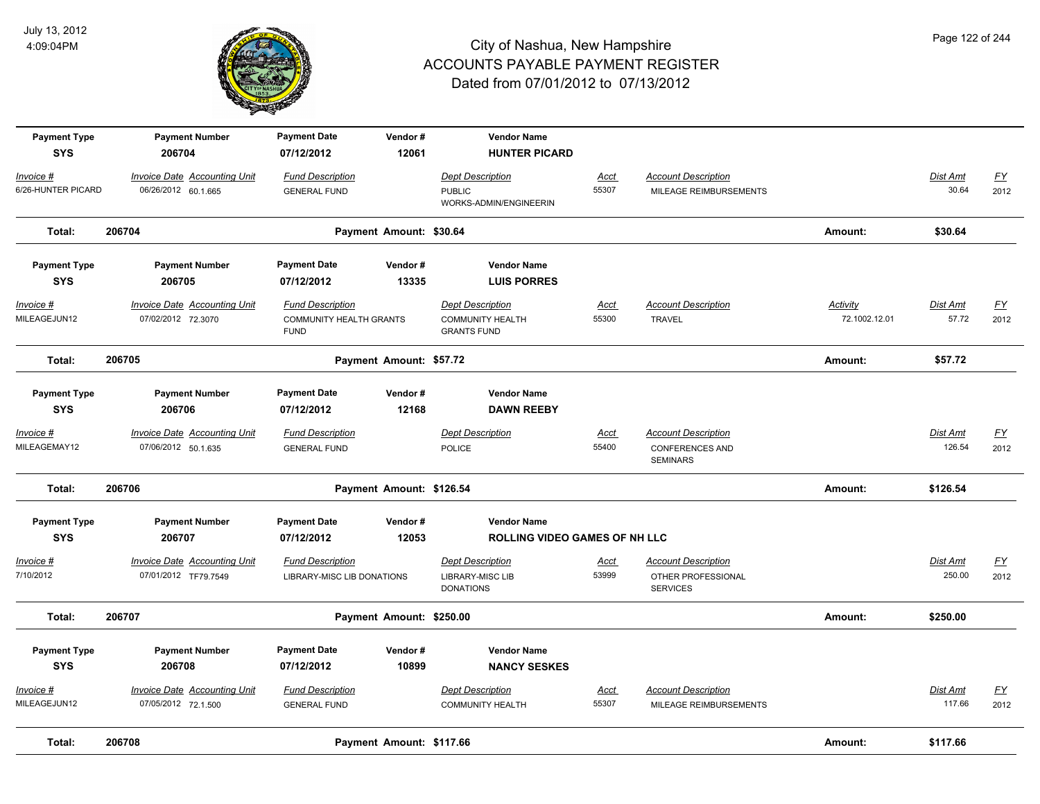

| <b>Payment Type</b><br><b>SYS</b> | <b>Payment Number</b><br>206704                             | <b>Payment Date</b><br>07/12/2012                                        | Vendor#<br>12061         | <b>Vendor Name</b><br><b>HUNTER PICARD</b>                               |                      |                                                                         |                           |                          |                                   |
|-----------------------------------|-------------------------------------------------------------|--------------------------------------------------------------------------|--------------------------|--------------------------------------------------------------------------|----------------------|-------------------------------------------------------------------------|---------------------------|--------------------------|-----------------------------------|
| Invoice #<br>6/26-HUNTER PICARD   | Invoice Date Accounting Unit<br>06/26/2012 60.1.665         | <b>Fund Description</b><br><b>GENERAL FUND</b>                           |                          | <b>Dept Description</b><br><b>PUBLIC</b><br>WORKS-ADMIN/ENGINEERIN       | Acct<br>55307        | <b>Account Description</b><br>MILEAGE REIMBURSEMENTS                    |                           | <b>Dist Amt</b><br>30.64 | $\underline{\mathsf{FY}}$<br>2012 |
| Total:                            | 206704                                                      |                                                                          | Payment Amount: \$30.64  |                                                                          |                      |                                                                         | Amount:                   | \$30.64                  |                                   |
| <b>Payment Type</b><br><b>SYS</b> | <b>Payment Number</b><br>206705                             | <b>Payment Date</b><br>07/12/2012                                        | Vendor#<br>13335         | <b>Vendor Name</b><br><b>LUIS PORRES</b>                                 |                      |                                                                         |                           |                          |                                   |
| Invoice #<br>MILEAGEJUN12         | <b>Invoice Date Accounting Unit</b><br>07/02/2012 72.3070   | <b>Fund Description</b><br><b>COMMUNITY HEALTH GRANTS</b><br><b>FUND</b> |                          | <b>Dept Description</b><br><b>COMMUNITY HEALTH</b><br><b>GRANTS FUND</b> | Acct<br>55300        | <b>Account Description</b><br><b>TRAVEL</b>                             | Activity<br>72.1002.12.01 | Dist Amt<br>57.72        | EY<br>2012                        |
| Total:                            | 206705                                                      |                                                                          | Payment Amount: \$57.72  |                                                                          |                      |                                                                         | Amount:                   | \$57.72                  |                                   |
| <b>Payment Type</b><br><b>SYS</b> | <b>Payment Number</b><br>206706                             | <b>Payment Date</b><br>07/12/2012                                        | Vendor#<br>12168         | <b>Vendor Name</b><br><b>DAWN REEBY</b>                                  |                      |                                                                         |                           |                          |                                   |
| <u> Invoice #</u><br>MILEAGEMAY12 | <b>Invoice Date Accounting Unit</b><br>07/06/2012 50.1.635  | <b>Fund Description</b><br><b>GENERAL FUND</b>                           |                          | <b>Dept Description</b><br>POLICE                                        | <u>Acct</u><br>55400 | <b>Account Description</b><br><b>CONFERENCES AND</b><br><b>SEMINARS</b> |                           | Dist Amt<br>126.54       | <u>FY</u><br>2012                 |
| Total:                            | 206706                                                      |                                                                          | Payment Amount: \$126.54 |                                                                          |                      |                                                                         | Amount:                   | \$126.54                 |                                   |
| <b>Payment Type</b><br><b>SYS</b> | <b>Payment Number</b><br>206707                             | <b>Payment Date</b><br>07/12/2012                                        | Vendor#<br>12053         | <b>Vendor Name</b><br><b>ROLLING VIDEO GAMES OF NH LLC</b>               |                      |                                                                         |                           |                          |                                   |
| <u> Invoice #</u><br>7/10/2012    | <b>Invoice Date Accounting Unit</b><br>07/01/2012 TF79.7549 | <b>Fund Description</b><br>LIBRARY-MISC LIB DONATIONS                    |                          | <b>Dept Description</b><br><b>LIBRARY-MISC LIB</b><br><b>DONATIONS</b>   | <u>Acct</u><br>53999 | <b>Account Description</b><br>OTHER PROFESSIONAL<br><b>SERVICES</b>     |                           | Dist Amt<br>250.00       | $\underline{FY}$<br>2012          |
| Total:                            | 206707                                                      |                                                                          | Payment Amount: \$250.00 |                                                                          |                      |                                                                         | Amount:                   | \$250.00                 |                                   |
| <b>Payment Type</b><br><b>SYS</b> | <b>Payment Number</b><br>206708                             | <b>Payment Date</b><br>07/12/2012                                        | Vendor#<br>10899         | <b>Vendor Name</b><br><b>NANCY SESKES</b>                                |                      |                                                                         |                           |                          |                                   |
| <u> Invoice #</u><br>MILEAGEJUN12 | <b>Invoice Date Accounting Unit</b><br>07/05/2012 72.1.500  | <b>Fund Description</b><br><b>GENERAL FUND</b>                           |                          | <b>Dept Description</b><br><b>COMMUNITY HEALTH</b>                       | <u>Acct</u><br>55307 | <b>Account Description</b><br>MILEAGE REIMBURSEMENTS                    |                           | Dist Amt<br>117.66       | <u>FY</u><br>2012                 |
| Total:                            | 206708                                                      |                                                                          | Payment Amount: \$117.66 |                                                                          |                      |                                                                         | Amount:                   | \$117.66                 |                                   |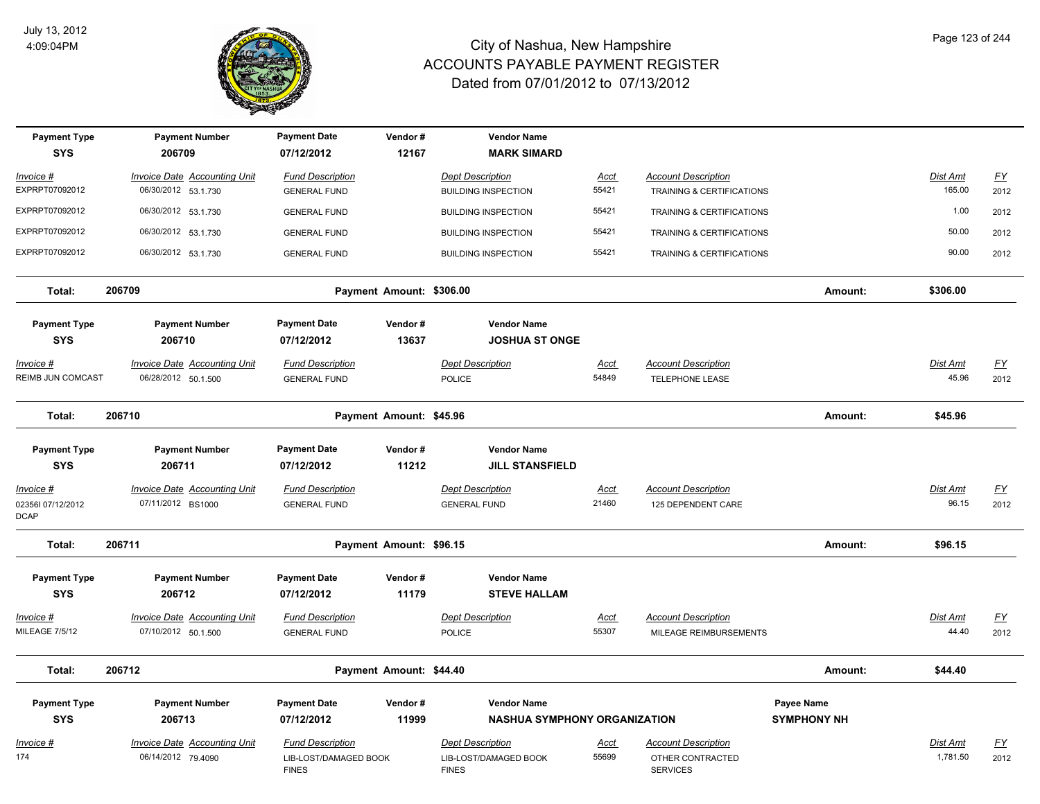

| <b>Payment Type</b><br><b>SYS</b> | <b>Payment Number</b><br>206709     | <b>Payment Date</b><br>07/12/2012     | Vendor#<br>12167         | <b>Vendor Name</b><br><b>MARK SIMARD</b>    |             |                                     |                    |          |                           |
|-----------------------------------|-------------------------------------|---------------------------------------|--------------------------|---------------------------------------------|-------------|-------------------------------------|--------------------|----------|---------------------------|
| Invoice #                         | Invoice Date Accounting Unit        | <b>Fund Description</b>               |                          | <b>Dept Description</b>                     | Acct        | <b>Account Description</b>          |                    | Dist Amt | $\underline{\mathsf{FY}}$ |
| EXPRPT07092012                    | 06/30/2012 53.1.730                 | <b>GENERAL FUND</b>                   |                          | <b>BUILDING INSPECTION</b>                  | 55421       | TRAINING & CERTIFICATIONS           |                    | 165.00   | 2012                      |
| EXPRPT07092012                    | 06/30/2012 53.1.730                 | <b>GENERAL FUND</b>                   |                          | <b>BUILDING INSPECTION</b>                  | 55421       | TRAINING & CERTIFICATIONS           |                    | 1.00     | 2012                      |
| EXPRPT07092012                    | 06/30/2012 53.1.730                 | <b>GENERAL FUND</b>                   |                          | <b>BUILDING INSPECTION</b>                  | 55421       | TRAINING & CERTIFICATIONS           |                    | 50.00    | 2012                      |
| EXPRPT07092012                    | 06/30/2012 53.1.730                 | <b>GENERAL FUND</b>                   |                          | <b>BUILDING INSPECTION</b>                  | 55421       | TRAINING & CERTIFICATIONS           |                    | 90.00    | 2012                      |
| Total:                            | 206709                              |                                       | Payment Amount: \$306.00 |                                             |             |                                     | Amount:            | \$306.00 |                           |
| <b>Payment Type</b><br><b>SYS</b> | <b>Payment Number</b><br>206710     | <b>Payment Date</b><br>07/12/2012     | Vendor#<br>13637         | <b>Vendor Name</b><br><b>JOSHUA ST ONGE</b> |             |                                     |                    |          |                           |
| Invoice #                         | Invoice Date Accounting Unit        | <b>Fund Description</b>               |                          | <b>Dept Description</b>                     | <u>Acct</u> | <b>Account Description</b>          |                    | Dist Amt | <u>FY</u>                 |
| REIMB JUN COMCAST                 | 06/28/2012 50.1.500                 | <b>GENERAL FUND</b>                   |                          | <b>POLICE</b>                               | 54849       | <b>TELEPHONE LEASE</b>              |                    | 45.96    | 2012                      |
| Total:                            | 206710                              |                                       | Payment Amount: \$45.96  |                                             |             |                                     | Amount:            | \$45.96  |                           |
| <b>Payment Type</b>               | <b>Payment Number</b>               | <b>Payment Date</b>                   | Vendor#                  | <b>Vendor Name</b>                          |             |                                     |                    |          |                           |
| <b>SYS</b>                        | 206711                              | 07/12/2012                            | 11212                    | <b>JILL STANSFIELD</b>                      |             |                                     |                    |          |                           |
| Invoice #                         | Invoice Date Accounting Unit        | <b>Fund Description</b>               |                          | <b>Dept Description</b>                     | Acct        | <b>Account Description</b>          |                    | Dist Amt | $\underline{FY}$          |
| 023561 07/12/2012<br><b>DCAP</b>  | 07/11/2012 BS1000                   | <b>GENERAL FUND</b>                   |                          | <b>GENERAL FUND</b>                         | 21460       | 125 DEPENDENT CARE                  |                    | 96.15    | 2012                      |
| Total:                            | 206711                              |                                       | Payment Amount: \$96.15  |                                             |             |                                     | Amount:            | \$96.15  |                           |
| <b>Payment Type</b><br><b>SYS</b> | <b>Payment Number</b><br>206712     | <b>Payment Date</b><br>07/12/2012     | Vendor#<br>11179         | <b>Vendor Name</b><br><b>STEVE HALLAM</b>   |             |                                     |                    |          |                           |
| Invoice #                         | <b>Invoice Date Accounting Unit</b> | <b>Fund Description</b>               |                          | <b>Dept Description</b>                     | <u>Acct</u> | <b>Account Description</b>          |                    | Dist Amt | $\underline{\mathsf{FY}}$ |
| MILEAGE 7/5/12                    | 07/10/2012 50.1.500                 | <b>GENERAL FUND</b>                   |                          | POLICE                                      | 55307       | MILEAGE REIMBURSEMENTS              |                    | 44.40    | 2012                      |
| Total:                            | 206712                              |                                       | Payment Amount: \$44.40  |                                             |             |                                     | Amount:            | \$44.40  |                           |
| <b>Payment Type</b>               | <b>Payment Number</b>               | <b>Payment Date</b>                   | Vendor#                  | <b>Vendor Name</b>                          |             |                                     | Payee Name         |          |                           |
| <b>SYS</b>                        | 206713                              | 07/12/2012                            | 11999                    | <b>NASHUA SYMPHONY ORGANIZATION</b>         |             |                                     | <b>SYMPHONY NH</b> |          |                           |
| Invoice #                         | Invoice Date Accounting Unit        | <b>Fund Description</b>               |                          | <b>Dept Description</b>                     | <u>Acct</u> | <b>Account Description</b>          |                    | Dist Amt | $\underline{\mathsf{FY}}$ |
| 174                               | 06/14/2012 79.4090                  | LIB-LOST/DAMAGED BOOK<br><b>FINES</b> |                          | LIB-LOST/DAMAGED BOOK<br><b>FINES</b>       | 55699       | OTHER CONTRACTED<br><b>SERVICES</b> |                    | 1,781.50 | 2012                      |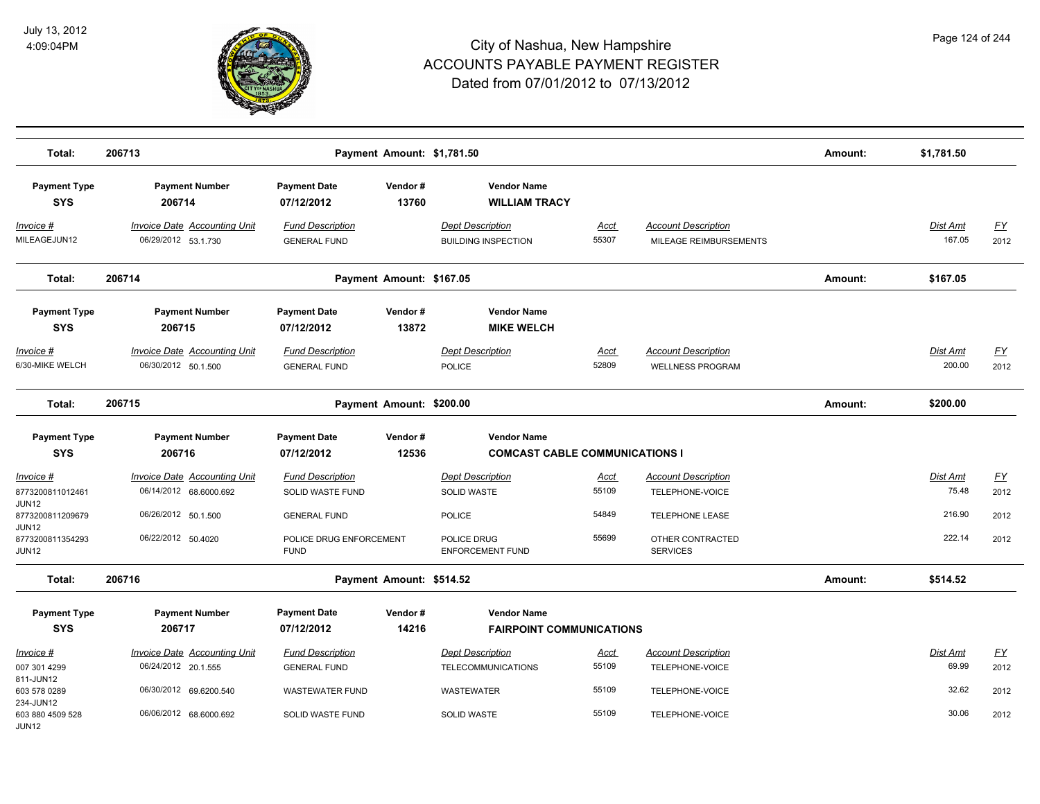

| Total:                                 | 206713                                                     |                                                | Payment Amount: \$1,781.50 |                                                       |               |                                                       | Amount: | \$1,781.50         |                           |
|----------------------------------------|------------------------------------------------------------|------------------------------------------------|----------------------------|-------------------------------------------------------|---------------|-------------------------------------------------------|---------|--------------------|---------------------------|
| <b>Payment Type</b><br><b>SYS</b>      | <b>Payment Number</b><br>206714                            | <b>Payment Date</b><br>07/12/2012              | Vendor#<br>13760           | <b>Vendor Name</b><br><b>WILLIAM TRACY</b>            |               |                                                       |         |                    |                           |
| Invoice #<br>MILEAGEJUN12              | <b>Invoice Date Accounting Unit</b><br>06/29/2012 53.1.730 | <b>Fund Description</b><br><b>GENERAL FUND</b> |                            | <b>Dept Description</b><br><b>BUILDING INSPECTION</b> | Acct<br>55307 | <b>Account Description</b><br>MILEAGE REIMBURSEMENTS  |         | Dist Amt<br>167.05 | <u>FY</u><br>2012         |
| Total:                                 | 206714                                                     |                                                | Payment Amount: \$167.05   |                                                       |               |                                                       | Amount: | \$167.05           |                           |
| <b>Payment Type</b><br><b>SYS</b>      | <b>Payment Number</b><br>206715                            | <b>Payment Date</b><br>07/12/2012              | Vendor#<br>13872           | <b>Vendor Name</b><br><b>MIKE WELCH</b>               |               |                                                       |         |                    |                           |
| Invoice #<br>6/30-MIKE WELCH           | <b>Invoice Date Accounting Unit</b><br>06/30/2012 50.1.500 | <b>Fund Description</b><br><b>GENERAL FUND</b> |                            | <b>Dept Description</b><br><b>POLICE</b>              | Acct<br>52809 | <b>Account Description</b><br><b>WELLNESS PROGRAM</b> |         | Dist Amt<br>200.00 | <u>FY</u><br>2012         |
| Total:                                 | 206715                                                     |                                                | Payment Amount: \$200.00   |                                                       |               |                                                       | Amount: | \$200.00           |                           |
| <b>Payment Type</b>                    | <b>Payment Number</b>                                      | <b>Payment Date</b>                            | Vendor#                    | <b>Vendor Name</b>                                    |               |                                                       |         |                    |                           |
| <b>SYS</b>                             | 206716                                                     | 07/12/2012                                     | 12536                      | <b>COMCAST CABLE COMMUNICATIONS I</b>                 |               |                                                       |         |                    |                           |
| Invoice #                              | <b>Invoice Date Accounting Unit</b>                        | <b>Fund Description</b>                        |                            | <b>Dept Description</b>                               | <u>Acct</u>   | <b>Account Description</b>                            |         | Dist Amt           | EY                        |
| 8773200811012461<br>JUN12              | 06/14/2012 68.6000.692                                     | <b>SOLID WASTE FUND</b>                        |                            | <b>SOLID WASTE</b>                                    | 55109         | TELEPHONE-VOICE                                       |         | 75.48              | 2012                      |
| 8773200811209679<br>JUN12              | 06/26/2012 50.1.500                                        | <b>GENERAL FUND</b>                            |                            | <b>POLICE</b>                                         | 54849         | TELEPHONE LEASE                                       |         | 216.90             | 2012                      |
| 8773200811354293<br>JUN12              | 06/22/2012 50.4020                                         | POLICE DRUG ENFORCEMENT<br><b>FUND</b>         |                            | POLICE DRUG<br><b>ENFORCEMENT FUND</b>                | 55699         | OTHER CONTRACTED<br><b>SERVICES</b>                   |         | 222.14             | 2012                      |
| Total:                                 | 206716                                                     |                                                | Payment Amount: \$514.52   |                                                       |               |                                                       | Amount: | \$514.52           |                           |
| <b>Payment Type</b>                    | <b>Payment Number</b>                                      | <b>Payment Date</b>                            | Vendor#                    | <b>Vendor Name</b>                                    |               |                                                       |         |                    |                           |
| <b>SYS</b>                             | 206717                                                     | 07/12/2012                                     | 14216                      | <b>FAIRPOINT COMMUNICATIONS</b>                       |               |                                                       |         |                    |                           |
| Invoice #                              | <b>Invoice Date Accounting Unit</b>                        | <b>Fund Description</b>                        |                            | <b>Dept Description</b>                               | Acct          | <b>Account Description</b>                            |         | Dist Amt           | $\underline{\mathsf{FY}}$ |
| 007 301 4299                           | 06/24/2012 20.1.555                                        | <b>GENERAL FUND</b>                            |                            | <b>TELECOMMUNICATIONS</b>                             | 55109         | TELEPHONE-VOICE                                       |         | 69.99              | 2012                      |
| 811-JUN12<br>603 578 0289<br>234-JUN12 | 06/30/2012 69.6200.540                                     | <b>WASTEWATER FUND</b>                         |                            | WASTEWATER                                            | 55109         | TELEPHONE-VOICE                                       |         | 32.62              | 2012                      |
| 603 880 4509 528<br>JUN12              | 06/06/2012 68.6000.692                                     | SOLID WASTE FUND                               |                            | <b>SOLID WASTE</b>                                    | 55109         | TELEPHONE-VOICE                                       |         | 30.06              | 2012                      |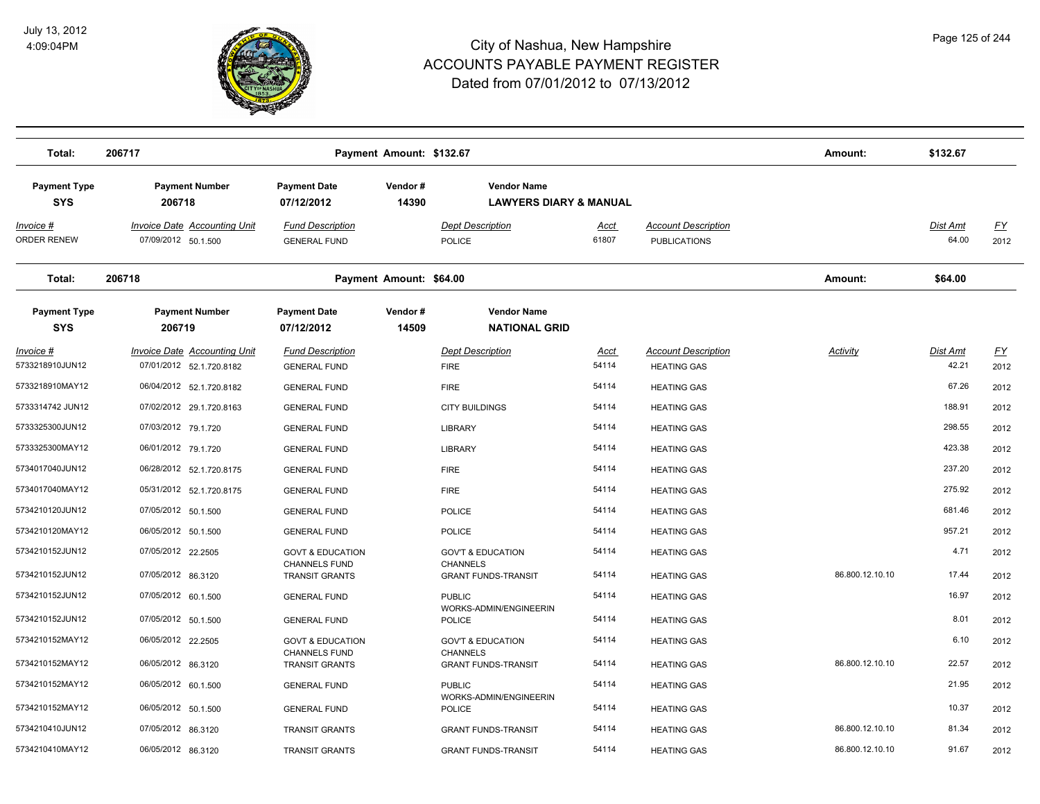

| Total:                            | 206717                                                          |                                                | Payment Amount: \$132.67 |                                                         |                      |                                                   | Amount:         | \$132.67                 |                   |
|-----------------------------------|-----------------------------------------------------------------|------------------------------------------------|--------------------------|---------------------------------------------------------|----------------------|---------------------------------------------------|-----------------|--------------------------|-------------------|
| <b>Payment Type</b><br><b>SYS</b> | Payment Number<br>206718                                        | <b>Payment Date</b><br>07/12/2012              | Vendor#<br>14390         | <b>Vendor Name</b><br><b>LAWYERS DIARY &amp; MANUAL</b> |                      |                                                   |                 |                          |                   |
| <u> Invoice #</u><br>ORDER RENEW  | <b>Invoice Date Accounting Unit</b><br>07/09/2012 50.1.500      | <b>Fund Description</b><br><b>GENERAL FUND</b> |                          | <b>Dept Description</b><br>POLICE                       | <u>Acct</u><br>61807 | <b>Account Description</b><br><b>PUBLICATIONS</b> |                 | <u>Dist Amt</u><br>64.00 | <u>FY</u><br>2012 |
| Total:                            | 206718                                                          |                                                | Payment Amount: \$64.00  |                                                         |                      |                                                   | Amount:         | \$64.00                  |                   |
| <b>Payment Type</b><br><b>SYS</b> | <b>Payment Number</b><br>206719                                 | <b>Payment Date</b><br>07/12/2012              | Vendor#<br>14509         | <b>Vendor Name</b><br><b>NATIONAL GRID</b>              |                      |                                                   |                 |                          |                   |
| Invoice #<br>5733218910JUN12      | <b>Invoice Date Accounting Unit</b><br>07/01/2012 52.1.720.8182 | <b>Fund Description</b><br><b>GENERAL FUND</b> |                          | <b>Dept Description</b><br><b>FIRE</b>                  | <b>Acct</b><br>54114 | <b>Account Description</b><br><b>HEATING GAS</b>  | <b>Activity</b> | Dist Amt<br>42.21        | <u>FY</u><br>2012 |
| 5733218910MAY12                   | 06/04/2012 52.1.720.8182                                        | <b>GENERAL FUND</b>                            |                          | <b>FIRE</b>                                             | 54114                | <b>HEATING GAS</b>                                |                 | 67.26                    | 2012              |
| 5733314742 JUN12                  | 07/02/2012 29.1.720.8163                                        | <b>GENERAL FUND</b>                            |                          | <b>CITY BUILDINGS</b>                                   | 54114                | <b>HEATING GAS</b>                                |                 | 188.91                   | 2012              |
| 5733325300JUN12                   | 07/03/2012 79.1.720                                             | <b>GENERAL FUND</b>                            |                          | <b>LIBRARY</b>                                          | 54114                | <b>HEATING GAS</b>                                |                 | 298.55                   | 2012              |
| 5733325300MAY12                   | 06/01/2012 79.1.720                                             | <b>GENERAL FUND</b>                            |                          | <b>LIBRARY</b>                                          | 54114                | <b>HEATING GAS</b>                                |                 | 423.38                   | 2012              |
| 5734017040JUN12                   | 06/28/2012 52.1.720.8175                                        | <b>GENERAL FUND</b>                            |                          | <b>FIRE</b>                                             | 54114                | <b>HEATING GAS</b>                                |                 | 237.20                   | 2012              |
| 5734017040MAY12                   | 05/31/2012 52.1.720.8175                                        | <b>GENERAL FUND</b>                            |                          | <b>FIRE</b>                                             | 54114                | <b>HEATING GAS</b>                                |                 | 275.92                   | 2012              |
| 5734210120JUN12                   | 07/05/2012 50.1.500                                             | <b>GENERAL FUND</b>                            |                          | <b>POLICE</b>                                           | 54114                | <b>HEATING GAS</b>                                |                 | 681.46                   | 2012              |
| 5734210120MAY12                   | 06/05/2012 50.1.500                                             | <b>GENERAL FUND</b>                            |                          | <b>POLICE</b>                                           | 54114                | <b>HEATING GAS</b>                                |                 | 957.21                   | 2012              |
| 5734210152JUN12                   | 07/05/2012 22.2505                                              | <b>GOVT &amp; EDUCATION</b>                    |                          | <b>GOV'T &amp; EDUCATION</b>                            | 54114                | <b>HEATING GAS</b>                                |                 | 4.71                     | 2012              |
| 5734210152JUN12                   | 07/05/2012 86.3120                                              | <b>CHANNELS FUND</b><br><b>TRANSIT GRANTS</b>  |                          | <b>CHANNELS</b><br><b>GRANT FUNDS-TRANSIT</b>           | 54114                | <b>HEATING GAS</b>                                | 86.800.12.10.10 | 17.44                    | 2012              |
| 5734210152JUN12                   | 07/05/2012 60.1.500                                             | <b>GENERAL FUND</b>                            |                          | <b>PUBLIC</b>                                           | 54114                | <b>HEATING GAS</b>                                |                 | 16.97                    | 2012              |
| 5734210152JUN12                   | 07/05/2012 50.1.500                                             | <b>GENERAL FUND</b>                            |                          | WORKS-ADMIN/ENGINEERIN<br><b>POLICE</b>                 | 54114                | <b>HEATING GAS</b>                                |                 | 8.01                     | 2012              |
| 5734210152MAY12                   | 06/05/2012 22.2505                                              | <b>GOVT &amp; EDUCATION</b>                    |                          | <b>GOV'T &amp; EDUCATION</b>                            | 54114                | <b>HEATING GAS</b>                                |                 | 6.10                     | 2012              |
| 5734210152MAY12                   | 06/05/2012 86.3120                                              | <b>CHANNELS FUND</b><br><b>TRANSIT GRANTS</b>  |                          | <b>CHANNELS</b><br><b>GRANT FUNDS-TRANSIT</b>           | 54114                | <b>HEATING GAS</b>                                | 86.800.12.10.10 | 22.57                    | 2012              |
| 5734210152MAY12                   | 06/05/2012 60.1.500                                             | <b>GENERAL FUND</b>                            |                          | <b>PUBLIC</b>                                           | 54114                | <b>HEATING GAS</b>                                |                 | 21.95                    | 2012              |
| 5734210152MAY12                   | 06/05/2012 50.1.500                                             |                                                |                          | WORKS-ADMIN/ENGINEERIN                                  | 54114                |                                                   |                 | 10.37                    | 2012              |
| 5734210410JUN12                   | 07/05/2012 86.3120                                              | <b>GENERAL FUND</b>                            |                          | <b>POLICE</b>                                           | 54114                | <b>HEATING GAS</b>                                | 86.800.12.10.10 | 81.34                    |                   |
| 5734210410MAY12                   | 06/05/2012 86.3120                                              | <b>TRANSIT GRANTS</b>                          |                          | <b>GRANT FUNDS-TRANSIT</b>                              | 54114                | <b>HEATING GAS</b>                                | 86.800.12.10.10 | 91.67                    | 2012              |
|                                   |                                                                 | <b>TRANSIT GRANTS</b>                          |                          | <b>GRANT FUNDS-TRANSIT</b>                              |                      | <b>HEATING GAS</b>                                |                 |                          | 2012              |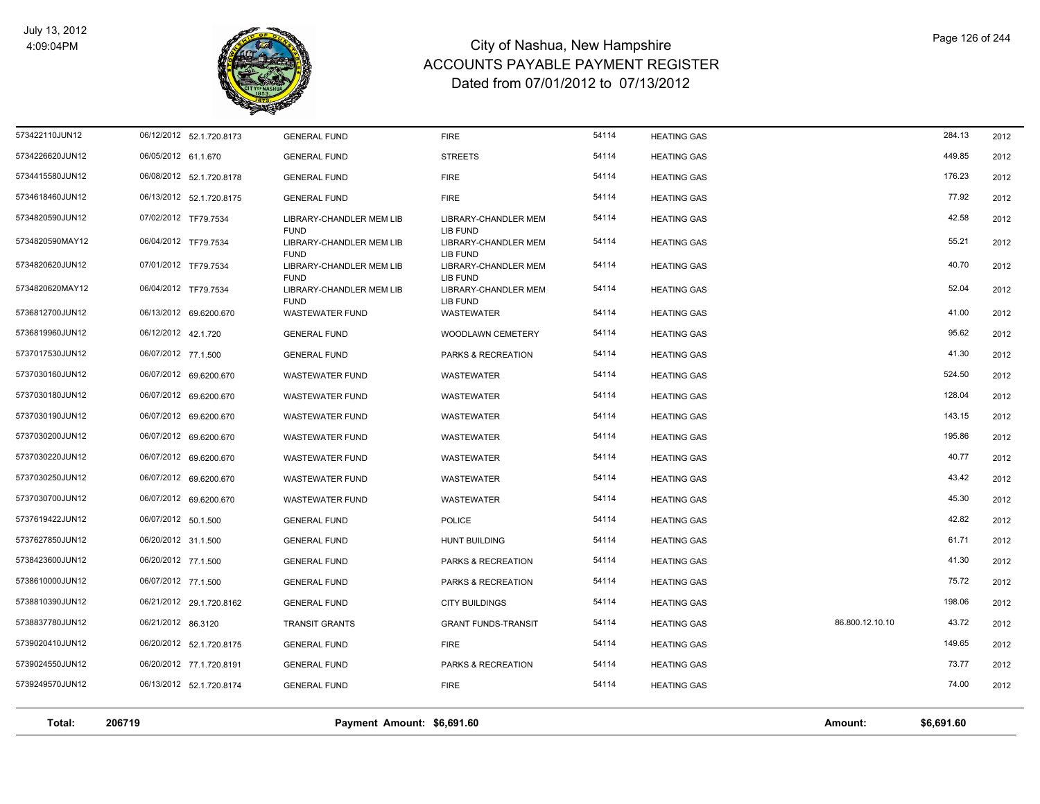

| Total:          | 206719                   | Payment Amount: \$6,691.60              |                                  |                |                    | Amount:         | \$6,691.60     |      |
|-----------------|--------------------------|-----------------------------------------|----------------------------------|----------------|--------------------|-----------------|----------------|------|
| 5739249570JUN12 | 06/13/2012 52.1.720.8174 | <b>GENERAL FUND</b>                     | <b>FIRE</b>                      |                | <b>HEATING GAS</b> |                 |                | 2012 |
| 5739024550JUN12 | 06/20/2012 77.1.720.8191 | <b>GENERAL FUND</b>                     | PARKS & RECREATION               | 54114<br>54114 | <b>HEATING GAS</b> |                 | 73.77<br>74.00 | 2012 |
| 5739020410JUN12 | 06/20/2012 52.1.720.8175 | <b>GENERAL FUND</b>                     | <b>FIRE</b>                      | 54114          | <b>HEATING GAS</b> |                 | 149.65         | 2012 |
| 5738837780JUN12 | 06/21/2012 86.3120       | <b>TRANSIT GRANTS</b>                   | <b>GRANT FUNDS-TRANSIT</b>       | 54114          | <b>HEATING GAS</b> | 86.800.12.10.10 | 43.72          | 2012 |
| 5738810390JUN12 | 06/21/2012 29.1.720.8162 | <b>GENERAL FUND</b>                     | <b>CITY BUILDINGS</b>            | 54114          | <b>HEATING GAS</b> |                 | 198.06         | 2012 |
| 5738610000JUN12 | 06/07/2012 77.1.500      | <b>GENERAL FUND</b>                     | PARKS & RECREATION               | 54114          | <b>HEATING GAS</b> |                 | 75.72          | 2012 |
| 5738423600JUN12 | 06/20/2012 77.1.500      | <b>GENERAL FUND</b>                     | PARKS & RECREATION               | 54114          | <b>HEATING GAS</b> |                 | 41.30          | 2012 |
| 5737627850JUN12 | 06/20/2012 31.1.500      | <b>GENERAL FUND</b>                     | <b>HUNT BUILDING</b>             | 54114          | <b>HEATING GAS</b> |                 | 61.71          | 2012 |
| 5737619422JUN12 | 06/07/2012 50.1.500      | <b>GENERAL FUND</b>                     | POLICE                           | 54114          | <b>HEATING GAS</b> |                 | 42.82          | 2012 |
| 5737030700JUN12 | 06/07/2012 69.6200.670   | <b>WASTEWATER FUND</b>                  | <b>WASTEWATER</b>                | 54114          | <b>HEATING GAS</b> |                 | 45.30          | 2012 |
| 5737030250JUN12 | 06/07/2012 69.6200.670   | <b>WASTEWATER FUND</b>                  | <b>WASTEWATER</b>                | 54114          | <b>HEATING GAS</b> |                 | 43.42          | 2012 |
| 5737030220JUN12 | 06/07/2012 69.6200.670   | <b>WASTEWATER FUND</b>                  | <b>WASTEWATER</b>                | 54114          | <b>HEATING GAS</b> |                 | 40.77          | 2012 |
| 5737030200JUN12 | 06/07/2012 69.6200.670   | <b>WASTEWATER FUND</b>                  | <b>WASTEWATER</b>                | 54114          | <b>HEATING GAS</b> |                 | 195.86         | 2012 |
| 5737030190JUN12 | 06/07/2012 69.6200.670   | <b>WASTEWATER FUND</b>                  | <b>WASTEWATER</b>                | 54114          | <b>HEATING GAS</b> |                 | 143.15         | 2012 |
| 5737030180JUN12 | 06/07/2012 69.6200.670   | <b>WASTEWATER FUND</b>                  | <b>WASTEWATER</b>                | 54114          | <b>HEATING GAS</b> |                 | 128.04         | 2012 |
| 5737030160JUN12 | 06/07/2012 69.6200.670   | <b>WASTEWATER FUND</b>                  | WASTEWATER                       | 54114          | <b>HEATING GAS</b> |                 | 524.50         | 2012 |
| 5737017530JUN12 | 06/07/2012 77.1.500      | <b>GENERAL FUND</b>                     | PARKS & RECREATION               | 54114          | <b>HEATING GAS</b> |                 | 41.30          | 2012 |
| 5736819960JUN12 | 06/12/2012 42.1.720      | <b>GENERAL FUND</b>                     | WOODLAWN CEMETERY                | 54114          | <b>HEATING GAS</b> |                 | 95.62          | 2012 |
| 5736812700JUN12 | 06/13/2012 69.6200.670   | <b>WASTEWATER FUND</b>                  | <b>WASTEWATER</b>                | 54114          | <b>HEATING GAS</b> |                 | 41.00          | 2012 |
| 5734820620MAY12 | 06/04/2012 TF79.7534     | LIBRARY-CHANDLER MEM LIB<br><b>FUND</b> | LIBRARY-CHANDLER MEM<br>LIB FUND | 54114          | <b>HEATING GAS</b> |                 | 52.04          | 2012 |
| 5734820620JUN12 | 07/01/2012 TF79.7534     | LIBRARY-CHANDLER MEM LIB<br><b>FUND</b> | LIBRARY-CHANDLER MEM<br>LIB FUND | 54114          | <b>HEATING GAS</b> |                 | 40.70          | 2012 |
| 5734820590MAY12 | 06/04/2012 TF79.7534     | LIBRARY-CHANDLER MEM LIB<br><b>FUND</b> | LIBRARY-CHANDLER MEM<br>LIB FUND | 54114          | <b>HEATING GAS</b> |                 | 55.21          | 2012 |
| 5734820590JUN12 | 07/02/2012 TF79.7534     | LIBRARY-CHANDLER MEM LIB<br><b>FUND</b> | LIBRARY-CHANDLER MEM<br>LIB FUND | 54114          | <b>HEATING GAS</b> |                 | 42.58          | 2012 |
| 5734618460JUN12 | 06/13/2012 52.1.720.8175 | <b>GENERAL FUND</b>                     | <b>FIRE</b>                      | 54114          | <b>HEATING GAS</b> |                 | 77.92          | 2012 |
| 5734415580JUN12 | 06/08/2012 52.1.720.8178 | <b>GENERAL FUND</b>                     | <b>FIRE</b>                      | 54114          | <b>HEATING GAS</b> |                 | 176.23         | 2012 |
| 5734226620JUN12 | 06/05/2012 61.1.670      | <b>GENERAL FUND</b>                     | <b>STREETS</b>                   | 54114          | <b>HEATING GAS</b> |                 | 449.85         | 2012 |
| 573422110JUN12  | 06/12/2012 52.1.720.8173 | <b>GENERAL FUND</b>                     | <b>FIRE</b>                      | 54114          | <b>HEATING GAS</b> |                 | 284.13         | 2012 |
|                 |                          |                                         |                                  |                |                    |                 |                |      |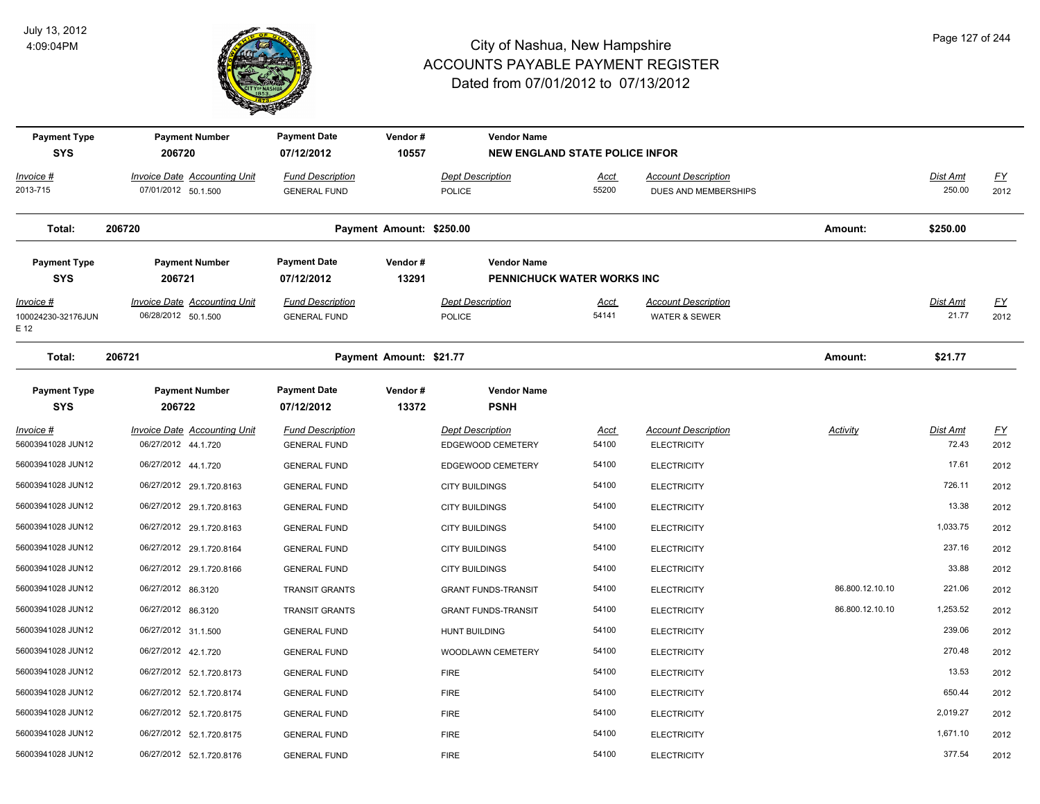

| <b>Payment Type</b><br><b>SYS</b>               | <b>Payment Number</b><br>206720                            | <b>Payment Date</b><br>Vendor#<br>10557<br>07/12/2012 |                          | <b>Vendor Name</b>                               | <b>NEW ENGLAND STATE POLICE INFOR</b> |                                                    |                 |                          |                   |
|-------------------------------------------------|------------------------------------------------------------|-------------------------------------------------------|--------------------------|--------------------------------------------------|---------------------------------------|----------------------------------------------------|-----------------|--------------------------|-------------------|
| Invoice #<br>2013-715                           | Invoice Date Accounting Unit<br>07/01/2012 50.1.500        | <b>Fund Description</b><br><b>GENERAL FUND</b>        |                          | <b>Dept Description</b><br><b>POLICE</b>         | Acct<br>55200                         | <b>Account Description</b><br>DUES AND MEMBERSHIPS |                 | Dist Amt<br>250.00       | EY<br>2012        |
| Total:                                          | 206720                                                     |                                                       | Payment Amount: \$250.00 |                                                  |                                       |                                                    | Amount:         | \$250.00                 |                   |
| <b>Payment Type</b><br><b>SYS</b>               | <b>Payment Number</b><br>206721                            | <b>Payment Date</b><br>07/12/2012                     | Vendor#<br>13291         | <b>Vendor Name</b><br>PENNICHUCK WATER WORKS INC |                                       |                                                    |                 |                          |                   |
| <u> Invoice #</u><br>100024230-32176JUN<br>E 12 | <b>Invoice Date Accounting Unit</b><br>06/28/2012 50.1.500 | <b>Fund Description</b><br><b>GENERAL FUND</b>        |                          | <b>Dept Description</b><br>POLICE                | <b>Acct</b><br>54141                  | <b>Account Description</b><br>WATER & SEWER        |                 | <b>Dist Amt</b><br>21.77 | <u>FY</u><br>2012 |
| Total:                                          | 206721                                                     |                                                       | Payment Amount: \$21.77  |                                                  |                                       |                                                    | Amount:         | \$21.77                  |                   |
| <b>Payment Type</b><br><b>SYS</b>               | <b>Payment Number</b><br>206722                            | <b>Payment Date</b><br>07/12/2012                     | Vendor#<br>13372         | <b>Vendor Name</b><br><b>PSNH</b>                |                                       |                                                    |                 |                          |                   |
| <u> Invoice #</u><br>56003941028 JUN12          | <b>Invoice Date Accounting Unit</b><br>06/27/2012 44.1.720 | <b>Fund Description</b><br><b>GENERAL FUND</b>        |                          | <b>Dept Description</b><br>EDGEWOOD CEMETERY     | <u>Acct</u><br>54100                  | <b>Account Description</b><br><b>ELECTRICITY</b>   | <b>Activity</b> | <b>Dist Amt</b><br>72.43 | <u>FY</u><br>2012 |
| 56003941028 JUN12                               | 06/27/2012 44.1.720                                        | <b>GENERAL FUND</b>                                   |                          | EDGEWOOD CEMETERY                                | 54100                                 | <b>ELECTRICITY</b>                                 |                 | 17.61                    | 2012              |
| 56003941028 JUN12                               | 06/27/2012 29.1.720.8163                                   | <b>GENERAL FUND</b>                                   |                          | <b>CITY BUILDINGS</b>                            | 54100                                 | <b>ELECTRICITY</b>                                 |                 | 726.11                   | 2012              |
| 56003941028 JUN12                               | 06/27/2012 29.1.720.8163                                   | <b>GENERAL FUND</b>                                   |                          | <b>CITY BUILDINGS</b>                            | 54100                                 | <b>ELECTRICITY</b>                                 |                 | 13.38                    | 2012              |
| 56003941028 JUN12                               | 06/27/2012 29.1.720.8163                                   | <b>GENERAL FUND</b>                                   |                          | <b>CITY BUILDINGS</b>                            | 54100                                 | <b>ELECTRICITY</b>                                 |                 | 1,033.75                 | 2012              |
| 56003941028 JUN12                               | 06/27/2012 29.1.720.8164                                   | <b>GENERAL FUND</b>                                   |                          | <b>CITY BUILDINGS</b>                            | 54100                                 | <b>ELECTRICITY</b>                                 |                 | 237.16                   | 2012              |
| 56003941028 JUN12                               | 06/27/2012 29.1.720.8166                                   | <b>GENERAL FUND</b>                                   |                          | <b>CITY BUILDINGS</b>                            | 54100                                 | <b>ELECTRICITY</b>                                 |                 | 33.88                    | 2012              |
| 56003941028 JUN12                               | 06/27/2012 86.3120                                         | <b>TRANSIT GRANTS</b>                                 |                          | <b>GRANT FUNDS-TRANSIT</b>                       | 54100                                 | <b>ELECTRICITY</b>                                 | 86.800.12.10.10 | 221.06                   | 2012              |
| 56003941028 JUN12                               | 06/27/2012 86.3120                                         | <b>TRANSIT GRANTS</b>                                 |                          | <b>GRANT FUNDS-TRANSIT</b>                       | 54100                                 | <b>ELECTRICITY</b>                                 | 86.800.12.10.10 | 1,253.52                 | 2012              |
| 56003941028 JUN12                               | 06/27/2012 31.1.500                                        | <b>GENERAL FUND</b>                                   |                          | <b>HUNT BUILDING</b>                             | 54100                                 | <b>ELECTRICITY</b>                                 |                 | 239.06                   | 2012              |
| 56003941028 JUN12                               | 06/27/2012 42.1.720                                        | <b>GENERAL FUND</b>                                   |                          | WOODLAWN CEMETERY                                | 54100                                 | <b>ELECTRICITY</b>                                 |                 | 270.48                   | 2012              |
| 56003941028 JUN12                               | 06/27/2012 52.1.720.8173                                   | <b>GENERAL FUND</b>                                   |                          | <b>FIRE</b>                                      | 54100                                 | <b>ELECTRICITY</b>                                 |                 | 13.53                    | 2012              |
| 56003941028 JUN12                               | 06/27/2012 52.1.720.8174                                   | <b>GENERAL FUND</b>                                   |                          | <b>FIRE</b>                                      | 54100                                 | <b>ELECTRICITY</b>                                 |                 | 650.44                   | 2012              |
| 56003941028 JUN12                               | 06/27/2012 52.1.720.8175                                   | <b>GENERAL FUND</b>                                   |                          | <b>FIRE</b>                                      | 54100                                 | <b>ELECTRICITY</b>                                 |                 | 2,019.27                 | 2012              |
| 56003941028 JUN12                               | 06/27/2012 52.1.720.8175                                   | <b>GENERAL FUND</b>                                   |                          | <b>FIRE</b>                                      | 54100                                 | <b>ELECTRICITY</b>                                 |                 | 1,671.10                 | 2012              |
| 56003941028 JUN12                               | 06/27/2012 52.1.720.8176                                   | <b>GENERAL FUND</b>                                   |                          | <b>FIRE</b>                                      | 54100                                 | <b>ELECTRICITY</b>                                 |                 | 377.54                   | 2012              |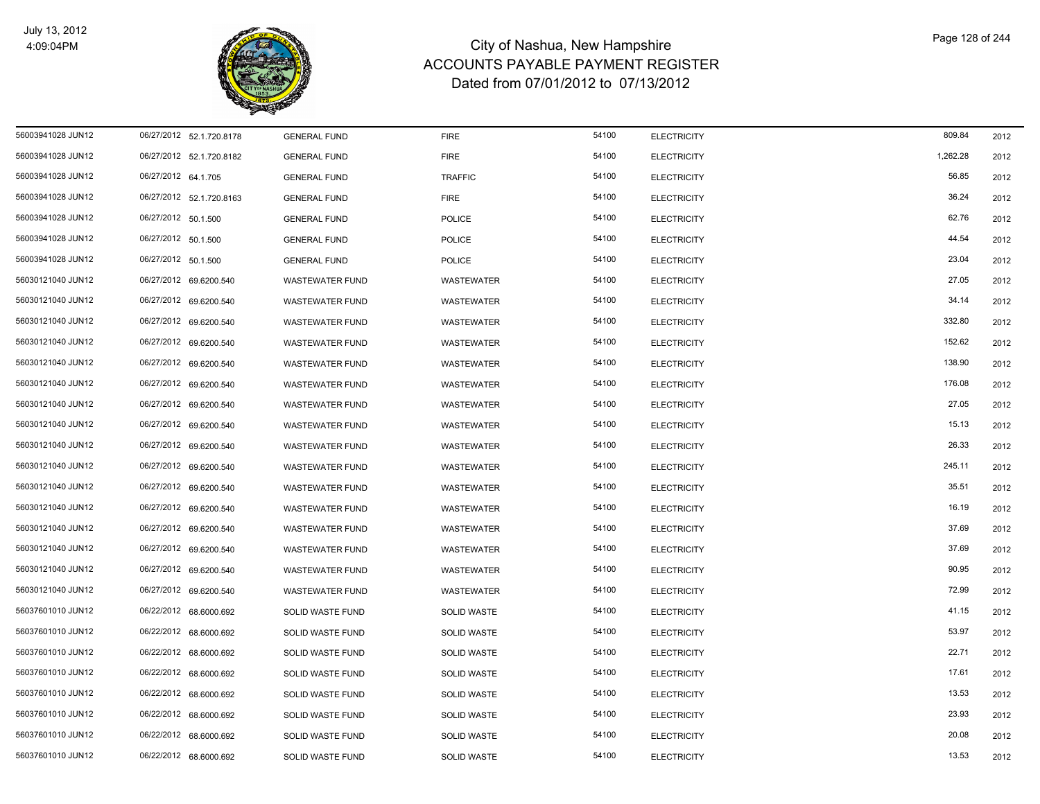

| 56003941028 JUN12 | 06/27/2012 52.1.720.8178 | <b>GENERAL FUND</b>    | <b>FIRE</b>        | 54100 | <b>ELECTRICITY</b> | 809.84   | 2012 |
|-------------------|--------------------------|------------------------|--------------------|-------|--------------------|----------|------|
| 56003941028 JUN12 | 06/27/2012 52.1.720.8182 | <b>GENERAL FUND</b>    | <b>FIRE</b>        | 54100 | <b>ELECTRICITY</b> | 1,262.28 | 2012 |
| 56003941028 JUN12 | 06/27/2012 64.1.705      | <b>GENERAL FUND</b>    | <b>TRAFFIC</b>     | 54100 | <b>ELECTRICITY</b> | 56.85    | 2012 |
| 56003941028 JUN12 | 06/27/2012 52.1.720.8163 | <b>GENERAL FUND</b>    | <b>FIRE</b>        | 54100 | <b>ELECTRICITY</b> | 36.24    | 2012 |
| 56003941028 JUN12 | 06/27/2012 50.1.500      | <b>GENERAL FUND</b>    | <b>POLICE</b>      | 54100 | <b>ELECTRICITY</b> | 62.76    | 2012 |
| 56003941028 JUN12 | 06/27/2012 50.1.500      | <b>GENERAL FUND</b>    | POLICE             | 54100 | <b>ELECTRICITY</b> | 44.54    | 2012 |
| 56003941028 JUN12 | 06/27/2012 50.1.500      | <b>GENERAL FUND</b>    | <b>POLICE</b>      | 54100 | <b>ELECTRICITY</b> | 23.04    | 2012 |
| 56030121040 JUN12 | 06/27/2012 69.6200.540   | <b>WASTEWATER FUND</b> | <b>WASTEWATER</b>  | 54100 | <b>ELECTRICITY</b> | 27.05    | 2012 |
| 56030121040 JUN12 | 06/27/2012 69.6200.540   | <b>WASTEWATER FUND</b> | WASTEWATER         | 54100 | <b>ELECTRICITY</b> | 34.14    | 2012 |
| 56030121040 JUN12 | 06/27/2012 69.6200.540   | <b>WASTEWATER FUND</b> | WASTEWATER         | 54100 | <b>ELECTRICITY</b> | 332.80   | 2012 |
| 56030121040 JUN12 | 06/27/2012 69.6200.540   | <b>WASTEWATER FUND</b> | WASTEWATER         | 54100 | <b>ELECTRICITY</b> | 152.62   | 2012 |
| 56030121040 JUN12 | 06/27/2012 69.6200.540   | <b>WASTEWATER FUND</b> | <b>WASTEWATER</b>  | 54100 | <b>ELECTRICITY</b> | 138.90   | 2012 |
| 56030121040 JUN12 | 06/27/2012 69.6200.540   | <b>WASTEWATER FUND</b> | <b>WASTEWATER</b>  | 54100 | <b>ELECTRICITY</b> | 176.08   | 2012 |
| 56030121040 JUN12 | 06/27/2012 69.6200.540   | <b>WASTEWATER FUND</b> | WASTEWATER         | 54100 | <b>ELECTRICITY</b> | 27.05    | 2012 |
| 56030121040 JUN12 | 06/27/2012 69.6200.540   | <b>WASTEWATER FUND</b> | WASTEWATER         | 54100 | <b>ELECTRICITY</b> | 15.13    | 2012 |
| 56030121040 JUN12 | 06/27/2012 69.6200.540   | <b>WASTEWATER FUND</b> | WASTEWATER         | 54100 | <b>ELECTRICITY</b> | 26.33    | 2012 |
| 56030121040 JUN12 | 06/27/2012 69.6200.540   | <b>WASTEWATER FUND</b> | <b>WASTEWATER</b>  | 54100 | <b>ELECTRICITY</b> | 245.11   | 2012 |
| 56030121040 JUN12 | 06/27/2012 69.6200.540   | <b>WASTEWATER FUND</b> | <b>WASTEWATER</b>  | 54100 | <b>ELECTRICITY</b> | 35.51    | 2012 |
| 56030121040 JUN12 | 06/27/2012 69.6200.540   | <b>WASTEWATER FUND</b> | WASTEWATER         | 54100 | <b>ELECTRICITY</b> | 16.19    | 2012 |
| 56030121040 JUN12 | 06/27/2012 69.6200.540   | <b>WASTEWATER FUND</b> | WASTEWATER         | 54100 | <b>ELECTRICITY</b> | 37.69    | 2012 |
| 56030121040 JUN12 | 06/27/2012 69.6200.540   | <b>WASTEWATER FUND</b> | <b>WASTEWATER</b>  | 54100 | <b>ELECTRICITY</b> | 37.69    | 2012 |
| 56030121040 JUN12 | 06/27/2012 69.6200.540   | <b>WASTEWATER FUND</b> | WASTEWATER         | 54100 | <b>ELECTRICITY</b> | 90.95    | 2012 |
| 56030121040 JUN12 | 06/27/2012 69.6200.540   | <b>WASTEWATER FUND</b> | WASTEWATER         | 54100 | <b>ELECTRICITY</b> | 72.99    | 2012 |
| 56037601010 JUN12 | 06/22/2012 68.6000.692   | SOLID WASTE FUND       | <b>SOLID WASTE</b> | 54100 | <b>ELECTRICITY</b> | 41.15    | 2012 |
| 56037601010 JUN12 | 06/22/2012 68.6000.692   | SOLID WASTE FUND       | <b>SOLID WASTE</b> | 54100 | <b>ELECTRICITY</b> | 53.97    | 2012 |
| 56037601010 JUN12 | 06/22/2012 68.6000.692   | SOLID WASTE FUND       | <b>SOLID WASTE</b> | 54100 | <b>ELECTRICITY</b> | 22.71    | 2012 |
| 56037601010 JUN12 | 06/22/2012 68.6000.692   | SOLID WASTE FUND       | SOLID WASTE        | 54100 | <b>ELECTRICITY</b> | 17.61    | 2012 |
| 56037601010 JUN12 | 06/22/2012 68.6000.692   | SOLID WASTE FUND       | <b>SOLID WASTE</b> | 54100 | <b>ELECTRICITY</b> | 13.53    | 2012 |
| 56037601010 JUN12 | 06/22/2012 68.6000.692   | SOLID WASTE FUND       | <b>SOLID WASTE</b> | 54100 | <b>ELECTRICITY</b> | 23.93    | 2012 |
| 56037601010 JUN12 | 06/22/2012 68.6000.692   | SOLID WASTE FUND       | <b>SOLID WASTE</b> | 54100 | <b>ELECTRICITY</b> | 20.08    | 2012 |
| 56037601010 JUN12 | 06/22/2012 68.6000.692   | SOLID WASTE FUND       | <b>SOLID WASTE</b> | 54100 | <b>ELECTRICITY</b> | 13.53    | 2012 |
|                   |                          |                        |                    |       |                    |          |      |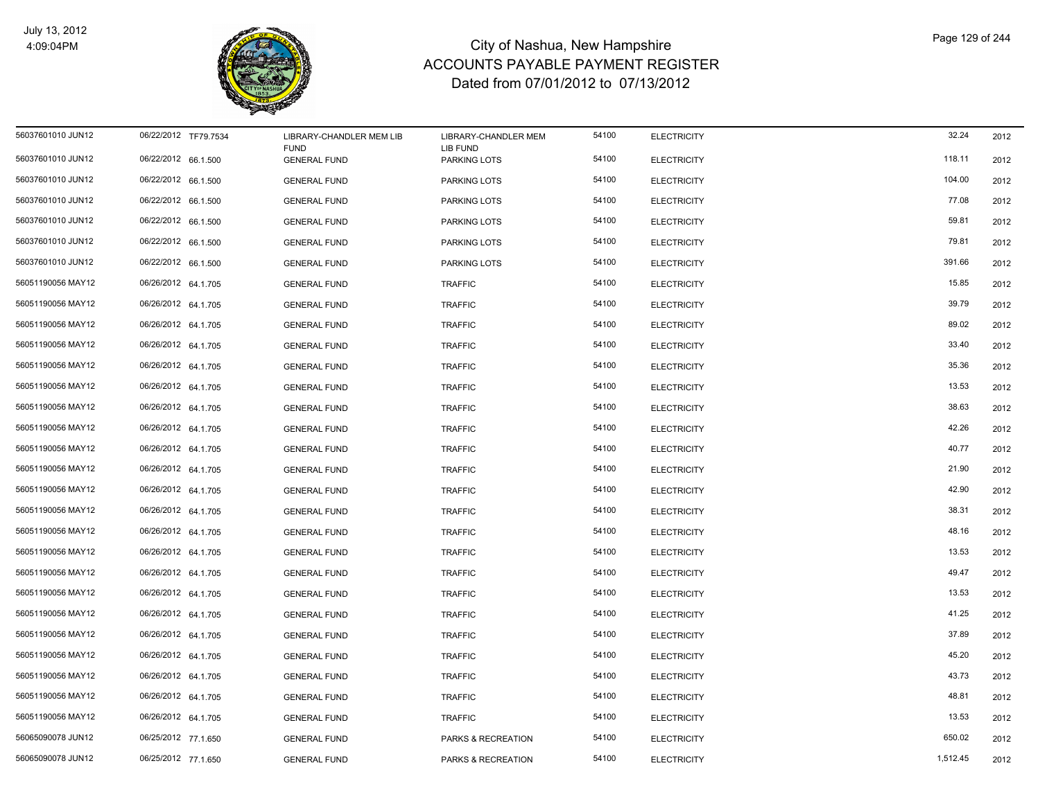

| 56037601010 JUN12 | 06/22/2012 TF79.7534 | LIBRARY-CHANDLER MEM LIB<br><b>FUND</b> | LIBRARY-CHANDLER MEM<br>LIB FUND | 54100 | <b>ELECTRICITY</b> | 32.24    | 2012 |
|-------------------|----------------------|-----------------------------------------|----------------------------------|-------|--------------------|----------|------|
| 56037601010 JUN12 | 06/22/2012 66.1.500  | <b>GENERAL FUND</b>                     | PARKING LOTS                     | 54100 | <b>ELECTRICITY</b> | 118.11   | 2012 |
| 56037601010 JUN12 | 06/22/2012 66.1.500  | <b>GENERAL FUND</b>                     | PARKING LOTS                     | 54100 | <b>ELECTRICITY</b> | 104.00   | 2012 |
| 56037601010 JUN12 | 06/22/2012 66.1.500  | <b>GENERAL FUND</b>                     | <b>PARKING LOTS</b>              | 54100 | <b>ELECTRICITY</b> | 77.08    | 2012 |
| 56037601010 JUN12 | 06/22/2012 66.1.500  | <b>GENERAL FUND</b>                     | PARKING LOTS                     | 54100 | <b>ELECTRICITY</b> | 59.81    | 2012 |
| 56037601010 JUN12 | 06/22/2012 66.1.500  | <b>GENERAL FUND</b>                     | PARKING LOTS                     | 54100 | <b>ELECTRICITY</b> | 79.81    | 2012 |
| 56037601010 JUN12 | 06/22/2012 66.1.500  | <b>GENERAL FUND</b>                     | PARKING LOTS                     | 54100 | <b>ELECTRICITY</b> | 391.66   | 2012 |
| 56051190056 MAY12 | 06/26/2012 64.1.705  | <b>GENERAL FUND</b>                     | <b>TRAFFIC</b>                   | 54100 | <b>ELECTRICITY</b> | 15.85    | 2012 |
| 56051190056 MAY12 | 06/26/2012 64.1.705  | <b>GENERAL FUND</b>                     | <b>TRAFFIC</b>                   | 54100 | <b>ELECTRICITY</b> | 39.79    | 2012 |
| 56051190056 MAY12 | 06/26/2012 64.1.705  | <b>GENERAL FUND</b>                     | <b>TRAFFIC</b>                   | 54100 | <b>ELECTRICITY</b> | 89.02    | 2012 |
| 56051190056 MAY12 | 06/26/2012 64.1.705  | <b>GENERAL FUND</b>                     | <b>TRAFFIC</b>                   | 54100 | <b>ELECTRICITY</b> | 33.40    | 2012 |
| 56051190056 MAY12 | 06/26/2012 64.1.705  | <b>GENERAL FUND</b>                     | <b>TRAFFIC</b>                   | 54100 | <b>ELECTRICITY</b> | 35.36    | 2012 |
| 56051190056 MAY12 | 06/26/2012 64.1.705  | <b>GENERAL FUND</b>                     | <b>TRAFFIC</b>                   | 54100 | <b>ELECTRICITY</b> | 13.53    | 2012 |
| 56051190056 MAY12 | 06/26/2012 64.1.705  | <b>GENERAL FUND</b>                     | <b>TRAFFIC</b>                   | 54100 | <b>ELECTRICITY</b> | 38.63    | 2012 |
| 56051190056 MAY12 | 06/26/2012 64.1.705  | <b>GENERAL FUND</b>                     | <b>TRAFFIC</b>                   | 54100 | <b>ELECTRICITY</b> | 42.26    | 2012 |
| 56051190056 MAY12 | 06/26/2012 64.1.705  | <b>GENERAL FUND</b>                     | <b>TRAFFIC</b>                   | 54100 | <b>ELECTRICITY</b> | 40.77    | 2012 |
| 56051190056 MAY12 | 06/26/2012 64.1.705  | <b>GENERAL FUND</b>                     | <b>TRAFFIC</b>                   | 54100 | <b>ELECTRICITY</b> | 21.90    | 2012 |
| 56051190056 MAY12 | 06/26/2012 64.1.705  | <b>GENERAL FUND</b>                     | <b>TRAFFIC</b>                   | 54100 | <b>ELECTRICITY</b> | 42.90    | 2012 |
| 56051190056 MAY12 | 06/26/2012 64.1.705  | <b>GENERAL FUND</b>                     | <b>TRAFFIC</b>                   | 54100 | <b>ELECTRICITY</b> | 38.31    | 2012 |
| 56051190056 MAY12 | 06/26/2012 64.1.705  | <b>GENERAL FUND</b>                     | <b>TRAFFIC</b>                   | 54100 | <b>ELECTRICITY</b> | 48.16    | 2012 |
| 56051190056 MAY12 | 06/26/2012 64.1.705  | <b>GENERAL FUND</b>                     | <b>TRAFFIC</b>                   | 54100 | <b>ELECTRICITY</b> | 13.53    | 2012 |
| 56051190056 MAY12 | 06/26/2012 64.1.705  | <b>GENERAL FUND</b>                     | <b>TRAFFIC</b>                   | 54100 | <b>ELECTRICITY</b> | 49.47    | 2012 |
| 56051190056 MAY12 | 06/26/2012 64.1.705  | <b>GENERAL FUND</b>                     | <b>TRAFFIC</b>                   | 54100 | <b>ELECTRICITY</b> | 13.53    | 2012 |
| 56051190056 MAY12 | 06/26/2012 64.1.705  | <b>GENERAL FUND</b>                     | <b>TRAFFIC</b>                   | 54100 | <b>ELECTRICITY</b> | 41.25    | 2012 |
| 56051190056 MAY12 | 06/26/2012 64.1.705  | <b>GENERAL FUND</b>                     | <b>TRAFFIC</b>                   | 54100 | <b>ELECTRICITY</b> | 37.89    | 2012 |
| 56051190056 MAY12 | 06/26/2012 64.1.705  | <b>GENERAL FUND</b>                     | <b>TRAFFIC</b>                   | 54100 | <b>ELECTRICITY</b> | 45.20    | 2012 |
| 56051190056 MAY12 | 06/26/2012 64.1.705  | <b>GENERAL FUND</b>                     | <b>TRAFFIC</b>                   | 54100 | <b>ELECTRICITY</b> | 43.73    | 2012 |
| 56051190056 MAY12 | 06/26/2012 64.1.705  | <b>GENERAL FUND</b>                     | <b>TRAFFIC</b>                   | 54100 | <b>ELECTRICITY</b> | 48.81    | 2012 |
| 56051190056 MAY12 | 06/26/2012 64.1.705  | <b>GENERAL FUND</b>                     | <b>TRAFFIC</b>                   | 54100 | <b>ELECTRICITY</b> | 13.53    | 2012 |
| 56065090078 JUN12 | 06/25/2012 77.1.650  | <b>GENERAL FUND</b>                     | PARKS & RECREATION               | 54100 | <b>ELECTRICITY</b> | 650.02   | 2012 |
| 56065090078 JUN12 | 06/25/2012 77.1.650  | <b>GENERAL FUND</b>                     | PARKS & RECREATION               | 54100 | <b>ELECTRICITY</b> | 1,512.45 | 2012 |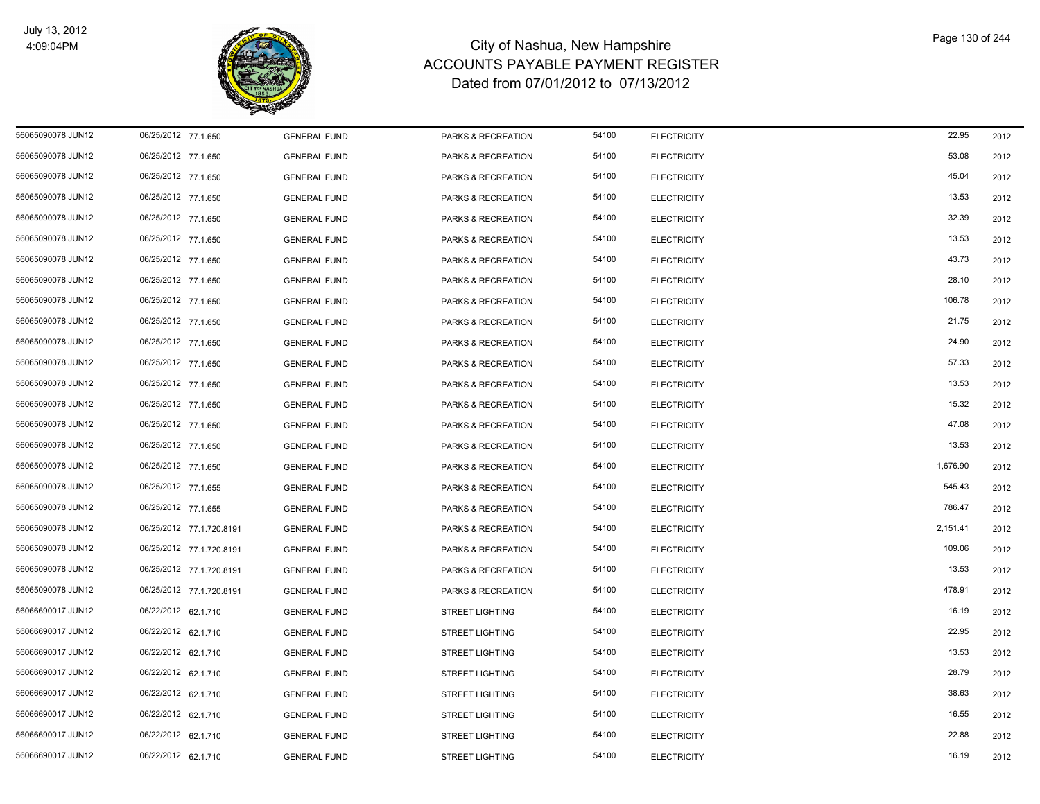

| 56065090078 JUN12 | 06/25/2012 77.1.650      | <b>GENERAL FUND</b> | PARKS & RECREATION            | 54100 | <b>ELECTRICITY</b> | 22.95    | 2012 |
|-------------------|--------------------------|---------------------|-------------------------------|-------|--------------------|----------|------|
| 56065090078 JUN12 | 06/25/2012 77.1.650      | <b>GENERAL FUND</b> | PARKS & RECREATION            | 54100 | <b>ELECTRICITY</b> | 53.08    | 2012 |
| 56065090078 JUN12 | 06/25/2012 77.1.650      | <b>GENERAL FUND</b> | PARKS & RECREATION            | 54100 | <b>ELECTRICITY</b> | 45.04    | 2012 |
| 56065090078 JUN12 | 06/25/2012 77.1.650      | <b>GENERAL FUND</b> | PARKS & RECREATION            | 54100 | <b>ELECTRICITY</b> | 13.53    | 2012 |
| 56065090078 JUN12 | 06/25/2012 77.1.650      | <b>GENERAL FUND</b> | PARKS & RECREATION            | 54100 | <b>ELECTRICITY</b> | 32.39    | 2012 |
| 56065090078 JUN12 | 06/25/2012 77.1.650      | <b>GENERAL FUND</b> | PARKS & RECREATION            | 54100 | <b>ELECTRICITY</b> | 13.53    | 2012 |
| 56065090078 JUN12 | 06/25/2012 77.1.650      | <b>GENERAL FUND</b> | PARKS & RECREATION            | 54100 | <b>ELECTRICITY</b> | 43.73    | 2012 |
| 56065090078 JUN12 | 06/25/2012 77.1.650      | <b>GENERAL FUND</b> | PARKS & RECREATION            | 54100 | <b>ELECTRICITY</b> | 28.10    | 2012 |
| 56065090078 JUN12 | 06/25/2012 77.1.650      | <b>GENERAL FUND</b> | PARKS & RECREATION            | 54100 | <b>ELECTRICITY</b> | 106.78   | 2012 |
| 56065090078 JUN12 | 06/25/2012 77.1.650      | <b>GENERAL FUND</b> | PARKS & RECREATION            | 54100 | <b>ELECTRICITY</b> | 21.75    | 2012 |
| 56065090078 JUN12 | 06/25/2012 77.1.650      | <b>GENERAL FUND</b> | PARKS & RECREATION            | 54100 | <b>ELECTRICITY</b> | 24.90    | 2012 |
| 56065090078 JUN12 | 06/25/2012 77.1.650      | <b>GENERAL FUND</b> | PARKS & RECREATION            | 54100 | <b>ELECTRICITY</b> | 57.33    | 2012 |
| 56065090078 JUN12 | 06/25/2012 77.1.650      | <b>GENERAL FUND</b> | PARKS & RECREATION            | 54100 | <b>ELECTRICITY</b> | 13.53    | 2012 |
| 56065090078 JUN12 | 06/25/2012 77.1.650      | <b>GENERAL FUND</b> | <b>PARKS &amp; RECREATION</b> | 54100 | <b>ELECTRICITY</b> | 15.32    | 2012 |
| 56065090078 JUN12 | 06/25/2012 77.1.650      | <b>GENERAL FUND</b> | PARKS & RECREATION            | 54100 | <b>ELECTRICITY</b> | 47.08    | 2012 |
| 56065090078 JUN12 | 06/25/2012 77.1.650      | <b>GENERAL FUND</b> | PARKS & RECREATION            | 54100 | <b>ELECTRICITY</b> | 13.53    | 2012 |
| 56065090078 JUN12 | 06/25/2012 77.1.650      | <b>GENERAL FUND</b> | PARKS & RECREATION            | 54100 | <b>ELECTRICITY</b> | 1,676.90 | 2012 |
| 56065090078 JUN12 | 06/25/2012 77.1.655      | <b>GENERAL FUND</b> | PARKS & RECREATION            | 54100 | <b>ELECTRICITY</b> | 545.43   | 2012 |
| 56065090078 JUN12 | 06/25/2012 77.1.655      | <b>GENERAL FUND</b> | PARKS & RECREATION            | 54100 | <b>ELECTRICITY</b> | 786.47   | 2012 |
| 56065090078 JUN12 | 06/25/2012 77.1.720.8191 | <b>GENERAL FUND</b> | PARKS & RECREATION            | 54100 | <b>ELECTRICITY</b> | 2,151.41 | 2012 |
| 56065090078 JUN12 | 06/25/2012 77.1.720.8191 | <b>GENERAL FUND</b> | PARKS & RECREATION            | 54100 | <b>ELECTRICITY</b> | 109.06   | 2012 |
| 56065090078 JUN12 | 06/25/2012 77.1.720.8191 | <b>GENERAL FUND</b> | PARKS & RECREATION            | 54100 | <b>ELECTRICITY</b> | 13.53    | 2012 |
| 56065090078 JUN12 | 06/25/2012 77.1.720.8191 | <b>GENERAL FUND</b> | PARKS & RECREATION            | 54100 | <b>ELECTRICITY</b> | 478.91   | 2012 |
| 56066690017 JUN12 | 06/22/2012 62.1.710      | <b>GENERAL FUND</b> | <b>STREET LIGHTING</b>        | 54100 | <b>ELECTRICITY</b> | 16.19    | 2012 |
| 56066690017 JUN12 | 06/22/2012 62.1.710      | <b>GENERAL FUND</b> | <b>STREET LIGHTING</b>        | 54100 | <b>ELECTRICITY</b> | 22.95    | 2012 |
| 56066690017 JUN12 | 06/22/2012 62.1.710      | <b>GENERAL FUND</b> | <b>STREET LIGHTING</b>        | 54100 | <b>ELECTRICITY</b> | 13.53    | 2012 |
| 56066690017 JUN12 | 06/22/2012 62.1.710      | <b>GENERAL FUND</b> | <b>STREET LIGHTING</b>        | 54100 | <b>ELECTRICITY</b> | 28.79    | 2012 |
| 56066690017 JUN12 | 06/22/2012 62.1.710      | <b>GENERAL FUND</b> | <b>STREET LIGHTING</b>        | 54100 | <b>ELECTRICITY</b> | 38.63    | 2012 |
| 56066690017 JUN12 | 06/22/2012 62.1.710      | <b>GENERAL FUND</b> | <b>STREET LIGHTING</b>        | 54100 | <b>ELECTRICITY</b> | 16.55    | 2012 |
| 56066690017 JUN12 | 06/22/2012 62.1.710      | <b>GENERAL FUND</b> | <b>STREET LIGHTING</b>        | 54100 | <b>ELECTRICITY</b> | 22.88    | 2012 |
| 56066690017 JUN12 | 06/22/2012 62.1.710      | <b>GENERAL FUND</b> | <b>STREET LIGHTING</b>        | 54100 | <b>ELECTRICITY</b> | 16.19    | 2012 |
|                   |                          |                     |                               |       |                    |          |      |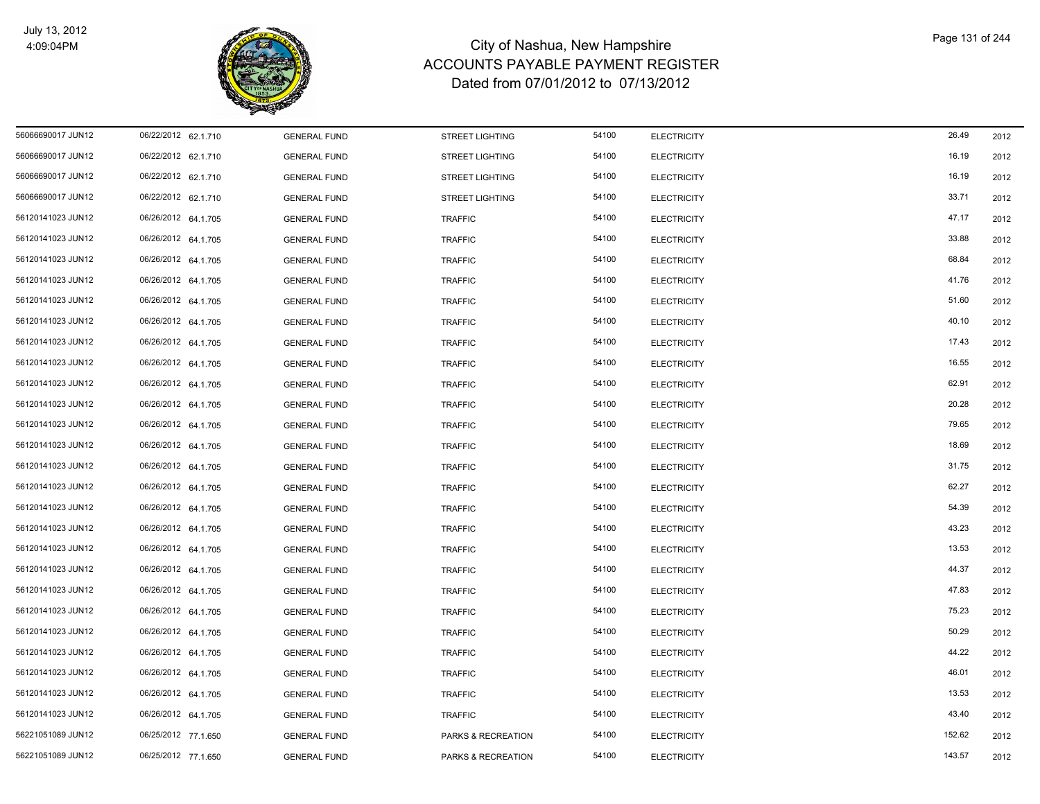

| 56066690017 JUN12 | 06/22/2012 62.1.710 | <b>GENERAL FUND</b> | <b>STREET LIGHTING</b> | 54100 | <b>ELECTRICITY</b> | 26.49  | 2012 |
|-------------------|---------------------|---------------------|------------------------|-------|--------------------|--------|------|
| 56066690017 JUN12 | 06/22/2012 62.1.710 | <b>GENERAL FUND</b> | <b>STREET LIGHTING</b> | 54100 | <b>ELECTRICITY</b> | 16.19  | 2012 |
| 56066690017 JUN12 | 06/22/2012 62.1.710 | <b>GENERAL FUND</b> | <b>STREET LIGHTING</b> | 54100 | <b>ELECTRICITY</b> | 16.19  | 2012 |
| 56066690017 JUN12 | 06/22/2012 62.1.710 | <b>GENERAL FUND</b> | <b>STREET LIGHTING</b> | 54100 | <b>ELECTRICITY</b> | 33.71  | 2012 |
| 56120141023 JUN12 | 06/26/2012 64.1.705 | <b>GENERAL FUND</b> | <b>TRAFFIC</b>         | 54100 | <b>ELECTRICITY</b> | 47.17  | 2012 |
| 56120141023 JUN12 | 06/26/2012 64.1.705 | <b>GENERAL FUND</b> | TRAFFIC                | 54100 | <b>ELECTRICITY</b> | 33.88  | 2012 |
| 56120141023 JUN12 | 06/26/2012 64.1.705 | <b>GENERAL FUND</b> | <b>TRAFFIC</b>         | 54100 | <b>ELECTRICITY</b> | 68.84  | 2012 |
| 56120141023 JUN12 | 06/26/2012 64.1.705 | <b>GENERAL FUND</b> | <b>TRAFFIC</b>         | 54100 | <b>ELECTRICITY</b> | 41.76  | 2012 |
| 56120141023 JUN12 | 06/26/2012 64.1.705 | <b>GENERAL FUND</b> | TRAFFIC                | 54100 | <b>ELECTRICITY</b> | 51.60  | 2012 |
| 56120141023 JUN12 | 06/26/2012 64.1.705 | <b>GENERAL FUND</b> | <b>TRAFFIC</b>         | 54100 | <b>ELECTRICITY</b> | 40.10  | 2012 |
| 56120141023 JUN12 | 06/26/2012 64.1.705 | <b>GENERAL FUND</b> | <b>TRAFFIC</b>         | 54100 | <b>ELECTRICITY</b> | 17.43  | 2012 |
| 56120141023 JUN12 | 06/26/2012 64.1.705 | <b>GENERAL FUND</b> | <b>TRAFFIC</b>         | 54100 | <b>ELECTRICITY</b> | 16.55  | 2012 |
| 56120141023 JUN12 | 06/26/2012 64.1.705 | <b>GENERAL FUND</b> | <b>TRAFFIC</b>         | 54100 | <b>ELECTRICITY</b> | 62.91  | 2012 |
| 56120141023 JUN12 | 06/26/2012 64.1.705 | <b>GENERAL FUND</b> | <b>TRAFFIC</b>         | 54100 | <b>ELECTRICITY</b> | 20.28  | 2012 |
| 56120141023 JUN12 | 06/26/2012 64.1.705 | <b>GENERAL FUND</b> | <b>TRAFFIC</b>         | 54100 | <b>ELECTRICITY</b> | 79.65  | 2012 |
| 56120141023 JUN12 | 06/26/2012 64.1.705 | <b>GENERAL FUND</b> | <b>TRAFFIC</b>         | 54100 | <b>ELECTRICITY</b> | 18.69  | 2012 |
| 56120141023 JUN12 | 06/26/2012 64.1.705 | <b>GENERAL FUND</b> | <b>TRAFFIC</b>         | 54100 | <b>ELECTRICITY</b> | 31.75  | 2012 |
| 56120141023 JUN12 | 06/26/2012 64.1.705 | <b>GENERAL FUND</b> | <b>TRAFFIC</b>         | 54100 | <b>ELECTRICITY</b> | 62.27  | 2012 |
| 56120141023 JUN12 | 06/26/2012 64.1.705 | <b>GENERAL FUND</b> | <b>TRAFFIC</b>         | 54100 | <b>ELECTRICITY</b> | 54.39  | 2012 |
| 56120141023 JUN12 | 06/26/2012 64.1.705 | <b>GENERAL FUND</b> | <b>TRAFFIC</b>         | 54100 | <b>ELECTRICITY</b> | 43.23  | 2012 |
| 56120141023 JUN12 | 06/26/2012 64.1.705 | <b>GENERAL FUND</b> | <b>TRAFFIC</b>         | 54100 | <b>ELECTRICITY</b> | 13.53  | 2012 |
| 56120141023 JUN12 | 06/26/2012 64.1.705 | <b>GENERAL FUND</b> | <b>TRAFFIC</b>         | 54100 | <b>ELECTRICITY</b> | 44.37  | 2012 |
| 56120141023 JUN12 | 06/26/2012 64.1.705 | <b>GENERAL FUND</b> | <b>TRAFFIC</b>         | 54100 | <b>ELECTRICITY</b> | 47.83  | 2012 |
| 56120141023 JUN12 | 06/26/2012 64.1.705 | <b>GENERAL FUND</b> | <b>TRAFFIC</b>         | 54100 | <b>ELECTRICITY</b> | 75.23  | 2012 |
| 56120141023 JUN12 | 06/26/2012 64.1.705 | <b>GENERAL FUND</b> | <b>TRAFFIC</b>         | 54100 | <b>ELECTRICITY</b> | 50.29  | 2012 |
| 56120141023 JUN12 | 06/26/2012 64.1.705 | <b>GENERAL FUND</b> | TRAFFIC                | 54100 | <b>ELECTRICITY</b> | 44.22  | 2012 |
| 56120141023 JUN12 | 06/26/2012 64.1.705 | <b>GENERAL FUND</b> | <b>TRAFFIC</b>         | 54100 | <b>ELECTRICITY</b> | 46.01  | 2012 |
| 56120141023 JUN12 | 06/26/2012 64.1.705 | <b>GENERAL FUND</b> | <b>TRAFFIC</b>         | 54100 | <b>ELECTRICITY</b> | 13.53  | 2012 |
| 56120141023 JUN12 | 06/26/2012 64.1.705 | <b>GENERAL FUND</b> | <b>TRAFFIC</b>         | 54100 | <b>ELECTRICITY</b> | 43.40  | 2012 |
| 56221051089 JUN12 | 06/25/2012 77.1.650 | <b>GENERAL FUND</b> | PARKS & RECREATION     | 54100 | <b>ELECTRICITY</b> | 152.62 | 2012 |
| 56221051089 JUN12 | 06/25/2012 77.1.650 | <b>GENERAL FUND</b> | PARKS & RECREATION     | 54100 | <b>ELECTRICITY</b> | 143.57 | 2012 |
|                   |                     |                     |                        |       |                    |        |      |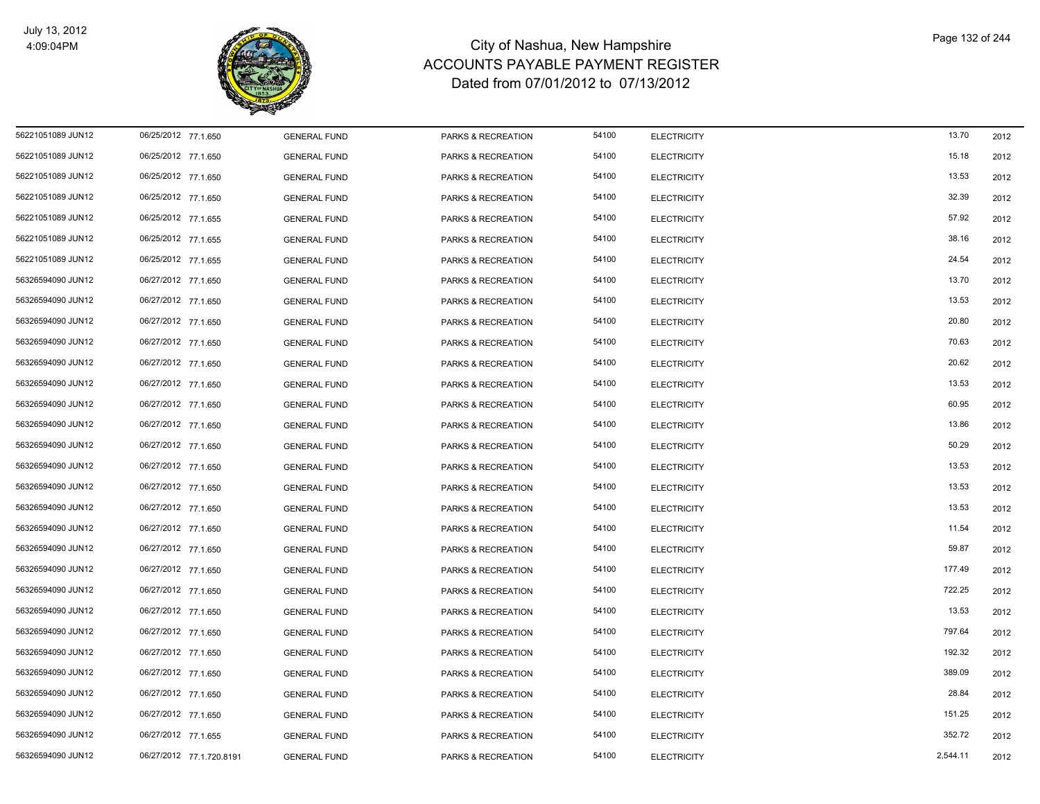

| 56221051089 JUN12 | 06/25/2012 77.1.650      | <b>GENERAL FUND</b> | PARKS & RECREATION | 54100 | <b>ELECTRICITY</b> | 13.70    | 2012 |
|-------------------|--------------------------|---------------------|--------------------|-------|--------------------|----------|------|
| 56221051089 JUN12 | 06/25/2012 77.1.650      | <b>GENERAL FUND</b> | PARKS & RECREATION | 54100 | <b>ELECTRICITY</b> | 15.18    | 2012 |
| 56221051089 JUN12 | 06/25/2012 77.1.650      | <b>GENERAL FUND</b> | PARKS & RECREATION | 54100 | <b>ELECTRICITY</b> | 13.53    | 2012 |
| 56221051089 JUN12 | 06/25/2012 77.1.650      | <b>GENERAL FUND</b> | PARKS & RECREATION | 54100 | <b>ELECTRICITY</b> | 32.39    | 2012 |
| 56221051089 JUN12 | 06/25/2012 77.1.655      | <b>GENERAL FUND</b> | PARKS & RECREATION | 54100 | <b>ELECTRICITY</b> | 57.92    | 2012 |
| 56221051089 JUN12 | 06/25/2012 77.1.655      | <b>GENERAL FUND</b> | PARKS & RECREATION | 54100 | <b>ELECTRICITY</b> | 38.16    | 2012 |
| 56221051089 JUN12 | 06/25/2012 77.1.655      | <b>GENERAL FUND</b> | PARKS & RECREATION | 54100 | <b>ELECTRICITY</b> | 24.54    | 2012 |
| 56326594090 JUN12 | 06/27/2012 77.1.650      | <b>GENERAL FUND</b> | PARKS & RECREATION | 54100 | <b>ELECTRICITY</b> | 13.70    | 2012 |
| 56326594090 JUN12 | 06/27/2012 77.1.650      | <b>GENERAL FUND</b> | PARKS & RECREATION | 54100 | <b>ELECTRICITY</b> | 13.53    | 2012 |
| 56326594090 JUN12 | 06/27/2012 77.1.650      | <b>GENERAL FUND</b> | PARKS & RECREATION | 54100 | <b>ELECTRICITY</b> | 20.80    | 2012 |
| 56326594090 JUN12 | 06/27/2012 77.1.650      | <b>GENERAL FUND</b> | PARKS & RECREATION | 54100 | <b>ELECTRICITY</b> | 70.63    | 2012 |
| 56326594090 JUN12 | 06/27/2012 77.1.650      | <b>GENERAL FUND</b> | PARKS & RECREATION | 54100 | <b>ELECTRICITY</b> | 20.62    | 2012 |
| 56326594090 JUN12 | 06/27/2012 77.1.650      | <b>GENERAL FUND</b> | PARKS & RECREATION | 54100 | <b>ELECTRICITY</b> | 13.53    | 2012 |
| 56326594090 JUN12 | 06/27/2012 77.1.650      | <b>GENERAL FUND</b> | PARKS & RECREATION | 54100 | <b>ELECTRICITY</b> | 60.95    | 2012 |
| 56326594090 JUN12 | 06/27/2012 77.1.650      | <b>GENERAL FUND</b> | PARKS & RECREATION | 54100 | <b>ELECTRICITY</b> | 13.86    | 2012 |
| 56326594090 JUN12 | 06/27/2012 77.1.650      | <b>GENERAL FUND</b> | PARKS & RECREATION | 54100 | <b>ELECTRICITY</b> | 50.29    | 2012 |
| 56326594090 JUN12 | 06/27/2012 77.1.650      | <b>GENERAL FUND</b> | PARKS & RECREATION | 54100 | <b>ELECTRICITY</b> | 13.53    | 2012 |
| 56326594090 JUN12 | 06/27/2012 77.1.650      | <b>GENERAL FUND</b> | PARKS & RECREATION | 54100 | <b>ELECTRICITY</b> | 13.53    | 2012 |
| 56326594090 JUN12 | 06/27/2012 77.1.650      | <b>GENERAL FUND</b> | PARKS & RECREATION | 54100 | <b>ELECTRICITY</b> | 13.53    | 2012 |
| 56326594090 JUN12 | 06/27/2012 77.1.650      | <b>GENERAL FUND</b> | PARKS & RECREATION | 54100 | <b>ELECTRICITY</b> | 11.54    | 2012 |
| 56326594090 JUN12 | 06/27/2012 77.1.650      | <b>GENERAL FUND</b> | PARKS & RECREATION | 54100 | <b>ELECTRICITY</b> | 59.87    | 2012 |
| 56326594090 JUN12 | 06/27/2012 77.1.650      | <b>GENERAL FUND</b> | PARKS & RECREATION | 54100 | <b>ELECTRICITY</b> | 177.49   | 2012 |
| 56326594090 JUN12 | 06/27/2012 77.1.650      | <b>GENERAL FUND</b> | PARKS & RECREATION | 54100 | <b>ELECTRICITY</b> | 722.25   | 2012 |
| 56326594090 JUN12 | 06/27/2012 77.1.650      | <b>GENERAL FUND</b> | PARKS & RECREATION | 54100 | <b>ELECTRICITY</b> | 13.53    | 2012 |
| 56326594090 JUN12 | 06/27/2012 77.1.650      | <b>GENERAL FUND</b> | PARKS & RECREATION | 54100 | <b>ELECTRICITY</b> | 797.64   | 2012 |
| 56326594090 JUN12 | 06/27/2012 77.1.650      | <b>GENERAL FUND</b> | PARKS & RECREATION | 54100 | <b>ELECTRICITY</b> | 192.32   | 2012 |
| 56326594090 JUN12 | 06/27/2012 77.1.650      | <b>GENERAL FUND</b> | PARKS & RECREATION | 54100 | <b>ELECTRICITY</b> | 389.09   | 2012 |
| 56326594090 JUN12 | 06/27/2012 77.1.650      | <b>GENERAL FUND</b> | PARKS & RECREATION | 54100 | <b>ELECTRICITY</b> | 28.84    | 2012 |
| 56326594090 JUN12 | 06/27/2012 77.1.650      | <b>GENERAL FUND</b> | PARKS & RECREATION | 54100 | <b>ELECTRICITY</b> | 151.25   | 2012 |
| 56326594090 JUN12 | 06/27/2012 77.1.655      | <b>GENERAL FUND</b> | PARKS & RECREATION | 54100 | <b>ELECTRICITY</b> | 352.72   | 2012 |
| 56326594090 JUN12 | 06/27/2012 77.1.720.8191 | <b>GENERAL FUND</b> | PARKS & RECREATION | 54100 | <b>ELECTRICITY</b> | 2,544.11 | 2012 |
|                   |                          |                     |                    |       |                    |          |      |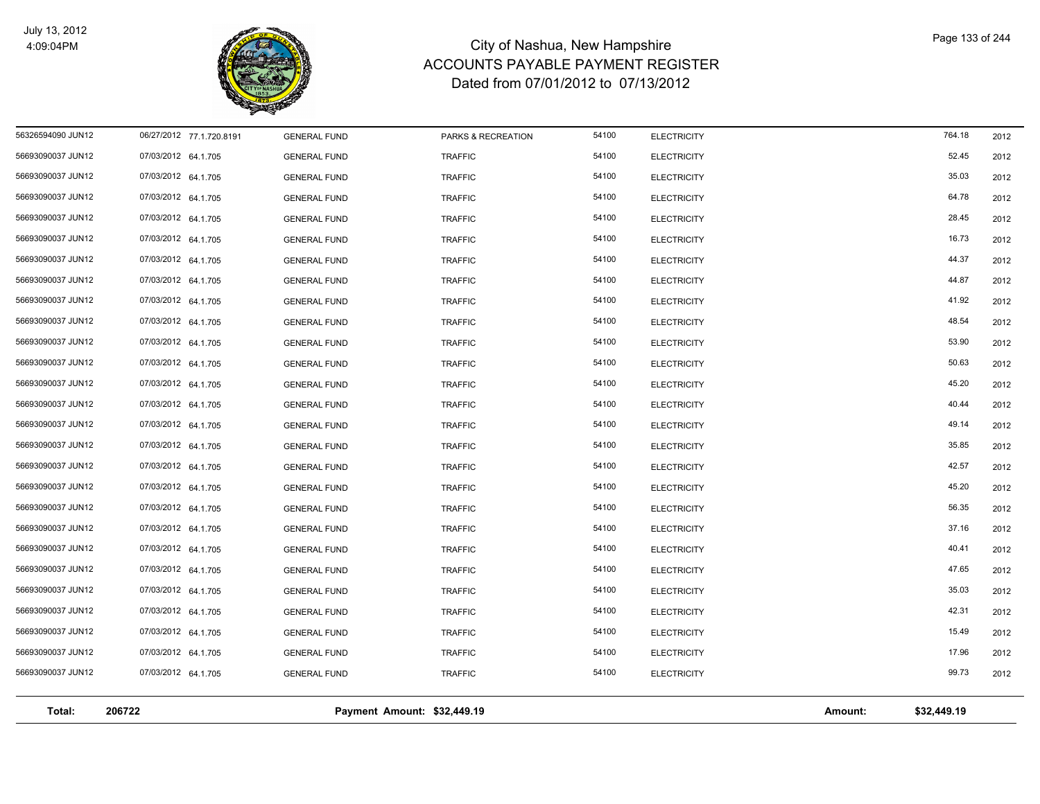

| Total:            | 206722                   |                     | Payment Amount: \$32,449.19 |       |                    | Amount: | \$32,449.19 |      |
|-------------------|--------------------------|---------------------|-----------------------------|-------|--------------------|---------|-------------|------|
|                   |                          |                     |                             |       |                    |         |             |      |
| 56693090037 JUN12 | 07/03/2012 64.1.705      | <b>GENERAL FUND</b> | <b>TRAFFIC</b>              | 54100 | <b>ELECTRICITY</b> |         | 99.73       | 2012 |
| 56693090037 JUN12 | 07/03/2012 64.1.705      | <b>GENERAL FUND</b> | <b>TRAFFIC</b>              | 54100 | <b>ELECTRICITY</b> |         | 17.96       | 2012 |
| 56693090037 JUN12 | 07/03/2012 64.1.705      | <b>GENERAL FUND</b> | <b>TRAFFIC</b>              | 54100 | <b>ELECTRICITY</b> |         | 15.49       | 2012 |
| 56693090037 JUN12 | 07/03/2012 64.1.705      | <b>GENERAL FUND</b> | <b>TRAFFIC</b>              | 54100 | <b>ELECTRICITY</b> |         | 42.31       | 2012 |
| 56693090037 JUN12 | 07/03/2012 64.1.705      | <b>GENERAL FUND</b> | <b>TRAFFIC</b>              | 54100 | <b>ELECTRICITY</b> |         | 35.03       | 2012 |
| 56693090037 JUN12 | 07/03/2012 64.1.705      | <b>GENERAL FUND</b> | <b>TRAFFIC</b>              | 54100 | <b>ELECTRICITY</b> |         | 47.65       | 2012 |
| 56693090037 JUN12 | 07/03/2012 64.1.705      | <b>GENERAL FUND</b> | <b>TRAFFIC</b>              | 54100 | <b>ELECTRICITY</b> |         | 40.41       | 2012 |
| 56693090037 JUN12 | 07/03/2012 64.1.705      | <b>GENERAL FUND</b> | <b>TRAFFIC</b>              | 54100 | <b>ELECTRICITY</b> |         | 37.16       | 2012 |
| 56693090037 JUN12 | 07/03/2012 64.1.705      | <b>GENERAL FUND</b> | <b>TRAFFIC</b>              | 54100 | <b>ELECTRICITY</b> |         | 56.35       | 2012 |
| 56693090037 JUN12 | 07/03/2012 64.1.705      | <b>GENERAL FUND</b> | <b>TRAFFIC</b>              | 54100 | <b>ELECTRICITY</b> |         | 45.20       | 2012 |
| 56693090037 JUN12 | 07/03/2012 64.1.705      | <b>GENERAL FUND</b> | <b>TRAFFIC</b>              | 54100 | <b>ELECTRICITY</b> |         | 42.57       | 2012 |
| 56693090037 JUN12 | 07/03/2012 64.1.705      | <b>GENERAL FUND</b> | <b>TRAFFIC</b>              | 54100 | <b>ELECTRICITY</b> |         | 35.85       | 2012 |
| 56693090037 JUN12 | 07/03/2012 64.1.705      | <b>GENERAL FUND</b> | <b>TRAFFIC</b>              | 54100 | <b>ELECTRICITY</b> |         | 49.14       | 2012 |
| 56693090037 JUN12 | 07/03/2012 64.1.705      | <b>GENERAL FUND</b> | <b>TRAFFIC</b>              | 54100 | <b>ELECTRICITY</b> |         | 40.44       | 2012 |
| 56693090037 JUN12 | 07/03/2012 64.1.705      | <b>GENERAL FUND</b> | <b>TRAFFIC</b>              | 54100 | <b>ELECTRICITY</b> |         | 45.20       | 2012 |
| 56693090037 JUN12 | 07/03/2012 64.1.705      | <b>GENERAL FUND</b> | <b>TRAFFIC</b>              | 54100 | <b>ELECTRICITY</b> |         | 50.63       | 2012 |
| 56693090037 JUN12 | 07/03/2012 64.1.705      | <b>GENERAL FUND</b> | <b>TRAFFIC</b>              | 54100 | <b>ELECTRICITY</b> |         | 53.90       | 2012 |
| 56693090037 JUN12 | 07/03/2012 64.1.705      | <b>GENERAL FUND</b> | <b>TRAFFIC</b>              | 54100 | <b>ELECTRICITY</b> |         | 48.54       | 2012 |
| 56693090037 JUN12 | 07/03/2012 64.1.705      | <b>GENERAL FUND</b> | <b>TRAFFIC</b>              | 54100 | <b>ELECTRICITY</b> |         | 41.92       | 2012 |
| 56693090037 JUN12 | 07/03/2012 64.1.705      | <b>GENERAL FUND</b> | <b>TRAFFIC</b>              | 54100 | <b>ELECTRICITY</b> |         | 44.87       | 2012 |
| 56693090037 JUN12 | 07/03/2012 64.1.705      | <b>GENERAL FUND</b> | <b>TRAFFIC</b>              | 54100 | <b>ELECTRICITY</b> |         | 44.37       | 2012 |
| 56693090037 JUN12 | 07/03/2012 64.1.705      | <b>GENERAL FUND</b> | <b>TRAFFIC</b>              | 54100 | <b>ELECTRICITY</b> |         | 16.73       | 2012 |
| 56693090037 JUN12 | 07/03/2012 64.1.705      | <b>GENERAL FUND</b> | <b>TRAFFIC</b>              | 54100 | <b>ELECTRICITY</b> |         | 28.45       | 2012 |
| 56693090037 JUN12 | 07/03/2012 64.1.705      | <b>GENERAL FUND</b> | <b>TRAFFIC</b>              | 54100 | <b>ELECTRICITY</b> |         | 64.78       | 2012 |
| 56693090037 JUN12 | 07/03/2012 64.1.705      | <b>GENERAL FUND</b> | <b>TRAFFIC</b>              | 54100 | <b>ELECTRICITY</b> |         | 35.03       | 2012 |
| 56693090037 JUN12 | 07/03/2012 64.1.705      | <b>GENERAL FUND</b> | <b>TRAFFIC</b>              | 54100 | <b>ELECTRICITY</b> |         | 52.45       | 2012 |
| 56326594090 JUN12 | 06/27/2012 77.1.720.8191 | <b>GENERAL FUND</b> | PARKS & RECREATION          | 54100 | <b>ELECTRICITY</b> |         | 764.18      | 2012 |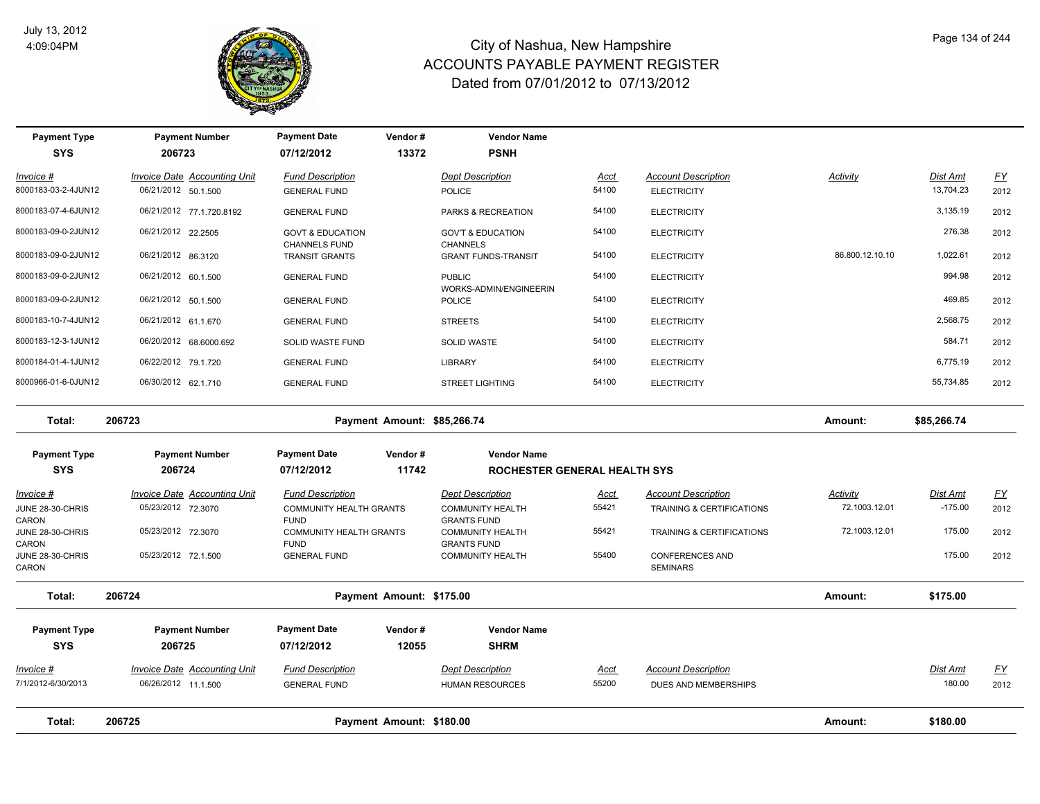

| <b>Payment Type</b><br><b>SYS</b>  | <b>Payment Number</b><br>206723                            | <b>Payment Date</b><br>07/12/2012              | Vendor#<br>13372         | <b>Vendor Name</b><br><b>PSNH</b>             |               |                                                  |                 |                       |                  |
|------------------------------------|------------------------------------------------------------|------------------------------------------------|--------------------------|-----------------------------------------------|---------------|--------------------------------------------------|-----------------|-----------------------|------------------|
| Invoice #<br>8000183-03-2-4JUN12   | <b>Invoice Date Accounting Unit</b><br>06/21/2012 50.1.500 | <b>Fund Description</b><br><b>GENERAL FUND</b> |                          | <b>Dept Description</b><br><b>POLICE</b>      | Acct<br>54100 | <b>Account Description</b><br><b>ELECTRICITY</b> | Activity        | Dist Amt<br>13,704.23 | EY<br>2012       |
| 8000183-07-4-6JUN12                | 06/21/2012 77.1.720.8192                                   | <b>GENERAL FUND</b>                            |                          | PARKS & RECREATION                            | 54100         | <b>ELECTRICITY</b>                               |                 | 3,135.19              | 2012             |
| 8000183-09-0-2JUN12                | 06/21/2012 22.2505                                         | <b>GOVT &amp; EDUCATION</b>                    |                          | <b>GOV'T &amp; EDUCATION</b>                  | 54100         | <b>ELECTRICITY</b>                               |                 | 276.38                | 2012             |
| 8000183-09-0-2JUN12                | 06/21/2012 86.3120                                         | <b>CHANNELS FUND</b><br>TRANSIT GRANTS         |                          | <b>CHANNELS</b><br><b>GRANT FUNDS-TRANSIT</b> | 54100         | <b>ELECTRICITY</b>                               | 86.800.12.10.10 | 1,022.61              | 2012             |
| 8000183-09-0-2JUN12                | 06/21/2012 60.1.500                                        | <b>GENERAL FUND</b>                            |                          | <b>PUBLIC</b><br>WORKS-ADMIN/ENGINEERIN       | 54100         | <b>ELECTRICITY</b>                               |                 | 994.98                | 2012             |
| 8000183-09-0-2JUN12                | 06/21/2012 50.1.500                                        | <b>GENERAL FUND</b>                            |                          | <b>POLICE</b>                                 | 54100         | <b>ELECTRICITY</b>                               |                 | 469.85                | 2012             |
| 8000183-10-7-4JUN12                | 06/21/2012 61.1.670                                        | <b>GENERAL FUND</b>                            |                          | <b>STREETS</b>                                | 54100         | <b>ELECTRICITY</b>                               |                 | 2,568.75              | 2012             |
| 8000183-12-3-1JUN12                | 06/20/2012 68.6000.692                                     | SOLID WASTE FUND                               |                          | <b>SOLID WASTE</b>                            | 54100         | <b>ELECTRICITY</b>                               |                 | 584.71                | 2012             |
| 8000184-01-4-1JUN12                | 06/22/2012 79.1.720                                        | <b>GENERAL FUND</b>                            |                          | LIBRARY                                       | 54100         | <b>ELECTRICITY</b>                               |                 | 6,775.19              | 2012             |
| 8000966-01-6-0JUN12                | 06/30/2012 62.1.710                                        | <b>GENERAL FUND</b>                            |                          | <b>STREET LIGHTING</b>                        | 54100         | <b>ELECTRICITY</b>                               |                 | 55,734.85             | 2012             |
| Total:                             | 206723                                                     | Payment Amount: \$85,266.74                    |                          |                                               |               |                                                  | Amount:         | \$85,266.74           |                  |
| <b>Payment Type</b>                | <b>Payment Number</b>                                      | <b>Payment Date</b>                            | Vendor#                  | <b>Vendor Name</b>                            |               |                                                  |                 |                       |                  |
| <b>SYS</b>                         | 206724                                                     | 07/12/2012                                     | 11742                    | ROCHESTER GENERAL HEALTH SYS                  |               |                                                  |                 |                       |                  |
| $Invoice$ #                        | <b>Invoice Date Accounting Unit</b>                        | <b>Fund Description</b>                        |                          | <b>Dept Description</b>                       | <u>Acct</u>   | <b>Account Description</b>                       | <b>Activity</b> | <b>Dist Amt</b>       | <u>FY</u>        |
| JUNE 28-30-CHRIS<br>CARON          | 05/23/2012 72.3070                                         | <b>COMMUNITY HEALTH GRANTS</b><br><b>FUND</b>  |                          | <b>COMMUNITY HEALTH</b><br><b>GRANTS FUND</b> | 55421         | TRAINING & CERTIFICATIONS                        | 72.1003.12.01   | $-175.00$             | 2012             |
| JUNE 28-30-CHRIS                   | 05/23/2012 72.3070                                         | <b>COMMUNITY HEALTH GRANTS</b>                 |                          | <b>COMMUNITY HEALTH</b>                       | 55421         | TRAINING & CERTIFICATIONS                        | 72.1003.12.01   | 175.00                | 2012             |
| CARON<br>JUNE 28-30-CHRIS<br>CARON | 05/23/2012 72.1.500                                        | <b>FUND</b><br><b>GENERAL FUND</b>             |                          | <b>GRANTS FUND</b><br><b>COMMUNITY HEALTH</b> | 55400         | <b>CONFERENCES AND</b><br><b>SEMINARS</b>        |                 | 175.00                | 2012             |
| Total:                             | 206724                                                     |                                                | Payment Amount: \$175.00 |                                               |               |                                                  | Amount:         | \$175.00              |                  |
| <b>Payment Type</b>                | <b>Payment Number</b>                                      | <b>Payment Date</b>                            | Vendor#                  | <b>Vendor Name</b>                            |               |                                                  |                 |                       |                  |
| <b>SYS</b>                         | 206725                                                     | 07/12/2012                                     | 12055                    | <b>SHRM</b>                                   |               |                                                  |                 |                       |                  |
| Invoice #                          | <b>Invoice Date Accounting Unit</b>                        | <b>Fund Description</b>                        |                          | <b>Dept Description</b>                       | <u>Acct</u>   | <b>Account Description</b>                       |                 | Dist Amt              | $\underline{FY}$ |
| 7/1/2012-6/30/2013                 | 06/26/2012 11.1.500                                        | <b>GENERAL FUND</b>                            |                          | <b>HUMAN RESOURCES</b>                        | 55200         | DUES AND MEMBERSHIPS                             |                 | 180.00                | 2012             |
| Total:                             | 206725                                                     |                                                | Payment Amount: \$180.00 |                                               |               |                                                  | Amount:         | \$180.00              |                  |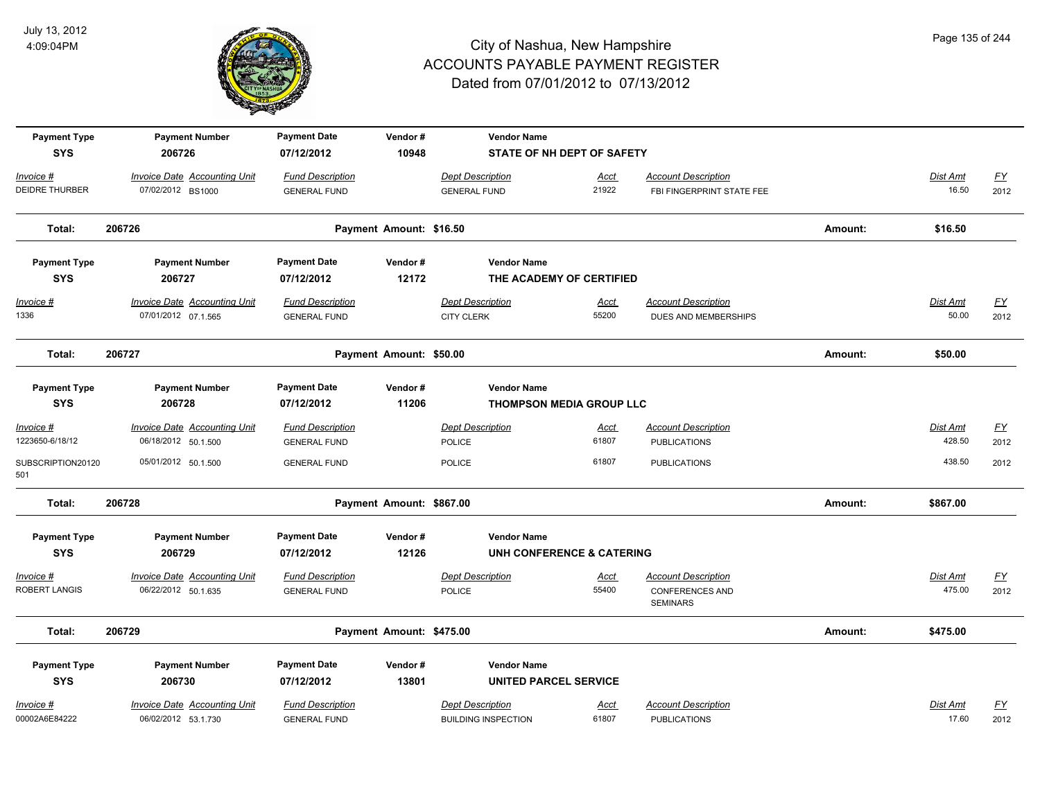

| <b>Payment Type</b>               | <b>Payment Number</b>                                      | <b>Payment Date</b>                            | Vendor#                  | <b>Vendor Name</b>                           |                                 |                                                    |         |                          |                   |
|-----------------------------------|------------------------------------------------------------|------------------------------------------------|--------------------------|----------------------------------------------|---------------------------------|----------------------------------------------------|---------|--------------------------|-------------------|
| <b>SYS</b>                        | 206726                                                     | 07/12/2012                                     | 10948                    |                                              | STATE OF NH DEPT OF SAFETY      |                                                    |         |                          |                   |
| Invoice #                         | Invoice Date Accounting Unit                               | <b>Fund Description</b>                        |                          | <b>Dept Description</b>                      | <b>Acct</b>                     | <b>Account Description</b>                         |         | Dist Amt                 | <u>FY</u>         |
| <b>DEIDRE THURBER</b>             | 07/02/2012 BS1000                                          | <b>GENERAL FUND</b>                            |                          | <b>GENERAL FUND</b>                          | 21922                           | FBI FINGERPRINT STATE FEE                          |         | 16.50                    | 2012              |
| Total:                            | 206726                                                     |                                                | Payment Amount: \$16.50  |                                              |                                 |                                                    | Amount: | \$16.50                  |                   |
| <b>Payment Type</b>               | <b>Payment Number</b>                                      | <b>Payment Date</b>                            | Vendor#                  | <b>Vendor Name</b>                           |                                 |                                                    |         |                          |                   |
| <b>SYS</b>                        | 206727                                                     | 07/12/2012                                     | 12172                    |                                              | THE ACADEMY OF CERTIFIED        |                                                    |         |                          |                   |
| $Invoice$ #<br>1336               | <b>Invoice Date Accounting Unit</b><br>07/01/2012 07.1.565 | <b>Fund Description</b><br><b>GENERAL FUND</b> |                          | <b>Dept Description</b><br><b>CITY CLERK</b> | <u>Acct</u><br>55200            | <b>Account Description</b><br>DUES AND MEMBERSHIPS |         | <b>Dist Amt</b><br>50.00 | <u>FY</u><br>2012 |
|                                   |                                                            |                                                |                          |                                              |                                 |                                                    |         |                          |                   |
| Total:                            | 206727                                                     |                                                | Payment Amount: \$50.00  |                                              |                                 |                                                    | Amount: | \$50.00                  |                   |
| <b>Payment Type</b><br><b>SYS</b> | <b>Payment Number</b><br>206728                            | <b>Payment Date</b><br>07/12/2012              | Vendor#<br>11206         | <b>Vendor Name</b>                           | <b>THOMPSON MEDIA GROUP LLC</b> |                                                    |         |                          |                   |
| Invoice #                         | Invoice Date Accounting Unit                               | <b>Fund Description</b>                        |                          | <b>Dept Description</b>                      | <u>Acct</u>                     | <b>Account Description</b>                         |         | Dist Amt                 | <u>FY</u>         |
| 1223650-6/18/12                   | 06/18/2012 50.1.500                                        | <b>GENERAL FUND</b>                            |                          | <b>POLICE</b>                                | 61807                           | <b>PUBLICATIONS</b>                                |         | 428.50                   | 2012              |
| SUBSCRIPTION20120<br>501          | 05/01/2012 50.1.500                                        | <b>GENERAL FUND</b>                            |                          | <b>POLICE</b>                                | 61807                           | <b>PUBLICATIONS</b>                                |         | 438.50                   | 2012              |
| Total:                            | 206728                                                     |                                                | Payment Amount: \$867.00 |                                              |                                 |                                                    | Amount: | \$867.00                 |                   |
| <b>Payment Type</b>               | <b>Payment Number</b>                                      | <b>Payment Date</b>                            | Vendor#                  | <b>Vendor Name</b>                           |                                 |                                                    |         |                          |                   |
| <b>SYS</b>                        | 206729                                                     | 07/12/2012                                     | 12126                    |                                              | UNH CONFERENCE & CATERING       |                                                    |         |                          |                   |
| Invoice #                         | <b>Invoice Date Accounting Unit</b>                        | <b>Fund Description</b>                        |                          | <b>Dept Description</b>                      | Acct                            | <b>Account Description</b>                         |         | Dist Amt                 | <u>FY</u>         |
| ROBERT LANGIS                     | 06/22/2012 50.1.635                                        | <b>GENERAL FUND</b>                            |                          | <b>POLICE</b>                                | 55400                           | <b>CONFERENCES AND</b><br><b>SEMINARS</b>          |         | 475.00                   | 2012              |
| Total:                            | 206729                                                     |                                                | Payment Amount: \$475.00 |                                              |                                 |                                                    | Amount: | \$475.00                 |                   |
| <b>Payment Type</b>               | <b>Payment Number</b>                                      | <b>Payment Date</b>                            | Vendor#                  | <b>Vendor Name</b>                           |                                 |                                                    |         |                          |                   |
| <b>SYS</b>                        | 206730                                                     | 07/12/2012                                     | 13801                    | <b>UNITED PARCEL SERVICE</b>                 |                                 |                                                    |         |                          |                   |
| Invoice #                         | Invoice Date Accounting Unit                               | <b>Fund Description</b>                        |                          | <b>Dept Description</b>                      | Acct                            | <b>Account Description</b>                         |         | Dist Amt                 | <u>FY</u>         |
| 00002A6E84222                     | 06/02/2012 53.1.730                                        | <b>GENERAL FUND</b>                            |                          | <b>BUILDING INSPECTION</b>                   | 61807                           | <b>PUBLICATIONS</b>                                |         | 17.60                    | 2012              |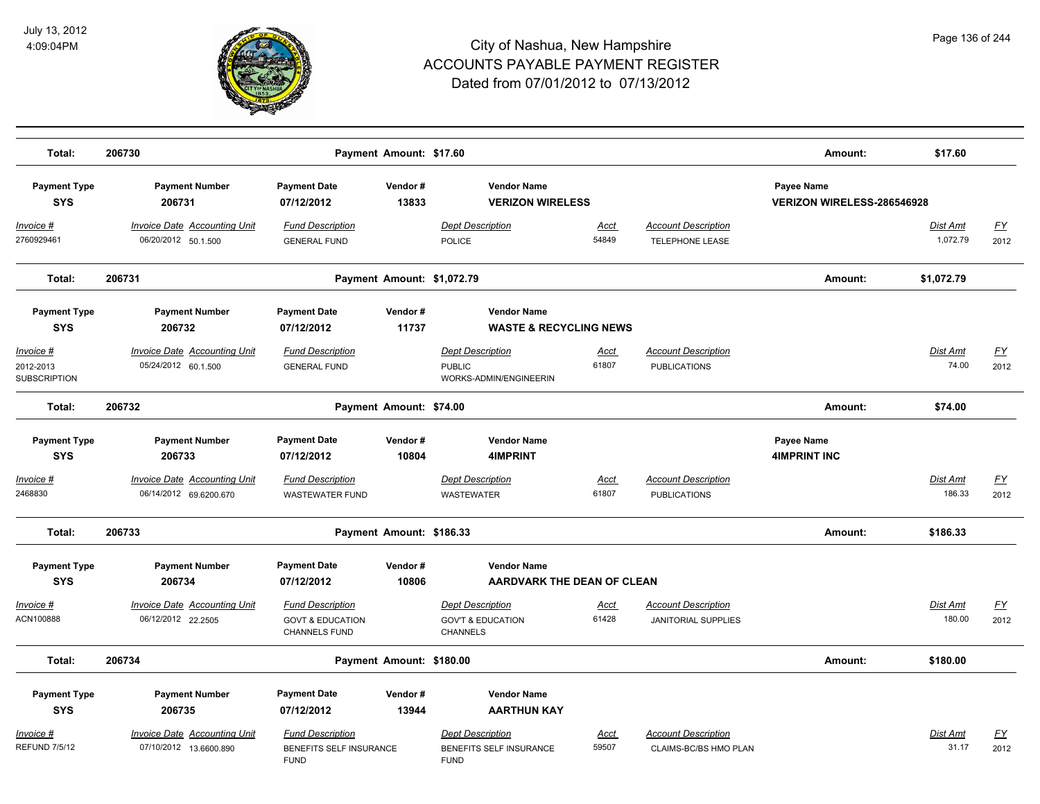

| Total:                                         | 206730                                                                 |                                                              | Payment Amount: \$17.60    |                                                                             |               |                                                      | Amount:                                  | \$17.60              |                   |
|------------------------------------------------|------------------------------------------------------------------------|--------------------------------------------------------------|----------------------------|-----------------------------------------------------------------------------|---------------|------------------------------------------------------|------------------------------------------|----------------------|-------------------|
| <b>Payment Type</b><br><b>SYS</b>              | <b>Payment Number</b><br>206731                                        | <b>Payment Date</b><br>07/12/2012                            | Vendor#<br>13833           | <b>Vendor Name</b><br><b>VERIZON WIRELESS</b>                               |               |                                                      | Payee Name<br>VERIZON WIRELESS-286546928 |                      |                   |
| Invoice #<br>2760929461                        | <b>Invoice Date Accounting Unit</b><br>06/20/2012 50.1.500             | <b>Fund Description</b><br><b>GENERAL FUND</b>               |                            | <b>Dept Description</b><br><b>POLICE</b>                                    | Acct<br>54849 | <b>Account Description</b><br><b>TELEPHONE LEASE</b> |                                          | Dist Amt<br>1,072.79 | <u>FY</u><br>2012 |
| Total:                                         | 206731                                                                 |                                                              | Payment Amount: \$1,072.79 |                                                                             |               |                                                      | Amount:                                  | \$1,072.79           |                   |
| <b>Payment Type</b><br><b>SYS</b>              | <b>Payment Number</b><br>206732                                        | <b>Payment Date</b><br>07/12/2012                            | Vendor#<br>11737           | <b>Vendor Name</b><br><b>WASTE &amp; RECYCLING NEWS</b>                     |               |                                                      |                                          |                      |                   |
| Invoice #<br>2012-2013<br><b>SUBSCRIPTION</b>  | <b>Invoice Date Accounting Unit</b><br>05/24/2012 60.1.500             | <b>Fund Description</b><br><b>GENERAL FUND</b>               |                            | <b>Dept Description</b><br><b>PUBLIC</b><br>WORKS-ADMIN/ENGINEERIN          | Acct<br>61807 | <b>Account Description</b><br><b>PUBLICATIONS</b>    |                                          | Dist Amt<br>74.00    | <u>FY</u><br>2012 |
| Total:                                         | 206732                                                                 |                                                              | Payment Amount: \$74.00    |                                                                             |               |                                                      | Amount:                                  | \$74.00              |                   |
| <b>Payment Type</b><br><b>SYS</b>              | <b>Payment Number</b><br>206733                                        | <b>Payment Date</b><br>07/12/2012                            | Vendor#<br>10804           | <b>Vendor Name</b><br><b>4IMPRINT</b>                                       |               |                                                      | Payee Name<br><b>4IMPRINT INC</b>        |                      |                   |
| Invoice #<br>2468830                           | Invoice Date Accounting Unit<br>06/14/2012 69.6200.670                 | <b>Fund Description</b><br><b>WASTEWATER FUND</b>            |                            | <b>Dept Description</b><br><b>WASTEWATER</b>                                | Acct<br>61807 | <b>Account Description</b><br><b>PUBLICATIONS</b>    |                                          | Dist Amt<br>186.33   | <u>FY</u><br>2012 |
| Total:                                         | 206733                                                                 |                                                              | Payment Amount: \$186.33   |                                                                             |               |                                                      | Amount:                                  | \$186.33             |                   |
| <b>Payment Type</b><br><b>SYS</b><br>Invoice # | <b>Payment Number</b><br>206734<br><b>Invoice Date Accounting Unit</b> | <b>Payment Date</b><br>07/12/2012<br><b>Fund Description</b> | Vendor#<br>10806           | <b>Vendor Name</b><br>AARDVARK THE DEAN OF CLEAN<br><b>Dept Description</b> | <u>Acct</u>   | <b>Account Description</b>                           |                                          | Dist Amt             | <u>FY</u>         |
| ACN100888                                      | 06/12/2012 22.2505                                                     | <b>GOVT &amp; EDUCATION</b><br>CHANNELS FUND                 |                            | <b>GOV'T &amp; EDUCATION</b><br><b>CHANNELS</b>                             | 61428         | <b>JANITORIAL SUPPLIES</b>                           |                                          | 180.00               | 2012              |
| Total:                                         | 206734                                                                 |                                                              | Payment Amount: \$180.00   |                                                                             |               |                                                      | Amount:                                  | \$180.00             |                   |
| <b>Payment Type</b><br><b>SYS</b><br>Invoice # | <b>Payment Number</b><br>206735<br><b>Invoice Date Accounting Unit</b> | <b>Payment Date</b><br>07/12/2012<br><b>Fund Description</b> | Vendor#<br>13944           | <b>Vendor Name</b><br><b>AARTHUN KAY</b><br><b>Dept Description</b>         | Acct          | <b>Account Description</b>                           |                                          | Dist Amt             | <u>FY</u>         |
| <b>REFUND 7/5/12</b>                           | 07/10/2012 13.6600.890                                                 | BENEFITS SELF INSURANCE<br><b>FUND</b>                       |                            | BENEFITS SELF INSURANCE<br><b>FUND</b>                                      | 59507         | CLAIMS-BC/BS HMO PLAN                                |                                          | 31.17                | 2012              |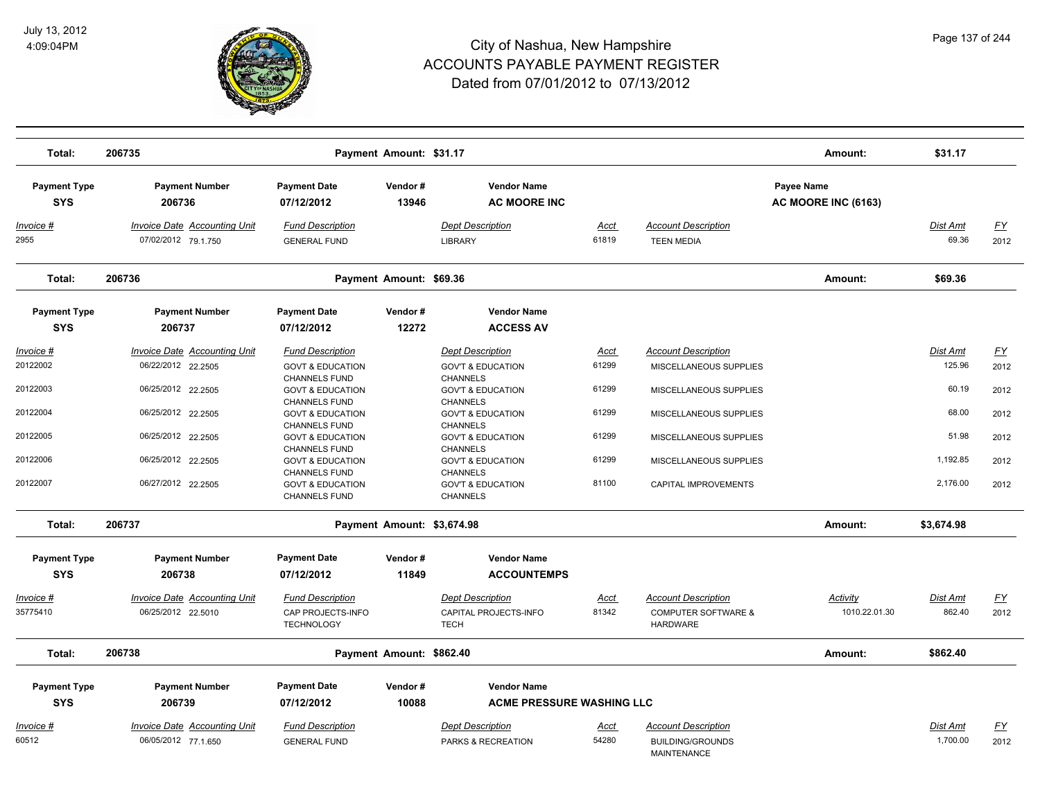

| Total:                            | 206735                                                     |                                                                                                            | Payment Amount: \$31.17    |                                                                                                    |                      |                                                                             | Amount:                           | \$31.17                   |                   |
|-----------------------------------|------------------------------------------------------------|------------------------------------------------------------------------------------------------------------|----------------------------|----------------------------------------------------------------------------------------------------|----------------------|-----------------------------------------------------------------------------|-----------------------------------|---------------------------|-------------------|
| <b>Payment Type</b><br><b>SYS</b> | <b>Payment Number</b><br>206736                            | <b>Payment Date</b><br>07/12/2012                                                                          | Vendor#<br>13946           | <b>Vendor Name</b><br><b>AC MOORE INC</b>                                                          |                      |                                                                             | Payee Name<br>AC MOORE INC (6163) |                           |                   |
| <u> Invoice #</u><br>2955         | <b>Invoice Date Accounting Unit</b><br>07/02/2012 79.1.750 | <b>Fund Description</b><br><b>GENERAL FUND</b>                                                             |                            | <b>Dept Description</b><br><b>LIBRARY</b>                                                          | <u>Acct</u><br>61819 | <b>Account Description</b><br><b>TEEN MEDIA</b>                             |                                   | <b>Dist Amt</b><br>69.36  | <u>FY</u><br>2012 |
| Total:                            | 206736                                                     |                                                                                                            | Payment Amount: \$69.36    |                                                                                                    |                      |                                                                             | Amount:                           | \$69.36                   |                   |
| <b>Payment Type</b><br><b>SYS</b> | <b>Payment Number</b><br>206737                            | <b>Payment Date</b><br>07/12/2012                                                                          | Vendor#<br>12272           | <b>Vendor Name</b><br><b>ACCESS AV</b>                                                             |                      |                                                                             |                                   |                           |                   |
| Invoice #<br>20122002             | <b>Invoice Date Accounting Unit</b><br>06/22/2012 22.2505  | <b>Fund Description</b><br><b>GOVT &amp; EDUCATION</b><br><b>CHANNELS FUND</b>                             |                            | <b>Dept Description</b><br><b>GOV'T &amp; EDUCATION</b><br><b>CHANNELS</b>                         | Acct<br>61299        | <b>Account Description</b><br>MISCELLANEOUS SUPPLIES                        |                                   | Dist Amt<br>125.96        | <u>FY</u><br>2012 |
| 20122003                          | 06/25/2012 22.2505                                         | <b>GOVT &amp; EDUCATION</b><br><b>CHANNELS FUND</b>                                                        |                            | <b>GOV'T &amp; EDUCATION</b><br><b>CHANNELS</b>                                                    | 61299                | MISCELLANEOUS SUPPLIES                                                      |                                   | 60.19                     | 2012              |
| 20122004                          | 06/25/2012 22.2505                                         | <b>GOVT &amp; EDUCATION</b><br><b>CHANNELS FUND</b>                                                        |                            | <b>GOV'T &amp; EDUCATION</b><br><b>CHANNELS</b>                                                    | 61299                | MISCELLANEOUS SUPPLIES                                                      |                                   | 68.00                     | 2012              |
| 20122005<br>20122006              | 06/25/2012 22.2505<br>06/25/2012 22.2505                   | <b>GOVT &amp; EDUCATION</b><br><b>CHANNELS FUND</b>                                                        |                            | <b>GOV'T &amp; EDUCATION</b><br><b>CHANNELS</b>                                                    | 61299<br>61299       | MISCELLANEOUS SUPPLIES                                                      |                                   | 51.98<br>1,192.85         | 2012              |
| 20122007                          | 06/27/2012 22.2505                                         | <b>GOVT &amp; EDUCATION</b><br><b>CHANNELS FUND</b><br><b>GOVT &amp; EDUCATION</b><br><b>CHANNELS FUND</b> |                            | <b>GOV'T &amp; EDUCATION</b><br><b>CHANNELS</b><br><b>GOV'T &amp; EDUCATION</b><br><b>CHANNELS</b> | 81100                | MISCELLANEOUS SUPPLIES<br>CAPITAL IMPROVEMENTS                              |                                   | 2,176.00                  | 2012<br>2012      |
| Total:                            | 206737                                                     |                                                                                                            | Payment Amount: \$3,674.98 |                                                                                                    |                      |                                                                             | Amount:                           | \$3,674.98                |                   |
| <b>Payment Type</b><br><b>SYS</b> | <b>Payment Number</b><br>206738                            | <b>Payment Date</b><br>07/12/2012                                                                          | Vendor#<br>11849           | <b>Vendor Name</b><br><b>ACCOUNTEMPS</b>                                                           |                      |                                                                             |                                   |                           |                   |
| <u> Invoice #</u><br>35775410     | <b>Invoice Date Accounting Unit</b><br>06/25/2012 22.5010  | <b>Fund Description</b><br>CAP PROJECTS-INFO<br><b>TECHNOLOGY</b>                                          |                            | <b>Dept Description</b><br>CAPITAL PROJECTS-INFO<br><b>TECH</b>                                    | <u>Acct</u><br>81342 | <b>Account Description</b><br><b>COMPUTER SOFTWARE &amp;</b><br>HARDWARE    | Activity<br>1010.22.01.30         | <b>Dist Amt</b><br>862.40 | <u>FY</u><br>2012 |
| Total:                            | 206738                                                     |                                                                                                            | Payment Amount: \$862.40   |                                                                                                    |                      |                                                                             | Amount:                           | \$862.40                  |                   |
| <b>Payment Type</b>               | <b>Payment Number</b>                                      | <b>Payment Date</b>                                                                                        | Vendor#                    | <b>Vendor Name</b>                                                                                 |                      |                                                                             |                                   |                           |                   |
| <b>SYS</b>                        | 206739                                                     | 07/12/2012                                                                                                 | 10088                      | <b>ACME PRESSURE WASHING LLC</b>                                                                   |                      |                                                                             |                                   |                           |                   |
| Invoice #<br>60512                | <b>Invoice Date Accounting Unit</b><br>06/05/2012 77.1.650 | <b>Fund Description</b><br><b>GENERAL FUND</b>                                                             |                            | <b>Dept Description</b><br>PARKS & RECREATION                                                      | Acct<br>54280        | <b>Account Description</b><br><b>BUILDING/GROUNDS</b><br><b>MAINTENANCE</b> |                                   | Dist Amt<br>1,700.00      | <u>FY</u><br>2012 |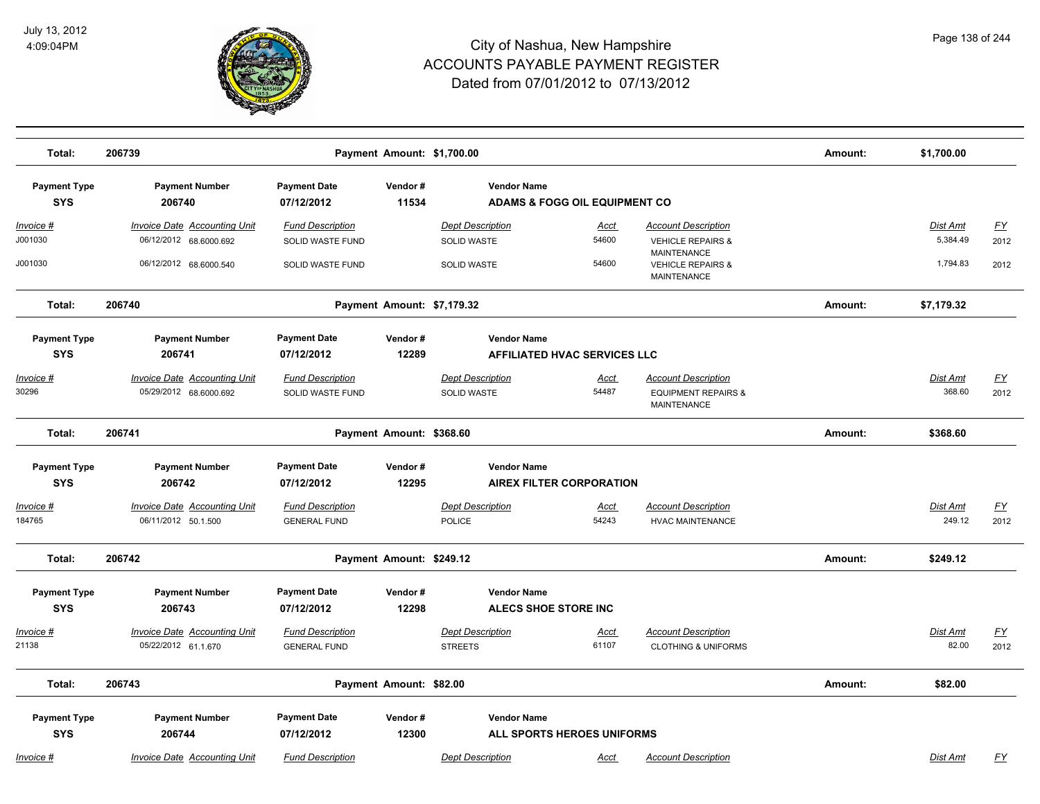

| Total:                            | 206739                                                        |                                                | Amount:                    | \$1,700.00                                                     |                                     |                                                                                    |         |                             |                                   |
|-----------------------------------|---------------------------------------------------------------|------------------------------------------------|----------------------------|----------------------------------------------------------------|-------------------------------------|------------------------------------------------------------------------------------|---------|-----------------------------|-----------------------------------|
| <b>Payment Type</b><br><b>SYS</b> | <b>Payment Number</b><br>206740                               | <b>Payment Date</b><br>07/12/2012              | Vendor#<br>11534           | <b>Vendor Name</b><br><b>ADAMS &amp; FOGG OIL EQUIPMENT CO</b> |                                     |                                                                                    |         |                             |                                   |
| Invoice #<br>J001030              | <b>Invoice Date Accounting Unit</b><br>06/12/2012 68.6000.692 | <b>Fund Description</b><br>SOLID WASTE FUND    |                            | <b>Dept Description</b><br><b>SOLID WASTE</b>                  | Acct<br>54600                       | <b>Account Description</b><br><b>VEHICLE REPAIRS &amp;</b>                         |         | <b>Dist Amt</b><br>5,384.49 | $\underline{\mathsf{FY}}$<br>2012 |
| J001030                           | 06/12/2012 68.6000.540                                        | SOLID WASTE FUND                               |                            | <b>SOLID WASTE</b>                                             | 54600                               | <b>MAINTENANCE</b><br><b>VEHICLE REPAIRS &amp;</b><br>MAINTENANCE                  |         | 1,794.83                    | 2012                              |
| Total:                            | 206740                                                        |                                                | Payment Amount: \$7,179.32 |                                                                |                                     |                                                                                    | Amount: | \$7,179.32                  |                                   |
| <b>Payment Type</b><br><b>SYS</b> | <b>Payment Number</b><br>206741                               | <b>Payment Date</b><br>07/12/2012              | Vendor#<br>12289           | <b>Vendor Name</b>                                             | <b>AFFILIATED HVAC SERVICES LLC</b> |                                                                                    |         |                             |                                   |
| Invoice #<br>30296                | <b>Invoice Date Accounting Unit</b><br>05/29/2012 68.6000.692 | <b>Fund Description</b><br>SOLID WASTE FUND    |                            | <b>Dept Description</b><br>SOLID WASTE                         | <u>Acct</u><br>54487                | <b>Account Description</b><br><b>EQUIPMENT REPAIRS &amp;</b><br><b>MAINTENANCE</b> |         | Dist Amt<br>368.60          | $\underline{FY}$<br>2012          |
| Total:                            | 206741                                                        |                                                | Payment Amount: \$368.60   |                                                                |                                     |                                                                                    | Amount: | \$368.60                    |                                   |
| <b>Payment Type</b><br><b>SYS</b> | <b>Payment Number</b><br>206742                               | <b>Payment Date</b><br>07/12/2012              | Vendor#<br>12295           | <b>Vendor Name</b>                                             | <b>AIREX FILTER CORPORATION</b>     |                                                                                    |         |                             |                                   |
| <u> Invoice #</u><br>184765       | <b>Invoice Date Accounting Unit</b><br>06/11/2012 50.1.500    | <b>Fund Description</b><br><b>GENERAL FUND</b> |                            | <b>Dept Description</b><br>POLICE                              | <u>Acct</u><br>54243                | <b>Account Description</b><br><b>HVAC MAINTENANCE</b>                              |         | Dist Amt<br>249.12          | EY<br>2012                        |
| Total:                            | 206742                                                        |                                                | Payment Amount: \$249.12   |                                                                |                                     |                                                                                    | Amount: | \$249.12                    |                                   |
| <b>Payment Type</b><br><b>SYS</b> | <b>Payment Number</b><br>206743                               | <b>Payment Date</b><br>07/12/2012              | Vendor#<br>12298           | <b>Vendor Name</b>                                             | ALECS SHOE STORE INC                |                                                                                    |         |                             |                                   |
| <u>Invoice #</u><br>21138         | <b>Invoice Date Accounting Unit</b><br>05/22/2012 61.1.670    | <b>Fund Description</b><br><b>GENERAL FUND</b> |                            | <b>Dept Description</b><br><b>STREETS</b>                      | <u>Acct</u><br>61107                | <b>Account Description</b><br><b>CLOTHING &amp; UNIFORMS</b>                       |         | <b>Dist Amt</b><br>82.00    | $\underline{\mathsf{FY}}$<br>2012 |
| Total:                            | 206743                                                        |                                                | Payment Amount: \$82.00    |                                                                |                                     |                                                                                    | Amount: | \$82.00                     |                                   |
| <b>Payment Type</b><br><b>SYS</b> | <b>Payment Number</b><br>206744                               | <b>Payment Date</b><br>07/12/2012              | Vendor#<br>12300           | <b>Vendor Name</b>                                             | ALL SPORTS HEROES UNIFORMS          |                                                                                    |         |                             |                                   |
| Invoice #                         | Invoice Date Accounting Unit                                  | <b>Fund Description</b>                        |                            | <b>Dept Description</b>                                        | <u>Acct</u>                         | <b>Account Description</b>                                                         |         | <b>Dist Amt</b>             | <u>FY</u>                         |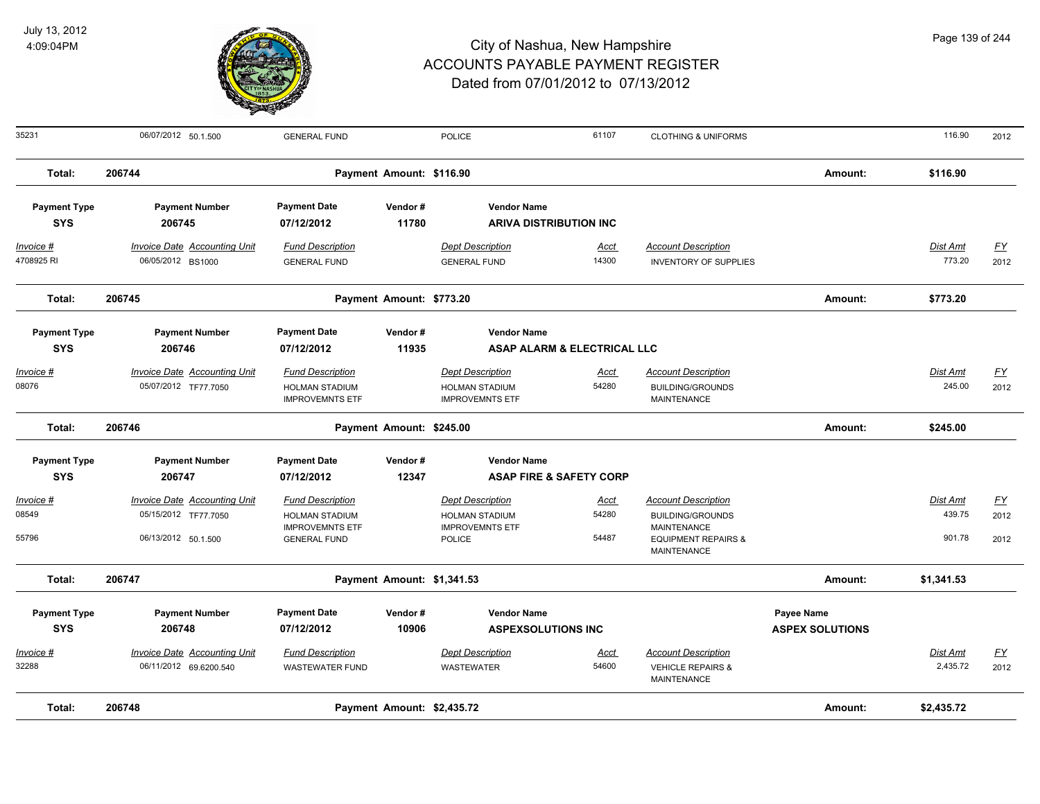

| 35231               | 06/07/2012 50.1.500                 | <b>GENERAL FUND</b>                             |                            | <b>POLICE</b>                                   | 61107                       | <b>CLOTHING &amp; UNIFORMS</b>                                      |                        | 116.90     | 2012             |
|---------------------|-------------------------------------|-------------------------------------------------|----------------------------|-------------------------------------------------|-----------------------------|---------------------------------------------------------------------|------------------------|------------|------------------|
| Total:              | 206744                              |                                                 | Payment Amount: \$116.90   |                                                 |                             |                                                                     | Amount:                | \$116.90   |                  |
| <b>Payment Type</b> | <b>Payment Number</b>               | <b>Payment Date</b>                             | Vendor#                    | <b>Vendor Name</b>                              |                             |                                                                     |                        |            |                  |
| <b>SYS</b>          | 206745                              | 07/12/2012                                      | 11780                      | <b>ARIVA DISTRIBUTION INC</b>                   |                             |                                                                     |                        |            |                  |
| Invoice #           | <b>Invoice Date Accounting Unit</b> | <b>Fund Description</b>                         |                            | <b>Dept Description</b>                         | <u>Acct</u>                 | <b>Account Description</b>                                          |                        | Dist Amt   | EY               |
| 4708925 RI          | 06/05/2012 BS1000                   | <b>GENERAL FUND</b>                             |                            | <b>GENERAL FUND</b>                             | 14300                       | <b>INVENTORY OF SUPPLIES</b>                                        |                        | 773.20     | 2012             |
| Total:              | 206745                              |                                                 | Payment Amount: \$773.20   |                                                 |                             |                                                                     | Amount:                | \$773.20   |                  |
| <b>Payment Type</b> | <b>Payment Number</b>               | <b>Payment Date</b>                             | Vendor#                    | <b>Vendor Name</b>                              |                             |                                                                     |                        |            |                  |
| <b>SYS</b>          | 206746                              | 07/12/2012                                      | 11935                      |                                                 | ASAP ALARM & ELECTRICAL LLC |                                                                     |                        |            |                  |
| Invoice #           | <b>Invoice Date Accounting Unit</b> | <b>Fund Description</b>                         |                            | <b>Dept Description</b>                         | <u>Acct</u>                 | <b>Account Description</b>                                          |                        | Dist Amt   | EY               |
| 08076               | 05/07/2012 TF77.7050                | <b>HOLMAN STADIUM</b><br><b>IMPROVEMNTS ETF</b> |                            | <b>HOLMAN STADIUM</b><br><b>IMPROVEMNTS ETF</b> | 54280                       | <b>BUILDING/GROUNDS</b><br><b>MAINTENANCE</b>                       |                        | 245.00     | 2012             |
| Total:              | 206746                              |                                                 | Payment Amount: \$245.00   |                                                 |                             |                                                                     | Amount:                | \$245.00   |                  |
| <b>Payment Type</b> | <b>Payment Number</b>               | <b>Payment Date</b>                             | Vendor#                    | <b>Vendor Name</b>                              |                             |                                                                     |                        |            |                  |
| <b>SYS</b>          | 206747                              | 07/12/2012                                      | 12347                      | <b>ASAP FIRE &amp; SAFETY CORP</b>              |                             |                                                                     |                        |            |                  |
| Invoice #           | <b>Invoice Date Accounting Unit</b> | <b>Fund Description</b>                         |                            | <b>Dept Description</b>                         | <u>Acct</u>                 | <b>Account Description</b>                                          |                        | Dist Amt   | $\underline{FY}$ |
| 08549               | 05/15/2012 TF77.7050                | <b>HOLMAN STADIUM</b>                           |                            | <b>HOLMAN STADIUM</b>                           | 54280                       | <b>BUILDING/GROUNDS</b>                                             |                        | 439.75     | 2012             |
| 55796               | 06/13/2012 50.1.500                 | <b>IMPROVEMNTS ETF</b><br><b>GENERAL FUND</b>   |                            | <b>IMPROVEMNTS ETF</b><br><b>POLICE</b>         | 54487                       | <b>MAINTENANCE</b><br><b>EQUIPMENT REPAIRS &amp;</b><br>MAINTENANCE |                        | 901.78     | 2012             |
| Total:              | 206747                              |                                                 | Payment Amount: \$1,341.53 |                                                 |                             |                                                                     | Amount:                | \$1,341.53 |                  |
| <b>Payment Type</b> | <b>Payment Number</b>               | <b>Payment Date</b>                             | Vendor#                    | <b>Vendor Name</b>                              |                             |                                                                     | Payee Name             |            |                  |
| <b>SYS</b>          | 206748                              | 07/12/2012                                      | 10906                      | <b>ASPEXSOLUTIONS INC</b>                       |                             |                                                                     | <b>ASPEX SOLUTIONS</b> |            |                  |
| Invoice #           | <b>Invoice Date Accounting Unit</b> | <b>Fund Description</b>                         |                            | <b>Dept Description</b>                         | <u>Acct</u>                 | <b>Account Description</b>                                          |                        | Dist Amt   | EY               |
| 32288               | 06/11/2012 69.6200.540              | <b>WASTEWATER FUND</b>                          |                            | WASTEWATER                                      | 54600                       | <b>VEHICLE REPAIRS &amp;</b><br>MAINTENANCE                         |                        | 2,435.72   | 2012             |
| Total:              | 206748                              |                                                 | Payment Amount: \$2,435.72 |                                                 |                             |                                                                     | Amount:                | \$2,435.72 |                  |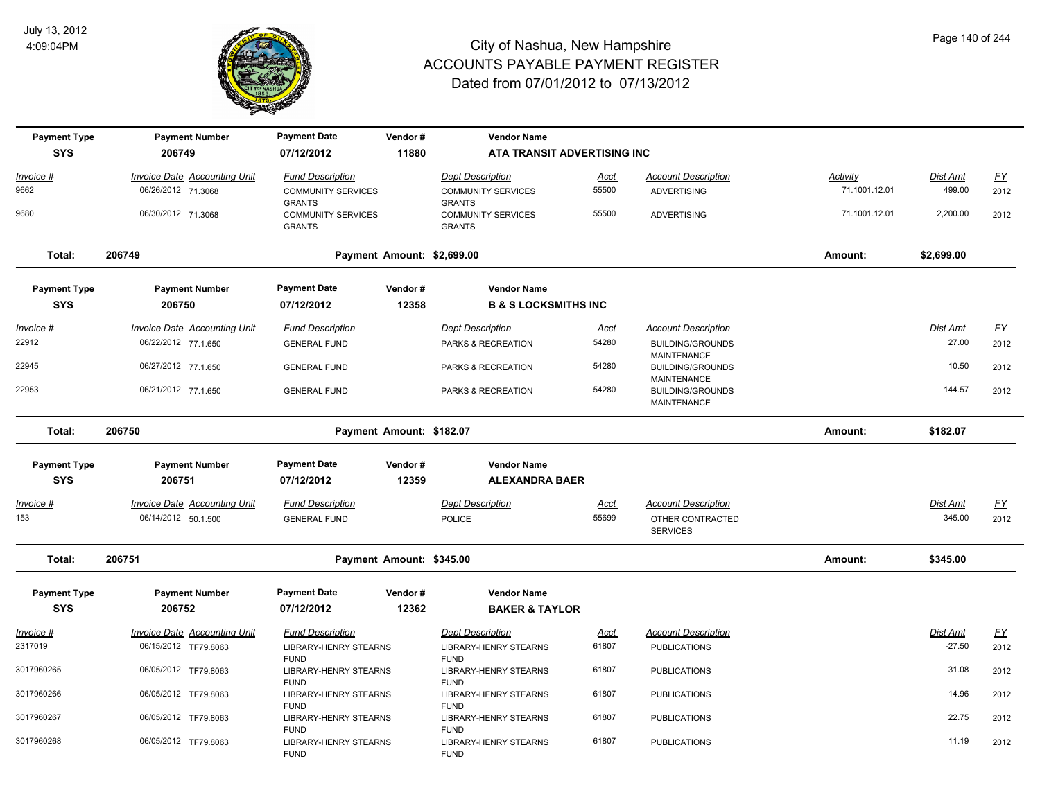

| <b>Payment Type</b> | <b>Payment Number</b>               | <b>Payment Date</b>                                        | Vendor#                    | <b>Vendor Name</b>                                         |             |                                               |                 |            |                  |
|---------------------|-------------------------------------|------------------------------------------------------------|----------------------------|------------------------------------------------------------|-------------|-----------------------------------------------|-----------------|------------|------------------|
| <b>SYS</b>          | 206749                              | 07/12/2012                                                 | 11880                      | ATA TRANSIT ADVERTISING INC                                |             |                                               |                 |            |                  |
| Invoice #           | <b>Invoice Date Accounting Unit</b> | <b>Fund Description</b>                                    |                            | <b>Dept Description</b>                                    | <u>Acct</u> | <b>Account Description</b>                    | <b>Activity</b> | Dist Amt   | $\underline{FY}$ |
| 9662                | 06/26/2012 71.3068                  | <b>COMMUNITY SERVICES</b><br><b>GRANTS</b>                 |                            | <b>COMMUNITY SERVICES</b><br><b>GRANTS</b>                 | 55500       | <b>ADVERTISING</b>                            | 71.1001.12.01   | 499.00     | 2012             |
| 9680                | 06/30/2012 71.3068                  | <b>COMMUNITY SERVICES</b><br><b>GRANTS</b>                 |                            | <b>COMMUNITY SERVICES</b><br><b>GRANTS</b>                 | 55500       | <b>ADVERTISING</b>                            | 71.1001.12.01   | 2,200.00   | 2012             |
| Total:              | 206749                              |                                                            | Payment Amount: \$2,699.00 |                                                            |             |                                               | Amount:         | \$2,699.00 |                  |
| <b>Payment Type</b> | <b>Payment Number</b>               | <b>Payment Date</b>                                        | Vendor#                    | <b>Vendor Name</b>                                         |             |                                               |                 |            |                  |
| <b>SYS</b>          | 206750                              | 07/12/2012                                                 | 12358                      | <b>B &amp; S LOCKSMITHS INC</b>                            |             |                                               |                 |            |                  |
| <u>Invoice #</u>    | <b>Invoice Date Accounting Unit</b> | <b>Fund Description</b>                                    |                            | <b>Dept Description</b>                                    | <u>Acct</u> | <b>Account Description</b>                    |                 | Dist Amt   | EY               |
| 22912               | 06/22/2012 77.1.650                 | <b>GENERAL FUND</b>                                        |                            | PARKS & RECREATION                                         | 54280       | <b>BUILDING/GROUNDS</b><br><b>MAINTENANCE</b> |                 | 27.00      | 2012             |
| 22945               | 06/27/2012 77.1.650                 | <b>GENERAL FUND</b>                                        |                            | PARKS & RECREATION                                         | 54280       | <b>BUILDING/GROUNDS</b><br>MAINTENANCE        |                 | 10.50      | 2012             |
| 22953               | 06/21/2012 77.1.650                 | <b>GENERAL FUND</b>                                        |                            | PARKS & RECREATION                                         | 54280       | <b>BUILDING/GROUNDS</b><br>MAINTENANCE        |                 | 144.57     | 2012             |
| Total:              | 206750                              |                                                            | Payment Amount: \$182.07   |                                                            |             |                                               | Amount:         | \$182.07   |                  |
| <b>Payment Type</b> | <b>Payment Number</b>               | <b>Payment Date</b>                                        | Vendor#                    | <b>Vendor Name</b>                                         |             |                                               |                 |            |                  |
| <b>SYS</b>          | 206751                              | 07/12/2012                                                 | 12359                      | <b>ALEXANDRA BAER</b>                                      |             |                                               |                 |            |                  |
| Invoice #           | <b>Invoice Date Accounting Unit</b> | <b>Fund Description</b>                                    |                            | <b>Dept Description</b>                                    | <u>Acct</u> | <b>Account Description</b>                    |                 | Dist Amt   | $\underline{FY}$ |
| 153                 | 06/14/2012 50.1.500                 | <b>GENERAL FUND</b>                                        |                            | <b>POLICE</b>                                              | 55699       | OTHER CONTRACTED<br><b>SERVICES</b>           |                 | 345.00     | 2012             |
| Total:              | 206751                              |                                                            | Payment Amount: \$345.00   |                                                            |             |                                               | Amount:         | \$345.00   |                  |
| <b>Payment Type</b> | <b>Payment Number</b>               | <b>Payment Date</b>                                        | Vendor#                    | <b>Vendor Name</b>                                         |             |                                               |                 |            |                  |
| <b>SYS</b>          | 206752                              | 07/12/2012                                                 | 12362                      | <b>BAKER &amp; TAYLOR</b>                                  |             |                                               |                 |            |                  |
| <u> Invoice #</u>   | <b>Invoice Date Accounting Unit</b> | <b>Fund Description</b>                                    |                            | <b>Dept Description</b>                                    | Acct        | <b>Account Description</b>                    |                 | Dist Amt   | $\underline{FY}$ |
| 2317019             | 06/15/2012 TF79.8063                | <b>LIBRARY-HENRY STEARNS</b>                               |                            | <b>LIBRARY-HENRY STEARNS</b>                               | 61807       | <b>PUBLICATIONS</b>                           |                 | $-27.50$   | 2012             |
| 3017960265          | 06/05/2012 TF79.8063                | <b>FUND</b><br><b>LIBRARY-HENRY STEARNS</b><br><b>FUND</b> |                            | <b>FUND</b><br>LIBRARY-HENRY STEARNS<br><b>FUND</b>        | 61807       | <b>PUBLICATIONS</b>                           |                 | 31.08      | 2012             |
| 3017960266          | 06/05/2012 TF79.8063                | <b>LIBRARY-HENRY STEARNS</b>                               |                            | LIBRARY-HENRY STEARNS                                      | 61807       | <b>PUBLICATIONS</b>                           |                 | 14.96      | 2012             |
| 3017960267          | 06/05/2012 TF79.8063                | <b>FUND</b><br><b>LIBRARY-HENRY STEARNS</b><br><b>FUND</b> |                            | <b>FUND</b><br>LIBRARY-HENRY STEARNS                       | 61807       | <b>PUBLICATIONS</b>                           |                 | 22.75      | 2012             |
| 3017960268          | 06/05/2012 TF79.8063                | <b>LIBRARY-HENRY STEARNS</b><br><b>FUND</b>                |                            | <b>FUND</b><br><b>LIBRARY-HENRY STEARNS</b><br><b>FUND</b> | 61807       | <b>PUBLICATIONS</b>                           |                 | 11.19      | 2012             |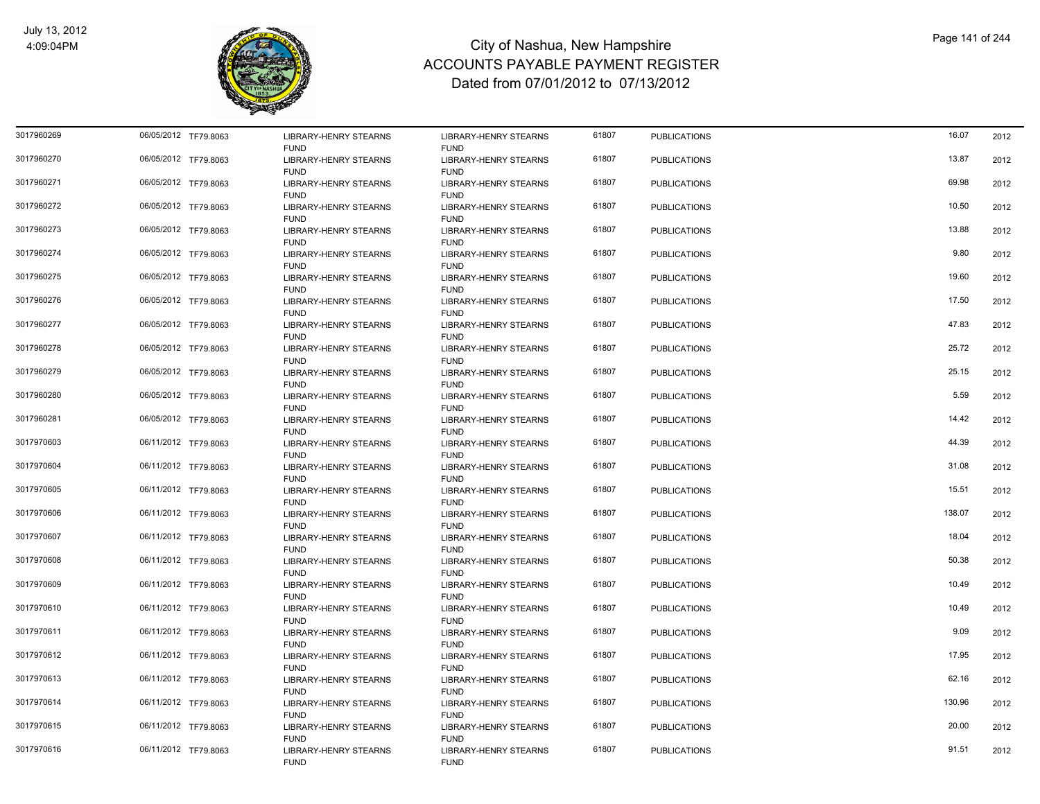

| 3017960269 | 06/05/2012 TF79.8063 | LIBRARY-HENRY STEARNS                       | LIBRARY-HENRY STEARNS                       | 61807 | <b>PUBLICATIONS</b> | 16.07  | 2012 |
|------------|----------------------|---------------------------------------------|---------------------------------------------|-------|---------------------|--------|------|
| 3017960270 | 06/05/2012 TF79.8063 | <b>FUND</b><br>LIBRARY-HENRY STEARNS        | <b>FUND</b><br>LIBRARY-HENRY STEARNS        | 61807 | <b>PUBLICATIONS</b> | 13.87  | 2012 |
| 3017960271 | 06/05/2012 TF79.8063 | <b>FUND</b><br>LIBRARY-HENRY STEARNS        | <b>FUND</b><br><b>LIBRARY-HENRY STEARNS</b> | 61807 | <b>PUBLICATIONS</b> | 69.98  | 2012 |
| 3017960272 | 06/05/2012 TF79.8063 | <b>FUND</b><br><b>LIBRARY-HENRY STEARNS</b> | <b>FUND</b><br><b>LIBRARY-HENRY STEARNS</b> | 61807 | <b>PUBLICATIONS</b> | 10.50  | 2012 |
| 3017960273 | 06/05/2012 TF79.8063 | <b>FUND</b><br><b>LIBRARY-HENRY STEARNS</b> | <b>FUND</b><br><b>LIBRARY-HENRY STEARNS</b> | 61807 | <b>PUBLICATIONS</b> | 13.88  | 2012 |
| 3017960274 | 06/05/2012 TF79.8063 | <b>FUND</b><br>LIBRARY-HENRY STEARNS        | <b>FUND</b><br>LIBRARY-HENRY STEARNS        | 61807 | <b>PUBLICATIONS</b> | 9.80   | 2012 |
| 3017960275 | 06/05/2012 TF79.8063 | <b>FUND</b><br>LIBRARY-HENRY STEARNS        | <b>FUND</b><br>LIBRARY-HENRY STEARNS        | 61807 | <b>PUBLICATIONS</b> | 19.60  | 2012 |
| 3017960276 | 06/05/2012 TF79.8063 | <b>FUND</b><br>LIBRARY-HENRY STEARNS        | <b>FUND</b><br>LIBRARY-HENRY STEARNS        | 61807 | <b>PUBLICATIONS</b> | 17.50  | 2012 |
| 3017960277 | 06/05/2012 TF79.8063 | <b>FUND</b><br>LIBRARY-HENRY STEARNS        | <b>FUND</b><br>LIBRARY-HENRY STEARNS        | 61807 | <b>PUBLICATIONS</b> | 47.83  | 2012 |
| 3017960278 | 06/05/2012 TF79.8063 | <b>FUND</b><br><b>LIBRARY-HENRY STEARNS</b> | <b>FUND</b><br><b>LIBRARY-HENRY STEARNS</b> | 61807 | <b>PUBLICATIONS</b> | 25.72  | 2012 |
| 3017960279 | 06/05/2012 TF79.8063 | <b>FUND</b><br><b>LIBRARY-HENRY STEARNS</b> | <b>FUND</b><br>LIBRARY-HENRY STEARNS        | 61807 | <b>PUBLICATIONS</b> | 25.15  | 2012 |
| 3017960280 | 06/05/2012 TF79.8063 | <b>FUND</b><br>LIBRARY-HENRY STEARNS        | <b>FUND</b><br>LIBRARY-HENRY STEARNS        | 61807 | <b>PUBLICATIONS</b> | 5.59   | 2012 |
| 3017960281 | 06/05/2012 TF79.8063 | <b>FUND</b><br>LIBRARY-HENRY STEARNS        | <b>FUND</b><br>LIBRARY-HENRY STEARNS        | 61807 | <b>PUBLICATIONS</b> | 14.42  | 2012 |
| 3017970603 | 06/11/2012 TF79.8063 | <b>FUND</b><br>LIBRARY-HENRY STEARNS        | <b>FUND</b><br>LIBRARY-HENRY STEARNS        | 61807 | <b>PUBLICATIONS</b> | 44.39  | 2012 |
| 3017970604 | 06/11/2012 TF79.8063 | <b>FUND</b><br><b>LIBRARY-HENRY STEARNS</b> | <b>FUND</b><br><b>LIBRARY-HENRY STEARNS</b> | 61807 | <b>PUBLICATIONS</b> | 31.08  | 2012 |
| 3017970605 | 06/11/2012 TF79.8063 | <b>FUND</b><br>LIBRARY-HENRY STEARNS        | <b>FUND</b><br><b>LIBRARY-HENRY STEARNS</b> | 61807 | <b>PUBLICATIONS</b> | 15.51  | 2012 |
| 3017970606 | 06/11/2012 TF79.8063 | <b>FUND</b><br>LIBRARY-HENRY STEARNS        | <b>FUND</b><br><b>LIBRARY-HENRY STEARNS</b> | 61807 | <b>PUBLICATIONS</b> | 138.07 | 2012 |
| 3017970607 | 06/11/2012 TF79.8063 | <b>FUND</b><br><b>LIBRARY-HENRY STEARNS</b> | <b>FUND</b><br>LIBRARY-HENRY STEARNS        | 61807 | <b>PUBLICATIONS</b> | 18.04  | 2012 |
| 3017970608 | 06/11/2012 TF79.8063 | <b>FUND</b><br>LIBRARY-HENRY STEARNS        | <b>FUND</b><br>LIBRARY-HENRY STEARNS        | 61807 | <b>PUBLICATIONS</b> | 50.38  | 2012 |
| 3017970609 | 06/11/2012 TF79.8063 | <b>FUND</b><br>LIBRARY-HENRY STEARNS        | <b>FUND</b><br>LIBRARY-HENRY STEARNS        | 61807 | <b>PUBLICATIONS</b> | 10.49  | 2012 |
| 3017970610 | 06/11/2012 TF79.8063 | <b>FUND</b><br><b>LIBRARY-HENRY STEARNS</b> | <b>FUND</b><br><b>LIBRARY-HENRY STEARNS</b> | 61807 | <b>PUBLICATIONS</b> | 10.49  | 2012 |
| 3017970611 | 06/11/2012 TF79.8063 | <b>FUND</b><br>LIBRARY-HENRY STEARNS        | <b>FUND</b><br>LIBRARY-HENRY STEARNS        | 61807 | <b>PUBLICATIONS</b> | 9.09   | 2012 |
| 3017970612 | 06/11/2012 TF79.8063 | <b>FUND</b><br>LIBRARY-HENRY STEARNS        | <b>FUND</b><br>LIBRARY-HENRY STEARNS        | 61807 | <b>PUBLICATIONS</b> | 17.95  | 2012 |
| 3017970613 | 06/11/2012 TF79.8063 | <b>FUND</b><br>LIBRARY-HENRY STEARNS        | <b>FUND</b><br>LIBRARY-HENRY STEARNS        | 61807 | <b>PUBLICATIONS</b> | 62.16  | 2012 |
| 3017970614 | 06/11/2012 TF79.8063 | <b>FUND</b><br>LIBRARY-HENRY STEARNS        | <b>FUND</b><br>LIBRARY-HENRY STEARNS        | 61807 | <b>PUBLICATIONS</b> | 130.96 | 2012 |
| 3017970615 | 06/11/2012 TF79.8063 | <b>FUND</b><br><b>LIBRARY-HENRY STEARNS</b> | <b>FUND</b><br><b>LIBRARY-HENRY STEARNS</b> | 61807 | <b>PUBLICATIONS</b> | 20.00  | 2012 |
| 3017970616 | 06/11/2012 TF79.8063 | <b>FUND</b><br><b>LIBRARY-HENRY STEARNS</b> | <b>FUND</b><br><b>LIBRARY-HENRY STEARNS</b> | 61807 | <b>PUBLICATIONS</b> | 91.51  | 2012 |
|            |                      | <b>FUND</b>                                 | <b>FUND</b>                                 |       |                     |        |      |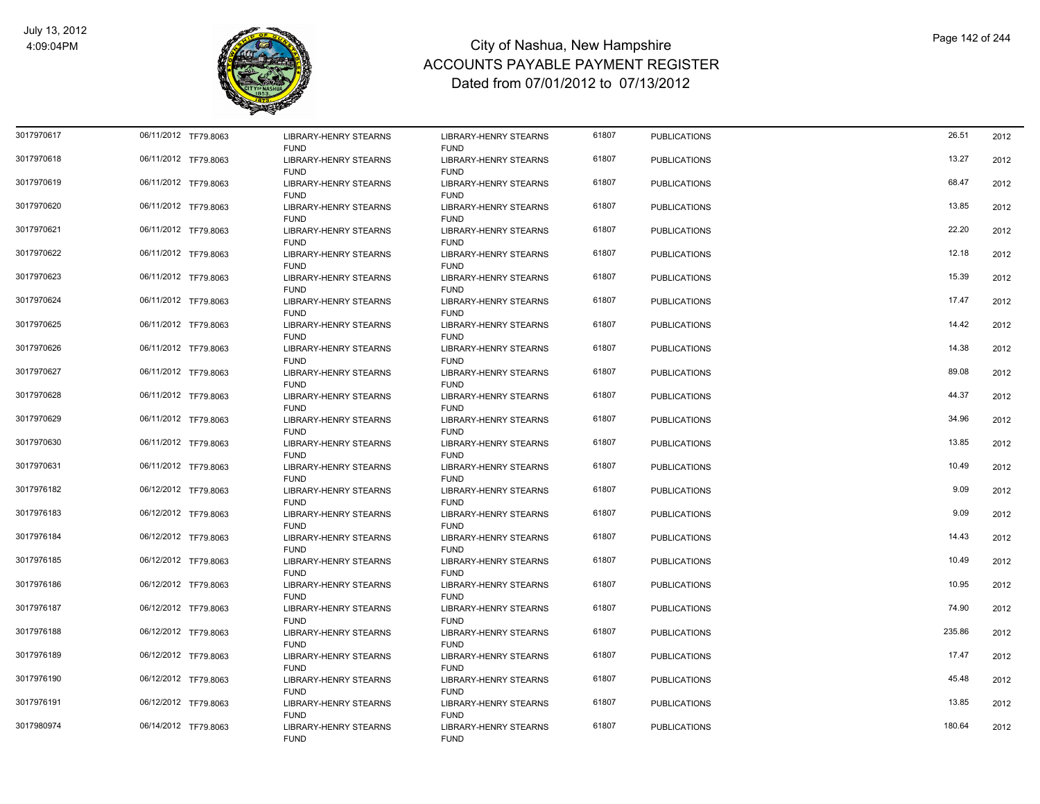

| 3017970617 | 06/11/2012 TF79.8063 | LIBRARY-HENRY STEARNS<br><b>FUND</b>                       | <b>LIBRARY-HENRY STEARNS</b><br><b>FUND</b>                | 61807 | <b>PUBLICATIONS</b> | 26.51  | 2012 |
|------------|----------------------|------------------------------------------------------------|------------------------------------------------------------|-------|---------------------|--------|------|
| 3017970618 | 06/11/2012 TF79.8063 | <b>LIBRARY-HENRY STEARNS</b><br><b>FUND</b>                | <b>LIBRARY-HENRY STEARNS</b><br><b>FUND</b>                | 61807 | <b>PUBLICATIONS</b> | 13.27  | 2012 |
| 3017970619 | 06/11/2012 TF79.8063 | <b>LIBRARY-HENRY STEARNS</b><br><b>FUND</b>                | <b>LIBRARY-HENRY STEARNS</b><br><b>FUND</b>                | 61807 | <b>PUBLICATIONS</b> | 68.47  | 2012 |
| 3017970620 | 06/11/2012 TF79.8063 | <b>LIBRARY-HENRY STEARNS</b><br><b>FUND</b>                | <b>LIBRARY-HENRY STEARNS</b><br><b>FUND</b>                | 61807 | <b>PUBLICATIONS</b> | 13.85  | 2012 |
| 3017970621 | 06/11/2012 TF79.8063 | LIBRARY-HENRY STEARNS<br><b>FUND</b>                       | LIBRARY-HENRY STEARNS<br><b>FUND</b>                       | 61807 | <b>PUBLICATIONS</b> | 22.20  | 2012 |
| 3017970622 | 06/11/2012 TF79.8063 | LIBRARY-HENRY STEARNS<br><b>FUND</b>                       | LIBRARY-HENRY STEARNS<br><b>FUND</b>                       | 61807 | <b>PUBLICATIONS</b> | 12.18  | 2012 |
| 3017970623 | 06/11/2012 TF79.8063 | <b>LIBRARY-HENRY STEARNS</b><br><b>FUND</b>                | <b>LIBRARY-HENRY STEARNS</b><br><b>FUND</b>                | 61807 | <b>PUBLICATIONS</b> | 15.39  | 2012 |
| 3017970624 | 06/11/2012 TF79.8063 | LIBRARY-HENRY STEARNS<br><b>FUND</b>                       | LIBRARY-HENRY STEARNS<br><b>FUND</b>                       | 61807 | <b>PUBLICATIONS</b> | 17.47  | 2012 |
| 3017970625 | 06/11/2012 TF79.8063 | LIBRARY-HENRY STEARNS<br><b>FUND</b>                       | LIBRARY-HENRY STEARNS<br><b>FUND</b>                       | 61807 | <b>PUBLICATIONS</b> | 14.42  | 2012 |
| 3017970626 | 06/11/2012 TF79.8063 | <b>LIBRARY-HENRY STEARNS</b>                               | LIBRARY-HENRY STEARNS                                      | 61807 | <b>PUBLICATIONS</b> | 14.38  | 2012 |
| 3017970627 | 06/11/2012 TF79.8063 | <b>FUND</b><br>LIBRARY-HENRY STEARNS<br><b>FUND</b>        | <b>FUND</b><br>LIBRARY-HENRY STEARNS<br><b>FUND</b>        | 61807 | <b>PUBLICATIONS</b> | 89.08  | 2012 |
| 3017970628 | 06/11/2012 TF79.8063 | <b>LIBRARY-HENRY STEARNS</b>                               | <b>LIBRARY-HENRY STEARNS</b>                               | 61807 | <b>PUBLICATIONS</b> | 44.37  | 2012 |
| 3017970629 | 06/11/2012 TF79.8063 | <b>FUND</b><br>LIBRARY-HENRY STEARNS                       | <b>FUND</b><br>LIBRARY-HENRY STEARNS                       | 61807 | <b>PUBLICATIONS</b> | 34.96  | 2012 |
| 3017970630 | 06/11/2012 TF79.8063 | <b>FUND</b><br>LIBRARY-HENRY STEARNS                       | <b>FUND</b><br><b>LIBRARY-HENRY STEARNS</b>                | 61807 | <b>PUBLICATIONS</b> | 13.85  | 2012 |
| 3017970631 | 06/11/2012 TF79.8063 | <b>FUND</b><br>LIBRARY-HENRY STEARNS                       | <b>FUND</b><br>LIBRARY-HENRY STEARNS                       | 61807 | <b>PUBLICATIONS</b> | 10.49  | 2012 |
| 3017976182 | 06/12/2012 TF79.8063 | <b>FUND</b><br>LIBRARY-HENRY STEARNS                       | <b>FUND</b><br>LIBRARY-HENRY STEARNS                       | 61807 | <b>PUBLICATIONS</b> | 9.09   | 2012 |
| 3017976183 | 06/12/2012 TF79.8063 | <b>FUND</b><br><b>LIBRARY-HENRY STEARNS</b>                | <b>FUND</b><br><b>LIBRARY-HENRY STEARNS</b>                | 61807 | <b>PUBLICATIONS</b> | 9.09   | 2012 |
| 3017976184 | 06/12/2012 TF79.8063 | <b>FUND</b><br>LIBRARY-HENRY STEARNS                       | <b>FUND</b><br>LIBRARY-HENRY STEARNS                       | 61807 | <b>PUBLICATIONS</b> | 14.43  | 2012 |
| 3017976185 | 06/12/2012 TF79.8063 | <b>FUND</b><br>LIBRARY-HENRY STEARNS                       | <b>FUND</b><br>LIBRARY-HENRY STEARNS                       | 61807 | <b>PUBLICATIONS</b> | 10.49  | 2012 |
| 3017976186 | 06/12/2012 TF79.8063 | <b>FUND</b><br>LIBRARY-HENRY STEARNS                       | <b>FUND</b><br>LIBRARY-HENRY STEARNS                       | 61807 | <b>PUBLICATIONS</b> | 10.95  | 2012 |
| 3017976187 | 06/12/2012 TF79.8063 | <b>FUND</b><br>LIBRARY-HENRY STEARNS                       | <b>FUND</b><br><b>LIBRARY-HENRY STEARNS</b>                | 61807 | <b>PUBLICATIONS</b> | 74.90  | 2012 |
| 3017976188 | 06/12/2012 TF79.8063 | <b>FUND</b><br><b>LIBRARY-HENRY STEARNS</b>                | <b>FUND</b><br><b>LIBRARY-HENRY STEARNS</b>                | 61807 | <b>PUBLICATIONS</b> | 235.86 | 2012 |
| 3017976189 | 06/12/2012 TF79.8063 | <b>FUND</b><br><b>LIBRARY-HENRY STEARNS</b>                | <b>FUND</b><br><b>LIBRARY-HENRY STEARNS</b>                | 61807 | <b>PUBLICATIONS</b> | 17.47  | 2012 |
| 3017976190 | 06/12/2012 TF79.8063 | <b>FUND</b><br>LIBRARY-HENRY STEARNS                       | <b>FUND</b><br>LIBRARY-HENRY STEARNS                       | 61807 | <b>PUBLICATIONS</b> | 45.48  | 2012 |
| 3017976191 | 06/12/2012 TF79.8063 | <b>FUND</b><br><b>LIBRARY-HENRY STEARNS</b>                | <b>FUND</b><br><b>LIBRARY-HENRY STEARNS</b>                | 61807 | <b>PUBLICATIONS</b> | 13.85  | 2012 |
| 3017980974 | 06/14/2012 TF79.8063 | <b>FUND</b><br><b>LIBRARY-HENRY STEARNS</b><br><b>FUND</b> | <b>FUND</b><br><b>LIBRARY-HENRY STEARNS</b><br><b>FUND</b> | 61807 | <b>PUBLICATIONS</b> | 180.64 | 2012 |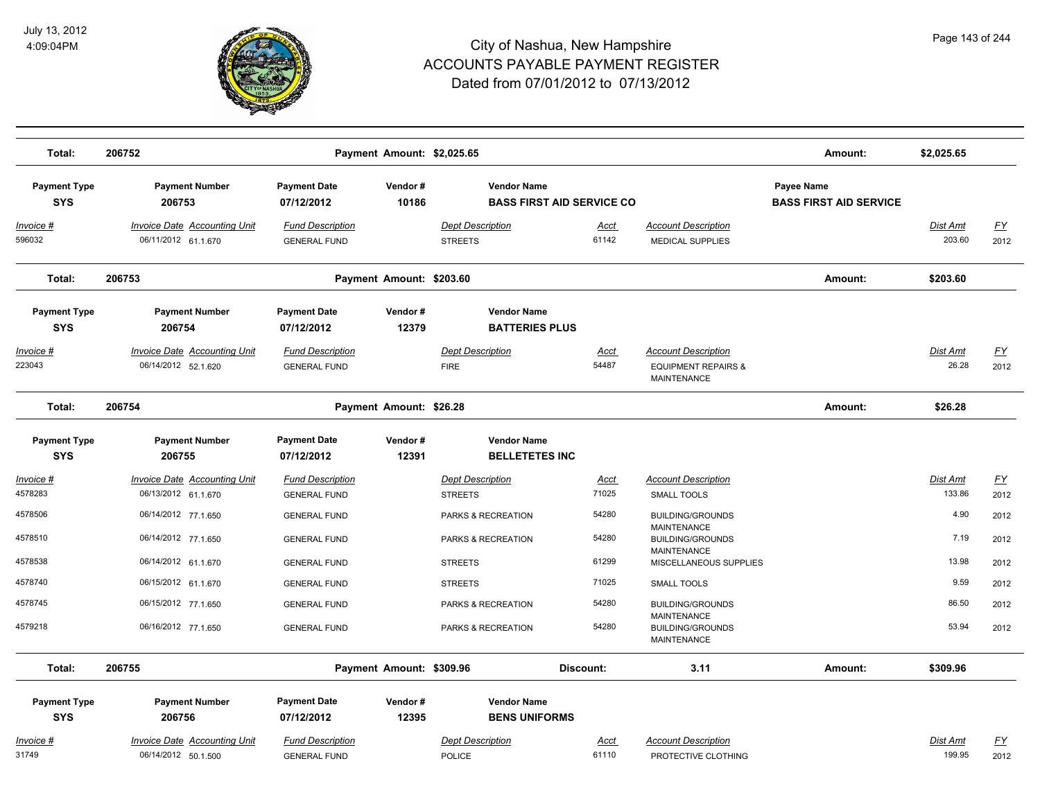

| Total:                            | 206752                                                     |                                                | Payment Amount: \$2,025.65 |                                                        |                      |                                                                                    | Amount:                                            | \$2,025.65                |                   |
|-----------------------------------|------------------------------------------------------------|------------------------------------------------|----------------------------|--------------------------------------------------------|----------------------|------------------------------------------------------------------------------------|----------------------------------------------------|---------------------------|-------------------|
| <b>Payment Type</b><br><b>SYS</b> | <b>Payment Number</b><br>206753                            | <b>Payment Date</b><br>07/12/2012              | Vendor#<br>10186           | <b>Vendor Name</b><br><b>BASS FIRST AID SERVICE CO</b> |                      |                                                                                    | <b>Payee Name</b><br><b>BASS FIRST AID SERVICE</b> |                           |                   |
| Invoice #<br>596032               | <b>Invoice Date Accounting Unit</b><br>06/11/2012 61.1.670 | <b>Fund Description</b><br><b>GENERAL FUND</b> |                            | <b>Dept Description</b><br><b>STREETS</b>              | Acct<br>61142        | <b>Account Description</b><br>MEDICAL SUPPLIES                                     |                                                    | <b>Dist Amt</b><br>203.60 | <u>FY</u><br>2012 |
| Total:                            | 206753                                                     |                                                | Payment Amount: \$203.60   |                                                        |                      |                                                                                    | Amount:                                            | \$203.60                  |                   |
| <b>Payment Type</b><br><b>SYS</b> | <b>Payment Number</b><br>206754                            | <b>Payment Date</b><br>07/12/2012              | Vendor#<br>12379           | <b>Vendor Name</b><br><b>BATTERIES PLUS</b>            |                      |                                                                                    |                                                    |                           |                   |
| Invoice #<br>223043               | Invoice Date Accounting Unit<br>06/14/2012 52.1.620        | <b>Fund Description</b><br><b>GENERAL FUND</b> |                            | <b>Dept Description</b><br><b>FIRE</b>                 | Acct<br>54487        | <b>Account Description</b><br><b>EQUIPMENT REPAIRS &amp;</b><br><b>MAINTENANCE</b> |                                                    | Dist Amt<br>26.28         | <b>FY</b><br>2012 |
| Total:                            | 206754                                                     |                                                | Payment Amount: \$26.28    |                                                        |                      |                                                                                    | Amount:                                            | \$26.28                   |                   |
| <b>Payment Type</b><br><b>SYS</b> | <b>Payment Number</b><br>206755                            | <b>Payment Date</b><br>07/12/2012              | Vendor#<br>12391           | <b>Vendor Name</b><br><b>BELLETETES INC</b>            |                      |                                                                                    |                                                    |                           |                   |
| Invoice #                         | <b>Invoice Date Accounting Unit</b>                        | <b>Fund Description</b>                        |                            | <b>Dept Description</b>                                | <b>Acct</b>          | <b>Account Description</b>                                                         |                                                    | Dist Amt                  | EY                |
| 4578283<br>4578506                | 06/13/2012 61.1.670<br>06/14/2012 77.1.650                 | <b>GENERAL FUND</b><br><b>GENERAL FUND</b>     |                            | <b>STREETS</b><br>PARKS & RECREATION                   | 71025<br>54280       | <b>SMALL TOOLS</b><br><b>BUILDING/GROUNDS</b>                                      |                                                    | 133.86<br>4.90            | 2012<br>2012      |
| 4578510                           | 06/14/2012 77.1.650                                        | <b>GENERAL FUND</b>                            |                            | PARKS & RECREATION                                     | 54280                | MAINTENANCE<br><b>BUILDING/GROUNDS</b>                                             |                                                    | 7.19                      | 2012              |
| 4578538                           | 06/14/2012 61.1.670                                        | <b>GENERAL FUND</b>                            |                            | <b>STREETS</b>                                         | 61299                | MAINTENANCE<br>MISCELLANEOUS SUPPLIES                                              |                                                    | 13.98                     | 2012              |
| 4578740                           | 06/15/2012 61.1.670                                        | <b>GENERAL FUND</b>                            |                            | <b>STREETS</b>                                         | 71025                | <b>SMALL TOOLS</b>                                                                 |                                                    | 9.59                      | 2012              |
| 4578745                           | 06/15/2012 77.1.650                                        | <b>GENERAL FUND</b>                            |                            | PARKS & RECREATION                                     | 54280                | <b>BUILDING/GROUNDS</b>                                                            |                                                    | 86.50                     | 2012              |
| 4579218                           | 06/16/2012 77.1.650                                        | <b>GENERAL FUND</b>                            |                            | PARKS & RECREATION                                     | 54280                | <b>MAINTENANCE</b><br><b>BUILDING/GROUNDS</b><br>MAINTENANCE                       |                                                    | 53.94                     | 2012              |
| Total:                            | 206755                                                     |                                                | Payment Amount: \$309.96   |                                                        | Discount:            | 3.11                                                                               | Amount:                                            | \$309.96                  |                   |
| <b>Payment Type</b><br><b>SYS</b> | <b>Payment Number</b><br>206756                            | <b>Payment Date</b><br>07/12/2012              | Vendor#<br>12395           | <b>Vendor Name</b><br><b>BENS UNIFORMS</b>             |                      |                                                                                    |                                                    |                           |                   |
| Invoice #<br>31749                | Invoice Date Accounting Unit<br>06/14/2012 50.1.500        | <b>Fund Description</b><br><b>GENERAL FUND</b> |                            | Dept Description<br><b>POLICE</b>                      | <u>Acct</u><br>61110 | <b>Account Description</b><br>PROTECTIVE CLOTHING                                  |                                                    | Dist Amt<br>199.95        | EY<br>2012        |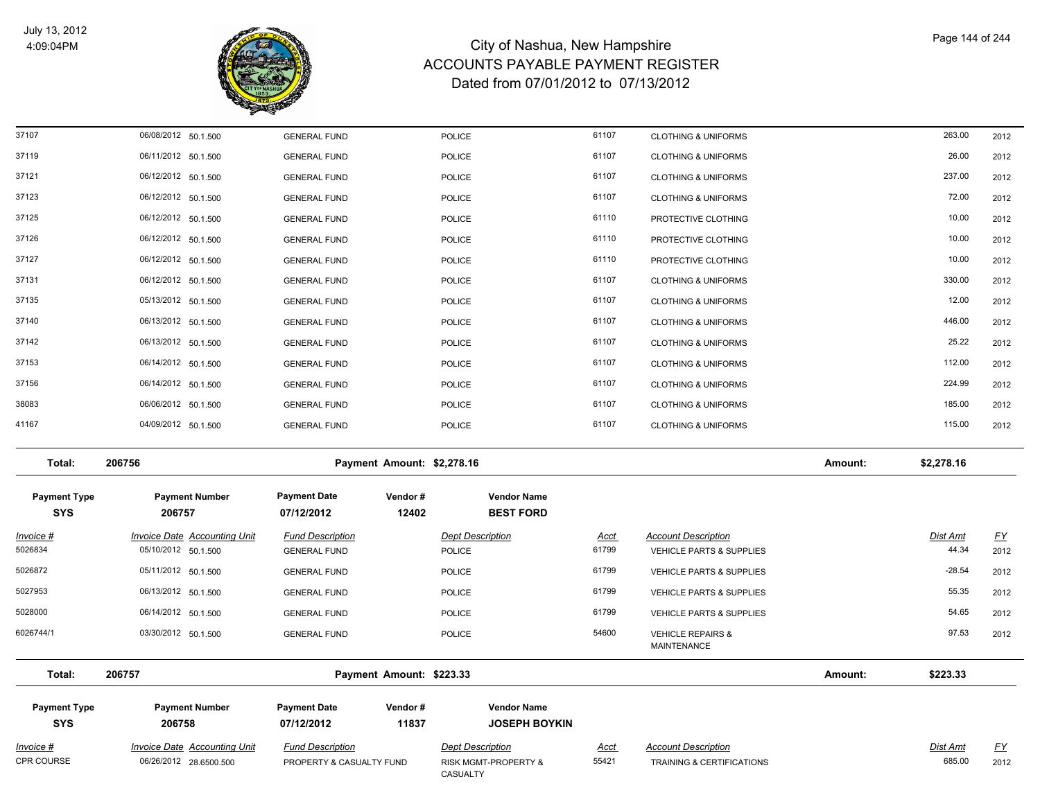

| CPR COURSE                        | 06/26/2012 28.6500.500              | PROPERTY & CASUALTY FUND          |                            | RISK MGMT-PROPERTY &<br>CASUALTY           | 55421       | <b>TRAINING &amp; CERTIFICATIONS</b>               |         | 685.00          | 2012      |
|-----------------------------------|-------------------------------------|-----------------------------------|----------------------------|--------------------------------------------|-------------|----------------------------------------------------|---------|-----------------|-----------|
| Invoice #                         | Invoice Date Accounting Unit        | <b>Fund Description</b>           |                            | <b>Dept Description</b>                    | <u>Acct</u> | <b>Account Description</b>                         |         | Dist Amt        | <u>FY</u> |
| <b>Payment Type</b><br><b>SYS</b> | <b>Payment Number</b><br>206758     | <b>Payment Date</b><br>07/12/2012 | Vendor#<br>11837           | <b>Vendor Name</b><br><b>JOSEPH BOYKIN</b> |             |                                                    |         |                 |           |
| Total:                            | 206757                              |                                   | Payment Amount: \$223.33   |                                            |             |                                                    | Amount: | \$223.33        |           |
| 6026744/1                         | 03/30/2012 50.1.500                 | <b>GENERAL FUND</b>               |                            | <b>POLICE</b>                              | 54600       | <b>VEHICLE REPAIRS &amp;</b><br><b>MAINTENANCE</b> |         | 97.53           | 2012      |
| 5028000                           | 06/14/2012 50.1.500                 | <b>GENERAL FUND</b>               |                            | <b>POLICE</b>                              | 61799       | VEHICLE PARTS & SUPPLIES                           |         | 54.65           | 2012      |
| 5027953                           | 06/13/2012 50.1.500                 | <b>GENERAL FUND</b>               |                            | <b>POLICE</b>                              | 61799       | VEHICLE PARTS & SUPPLIES                           |         | 55.35           | 2012      |
| 5026872                           | 05/11/2012 50.1.500                 | <b>GENERAL FUND</b>               |                            | <b>POLICE</b>                              | 61799       | <b>VEHICLE PARTS &amp; SUPPLIES</b>                |         | $-28.54$        | 2012      |
| 5026834                           | 05/10/2012 50.1.500                 | <b>GENERAL FUND</b>               |                            | <b>POLICE</b>                              | 61799       | <b>VEHICLE PARTS &amp; SUPPLIES</b>                |         | 44.34           | 2012      |
| <u> Invoice #</u>                 | <b>Invoice Date Accounting Unit</b> | <b>Fund Description</b>           |                            | <b>Dept Description</b>                    | <b>Acct</b> | <b>Account Description</b>                         |         | <b>Dist Amt</b> | <u>FY</u> |
| <b>Payment Type</b><br><b>SYS</b> | <b>Payment Number</b><br>206757     | <b>Payment Date</b><br>07/12/2012 | Vendor#<br>12402           | <b>Vendor Name</b><br><b>BEST FORD</b>     |             |                                                    |         |                 |           |
| Total:                            | 206756                              |                                   | Payment Amount: \$2,278.16 |                                            |             |                                                    | Amount: | \$2,278.16      |           |
| 41167                             | 04/09/2012 50.1.500                 | <b>GENERAL FUND</b>               |                            | <b>POLICE</b>                              | 61107       | <b>CLOTHING &amp; UNIFORMS</b>                     |         | 115.00          | 2012      |
| 38083                             | 06/06/2012 50.1.500                 | <b>GENERAL FUND</b>               |                            | <b>POLICE</b>                              | 61107       | <b>CLOTHING &amp; UNIFORMS</b>                     |         | 185.00          | 2012      |
| 37156                             | 06/14/2012 50.1.500                 | <b>GENERAL FUND</b>               |                            | <b>POLICE</b>                              | 61107       | <b>CLOTHING &amp; UNIFORMS</b>                     |         | 224.99          | 2012      |
| 37153                             | 06/14/2012 50.1.500                 | <b>GENERAL FUND</b>               |                            | <b>POLICE</b>                              | 61107       | <b>CLOTHING &amp; UNIFORMS</b>                     |         | 112.00          | 2012      |
| 37142                             | 06/13/2012 50.1.500                 | <b>GENERAL FUND</b>               |                            | <b>POLICE</b>                              | 61107       | <b>CLOTHING &amp; UNIFORMS</b>                     |         | 25.22           | 2012      |
| 37140                             | 06/13/2012 50.1.500                 | <b>GENERAL FUND</b>               |                            | <b>POLICE</b>                              | 61107       | <b>CLOTHING &amp; UNIFORMS</b>                     |         | 446.00          | 2012      |
| 37135                             | 05/13/2012 50.1.500                 | <b>GENERAL FUND</b>               |                            | <b>POLICE</b>                              | 61107       | <b>CLOTHING &amp; UNIFORMS</b>                     |         | 12.00           | 2012      |
| 37131                             | 06/12/2012 50.1.500                 | <b>GENERAL FUND</b>               |                            | <b>POLICE</b>                              | 61107       | <b>CLOTHING &amp; UNIFORMS</b>                     |         | 330.00          | 2012      |
| 37127                             | 06/12/2012 50.1.500                 | <b>GENERAL FUND</b>               |                            | <b>POLICE</b>                              | 61110       | PROTECTIVE CLOTHING                                |         | 10.00           | 2012      |
| 37126                             | 06/12/2012 50.1.500                 | <b>GENERAL FUND</b>               |                            | <b>POLICE</b>                              | 61110       | PROTECTIVE CLOTHING                                |         | 10.00           | 2012      |
| 37125                             | 06/12/2012 50.1.500                 | <b>GENERAL FUND</b>               |                            | <b>POLICE</b>                              | 61110       | PROTECTIVE CLOTHING                                |         | 10.00           | 2012      |
| 37123                             | 06/12/2012 50.1.500                 | <b>GENERAL FUND</b>               |                            | <b>POLICE</b>                              | 61107       | <b>CLOTHING &amp; UNIFORMS</b>                     |         | 72.00           | 2012      |
| 37121                             | 06/12/2012 50.1.500                 | <b>GENERAL FUND</b>               |                            | <b>POLICE</b>                              | 61107       | <b>CLOTHING &amp; UNIFORMS</b>                     |         | 237.00          | 2012      |
| 37119                             | 06/11/2012 50.1.500                 | <b>GENERAL FUND</b>               |                            | <b>POLICE</b>                              | 61107       | <b>CLOTHING &amp; UNIFORMS</b>                     |         | 26.00           | 2012      |
| 37107                             | 06/08/2012 50.1.500                 | <b>GENERAL FUND</b>               |                            | <b>POLICE</b>                              | 61107       | <b>CLOTHING &amp; UNIFORMS</b>                     |         | 263.00          | 2012      |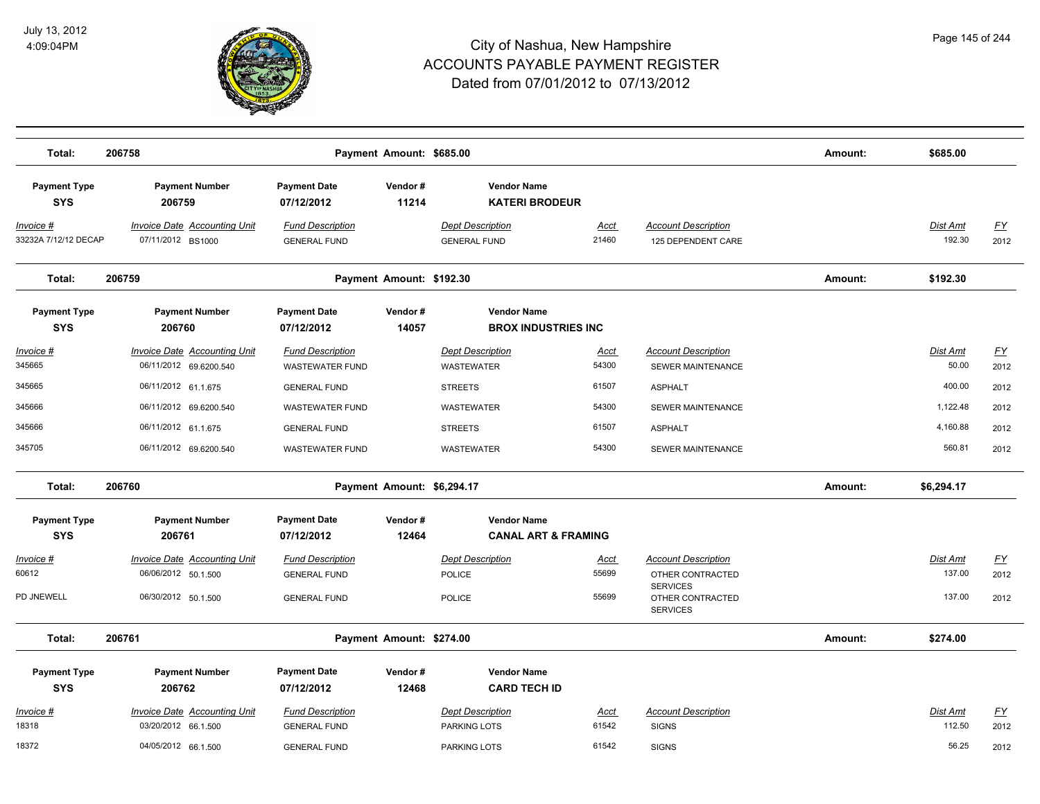

| Total:                            | 206758                                                        |                                                   | Payment Amount: \$685.00   |                                                   |                      |                                                                   | Amount: | \$685.00                  |                   |
|-----------------------------------|---------------------------------------------------------------|---------------------------------------------------|----------------------------|---------------------------------------------------|----------------------|-------------------------------------------------------------------|---------|---------------------------|-------------------|
| <b>Payment Type</b><br><b>SYS</b> | <b>Payment Number</b><br>206759                               | <b>Payment Date</b><br>07/12/2012                 | Vendor#<br>11214           | <b>Vendor Name</b><br><b>KATERI BRODEUR</b>       |                      |                                                                   |         |                           |                   |
| Invoice #<br>33232A 7/12/12 DECAP | <b>Invoice Date Accounting Unit</b><br>07/11/2012 BS1000      | <b>Fund Description</b><br><b>GENERAL FUND</b>    |                            | <b>Dept Description</b><br><b>GENERAL FUND</b>    | <b>Acct</b><br>21460 | <b>Account Description</b><br>125 DEPENDENT CARE                  |         | <b>Dist Amt</b><br>192.30 | <u>FY</u><br>2012 |
| Total:                            | 206759                                                        |                                                   | Payment Amount: \$192.30   |                                                   |                      |                                                                   | Amount: | \$192.30                  |                   |
| <b>Payment Type</b><br><b>SYS</b> | <b>Payment Number</b><br>206760                               | <b>Payment Date</b><br>07/12/2012                 | Vendor#<br>14057           | <b>Vendor Name</b><br><b>BROX INDUSTRIES INC.</b> |                      |                                                                   |         |                           |                   |
| <u> Invoice #</u><br>345665       | <b>Invoice Date Accounting Unit</b><br>06/11/2012 69.6200.540 | <b>Fund Description</b><br><b>WASTEWATER FUND</b> |                            | <b>Dept Description</b><br><b>WASTEWATER</b>      | <u>Acct</u><br>54300 | <b>Account Description</b><br><b>SEWER MAINTENANCE</b>            |         | <b>Dist Amt</b><br>50.00  | <u>FY</u><br>2012 |
| 345665                            | 06/11/2012 61.1.675                                           | <b>GENERAL FUND</b>                               |                            | <b>STREETS</b>                                    | 61507                | <b>ASPHALT</b>                                                    |         | 400.00                    | 2012              |
| 345666                            | 06/11/2012 69.6200.540                                        | <b>WASTEWATER FUND</b>                            |                            | <b>WASTEWATER</b>                                 | 54300                | SEWER MAINTENANCE                                                 |         | 1,122.48                  | 2012              |
| 345666                            | 06/11/2012 61.1.675                                           | <b>GENERAL FUND</b>                               |                            | <b>STREETS</b>                                    | 61507                | <b>ASPHALT</b>                                                    |         | 4,160.88                  | 2012              |
| 345705                            | 06/11/2012 69.6200.540                                        | <b>WASTEWATER FUND</b>                            |                            | WASTEWATER                                        | 54300                | SEWER MAINTENANCE                                                 |         | 560.81                    | 2012              |
| Total:                            | 206760                                                        |                                                   | Payment Amount: \$6,294.17 |                                                   |                      |                                                                   | Amount: | \$6,294.17                |                   |
| <b>Payment Type</b>               | <b>Payment Number</b>                                         | <b>Payment Date</b>                               | Vendor#                    | <b>Vendor Name</b>                                |                      |                                                                   |         |                           |                   |
| <b>SYS</b>                        | 206761                                                        | 07/12/2012                                        | 12464                      | <b>CANAL ART &amp; FRAMING</b>                    |                      |                                                                   |         |                           |                   |
| <u> Invoice #</u><br>60612        | <b>Invoice Date Accounting Unit</b><br>06/06/2012 50.1.500    | <b>Fund Description</b><br><b>GENERAL FUND</b>    |                            | <b>Dept Description</b><br><b>POLICE</b>          | <u>Acct</u><br>55699 | <b>Account Description</b><br>OTHER CONTRACTED<br><b>SERVICES</b> |         | Dist Amt<br>137.00        | <u>FY</u><br>2012 |
| PD JNEWELL                        | 06/30/2012 50.1.500                                           | <b>GENERAL FUND</b>                               |                            | <b>POLICE</b>                                     | 55699                | OTHER CONTRACTED<br><b>SERVICES</b>                               |         | 137.00                    | 2012              |
| Total:                            | 206761                                                        |                                                   | Payment Amount: \$274.00   |                                                   |                      |                                                                   | Amount: | \$274.00                  |                   |
| <b>Payment Type</b><br><b>SYS</b> | <b>Payment Number</b><br>206762                               | <b>Payment Date</b><br>07/12/2012                 | Vendor#<br>12468           | <b>Vendor Name</b><br><b>CARD TECH ID</b>         |                      |                                                                   |         |                           |                   |
| Invoice #                         | <b>Invoice Date Accounting Unit</b>                           | <b>Fund Description</b>                           |                            | <b>Dept Description</b>                           | <b>Acct</b>          | <b>Account Description</b>                                        |         | Dist Amt                  | <u>FY</u>         |
| 18318                             | 03/20/2012 66.1.500                                           | <b>GENERAL FUND</b>                               |                            | PARKING LOTS                                      | 61542                | <b>SIGNS</b>                                                      |         | 112.50                    | 2012              |
| 18372                             | 04/05/2012 66.1.500                                           | <b>GENERAL FUND</b>                               |                            | PARKING LOTS                                      | 61542                | <b>SIGNS</b>                                                      |         | 56.25                     | 2012              |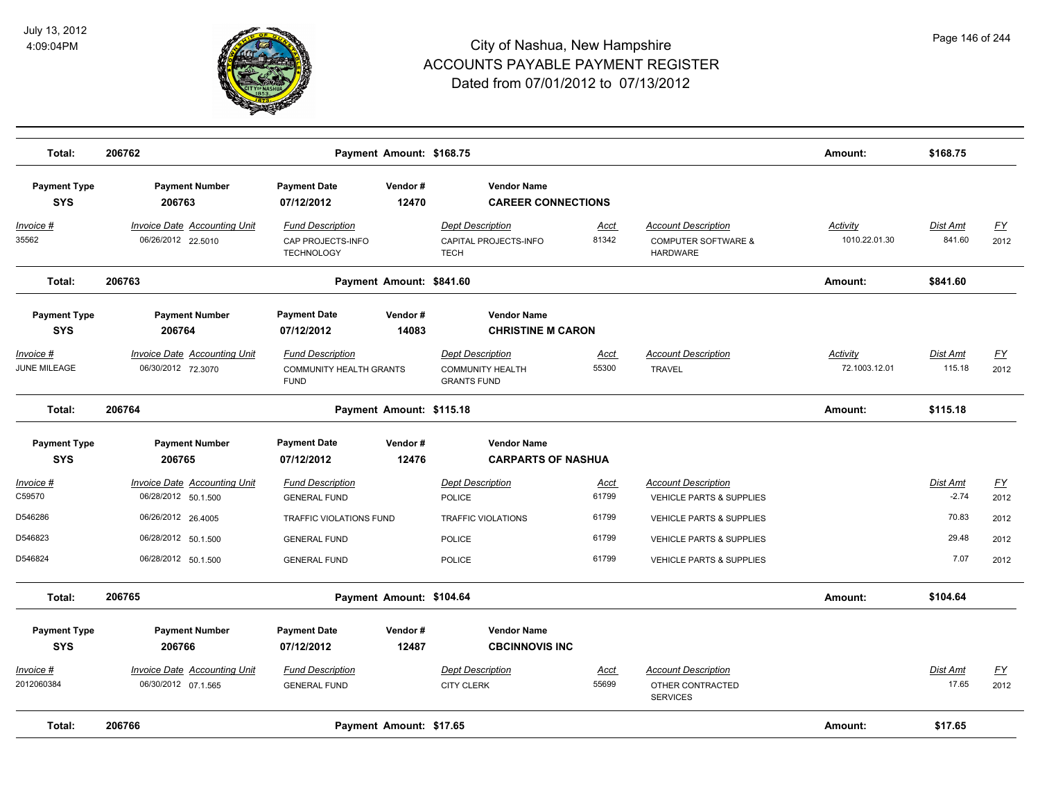

| Total:                            | 206762                                                     |                                                                          | Payment Amount: \$168.75 |                                                                          |                      |                                                                                 | Amount:                   | \$168.75                  |                                   |
|-----------------------------------|------------------------------------------------------------|--------------------------------------------------------------------------|--------------------------|--------------------------------------------------------------------------|----------------------|---------------------------------------------------------------------------------|---------------------------|---------------------------|-----------------------------------|
| <b>Payment Type</b><br><b>SYS</b> | <b>Payment Number</b><br>206763                            | <b>Payment Date</b><br>07/12/2012                                        | Vendor#<br>12470         | <b>Vendor Name</b><br><b>CAREER CONNECTIONS</b>                          |                      |                                                                                 |                           |                           |                                   |
| <u> Invoice #</u><br>35562        | <b>Invoice Date Accounting Unit</b><br>06/26/2012 22.5010  | <b>Fund Description</b><br>CAP PROJECTS-INFO<br><b>TECHNOLOGY</b>        |                          | <b>Dept Description</b><br>CAPITAL PROJECTS-INFO<br><b>TECH</b>          | <b>Acct</b><br>81342 | <b>Account Description</b><br><b>COMPUTER SOFTWARE &amp;</b><br><b>HARDWARE</b> | Activity<br>1010.22.01.30 | <u>Dist Amt</u><br>841.60 | <u>FY</u><br>2012                 |
| Total:                            | 206763                                                     |                                                                          | Payment Amount: \$841.60 |                                                                          |                      |                                                                                 | Amount:                   | \$841.60                  |                                   |
| <b>Payment Type</b><br><b>SYS</b> | <b>Payment Number</b><br>206764                            | <b>Payment Date</b><br>07/12/2012                                        | Vendor#<br>14083         | <b>Vendor Name</b><br><b>CHRISTINE M CARON</b>                           |                      |                                                                                 |                           |                           |                                   |
| Invoice #<br>JUNE MILEAGE         | <b>Invoice Date Accounting Unit</b><br>06/30/2012 72.3070  | <b>Fund Description</b><br><b>COMMUNITY HEALTH GRANTS</b><br><b>FUND</b> |                          | <b>Dept Description</b><br><b>COMMUNITY HEALTH</b><br><b>GRANTS FUND</b> | Acct<br>55300        | <b>Account Description</b><br><b>TRAVEL</b>                                     | Activity<br>72.1003.12.01 | Dist Amt<br>115.18        | $\underline{FY}$<br>2012          |
| Total:                            | 206764                                                     |                                                                          | Payment Amount: \$115.18 | Amount:                                                                  | \$115.18             |                                                                                 |                           |                           |                                   |
| <b>Payment Type</b><br><b>SYS</b> | <b>Payment Number</b><br>206765                            | <b>Payment Date</b><br>07/12/2012                                        | Vendor#<br>12476         | <b>Vendor Name</b><br><b>CARPARTS OF NASHUA</b>                          |                      |                                                                                 |                           |                           |                                   |
| Invoice #<br>C59570               | <b>Invoice Date Accounting Unit</b><br>06/28/2012 50.1.500 | <b>Fund Description</b>                                                  |                          | <b>Dept Description</b>                                                  | Acct<br>61799        | <b>Account Description</b>                                                      |                           | Dist Amt<br>$-2.74$       | $\underline{\mathsf{FY}}$<br>2012 |
| D546286                           | 06/26/2012 26.4005                                         | <b>GENERAL FUND</b><br>TRAFFIC VIOLATIONS FUND                           |                          | <b>POLICE</b><br><b>TRAFFIC VIOLATIONS</b>                               | 61799                | <b>VEHICLE PARTS &amp; SUPPLIES</b><br>VEHICLE PARTS & SUPPLIES                 |                           | 70.83                     | 2012                              |
| D546823                           | 06/28/2012 50.1.500                                        | <b>GENERAL FUND</b>                                                      |                          | POLICE                                                                   | 61799                | <b>VEHICLE PARTS &amp; SUPPLIES</b>                                             |                           | 29.48                     | 2012                              |
| D546824                           | 06/28/2012 50.1.500                                        | <b>GENERAL FUND</b>                                                      |                          | <b>POLICE</b>                                                            | 61799                | <b>VEHICLE PARTS &amp; SUPPLIES</b>                                             |                           | 7.07                      | 2012                              |
| Total:                            | 206765                                                     |                                                                          | Payment Amount: \$104.64 |                                                                          |                      |                                                                                 | Amount:                   | \$104.64                  |                                   |
| <b>Payment Type</b><br><b>SYS</b> | <b>Payment Number</b><br>206766                            | <b>Payment Date</b><br>07/12/2012                                        | Vendor#<br>12487         | <b>Vendor Name</b><br><b>CBCINNOVIS INC</b>                              |                      |                                                                                 |                           |                           |                                   |
| Invoice #<br>2012060384           | Invoice Date Accounting Unit<br>06/30/2012 07.1.565        | <b>Fund Description</b><br><b>GENERAL FUND</b>                           |                          | <b>Dept Description</b><br><b>CITY CLERK</b>                             | <u>Acct</u><br>55699 | <b>Account Description</b><br>OTHER CONTRACTED<br><b>SERVICES</b>               |                           | Dist Amt<br>17.65         | $\underline{FY}$<br>2012          |
| Total:                            | 206766                                                     |                                                                          | Payment Amount: \$17.65  |                                                                          |                      |                                                                                 | Amount:                   | \$17.65                   |                                   |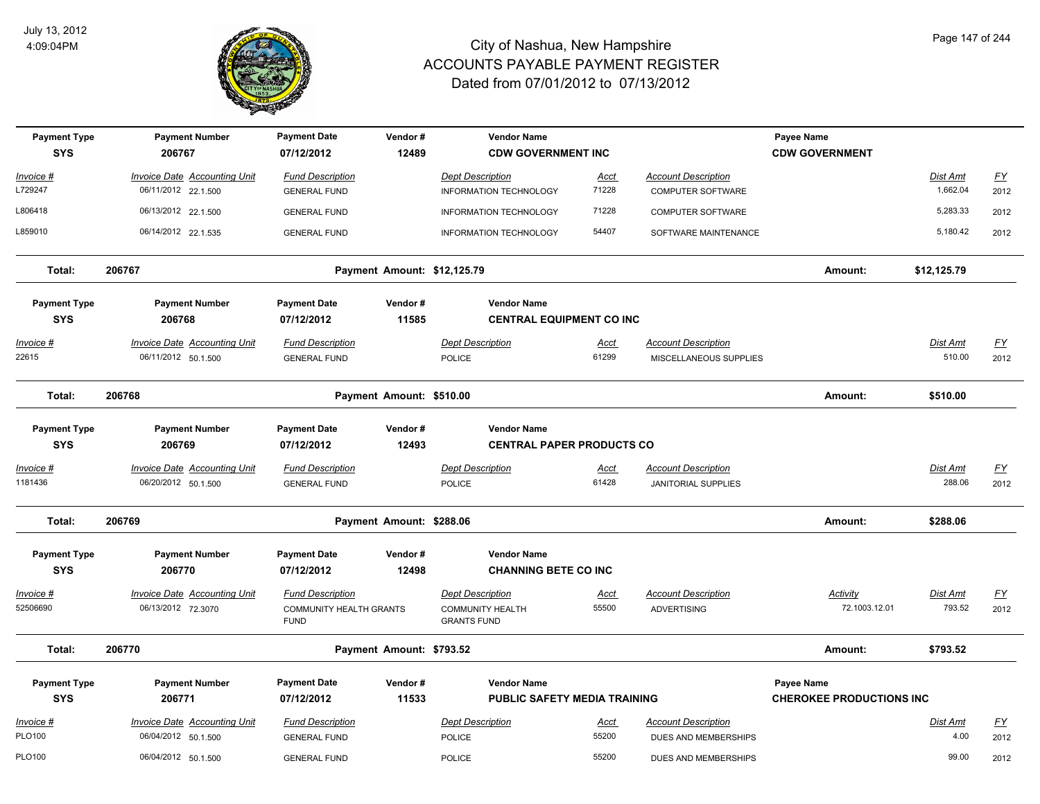

| <b>Payment Type</b><br><b>SYS</b> | <b>Payment Number</b><br>206767     | <b>Payment Date</b><br>07/12/2012      | Vendor#<br>12489            | <b>Vendor Name</b><br><b>CDW GOVERNMENT INC</b> |                      |                            | Payee Name<br><b>CDW GOVERNMENT</b> |                           |           |
|-----------------------------------|-------------------------------------|----------------------------------------|-----------------------------|-------------------------------------------------|----------------------|----------------------------|-------------------------------------|---------------------------|-----------|
| Invoice #                         | <b>Invoice Date Accounting Unit</b> | <b>Fund Description</b>                |                             | <b>Dept Description</b>                         | <u>Acct</u>          | <b>Account Description</b> |                                     | Dist Amt                  | EY        |
| L729247                           | 06/11/2012 22.1.500                 | <b>GENERAL FUND</b>                    |                             | INFORMATION TECHNOLOGY                          | 71228                | COMPUTER SOFTWARE          |                                     | 1,662.04                  | 2012      |
| L806418                           | 06/13/2012 22.1.500                 | <b>GENERAL FUND</b>                    |                             | INFORMATION TECHNOLOGY                          | 71228                | COMPUTER SOFTWARE          |                                     | 5,283.33                  | 2012      |
| L859010                           | 06/14/2012 22.1.535                 | <b>GENERAL FUND</b>                    |                             | <b>INFORMATION TECHNOLOGY</b>                   | 54407                | SOFTWARE MAINTENANCE       |                                     | 5,180.42                  | 2012      |
| Total:                            | 206767                              |                                        | Payment Amount: \$12,125.79 |                                                 |                      |                            | Amount:                             | \$12,125.79               |           |
| <b>Payment Type</b>               | <b>Payment Number</b>               | <b>Payment Date</b>                    | Vendor#                     | <b>Vendor Name</b>                              |                      |                            |                                     |                           |           |
| <b>SYS</b>                        | 206768                              | 07/12/2012                             | 11585                       | <b>CENTRAL EQUIPMENT CO INC</b>                 |                      |                            |                                     |                           |           |
| <u> Invoice #</u><br>22615        | <b>Invoice Date Accounting Unit</b> | <b>Fund Description</b>                |                             | <b>Dept Description</b>                         | <u>Acct</u><br>61299 | <b>Account Description</b> |                                     | <b>Dist Amt</b><br>510.00 | <u>FY</u> |
|                                   | 06/11/2012 50.1.500                 | <b>GENERAL FUND</b>                    |                             | POLICE                                          |                      | MISCELLANEOUS SUPPLIES     |                                     |                           | 2012      |
| Total:                            | 206768                              |                                        | Payment Amount: \$510.00    |                                                 |                      |                            | Amount:                             | \$510.00                  |           |
| <b>Payment Type</b>               | <b>Payment Number</b>               | <b>Payment Date</b>                    | Vendor#                     | <b>Vendor Name</b>                              |                      |                            |                                     |                           |           |
| <b>SYS</b>                        | 206769                              | 07/12/2012                             | 12493                       | <b>CENTRAL PAPER PRODUCTS CO</b>                |                      |                            |                                     |                           |           |
| <u> Invoice #</u>                 | <b>Invoice Date Accounting Unit</b> | <b>Fund Description</b>                |                             | <b>Dept Description</b>                         | <u>Acct</u>          | <b>Account Description</b> |                                     | Dist Amt                  | <u>FY</u> |
| 1181436                           | 06/20/2012 50.1.500                 | <b>GENERAL FUND</b>                    |                             | <b>POLICE</b>                                   | 61428                | <b>JANITORIAL SUPPLIES</b> |                                     | 288.06                    | 2012      |
| Total:                            | 206769                              |                                        | Payment Amount: \$288.06    |                                                 |                      |                            | Amount:                             | \$288.06                  |           |
| <b>Payment Type</b>               | <b>Payment Number</b>               | <b>Payment Date</b>                    | Vendor#                     | <b>Vendor Name</b>                              |                      |                            |                                     |                           |           |
| <b>SYS</b>                        | 206770                              | 07/12/2012                             | 12498                       | <b>CHANNING BETE CO INC</b>                     |                      |                            |                                     |                           |           |
| Invoice #                         | Invoice Date Accounting Unit        | <b>Fund Description</b>                |                             | <b>Dept Description</b>                         | Acct                 | <b>Account Description</b> | Activity                            | Dist Amt                  | <u>FY</u> |
| 52506690                          | 06/13/2012 72.3070                  | COMMUNITY HEALTH GRANTS<br><b>FUND</b> |                             | <b>COMMUNITY HEALTH</b><br><b>GRANTS FUND</b>   | 55500                | <b>ADVERTISING</b>         | 72.1003.12.01                       | 793.52                    | 2012      |
| Total:                            | 206770                              |                                        | Payment Amount: \$793.52    |                                                 |                      |                            | Amount:                             | \$793.52                  |           |
| <b>Payment Type</b>               | <b>Payment Number</b>               | <b>Payment Date</b>                    | Vendor#                     | <b>Vendor Name</b>                              |                      |                            | Payee Name                          |                           |           |
| <b>SYS</b>                        | 206771                              | 07/12/2012                             | 11533                       | <b>PUBLIC SAFETY MEDIA TRAINING</b>             |                      |                            | <b>CHEROKEE PRODUCTIONS INC</b>     |                           |           |
| Invoice #                         | <b>Invoice Date Accounting Unit</b> | <b>Fund Description</b>                |                             | <b>Dept Description</b>                         | <u>Acct</u>          | <b>Account Description</b> |                                     | Dist Amt                  | <u>FY</u> |
| PLO100                            | 06/04/2012 50.1.500                 | <b>GENERAL FUND</b>                    |                             | POLICE                                          | 55200                | DUES AND MEMBERSHIPS       |                                     | 4.00                      | 2012      |
| PLO100                            | 06/04/2012 50.1.500                 | <b>GENERAL FUND</b>                    |                             | <b>POLICE</b>                                   | 55200                | DUES AND MEMBERSHIPS       |                                     | 99.00                     | 2012      |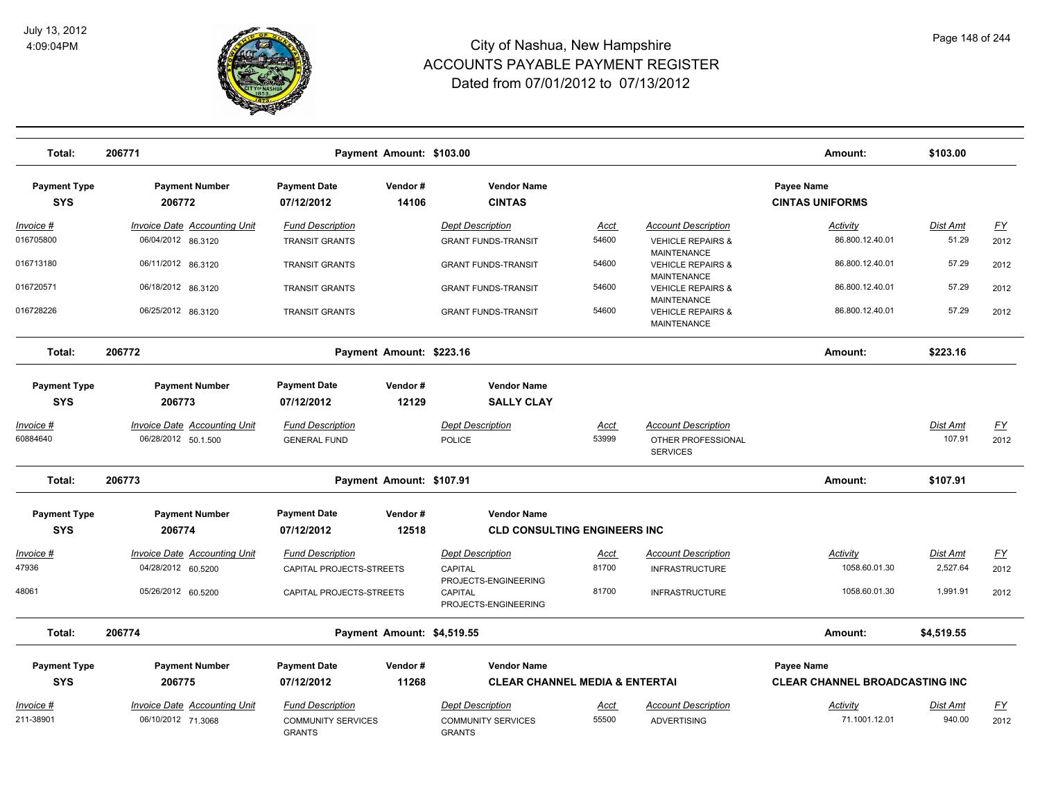

| Total:                            | 206771                                                     |                                                                       | Payment Amount: \$103.00   |                                                                       |                      |                                                                     | Amount:                                     | \$103.00           |                   |
|-----------------------------------|------------------------------------------------------------|-----------------------------------------------------------------------|----------------------------|-----------------------------------------------------------------------|----------------------|---------------------------------------------------------------------|---------------------------------------------|--------------------|-------------------|
| <b>Payment Type</b><br><b>SYS</b> | <b>Payment Number</b><br>206772                            | <b>Payment Date</b><br>07/12/2012                                     | Vendor#<br>14106           | <b>Vendor Name</b><br><b>CINTAS</b>                                   |                      |                                                                     | <b>Payee Name</b><br><b>CINTAS UNIFORMS</b> |                    |                   |
| Invoice #<br>016705800            | <b>Invoice Date Accounting Unit</b><br>06/04/2012 86.3120  | <b>Fund Description</b><br><b>TRANSIT GRANTS</b>                      |                            | <b>Dept Description</b><br><b>GRANT FUNDS-TRANSIT</b>                 | Acct<br>54600        | <b>Account Description</b><br><b>VEHICLE REPAIRS &amp;</b>          | Activity<br>86.800.12.40.01                 | Dist Amt<br>51.29  | <u>FY</u><br>2012 |
| 016713180                         | 06/11/2012 86.3120                                         | <b>TRANSIT GRANTS</b>                                                 |                            | <b>GRANT FUNDS-TRANSIT</b>                                            | 54600                | <b>MAINTENANCE</b><br><b>VEHICLE REPAIRS &amp;</b>                  | 86.800.12.40.01                             | 57.29              | 2012              |
| 016720571                         | 06/18/2012 86.3120                                         | <b>TRANSIT GRANTS</b>                                                 |                            | <b>GRANT FUNDS-TRANSIT</b>                                            | 54600                | <b>MAINTENANCE</b><br><b>VEHICLE REPAIRS &amp;</b>                  | 86.800.12.40.01                             | 57.29              | 2012              |
| 016728226                         | 06/25/2012 86.3120                                         | <b>TRANSIT GRANTS</b>                                                 |                            | <b>GRANT FUNDS-TRANSIT</b>                                            | 54600                | MAINTENANCE<br><b>VEHICLE REPAIRS &amp;</b><br><b>MAINTENANCE</b>   | 86.800.12.40.01                             | 57.29              | 2012              |
| Total:                            | 206772                                                     |                                                                       | Payment Amount: \$223.16   |                                                                       |                      |                                                                     | Amount:                                     | \$223.16           |                   |
| <b>Payment Type</b><br><b>SYS</b> | <b>Payment Number</b><br>206773                            | <b>Payment Date</b><br>07/12/2012                                     | Vendor#<br>12129           | <b>Vendor Name</b><br><b>SALLY CLAY</b>                               |                      |                                                                     |                                             |                    |                   |
| Invoice #<br>60884640             | <b>Invoice Date Accounting Unit</b><br>06/28/2012 50.1.500 | <b>Fund Description</b><br><b>GENERAL FUND</b>                        |                            | <b>Dept Description</b><br><b>POLICE</b>                              | <u>Acct</u><br>53999 | <b>Account Description</b><br>OTHER PROFESSIONAL<br><b>SERVICES</b> |                                             | Dist Amt<br>107.91 | <u>FY</u><br>2012 |
| Total:                            | 206773                                                     |                                                                       | Payment Amount: \$107.91   |                                                                       |                      |                                                                     | Amount:                                     | \$107.91           |                   |
| <b>Payment Type</b><br><b>SYS</b> | <b>Payment Number</b><br>206774                            | <b>Payment Date</b><br>07/12/2012                                     | Vendor#<br>12518           | <b>Vendor Name</b><br><b>CLD CONSULTING ENGINEERS INC</b>             |                      |                                                                     |                                             |                    |                   |
| Invoice #                         | <b>Invoice Date Accounting Unit</b>                        | <b>Fund Description</b>                                               |                            | <b>Dept Description</b>                                               | <u>Acct</u>          | <b>Account Description</b>                                          | Activity                                    | Dist Amt           | <u>FY</u>         |
| 47936                             | 04/28/2012 60.5200                                         | CAPITAL PROJECTS-STREETS                                              |                            | CAPITAL<br>PROJECTS-ENGINEERING                                       | 81700                | <b>INFRASTRUCTURE</b>                                               | 1058.60.01.30                               | 2,527.64           | 2012              |
| 48061                             | 05/26/2012 60.5200                                         | CAPITAL PROJECTS-STREETS                                              |                            | CAPITAL<br>PROJECTS-ENGINEERING                                       | 81700                | <b>INFRASTRUCTURE</b>                                               | 1058.60.01.30                               | 1,991.91           | 2012              |
| Total:                            | 206774                                                     |                                                                       | Payment Amount: \$4,519.55 |                                                                       |                      |                                                                     | Amount:                                     | \$4,519.55         |                   |
| <b>Payment Type</b>               | <b>Payment Number</b>                                      | <b>Payment Date</b>                                                   | Vendor#                    | <b>Vendor Name</b>                                                    |                      |                                                                     | <b>Payee Name</b>                           |                    |                   |
| <b>SYS</b>                        | 206775                                                     | 07/12/2012                                                            | 11268                      | <b>CLEAR CHANNEL MEDIA &amp; ENTERTAI</b>                             |                      |                                                                     | <b>CLEAR CHANNEL BROADCASTING INC</b>       |                    |                   |
| Invoice #<br>211-38901            | Invoice Date Accounting Unit<br>06/10/2012 71.3068         | <b>Fund Description</b><br><b>COMMUNITY SERVICES</b><br><b>GRANTS</b> |                            | <b>Dept Description</b><br><b>COMMUNITY SERVICES</b><br><b>GRANTS</b> | <u>Acct</u><br>55500 | <b>Account Description</b><br><b>ADVERTISING</b>                    | Activity<br>71.1001.12.01                   | Dist Amt<br>940.00 | EY<br>2012        |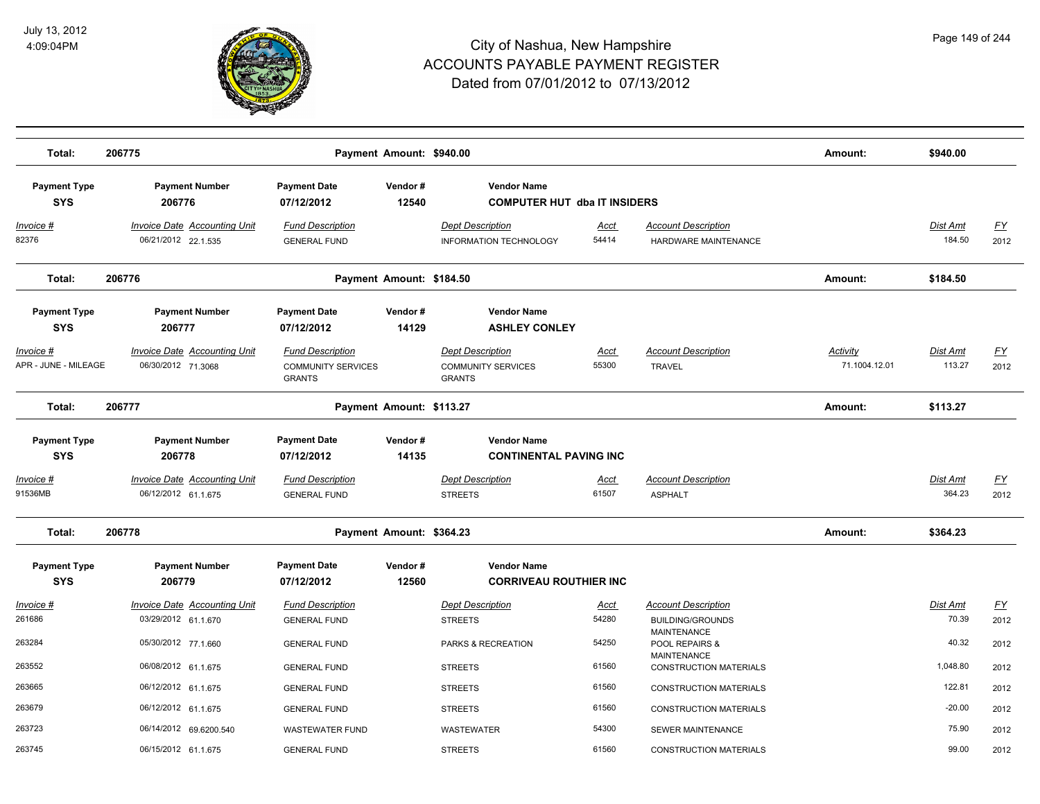

| Total:                            | 206775                                                     |                                                                       | Payment Amount: \$940.00 |                                                                       |               |                                                     | Amount:                   | \$940.00                  |                   |
|-----------------------------------|------------------------------------------------------------|-----------------------------------------------------------------------|--------------------------|-----------------------------------------------------------------------|---------------|-----------------------------------------------------|---------------------------|---------------------------|-------------------|
|                                   |                                                            |                                                                       |                          |                                                                       |               |                                                     |                           |                           |                   |
| <b>Payment Type</b>               | <b>Payment Number</b>                                      | <b>Payment Date</b>                                                   | Vendor#                  | <b>Vendor Name</b>                                                    |               |                                                     |                           |                           |                   |
| <b>SYS</b>                        | 206776                                                     | 07/12/2012                                                            | 12540                    | <b>COMPUTER HUT dba IT INSIDERS</b>                                   |               |                                                     |                           |                           |                   |
| <u> Invoice #</u><br>82376        | <b>Invoice Date Accounting Unit</b><br>06/21/2012 22.1.535 | <b>Fund Description</b><br><b>GENERAL FUND</b>                        |                          | <b>Dept Description</b><br><b>INFORMATION TECHNOLOGY</b>              | Acct<br>54414 | <b>Account Description</b><br>HARDWARE MAINTENANCE  |                           | <b>Dist Amt</b><br>184.50 | <u>FY</u><br>2012 |
| Total:                            | 206776                                                     |                                                                       | Payment Amount: \$184.50 |                                                                       |               |                                                     | Amount:                   | \$184.50                  |                   |
| <b>Payment Type</b>               | <b>Payment Number</b>                                      | <b>Payment Date</b>                                                   | Vendor#                  | <b>Vendor Name</b>                                                    |               |                                                     |                           |                           |                   |
| <b>SYS</b>                        | 206777                                                     | 07/12/2012                                                            | 14129                    | <b>ASHLEY CONLEY</b>                                                  |               |                                                     |                           |                           |                   |
| Invoice #<br>APR - JUNE - MILEAGE | <b>Invoice Date Accounting Unit</b><br>06/30/2012 71.3068  | <b>Fund Description</b><br><b>COMMUNITY SERVICES</b><br><b>GRANTS</b> |                          | <b>Dept Description</b><br><b>COMMUNITY SERVICES</b><br><b>GRANTS</b> | Acct<br>55300 | <b>Account Description</b><br><b>TRAVEL</b>         | Activity<br>71.1004.12.01 | Dist Amt<br>113.27        | <u>FY</u><br>2012 |
| Total:                            | 206777                                                     |                                                                       | Payment Amount: \$113.27 |                                                                       |               |                                                     | Amount:                   | \$113.27                  |                   |
| <b>Payment Type</b>               | <b>Payment Number</b>                                      | <b>Payment Date</b>                                                   | Vendor#                  | <b>Vendor Name</b>                                                    |               |                                                     |                           |                           |                   |
| <b>SYS</b>                        | 206778                                                     | 07/12/2012                                                            | 14135                    | <b>CONTINENTAL PAVING INC</b>                                         |               |                                                     |                           |                           |                   |
| Invoice #<br>91536MB              | <b>Invoice Date Accounting Unit</b><br>06/12/2012 61.1.675 | <b>Fund Description</b><br><b>GENERAL FUND</b>                        |                          | <b>Dept Description</b><br><b>STREETS</b>                             | Acct<br>61507 | <b>Account Description</b><br><b>ASPHALT</b>        |                           | Dist Amt<br>364.23        | <u>FY</u><br>2012 |
| Total:                            | 206778                                                     |                                                                       | Payment Amount: \$364.23 |                                                                       |               |                                                     | Amount:                   | \$364.23                  |                   |
| <b>Payment Type</b><br><b>SYS</b> | <b>Payment Number</b><br>206779                            | <b>Payment Date</b><br>07/12/2012                                     | Vendor#<br>12560         | <b>Vendor Name</b><br><b>CORRIVEAU ROUTHIER INC</b>                   |               |                                                     |                           |                           |                   |
| Invoice #                         | <b>Invoice Date Accounting Unit</b>                        | <b>Fund Description</b>                                               |                          | <b>Dept Description</b>                                               | <b>Acct</b>   | <b>Account Description</b>                          |                           | Dist Amt                  | <u>FY</u>         |
| 261686                            | 03/29/2012 61.1.670                                        | <b>GENERAL FUND</b>                                                   |                          | <b>STREETS</b>                                                        | 54280         | <b>BUILDING/GROUNDS</b><br><b>MAINTENANCE</b>       |                           | 70.39                     | 2012              |
| 263284                            | 05/30/2012 77.1.660                                        | <b>GENERAL FUND</b>                                                   |                          | PARKS & RECREATION                                                    | 54250         | POOL REPAIRS &                                      |                           | 40.32                     | 2012              |
| 263552                            | 06/08/2012 61.1.675                                        | <b>GENERAL FUND</b>                                                   |                          | <b>STREETS</b>                                                        | 61560         | <b>MAINTENANCE</b><br><b>CONSTRUCTION MATERIALS</b> |                           | 1,048.80                  | 2012              |
| 263665                            | 06/12/2012 61.1.675                                        | <b>GENERAL FUND</b>                                                   |                          | <b>STREETS</b>                                                        | 61560         | <b>CONSTRUCTION MATERIALS</b>                       |                           | 122.81                    | 2012              |
| 263679                            | 06/12/2012 61.1.675                                        | <b>GENERAL FUND</b>                                                   |                          | <b>STREETS</b>                                                        | 61560         | <b>CONSTRUCTION MATERIALS</b>                       |                           | $-20.00$                  | 2012              |
| 263723                            | 06/14/2012 69.6200.540                                     | <b>WASTEWATER FUND</b>                                                |                          | WASTEWATER                                                            | 54300         | SEWER MAINTENANCE                                   |                           | 75.90                     | 2012              |
| 263745                            | 06/15/2012 61.1.675                                        | <b>GENERAL FUND</b>                                                   |                          | <b>STREETS</b>                                                        | 61560         | <b>CONSTRUCTION MATERIALS</b>                       |                           | 99.00                     | 2012              |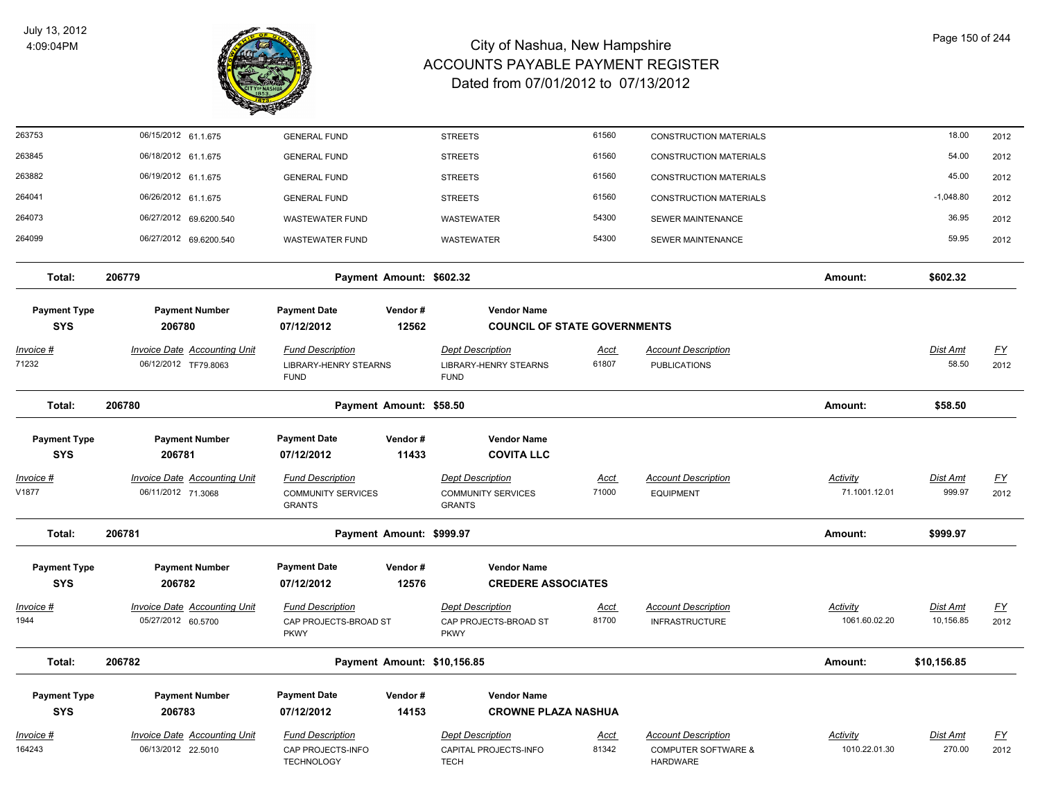

| 263753                      | 06/15/2012 61.1.675                                       | <b>GENERAL FUND</b>                          |                             | <b>STREETS</b>                                   | 61560                | <b>CONSTRUCTION MATERIALS</b>                                |                                  | 18.00              | 2012                      |
|-----------------------------|-----------------------------------------------------------|----------------------------------------------|-----------------------------|--------------------------------------------------|----------------------|--------------------------------------------------------------|----------------------------------|--------------------|---------------------------|
| 263845                      | 06/18/2012 61.1.675                                       | <b>GENERAL FUND</b>                          |                             | <b>STREETS</b>                                   | 61560                | <b>CONSTRUCTION MATERIALS</b>                                |                                  | 54.00              | 2012                      |
| 263882                      | 06/19/2012 61.1.675                                       | <b>GENERAL FUND</b>                          |                             | <b>STREETS</b>                                   | 61560                | <b>CONSTRUCTION MATERIALS</b>                                |                                  | 45.00              | 2012                      |
| 264041                      | 06/26/2012 61.1.675                                       | <b>GENERAL FUND</b>                          |                             | <b>STREETS</b>                                   | 61560                | <b>CONSTRUCTION MATERIALS</b>                                |                                  | $-1,048.80$        | 2012                      |
| 264073                      | 06/27/2012 69.6200.540                                    | <b>WASTEWATER FUND</b>                       |                             | <b>WASTEWATER</b>                                | 54300                | <b>SEWER MAINTENANCE</b>                                     |                                  | 36.95              | 2012                      |
| 264099                      | 06/27/2012 69.6200.540                                    | <b>WASTEWATER FUND</b>                       |                             | <b>WASTEWATER</b>                                | 54300                | SEWER MAINTENANCE                                            |                                  | 59.95              | 2012                      |
| Total:                      | 206779                                                    |                                              | Payment Amount: \$602.32    |                                                  |                      |                                                              | Amount:                          | \$602.32           |                           |
| <b>Payment Type</b>         | <b>Payment Number</b>                                     | <b>Payment Date</b>                          | Vendor#                     | <b>Vendor Name</b>                               |                      |                                                              |                                  |                    |                           |
| <b>SYS</b>                  | 206780                                                    | 07/12/2012                                   | 12562                       | <b>COUNCIL OF STATE GOVERNMENTS</b>              |                      |                                                              |                                  |                    |                           |
| <u>Invoice #</u>            | <b>Invoice Date Accounting Unit</b>                       | <b>Fund Description</b>                      |                             | <b>Dept Description</b>                          | <u>Acct</u>          | <b>Account Description</b>                                   |                                  | <b>Dist Amt</b>    | $\underline{\mathsf{FY}}$ |
| 71232                       | 06/12/2012 TF79.8063                                      | <b>LIBRARY-HENRY STEARNS</b><br><b>FUND</b>  |                             | <b>LIBRARY-HENRY STEARNS</b><br><b>FUND</b>      | 61807                | <b>PUBLICATIONS</b>                                          |                                  | 58.50              | 2012                      |
| Total:                      | 206780                                                    |                                              | Payment Amount: \$58.50     |                                                  |                      |                                                              | Amount:                          | \$58.50            |                           |
| <b>Payment Type</b>         | <b>Payment Number</b>                                     | <b>Payment Date</b>                          | Vendor#                     | <b>Vendor Name</b>                               |                      |                                                              |                                  |                    |                           |
| <b>SYS</b>                  | 206781                                                    | 07/12/2012                                   | 11433                       | <b>COVITA LLC</b>                                |                      |                                                              |                                  |                    |                           |
| Invoice #                   | Invoice Date Accounting Unit                              | <b>Fund Description</b>                      |                             | <b>Dept Description</b>                          | <u>Acct</u>          | <b>Account Description</b>                                   | Activity                         | Dist Amt           | <u>FY</u>                 |
| V1877                       | 06/11/2012 71.3068                                        | <b>COMMUNITY SERVICES</b><br><b>GRANTS</b>   |                             | <b>COMMUNITY SERVICES</b><br><b>GRANTS</b>       | 71000                | <b>EQUIPMENT</b>                                             | 71.1001.12.01                    | 999.97             | 2012                      |
| Total:                      | 206781                                                    |                                              | Payment Amount: \$999.97    |                                                  |                      |                                                              | Amount:                          | \$999.97           |                           |
| <b>Payment Type</b>         | <b>Payment Number</b>                                     | <b>Payment Date</b>                          | Vendor#                     | <b>Vendor Name</b>                               |                      |                                                              |                                  |                    |                           |
| <b>SYS</b>                  | 206782                                                    | 07/12/2012                                   | 12576                       | <b>CREDERE ASSOCIATES</b>                        |                      |                                                              |                                  |                    |                           |
| Invoice #                   | <b>Invoice Date Accounting Unit</b>                       | <b>Fund Description</b>                      |                             | <b>Dept Description</b>                          | <u>Acct</u>          | <b>Account Description</b>                                   | Activity                         | <u>Dist Amt</u>    | <u>FY</u>                 |
| 1944                        | 05/27/2012 60.5700                                        | CAP PROJECTS-BROAD ST<br><b>PKWY</b>         |                             | CAP PROJECTS-BROAD ST<br><b>PKWY</b>             | 81700                | <b>INFRASTRUCTURE</b>                                        | 1061.60.02.20                    | 10,156.85          | 2012                      |
| Total:                      | 206782                                                    |                                              | Payment Amount: \$10,156.85 |                                                  |                      |                                                              | Amount:                          | \$10,156.85        |                           |
| <b>Payment Type</b>         | <b>Payment Number</b>                                     | <b>Payment Date</b>                          | Vendor#                     | <b>Vendor Name</b>                               |                      |                                                              |                                  |                    |                           |
| <b>SYS</b>                  | 206783                                                    | 07/12/2012                                   | 14153                       | <b>CROWNE PLAZA NASHUA</b>                       |                      |                                                              |                                  |                    |                           |
|                             |                                                           |                                              |                             |                                                  |                      |                                                              |                                  |                    |                           |
| <u> Invoice #</u><br>164243 | <b>Invoice Date Accounting Unit</b><br>06/13/2012 22.5010 | <b>Fund Description</b><br>CAP PROJECTS-INFO |                             | <b>Dept Description</b><br>CAPITAL PROJECTS-INFO | <u>Acct</u><br>81342 | <b>Account Description</b><br><b>COMPUTER SOFTWARE &amp;</b> | <b>Activity</b><br>1010.22.01.30 | Dist Amt<br>270.00 | EY<br>2012                |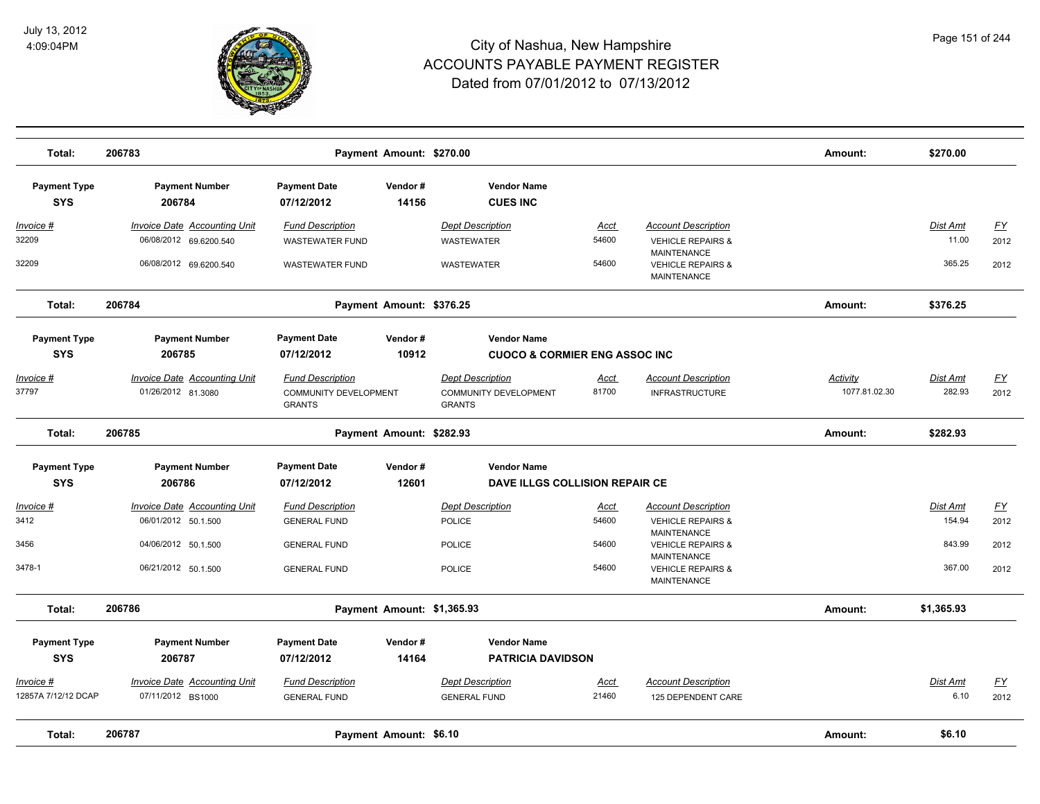

| Total:                            | 206783                                                        | Payment Amount: \$270.00                                                 |                  |                                                                          |                      |                                                                                    | Amount:                   | \$270.00                  |                          |
|-----------------------------------|---------------------------------------------------------------|--------------------------------------------------------------------------|------------------|--------------------------------------------------------------------------|----------------------|------------------------------------------------------------------------------------|---------------------------|---------------------------|--------------------------|
| <b>Payment Type</b><br><b>SYS</b> | <b>Payment Number</b><br>206784                               | <b>Payment Date</b><br>07/12/2012                                        | Vendor#<br>14156 | <b>Vendor Name</b><br><b>CUES INC</b>                                    |                      |                                                                                    |                           |                           |                          |
| <u> Invoice #</u><br>32209        | <b>Invoice Date Accounting Unit</b><br>06/08/2012 69.6200.540 | <b>Fund Description</b><br><b>WASTEWATER FUND</b>                        |                  | <b>Dept Description</b><br><b>WASTEWATER</b>                             | <b>Acct</b><br>54600 | <b>Account Description</b><br><b>VEHICLE REPAIRS &amp;</b>                         |                           | <b>Dist Amt</b><br>11.00  | <u>FY</u><br>2012        |
| 32209                             | 06/08/2012 69.6200.540                                        | <b>WASTEWATER FUND</b>                                                   |                  | WASTEWATER                                                               | 54600                | MAINTENANCE<br><b>VEHICLE REPAIRS &amp;</b><br><b>MAINTENANCE</b>                  |                           | 365.25                    | 2012                     |
| Total:                            | 206784                                                        | Payment Amount: \$376.25                                                 |                  |                                                                          |                      |                                                                                    | Amount:                   | \$376.25                  |                          |
| <b>Payment Type</b>               | <b>Payment Number</b>                                         | <b>Payment Date</b>                                                      | Vendor#          | <b>Vendor Name</b>                                                       |                      |                                                                                    |                           |                           |                          |
| <b>SYS</b>                        | 206785                                                        | 07/12/2012                                                               | 10912            | <b>CUOCO &amp; CORMIER ENG ASSOC INC</b>                                 |                      |                                                                                    |                           |                           |                          |
| Invoice #<br>37797                | <b>Invoice Date Accounting Unit</b><br>01/26/2012 81.3080     | <b>Fund Description</b><br><b>COMMUNITY DEVELOPMENT</b><br><b>GRANTS</b> |                  | <b>Dept Description</b><br><b>COMMUNITY DEVELOPMENT</b><br><b>GRANTS</b> | <u>Acct</u><br>81700 | <b>Account Description</b><br><b>INFRASTRUCTURE</b>                                | Activity<br>1077.81.02.30 | Dist Amt<br>282.93        | $\underline{FY}$<br>2012 |
| Total:                            | 206785                                                        | Payment Amount: \$282.93                                                 |                  |                                                                          |                      |                                                                                    | Amount:                   | \$282.93                  |                          |
| <b>Payment Type</b>               | <b>Payment Number</b>                                         | <b>Payment Date</b>                                                      | Vendor#          | <b>Vendor Name</b>                                                       |                      |                                                                                    |                           |                           |                          |
| <b>SYS</b>                        | 206786                                                        | 07/12/2012                                                               | 12601            | DAVE ILLGS COLLISION REPAIR CE                                           |                      |                                                                                    |                           |                           |                          |
| Invoice #<br>3412                 | <b>Invoice Date Accounting Unit</b>                           | <b>Fund Description</b>                                                  |                  | <b>Dept Description</b>                                                  | <u>Acct</u><br>54600 | <b>Account Description</b>                                                         |                           | <b>Dist Amt</b><br>154.94 | $\underline{FY}$         |
| 3456                              | 06/01/2012 50.1.500<br>04/06/2012 50.1.500                    | <b>GENERAL FUND</b><br><b>GENERAL FUND</b>                               |                  | <b>POLICE</b><br><b>POLICE</b>                                           | 54600                | <b>VEHICLE REPAIRS &amp;</b><br><b>MAINTENANCE</b><br><b>VEHICLE REPAIRS &amp;</b> |                           | 843.99                    | 2012<br>2012             |
| 3478-1                            | 06/21/2012 50.1.500                                           | <b>GENERAL FUND</b>                                                      |                  | <b>POLICE</b>                                                            | 54600                | <b>MAINTENANCE</b><br><b>VEHICLE REPAIRS &amp;</b>                                 |                           | 367.00                    | 2012                     |
|                                   |                                                               |                                                                          |                  |                                                                          |                      | MAINTENANCE                                                                        |                           |                           |                          |
| Total:                            | 206786                                                        | Payment Amount: \$1,365.93                                               |                  |                                                                          |                      |                                                                                    | Amount:                   | \$1,365.93                |                          |
| <b>Payment Type</b><br><b>SYS</b> | <b>Payment Number</b><br>206787                               | <b>Payment Date</b><br>07/12/2012                                        | Vendor#<br>14164 | <b>Vendor Name</b><br><b>PATRICIA DAVIDSON</b>                           |                      |                                                                                    |                           |                           |                          |
| Invoice #<br>12857A 7/12/12 DCAP  | Invoice Date Accounting Unit<br>07/11/2012 BS1000             | <b>Fund Description</b><br><b>GENERAL FUND</b>                           |                  | <b>Dept Description</b><br><b>GENERAL FUND</b>                           | Acct<br>21460        | <b>Account Description</b><br>125 DEPENDENT CARE                                   |                           | Dist Amt<br>6.10          | $\underline{FY}$<br>2012 |
| Total:                            | 206787                                                        | Payment Amount: \$6.10                                                   |                  |                                                                          |                      |                                                                                    | Amount:                   | \$6.10                    |                          |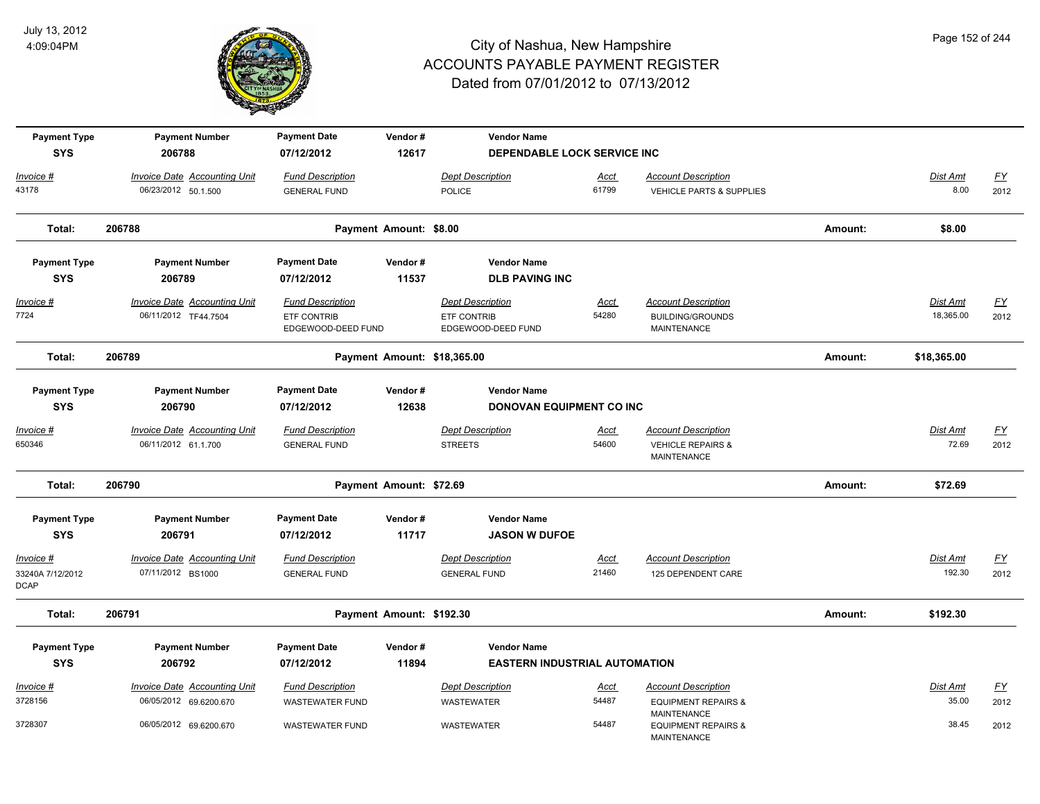

| <b>Payment Type</b>                          | <b>Payment Number</b>                                         | <b>Payment Date</b>                                          | Vendor#                  | <b>Vendor Name</b>                                           |                      |                                                                           |         |                              |                   |
|----------------------------------------------|---------------------------------------------------------------|--------------------------------------------------------------|--------------------------|--------------------------------------------------------------|----------------------|---------------------------------------------------------------------------|---------|------------------------------|-------------------|
| <b>SYS</b>                                   | 206788                                                        | 07/12/2012                                                   | 12617                    | DEPENDABLE LOCK SERVICE INC                                  |                      |                                                                           |         |                              |                   |
| <u> Invoice #</u><br>43178                   | <b>Invoice Date Accounting Unit</b><br>06/23/2012 50.1.500    | <b>Fund Description</b><br><b>GENERAL FUND</b>               |                          | <b>Dept Description</b><br>POLICE                            | <u>Acct</u><br>61799 | <b>Account Description</b><br>VEHICLE PARTS & SUPPLIES                    |         | Dist Amt<br>8.00             | <u>FY</u><br>2012 |
| Total:                                       | 206788                                                        |                                                              | Payment Amount: \$8.00   |                                                              |                      |                                                                           | Amount: | \$8.00                       |                   |
| <b>Payment Type</b><br><b>SYS</b>            | <b>Payment Number</b><br>206789                               | <b>Payment Date</b><br>07/12/2012                            | Vendor#<br>11537         | <b>Vendor Name</b><br><b>DLB PAVING INC</b>                  |                      |                                                                           |         |                              |                   |
| <u>Invoice #</u><br>7724                     | <b>Invoice Date Accounting Unit</b><br>06/11/2012 TF44.7504   | <b>Fund Description</b><br>ETF CONTRIB<br>EDGEWOOD-DEED FUND |                          | <b>Dept Description</b><br>ETF CONTRIB<br>EDGEWOOD-DEED FUND | <u>Acct</u><br>54280 | <b>Account Description</b><br><b>BUILDING/GROUNDS</b><br>MAINTENANCE      |         | <b>Dist Amt</b><br>18,365.00 | <u>FY</u><br>2012 |
| Total:                                       | 206789                                                        |                                                              |                          | Payment Amount: \$18,365.00                                  |                      |                                                                           | Amount: | \$18,365.00                  |                   |
| <b>Payment Type</b><br><b>SYS</b>            | <b>Payment Number</b><br>206790                               | <b>Payment Date</b><br>07/12/2012                            | Vendor#<br>12638         | <b>Vendor Name</b><br>DONOVAN EQUIPMENT CO INC               |                      |                                                                           |         |                              |                   |
| <u> Invoice #</u><br>650346                  | <b>Invoice Date Accounting Unit</b><br>06/11/2012 61.1.700    | <b>Fund Description</b><br><b>GENERAL FUND</b>               |                          | <b>Dept Description</b><br><b>STREETS</b>                    | Acct<br>54600        | <b>Account Description</b><br><b>VEHICLE REPAIRS &amp;</b><br>MAINTENANCE |         | Dist Amt<br>72.69            | <u>FY</u><br>2012 |
| Total:                                       | 206790                                                        |                                                              | Payment Amount: \$72.69  |                                                              |                      |                                                                           | Amount: | \$72.69                      |                   |
| <b>Payment Type</b><br><b>SYS</b>            | <b>Payment Number</b><br>206791                               | <b>Payment Date</b><br>07/12/2012                            | Vendor#<br>11717         | <b>Vendor Name</b><br><b>JASON W DUFOE</b>                   |                      |                                                                           |         |                              |                   |
| Invoice #<br>33240A 7/12/2012<br><b>DCAP</b> | <b>Invoice Date Accounting Unit</b><br>07/11/2012 BS1000      | <b>Fund Description</b><br><b>GENERAL FUND</b>               |                          | <b>Dept Description</b><br><b>GENERAL FUND</b>               | Acct<br>21460        | <b>Account Description</b><br>125 DEPENDENT CARE                          |         | Dist Amt<br>192.30           | <u>FY</u><br>2012 |
| Total:                                       | 206791                                                        |                                                              | Payment Amount: \$192.30 |                                                              |                      |                                                                           | Amount: | \$192.30                     |                   |
| <b>Payment Type</b>                          | <b>Payment Number</b>                                         | <b>Payment Date</b>                                          | Vendor#                  | <b>Vendor Name</b>                                           |                      |                                                                           |         |                              |                   |
| <b>SYS</b>                                   | 206792                                                        | 07/12/2012                                                   | 11894                    | <b>EASTERN INDUSTRIAL AUTOMATION</b>                         |                      |                                                                           |         |                              |                   |
| Invoice #<br>3728156                         | <b>Invoice Date Accounting Unit</b><br>06/05/2012 69.6200.670 | <b>Fund Description</b><br><b>WASTEWATER FUND</b>            |                          | <b>Dept Description</b><br><b>WASTEWATER</b>                 | Acct<br>54487        | <b>Account Description</b><br><b>EQUIPMENT REPAIRS &amp;</b>              |         | Dist Amt<br>35.00            | <u>FY</u><br>2012 |
| 3728307                                      | 06/05/2012 69.6200.670                                        | <b>WASTEWATER FUND</b>                                       |                          | <b>WASTEWATER</b>                                            | 54487                | <b>MAINTENANCE</b><br><b>EQUIPMENT REPAIRS &amp;</b>                      |         | 38.45                        | 2012              |

MAINTENANCE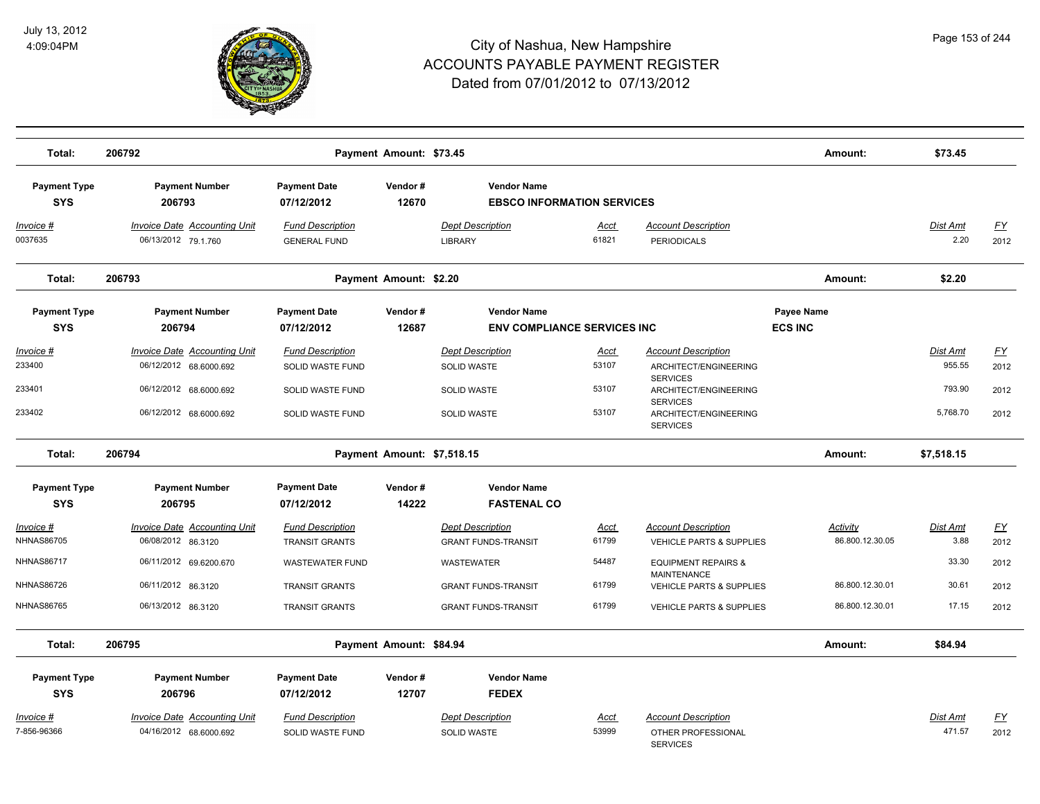

| Total:                                  | 206792                                                                                                            |                                                                                     | Payment Amount: \$73.45    |                                                                      |                                 |                                                                                                                                                                | Amount:                      | \$73.45                                  |                                   |
|-----------------------------------------|-------------------------------------------------------------------------------------------------------------------|-------------------------------------------------------------------------------------|----------------------------|----------------------------------------------------------------------|---------------------------------|----------------------------------------------------------------------------------------------------------------------------------------------------------------|------------------------------|------------------------------------------|-----------------------------------|
| <b>Payment Type</b><br><b>SYS</b>       | <b>Payment Number</b><br>206793                                                                                   | <b>Payment Date</b><br>07/12/2012                                                   | Vendor#<br>12670           | <b>Vendor Name</b><br><b>EBSCO INFORMATION SERVICES</b>              |                                 |                                                                                                                                                                |                              |                                          |                                   |
| <u> Invoice #</u><br>0037635            | <b>Invoice Date Accounting Unit</b><br>06/13/2012 79.1.760                                                        | <b>Fund Description</b><br><b>GENERAL FUND</b>                                      |                            | <b>Dept Description</b><br><b>LIBRARY</b>                            | <u>Acct</u><br>61821            | <b>Account Description</b><br><b>PERIODICALS</b>                                                                                                               |                              | <b>Dist Amt</b><br>2.20                  | <u>FY</u><br>2012                 |
| Total:                                  | 206793                                                                                                            |                                                                                     | Payment Amount: \$2.20     |                                                                      |                                 |                                                                                                                                                                | Amount:                      | \$2.20                                   |                                   |
| <b>Payment Type</b><br><b>SYS</b>       | <b>Payment Number</b><br>206794                                                                                   | <b>Payment Date</b><br>07/12/2012                                                   | Vendor#<br>12687           | <b>Vendor Name</b><br><b>ENV COMPLIANCE SERVICES INC</b>             |                                 |                                                                                                                                                                | Payee Name<br><b>ECS INC</b> |                                          |                                   |
| Invoice #<br>233400<br>233401<br>233402 | <b>Invoice Date Accounting Unit</b><br>06/12/2012 68.6000.692<br>06/12/2012 68.6000.692<br>06/12/2012 68.6000.692 | <b>Fund Description</b><br>SOLID WASTE FUND<br>SOLID WASTE FUND<br>SOLID WASTE FUND |                            | <b>Dept Description</b><br>SOLID WASTE<br>SOLID WASTE<br>SOLID WASTE | Acct<br>53107<br>53107<br>53107 | <b>Account Description</b><br>ARCHITECT/ENGINEERING<br><b>SERVICES</b><br>ARCHITECT/ENGINEERING<br><b>SERVICES</b><br>ARCHITECT/ENGINEERING<br><b>SERVICES</b> |                              | Dist Amt<br>955.55<br>793.90<br>5,768.70 | <u>FY</u><br>2012<br>2012<br>2012 |
| Total:                                  | 206794                                                                                                            |                                                                                     | Payment Amount: \$7,518.15 |                                                                      |                                 |                                                                                                                                                                | Amount:                      | \$7,518.15                               |                                   |
| <b>Payment Type</b><br><b>SYS</b>       | <b>Payment Number</b><br>206795                                                                                   | <b>Payment Date</b><br>07/12/2012                                                   | Vendor#<br>14222           | <b>Vendor Name</b><br><b>FASTENAL CO</b>                             |                                 |                                                                                                                                                                |                              |                                          |                                   |
| Invoice #<br>NHNAS86705                 | <b>Invoice Date Accounting Unit</b><br>06/08/2012 86.3120                                                         | <b>Fund Description</b><br><b>TRANSIT GRANTS</b>                                    |                            | <b>Dept Description</b><br><b>GRANT FUNDS-TRANSIT</b>                | <b>Acct</b><br>61799            | <b>Account Description</b><br>VEHICLE PARTS & SUPPLIES                                                                                                         | Activity<br>86.800.12.30.05  | Dist Amt<br>3.88                         | <u>FY</u><br>2012                 |
| NHNAS86717<br>NHNAS86726                | 06/11/2012 69.6200.670<br>06/11/2012 86.3120                                                                      | WASTEWATER FUND<br><b>TRANSIT GRANTS</b>                                            |                            | WASTEWATER<br><b>GRANT FUNDS-TRANSIT</b>                             | 54487<br>61799                  | <b>EQUIPMENT REPAIRS &amp;</b><br><b>MAINTENANCE</b><br>VEHICLE PARTS & SUPPLIES                                                                               | 86.800.12.30.01              | 33.30<br>30.61                           | 2012<br>2012                      |
| <b>NHNAS86765</b>                       | 06/13/2012 86.3120                                                                                                | <b>TRANSIT GRANTS</b>                                                               |                            | <b>GRANT FUNDS-TRANSIT</b>                                           | 61799                           | <b>VEHICLE PARTS &amp; SUPPLIES</b>                                                                                                                            | 86.800.12.30.01              | 17.15                                    | 2012                              |
| Total:                                  | 206795                                                                                                            |                                                                                     | Payment Amount: \$84.94    |                                                                      |                                 |                                                                                                                                                                | Amount:                      | \$84.94                                  |                                   |
| <b>Payment Type</b><br><b>SYS</b>       | <b>Payment Number</b><br>206796                                                                                   | <b>Payment Date</b><br>07/12/2012                                                   | Vendor#<br>12707           | <b>Vendor Name</b><br><b>FEDEX</b>                                   |                                 |                                                                                                                                                                |                              |                                          |                                   |
| Invoice #<br>7-856-96366                | Invoice Date Accounting Unit<br>04/16/2012 68.6000.692                                                            | <b>Fund Description</b><br>SOLID WASTE FUND                                         |                            | <b>Dept Description</b><br>SOLID WASTE                               | <u>Acct</u><br>53999            | <b>Account Description</b><br>OTHER PROFESSIONAL<br><b>SERVICES</b>                                                                                            |                              | <b>Dist Amt</b><br>471.57                | <u>FY</u><br>2012                 |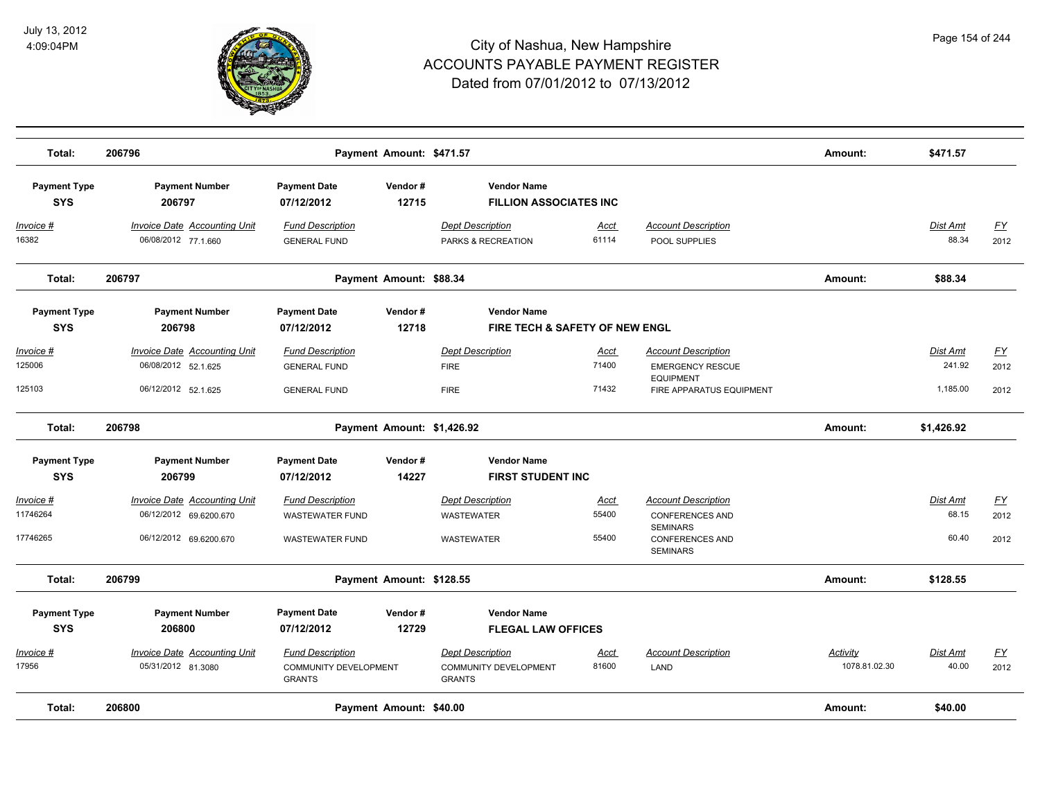

| Total:                            | 206796                                                                                  | Payment Amount: \$471.57                                                    |                  |                                                                          |                               |                                                                                                                      | Amount:                   | \$471.57                       |                           |
|-----------------------------------|-----------------------------------------------------------------------------------------|-----------------------------------------------------------------------------|------------------|--------------------------------------------------------------------------|-------------------------------|----------------------------------------------------------------------------------------------------------------------|---------------------------|--------------------------------|---------------------------|
| <b>Payment Type</b><br><b>SYS</b> | <b>Payment Number</b><br>206797                                                         | <b>Payment Date</b><br>07/12/2012                                           | Vendor#<br>12715 | <b>Vendor Name</b><br><b>FILLION ASSOCIATES INC</b>                      |                               |                                                                                                                      |                           |                                |                           |
| Invoice #<br>16382                | <b>Invoice Date Accounting Unit</b><br>06/08/2012 77.1.660                              | <b>Fund Description</b><br><b>GENERAL FUND</b>                              |                  | <b>Dept Description</b><br>PARKS & RECREATION                            | <u>Acct</u><br>61114          | <b>Account Description</b><br>POOL SUPPLIES                                                                          |                           | Dist Amt<br>88.34              | <u>FY</u><br>2012         |
| Total:                            | 206797                                                                                  | Payment Amount: \$88.34                                                     |                  |                                                                          |                               |                                                                                                                      | Amount:                   | \$88.34                        |                           |
| <b>Payment Type</b><br><b>SYS</b> | <b>Payment Number</b><br>206798                                                         | <b>Payment Date</b><br>07/12/2012                                           | Vendor#<br>12718 | <b>Vendor Name</b><br>FIRE TECH & SAFETY OF NEW ENGL                     |                               |                                                                                                                      |                           |                                |                           |
| Invoice #<br>125006<br>125103     | <b>Invoice Date Accounting Unit</b><br>06/08/2012 52.1.625<br>06/12/2012 52.1.625       | <b>Fund Description</b><br><b>GENERAL FUND</b><br><b>GENERAL FUND</b>       |                  | <b>Dept Description</b><br><b>FIRE</b><br><b>FIRE</b>                    | <u>Acct</u><br>71400<br>71432 | <b>Account Description</b><br><b>EMERGENCY RESCUE</b><br><b>EQUIPMENT</b><br><b>FIRE APPARATUS EQUIPMENT</b>         |                           | Dist Amt<br>241.92<br>1,185.00 | <u>FY</u><br>2012<br>2012 |
| Total:                            | 206798                                                                                  | Payment Amount: \$1,426.92                                                  |                  |                                                                          |                               |                                                                                                                      | Amount:                   | \$1,426.92                     |                           |
| <b>Payment Type</b><br><b>SYS</b> | <b>Payment Number</b><br>206799                                                         | <b>Payment Date</b><br>07/12/2012                                           | Vendor#<br>14227 | <b>Vendor Name</b><br><b>FIRST STUDENT INC</b>                           |                               |                                                                                                                      |                           |                                |                           |
| Invoice #<br>11746264<br>17746265 | <b>Invoice Date Accounting Unit</b><br>06/12/2012 69.6200.670<br>06/12/2012 69.6200.670 | <b>Fund Description</b><br><b>WASTEWATER FUND</b><br><b>WASTEWATER FUND</b> |                  | <b>Dept Description</b><br><b>WASTEWATER</b><br><b>WASTEWATER</b>        | Acct<br>55400<br>55400        | <b>Account Description</b><br><b>CONFERENCES AND</b><br><b>SEMINARS</b><br><b>CONFERENCES AND</b><br><b>SEMINARS</b> |                           | Dist Amt<br>68.15<br>60.40     | EY<br>2012<br>2012        |
| Total:                            | 206799                                                                                  | Payment Amount: \$128.55                                                    |                  |                                                                          |                               |                                                                                                                      | Amount:                   | \$128.55                       |                           |
| <b>Payment Type</b><br><b>SYS</b> | <b>Payment Number</b><br>206800                                                         | <b>Payment Date</b><br>07/12/2012                                           | Vendor#<br>12729 | <b>Vendor Name</b><br><b>FLEGAL LAW OFFICES</b>                          |                               |                                                                                                                      |                           |                                |                           |
| Invoice #<br>17956                | Invoice Date Accounting Unit<br>05/31/2012 81.3080                                      | <b>Fund Description</b><br><b>COMMUNITY DEVELOPMENT</b><br><b>GRANTS</b>    |                  | <b>Dept Description</b><br><b>COMMUNITY DEVELOPMENT</b><br><b>GRANTS</b> | <b>Acct</b><br>81600          | <b>Account Description</b><br>LAND                                                                                   | Activity<br>1078.81.02.30 | Dist Amt<br>40.00              | $\underline{FY}$<br>2012  |
| Total:                            | 206800                                                                                  | Payment Amount: \$40.00                                                     |                  |                                                                          |                               |                                                                                                                      | Amount:                   | \$40.00                        |                           |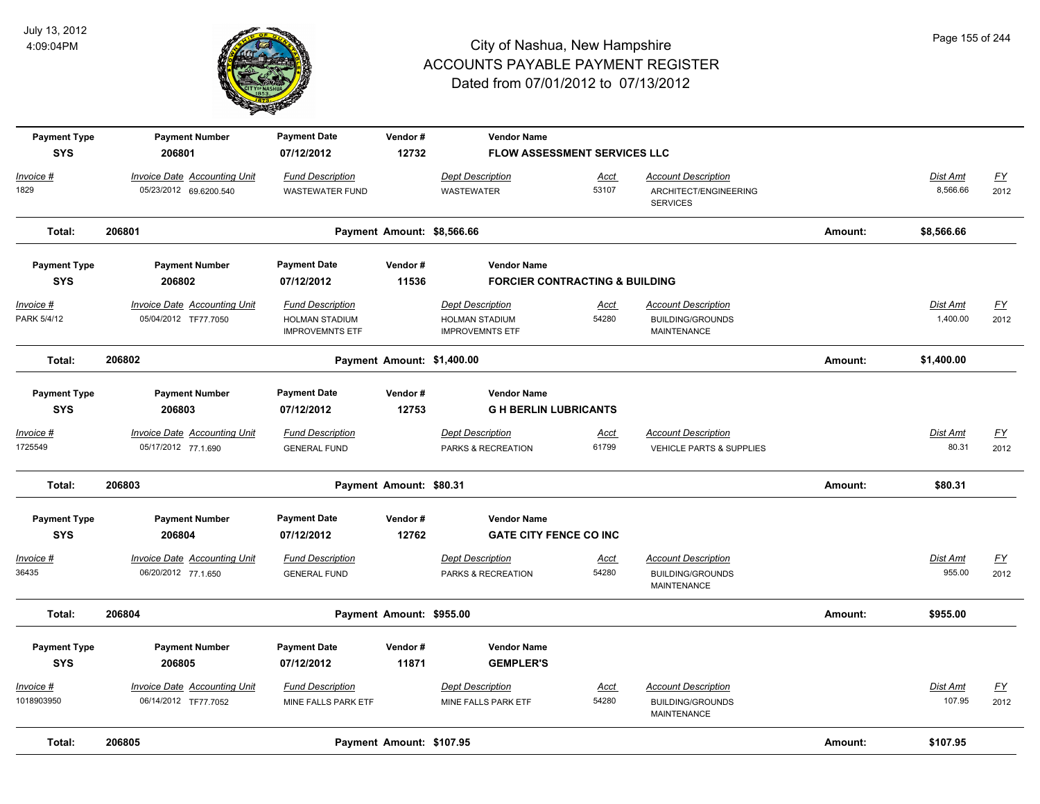

| <b>Payment Type</b> | <b>Payment Number</b>               | <b>Payment Date</b>                             | Vendor#                    | <b>Vendor Name</b>                              |             |                                               |         |            |                  |
|---------------------|-------------------------------------|-------------------------------------------------|----------------------------|-------------------------------------------------|-------------|-----------------------------------------------|---------|------------|------------------|
| <b>SYS</b>          | 206801                              | 07/12/2012                                      | 12732                      | FLOW ASSESSMENT SERVICES LLC                    |             |                                               |         |            |                  |
| Invoice #           | Invoice Date Accounting Unit        | <b>Fund Description</b>                         |                            | <b>Dept Description</b>                         | Acct        | <b>Account Description</b>                    |         | Dist Amt   | $\underline{FY}$ |
| 1829                | 05/23/2012 69.6200.540              | <b>WASTEWATER FUND</b>                          |                            | <b>WASTEWATER</b>                               | 53107       | ARCHITECT/ENGINEERING<br><b>SERVICES</b>      |         | 8,566.66   | 2012             |
| Total:              | 206801                              |                                                 | Payment Amount: \$8,566.66 |                                                 |             |                                               | Amount: | \$8,566.66 |                  |
| <b>Payment Type</b> | <b>Payment Number</b>               | <b>Payment Date</b>                             | Vendor#                    | <b>Vendor Name</b>                              |             |                                               |         |            |                  |
| <b>SYS</b>          | 206802                              | 07/12/2012                                      | 11536                      | <b>FORCIER CONTRACTING &amp; BUILDING</b>       |             |                                               |         |            |                  |
| Invoice #           | <b>Invoice Date Accounting Unit</b> | <b>Fund Description</b>                         |                            | <b>Dept Description</b>                         | <u>Acct</u> | <b>Account Description</b>                    |         | Dist Amt   | EY               |
| PARK 5/4/12         | 05/04/2012 TF77.7050                | <b>HOLMAN STADIUM</b><br><b>IMPROVEMNTS ETF</b> |                            | <b>HOLMAN STADIUM</b><br><b>IMPROVEMNTS ETF</b> | 54280       | <b>BUILDING/GROUNDS</b><br><b>MAINTENANCE</b> |         | 1,400.00   | 2012             |
| Total:              | 206802                              |                                                 | Payment Amount: \$1,400.00 |                                                 |             |                                               | Amount: | \$1,400.00 |                  |
| <b>Payment Type</b> | <b>Payment Number</b>               | <b>Payment Date</b>                             | Vendor#                    | <b>Vendor Name</b>                              |             |                                               |         |            |                  |
| <b>SYS</b>          | 206803                              | 07/12/2012                                      | 12753                      | <b>GH BERLIN LUBRICANTS</b>                     |             |                                               |         |            |                  |
| Invoice #           | <b>Invoice Date Accounting Unit</b> | <b>Fund Description</b>                         |                            | <b>Dept Description</b>                         | Acct        | <b>Account Description</b>                    |         | Dist Amt   | $\underline{FY}$ |
| 1725549             | 05/17/2012 77.1.690                 | <b>GENERAL FUND</b>                             |                            | PARKS & RECREATION                              | 61799       | <b>VEHICLE PARTS &amp; SUPPLIES</b>           |         | 80.31      | 2012             |
| Total:              | 206803                              |                                                 | Payment Amount: \$80.31    |                                                 |             |                                               | Amount: | \$80.31    |                  |
| <b>Payment Type</b> | <b>Payment Number</b>               | <b>Payment Date</b>                             | Vendor#                    | <b>Vendor Name</b>                              |             |                                               |         |            |                  |
| <b>SYS</b>          | 206804                              | 07/12/2012                                      | 12762                      | <b>GATE CITY FENCE CO INC</b>                   |             |                                               |         |            |                  |
| <u> Invoice #</u>   | <b>Invoice Date Accounting Unit</b> | <b>Fund Description</b>                         |                            | <b>Dept Description</b>                         | <u>Acct</u> | <b>Account Description</b>                    |         | Dist Amt   | $\underline{FY}$ |
| 36435               | 06/20/2012 77.1.650                 | <b>GENERAL FUND</b>                             |                            | PARKS & RECREATION                              | 54280       | <b>BUILDING/GROUNDS</b><br><b>MAINTENANCE</b> |         | 955.00     | 2012             |
| Total:              | 206804                              |                                                 | Payment Amount: \$955.00   |                                                 |             |                                               | Amount: | \$955.00   |                  |
| <b>Payment Type</b> | <b>Payment Number</b>               | <b>Payment Date</b>                             | Vendor#                    | <b>Vendor Name</b>                              |             |                                               |         |            |                  |
| <b>SYS</b>          | 206805                              | 07/12/2012                                      | 11871                      | <b>GEMPLER'S</b>                                |             |                                               |         |            |                  |
| Invoice #           | <b>Invoice Date Accounting Unit</b> | <b>Fund Description</b>                         |                            | <b>Dept Description</b>                         | Acct        | <b>Account Description</b>                    |         | Dist Amt   | <u>FY</u>        |
| 1018903950          | 06/14/2012 TF77.7052                | MINE FALLS PARK ETF                             |                            | MINE FALLS PARK ETF                             | 54280       | <b>BUILDING/GROUNDS</b><br>MAINTENANCE        |         | 107.95     | 2012             |
| Total:              | 206805                              |                                                 | Payment Amount: \$107.95   |                                                 |             |                                               | Amount: | \$107.95   |                  |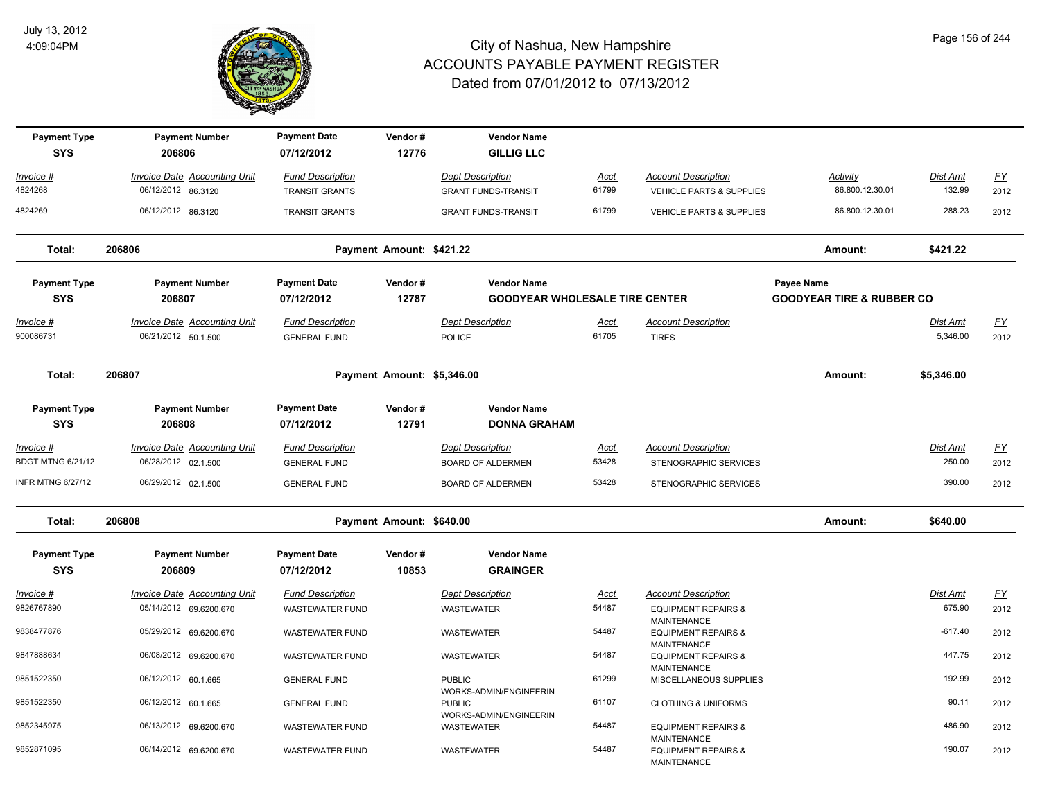

| <b>Payment Type</b><br><b>SYS</b> | <b>Payment Number</b><br>206806                            | <b>Payment Date</b><br>07/12/2012                | Vendor#<br>12776           | <b>Vendor Name</b><br><b>GILLIG LLC</b>               |                      |                                                                     |                                      |                             |                          |
|-----------------------------------|------------------------------------------------------------|--------------------------------------------------|----------------------------|-------------------------------------------------------|----------------------|---------------------------------------------------------------------|--------------------------------------|-----------------------------|--------------------------|
| Invoice #<br>4824268              | <b>Invoice Date Accounting Unit</b><br>06/12/2012 86.3120  | <b>Fund Description</b><br><b>TRANSIT GRANTS</b> |                            | <b>Dept Description</b><br><b>GRANT FUNDS-TRANSIT</b> | <u>Acct</u><br>61799 | <b>Account Description</b><br><b>VEHICLE PARTS &amp; SUPPLIES</b>   | Activity<br>86.800.12.30.01          | Dist Amt<br>132.99          | $\underline{FY}$<br>2012 |
| 4824269                           | 06/12/2012 86.3120                                         | <b>TRANSIT GRANTS</b>                            |                            | <b>GRANT FUNDS-TRANSIT</b>                            | 61799                | <b>VEHICLE PARTS &amp; SUPPLIES</b>                                 | 86.800.12.30.01                      | 288.23                      | 2012                     |
| Total:                            | 206806                                                     |                                                  | Payment Amount: \$421.22   |                                                       |                      |                                                                     | Amount:                              | \$421.22                    |                          |
| <b>Payment Type</b>               | <b>Payment Number</b>                                      | <b>Payment Date</b>                              | Vendor#                    | <b>Vendor Name</b>                                    |                      |                                                                     | <b>Payee Name</b>                    |                             |                          |
| <b>SYS</b>                        | 206807                                                     | 07/12/2012                                       | 12787                      | <b>GOODYEAR WHOLESALE TIRE CENTER</b>                 |                      |                                                                     | <b>GOODYEAR TIRE &amp; RUBBER CO</b> |                             |                          |
| Invoice #<br>900086731            | <b>Invoice Date Accounting Unit</b><br>06/21/2012 50.1.500 | <b>Fund Description</b><br><b>GENERAL FUND</b>   |                            | <b>Dept Description</b><br><b>POLICE</b>              | <u>Acct</u><br>61705 | <b>Account Description</b><br><b>TIRES</b>                          |                                      | <b>Dist Amt</b><br>5,346.00 | EY<br>2012               |
| Total:                            | 206807                                                     |                                                  | Payment Amount: \$5,346.00 |                                                       |                      |                                                                     | Amount:                              | \$5,346.00                  |                          |
| <b>Payment Type</b><br><b>SYS</b> | <b>Payment Number</b><br>206808                            | <b>Payment Date</b><br>07/12/2012                | Vendor#<br>12791           | <b>Vendor Name</b><br><b>DONNA GRAHAM</b>             |                      |                                                                     |                                      |                             |                          |
| Invoice #                         | <b>Invoice Date Accounting Unit</b>                        | <b>Fund Description</b>                          |                            | <b>Dept Description</b>                               | <u>Acct</u>          | <b>Account Description</b>                                          |                                      | Dist Amt                    | $\underline{FY}$         |
| <b>BDGT MTNG 6/21/12</b>          | 06/28/2012 02.1.500                                        | <b>GENERAL FUND</b>                              |                            | <b>BOARD OF ALDERMEN</b>                              | 53428                | STENOGRAPHIC SERVICES                                               |                                      | 250.00                      | 2012                     |
| <b>INFR MTNG 6/27/12</b>          | 06/29/2012 02.1.500                                        | <b>GENERAL FUND</b>                              |                            | <b>BOARD OF ALDERMEN</b>                              | 53428                | STENOGRAPHIC SERVICES                                               |                                      | 390.00                      | 2012                     |
| Total:                            | 206808                                                     |                                                  | Payment Amount: \$640.00   |                                                       |                      |                                                                     | Amount:                              | \$640.00                    |                          |
| <b>Payment Type</b>               | <b>Payment Number</b>                                      | <b>Payment Date</b>                              | Vendor#                    | <b>Vendor Name</b>                                    |                      |                                                                     |                                      |                             |                          |
| <b>SYS</b>                        | 206809                                                     | 07/12/2012                                       | 10853                      | <b>GRAINGER</b>                                       |                      |                                                                     |                                      |                             |                          |
| Invoice #                         | <b>Invoice Date Accounting Unit</b>                        | <b>Fund Description</b>                          |                            | <b>Dept Description</b>                               | <u>Acct</u>          | <b>Account Description</b>                                          |                                      | Dist Amt                    | $\underline{FY}$         |
| 9826767890                        | 05/14/2012 69.6200.670                                     | <b>WASTEWATER FUND</b>                           |                            | WASTEWATER                                            | 54487                | <b>EQUIPMENT REPAIRS &amp;</b>                                      |                                      | 675.90                      | 2012                     |
| 9838477876                        | 05/29/2012 69.6200.670                                     | <b>WASTEWATER FUND</b>                           |                            | <b>WASTEWATER</b>                                     | 54487                | MAINTENANCE<br><b>EQUIPMENT REPAIRS &amp;</b><br><b>MAINTENANCE</b> |                                      | $-617.40$                   | 2012                     |
| 9847888634                        | 06/08/2012 69.6200.670                                     | <b>WASTEWATER FUND</b>                           |                            | WASTEWATER                                            | 54487                | <b>EQUIPMENT REPAIRS &amp;</b><br>MAINTENANCE                       |                                      | 447.75                      | 2012                     |
| 9851522350                        | 06/12/2012 60.1.665                                        | <b>GENERAL FUND</b>                              |                            | <b>PUBLIC</b><br>WORKS-ADMIN/ENGINEERIN               | 61299                | MISCELLANEOUS SUPPLIES                                              |                                      | 192.99                      | 2012                     |
| 9851522350                        | 06/12/2012 60.1.665                                        | <b>GENERAL FUND</b>                              |                            | <b>PUBLIC</b><br>WORKS-ADMIN/ENGINEERIN               | 61107                | <b>CLOTHING &amp; UNIFORMS</b>                                      |                                      | 90.11                       | 2012                     |
| 9852345975                        | 06/13/2012 69.6200.670                                     | <b>WASTEWATER FUND</b>                           |                            | WASTEWATER                                            | 54487                | <b>EQUIPMENT REPAIRS &amp;</b><br><b>MAINTENANCE</b>                |                                      | 486.90                      | 2012                     |
| 9852871095                        | 06/14/2012 69.6200.670                                     | WASTEWATER FUND                                  |                            | WASTEWATER                                            | 54487                | <b>EQUIPMENT REPAIRS &amp;</b><br><b>MAINTENANCE</b>                |                                      | 190.07                      | 2012                     |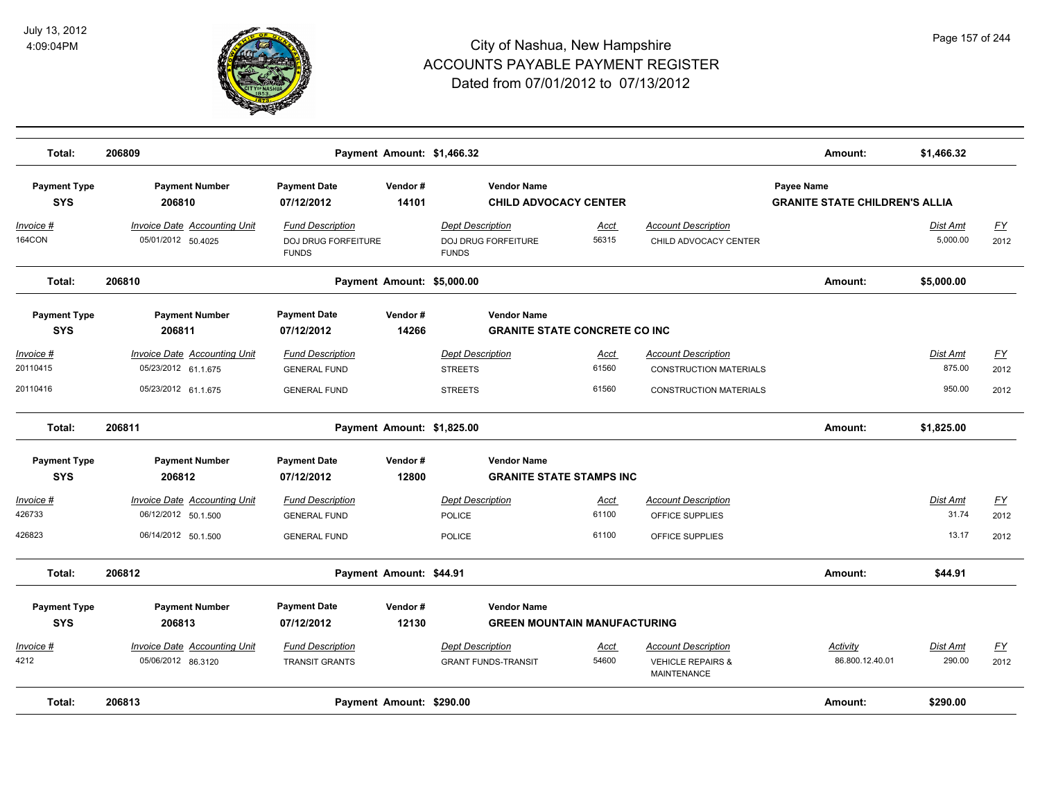

| Total:                            | 206809                              |                                            | Payment Amount: \$1,466.32 |                                                    |                                      |                                                    | Amount:                                                    | \$1,466.32      |           |
|-----------------------------------|-------------------------------------|--------------------------------------------|----------------------------|----------------------------------------------------|--------------------------------------|----------------------------------------------------|------------------------------------------------------------|-----------------|-----------|
| <b>Payment Type</b><br><b>SYS</b> | <b>Payment Number</b><br>206810     | <b>Payment Date</b><br>07/12/2012          | Vendor#<br>14101           | <b>Vendor Name</b><br><b>CHILD ADVOCACY CENTER</b> |                                      |                                                    | <b>Payee Name</b><br><b>GRANITE STATE CHILDREN'S ALLIA</b> |                 |           |
| <u>Invoice #</u>                  | <b>Invoice Date Accounting Unit</b> | <b>Fund Description</b>                    |                            | <b>Dept Description</b>                            | <u>Acct</u>                          | <b>Account Description</b>                         |                                                            | <u>Dist Amt</u> | <u>FY</u> |
| 164CON                            | 05/01/2012 50.4025                  | <b>DOJ DRUG FORFEITURE</b><br><b>FUNDS</b> |                            | DOJ DRUG FORFEITURE<br><b>FUNDS</b>                | 56315                                | CHILD ADVOCACY CENTER                              |                                                            | 5,000.00        | 2012      |
| Total:                            | 206810                              |                                            | Payment Amount: \$5,000.00 |                                                    |                                      |                                                    | Amount:                                                    | \$5,000.00      |           |
| <b>Payment Type</b>               | <b>Payment Number</b>               | <b>Payment Date</b>                        | Vendor#                    | <b>Vendor Name</b>                                 |                                      |                                                    |                                                            |                 |           |
| <b>SYS</b>                        | 206811                              | 07/12/2012                                 | 14266                      |                                                    | <b>GRANITE STATE CONCRETE CO INC</b> |                                                    |                                                            |                 |           |
| Invoice #                         | <b>Invoice Date Accounting Unit</b> | <b>Fund Description</b>                    |                            | <b>Dept Description</b>                            | <u>Acct</u>                          | <b>Account Description</b>                         |                                                            | Dist Amt        | EY        |
| 20110415                          | 05/23/2012 61.1.675                 | <b>GENERAL FUND</b>                        |                            | <b>STREETS</b>                                     | 61560                                | <b>CONSTRUCTION MATERIALS</b>                      |                                                            | 875.00          | 2012      |
| 20110416                          | 05/23/2012 61.1.675                 | <b>GENERAL FUND</b>                        |                            | <b>STREETS</b>                                     | 61560                                | <b>CONSTRUCTION MATERIALS</b>                      |                                                            | 950.00          | 2012      |
| Total:                            | 206811                              |                                            | Payment Amount: \$1,825.00 |                                                    |                                      |                                                    | Amount:                                                    | \$1,825.00      |           |
| <b>Payment Type</b><br><b>SYS</b> | <b>Payment Number</b><br>206812     | <b>Payment Date</b><br>07/12/2012          | Vendor#<br>12800           | <b>Vendor Name</b>                                 | <b>GRANITE STATE STAMPS INC</b>      |                                                    |                                                            |                 |           |
| Invoice #                         | <b>Invoice Date Accounting Unit</b> | <b>Fund Description</b>                    |                            | <b>Dept Description</b>                            | Acct                                 | <b>Account Description</b>                         |                                                            | Dist Amt        | <u>FY</u> |
| 426733                            | 06/12/2012 50.1.500                 | <b>GENERAL FUND</b>                        |                            | <b>POLICE</b>                                      | 61100                                | OFFICE SUPPLIES                                    |                                                            | 31.74           | 2012      |
| 426823                            | 06/14/2012 50.1.500                 | <b>GENERAL FUND</b>                        |                            | <b>POLICE</b>                                      | 61100                                | OFFICE SUPPLIES                                    |                                                            | 13.17           | 2012      |
| Total:                            | 206812                              |                                            | Payment Amount: \$44.91    |                                                    |                                      |                                                    | Amount:                                                    | \$44.91         |           |
| <b>Payment Type</b>               | <b>Payment Number</b>               | <b>Payment Date</b>                        | Vendor#                    | <b>Vendor Name</b>                                 |                                      |                                                    |                                                            |                 |           |
| <b>SYS</b>                        | 206813                              | 07/12/2012                                 | 12130                      |                                                    | <b>GREEN MOUNTAIN MANUFACTURING</b>  |                                                    |                                                            |                 |           |
| Invoice #                         | <b>Invoice Date Accounting Unit</b> | <b>Fund Description</b>                    |                            | <b>Dept Description</b>                            | <u>Acct</u>                          | Account Description                                | <b>Activity</b>                                            | Dist Amt        | EY        |
| 4212                              | 05/06/2012 86.3120                  | <b>TRANSIT GRANTS</b>                      |                            | <b>GRANT FUNDS-TRANSIT</b>                         | 54600                                | <b>VEHICLE REPAIRS &amp;</b><br><b>MAINTENANCE</b> | 86.800.12.40.01                                            | 290.00          | 2012      |
| Total:                            | 206813                              |                                            | Payment Amount: \$290.00   |                                                    |                                      |                                                    | Amount:                                                    | \$290.00        |           |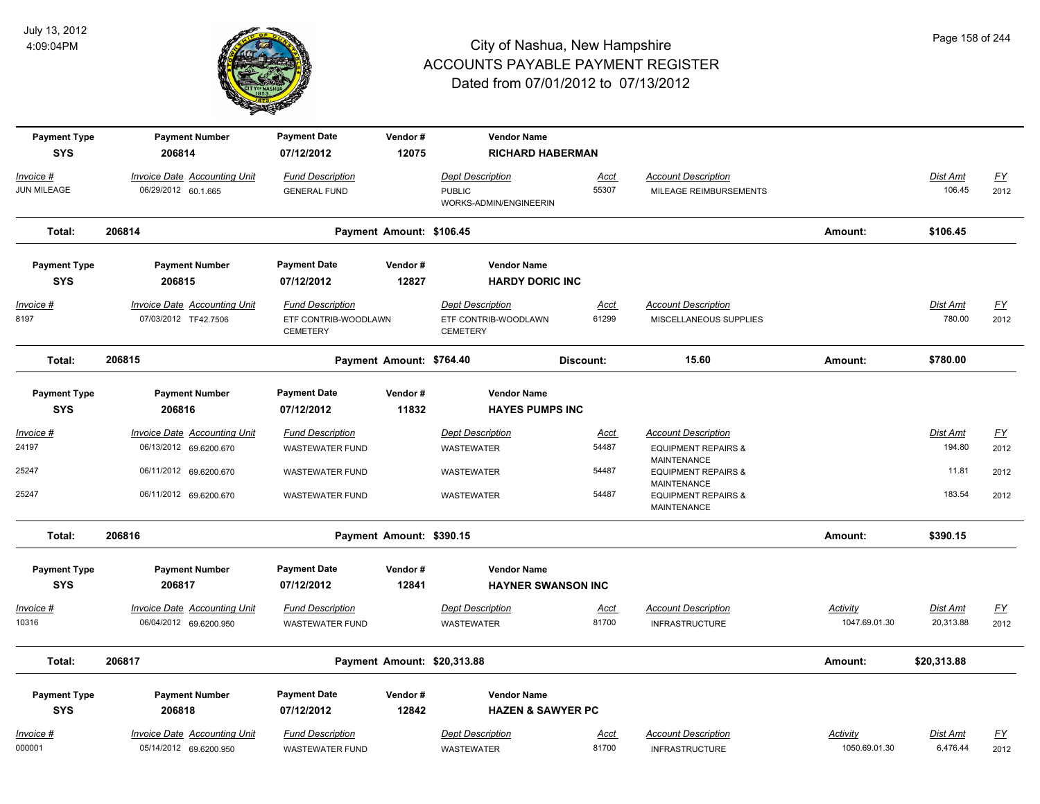

| <b>Payment Type</b><br><b>SYS</b> | <b>Payment Number</b><br>206814                               | <b>Payment Date</b><br>07/12/2012                                  | Vendor#<br>12075            | <b>Vendor Name</b><br><b>RICHARD HABERMAN</b>                      |                           |                                                                     |                           |                              |                          |
|-----------------------------------|---------------------------------------------------------------|--------------------------------------------------------------------|-----------------------------|--------------------------------------------------------------------|---------------------------|---------------------------------------------------------------------|---------------------------|------------------------------|--------------------------|
| Invoice #<br><b>JUN MILEAGE</b>   | <b>Invoice Date Accounting Unit</b><br>06/29/2012 60.1.665    | <b>Fund Description</b><br><b>GENERAL FUND</b>                     |                             | <b>Dept Description</b><br><b>PUBLIC</b><br>WORKS-ADMIN/ENGINEERIN | <u>Acct</u><br>55307      | <b>Account Description</b><br>MILEAGE REIMBURSEMENTS                |                           | Dist Amt<br>106.45           | $\underline{FY}$<br>2012 |
| Total:                            | 206814                                                        |                                                                    | Payment Amount: \$106.45    |                                                                    |                           |                                                                     | Amount:                   | \$106.45                     |                          |
| <b>Payment Type</b>               | <b>Payment Number</b>                                         | <b>Payment Date</b>                                                | Vendor#                     | <b>Vendor Name</b>                                                 |                           |                                                                     |                           |                              |                          |
| <b>SYS</b>                        | 206815                                                        | 07/12/2012                                                         | 12827                       | <b>HARDY DORIC INC</b>                                             |                           |                                                                     |                           |                              |                          |
| Invoice #<br>8197                 | <b>Invoice Date Accounting Unit</b><br>07/03/2012 TF42.7506   | <b>Fund Description</b><br>ETF CONTRIB-WOODLAWN<br><b>CEMETERY</b> |                             | <b>Dept Description</b><br>ETF CONTRIB-WOODLAWN<br><b>CEMETERY</b> | Acct<br>61299             | <b>Account Description</b><br>MISCELLANEOUS SUPPLIES                |                           | <b>Dist Amt</b><br>780.00    | <u>FY</u><br>2012        |
| Total:                            | 206815                                                        |                                                                    | Payment Amount: \$764.40    |                                                                    | Discount:                 | 15.60                                                               | Amount:                   | \$780.00                     |                          |
| <b>Payment Type</b><br><b>SYS</b> | <b>Payment Number</b><br>206816                               | <b>Payment Date</b><br>07/12/2012                                  | Vendor#<br>11832            | <b>Vendor Name</b><br><b>HAYES PUMPS INC</b>                       |                           |                                                                     |                           |                              |                          |
| Invoice #                         | <b>Invoice Date Accounting Unit</b>                           | <b>Fund Description</b>                                            |                             | <b>Dept Description</b>                                            | <u>Acct</u>               | <b>Account Description</b>                                          |                           | Dist Amt                     | $\underline{FY}$         |
| 24197                             | 06/13/2012 69.6200.670                                        | <b>WASTEWATER FUND</b>                                             |                             | WASTEWATER                                                         | 54487                     | <b>EQUIPMENT REPAIRS &amp;</b><br><b>MAINTENANCE</b>                |                           | 194.80                       | 2012                     |
| 25247                             | 06/11/2012 69.6200.670                                        | <b>WASTEWATER FUND</b>                                             |                             | <b>WASTEWATER</b>                                                  | 54487                     | <b>EQUIPMENT REPAIRS &amp;</b>                                      |                           | 11.81                        | 2012                     |
| 25247                             | 06/11/2012 69.6200.670                                        | <b>WASTEWATER FUND</b>                                             |                             | WASTEWATER                                                         | 54487                     | MAINTENANCE<br><b>EQUIPMENT REPAIRS &amp;</b><br><b>MAINTENANCE</b> |                           | 183.54                       | 2012                     |
| Total:                            | 206816                                                        |                                                                    | Payment Amount: \$390.15    |                                                                    |                           |                                                                     | Amount:                   | \$390.15                     |                          |
| <b>Payment Type</b><br><b>SYS</b> | <b>Payment Number</b><br>206817                               | <b>Payment Date</b><br>07/12/2012                                  | Vendor#<br>12841            | <b>Vendor Name</b>                                                 | <b>HAYNER SWANSON INC</b> |                                                                     |                           |                              |                          |
| Invoice #<br>10316                | Invoice Date Accounting Unit<br>06/04/2012 69.6200.950        | <b>Fund Description</b><br><b>WASTEWATER FUND</b>                  |                             | <b>Dept Description</b><br>WASTEWATER                              | <u>Acct</u><br>81700      | <b>Account Description</b><br><b>INFRASTRUCTURE</b>                 | Activity<br>1047.69.01.30 | <b>Dist Amt</b><br>20,313.88 | <u>FY</u><br>2012        |
| Total:                            | 206817                                                        |                                                                    | Payment Amount: \$20,313.88 |                                                                    |                           |                                                                     | Amount:                   | \$20,313.88                  |                          |
| <b>Payment Type</b>               | <b>Payment Number</b>                                         | <b>Payment Date</b>                                                | Vendor#                     | <b>Vendor Name</b>                                                 |                           |                                                                     |                           |                              |                          |
| <b>SYS</b>                        | 206818                                                        | 07/12/2012                                                         | 12842                       | <b>HAZEN &amp; SAWYER PC</b>                                       |                           |                                                                     |                           |                              |                          |
| Invoice #<br>000001               | <b>Invoice Date Accounting Unit</b><br>05/14/2012 69.6200.950 | <b>Fund Description</b><br><b>WASTEWATER FUND</b>                  |                             | <b>Dept Description</b><br><b>WASTEWATER</b>                       | <u>Acct</u><br>81700      | <b>Account Description</b><br><b>INFRASTRUCTURE</b>                 | Activity<br>1050.69.01.30 | <b>Dist Amt</b><br>6,476.44  | <u>FY</u><br>2012        |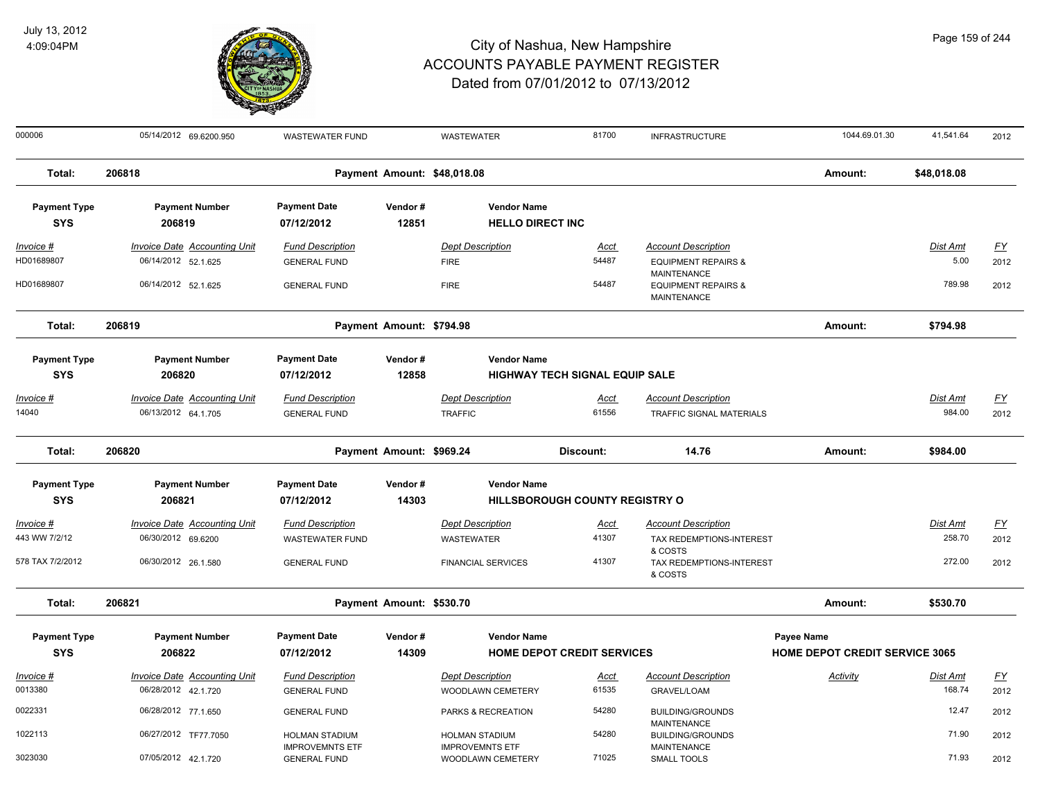

| 000006              | 05/14/2012 69.6200.950              | <b>WASTEWATER FUND</b>                        |                             | <b>WASTEWATER</b>                           | 81700                                 | <b>INFRASTRUCTURE</b>                                                      | 1044.69.01.30                         | 41,541.64       | 2012             |
|---------------------|-------------------------------------|-----------------------------------------------|-----------------------------|---------------------------------------------|---------------------------------------|----------------------------------------------------------------------------|---------------------------------------|-----------------|------------------|
| Total:              | 206818                              |                                               | Payment Amount: \$48,018.08 |                                             |                                       |                                                                            | Amount:                               | \$48,018.08     |                  |
| <b>Payment Type</b> | <b>Payment Number</b>               | <b>Payment Date</b>                           | Vendor#                     | <b>Vendor Name</b>                          |                                       |                                                                            |                                       |                 |                  |
| <b>SYS</b>          | 206819                              | 07/12/2012                                    | 12851                       | <b>HELLO DIRECT INC</b>                     |                                       |                                                                            |                                       |                 |                  |
| <u>Invoice #</u>    | <b>Invoice Date Accounting Unit</b> | <b>Fund Description</b>                       |                             | <b>Dept Description</b>                     | <u>Acct</u>                           | <b>Account Description</b>                                                 |                                       | <u>Dist Amt</u> | EY               |
| HD01689807          | 06/14/2012 52.1.625                 | <b>GENERAL FUND</b>                           |                             | <b>FIRE</b>                                 | 54487                                 | <b>EQUIPMENT REPAIRS &amp;</b>                                             |                                       | 5.00            | 2012             |
| HD01689807          | 06/14/2012 52.1.625                 | <b>GENERAL FUND</b>                           |                             | <b>FIRE</b>                                 | 54487                                 | <b>MAINTENANCE</b><br><b>EQUIPMENT REPAIRS &amp;</b><br><b>MAINTENANCE</b> |                                       | 789.98          | 2012             |
| Total:              | 206819                              |                                               | Payment Amount: \$794.98    |                                             |                                       |                                                                            | Amount:                               | \$794.98        |                  |
| <b>Payment Type</b> | <b>Payment Number</b>               | <b>Payment Date</b>                           | Vendor#                     | <b>Vendor Name</b>                          |                                       |                                                                            |                                       |                 |                  |
| <b>SYS</b>          | 206820                              | 07/12/2012                                    | 12858                       |                                             | <b>HIGHWAY TECH SIGNAL EQUIP SALE</b> |                                                                            |                                       |                 |                  |
| <u> Invoice #</u>   | <b>Invoice Date Accounting Unit</b> | <b>Fund Description</b>                       |                             | <b>Dept Description</b>                     | <u>Acct</u>                           | <b>Account Description</b>                                                 |                                       | Dist Amt        | <u>FY</u>        |
| 14040               | 06/13/2012 64.1.705                 | <b>GENERAL FUND</b>                           |                             | <b>TRAFFIC</b>                              | 61556                                 | <b>TRAFFIC SIGNAL MATERIALS</b>                                            |                                       | 984.00          | 2012             |
| Total:              | 206820                              |                                               | Payment Amount: \$969.24    |                                             | Discount:                             | 14.76                                                                      | Amount:                               | \$984.00        |                  |
| <b>Payment Type</b> | <b>Payment Number</b>               | <b>Payment Date</b>                           | Vendor#                     | <b>Vendor Name</b>                          |                                       |                                                                            |                                       |                 |                  |
| <b>SYS</b>          | 206821                              | 07/12/2012                                    | 14303                       |                                             | <b>HILLSBOROUGH COUNTY REGISTRY O</b> |                                                                            |                                       |                 |                  |
| Invoice #           | <b>Invoice Date Accounting Unit</b> | <b>Fund Description</b>                       |                             | <b>Dept Description</b>                     | <u>Acct</u>                           | <b>Account Description</b>                                                 |                                       | Dist Amt        | $\underline{FY}$ |
| 443 WW 7/2/12       | 06/30/2012 69.6200                  | <b>WASTEWATER FUND</b>                        |                             | <b>WASTEWATER</b>                           | 41307                                 | TAX REDEMPTIONS-INTEREST                                                   |                                       | 258.70          | 2012             |
| 578 TAX 7/2/2012    | 06/30/2012 26.1.580                 | <b>GENERAL FUND</b>                           |                             | <b>FINANCIAL SERVICES</b>                   | 41307                                 | & COSTS<br>TAX REDEMPTIONS-INTEREST<br>& COSTS                             |                                       | 272.00          | 2012             |
| Total:              | 206821                              |                                               | Payment Amount: \$530.70    |                                             |                                       |                                                                            | Amount:                               | \$530.70        |                  |
| <b>Payment Type</b> | <b>Payment Number</b>               | <b>Payment Date</b>                           | Vendor#                     | <b>Vendor Name</b>                          |                                       |                                                                            | Payee Name                            |                 |                  |
| <b>SYS</b>          | 206822                              | 07/12/2012                                    | 14309                       |                                             | <b>HOME DEPOT CREDIT SERVICES</b>     |                                                                            | <b>HOME DEPOT CREDIT SERVICE 3065</b> |                 |                  |
| Invoice #           | <b>Invoice Date Accounting Unit</b> | <b>Fund Description</b>                       |                             | <b>Dept Description</b>                     | <u>Acct</u>                           | <b>Account Description</b>                                                 | Activity                              | Dist Amt        | $\underline{FY}$ |
| 0013380             | 06/28/2012 42.1.720                 | <b>GENERAL FUND</b>                           |                             | WOODLAWN CEMETERY                           | 61535                                 | GRAVEL/LOAM                                                                |                                       | 168.74          | 2012             |
| 0022331             | 06/28/2012 77.1.650                 | <b>GENERAL FUND</b>                           |                             | PARKS & RECREATION                          | 54280                                 | <b>BUILDING/GROUNDS</b><br><b>MAINTENANCE</b>                              |                                       | 12.47           | 2012             |
| 1022113             | 06/27/2012 TF77.7050                | <b>HOLMAN STADIUM</b>                         |                             | HOLMAN STADIUM                              | 54280                                 | <b>BUILDING/GROUNDS</b>                                                    |                                       | 71.90           | 2012             |
| 3023030             | 07/05/2012 42.1.720                 | <b>IMPROVEMNTS ETF</b><br><b>GENERAL FUND</b> |                             | <b>IMPROVEMNTS ETF</b><br>WOODLAWN CEMETERY | 71025                                 | <b>MAINTENANCE</b><br>SMALL TOOLS                                          |                                       | 71.93           | 2012             |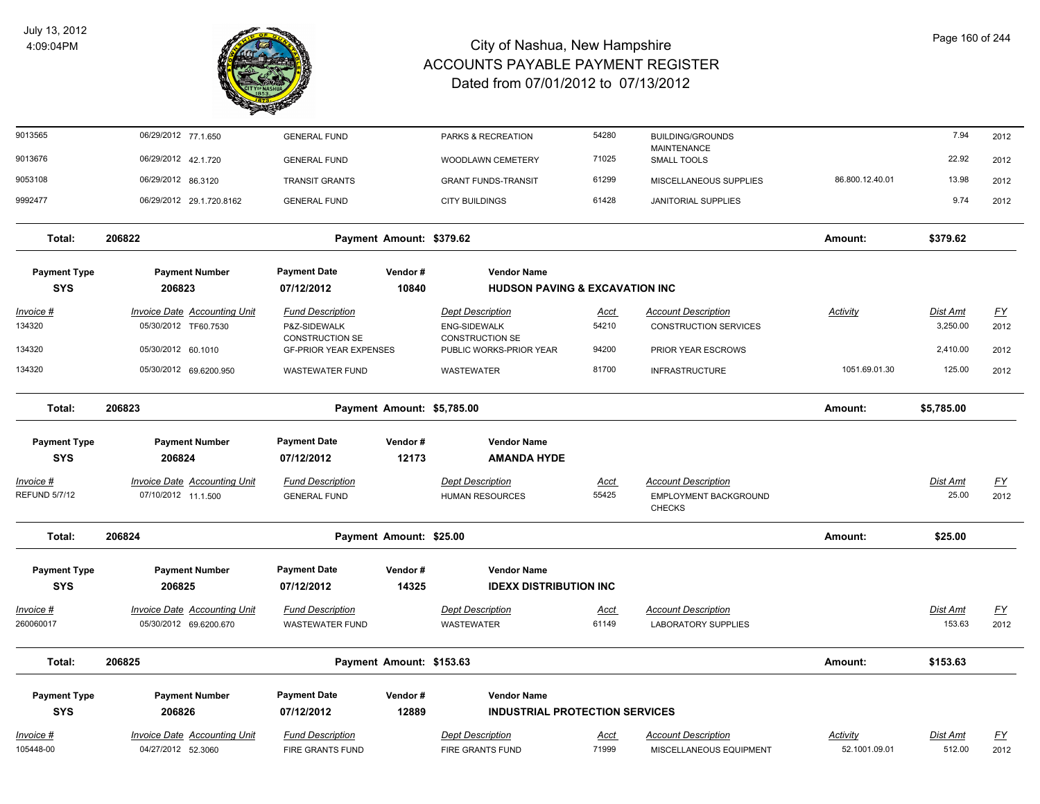

| 9013565              | 06/29/2012 77.1.650                 | <b>GENERAL FUND</b>                    |                            | PARKS & RECREATION                            | 54280       | <b>BUILDING/GROUNDS</b>                |                 | 7.94            | 2012             |
|----------------------|-------------------------------------|----------------------------------------|----------------------------|-----------------------------------------------|-------------|----------------------------------------|-----------------|-----------------|------------------|
| 9013676              | 06/29/2012 42.1.720                 | <b>GENERAL FUND</b>                    |                            | <b>WOODLAWN CEMETERY</b>                      | 71025       | MAINTENANCE<br><b>SMALL TOOLS</b>      |                 | 22.92           | 2012             |
| 9053108              | 06/29/2012 86.3120                  | <b>TRANSIT GRANTS</b>                  |                            | <b>GRANT FUNDS-TRANSIT</b>                    | 61299       | MISCELLANEOUS SUPPLIES                 | 86.800.12.40.01 | 13.98           | 2012             |
| 9992477              | 06/29/2012 29.1.720.8162            | <b>GENERAL FUND</b>                    |                            | <b>CITY BUILDINGS</b>                         | 61428       | <b>JANITORIAL SUPPLIES</b>             |                 | 9.74            | 2012             |
| Total:               | 206822                              |                                        | Payment Amount: \$379.62   |                                               |             |                                        | Amount:         | \$379.62        |                  |
| <b>Payment Type</b>  | <b>Payment Number</b>               | <b>Payment Date</b>                    | Vendor#                    | <b>Vendor Name</b>                            |             |                                        |                 |                 |                  |
| <b>SYS</b>           | 206823                              | 07/12/2012                             | 10840                      | <b>HUDSON PAVING &amp; EXCAVATION INC</b>     |             |                                        |                 |                 |                  |
| <u> Invoice #</u>    | <b>Invoice Date Accounting Unit</b> | <b>Fund Description</b>                |                            | <b>Dept Description</b>                       | <u>Acct</u> | <b>Account Description</b>             | <u>Activity</u> | <u>Dist Amt</u> | $\underline{FY}$ |
| 134320               | 05/30/2012 TF60.7530                | P&Z-SIDEWALK<br><b>CONSTRUCTION SE</b> |                            | <b>ENG-SIDEWALK</b><br><b>CONSTRUCTION SE</b> | 54210       | <b>CONSTRUCTION SERVICES</b>           |                 | 3,250.00        | 2012             |
| 134320               | 05/30/2012 60.1010                  | <b>GF-PRIOR YEAR EXPENSES</b>          |                            | PUBLIC WORKS-PRIOR YEAR                       | 94200       | PRIOR YEAR ESCROWS                     |                 | 2,410.00        | 2012             |
| 134320               | 05/30/2012 69.6200.950              | <b>WASTEWATER FUND</b>                 |                            | WASTEWATER                                    | 81700       | <b>INFRASTRUCTURE</b>                  | 1051.69.01.30   | 125.00          | 2012             |
| Total:               | 206823                              |                                        | Payment Amount: \$5,785.00 |                                               |             |                                        | Amount:         | \$5,785.00      |                  |
| <b>Payment Type</b>  | <b>Payment Number</b>               | <b>Payment Date</b>                    | Vendor#                    | <b>Vendor Name</b>                            |             |                                        |                 |                 |                  |
| <b>SYS</b>           | 206824                              | 07/12/2012                             | 12173                      | <b>AMANDA HYDE</b>                            |             |                                        |                 |                 |                  |
| Invoice #            | <b>Invoice Date Accounting Unit</b> | <b>Fund Description</b>                |                            | <b>Dept Description</b>                       | <u>Acct</u> | <b>Account Description</b>             |                 | Dist Amt        | EY               |
| <b>REFUND 5/7/12</b> | 07/10/2012 11.1.500                 | <b>GENERAL FUND</b>                    |                            | <b>HUMAN RESOURCES</b>                        | 55425       | EMPLOYMENT BACKGROUND<br><b>CHECKS</b> |                 | 25.00           | 2012             |
| Total:               | 206824                              |                                        | Payment Amount: \$25.00    |                                               |             |                                        | Amount:         | \$25.00         |                  |
| <b>Payment Type</b>  | <b>Payment Number</b>               | <b>Payment Date</b>                    | Vendor#                    | <b>Vendor Name</b>                            |             |                                        |                 |                 |                  |
| <b>SYS</b>           | 206825                              | 07/12/2012                             | 14325                      | <b>IDEXX DISTRIBUTION INC</b>                 |             |                                        |                 |                 |                  |
| Invoice #            | Invoice Date Accounting Unit        | <b>Fund Description</b>                |                            | <b>Dept Description</b>                       | Acct        | <b>Account Description</b>             |                 | Dist Amt        | $\underline{FY}$ |
| 260060017            | 05/30/2012 69.6200.670              | <b>WASTEWATER FUND</b>                 |                            | WASTEWATER                                    | 61149       | <b>LABORATORY SUPPLIES</b>             |                 | 153.63          | 2012             |
| Total:               | 206825                              |                                        | Payment Amount: \$153.63   |                                               |             |                                        | Amount:         | \$153.63        |                  |
| <b>Payment Type</b>  | <b>Payment Number</b>               | <b>Payment Date</b>                    | Vendor#                    | <b>Vendor Name</b>                            |             |                                        |                 |                 |                  |
| <b>SYS</b>           | 206826                              | 07/12/2012                             | 12889                      | <b>INDUSTRIAL PROTECTION SERVICES</b>         |             |                                        |                 |                 |                  |
| <u> Invoice #</u>    | <b>Invoice Date Accounting Unit</b> | <b>Fund Description</b>                |                            | <b>Dept Description</b>                       | Acct        | <b>Account Description</b>             | <b>Activity</b> | Dist Amt        | $\underline{FY}$ |
| 105448-00            | 04/27/2012 52.3060                  | <b>FIRE GRANTS FUND</b>                |                            | FIRE GRANTS FUND                              | 71999       | MISCELLANEOUS EQUIPMENT                | 52.1001.09.01   | 512.00          | 2012             |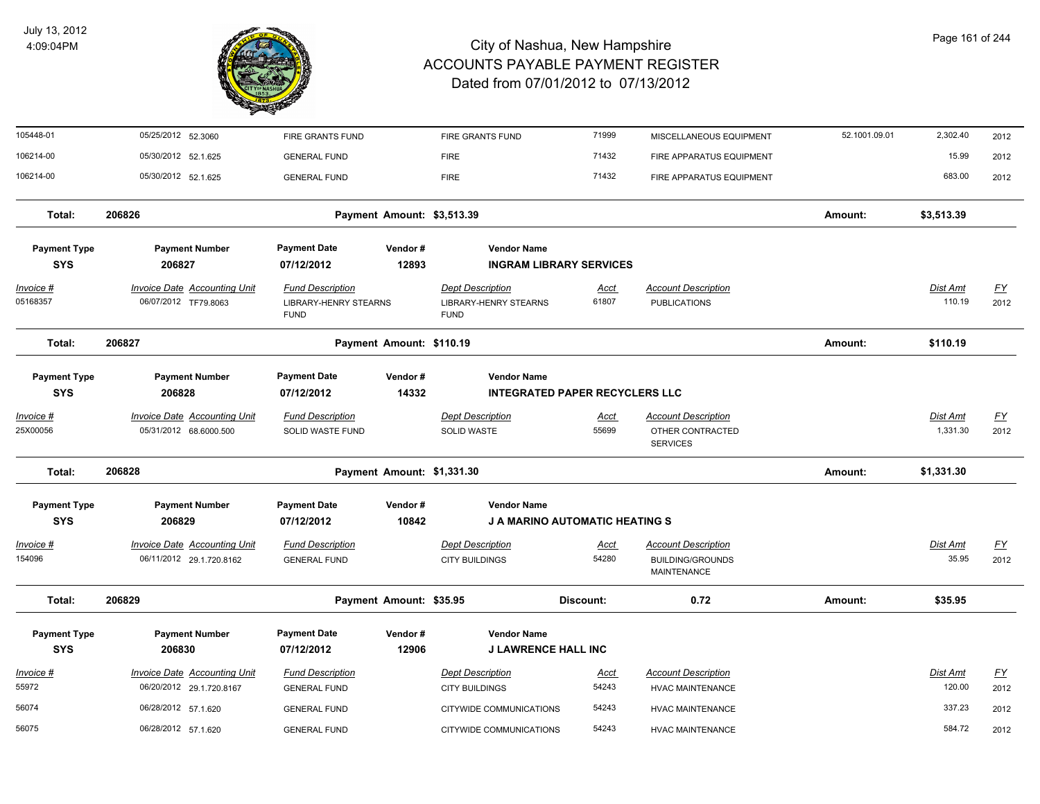

| 105448-01                         | 05/25/2012 52.3060                                              | FIRE GRANTS FUND                                                |                            | FIRE GRANTS FUND                                                       | 71999                | MISCELLANEOUS EQUIPMENT                                              | 52.1001.09.01 | 2,302.40                  | 2012                              |
|-----------------------------------|-----------------------------------------------------------------|-----------------------------------------------------------------|----------------------------|------------------------------------------------------------------------|----------------------|----------------------------------------------------------------------|---------------|---------------------------|-----------------------------------|
| 106214-00                         | 05/30/2012 52.1.625                                             | <b>GENERAL FUND</b>                                             |                            | <b>FIRE</b>                                                            | 71432                | FIRE APPARATUS EQUIPMENT                                             |               | 15.99                     | 2012                              |
| 106214-00                         | 05/30/2012 52.1.625                                             | <b>GENERAL FUND</b>                                             |                            | <b>FIRE</b>                                                            | 71432                | FIRE APPARATUS EQUIPMENT                                             |               | 683.00                    | 2012                              |
| Total:                            | 206826                                                          |                                                                 | Payment Amount: \$3,513.39 |                                                                        |                      |                                                                      | Amount:       | \$3,513.39                |                                   |
| <b>Payment Type</b>               | <b>Payment Number</b>                                           | <b>Payment Date</b>                                             | Vendor#                    | <b>Vendor Name</b>                                                     |                      |                                                                      |               |                           |                                   |
| <b>SYS</b>                        | 206827                                                          | 07/12/2012                                                      | 12893                      | <b>INGRAM LIBRARY SERVICES</b>                                         |                      |                                                                      |               |                           |                                   |
| Invoice #<br>05168357             | <b>Invoice Date Accounting Unit</b><br>06/07/2012 TF79.8063     | <b>Fund Description</b><br>LIBRARY-HENRY STEARNS<br><b>FUND</b> |                            | <b>Dept Description</b><br><b>LIBRARY-HENRY STEARNS</b><br><b>FUND</b> | <u>Acct</u><br>61807 | <b>Account Description</b><br><b>PUBLICATIONS</b>                    |               | <b>Dist Amt</b><br>110.19 | <u>FY</u><br>2012                 |
| Total:                            | 206827                                                          |                                                                 | Payment Amount: \$110.19   |                                                                        |                      |                                                                      | Amount:       | \$110.19                  |                                   |
| <b>Payment Type</b><br><b>SYS</b> | <b>Payment Number</b><br>206828                                 | <b>Payment Date</b><br>07/12/2012                               | Vendor#<br>14332           | <b>Vendor Name</b><br><b>INTEGRATED PAPER RECYCLERS LLC</b>            |                      |                                                                      |               |                           |                                   |
| Invoice #                         | <b>Invoice Date Accounting Unit</b>                             | <b>Fund Description</b>                                         |                            | <b>Dept Description</b>                                                | Acct                 | <b>Account Description</b>                                           |               | Dist Amt                  | <u>FY</u>                         |
| 25X00056                          | 05/31/2012 68.6000.500                                          | <b>SOLID WASTE FUND</b>                                         |                            | <b>SOLID WASTE</b>                                                     | 55699                | OTHER CONTRACTED<br><b>SERVICES</b>                                  |               | 1,331.30                  | 2012                              |
| Total:                            | 206828                                                          |                                                                 | Payment Amount: \$1,331.30 |                                                                        |                      |                                                                      | Amount:       | \$1,331.30                |                                   |
| <b>Payment Type</b>               | <b>Payment Number</b>                                           | <b>Payment Date</b>                                             | Vendor#                    | <b>Vendor Name</b>                                                     |                      |                                                                      |               |                           |                                   |
| <b>SYS</b>                        | 206829                                                          | 07/12/2012                                                      | 10842                      | <b>J A MARINO AUTOMATIC HEATING S</b>                                  |                      |                                                                      |               |                           |                                   |
| Invoice #<br>154096               | Invoice Date Accounting Unit<br>06/11/2012 29.1.720.8162        | <b>Fund Description</b><br><b>GENERAL FUND</b>                  |                            | <b>Dept Description</b><br><b>CITY BUILDINGS</b>                       | Acct<br>54280        | <b>Account Description</b><br><b>BUILDING/GROUNDS</b><br>MAINTENANCE |               | Dist Amt<br>35.95         | <u>FY</u><br>2012                 |
| Total:                            | 206829                                                          |                                                                 | Payment Amount: \$35.95    |                                                                        | Discount:            | 0.72                                                                 | Amount:       | \$35.95                   |                                   |
| <b>Payment Type</b>               | <b>Payment Number</b>                                           | <b>Payment Date</b>                                             | Vendor#                    | <b>Vendor Name</b>                                                     |                      |                                                                      |               |                           |                                   |
| <b>SYS</b>                        | 206830                                                          | 07/12/2012                                                      | 12906                      | <b>J LAWRENCE HALL INC</b>                                             |                      |                                                                      |               |                           |                                   |
| <u>Invoice #</u><br>55972         | <b>Invoice Date Accounting Unit</b><br>06/20/2012 29.1.720.8167 | <b>Fund Description</b><br><b>GENERAL FUND</b>                  |                            | <b>Dept Description</b><br><b>CITY BUILDINGS</b>                       | <u>Acct</u><br>54243 | <b>Account Description</b><br><b>HVAC MAINTENANCE</b>                |               | Dist Amt<br>120.00        | $\underline{\mathsf{FY}}$<br>2012 |
| 56074                             | 06/28/2012 57.1.620                                             | <b>GENERAL FUND</b>                                             |                            | CITYWIDE COMMUNICATIONS                                                | 54243                | <b>HVAC MAINTENANCE</b>                                              |               | 337.23                    | 2012                              |
| 56075                             | 06/28/2012 57.1.620                                             | <b>GENERAL FUND</b>                                             |                            | CITYWIDE COMMUNICATIONS                                                | 54243                | <b>HVAC MAINTENANCE</b>                                              |               | 584.72                    | 2012                              |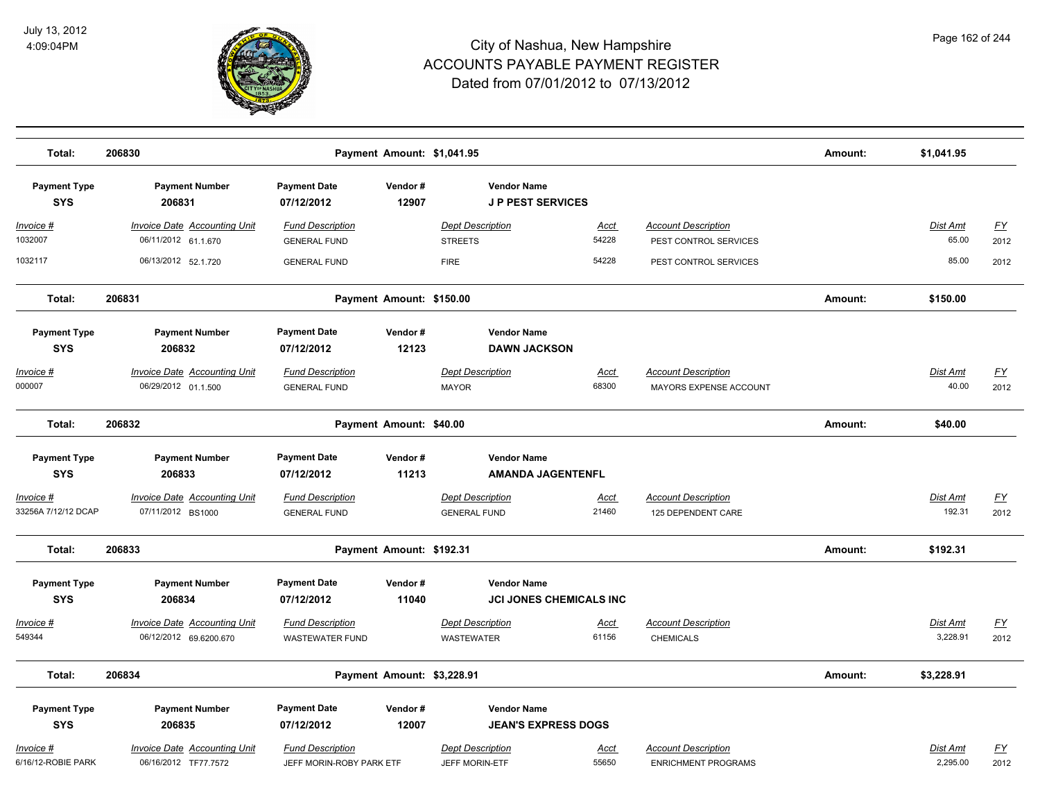

| Total:                                   | 206830                                                        | Payment Amount: \$1,041.95                          |                            |                                                      |                      |                                                          | Amount: | \$1,041.95           |                                   |
|------------------------------------------|---------------------------------------------------------------|-----------------------------------------------------|----------------------------|------------------------------------------------------|----------------------|----------------------------------------------------------|---------|----------------------|-----------------------------------|
| <b>Payment Type</b><br><b>SYS</b>        | <b>Payment Number</b><br>206831                               | <b>Payment Date</b><br>07/12/2012                   | Vendor#<br>12907           | <b>Vendor Name</b><br><b>JP PEST SERVICES</b>        |                      |                                                          |         |                      |                                   |
| <u> Invoice #</u><br>1032007             | <b>Invoice Date Accounting Unit</b><br>06/11/2012 61.1.670    | <b>Fund Description</b><br><b>GENERAL FUND</b>      |                            | <b>Dept Description</b><br><b>STREETS</b>            | <u>Acct</u><br>54228 | <b>Account Description</b><br>PEST CONTROL SERVICES      |         | Dist Amt<br>65.00    | <u>FY</u><br>2012                 |
| 1032117                                  | 06/13/2012 52.1.720                                           | <b>GENERAL FUND</b>                                 |                            | <b>FIRE</b>                                          | 54228                | PEST CONTROL SERVICES                                    |         | 85.00                | 2012                              |
| Total:                                   | 206831                                                        |                                                     | Payment Amount: \$150.00   |                                                      |                      |                                                          | Amount: | \$150.00             |                                   |
| <b>Payment Type</b><br><b>SYS</b>        | <b>Payment Number</b><br>206832                               | <b>Payment Date</b><br>07/12/2012                   | Vendor#<br>12123           | <b>Vendor Name</b><br><b>DAWN JACKSON</b>            |                      |                                                          |         |                      |                                   |
| <u> Invoice #</u><br>000007              | <b>Invoice Date Accounting Unit</b><br>06/29/2012 01.1.500    | <b>Fund Description</b><br><b>GENERAL FUND</b>      |                            | <b>Dept Description</b><br><b>MAYOR</b>              | Acct<br>68300        | <b>Account Description</b><br>MAYORS EXPENSE ACCOUNT     |         | Dist Amt<br>40.00    | <u>FY</u><br>2012                 |
| Total:                                   | 206832                                                        |                                                     | Payment Amount: \$40.00    |                                                      |                      |                                                          | Amount: | \$40.00              |                                   |
| <b>Payment Type</b><br><b>SYS</b>        | <b>Payment Number</b><br>206833                               | <b>Payment Date</b><br>07/12/2012                   | Vendor#<br>11213           | <b>Vendor Name</b><br><b>AMANDA JAGENTENFL</b>       |                      |                                                          |         |                      |                                   |
| <u> Invoice #</u><br>33256A 7/12/12 DCAP | <b>Invoice Date Accounting Unit</b><br>07/11/2012 BS1000      | <b>Fund Description</b><br><b>GENERAL FUND</b>      |                            | <b>Dept Description</b><br><b>GENERAL FUND</b>       | <u>Acct</u><br>21460 | <b>Account Description</b><br>125 DEPENDENT CARE         |         | Dist Amt<br>192.31   | $\underline{\mathsf{FY}}$<br>2012 |
| Total:                                   | 206833                                                        |                                                     | Payment Amount: \$192.31   |                                                      |                      |                                                          | Amount: | \$192.31             |                                   |
| <b>Payment Type</b><br><b>SYS</b>        | <b>Payment Number</b><br>206834                               | <b>Payment Date</b><br>07/12/2012                   | Vendor#<br>11040           | <b>Vendor Name</b><br><b>JCI JONES CHEMICALS INC</b> |                      |                                                          |         |                      |                                   |
| Invoice #<br>549344                      | <b>Invoice Date Accounting Unit</b><br>06/12/2012 69.6200.670 | <b>Fund Description</b><br><b>WASTEWATER FUND</b>   |                            | <b>Dept Description</b><br>WASTEWATER                | <b>Acct</b><br>61156 | <b>Account Description</b><br><b>CHEMICALS</b>           |         | Dist Amt<br>3,228.91 | <u>FY</u><br>2012                 |
| Total:                                   | 206834                                                        |                                                     | Payment Amount: \$3,228.91 |                                                      |                      |                                                          | Amount: | \$3,228.91           |                                   |
| <b>Payment Type</b><br><b>SYS</b>        | <b>Payment Number</b><br>206835                               | <b>Payment Date</b><br>07/12/2012                   | Vendor#<br>12007           | <b>Vendor Name</b><br><b>JEAN'S EXPRESS DOGS</b>     |                      |                                                          |         |                      |                                   |
| <u> Invoice #</u><br>6/16/12-ROBIE PARK  | <b>Invoice Date Accounting Unit</b><br>06/16/2012 TF77.7572   | <b>Fund Description</b><br>JEFF MORIN-ROBY PARK ETF |                            | <b>Dept Description</b><br>JEFF MORIN-ETF            | <u>Acct</u><br>55650 | <b>Account Description</b><br><b>ENRICHMENT PROGRAMS</b> |         | Dist Amt<br>2,295.00 | <u>FY</u><br>2012                 |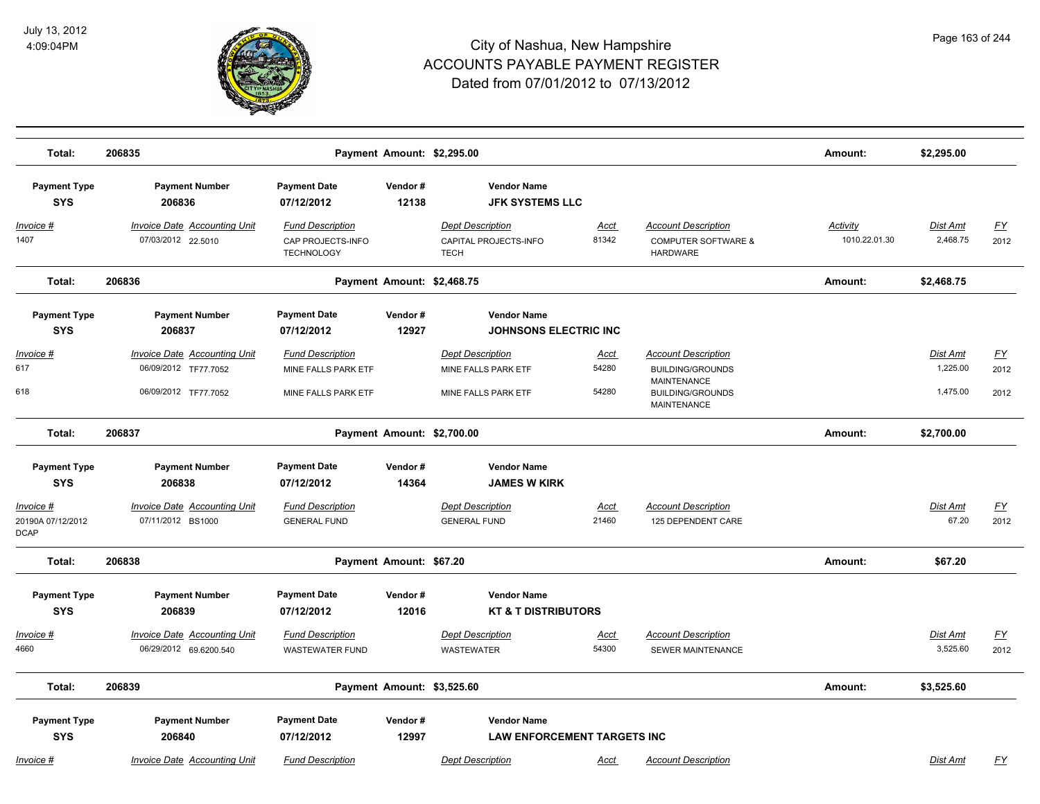

| Total:                                        | 206835                                                                              |                                                                       | Payment Amount: \$2,295.00 |                                                                       |                        |                                                                                                                | Amount:                          | \$2,295.00                       |                           |
|-----------------------------------------------|-------------------------------------------------------------------------------------|-----------------------------------------------------------------------|----------------------------|-----------------------------------------------------------------------|------------------------|----------------------------------------------------------------------------------------------------------------|----------------------------------|----------------------------------|---------------------------|
| <b>Payment Type</b><br><b>SYS</b>             | <b>Payment Number</b><br>206836                                                     | <b>Payment Date</b><br>07/12/2012                                     | Vendor#<br>12138           | <b>Vendor Name</b><br><b>JFK SYSTEMS LLC</b>                          |                        |                                                                                                                |                                  |                                  |                           |
| <u>Invoice #</u><br>1407                      | <b>Invoice Date Accounting Unit</b><br>07/03/2012 22.5010                           | <b>Fund Description</b><br>CAP PROJECTS-INFO<br><b>TECHNOLOGY</b>     |                            | <b>Dept Description</b><br>CAPITAL PROJECTS-INFO<br><b>TECH</b>       | Acct<br>81342          | <b>Account Description</b><br><b>COMPUTER SOFTWARE &amp;</b><br><b>HARDWARE</b>                                | <b>Activity</b><br>1010.22.01.30 | Dist Amt<br>2,468.75             | <u>FY</u><br>2012         |
| Total:                                        | 206836                                                                              |                                                                       | Payment Amount: \$2,468.75 |                                                                       |                        |                                                                                                                | Amount:                          | \$2,468.75                       |                           |
| <b>Payment Type</b><br><b>SYS</b>             | <b>Payment Number</b><br>206837                                                     | <b>Payment Date</b><br>07/12/2012                                     | Vendor#<br>12927           | <b>Vendor Name</b><br><b>JOHNSONS ELECTRIC INC</b>                    |                        |                                                                                                                |                                  |                                  |                           |
| Invoice #<br>617<br>618                       | <b>Invoice Date Accounting Unit</b><br>06/09/2012 TF77.7052<br>06/09/2012 TF77.7052 | <b>Fund Description</b><br>MINE FALLS PARK ETF<br>MINE FALLS PARK ETF |                            | <b>Dept Description</b><br>MINE FALLS PARK ETF<br>MINE FALLS PARK ETF | Acct<br>54280<br>54280 | <b>Account Description</b><br>BUILDING/GROUNDS<br><b>MAINTENANCE</b><br><b>BUILDING/GROUNDS</b><br>MAINTENANCE |                                  | Dist Amt<br>1,225.00<br>1,475.00 | <u>FY</u><br>2012<br>2012 |
| Total:                                        | 206837                                                                              |                                                                       | Payment Amount: \$2,700.00 |                                                                       |                        |                                                                                                                | Amount:                          | \$2,700.00                       |                           |
| <b>Payment Type</b><br><b>SYS</b>             | <b>Payment Number</b><br>206838                                                     | <b>Payment Date</b><br>07/12/2012                                     | Vendor#<br>14364           | <b>Vendor Name</b><br><b>JAMES W KIRK</b>                             |                        |                                                                                                                |                                  |                                  |                           |
| Invoice #<br>20190A 07/12/2012<br><b>DCAP</b> | <b>Invoice Date Accounting Unit</b><br>07/11/2012 BS1000                            | <b>Fund Description</b><br><b>GENERAL FUND</b>                        |                            | <b>Dept Description</b><br><b>GENERAL FUND</b>                        | Acct<br>21460          | <b>Account Description</b><br>125 DEPENDENT CARE                                                               |                                  | Dist Amt<br>67.20                | <u>FY</u><br>2012         |
| Total:                                        | 206838                                                                              |                                                                       | Payment Amount: \$67.20    |                                                                       |                        |                                                                                                                | Amount:                          | \$67.20                          |                           |
| <b>Payment Type</b><br><b>SYS</b>             | <b>Payment Number</b><br>206839                                                     | <b>Payment Date</b><br>07/12/2012                                     | Vendor#<br>12016           | <b>Vendor Name</b><br><b>KT &amp; T DISTRIBUTORS</b>                  |                        |                                                                                                                |                                  |                                  |                           |
| <u>Invoice #</u><br>4660                      | <b>Invoice Date Accounting Unit</b><br>06/29/2012 69.6200.540                       | <b>Fund Description</b><br><b>WASTEWATER FUND</b>                     |                            | <b>Dept Description</b><br>WASTEWATER                                 | <u>Acct</u><br>54300   | <b>Account Description</b><br><b>SEWER MAINTENANCE</b>                                                         |                                  | <u>Dist Amt</u><br>3,525.60      | <u>FY</u><br>2012         |
| Total:                                        | 206839                                                                              |                                                                       | Payment Amount: \$3,525.60 |                                                                       |                        |                                                                                                                | Amount:                          | \$3,525.60                       |                           |
| <b>Payment Type</b><br><b>SYS</b>             | <b>Payment Number</b><br>206840                                                     | <b>Payment Date</b><br>07/12/2012                                     | Vendor#<br>12997           | <b>Vendor Name</b><br><b>LAW ENFORCEMENT TARGETS INC</b>              |                        |                                                                                                                |                                  |                                  |                           |
| <u>Invoice #</u>                              | <b>Invoice Date Accounting Unit</b>                                                 | <b>Fund Description</b>                                               |                            | <b>Dept Description</b>                                               | <u>Acct</u>            | <b>Account Description</b>                                                                                     |                                  | Dist Amt                         | <u>FY</u>                 |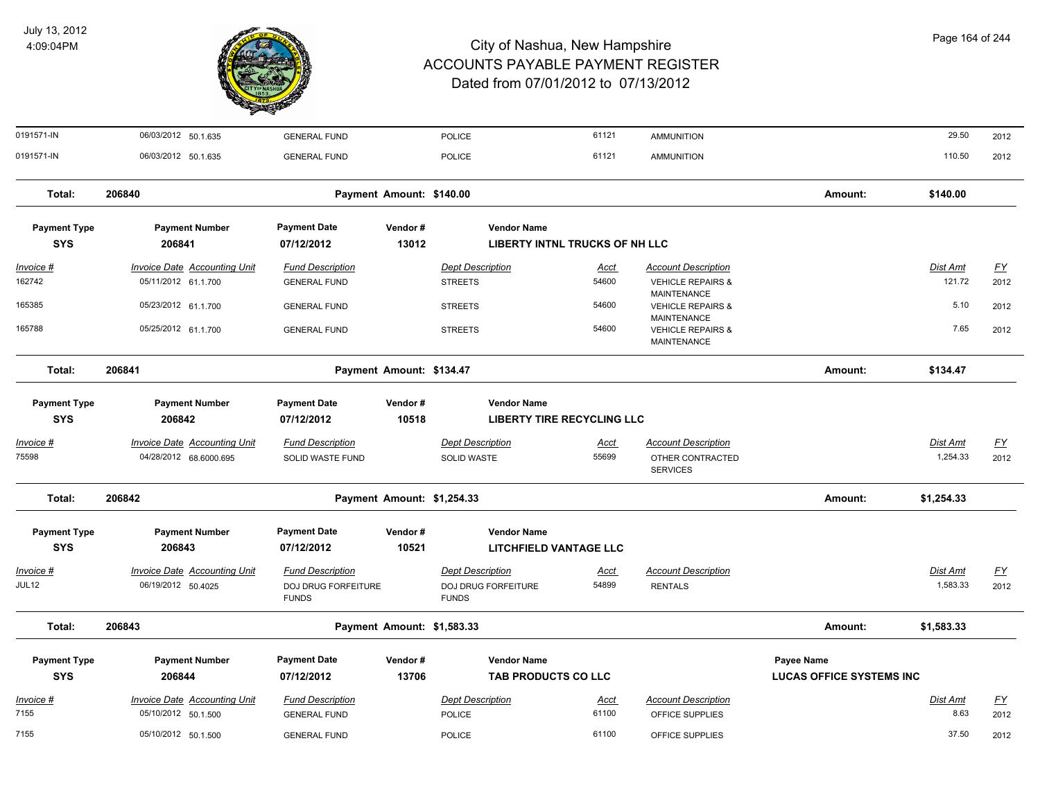

| 0191571-IN          | 06/03/2012 50.1.635                 | <b>GENERAL FUND</b>                 |                            | <b>POLICE</b>                       | 61121                             | <b>AMMUNITION</b>                           |                                 | 29.50           | 2012      |
|---------------------|-------------------------------------|-------------------------------------|----------------------------|-------------------------------------|-----------------------------------|---------------------------------------------|---------------------------------|-----------------|-----------|
| 0191571-IN          | 06/03/2012 50.1.635                 | <b>GENERAL FUND</b>                 |                            | <b>POLICE</b>                       | 61121                             | <b>AMMUNITION</b>                           |                                 | 110.50          | 2012      |
| Total:              | 206840                              |                                     | Payment Amount: \$140.00   |                                     |                                   |                                             | Amount:                         | \$140.00        |           |
| <b>Payment Type</b> | <b>Payment Number</b>               | <b>Payment Date</b>                 | Vendor#                    | <b>Vendor Name</b>                  |                                   |                                             |                                 |                 |           |
| <b>SYS</b>          | 206841                              | 07/12/2012                          | 13012                      |                                     | LIBERTY INTNL TRUCKS OF NH LLC    |                                             |                                 |                 |           |
| <u>Invoice #</u>    | <b>Invoice Date Accounting Unit</b> | <b>Fund Description</b>             |                            | <b>Dept Description</b>             | <u>Acct</u>                       | <b>Account Description</b>                  |                                 | <b>Dist Amt</b> | <u>FY</u> |
| 162742              | 05/11/2012 61.1.700                 | <b>GENERAL FUND</b>                 |                            | <b>STREETS</b>                      | 54600                             | <b>VEHICLE REPAIRS &amp;</b>                |                                 | 121.72          | 2012      |
| 165385              | 05/23/2012 61.1.700                 | <b>GENERAL FUND</b>                 |                            | <b>STREETS</b>                      | 54600                             | MAINTENANCE<br><b>VEHICLE REPAIRS &amp;</b> |                                 | 5.10            | 2012      |
| 165788              | 05/25/2012 61.1.700                 | <b>GENERAL FUND</b>                 |                            | <b>STREETS</b>                      | 54600                             | MAINTENANCE<br><b>VEHICLE REPAIRS &amp;</b> |                                 | 7.65            | 2012      |
|                     |                                     |                                     |                            |                                     |                                   | MAINTENANCE                                 |                                 |                 |           |
| Total:              | 206841                              |                                     | Payment Amount: \$134.47   |                                     |                                   |                                             | Amount:                         | \$134.47        |           |
| <b>Payment Type</b> | <b>Payment Number</b>               | <b>Payment Date</b>                 | Vendor#                    | <b>Vendor Name</b>                  |                                   |                                             |                                 |                 |           |
| <b>SYS</b>          | 206842                              | 07/12/2012                          | 10518                      |                                     | <b>LIBERTY TIRE RECYCLING LLC</b> |                                             |                                 |                 |           |
| Invoice #           | <b>Invoice Date Accounting Unit</b> | <b>Fund Description</b>             |                            | <b>Dept Description</b>             | Acct                              | <b>Account Description</b>                  |                                 | Dist Amt        | <u>FY</u> |
| 75598               | 04/28/2012 68.6000.695              | SOLID WASTE FUND                    |                            | <b>SOLID WASTE</b>                  | 55699                             | OTHER CONTRACTED<br><b>SERVICES</b>         |                                 | 1,254.33        | 2012      |
| Total:              | 206842                              |                                     | Payment Amount: \$1,254.33 |                                     |                                   |                                             | Amount:                         | \$1,254.33      |           |
| <b>Payment Type</b> | <b>Payment Number</b>               | <b>Payment Date</b>                 | Vendor#                    | <b>Vendor Name</b>                  |                                   |                                             |                                 |                 |           |
| <b>SYS</b>          | 206843                              | 07/12/2012                          | 10521                      |                                     | <b>LITCHFIELD VANTAGE LLC</b>     |                                             |                                 |                 |           |
| Invoice #           | <b>Invoice Date Accounting Unit</b> | <b>Fund Description</b>             |                            | <b>Dept Description</b>             | <u>Acct</u>                       | <b>Account Description</b>                  |                                 | Dist Amt        | <u>FY</u> |
| JUL12               | 06/19/2012 50.4025                  | DOJ DRUG FORFEITURE<br><b>FUNDS</b> |                            | DOJ DRUG FORFEITURE<br><b>FUNDS</b> | 54899                             | <b>RENTALS</b>                              |                                 | 1,583.33        | 2012      |
| Total:              | 206843                              |                                     | Payment Amount: \$1,583.33 |                                     |                                   |                                             | Amount:                         | \$1,583.33      |           |
| <b>Payment Type</b> | <b>Payment Number</b>               | <b>Payment Date</b>                 | Vendor#                    | <b>Vendor Name</b>                  |                                   |                                             | Payee Name                      |                 |           |
| <b>SYS</b>          | 206844                              | 07/12/2012                          | 13706                      | TAB PRODUCTS CO LLC                 |                                   |                                             | <b>LUCAS OFFICE SYSTEMS INC</b> |                 |           |
| <u>Invoice #</u>    | <b>Invoice Date Accounting Unit</b> | <b>Fund Description</b>             |                            | <b>Dept Description</b>             | <u>Acct</u>                       | <b>Account Description</b>                  |                                 | Dist Amt        | <u>FY</u> |
| 7155                | 05/10/2012 50.1.500                 | <b>GENERAL FUND</b>                 |                            | <b>POLICE</b>                       | 61100                             | OFFICE SUPPLIES                             |                                 | 8.63            | 2012      |
| 7155                | 05/10/2012 50.1.500                 | <b>GENERAL FUND</b>                 |                            | <b>POLICE</b>                       | 61100                             | OFFICE SUPPLIES                             |                                 | 37.50           | 2012      |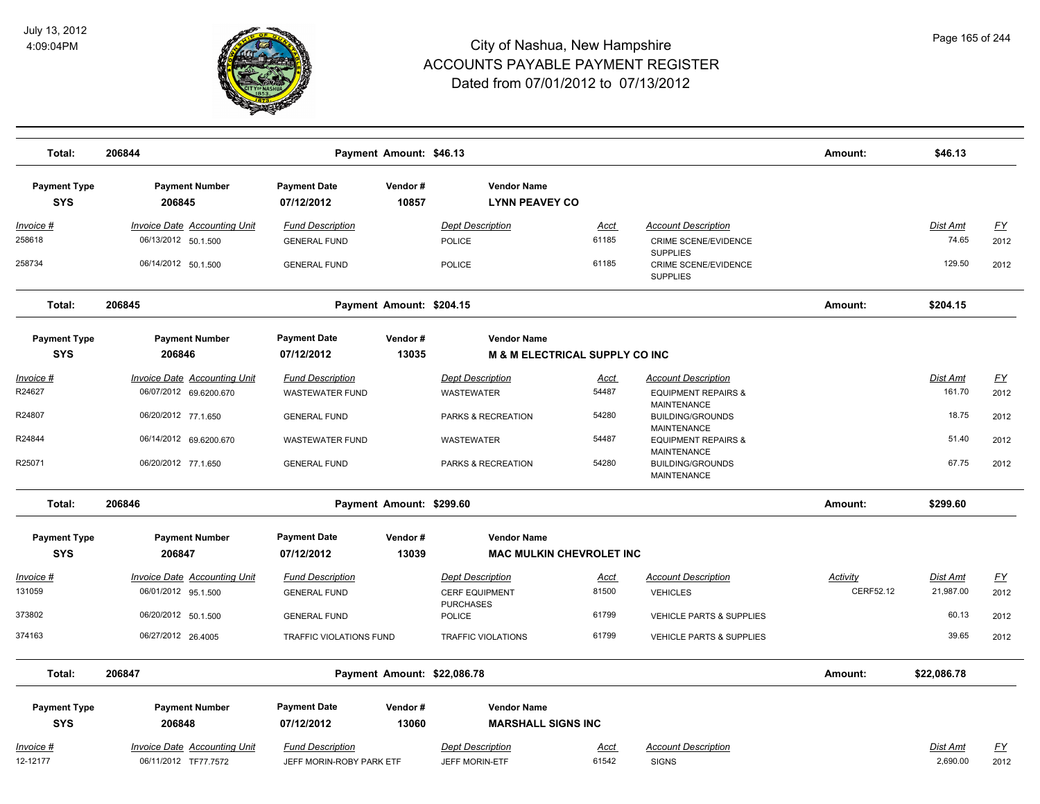

| Total:                            | 206844                                                      | Payment Amount: \$46.13                             |                             |                                                 |               |                                                      |           |                      |                           |
|-----------------------------------|-------------------------------------------------------------|-----------------------------------------------------|-----------------------------|-------------------------------------------------|---------------|------------------------------------------------------|-----------|----------------------|---------------------------|
|                                   |                                                             |                                                     |                             |                                                 |               |                                                      | Amount:   | \$46.13              |                           |
| <b>Payment Type</b>               | <b>Payment Number</b>                                       | <b>Payment Date</b>                                 | Vendor#                     | <b>Vendor Name</b>                              |               |                                                      |           |                      |                           |
| <b>SYS</b>                        | 206845                                                      | 07/12/2012                                          | 10857                       | <b>LYNN PEAVEY CO</b>                           |               |                                                      |           |                      |                           |
| <u> Invoice #</u>                 | <b>Invoice Date Accounting Unit</b>                         | <b>Fund Description</b>                             |                             | <b>Dept Description</b>                         | <b>Acct</b>   | <b>Account Description</b>                           |           | Dist Amt             | $\underline{\mathsf{FY}}$ |
| 258618                            | 06/13/2012 50.1.500                                         | <b>GENERAL FUND</b>                                 |                             | <b>POLICE</b>                                   | 61185         | CRIME SCENE/EVIDENCE<br><b>SUPPLIES</b>              |           | 74.65                | 2012                      |
| 258734                            | 06/14/2012 50.1.500                                         | <b>GENERAL FUND</b>                                 |                             | <b>POLICE</b>                                   | 61185         | <b>CRIME SCENE/EVIDENCE</b><br><b>SUPPLIES</b>       |           | 129.50               | 2012                      |
| Total:                            | 206845                                                      |                                                     | Payment Amount: \$204.15    |                                                 |               |                                                      | Amount:   | \$204.15             |                           |
| <b>Payment Type</b>               | <b>Payment Number</b>                                       | <b>Payment Date</b>                                 | Vendor#                     | <b>Vendor Name</b>                              |               |                                                      |           |                      |                           |
| <b>SYS</b>                        | 206846                                                      | 07/12/2012                                          | 13035                       | <b>M &amp; M ELECTRICAL SUPPLY CO INC</b>       |               |                                                      |           |                      |                           |
| Invoice #                         | <b>Invoice Date Accounting Unit</b>                         | <b>Fund Description</b>                             |                             | <b>Dept Description</b>                         | Acct          | <b>Account Description</b>                           |           | Dist Amt             | <u>FY</u>                 |
| R24627                            | 06/07/2012 69.6200.670                                      | <b>WASTEWATER FUND</b>                              |                             | <b>WASTEWATER</b>                               | 54487         | <b>EQUIPMENT REPAIRS &amp;</b>                       |           | 161.70               | 2012                      |
| R24807                            | 06/20/2012 77.1.650                                         | <b>GENERAL FUND</b>                                 |                             | PARKS & RECREATION                              | 54280         | <b>MAINTENANCE</b><br><b>BUILDING/GROUNDS</b>        |           | 18.75                | 2012                      |
| R24844                            | 06/14/2012 69.6200.670                                      | <b>WASTEWATER FUND</b>                              |                             | WASTEWATER                                      | 54487         | <b>MAINTENANCE</b><br><b>EQUIPMENT REPAIRS &amp;</b> |           | 51.40                | 2012                      |
|                                   |                                                             |                                                     |                             |                                                 |               | <b>MAINTENANCE</b>                                   |           |                      |                           |
| R25071                            | 06/20/2012 77.1.650                                         | <b>GENERAL FUND</b>                                 |                             | PARKS & RECREATION                              | 54280         | <b>BUILDING/GROUNDS</b><br><b>MAINTENANCE</b>        |           | 67.75                | 2012                      |
| Total:                            | 206846                                                      |                                                     | Payment Amount: \$299.60    |                                                 |               |                                                      | Amount:   | \$299.60             |                           |
| <b>Payment Type</b>               | <b>Payment Number</b>                                       | <b>Payment Date</b>                                 | Vendor#                     | <b>Vendor Name</b>                              |               |                                                      |           |                      |                           |
| <b>SYS</b>                        | 206847                                                      | 07/12/2012                                          | 13039                       | <b>MAC MULKIN CHEVROLET INC</b>                 |               |                                                      |           |                      |                           |
| Invoice #                         | <b>Invoice Date Accounting Unit</b>                         | <b>Fund Description</b>                             |                             | <b>Dept Description</b>                         | <u>Acct</u>   | <b>Account Description</b>                           | Activity  | <u>Dist Amt</u>      | <u>FY</u>                 |
| 131059                            | 06/01/2012 95.1.500                                         | <b>GENERAL FUND</b>                                 |                             | <b>CERF EQUIPMENT</b>                           | 81500         | <b>VEHICLES</b>                                      | CERF52.12 | 21,987.00            | 2012                      |
| 373802                            | 06/20/2012 50.1.500                                         | <b>GENERAL FUND</b>                                 |                             | <b>PURCHASES</b><br>POLICE                      | 61799         | VEHICLE PARTS & SUPPLIES                             |           | 60.13                | 2012                      |
| 374163                            | 06/27/2012 26.4005                                          | <b>TRAFFIC VIOLATIONS FUND</b>                      |                             | <b>TRAFFIC VIOLATIONS</b>                       | 61799         | <b>VEHICLE PARTS &amp; SUPPLIES</b>                  |           | 39.65                | 2012                      |
| Total:                            | 206847                                                      |                                                     | Payment Amount: \$22,086.78 |                                                 |               |                                                      | Amount:   | \$22,086.78          |                           |
|                                   |                                                             |                                                     |                             |                                                 |               |                                                      |           |                      |                           |
| <b>Payment Type</b><br><b>SYS</b> | <b>Payment Number</b><br>206848                             | <b>Payment Date</b><br>07/12/2012                   | Vendor#<br>13060            | <b>Vendor Name</b><br><b>MARSHALL SIGNS INC</b> |               |                                                      |           |                      |                           |
|                                   |                                                             |                                                     |                             |                                                 |               |                                                      |           |                      |                           |
| Invoice #<br>12-12177             | <b>Invoice Date Accounting Unit</b><br>06/11/2012 TF77.7572 | <b>Fund Description</b><br>JEFF MORIN-ROBY PARK ETF |                             | <b>Dept Description</b><br>JEFF MORIN-ETF       | Acct<br>61542 | <b>Account Description</b><br><b>SIGNS</b>           |           | Dist Amt<br>2,690.00 | <u>FY</u><br>2012         |
|                                   |                                                             |                                                     |                             |                                                 |               |                                                      |           |                      |                           |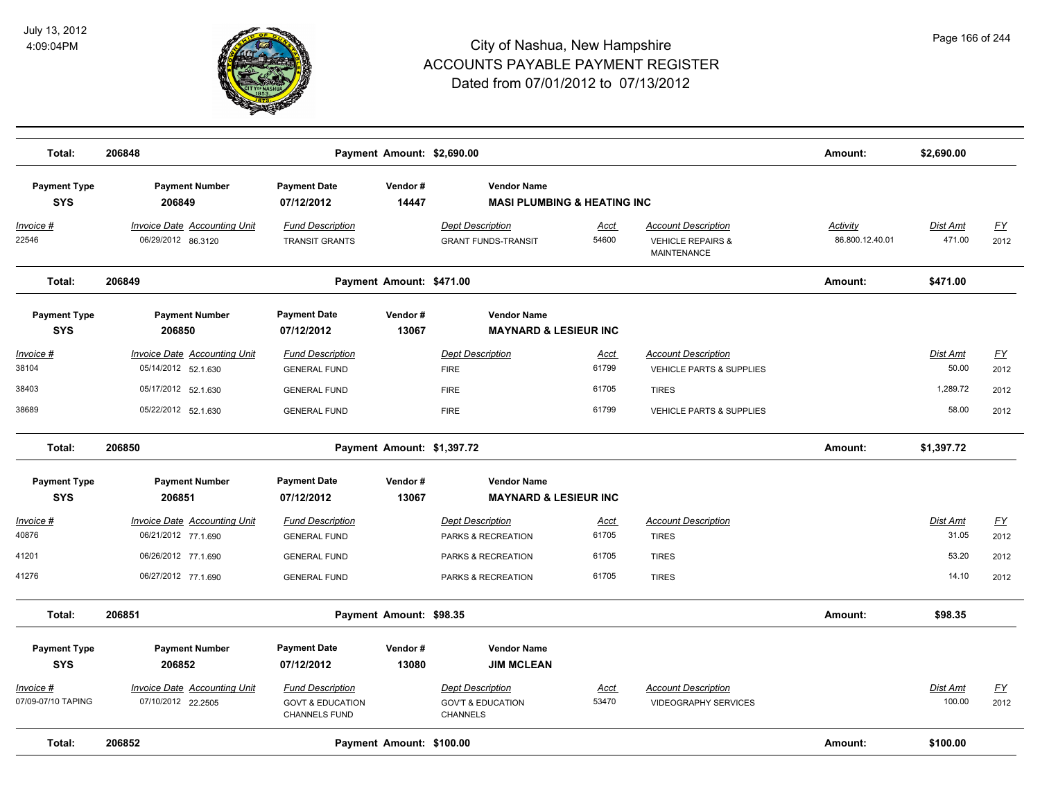

| Total:                            | 206848                                                    |                                                                                | Payment Amount: \$2,690.00 |                                                                            |                      |                                                                                  | Amount:                            | \$2,690.00                |                          |
|-----------------------------------|-----------------------------------------------------------|--------------------------------------------------------------------------------|----------------------------|----------------------------------------------------------------------------|----------------------|----------------------------------------------------------------------------------|------------------------------------|---------------------------|--------------------------|
| <b>Payment Type</b><br><b>SYS</b> | <b>Payment Number</b><br>206849                           | <b>Payment Date</b><br>07/12/2012                                              | Vendor#<br>14447           | <b>Vendor Name</b><br><b>MASI PLUMBING &amp; HEATING INC</b>               |                      |                                                                                  |                                    |                           |                          |
| Invoice #<br>22546                | <b>Invoice Date Accounting Unit</b><br>06/29/2012 86.3120 | <b>Fund Description</b><br><b>TRANSIT GRANTS</b>                               |                            | <b>Dept Description</b><br><b>GRANT FUNDS-TRANSIT</b>                      | <b>Acct</b><br>54600 | <b>Account Description</b><br><b>VEHICLE REPAIRS &amp;</b><br><b>MAINTENANCE</b> | <b>Activity</b><br>86.800.12.40.01 | <b>Dist Amt</b><br>471.00 | <u>FY</u><br>2012        |
| Total:                            | 206849                                                    |                                                                                | Payment Amount: \$471.00   |                                                                            |                      |                                                                                  | Amount:                            | \$471.00                  |                          |
| <b>Payment Type</b><br><b>SYS</b> | <b>Payment Number</b><br>206850                           | <b>Payment Date</b><br>07/12/2012                                              | Vendor#<br>13067           | <b>Vendor Name</b><br><b>MAYNARD &amp; LESIEUR INC</b>                     |                      |                                                                                  |                                    |                           |                          |
| Invoice #<br>38104                | Invoice Date Accounting Unit<br>05/14/2012 52.1.630       | <b>Fund Description</b><br><b>GENERAL FUND</b>                                 |                            | <b>Dept Description</b><br><b>FIRE</b>                                     | Acct<br>61799        | <b>Account Description</b><br>VEHICLE PARTS & SUPPLIES                           |                                    | Dist Amt<br>50.00         | $\underline{FY}$<br>2012 |
| 38403<br>38689                    | 05/17/2012 52.1.630<br>05/22/2012 52.1.630                | <b>GENERAL FUND</b><br><b>GENERAL FUND</b>                                     |                            | <b>FIRE</b><br><b>FIRE</b>                                                 | 61705<br>61799       | <b>TIRES</b><br>VEHICLE PARTS & SUPPLIES                                         |                                    | 1,289.72<br>58.00         | 2012<br>2012             |
| Total:                            | 206850                                                    |                                                                                | Payment Amount: \$1,397.72 |                                                                            |                      |                                                                                  | Amount:                            | \$1,397.72                |                          |
| <b>Payment Type</b><br><b>SYS</b> | <b>Payment Number</b><br>206851                           | <b>Payment Date</b><br>07/12/2012                                              | Vendor#<br>13067           | <b>Vendor Name</b><br><b>MAYNARD &amp; LESIEUR INC</b>                     |                      |                                                                                  |                                    |                           |                          |
| Invoice #<br>40876                | Invoice Date Accounting Unit<br>06/21/2012 77.1.690       | <b>Fund Description</b><br><b>GENERAL FUND</b>                                 |                            | <b>Dept Description</b><br>PARKS & RECREATION                              | Acct<br>61705        | <b>Account Description</b><br><b>TIRES</b>                                       |                                    | Dist Amt<br>31.05         | EY<br>2012               |
| 41201                             | 06/26/2012 77.1.690                                       | <b>GENERAL FUND</b>                                                            |                            | PARKS & RECREATION                                                         | 61705                | <b>TIRES</b>                                                                     |                                    | 53.20                     | 2012                     |
| 41276                             | 06/27/2012 77.1.690                                       | <b>GENERAL FUND</b>                                                            |                            | PARKS & RECREATION                                                         | 61705                | <b>TIRES</b>                                                                     |                                    | 14.10                     | 2012                     |
| Total:                            | 206851                                                    |                                                                                | Payment Amount: \$98.35    |                                                                            |                      |                                                                                  | Amount:                            | \$98.35                   |                          |
| <b>Payment Type</b><br><b>SYS</b> | <b>Payment Number</b><br>206852                           | <b>Payment Date</b><br>07/12/2012                                              | Vendor#<br>13080           | <b>Vendor Name</b><br><b>JIM MCLEAN</b>                                    |                      |                                                                                  |                                    |                           |                          |
| Invoice #<br>07/09-07/10 TAPING   | Invoice Date Accounting Unit<br>07/10/2012 22.2505        | <b>Fund Description</b><br><b>GOVT &amp; EDUCATION</b><br><b>CHANNELS FUND</b> |                            | <b>Dept Description</b><br><b>GOV'T &amp; EDUCATION</b><br><b>CHANNELS</b> | <u>Acct</u><br>53470 | <b>Account Description</b><br><b>VIDEOGRAPHY SERVICES</b>                        |                                    | Dist Amt<br>100.00        | <u>FY</u><br>2012        |
| Total:                            | 206852                                                    |                                                                                | Payment Amount: \$100.00   |                                                                            |                      |                                                                                  | Amount:                            | \$100.00                  |                          |
|                                   |                                                           |                                                                                |                            |                                                                            |                      |                                                                                  |                                    |                           |                          |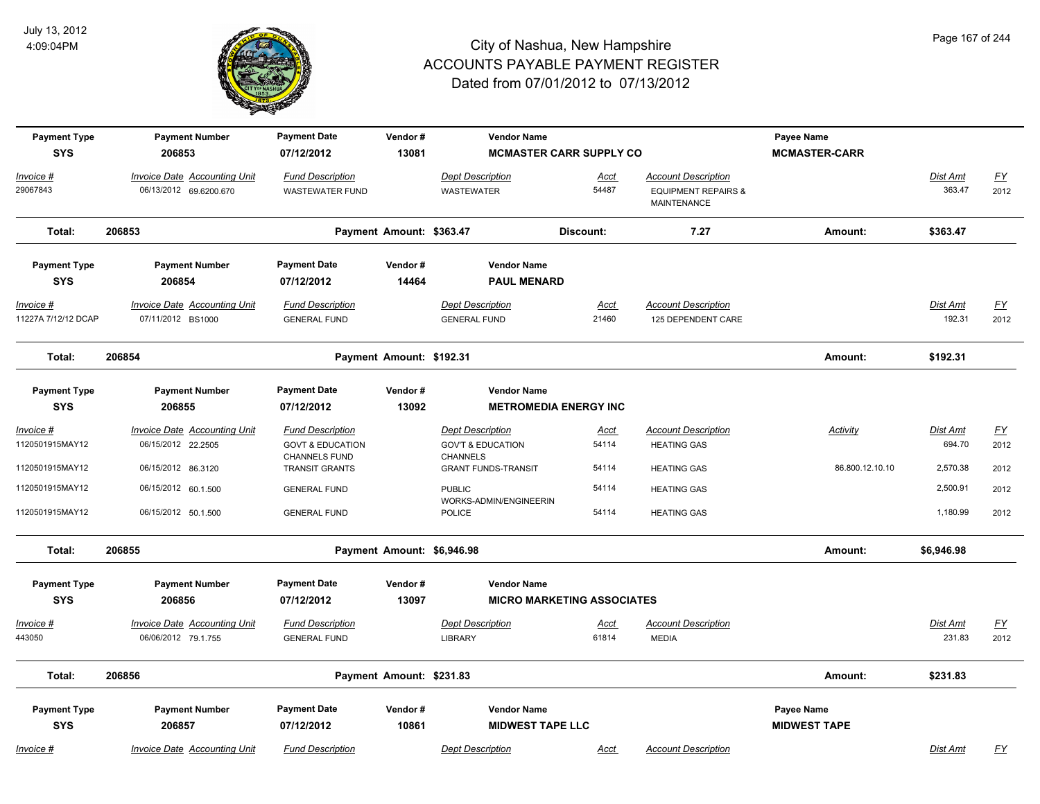

| <b>Payment Type</b><br><b>SYS</b>       | <b>Payment Number</b><br>206853                               | <b>Payment Date</b><br>07/12/2012                      | Vendor#<br>13081           | <b>Vendor Name</b><br><b>MCMASTER CARR SUPPLY CO</b>    |                      |                                                                             | Payee Name<br><b>MCMASTER-CARR</b>       |                           |                                   |
|-----------------------------------------|---------------------------------------------------------------|--------------------------------------------------------|----------------------------|---------------------------------------------------------|----------------------|-----------------------------------------------------------------------------|------------------------------------------|---------------------------|-----------------------------------|
| Invoice #<br>29067843                   | <b>Invoice Date Accounting Unit</b><br>06/13/2012 69.6200.670 | <b>Fund Description</b><br><b>WASTEWATER FUND</b>      |                            | <b>Dept Description</b><br><b>WASTEWATER</b>            | <u>Acct</u><br>54487 | <b>Account Description</b><br><b>EQUIPMENT REPAIRS &amp;</b><br>MAINTENANCE |                                          | Dist Amt<br>363.47        | $\underline{FY}$<br>2012          |
| Total:                                  | 206853                                                        |                                                        | Payment Amount: \$363.47   |                                                         | Discount:            | 7.27                                                                        | Amount:                                  | \$363.47                  |                                   |
| <b>Payment Type</b><br><b>SYS</b>       | <b>Payment Number</b><br>206854                               | <b>Payment Date</b><br>07/12/2012                      | Vendor#<br>14464           | <b>Vendor Name</b><br><b>PAUL MENARD</b>                |                      |                                                                             |                                          |                           |                                   |
| <u>Invoice #</u><br>11227A 7/12/12 DCAP | <b>Invoice Date Accounting Unit</b><br>07/11/2012 BS1000      | <b>Fund Description</b><br><b>GENERAL FUND</b>         |                            | <b>Dept Description</b><br><b>GENERAL FUND</b>          | <u>Acct</u><br>21460 | <b>Account Description</b><br>125 DEPENDENT CARE                            |                                          | <u>Dist Amt</u><br>192.31 | <u>FY</u><br>2012                 |
| Total:                                  | 206854                                                        |                                                        | Payment Amount: \$192.31   |                                                         |                      |                                                                             | Amount:                                  | \$192.31                  |                                   |
| <b>Payment Type</b><br><b>SYS</b>       | <b>Payment Number</b><br>206855                               | <b>Payment Date</b><br>07/12/2012                      | Vendor#<br>13092           | <b>Vendor Name</b><br><b>METROMEDIA ENERGY INC</b>      |                      |                                                                             |                                          |                           |                                   |
| Invoice #<br>1120501915MAY12            | <b>Invoice Date Accounting Unit</b><br>06/15/2012 22.2505     | <b>Fund Description</b><br><b>GOVT &amp; EDUCATION</b> |                            | <b>Dept Description</b><br><b>GOV'T &amp; EDUCATION</b> | <u>Acct</u><br>54114 | <b>Account Description</b><br><b>HEATING GAS</b>                            | Activity                                 | Dist Amt<br>694.70        | $\underline{\mathsf{FY}}$<br>2012 |
| 1120501915MAY12                         | 06/15/2012 86.3120                                            | CHANNELS FUND<br>TRANSIT GRANTS                        |                            | <b>CHANNELS</b><br><b>GRANT FUNDS-TRANSIT</b>           | 54114                | <b>HEATING GAS</b>                                                          | 86.800.12.10.10                          | 2,570.38                  | 2012                              |
| 1120501915MAY12                         | 06/15/2012 60.1.500                                           | <b>GENERAL FUND</b>                                    |                            | <b>PUBLIC</b><br>WORKS-ADMIN/ENGINEERIN                 | 54114                | <b>HEATING GAS</b>                                                          |                                          | 2,500.91                  | 2012                              |
| 1120501915MAY12                         | 06/15/2012 50.1.500                                           | <b>GENERAL FUND</b>                                    |                            | <b>POLICE</b>                                           | 54114                | <b>HEATING GAS</b>                                                          |                                          | 1,180.99                  | 2012                              |
| Total:                                  | 206855                                                        |                                                        | Payment Amount: \$6,946.98 |                                                         |                      |                                                                             | Amount:                                  | \$6,946.98                |                                   |
| <b>Payment Type</b><br><b>SYS</b>       | <b>Payment Number</b><br>206856                               | <b>Payment Date</b><br>07/12/2012                      | Vendor#<br>13097           | <b>Vendor Name</b><br><b>MICRO MARKETING ASSOCIATES</b> |                      |                                                                             |                                          |                           |                                   |
| <u>Invoice #</u>                        | <b>Invoice Date Accounting Unit</b>                           | <b>Fund Description</b>                                |                            | <b>Dept Description</b>                                 | <u>Acct</u>          | <b>Account Description</b>                                                  |                                          | <u>Dist Amt</u>           | $\underline{FY}$                  |
| 443050                                  | 06/06/2012 79.1.755                                           | <b>GENERAL FUND</b>                                    |                            | LIBRARY                                                 | 61814                | <b>MEDIA</b>                                                                |                                          | 231.83                    | 2012                              |
| Total:                                  | 206856                                                        |                                                        | Payment Amount: \$231.83   |                                                         |                      |                                                                             | Amount:                                  | \$231.83                  |                                   |
| <b>Payment Type</b><br><b>SYS</b>       | <b>Payment Number</b><br>206857                               | <b>Payment Date</b><br>07/12/2012                      | Vendor#<br>10861           | <b>Vendor Name</b><br><b>MIDWEST TAPE LLC</b>           |                      |                                                                             | <b>Payee Name</b><br><b>MIDWEST TAPE</b> |                           |                                   |
| Invoice #                               | Invoice Date Accounting Unit                                  | <b>Fund Description</b>                                |                            | <b>Dept Description</b>                                 | Acct                 | <b>Account Description</b>                                                  |                                          | Dist Amt                  | FY                                |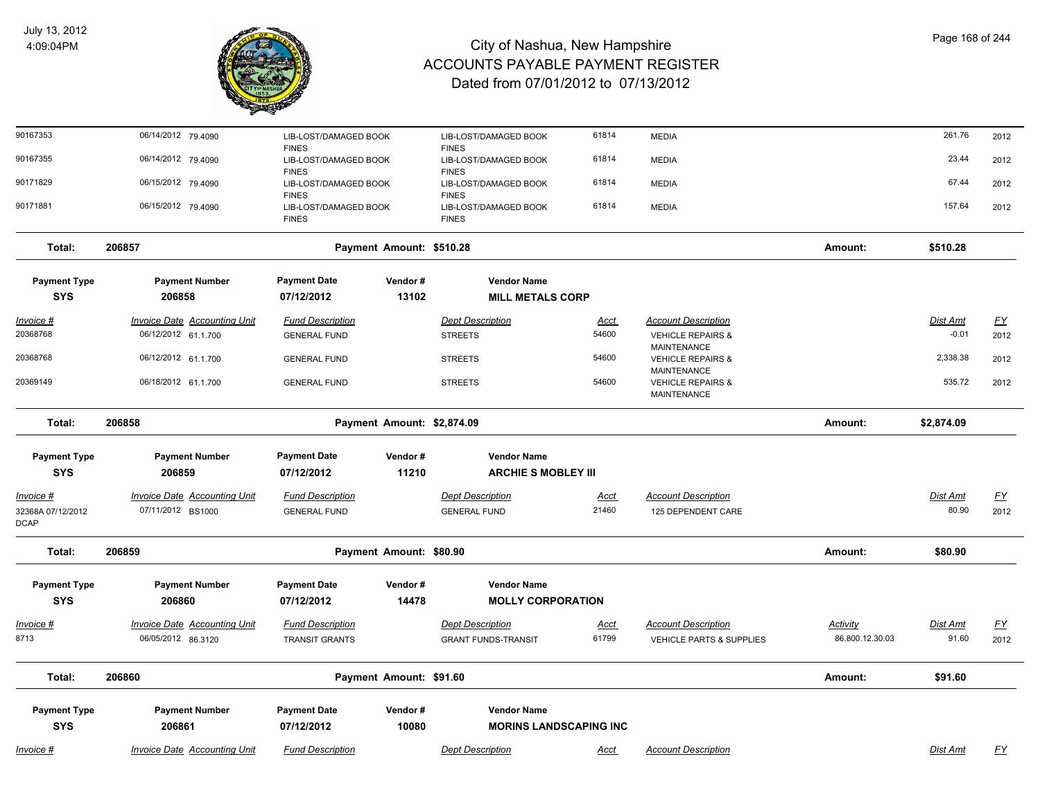

| 90167353                         | 06/14/2012 79.4090                  | LIB-LOST/DAMAGED BOOK<br><b>FINES</b> |                            | LIB-LOST/DAMAGED BOOK<br><b>FINES</b> | 61814       | <b>MEDIA</b>                                                      |                 | 261.76          | 2012             |
|----------------------------------|-------------------------------------|---------------------------------------|----------------------------|---------------------------------------|-------------|-------------------------------------------------------------------|-----------------|-----------------|------------------|
| 90167355                         | 06/14/2012 79.4090                  | LIB-LOST/DAMAGED BOOK<br><b>FINES</b> |                            | LIB-LOST/DAMAGED BOOK<br><b>FINES</b> | 61814       | <b>MEDIA</b>                                                      |                 | 23.44           | 2012             |
| 90171829                         | 06/15/2012 79.4090                  | LIB-LOST/DAMAGED BOOK<br><b>FINES</b> |                            | LIB-LOST/DAMAGED BOOK<br><b>FINES</b> | 61814       | <b>MEDIA</b>                                                      |                 | 67.44           | 2012             |
| 90171881                         | 06/15/2012 79.4090                  | LIB-LOST/DAMAGED BOOK<br><b>FINES</b> |                            | LIB-LOST/DAMAGED BOOK<br><b>FINES</b> | 61814       | <b>MEDIA</b>                                                      |                 | 157.64          | 2012             |
| Total:                           | 206857                              |                                       | Payment Amount: \$510.28   |                                       |             |                                                                   | Amount:         | \$510.28        |                  |
| <b>Payment Type</b>              | <b>Payment Number</b>               | <b>Payment Date</b>                   | Vendor#                    | <b>Vendor Name</b>                    |             |                                                                   |                 |                 |                  |
| <b>SYS</b>                       | 206858                              | 07/12/2012                            | 13102                      | <b>MILL METALS CORP</b>               |             |                                                                   |                 |                 |                  |
| <u>Invoice #</u>                 | <b>Invoice Date Accounting Unit</b> | <b>Fund Description</b>               |                            | <b>Dept Description</b>               | <u>Acct</u> | <b>Account Description</b>                                        |                 | <b>Dist Amt</b> | <u>FY</u>        |
| 20368768                         | 06/12/2012 61.1.700                 | <b>GENERAL FUND</b>                   |                            | <b>STREETS</b>                        | 54600       | <b>VEHICLE REPAIRS &amp;</b>                                      |                 | $-0.01$         | 2012             |
| 20368768                         | 06/12/2012 61.1.700                 | <b>GENERAL FUND</b>                   |                            | <b>STREETS</b>                        | 54600       | MAINTENANCE<br><b>VEHICLE REPAIRS &amp;</b><br><b>MAINTENANCE</b> |                 | 2,338.38        | 2012             |
| 20369149                         | 06/18/2012 61.1.700                 | <b>GENERAL FUND</b>                   |                            | <b>STREETS</b>                        | 54600       | <b>VEHICLE REPAIRS &amp;</b><br>MAINTENANCE                       |                 | 535.72          | 2012             |
| Total:                           | 206858                              |                                       | Payment Amount: \$2,874.09 |                                       |             |                                                                   | Amount:         | \$2,874.09      |                  |
| <b>Payment Type</b>              | <b>Payment Number</b>               | <b>Payment Date</b>                   | Vendor#                    | <b>Vendor Name</b>                    |             |                                                                   |                 |                 |                  |
| <b>SYS</b>                       | 206859                              | 07/12/2012                            | 11210                      | <b>ARCHIE S MOBLEY III</b>            |             |                                                                   |                 |                 |                  |
| <u>Invoice #</u>                 | <b>Invoice Date Accounting Unit</b> | <b>Fund Description</b>               |                            | <b>Dept Description</b>               | <u>Acct</u> | <b>Account Description</b>                                        |                 | Dist Amt        | $\underline{FY}$ |
| 32368A 07/12/2012<br><b>DCAP</b> | 07/11/2012 BS1000                   | <b>GENERAL FUND</b>                   |                            | <b>GENERAL FUND</b>                   | 21460       | 125 DEPENDENT CARE                                                |                 | 80.90           | 2012             |
| Total:                           | 206859                              |                                       | Payment Amount: \$80.90    |                                       |             |                                                                   | Amount:         | \$80.90         |                  |
| <b>Payment Type</b>              | <b>Payment Number</b>               | <b>Payment Date</b>                   | Vendor#                    | <b>Vendor Name</b>                    |             |                                                                   |                 |                 |                  |
| <b>SYS</b>                       | 206860                              | 07/12/2012                            | 14478                      | <b>MOLLY CORPORATION</b>              |             |                                                                   |                 |                 |                  |
| Invoice #                        | <b>Invoice Date Accounting Unit</b> | <b>Fund Description</b>               |                            | <b>Dept Description</b>               | <u>Acct</u> | <b>Account Description</b>                                        | <b>Activity</b> | Dist Amt        | $\underline{FY}$ |
| 8713                             | 06/05/2012 86.3120                  | <b>TRANSIT GRANTS</b>                 |                            | <b>GRANT FUNDS-TRANSIT</b>            | 61799       | <b>VEHICLE PARTS &amp; SUPPLIES</b>                               | 86.800.12.30.03 | 91.60           | 2012             |
| Total:                           | 206860                              |                                       | Payment Amount: \$91.60    |                                       |             |                                                                   | Amount:         | \$91.60         |                  |
| <b>Payment Type</b>              | <b>Payment Number</b>               | <b>Payment Date</b>                   | Vendor#                    | <b>Vendor Name</b>                    |             |                                                                   |                 |                 |                  |
| <b>SYS</b>                       | 206861                              | 07/12/2012                            | 10080                      | <b>MORINS LANDSCAPING INC</b>         |             |                                                                   |                 |                 |                  |
| <u>Invoice #</u>                 | <b>Invoice Date Accounting Unit</b> | <b>Fund Description</b>               |                            | <b>Dept Description</b>               | <u>Acct</u> | <b>Account Description</b>                                        |                 | Dist Amt        | <u>FY</u>        |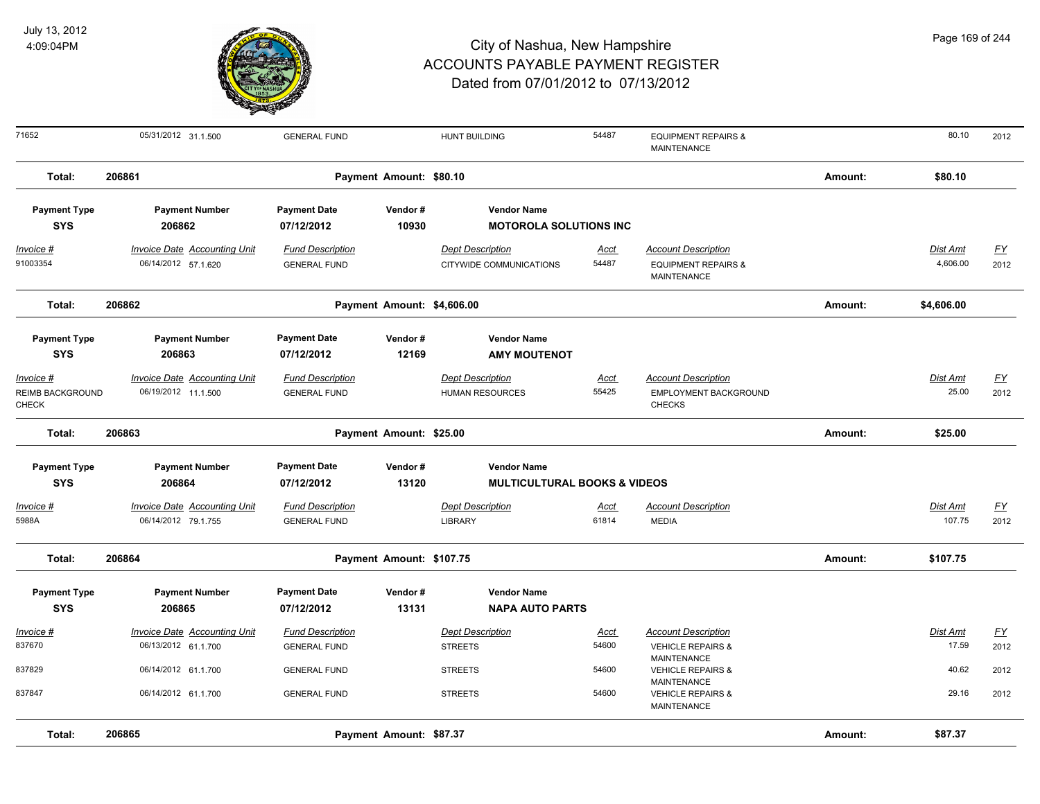

| Page 169 of 244 |  |
|-----------------|--|
|-----------------|--|

| 71652                                                | 05/31/2012 31.1.500                                        | <b>GENERAL FUND</b>                            |                            | <b>HUNT BUILDING</b>                                | 54487                | <b>EQUIPMENT REPAIRS &amp;</b><br>MAINTENANCE                               |         | 80.10                | 2012              |
|------------------------------------------------------|------------------------------------------------------------|------------------------------------------------|----------------------------|-----------------------------------------------------|----------------------|-----------------------------------------------------------------------------|---------|----------------------|-------------------|
| Total:                                               | 206861                                                     |                                                | Payment Amount: \$80.10    |                                                     |                      |                                                                             | Amount: | \$80.10              |                   |
| <b>Payment Type</b><br><b>SYS</b>                    | <b>Payment Number</b><br>206862                            | <b>Payment Date</b><br>07/12/2012              | Vendor#<br>10930           | <b>Vendor Name</b><br><b>MOTOROLA SOLUTIONS INC</b> |                      |                                                                             |         |                      |                   |
| $Invoice$ #<br>91003354                              | <b>Invoice Date Accounting Unit</b><br>06/14/2012 57.1.620 | <b>Fund Description</b><br><b>GENERAL FUND</b> |                            | <b>Dept Description</b><br>CITYWIDE COMMUNICATIONS  | <u>Acct</u><br>54487 | <b>Account Description</b><br><b>EQUIPMENT REPAIRS &amp;</b><br>MAINTENANCE |         | Dist Amt<br>4,606.00 | <u>FY</u><br>2012 |
| Total:                                               | 206862                                                     |                                                | Payment Amount: \$4,606.00 |                                                     |                      |                                                                             | Amount: | \$4,606.00           |                   |
| <b>Payment Type</b><br><b>SYS</b>                    | <b>Payment Number</b><br>206863                            | <b>Payment Date</b><br>07/12/2012              | Vendor#<br>12169           | <b>Vendor Name</b><br><b>AMY MOUTENOT</b>           |                      |                                                                             |         |                      |                   |
| Invoice #<br><b>REIMB BACKGROUND</b><br><b>CHECK</b> | Invoice Date Accounting Unit<br>06/19/2012 11.1.500        | <b>Fund Description</b><br><b>GENERAL FUND</b> |                            | <b>Dept Description</b><br>HUMAN RESOURCES          | Acct<br>55425        | <b>Account Description</b><br>EMPLOYMENT BACKGROUND<br><b>CHECKS</b>        |         | Dist Amt<br>25.00    | <u>FY</u><br>2012 |
| Total:                                               | 206863                                                     |                                                | Payment Amount: \$25.00    |                                                     |                      |                                                                             | Amount: | \$25.00              |                   |
| <b>Payment Type</b>                                  | <b>Payment Number</b>                                      | <b>Payment Date</b>                            | Vendor#                    | <b>Vendor Name</b>                                  |                      |                                                                             |         |                      |                   |
| <b>SYS</b>                                           | 206864                                                     | 07/12/2012                                     | 13120                      | <b>MULTICULTURAL BOOKS &amp; VIDEOS</b>             |                      |                                                                             |         |                      |                   |
| Invoice #<br>5988A                                   | <b>Invoice Date Accounting Unit</b><br>06/14/2012 79.1.755 | <b>Fund Description</b><br><b>GENERAL FUND</b> |                            | <b>Dept Description</b><br><b>LIBRARY</b>           | Acct<br>61814        | <b>Account Description</b><br><b>MEDIA</b>                                  |         | Dist Amt<br>107.75   | <u>FY</u><br>2012 |
| Total:                                               | 206864                                                     |                                                | Payment Amount: \$107.75   |                                                     |                      |                                                                             | Amount: | \$107.75             |                   |
| <b>Payment Type</b><br><b>SYS</b>                    | <b>Payment Number</b><br>206865                            | <b>Payment Date</b><br>07/12/2012              | Vendor#<br>13131           | <b>Vendor Name</b><br><b>NAPA AUTO PARTS</b>        |                      |                                                                             |         |                      |                   |
| Invoice #<br>837670                                  | <b>Invoice Date Accounting Unit</b><br>06/13/2012 61.1.700 | <b>Fund Description</b><br><b>GENERAL FUND</b> |                            | <b>Dept Description</b><br><b>STREETS</b>           | Acct<br>54600        | <b>Account Description</b><br><b>VEHICLE REPAIRS &amp;</b>                  |         | Dist Amt<br>17.59    | <u>FY</u><br>2012 |
| 837829                                               | 06/14/2012 61.1.700                                        | <b>GENERAL FUND</b>                            |                            | <b>STREETS</b>                                      | 54600                | MAINTENANCE<br><b>VEHICLE REPAIRS &amp;</b><br>MAINTENANCE                  |         | 40.62                | 2012              |
| 837847                                               | 06/14/2012 61.1.700                                        | <b>GENERAL FUND</b>                            |                            | <b>STREETS</b>                                      | 54600                | <b>VEHICLE REPAIRS &amp;</b><br>MAINTENANCE                                 |         | 29.16                | 2012              |
| Total:                                               | 206865                                                     |                                                | Payment Amount: \$87.37    |                                                     |                      |                                                                             | Amount: | \$87.37              |                   |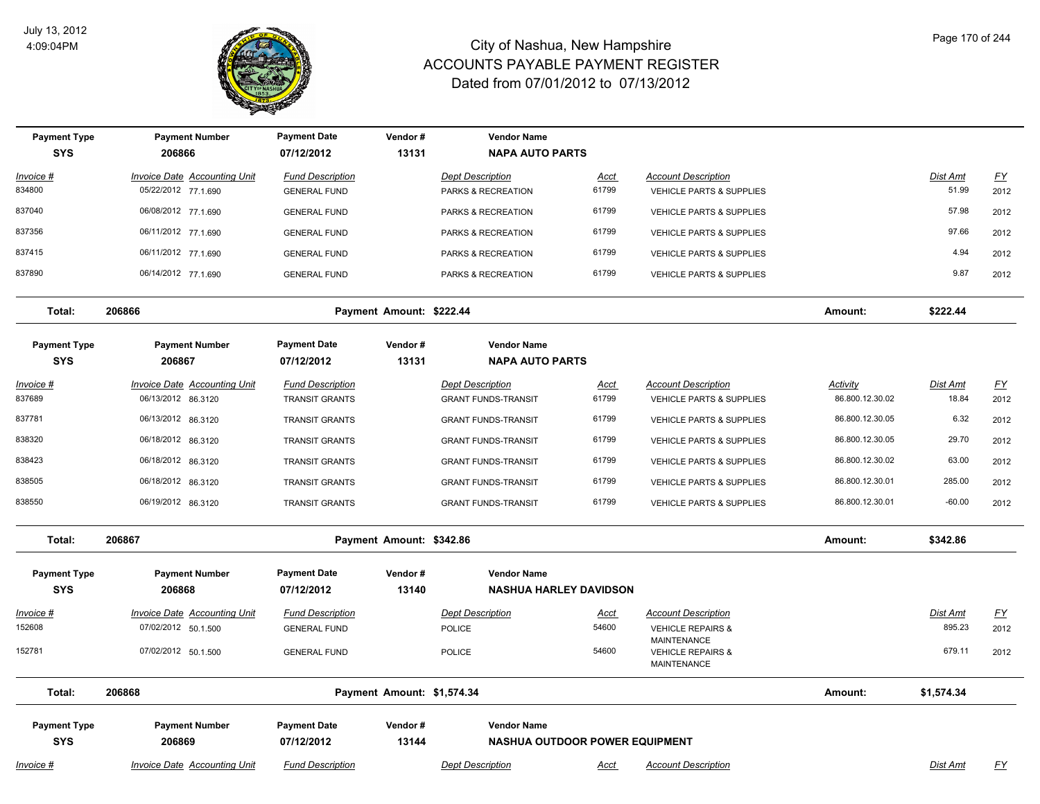

| <b>Payment Type</b><br><b>SYS</b> | <b>Payment Number</b><br>206866                           | <b>Payment Date</b><br>07/12/2012                | Vendor#<br>13131           | <b>Vendor Name</b><br><b>NAPA AUTO PARTS</b>                |                      |                                                        |                                    |                          |                                   |
|-----------------------------------|-----------------------------------------------------------|--------------------------------------------------|----------------------------|-------------------------------------------------------------|----------------------|--------------------------------------------------------|------------------------------------|--------------------------|-----------------------------------|
| Invoice #                         | Invoice Date Accounting Unit                              | <b>Fund Description</b>                          |                            | <b>Dept Description</b>                                     | <u>Acct</u>          | <b>Account Description</b>                             |                                    | Dist Amt                 | $\underline{FY}$                  |
| 834800                            | 05/22/2012 77.1.690                                       | <b>GENERAL FUND</b>                              |                            | PARKS & RECREATION                                          | 61799                | VEHICLE PARTS & SUPPLIES                               |                                    | 51.99                    | 2012                              |
| 837040                            | 06/08/2012 77.1.690                                       | <b>GENERAL FUND</b>                              |                            | PARKS & RECREATION                                          | 61799                | VEHICLE PARTS & SUPPLIES                               |                                    | 57.98                    | 2012                              |
| 837356                            | 06/11/2012 77.1.690                                       | <b>GENERAL FUND</b>                              |                            | PARKS & RECREATION                                          | 61799                | <b>VEHICLE PARTS &amp; SUPPLIES</b>                    |                                    | 97.66                    | 2012                              |
| 837415                            | 06/11/2012 77.1.690                                       | <b>GENERAL FUND</b>                              |                            | PARKS & RECREATION                                          | 61799                | <b>VEHICLE PARTS &amp; SUPPLIES</b>                    |                                    | 4.94                     | 2012                              |
| 837890                            | 06/14/2012 77.1.690                                       | <b>GENERAL FUND</b>                              |                            | PARKS & RECREATION                                          | 61799                | VEHICLE PARTS & SUPPLIES                               |                                    | 9.87                     | 2012                              |
| Total:                            | 206866                                                    |                                                  | Payment Amount: \$222.44   |                                                             |                      |                                                        | Amount:                            | \$222.44                 |                                   |
| <b>Payment Type</b><br><b>SYS</b> | <b>Payment Number</b><br>206867                           | <b>Payment Date</b><br>07/12/2012                | Vendor#<br>13131           | <b>Vendor Name</b><br><b>NAPA AUTO PARTS</b>                |                      |                                                        |                                    |                          |                                   |
| <u>Invoice #</u><br>837689        | <b>Invoice Date Accounting Unit</b><br>06/13/2012 86.3120 | <b>Fund Description</b><br><b>TRANSIT GRANTS</b> |                            | <b>Dept Description</b><br><b>GRANT FUNDS-TRANSIT</b>       | <u>Acct</u><br>61799 | <b>Account Description</b><br>VEHICLE PARTS & SUPPLIES | <b>Activity</b><br>86.800.12.30.02 | <u>Dist Amt</u><br>18.84 | $\underline{\mathsf{FY}}$<br>2012 |
| 837781                            | 06/13/2012 86.3120                                        | <b>TRANSIT GRANTS</b>                            |                            | <b>GRANT FUNDS-TRANSIT</b>                                  | 61799                | <b>VEHICLE PARTS &amp; SUPPLIES</b>                    | 86.800.12.30.05                    | 6.32                     | 2012                              |
| 838320                            | 06/18/2012 86.3120                                        | <b>TRANSIT GRANTS</b>                            |                            | <b>GRANT FUNDS-TRANSIT</b>                                  | 61799                | <b>VEHICLE PARTS &amp; SUPPLIES</b>                    | 86.800.12.30.05                    | 29.70                    | 2012                              |
| 838423                            | 06/18/2012 86.3120                                        | <b>TRANSIT GRANTS</b>                            |                            | <b>GRANT FUNDS-TRANSIT</b>                                  | 61799                | VEHICLE PARTS & SUPPLIES                               | 86.800.12.30.02                    | 63.00                    | 2012                              |
| 838505                            | 06/18/2012 86.3120                                        | <b>TRANSIT GRANTS</b>                            |                            | <b>GRANT FUNDS-TRANSIT</b>                                  | 61799                | <b>VEHICLE PARTS &amp; SUPPLIES</b>                    | 86.800.12.30.01                    | 285.00                   | 2012                              |
| 838550                            | 06/19/2012 86.3120                                        | <b>TRANSIT GRANTS</b>                            |                            | <b>GRANT FUNDS-TRANSIT</b>                                  | 61799                | <b>VEHICLE PARTS &amp; SUPPLIES</b>                    | 86.800.12.30.01                    | $-60.00$                 | 2012                              |
| Total:                            | 206867                                                    |                                                  | Payment Amount: \$342.86   |                                                             |                      |                                                        | Amount:                            | \$342.86                 |                                   |
| <b>Payment Type</b>               | <b>Payment Number</b>                                     | <b>Payment Date</b>                              | Vendor#                    | <b>Vendor Name</b>                                          |                      |                                                        |                                    |                          |                                   |
| <b>SYS</b>                        | 206868                                                    | 07/12/2012                                       | 13140                      | <b>NASHUA HARLEY DAVIDSON</b>                               |                      |                                                        |                                    |                          |                                   |
| Invoice #                         | <b>Invoice Date Accounting Unit</b>                       | <b>Fund Description</b>                          |                            | <b>Dept Description</b>                                     | <u>Acct</u>          | <b>Account Description</b>                             |                                    | Dist Amt                 | $\underline{FY}$                  |
| 152608                            | 07/02/2012 50.1.500                                       | <b>GENERAL FUND</b>                              |                            | <b>POLICE</b>                                               | 54600                | <b>VEHICLE REPAIRS &amp;</b><br>MAINTENANCE            |                                    | 895.23                   | 2012                              |
| 152781                            | 07/02/2012 50.1.500                                       | <b>GENERAL FUND</b>                              |                            | <b>POLICE</b>                                               | 54600                | <b>VEHICLE REPAIRS &amp;</b><br>MAINTENANCE            |                                    | 679.11                   | 2012                              |
| Total:                            | 206868                                                    |                                                  | Payment Amount: \$1,574.34 |                                                             |                      |                                                        | Amount:                            | \$1,574.34               |                                   |
| <b>Payment Type</b><br><b>SYS</b> | <b>Payment Number</b><br>206869                           | <b>Payment Date</b><br>07/12/2012                | Vendor#<br>13144           | <b>Vendor Name</b><br><b>NASHUA OUTDOOR POWER EQUIPMENT</b> |                      |                                                        |                                    |                          |                                   |
| Invoice #                         | <b>Invoice Date Accounting Unit</b>                       | <b>Fund Description</b>                          |                            | <b>Dept Description</b>                                     | Acct                 | <b>Account Description</b>                             |                                    | Dist Amt                 | <u>FY</u>                         |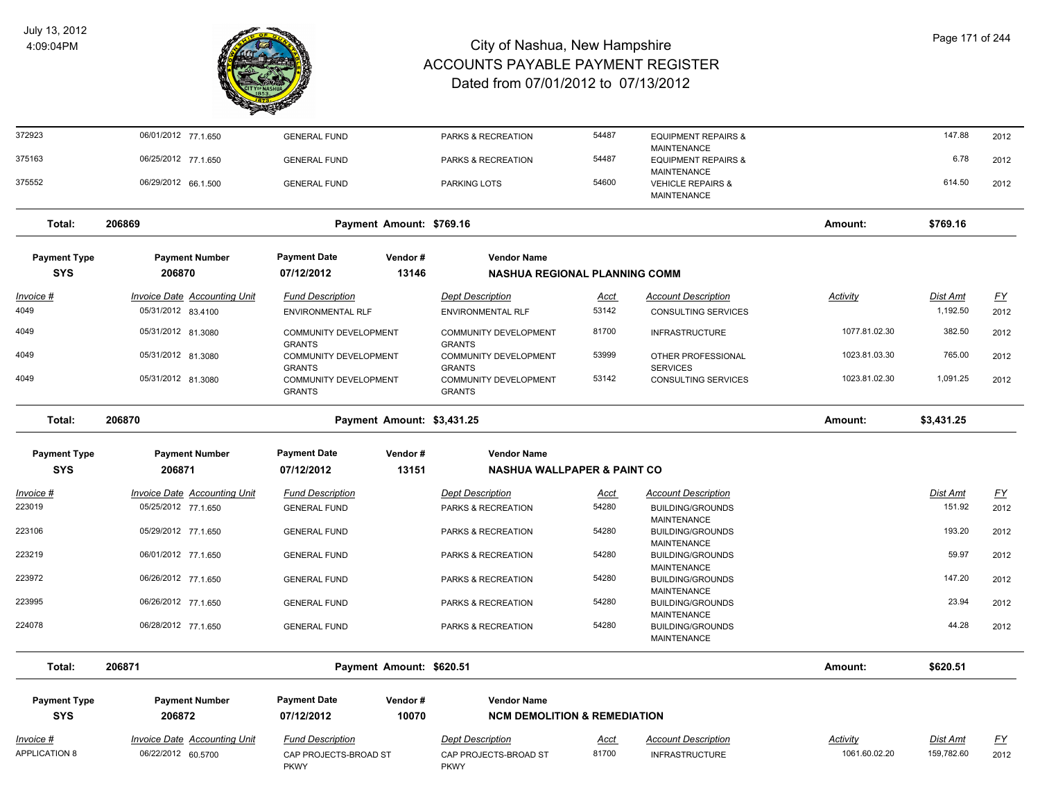

| 372923                            | 06/01/2012 77.1.650                                       | <b>GENERAL FUND</b>                                 |                            | PARKS & RECREATION                                  | 54487                | <b>EQUIPMENT REPAIRS &amp;</b><br><b>MAINTENANCE</b>                |                           | 147.88                 | 2012              |
|-----------------------------------|-----------------------------------------------------------|-----------------------------------------------------|----------------------------|-----------------------------------------------------|----------------------|---------------------------------------------------------------------|---------------------------|------------------------|-------------------|
| 375163                            | 06/25/2012 77.1.650                                       | <b>GENERAL FUND</b>                                 |                            | PARKS & RECREATION                                  | 54487                | <b>EQUIPMENT REPAIRS &amp;</b><br><b>MAINTENANCE</b>                |                           | 6.78                   | 2012              |
| 375552                            | 06/29/2012 66.1.500                                       | <b>GENERAL FUND</b>                                 |                            | PARKING LOTS                                        | 54600                | <b>VEHICLE REPAIRS &amp;</b><br><b>MAINTENANCE</b>                  |                           | 614.50                 | 2012              |
| Total:                            | 206869                                                    |                                                     | Payment Amount: \$769.16   |                                                     |                      |                                                                     | Amount:                   | \$769.16               |                   |
| <b>Payment Type</b>               | <b>Payment Number</b>                                     | <b>Payment Date</b>                                 | Vendor#                    | <b>Vendor Name</b>                                  |                      |                                                                     |                           |                        |                   |
| <b>SYS</b>                        | 206870                                                    | 07/12/2012                                          | 13146                      | NASHUA REGIONAL PLANNING COMM                       |                      |                                                                     |                           |                        |                   |
| <u> Invoice #</u><br>4049         | <b>Invoice Date Accounting Unit</b><br>05/31/2012 83.4100 | <b>Fund Description</b><br><b>ENVIRONMENTAL RLF</b> |                            | <b>Dept Description</b><br><b>ENVIRONMENTAL RLF</b> | <u>Acct</u><br>53142 | <b>Account Description</b><br><b>CONSULTING SERVICES</b>            | <b>Activity</b>           | Dist Amt<br>1,192.50   | <u>FY</u><br>2012 |
| 4049                              | 05/31/2012 81.3080                                        | <b>COMMUNITY DEVELOPMENT</b><br><b>GRANTS</b>       |                            | <b>COMMUNITY DEVELOPMENT</b><br><b>GRANTS</b>       | 81700                | <b>INFRASTRUCTURE</b>                                               | 1077.81.02.30             | 382.50                 | 2012              |
| 4049                              | 05/31/2012 81.3080                                        | COMMUNITY DEVELOPMENT<br><b>GRANTS</b>              |                            | COMMUNITY DEVELOPMENT<br><b>GRANTS</b>              | 53999                | OTHER PROFESSIONAL<br><b>SERVICES</b>                               | 1023.81.03.30             | 765.00                 | 2012              |
| 4049                              | 05/31/2012 81.3080                                        | COMMUNITY DEVELOPMENT<br><b>GRANTS</b>              |                            | <b>COMMUNITY DEVELOPMENT</b><br><b>GRANTS</b>       | 53142                | <b>CONSULTING SERVICES</b>                                          | 1023.81.02.30             | 1,091.25               | 2012              |
| Total:                            | 206870                                                    |                                                     | Payment Amount: \$3,431.25 |                                                     |                      |                                                                     | Amount:                   | \$3,431.25             |                   |
| <b>Payment Type</b>               | <b>Payment Number</b>                                     | <b>Payment Date</b>                                 | Vendor#                    | <b>Vendor Name</b>                                  |                      |                                                                     |                           |                        |                   |
| <b>SYS</b>                        | 206871                                                    | 07/12/2012                                          | 13151                      | <b>NASHUA WALLPAPER &amp; PAINT CO</b>              |                      |                                                                     |                           |                        |                   |
| Invoice #                         | <b>Invoice Date Accounting Unit</b>                       | <b>Fund Description</b>                             |                            | <b>Dept Description</b>                             | <u>Acct</u>          | <b>Account Description</b>                                          |                           | Dist Amt               | $\underline{FY}$  |
| 223019                            | 05/25/2012 77.1.650                                       | <b>GENERAL FUND</b>                                 |                            | PARKS & RECREATION                                  | 54280                | <b>BUILDING/GROUNDS</b><br><b>MAINTENANCE</b>                       |                           | 151.92                 | 2012              |
| 223106                            | 05/29/2012 77.1.650                                       | <b>GENERAL FUND</b>                                 |                            | PARKS & RECREATION                                  | 54280                | <b>BUILDING/GROUNDS</b>                                             |                           | 193.20                 | 2012              |
| 223219                            | 06/01/2012 77.1.650                                       | <b>GENERAL FUND</b>                                 |                            | PARKS & RECREATION                                  | 54280                | <b>MAINTENANCE</b><br><b>BUILDING/GROUNDS</b><br><b>MAINTENANCE</b> |                           | 59.97                  | 2012              |
| 223972                            | 06/26/2012 77.1.650                                       | <b>GENERAL FUND</b>                                 |                            | PARKS & RECREATION                                  | 54280                | <b>BUILDING/GROUNDS</b><br><b>MAINTENANCE</b>                       |                           | 147.20                 | 2012              |
| 223995                            | 06/26/2012 77.1.650                                       | <b>GENERAL FUND</b>                                 |                            | PARKS & RECREATION                                  | 54280                | <b>BUILDING/GROUNDS</b><br><b>MAINTENANCE</b>                       |                           | 23.94                  | 2012              |
| 224078                            | 06/28/2012 77.1.650                                       | <b>GENERAL FUND</b>                                 |                            | PARKS & RECREATION                                  | 54280                | <b>BUILDING/GROUNDS</b><br><b>MAINTENANCE</b>                       |                           | 44.28                  | 2012              |
| Total:                            | 206871                                                    |                                                     | Payment Amount: \$620.51   |                                                     |                      |                                                                     | Amount:                   | \$620.51               |                   |
| <b>Payment Type</b>               | <b>Payment Number</b>                                     | <b>Payment Date</b>                                 | Vendor#                    | <b>Vendor Name</b>                                  |                      |                                                                     |                           |                        |                   |
| <b>SYS</b>                        | 206872                                                    | 07/12/2012                                          | 10070                      | <b>NCM DEMOLITION &amp; REMEDIATION</b>             |                      |                                                                     |                           |                        |                   |
| Invoice #<br><b>APPLICATION 8</b> | <b>Invoice Date Accounting Unit</b><br>06/22/2012 60.5700 | <b>Fund Description</b><br>CAP PROJECTS-BROAD ST    |                            | <b>Dept Description</b><br>CAP PROJECTS-BROAD ST    | <u>Acct</u><br>81700 | <b>Account Description</b><br><b>INFRASTRUCTURE</b>                 | Activity<br>1061.60.02.20 | Dist Amt<br>159,782.60 | <u>FY</u><br>2012 |
|                                   |                                                           | <b>PKWY</b>                                         |                            | <b>PKWY</b>                                         |                      |                                                                     |                           |                        |                   |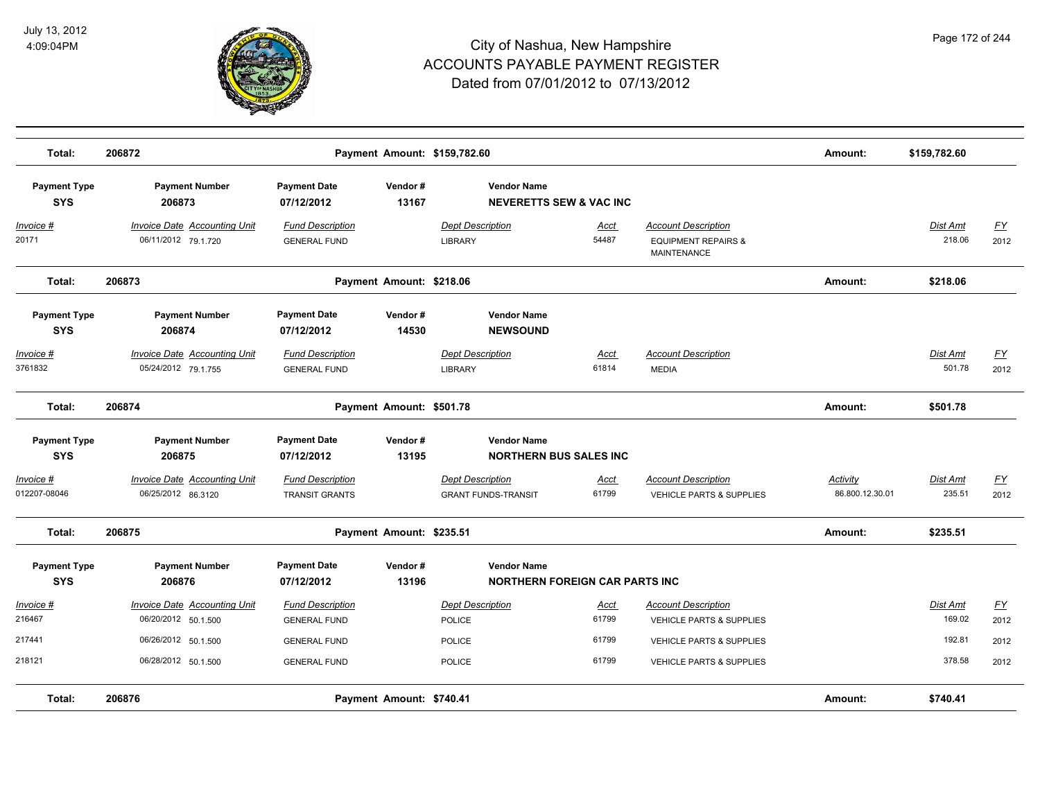

| Total:                            | 206872                                                     |                                                  | Payment Amount: \$159,782.60 |                                                          |                                        |                                                                             | Amount:                     | \$159,782.60              |                   |
|-----------------------------------|------------------------------------------------------------|--------------------------------------------------|------------------------------|----------------------------------------------------------|----------------------------------------|-----------------------------------------------------------------------------|-----------------------------|---------------------------|-------------------|
| <b>Payment Type</b><br><b>SYS</b> | <b>Payment Number</b><br>206873                            | <b>Payment Date</b><br>07/12/2012                | Vendor#<br>13167             | <b>Vendor Name</b><br><b>NEVERETTS SEW &amp; VAC INC</b> |                                        |                                                                             |                             |                           |                   |
| Invoice #<br>20171                | <b>Invoice Date Accounting Unit</b><br>06/11/2012 79.1.720 | <b>Fund Description</b><br><b>GENERAL FUND</b>   |                              | <b>Dept Description</b><br><b>LIBRARY</b>                | <u>Acct</u><br>54487                   | <b>Account Description</b><br><b>EQUIPMENT REPAIRS &amp;</b><br>MAINTENANCE |                             | Dist Amt<br>218.06        | <u>FY</u><br>2012 |
| Total:                            | 206873                                                     |                                                  | Payment Amount: \$218.06     |                                                          |                                        |                                                                             | Amount:                     | \$218.06                  |                   |
| <b>Payment Type</b><br><b>SYS</b> | <b>Payment Number</b><br>206874                            | <b>Payment Date</b><br>07/12/2012                | Vendor#<br>14530             | <b>Vendor Name</b><br><b>NEWSOUND</b>                    |                                        |                                                                             |                             |                           |                   |
| Invoice #<br>3761832              | <b>Invoice Date Accounting Unit</b><br>05/24/2012 79.1.755 | <b>Fund Description</b><br><b>GENERAL FUND</b>   |                              | <b>Dept Description</b><br><b>LIBRARY</b>                | <u>Acct</u><br>61814                   | <b>Account Description</b><br><b>MEDIA</b>                                  |                             | Dist Amt<br>501.78        | EY<br>2012        |
| Total:                            | 206874                                                     |                                                  | Payment Amount: \$501.78     |                                                          |                                        |                                                                             | Amount:                     | \$501.78                  |                   |
| <b>Payment Type</b><br><b>SYS</b> | <b>Payment Number</b><br>206875                            | <b>Payment Date</b><br>07/12/2012                | Vendor#<br>13195             | <b>Vendor Name</b><br><b>NORTHERN BUS SALES INC</b>      |                                        |                                                                             |                             |                           |                   |
| Invoice #<br>012207-08046         | <b>Invoice Date Accounting Unit</b><br>06/25/2012 86.3120  | <b>Fund Description</b><br><b>TRANSIT GRANTS</b> |                              | <b>Dept Description</b><br><b>GRANT FUNDS-TRANSIT</b>    | <u>Acct</u><br>61799                   | <b>Account Description</b><br>VEHICLE PARTS & SUPPLIES                      | Activity<br>86.800.12.30.01 | <b>Dist Amt</b><br>235.51 | EY<br>2012        |
| Total:                            | 206875                                                     |                                                  | Payment Amount: \$235.51     |                                                          |                                        |                                                                             | Amount:                     | \$235.51                  |                   |
| <b>Payment Type</b><br><b>SYS</b> | <b>Payment Number</b><br>206876                            | <b>Payment Date</b><br>07/12/2012                | Vendor#<br>13196             | <b>Vendor Name</b>                                       | <b>NORTHERN FOREIGN CAR PARTS INC.</b> |                                                                             |                             |                           |                   |
| Invoice #<br>216467               | <b>Invoice Date Accounting Unit</b><br>06/20/2012 50.1.500 | <b>Fund Description</b><br><b>GENERAL FUND</b>   |                              | <b>Dept Description</b><br><b>POLICE</b>                 | <u>Acct</u><br>61799                   | <b>Account Description</b><br>VEHICLE PARTS & SUPPLIES                      |                             | Dist Amt<br>169.02        | EY<br>2012        |
| 217441                            | 06/26/2012 50.1.500                                        | <b>GENERAL FUND</b>                              |                              | <b>POLICE</b>                                            | 61799                                  | <b>VEHICLE PARTS &amp; SUPPLIES</b>                                         |                             | 192.81                    | 2012              |
| 218121                            | 06/28/2012 50.1.500                                        | <b>GENERAL FUND</b>                              |                              | <b>POLICE</b>                                            | 61799                                  | <b>VEHICLE PARTS &amp; SUPPLIES</b>                                         |                             | 378.58                    | 2012              |
| Total:                            | 206876                                                     |                                                  | Payment Amount: \$740.41     |                                                          |                                        |                                                                             | Amount:                     | \$740.41                  |                   |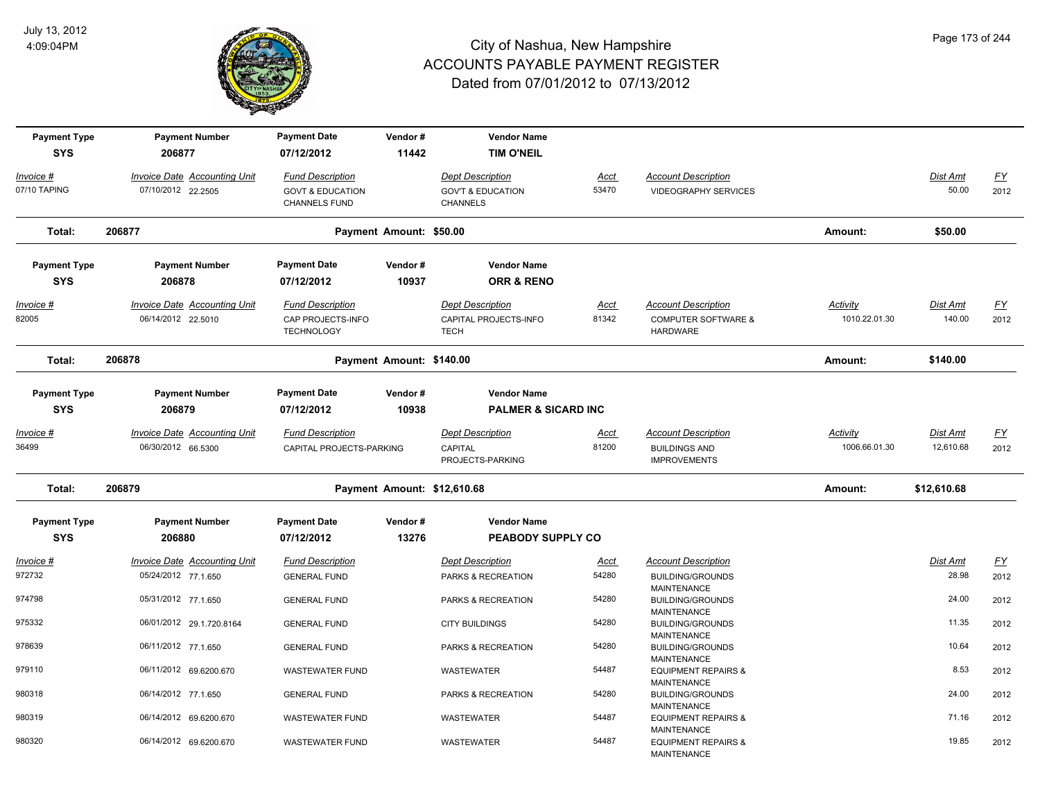

| <b>Payment Type</b><br><b>SYS</b> | <b>Payment Number</b><br>206877     | <b>Payment Date</b><br>07/12/2012                   | Vendor#<br>11442            | <b>Vendor Name</b><br><b>TIM O'NEIL</b>         |             |                                                      |                 |                 |                  |
|-----------------------------------|-------------------------------------|-----------------------------------------------------|-----------------------------|-------------------------------------------------|-------------|------------------------------------------------------|-----------------|-----------------|------------------|
| Invoice #                         | Invoice Date Accounting Unit        | <b>Fund Description</b>                             |                             | <b>Dept Description</b>                         | Acct        | <b>Account Description</b>                           |                 | Dist Amt        | <u>FY</u>        |
| 07/10 TAPING                      | 07/10/2012 22.2505                  | <b>GOVT &amp; EDUCATION</b><br><b>CHANNELS FUND</b> |                             | <b>GOV'T &amp; EDUCATION</b><br><b>CHANNELS</b> | 53470       | <b>VIDEOGRAPHY SERVICES</b>                          |                 | 50.00           | 2012             |
| Total:                            | 206877                              |                                                     | Payment Amount: \$50.00     |                                                 |             |                                                      | Amount:         | \$50.00         |                  |
| <b>Payment Type</b>               | <b>Payment Number</b>               | <b>Payment Date</b>                                 | Vendor#                     | <b>Vendor Name</b>                              |             |                                                      |                 |                 |                  |
|                                   |                                     |                                                     |                             |                                                 |             |                                                      |                 |                 |                  |
| <b>SYS</b>                        | 206878                              | 07/12/2012                                          | 10937                       | <b>ORR &amp; RENO</b>                           |             |                                                      |                 |                 |                  |
| <u> Invoice #</u>                 | <b>Invoice Date Accounting Unit</b> | <b>Fund Description</b>                             |                             | <b>Dept Description</b>                         | <u>Acct</u> | <b>Account Description</b>                           | <b>Activity</b> | <u>Dist Amt</u> | EY               |
| 82005                             | 06/14/2012 22.5010                  | CAP PROJECTS-INFO<br><b>TECHNOLOGY</b>              |                             | CAPITAL PROJECTS-INFO<br><b>TECH</b>            | 81342       | <b>COMPUTER SOFTWARE &amp;</b><br><b>HARDWARE</b>    | 1010.22.01.30   | 140.00          | 2012             |
| Total:                            | 206878                              |                                                     | Payment Amount: \$140.00    |                                                 |             |                                                      | Amount:         | \$140.00        |                  |
| <b>Payment Type</b>               | <b>Payment Number</b>               | <b>Payment Date</b>                                 | Vendor#                     | <b>Vendor Name</b>                              |             |                                                      |                 |                 |                  |
| <b>SYS</b>                        | 206879                              | 07/12/2012                                          | 10938                       | <b>PALMER &amp; SICARD INC</b>                  |             |                                                      |                 |                 |                  |
|                                   |                                     |                                                     |                             |                                                 |             |                                                      |                 |                 |                  |
| Invoice #                         | <b>Invoice Date Accounting Unit</b> | <b>Fund Description</b>                             |                             | <b>Dept Description</b>                         | Acct        | <b>Account Description</b>                           | Activity        | Dist Amt        | <u>FY</u>        |
| 36499                             | 06/30/2012 66.5300                  | CAPITAL PROJECTS-PARKING                            |                             | CAPITAL<br>PROJECTS-PARKING                     | 81200       | <b>BUILDINGS AND</b><br><b>IMPROVEMENTS</b>          | 1006.66.01.30   | 12,610.68       | 2012             |
| Total:                            | 206879                              |                                                     | Payment Amount: \$12,610.68 |                                                 |             |                                                      | Amount:         | \$12,610.68     |                  |
| <b>Payment Type</b>               | <b>Payment Number</b>               | <b>Payment Date</b>                                 | Vendor#                     | <b>Vendor Name</b>                              |             |                                                      |                 |                 |                  |
| <b>SYS</b>                        |                                     |                                                     |                             |                                                 |             |                                                      |                 |                 |                  |
|                                   | 206880                              | 07/12/2012                                          | 13276                       | PEABODY SUPPLY CO                               |             |                                                      |                 |                 |                  |
| Invoice #                         | <b>Invoice Date Accounting Unit</b> | <b>Fund Description</b>                             |                             | <b>Dept Description</b>                         | Acct        | <b>Account Description</b>                           |                 | Dist Amt        | $\underline{FY}$ |
| 972732                            | 05/24/2012 77.1.650                 | <b>GENERAL FUND</b>                                 |                             | PARKS & RECREATION                              | 54280       | <b>BUILDING/GROUNDS</b>                              |                 | 28.98           | 2012             |
|                                   |                                     |                                                     |                             |                                                 |             | MAINTENANCE                                          |                 |                 |                  |
| 974798                            | 05/31/2012 77.1.650                 | <b>GENERAL FUND</b>                                 |                             | PARKS & RECREATION                              | 54280       | <b>BUILDING/GROUNDS</b>                              |                 | 24.00           | 2012             |
| 975332                            | 06/01/2012 29.1.720.8164            |                                                     |                             |                                                 | 54280       | MAINTENANCE                                          |                 | 11.35           | 2012             |
|                                   |                                     | <b>GENERAL FUND</b>                                 |                             | <b>CITY BUILDINGS</b>                           |             | <b>BUILDING/GROUNDS</b><br><b>MAINTENANCE</b>        |                 |                 |                  |
| 978639                            | 06/11/2012 77.1.650                 | <b>GENERAL FUND</b>                                 |                             | PARKS & RECREATION                              | 54280       | <b>BUILDING/GROUNDS</b>                              |                 | 10.64           | 2012             |
|                                   |                                     |                                                     |                             |                                                 |             | <b>MAINTENANCE</b>                                   |                 |                 |                  |
| 979110                            | 06/11/2012 69.6200.670              | <b>WASTEWATER FUND</b>                              |                             | <b>WASTEWATER</b>                               | 54487       | <b>EQUIPMENT REPAIRS &amp;</b>                       |                 | 8.53            | 2012             |
| 980318                            | 06/14/2012 77.1.650                 |                                                     |                             |                                                 | 54280       | <b>MAINTENANCE</b>                                   |                 | 24.00           |                  |
|                                   |                                     | <b>GENERAL FUND</b>                                 |                             | PARKS & RECREATION                              |             | <b>BUILDING/GROUNDS</b><br><b>MAINTENANCE</b>        |                 |                 | 2012             |
| 980319                            | 06/14/2012 69.6200.670              | <b>WASTEWATER FUND</b>                              |                             | <b>WASTEWATER</b>                               | 54487       | <b>EQUIPMENT REPAIRS &amp;</b>                       |                 | 71.16           | 2012             |
|                                   |                                     |                                                     |                             |                                                 |             | <b>MAINTENANCE</b>                                   |                 |                 |                  |
| 980320                            | 06/14/2012 69.6200.670              | <b>WASTEWATER FUND</b>                              |                             | WASTEWATER                                      | 54487       | <b>EQUIPMENT REPAIRS &amp;</b><br><b>MAINTENANCE</b> |                 | 19.85           | 2012             |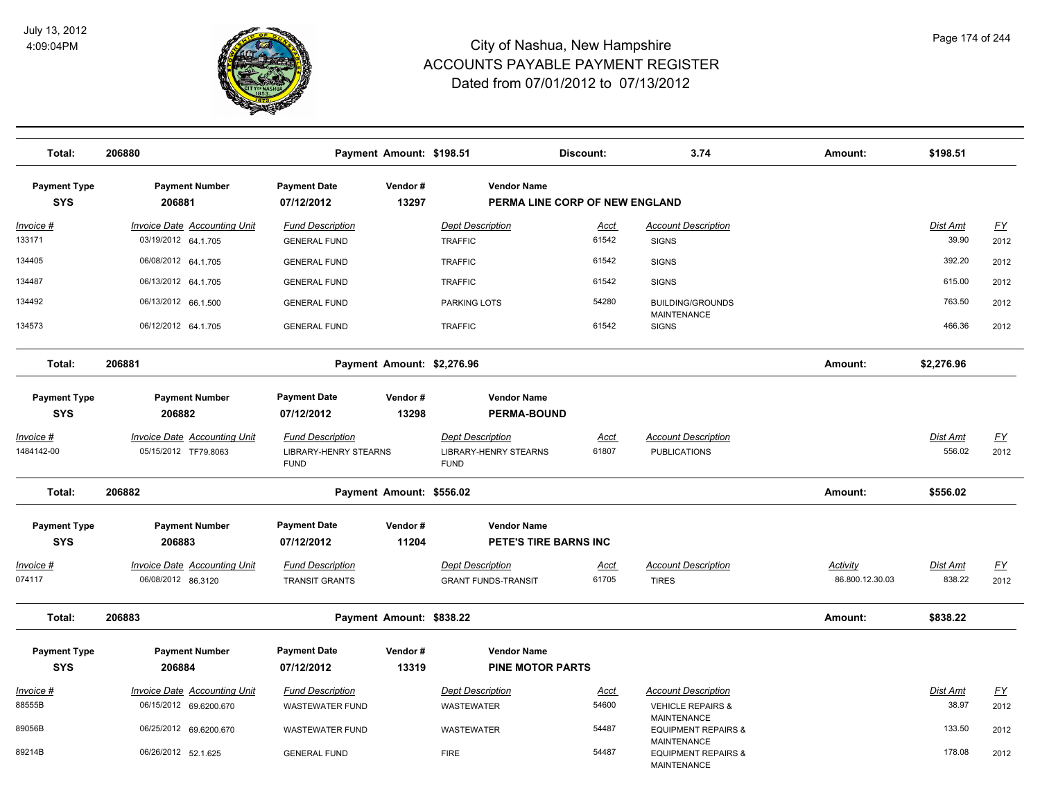

| Total:                            | 206880                                                     |                                                                        | Payment Amount: \$198.51   |                                                                        | Discount:                      | 3.74                                                                | Amount:                            | \$198.51           |                          |
|-----------------------------------|------------------------------------------------------------|------------------------------------------------------------------------|----------------------------|------------------------------------------------------------------------|--------------------------------|---------------------------------------------------------------------|------------------------------------|--------------------|--------------------------|
| <b>Payment Type</b><br><b>SYS</b> | <b>Payment Number</b><br>206881                            | <b>Payment Date</b><br>07/12/2012                                      | Vendor#<br>13297           | <b>Vendor Name</b>                                                     | PERMA LINE CORP OF NEW ENGLAND |                                                                     |                                    |                    |                          |
| <u>Invoice #</u><br>133171        | <b>Invoice Date Accounting Unit</b><br>03/19/2012 64.1.705 | <b>Fund Description</b><br><b>GENERAL FUND</b>                         |                            | <b>Dept Description</b><br><b>TRAFFIC</b>                              | <u>Acct</u><br>61542           | <b>Account Description</b><br><b>SIGNS</b>                          |                                    | Dist Amt<br>39.90  | <u>FY</u><br>2012        |
| 134405                            | 06/08/2012 64.1.705                                        | <b>GENERAL FUND</b>                                                    |                            | <b>TRAFFIC</b>                                                         | 61542                          | <b>SIGNS</b>                                                        |                                    | 392.20             | 2012                     |
| 134487                            | 06/13/2012 64.1.705                                        | <b>GENERAL FUND</b>                                                    |                            | <b>TRAFFIC</b>                                                         | 61542                          | <b>SIGNS</b>                                                        |                                    | 615.00             | 2012                     |
| 134492                            | 06/13/2012 66.1.500                                        | <b>GENERAL FUND</b>                                                    |                            | <b>PARKING LOTS</b>                                                    | 54280                          | <b>BUILDING/GROUNDS</b><br><b>MAINTENANCE</b>                       |                                    | 763.50             | 2012                     |
| 134573                            | 06/12/2012 64.1.705                                        | <b>GENERAL FUND</b>                                                    |                            | <b>TRAFFIC</b>                                                         | 61542                          | <b>SIGNS</b>                                                        |                                    | 466.36             | 2012                     |
| Total:                            | 206881                                                     |                                                                        | Payment Amount: \$2,276.96 |                                                                        |                                |                                                                     | Amount:                            | \$2,276.96         |                          |
| <b>Payment Type</b><br><b>SYS</b> | <b>Payment Number</b><br>206882                            | <b>Payment Date</b><br>07/12/2012                                      | Vendor#<br>13298           | <b>Vendor Name</b><br><b>PERMA-BOUND</b>                               |                                |                                                                     |                                    |                    |                          |
| Invoice #<br>1484142-00           | Invoice Date Accounting Unit<br>05/15/2012 TF79.8063       | <b>Fund Description</b><br><b>LIBRARY-HENRY STEARNS</b><br><b>FUND</b> |                            | <b>Dept Description</b><br><b>LIBRARY-HENRY STEARNS</b><br><b>FUND</b> | Acct<br>61807                  | <b>Account Description</b><br><b>PUBLICATIONS</b>                   |                                    | Dist Amt<br>556.02 | $\underline{FY}$<br>2012 |
| Total:                            | 206882                                                     |                                                                        | Payment Amount: \$556.02   |                                                                        |                                |                                                                     | Amount:                            | \$556.02           |                          |
| <b>Payment Type</b>               | <b>Payment Number</b>                                      | <b>Payment Date</b>                                                    | Vendor#                    | <b>Vendor Name</b>                                                     |                                |                                                                     |                                    |                    |                          |
| <b>SYS</b>                        | 206883                                                     | 07/12/2012                                                             | 11204                      | PETE'S TIRE BARNS INC                                                  |                                |                                                                     |                                    |                    |                          |
| <u> Invoice #</u><br>074117       | <b>Invoice Date Accounting Unit</b><br>06/08/2012 86.3120  | <b>Fund Description</b><br><b>TRANSIT GRANTS</b>                       |                            | <b>Dept Description</b><br><b>GRANT FUNDS-TRANSIT</b>                  | <u>Acct</u><br>61705           | <b>Account Description</b><br><b>TIRES</b>                          | <b>Activity</b><br>86.800.12.30.03 | Dist Amt<br>838.22 | EY<br>2012               |
| Total:                            | 206883                                                     |                                                                        | Payment Amount: \$838.22   |                                                                        |                                |                                                                     | Amount:                            | \$838.22           |                          |
| <b>Payment Type</b><br><b>SYS</b> | <b>Payment Number</b><br>206884                            | Payment Date<br>07/12/2012                                             | Vendor#<br>13319           | <b>Vendor Name</b><br><b>PINE MOTOR PARTS</b>                          |                                |                                                                     |                                    |                    |                          |
| Invoice #<br>88555B               | Invoice Date Accounting Unit<br>06/15/2012 69.6200.670     | <b>Fund Description</b><br><b>WASTEWATER FUND</b>                      |                            | <b>Dept Description</b><br><b>WASTEWATER</b>                           | Acct<br>54600                  | <b>Account Description</b><br><b>VEHICLE REPAIRS &amp;</b>          |                                    | Dist Amt<br>38.97  | EY<br>2012               |
| 89056B                            | 06/25/2012 69.6200.670                                     | <b>WASTEWATER FUND</b>                                                 |                            | <b>WASTEWATER</b>                                                      | 54487                          | <b>MAINTENANCE</b><br><b>EQUIPMENT REPAIRS &amp;</b>                |                                    | 133.50             | 2012                     |
| 89214B                            | 06/26/2012 52.1.625                                        | <b>GENERAL FUND</b>                                                    |                            | <b>FIRE</b>                                                            | 54487                          | <b>MAINTENANCE</b><br><b>EQUIPMENT REPAIRS &amp;</b><br>MAINTENANCE |                                    | 178.08             | 2012                     |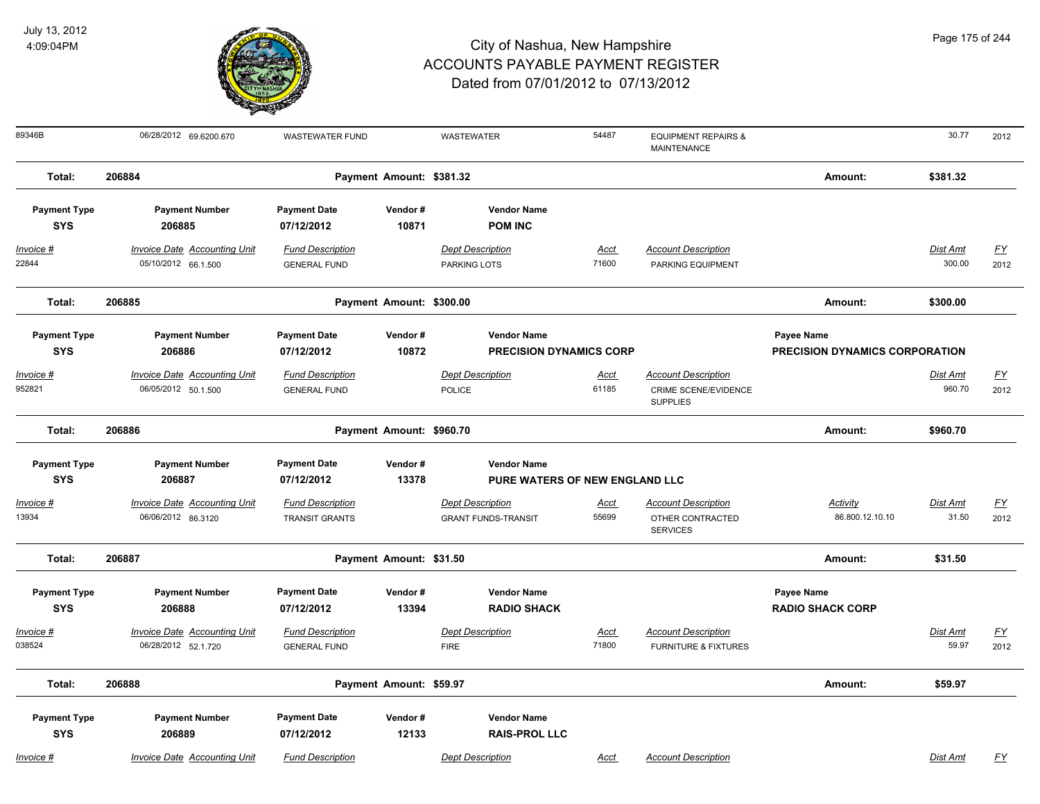

| Page 175 of 244 |  |  |  |  |
|-----------------|--|--|--|--|
|-----------------|--|--|--|--|

| 89346B                                         | 06/28/2012 69.6200.670                                                 | <b>WASTEWATER FUND</b>                                       |                          | WASTEWATER                                                                      | 54487                | <b>EQUIPMENT REPAIRS &amp;</b><br>MAINTENANCE                     |                                              | 30.77                     | 2012              |
|------------------------------------------------|------------------------------------------------------------------------|--------------------------------------------------------------|--------------------------|---------------------------------------------------------------------------------|----------------------|-------------------------------------------------------------------|----------------------------------------------|---------------------------|-------------------|
| Total:                                         | 206884                                                                 |                                                              | Payment Amount: \$381.32 |                                                                                 |                      |                                                                   | Amount:                                      | \$381.32                  |                   |
| <b>Payment Type</b><br><b>SYS</b>              | <b>Payment Number</b><br>206885                                        | <b>Payment Date</b><br>07/12/2012                            | Vendor#<br>10871         | <b>Vendor Name</b><br><b>POM INC</b>                                            |                      |                                                                   |                                              |                           |                   |
| $Invoice$ #<br>22844                           | <b>Invoice Date Accounting Unit</b><br>05/10/2012 66.1.500             | <b>Fund Description</b><br><b>GENERAL FUND</b>               |                          | <b>Dept Description</b><br>PARKING LOTS                                         | Acct<br>71600        | <b>Account Description</b><br>PARKING EQUIPMENT                   |                                              | <b>Dist Amt</b><br>300.00 | <u>FY</u><br>2012 |
| Total:                                         | 206885                                                                 |                                                              | Payment Amount: \$300.00 |                                                                                 |                      |                                                                   | Amount:                                      | \$300.00                  |                   |
| <b>Payment Type</b><br><b>SYS</b><br>Invoice # | <b>Payment Number</b><br>206886<br><b>Invoice Date Accounting Unit</b> | <b>Payment Date</b><br>07/12/2012<br><b>Fund Description</b> | Vendor#<br>10872         | <b>Vendor Name</b><br><b>PRECISION DYNAMICS CORP</b><br><b>Dept Description</b> | Acct                 | <b>Account Description</b>                                        | Payee Name<br>PRECISION DYNAMICS CORPORATION | <b>Dist Amt</b>           | <u>FY</u>         |
| 952821                                         | 06/05/2012 50.1.500                                                    | <b>GENERAL FUND</b>                                          |                          | POLICE                                                                          | 61185                | CRIME SCENE/EVIDENCE<br><b>SUPPLIES</b>                           |                                              | 960.70                    | 2012              |
| Total:                                         | 206886                                                                 |                                                              | Payment Amount: \$960.70 |                                                                                 |                      |                                                                   | Amount:                                      | \$960.70                  |                   |
| <b>Payment Type</b><br><b>SYS</b>              | <b>Payment Number</b><br>206887                                        | <b>Payment Date</b><br>07/12/2012                            | Vendor#<br>13378         | <b>Vendor Name</b><br>PURE WATERS OF NEW ENGLAND LLC                            |                      |                                                                   |                                              |                           |                   |
| Invoice #<br>13934                             | <b>Invoice Date Accounting Unit</b><br>06/06/2012 86.3120              | <b>Fund Description</b><br><b>TRANSIT GRANTS</b>             |                          | <b>Dept Description</b><br><b>GRANT FUNDS-TRANSIT</b>                           | Acct<br>55699        | <b>Account Description</b><br>OTHER CONTRACTED<br><b>SERVICES</b> | Activity<br>86.800.12.10.10                  | Dist Amt<br>31.50         | FY<br>2012        |
| Total:                                         | 206887                                                                 |                                                              | Payment Amount: \$31.50  |                                                                                 |                      |                                                                   | Amount:                                      | \$31.50                   |                   |
| <b>Payment Type</b><br><b>SYS</b>              | <b>Payment Number</b><br>206888                                        | <b>Payment Date</b><br>07/12/2012                            | Vendor#<br>13394         | <b>Vendor Name</b><br><b>RADIO SHACK</b>                                        |                      |                                                                   | Payee Name<br><b>RADIO SHACK CORP</b>        |                           |                   |
| Invoice #<br>038524                            | <b>Invoice Date Accounting Unit</b><br>06/28/2012 52.1.720             | <b>Fund Description</b><br><b>GENERAL FUND</b>               |                          | <b>Dept Description</b><br><b>FIRE</b>                                          | <u>Acct</u><br>71800 | <b>Account Description</b><br><b>FURNITURE &amp; FIXTURES</b>     |                                              | Dist Amt<br>59.97         | <u>FY</u><br>2012 |
| Total:                                         | 206888                                                                 |                                                              | Payment Amount: \$59.97  |                                                                                 |                      |                                                                   | Amount:                                      | \$59.97                   |                   |
| <b>Payment Type</b><br><b>SYS</b>              | <b>Payment Number</b><br>206889                                        | <b>Payment Date</b><br>07/12/2012                            | Vendor#<br>12133         | <b>Vendor Name</b><br><b>RAIS-PROL LLC</b>                                      |                      |                                                                   |                                              |                           |                   |
| Invoice #                                      | Invoice Date Accounting Unit                                           | <b>Fund Description</b>                                      |                          | <b>Dept Description</b>                                                         | Acct                 | <b>Account Description</b>                                        |                                              | Dist Amt                  | <u>FY</u>         |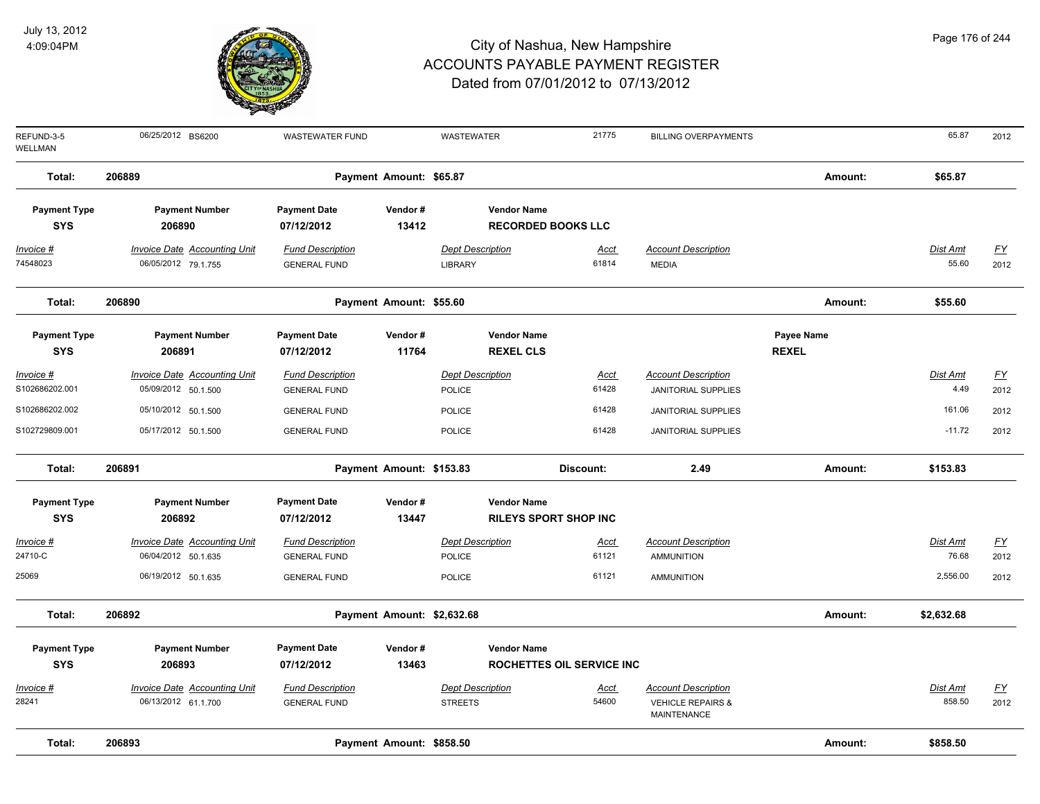

| 206889<br>Total:<br>Payment Amount: \$65.87<br>Amount:                                                                                                                            | \$65.87         |                           |
|-----------------------------------------------------------------------------------------------------------------------------------------------------------------------------------|-----------------|---------------------------|
|                                                                                                                                                                                   |                 |                           |
| <b>Payment Date</b><br><b>Payment Type</b><br><b>Payment Number</b><br>Vendor#<br><b>Vendor Name</b>                                                                              |                 |                           |
| <b>SYS</b><br>206890<br>13412<br><b>RECORDED BOOKS LLC</b><br>07/12/2012                                                                                                          |                 |                           |
| <b>Invoice Date Accounting Unit</b><br><b>Fund Description</b><br><b>Dept Description</b><br><b>Account Description</b><br>Invoice #<br><u>Acct</u>                               | <b>Dist Amt</b> | EY                        |
| 61814<br>74548023<br>06/05/2012 79.1.755<br><b>GENERAL FUND</b><br>LIBRARY<br><b>MEDIA</b>                                                                                        | 55.60           | 2012                      |
| Total:<br>206890<br>Payment Amount: \$55.60<br>Amount:                                                                                                                            | \$55.60         |                           |
| <b>Payment Number</b><br><b>Payment Date</b><br>Vendor#<br><b>Vendor Name</b><br>Payee Name<br><b>Payment Type</b>                                                                |                 |                           |
| <b>SYS</b><br>206891<br>07/12/2012<br>11764<br><b>REXEL CLS</b><br><b>REXEL</b>                                                                                                   |                 |                           |
| <b>Dept Description</b><br><b>Invoice Date Accounting Unit</b><br><b>Fund Description</b><br><b>Account Description</b><br>Invoice #<br>Acct                                      | Dist Amt        | $\underline{\mathsf{FY}}$ |
| 61428<br>S102686202.001<br>05/09/2012 50.1.500<br><b>POLICE</b><br><b>GENERAL FUND</b><br><b>JANITORIAL SUPPLIES</b>                                                              | 4.49            | 2012                      |
| S102686202.002<br>05/10/2012 50.1.500<br>61428<br><b>POLICE</b><br><b>GENERAL FUND</b><br><b>JANITORIAL SUPPLIES</b>                                                              | 161.06          | 2012                      |
| S102729809.001<br>61428<br>05/17/2012 50.1.500<br>POLICE<br><b>GENERAL FUND</b><br><b>JANITORIAL SUPPLIES</b>                                                                     | $-11.72$        | 2012                      |
| 206891<br>Payment Amount: \$153.83<br>2.49<br>Total:<br>Discount:<br>Amount:                                                                                                      | \$153.83        |                           |
| <b>Payment Type</b><br><b>Payment Number</b><br><b>Payment Date</b><br>Vendor#<br><b>Vendor Name</b>                                                                              |                 |                           |
| <b>SYS</b><br>206892<br>07/12/2012<br>13447<br><b>RILEYS SPORT SHOP INC</b>                                                                                                       |                 |                           |
| <b>Dept Description</b><br><b>Account Description</b><br><b>Invoice Date Accounting Unit</b><br><b>Fund Description</b><br>Invoice #<br><u>Acct</u>                               | Dist Amt        | $\underline{\mathsf{FY}}$ |
| 61121<br>24710-C<br>06/04/2012 50.1.635<br><b>GENERAL FUND</b><br><b>POLICE</b><br><b>AMMUNITION</b>                                                                              | 76.68           | 2012                      |
| 25069<br>06/19/2012 50.1.635<br>61121<br>POLICE<br><b>GENERAL FUND</b><br><b>AMMUNITION</b>                                                                                       | 2,556.00        | 2012                      |
| Total:<br>206892<br>Payment Amount: \$2,632.68<br>Amount:                                                                                                                         | \$2,632.68      |                           |
| <b>Payment Type</b><br><b>Payment Number</b><br><b>Payment Date</b><br>Vendor#<br><b>Vendor Name</b>                                                                              |                 |                           |
| <b>SYS</b><br>206893<br>07/12/2012<br>13463<br>ROCHETTES OIL SERVICE INC                                                                                                          |                 |                           |
| <b>Fund Description</b><br><b>Dept Description</b><br><b>Account Description</b>                                                                                                  | Dist Amt        |                           |
| <b>Invoice Date Accounting Unit</b><br>Invoice #<br><u>Acct</u><br>54600<br>28241<br>06/13/2012 61.1.700<br><b>STREETS</b><br><b>VEHICLE REPAIRS &amp;</b><br><b>GENERAL FUND</b> | 858.50          | <u>FY</u><br>2012         |
| <b>MAINTENANCE</b>                                                                                                                                                                |                 |                           |
| 206893<br>Payment Amount: \$858.50<br>Total:<br>Amount:                                                                                                                           | \$858.50        |                           |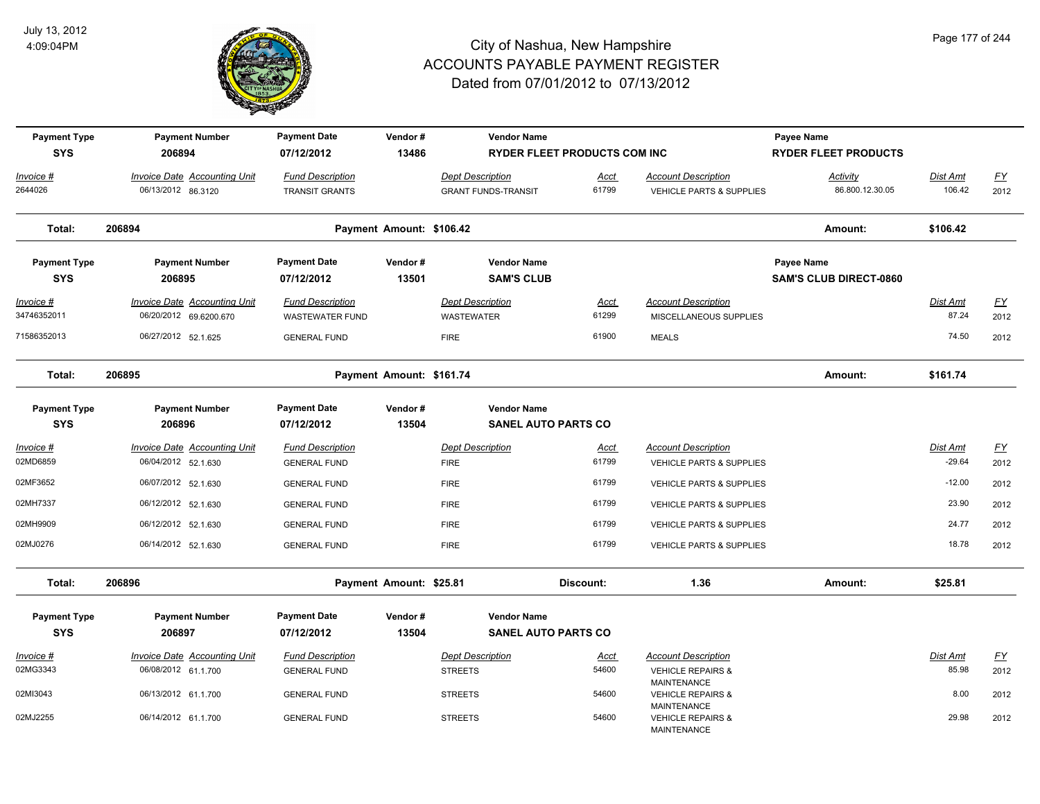

| <b>Payment Type</b><br><b>SYS</b> | <b>Payment Number</b><br>206894                               | <b>Payment Date</b><br>07/12/2012                 | Vendor#<br>13486         | <b>Vendor Name</b>                                    | <b>RYDER FLEET PRODUCTS COM INC</b> |                                                                   | Payee Name<br><b>RYDER FLEET PRODUCTS</b>          |                          |                   |
|-----------------------------------|---------------------------------------------------------------|---------------------------------------------------|--------------------------|-------------------------------------------------------|-------------------------------------|-------------------------------------------------------------------|----------------------------------------------------|--------------------------|-------------------|
| Invoice #<br>2644026              | <b>Invoice Date Accounting Unit</b><br>06/13/2012 86.3120     | <b>Fund Description</b><br><b>TRANSIT GRANTS</b>  |                          | <b>Dept Description</b><br><b>GRANT FUNDS-TRANSIT</b> | <b>Acct</b><br>61799                | <b>Account Description</b><br><b>VEHICLE PARTS &amp; SUPPLIES</b> | Activity<br>86.800.12.30.05                        | Dist Amt<br>106.42       | <u>FY</u><br>2012 |
| Total:                            | 206894                                                        |                                                   | Payment Amount: \$106.42 |                                                       |                                     |                                                                   | Amount:                                            | \$106.42                 |                   |
| <b>Payment Type</b><br><b>SYS</b> | <b>Payment Number</b><br>206895                               | <b>Payment Date</b><br>07/12/2012                 | Vendor#<br>13501         | <b>Vendor Name</b><br><b>SAM'S CLUB</b>               |                                     |                                                                   | <b>Payee Name</b><br><b>SAM'S CLUB DIRECT-0860</b> |                          |                   |
| <u>Invoice #</u><br>34746352011   | <b>Invoice Date Accounting Unit</b><br>06/20/2012 69.6200.670 | <b>Fund Description</b><br><b>WASTEWATER FUND</b> |                          | <b>Dept Description</b><br><b>WASTEWATER</b>          | <u>Acct</u><br>61299                | <b>Account Description</b><br>MISCELLANEOUS SUPPLIES              |                                                    | <u>Dist Amt</u><br>87.24 | EY<br>2012        |
| 71586352013                       | 06/27/2012 52.1.625                                           | <b>GENERAL FUND</b>                               |                          | <b>FIRE</b>                                           | 61900                               | <b>MEALS</b>                                                      |                                                    | 74.50                    | 2012              |
| Total:                            | 206895                                                        |                                                   | Payment Amount: \$161.74 |                                                       |                                     |                                                                   | Amount:                                            | \$161.74                 |                   |
| <b>Payment Type</b><br><b>SYS</b> | <b>Payment Number</b><br>206896                               | <b>Payment Date</b><br>07/12/2012                 | Vendor#<br>13504         | <b>Vendor Name</b><br><b>SANEL AUTO PARTS CO</b>      |                                     |                                                                   |                                                    |                          |                   |
| Invoice #<br>02MD6859             | Invoice Date Accounting Unit<br>06/04/2012 52.1.630           | <b>Fund Description</b><br><b>GENERAL FUND</b>    |                          | <b>Dept Description</b><br><b>FIRE</b>                | <b>Acct</b><br>61799                | <b>Account Description</b><br><b>VEHICLE PARTS &amp; SUPPLIES</b> |                                                    | Dist Amt<br>$-29.64$     | EY<br>2012        |
| 02MF3652                          | 06/07/2012 52.1.630                                           | <b>GENERAL FUND</b>                               |                          | <b>FIRE</b>                                           | 61799                               | VEHICLE PARTS & SUPPLIES                                          |                                                    | $-12.00$                 | 2012              |
| 02MH7337                          | 06/12/2012 52.1.630                                           | <b>GENERAL FUND</b>                               |                          | <b>FIRE</b>                                           | 61799                               | VEHICLE PARTS & SUPPLIES                                          |                                                    | 23.90                    | 2012              |
| 02MH9909                          | 06/12/2012 52.1.630                                           | <b>GENERAL FUND</b>                               |                          | <b>FIRE</b>                                           | 61799                               | <b>VEHICLE PARTS &amp; SUPPLIES</b>                               |                                                    | 24.77                    | 2012              |
| 02MJ0276                          | 06/14/2012 52.1.630                                           | <b>GENERAL FUND</b>                               |                          | <b>FIRE</b>                                           | 61799                               | VEHICLE PARTS & SUPPLIES                                          |                                                    | 18.78                    | 2012              |
| Total:                            | 206896                                                        |                                                   | Payment Amount: \$25.81  |                                                       | Discount:                           | 1.36                                                              | Amount:                                            | \$25.81                  |                   |
| <b>Payment Type</b><br><b>SYS</b> | <b>Payment Number</b><br>206897                               | <b>Payment Date</b><br>07/12/2012                 | Vendor#<br>13504         | <b>Vendor Name</b><br><b>SANEL AUTO PARTS CO</b>      |                                     |                                                                   |                                                    |                          |                   |
| Invoice #                         | <b>Invoice Date Accounting Unit</b>                           | <b>Fund Description</b>                           |                          | <b>Dept Description</b>                               | <u>Acct</u>                         | <b>Account Description</b>                                        |                                                    | Dist Amt                 | <u>FY</u>         |
| 02MG3343                          | 06/08/2012 61.1.700                                           | <b>GENERAL FUND</b>                               |                          | <b>STREETS</b>                                        | 54600                               | <b>VEHICLE REPAIRS &amp;</b><br><b>MAINTENANCE</b>                |                                                    | 85.98                    | 2012              |
| 02MI3043                          | 06/13/2012 61.1.700                                           | <b>GENERAL FUND</b>                               |                          | <b>STREETS</b>                                        | 54600                               | <b>VEHICLE REPAIRS &amp;</b><br><b>MAINTENANCE</b>                |                                                    | 8.00                     | 2012              |
| 02MJ2255                          | 06/14/2012 61.1.700                                           | <b>GENERAL FUND</b>                               |                          | <b>STREETS</b>                                        | 54600                               | <b>VEHICLE REPAIRS &amp;</b><br><b>MAINTENANCE</b>                |                                                    | 29.98                    | 2012              |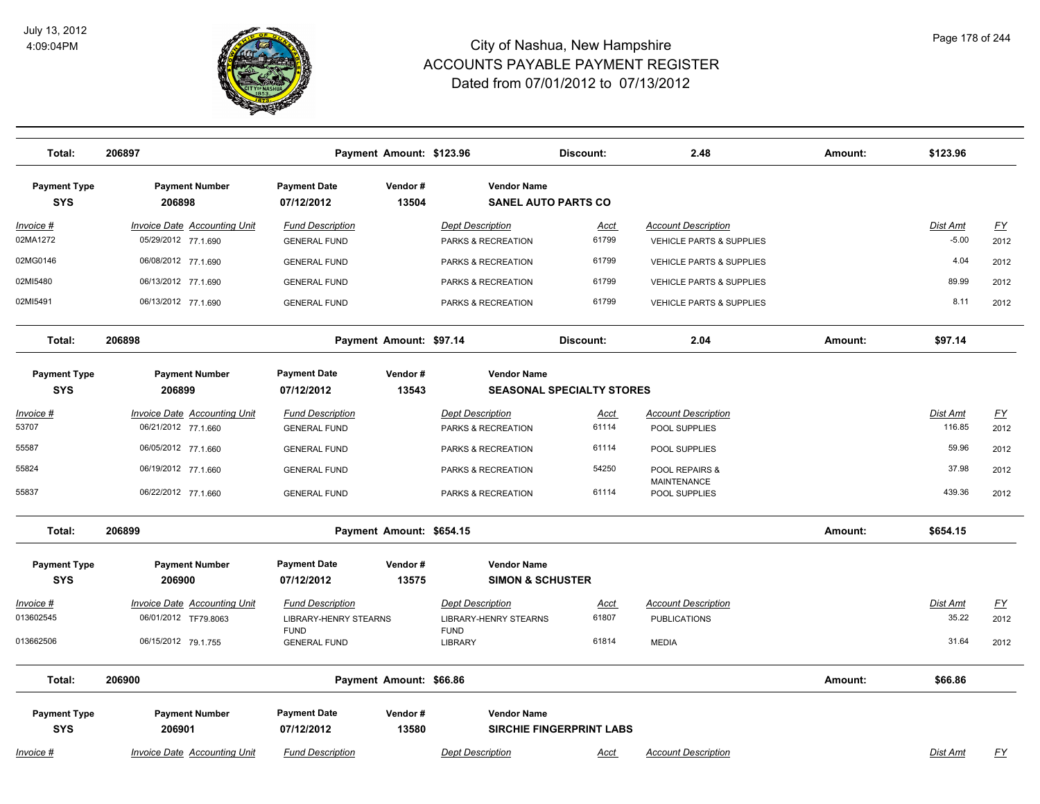

**Total: 206897 Payment Amount: \$123.96 Discount: 2.48 Amount: \$123.96** 

| <b>Payment Type</b><br><b>SYS</b> | <b>Payment Number</b><br>206898                     | <b>Payment Date</b><br>07/12/2012              | Vendor#<br>13504         | <b>Vendor Name</b><br><b>SANEL AUTO PARTS CO</b>  |                                  |                                                                   |         |                     |                   |
|-----------------------------------|-----------------------------------------------------|------------------------------------------------|--------------------------|---------------------------------------------------|----------------------------------|-------------------------------------------------------------------|---------|---------------------|-------------------|
| Invoice #<br>02MA1272             | Invoice Date Accounting Unit<br>05/29/2012 77.1.690 | <b>Fund Description</b><br><b>GENERAL FUND</b> |                          | <b>Dept Description</b><br>PARKS & RECREATION     | Acct<br>61799                    | <b>Account Description</b><br><b>VEHICLE PARTS &amp; SUPPLIES</b> |         | Dist Amt<br>$-5.00$ | <u>FY</u><br>2012 |
| 02MG0146                          | 06/08/2012 77.1.690                                 | <b>GENERAL FUND</b>                            |                          | PARKS & RECREATION                                | 61799                            | VEHICLE PARTS & SUPPLIES                                          |         | 4.04                | 2012              |
| 02MI5480                          | 06/13/2012 77.1.690                                 | <b>GENERAL FUND</b>                            |                          | PARKS & RECREATION                                | 61799                            | <b>VEHICLE PARTS &amp; SUPPLIES</b>                               |         | 89.99               | 2012              |
| 02MI5491                          | 06/13/2012 77.1.690                                 | <b>GENERAL FUND</b>                            |                          | PARKS & RECREATION                                | 61799                            | <b>VEHICLE PARTS &amp; SUPPLIES</b>                               |         | 8.11                | 2012              |
| Total:                            | 206898                                              |                                                | Payment Amount: \$97.14  |                                                   | Discount:                        | 2.04                                                              | Amount: | \$97.14             |                   |
| <b>Payment Type</b><br><b>SYS</b> | <b>Payment Number</b><br>206899                     | <b>Payment Date</b><br>07/12/2012              | Vendor#<br>13543         | <b>Vendor Name</b>                                | <b>SEASONAL SPECIALTY STORES</b> |                                                                   |         |                     |                   |
| Invoice #                         | Invoice Date Accounting Unit                        | <b>Fund Description</b>                        |                          | <b>Dept Description</b>                           | Acct                             | <b>Account Description</b>                                        |         | Dist Amt            | <u>FY</u>         |
| 53707                             | 06/21/2012 77.1.660                                 | <b>GENERAL FUND</b>                            |                          | PARKS & RECREATION                                | 61114                            | POOL SUPPLIES                                                     |         | 116.85              | 2012              |
| 55587                             | 06/05/2012 77.1.660                                 | <b>GENERAL FUND</b>                            |                          | PARKS & RECREATION                                | 61114                            | POOL SUPPLIES                                                     |         | 59.96               | 2012              |
| 55824                             | 06/19/2012 77.1.660                                 | <b>GENERAL FUND</b>                            |                          | PARKS & RECREATION                                | 54250                            | POOL REPAIRS &<br>MAINTENANCE                                     |         | 37.98               | 2012              |
| 55837                             | 06/22/2012 77.1.660                                 | <b>GENERAL FUND</b>                            |                          | PARKS & RECREATION                                | 61114                            | POOL SUPPLIES                                                     |         | 439.36              | 2012              |
| Total:                            | 206899                                              |                                                | Payment Amount: \$654.15 |                                                   |                                  |                                                                   | Amount: | \$654.15            |                   |
| <b>Payment Type</b><br><b>SYS</b> | <b>Payment Number</b><br>206900                     | <b>Payment Date</b><br>07/12/2012              | Vendor#<br>13575         | <b>Vendor Name</b><br><b>SIMON &amp; SCHUSTER</b> |                                  |                                                                   |         |                     |                   |
| Invoice #                         | Invoice Date Accounting Unit                        | <b>Fund Description</b>                        |                          | <b>Dept Description</b>                           | Acct                             | <b>Account Description</b>                                        |         | Dist Amt            | <u>FY</u>         |
| 013602545                         | 06/01/2012 TF79.8063                                | LIBRARY-HENRY STEARNS<br><b>FUND</b>           |                          | LIBRARY-HENRY STEARNS<br><b>FUND</b>              | 61807                            | <b>PUBLICATIONS</b>                                               |         | 35.22               | 2012              |
| 013662506                         | 06/15/2012 79.1.755                                 | <b>GENERAL FUND</b>                            |                          | <b>LIBRARY</b>                                    | 61814                            | <b>MEDIA</b>                                                      |         | 31.64               | 2012              |
| Total:                            | 206900                                              |                                                | Payment Amount: \$66.86  |                                                   |                                  |                                                                   | Amount: | \$66.86             |                   |
| <b>Payment Type</b>               | <b>Payment Number</b>                               | <b>Payment Date</b>                            | Vendor#                  | <b>Vendor Name</b>                                |                                  |                                                                   |         |                     |                   |
| <b>SYS</b>                        | 206901                                              | 07/12/2012                                     | 13580                    |                                                   | <b>SIRCHIE FINGERPRINT LABS</b>  |                                                                   |         |                     |                   |
| Invoice #                         | Invoice Date Accounting Unit                        | <b>Fund Description</b>                        |                          | <b>Dept Description</b>                           | Acct                             | <b>Account Description</b>                                        |         | Dist Amt            | EY                |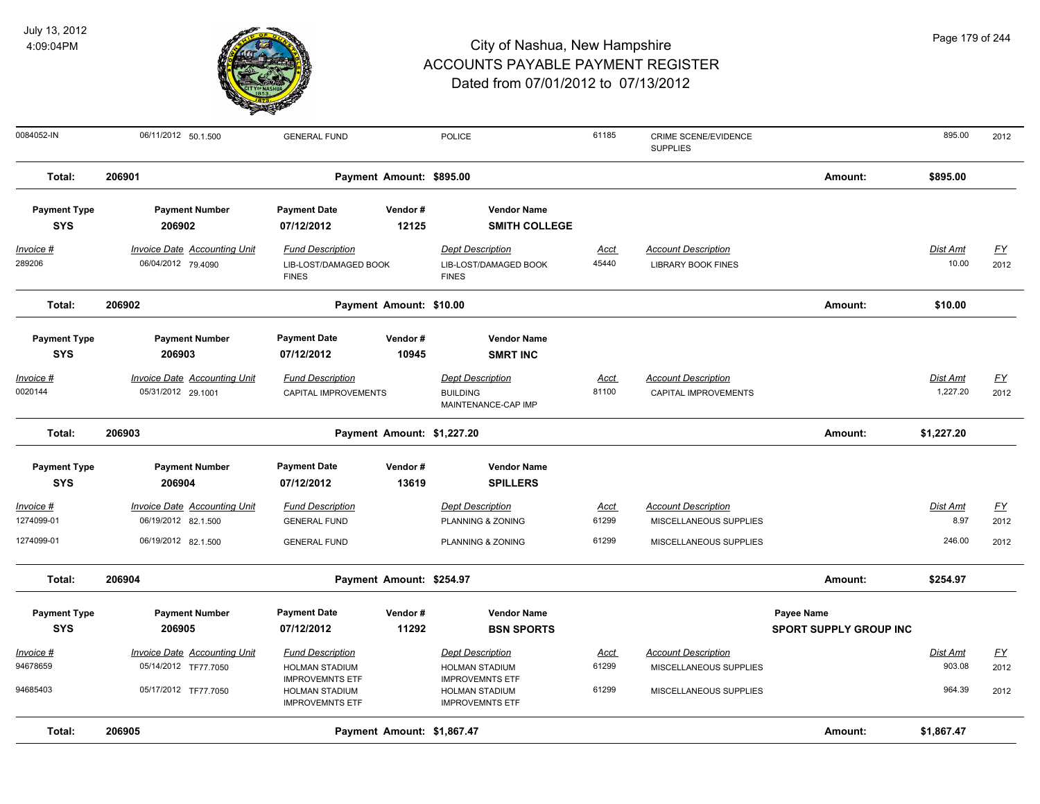

| 0084052-IN            | 06/11/2012 50.1.500                                         | <b>GENERAL FUND</b>                              |                            | <b>POLICE</b>                                    | 61185                | CRIME SCENE/EVIDENCE<br><b>SUPPLIES</b>              |                               | 895.00                    | 2012                      |
|-----------------------|-------------------------------------------------------------|--------------------------------------------------|----------------------------|--------------------------------------------------|----------------------|------------------------------------------------------|-------------------------------|---------------------------|---------------------------|
| Total:                | 206901                                                      | Payment Amount: \$895.00                         |                            |                                                  |                      |                                                      | Amount:                       | \$895.00                  |                           |
| <b>Payment Type</b>   | <b>Payment Number</b>                                       | <b>Payment Date</b>                              | Vendor#                    | <b>Vendor Name</b>                               |                      |                                                      |                               |                           |                           |
| <b>SYS</b>            | 206902                                                      | 07/12/2012                                       | 12125                      | <b>SMITH COLLEGE</b>                             |                      |                                                      |                               |                           |                           |
| $Invoice$ #           | <b>Invoice Date Accounting Unit</b>                         | <b>Fund Description</b>                          |                            | <b>Dept Description</b>                          | <b>Acct</b>          | <b>Account Description</b>                           |                               | <b>Dist Amt</b>           | EY                        |
| 289206                | 06/04/2012 79.4090                                          | LIB-LOST/DAMAGED BOOK<br><b>FINES</b>            |                            | LIB-LOST/DAMAGED BOOK<br><b>FINES</b>            | 45440                | <b>LIBRARY BOOK FINES</b>                            |                               | 10.00                     | 2012                      |
| Total:                | 206902<br>Payment Amount: \$10.00                           |                                                  |                            |                                                  |                      |                                                      | Amount:                       | \$10.00                   |                           |
| <b>Payment Type</b>   | <b>Payment Number</b>                                       | <b>Payment Date</b>                              | Vendor#                    | <b>Vendor Name</b>                               |                      |                                                      |                               |                           |                           |
| <b>SYS</b>            | 206903                                                      | 07/12/2012                                       | 10945                      | <b>SMRT INC</b>                                  |                      |                                                      |                               |                           |                           |
| Invoice #             | <b>Invoice Date Accounting Unit</b>                         | <b>Fund Description</b>                          |                            | <b>Dept Description</b>                          | Acct                 | <b>Account Description</b>                           |                               | Dist Amt                  | <u>FY</u>                 |
| 0020144               | 05/31/2012 29.1001                                          | CAPITAL IMPROVEMENTS                             |                            | <b>BUILDING</b>                                  | 81100                | CAPITAL IMPROVEMENTS                                 |                               | 1,227.20                  | 2012                      |
|                       |                                                             |                                                  |                            | MAINTENANCE-CAP IMP                              |                      |                                                      |                               |                           |                           |
| Total:                | 206903                                                      |                                                  | Payment Amount: \$1,227.20 |                                                  |                      |                                                      | Amount:                       | \$1,227.20                |                           |
| <b>Payment Type</b>   | <b>Payment Number</b>                                       | <b>Payment Date</b>                              | Vendor#                    | <b>Vendor Name</b>                               |                      |                                                      |                               |                           |                           |
| <b>SYS</b>            | 206904                                                      | 07/12/2012                                       | 13619                      | <b>SPILLERS</b>                                  |                      |                                                      |                               |                           |                           |
| Invoice #             | Invoice Date Accounting Unit                                | <b>Fund Description</b>                          |                            | <b>Dept Description</b>                          | Acct                 | <b>Account Description</b>                           |                               | Dist Amt                  | $\underline{\mathsf{FY}}$ |
| 1274099-01            | 06/19/2012 82.1.500                                         | <b>GENERAL FUND</b>                              |                            | PLANNING & ZONING                                | 61299                | MISCELLANEOUS SUPPLIES                               |                               | 8.97                      | 2012                      |
| 1274099-01            | 06/19/2012 82.1.500                                         | <b>GENERAL FUND</b>                              |                            | PLANNING & ZONING                                | 61299                | MISCELLANEOUS SUPPLIES                               |                               | 246.00                    | 2012                      |
| Total:                | 206904                                                      | Payment Amount: \$254.97                         |                            |                                                  |                      |                                                      | Amount:                       | \$254.97                  |                           |
| <b>Payment Type</b>   | <b>Payment Number</b>                                       | <b>Payment Date</b>                              | Vendor#                    | <b>Vendor Name</b>                               |                      |                                                      | Payee Name                    |                           |                           |
| <b>SYS</b>            | 206905                                                      | 07/12/2012                                       | 11292                      | <b>BSN SPORTS</b>                                |                      |                                                      | <b>SPORT SUPPLY GROUP INC</b> |                           |                           |
|                       |                                                             |                                                  |                            |                                                  |                      |                                                      |                               |                           |                           |
| Invoice #<br>94678659 | <b>Invoice Date Accounting Unit</b><br>05/14/2012 TF77.7050 | <b>Fund Description</b><br><b>HOLMAN STADIUM</b> |                            | <b>Dept Description</b><br><b>HOLMAN STADIUM</b> | <u>Acct</u><br>61299 | <b>Account Description</b><br>MISCELLANEOUS SUPPLIES |                               | <b>Dist Amt</b><br>903.08 | <u>FY</u><br>2012         |
|                       |                                                             | <b>IMPROVEMNTS ETF</b>                           |                            | <b>IMPROVEMNTS ETF</b>                           |                      |                                                      |                               |                           |                           |
| 94685403              | 05/17/2012 TF77.7050                                        | HOLMAN STADIUM<br><b>IMPROVEMNTS ETF</b>         |                            | <b>HOLMAN STADIUM</b><br><b>IMPROVEMNTS ETF</b>  | 61299                | MISCELLANEOUS SUPPLIES                               |                               | 964.39                    | 2012                      |
| Total:                | 206905                                                      | Amount:                                          | \$1,867.47                 |                                                  |                      |                                                      |                               |                           |                           |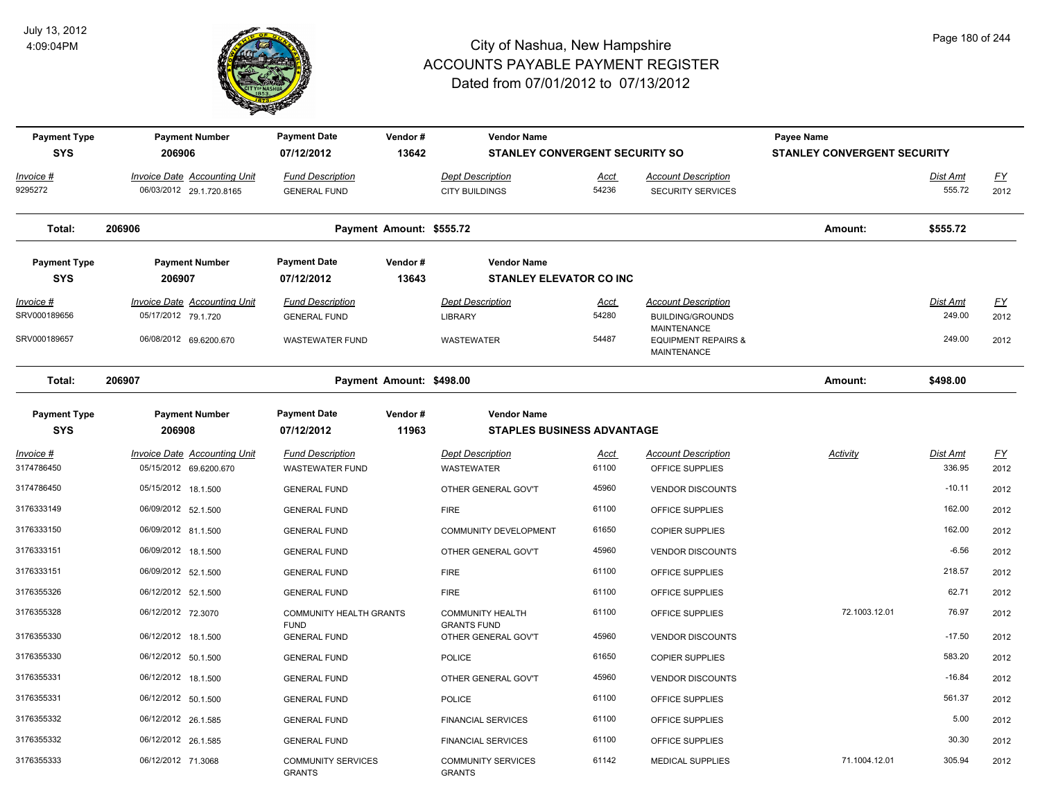

| <b>Payment Type</b><br><b>SYS</b> | <b>Payment Number</b><br>206906     | <b>Payment Date</b><br>07/12/2012          | Vendor#<br>13642         | <b>Vendor Name</b><br><b>STANLEY CONVERGENT SECURITY SO</b> |             |                                                                            | Payee Name<br><b>STANLEY CONVERGENT SECURITY</b> |                 |           |
|-----------------------------------|-------------------------------------|--------------------------------------------|--------------------------|-------------------------------------------------------------|-------------|----------------------------------------------------------------------------|--------------------------------------------------|-----------------|-----------|
| Invoice #                         | <b>Invoice Date Accounting Unit</b> | <b>Fund Description</b>                    |                          | <b>Dept Description</b>                                     | Acct        | <b>Account Description</b>                                                 |                                                  | Dist Amt        | <u>FY</u> |
| 9295272                           | 06/03/2012 29.1.720.8165            | <b>GENERAL FUND</b>                        |                          | <b>CITY BUILDINGS</b>                                       | 54236       | <b>SECURITY SERVICES</b>                                                   |                                                  | 555.72          | 2012      |
| Total:                            | 206906                              |                                            | Payment Amount: \$555.72 |                                                             |             |                                                                            | Amount:                                          | \$555.72        |           |
| <b>Payment Type</b><br><b>SYS</b> | <b>Payment Number</b><br>206907     | <b>Payment Date</b><br>07/12/2012          | Vendor#<br>13643         | <b>Vendor Name</b><br><b>STANLEY ELEVATOR CO INC</b>        |             |                                                                            |                                                  |                 |           |
| <u>Invoice #</u>                  | <b>Invoice Date Accounting Unit</b> | <b>Fund Description</b>                    |                          | <b>Dept Description</b>                                     | <u>Acct</u> | <b>Account Description</b>                                                 |                                                  | <u>Dist Amt</u> | <u>FY</u> |
| SRV000189656                      | 05/17/2012 79.1.720                 | <b>GENERAL FUND</b>                        |                          | <b>LIBRARY</b>                                              | 54280       | <b>BUILDING/GROUNDS</b>                                                    |                                                  | 249.00          | 2012      |
| SRV000189657                      | 06/08/2012 69.6200.670              | <b>WASTEWATER FUND</b>                     |                          | <b>WASTEWATER</b>                                           | 54487       | <b>MAINTENANCE</b><br><b>EQUIPMENT REPAIRS &amp;</b><br><b>MAINTENANCE</b> |                                                  | 249.00          | 2012      |
| Total:                            | 206907                              | Payment Amount: \$498.00                   |                          |                                                             |             |                                                                            | Amount:                                          | \$498.00        |           |
| <b>Payment Type</b><br><b>SYS</b> | <b>Payment Number</b><br>206908     | <b>Payment Date</b><br>07/12/2012          | Vendor#<br>11963         | <b>Vendor Name</b><br><b>STAPLES BUSINESS ADVANTAGE</b>     |             |                                                                            |                                                  |                 |           |
| Invoice #                         | Invoice Date Accounting Unit        | <b>Fund Description</b>                    |                          | <b>Dept Description</b>                                     | <u>Acct</u> | <b>Account Description</b>                                                 | Activity                                         | Dist Amt        | <u>FY</u> |
| 3174786450                        | 05/15/2012 69.6200.670              | <b>WASTEWATER FUND</b>                     |                          | <b>WASTEWATER</b>                                           | 61100       | OFFICE SUPPLIES                                                            |                                                  | 336.95          | 2012      |
| 3174786450                        | 05/15/2012 18.1.500                 | <b>GENERAL FUND</b>                        |                          | OTHER GENERAL GOV'T                                         | 45960       | <b>VENDOR DISCOUNTS</b>                                                    |                                                  | $-10.11$        | 2012      |
| 3176333149                        | 06/09/2012 52.1.500                 | <b>GENERAL FUND</b>                        |                          | <b>FIRE</b>                                                 | 61100       | OFFICE SUPPLIES                                                            |                                                  | 162.00          | 2012      |
| 3176333150                        | 06/09/2012 81.1.500                 | <b>GENERAL FUND</b>                        |                          | <b>COMMUNITY DEVELOPMENT</b>                                | 61650       | <b>COPIER SUPPLIES</b>                                                     |                                                  | 162.00          | 2012      |
| 3176333151                        | 06/09/2012 18.1.500                 | <b>GENERAL FUND</b>                        |                          | OTHER GENERAL GOV'T                                         | 45960       | <b>VENDOR DISCOUNTS</b>                                                    |                                                  | $-6.56$         | 2012      |
| 3176333151                        | 06/09/2012 52.1.500                 | <b>GENERAL FUND</b>                        |                          | <b>FIRE</b>                                                 | 61100       | OFFICE SUPPLIES                                                            |                                                  | 218.57          | 2012      |
| 3176355326                        | 06/12/2012 52.1.500                 | <b>GENERAL FUND</b>                        |                          | <b>FIRE</b>                                                 | 61100       | OFFICE SUPPLIES                                                            |                                                  | 62.71           | 2012      |
| 3176355328                        | 06/12/2012 72.3070                  | <b>COMMUNITY HEALTH GRANTS</b>             |                          | <b>COMMUNITY HEALTH</b>                                     | 61100       | OFFICE SUPPLIES                                                            | 72.1003.12.01                                    | 76.97           | 2012      |
| 3176355330                        | 06/12/2012 18.1.500                 | <b>FUND</b><br><b>GENERAL FUND</b>         |                          | <b>GRANTS FUND</b><br>OTHER GENERAL GOV'T                   | 45960       | <b>VENDOR DISCOUNTS</b>                                                    |                                                  | $-17.50$        | 2012      |
| 3176355330                        | 06/12/2012 50.1.500                 | <b>GENERAL FUND</b>                        |                          | <b>POLICE</b>                                               | 61650       | <b>COPIER SUPPLIES</b>                                                     |                                                  | 583.20          | 2012      |
| 3176355331                        | 06/12/2012 18.1.500                 | <b>GENERAL FUND</b>                        |                          | OTHER GENERAL GOV'T                                         | 45960       | <b>VENDOR DISCOUNTS</b>                                                    |                                                  | $-16.84$        | 2012      |
| 3176355331                        | 06/12/2012 50.1.500                 | <b>GENERAL FUND</b>                        |                          | <b>POLICE</b>                                               | 61100       | OFFICE SUPPLIES                                                            |                                                  | 561.37          | 2012      |
| 3176355332                        | 06/12/2012 26.1.585                 | <b>GENERAL FUND</b>                        |                          | <b>FINANCIAL SERVICES</b>                                   | 61100       | OFFICE SUPPLIES                                                            |                                                  | 5.00            | 2012      |
| 3176355332                        | 06/12/2012 26.1.585                 | <b>GENERAL FUND</b>                        |                          | <b>FINANCIAL SERVICES</b>                                   | 61100       | OFFICE SUPPLIES                                                            |                                                  | 30.30           | 2012      |
| 3176355333                        | 06/12/2012 71.3068                  | <b>COMMUNITY SERVICES</b><br><b>GRANTS</b> |                          | <b>COMMUNITY SERVICES</b><br><b>GRANTS</b>                  | 61142       | <b>MEDICAL SUPPLIES</b>                                                    | 71.1004.12.01                                    | 305.94          | 2012      |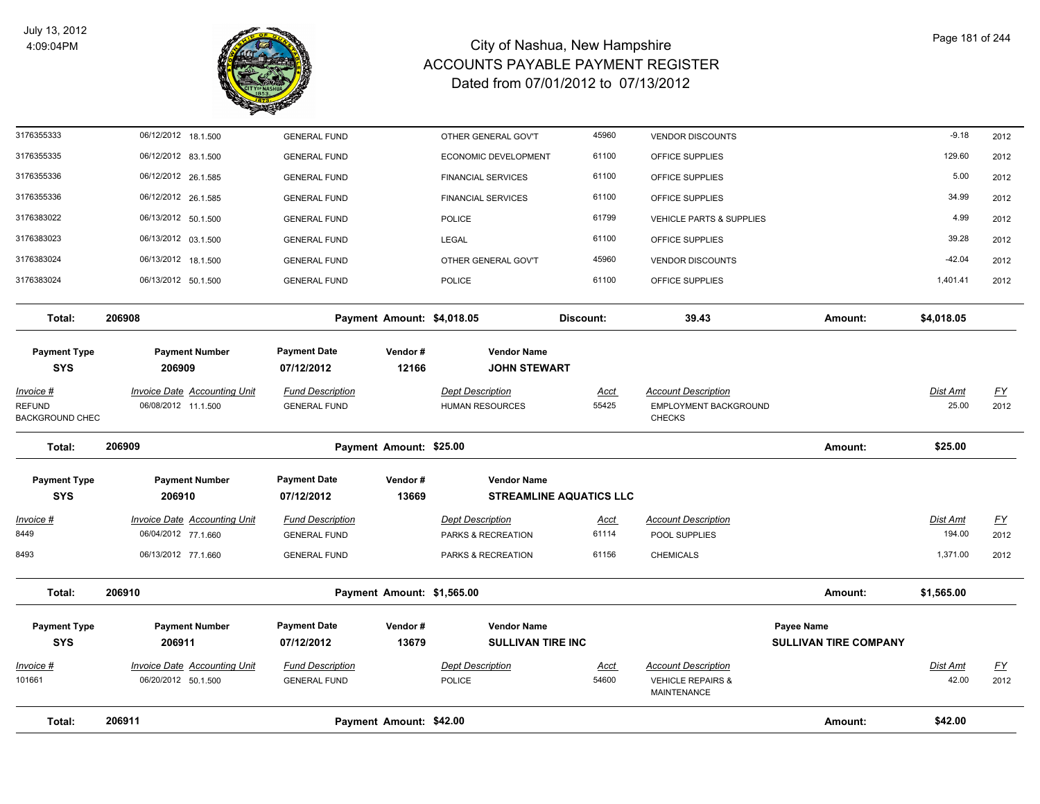

| Total:                                                      | 206911                                                     |                                                | Payment Amount: \$42.00    |                                                   |                                |                                                                      | Amount:                                           | \$42.00                  |                   |
|-------------------------------------------------------------|------------------------------------------------------------|------------------------------------------------|----------------------------|---------------------------------------------------|--------------------------------|----------------------------------------------------------------------|---------------------------------------------------|--------------------------|-------------------|
| 101661                                                      | 06/20/2012 50.1.500                                        | <b>GENERAL FUND</b>                            |                            | <b>POLICE</b>                                     | 54600                          | <b>VEHICLE REPAIRS &amp;</b><br>MAINTENANCE                          |                                                   | 42.00                    | 2012              |
| <u> Invoice #</u>                                           | <b>Invoice Date Accounting Unit</b>                        | <b>Fund Description</b>                        |                            | <b>Dept Description</b>                           | <u>Acct</u>                    | <b>Account Description</b>                                           |                                                   | Dist Amt                 | <u>FY</u>         |
| <b>Payment Type</b><br><b>SYS</b>                           | <b>Payment Number</b><br>206911                            | <b>Payment Date</b><br>07/12/2012              | Vendor#<br>13679           | <b>Vendor Name</b><br><b>SULLIVAN TIRE INC</b>    |                                |                                                                      | <b>Payee Name</b><br><b>SULLIVAN TIRE COMPANY</b> |                          |                   |
| Total:                                                      | 206910                                                     |                                                | Payment Amount: \$1,565.00 |                                                   |                                |                                                                      | Amount:                                           | \$1,565.00               |                   |
| 8493                                                        | 06/13/2012 77.1.660                                        | <b>GENERAL FUND</b>                            |                            | PARKS & RECREATION                                | 61156                          | <b>CHEMICALS</b>                                                     |                                                   | 1,371.00                 | 2012              |
| <u> Invoice #</u><br>8449                                   | <b>Invoice Date Accounting Unit</b><br>06/04/2012 77.1.660 | <b>Fund Description</b><br><b>GENERAL FUND</b> |                            | <b>Dept Description</b><br>PARKS & RECREATION     | <u>Acct</u><br>61114           | <b>Account Description</b><br>POOL SUPPLIES                          |                                                   | Dist Amt<br>194.00       | <u>FY</u><br>2012 |
| <b>Payment Type</b><br><b>SYS</b>                           | <b>Payment Number</b><br>206910                            | <b>Payment Date</b><br>07/12/2012              | Vendor#<br>13669           | <b>Vendor Name</b>                                | <b>STREAMLINE AQUATICS LLC</b> |                                                                      |                                                   |                          |                   |
| Total:                                                      | 206909                                                     |                                                | Payment Amount: \$25.00    |                                                   |                                |                                                                      | Amount:                                           | \$25.00                  |                   |
| <u>Invoice #</u><br><b>REFUND</b><br><b>BACKGROUND CHEC</b> | <b>Invoice Date Accounting Unit</b><br>06/08/2012 11.1.500 | <b>Fund Description</b><br><b>GENERAL FUND</b> |                            | <b>Dept Description</b><br><b>HUMAN RESOURCES</b> | <u>Acct</u><br>55425           | <b>Account Description</b><br>EMPLOYMENT BACKGROUND<br><b>CHECKS</b> |                                                   | <b>Dist Amt</b><br>25.00 | <u>FY</u><br>2012 |
| <b>Payment Type</b><br><b>SYS</b>                           | <b>Payment Number</b><br>206909                            | <b>Payment Date</b><br>07/12/2012              | Vendor#<br>12166           | <b>Vendor Name</b><br><b>JOHN STEWART</b>         |                                |                                                                      |                                                   |                          |                   |
| Total:                                                      | 206908                                                     |                                                | Payment Amount: \$4,018.05 |                                                   | Discount:                      | 39.43                                                                | Amount:                                           | \$4,018.05               |                   |
| 3176383024                                                  | 06/13/2012 50.1.500                                        | <b>GENERAL FUND</b>                            |                            | <b>POLICE</b>                                     | 61100                          | OFFICE SUPPLIES                                                      |                                                   | 1,401.41                 | 2012              |
| 3176383024                                                  | 06/13/2012 18.1.500                                        | <b>GENERAL FUND</b>                            |                            | OTHER GENERAL GOV'T                               | 45960                          | <b>VENDOR DISCOUNTS</b>                                              |                                                   | $-42.04$                 | 2012              |
| 3176383023                                                  | 06/13/2012 03.1.500                                        | <b>GENERAL FUND</b>                            |                            | <b>LEGAL</b>                                      | 61100                          | OFFICE SUPPLIES                                                      |                                                   | 39.28                    | 2012              |
| 3176383022                                                  | 06/13/2012 50.1.500                                        | <b>GENERAL FUND</b>                            |                            | <b>POLICE</b>                                     | 61799                          | VEHICLE PARTS & SUPPLIES                                             |                                                   | 4.99                     | 2012              |
| 3176355336                                                  | 06/12/2012 26.1.585                                        | <b>GENERAL FUND</b>                            |                            | <b>FINANCIAL SERVICES</b>                         | 61100                          | OFFICE SUPPLIES                                                      |                                                   | 34.99                    | 2012              |
| 3176355336                                                  | 06/12/2012 26.1.585                                        | <b>GENERAL FUND</b>                            |                            | <b>FINANCIAL SERVICES</b>                         | 61100                          | OFFICE SUPPLIES                                                      |                                                   | 5.00                     | 2012              |
| 3176355335                                                  | 06/12/2012 83.1.500                                        | <b>GENERAL FUND</b>                            |                            | ECONOMIC DEVELOPMENT                              | 61100                          | OFFICE SUPPLIES                                                      |                                                   | 129.60                   | 2012              |
| 3176355333                                                  | 06/12/2012 18.1.500                                        | <b>GENERAL FUND</b>                            |                            | OTHER GENERAL GOV'T                               | 45960                          | <b>VENDOR DISCOUNTS</b>                                              |                                                   | $-9.18$                  | 2012              |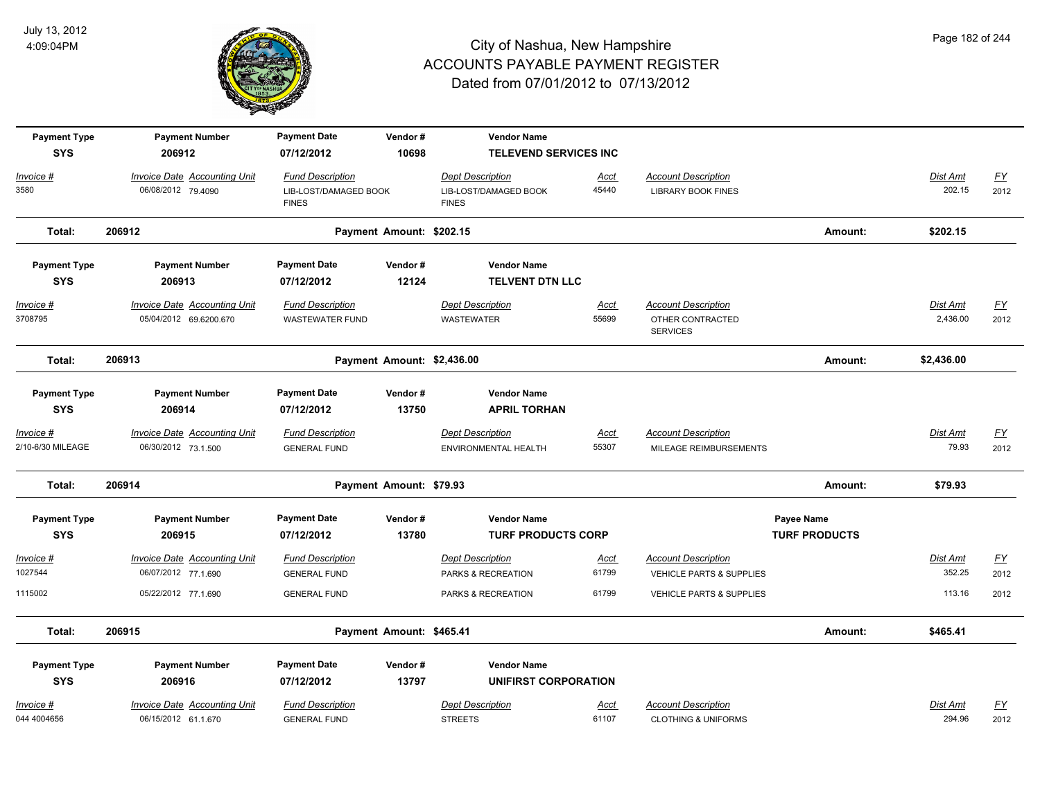

| <b>Payment Type</b><br><b>SYS</b> | <b>Payment Number</b><br>206912                           | <b>Payment Date</b><br>07/12/2012                | Vendor#<br>10698           | <b>Vendor Name</b><br><b>TELEVEND SERVICES INC</b> |               |                                                         |                      |                    |                   |
|-----------------------------------|-----------------------------------------------------------|--------------------------------------------------|----------------------------|----------------------------------------------------|---------------|---------------------------------------------------------|----------------------|--------------------|-------------------|
|                                   |                                                           |                                                  |                            |                                                    |               |                                                         |                      |                    |                   |
| Invoice #<br>3580                 | <b>Invoice Date Accounting Unit</b><br>06/08/2012 79.4090 | <b>Fund Description</b><br>LIB-LOST/DAMAGED BOOK |                            | <b>Dept Description</b><br>LIB-LOST/DAMAGED BOOK   | Acct<br>45440 | <b>Account Description</b><br><b>LIBRARY BOOK FINES</b> |                      | Dist Amt<br>202.15 | <u>FY</u><br>2012 |
|                                   |                                                           | <b>FINES</b>                                     |                            | <b>FINES</b>                                       |               |                                                         |                      |                    |                   |
| Total:                            | 206912                                                    |                                                  | Payment Amount: \$202.15   |                                                    |               |                                                         | Amount:              | \$202.15           |                   |
| <b>Payment Type</b>               | <b>Payment Number</b>                                     | <b>Payment Date</b>                              | Vendor#                    | <b>Vendor Name</b>                                 |               |                                                         |                      |                    |                   |
| <b>SYS</b>                        | 206913                                                    | 07/12/2012                                       | 12124                      | <b>TELVENT DTN LLC</b>                             |               |                                                         |                      |                    |                   |
| Invoice #                         | <b>Invoice Date Accounting Unit</b>                       | <b>Fund Description</b>                          |                            | <b>Dept Description</b>                            | <u>Acct</u>   | <b>Account Description</b>                              |                      | <b>Dist Amt</b>    | <u>FY</u>         |
| 3708795                           | 05/04/2012 69.6200.670                                    | <b>WASTEWATER FUND</b>                           |                            | <b>WASTEWATER</b>                                  | 55699         | OTHER CONTRACTED<br><b>SERVICES</b>                     |                      | 2,436.00           | 2012              |
| Total:                            | 206913                                                    |                                                  | Payment Amount: \$2,436.00 |                                                    |               |                                                         | Amount:              | \$2,436.00         |                   |
| <b>Payment Type</b>               | <b>Payment Number</b>                                     | <b>Payment Date</b>                              | Vendor#                    | <b>Vendor Name</b>                                 |               |                                                         |                      |                    |                   |
| <b>SYS</b>                        | 206914                                                    | 07/12/2012                                       | 13750                      | <b>APRIL TORHAN</b>                                |               |                                                         |                      |                    |                   |
| <u>Invoice #</u>                  | <b>Invoice Date Accounting Unit</b>                       | <b>Fund Description</b>                          |                            | <b>Dept Description</b>                            | <u>Acct</u>   | <b>Account Description</b>                              |                      | Dist Amt           | <u>FY</u>         |
| 2/10-6/30 MILEAGE                 | 06/30/2012 73.1.500                                       | <b>GENERAL FUND</b>                              |                            | ENVIRONMENTAL HEALTH                               | 55307         | MILEAGE REIMBURSEMENTS                                  |                      | 79.93              | 2012              |
| Total:                            | 206914                                                    |                                                  | Payment Amount: \$79.93    |                                                    |               |                                                         | Amount:              | \$79.93            |                   |
| <b>Payment Type</b>               | <b>Payment Number</b>                                     | <b>Payment Date</b>                              | Vendor#                    | <b>Vendor Name</b>                                 |               |                                                         | Payee Name           |                    |                   |
| <b>SYS</b>                        | 206915                                                    | 07/12/2012                                       | 13780                      | <b>TURF PRODUCTS CORP</b>                          |               |                                                         | <b>TURF PRODUCTS</b> |                    |                   |
| Invoice #                         | <b>Invoice Date Accounting Unit</b>                       | <b>Fund Description</b>                          |                            | <b>Dept Description</b>                            | Acct          | <b>Account Description</b>                              |                      | Dist Amt           | EY                |
| 1027544                           | 06/07/2012 77.1.690                                       | <b>GENERAL FUND</b>                              |                            | PARKS & RECREATION                                 | 61799         | <b>VEHICLE PARTS &amp; SUPPLIES</b>                     |                      | 352.25             | 2012              |
| 1115002                           | 05/22/2012 77.1.690                                       | <b>GENERAL FUND</b>                              |                            | PARKS & RECREATION                                 | 61799         | VEHICLE PARTS & SUPPLIES                                |                      | 113.16             | 2012              |
| Total:                            | 206915                                                    |                                                  | Payment Amount: \$465.41   |                                                    |               |                                                         | Amount:              | \$465.41           |                   |
| <b>Payment Type</b>               | <b>Payment Number</b>                                     | <b>Payment Date</b>                              | Vendor#                    | <b>Vendor Name</b>                                 |               |                                                         |                      |                    |                   |
| <b>SYS</b>                        | 206916                                                    | 07/12/2012                                       | 13797                      | <b>UNIFIRST CORPORATION</b>                        |               |                                                         |                      |                    |                   |
| Invoice #                         | Invoice Date Accounting Unit                              | <b>Fund Description</b>                          |                            | <b>Dept Description</b>                            | Acct          | <b>Account Description</b>                              |                      | Dist Amt           | <u>FY</u>         |
| 044 4004656                       | 06/15/2012 61.1.670                                       | <b>GENERAL FUND</b>                              |                            | <b>STREETS</b>                                     | 61107         | <b>CLOTHING &amp; UNIFORMS</b>                          |                      | 294.96             | 2012              |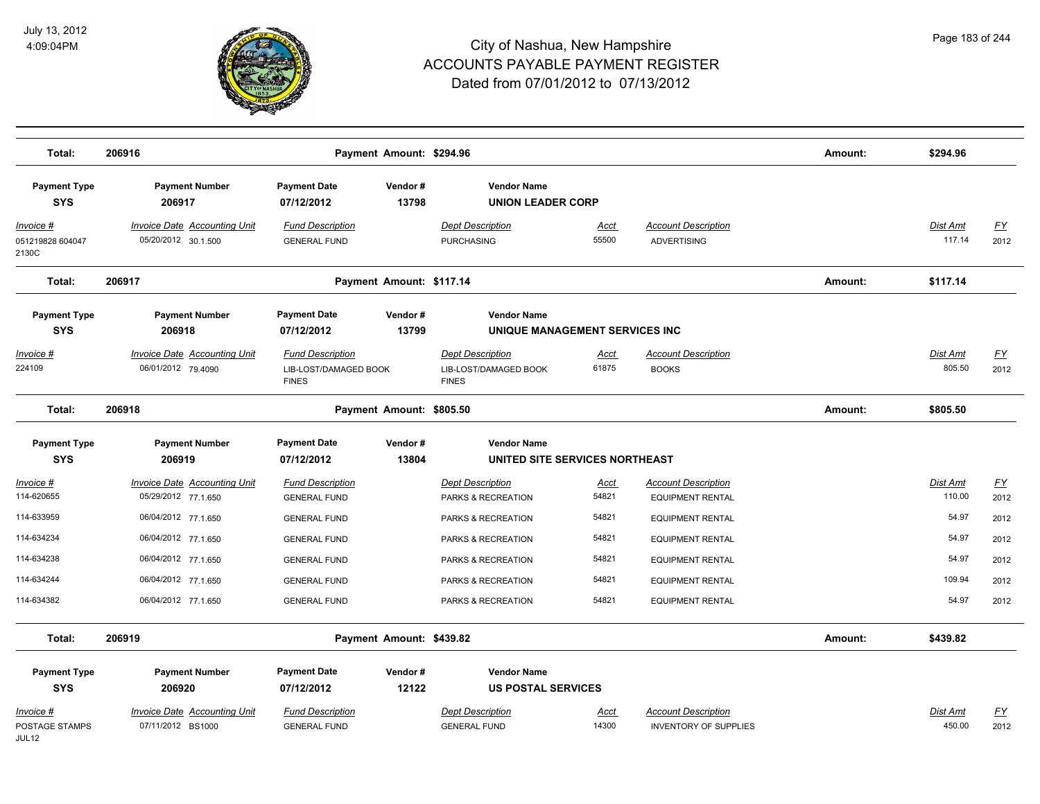

| Total:                                         | 206916                                                     |                                                                  | Payment Amount: \$294.96 |                                                                  |                      |                                                            | Amount: | \$294.96                  |                   |
|------------------------------------------------|------------------------------------------------------------|------------------------------------------------------------------|--------------------------|------------------------------------------------------------------|----------------------|------------------------------------------------------------|---------|---------------------------|-------------------|
| <b>Payment Type</b><br><b>SYS</b>              | <b>Payment Number</b><br>206917                            | <b>Payment Date</b><br>07/12/2012                                | Vendor#<br>13798         | <b>Vendor Name</b><br><b>UNION LEADER CORP</b>                   |                      |                                                            |         |                           |                   |
| <u> Invoice #</u><br>051219828 604047<br>2130C | <b>Invoice Date Accounting Unit</b><br>05/20/2012 30.1.500 | <b>Fund Description</b><br><b>GENERAL FUND</b>                   |                          | <b>Dept Description</b><br><b>PURCHASING</b>                     | <u>Acct</u><br>55500 | <b>Account Description</b><br><b>ADVERTISING</b>           |         | <b>Dist Amt</b><br>117.14 | <u>FY</u><br>2012 |
| Total:                                         | 206917                                                     |                                                                  | Payment Amount: \$117.14 |                                                                  |                      |                                                            | Amount: | \$117.14                  |                   |
| <b>Payment Type</b><br><b>SYS</b>              | <b>Payment Number</b><br>206918                            | <b>Payment Date</b><br>07/12/2012                                | Vendor#<br>13799         | <b>Vendor Name</b><br>UNIQUE MANAGEMENT SERVICES INC             |                      |                                                            |         |                           |                   |
| Invoice #<br>224109                            | <b>Invoice Date Accounting Unit</b><br>06/01/2012 79.4090  | <b>Fund Description</b><br>LIB-LOST/DAMAGED BOOK<br><b>FINES</b> |                          | <b>Dept Description</b><br>LIB-LOST/DAMAGED BOOK<br><b>FINES</b> | <u>Acct</u><br>61875 | <b>Account Description</b><br><b>BOOKS</b>                 |         | Dist Amt<br>805.50        | <u>FY</u><br>2012 |
| Total:                                         | 206918                                                     |                                                                  | Payment Amount: \$805.50 |                                                                  |                      |                                                            | Amount: | \$805.50                  |                   |
| <b>Payment Type</b><br><b>SYS</b>              | <b>Payment Number</b><br>206919                            | <b>Payment Date</b><br>07/12/2012                                | Vendor#<br>13804         | <b>Vendor Name</b><br>UNITED SITE SERVICES NORTHEAST             |                      |                                                            |         |                           |                   |
| Invoice #<br>114-620655                        | <b>Invoice Date Accounting Unit</b><br>05/29/2012 77.1.650 | <b>Fund Description</b><br><b>GENERAL FUND</b>                   |                          | <b>Dept Description</b><br>PARKS & RECREATION                    | <u>Acct</u><br>54821 | <b>Account Description</b><br><b>EQUIPMENT RENTAL</b>      |         | Dist Amt<br>110.00        | <u>FY</u><br>2012 |
| 114-633959                                     | 06/04/2012 77.1.650                                        | <b>GENERAL FUND</b>                                              |                          | PARKS & RECREATION                                               | 54821                | <b>EQUIPMENT RENTAL</b>                                    |         | 54.97                     | 2012              |
| 114-634234                                     | 06/04/2012 77.1.650                                        | <b>GENERAL FUND</b>                                              |                          | PARKS & RECREATION                                               | 54821                | <b>EQUIPMENT RENTAL</b>                                    |         | 54.97                     | 2012              |
| 114-634238                                     | 06/04/2012 77.1.650                                        | <b>GENERAL FUND</b>                                              |                          | PARKS & RECREATION                                               | 54821                | <b>EQUIPMENT RENTAL</b>                                    |         | 54.97                     | 2012              |
| 114-634244                                     | 06/04/2012 77.1.650                                        | <b>GENERAL FUND</b>                                              |                          | PARKS & RECREATION                                               | 54821                | <b>EQUIPMENT RENTAL</b>                                    |         | 109.94                    | 2012              |
| 114-634382                                     | 06/04/2012 77.1.650                                        | <b>GENERAL FUND</b>                                              |                          | PARKS & RECREATION                                               | 54821                | <b>EQUIPMENT RENTAL</b>                                    |         | 54.97                     | 2012              |
| Total:                                         | 206919                                                     |                                                                  | Payment Amount: \$439.82 |                                                                  |                      |                                                            | Amount: | \$439.82                  |                   |
| <b>Payment Type</b><br><b>SYS</b>              | <b>Payment Number</b><br>206920                            | <b>Payment Date</b><br>07/12/2012                                | Vendor#<br>12122         | <b>Vendor Name</b><br><b>US POSTAL SERVICES</b>                  |                      |                                                            |         |                           |                   |
| Invoice #<br>POSTAGE STAMPS<br>JUL12           | <b>Invoice Date Accounting Unit</b><br>07/11/2012 BS1000   | <b>Fund Description</b><br><b>GENERAL FUND</b>                   |                          | <b>Dept Description</b><br><b>GENERAL FUND</b>                   | Acct<br>14300        | <b>Account Description</b><br><b>INVENTORY OF SUPPLIES</b> |         | Dist Amt<br>450.00        | <u>FY</u><br>2012 |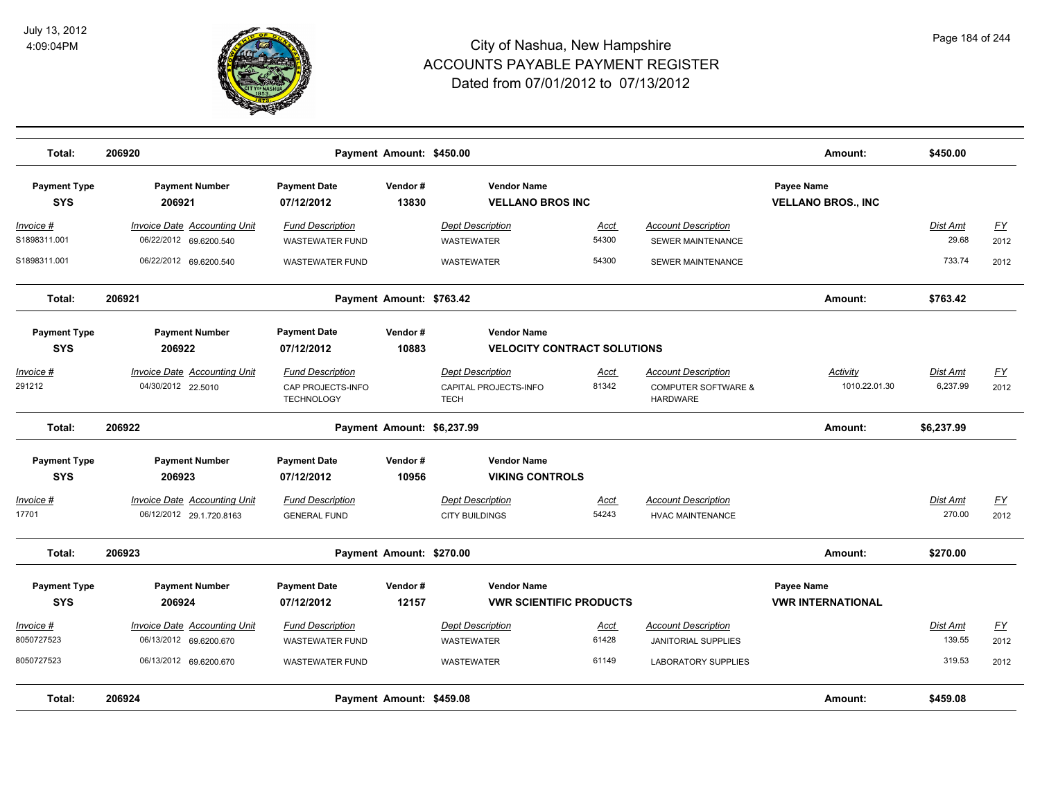

| Total:                            | 206920                                                        |                                                   | Payment Amount: \$450.00   |                                                          |                      |                                                        | Amount:                                       | \$450.00                 |                                   |
|-----------------------------------|---------------------------------------------------------------|---------------------------------------------------|----------------------------|----------------------------------------------------------|----------------------|--------------------------------------------------------|-----------------------------------------------|--------------------------|-----------------------------------|
| <b>Payment Type</b><br><b>SYS</b> | <b>Payment Number</b><br>206921                               | <b>Payment Date</b><br>07/12/2012                 | Vendor#<br>13830           | <b>Vendor Name</b><br><b>VELLANO BROS INC</b>            |                      |                                                        | Payee Name<br><b>VELLANO BROS., INC</b>       |                          |                                   |
| <u>Invoice #</u><br>S1898311.001  | <b>Invoice Date Accounting Unit</b><br>06/22/2012 69.6200.540 | <b>Fund Description</b><br><b>WASTEWATER FUND</b> |                            | <b>Dept Description</b><br><b>WASTEWATER</b>             | <u>Acct</u><br>54300 | <b>Account Description</b><br><b>SEWER MAINTENANCE</b> |                                               | <u>Dist Amt</u><br>29.68 | $\underline{\mathsf{FY}}$<br>2012 |
| S1898311.001                      | 06/22/2012 69.6200.540                                        | <b>WASTEWATER FUND</b>                            |                            | <b>WASTEWATER</b>                                        | 54300                | <b>SEWER MAINTENANCE</b>                               |                                               | 733.74                   | 2012                              |
| Total:                            | 206921                                                        |                                                   | Payment Amount: \$763.42   |                                                          |                      |                                                        | Amount:                                       | \$763.42                 |                                   |
| <b>Payment Type</b><br><b>SYS</b> | <b>Payment Number</b><br>206922                               | <b>Payment Date</b><br>07/12/2012                 | Vendor#<br>10883           | <b>Vendor Name</b><br><b>VELOCITY CONTRACT SOLUTIONS</b> |                      |                                                        |                                               |                          |                                   |
| Invoice #                         | <b>Invoice Date Accounting Unit</b>                           | <b>Fund Description</b>                           |                            | <b>Dept Description</b>                                  | Acct                 | <b>Account Description</b>                             | Activity                                      | Dist Amt                 | <u>FY</u>                         |
| 291212                            | 04/30/2012 22.5010                                            | CAP PROJECTS-INFO<br><b>TECHNOLOGY</b>            |                            | CAPITAL PROJECTS-INFO<br><b>TECH</b>                     | 81342                | <b>COMPUTER SOFTWARE &amp;</b><br><b>HARDWARE</b>      | 1010.22.01.30                                 | 6,237.99                 | 2012                              |
| Total:                            | 206922                                                        |                                                   | Payment Amount: \$6,237.99 |                                                          |                      |                                                        | Amount:                                       | \$6,237.99               |                                   |
| <b>Payment Type</b><br><b>SYS</b> | <b>Payment Number</b><br>206923                               | <b>Payment Date</b><br>07/12/2012                 | Vendor#<br>10956           | <b>Vendor Name</b><br><b>VIKING CONTROLS</b>             |                      |                                                        |                                               |                          |                                   |
| Invoice #<br>17701                | Invoice Date Accounting Unit<br>06/12/2012 29.1.720.8163      | <b>Fund Description</b><br><b>GENERAL FUND</b>    |                            | <b>Dept Description</b><br><b>CITY BUILDINGS</b>         | Acct<br>54243        | <b>Account Description</b><br><b>HVAC MAINTENANCE</b>  |                                               | Dist Amt<br>270.00       | $\underline{FY}$<br>2012          |
| Total:                            | 206923                                                        |                                                   | Payment Amount: \$270.00   |                                                          |                      |                                                        | Amount:                                       | \$270.00                 |                                   |
| <b>Payment Type</b><br><b>SYS</b> | <b>Payment Number</b><br>206924                               | <b>Payment Date</b><br>07/12/2012                 | Vendor#<br>12157           | <b>Vendor Name</b><br><b>VWR SCIENTIFIC PRODUCTS</b>     |                      |                                                        | Payee Name<br><b><i>VWR INTERNATIONAL</i></b> |                          |                                   |
| Invoice #                         | Invoice Date Accounting Unit                                  | <b>Fund Description</b>                           |                            | <b>Dept Description</b>                                  | Acct                 | <b>Account Description</b>                             |                                               | Dist Amt                 | EY                                |
| 8050727523                        | 06/13/2012 69.6200.670                                        | <b>WASTEWATER FUND</b>                            |                            | <b>WASTEWATER</b>                                        | 61428                | <b>JANITORIAL SUPPLIES</b>                             |                                               | 139.55                   | 2012                              |
| 8050727523                        | 06/13/2012 69.6200.670                                        | <b>WASTEWATER FUND</b>                            |                            | WASTEWATER                                               | 61149                | <b>LABORATORY SUPPLIES</b>                             |                                               | 319.53                   | 2012                              |
| Total:                            | 206924                                                        |                                                   | Payment Amount: \$459.08   |                                                          |                      |                                                        | Amount:                                       | \$459.08                 |                                   |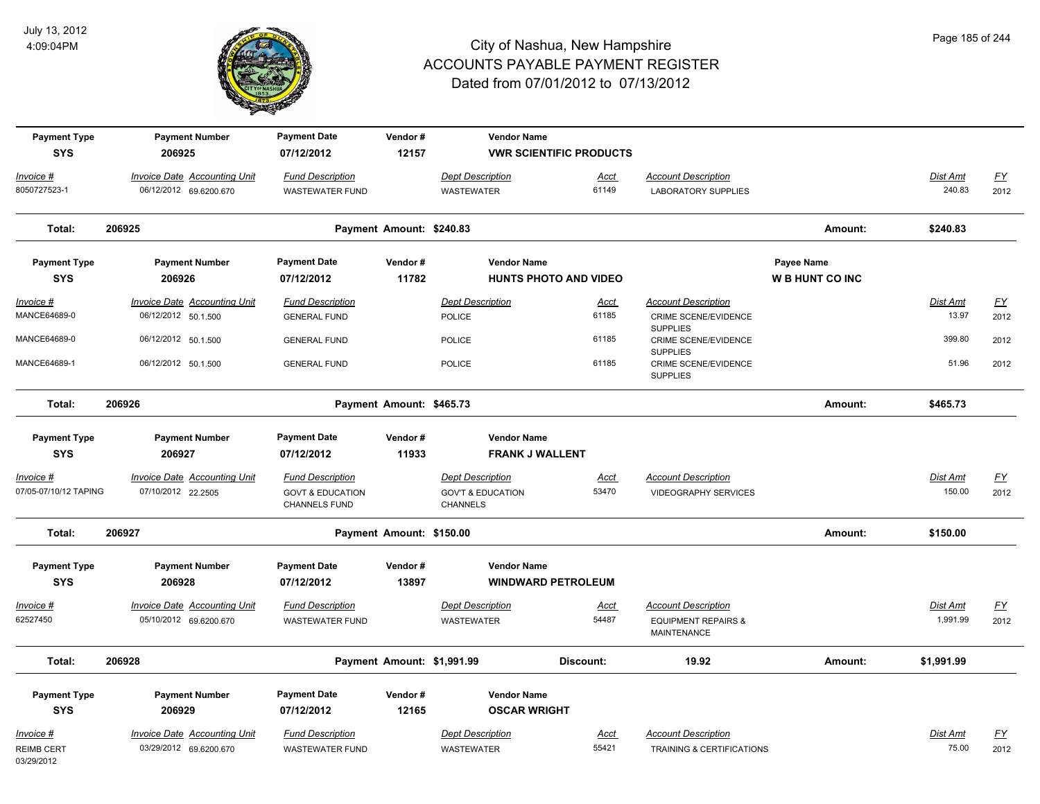

| <b>Payment Type</b><br><b>SYS</b> | <b>Payment Number</b><br>206925                            | <b>Payment Date</b><br>07/12/2012            | Vendor#<br>12157           | <b>Vendor Name</b>                              | <b>VWR SCIENTIFIC PRODUCTS</b> |                                                |                        |                          |                  |
|-----------------------------------|------------------------------------------------------------|----------------------------------------------|----------------------------|-------------------------------------------------|--------------------------------|------------------------------------------------|------------------------|--------------------------|------------------|
| $Invoice$ #                       | <b>Invoice Date Accounting Unit</b>                        | <b>Fund Description</b>                      |                            | <b>Dept Description</b>                         | <u>Acct</u>                    | <b>Account Description</b>                     |                        | <b>Dist Amt</b>          | EY               |
| 8050727523-1                      | 06/12/2012 69.6200.670                                     | <b>WASTEWATER FUND</b>                       |                            | <b>WASTEWATER</b>                               | 61149                          | <b>LABORATORY SUPPLIES</b>                     |                        | 240.83                   | 2012             |
| Total:                            | 206925                                                     |                                              | Payment Amount: \$240.83   |                                                 |                                |                                                | Amount:                | \$240.83                 |                  |
| <b>Payment Type</b>               | <b>Payment Number</b>                                      | <b>Payment Date</b>                          | Vendor#                    | <b>Vendor Name</b>                              |                                |                                                | Payee Name             |                          |                  |
| <b>SYS</b>                        | 206926                                                     | 07/12/2012                                   | 11782                      | <b>HUNTS PHOTO AND VIDEO</b>                    |                                |                                                | <b>W B HUNT CO INC</b> |                          |                  |
| Invoice #<br>MANCE64689-0         | <b>Invoice Date Accounting Unit</b><br>06/12/2012 50.1.500 | <b>Fund Description</b>                      |                            | <b>Dept Description</b>                         | <u>Acct</u><br>61185           | <b>Account Description</b>                     |                        | <b>Dist Amt</b><br>13.97 | EY               |
|                                   |                                                            | <b>GENERAL FUND</b>                          |                            | <b>POLICE</b>                                   |                                | CRIME SCENE/EVIDENCE<br><b>SUPPLIES</b>        |                        |                          | 2012             |
| MANCE64689-0                      | 06/12/2012 50.1.500                                        | <b>GENERAL FUND</b>                          |                            | <b>POLICE</b>                                   | 61185                          | CRIME SCENE/EVIDENCE<br><b>SUPPLIES</b>        |                        | 399.80                   | 2012             |
| MANCE64689-1                      | 06/12/2012 50.1.500                                        | <b>GENERAL FUND</b>                          |                            | <b>POLICE</b>                                   | 61185                          | <b>CRIME SCENE/EVIDENCE</b><br><b>SUPPLIES</b> |                        | 51.96                    | 2012             |
| Total:                            | 206926                                                     |                                              | Payment Amount: \$465.73   |                                                 |                                |                                                | Amount:                | \$465.73                 |                  |
| <b>Payment Type</b>               | <b>Payment Number</b>                                      | <b>Payment Date</b>                          | Vendor#                    | <b>Vendor Name</b>                              |                                |                                                |                        |                          |                  |
| <b>SYS</b>                        | 206927                                                     | 07/12/2012                                   | 11933                      | <b>FRANK J WALLENT</b>                          |                                |                                                |                        |                          |                  |
| Invoice #                         | Invoice Date Accounting Unit                               | <b>Fund Description</b>                      |                            | <b>Dept Description</b>                         | Acct                           | <b>Account Description</b>                     |                        | Dist Amt                 | $\underline{FY}$ |
| 07/05-07/10/12 TAPING             | 07/10/2012 22.2505                                         | <b>GOVT &amp; EDUCATION</b><br>CHANNELS FUND |                            | <b>GOV'T &amp; EDUCATION</b><br><b>CHANNELS</b> | 53470                          | <b>VIDEOGRAPHY SERVICES</b>                    |                        | 150.00                   | 2012             |
| Total:                            | 206927                                                     |                                              | Payment Amount: \$150.00   |                                                 |                                |                                                | Amount:                | \$150.00                 |                  |
| <b>Payment Type</b><br><b>SYS</b> | <b>Payment Number</b><br>206928                            | <b>Payment Date</b><br>07/12/2012            | Vendor#<br>13897           | <b>Vendor Name</b><br><b>WINDWARD PETROLEUM</b> |                                |                                                |                        |                          |                  |
| Invoice #                         | <b>Invoice Date Accounting Unit</b>                        | <b>Fund Description</b>                      |                            | <b>Dept Description</b>                         | <u>Acct</u>                    | <b>Account Description</b>                     |                        | Dist Amt                 | EY               |
| 62527450                          | 05/10/2012 69.6200.670                                     | <b>WASTEWATER FUND</b>                       |                            | <b>WASTEWATER</b>                               | 54487                          | <b>EQUIPMENT REPAIRS &amp;</b><br>MAINTENANCE  |                        | 1,991.99                 | 2012             |
| Total:                            | 206928                                                     |                                              | Payment Amount: \$1,991.99 |                                                 | Discount:                      | 19.92                                          | Amount:                | \$1,991.99               |                  |
| <b>Payment Type</b><br><b>SYS</b> | <b>Payment Number</b><br>206929                            | <b>Payment Date</b><br>07/12/2012            | Vendor#<br>12165           | <b>Vendor Name</b><br><b>OSCAR WRIGHT</b>       |                                |                                                |                        |                          |                  |
| Invoice #                         | <b>Invoice Date Accounting Unit</b>                        | <b>Fund Description</b>                      |                            | <b>Dept Description</b>                         | <u>Acct</u>                    | <b>Account Description</b>                     |                        | Dist Amt                 | <u>FY</u>        |
| <b>REIMB CERT</b><br>03/29/2012   | 03/29/2012 69.6200.670                                     | <b>WASTEWATER FUND</b>                       |                            | <b>WASTEWATER</b>                               | 55421                          | <b>TRAINING &amp; CERTIFICATIONS</b>           |                        | 75.00                    | 2012             |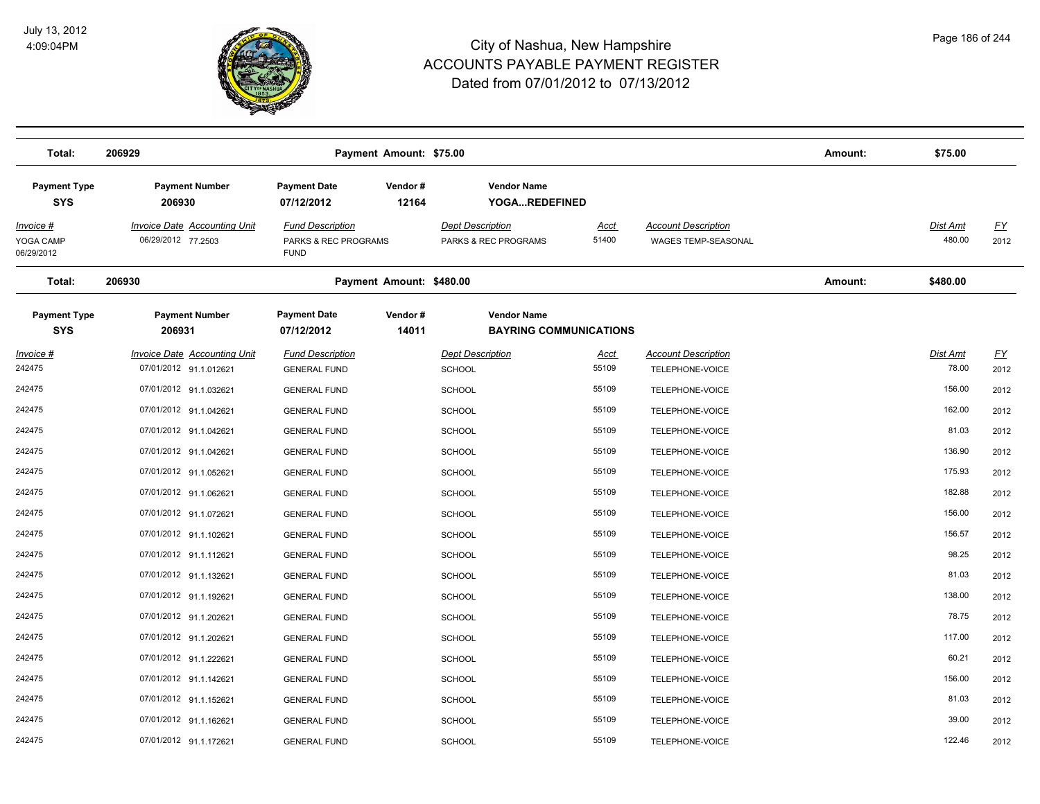

| Total:                                      | 206929                                                    |                                                                | Payment Amount: \$75.00  |                                                 |                               |                                                   | Amount: | \$75.00                   |                   |
|---------------------------------------------|-----------------------------------------------------------|----------------------------------------------------------------|--------------------------|-------------------------------------------------|-------------------------------|---------------------------------------------------|---------|---------------------------|-------------------|
| <b>Payment Type</b><br><b>SYS</b>           | <b>Payment Number</b><br>206930                           | <b>Payment Date</b><br>07/12/2012                              | Vendor#<br>12164         | <b>Vendor Name</b><br>YOGAREDEFINED             |                               |                                                   |         |                           |                   |
| <u>Invoice #</u><br>YOGA CAMP<br>06/29/2012 | <b>Invoice Date Accounting Unit</b><br>06/29/2012 77.2503 | <b>Fund Description</b><br>PARKS & REC PROGRAMS<br><b>FUND</b> |                          | <b>Dept Description</b><br>PARKS & REC PROGRAMS | <u>Acct</u><br>51400          | <b>Account Description</b><br>WAGES TEMP-SEASONAL |         | <b>Dist Amt</b><br>480.00 | <u>FY</u><br>2012 |
| Total:                                      | 206930                                                    |                                                                | Payment Amount: \$480.00 |                                                 |                               |                                                   | Amount: | \$480.00                  |                   |
| <b>Payment Type</b><br><b>SYS</b>           | <b>Payment Number</b><br>206931                           | <b>Payment Date</b><br>07/12/2012                              | Vendor#<br>14011         | <b>Vendor Name</b>                              | <b>BAYRING COMMUNICATIONS</b> |                                                   |         |                           |                   |
| Invoice #                                   | <b>Invoice Date Accounting Unit</b>                       | <b>Fund Description</b>                                        |                          | <b>Dept Description</b>                         | Acct                          | <b>Account Description</b>                        |         | Dist Amt                  | <u>FY</u>         |
| 242475                                      | 07/01/2012 91.1.012621                                    | <b>GENERAL FUND</b>                                            |                          | <b>SCHOOL</b>                                   | 55109                         | TELEPHONE-VOICE                                   |         | 78.00                     | 2012              |
| 242475                                      | 07/01/2012 91.1.032621                                    | <b>GENERAL FUND</b>                                            |                          | <b>SCHOOL</b>                                   | 55109                         | TELEPHONE-VOICE                                   |         | 156.00                    | 2012              |
| 242475                                      | 07/01/2012 91.1.042621                                    | <b>GENERAL FUND</b>                                            |                          | <b>SCHOOL</b>                                   | 55109                         | TELEPHONE-VOICE                                   |         | 162.00                    | 2012              |
| 242475                                      | 07/01/2012 91.1.042621                                    | <b>GENERAL FUND</b>                                            |                          | <b>SCHOOL</b>                                   | 55109                         | TELEPHONE-VOICE                                   |         | 81.03                     | 2012              |
| 242475                                      | 07/01/2012 91.1.042621                                    | <b>GENERAL FUND</b>                                            |                          | <b>SCHOOL</b>                                   | 55109                         | TELEPHONE-VOICE                                   |         | 136.90                    | 2012              |
| 242475                                      | 07/01/2012 91.1.052621                                    | <b>GENERAL FUND</b>                                            |                          | SCHOOL                                          | 55109                         | TELEPHONE-VOICE                                   |         | 175.93                    | 2012              |
| 242475                                      | 07/01/2012 91.1.062621                                    | <b>GENERAL FUND</b>                                            |                          | <b>SCHOOL</b>                                   | 55109                         | TELEPHONE-VOICE                                   |         | 182.88                    | 2012              |
| 242475                                      | 07/01/2012 91.1.072621                                    | <b>GENERAL FUND</b>                                            |                          | <b>SCHOOL</b>                                   | 55109                         | TELEPHONE-VOICE                                   |         | 156.00                    | 2012              |
| 242475                                      | 07/01/2012 91.1.102621                                    | <b>GENERAL FUND</b>                                            |                          | <b>SCHOOL</b>                                   | 55109                         | TELEPHONE-VOICE                                   |         | 156.57                    | 2012              |
| 242475                                      | 07/01/2012 91.1.112621                                    | <b>GENERAL FUND</b>                                            |                          | <b>SCHOOL</b>                                   | 55109                         | TELEPHONE-VOICE                                   |         | 98.25                     | 2012              |
| 242475                                      | 07/01/2012 91.1.132621                                    | <b>GENERAL FUND</b>                                            |                          | <b>SCHOOL</b>                                   | 55109                         | TELEPHONE-VOICE                                   |         | 81.03                     | 2012              |
| 242475                                      | 07/01/2012 91.1.192621                                    | <b>GENERAL FUND</b>                                            |                          | <b>SCHOOL</b>                                   | 55109                         | TELEPHONE-VOICE                                   |         | 138.00                    | 2012              |
| 242475                                      | 07/01/2012 91.1.202621                                    | <b>GENERAL FUND</b>                                            |                          | <b>SCHOOL</b>                                   | 55109                         | TELEPHONE-VOICE                                   |         | 78.75                     | 2012              |
| 242475                                      | 07/01/2012 91.1.202621                                    | <b>GENERAL FUND</b>                                            |                          | <b>SCHOOL</b>                                   | 55109                         | TELEPHONE-VOICE                                   |         | 117.00                    | 2012              |
| 242475                                      | 07/01/2012 91.1.222621                                    | <b>GENERAL FUND</b>                                            |                          | <b>SCHOOL</b>                                   | 55109                         | TELEPHONE-VOICE                                   |         | 60.21                     | 2012              |
| 242475                                      | 07/01/2012 91.1.142621                                    | <b>GENERAL FUND</b>                                            |                          | <b>SCHOOL</b>                                   | 55109                         | TELEPHONE-VOICE                                   |         | 156.00                    | 2012              |
| 242475                                      | 07/01/2012 91.1.152621                                    | <b>GENERAL FUND</b>                                            |                          | <b>SCHOOL</b>                                   | 55109                         | TELEPHONE-VOICE                                   |         | 81.03                     | 2012              |
| 242475                                      | 07/01/2012 91.1.162621                                    | <b>GENERAL FUND</b>                                            |                          | SCHOOL                                          | 55109                         | TELEPHONE-VOICE                                   |         | 39.00                     | 2012              |
| 242475                                      | 07/01/2012 91.1.172621                                    | <b>GENERAL FUND</b>                                            |                          | SCHOOL                                          | 55109                         | TELEPHONE-VOICE                                   |         | 122.46                    | 2012              |
|                                             |                                                           |                                                                |                          |                                                 |                               |                                                   |         |                           |                   |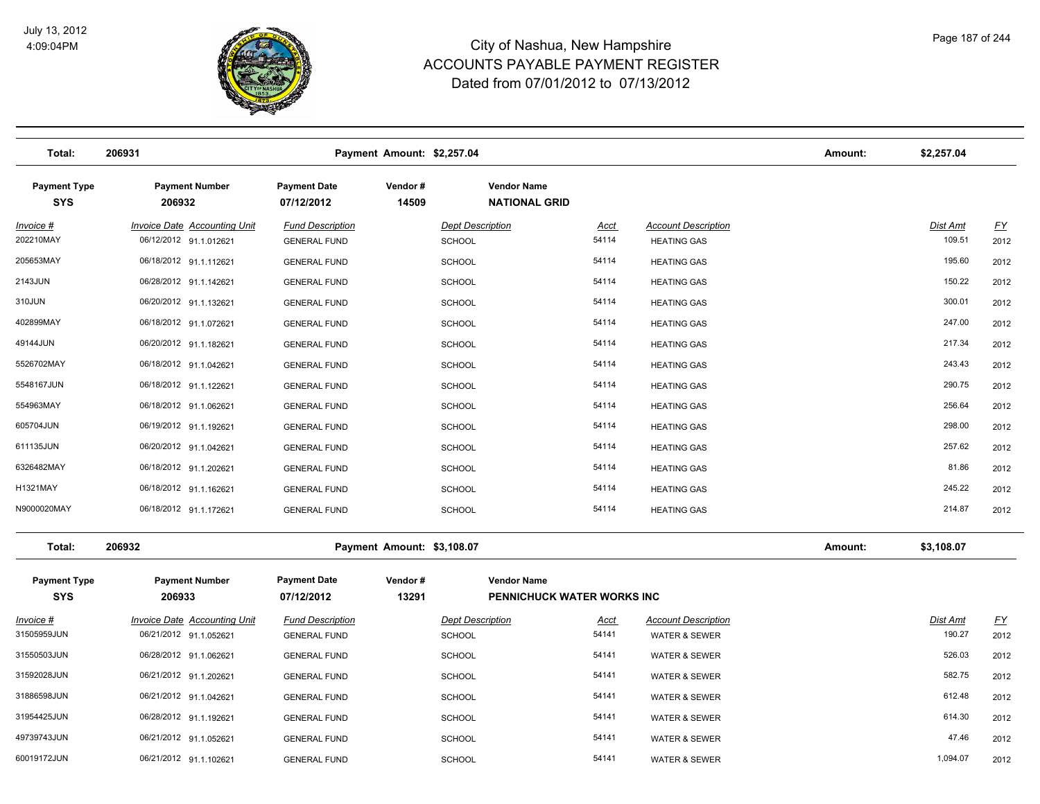

| Total:                            | 206931                                                        |                                                | Payment Amount: \$2,257.04 |                                            |                                   |                                                        | Amount: | \$2,257.04                |                   |
|-----------------------------------|---------------------------------------------------------------|------------------------------------------------|----------------------------|--------------------------------------------|-----------------------------------|--------------------------------------------------------|---------|---------------------------|-------------------|
| <b>Payment Type</b><br><b>SYS</b> | <b>Payment Number</b><br>206932                               | <b>Payment Date</b><br>07/12/2012              | Vendor#<br>14509           | <b>Vendor Name</b><br><b>NATIONAL GRID</b> |                                   |                                                        |         |                           |                   |
| <u> Invoice #</u><br>202210MAY    | <b>Invoice Date Accounting Unit</b><br>06/12/2012 91.1.012621 | <b>Fund Description</b><br><b>GENERAL FUND</b> |                            | <b>Dept Description</b><br>SCHOOL          | <b>Acct</b><br>54114              | <b>Account Description</b><br><b>HEATING GAS</b>       |         | <b>Dist Amt</b><br>109.51 | <u>FY</u><br>2012 |
| 205653MAY                         | 06/18/2012 91.1.112621                                        | <b>GENERAL FUND</b>                            |                            | <b>SCHOOL</b>                              | 54114                             | <b>HEATING GAS</b>                                     |         | 195.60                    | 2012              |
| 2143JUN                           | 06/28/2012 91.1.142621                                        | <b>GENERAL FUND</b>                            |                            | <b>SCHOOL</b>                              | 54114                             | <b>HEATING GAS</b>                                     |         | 150.22                    | 2012              |
| 310JUN                            | 06/20/2012 91.1.132621                                        | <b>GENERAL FUND</b>                            |                            | <b>SCHOOL</b>                              | 54114                             | <b>HEATING GAS</b>                                     |         | 300.01                    | 2012              |
| 402899MAY                         | 06/18/2012 91.1.072621                                        | <b>GENERAL FUND</b>                            |                            | <b>SCHOOL</b>                              | 54114                             | <b>HEATING GAS</b>                                     |         | 247.00                    | 2012              |
| 49144JUN                          | 06/20/2012 91.1.182621                                        | <b>GENERAL FUND</b>                            |                            | <b>SCHOOL</b>                              | 54114                             | <b>HEATING GAS</b>                                     |         | 217.34                    | 2012              |
| 5526702MAY                        | 06/18/2012 91.1.042621                                        | <b>GENERAL FUND</b>                            |                            | <b>SCHOOL</b>                              | 54114                             | <b>HEATING GAS</b>                                     |         | 243.43                    | 2012              |
| 5548167JUN                        | 06/18/2012 91.1.122621                                        | <b>GENERAL FUND</b>                            |                            | <b>SCHOOL</b>                              | 54114                             | <b>HEATING GAS</b>                                     |         | 290.75                    | 2012              |
| 554963MAY                         | 06/18/2012 91.1.062621                                        | <b>GENERAL FUND</b>                            |                            | <b>SCHOOL</b>                              | 54114                             | <b>HEATING GAS</b>                                     |         | 256.64                    | 2012              |
| 605704JUN                         | 06/19/2012 91.1.192621                                        | <b>GENERAL FUND</b>                            |                            | <b>SCHOOL</b>                              | 54114                             | <b>HEATING GAS</b>                                     |         | 298.00                    | 2012              |
| 611135JUN                         | 06/20/2012 91.1.042621                                        | <b>GENERAL FUND</b>                            |                            | <b>SCHOOL</b>                              | 54114                             | <b>HEATING GAS</b>                                     |         | 257.62                    | 2012              |
| 6326482MAY                        | 06/18/2012 91.1.202621                                        | <b>GENERAL FUND</b>                            |                            | <b>SCHOOL</b>                              | 54114                             | <b>HEATING GAS</b>                                     |         | 81.86                     | 2012              |
| H1321MAY                          | 06/18/2012 91.1.162621                                        | <b>GENERAL FUND</b>                            |                            | <b>SCHOOL</b>                              | 54114                             | <b>HEATING GAS</b>                                     |         | 245.22                    | 2012              |
| N9000020MAY                       | 06/18/2012 91.1.172621                                        | <b>GENERAL FUND</b>                            |                            | <b>SCHOOL</b>                              | 54114                             | <b>HEATING GAS</b>                                     |         | 214.87                    | 2012              |
| Total:                            | 206932                                                        |                                                | Payment Amount: \$3,108.07 |                                            |                                   |                                                        | Amount: | \$3,108.07                |                   |
| <b>Payment Type</b><br><b>SYS</b> | <b>Payment Number</b><br>206933                               | <b>Payment Date</b><br>07/12/2012              | Vendor#<br>13291           | <b>Vendor Name</b>                         | <b>PENNICHUCK WATER WORKS INC</b> |                                                        |         |                           |                   |
| <u> Invoice #</u><br>31505959JUN  | <b>Invoice Date Accounting Unit</b><br>06/21/2012 91.1.052621 | <b>Fund Description</b><br><b>GENERAL FUND</b> |                            | <b>Dept Description</b><br><b>SCHOOL</b>   | <b>Acct</b><br>54141              | <b>Account Description</b><br><b>WATER &amp; SEWER</b> |         | Dist Amt<br>190.27        | <u>FY</u><br>2012 |
| 31550503JUN                       | 06/28/2012 91.1.062621                                        | <b>GENERAL FUND</b>                            |                            | <b>SCHOOL</b>                              | 54141                             | <b>WATER &amp; SEWER</b>                               |         | 526.03                    | 2012              |
| 31592028JUN                       | 06/21/2012 91.1.202621                                        | <b>GENERAL FUND</b>                            |                            | <b>SCHOOL</b>                              | 54141                             | <b>WATER &amp; SEWER</b>                               |         | 582.75                    | 2012              |
| 31886598JUN                       | 06/21/2012 91.1.042621                                        | <b>GENERAL FUND</b>                            |                            | SCHOOL                                     | 54141                             | <b>WATER &amp; SEWER</b>                               |         | 612.48                    | 2012              |
| 31954425JUN                       | 06/28/2012 91.1.192621                                        | <b>GENERAL FUND</b>                            |                            | <b>SCHOOL</b>                              | 54141                             | <b>WATER &amp; SEWER</b>                               |         | 614.30                    | 2012              |
| 49739743JUN                       | 06/21/2012 91.1.052621                                        | <b>GENERAL FUND</b>                            |                            | <b>SCHOOL</b>                              | 54141                             | <b>WATER &amp; SEWER</b>                               |         | 47.46                     | 2012              |
| 60019172JUN                       | 06/21/2012 91.1.102621                                        | <b>GENERAL FUND</b>                            |                            | SCHOOL                                     | 54141                             | <b>WATER &amp; SEWER</b>                               |         | 1,094.07                  | 2012              |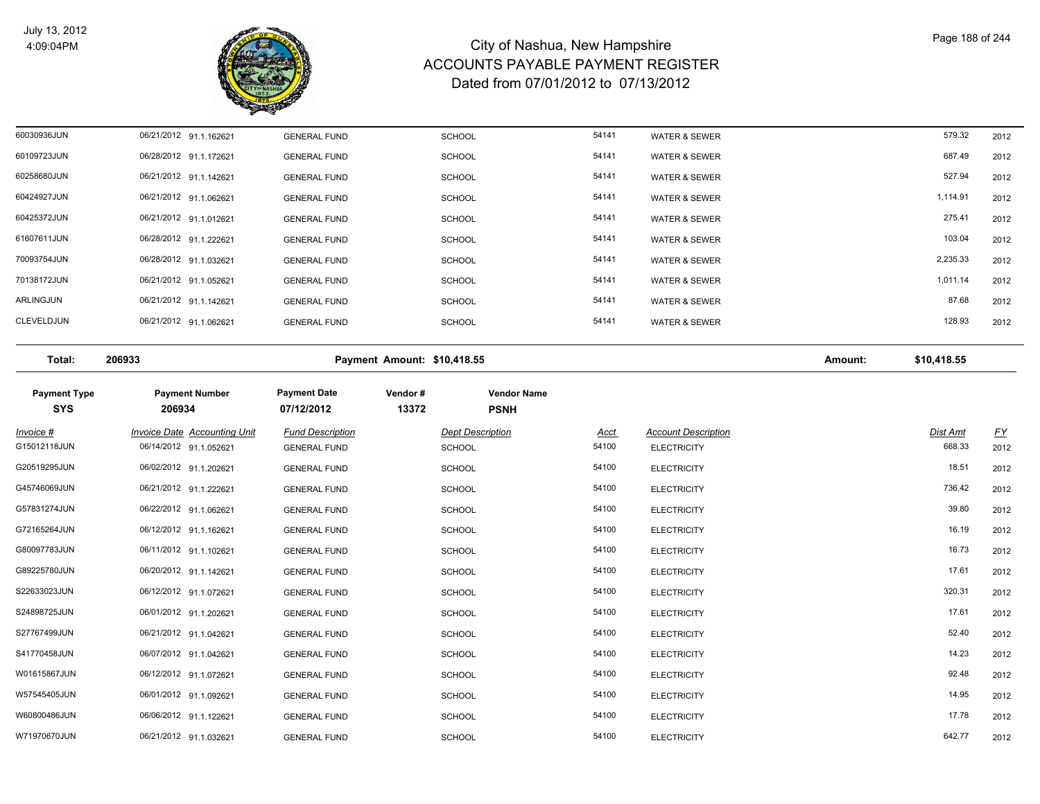

| 60030936JUN | 06/21/2012 91.1.162621 | <b>GENERAL FUND</b> | <b>SCHOOL</b> | 54141 | <b>WATER &amp; SEWER</b> | 579.32   | 2012 |
|-------------|------------------------|---------------------|---------------|-------|--------------------------|----------|------|
| 60109723JUN | 06/28/2012 91.1.172621 | <b>GENERAL FUND</b> | <b>SCHOOL</b> | 54141 | <b>WATER &amp; SEWER</b> | 687.49   | 2012 |
| 60258680JUN | 06/21/2012 91.1.142621 | <b>GENERAL FUND</b> | <b>SCHOOL</b> | 54141 | <b>WATER &amp; SEWER</b> | 527.94   | 2012 |
| 60424927JUN | 06/21/2012 91.1.062621 | <b>GENERAL FUND</b> | <b>SCHOOL</b> | 54141 | <b>WATER &amp; SEWER</b> | 1,114.91 | 2012 |
| 60425372JUN | 06/21/2012 91.1.012621 | <b>GENERAL FUND</b> | <b>SCHOOL</b> | 54141 | <b>WATER &amp; SEWER</b> | 275.41   | 2012 |
| 61607611JUN | 06/28/2012 91.1.222621 | <b>GENERAL FUND</b> | <b>SCHOOL</b> | 54141 | <b>WATER &amp; SEWER</b> | 103.04   | 2012 |
| 70093754JUN | 06/28/2012 91.1.032621 | <b>GENERAL FUND</b> | <b>SCHOOL</b> | 54141 | <b>WATER &amp; SEWER</b> | 2,235.33 | 2012 |
| 70138172JUN | 06/21/2012 91.1.052621 | <b>GENERAL FUND</b> | <b>SCHOOL</b> | 54141 | <b>WATER &amp; SEWER</b> | 1,011.14 | 2012 |
| ARLINGJUN   | 06/21/2012 91.1.142621 | <b>GENERAL FUND</b> | <b>SCHOOL</b> | 54141 | <b>WATER &amp; SEWER</b> | 87.68    | 2012 |
| CLEVELDJUN  | 06/21/2012 91.1.062621 | <b>GENERAL FUND</b> | <b>SCHOOL</b> | 54141 | <b>WATER &amp; SEWER</b> | 128.93   | 2012 |
|             |                        |                     |               |       |                          |          |      |

**Total: 206933 Payment Amount: \$10,418.55 Amount: \$10,418.55** 

| <b>Payment Type</b><br><b>SYS</b> | <b>Payment Number</b><br>206934 | <b>Payment Date</b><br>07/12/2012 | Vendor#<br>13372 | <b>Vendor Name</b><br><b>PSNH</b> |       |                            |          |           |
|-----------------------------------|---------------------------------|-----------------------------------|------------------|-----------------------------------|-------|----------------------------|----------|-----------|
| $Invoice$ #                       | Invoice Date Accounting Unit    | <b>Fund Description</b>           |                  | <b>Dept Description</b>           | Acct  | <b>Account Description</b> | Dist Amt | <u>FY</u> |
| G15012118JUN                      | 06/14/2012 91.1.052621          | <b>GENERAL FUND</b>               |                  | <b>SCHOOL</b>                     | 54100 | <b>ELECTRICITY</b>         | 668.33   | 2012      |
| G20519295JUN                      | 06/02/2012 91.1.202621          | <b>GENERAL FUND</b>               |                  | <b>SCHOOL</b>                     | 54100 | <b>ELECTRICITY</b>         | 18.51    | 2012      |
| G45746069JUN                      | 06/21/2012 91.1.222621          | <b>GENERAL FUND</b>               |                  | <b>SCHOOL</b>                     | 54100 | <b>ELECTRICITY</b>         | 736.42   | 2012      |
| G57831274JUN                      | 06/22/2012 91.1.062621          | <b>GENERAL FUND</b>               |                  | <b>SCHOOL</b>                     | 54100 | <b>ELECTRICITY</b>         | 39.80    | 2012      |
| G72165264JUN                      | 06/12/2012 91.1.162621          | <b>GENERAL FUND</b>               |                  | <b>SCHOOL</b>                     | 54100 | <b>ELECTRICITY</b>         | 16.19    | 2012      |
| G80097783JUN                      | 06/11/2012 91.1.102621          | <b>GENERAL FUND</b>               |                  | <b>SCHOOL</b>                     | 54100 | <b>ELECTRICITY</b>         | 16.73    | 2012      |
| G89225780JUN                      | 06/20/2012 91.1.142621          | <b>GENERAL FUND</b>               |                  | <b>SCHOOL</b>                     | 54100 | <b>ELECTRICITY</b>         | 17.61    | 2012      |
| S22633023JUN                      | 06/12/2012 91.1.072621          | <b>GENERAL FUND</b>               |                  | <b>SCHOOL</b>                     | 54100 | <b>ELECTRICITY</b>         | 320.31   | 2012      |
| S24898725JUN                      | 06/01/2012 91.1.202621          | <b>GENERAL FUND</b>               |                  | <b>SCHOOL</b>                     | 54100 | <b>ELECTRICITY</b>         | 17.61    | 2012      |
| S27767499JUN                      | 06/21/2012 91.1.042621          | <b>GENERAL FUND</b>               |                  | <b>SCHOOL</b>                     | 54100 | <b>ELECTRICITY</b>         | 52.40    | 2012      |
| S41770458JUN                      | 06/07/2012 91.1.042621          | <b>GENERAL FUND</b>               |                  | <b>SCHOOL</b>                     | 54100 | <b>ELECTRICITY</b>         | 14.23    | 2012      |
| W01615867JUN                      | 06/12/2012 91.1.072621          | <b>GENERAL FUND</b>               |                  | <b>SCHOOL</b>                     | 54100 | <b>ELECTRICITY</b>         | 92.48    | 2012      |
| W57545405JUN                      | 06/01/2012 91.1.092621          | <b>GENERAL FUND</b>               |                  | <b>SCHOOL</b>                     | 54100 | <b>ELECTRICITY</b>         | 14.95    | 2012      |
| W60800486JUN                      | 06/06/2012 91.1.122621          | <b>GENERAL FUND</b>               |                  | <b>SCHOOL</b>                     | 54100 | <b>ELECTRICITY</b>         | 17.78    | 2012      |
| W71970670JUN                      | 06/21/2012 91.1.032621          | <b>GENERAL FUND</b>               |                  | <b>SCHOOL</b>                     | 54100 | <b>ELECTRICITY</b>         | 642.77   | 2012      |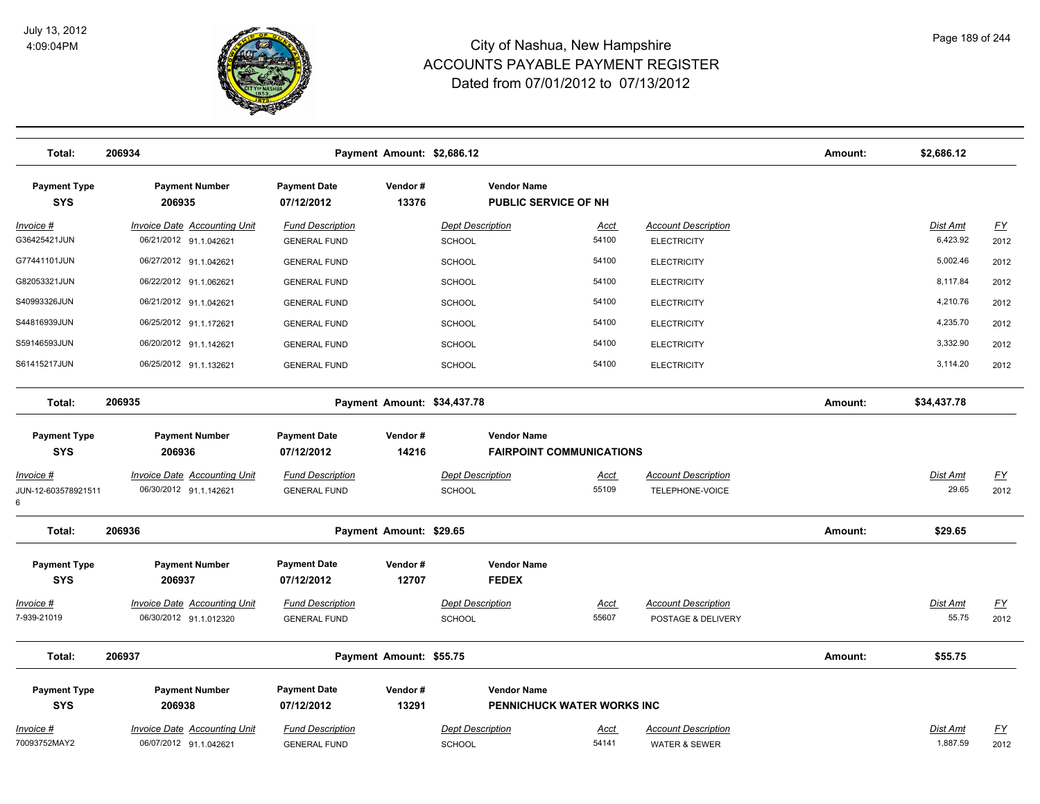

| Total:                                | 206934                                                 |                                                | Payment Amount: \$2,686.12  |                                   |                                                   |                                                        | Amount: | \$2,686.12           |                   |
|---------------------------------------|--------------------------------------------------------|------------------------------------------------|-----------------------------|-----------------------------------|---------------------------------------------------|--------------------------------------------------------|---------|----------------------|-------------------|
| <b>Payment Type</b><br><b>SYS</b>     | <b>Payment Number</b><br>206935                        | <b>Payment Date</b><br>07/12/2012              | Vendor#<br>13376            |                                   | <b>Vendor Name</b><br><b>PUBLIC SERVICE OF NH</b> |                                                        |         |                      |                   |
| <u> Invoice #</u>                     | <b>Invoice Date Accounting Unit</b>                    | <b>Fund Description</b>                        |                             | <b>Dept Description</b>           | <b>Acct</b>                                       | <b>Account Description</b>                             |         | Dist Amt             | <u>FY</u>         |
| G36425421JUN                          | 06/21/2012 91.1.042621                                 | <b>GENERAL FUND</b>                            |                             | <b>SCHOOL</b>                     | 54100                                             | <b>ELECTRICITY</b>                                     |         | 6,423.92             | 2012              |
| G77441101JUN                          | 06/27/2012 91.1.042621                                 | <b>GENERAL FUND</b>                            |                             | SCHOOL                            | 54100                                             | <b>ELECTRICITY</b>                                     |         | 5,002.46             | 2012              |
| G82053321JUN                          | 06/22/2012 91.1.062621                                 | <b>GENERAL FUND</b>                            |                             | <b>SCHOOL</b>                     | 54100                                             | <b>ELECTRICITY</b>                                     |         | 8,117.84             | 2012              |
| S40993326JUN                          | 06/21/2012 91.1.042621                                 | <b>GENERAL FUND</b>                            |                             | <b>SCHOOL</b>                     | 54100                                             | <b>ELECTRICITY</b>                                     |         | 4,210.76             | 2012              |
| S44816939JUN                          | 06/25/2012 91.1.172621                                 | <b>GENERAL FUND</b>                            |                             | <b>SCHOOL</b>                     | 54100                                             | <b>ELECTRICITY</b>                                     |         | 4,235.70             | 2012              |
| S59146593JUN                          | 06/20/2012 91.1.142621                                 | <b>GENERAL FUND</b>                            |                             | <b>SCHOOL</b>                     | 54100                                             | <b>ELECTRICITY</b>                                     |         | 3,332.90             | 2012              |
| S61415217JUN                          | 06/25/2012 91.1.132621                                 | <b>GENERAL FUND</b>                            |                             | <b>SCHOOL</b>                     | 54100                                             | <b>ELECTRICITY</b>                                     |         | 3,114.20             | 2012              |
| Total:                                | 206935                                                 |                                                | Payment Amount: \$34,437.78 |                                   |                                                   |                                                        |         | \$34,437.78          |                   |
| <b>Payment Type</b>                   | <b>Payment Number</b>                                  | <b>Payment Date</b>                            | Vendor#                     |                                   | <b>Vendor Name</b>                                |                                                        |         |                      |                   |
| <b>SYS</b>                            | 206936                                                 | 07/12/2012                                     | 14216                       |                                   | <b>FAIRPOINT COMMUNICATIONS</b>                   |                                                        |         |                      |                   |
| Invoice #<br>JUN-12-603578921511<br>6 | Invoice Date Accounting Unit<br>06/30/2012 91.1.142621 | <b>Fund Description</b><br><b>GENERAL FUND</b> |                             | <b>Dept Description</b><br>SCHOOL | Acct<br>55109                                     | <b>Account Description</b><br>TELEPHONE-VOICE          |         | Dist Amt<br>29.65    | <u>FY</u><br>2012 |
| Total:                                | 206936                                                 |                                                | Payment Amount: \$29.65     |                                   |                                                   |                                                        | Amount: | \$29.65              |                   |
| <b>Payment Type</b><br><b>SYS</b>     | <b>Payment Number</b><br>206937                        | <b>Payment Date</b><br>07/12/2012              | Vendor#<br>12707            | <b>FEDEX</b>                      | <b>Vendor Name</b>                                |                                                        |         |                      |                   |
| Invoice #                             | <b>Invoice Date Accounting Unit</b>                    | <b>Fund Description</b>                        |                             | <b>Dept Description</b>           | <b>Acct</b>                                       | <b>Account Description</b>                             |         | Dist Amt             | <u>FY</u>         |
| 7-939-21019                           | 06/30/2012 91.1.012320                                 | <b>GENERAL FUND</b>                            |                             | SCHOOL                            | 55607                                             | POSTAGE & DELIVERY                                     |         | 55.75                | 2012              |
| Total:                                | 206937                                                 |                                                | Payment Amount: \$55.75     |                                   |                                                   |                                                        | Amount: | \$55.75              |                   |
| <b>Payment Type</b>                   | <b>Payment Number</b>                                  | <b>Payment Date</b>                            | Vendor#                     |                                   | <b>Vendor Name</b>                                |                                                        |         |                      |                   |
| <b>SYS</b>                            | 206938                                                 | 07/12/2012                                     | 13291                       |                                   | PENNICHUCK WATER WORKS INC                        |                                                        |         |                      |                   |
| Invoice #<br>70093752MAY2             | Invoice Date Accounting Unit<br>06/07/2012 91.1.042621 | <b>Fund Description</b><br><b>GENERAL FUND</b> |                             | <b>Dept Description</b><br>SCHOOL | Acct<br>54141                                     | <b>Account Description</b><br><b>WATER &amp; SEWER</b> |         | Dist Amt<br>1,887.59 | <u>FY</u><br>2012 |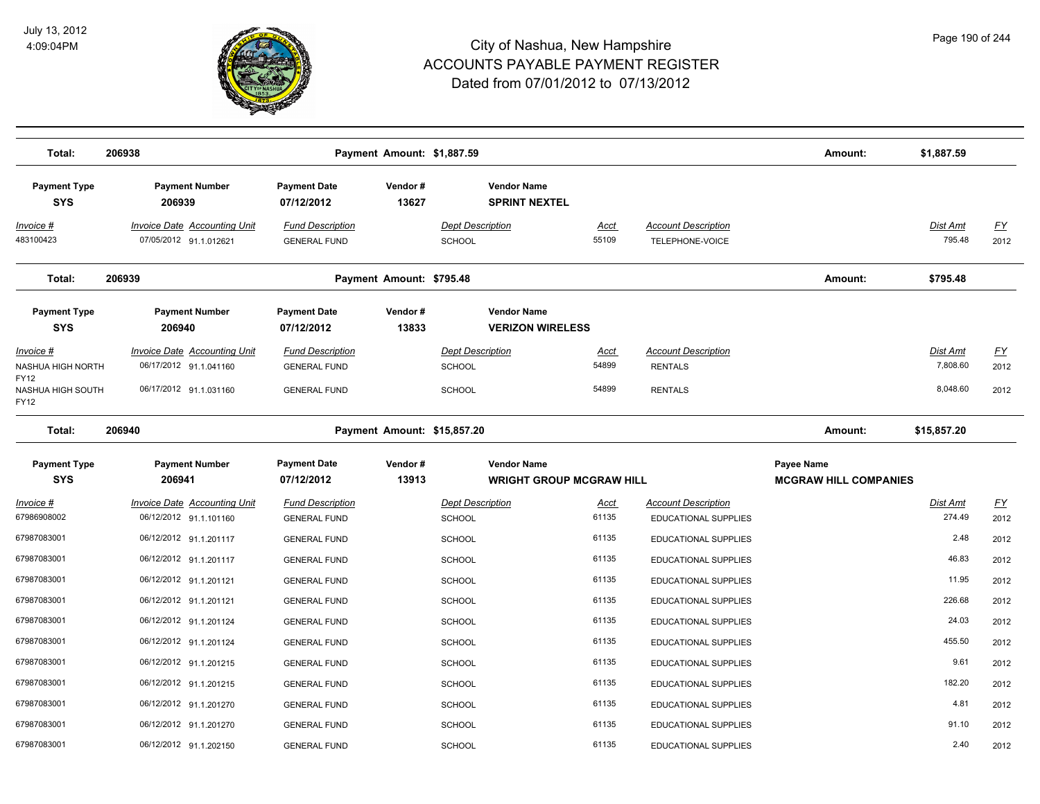

| Total:                                                                            | 206938                                                                                  |                                                                       | Payment Amount: \$1,887.59 |                                                                       |                                 |                                                                | Amount:                                    | \$1,887.59                       |                           |
|-----------------------------------------------------------------------------------|-----------------------------------------------------------------------------------------|-----------------------------------------------------------------------|----------------------------|-----------------------------------------------------------------------|---------------------------------|----------------------------------------------------------------|--------------------------------------------|----------------------------------|---------------------------|
| <b>Payment Type</b><br><b>SYS</b><br>Invoice #                                    | <b>Payment Number</b><br>206939<br><b>Invoice Date Accounting Unit</b>                  | <b>Payment Date</b><br>07/12/2012<br><b>Fund Description</b>          | Vendor#<br>13627           | <b>Vendor Name</b><br><b>SPRINT NEXTEL</b><br><b>Dept Description</b> | <u>Acct</u>                     | <b>Account Description</b>                                     |                                            | <b>Dist Amt</b>                  | <u>FY</u>                 |
| 483100423                                                                         | 07/05/2012 91.1.012621                                                                  | <b>GENERAL FUND</b>                                                   |                            | <b>SCHOOL</b>                                                         | 55109                           | TELEPHONE-VOICE                                                |                                            | 795.48                           | 2012                      |
| Total:                                                                            | 206939                                                                                  |                                                                       | Payment Amount: \$795.48   |                                                                       |                                 |                                                                | Amount:                                    | \$795.48                         |                           |
| <b>Payment Type</b><br><b>SYS</b>                                                 | <b>Payment Number</b><br>206940                                                         | <b>Payment Date</b><br>07/12/2012                                     | Vendor#<br>13833           | <b>Vendor Name</b><br><b>VERIZON WIRELESS</b>                         |                                 |                                                                |                                            |                                  |                           |
| Invoice #<br>NASHUA HIGH NORTH<br><b>FY12</b><br>NASHUA HIGH SOUTH<br><b>FY12</b> | <b>Invoice Date Accounting Unit</b><br>06/17/2012 91.1.041160<br>06/17/2012 91.1.031160 | <b>Fund Description</b><br><b>GENERAL FUND</b><br><b>GENERAL FUND</b> |                            | <b>Dept Description</b><br><b>SCHOOL</b><br><b>SCHOOL</b>             | <u>Acct</u><br>54899<br>54899   | <b>Account Description</b><br><b>RENTALS</b><br><b>RENTALS</b> |                                            | Dist Amt<br>7,808.60<br>8,048.60 | <u>FY</u><br>2012<br>2012 |
| Total:                                                                            | 206940                                                                                  |                                                                       |                            | Payment Amount: \$15,857.20                                           |                                 |                                                                | Amount:                                    | \$15,857.20                      |                           |
| <b>Payment Type</b><br><b>SYS</b>                                                 | <b>Payment Number</b><br>206941                                                         | <b>Payment Date</b><br>07/12/2012                                     | Vendor#<br>13913           | <b>Vendor Name</b>                                                    | <b>WRIGHT GROUP MCGRAW HILL</b> |                                                                | Payee Name<br><b>MCGRAW HILL COMPANIES</b> |                                  |                           |
| Invoice #<br>67986908002                                                          | Invoice Date Accounting Unit<br>06/12/2012 91.1.101160                                  | <b>Fund Description</b><br><b>GENERAL FUND</b>                        |                            | <b>Dept Description</b><br><b>SCHOOL</b>                              | <u>Acct</u><br>61135            | <b>Account Description</b><br><b>EDUCATIONAL SUPPLIES</b>      |                                            | Dist Amt<br>274.49               | <u>FY</u><br>2012         |
| 67987083001                                                                       | 06/12/2012 91.1.201117                                                                  | <b>GENERAL FUND</b>                                                   |                            | <b>SCHOOL</b>                                                         | 61135                           | <b>EDUCATIONAL SUPPLIES</b>                                    |                                            | 2.48                             | 2012                      |
| 67987083001                                                                       | 06/12/2012 91.1.201117                                                                  | <b>GENERAL FUND</b>                                                   |                            | <b>SCHOOL</b>                                                         | 61135                           | EDUCATIONAL SUPPLIES                                           |                                            | 46.83                            | 2012                      |
| 67987083001                                                                       | 06/12/2012 91.1.201121                                                                  | <b>GENERAL FUND</b>                                                   |                            | <b>SCHOOL</b>                                                         | 61135                           | <b>EDUCATIONAL SUPPLIES</b>                                    |                                            | 11.95                            | 2012                      |
| 67987083001                                                                       | 06/12/2012 91.1.201121                                                                  | <b>GENERAL FUND</b>                                                   |                            | <b>SCHOOL</b>                                                         | 61135                           | EDUCATIONAL SUPPLIES                                           |                                            | 226.68                           | 2012                      |
| 67987083001                                                                       | 06/12/2012 91.1.201124                                                                  | <b>GENERAL FUND</b>                                                   |                            | <b>SCHOOL</b>                                                         | 61135                           | <b>EDUCATIONAL SUPPLIES</b>                                    |                                            | 24.03                            | 2012                      |
| 67987083001                                                                       | 06/12/2012 91.1.201124                                                                  | <b>GENERAL FUND</b>                                                   |                            | <b>SCHOOL</b>                                                         | 61135                           | <b>EDUCATIONAL SUPPLIES</b>                                    |                                            | 455.50                           | 2012                      |
| 67987083001                                                                       | 06/12/2012 91.1.201215                                                                  | <b>GENERAL FUND</b>                                                   |                            | <b>SCHOOL</b>                                                         | 61135                           | <b>EDUCATIONAL SUPPLIES</b>                                    |                                            | 9.61                             | 2012                      |
| 67987083001                                                                       | 06/12/2012 91.1.201215                                                                  | <b>GENERAL FUND</b>                                                   |                            | <b>SCHOOL</b>                                                         | 61135                           | EDUCATIONAL SUPPLIES                                           |                                            | 182.20                           | 2012                      |
| 67987083001                                                                       | 06/12/2012 91.1.201270                                                                  | <b>GENERAL FUND</b>                                                   |                            | <b>SCHOOL</b>                                                         | 61135                           | EDUCATIONAL SUPPLIES                                           |                                            | 4.81                             | 2012                      |
| 67987083001                                                                       | 06/12/2012 91.1.201270                                                                  | <b>GENERAL FUND</b>                                                   |                            | <b>SCHOOL</b>                                                         | 61135                           | EDUCATIONAL SUPPLIES                                           |                                            | 91.10                            | 2012                      |
| 67987083001                                                                       | 06/12/2012 91.1.202150                                                                  | <b>GENERAL FUND</b>                                                   |                            | <b>SCHOOL</b>                                                         | 61135                           | EDUCATIONAL SUPPLIES                                           |                                            | 2.40                             | 2012                      |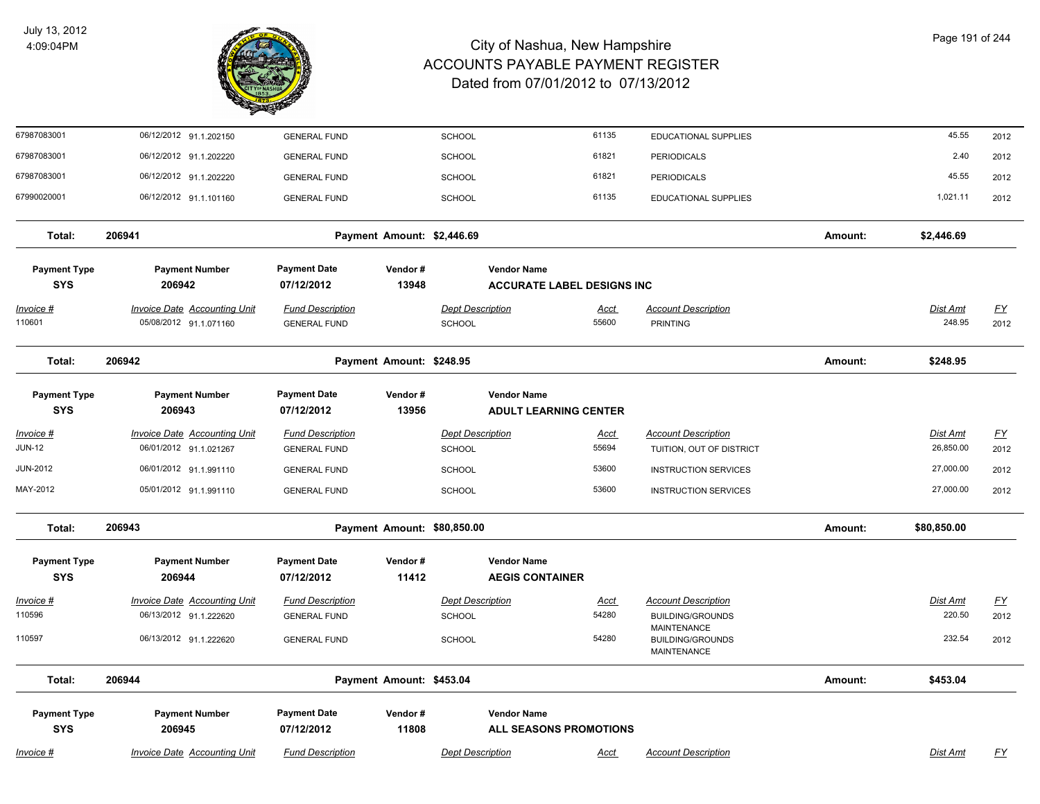

| 67987083001                       | 06/12/2012 91.1.202150                                        | <b>GENERAL FUND</b>                            |                             | <b>SCHOOL</b>                     | 61135                                                   | EDUCATIONAL SUPPLIES                          |         | 45.55                     | 2012              |
|-----------------------------------|---------------------------------------------------------------|------------------------------------------------|-----------------------------|-----------------------------------|---------------------------------------------------------|-----------------------------------------------|---------|---------------------------|-------------------|
| 67987083001                       | 06/12/2012 91.1.202220                                        | <b>GENERAL FUND</b>                            |                             | <b>SCHOOL</b>                     | 61821                                                   | <b>PERIODICALS</b>                            |         | 2.40                      | 2012              |
| 67987083001                       | 06/12/2012 91.1.202220                                        | <b>GENERAL FUND</b>                            |                             | <b>SCHOOL</b>                     | 61821                                                   | <b>PERIODICALS</b>                            |         | 45.55                     | 2012              |
| 67990020001                       | 06/12/2012 91.1.101160                                        | <b>GENERAL FUND</b>                            |                             | <b>SCHOOL</b>                     | 61135                                                   | <b>EDUCATIONAL SUPPLIES</b>                   |         | 1,021.11                  | 2012              |
| Total:                            | 206941                                                        |                                                | Payment Amount: \$2,446.69  |                                   |                                                         |                                               | Amount: | \$2,446.69                |                   |
| <b>Payment Type</b><br><b>SYS</b> | <b>Payment Number</b><br>206942                               | <b>Payment Date</b><br>07/12/2012              | Vendor#<br>13948            |                                   | <b>Vendor Name</b><br><b>ACCURATE LABEL DESIGNS INC</b> |                                               |         |                           |                   |
| Invoice #<br>110601               | <b>Invoice Date Accounting Unit</b><br>05/08/2012 91.1.071160 | <b>Fund Description</b><br><b>GENERAL FUND</b> |                             | <b>Dept Description</b><br>SCHOOL | Acct<br>55600                                           | <b>Account Description</b><br><b>PRINTING</b> |         | <b>Dist Amt</b><br>248.95 | <u>FY</u><br>2012 |
| Total:                            | 206942                                                        |                                                | Payment Amount: \$248.95    |                                   |                                                         |                                               | Amount: | \$248.95                  |                   |
| <b>Payment Type</b><br><b>SYS</b> | <b>Payment Number</b><br>206943                               | <b>Payment Date</b><br>07/12/2012              | Vendor#<br>13956            |                                   | <b>Vendor Name</b><br><b>ADULT LEARNING CENTER</b>      |                                               |         |                           |                   |
| <u> Invoice #</u>                 | <b>Invoice Date Accounting Unit</b>                           | <b>Fund Description</b>                        |                             | <b>Dept Description</b>           | <u>Acct</u>                                             | <b>Account Description</b>                    |         | <b>Dist Amt</b>           | <u>FY</u>         |
| <b>JUN-12</b>                     | 06/01/2012 91.1.021267                                        | <b>GENERAL FUND</b>                            |                             | <b>SCHOOL</b>                     | 55694                                                   | TUITION, OUT OF DISTRICT                      |         | 26,850.00                 | 2012              |
| <b>JUN-2012</b>                   | 06/01/2012 91.1.991110                                        | <b>GENERAL FUND</b>                            |                             | <b>SCHOOL</b>                     | 53600                                                   | <b>INSTRUCTION SERVICES</b>                   |         | 27,000.00                 | 2012              |
| MAY-2012                          | 05/01/2012 91.1.991110                                        | <b>GENERAL FUND</b>                            |                             | SCHOOL                            | 53600                                                   | <b>INSTRUCTION SERVICES</b>                   |         | 27,000.00                 | 2012              |
| Total:                            | 206943                                                        |                                                | Payment Amount: \$80,850.00 |                                   |                                                         |                                               | Amount: | \$80,850.00               |                   |
| <b>Payment Type</b><br><b>SYS</b> | <b>Payment Number</b><br>206944                               | <b>Payment Date</b><br>07/12/2012              | Vendor#<br>11412            |                                   | <b>Vendor Name</b><br><b>AEGIS CONTAINER</b>            |                                               |         |                           |                   |
| Invoice #                         | <b>Invoice Date Accounting Unit</b>                           | <b>Fund Description</b>                        |                             | <b>Dept Description</b>           | <u>Acct</u>                                             | <b>Account Description</b>                    |         | Dist Amt                  | $\underline{FY}$  |
| 110596                            | 06/13/2012 91.1.222620                                        | <b>GENERAL FUND</b>                            |                             | SCHOOL                            | 54280                                                   | <b>BUILDING/GROUNDS</b><br><b>MAINTENANCE</b> |         | 220.50                    | 2012              |
| 110597                            | 06/13/2012 91.1.222620                                        | <b>GENERAL FUND</b>                            |                             | <b>SCHOOL</b>                     | 54280                                                   | <b>BUILDING/GROUNDS</b><br><b>MAINTENANCE</b> |         | 232.54                    | 2012              |
| Total:                            | 206944                                                        |                                                | Payment Amount: \$453.04    |                                   |                                                         |                                               | Amount: | \$453.04                  |                   |
| <b>Payment Type</b><br><b>SYS</b> | <b>Payment Number</b><br>206945                               | <b>Payment Date</b><br>07/12/2012              | Vendor#<br>11808            |                                   | <b>Vendor Name</b><br>ALL SEASONS PROMOTIONS            |                                               |         |                           |                   |
| Invoice #                         | <b>Invoice Date Accounting Unit</b>                           | <b>Fund Description</b>                        |                             | <b>Dept Description</b>           | Acct                                                    | <b>Account Description</b>                    |         | Dist Amt                  | <u>FY</u>         |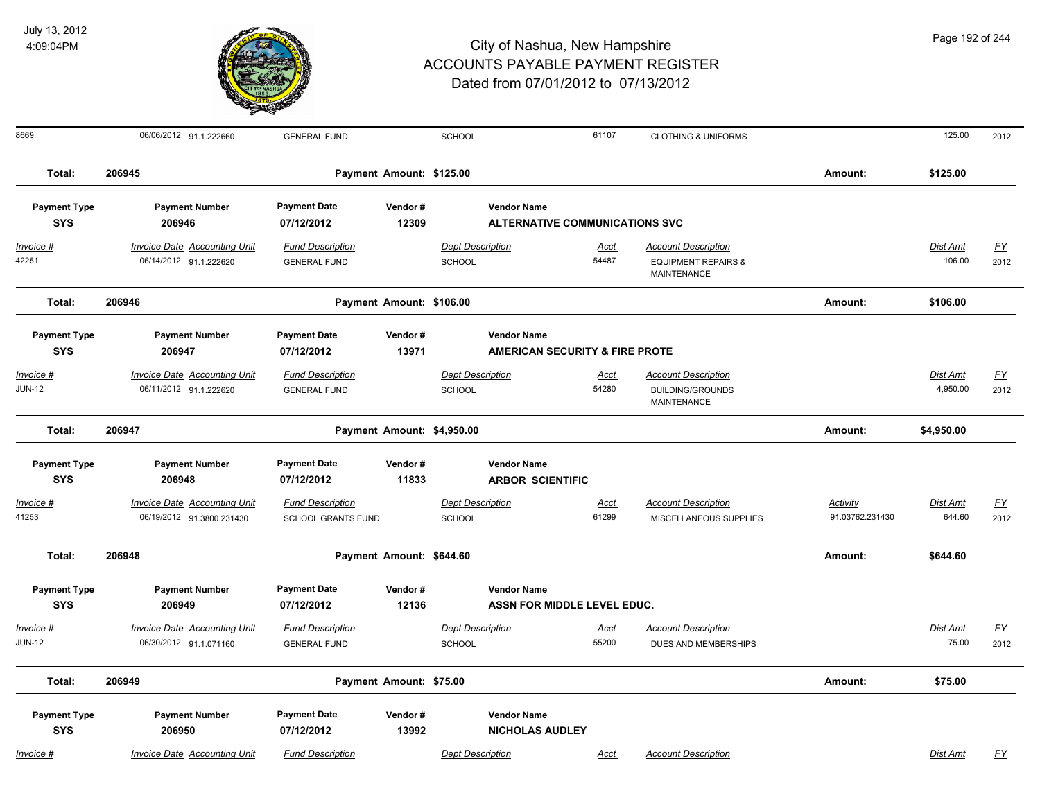

| 8669                              | 06/06/2012 91.1.222660                                           | <b>GENERAL FUND</b>                                  |                            | SCHOOL                            |                                                                 | 61107                | <b>CLOTHING &amp; UNIFORMS</b>                                              |                             | 125.00                    | 2012                     |
|-----------------------------------|------------------------------------------------------------------|------------------------------------------------------|----------------------------|-----------------------------------|-----------------------------------------------------------------|----------------------|-----------------------------------------------------------------------------|-----------------------------|---------------------------|--------------------------|
| Total:                            | 206945                                                           |                                                      | Payment Amount: \$125.00   |                                   |                                                                 |                      |                                                                             | Amount:                     | \$125.00                  |                          |
| <b>Payment Type</b><br><b>SYS</b> | <b>Payment Number</b><br>206946                                  | <b>Payment Date</b><br>07/12/2012                    | Vendor#<br>12309           |                                   | <b>Vendor Name</b><br><b>ALTERNATIVE COMMUNICATIONS SVC</b>     |                      |                                                                             |                             |                           |                          |
| <u>Invoice #</u><br>42251         | <b>Invoice Date Accounting Unit</b><br>06/14/2012 91.1.222620    | <b>Fund Description</b><br><b>GENERAL FUND</b>       |                            | <b>Dept Description</b><br>SCHOOL |                                                                 | <u>Acct</u><br>54487 | <b>Account Description</b><br><b>EQUIPMENT REPAIRS &amp;</b><br>MAINTENANCE |                             | <b>Dist Amt</b><br>106.00 | <u>FY</u><br>2012        |
| Total:                            | 206946                                                           |                                                      | Payment Amount: \$106.00   |                                   |                                                                 |                      |                                                                             | Amount:                     | \$106.00                  |                          |
| <b>Payment Type</b><br><b>SYS</b> | <b>Payment Number</b><br>206947                                  | <b>Payment Date</b><br>07/12/2012                    | Vendor#<br>13971           |                                   | <b>Vendor Name</b><br><b>AMERICAN SECURITY &amp; FIRE PROTE</b> |                      |                                                                             |                             |                           |                          |
| Invoice #<br>JUN-12               | <b>Invoice Date Accounting Unit</b><br>06/11/2012 91.1.222620    | <b>Fund Description</b><br><b>GENERAL FUND</b>       |                            | <b>Dept Description</b><br>SCHOOL |                                                                 | Acct<br>54280        | <b>Account Description</b><br><b>BUILDING/GROUNDS</b><br>MAINTENANCE        |                             | Dist Amt<br>4,950.00      | $\underline{FY}$<br>2012 |
| Total:                            | 206947                                                           |                                                      | Payment Amount: \$4,950.00 |                                   |                                                                 |                      |                                                                             | Amount:                     | \$4,950.00                |                          |
| <b>Payment Type</b><br><b>SYS</b> | <b>Payment Number</b><br>206948                                  | <b>Payment Date</b><br>07/12/2012                    | Vendor#<br>11833           |                                   | <b>Vendor Name</b><br><b>ARBOR SCIENTIFIC</b>                   |                      |                                                                             |                             |                           |                          |
| Invoice #<br>41253                | <b>Invoice Date Accounting Unit</b><br>06/19/2012 91.3800.231430 | <b>Fund Description</b><br><b>SCHOOL GRANTS FUND</b> |                            | <b>Dept Description</b><br>SCHOOL |                                                                 | <b>Acct</b><br>61299 | <b>Account Description</b><br>MISCELLANEOUS SUPPLIES                        | Activity<br>91.03762.231430 | Dist Amt<br>644.60        | $\underline{FY}$<br>2012 |
| Total:                            | 206948                                                           |                                                      | Payment Amount: \$644.60   |                                   |                                                                 |                      |                                                                             | Amount:                     | \$644.60                  |                          |
| <b>Payment Type</b><br><b>SYS</b> | <b>Payment Number</b><br>206949                                  | <b>Payment Date</b><br>07/12/2012                    | Vendor#<br>12136           |                                   | <b>Vendor Name</b><br>ASSN FOR MIDDLE LEVEL EDUC.               |                      |                                                                             |                             |                           |                          |
| Invoice #<br>JUN-12               | <b>Invoice Date Accounting Unit</b><br>06/30/2012 91.1.071160    | <b>Fund Description</b><br><b>GENERAL FUND</b>       |                            | <b>Dept Description</b><br>SCHOOL |                                                                 | Acct<br>55200        | <b>Account Description</b><br>DUES AND MEMBERSHIPS                          |                             | Dist Amt<br>75.00         | <u>FY</u><br>2012        |
| Total:                            | 206949                                                           |                                                      | Payment Amount: \$75.00    |                                   |                                                                 |                      |                                                                             | Amount:                     | \$75.00                   |                          |
| <b>Payment Type</b><br><b>SYS</b> | <b>Payment Number</b><br>206950                                  | <b>Payment Date</b><br>07/12/2012                    | Vendor#<br>13992           |                                   | <b>Vendor Name</b><br><b>NICHOLAS AUDLEY</b>                    |                      |                                                                             |                             |                           |                          |
| Invoice #                         | Invoice Date Accounting Unit                                     | <b>Fund Description</b>                              |                            | <b>Dept Description</b>           |                                                                 | Acct                 | <b>Account Description</b>                                                  |                             | <b>Dist Amt</b>           | FY                       |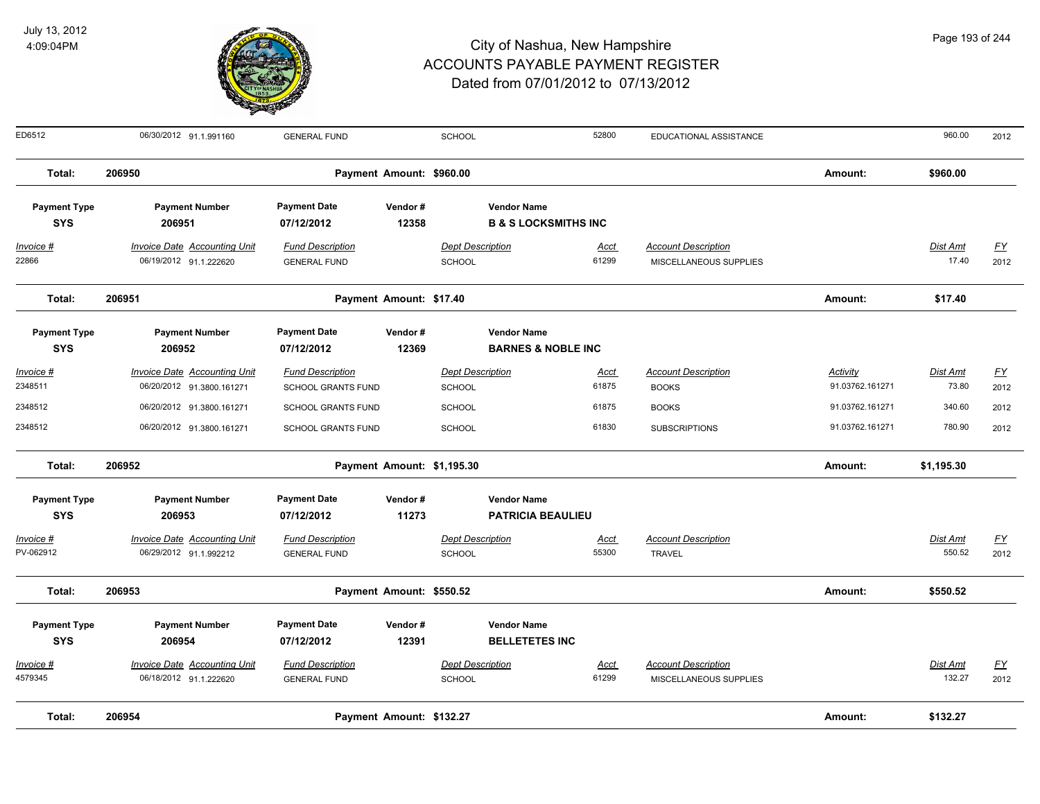

| Page 193 of 244 |
|-----------------|
|-----------------|

| ED6512                            | 06/30/2012 91.1.991160                                           | <b>GENERAL FUND</b>                                  |                            | <b>SCHOOL</b>                            |                                                       | 52800                | EDUCATIONAL ASSISTANCE                               |                             | 960.00                   | 2012                     |
|-----------------------------------|------------------------------------------------------------------|------------------------------------------------------|----------------------------|------------------------------------------|-------------------------------------------------------|----------------------|------------------------------------------------------|-----------------------------|--------------------------|--------------------------|
| Total:                            | 206950                                                           |                                                      | Payment Amount: \$960.00   |                                          |                                                       |                      |                                                      | Amount:                     | \$960.00                 |                          |
| <b>Payment Type</b><br><b>SYS</b> | <b>Payment Number</b><br>206951                                  | <b>Payment Date</b><br>07/12/2012                    | Vendor#<br>12358           |                                          | <b>Vendor Name</b><br><b>B &amp; S LOCKSMITHS INC</b> |                      |                                                      |                             |                          |                          |
| $Invoice$ #<br>22866              | <b>Invoice Date Accounting Unit</b><br>06/19/2012 91.1.222620    | <b>Fund Description</b><br><b>GENERAL FUND</b>       |                            | <b>Dept Description</b><br><b>SCHOOL</b> |                                                       | Acct<br>61299        | <b>Account Description</b><br>MISCELLANEOUS SUPPLIES |                             | <b>Dist Amt</b><br>17.40 | <u>FY</u><br>2012        |
| Total:                            | 206951                                                           |                                                      | Payment Amount: \$17.40    |                                          |                                                       |                      |                                                      | Amount:                     | \$17.40                  |                          |
| <b>Payment Type</b><br><b>SYS</b> | <b>Payment Number</b><br>206952                                  | <b>Payment Date</b><br>07/12/2012                    | Vendor#<br>12369           |                                          | <b>Vendor Name</b><br><b>BARNES &amp; NOBLE INC</b>   |                      |                                                      |                             |                          |                          |
| Invoice #<br>2348511              | <b>Invoice Date Accounting Unit</b><br>06/20/2012 91.3800.161271 | <b>Fund Description</b><br><b>SCHOOL GRANTS FUND</b> |                            | <b>Dept Description</b><br><b>SCHOOL</b> |                                                       | Acct<br>61875        | <b>Account Description</b><br><b>BOOKS</b>           | Activity<br>91.03762.161271 | Dist Amt<br>73.80        | $\underline{FY}$<br>2012 |
| 2348512                           | 06/20/2012 91.3800.161271                                        | <b>SCHOOL GRANTS FUND</b>                            |                            | <b>SCHOOL</b>                            |                                                       | 61875                | <b>BOOKS</b>                                         | 91.03762.161271             | 340.60                   | 2012                     |
| 2348512                           | 06/20/2012 91.3800.161271                                        | SCHOOL GRANTS FUND                                   |                            | SCHOOL                                   |                                                       | 61830                | <b>SUBSCRIPTIONS</b>                                 | 91.03762.161271             | 780.90                   | 2012                     |
| Total:                            | 206952                                                           |                                                      | Payment Amount: \$1,195.30 |                                          |                                                       |                      |                                                      | Amount:                     | \$1,195.30               |                          |
| <b>Payment Type</b><br><b>SYS</b> | <b>Payment Number</b><br>206953                                  | <b>Payment Date</b><br>07/12/2012                    | Vendor#<br>11273           |                                          | <b>Vendor Name</b><br><b>PATRICIA BEAULIEU</b>        |                      |                                                      |                             |                          |                          |
| Invoice #<br>PV-062912            | <b>Invoice Date Accounting Unit</b><br>06/29/2012 91.1.992212    | <b>Fund Description</b><br><b>GENERAL FUND</b>       |                            | <b>Dept Description</b><br><b>SCHOOL</b> |                                                       | <b>Acct</b><br>55300 | <b>Account Description</b><br><b>TRAVEL</b>          |                             | Dist Amt<br>550.52       | $\underline{FY}$<br>2012 |
| Total:                            | 206953                                                           |                                                      | Payment Amount: \$550.52   |                                          |                                                       |                      |                                                      | Amount:                     | \$550.52                 |                          |
| <b>Payment Type</b>               | <b>Payment Number</b>                                            | <b>Payment Date</b>                                  | Vendor#                    |                                          | <b>Vendor Name</b>                                    |                      |                                                      |                             |                          |                          |
| <b>SYS</b>                        | 206954                                                           | 07/12/2012                                           | 12391                      |                                          | <b>BELLETETES INC</b>                                 |                      |                                                      |                             |                          |                          |
| Invoice #<br>4579345              | <b>Invoice Date Accounting Unit</b><br>06/18/2012 91.1.222620    | <b>Fund Description</b><br><b>GENERAL FUND</b>       |                            | <b>Dept Description</b><br><b>SCHOOL</b> |                                                       | Acct<br>61299        | <b>Account Description</b><br>MISCELLANEOUS SUPPLIES |                             | Dist Amt<br>132.27       | <u>FY</u><br>2012        |
| Total:                            | 206954                                                           |                                                      | Payment Amount: \$132.27   |                                          |                                                       |                      |                                                      | Amount:                     | \$132.27                 |                          |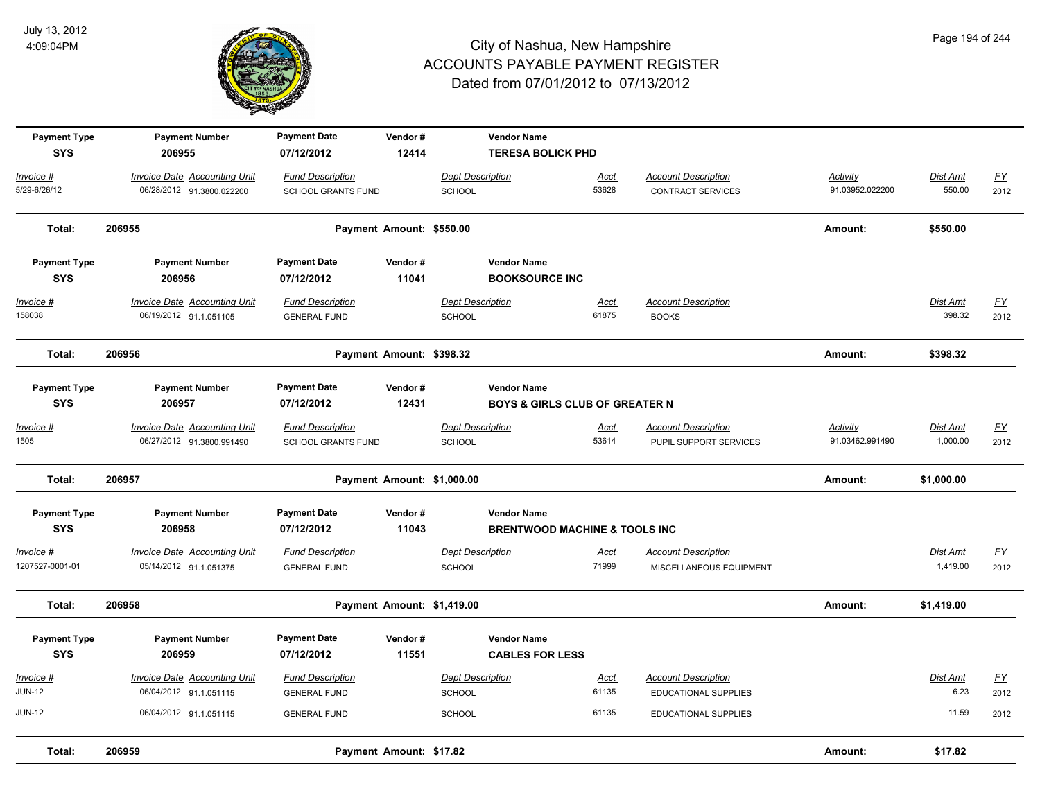

| <b>Payment Type</b><br><b>SYS</b>    | <b>Payment Number</b><br>206955                                  | <b>Payment Date</b><br>07/12/2012              | Vendor#<br>12414         |                                          | <b>Vendor Name</b><br><b>TERESA BOLICK PHD</b>                  |                      |                                                        |                                    |                      |                                   |
|--------------------------------------|------------------------------------------------------------------|------------------------------------------------|--------------------------|------------------------------------------|-----------------------------------------------------------------|----------------------|--------------------------------------------------------|------------------------------------|----------------------|-----------------------------------|
| Invoice #<br>5/29-6/26/12            | <b>Invoice Date Accounting Unit</b><br>06/28/2012 91.3800.022200 | <b>Fund Description</b><br>SCHOOL GRANTS FUND  |                          | <b>Dept Description</b><br><b>SCHOOL</b> |                                                                 | Acct<br>53628        | <b>Account Description</b><br><b>CONTRACT SERVICES</b> | <b>Activity</b><br>91.03952.022200 | Dist Amt<br>550.00   | $\underline{\mathsf{FY}}$<br>2012 |
| Total:                               | 206955                                                           |                                                | Payment Amount: \$550.00 |                                          |                                                                 |                      |                                                        | Amount:                            | \$550.00             |                                   |
| <b>Payment Type</b><br><b>SYS</b>    | <b>Payment Number</b><br>206956                                  | <b>Payment Date</b><br>07/12/2012              | Vendor#<br>11041         |                                          | <b>Vendor Name</b><br><b>BOOKSOURCE INC</b>                     |                      |                                                        |                                    |                      |                                   |
| Invoice #<br>158038                  | <b>Invoice Date Accounting Unit</b><br>06/19/2012 91.1.051105    | <b>Fund Description</b><br><b>GENERAL FUND</b> |                          | <b>Dept Description</b><br>SCHOOL        |                                                                 | Acct<br>61875        | <b>Account Description</b><br><b>BOOKS</b>             |                                    | Dist Amt<br>398.32   | <u>FY</u><br>2012                 |
| Total:                               | 206956                                                           |                                                | Payment Amount: \$398.32 |                                          |                                                                 |                      |                                                        | Amount:                            | \$398.32             |                                   |
| <b>Payment Type</b><br><b>SYS</b>    | <b>Payment Number</b><br>206957                                  | <b>Payment Date</b><br>07/12/2012              | Vendor#<br>12431         |                                          | <b>Vendor Name</b><br><b>BOYS &amp; GIRLS CLUB OF GREATER N</b> |                      |                                                        |                                    |                      |                                   |
| <u> Invoice #</u><br>1505            | <b>Invoice Date Accounting Unit</b><br>06/27/2012 91.3800.991490 | <b>Fund Description</b><br>SCHOOL GRANTS FUND  |                          | <b>Dept Description</b><br><b>SCHOOL</b> |                                                                 | Acct<br>53614        | <b>Account Description</b><br>PUPIL SUPPORT SERVICES   | Activity<br>91.03462.991490        | Dist Amt<br>1,000.00 | <u>FY</u><br>2012                 |
| Total:                               | 206957                                                           |                                                |                          | Payment Amount: \$1,000.00               |                                                                 |                      |                                                        | Amount:                            | \$1,000.00           |                                   |
| <b>Payment Type</b><br><b>SYS</b>    | <b>Payment Number</b><br>206958                                  | <b>Payment Date</b><br>07/12/2012              | Vendor#<br>11043         |                                          | <b>Vendor Name</b><br><b>BRENTWOOD MACHINE &amp; TOOLS INC</b>  |                      |                                                        |                                    |                      |                                   |
| <u> Invoice #</u><br>1207527-0001-01 | <b>Invoice Date Accounting Unit</b><br>05/14/2012 91.1.051375    | <b>Fund Description</b><br><b>GENERAL FUND</b> |                          | <b>Dept Description</b><br><b>SCHOOL</b> |                                                                 | <b>Acct</b><br>71999 | <b>Account Description</b><br>MISCELLANEOUS EQUIPMENT  |                                    | Dist Amt<br>1,419.00 | <u>FY</u><br>2012                 |
| Total:                               | 206958                                                           |                                                |                          | Payment Amount: \$1,419.00               |                                                                 |                      |                                                        | Amount:                            | \$1,419.00           |                                   |
| <b>Payment Type</b><br><b>SYS</b>    | <b>Payment Number</b><br>206959                                  | <b>Payment Date</b><br>07/12/2012              | Vendor#<br>11551         |                                          | <b>Vendor Name</b><br><b>CABLES FOR LESS</b>                    |                      |                                                        |                                    |                      |                                   |
| Invoice #                            | <b>Invoice Date Accounting Unit</b>                              | <b>Fund Description</b>                        |                          | <b>Dept Description</b>                  |                                                                 | <u>Acct</u>          | <b>Account Description</b>                             |                                    | Dist Amt             | <u>FY</u>                         |
| JUN-12<br>JUN-12                     | 06/04/2012 91.1.051115<br>06/04/2012 91.1.051115                 | <b>GENERAL FUND</b><br><b>GENERAL FUND</b>     |                          | SCHOOL<br><b>SCHOOL</b>                  |                                                                 | 61135<br>61135       | <b>EDUCATIONAL SUPPLIES</b><br>EDUCATIONAL SUPPLIES    |                                    | 6.23<br>11.59        | 2012<br>2012                      |
| Total:                               | 206959                                                           |                                                | Payment Amount: \$17.82  |                                          |                                                                 |                      |                                                        | Amount:                            | \$17.82              |                                   |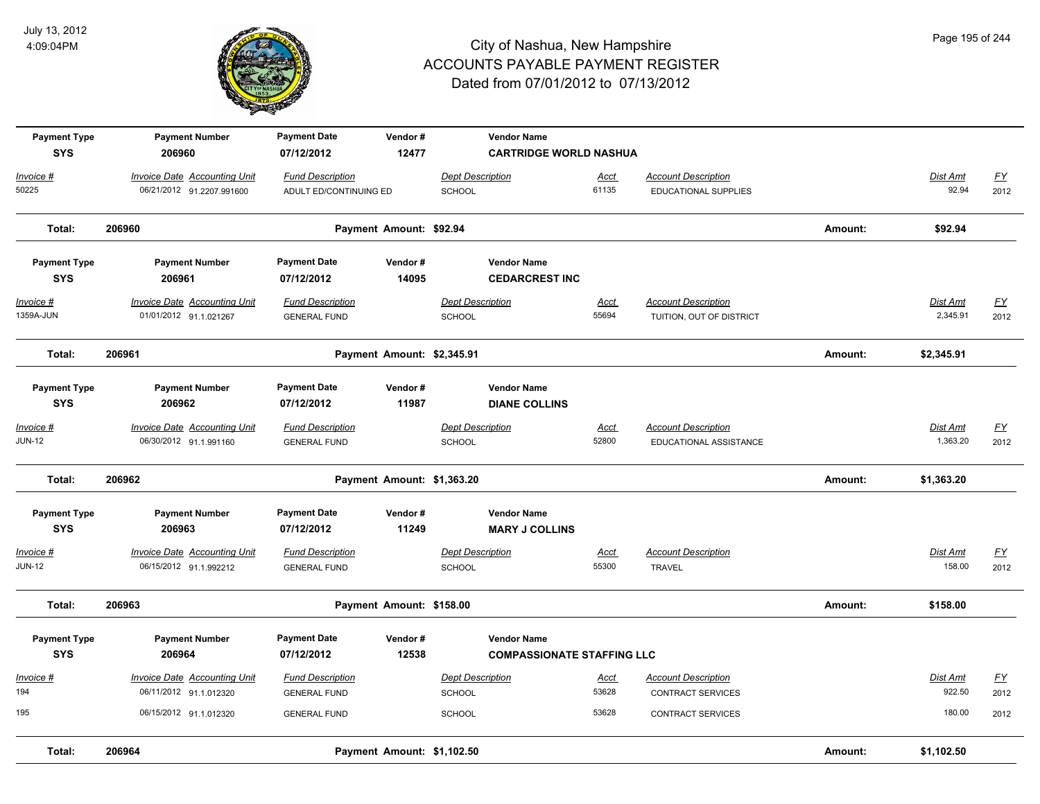

| 195                               | 06/15/2012 91.1.012320                                           | <b>GENERAL FUND</b>                               |                            | <b>SCHOOL</b>                                           | 53628                | <b>CONTRACT SERVICES</b>                                  |         | 180.00                      | 2012                              |
|-----------------------------------|------------------------------------------------------------------|---------------------------------------------------|----------------------------|---------------------------------------------------------|----------------------|-----------------------------------------------------------|---------|-----------------------------|-----------------------------------|
| Invoice #<br>194                  | <b>Invoice Date Accounting Unit</b><br>06/11/2012 91.1.012320    | <b>Fund Description</b><br><b>GENERAL FUND</b>    |                            | <b>Dept Description</b><br><b>SCHOOL</b>                | <u>Acct</u><br>53628 | <b>Account Description</b><br>CONTRACT SERVICES           |         | <b>Dist Amt</b><br>922.50   | $\underline{\mathsf{FY}}$<br>2012 |
| <b>Payment Type</b><br><b>SYS</b> | <b>Payment Number</b><br>206964                                  | <b>Payment Date</b><br>07/12/2012                 | Vendor#<br>12538           | <b>Vendor Name</b><br><b>COMPASSIONATE STAFFING LLC</b> |                      |                                                           |         |                             |                                   |
| Total:                            | 206963                                                           |                                                   | Payment Amount: \$158.00   |                                                         |                      |                                                           | Amount: | \$158.00                    |                                   |
| Invoice #<br><b>JUN-12</b>        | <b>Invoice Date Accounting Unit</b><br>06/15/2012 91.1.992212    | <b>Fund Description</b><br><b>GENERAL FUND</b>    |                            | <b>Dept Description</b><br>SCHOOL                       | Acct<br>55300        | <b>Account Description</b><br><b>TRAVEL</b>               |         | Dist Amt<br>158.00          | $\underline{FY}$<br>2012          |
| <b>Payment Type</b><br><b>SYS</b> | <b>Payment Number</b><br>206963                                  | <b>Payment Date</b><br>07/12/2012                 | Vendor#<br>11249           | <b>Vendor Name</b><br><b>MARY J COLLINS</b>             |                      |                                                           |         |                             |                                   |
| Total:                            | 206962                                                           |                                                   | Payment Amount: \$1,363.20 |                                                         |                      |                                                           | Amount: | \$1,363.20                  |                                   |
| Invoice #<br><b>JUN-12</b>        | Invoice Date Accounting Unit<br>06/30/2012 91.1.991160           | <b>Fund Description</b><br><b>GENERAL FUND</b>    |                            | <b>Dept Description</b><br><b>SCHOOL</b>                | Acct<br>52800        | <b>Account Description</b><br>EDUCATIONAL ASSISTANCE      |         | Dist Amt<br>1,363.20        | $\underline{\mathsf{FY}}$<br>2012 |
| <b>Payment Type</b><br><b>SYS</b> | <b>Payment Number</b><br>206962                                  | <b>Payment Date</b><br>07/12/2012                 | Vendor#<br>11987           | <b>Vendor Name</b><br><b>DIANE COLLINS</b>              |                      |                                                           |         |                             |                                   |
| Total:                            | 206961                                                           |                                                   | Payment Amount: \$2,345.91 |                                                         |                      |                                                           | Amount: | \$2,345.91                  |                                   |
| Invoice #<br>1359A-JUN            | <b>Invoice Date Accounting Unit</b><br>01/01/2012 91.1.021267    | <b>Fund Description</b><br><b>GENERAL FUND</b>    |                            | <b>Dept Description</b><br>SCHOOL                       | <b>Acct</b><br>55694 | <b>Account Description</b><br>TUITION, OUT OF DISTRICT    |         | <b>Dist Amt</b><br>2,345.91 | EY<br>2012                        |
| <b>Payment Type</b><br><b>SYS</b> | <b>Payment Number</b><br>206961                                  | <b>Payment Date</b><br>07/12/2012                 | Vendor#<br>14095           | <b>Vendor Name</b><br><b>CEDARCREST INC</b>             |                      |                                                           |         |                             |                                   |
| Total:                            | 206960                                                           |                                                   | Payment Amount: \$92.94    |                                                         |                      |                                                           | Amount: | \$92.94                     |                                   |
| Invoice #<br>50225                | <b>Invoice Date Accounting Unit</b><br>06/21/2012 91.2207.991600 | <b>Fund Description</b><br>ADULT ED/CONTINUING ED |                            | <b>Dept Description</b><br><b>SCHOOL</b>                | Acct<br>61135        | <b>Account Description</b><br><b>EDUCATIONAL SUPPLIES</b> |         | Dist Amt<br>92.94           | <u>FY</u><br>2012                 |
| <b>Payment Type</b><br><b>SYS</b> | <b>Payment Number</b><br>206960                                  | <b>Payment Date</b><br>07/12/2012                 | Vendor#<br>12477           | <b>Vendor Name</b><br><b>CARTRIDGE WORLD NASHUA</b>     |                      |                                                           |         |                             |                                   |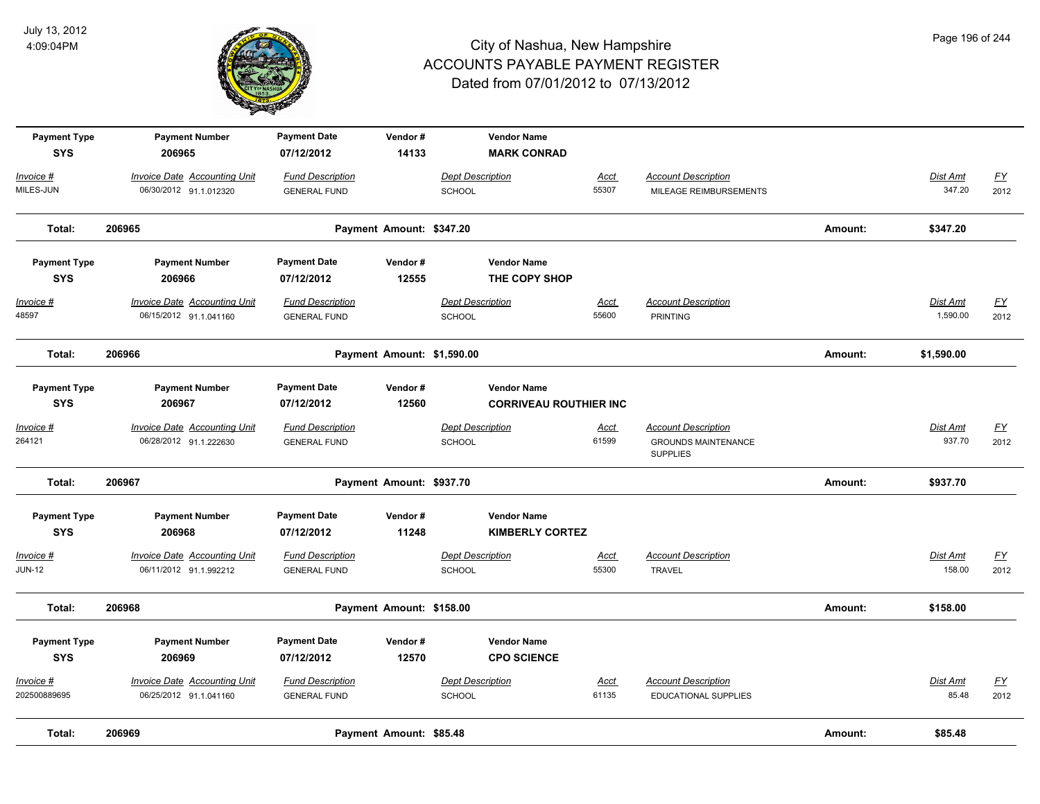

| <b>Payment Type</b><br><b>SYS</b> | <b>Payment Number</b><br>206965     | <b>Payment Date</b><br>07/12/2012 | Vendor#<br>14133           |                         | <b>Vendor Name</b><br><b>MARK CONRAD</b>            |             |                                               |         |                 |                  |
|-----------------------------------|-------------------------------------|-----------------------------------|----------------------------|-------------------------|-----------------------------------------------------|-------------|-----------------------------------------------|---------|-----------------|------------------|
| Invoice #                         | <b>Invoice Date Accounting Unit</b> | <b>Fund Description</b>           |                            | <b>Dept Description</b> |                                                     | <b>Acct</b> | <b>Account Description</b>                    |         | Dist Amt        | <u>FY</u>        |
| MILES-JUN                         | 06/30/2012 91.1.012320              | <b>GENERAL FUND</b>               |                            | SCHOOL                  |                                                     | 55307       | MILEAGE REIMBURSEMENTS                        |         | 347.20          | 2012             |
| Total:                            | 206965                              |                                   | Payment Amount: \$347.20   |                         |                                                     |             |                                               | Amount: | \$347.20        |                  |
| <b>Payment Type</b>               | <b>Payment Number</b>               | <b>Payment Date</b>               | Vendor#                    |                         | <b>Vendor Name</b>                                  |             |                                               |         |                 |                  |
| <b>SYS</b>                        | 206966                              | 07/12/2012                        | 12555                      |                         | THE COPY SHOP                                       |             |                                               |         |                 |                  |
| Invoice #                         | <b>Invoice Date Accounting Unit</b> | <b>Fund Description</b>           |                            | <b>Dept Description</b> |                                                     | <u>Acct</u> | <b>Account Description</b>                    |         | <b>Dist Amt</b> | <u>FY</u>        |
| 48597                             | 06/15/2012 91.1.041160              | <b>GENERAL FUND</b>               |                            | SCHOOL                  |                                                     | 55600       | <b>PRINTING</b>                               |         | 1,590.00        | 2012             |
| Total:                            | 206966                              |                                   | Payment Amount: \$1,590.00 |                         |                                                     |             |                                               | Amount: | \$1,590.00      |                  |
| <b>Payment Type</b><br><b>SYS</b> | <b>Payment Number</b><br>206967     | <b>Payment Date</b><br>07/12/2012 | Vendor#<br>12560           |                         | <b>Vendor Name</b><br><b>CORRIVEAU ROUTHIER INC</b> |             |                                               |         |                 |                  |
| Invoice #                         | <b>Invoice Date Accounting Unit</b> | <b>Fund Description</b>           |                            | <b>Dept Description</b> |                                                     | <u>Acct</u> | <b>Account Description</b>                    |         | Dist Amt        | $\underline{FY}$ |
| 264121                            | 06/28/2012 91.1.222630              | <b>GENERAL FUND</b>               |                            | <b>SCHOOL</b>           |                                                     | 61599       | <b>GROUNDS MAINTENANCE</b><br><b>SUPPLIES</b> |         | 937.70          | 2012             |
| Total:                            | 206967                              |                                   | Payment Amount: \$937.70   |                         |                                                     |             |                                               | Amount: | \$937.70        |                  |
| <b>Payment Type</b>               | <b>Payment Number</b>               | <b>Payment Date</b>               | Vendor#                    |                         | <b>Vendor Name</b>                                  |             |                                               |         |                 |                  |
| <b>SYS</b>                        | 206968                              | 07/12/2012                        | 11248                      |                         | <b>KIMBERLY CORTEZ</b>                              |             |                                               |         |                 |                  |
| Invoice #                         | Invoice Date Accounting Unit        | <b>Fund Description</b>           |                            | <b>Dept Description</b> |                                                     | Acct        | <b>Account Description</b>                    |         | Dist Amt        | <u>FY</u>        |
| JUN-12                            | 06/11/2012 91.1.992212              | <b>GENERAL FUND</b>               |                            | SCHOOL                  |                                                     | 55300       | <b>TRAVEL</b>                                 |         | 158.00          | 2012             |
| Total:                            | 206968                              |                                   | Payment Amount: \$158.00   |                         |                                                     |             |                                               | Amount: | \$158.00        |                  |
| <b>Payment Type</b>               | <b>Payment Number</b>               | <b>Payment Date</b>               | Vendor#                    |                         | <b>Vendor Name</b>                                  |             |                                               |         |                 |                  |
| <b>SYS</b>                        | 206969                              | 07/12/2012                        | 12570                      |                         | <b>CPO SCIENCE</b>                                  |             |                                               |         |                 |                  |
| Invoice #                         | <b>Invoice Date Accounting Unit</b> | <b>Fund Description</b>           |                            | <b>Dept Description</b> |                                                     | <u>Acct</u> | <b>Account Description</b>                    |         | Dist Amt        | $\underline{FY}$ |
| 202500889695                      | 06/25/2012 91.1.041160              | <b>GENERAL FUND</b>               |                            | <b>SCHOOL</b>           |                                                     | 61135       | EDUCATIONAL SUPPLIES                          |         | 85.48           | 2012             |
| Total:                            | 206969                              |                                   | Payment Amount: \$85.48    |                         |                                                     |             |                                               | Amount: | \$85.48         |                  |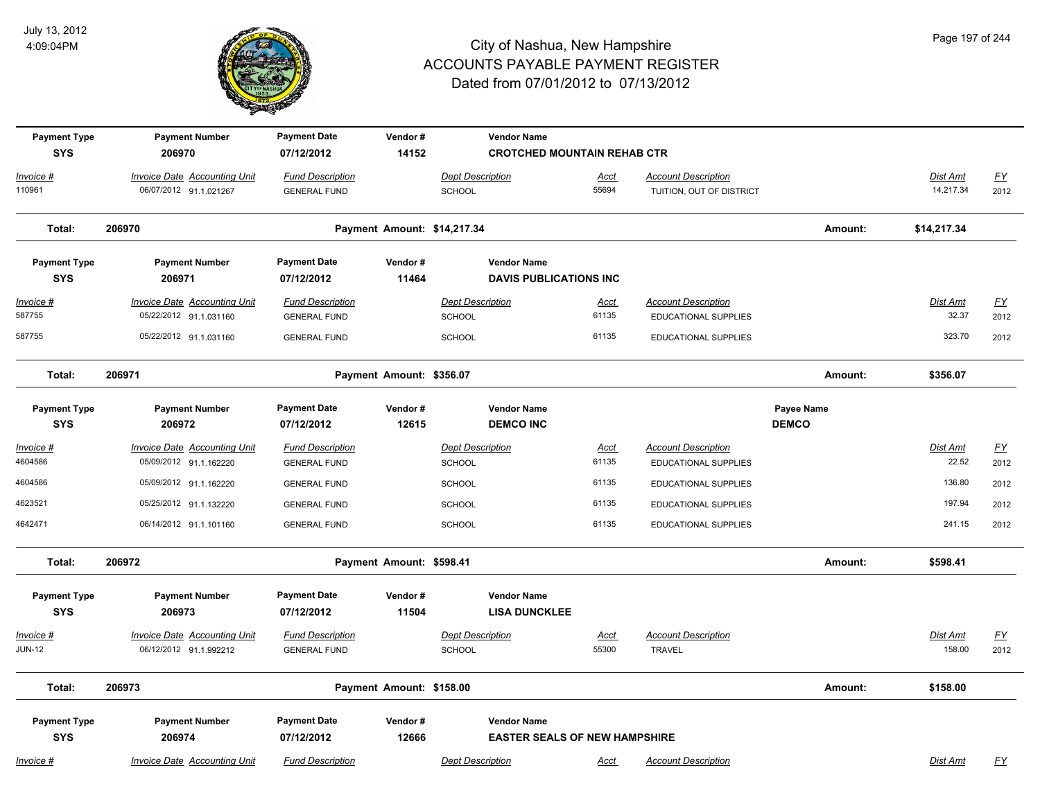

| <b>Payment Type</b><br><b>SYS</b> | <b>Payment Number</b><br>206970                               | <b>Payment Date</b><br>07/12/2012              | Vendor#<br>14152            |                                          | <b>Vendor Name</b><br><b>CROTCHED MOUNTAIN REHAB CTR</b> |                      |                                                    |                            |                    |                   |
|-----------------------------------|---------------------------------------------------------------|------------------------------------------------|-----------------------------|------------------------------------------|----------------------------------------------------------|----------------------|----------------------------------------------------|----------------------------|--------------------|-------------------|
| Invoice #                         | <b>Invoice Date Accounting Unit</b>                           | <b>Fund Description</b>                        |                             | <b>Dept Description</b>                  |                                                          | <u>Acct</u>          | <b>Account Description</b>                         |                            | Dist Amt           | <u>FY</u>         |
| 110961                            | 06/07/2012 91.1.021267                                        | <b>GENERAL FUND</b>                            |                             | <b>SCHOOL</b>                            |                                                          | 55694                | TUITION, OUT OF DISTRICT                           |                            | 14,217.34          | 2012              |
| Total:                            | 206970                                                        |                                                | Payment Amount: \$14,217.34 |                                          |                                                          |                      |                                                    | Amount:                    | \$14,217.34        |                   |
| <b>Payment Type</b>               | <b>Payment Number</b>                                         | <b>Payment Date</b>                            | Vendor#                     |                                          | <b>Vendor Name</b>                                       |                      |                                                    |                            |                    |                   |
| <b>SYS</b>                        | 206971                                                        | 07/12/2012                                     | 11464                       |                                          | <b>DAVIS PUBLICATIONS INC</b>                            |                      |                                                    |                            |                    |                   |
| Invoice #<br>587755               | <b>Invoice Date Accounting Unit</b><br>05/22/2012 91.1.031160 | <b>Fund Description</b><br><b>GENERAL FUND</b> |                             | <b>Dept Description</b><br><b>SCHOOL</b> |                                                          | <u>Acct</u><br>61135 | <b>Account Description</b><br>EDUCATIONAL SUPPLIES |                            | Dist Amt<br>32.37  | <u>FY</u><br>2012 |
| 587755                            | 05/22/2012 91.1.031160                                        | <b>GENERAL FUND</b>                            |                             | SCHOOL                                   |                                                          | 61135                | EDUCATIONAL SUPPLIES                               |                            | 323.70             | 2012              |
| Total:                            | 206971                                                        |                                                | Payment Amount: \$356.07    |                                          |                                                          |                      |                                                    | Amount:                    | \$356.07           |                   |
| <b>Payment Type</b><br><b>SYS</b> | <b>Payment Number</b><br>206972                               | <b>Payment Date</b><br>07/12/2012              | Vendor#<br>12615            |                                          | <b>Vendor Name</b><br><b>DEMCO INC</b>                   |                      |                                                    | Payee Name<br><b>DEMCO</b> |                    |                   |
| Invoice #                         | <b>Invoice Date Accounting Unit</b>                           | <b>Fund Description</b>                        |                             | <b>Dept Description</b>                  |                                                          | <u>Acct</u>          | <b>Account Description</b>                         |                            | Dist Amt           | <u>FY</u>         |
| 4604586                           | 05/09/2012 91.1.162220                                        | <b>GENERAL FUND</b>                            |                             | <b>SCHOOL</b>                            |                                                          | 61135                | EDUCATIONAL SUPPLIES                               |                            | 22.52              | 2012              |
| 4604586                           | 05/09/2012 91.1.162220                                        | <b>GENERAL FUND</b>                            |                             | <b>SCHOOL</b>                            |                                                          | 61135                | EDUCATIONAL SUPPLIES                               |                            | 136.80             | 2012              |
| 4623521                           | 05/25/2012 91.1.132220                                        | <b>GENERAL FUND</b>                            |                             | <b>SCHOOL</b>                            |                                                          | 61135                | EDUCATIONAL SUPPLIES                               |                            | 197.94             | 2012              |
| 4642471                           | 06/14/2012 91.1.101160                                        | <b>GENERAL FUND</b>                            |                             | <b>SCHOOL</b>                            |                                                          | 61135                | EDUCATIONAL SUPPLIES                               |                            | 241.15             | 2012              |
| Total:                            | 206972                                                        |                                                | Payment Amount: \$598.41    |                                          |                                                          |                      |                                                    | Amount:                    | \$598.41           |                   |
| <b>Payment Type</b>               | <b>Payment Number</b>                                         | <b>Payment Date</b>                            | Vendor#                     |                                          | <b>Vendor Name</b>                                       |                      |                                                    |                            |                    |                   |
| <b>SYS</b>                        | 206973                                                        | 07/12/2012                                     | 11504                       |                                          | <b>LISA DUNCKLEE</b>                                     |                      |                                                    |                            |                    |                   |
| Invoice #<br><b>JUN-12</b>        | <b>Invoice Date Accounting Unit</b><br>06/12/2012 91.1.992212 | <b>Fund Description</b><br><b>GENERAL FUND</b> |                             | <b>Dept Description</b><br><b>SCHOOL</b> |                                                          | Acct<br>55300        | <b>Account Description</b><br><b>TRAVEL</b>        |                            | Dist Amt<br>158.00 | <u>FY</u><br>2012 |
| Total:                            | 206973                                                        |                                                | Payment Amount: \$158.00    |                                          |                                                          |                      |                                                    | Amount:                    | \$158.00           |                   |
| <b>Payment Type</b>               | <b>Payment Number</b>                                         | <b>Payment Date</b>                            | Vendor#                     |                                          | <b>Vendor Name</b>                                       |                      |                                                    |                            |                    |                   |
| <b>SYS</b>                        | 206974                                                        | 07/12/2012                                     | 12666                       |                                          | <b>EASTER SEALS OF NEW HAMPSHIRE</b>                     |                      |                                                    |                            |                    |                   |
| Invoice #                         | <b>Invoice Date Accounting Unit</b>                           | <b>Fund Description</b>                        |                             | <b>Dept Description</b>                  |                                                          | Acct                 | <b>Account Description</b>                         |                            | <b>Dist Amt</b>    | <u>FY</u>         |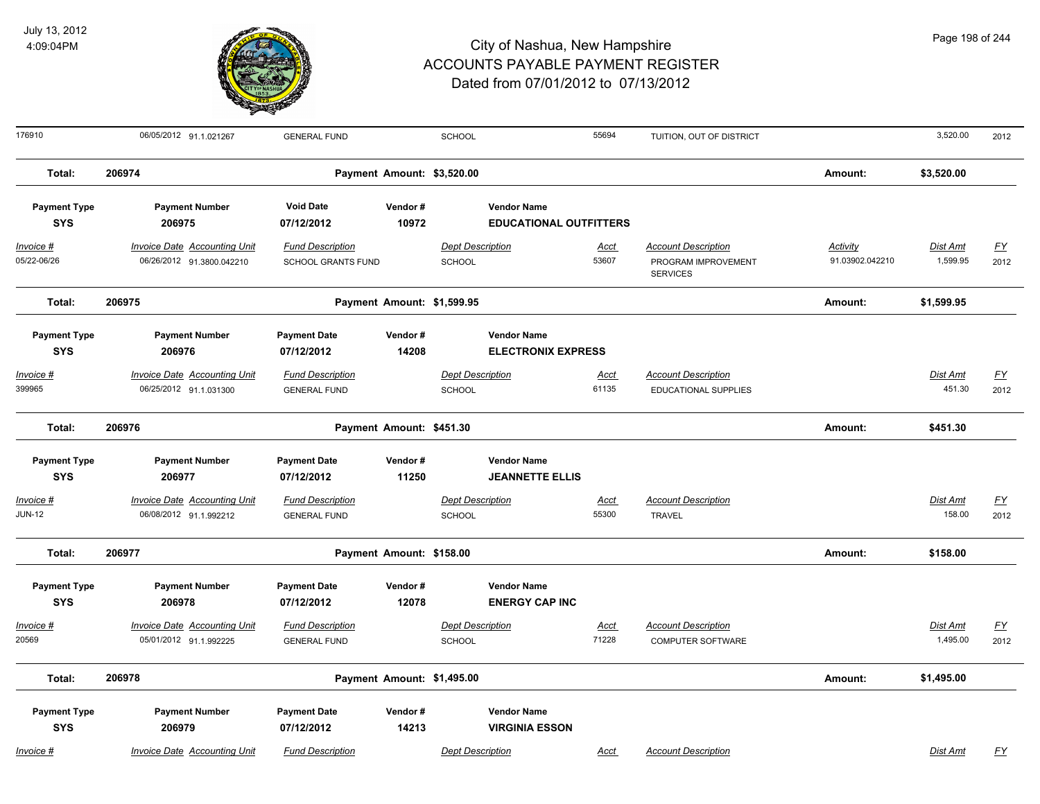

| 176910                            | 06/05/2012 91.1.021267                                           | <b>GENERAL FUND</b>                                  |                            | SCHOOL                                       | 55694                         | TUITION, OUT OF DISTRICT                                             |                                    | 3,520.00                    | 2012              |
|-----------------------------------|------------------------------------------------------------------|------------------------------------------------------|----------------------------|----------------------------------------------|-------------------------------|----------------------------------------------------------------------|------------------------------------|-----------------------------|-------------------|
| Total:                            | 206974                                                           |                                                      | Payment Amount: \$3,520.00 |                                              |                               |                                                                      | Amount:                            | \$3,520.00                  |                   |
| <b>Payment Type</b><br><b>SYS</b> | <b>Payment Number</b><br>206975                                  | <b>Void Date</b><br>07/12/2012                       | Vendor#<br>10972           | <b>Vendor Name</b>                           | <b>EDUCATIONAL OUTFITTERS</b> |                                                                      |                                    |                             |                   |
| Invoice #<br>05/22-06/26          | <b>Invoice Date Accounting Unit</b><br>06/26/2012 91.3800.042210 | <b>Fund Description</b><br><b>SCHOOL GRANTS FUND</b> |                            | <b>Dept Description</b><br>SCHOOL            | <b>Acct</b><br>53607          | <b>Account Description</b><br>PROGRAM IMPROVEMENT<br><b>SERVICES</b> | <b>Activity</b><br>91.03902.042210 | <u>Dist Amt</u><br>1,599.95 | <u>FY</u><br>2012 |
| Total:                            | 206975                                                           |                                                      | Payment Amount: \$1,599.95 |                                              |                               |                                                                      | Amount:                            | \$1,599.95                  |                   |
| <b>Payment Type</b><br><b>SYS</b> | <b>Payment Number</b><br>206976                                  | <b>Payment Date</b><br>07/12/2012                    | Vendor#<br>14208           | <b>Vendor Name</b>                           | <b>ELECTRONIX EXPRESS</b>     |                                                                      |                                    |                             |                   |
| Invoice #<br>399965               | <b>Invoice Date Accounting Unit</b><br>06/25/2012 91.1.031300    | <b>Fund Description</b><br><b>GENERAL FUND</b>       |                            | <b>Dept Description</b><br>SCHOOL            | Acct<br>61135                 | <b>Account Description</b><br><b>EDUCATIONAL SUPPLIES</b>            |                                    | Dist Amt<br>451.30          | <u>FY</u><br>2012 |
| Total:                            | 206976                                                           |                                                      | Payment Amount: \$451.30   |                                              |                               |                                                                      | Amount:                            | \$451.30                    |                   |
| <b>Payment Type</b><br><b>SYS</b> | <b>Payment Number</b><br>206977                                  | <b>Payment Date</b><br>07/12/2012                    | Vendor#<br>11250           | <b>Vendor Name</b><br><b>JEANNETTE ELLIS</b> |                               |                                                                      |                                    |                             |                   |
| Invoice #<br><b>JUN-12</b>        | Invoice Date Accounting Unit<br>06/08/2012 91.1.992212           | <b>Fund Description</b><br><b>GENERAL FUND</b>       |                            | <b>Dept Description</b><br>SCHOOL            | Acct<br>55300                 | <b>Account Description</b><br><b>TRAVEL</b>                          |                                    | Dist Amt<br>158.00          | <u>FY</u><br>2012 |
| Total:                            | 206977                                                           |                                                      | Payment Amount: \$158.00   |                                              |                               |                                                                      | Amount:                            | \$158.00                    |                   |
| <b>Payment Type</b><br><b>SYS</b> | <b>Payment Number</b><br>206978                                  | <b>Payment Date</b><br>07/12/2012                    | Vendor#<br>12078           | <b>Vendor Name</b><br><b>ENERGY CAP INC</b>  |                               |                                                                      |                                    |                             |                   |
| Invoice #<br>20569                | <b>Invoice Date Accounting Unit</b><br>05/01/2012 91.1.992225    | <b>Fund Description</b><br><b>GENERAL FUND</b>       |                            | <b>Dept Description</b><br>SCHOOL            | Acct<br>71228                 | <b>Account Description</b><br>COMPUTER SOFTWARE                      |                                    | Dist Amt<br>1,495.00        | <u>FY</u><br>2012 |
| Total:                            | 206978                                                           |                                                      | Payment Amount: \$1,495.00 |                                              |                               |                                                                      | Amount:                            | \$1,495.00                  |                   |
| <b>Payment Type</b><br><b>SYS</b> | <b>Payment Number</b><br>206979                                  | <b>Payment Date</b><br>07/12/2012                    | Vendor#<br>14213           | <b>Vendor Name</b><br><b>VIRGINIA ESSON</b>  |                               |                                                                      |                                    |                             |                   |
| Invoice #                         | Invoice Date Accounting Unit                                     | <b>Fund Description</b>                              |                            | <b>Dept Description</b>                      | Acct                          | <b>Account Description</b>                                           |                                    | <b>Dist Amt</b>             | <u>FY</u>         |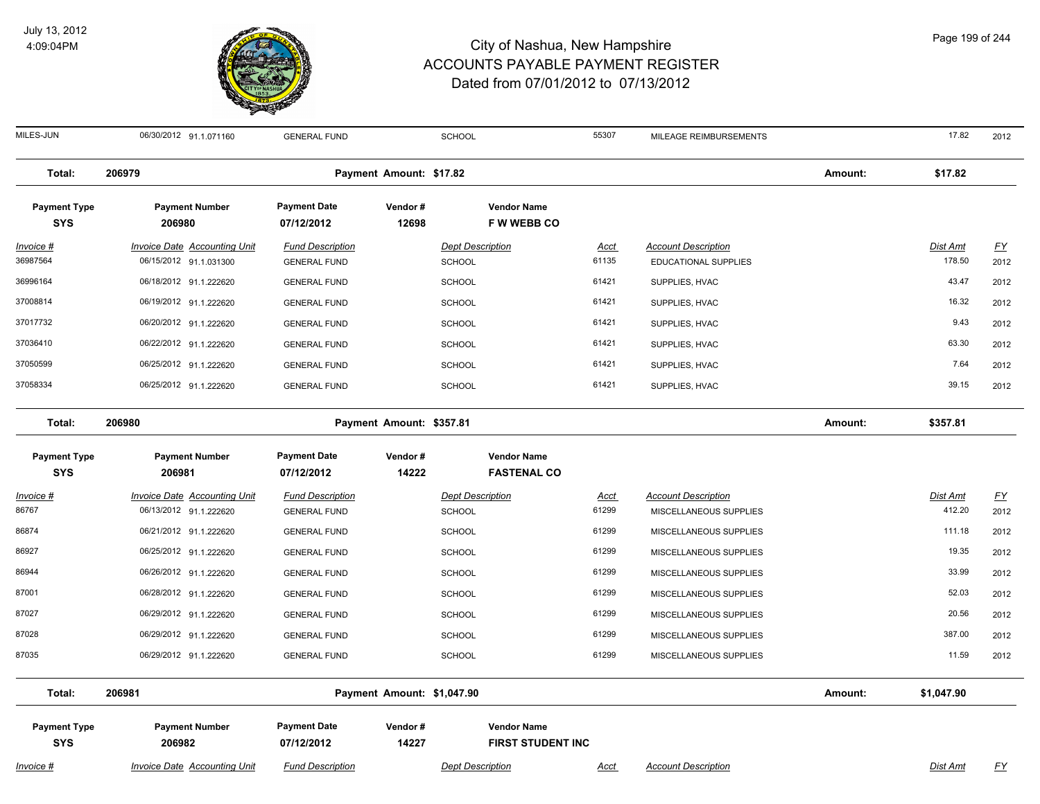

#### City of Nashua, New Hampshire ACCOUNTS PAYABLE PAYMENT REGISTER Dated from 07/01/2012 to 07/13/2012

MILES-JUN 06/30/2012 91.1.071160 GENERAL FUND SCHOOL 55307 MILEAGE REIMBURSEMENTS 17.82 2012

| Total:                            | 206979                                                        |                                                | Payment Amount: \$17.82 |                                          |               |                                                           | Amount: | \$17.82                   |                   |
|-----------------------------------|---------------------------------------------------------------|------------------------------------------------|-------------------------|------------------------------------------|---------------|-----------------------------------------------------------|---------|---------------------------|-------------------|
| <b>Payment Type</b><br><b>SYS</b> | <b>Payment Number</b><br>206980                               | <b>Payment Date</b><br>07/12/2012              | Vendor#<br>12698        | <b>Vendor Name</b><br><b>FWWEBBCO</b>    |               |                                                           |         |                           |                   |
| Invoice #<br>36987564             | <b>Invoice Date Accounting Unit</b><br>06/15/2012 91.1.031300 | <b>Fund Description</b><br><b>GENERAL FUND</b> |                         | <b>Dept Description</b><br><b>SCHOOL</b> | Acct<br>61135 | <b>Account Description</b><br><b>EDUCATIONAL SUPPLIES</b> |         | <u>Dist Amt</u><br>178.50 | <u>FY</u><br>2012 |
| 36996164                          | 06/18/2012 91.1.222620                                        | <b>GENERAL FUND</b>                            |                         | <b>SCHOOL</b>                            | 61421         | SUPPLIES, HVAC                                            |         | 43.47                     | 2012              |
| 37008814                          | 06/19/2012 91.1.222620                                        | <b>GENERAL FUND</b>                            |                         | <b>SCHOOL</b>                            | 61421         | SUPPLIES, HVAC                                            |         | 16.32                     | 2012              |
| 37017732                          | 06/20/2012 91.1.222620                                        | <b>GENERAL FUND</b>                            |                         | <b>SCHOOL</b>                            | 61421         | SUPPLIES, HVAC                                            |         | 9.43                      | 2012              |
| 37036410                          | 06/22/2012 91.1.222620                                        | <b>GENERAL FUND</b>                            |                         | <b>SCHOOL</b>                            | 61421         | SUPPLIES, HVAC                                            |         | 63.30                     | 2012              |
|                                   |                                                               |                                                |                         |                                          |               |                                                           |         |                           |                   |

| Total:                            | 206981                          |                                   | Payment Amount: \$1,047.90 |                                          |                            | Amount: | \$1,047.90 |           |
|-----------------------------------|---------------------------------|-----------------------------------|----------------------------|------------------------------------------|----------------------------|---------|------------|-----------|
| 87035                             | 06/29/2012 91.1.222620          | <b>GENERAL FUND</b>               | <b>SCHOOL</b>              | 61299                                    | MISCELLANEOUS SUPPLIES     |         | 11.59      | 2012      |
| 87028                             | 06/29/2012 91.1.222620          | <b>GENERAL FUND</b>               | <b>SCHOOL</b>              | 61299                                    | MISCELLANEOUS SUPPLIES     |         | 387.00     | 2012      |
| 87027                             | 06/29/2012 91.1.222620          | <b>GENERAL FUND</b>               | <b>SCHOOL</b>              | 61299                                    | MISCELLANEOUS SUPPLIES     |         | 20.56      | 2012      |
| 87001                             | 06/28/2012 91.1.222620          | <b>GENERAL FUND</b>               | <b>SCHOOL</b>              | 61299                                    | MISCELLANEOUS SUPPLIES     |         | 52.03      | 2012      |
| 86944                             | 06/26/2012 91.1.222620          | <b>GENERAL FUND</b>               | SCHOOL                     | 61299                                    | MISCELLANEOUS SUPPLIES     |         | 33.99      | 2012      |
| 86927                             | 06/25/2012 91.1.222620          | <b>GENERAL FUND</b>               | <b>SCHOOL</b>              | 61299                                    | MISCELLANEOUS SUPPLIES     |         | 19.35      | 2012      |
| 86874                             | 06/21/2012 91.1.222620          | <b>GENERAL FUND</b>               | SCHOOL                     | 61299                                    | MISCELLANEOUS SUPPLIES     |         | 111.18     | 2012      |
| 86767                             | 06/13/2012 91.1.222620          | <b>GENERAL FUND</b>               | SCHOOL                     | 61299                                    | MISCELLANEOUS SUPPLIES     |         | 412.20     | 2012      |
| Invoice #                         | Invoice Date Accounting Unit    | <b>Fund Description</b>           | <b>Dept Description</b>    | Acct                                     | <b>Account Description</b> |         | Dist Amt   | <u>FY</u> |
| <b>Payment Type</b><br><b>SYS</b> | <b>Payment Number</b><br>206981 | <b>Payment Date</b><br>07/12/2012 | Vendor#<br>14222           | <b>Vendor Name</b><br><b>FASTENAL CO</b> |                            |         |            |           |
| Total:                            | 206980                          |                                   | Payment Amount: \$357.81   |                                          |                            | Amount: | \$357.81   |           |
| 37058334                          | 06/25/2012 91.1.222620          | <b>GENERAL FUND</b>               | SCHOOL                     | 61421                                    | SUPPLIES, HVAC             |         | 39.15      | 2012      |
| 37050599                          | 06/25/2012 91.1.222620          | <b>GENERAL FUND</b>               | <b>SCHOOL</b>              | 61421                                    | SUPPLIES, HVAC             |         | 7.64       | 2012      |
| 37036410                          | 06/22/2012 91.1.222620          | <b>GENERAL FUND</b>               | SCHOOL                     | 61421                                    | SUPPLIES, HVAC             |         | 63.30      | 2012      |

**Payment Type Payment Number Payment Date Vendor # Vendor Name**

**SYS 07/12/2012**

 **206982 14227 FIRST STUDENT INC**

*Invoice # Invoice Date Accounting Unit Fund Description Dept Description Acct Account Description Dist Amt FY*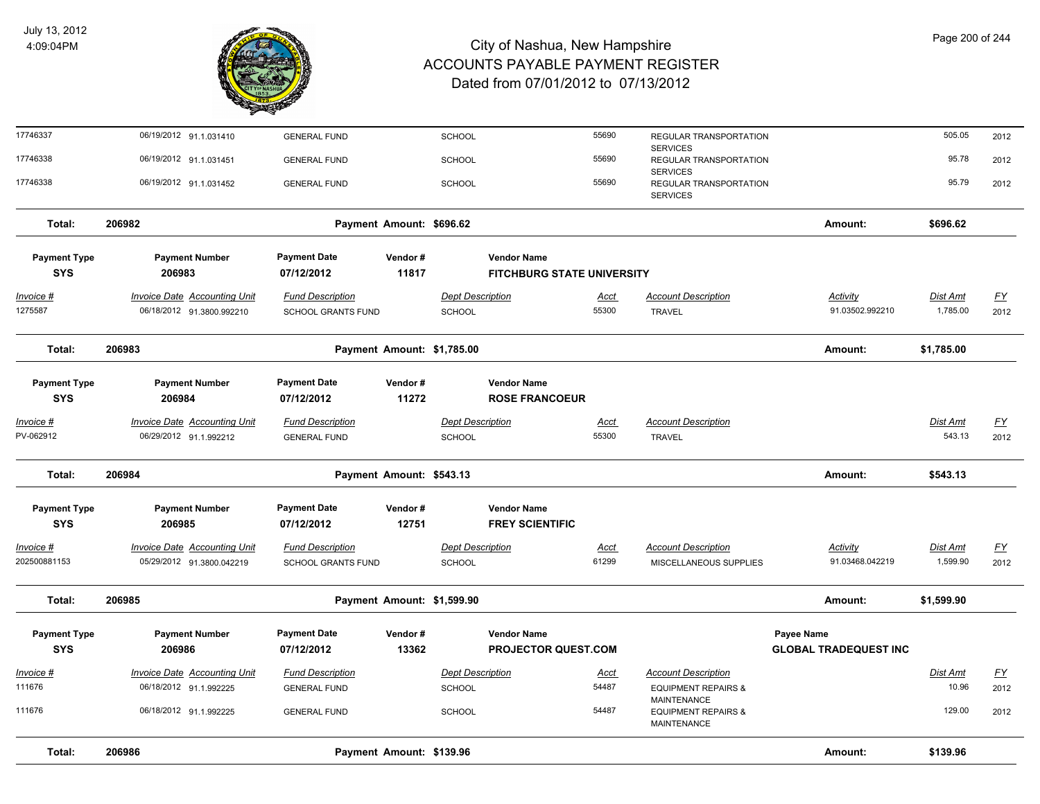

| Total:                            | 206986                                                           | Payment Amount: \$139.96                       |                  |                                          |                                              |                      |                                                      | Amount:                            | \$139.96                    |                          |
|-----------------------------------|------------------------------------------------------------------|------------------------------------------------|------------------|------------------------------------------|----------------------------------------------|----------------------|------------------------------------------------------|------------------------------------|-----------------------------|--------------------------|
| 111676                            | 06/18/2012 91.1.992225                                           | <b>GENERAL FUND</b>                            |                  | SCHOOL                                   |                                              | 54487                | <b>EQUIPMENT REPAIRS &amp;</b><br><b>MAINTENANCE</b> |                                    | 129.00                      | 2012                     |
| 111676                            | 06/18/2012 91.1.992225                                           | <b>GENERAL FUND</b>                            |                  | <b>SCHOOL</b>                            |                                              | 54487                | <b>EQUIPMENT REPAIRS &amp;</b><br>MAINTENANCE        |                                    | 10.96                       | 2012                     |
| Invoice #                         | <b>Invoice Date Accounting Unit</b>                              | <b>Fund Description</b>                        |                  | <b>Dept Description</b>                  |                                              | <u>Acct</u>          | <b>Account Description</b>                           |                                    | Dist Amt                    | <u>FY</u>                |
| <b>SYS</b>                        | 206986                                                           | 07/12/2012                                     | 13362            |                                          | PROJECTOR QUEST.COM                          |                      |                                                      | <b>GLOBAL TRADEQUEST INC</b>       |                             |                          |
| <b>Payment Type</b>               | <b>Payment Number</b>                                            | <b>Payment Date</b>                            | Vendor#          |                                          | <b>Vendor Name</b>                           |                      |                                                      | <b>Payee Name</b>                  |                             |                          |
| Total:                            | 206985                                                           | Payment Amount: \$1,599.90                     |                  |                                          |                                              |                      |                                                      | Amount:                            | \$1,599.90                  |                          |
| 202500881153                      | 05/29/2012 91.3800.042219                                        | SCHOOL GRANTS FUND                             |                  | SCHOOL                                   |                                              | 61299                | MISCELLANEOUS SUPPLIES                               | 91.03468.042219                    | 1,599.90                    | 2012                     |
| Invoice #                         | Invoice Date Accounting Unit                                     | <b>Fund Description</b>                        |                  | <b>Dept Description</b>                  |                                              | <u>Acct</u>          | <b>Account Description</b>                           | Activity                           | Dist Amt                    | $\underline{FY}$         |
| <b>Payment Type</b><br><b>SYS</b> | <b>Payment Number</b><br>206985                                  | <b>Payment Date</b><br>07/12/2012              | Vendor#<br>12751 |                                          | <b>Vendor Name</b><br><b>FREY SCIENTIFIC</b> |                      |                                                      |                                    |                             |                          |
| Total:                            | 206984                                                           | Payment Amount: \$543.13                       |                  |                                          |                                              |                      |                                                      | Amount:                            | \$543.13                    |                          |
| Invoice #<br>PV-062912            | <b>Invoice Date Accounting Unit</b><br>06/29/2012 91.1.992212    | <b>Fund Description</b><br><b>GENERAL FUND</b> |                  | <b>Dept Description</b><br><b>SCHOOL</b> |                                              | <u>Acct</u><br>55300 | <b>Account Description</b><br><b>TRAVEL</b>          |                                    | Dist Amt<br>543.13          | $\underline{FY}$<br>2012 |
|                                   |                                                                  |                                                |                  |                                          |                                              |                      |                                                      |                                    |                             |                          |
| <b>Payment Type</b><br><b>SYS</b> | <b>Payment Number</b><br>206984                                  | <b>Payment Date</b><br>07/12/2012              | Vendor#<br>11272 |                                          | <b>Vendor Name</b><br><b>ROSE FRANCOEUR</b>  |                      |                                                      |                                    |                             |                          |
|                                   |                                                                  |                                                |                  |                                          |                                              |                      |                                                      |                                    |                             |                          |
| Total:                            | 206983                                                           | Payment Amount: \$1,785.00                     |                  |                                          |                                              |                      |                                                      | Amount:                            | \$1,785.00                  |                          |
| <u>Invoice #</u><br>1275587       | <b>Invoice Date Accounting Unit</b><br>06/18/2012 91.3800.992210 | <b>Fund Description</b><br>SCHOOL GRANTS FUND  |                  | <b>Dept Description</b><br><b>SCHOOL</b> |                                              | <u>Acct</u><br>55300 | <b>Account Description</b><br><b>TRAVEL</b>          | <b>Activity</b><br>91.03502.992210 | <b>Dist Amt</b><br>1,785.00 | <u>FY</u><br>2012        |
| <b>SYS</b>                        | 206983                                                           | 07/12/2012                                     | 11817            |                                          | FITCHBURG STATE UNIVERSITY                   |                      |                                                      |                                    |                             |                          |
| <b>Payment Type</b>               | <b>Payment Number</b>                                            | <b>Payment Date</b>                            | Vendor#          |                                          | <b>Vendor Name</b>                           |                      |                                                      |                                    |                             |                          |
| Total:                            | 206982                                                           | Payment Amount: \$696.62                       |                  |                                          |                                              |                      |                                                      | Amount:                            | \$696.62                    |                          |
| 17746338                          | 06/19/2012 91.1.031452                                           | <b>GENERAL FUND</b>                            |                  | <b>SCHOOL</b>                            |                                              | 55690                | REGULAR TRANSPORTATION<br><b>SERVICES</b>            |                                    | 95.79                       | 2012                     |
| 17746338                          | 06/19/2012 91.1.031451                                           | <b>GENERAL FUND</b>                            |                  | <b>SCHOOL</b>                            |                                              | 55690                | REGULAR TRANSPORTATION<br><b>SERVICES</b>            |                                    | 95.78                       | 2012                     |
| 17746337                          | 06/19/2012 91.1.031410                                           | <b>GENERAL FUND</b>                            |                  | <b>SCHOOL</b>                            |                                              | 55690                | REGULAR TRANSPORTATION<br><b>SERVICES</b>            |                                    | 505.05                      | 2012                     |
|                                   |                                                                  |                                                |                  |                                          |                                              |                      |                                                      |                                    |                             |                          |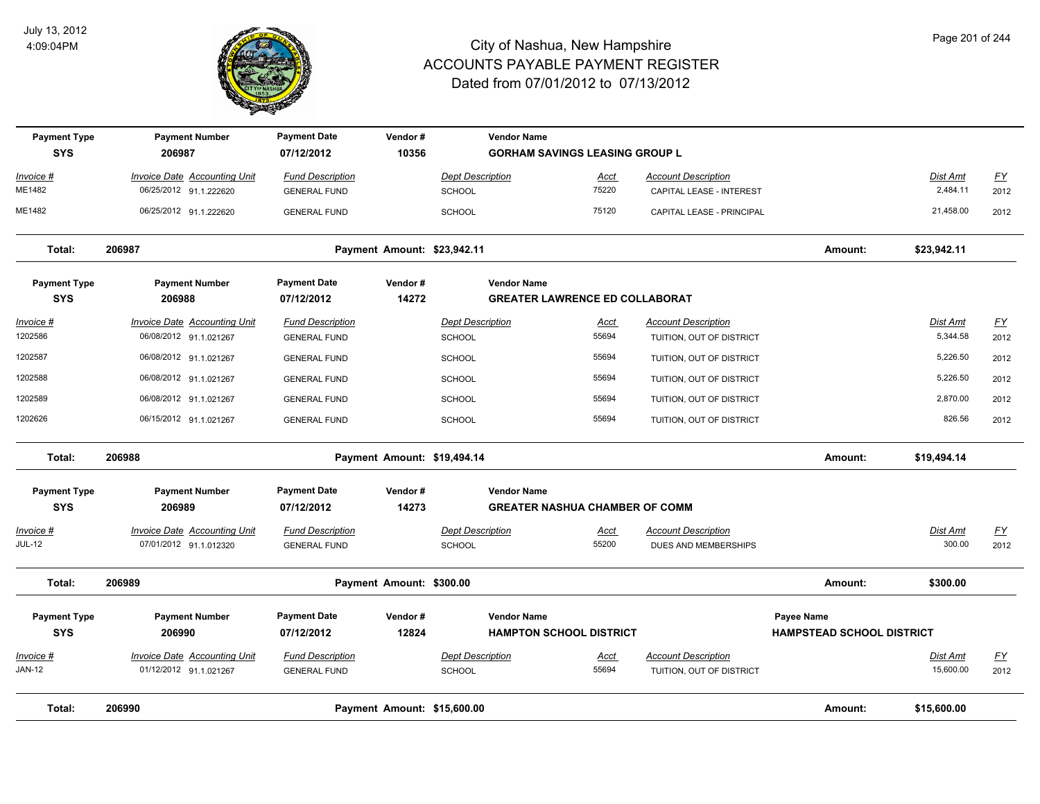

| <b>Payment Type</b><br><b>SYS</b> | <b>Payment Number</b><br>206987                               | <b>Payment Date</b><br>07/12/2012              | Vendor#<br>10356            | <b>Vendor Name</b>                | <b>GORHAM SAVINGS LEASING GROUP L</b> |                                                    |                                  |                    |                   |
|-----------------------------------|---------------------------------------------------------------|------------------------------------------------|-----------------------------|-----------------------------------|---------------------------------------|----------------------------------------------------|----------------------------------|--------------------|-------------------|
| Invoice #                         | Invoice Date Accounting Unit                                  | <b>Fund Description</b>                        |                             | <b>Dept Description</b>           | Acct                                  | <b>Account Description</b>                         |                                  | Dist Amt           | EY                |
| ME1482                            | 06/25/2012 91.1.222620                                        | <b>GENERAL FUND</b>                            |                             | SCHOOL                            | 75220                                 | CAPITAL LEASE - INTEREST                           |                                  | 2,484.11           | 2012              |
| ME1482                            | 06/25/2012 91.1.222620                                        | <b>GENERAL FUND</b>                            |                             | <b>SCHOOL</b>                     | 75120                                 | CAPITAL LEASE - PRINCIPAL                          |                                  | 21,458.00          | 2012              |
| Total:                            | 206987                                                        |                                                | Payment Amount: \$23,942.11 |                                   |                                       |                                                    | Amount:                          | \$23,942.11        |                   |
| <b>Payment Type</b><br><b>SYS</b> | <b>Payment Number</b><br>206988                               | <b>Payment Date</b><br>07/12/2012              | Vendor#<br>14272            | <b>Vendor Name</b>                | <b>GREATER LAWRENCE ED COLLABORAT</b> |                                                    |                                  |                    |                   |
|                                   |                                                               |                                                |                             |                                   |                                       |                                                    |                                  |                    |                   |
| Invoice #                         | <b>Invoice Date Accounting Unit</b>                           | <b>Fund Description</b>                        |                             | <b>Dept Description</b>           | <u>Acct</u>                           | <b>Account Description</b>                         |                                  | <b>Dist Amt</b>    | <u>FY</u>         |
| 1202586                           | 06/08/2012 91.1.021267                                        | <b>GENERAL FUND</b>                            |                             | <b>SCHOOL</b>                     | 55694                                 | TUITION, OUT OF DISTRICT                           |                                  | 5,344.58           | 2012              |
| 1202587                           | 06/08/2012 91.1.021267                                        | <b>GENERAL FUND</b>                            |                             | <b>SCHOOL</b>                     | 55694                                 | TUITION, OUT OF DISTRICT                           |                                  | 5,226.50           | 2012              |
| 1202588                           | 06/08/2012 91.1.021267                                        | <b>GENERAL FUND</b>                            |                             | <b>SCHOOL</b>                     | 55694                                 | TUITION, OUT OF DISTRICT                           |                                  | 5,226.50           | 2012              |
| 1202589                           | 06/08/2012 91.1.021267                                        | <b>GENERAL FUND</b>                            |                             | <b>SCHOOL</b>                     | 55694                                 | TUITION, OUT OF DISTRICT                           |                                  | 2,870.00           | 2012              |
| 1202626                           | 06/15/2012 91.1.021267                                        | <b>GENERAL FUND</b>                            |                             | <b>SCHOOL</b>                     | 55694                                 | TUITION, OUT OF DISTRICT                           |                                  | 826.56             | 2012              |
| Total:                            | 206988                                                        |                                                | Payment Amount: \$19,494.14 |                                   |                                       |                                                    | Amount:                          | \$19,494.14        |                   |
| <b>Payment Type</b>               | <b>Payment Number</b>                                         | <b>Payment Date</b>                            | Vendor#                     | <b>Vendor Name</b>                |                                       |                                                    |                                  |                    |                   |
| <b>SYS</b>                        | 206989                                                        | 07/12/2012                                     | 14273                       |                                   | <b>GREATER NASHUA CHAMBER OF COMM</b> |                                                    |                                  |                    |                   |
| Invoice #<br><b>JUL-12</b>        | <b>Invoice Date Accounting Unit</b><br>07/01/2012 91.1.012320 | <b>Fund Description</b><br><b>GENERAL FUND</b> |                             | <b>Dept Description</b><br>SCHOOL | Acct<br>55200                         | <b>Account Description</b><br>DUES AND MEMBERSHIPS |                                  | Dist Amt<br>300.00 | <u>FY</u><br>2012 |
| Total:                            | 206989                                                        |                                                | Payment Amount: \$300.00    |                                   |                                       |                                                    | Amount:                          | \$300.00           |                   |
| <b>Payment Type</b>               | <b>Payment Number</b>                                         | <b>Payment Date</b>                            | Vendor#                     | <b>Vendor Name</b>                |                                       |                                                    | Payee Name                       |                    |                   |
| <b>SYS</b>                        | 206990                                                        | 07/12/2012                                     | 12824                       |                                   | <b>HAMPTON SCHOOL DISTRICT</b>        |                                                    | <b>HAMPSTEAD SCHOOL DISTRICT</b> |                    |                   |
| Invoice #                         | <b>Invoice Date Accounting Unit</b>                           | <b>Fund Description</b>                        |                             | <b>Dept Description</b>           | <u>Acct</u>                           | <b>Account Description</b>                         |                                  | Dist Amt           | <u>FY</u>         |
| <b>JAN-12</b>                     | 01/12/2012 91.1.021267                                        | <b>GENERAL FUND</b>                            |                             | SCHOOL                            | 55694                                 | TUITION, OUT OF DISTRICT                           |                                  | 15,600.00          | 2012              |
| Total:                            | 206990                                                        |                                                | Payment Amount: \$15,600.00 |                                   |                                       |                                                    | Amount:                          | \$15,600.00        |                   |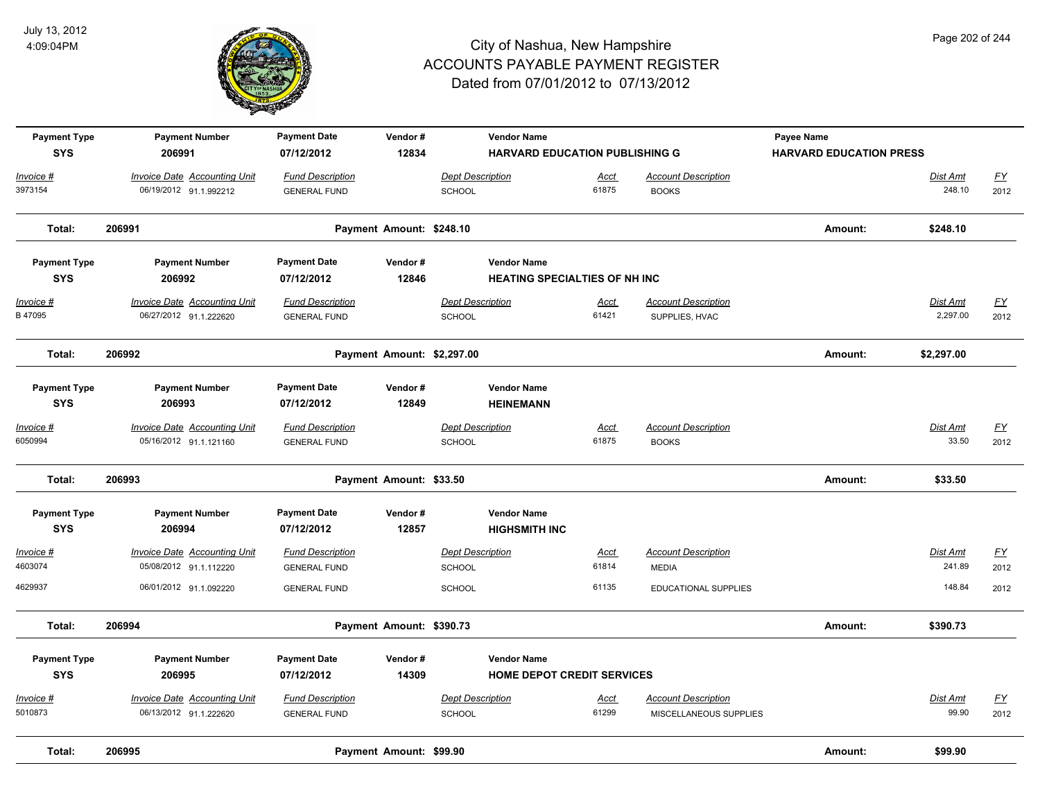

| <b>Payment Type</b><br><b>SYS</b> | <b>Payment Number</b><br>206991                               | <b>Payment Date</b><br>07/12/2012 | Vendor#<br>12834           | <b>Vendor Name</b>      | <b>HARVARD EDUCATION PUBLISHING G</b> |                            | Payee Name<br><b>HARVARD EDUCATION PRESS</b> |                    |                          |
|-----------------------------------|---------------------------------------------------------------|-----------------------------------|----------------------------|-------------------------|---------------------------------------|----------------------------|----------------------------------------------|--------------------|--------------------------|
|                                   |                                                               |                                   |                            |                         |                                       |                            |                                              |                    |                          |
| <u> Invoice #</u><br>3973154      | <b>Invoice Date Accounting Unit</b><br>06/19/2012 91.1.992212 | <b>Fund Description</b>           |                            | <b>Dept Description</b> | <u>Acct</u><br>61875                  | <b>Account Description</b> |                                              | Dist Amt<br>248.10 | $\underline{FY}$<br>2012 |
|                                   |                                                               | <b>GENERAL FUND</b>               |                            | <b>SCHOOL</b>           |                                       | <b>BOOKS</b>               |                                              |                    |                          |
| Total:                            | 206991                                                        |                                   | Payment Amount: \$248.10   |                         |                                       |                            | Amount:                                      | \$248.10           |                          |
| <b>Payment Type</b>               | <b>Payment Number</b>                                         | <b>Payment Date</b>               | Vendor#                    | <b>Vendor Name</b>      |                                       |                            |                                              |                    |                          |
| <b>SYS</b>                        | 206992                                                        | 07/12/2012                        | 12846                      |                         | HEATING SPECIALTIES OF NH INC         |                            |                                              |                    |                          |
| <u> Invoice #</u>                 | <b>Invoice Date Accounting Unit</b>                           | <b>Fund Description</b>           |                            | <b>Dept Description</b> | Acct                                  | <b>Account Description</b> |                                              | <b>Dist Amt</b>    | EY                       |
| B 47095                           | 06/27/2012 91.1.222620                                        | <b>GENERAL FUND</b>               |                            | SCHOOL                  | 61421                                 | SUPPLIES, HVAC             |                                              | 2,297.00           | 2012                     |
| Total:                            | 206992                                                        |                                   | Payment Amount: \$2,297.00 |                         |                                       |                            | Amount:                                      | \$2,297.00         |                          |
| <b>Payment Type</b>               | <b>Payment Number</b>                                         | <b>Payment Date</b>               | Vendor#                    | <b>Vendor Name</b>      |                                       |                            |                                              |                    |                          |
| <b>SYS</b>                        | 206993                                                        | 07/12/2012                        | 12849                      | <b>HEINEMANN</b>        |                                       |                            |                                              |                    |                          |
| <u> Invoice #</u>                 | <b>Invoice Date Accounting Unit</b>                           | <b>Fund Description</b>           |                            | <b>Dept Description</b> | <u>Acct</u>                           | <b>Account Description</b> |                                              | Dist Amt           | EY                       |
| 6050994                           | 05/16/2012 91.1.121160                                        | <b>GENERAL FUND</b>               |                            | <b>SCHOOL</b>           | 61875                                 | <b>BOOKS</b>               |                                              | 33.50              | 2012                     |
| Total:                            | 206993                                                        |                                   | Payment Amount: \$33.50    |                         |                                       |                            | Amount:                                      | \$33.50            |                          |
| <b>Payment Type</b>               | <b>Payment Number</b>                                         | <b>Payment Date</b>               | Vendor#                    | <b>Vendor Name</b>      |                                       |                            |                                              |                    |                          |
| <b>SYS</b>                        | 206994                                                        | 07/12/2012                        | 12857                      | <b>HIGHSMITH INC</b>    |                                       |                            |                                              |                    |                          |
| Invoice #                         | <b>Invoice Date Accounting Unit</b>                           | <b>Fund Description</b>           |                            | <b>Dept Description</b> | Acct                                  | <b>Account Description</b> |                                              | Dist Amt           | EY                       |
| 4603074                           | 05/08/2012 91.1.112220                                        | <b>GENERAL FUND</b>               |                            | SCHOOL                  | 61814                                 | <b>MEDIA</b>               |                                              | 241.89             | 2012                     |
| 4629937                           | 06/01/2012 91.1.092220                                        | <b>GENERAL FUND</b>               |                            | <b>SCHOOL</b>           | 61135                                 | EDUCATIONAL SUPPLIES       |                                              | 148.84             | 2012                     |
| Total:                            | 206994                                                        |                                   | Payment Amount: \$390.73   |                         |                                       |                            | Amount:                                      | \$390.73           |                          |
| <b>Payment Type</b>               | <b>Payment Number</b>                                         | <b>Payment Date</b>               | Vendor#                    | <b>Vendor Name</b>      |                                       |                            |                                              |                    |                          |
| <b>SYS</b>                        | 206995                                                        | 07/12/2012                        | 14309                      |                         | <b>HOME DEPOT CREDIT SERVICES</b>     |                            |                                              |                    |                          |
| <u> Invoice #</u>                 | <b>Invoice Date Accounting Unit</b>                           | <b>Fund Description</b>           |                            | <b>Dept Description</b> | Acct                                  | <b>Account Description</b> |                                              | Dist Amt           | EY                       |
| 5010873                           | 06/13/2012 91.1.222620                                        | <b>GENERAL FUND</b>               |                            | SCHOOL                  | 61299                                 | MISCELLANEOUS SUPPLIES     |                                              | 99.90              | 2012                     |
| Total:                            | 206995                                                        |                                   | Payment Amount: \$99.90    |                         |                                       |                            | Amount:                                      | \$99.90            |                          |

Page 202 of 244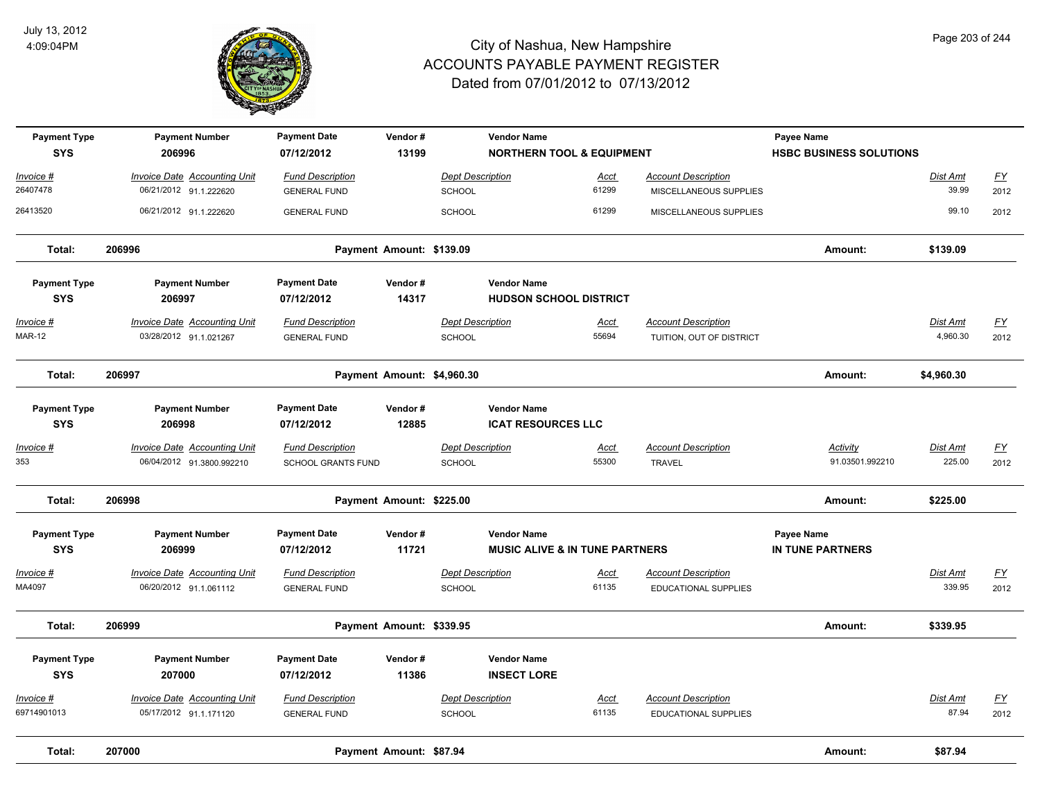

| <b>Payment Type</b><br><b>SYS</b> | <b>Payment Number</b><br>206996                               | <b>Payment Date</b><br>07/12/2012                    | Vendor#<br>13199           |                                          | <b>Vendor Name</b><br><b>NORTHERN TOOL &amp; EQUIPMENT</b> |                                                        | Payee Name<br><b>HSBC BUSINESS SOLUTIONS</b> |                             |                           |
|-----------------------------------|---------------------------------------------------------------|------------------------------------------------------|----------------------------|------------------------------------------|------------------------------------------------------------|--------------------------------------------------------|----------------------------------------------|-----------------------------|---------------------------|
| Invoice #                         | <b>Invoice Date Accounting Unit</b>                           | <b>Fund Description</b>                              |                            | <b>Dept Description</b>                  | <u>Acct</u>                                                | <b>Account Description</b>                             |                                              | Dist Amt                    | $\underline{\mathsf{FY}}$ |
| 26407478                          | 06/21/2012 91.1.222620                                        | <b>GENERAL FUND</b>                                  |                            | SCHOOL                                   | 61299                                                      | MISCELLANEOUS SUPPLIES                                 |                                              | 39.99                       | 2012                      |
| 26413520                          | 06/21/2012 91.1.222620                                        | <b>GENERAL FUND</b>                                  |                            | SCHOOL                                   | 61299                                                      | MISCELLANEOUS SUPPLIES                                 |                                              | 99.10                       | 2012                      |
| Total:                            | 206996                                                        |                                                      | Payment Amount: \$139.09   |                                          |                                                            |                                                        | Amount:                                      | \$139.09                    |                           |
| <b>Payment Type</b><br><b>SYS</b> | <b>Payment Number</b><br>206997                               | <b>Payment Date</b><br>07/12/2012                    | Vendor#<br>14317           | <b>Vendor Name</b>                       | <b>HUDSON SCHOOL DISTRICT</b>                              |                                                        |                                              |                             |                           |
| <u> Invoice #</u><br>MAR-12       | <b>Invoice Date Accounting Unit</b><br>03/28/2012 91.1.021267 | <b>Fund Description</b><br><b>GENERAL FUND</b>       |                            | <b>Dept Description</b><br><b>SCHOOL</b> | <b>Acct</b><br>55694                                       | <b>Account Description</b><br>TUITION, OUT OF DISTRICT |                                              | <b>Dist Amt</b><br>4,960.30 | <u>FY</u><br>2012         |
| Total:                            | 206997                                                        |                                                      | Payment Amount: \$4,960.30 |                                          |                                                            |                                                        | Amount:                                      | \$4,960.30                  |                           |
| <b>Payment Type</b><br><b>SYS</b> | <b>Payment Number</b><br>206998                               | <b>Payment Date</b><br>07/12/2012                    | Vendor#<br>12885           | <b>Vendor Name</b>                       | <b>ICAT RESOURCES LLC</b>                                  |                                                        |                                              |                             |                           |
| Invoice #<br>353                  | Invoice Date Accounting Unit<br>06/04/2012 91.3800.992210     | <b>Fund Description</b><br><b>SCHOOL GRANTS FUND</b> |                            | <b>Dept Description</b><br><b>SCHOOL</b> | Acct<br>55300                                              | <b>Account Description</b><br><b>TRAVEL</b>            | Activity<br>91.03501.992210                  | Dist Amt<br>225.00          | <u>FY</u><br>2012         |
| Total:                            | 206998                                                        |                                                      | Payment Amount: \$225.00   |                                          |                                                            |                                                        | Amount:                                      | \$225.00                    |                           |
| <b>Payment Type</b><br><b>SYS</b> | <b>Payment Number</b><br>206999                               | <b>Payment Date</b><br>07/12/2012                    | Vendor#<br>11721           | <b>Vendor Name</b>                       | <b>MUSIC ALIVE &amp; IN TUNE PARTNERS</b>                  |                                                        | Payee Name<br>IN TUNE PARTNERS               |                             |                           |
| Invoice #<br>MA4097               | <b>Invoice Date Accounting Unit</b><br>06/20/2012 91.1.061112 | <b>Fund Description</b><br><b>GENERAL FUND</b>       |                            | <b>Dept Description</b><br>SCHOOL        | <u>Acct</u><br>61135                                       | <b>Account Description</b><br>EDUCATIONAL SUPPLIES     |                                              | Dist Amt<br>339.95          | $\underline{FY}$<br>2012  |
| Total:                            | 206999                                                        |                                                      | Payment Amount: \$339.95   |                                          |                                                            |                                                        | Amount:                                      | \$339.95                    |                           |
| <b>Payment Type</b><br><b>SYS</b> | <b>Payment Number</b><br>207000                               | <b>Payment Date</b><br>07/12/2012                    | Vendor#<br>11386           | <b>Vendor Name</b><br><b>INSECT LORE</b> |                                                            |                                                        |                                              |                             |                           |
| Invoice #                         | <b>Invoice Date Accounting Unit</b>                           | <b>Fund Description</b>                              |                            | <b>Dept Description</b>                  | Acct                                                       | <b>Account Description</b>                             |                                              | Dist Amt                    | $\underline{\mathsf{FY}}$ |
| 69714901013                       | 05/17/2012 91.1.171120                                        | <b>GENERAL FUND</b>                                  |                            | <b>SCHOOL</b>                            | 61135                                                      | <b>EDUCATIONAL SUPPLIES</b>                            |                                              | 87.94                       | 2012                      |
| Total:                            | 207000                                                        |                                                      | Payment Amount: \$87.94    |                                          |                                                            |                                                        | Amount:                                      | \$87.94                     |                           |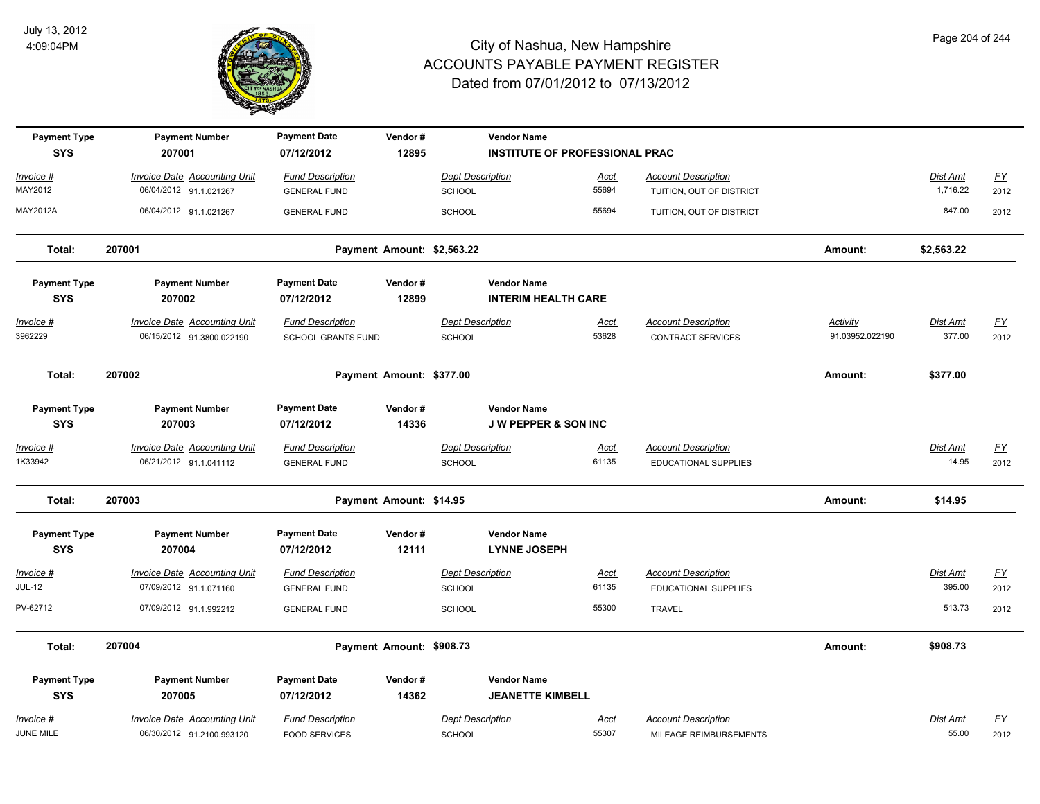

| <b>Payment Type</b><br><b>SYS</b> | <b>Payment Number</b><br>207001                                  | <b>Payment Date</b><br>07/12/2012                    | Vendor#<br>12895           |                                          | <b>Vendor Name</b><br><b>INSTITUTE OF PROFESSIONAL PRAC</b> |                      |                                                           |                                    |                           |                          |
|-----------------------------------|------------------------------------------------------------------|------------------------------------------------------|----------------------------|------------------------------------------|-------------------------------------------------------------|----------------------|-----------------------------------------------------------|------------------------------------|---------------------------|--------------------------|
| Invoice #<br>MAY2012              | <b>Invoice Date Accounting Unit</b><br>06/04/2012 91.1.021267    | <b>Fund Description</b><br><b>GENERAL FUND</b>       |                            | <b>Dept Description</b><br>SCHOOL        |                                                             | Acct<br>55694        | <b>Account Description</b><br>TUITION, OUT OF DISTRICT    |                                    | Dist Amt<br>1,716.22      | <u>FY</u><br>2012        |
| MAY2012A                          | 06/04/2012 91.1.021267                                           | <b>GENERAL FUND</b>                                  |                            | SCHOOL                                   |                                                             | 55694                | TUITION, OUT OF DISTRICT                                  |                                    | 847.00                    | 2012                     |
| Total:                            | 207001                                                           |                                                      | Payment Amount: \$2,563.22 |                                          |                                                             |                      |                                                           | Amount:                            | \$2,563.22                |                          |
| <b>Payment Type</b><br><b>SYS</b> | <b>Payment Number</b><br>207002                                  | <b>Payment Date</b><br>07/12/2012                    | Vendor#<br>12899           |                                          | <b>Vendor Name</b><br><b>INTERIM HEALTH CARE</b>            |                      |                                                           |                                    |                           |                          |
| Invoice #<br>3962229              | <b>Invoice Date Accounting Unit</b><br>06/15/2012 91.3800.022190 | <b>Fund Description</b><br><b>SCHOOL GRANTS FUND</b> |                            | <b>Dept Description</b><br><b>SCHOOL</b> |                                                             | <u>Acct</u><br>53628 | <b>Account Description</b><br><b>CONTRACT SERVICES</b>    | <b>Activity</b><br>91.03952.022190 | <b>Dist Amt</b><br>377.00 | <u>FY</u><br>2012        |
| Total:                            | 207002                                                           |                                                      | Payment Amount: \$377.00   |                                          |                                                             |                      |                                                           | Amount:                            | \$377.00                  |                          |
| <b>Payment Type</b><br><b>SYS</b> | <b>Payment Number</b><br>207003                                  | <b>Payment Date</b><br>07/12/2012                    | Vendor#<br>14336           |                                          | <b>Vendor Name</b><br><b>J W PEPPER &amp; SON INC</b>       |                      |                                                           |                                    |                           |                          |
| Invoice #<br>1K33942              | <b>Invoice Date Accounting Unit</b><br>06/21/2012 91.1.041112    | <b>Fund Description</b><br><b>GENERAL FUND</b>       |                            | <b>Dept Description</b><br>SCHOOL        |                                                             | <b>Acct</b><br>61135 | <b>Account Description</b><br><b>EDUCATIONAL SUPPLIES</b> |                                    | Dist Amt<br>14.95         | $\underline{FY}$<br>2012 |
| Total:                            | 207003                                                           |                                                      | Payment Amount: \$14.95    |                                          |                                                             |                      |                                                           | Amount:                            | \$14.95                   |                          |
| <b>Payment Type</b><br><b>SYS</b> | <b>Payment Number</b><br>207004                                  | <b>Payment Date</b><br>07/12/2012                    | Vendor#<br>12111           |                                          | <b>Vendor Name</b><br><b>LYNNE JOSEPH</b>                   |                      |                                                           |                                    |                           |                          |
| Invoice #<br><b>JUL-12</b>        | <b>Invoice Date Accounting Unit</b><br>07/09/2012 91.1.071160    | <b>Fund Description</b><br><b>GENERAL FUND</b>       |                            | <b>Dept Description</b><br>SCHOOL        |                                                             | Acct<br>61135        | <b>Account Description</b><br><b>EDUCATIONAL SUPPLIES</b> |                                    | Dist Amt<br>395.00        | $\underline{FY}$<br>2012 |
| PV-62712                          | 07/09/2012 91.1.992212                                           | <b>GENERAL FUND</b>                                  |                            | <b>SCHOOL</b>                            |                                                             | 55300                | <b>TRAVEL</b>                                             |                                    | 513.73                    | 2012                     |
| Total:                            | 207004                                                           |                                                      | Payment Amount: \$908.73   |                                          |                                                             |                      |                                                           | Amount:                            | \$908.73                  |                          |
| <b>Payment Type</b><br><b>SYS</b> | <b>Payment Number</b><br>207005                                  | <b>Payment Date</b><br>07/12/2012                    | Vendor#<br>14362           |                                          | <b>Vendor Name</b><br><b>JEANETTE KIMBELL</b>               |                      |                                                           |                                    |                           |                          |
| Invoice #<br>JUNE MILE            | Invoice Date Accounting Unit<br>06/30/2012 91.2100.993120        | <b>Fund Description</b><br><b>FOOD SERVICES</b>      |                            | <b>Dept Description</b><br><b>SCHOOL</b> |                                                             | Acct<br>55307        | <b>Account Description</b><br>MILEAGE REIMBURSEMENTS      |                                    | Dist Amt<br>55.00         | <u>FY</u><br>2012        |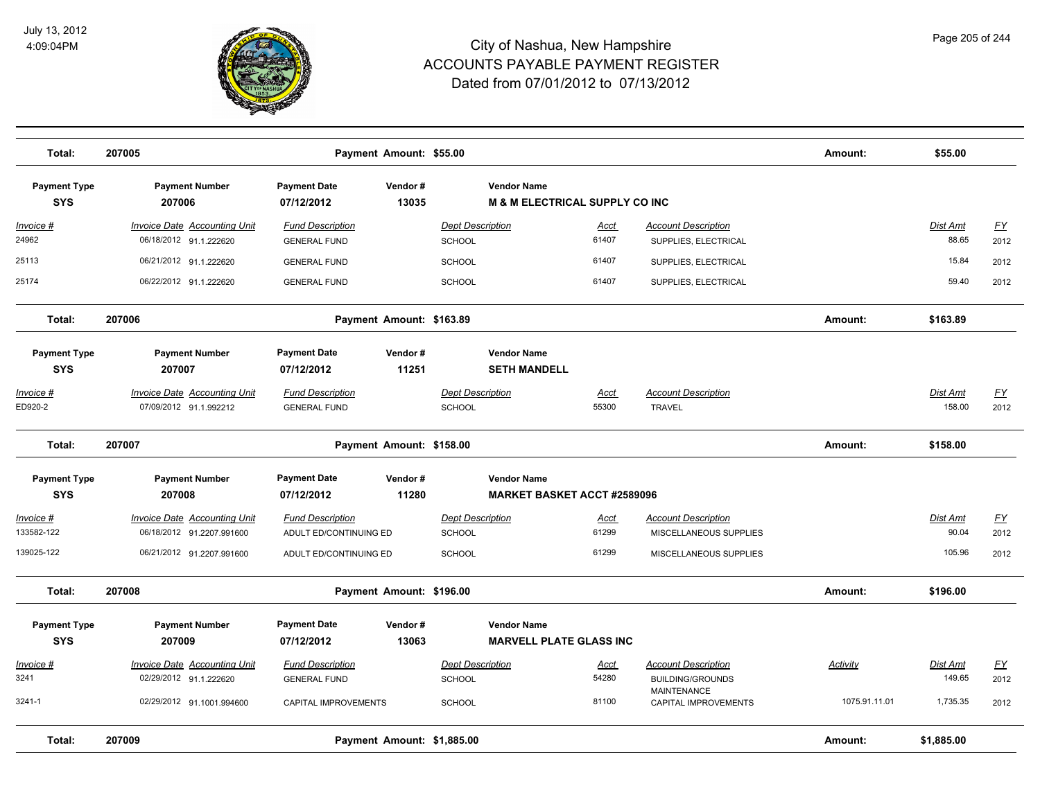

| Total:                            | 207005                                                        |                                                | Payment Amount: \$55.00    |                                   |                                                                 |                      |                                                    | Amount:       | \$55.00           |                  |
|-----------------------------------|---------------------------------------------------------------|------------------------------------------------|----------------------------|-----------------------------------|-----------------------------------------------------------------|----------------------|----------------------------------------------------|---------------|-------------------|------------------|
| <b>Payment Type</b><br><b>SYS</b> | <b>Payment Number</b><br>207006                               | <b>Payment Date</b><br>07/12/2012              | Vendor#<br>13035           |                                   | <b>Vendor Name</b><br><b>M &amp; M ELECTRICAL SUPPLY CO INC</b> |                      |                                                    |               |                   |                  |
| Invoice #<br>24962                | <b>Invoice Date Accounting Unit</b><br>06/18/2012 91.1.222620 | <b>Fund Description</b><br><b>GENERAL FUND</b> |                            | <b>Dept Description</b><br>SCHOOL |                                                                 | <u>Acct</u><br>61407 | <b>Account Description</b><br>SUPPLIES, ELECTRICAL |               | Dist Amt<br>88.65 | EY<br>2012       |
| 25113                             | 06/21/2012 91.1.222620                                        | <b>GENERAL FUND</b>                            |                            | SCHOOL                            |                                                                 | 61407                | SUPPLIES, ELECTRICAL                               |               | 15.84             | 2012             |
| 25174                             | 06/22/2012 91.1.222620                                        | <b>GENERAL FUND</b>                            |                            | SCHOOL                            |                                                                 | 61407                | SUPPLIES, ELECTRICAL                               |               | 59.40             | 2012             |
| Total:                            | 207006                                                        |                                                | Payment Amount: \$163.89   |                                   |                                                                 |                      |                                                    | Amount:       | \$163.89          |                  |
| <b>Payment Type</b><br><b>SYS</b> | <b>Payment Number</b><br>207007                               | <b>Payment Date</b><br>07/12/2012              | Vendor#<br>11251           |                                   | <b>Vendor Name</b><br><b>SETH MANDELL</b>                       |                      |                                                    |               |                   |                  |
| Invoice #                         | <b>Invoice Date Accounting Unit</b>                           | <b>Fund Description</b>                        |                            | <b>Dept Description</b>           |                                                                 | Acct                 | <b>Account Description</b>                         |               | Dist Amt          | EY               |
| ED920-2                           | 07/09/2012 91.1.992212                                        | <b>GENERAL FUND</b>                            |                            | SCHOOL                            |                                                                 | 55300                | <b>TRAVEL</b>                                      |               | 158.00            | 2012             |
| Total:                            | 207007                                                        |                                                | Payment Amount: \$158.00   |                                   |                                                                 |                      |                                                    | Amount:       | \$158.00          |                  |
| <b>Payment Type</b><br><b>SYS</b> | <b>Payment Number</b><br>207008                               | <b>Payment Date</b><br>07/12/2012              | Vendor#<br>11280           |                                   | <b>Vendor Name</b><br><b>MARKET BASKET ACCT #2589096</b>        |                      |                                                    |               |                   |                  |
| Invoice #                         | Invoice Date Accounting Unit                                  | <b>Fund Description</b>                        |                            | <b>Dept Description</b>           |                                                                 | Acct                 | <b>Account Description</b>                         |               | Dist Amt          | $\underline{FY}$ |
| 133582-122                        | 06/18/2012 91.2207.991600                                     | ADULT ED/CONTINUING ED                         |                            | SCHOOL                            |                                                                 | 61299                | MISCELLANEOUS SUPPLIES                             |               | 90.04             | 2012             |
| 139025-122                        | 06/21/2012 91.2207.991600                                     | ADULT ED/CONTINUING ED                         |                            | SCHOOL                            |                                                                 | 61299                | MISCELLANEOUS SUPPLIES                             |               | 105.96            | 2012             |
| Total:                            | 207008                                                        |                                                | Payment Amount: \$196.00   |                                   |                                                                 |                      |                                                    | Amount:       | \$196.00          |                  |
| <b>Payment Type</b><br><b>SYS</b> | <b>Payment Number</b><br>207009                               | <b>Payment Date</b><br>07/12/2012              | Vendor#<br>13063           |                                   | <b>Vendor Name</b><br><b>MARVELL PLATE GLASS INC</b>            |                      |                                                    |               |                   |                  |
| Invoice #                         | <b>Invoice Date Accounting Unit</b>                           | <b>Fund Description</b>                        |                            | <b>Dept Description</b>           |                                                                 | Acct                 | <b>Account Description</b>                         | Activity      | Dist Amt          | $\underline{FY}$ |
| 3241                              | 02/29/2012 91.1.222620                                        | <b>GENERAL FUND</b>                            |                            | SCHOOL                            |                                                                 | 54280                | <b>BUILDING/GROUNDS</b><br><b>MAINTENANCE</b>      |               | 149.65            | 2012             |
| 3241-1                            | 02/29/2012 91.1001.994600                                     | CAPITAL IMPROVEMENTS                           |                            | SCHOOL                            |                                                                 | 81100                | CAPITAL IMPROVEMENTS                               | 1075.91.11.01 | 1,735.35          | 2012             |
| Total:                            | 207009                                                        |                                                | Payment Amount: \$1,885.00 |                                   |                                                                 |                      |                                                    | Amount:       | \$1,885.00        |                  |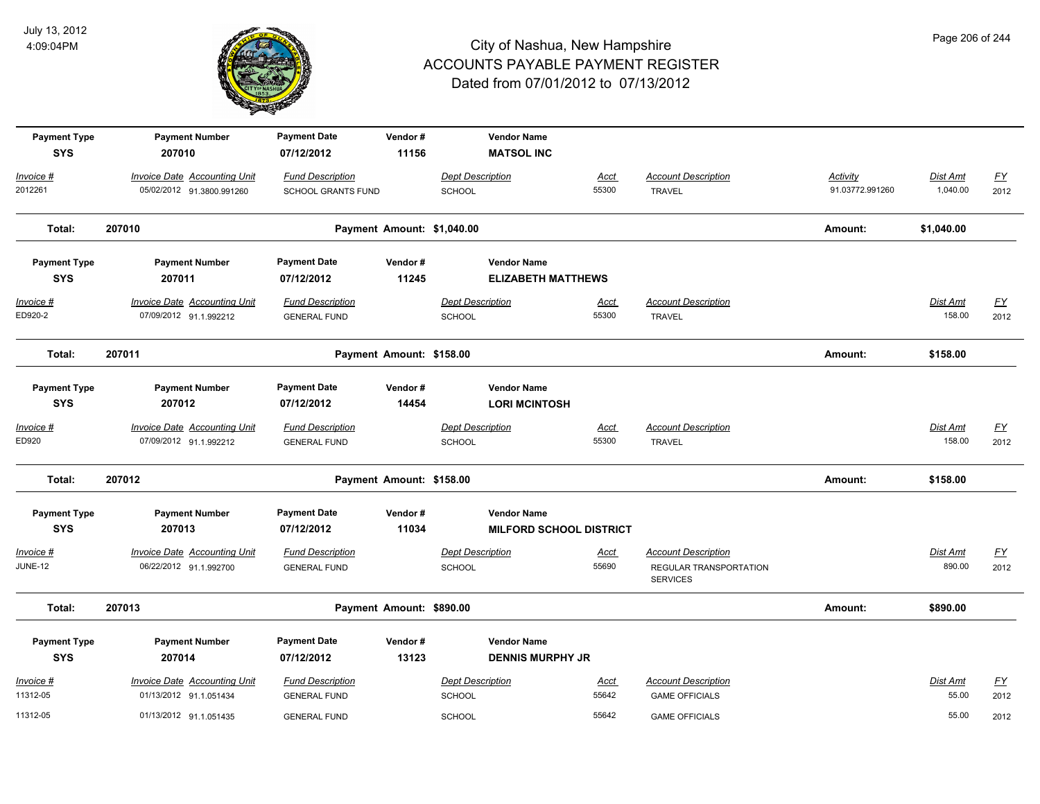

| <b>Payment Type</b><br><b>SYS</b> | <b>Payment Number</b><br>207010                               | <b>Payment Date</b><br>07/12/2012              | Vendor#<br>11156           | <b>Vendor Name</b><br><b>MATSOL INC</b>         |                                |                                                                         |                 |                           |                          |
|-----------------------------------|---------------------------------------------------------------|------------------------------------------------|----------------------------|-------------------------------------------------|--------------------------------|-------------------------------------------------------------------------|-----------------|---------------------------|--------------------------|
| Invoice #                         | <b>Invoice Date Accounting Unit</b>                           | <b>Fund Description</b>                        |                            | <b>Dept Description</b>                         | Acct                           | <b>Account Description</b>                                              | Activity        | Dist Amt                  | EY                       |
| 2012261                           | 05/02/2012 91.3800.991260                                     | <b>SCHOOL GRANTS FUND</b>                      |                            | SCHOOL                                          | 55300                          | <b>TRAVEL</b>                                                           | 91.03772.991260 | 1,040.00                  | 2012                     |
| Total:                            | 207010                                                        |                                                | Payment Amount: \$1,040.00 |                                                 |                                |                                                                         | Amount:         | \$1,040.00                |                          |
| <b>Payment Type</b><br><b>SYS</b> | <b>Payment Number</b><br>207011                               | <b>Payment Date</b><br>07/12/2012              | Vendor#<br>11245           | <b>Vendor Name</b><br><b>ELIZABETH MATTHEWS</b> |                                |                                                                         |                 |                           |                          |
| <u> Invoice #</u><br>ED920-2      | <b>Invoice Date Accounting Unit</b><br>07/09/2012 91.1.992212 | <b>Fund Description</b><br><b>GENERAL FUND</b> |                            | <b>Dept Description</b><br><b>SCHOOL</b>        | <u>Acct</u><br>55300           | <b>Account Description</b><br><b>TRAVEL</b>                             |                 | <b>Dist Amt</b><br>158.00 | <u>FY</u><br>2012        |
| Total:                            | 207011                                                        |                                                | Payment Amount: \$158.00   |                                                 |                                |                                                                         | Amount:         | \$158.00                  |                          |
| <b>Payment Type</b>               | <b>Payment Number</b>                                         | <b>Payment Date</b>                            | Vendor#                    | <b>Vendor Name</b>                              |                                |                                                                         |                 |                           |                          |
| <b>SYS</b>                        | 207012                                                        | 07/12/2012                                     | 14454                      | <b>LORI MCINTOSH</b>                            |                                |                                                                         |                 |                           |                          |
| Invoice #<br>ED920                | <b>Invoice Date Accounting Unit</b><br>07/09/2012 91.1.992212 | <b>Fund Description</b><br><b>GENERAL FUND</b> |                            | <b>Dept Description</b><br>SCHOOL               | Acct<br>55300                  | <b>Account Description</b><br><b>TRAVEL</b>                             |                 | Dist Amt<br>158.00        | $\underline{FY}$<br>2012 |
| Total:                            | 207012                                                        |                                                | Payment Amount: \$158.00   |                                                 |                                |                                                                         | Amount:         | \$158.00                  |                          |
| <b>Payment Type</b><br><b>SYS</b> | <b>Payment Number</b><br>207013                               | <b>Payment Date</b><br>07/12/2012              | Vendor#<br>11034           | <b>Vendor Name</b>                              | <b>MILFORD SCHOOL DISTRICT</b> |                                                                         |                 |                           |                          |
| Invoice #<br><b>JUNE-12</b>       | Invoice Date Accounting Unit<br>06/22/2012 91.1.992700        | <b>Fund Description</b><br><b>GENERAL FUND</b> |                            | <b>Dept Description</b><br><b>SCHOOL</b>        | Acct<br>55690                  | <b>Account Description</b><br>REGULAR TRANSPORTATION<br><b>SERVICES</b> |                 | Dist Amt<br>890.00        | $\underline{FY}$<br>2012 |
| Total:                            | 207013                                                        |                                                | Payment Amount: \$890.00   |                                                 |                                |                                                                         | Amount:         | \$890.00                  |                          |
| <b>Payment Type</b>               | <b>Payment Number</b>                                         | <b>Payment Date</b>                            | Vendor#                    | <b>Vendor Name</b>                              |                                |                                                                         |                 |                           |                          |
| <b>SYS</b>                        | 207014                                                        | 07/12/2012                                     | 13123                      | <b>DENNIS MURPHY JR</b>                         |                                |                                                                         |                 |                           |                          |
| Invoice #<br>11312-05             | <b>Invoice Date Accounting Unit</b><br>01/13/2012 91.1.051434 | <b>Fund Description</b><br><b>GENERAL FUND</b> |                            | <b>Dept Description</b><br>SCHOOL               | <b>Acct</b><br>55642           | <b>Account Description</b><br><b>GAME OFFICIALS</b>                     |                 | Dist Amt<br>55.00         | $\underline{FY}$<br>2012 |
| 11312-05                          | 01/13/2012 91.1.051435                                        | <b>GENERAL FUND</b>                            |                            | SCHOOL                                          | 55642                          | <b>GAME OFFICIALS</b>                                                   |                 | 55.00                     | 2012                     |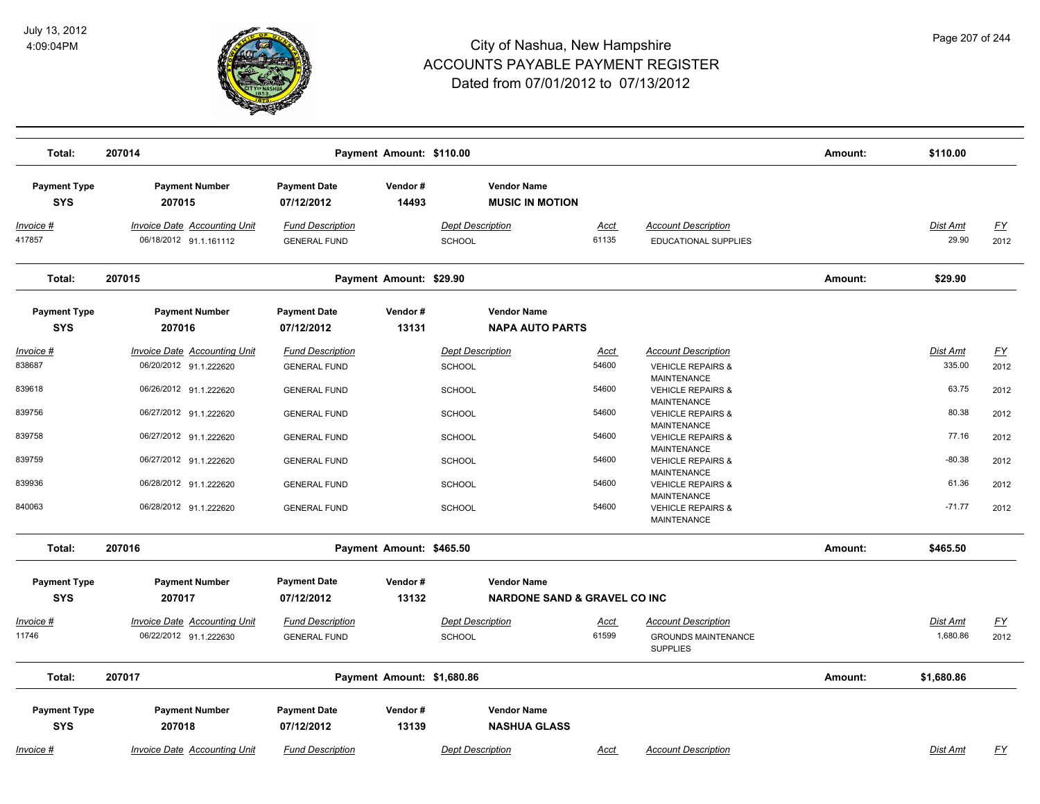

| Total:                            | 207014                                                        |                                                | Payment Amount: \$110.00   |                                          |                                                               |                      |                                                                                    | Amount: | \$110.00                 |                  |
|-----------------------------------|---------------------------------------------------------------|------------------------------------------------|----------------------------|------------------------------------------|---------------------------------------------------------------|----------------------|------------------------------------------------------------------------------------|---------|--------------------------|------------------|
| <b>Payment Type</b><br><b>SYS</b> | <b>Payment Number</b><br>207015                               | <b>Payment Date</b><br>07/12/2012              | Vendor#<br>14493           |                                          | <b>Vendor Name</b><br><b>MUSIC IN MOTION</b>                  |                      |                                                                                    |         |                          |                  |
| <u> Invoice #</u><br>417857       | <b>Invoice Date Accounting Unit</b><br>06/18/2012 91.1.161112 | <b>Fund Description</b><br><b>GENERAL FUND</b> |                            | <b>Dept Description</b><br><b>SCHOOL</b> |                                                               | <u>Acct</u><br>61135 | <b>Account Description</b><br>EDUCATIONAL SUPPLIES                                 |         | <b>Dist Amt</b><br>29.90 | EY<br>2012       |
| Total:                            | 207015                                                        |                                                | Payment Amount: \$29.90    |                                          |                                                               |                      |                                                                                    | Amount: | \$29.90                  |                  |
| <b>Payment Type</b><br><b>SYS</b> | <b>Payment Number</b><br>207016                               | <b>Payment Date</b><br>07/12/2012              | Vendor#<br>13131           |                                          | <b>Vendor Name</b><br><b>NAPA AUTO PARTS</b>                  |                      |                                                                                    |         |                          |                  |
| Invoice #                         | <b>Invoice Date Accounting Unit</b>                           | <b>Fund Description</b>                        |                            | <b>Dept Description</b>                  |                                                               | <b>Acct</b>          | <b>Account Description</b>                                                         |         | Dist Amt                 | $\underline{FY}$ |
| 838687                            | 06/20/2012 91.1.222620                                        | <b>GENERAL FUND</b>                            |                            | SCHOOL                                   |                                                               | 54600                | <b>VEHICLE REPAIRS &amp;</b><br>MAINTENANCE                                        |         | 335.00                   | 2012             |
| 839618                            | 06/26/2012 91.1.222620                                        | <b>GENERAL FUND</b>                            |                            | <b>SCHOOL</b>                            |                                                               | 54600                | <b>VEHICLE REPAIRS &amp;</b><br><b>MAINTENANCE</b>                                 |         | 63.75                    | 2012             |
| 839756                            | 06/27/2012 91.1.222620                                        | <b>GENERAL FUND</b>                            |                            | <b>SCHOOL</b>                            |                                                               | 54600                | <b>VEHICLE REPAIRS &amp;</b><br><b>MAINTENANCE</b>                                 |         | 80.38                    | 2012             |
| 839758<br>839759                  | 06/27/2012 91.1.222620                                        | <b>GENERAL FUND</b>                            |                            | <b>SCHOOL</b>                            |                                                               | 54600<br>54600       | <b>VEHICLE REPAIRS &amp;</b><br><b>MAINTENANCE</b>                                 |         | 77.16<br>$-80.38$        | 2012             |
| 839936                            | 06/27/2012 91.1.222620<br>06/28/2012 91.1.222620              | <b>GENERAL FUND</b><br><b>GENERAL FUND</b>     |                            | <b>SCHOOL</b><br><b>SCHOOL</b>           |                                                               | 54600                | <b>VEHICLE REPAIRS &amp;</b><br><b>MAINTENANCE</b><br><b>VEHICLE REPAIRS &amp;</b> |         | 61.36                    | 2012<br>2012     |
| 840063                            | 06/28/2012 91.1.222620                                        | <b>GENERAL FUND</b>                            |                            | <b>SCHOOL</b>                            |                                                               | 54600                | MAINTENANCE<br><b>VEHICLE REPAIRS &amp;</b>                                        |         | $-71.77$                 | 2012             |
|                                   |                                                               |                                                |                            |                                          |                                                               |                      | <b>MAINTENANCE</b>                                                                 |         |                          |                  |
| Total:                            | 207016                                                        |                                                | Payment Amount: \$465.50   |                                          |                                                               |                      |                                                                                    | Amount: | \$465.50                 |                  |
| <b>Payment Type</b><br><b>SYS</b> | <b>Payment Number</b><br>207017                               | <b>Payment Date</b><br>07/12/2012              | Vendor#<br>13132           |                                          | <b>Vendor Name</b><br><b>NARDONE SAND &amp; GRAVEL CO INC</b> |                      |                                                                                    |         |                          |                  |
| Invoice #                         | Invoice Date Accounting Unit                                  | <b>Fund Description</b>                        |                            | <b>Dept Description</b>                  |                                                               | <u>Acct</u>          | <b>Account Description</b>                                                         |         | Dist Amt                 | <u>FY</u>        |
| 11746                             | 06/22/2012 91.1.222630                                        | <b>GENERAL FUND</b>                            |                            | <b>SCHOOL</b>                            |                                                               | 61599                | <b>GROUNDS MAINTENANCE</b><br><b>SUPPLIES</b>                                      |         | 1,680.86                 | 2012             |
| Total:                            | 207017                                                        |                                                | Payment Amount: \$1,680.86 |                                          |                                                               |                      |                                                                                    | Amount: | \$1,680.86               |                  |
| <b>Payment Type</b><br><b>SYS</b> | <b>Payment Number</b><br>207018                               | <b>Payment Date</b><br>07/12/2012              | Vendor#<br>13139           |                                          | <b>Vendor Name</b><br><b>NASHUA GLASS</b>                     |                      |                                                                                    |         |                          |                  |
| Invoice #                         | Invoice Date Accounting Unit                                  | <b>Fund Description</b>                        |                            | <b>Dept Description</b>                  |                                                               | Acct                 | <b>Account Description</b>                                                         |         | Dist Amt                 | FY               |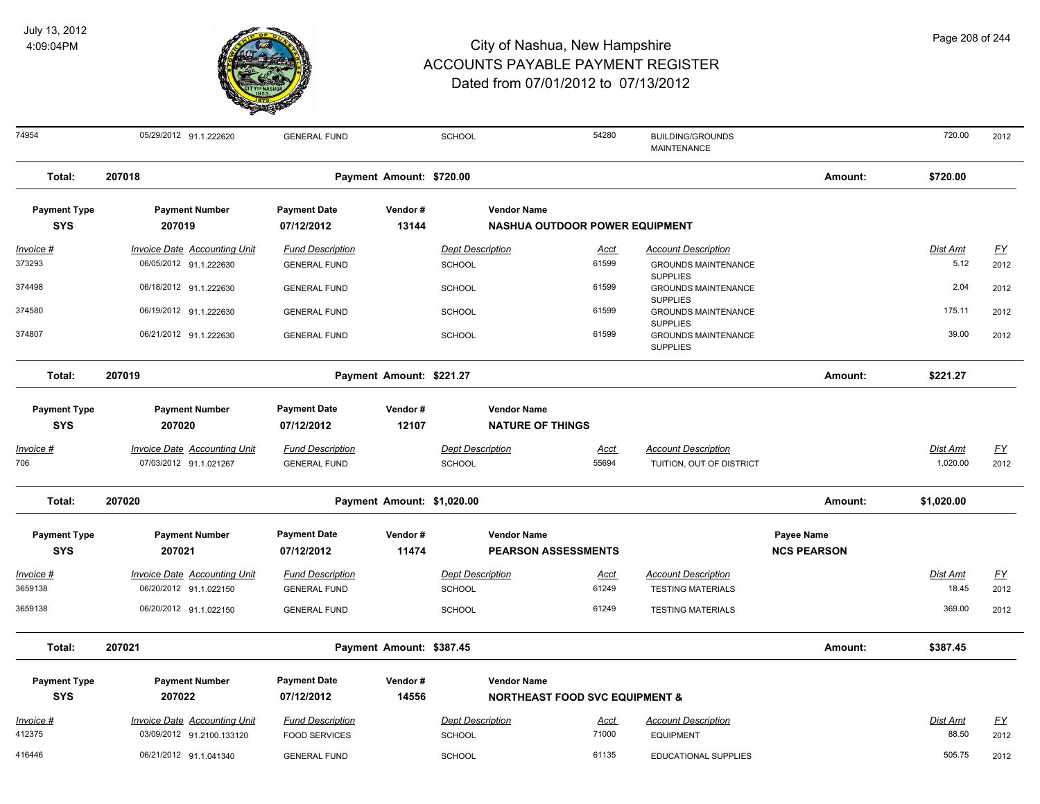

| 74954                             | 05/29/2012 91.1.222620                                        | <b>GENERAL FUND</b>                            |                            | <b>SCHOOL</b>                            |                                                                 | 54280                | <b>BUILDING/GROUNDS</b><br><b>MAINTENANCE</b>                    |                                  | 720.00            | 2012              |
|-----------------------------------|---------------------------------------------------------------|------------------------------------------------|----------------------------|------------------------------------------|-----------------------------------------------------------------|----------------------|------------------------------------------------------------------|----------------------------------|-------------------|-------------------|
| Total:                            | 207018                                                        |                                                | Payment Amount: \$720.00   |                                          |                                                                 |                      |                                                                  | Amount:                          | \$720.00          |                   |
| <b>Payment Type</b><br><b>SYS</b> | <b>Payment Number</b><br>207019                               | <b>Payment Date</b><br>07/12/2012              | Vendor#<br>13144           |                                          | <b>Vendor Name</b><br><b>NASHUA OUTDOOR POWER EQUIPMENT</b>     |                      |                                                                  |                                  |                   |                   |
| $Invoice$ #                       | <b>Invoice Date Accounting Unit</b>                           | <b>Fund Description</b>                        |                            | <b>Dept Description</b>                  |                                                                 | <u>Acct</u>          | <b>Account Description</b>                                       |                                  | Dist Amt          | <u>FY</u>         |
| 373293                            | 06/05/2012 91.1.222630                                        | <b>GENERAL FUND</b>                            |                            | <b>SCHOOL</b>                            |                                                                 | 61599                | <b>GROUNDS MAINTENANCE</b>                                       |                                  | 5.12              | 2012              |
| 374498                            | 06/18/2012 91.1.222630                                        | <b>GENERAL FUND</b>                            |                            | <b>SCHOOL</b>                            |                                                                 | 61599                | <b>SUPPLIES</b><br><b>GROUNDS MAINTENANCE</b><br><b>SUPPLIES</b> |                                  | 2.04              | 2012              |
| 374580                            | 06/19/2012 91.1.222630                                        | <b>GENERAL FUND</b>                            |                            | <b>SCHOOL</b>                            |                                                                 | 61599                | <b>GROUNDS MAINTENANCE</b>                                       |                                  | 175.11            | 2012              |
| 374807                            | 06/21/2012 91.1.222630                                        | <b>GENERAL FUND</b>                            |                            | SCHOOL                                   |                                                                 | 61599                | <b>SUPPLIES</b><br><b>GROUNDS MAINTENANCE</b><br><b>SUPPLIES</b> |                                  | 39.00             | 2012              |
| Total:                            | 207019                                                        |                                                | Payment Amount: \$221.27   |                                          |                                                                 |                      |                                                                  | Amount:                          | \$221.27          |                   |
| <b>Payment Type</b>               | <b>Payment Number</b>                                         | <b>Payment Date</b>                            | Vendor#                    |                                          | <b>Vendor Name</b>                                              |                      |                                                                  |                                  |                   |                   |
| <b>SYS</b>                        | 207020                                                        | 07/12/2012                                     | 12107                      |                                          | <b>NATURE OF THINGS</b>                                         |                      |                                                                  |                                  |                   |                   |
| Invoice #                         | <b>Invoice Date Accounting Unit</b>                           | <b>Fund Description</b>                        |                            | <b>Dept Description</b>                  |                                                                 | <b>Acct</b>          | <b>Account Description</b>                                       |                                  | Dist Amt          | <u>FY</u>         |
| 706                               | 07/03/2012 91.1.021267                                        | <b>GENERAL FUND</b>                            |                            | SCHOOL                                   |                                                                 | 55694                | TUITION, OUT OF DISTRICT                                         |                                  | 1,020.00          | 2012              |
| Total:                            | 207020                                                        |                                                | Payment Amount: \$1,020.00 |                                          |                                                                 |                      |                                                                  | Amount:                          | \$1,020.00        |                   |
| <b>Payment Type</b><br><b>SYS</b> | <b>Payment Number</b><br>207021                               | <b>Payment Date</b><br>07/12/2012              | Vendor#<br>11474           |                                          | <b>Vendor Name</b><br><b>PEARSON ASSESSMENTS</b>                |                      |                                                                  | Payee Name<br><b>NCS PEARSON</b> |                   |                   |
|                                   |                                                               |                                                |                            |                                          |                                                                 |                      |                                                                  |                                  |                   |                   |
| Invoice #<br>3659138              | <b>Invoice Date Accounting Unit</b><br>06/20/2012 91.1.022150 | <b>Fund Description</b><br><b>GENERAL FUND</b> |                            | <b>Dept Description</b><br><b>SCHOOL</b> |                                                                 | <u>Acct</u><br>61249 | <b>Account Description</b><br><b>TESTING MATERIALS</b>           |                                  | Dist Amt<br>18.45 | <u>FY</u><br>2012 |
| 3659138                           | 06/20/2012 91.1.022150                                        | <b>GENERAL FUND</b>                            |                            | <b>SCHOOL</b>                            |                                                                 | 61249                | <b>TESTING MATERIALS</b>                                         |                                  | 369.00            | 2012              |
| Total:                            | 207021                                                        |                                                | Payment Amount: \$387.45   |                                          |                                                                 |                      |                                                                  | Amount:                          | \$387.45          |                   |
|                                   |                                                               |                                                |                            |                                          |                                                                 |                      |                                                                  |                                  |                   |                   |
| <b>Payment Type</b><br><b>SYS</b> | <b>Payment Number</b><br>207022                               | <b>Payment Date</b><br>07/12/2012              | Vendor#<br>14556           |                                          | <b>Vendor Name</b><br><b>NORTHEAST FOOD SVC EQUIPMENT &amp;</b> |                      |                                                                  |                                  |                   |                   |
| Invoice #                         | Invoice Date Accounting Unit                                  | <b>Fund Description</b>                        |                            | <b>Dept Description</b>                  |                                                                 | Acct                 | <b>Account Description</b>                                       |                                  | Dist Amt          | <u>FY</u>         |
| 412375                            | 03/09/2012 91.2100.133120                                     | <b>FOOD SERVICES</b>                           |                            | <b>SCHOOL</b>                            |                                                                 | 71000                | <b>EQUIPMENT</b>                                                 |                                  | 88.50             | 2012              |
| 416446                            | 06/21/2012 91.1.041340                                        | <b>GENERAL FUND</b>                            |                            | <b>SCHOOL</b>                            |                                                                 | 61135                | <b>EDUCATIONAL SUPPLIES</b>                                      |                                  | 505.75            | 2012              |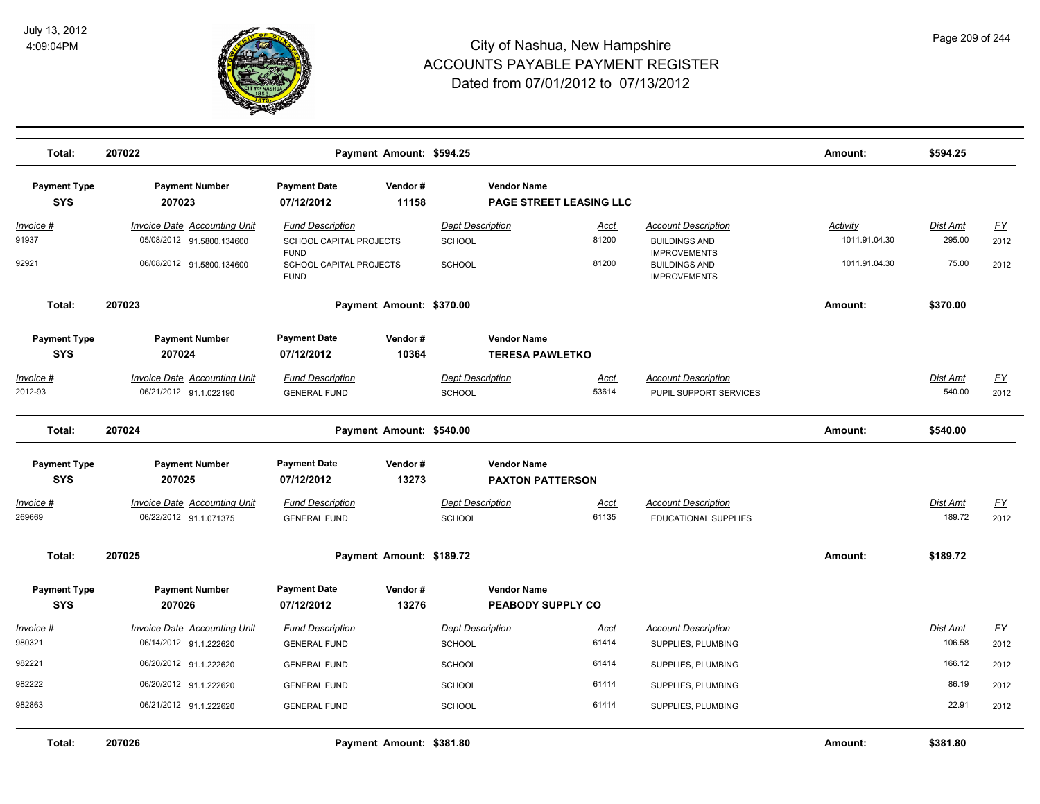

| Total:                            | 207022                                                           |                                                       | Payment Amount: \$594.25 |                                          |                                               |                                                                    | Amount:                          | \$594.25                  |                   |
|-----------------------------------|------------------------------------------------------------------|-------------------------------------------------------|--------------------------|------------------------------------------|-----------------------------------------------|--------------------------------------------------------------------|----------------------------------|---------------------------|-------------------|
| <b>Payment Type</b><br><b>SYS</b> | <b>Payment Number</b><br>207023                                  | <b>Payment Date</b><br>07/12/2012                     | Vendor#<br>11158         |                                          | <b>Vendor Name</b><br>PAGE STREET LEASING LLC |                                                                    |                                  |                           |                   |
| Invoice #<br>91937                | <b>Invoice Date Accounting Unit</b><br>05/08/2012 91.5800.134600 | <b>Fund Description</b><br>SCHOOL CAPITAL PROJECTS    |                          | <b>Dept Description</b><br>SCHOOL        | Acct<br>81200                                 | <b>Account Description</b><br><b>BUILDINGS AND</b>                 | <b>Activity</b><br>1011.91.04.30 | Dist Amt<br>295.00        | <u>FY</u><br>2012 |
| 92921                             | 06/08/2012 91.5800.134600                                        | <b>FUND</b><br>SCHOOL CAPITAL PROJECTS<br><b>FUND</b> |                          | SCHOOL                                   | 81200                                         | <b>IMPROVEMENTS</b><br><b>BUILDINGS AND</b><br><b>IMPROVEMENTS</b> | 1011.91.04.30                    | 75.00                     | 2012              |
| Total:                            | 207023                                                           |                                                       | Payment Amount: \$370.00 |                                          |                                               |                                                                    | Amount:                          | \$370.00                  |                   |
| <b>Payment Type</b><br><b>SYS</b> | <b>Payment Number</b><br>207024                                  | <b>Payment Date</b><br>07/12/2012                     | Vendor#<br>10364         |                                          | <b>Vendor Name</b><br><b>TERESA PAWLETKO</b>  |                                                                    |                                  |                           |                   |
| Invoice #<br>2012-93              | <b>Invoice Date Accounting Unit</b><br>06/21/2012 91.1.022190    | <b>Fund Description</b><br><b>GENERAL FUND</b>        |                          | <b>Dept Description</b><br><b>SCHOOL</b> | Acct<br>53614                                 | <b>Account Description</b><br>PUPIL SUPPORT SERVICES               |                                  | Dist Amt<br>540.00        | EY<br>2012        |
| Total:                            | 207024                                                           |                                                       | Payment Amount: \$540.00 |                                          |                                               |                                                                    | Amount:                          | \$540.00                  |                   |
| <b>Payment Type</b><br><b>SYS</b> | <b>Payment Number</b><br>207025                                  | <b>Payment Date</b><br>07/12/2012                     | Vendor#<br>13273         |                                          | <b>Vendor Name</b><br><b>PAXTON PATTERSON</b> |                                                                    |                                  |                           |                   |
| Invoice #<br>269669               | <b>Invoice Date Accounting Unit</b><br>06/22/2012 91.1.071375    | <b>Fund Description</b><br><b>GENERAL FUND</b>        |                          | <b>Dept Description</b><br><b>SCHOOL</b> | <u>Acct</u><br>61135                          | <b>Account Description</b><br>EDUCATIONAL SUPPLIES                 |                                  | Dist Amt<br>189.72        | <u>FY</u><br>2012 |
| Total:                            | 207025                                                           |                                                       | Payment Amount: \$189.72 |                                          |                                               |                                                                    | Amount:                          | \$189.72                  |                   |
| <b>Payment Type</b><br><b>SYS</b> | <b>Payment Number</b><br>207026                                  | <b>Payment Date</b><br>07/12/2012                     | Vendor#<br>13276         |                                          | <b>Vendor Name</b><br>PEABODY SUPPLY CO       |                                                                    |                                  |                           |                   |
| Invoice #                         | <b>Invoice Date Accounting Unit</b>                              | <b>Fund Description</b>                               |                          | <b>Dept Description</b>                  | <u>Acct</u><br>61414                          | <b>Account Description</b>                                         |                                  | <b>Dist Amt</b><br>106.58 | <u>FY</u>         |
| 980321<br>982221                  | 06/14/2012 91.1.222620<br>06/20/2012 91.1.222620                 | <b>GENERAL FUND</b><br><b>GENERAL FUND</b>            |                          | <b>SCHOOL</b><br>SCHOOL                  | 61414                                         | SUPPLIES, PLUMBING<br>SUPPLIES, PLUMBING                           |                                  | 166.12                    | 2012<br>2012      |
| 982222                            | 06/20/2012 91.1.222620                                           | <b>GENERAL FUND</b>                                   |                          | SCHOOL                                   | 61414                                         | SUPPLIES, PLUMBING                                                 |                                  | 86.19                     | 2012              |
| 982863                            | 06/21/2012 91.1.222620                                           | <b>GENERAL FUND</b>                                   |                          | <b>SCHOOL</b>                            | 61414                                         | SUPPLIES, PLUMBING                                                 |                                  | 22.91                     | 2012              |
| Total:                            | 207026                                                           |                                                       | Payment Amount: \$381.80 |                                          |                                               |                                                                    | Amount:                          | \$381.80                  |                   |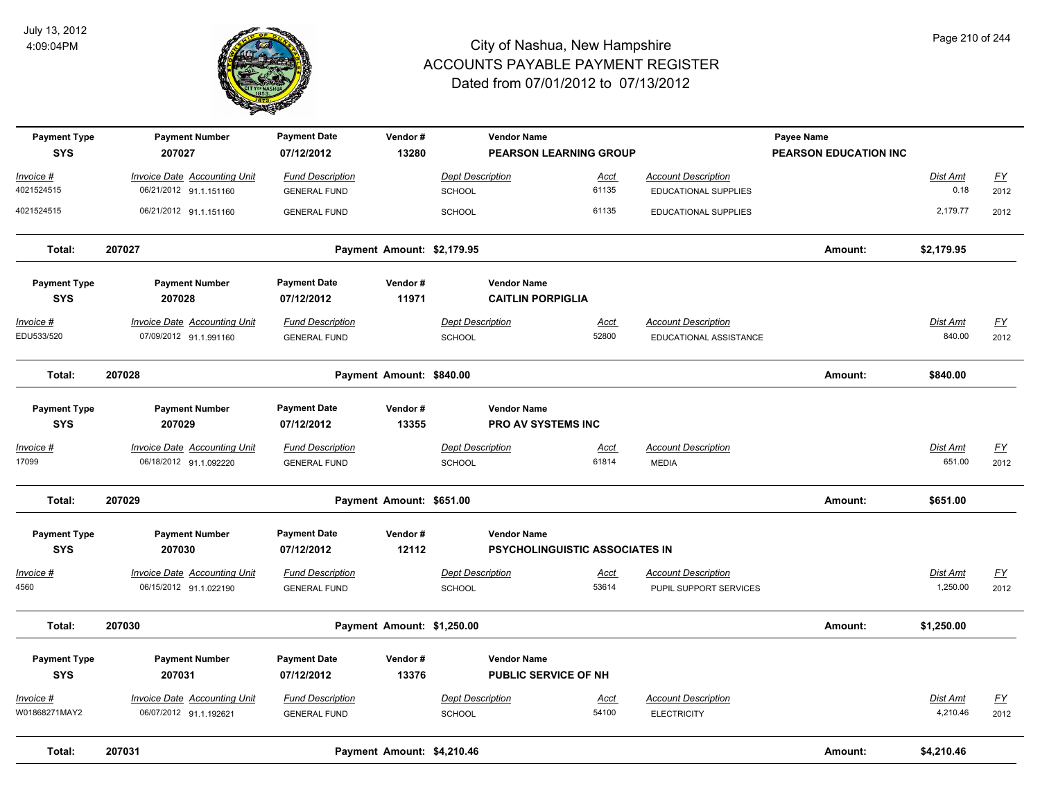

| <b>Payment Type</b><br><b>SYS</b> | <b>Payment Number</b><br>207027     | <b>Payment Date</b><br>07/12/2012 | Vendor#<br>13280           |                         | <b>Vendor Name</b><br><b>PEARSON LEARNING GROUP</b> |             |                             | Payee Name<br>PEARSON EDUCATION INC |                 |                           |
|-----------------------------------|-------------------------------------|-----------------------------------|----------------------------|-------------------------|-----------------------------------------------------|-------------|-----------------------------|-------------------------------------|-----------------|---------------------------|
| Invoice #                         | <b>Invoice Date Accounting Unit</b> | <b>Fund Description</b>           |                            | <b>Dept Description</b> |                                                     | <b>Acct</b> | <b>Account Description</b>  |                                     | <b>Dist Amt</b> | <u>FY</u>                 |
| 4021524515                        | 06/21/2012 91.1.151160              | <b>GENERAL FUND</b>               |                            | <b>SCHOOL</b>           |                                                     | 61135       | <b>EDUCATIONAL SUPPLIES</b> |                                     | 0.18            | 2012                      |
| 4021524515                        | 06/21/2012 91.1.151160              | <b>GENERAL FUND</b>               |                            | <b>SCHOOL</b>           |                                                     | 61135       | <b>EDUCATIONAL SUPPLIES</b> |                                     | 2,179.77        | 2012                      |
| Total:                            | 207027                              |                                   | Payment Amount: \$2,179.95 |                         |                                                     |             |                             | Amount:                             | \$2,179.95      |                           |
| <b>Payment Type</b>               | <b>Payment Number</b>               | <b>Payment Date</b>               | Vendor#                    |                         | <b>Vendor Name</b>                                  |             |                             |                                     |                 |                           |
| <b>SYS</b>                        | 207028                              | 07/12/2012                        | 11971                      |                         | <b>CAITLIN PORPIGLIA</b>                            |             |                             |                                     |                 |                           |
| <u>Invoice #</u>                  | <b>Invoice Date Accounting Unit</b> | <b>Fund Description</b>           |                            | <b>Dept Description</b> |                                                     | <u>Acct</u> | <b>Account Description</b>  |                                     | <b>Dist Amt</b> | $\underline{\mathsf{FY}}$ |
| EDU533/520                        | 07/09/2012 91.1.991160              | <b>GENERAL FUND</b>               |                            | SCHOOL                  |                                                     | 52800       | EDUCATIONAL ASSISTANCE      |                                     | 840.00          | 2012                      |
| Total:                            | 207028                              |                                   | Payment Amount: \$840.00   |                         |                                                     |             |                             | Amount:                             | \$840.00        |                           |
| <b>Payment Type</b>               | <b>Payment Number</b>               | <b>Payment Date</b>               | Vendor#                    |                         | <b>Vendor Name</b>                                  |             |                             |                                     |                 |                           |
| <b>SYS</b>                        | 207029                              | 07/12/2012                        | 13355                      |                         | PRO AV SYSTEMS INC                                  |             |                             |                                     |                 |                           |
| <u> Invoice #</u>                 | <b>Invoice Date Accounting Unit</b> | <b>Fund Description</b>           |                            | <b>Dept Description</b> |                                                     | <u>Acct</u> | <b>Account Description</b>  |                                     | Dist Amt        | <u>FY</u>                 |
| 17099                             | 06/18/2012 91.1.092220              | <b>GENERAL FUND</b>               |                            | SCHOOL                  |                                                     | 61814       | <b>MEDIA</b>                |                                     | 651.00          | 2012                      |
| Total:                            | 207029                              |                                   | Payment Amount: \$651.00   |                         |                                                     |             |                             | Amount:                             | \$651.00        |                           |
| <b>Payment Type</b>               | <b>Payment Number</b>               | <b>Payment Date</b>               | Vendor#                    |                         | <b>Vendor Name</b>                                  |             |                             |                                     |                 |                           |
| <b>SYS</b>                        | 207030                              | 07/12/2012                        | 12112                      |                         | <b>PSYCHOLINGUISTIC ASSOCIATES IN</b>               |             |                             |                                     |                 |                           |
| Invoice #                         | <b>Invoice Date Accounting Unit</b> | <b>Fund Description</b>           |                            | <b>Dept Description</b> |                                                     | <u>Acct</u> | <b>Account Description</b>  |                                     | <b>Dist Amt</b> | <u>FY</u>                 |
| 4560                              | 06/15/2012 91.1.022190              | <b>GENERAL FUND</b>               |                            | SCHOOL                  |                                                     | 53614       | PUPIL SUPPORT SERVICES      |                                     | 1,250.00        | 2012                      |
| Total:                            | 207030                              |                                   | Payment Amount: \$1,250.00 |                         |                                                     |             |                             | Amount:                             | \$1,250.00      |                           |
| <b>Payment Type</b>               | <b>Payment Number</b>               | <b>Payment Date</b>               | Vendor#                    |                         | <b>Vendor Name</b>                                  |             |                             |                                     |                 |                           |
| <b>SYS</b>                        | 207031                              | 07/12/2012                        | 13376                      |                         | <b>PUBLIC SERVICE OF NH</b>                         |             |                             |                                     |                 |                           |
| Invoice #                         | <b>Invoice Date Accounting Unit</b> | <b>Fund Description</b>           |                            | <b>Dept Description</b> |                                                     | <u>Acct</u> | <b>Account Description</b>  |                                     | <b>Dist Amt</b> | <u>FY</u>                 |
| W01868271MAY2                     | 06/07/2012 91.1.192621              | <b>GENERAL FUND</b>               |                            | <b>SCHOOL</b>           |                                                     | 54100       | <b>ELECTRICITY</b>          |                                     | 4,210.46        | 2012                      |
| Total:                            | 207031                              |                                   | Payment Amount: \$4,210.46 |                         |                                                     |             |                             | Amount:                             | \$4,210.46      |                           |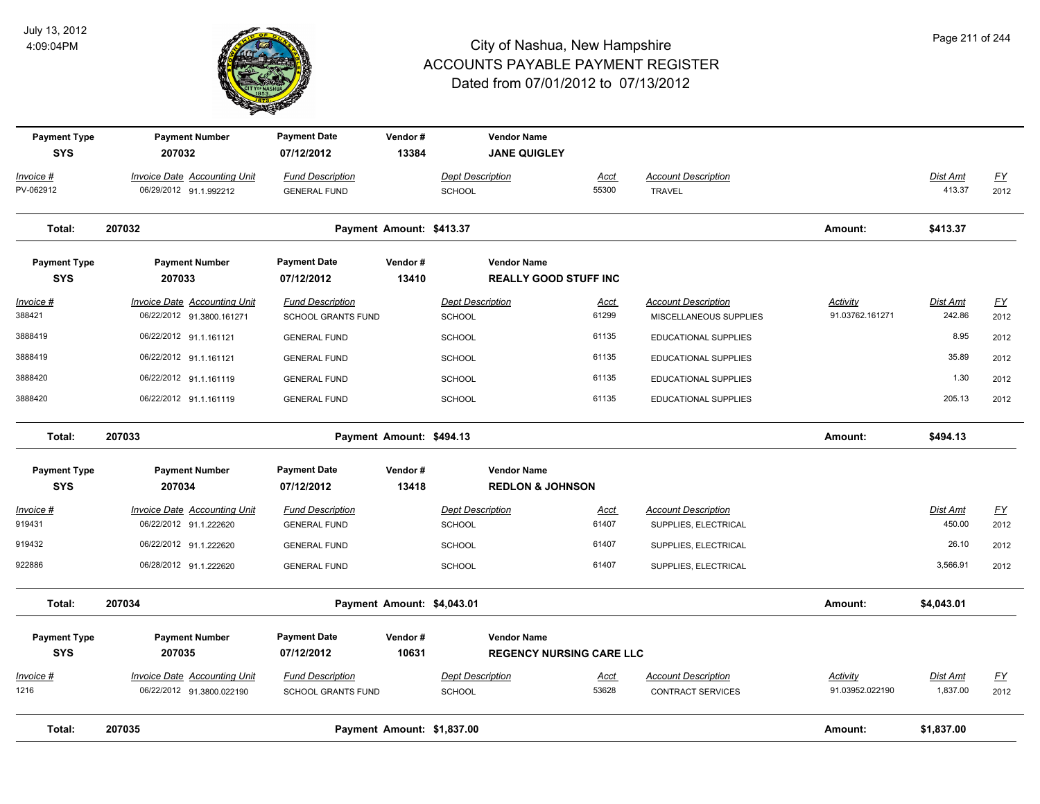

| <b>Payment Type</b><br><b>SYS</b> | <b>Payment Number</b><br>207032                                  | <b>Payment Date</b><br>07/12/2012                    | Vendor#<br>13384           |                                          | <b>Vendor Name</b><br><b>JANE QUIGLEY</b>             |                      |                                                        |                                    |                           |                          |
|-----------------------------------|------------------------------------------------------------------|------------------------------------------------------|----------------------------|------------------------------------------|-------------------------------------------------------|----------------------|--------------------------------------------------------|------------------------------------|---------------------------|--------------------------|
| Invoice #<br>PV-062912            | <b>Invoice Date Accounting Unit</b><br>06/29/2012 91.1.992212    | <b>Fund Description</b><br><b>GENERAL FUND</b>       |                            | <b>Dept Description</b><br>SCHOOL        |                                                       | Acct<br>55300        | <b>Account Description</b><br><b>TRAVEL</b>            |                                    | Dist Amt<br>413.37        | <u>FY</u><br>2012        |
| Total:                            | 207032                                                           |                                                      | Payment Amount: \$413.37   |                                          |                                                       |                      |                                                        | Amount:                            | \$413.37                  |                          |
| <b>Payment Type</b><br><b>SYS</b> | <b>Payment Number</b><br>207033                                  | <b>Payment Date</b><br>07/12/2012                    | Vendor#<br>13410           |                                          | <b>Vendor Name</b><br><b>REALLY GOOD STUFF INC</b>    |                      |                                                        |                                    |                           |                          |
| <u>Invoice #</u><br>388421        | <b>Invoice Date Accounting Unit</b><br>06/22/2012 91.3800.161271 | <b>Fund Description</b><br><b>SCHOOL GRANTS FUND</b> |                            | <b>Dept Description</b><br><b>SCHOOL</b> |                                                       | <u>Acct</u><br>61299 | <b>Account Description</b><br>MISCELLANEOUS SUPPLIES   | <b>Activity</b><br>91.03762.161271 | <b>Dist Amt</b><br>242.86 | <u>FY</u><br>2012        |
| 3888419                           | 06/22/2012 91.1.161121                                           | <b>GENERAL FUND</b>                                  |                            | <b>SCHOOL</b>                            |                                                       | 61135                | <b>EDUCATIONAL SUPPLIES</b>                            |                                    | 8.95                      | 2012                     |
| 3888419                           | 06/22/2012 91.1.161121                                           | <b>GENERAL FUND</b>                                  |                            | <b>SCHOOL</b>                            |                                                       | 61135                | EDUCATIONAL SUPPLIES                                   |                                    | 35.89                     | 2012                     |
| 3888420                           | 06/22/2012 91.1.161119                                           | <b>GENERAL FUND</b>                                  |                            | <b>SCHOOL</b>                            |                                                       | 61135                | EDUCATIONAL SUPPLIES                                   |                                    | 1.30                      | 2012                     |
| 3888420                           | 06/22/2012 91.1.161119                                           | <b>GENERAL FUND</b>                                  |                            | <b>SCHOOL</b>                            |                                                       | 61135                | EDUCATIONAL SUPPLIES                                   |                                    | 205.13                    | 2012                     |
| Total:                            | 207033                                                           |                                                      | Payment Amount: \$494.13   |                                          |                                                       |                      |                                                        | Amount:                            | \$494.13                  |                          |
| <b>Payment Type</b><br><b>SYS</b> | <b>Payment Number</b><br>207034                                  | <b>Payment Date</b><br>07/12/2012                    | Vendor#<br>13418           |                                          | <b>Vendor Name</b><br><b>REDLON &amp; JOHNSON</b>     |                      |                                                        |                                    |                           |                          |
| Invoice #<br>919431               | <b>Invoice Date Accounting Unit</b><br>06/22/2012 91.1.222620    | <b>Fund Description</b><br><b>GENERAL FUND</b>       |                            | <b>Dept Description</b><br><b>SCHOOL</b> |                                                       | <u>Acct</u><br>61407 | <b>Account Description</b><br>SUPPLIES, ELECTRICAL     |                                    | Dist Amt<br>450.00        | $FY$<br>2012             |
| 919432                            | 06/22/2012 91.1.222620                                           | <b>GENERAL FUND</b>                                  |                            | SCHOOL                                   |                                                       | 61407                | SUPPLIES, ELECTRICAL                                   |                                    | 26.10                     | 2012                     |
| 922886                            | 06/28/2012 91.1.222620                                           | <b>GENERAL FUND</b>                                  |                            | <b>SCHOOL</b>                            |                                                       | 61407                | SUPPLIES, ELECTRICAL                                   |                                    | 3,566.91                  | 2012                     |
| Total:                            | 207034                                                           |                                                      | Payment Amount: \$4,043.01 |                                          |                                                       |                      |                                                        | Amount:                            | \$4,043.01                |                          |
| <b>Payment Type</b><br><b>SYS</b> | <b>Payment Number</b><br>207035                                  | <b>Payment Date</b><br>07/12/2012                    | Vendor#<br>10631           |                                          | <b>Vendor Name</b><br><b>REGENCY NURSING CARE LLC</b> |                      |                                                        |                                    |                           |                          |
| <u> Invoice #</u><br>1216         | Invoice Date Accounting Unit<br>06/22/2012 91.3800.022190        | <b>Fund Description</b><br><b>SCHOOL GRANTS FUND</b> |                            | <b>Dept Description</b><br><b>SCHOOL</b> |                                                       | Acct<br>53628        | <b>Account Description</b><br><b>CONTRACT SERVICES</b> | Activity<br>91.03952.022190        | Dist Amt<br>1,837.00      | $\underline{FY}$<br>2012 |
| Total:                            | 207035                                                           |                                                      | Payment Amount: \$1,837.00 |                                          |                                                       |                      |                                                        | Amount:                            | \$1,837.00                |                          |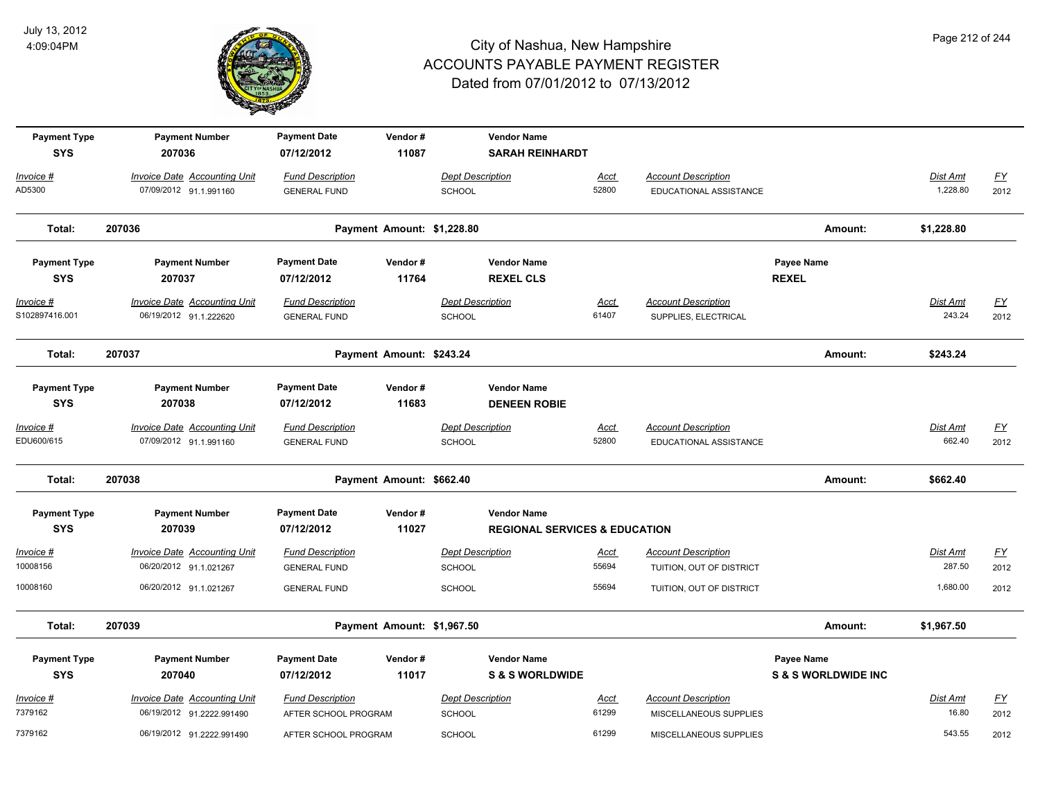

| <b>Payment Type</b><br><b>SYS</b>   | <b>Payment Number</b><br>207036                                                         | <b>Payment Date</b><br>07/12/2012                                     | Vendor#<br>11087           |                                             | <b>Vendor Name</b><br><b>SARAH REINHARDT</b>                   |                        |                                                                                    |                                              |                                |                                  |
|-------------------------------------|-----------------------------------------------------------------------------------------|-----------------------------------------------------------------------|----------------------------|---------------------------------------------|----------------------------------------------------------------|------------------------|------------------------------------------------------------------------------------|----------------------------------------------|--------------------------------|----------------------------------|
| Invoice #<br>AD5300                 | <b>Invoice Date Accounting Unit</b><br>07/09/2012 91.1.991160                           | <b>Fund Description</b><br><b>GENERAL FUND</b>                        |                            | <b>Dept Description</b><br>SCHOOL           |                                                                | <b>Acct</b><br>52800   | <b>Account Description</b><br>EDUCATIONAL ASSISTANCE                               |                                              | Dist Amt<br>1,228.80           | $\underline{FY}$<br>2012         |
| Total:                              | 207036                                                                                  |                                                                       | Payment Amount: \$1,228.80 |                                             |                                                                |                        |                                                                                    | Amount:                                      | \$1,228.80                     |                                  |
| <b>Payment Type</b><br><b>SYS</b>   | <b>Payment Number</b><br>207037                                                         | <b>Payment Date</b><br>07/12/2012                                     | Vendor#<br>11764           |                                             | <b>Vendor Name</b><br><b>REXEL CLS</b>                         |                        |                                                                                    | Payee Name<br><b>REXEL</b>                   |                                |                                  |
| <u> Invoice #</u><br>S102897416.001 | <b>Invoice Date Accounting Unit</b><br>06/19/2012 91.1.222620                           | <b>Fund Description</b><br><b>GENERAL FUND</b>                        |                            | <b>Dept Description</b><br>SCHOOL           |                                                                | <u>Acct</u><br>61407   | <b>Account Description</b><br>SUPPLIES, ELECTRICAL                                 |                                              | <b>Dist Amt</b><br>243.24      | EY<br>2012                       |
| Total:                              | 207037                                                                                  |                                                                       | Payment Amount: \$243.24   |                                             |                                                                |                        |                                                                                    | Amount:                                      | \$243.24                       |                                  |
| <b>Payment Type</b><br><b>SYS</b>   | <b>Payment Number</b><br>207038                                                         | <b>Payment Date</b><br>07/12/2012                                     | Vendor#<br>11683           |                                             | <b>Vendor Name</b><br><b>DENEEN ROBIE</b>                      |                        |                                                                                    |                                              |                                |                                  |
| Invoice #<br>EDU600/615             | <b>Invoice Date Accounting Unit</b><br>07/09/2012 91.1.991160                           | <b>Fund Description</b><br><b>GENERAL FUND</b>                        |                            | <b>Dept Description</b><br>SCHOOL           |                                                                | Acct<br>52800          | <b>Account Description</b><br>EDUCATIONAL ASSISTANCE                               |                                              | Dist Amt<br>662.40             | $\underline{FY}$<br>2012         |
| Total:                              | 207038                                                                                  |                                                                       | Payment Amount: \$662.40   |                                             |                                                                |                        |                                                                                    | Amount:                                      | \$662.40                       |                                  |
| <b>Payment Type</b><br><b>SYS</b>   | <b>Payment Number</b><br>207039                                                         | <b>Payment Date</b><br>07/12/2012                                     | Vendor#<br>11027           |                                             | <b>Vendor Name</b><br><b>REGIONAL SERVICES &amp; EDUCATION</b> |                        |                                                                                    |                                              |                                |                                  |
| Invoice #<br>10008156<br>10008160   | <b>Invoice Date Accounting Unit</b><br>06/20/2012 91.1.021267<br>06/20/2012 91.1.021267 | <b>Fund Description</b><br><b>GENERAL FUND</b><br><b>GENERAL FUND</b> |                            | <b>Dept Description</b><br>SCHOOL<br>SCHOOL |                                                                | Acct<br>55694<br>55694 | <b>Account Description</b><br>TUITION, OUT OF DISTRICT<br>TUITION, OUT OF DISTRICT |                                              | Dist Amt<br>287.50<br>1,680.00 | $\underline{FY}$<br>2012<br>2012 |
| Total:                              | 207039                                                                                  |                                                                       | Payment Amount: \$1,967.50 |                                             |                                                                |                        |                                                                                    | Amount:                                      | \$1,967.50                     |                                  |
| <b>Payment Type</b><br><b>SYS</b>   | <b>Payment Number</b><br>207040                                                         | <b>Payment Date</b><br>07/12/2012                                     | Vendor#<br>11017           |                                             | <b>Vendor Name</b><br><b>S &amp; S WORLDWIDE</b>               |                        |                                                                                    | Payee Name<br><b>S &amp; S WORLDWIDE INC</b> |                                |                                  |
| Invoice #<br>7379162                | Invoice Date Accounting Unit<br>06/19/2012 91.2222.991490                               | <b>Fund Description</b><br>AFTER SCHOOL PROGRAM                       |                            | <b>Dept Description</b><br>SCHOOL           |                                                                | Acct<br>61299          | <b>Account Description</b><br>MISCELLANEOUS SUPPLIES                               |                                              | Dist Amt<br>16.80              | $\underline{FY}$<br>2012         |
| 7379162                             | 06/19/2012 91.2222.991490                                                               | AFTER SCHOOL PROGRAM                                                  |                            | SCHOOL                                      |                                                                | 61299                  | MISCELLANEOUS SUPPLIES                                                             |                                              | 543.55                         | 2012                             |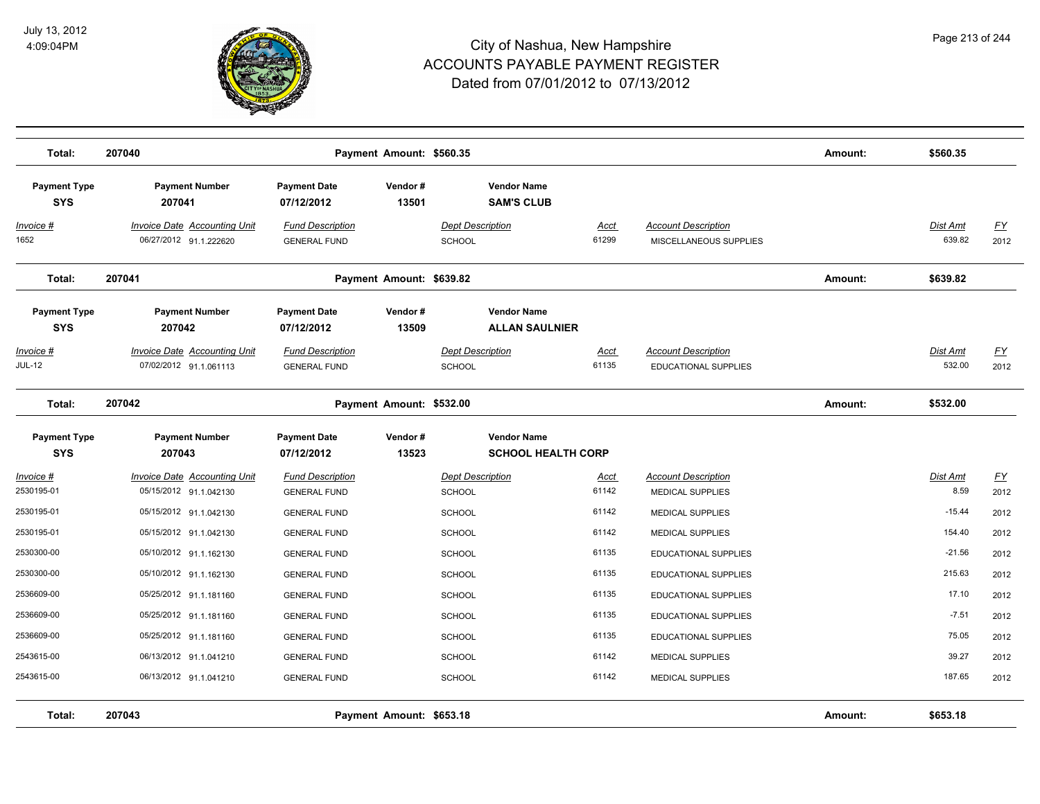

| Total:                            | 207040                                                        |                                                | Payment Amount: \$560.35 |                                                 |                      |                                                       | Amount: | \$560.35                  |                   |
|-----------------------------------|---------------------------------------------------------------|------------------------------------------------|--------------------------|-------------------------------------------------|----------------------|-------------------------------------------------------|---------|---------------------------|-------------------|
| <b>Payment Type</b><br><b>SYS</b> | <b>Payment Number</b><br>207041                               | <b>Payment Date</b><br>07/12/2012              | Vendor#<br>13501         | <b>Vendor Name</b><br><b>SAM'S CLUB</b>         |                      |                                                       |         |                           |                   |
| <u>Invoice #</u><br>1652          | <b>Invoice Date Accounting Unit</b><br>06/27/2012 91.1.222620 | <b>Fund Description</b><br><b>GENERAL FUND</b> |                          | <b>Dept Description</b><br><b>SCHOOL</b>        | <u>Acct</u><br>61299 | <b>Account Description</b><br>MISCELLANEOUS SUPPLIES  |         | <b>Dist Amt</b><br>639.82 | <u>FY</u><br>2012 |
| Total:                            | 207041                                                        |                                                | Payment Amount: \$639.82 |                                                 |                      |                                                       | Amount: | \$639.82                  |                   |
| <b>Payment Type</b><br><b>SYS</b> | <b>Payment Number</b><br>207042                               | <b>Payment Date</b><br>07/12/2012              | Vendor#<br>13509         | <b>Vendor Name</b><br><b>ALLAN SAULNIER</b>     |                      |                                                       |         |                           |                   |
| Invoice #<br><b>JUL-12</b>        | <b>Invoice Date Accounting Unit</b><br>07/02/2012 91.1.061113 | <b>Fund Description</b><br><b>GENERAL FUND</b> |                          | <b>Dept Description</b><br><b>SCHOOL</b>        | Acct<br>61135        | <b>Account Description</b><br>EDUCATIONAL SUPPLIES    |         | Dist Amt<br>532.00        | EY<br>2012        |
| Total:                            | 207042                                                        |                                                | Payment Amount: \$532.00 |                                                 |                      |                                                       | Amount: | \$532.00                  |                   |
| <b>Payment Type</b><br><b>SYS</b> | <b>Payment Number</b><br>207043                               | <b>Payment Date</b><br>07/12/2012              | Vendor#<br>13523         | <b>Vendor Name</b><br><b>SCHOOL HEALTH CORP</b> |                      |                                                       |         |                           |                   |
| Invoice #<br>2530195-01           | <b>Invoice Date Accounting Unit</b><br>05/15/2012 91.1.042130 | <b>Fund Description</b><br><b>GENERAL FUND</b> |                          | <b>Dept Description</b><br><b>SCHOOL</b>        | <u>Acct</u><br>61142 | <b>Account Description</b><br><b>MEDICAL SUPPLIES</b> |         | <b>Dist Amt</b><br>8.59   | <u>FY</u><br>2012 |
| 2530195-01                        | 05/15/2012 91.1.042130                                        | <b>GENERAL FUND</b>                            |                          | <b>SCHOOL</b>                                   | 61142                | MEDICAL SUPPLIES                                      |         | $-15.44$                  | 2012              |
| 2530195-01                        | 05/15/2012 91.1.042130                                        | <b>GENERAL FUND</b>                            |                          | <b>SCHOOL</b>                                   | 61142                | <b>MEDICAL SUPPLIES</b>                               |         | 154.40                    | 2012              |
| 2530300-00                        | 05/10/2012 91.1.162130                                        | <b>GENERAL FUND</b>                            |                          | <b>SCHOOL</b>                                   | 61135                | <b>EDUCATIONAL SUPPLIES</b>                           |         | $-21.56$                  | 2012              |
| 2530300-00                        | 05/10/2012 91.1.162130                                        | <b>GENERAL FUND</b>                            |                          | <b>SCHOOL</b>                                   | 61135                | EDUCATIONAL SUPPLIES                                  |         | 215.63                    | 2012              |
| 2536609-00                        | 05/25/2012 91.1.181160                                        | <b>GENERAL FUND</b>                            |                          | <b>SCHOOL</b>                                   | 61135                | EDUCATIONAL SUPPLIES                                  |         | 17.10                     | 2012              |
| 2536609-00                        | 05/25/2012 91.1.181160                                        | <b>GENERAL FUND</b>                            |                          | <b>SCHOOL</b>                                   | 61135                | EDUCATIONAL SUPPLIES                                  |         | $-7.51$                   | 2012              |
| 2536609-00                        | 05/25/2012 91.1.181160                                        | <b>GENERAL FUND</b>                            |                          | <b>SCHOOL</b>                                   | 61135                | <b>EDUCATIONAL SUPPLIES</b>                           |         | 75.05                     | 2012              |
| 2543615-00                        | 06/13/2012 91.1.041210                                        | <b>GENERAL FUND</b>                            |                          | <b>SCHOOL</b>                                   | 61142                | MEDICAL SUPPLIES                                      |         | 39.27                     | 2012              |
| 2543615-00                        | 06/13/2012 91.1.041210                                        | <b>GENERAL FUND</b>                            |                          | <b>SCHOOL</b>                                   | 61142                | <b>MEDICAL SUPPLIES</b>                               |         | 187.65                    | 2012              |
| Total:                            | 207043                                                        |                                                | Payment Amount: \$653.18 |                                                 |                      |                                                       | Amount: | \$653.18                  |                   |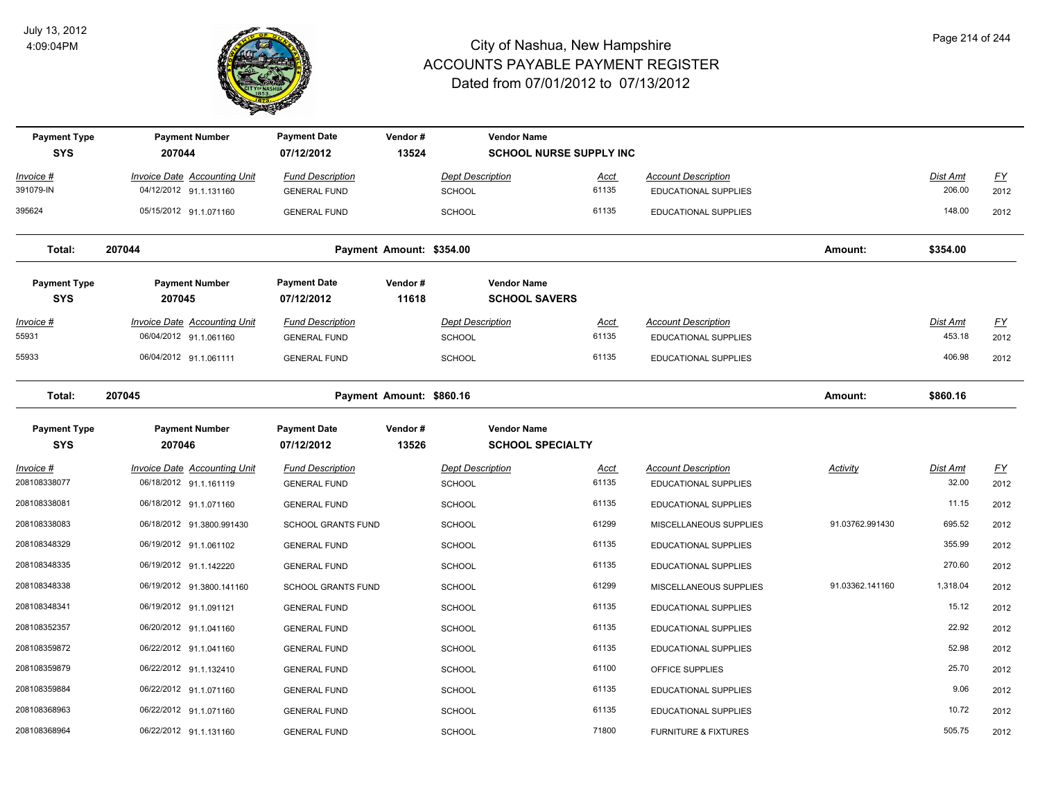

| <b>Payment Type</b><br><b>SYS</b> | <b>Payment Number</b><br>207044                               | <b>Payment Date</b><br>07/12/2012              | Vendor#<br>13524         |                                          | <b>Vendor Name</b><br><b>SCHOOL NURSE SUPPLY INC</b> |                      |                                                           |                 |                    |                          |
|-----------------------------------|---------------------------------------------------------------|------------------------------------------------|--------------------------|------------------------------------------|------------------------------------------------------|----------------------|-----------------------------------------------------------|-----------------|--------------------|--------------------------|
| Invoice #<br>391079-IN            | <b>Invoice Date Accounting Unit</b><br>04/12/2012 91.1.131160 | <b>Fund Description</b><br><b>GENERAL FUND</b> |                          | <b>Dept Description</b><br><b>SCHOOL</b> |                                                      | <u>Acct</u><br>61135 | <b>Account Description</b><br><b>EDUCATIONAL SUPPLIES</b> |                 | Dist Amt<br>206.00 | $\underline{FY}$<br>2012 |
| 395624                            | 05/15/2012 91.1.071160                                        | <b>GENERAL FUND</b>                            |                          | <b>SCHOOL</b>                            |                                                      | 61135                | <b>EDUCATIONAL SUPPLIES</b>                               |                 | 148.00             | 2012                     |
| Total:                            | 207044                                                        |                                                | Payment Amount: \$354.00 |                                          |                                                      |                      |                                                           | Amount:         | \$354.00           |                          |
| <b>Payment Type</b><br><b>SYS</b> | <b>Payment Number</b><br>207045                               | <b>Payment Date</b><br>07/12/2012              | Vendor#<br>11618         |                                          | <b>Vendor Name</b><br><b>SCHOOL SAVERS</b>           |                      |                                                           |                 |                    |                          |
| <u>Invoice #</u><br>55931         | <b>Invoice Date Accounting Unit</b><br>06/04/2012 91.1.061160 | <b>Fund Description</b><br><b>GENERAL FUND</b> |                          | <b>Dept Description</b><br><b>SCHOOL</b> |                                                      | <u>Acct</u><br>61135 | <b>Account Description</b><br><b>EDUCATIONAL SUPPLIES</b> |                 | Dist Amt<br>453.18 | <u>FY</u><br>2012        |
| 55933                             | 06/04/2012 91.1.061111                                        | <b>GENERAL FUND</b>                            |                          | <b>SCHOOL</b>                            |                                                      | 61135                | <b>EDUCATIONAL SUPPLIES</b>                               |                 | 406.98             | 2012                     |
| Total:                            | 207045                                                        |                                                | Payment Amount: \$860.16 |                                          |                                                      |                      |                                                           | Amount:         | \$860.16           |                          |
| <b>Payment Type</b><br><b>SYS</b> | <b>Payment Number</b><br>207046                               | <b>Payment Date</b><br>07/12/2012              | Vendor#<br>13526         |                                          | <b>Vendor Name</b><br><b>SCHOOL SPECIALTY</b>        |                      |                                                           |                 |                    |                          |
| <u>Invoice #</u><br>208108338077  | <b>Invoice Date Accounting Unit</b><br>06/18/2012 91.1.161119 | <b>Fund Description</b><br><b>GENERAL FUND</b> |                          | <b>Dept Description</b><br><b>SCHOOL</b> |                                                      | <u>Acct</u><br>61135 | <b>Account Description</b><br><b>EDUCATIONAL SUPPLIES</b> | <b>Activity</b> | Dist Amt<br>32.00  | $\underline{FY}$<br>2012 |
| 208108338081                      | 06/18/2012 91.1.071160                                        | <b>GENERAL FUND</b>                            |                          | <b>SCHOOL</b>                            |                                                      | 61135                | EDUCATIONAL SUPPLIES                                      |                 | 11.15              | 2012                     |
| 208108338083                      | 06/18/2012 91.3800.991430                                     | <b>SCHOOL GRANTS FUND</b>                      |                          | <b>SCHOOL</b>                            |                                                      | 61299                | MISCELLANEOUS SUPPLIES                                    | 91.03762.991430 | 695.52             | 2012                     |
| 208108348329                      | 06/19/2012 91.1.061102                                        | <b>GENERAL FUND</b>                            |                          | SCHOOL                                   |                                                      | 61135                | EDUCATIONAL SUPPLIES                                      |                 | 355.99             | 2012                     |
| 208108348335                      | 06/19/2012 91.1.142220                                        | <b>GENERAL FUND</b>                            |                          | <b>SCHOOL</b>                            |                                                      | 61135                | EDUCATIONAL SUPPLIES                                      |                 | 270.60             | 2012                     |
| 208108348338                      | 06/19/2012 91.3800.141160                                     | <b>SCHOOL GRANTS FUND</b>                      |                          | <b>SCHOOL</b>                            |                                                      | 61299                | MISCELLANEOUS SUPPLIES                                    | 91.03362.141160 | 1,318.04           | 2012                     |
| 208108348341                      | 06/19/2012 91.1.091121                                        | <b>GENERAL FUND</b>                            |                          | <b>SCHOOL</b>                            |                                                      | 61135                | <b>EDUCATIONAL SUPPLIES</b>                               |                 | 15.12              | 2012                     |
| 208108352357                      | 06/20/2012 91.1.041160                                        | <b>GENERAL FUND</b>                            |                          | <b>SCHOOL</b>                            |                                                      | 61135                | <b>EDUCATIONAL SUPPLIES</b>                               |                 | 22.92              | 2012                     |
| 208108359872                      | 06/22/2012 91.1.041160                                        | <b>GENERAL FUND</b>                            |                          | <b>SCHOOL</b>                            |                                                      | 61135                | <b>EDUCATIONAL SUPPLIES</b>                               |                 | 52.98              | 2012                     |
| 208108359879                      | 06/22/2012 91.1.132410                                        | <b>GENERAL FUND</b>                            |                          | <b>SCHOOL</b>                            |                                                      | 61100                | OFFICE SUPPLIES                                           |                 | 25.70              | 2012                     |
| 208108359884                      | 06/22/2012 91.1.071160                                        | <b>GENERAL FUND</b>                            |                          | <b>SCHOOL</b>                            |                                                      | 61135                | EDUCATIONAL SUPPLIES                                      |                 | 9.06               | 2012                     |
| 208108368963                      | 06/22/2012 91.1.071160                                        | <b>GENERAL FUND</b>                            |                          | <b>SCHOOL</b>                            |                                                      | 61135                | EDUCATIONAL SUPPLIES                                      |                 | 10.72              | 2012                     |
| 208108368964                      | 06/22/2012 91.1.131160                                        | <b>GENERAL FUND</b>                            |                          | SCHOOL                                   |                                                      | 71800                | <b>FURNITURE &amp; FIXTURES</b>                           |                 | 505.75             | 2012                     |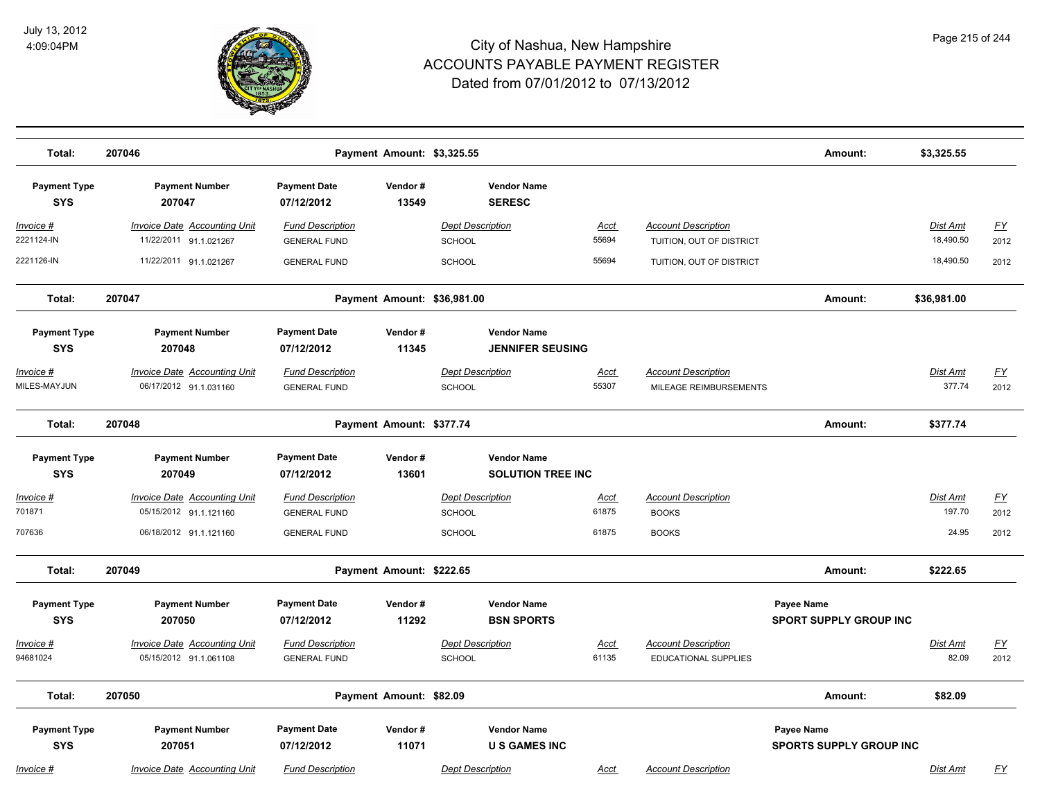

| Total:                            | 207046                                                                                  |                                                                       | Payment Amount: \$3,325.55  |                                                    |                               |                                                            | Amount:                                      | \$3,325.55                   |                    |
|-----------------------------------|-----------------------------------------------------------------------------------------|-----------------------------------------------------------------------|-----------------------------|----------------------------------------------------|-------------------------------|------------------------------------------------------------|----------------------------------------------|------------------------------|--------------------|
| <b>Payment Type</b><br><b>SYS</b> | <b>Payment Number</b><br>207047                                                         | <b>Payment Date</b><br>07/12/2012                                     | Vendor#<br>13549            | <b>Vendor Name</b><br><b>SERESC</b>                |                               |                                                            |                                              |                              |                    |
| Invoice #<br>2221124-IN           | <b>Invoice Date Accounting Unit</b><br>11/22/2011 91.1.021267                           | <b>Fund Description</b><br><b>GENERAL FUND</b>                        |                             | <b>Dept Description</b><br><b>SCHOOL</b>           | <u>Acct</u><br>55694          | <b>Account Description</b><br>TUITION, OUT OF DISTRICT     |                                              | <b>Dist Amt</b><br>18,490.50 | <u>FY</u><br>2012  |
| 2221126-IN                        | 11/22/2011 91.1.021267                                                                  | <b>GENERAL FUND</b>                                                   |                             | <b>SCHOOL</b>                                      | 55694                         | TUITION, OUT OF DISTRICT                                   |                                              | 18,490.50                    | 2012               |
| Total:                            | 207047                                                                                  |                                                                       | Payment Amount: \$36,981.00 |                                                    |                               |                                                            | Amount:                                      | \$36,981.00                  |                    |
| <b>Payment Type</b><br><b>SYS</b> | <b>Payment Number</b><br>207048                                                         | <b>Payment Date</b><br>07/12/2012                                     | Vendor#<br>11345            | <b>Vendor Name</b><br><b>JENNIFER SEUSING</b>      |                               |                                                            |                                              |                              |                    |
| <u> Invoice #</u><br>MILES-MAYJUN | <b>Invoice Date Accounting Unit</b><br>06/17/2012 91.1.031160                           | <b>Fund Description</b><br><b>GENERAL FUND</b>                        |                             | <b>Dept Description</b><br>SCHOOL                  | <u>Acct</u><br>55307          | <b>Account Description</b><br>MILEAGE REIMBURSEMENTS       |                                              | Dist Amt<br>377.74           | <u>FY</u><br>2012  |
| Total:                            | 207048                                                                                  | Payment Amount: \$377.74                                              |                             |                                                    |                               |                                                            | Amount:                                      | \$377.74                     |                    |
| <b>Payment Type</b><br><b>SYS</b> | <b>Payment Number</b><br>207049                                                         | <b>Payment Date</b><br>07/12/2012                                     | Vendor#<br>13601            | <b>Vendor Name</b><br><b>SOLUTION TREE INC</b>     |                               |                                                            |                                              |                              |                    |
| Invoice #<br>701871<br>707636     | <b>Invoice Date Accounting Unit</b><br>05/15/2012 91.1.121160<br>06/18/2012 91.1.121160 | <b>Fund Description</b><br><b>GENERAL FUND</b><br><b>GENERAL FUND</b> |                             | <b>Dept Description</b><br><b>SCHOOL</b><br>SCHOOL | <u>Acct</u><br>61875<br>61875 | <b>Account Description</b><br><b>BOOKS</b><br><b>BOOKS</b> |                                              | Dist Amt<br>197.70<br>24.95  | EY<br>2012<br>2012 |
| Total:                            | 207049                                                                                  |                                                                       | Payment Amount: \$222.65    |                                                    |                               |                                                            | Amount:                                      | \$222.65                     |                    |
| <b>Payment Type</b><br><b>SYS</b> | <b>Payment Number</b><br>207050                                                         | <b>Payment Date</b><br>07/12/2012                                     | Vendor#<br>11292            | <b>Vendor Name</b><br><b>BSN SPORTS</b>            |                               |                                                            | Payee Name<br><b>SPORT SUPPLY GROUP INC</b>  |                              |                    |
| Invoice #<br>94681024             | <b>Invoice Date Accounting Unit</b><br>05/15/2012 91.1.061108                           | <b>Fund Description</b><br><b>GENERAL FUND</b>                        |                             | <b>Dept Description</b><br><b>SCHOOL</b>           | <u>Acct</u><br>61135          | <b>Account Description</b><br>EDUCATIONAL SUPPLIES         |                                              | Dist Amt<br>82.09            | <u>FY</u><br>2012  |
| Total:                            | 207050                                                                                  |                                                                       | Payment Amount: \$82.09     |                                                    |                               |                                                            | Amount:                                      | \$82.09                      |                    |
| <b>Payment Type</b><br><b>SYS</b> | <b>Payment Number</b><br>207051                                                         | <b>Payment Date</b><br>07/12/2012                                     | Vendor#<br>11071            | <b>Vendor Name</b><br><b>U S GAMES INC</b>         |                               |                                                            | Payee Name<br><b>SPORTS SUPPLY GROUP INC</b> |                              |                    |
| Invoice #                         | <b>Invoice Date Accounting Unit</b>                                                     | <b>Fund Description</b>                                               |                             | <b>Dept Description</b>                            | Acct                          | <b>Account Description</b>                                 |                                              | Dist Amt                     | <u>FY</u>          |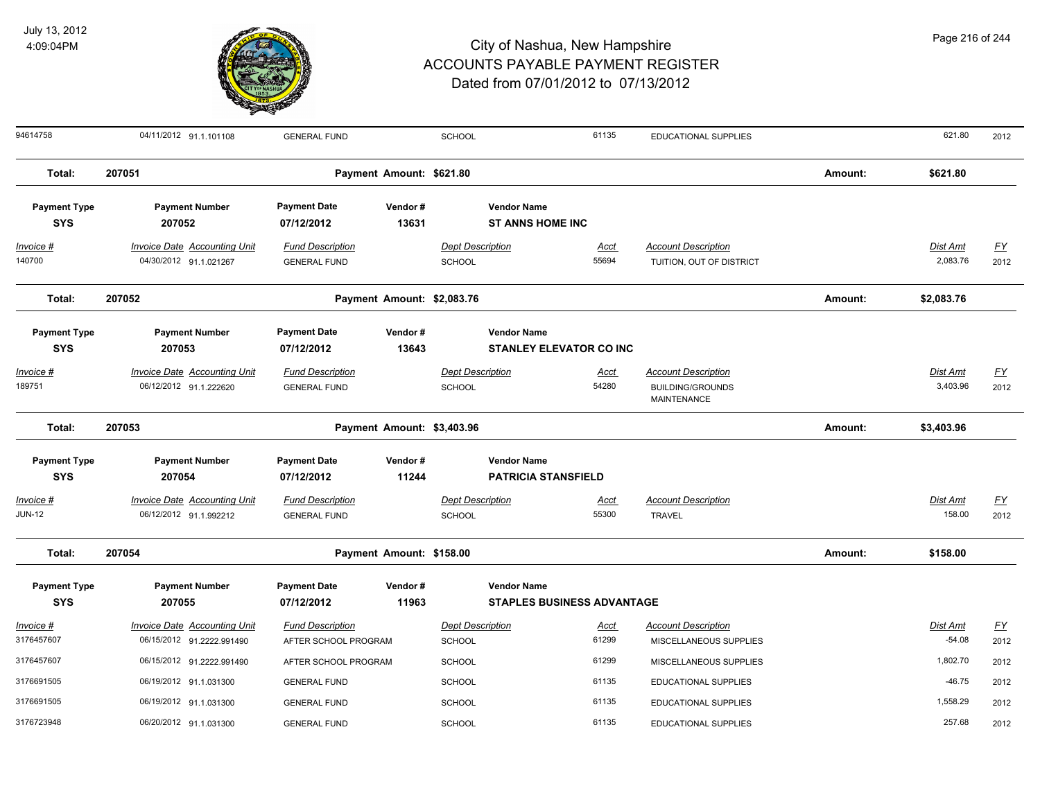

|  | Page 216 of 244 |  |  |  |
|--|-----------------|--|--|--|
|--|-----------------|--|--|--|

| 94614758                                         | 04/11/2012 91.1.101108                                                 | <b>GENERAL FUND</b>                                          |                            | <b>SCHOOL</b>                            |                                                         | 61135                | EDUCATIONAL SUPPLIES                                   |         | 621.80                      | 2012                     |
|--------------------------------------------------|------------------------------------------------------------------------|--------------------------------------------------------------|----------------------------|------------------------------------------|---------------------------------------------------------|----------------------|--------------------------------------------------------|---------|-----------------------------|--------------------------|
| Total:                                           | 207051                                                                 |                                                              | Payment Amount: \$621.80   |                                          |                                                         |                      |                                                        | Amount: | \$621.80                    |                          |
| <b>Payment Type</b><br><b>SYS</b>                | <b>Payment Number</b><br>207052                                        | <b>Payment Date</b><br>07/12/2012                            | Vendor#<br>13631           |                                          | <b>Vendor Name</b><br><b>ST ANNS HOME INC</b>           |                      |                                                        |         |                             |                          |
| Invoice #<br>140700                              | <b>Invoice Date Accounting Unit</b><br>04/30/2012 91.1.021267          | <b>Fund Description</b><br><b>GENERAL FUND</b>               |                            | <b>Dept Description</b><br>SCHOOL        |                                                         | <b>Acct</b><br>55694 | <b>Account Description</b><br>TUITION, OUT OF DISTRICT |         | <b>Dist Amt</b><br>2,083.76 | EY<br>2012               |
| Total:                                           | 207052                                                                 |                                                              | Payment Amount: \$2,083.76 |                                          |                                                         |                      |                                                        | Amount: | \$2,083.76                  |                          |
| <b>Payment Type</b><br><b>SYS</b><br>$Invoice$ # | <b>Payment Number</b><br>207053<br><b>Invoice Date Accounting Unit</b> | <b>Payment Date</b><br>07/12/2012<br><b>Fund Description</b> | Vendor#<br>13643           | <b>Dept Description</b>                  | <b>Vendor Name</b><br><b>STANLEY ELEVATOR CO INC</b>    | Acct                 | <b>Account Description</b>                             |         | Dist Amt                    | <u>FY</u>                |
| 189751                                           | 06/12/2012 91.1.222620                                                 | <b>GENERAL FUND</b>                                          |                            | SCHOOL                                   |                                                         | 54280                | <b>BUILDING/GROUNDS</b><br><b>MAINTENANCE</b>          |         | 3,403.96                    | 2012                     |
| Total:                                           | 207053                                                                 |                                                              | Payment Amount: \$3,403.96 |                                          |                                                         |                      |                                                        | Amount: | \$3,403.96                  |                          |
| <b>Payment Type</b><br><b>SYS</b>                | <b>Payment Number</b><br>207054                                        | <b>Payment Date</b><br>07/12/2012                            | Vendor#<br>11244           |                                          | <b>Vendor Name</b><br><b>PATRICIA STANSFIELD</b>        |                      |                                                        |         |                             |                          |
| Invoice #<br><b>JUN-12</b>                       | Invoice Date Accounting Unit<br>06/12/2012 91.1.992212                 | <b>Fund Description</b><br><b>GENERAL FUND</b>               |                            | <b>Dept Description</b><br>SCHOOL        |                                                         | <u>Acct</u><br>55300 | <b>Account Description</b><br><b>TRAVEL</b>            |         | Dist Amt<br>158.00          | EY<br>2012               |
| Total:                                           | 207054                                                                 |                                                              | Payment Amount: \$158.00   |                                          |                                                         |                      |                                                        | Amount: | \$158.00                    |                          |
| <b>Payment Type</b><br><b>SYS</b>                | <b>Payment Number</b><br>207055                                        | <b>Payment Date</b><br>07/12/2012                            | Vendor#<br>11963           |                                          | <b>Vendor Name</b><br><b>STAPLES BUSINESS ADVANTAGE</b> |                      |                                                        |         |                             |                          |
| Invoice #<br>3176457607                          | <b>Invoice Date Accounting Unit</b><br>06/15/2012 91.2222.991490       | <b>Fund Description</b><br>AFTER SCHOOL PROGRAM              |                            | <b>Dept Description</b><br><b>SCHOOL</b> |                                                         | <u>Acct</u><br>61299 | <b>Account Description</b><br>MISCELLANEOUS SUPPLIES   |         | Dist Amt<br>$-54.08$        | $\underline{FY}$<br>2012 |
| 3176457607                                       | 06/15/2012 91.2222.991490                                              | AFTER SCHOOL PROGRAM                                         |                            | <b>SCHOOL</b>                            |                                                         | 61299                | MISCELLANEOUS SUPPLIES                                 |         | 1,802.70                    | 2012                     |
| 3176691505                                       | 06/19/2012 91.1.031300                                                 | <b>GENERAL FUND</b>                                          |                            | SCHOOL                                   |                                                         | 61135                | EDUCATIONAL SUPPLIES                                   |         | $-46.75$                    | 2012                     |
| 3176691505                                       | 06/19/2012 91.1.031300                                                 | <b>GENERAL FUND</b>                                          |                            | <b>SCHOOL</b>                            |                                                         | 61135                | <b>EDUCATIONAL SUPPLIES</b>                            |         | 1,558.29                    | 2012                     |
| 3176723948                                       | 06/20/2012 91.1.031300                                                 | <b>GENERAL FUND</b>                                          |                            | <b>SCHOOL</b>                            |                                                         | 61135                | <b>EDUCATIONAL SUPPLIES</b>                            |         | 257.68                      | 2012                     |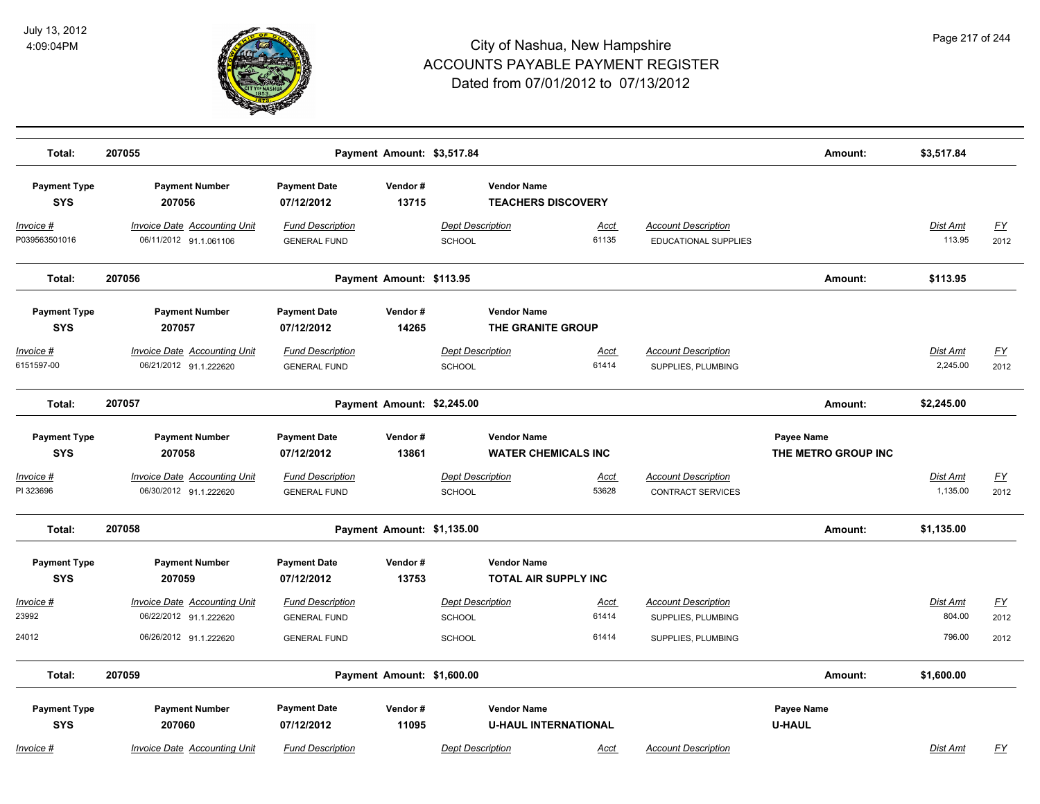

| Total:                             | 207055                                                        |                                                | Payment Amount: \$3,517.84 |                                   |                             |                                                    | Amount:                           | \$3,517.84                |                   |
|------------------------------------|---------------------------------------------------------------|------------------------------------------------|----------------------------|-----------------------------------|-----------------------------|----------------------------------------------------|-----------------------------------|---------------------------|-------------------|
| <b>Payment Type</b><br><b>SYS</b>  | <b>Payment Number</b><br>207056                               | <b>Payment Date</b><br>07/12/2012              | Vendor#<br>13715           | <b>Vendor Name</b>                | <b>TEACHERS DISCOVERY</b>   |                                                    |                                   |                           |                   |
| <u> Invoice #</u><br>P039563501016 | <b>Invoice Date Accounting Unit</b><br>06/11/2012 91.1.061106 | <b>Fund Description</b><br><b>GENERAL FUND</b> |                            | <b>Dept Description</b><br>SCHOOL | <b>Acct</b><br>61135        | <b>Account Description</b><br>EDUCATIONAL SUPPLIES |                                   | <u>Dist Amt</u><br>113.95 | <u>FY</u><br>2012 |
| Total:                             | 207056                                                        |                                                | Payment Amount: \$113.95   |                                   |                             |                                                    | Amount:                           | \$113.95                  |                   |
| <b>Payment Type</b><br><b>SYS</b>  | <b>Payment Number</b><br>207057                               | <b>Payment Date</b><br>07/12/2012              | Vendor#<br>14265           | <b>Vendor Name</b>                | THE GRANITE GROUP           |                                                    |                                   |                           |                   |
| <u>Invoice #</u><br>6151597-00     | <b>Invoice Date Accounting Unit</b><br>06/21/2012 91.1.222620 | <b>Fund Description</b><br><b>GENERAL FUND</b> |                            | <b>Dept Description</b><br>SCHOOL | Acct<br>61414               | <b>Account Description</b><br>SUPPLIES, PLUMBING   |                                   | Dist Amt<br>2,245.00      | <u>FY</u><br>2012 |
| Total:                             | 207057                                                        |                                                | Payment Amount: \$2,245.00 |                                   |                             |                                                    | Amount:                           | \$2,245.00                |                   |
| <b>Payment Type</b><br><b>SYS</b>  | <b>Payment Number</b><br>207058                               | <b>Payment Date</b><br>07/12/2012              | Vendor#<br>13861           | <b>Vendor Name</b>                | <b>WATER CHEMICALS INC</b>  |                                                    | Payee Name<br>THE METRO GROUP INC |                           |                   |
| Invoice #<br>PI 323696             | Invoice Date Accounting Unit<br>06/30/2012 91.1.222620        | <b>Fund Description</b><br><b>GENERAL FUND</b> |                            | <b>Dept Description</b><br>SCHOOL | Acct<br>53628               | <b>Account Description</b><br>CONTRACT SERVICES    |                                   | Dist Amt<br>1,135.00      | <u>FY</u><br>2012 |
| Total:                             | 207058                                                        |                                                | Payment Amount: \$1,135.00 |                                   |                             |                                                    | Amount:                           | \$1,135.00                |                   |
| <b>Payment Type</b><br><b>SYS</b>  | <b>Payment Number</b><br>207059                               | <b>Payment Date</b><br>07/12/2012              | Vendor#<br>13753           | <b>Vendor Name</b>                | <b>TOTAL AIR SUPPLY INC</b> |                                                    |                                   |                           |                   |
| Invoice #<br>23992                 | <b>Invoice Date Accounting Unit</b><br>06/22/2012 91.1.222620 | <b>Fund Description</b><br><b>GENERAL FUND</b> |                            | <b>Dept Description</b><br>SCHOOL | Acct<br>61414               | <b>Account Description</b><br>SUPPLIES, PLUMBING   |                                   | Dist Amt<br>804.00        | <u>FY</u><br>2012 |
| 24012                              | 06/26/2012 91.1.222620                                        | <b>GENERAL FUND</b>                            |                            | <b>SCHOOL</b>                     | 61414                       | SUPPLIES, PLUMBING                                 |                                   | 796.00                    | 2012              |
| Total:                             | 207059                                                        |                                                | Payment Amount: \$1,600.00 |                                   |                             |                                                    | Amount:                           | \$1,600.00                |                   |
| <b>Payment Type</b><br><b>SYS</b>  | <b>Payment Number</b><br>207060                               | <b>Payment Date</b><br>07/12/2012              | Vendor#<br>11095           | <b>Vendor Name</b>                | <b>U-HAUL INTERNATIONAL</b> |                                                    | Payee Name<br><b>U-HAUL</b>       |                           |                   |
| Invoice #                          | <b>Invoice Date Accounting Unit</b>                           | <b>Fund Description</b>                        |                            | <b>Dept Description</b>           | Acct                        | <b>Account Description</b>                         |                                   | <b>Dist Amt</b>           | <u>FY</u>         |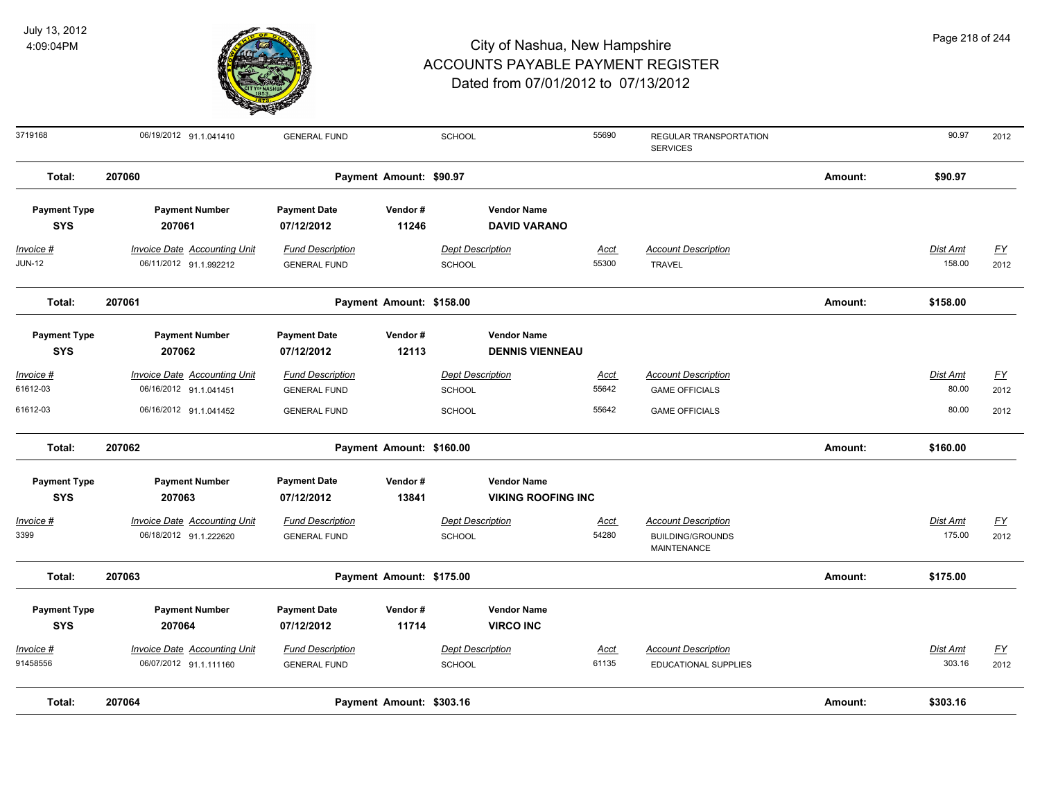

| 3719168                           | 06/19/2012 91.1.041410                                        | <b>GENERAL FUND</b>                            |                          | SCHOOL                                   | 55690                     | REGULAR TRANSPORTATION<br><b>SERVICES</b>                            |         | 90.97              | 2012              |
|-----------------------------------|---------------------------------------------------------------|------------------------------------------------|--------------------------|------------------------------------------|---------------------------|----------------------------------------------------------------------|---------|--------------------|-------------------|
| Total:                            | 207060                                                        |                                                | Payment Amount: \$90.97  |                                          |                           |                                                                      | Amount: | \$90.97            |                   |
| <b>Payment Type</b><br><b>SYS</b> | <b>Payment Number</b><br>207061                               | <b>Payment Date</b><br>07/12/2012              | Vendor#<br>11246         | <b>Vendor Name</b>                       | <b>DAVID VARANO</b>       |                                                                      |         |                    |                   |
| $Invoice$ #<br><b>JUN-12</b>      | <b>Invoice Date Accounting Unit</b><br>06/11/2012 91.1.992212 | <b>Fund Description</b><br><b>GENERAL FUND</b> |                          | <b>Dept Description</b><br><b>SCHOOL</b> | <u>Acct</u><br>55300      | <b>Account Description</b><br><b>TRAVEL</b>                          |         | Dist Amt<br>158.00 | <u>FY</u><br>2012 |
| Total:                            | 207061                                                        |                                                | Payment Amount: \$158.00 |                                          |                           |                                                                      | Amount: | \$158.00           |                   |
| <b>Payment Type</b><br><b>SYS</b> | <b>Payment Number</b><br>207062                               | <b>Payment Date</b><br>07/12/2012              | Vendor#<br>12113         | <b>Vendor Name</b>                       | <b>DENNIS VIENNEAU</b>    |                                                                      |         |                    |                   |
| Invoice #<br>61612-03             | <b>Invoice Date Accounting Unit</b><br>06/16/2012 91.1.041451 | <b>Fund Description</b><br><b>GENERAL FUND</b> |                          | <b>Dept Description</b><br><b>SCHOOL</b> | <u>Acct</u><br>55642      | <b>Account Description</b><br><b>GAME OFFICIALS</b>                  |         | Dist Amt<br>80.00  | <u>FY</u><br>2012 |
| 61612-03                          | 06/16/2012 91.1.041452                                        | <b>GENERAL FUND</b>                            |                          | <b>SCHOOL</b>                            | 55642                     | <b>GAME OFFICIALS</b>                                                |         | 80.00              | 2012              |
| Total:                            | 207062                                                        |                                                | Payment Amount: \$160.00 |                                          |                           |                                                                      | Amount: | \$160.00           |                   |
| <b>Payment Type</b><br><b>SYS</b> | <b>Payment Number</b><br>207063                               | <b>Payment Date</b><br>07/12/2012              | Vendor#<br>13841         | <b>Vendor Name</b>                       | <b>VIKING ROOFING INC</b> |                                                                      |         |                    |                   |
| $Invoice$ #<br>3399               | <b>Invoice Date Accounting Unit</b><br>06/18/2012 91.1.222620 | <b>Fund Description</b><br><b>GENERAL FUND</b> |                          | <b>Dept Description</b><br>SCHOOL        | Acct<br>54280             | <b>Account Description</b><br><b>BUILDING/GROUNDS</b><br>MAINTENANCE |         | Dist Amt<br>175.00 | EY<br>2012        |
| Total:                            | 207063                                                        |                                                | Payment Amount: \$175.00 |                                          |                           |                                                                      | Amount: | \$175.00           |                   |
| <b>Payment Type</b><br><b>SYS</b> | <b>Payment Number</b><br>207064                               | <b>Payment Date</b><br>07/12/2012              | Vendor#<br>11714         | <b>Vendor Name</b><br><b>VIRCO INC</b>   |                           |                                                                      |         |                    |                   |
| Invoice #<br>91458556             | <b>Invoice Date Accounting Unit</b><br>06/07/2012 91.1.111160 | <b>Fund Description</b><br><b>GENERAL FUND</b> |                          | <b>Dept Description</b><br><b>SCHOOL</b> | Acct<br>61135             | <b>Account Description</b><br><b>EDUCATIONAL SUPPLIES</b>            |         | Dist Amt<br>303.16 | EY<br>2012        |
| Total:                            | 207064                                                        |                                                | Payment Amount: \$303.16 |                                          |                           |                                                                      | Amount: | \$303.16           |                   |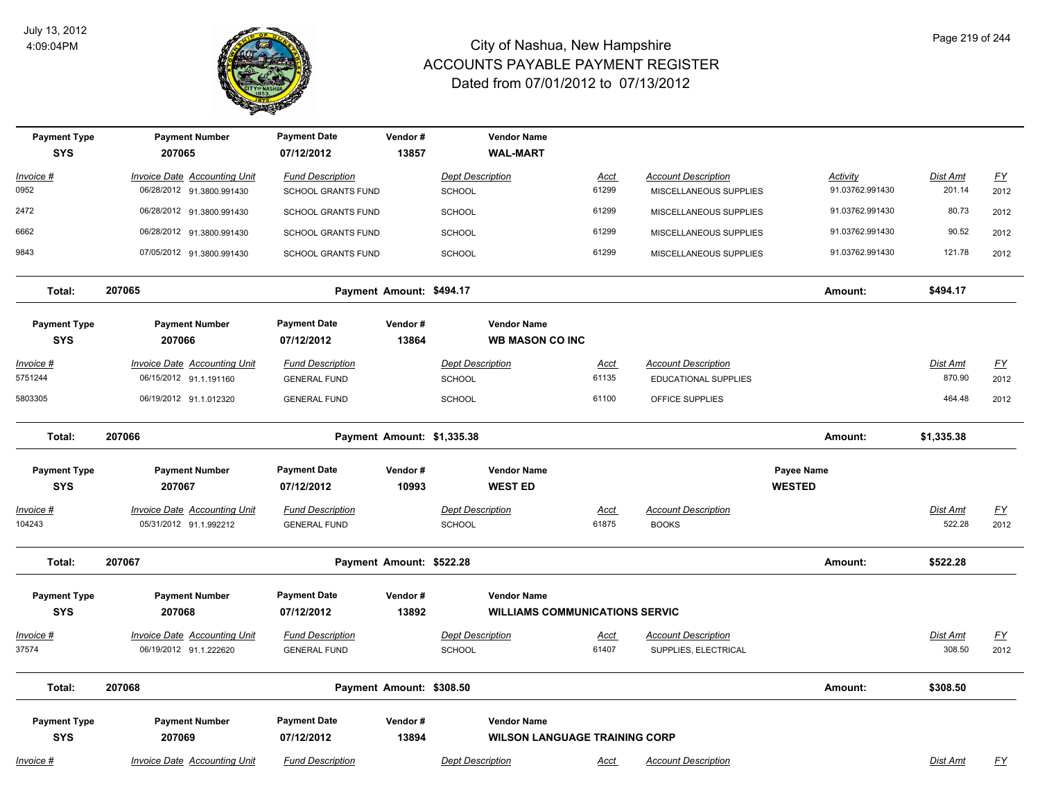

| <b>Payment Type</b> | <b>Payment Number</b>               | <b>Payment Date</b>       | Vendor#                    | <b>Vendor Name</b>      |                                       |                             |                 |                 |                           |
|---------------------|-------------------------------------|---------------------------|----------------------------|-------------------------|---------------------------------------|-----------------------------|-----------------|-----------------|---------------------------|
| <b>SYS</b>          | 207065                              | 07/12/2012                | 13857                      | <b>WAL-MART</b>         |                                       |                             |                 |                 |                           |
| Invoice #           | <b>Invoice Date Accounting Unit</b> | <b>Fund Description</b>   |                            | <b>Dept Description</b> | <b>Acct</b>                           | <b>Account Description</b>  | <b>Activity</b> | Dist Amt        | <u>FY</u>                 |
| 0952                | 06/28/2012 91.3800.991430           | <b>SCHOOL GRANTS FUND</b> |                            | SCHOOL                  | 61299                                 | MISCELLANEOUS SUPPLIES      | 91.03762.991430 | 201.14          | 2012                      |
| 2472                | 06/28/2012 91.3800.991430           | <b>SCHOOL GRANTS FUND</b> |                            | SCHOOL                  | 61299                                 | MISCELLANEOUS SUPPLIES      | 91.03762.991430 | 80.73           | 2012                      |
| 6662                | 06/28/2012 91.3800.991430           | <b>SCHOOL GRANTS FUND</b> |                            | <b>SCHOOL</b>           | 61299                                 | MISCELLANEOUS SUPPLIES      | 91.03762.991430 | 90.52           | 2012                      |
| 9843                | 07/05/2012 91.3800.991430           | SCHOOL GRANTS FUND        |                            | <b>SCHOOL</b>           | 61299                                 | MISCELLANEOUS SUPPLIES      | 91.03762.991430 | 121.78          | 2012                      |
| Total:              | 207065                              |                           | Payment Amount: \$494.17   |                         |                                       |                             | Amount:         | \$494.17        |                           |
| <b>Payment Type</b> | <b>Payment Number</b>               | <b>Payment Date</b>       | Vendor#                    | <b>Vendor Name</b>      |                                       |                             |                 |                 |                           |
| <b>SYS</b>          | 207066                              | 07/12/2012                | 13864                      |                         | <b>WB MASON CO INC</b>                |                             |                 |                 |                           |
| <u> Invoice #</u>   | <b>Invoice Date Accounting Unit</b> | <b>Fund Description</b>   |                            | <b>Dept Description</b> | Acct                                  | <b>Account Description</b>  |                 | <b>Dist Amt</b> | <u>FY</u>                 |
| 5751244             | 06/15/2012 91.1.191160              | <b>GENERAL FUND</b>       |                            | SCHOOL                  | 61135                                 | <b>EDUCATIONAL SUPPLIES</b> |                 | 870.90          | 2012                      |
| 5803305             | 06/19/2012 91.1.012320              | <b>GENERAL FUND</b>       |                            | SCHOOL                  | 61100                                 | OFFICE SUPPLIES             |                 | 464.48          | 2012                      |
| Total:              | 207066                              |                           | Payment Amount: \$1,335.38 |                         |                                       |                             | Amount:         | \$1,335.38      |                           |
| <b>Payment Type</b> | <b>Payment Number</b>               | <b>Payment Date</b>       | Vendor#                    | <b>Vendor Name</b>      |                                       |                             | Payee Name      |                 |                           |
| <b>SYS</b>          | 207067                              | 07/12/2012                | 10993                      | <b>WEST ED</b>          |                                       |                             | <b>WESTED</b>   |                 |                           |
| <u> Invoice #</u>   | <b>Invoice Date Accounting Unit</b> | <b>Fund Description</b>   |                            | <b>Dept Description</b> | <u>Acct</u>                           | <b>Account Description</b>  |                 | Dist Amt        | <u>FY</u>                 |
| 104243              | 05/31/2012 91.1.992212              | <b>GENERAL FUND</b>       |                            | SCHOOL                  | 61875                                 | <b>BOOKS</b>                |                 | 522.28          | 2012                      |
| Total:              | 207067                              |                           | Payment Amount: \$522.28   |                         |                                       |                             | Amount:         | \$522.28        |                           |
| <b>Payment Type</b> | <b>Payment Number</b>               | <b>Payment Date</b>       | Vendor#                    | <b>Vendor Name</b>      |                                       |                             |                 |                 |                           |
| <b>SYS</b>          | 207068                              | 07/12/2012                | 13892                      |                         | <b>WILLIAMS COMMUNICATIONS SERVIC</b> |                             |                 |                 |                           |
| Invoice #           | <b>Invoice Date Accounting Unit</b> | <b>Fund Description</b>   |                            | <b>Dept Description</b> | <b>Acct</b>                           | <b>Account Description</b>  |                 | Dist Amt        | $\underline{FY}$          |
| 37574               | 06/19/2012 91.1.222620              | <b>GENERAL FUND</b>       |                            | SCHOOL                  | 61407                                 | SUPPLIES, ELECTRICAL        |                 | 308.50          | 2012                      |
| Total:              | 207068                              |                           | Payment Amount: \$308.50   |                         |                                       |                             | Amount:         | \$308.50        |                           |
| <b>Payment Type</b> | <b>Payment Number</b>               | <b>Payment Date</b>       | Vendor#                    | <b>Vendor Name</b>      |                                       |                             |                 |                 |                           |
| <b>SYS</b>          | 207069                              | 07/12/2012                | 13894                      |                         | <b>WILSON LANGUAGE TRAINING CORP</b>  |                             |                 |                 |                           |
| <u> Invoice #</u>   | <b>Invoice Date Accounting Unit</b> | <b>Fund Description</b>   |                            | <b>Dept Description</b> | <u>Acct</u>                           | <b>Account Description</b>  |                 | Dist Amt        | $\underline{\mathsf{FY}}$ |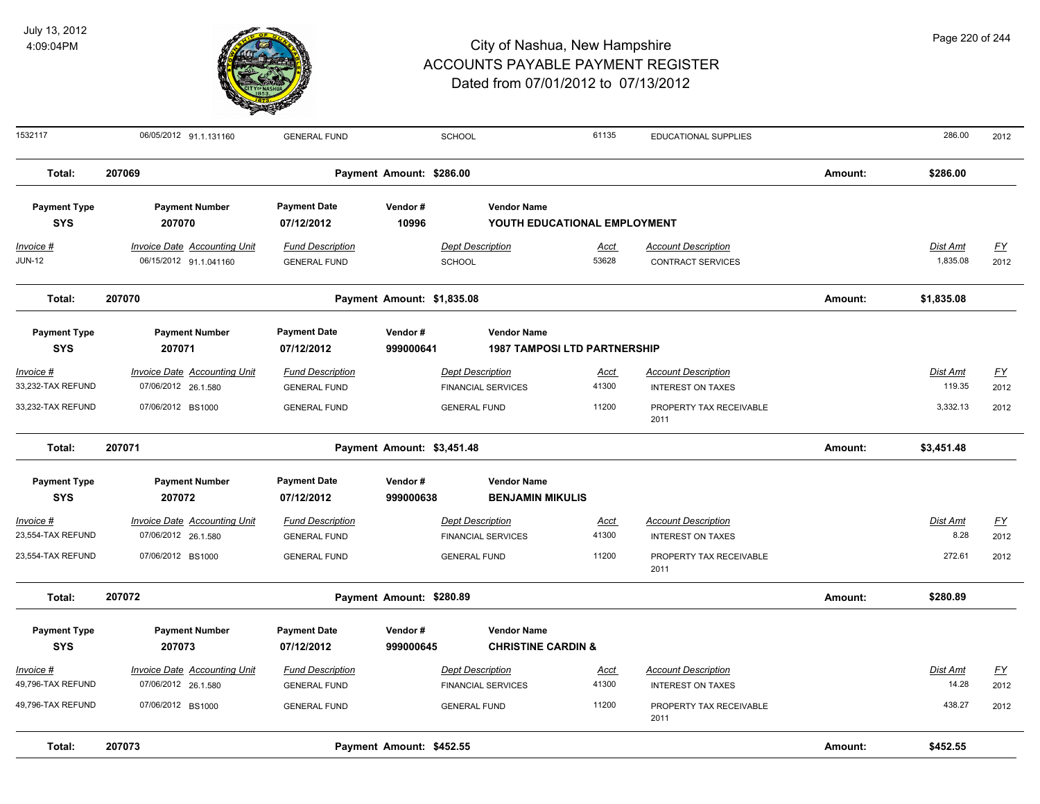

#### City of Nashua, New Hampshire ACCOUNTS PAYABLE PAYMENT REGISTER Dated from 07/01/2012 to 07/13/2012

1532117 06/05/2012 91.1.131160 GENERAL FUND SCHOOL 61135 EDUCATIONAL SUPPLIES 286.00 2012

**Total: 207069 Payment Amount: \$286.00 Amount: \$286.00** 

| <b>Payment Type</b>               | <b>Payment Number</b>                                      | <b>Payment Date</b>                            | Vendor#                    | <b>Vendor Name</b>                                   |                      |                                                        |         |                          |            |
|-----------------------------------|------------------------------------------------------------|------------------------------------------------|----------------------------|------------------------------------------------------|----------------------|--------------------------------------------------------|---------|--------------------------|------------|
| <b>SYS</b>                        | 207070                                                     | 07/12/2012                                     | 10996                      | YOUTH EDUCATIONAL EMPLOYMENT                         |                      |                                                        |         |                          |            |
| Invoice #                         | <b>Invoice Date Accounting Unit</b>                        | <b>Fund Description</b>                        |                            | <b>Dept Description</b>                              | Acct                 | <b>Account Description</b>                             |         | <b>Dist Amt</b>          | <u>FY</u>  |
| <b>JUN-12</b>                     | 06/15/2012 91.1.041160                                     | <b>GENERAL FUND</b>                            | SCHOOL                     |                                                      | 53628                | <b>CONTRACT SERVICES</b>                               |         | 1,835.08                 | 2012       |
| Total:                            | 207070                                                     |                                                | Payment Amount: \$1,835.08 |                                                      |                      |                                                        | Amount: | \$1,835.08               |            |
| <b>Payment Type</b>               | <b>Payment Number</b>                                      | <b>Payment Date</b>                            | Vendor#                    | <b>Vendor Name</b>                                   |                      |                                                        |         |                          |            |
| <b>SYS</b>                        | 207071                                                     | 07/12/2012                                     | 999000641                  | <b>1987 TAMPOSI LTD PARTNERSHIP</b>                  |                      |                                                        |         |                          |            |
| Invoice #                         | Invoice Date Accounting Unit                               | <b>Fund Description</b>                        |                            | <b>Dept Description</b>                              | Acct                 | <b>Account Description</b>                             |         | Dist Amt                 | <u>FY</u>  |
| 33,232-TAX REFUND                 | 07/06/2012 26.1.580                                        | <b>GENERAL FUND</b>                            |                            | <b>FINANCIAL SERVICES</b>                            | 41300                | <b>INTEREST ON TAXES</b>                               |         | 119.35                   | 2012       |
| 33,232-TAX REFUND                 | 07/06/2012 BS1000                                          | <b>GENERAL FUND</b>                            |                            | <b>GENERAL FUND</b>                                  | 11200                | PROPERTY TAX RECEIVABLE<br>2011                        |         | 3,332.13                 | 2012       |
| Total:                            | 207071                                                     |                                                | Payment Amount: \$3,451.48 |                                                      |                      |                                                        | Amount: | \$3,451.48               |            |
| <b>Payment Type</b>               | <b>Payment Number</b>                                      | <b>Payment Date</b>                            | Vendor#                    | <b>Vendor Name</b>                                   |                      |                                                        |         |                          |            |
| <b>SYS</b>                        | 207072                                                     | 07/12/2012                                     | 999000638                  | <b>BENJAMIN MIKULIS</b>                              |                      |                                                        |         |                          |            |
| Invoice #                         | Invoice Date Accounting Unit                               | <b>Fund Description</b>                        |                            | <b>Dept Description</b>                              | <u>Acct</u>          | <b>Account Description</b>                             |         | Dist Amt                 | <u>FY</u>  |
| 23,554-TAX REFUND                 | 07/06/2012 26.1.580                                        | <b>GENERAL FUND</b>                            |                            | <b>FINANCIAL SERVICES</b>                            | 41300                | <b>INTEREST ON TAXES</b>                               |         | 8.28                     | 2012       |
| 23,554-TAX REFUND                 | 07/06/2012 BS1000                                          | <b>GENERAL FUND</b>                            |                            | <b>GENERAL FUND</b>                                  | 11200                | PROPERTY TAX RECEIVABLE<br>2011                        |         | 272.61                   | 2012       |
| Total:                            | 207072                                                     |                                                | Payment Amount: \$280.89   |                                                      |                      |                                                        | Amount: | \$280.89                 |            |
| <b>Payment Type</b><br><b>SYS</b> | <b>Payment Number</b><br>207073                            | <b>Payment Date</b><br>07/12/2012              | Vendor#<br>999000645       | <b>Vendor Name</b><br><b>CHRISTINE CARDIN &amp;</b>  |                      |                                                        |         |                          |            |
| Invoice #<br>49,796-TAX REFUND    | <b>Invoice Date Accounting Unit</b><br>07/06/2012 26.1.580 | <b>Fund Description</b><br><b>GENERAL FUND</b> |                            | <b>Dept Description</b><br><b>FINANCIAL SERVICES</b> | <u>Acct</u><br>41300 | <b>Account Description</b><br><b>INTEREST ON TAXES</b> |         | <b>Dist Amt</b><br>14.28 | EY<br>2012 |
| 49,796-TAX REFUND                 | 07/06/2012 BS1000                                          | <b>GENERAL FUND</b>                            |                            | <b>GENERAL FUND</b>                                  | 11200                | PROPERTY TAX RECEIVABLE<br>2011                        |         | 438.27                   | 2012       |
| Total:                            | 207073                                                     |                                                | Payment Amount: \$452.55   |                                                      |                      |                                                        | Amount: | \$452.55                 |            |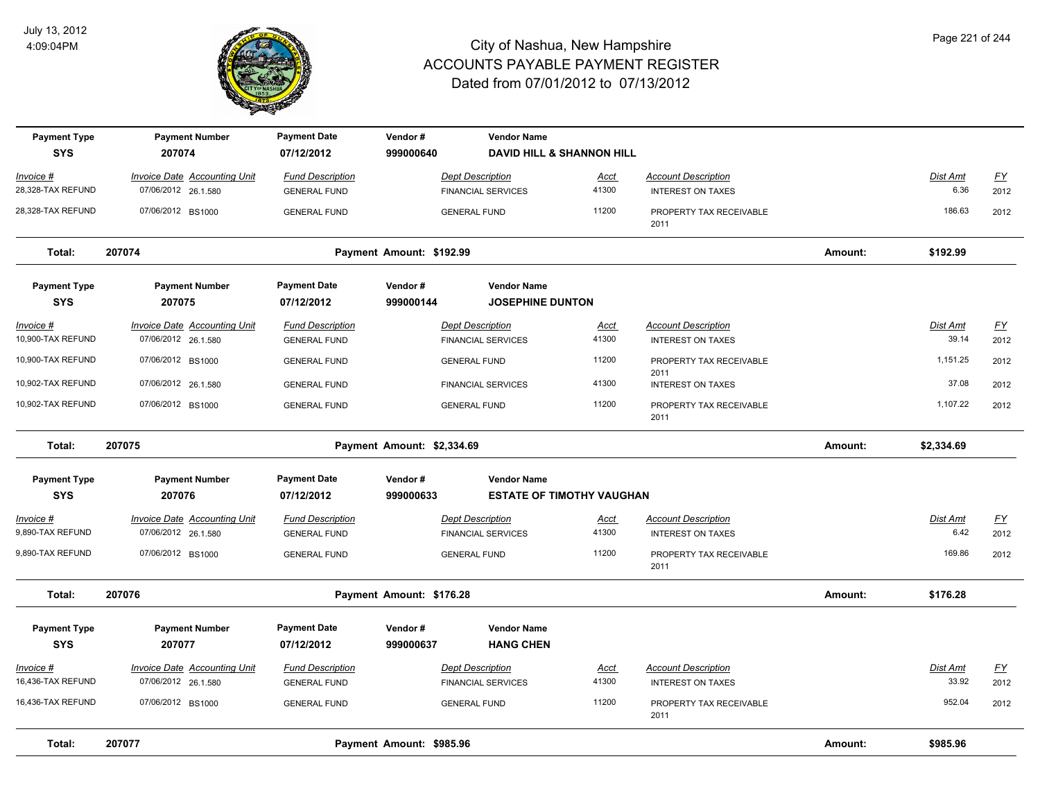

| <b>Payment Type</b><br><b>SYS</b> | <b>Payment Number</b><br>207074                            | <b>Payment Date</b><br>07/12/2012              | Vendor#<br>999000640     | <b>Vendor Name</b><br><b>DAVID HILL &amp; SHANNON HILL</b> |                      |                                                        |         |                   |                   |
|-----------------------------------|------------------------------------------------------------|------------------------------------------------|--------------------------|------------------------------------------------------------|----------------------|--------------------------------------------------------|---------|-------------------|-------------------|
| Invoice #                         | <b>Invoice Date Accounting Unit</b>                        | <b>Fund Description</b>                        |                          | <b>Dept Description</b>                                    | <u>Acct</u>          | <b>Account Description</b>                             |         | Dist Amt          | $\underline{FY}$  |
| 28,328-TAX REFUND                 | 07/06/2012 26.1.580                                        | <b>GENERAL FUND</b>                            |                          | <b>FINANCIAL SERVICES</b>                                  | 41300                | <b>INTEREST ON TAXES</b>                               |         | 6.36              | 2012              |
| 28,328-TAX REFUND                 | 07/06/2012 BS1000                                          | <b>GENERAL FUND</b>                            |                          | <b>GENERAL FUND</b>                                        | 11200                | PROPERTY TAX RECEIVABLE<br>2011                        |         | 186.63            | 2012              |
| Total:                            | 207074                                                     |                                                | Payment Amount: \$192.99 |                                                            |                      |                                                        | Amount: | \$192.99          |                   |
| <b>Payment Type</b>               | <b>Payment Number</b>                                      | <b>Payment Date</b>                            | Vendor#                  | <b>Vendor Name</b>                                         |                      |                                                        |         |                   |                   |
| <b>SYS</b>                        | 207075                                                     | 07/12/2012                                     | 999000144                | <b>JOSEPHINE DUNTON</b>                                    |                      |                                                        |         |                   |                   |
| Invoice #<br>10,900-TAX REFUND    | <b>Invoice Date Accounting Unit</b><br>07/06/2012 26.1.580 | <b>Fund Description</b><br><b>GENERAL FUND</b> |                          | <b>Dept Description</b><br><b>FINANCIAL SERVICES</b>       | Acct<br>41300        | <b>Account Description</b><br><b>INTEREST ON TAXES</b> |         | Dist Amt<br>39.14 | <u>FY</u><br>2012 |
| 10,900-TAX REFUND                 | 07/06/2012 BS1000                                          | <b>GENERAL FUND</b>                            |                          | <b>GENERAL FUND</b>                                        | 11200                | PROPERTY TAX RECEIVABLE<br>2011                        |         | 1,151.25          | 2012              |
| 10,902-TAX REFUND                 | 07/06/2012 26.1.580                                        | <b>GENERAL FUND</b>                            |                          | <b>FINANCIAL SERVICES</b>                                  | 41300                | <b>INTEREST ON TAXES</b>                               |         | 37.08             | 2012              |
| 10,902-TAX REFUND                 | 07/06/2012 BS1000                                          | <b>GENERAL FUND</b>                            |                          | <b>GENERAL FUND</b>                                        | 11200                | PROPERTY TAX RECEIVABLE<br>2011                        |         | 1,107.22          | 2012              |
| Total:                            | 207075                                                     |                                                |                          | Payment Amount: \$2,334.69                                 |                      |                                                        | Amount: | \$2,334.69        |                   |
| <b>Payment Type</b><br><b>SYS</b> | <b>Payment Number</b><br>207076                            | <b>Payment Date</b><br>07/12/2012              | Vendor#<br>999000633     | <b>Vendor Name</b><br><b>ESTATE OF TIMOTHY VAUGHAN</b>     |                      |                                                        |         |                   |                   |
| Invoice #                         | <b>Invoice Date Accounting Unit</b>                        | <b>Fund Description</b>                        |                          | <b>Dept Description</b>                                    | <u>Acct</u>          | <b>Account Description</b>                             |         | Dist Amt          | $\underline{FY}$  |
| 9,890-TAX REFUND                  | 07/06/2012 26.1.580                                        | <b>GENERAL FUND</b>                            |                          | <b>FINANCIAL SERVICES</b>                                  | 41300                | <b>INTEREST ON TAXES</b>                               |         | 6.42              | 2012              |
| 9,890-TAX REFUND                  | 07/06/2012 BS1000                                          | <b>GENERAL FUND</b>                            |                          | <b>GENERAL FUND</b>                                        | 11200                | PROPERTY TAX RECEIVABLE<br>2011                        |         | 169.86            | 2012              |
| Total:                            | 207076                                                     |                                                | Payment Amount: \$176.28 |                                                            |                      |                                                        | Amount: | \$176.28          |                   |
| <b>Payment Type</b>               | <b>Payment Number</b>                                      | <b>Payment Date</b>                            | Vendor#                  | <b>Vendor Name</b>                                         |                      |                                                        |         |                   |                   |
| <b>SYS</b>                        | 207077                                                     | 07/12/2012                                     | 999000637                | <b>HANG CHEN</b>                                           |                      |                                                        |         |                   |                   |
| Invoice #<br>16,436-TAX REFUND    | <b>Invoice Date Accounting Unit</b><br>07/06/2012 26.1.580 | <b>Fund Description</b><br><b>GENERAL FUND</b> |                          | <b>Dept Description</b><br><b>FINANCIAL SERVICES</b>       | <b>Acct</b><br>41300 | <b>Account Description</b><br><b>INTEREST ON TAXES</b> |         | Dist Amt<br>33.92 | <u>FY</u><br>2012 |
| 16,436-TAX REFUND                 | 07/06/2012 BS1000                                          | <b>GENERAL FUND</b>                            |                          | <b>GENERAL FUND</b>                                        | 11200                | PROPERTY TAX RECEIVABLE<br>2011                        |         | 952.04            | 2012              |
| Total:                            | 207077                                                     |                                                | Payment Amount: \$985.96 |                                                            |                      |                                                        | Amount: | \$985.96          |                   |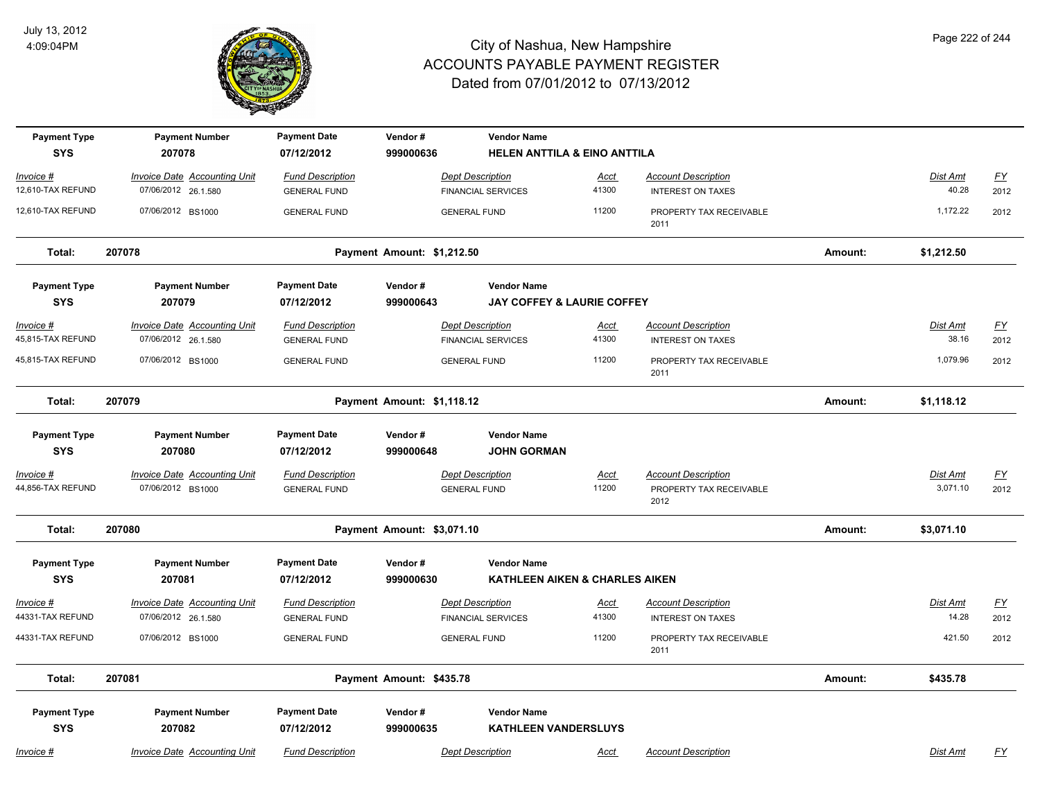

| <b>Payment Type</b><br><b>SYS</b>     | <b>Payment Number</b><br>207078                            | <b>Payment Date</b><br>07/12/2012              | Vendor#<br>999000636       | <b>Vendor Name</b><br>HELEN ANTTILA & EINO ANTTILA   |                      |                                                        |         |                          |                          |
|---------------------------------------|------------------------------------------------------------|------------------------------------------------|----------------------------|------------------------------------------------------|----------------------|--------------------------------------------------------|---------|--------------------------|--------------------------|
| Invoice #                             | <b>Invoice Date Accounting Unit</b>                        | <b>Fund Description</b>                        |                            | <b>Dept Description</b>                              | <u>Acct</u>          | <b>Account Description</b>                             |         | Dist Amt                 | $\underline{FY}$         |
| 12,610-TAX REFUND                     | 07/06/2012 26.1.580                                        | <b>GENERAL FUND</b>                            |                            | <b>FINANCIAL SERVICES</b>                            | 41300                | <b>INTEREST ON TAXES</b>                               |         | 40.28                    | 2012                     |
| 12,610-TAX REFUND                     | 07/06/2012 BS1000                                          | <b>GENERAL FUND</b>                            |                            | <b>GENERAL FUND</b>                                  | 11200                | PROPERTY TAX RECEIVABLE<br>2011                        |         | 1,172.22                 | 2012                     |
| Total:                                | 207078                                                     |                                                | Payment Amount: \$1,212.50 |                                                      |                      |                                                        | Amount: | \$1,212.50               |                          |
| <b>Payment Type</b>                   | <b>Payment Number</b>                                      | <b>Payment Date</b>                            | Vendor#                    | <b>Vendor Name</b>                                   |                      |                                                        |         |                          |                          |
| <b>SYS</b>                            | 207079                                                     | 07/12/2012                                     | 999000643                  | <b>JAY COFFEY &amp; LAURIE COFFEY</b>                |                      |                                                        |         |                          |                          |
| <u>Invoice #</u><br>45,815-TAX REFUND | <b>Invoice Date Accounting Unit</b><br>07/06/2012 26.1.580 | <b>Fund Description</b><br><b>GENERAL FUND</b> |                            | <b>Dept Description</b><br><b>FINANCIAL SERVICES</b> | <u>Acct</u><br>41300 | <b>Account Description</b><br><b>INTEREST ON TAXES</b> |         | <b>Dist Amt</b><br>38.16 | <u>FY</u><br>2012        |
| 45,815-TAX REFUND                     | 07/06/2012 BS1000                                          | <b>GENERAL FUND</b>                            |                            | <b>GENERAL FUND</b>                                  | 11200                | PROPERTY TAX RECEIVABLE<br>2011                        |         | 1,079.96                 | 2012                     |
| Total:                                | 207079                                                     |                                                | Payment Amount: \$1,118.12 |                                                      |                      |                                                        | Amount: | \$1,118.12               |                          |
| <b>Payment Type</b>                   | <b>Payment Number</b>                                      | <b>Payment Date</b>                            | Vendor#                    | <b>Vendor Name</b>                                   |                      |                                                        |         |                          |                          |
| <b>SYS</b>                            | 207080                                                     | 07/12/2012                                     | 999000648                  | <b>JOHN GORMAN</b>                                   |                      |                                                        |         |                          |                          |
| Invoice #<br>44,856-TAX REFUND        | <b>Invoice Date Accounting Unit</b><br>07/06/2012 BS1000   | <b>Fund Description</b><br><b>GENERAL FUND</b> |                            | <b>Dept Description</b><br><b>GENERAL FUND</b>       | Acct<br>11200        | <b>Account Description</b><br>PROPERTY TAX RECEIVABLE  |         | Dist Amt<br>3,071.10     | $\underline{FY}$<br>2012 |
|                                       |                                                            |                                                |                            |                                                      |                      | 2012                                                   |         |                          |                          |
| Total:                                | 207080                                                     |                                                | Payment Amount: \$3,071.10 |                                                      |                      |                                                        | Amount: | \$3,071.10               |                          |
| <b>Payment Type</b>                   | <b>Payment Number</b>                                      | <b>Payment Date</b>                            | Vendor#                    | <b>Vendor Name</b>                                   |                      |                                                        |         |                          |                          |
| <b>SYS</b>                            | 207081                                                     | 07/12/2012                                     | 999000630                  | KATHLEEN AIKEN & CHARLES AIKEN                       |                      |                                                        |         |                          |                          |
| <u>Invoice #</u>                      | <b>Invoice Date Accounting Unit</b>                        | <b>Fund Description</b>                        |                            | <b>Dept Description</b>                              | <u>Acct</u>          | <b>Account Description</b>                             |         | Dist Amt                 | $\underline{FY}$         |
| 44331-TAX REFUND                      | 07/06/2012 26.1.580                                        | <b>GENERAL FUND</b>                            |                            | <b>FINANCIAL SERVICES</b>                            | 41300                | <b>INTEREST ON TAXES</b>                               |         | 14.28                    | 2012                     |
| 44331-TAX REFUND                      | 07/06/2012 BS1000                                          | <b>GENERAL FUND</b>                            |                            | <b>GENERAL FUND</b>                                  | 11200                | PROPERTY TAX RECEIVABLE<br>2011                        |         | 421.50                   | 2012                     |
| Total:                                | 207081                                                     |                                                | Payment Amount: \$435.78   |                                                      |                      |                                                        | Amount: | \$435.78                 |                          |
| <b>Payment Type</b>                   | <b>Payment Number</b>                                      | <b>Payment Date</b>                            | Vendor#                    | <b>Vendor Name</b>                                   |                      |                                                        |         |                          |                          |
| <b>SYS</b>                            | 207082                                                     | 07/12/2012                                     | 999000635                  | <b>KATHLEEN VANDERSLUYS</b>                          |                      |                                                        |         |                          |                          |
| <u>Invoice #</u>                      | <b>Invoice Date Accounting Unit</b>                        | <b>Fund Description</b>                        |                            | <b>Dept Description</b>                              | <u>Acct</u>          | <b>Account Description</b>                             |         | Dist Amt                 | $\underline{FY}$         |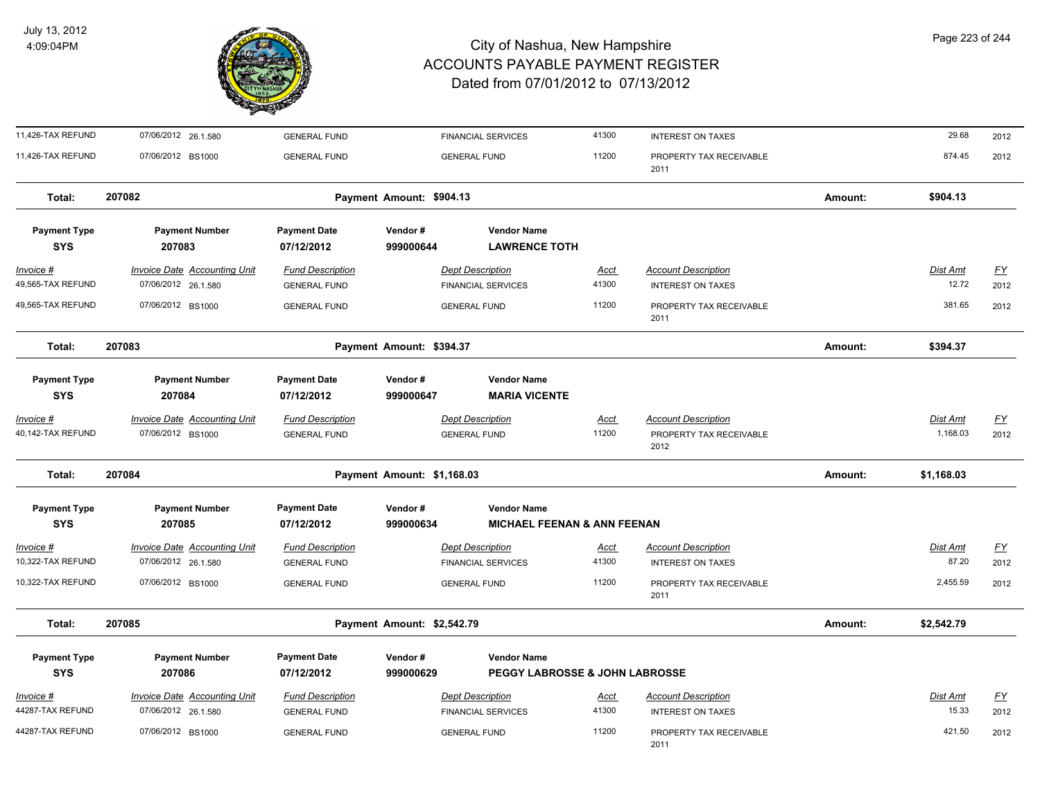

| 11,426-TAX REFUND                 | 07/06/2012 26.1.580                                        | <b>GENERAL FUND</b>                            |                            | <b>FINANCIAL SERVICES</b>                                    | 41300                | <b>INTEREST ON TAXES</b>                                      |         | 29.68                    | 2012                     |
|-----------------------------------|------------------------------------------------------------|------------------------------------------------|----------------------------|--------------------------------------------------------------|----------------------|---------------------------------------------------------------|---------|--------------------------|--------------------------|
| 11,426-TAX REFUND                 | 07/06/2012 BS1000                                          | <b>GENERAL FUND</b>                            |                            | <b>GENERAL FUND</b>                                          | 11200                | PROPERTY TAX RECEIVABLE<br>2011                               |         | 874.45                   | 2012                     |
| Total:                            | 207082                                                     |                                                | Payment Amount: \$904.13   |                                                              |                      |                                                               | Amount: | \$904.13                 |                          |
| <b>Payment Type</b><br><b>SYS</b> | <b>Payment Number</b><br>207083                            | <b>Payment Date</b><br>07/12/2012              | Vendor#<br>999000644       | <b>Vendor Name</b><br><b>LAWRENCE TOTH</b>                   |                      |                                                               |         |                          |                          |
| $Invoice$ #<br>49,565-TAX REFUND  | <b>Invoice Date Accounting Unit</b><br>07/06/2012 26.1.580 | <b>Fund Description</b><br><b>GENERAL FUND</b> |                            | <b>Dept Description</b><br><b>FINANCIAL SERVICES</b>         | <u>Acct</u><br>41300 | <b>Account Description</b><br><b>INTEREST ON TAXES</b>        |         | <b>Dist Amt</b><br>12.72 | EY<br>2012               |
| 49,565-TAX REFUND                 | 07/06/2012 BS1000                                          | <b>GENERAL FUND</b>                            |                            | <b>GENERAL FUND</b>                                          | 11200                | PROPERTY TAX RECEIVABLE<br>2011                               |         | 381.65                   | 2012                     |
| Total:                            | 207083                                                     |                                                | Payment Amount: \$394.37   |                                                              |                      |                                                               | Amount: | \$394.37                 |                          |
| <b>Payment Type</b><br><b>SYS</b> | <b>Payment Number</b><br>207084                            | <b>Payment Date</b><br>07/12/2012              | Vendor#<br>999000647       | <b>Vendor Name</b><br><b>MARIA VICENTE</b>                   |                      |                                                               |         |                          |                          |
| Invoice #<br>40,142-TAX REFUND    | Invoice Date Accounting Unit<br>07/06/2012 BS1000          | <b>Fund Description</b><br><b>GENERAL FUND</b> |                            | <b>Dept Description</b><br><b>GENERAL FUND</b>               | Acct<br>11200        | <b>Account Description</b><br>PROPERTY TAX RECEIVABLE<br>2012 |         | Dist Amt<br>1,168.03     | <u>FY</u><br>2012        |
| Total:                            | 207084                                                     |                                                | Payment Amount: \$1,168.03 |                                                              |                      |                                                               | Amount: | \$1,168.03               |                          |
| <b>Payment Type</b><br><b>SYS</b> | <b>Payment Number</b><br>207085                            | <b>Payment Date</b><br>07/12/2012              | Vendor#<br>999000634       | <b>Vendor Name</b><br><b>MICHAEL FEENAN &amp; ANN FEENAN</b> |                      |                                                               |         |                          |                          |
| Invoice #<br>10,322-TAX REFUND    | <b>Invoice Date Accounting Unit</b><br>07/06/2012 26.1.580 | <b>Fund Description</b><br><b>GENERAL FUND</b> |                            | <b>Dept Description</b><br><b>FINANCIAL SERVICES</b>         | Acct<br>41300        | <b>Account Description</b><br><b>INTEREST ON TAXES</b>        |         | Dist Amt<br>87.20        | $\underline{FY}$<br>2012 |
| 10,322-TAX REFUND                 | 07/06/2012 BS1000                                          | <b>GENERAL FUND</b>                            |                            | <b>GENERAL FUND</b>                                          | 11200                | PROPERTY TAX RECEIVABLE<br>2011                               |         | 2,455.59                 | 2012                     |
| Total:                            | 207085                                                     |                                                | Payment Amount: \$2,542.79 |                                                              |                      |                                                               | Amount: | \$2,542.79               |                          |
| <b>Payment Type</b><br><b>SYS</b> | <b>Payment Number</b><br>207086                            | <b>Payment Date</b><br>07/12/2012              | Vendor#<br>999000629       | <b>Vendor Name</b><br>PEGGY LABROSSE & JOHN LABROSSE         |                      |                                                               |         |                          |                          |
| Invoice #<br>44287-TAX REFUND     | <b>Invoice Date Accounting Unit</b><br>07/06/2012 26.1.580 | <b>Fund Description</b><br><b>GENERAL FUND</b> |                            | <b>Dept Description</b><br><b>FINANCIAL SERVICES</b>         | <u>Acct</u><br>41300 | <b>Account Description</b><br><b>INTEREST ON TAXES</b>        |         | Dist Amt<br>15.33        | $\underline{FY}$<br>2012 |
| 44287-TAX REFUND                  | 07/06/2012 BS1000                                          | <b>GENERAL FUND</b>                            |                            | <b>GENERAL FUND</b>                                          | 11200                | PROPERTY TAX RECEIVABLE<br>2011                               |         | 421.50                   | 2012                     |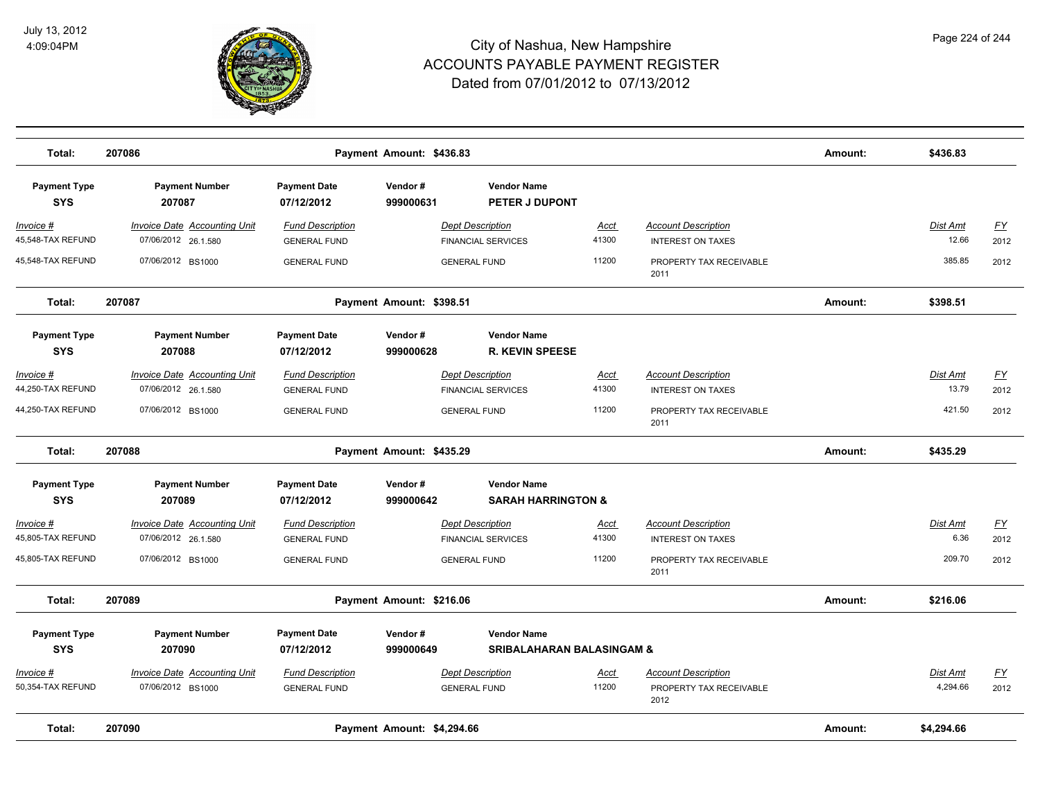

| Total:                            | 207086                                                     |                                                | Payment Amount: \$436.83   |                                                      |                      |                                                        | Amount: | \$436.83          |                                   |
|-----------------------------------|------------------------------------------------------------|------------------------------------------------|----------------------------|------------------------------------------------------|----------------------|--------------------------------------------------------|---------|-------------------|-----------------------------------|
| <b>Payment Type</b><br><b>SYS</b> | <b>Payment Number</b><br>207087                            | <b>Payment Date</b><br>07/12/2012              | Vendor#<br>999000631       | <b>Vendor Name</b><br>PETER J DUPONT                 |                      |                                                        |         |                   |                                   |
| $Invoice$ #<br>45,548-TAX REFUND  | <b>Invoice Date Accounting Unit</b><br>07/06/2012 26.1.580 | <b>Fund Description</b><br><b>GENERAL FUND</b> |                            | <b>Dept Description</b><br><b>FINANCIAL SERVICES</b> | <b>Acct</b><br>41300 | <b>Account Description</b><br><b>INTEREST ON TAXES</b> |         | Dist Amt<br>12.66 | $\underline{\mathsf{FY}}$<br>2012 |
| 45,548-TAX REFUND                 | 07/06/2012 BS1000                                          | <b>GENERAL FUND</b>                            |                            | <b>GENERAL FUND</b>                                  | 11200                | PROPERTY TAX RECEIVABLE<br>2011                        |         | 385.85            | 2012                              |
| Total:                            | 207087                                                     |                                                | Payment Amount: \$398.51   |                                                      |                      |                                                        | Amount: | \$398.51          |                                   |
| <b>Payment Type</b><br><b>SYS</b> | <b>Payment Number</b><br>207088                            | <b>Payment Date</b><br>07/12/2012              | Vendor#<br>999000628       | <b>Vendor Name</b><br><b>R. KEVIN SPEESE</b>         |                      |                                                        |         |                   |                                   |
| Invoice #                         | Invoice Date Accounting Unit                               | <b>Fund Description</b>                        |                            | <b>Dept Description</b>                              | Acct                 | <b>Account Description</b>                             |         | Dist Amt          | $\underline{\mathsf{FY}}$         |
| 44,250-TAX REFUND                 | 07/06/2012 26.1.580                                        | <b>GENERAL FUND</b>                            |                            | <b>FINANCIAL SERVICES</b>                            | 41300                | <b>INTEREST ON TAXES</b>                               |         | 13.79             | 2012                              |
| 44,250-TAX REFUND                 | 07/06/2012 BS1000                                          | <b>GENERAL FUND</b>                            |                            | <b>GENERAL FUND</b>                                  | 11200                | PROPERTY TAX RECEIVABLE<br>2011                        |         | 421.50            | 2012                              |
| Total:                            | 207088                                                     |                                                | Payment Amount: \$435.29   |                                                      |                      |                                                        | Amount: | \$435.29          |                                   |
| <b>Payment Type</b><br><b>SYS</b> | <b>Payment Number</b><br>207089                            | <b>Payment Date</b><br>07/12/2012              | Vendor#<br>999000642       | <b>Vendor Name</b><br><b>SARAH HARRINGTON &amp;</b>  |                      |                                                        |         |                   |                                   |
| Invoice #                         | <b>Invoice Date Accounting Unit</b>                        | <b>Fund Description</b>                        |                            | <b>Dept Description</b>                              | <u>Acct</u>          | <b>Account Description</b>                             |         | Dist Amt          | EY                                |
| 45,805-TAX REFUND                 | 07/06/2012 26.1.580                                        | <b>GENERAL FUND</b>                            |                            | <b>FINANCIAL SERVICES</b>                            | 41300                | <b>INTEREST ON TAXES</b>                               |         | 6.36              | 2012                              |
| 45,805-TAX REFUND                 | 07/06/2012 BS1000                                          | <b>GENERAL FUND</b>                            |                            | <b>GENERAL FUND</b>                                  | 11200                | PROPERTY TAX RECEIVABLE<br>2011                        |         | 209.70            | 2012                              |
| Total:                            | 207089                                                     |                                                | Payment Amount: \$216.06   |                                                      |                      |                                                        | Amount: | \$216.06          |                                   |
| <b>Payment Type</b>               | <b>Payment Number</b>                                      | <b>Payment Date</b>                            | Vendor#                    | <b>Vendor Name</b>                                   |                      |                                                        |         |                   |                                   |
| <b>SYS</b>                        | 207090                                                     | 07/12/2012                                     | 999000649                  | <b>SRIBALAHARAN BALASINGAM &amp;</b>                 |                      |                                                        |         |                   |                                   |
| Invoice #                         | Invoice Date Accounting Unit                               | <b>Fund Description</b>                        |                            | <b>Dept Description</b>                              | <b>Acct</b>          | <b>Account Description</b>                             |         | Dist Amt          | $\underline{\mathsf{FY}}$         |
| 50,354-TAX REFUND                 | 07/06/2012 BS1000                                          | <b>GENERAL FUND</b>                            |                            | <b>GENERAL FUND</b>                                  | 11200                | PROPERTY TAX RECEIVABLE<br>2012                        |         | 4,294.66          | 2012                              |
| Total:                            | 207090                                                     |                                                | Payment Amount: \$4,294.66 |                                                      |                      |                                                        | Amount: | \$4,294.66        |                                   |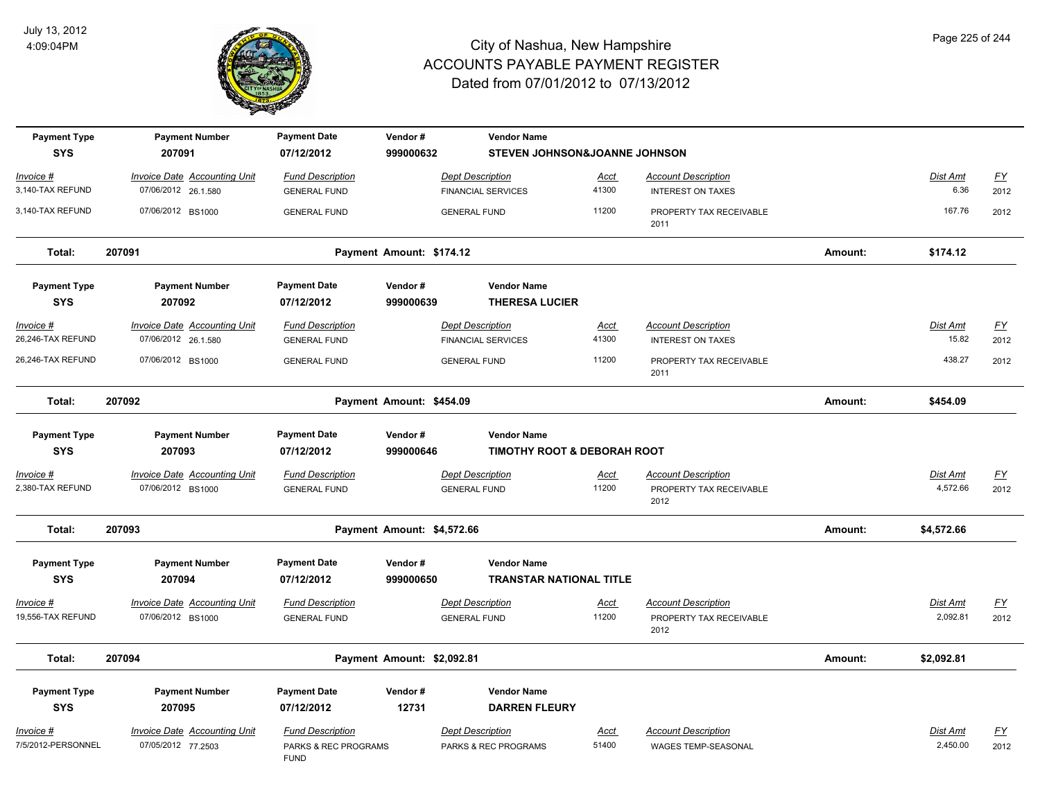

| <b>Payment Type</b><br><b>SYS</b> | <b>Payment Number</b><br>207091                            | <b>Payment Date</b><br>07/12/2012                              | Vendor#<br>999000632       | <b>Vendor Name</b><br>STEVEN JOHNSON&JOANNE JOHNSON          |                      |                                                               |         |                      |                   |
|-----------------------------------|------------------------------------------------------------|----------------------------------------------------------------|----------------------------|--------------------------------------------------------------|----------------------|---------------------------------------------------------------|---------|----------------------|-------------------|
| Invoice #<br>3,140-TAX REFUND     | Invoice Date Accounting Unit<br>07/06/2012 26.1.580        | <b>Fund Description</b><br><b>GENERAL FUND</b>                 |                            | <b>Dept Description</b><br><b>FINANCIAL SERVICES</b>         | Acct<br>41300        | <b>Account Description</b><br><b>INTEREST ON TAXES</b>        |         | Dist Amt<br>6.36     | <u>FY</u><br>2012 |
| 3,140-TAX REFUND                  | 07/06/2012 BS1000                                          | <b>GENERAL FUND</b>                                            |                            | <b>GENERAL FUND</b>                                          | 11200                | PROPERTY TAX RECEIVABLE<br>2011                               |         | 167.76               | 2012              |
| Total:                            | 207091                                                     |                                                                | Payment Amount: \$174.12   |                                                              |                      |                                                               | Amount: | \$174.12             |                   |
| <b>Payment Type</b><br><b>SYS</b> | <b>Payment Number</b><br>207092                            | <b>Payment Date</b><br>07/12/2012                              | Vendor#<br>999000639       | <b>Vendor Name</b><br><b>THERESA LUCIER</b>                  |                      |                                                               |         |                      |                   |
| Invoice #<br>26,246-TAX REFUND    | <b>Invoice Date Accounting Unit</b><br>07/06/2012 26.1.580 | <b>Fund Description</b><br><b>GENERAL FUND</b>                 |                            | <b>Dept Description</b><br><b>FINANCIAL SERVICES</b>         | <u>Acct</u><br>41300 | <b>Account Description</b><br><b>INTEREST ON TAXES</b>        |         | Dist Amt<br>15.82    | <u>FY</u><br>2012 |
| 26,246-TAX REFUND                 | 07/06/2012 BS1000                                          | <b>GENERAL FUND</b>                                            |                            | <b>GENERAL FUND</b>                                          | 11200                | PROPERTY TAX RECEIVABLE<br>2011                               |         | 438.27               | 2012              |
| Total:                            | 207092                                                     |                                                                | Payment Amount: \$454.09   |                                                              |                      |                                                               | Amount: | \$454.09             |                   |
| <b>Payment Type</b><br><b>SYS</b> | <b>Payment Number</b><br>207093                            | <b>Payment Date</b><br>07/12/2012                              | Vendor#<br>999000646       | <b>Vendor Name</b><br><b>TIMOTHY ROOT &amp; DEBORAH ROOT</b> |                      |                                                               |         |                      |                   |
| Invoice #<br>2,380-TAX REFUND     | <b>Invoice Date Accounting Unit</b><br>07/06/2012 BS1000   | <b>Fund Description</b><br><b>GENERAL FUND</b>                 |                            | <b>Dept Description</b><br><b>GENERAL FUND</b>               | <u>Acct</u><br>11200 | <b>Account Description</b><br>PROPERTY TAX RECEIVABLE<br>2012 |         | Dist Amt<br>4,572.66 | <u>FY</u><br>2012 |
| Total:                            | 207093                                                     |                                                                | Payment Amount: \$4,572.66 |                                                              |                      |                                                               | Amount: | \$4,572.66           |                   |
| <b>Payment Type</b><br><b>SYS</b> | <b>Payment Number</b><br>207094                            | <b>Payment Date</b><br>07/12/2012                              | Vendor#<br>999000650       | <b>Vendor Name</b><br><b>TRANSTAR NATIONAL TITLE</b>         |                      |                                                               |         |                      |                   |
| Invoice #<br>19,556-TAX REFUND    | <b>Invoice Date Accounting Unit</b><br>07/06/2012 BS1000   | <b>Fund Description</b><br><b>GENERAL FUND</b>                 |                            | <b>Dept Description</b><br><b>GENERAL FUND</b>               | <u>Acct</u><br>11200 | <b>Account Description</b><br>PROPERTY TAX RECEIVABLE<br>2012 |         | Dist Amt<br>2,092.81 | EY<br>2012        |
| Total:                            | 207094                                                     |                                                                | Payment Amount: \$2,092.81 |                                                              |                      |                                                               | Amount: | \$2,092.81           |                   |
| <b>Payment Type</b><br><b>SYS</b> | <b>Payment Number</b><br>207095                            | <b>Payment Date</b><br>07/12/2012                              | Vendor#<br>12731           | <b>Vendor Name</b><br><b>DARREN FLEURY</b>                   |                      |                                                               |         |                      |                   |
| Invoice #<br>7/5/2012-PERSONNEL   | Invoice Date Accounting Unit<br>07/05/2012 77.2503         | <b>Fund Description</b><br>PARKS & REC PROGRAMS<br><b>FUND</b> |                            | <b>Dept Description</b><br>PARKS & REC PROGRAMS              | Acct<br>51400        | <b>Account Description</b><br><b>WAGES TEMP-SEASONAL</b>      |         | Dist Amt<br>2,450.00 | <u>FY</u><br>2012 |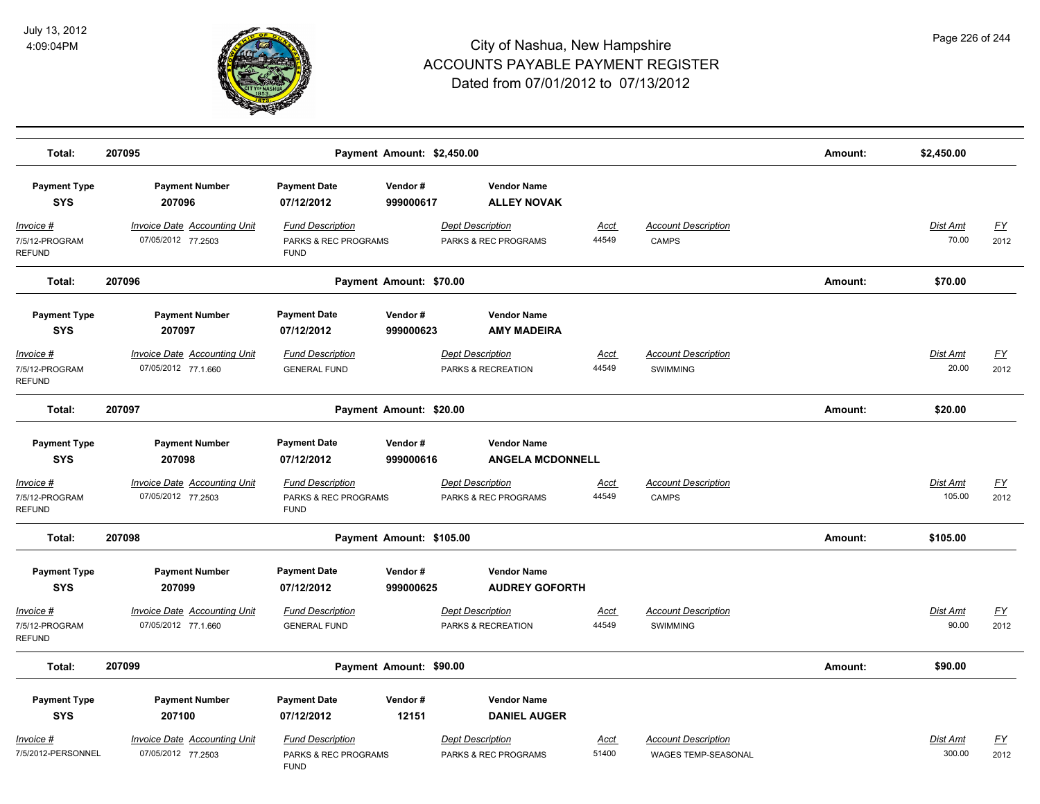

| Total:                                         | 207095                                                     |                                                                | Payment Amount: \$2,450.00 |                                                 |                      |                                                          | Amount: | \$2,450.00               |                   |
|------------------------------------------------|------------------------------------------------------------|----------------------------------------------------------------|----------------------------|-------------------------------------------------|----------------------|----------------------------------------------------------|---------|--------------------------|-------------------|
| <b>Payment Type</b><br><b>SYS</b>              | <b>Payment Number</b><br>207096                            | <b>Payment Date</b><br>07/12/2012                              | Vendor#<br>999000617       | <b>Vendor Name</b><br><b>ALLEY NOVAK</b>        |                      |                                                          |         |                          |                   |
| $Invoice$ #<br>7/5/12-PROGRAM<br><b>REFUND</b> | <b>Invoice Date Accounting Unit</b><br>07/05/2012 77.2503  | <b>Fund Description</b><br>PARKS & REC PROGRAMS<br><b>FUND</b> |                            | <b>Dept Description</b><br>PARKS & REC PROGRAMS | <u>Acct</u><br>44549 | <b>Account Description</b><br><b>CAMPS</b>               |         | <b>Dist Amt</b><br>70.00 | <u>FY</u><br>2012 |
| Total:                                         | 207096                                                     |                                                                | Payment Amount: \$70.00    |                                                 |                      |                                                          | Amount: | \$70.00                  |                   |
| <b>Payment Type</b><br><b>SYS</b>              | <b>Payment Number</b><br>207097                            | <b>Payment Date</b><br>07/12/2012                              | Vendor#<br>999000623       | <b>Vendor Name</b><br><b>AMY MADEIRA</b>        |                      |                                                          |         |                          |                   |
| Invoice #<br>7/5/12-PROGRAM<br><b>REFUND</b>   | <b>Invoice Date Accounting Unit</b><br>07/05/2012 77.1.660 | <b>Fund Description</b><br><b>GENERAL FUND</b>                 |                            | <b>Dept Description</b><br>PARKS & RECREATION   | <u>Acct</u><br>44549 | <b>Account Description</b><br><b>SWIMMING</b>            |         | Dist Amt<br>20.00        | <u>FY</u><br>2012 |
| Total:                                         | 207097                                                     |                                                                | Payment Amount: \$20.00    |                                                 |                      |                                                          | Amount: | \$20.00                  |                   |
| <b>Payment Type</b><br><b>SYS</b>              | <b>Payment Number</b><br>207098                            | <b>Payment Date</b><br>07/12/2012                              | Vendor#<br>999000616       | <b>Vendor Name</b><br><b>ANGELA MCDONNELL</b>   |                      |                                                          |         |                          |                   |
| Invoice #<br>7/5/12-PROGRAM<br>REFUND          | Invoice Date Accounting Unit<br>07/05/2012 77.2503         | <b>Fund Description</b><br>PARKS & REC PROGRAMS<br><b>FUND</b> |                            | <b>Dept Description</b><br>PARKS & REC PROGRAMS | Acct<br>44549        | <b>Account Description</b><br><b>CAMPS</b>               |         | Dist Amt<br>105.00       | <u>FY</u><br>2012 |
| Total:                                         | 207098                                                     |                                                                | Payment Amount: \$105.00   |                                                 |                      |                                                          | Amount: | \$105.00                 |                   |
| <b>Payment Type</b><br><b>SYS</b>              | <b>Payment Number</b><br>207099                            | <b>Payment Date</b><br>07/12/2012                              | Vendor#<br>999000625       | <b>Vendor Name</b><br><b>AUDREY GOFORTH</b>     |                      |                                                          |         |                          |                   |
| Invoice #<br>7/5/12-PROGRAM<br><b>REFUND</b>   | <b>Invoice Date Accounting Unit</b><br>07/05/2012 77.1.660 | <b>Fund Description</b><br><b>GENERAL FUND</b>                 |                            | <b>Dept Description</b><br>PARKS & RECREATION   | <u>Acct</u><br>44549 | <b>Account Description</b><br><b>SWIMMING</b>            |         | Dist Amt<br>90.00        | <u>FY</u><br>2012 |
| Total:                                         | 207099                                                     |                                                                | Payment Amount: \$90.00    |                                                 |                      |                                                          | Amount: | \$90.00                  |                   |
| <b>Payment Type</b><br><b>SYS</b>              | <b>Payment Number</b><br>207100                            | <b>Payment Date</b><br>07/12/2012                              | Vendor#<br>12151           | <b>Vendor Name</b><br><b>DANIEL AUGER</b>       |                      |                                                          |         |                          |                   |
| Invoice #<br>7/5/2012-PERSONNEL                | <b>Invoice Date Accounting Unit</b><br>07/05/2012 77.2503  | <b>Fund Description</b><br>PARKS & REC PROGRAMS<br><b>FUND</b> |                            | <b>Dept Description</b><br>PARKS & REC PROGRAMS | <u>Acct</u><br>51400 | <b>Account Description</b><br><b>WAGES TEMP-SEASONAL</b> |         | Dist Amt<br>300.00       | <u>FY</u><br>2012 |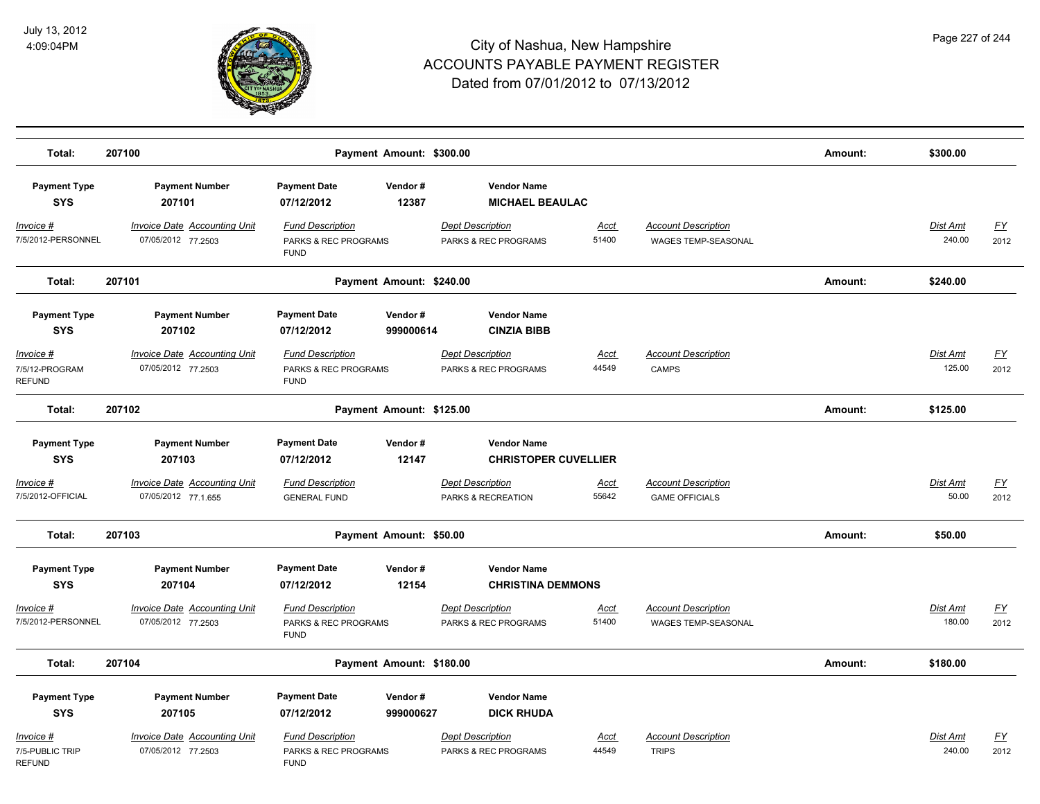

| Total:                                        | 207100                                                    | Payment Amount: \$300.00                                       |           |                                                   |                      |                                                     | Amount: | \$300.00                  |                                   |
|-----------------------------------------------|-----------------------------------------------------------|----------------------------------------------------------------|-----------|---------------------------------------------------|----------------------|-----------------------------------------------------|---------|---------------------------|-----------------------------------|
| <b>Payment Type</b><br><b>SYS</b>             | <b>Payment Number</b><br>207101                           | <b>Payment Date</b><br>Vendor#<br>07/12/2012                   | 12387     | <b>Vendor Name</b><br><b>MICHAEL BEAULAC</b>      |                      |                                                     |         |                           |                                   |
| <u>Invoice #</u><br>7/5/2012-PERSONNEL        | <b>Invoice Date Accounting Unit</b><br>07/05/2012 77.2503 | <b>Fund Description</b><br>PARKS & REC PROGRAMS<br><b>FUND</b> |           | <b>Dept Description</b><br>PARKS & REC PROGRAMS   | <u>Acct</u><br>51400 | <b>Account Description</b><br>WAGES TEMP-SEASONAL   |         | <b>Dist Amt</b><br>240.00 | $\underline{\mathsf{FY}}$<br>2012 |
| Total:                                        | 207101                                                    | Payment Amount: \$240.00                                       |           |                                                   |                      |                                                     | Amount: | \$240.00                  |                                   |
| <b>Payment Type</b><br><b>SYS</b>             | <b>Payment Number</b><br>207102                           | <b>Payment Date</b><br>Vendor#<br>07/12/2012                   | 999000614 | <b>Vendor Name</b><br><b>CINZIA BIBB</b>          |                      |                                                     |         |                           |                                   |
| Invoice #<br>7/5/12-PROGRAM<br><b>REFUND</b>  | Invoice Date Accounting Unit<br>07/05/2012 77.2503        | <b>Fund Description</b><br>PARKS & REC PROGRAMS<br><b>FUND</b> |           | <b>Dept Description</b><br>PARKS & REC PROGRAMS   | Acct<br>44549        | <b>Account Description</b><br>CAMPS                 |         | Dist Amt<br>125.00        | EY<br>2012                        |
| Total:                                        | 207102                                                    | Payment Amount: \$125.00                                       |           |                                                   |                      |                                                     | Amount: | \$125.00                  |                                   |
| <b>Payment Type</b><br><b>SYS</b>             | <b>Payment Number</b><br>207103                           | <b>Payment Date</b><br>Vendor#<br>07/12/2012                   | 12147     | <b>Vendor Name</b><br><b>CHRISTOPER CUVELLIER</b> |                      |                                                     |         |                           |                                   |
| Invoice #<br>7/5/2012-OFFICIAL                | Invoice Date Accounting Unit<br>07/05/2012 77.1.655       | <b>Fund Description</b><br><b>GENERAL FUND</b>                 |           | <b>Dept Description</b><br>PARKS & RECREATION     | Acct<br>55642        | <b>Account Description</b><br><b>GAME OFFICIALS</b> |         | Dist Amt<br>50.00         | <u>FY</u><br>2012                 |
| Total:                                        | 207103                                                    | Payment Amount: \$50.00                                        |           |                                                   |                      |                                                     | Amount: | \$50.00                   |                                   |
| <b>Payment Type</b><br><b>SYS</b>             | <b>Payment Number</b><br>207104                           | <b>Payment Date</b><br>Vendor#<br>07/12/2012                   | 12154     | <b>Vendor Name</b><br><b>CHRISTINA DEMMONS</b>    |                      |                                                     |         |                           |                                   |
| Invoice #<br>7/5/2012-PERSONNEL               | <b>Invoice Date Accounting Unit</b><br>07/05/2012 77.2503 | <b>Fund Description</b><br>PARKS & REC PROGRAMS<br><b>FUND</b> |           | <b>Dept Description</b><br>PARKS & REC PROGRAMS   | <u>Acct</u><br>51400 | <b>Account Description</b><br>WAGES TEMP-SEASONAL   |         | Dist Amt<br>180.00        | $\underline{\mathsf{FY}}$<br>2012 |
| Total:                                        | 207104                                                    | Payment Amount: \$180.00                                       |           |                                                   |                      |                                                     | Amount: | \$180.00                  |                                   |
| <b>Payment Type</b><br><b>SYS</b>             | <b>Payment Number</b><br>207105                           | <b>Payment Date</b><br>Vendor#<br>07/12/2012                   | 999000627 | <b>Vendor Name</b><br><b>DICK RHUDA</b>           |                      |                                                     |         |                           |                                   |
| Invoice #<br>7/5-PUBLIC TRIP<br><b>REFUND</b> | Invoice Date Accounting Unit<br>07/05/2012 77.2503        | <b>Fund Description</b><br>PARKS & REC PROGRAMS<br><b>FUND</b> |           | <b>Dept Description</b><br>PARKS & REC PROGRAMS   | Acct<br>44549        | <b>Account Description</b><br><b>TRIPS</b>          |         | Dist Amt<br>240.00        | <u>FY</u><br>2012                 |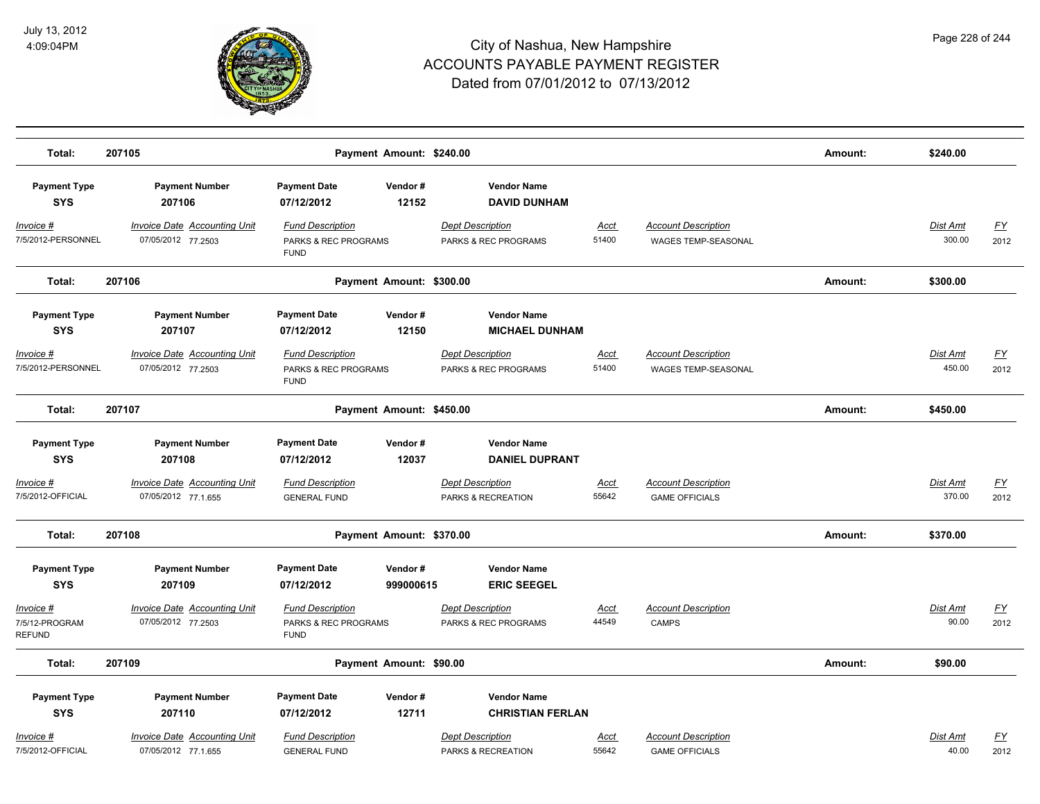

| Total:                                 | 207105                                                     |                                                                | Payment Amount: \$240.00 |                                                 |                      |                                                          | Amount: | \$240.00                  |                   |
|----------------------------------------|------------------------------------------------------------|----------------------------------------------------------------|--------------------------|-------------------------------------------------|----------------------|----------------------------------------------------------|---------|---------------------------|-------------------|
| <b>Payment Type</b><br><b>SYS</b>      | <b>Payment Number</b><br>207106                            | <b>Payment Date</b><br>07/12/2012                              | Vendor#<br>12152         | <b>Vendor Name</b><br><b>DAVID DUNHAM</b>       |                      |                                                          |         |                           |                   |
| <u>Invoice #</u><br>7/5/2012-PERSONNEL | <b>Invoice Date Accounting Unit</b><br>07/05/2012 77.2503  | <b>Fund Description</b><br>PARKS & REC PROGRAMS<br><b>FUND</b> |                          | <b>Dept Description</b><br>PARKS & REC PROGRAMS | <u>Acct</u><br>51400 | <b>Account Description</b><br>WAGES TEMP-SEASONAL        |         | <b>Dist Amt</b><br>300.00 | <u>FY</u><br>2012 |
| Total:                                 | 207106                                                     |                                                                | Payment Amount: \$300.00 |                                                 |                      |                                                          | Amount: | \$300.00                  |                   |
| <b>Payment Type</b><br><b>SYS</b>      | <b>Payment Number</b><br>207107                            | <b>Payment Date</b><br>07/12/2012                              | Vendor#<br>12150         | <b>Vendor Name</b><br><b>MICHAEL DUNHAM</b>     |                      |                                                          |         |                           |                   |
| <u>Invoice #</u><br>7/5/2012-PERSONNEL | <b>Invoice Date Accounting Unit</b><br>07/05/2012 77.2503  | <b>Fund Description</b><br>PARKS & REC PROGRAMS<br><b>FUND</b> |                          | <b>Dept Description</b><br>PARKS & REC PROGRAMS | <u>Acct</u><br>51400 | <b>Account Description</b><br><b>WAGES TEMP-SEASONAL</b> |         | <b>Dist Amt</b><br>450.00 | <u>FY</u><br>2012 |
| Total:                                 | 207107                                                     |                                                                | Payment Amount: \$450.00 |                                                 |                      |                                                          | Amount: | \$450.00                  |                   |
| <b>Payment Type</b><br><b>SYS</b>      | <b>Payment Number</b><br>207108                            | <b>Payment Date</b><br>07/12/2012                              | Vendor#<br>12037         | <b>Vendor Name</b><br><b>DANIEL DUPRANT</b>     |                      |                                                          |         |                           |                   |
| <u>Invoice #</u><br>7/5/2012-OFFICIAL  | <b>Invoice Date Accounting Unit</b><br>07/05/2012 77.1.655 | <b>Fund Description</b><br><b>GENERAL FUND</b>                 |                          | <b>Dept Description</b><br>PARKS & RECREATION   | <u>Acct</u><br>55642 | <b>Account Description</b><br><b>GAME OFFICIALS</b>      |         | <b>Dist Amt</b><br>370.00 | <u>FY</u><br>2012 |
| Total:                                 | 207108                                                     |                                                                | Payment Amount: \$370.00 |                                                 |                      |                                                          | Amount: | \$370.00                  |                   |
| <b>Payment Type</b><br><b>SYS</b>      | <b>Payment Number</b><br>207109                            | <b>Payment Date</b><br>07/12/2012                              | Vendor#<br>999000615     | <b>Vendor Name</b><br><b>ERIC SEEGEL</b>        |                      |                                                          |         |                           |                   |
| Invoice #<br>7/5/12-PROGRAM<br>REFUND  | <b>Invoice Date Accounting Unit</b><br>07/05/2012 77.2503  | <b>Fund Description</b><br>PARKS & REC PROGRAMS<br><b>FUND</b> |                          | <b>Dept Description</b><br>PARKS & REC PROGRAMS | <u>Acct</u><br>44549 | <b>Account Description</b><br><b>CAMPS</b>               |         | <b>Dist Amt</b><br>90.00  | <u>FY</u><br>2012 |
| Total:                                 | 207109                                                     |                                                                | Payment Amount: \$90.00  |                                                 |                      |                                                          | Amount: | \$90.00                   |                   |
| <b>Payment Type</b><br><b>SYS</b>      | <b>Payment Number</b><br>207110                            | <b>Payment Date</b><br>07/12/2012                              | Vendor#<br>12711         | <b>Vendor Name</b><br><b>CHRISTIAN FERLAN</b>   |                      |                                                          |         |                           |                   |
| Invoice #<br>7/5/2012-OFFICIAL         | Invoice Date Accounting Unit<br>07/05/2012 77.1.655        | <b>Fund Description</b><br><b>GENERAL FUND</b>                 |                          | <b>Dept Description</b><br>PARKS & RECREATION   | Acct<br>55642        | <b>Account Description</b><br><b>GAME OFFICIALS</b>      |         | <b>Dist Amt</b><br>40.00  | <u>FY</u><br>2012 |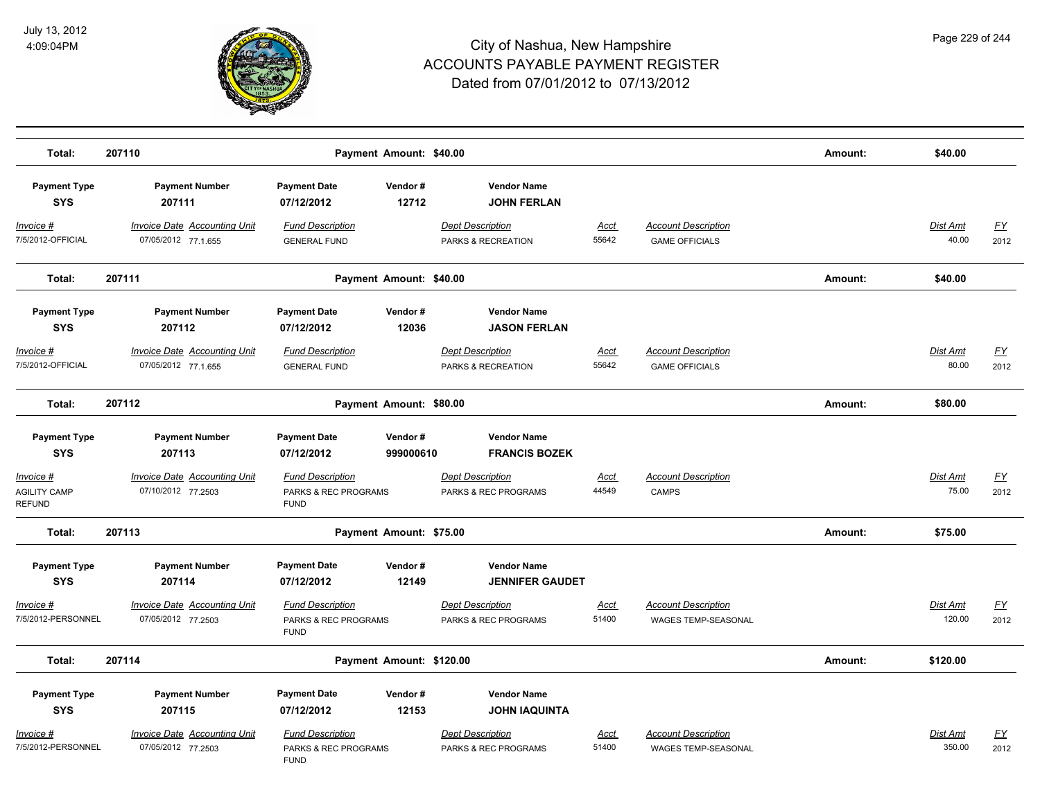

| Total:                                            | 207110                                                     | Payment Amount: \$40.00                                        |                      |                                                 |                      |                                                          |         |                          |                          |  |
|---------------------------------------------------|------------------------------------------------------------|----------------------------------------------------------------|----------------------|-------------------------------------------------|----------------------|----------------------------------------------------------|---------|--------------------------|--------------------------|--|
| <b>Payment Type</b><br><b>SYS</b>                 | <b>Payment Number</b><br>207111                            | <b>Payment Date</b><br>07/12/2012                              | Vendor#<br>12712     | <b>Vendor Name</b><br><b>JOHN FERLAN</b>        |                      |                                                          |         |                          |                          |  |
| Invoice #<br>7/5/2012-OFFICIAL                    | <b>Invoice Date Accounting Unit</b><br>07/05/2012 77.1.655 | <b>Fund Description</b><br><b>GENERAL FUND</b>                 |                      | <b>Dept Description</b><br>PARKS & RECREATION   | <u>Acct</u><br>55642 | <b>Account Description</b><br><b>GAME OFFICIALS</b>      |         | <b>Dist Amt</b><br>40.00 | EY<br>2012               |  |
| Total:                                            | 207111                                                     | Payment Amount: \$40.00                                        |                      |                                                 |                      |                                                          | Amount: | \$40.00                  |                          |  |
| <b>Payment Type</b><br><b>SYS</b>                 | <b>Payment Number</b><br>207112                            | <b>Payment Date</b><br>07/12/2012                              | Vendor#<br>12036     | <b>Vendor Name</b><br><b>JASON FERLAN</b>       |                      |                                                          |         |                          |                          |  |
| Invoice #<br>7/5/2012-OFFICIAL                    | Invoice Date Accounting Unit<br>07/05/2012 77.1.655        | <b>Fund Description</b><br><b>GENERAL FUND</b>                 |                      | <b>Dept Description</b><br>PARKS & RECREATION   | Acct<br>55642        | <b>Account Description</b><br><b>GAME OFFICIALS</b>      |         | Dist Amt<br>80.00        | $\underline{FY}$<br>2012 |  |
| Total:                                            | 207112                                                     | Payment Amount: \$80.00                                        |                      |                                                 |                      |                                                          | Amount: | \$80.00                  |                          |  |
| <b>Payment Type</b><br><b>SYS</b>                 | <b>Payment Number</b><br>207113                            | <b>Payment Date</b><br>07/12/2012                              | Vendor#<br>999000610 | <b>Vendor Name</b><br><b>FRANCIS BOZEK</b>      |                      |                                                          |         |                          |                          |  |
| Invoice #<br><b>AGILITY CAMP</b><br><b>REFUND</b> | Invoice Date Accounting Unit<br>07/10/2012 77.2503         | <b>Fund Description</b><br>PARKS & REC PROGRAMS<br><b>FUND</b> |                      | <b>Dept Description</b><br>PARKS & REC PROGRAMS | Acct<br>44549        | <b>Account Description</b><br><b>CAMPS</b>               |         | Dist Amt<br>75.00        | <u>FY</u><br>2012        |  |
| Total:                                            | 207113                                                     | Payment Amount: \$75.00                                        |                      |                                                 |                      |                                                          | Amount: | \$75.00                  |                          |  |
| <b>Payment Type</b><br><b>SYS</b>                 | <b>Payment Number</b><br>207114                            | <b>Payment Date</b><br>07/12/2012                              | Vendor#<br>12149     | <b>Vendor Name</b><br><b>JENNIFER GAUDET</b>    |                      |                                                          |         |                          |                          |  |
| <u>Invoice #</u><br>7/5/2012-PERSONNEL            | <b>Invoice Date Accounting Unit</b><br>07/05/2012 77.2503  | <b>Fund Description</b><br>PARKS & REC PROGRAMS<br><b>FUND</b> |                      | <b>Dept Description</b><br>PARKS & REC PROGRAMS | <u>Acct</u><br>51400 | <b>Account Description</b><br>WAGES TEMP-SEASONAL        |         | Dist Amt<br>120.00       | EY<br>2012               |  |
| Total:                                            | 207114                                                     | Payment Amount: \$120.00                                       |                      |                                                 |                      |                                                          | Amount: | \$120.00                 |                          |  |
| <b>Payment Type</b><br><b>SYS</b>                 | <b>Payment Number</b><br>207115                            | <b>Payment Date</b><br>07/12/2012                              | Vendor#<br>12153     | <b>Vendor Name</b><br><b>JOHN IAQUINTA</b>      |                      |                                                          |         |                          |                          |  |
| Invoice #<br>7/5/2012-PERSONNEL                   | <b>Invoice Date Accounting Unit</b><br>07/05/2012 77.2503  | <b>Fund Description</b><br>PARKS & REC PROGRAMS<br><b>FUND</b> |                      | Dept Description<br>PARKS & REC PROGRAMS        | <b>Acct</b><br>51400 | <b>Account Description</b><br><b>WAGES TEMP-SEASONAL</b> |         | Dist Amt<br>350.00       | <u>FY</u><br>2012        |  |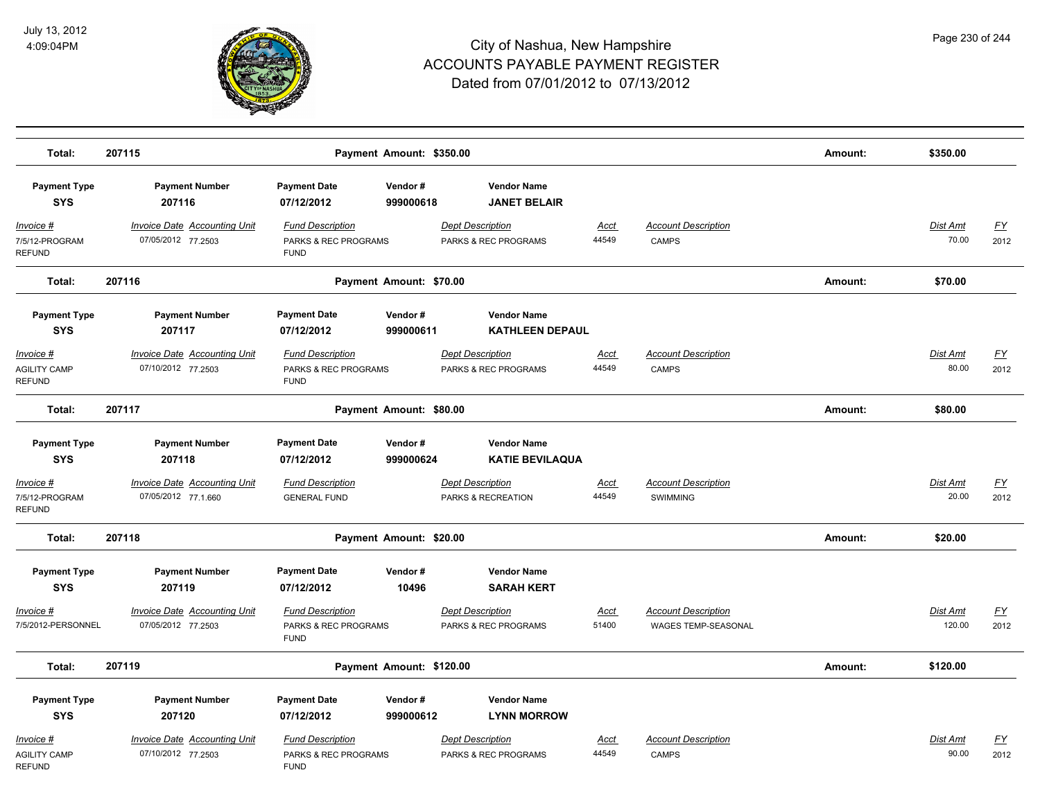

| Total:                                            | 207115                                                     | Payment Amount: \$350.00                                       |                      |                                                 |                      |                                                   | Amount: | \$350.00                 |                          |
|---------------------------------------------------|------------------------------------------------------------|----------------------------------------------------------------|----------------------|-------------------------------------------------|----------------------|---------------------------------------------------|---------|--------------------------|--------------------------|
| <b>Payment Type</b><br><b>SYS</b>                 | <b>Payment Number</b><br>207116                            | <b>Payment Date</b><br>07/12/2012                              | Vendor#<br>999000618 | <b>Vendor Name</b><br><b>JANET BELAIR</b>       |                      |                                                   |         |                          |                          |
| Invoice #<br>7/5/12-PROGRAM<br><b>REFUND</b>      | <b>Invoice Date Accounting Unit</b><br>07/05/2012 77.2503  | <b>Fund Description</b><br>PARKS & REC PROGRAMS<br><b>FUND</b> |                      | <b>Dept Description</b><br>PARKS & REC PROGRAMS | <u>Acct</u><br>44549 | <b>Account Description</b><br><b>CAMPS</b>        |         | <b>Dist Amt</b><br>70.00 | EY<br>2012               |
| Total:                                            | 207116                                                     | Payment Amount: \$70.00                                        |                      |                                                 |                      |                                                   | Amount: | \$70.00                  |                          |
| <b>Payment Type</b><br><b>SYS</b>                 | <b>Payment Number</b><br>207117                            | <b>Payment Date</b><br>07/12/2012                              | Vendor#<br>999000611 | <b>Vendor Name</b><br><b>KATHLEEN DEPAUL</b>    |                      |                                                   |         |                          |                          |
| Invoice #<br><b>AGILITY CAMP</b><br><b>REFUND</b> | <b>Invoice Date Accounting Unit</b><br>07/10/2012 77.2503  | <b>Fund Description</b><br>PARKS & REC PROGRAMS<br><b>FUND</b> |                      | <b>Dept Description</b><br>PARKS & REC PROGRAMS | <u>Acct</u><br>44549 | <b>Account Description</b><br><b>CAMPS</b>        |         | <b>Dist Amt</b><br>80.00 | <u>FY</u><br>2012        |
| Total:                                            | 207117                                                     | Payment Amount: \$80.00                                        |                      |                                                 |                      |                                                   | Amount: | \$80.00                  |                          |
| <b>Payment Type</b><br><b>SYS</b>                 | <b>Payment Number</b><br>207118                            | <b>Payment Date</b><br>07/12/2012                              | Vendor#<br>999000624 | <b>Vendor Name</b><br><b>KATIE BEVILAQUA</b>    |                      |                                                   |         |                          |                          |
| Invoice #<br>7/5/12-PROGRAM<br><b>REFUND</b>      | <b>Invoice Date Accounting Unit</b><br>07/05/2012 77.1.660 | <b>Fund Description</b><br><b>GENERAL FUND</b>                 |                      | <b>Dept Description</b><br>PARKS & RECREATION   | <b>Acct</b><br>44549 | <b>Account Description</b><br><b>SWIMMING</b>     |         | Dist Amt<br>20.00        | EY<br>2012               |
| Total:                                            | 207118                                                     | Payment Amount: \$20.00                                        |                      |                                                 |                      |                                                   | Amount: | \$20.00                  |                          |
| <b>Payment Type</b><br><b>SYS</b>                 | <b>Payment Number</b><br>207119                            | <b>Payment Date</b><br>07/12/2012                              | Vendor#<br>10496     | <b>Vendor Name</b><br><b>SARAH KERT</b>         |                      |                                                   |         |                          |                          |
| Invoice #<br>7/5/2012-PERSONNEL                   | <b>Invoice Date Accounting Unit</b><br>07/05/2012 77.2503  | <b>Fund Description</b><br>PARKS & REC PROGRAMS<br><b>FUND</b> |                      | <b>Dept Description</b><br>PARKS & REC PROGRAMS | <u>Acct</u><br>51400 | <b>Account Description</b><br>WAGES TEMP-SEASONAL |         | Dist Amt<br>120.00       | $\underline{FY}$<br>2012 |
| Total:                                            | 207119                                                     | Payment Amount: \$120.00                                       |                      |                                                 |                      |                                                   | Amount: | \$120.00                 |                          |
| <b>Payment Type</b><br><b>SYS</b>                 | <b>Payment Number</b><br>207120                            | <b>Payment Date</b><br>07/12/2012                              | Vendor#<br>999000612 | <b>Vendor Name</b><br><b>LYNN MORROW</b>        |                      |                                                   |         |                          |                          |
| Invoice #<br><b>AGILITY CAMP</b><br><b>REFUND</b> | <b>Invoice Date Accounting Unit</b><br>07/10/2012 77.2503  | <b>Fund Description</b><br>PARKS & REC PROGRAMS<br><b>FUND</b> |                      | <b>Dept Description</b><br>PARKS & REC PROGRAMS | <u>Acct</u><br>44549 | <b>Account Description</b><br><b>CAMPS</b>        |         | Dist Amt<br>90.00        | <u>FY</u><br>2012        |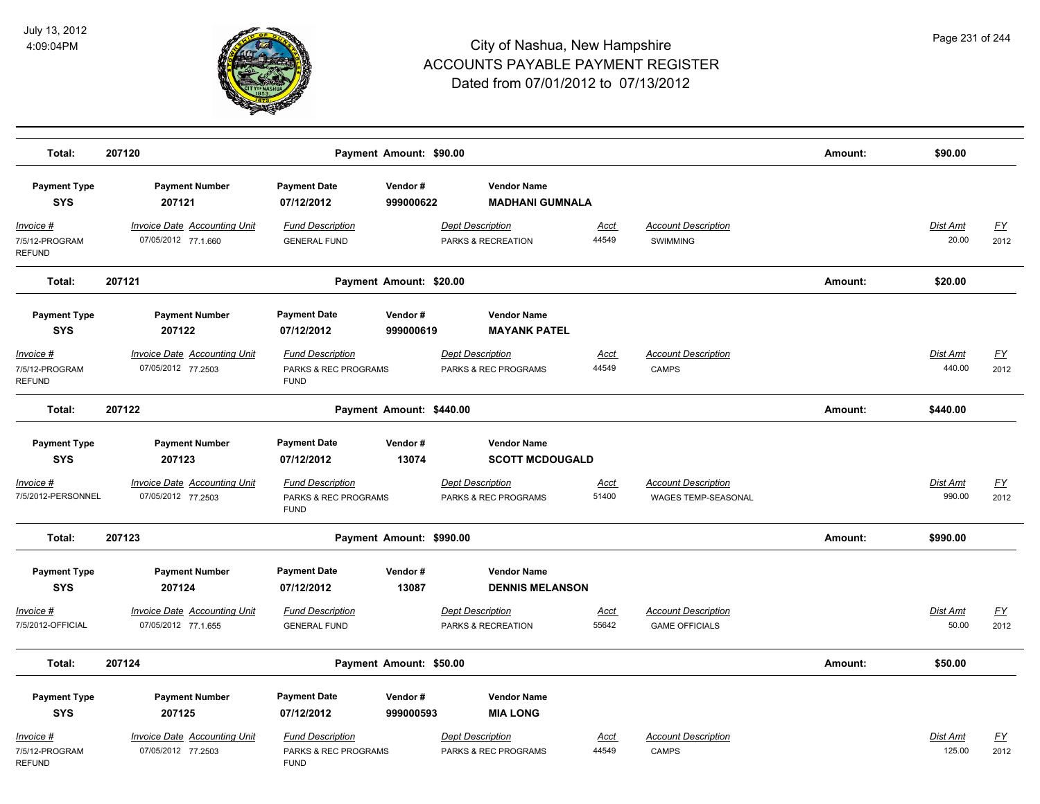

| Total:                                       | 207120                                                     |                                                                | Amount:                  | \$90.00                                         |                      |                                                          |         |                          |                          |
|----------------------------------------------|------------------------------------------------------------|----------------------------------------------------------------|--------------------------|-------------------------------------------------|----------------------|----------------------------------------------------------|---------|--------------------------|--------------------------|
| <b>Payment Type</b><br><b>SYS</b>            | <b>Payment Number</b><br>207121                            | <b>Payment Date</b><br>07/12/2012                              | Vendor#<br>999000622     | <b>Vendor Name</b><br><b>MADHANI GUMNALA</b>    |                      |                                                          |         |                          |                          |
| Invoice #<br>7/5/12-PROGRAM<br><b>REFUND</b> | <b>Invoice Date Accounting Unit</b><br>07/05/2012 77.1.660 | <b>Fund Description</b><br><b>GENERAL FUND</b>                 |                          | <b>Dept Description</b><br>PARKS & RECREATION   | <b>Acct</b><br>44549 | <b>Account Description</b><br><b>SWIMMING</b>            |         | <b>Dist Amt</b><br>20.00 | EY<br>2012               |
| Total:                                       | 207121                                                     |                                                                | Payment Amount: \$20.00  |                                                 |                      |                                                          | Amount: | \$20.00                  |                          |
| <b>Payment Type</b><br><b>SYS</b>            | <b>Payment Number</b><br>207122                            | <b>Payment Date</b><br>07/12/2012                              | Vendor#<br>999000619     | <b>Vendor Name</b><br><b>MAYANK PATEL</b>       |                      |                                                          |         |                          |                          |
| Invoice #<br>7/5/12-PROGRAM<br><b>REFUND</b> | <b>Invoice Date Accounting Unit</b><br>07/05/2012 77.2503  | <b>Fund Description</b><br>PARKS & REC PROGRAMS<br><b>FUND</b> |                          | <b>Dept Description</b><br>PARKS & REC PROGRAMS | Acct<br>44549        | <b>Account Description</b><br><b>CAMPS</b>               |         | Dist Amt<br>440.00       | <u>FY</u><br>2012        |
| Total:                                       | 207122                                                     |                                                                | Payment Amount: \$440.00 |                                                 |                      |                                                          | Amount: | \$440.00                 |                          |
| <b>Payment Type</b><br><b>SYS</b>            | <b>Payment Number</b><br>207123                            | <b>Payment Date</b><br>07/12/2012                              | Vendor#<br>13074         | <b>Vendor Name</b><br><b>SCOTT MCDOUGALD</b>    |                      |                                                          |         |                          |                          |
| Invoice #<br>7/5/2012-PERSONNEL              | <b>Invoice Date Accounting Unit</b><br>07/05/2012 77.2503  | <b>Fund Description</b><br>PARKS & REC PROGRAMS<br><b>FUND</b> |                          | <b>Dept Description</b><br>PARKS & REC PROGRAMS | <u>Acct</u><br>51400 | <b>Account Description</b><br><b>WAGES TEMP-SEASONAL</b> |         | Dist Amt<br>990.00       | EY<br>2012               |
| Total:                                       | 207123                                                     |                                                                | Payment Amount: \$990.00 |                                                 |                      |                                                          | Amount: | \$990.00                 |                          |
| <b>Payment Type</b><br><b>SYS</b>            | <b>Payment Number</b><br>207124                            | <b>Payment Date</b><br>07/12/2012                              | Vendor#<br>13087         | <b>Vendor Name</b><br><b>DENNIS MELANSON</b>    |                      |                                                          |         |                          |                          |
| <u>Invoice #</u><br>7/5/2012-OFFICIAL        | <b>Invoice Date Accounting Unit</b><br>07/05/2012 77.1.655 | <b>Fund Description</b><br><b>GENERAL FUND</b>                 |                          | <b>Dept Description</b><br>PARKS & RECREATION   | <u>Acct</u><br>55642 | <b>Account Description</b><br><b>GAME OFFICIALS</b>      |         | Dist Amt<br>50.00        | $\underline{FY}$<br>2012 |
| Total:                                       | 207124                                                     |                                                                | Payment Amount: \$50.00  |                                                 |                      |                                                          | Amount: | \$50.00                  |                          |
| <b>Payment Type</b><br><b>SYS</b>            | <b>Payment Number</b><br>207125                            | <b>Payment Date</b><br>07/12/2012                              | Vendor#<br>999000593     | <b>Vendor Name</b><br><b>MIA LONG</b>           |                      |                                                          |         |                          |                          |
| Invoice #<br>7/5/12-PROGRAM<br><b>REFUND</b> | Invoice Date Accounting Unit<br>07/05/2012 77.2503         | <b>Fund Description</b><br>PARKS & REC PROGRAMS<br><b>FUND</b> |                          | <b>Dept Description</b><br>PARKS & REC PROGRAMS | Acct<br>44549        | <b>Account Description</b><br><b>CAMPS</b>               |         | Dist Amt<br>125.00       | <u>FY</u><br>2012        |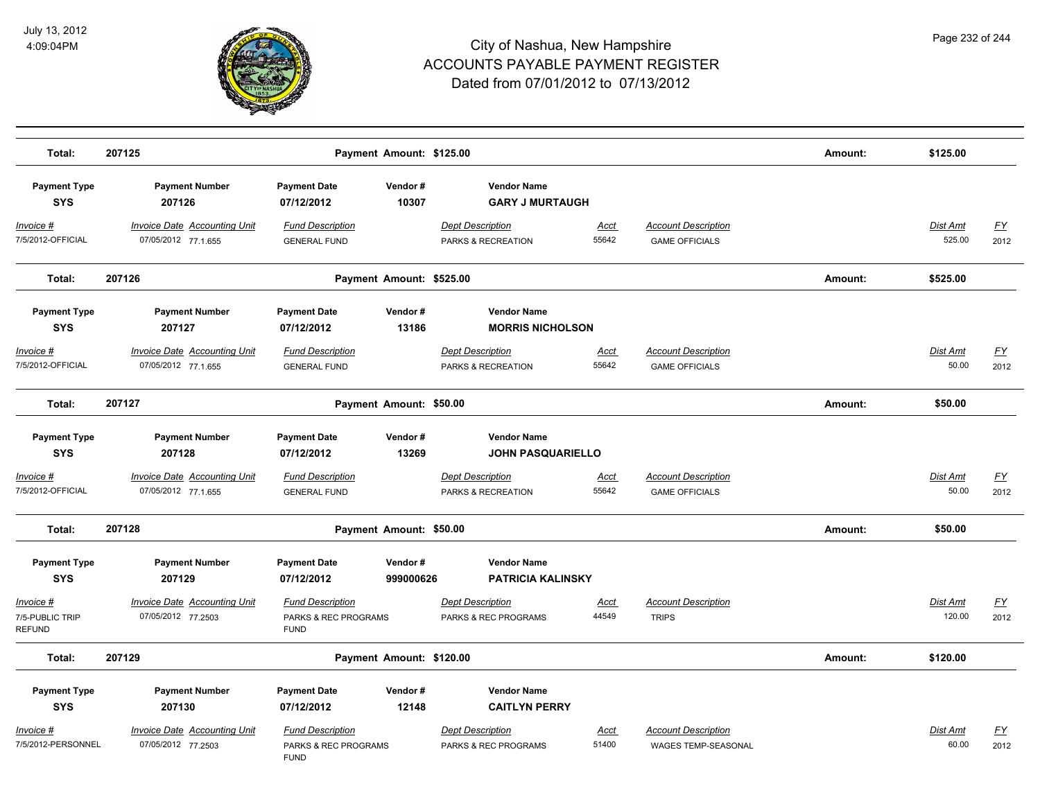

| Total:                                                | 207125                                                     |                                                                | Payment Amount: \$125.00 |                                                 |                      |                                                          | Amount: | \$125.00                  |                          |
|-------------------------------------------------------|------------------------------------------------------------|----------------------------------------------------------------|--------------------------|-------------------------------------------------|----------------------|----------------------------------------------------------|---------|---------------------------|--------------------------|
| <b>Payment Type</b><br><b>SYS</b>                     | <b>Payment Number</b><br>207126                            | <b>Payment Date</b><br>07/12/2012                              | Vendor#<br>10307         | <b>Vendor Name</b><br><b>GARY J MURTAUGH</b>    |                      |                                                          |         |                           |                          |
| Invoice #<br>7/5/2012-OFFICIAL                        | <b>Invoice Date Accounting Unit</b><br>07/05/2012 77.1.655 | <b>Fund Description</b><br><b>GENERAL FUND</b>                 |                          | <b>Dept Description</b><br>PARKS & RECREATION   | Acct<br>55642        | <b>Account Description</b><br><b>GAME OFFICIALS</b>      |         | <b>Dist Amt</b><br>525.00 | <u>FY</u><br>2012        |
| Total:                                                | 207126                                                     |                                                                | Payment Amount: \$525.00 |                                                 |                      |                                                          | Amount: | \$525.00                  |                          |
| <b>Payment Type</b><br><b>SYS</b>                     | <b>Payment Number</b><br>207127                            | <b>Payment Date</b><br>07/12/2012                              | Vendor#<br>13186         | <b>Vendor Name</b><br><b>MORRIS NICHOLSON</b>   |                      |                                                          |         |                           |                          |
| <u> Invoice #</u><br>7/5/2012-OFFICIAL                | <b>Invoice Date Accounting Unit</b><br>07/05/2012 77.1.655 | <b>Fund Description</b><br><b>GENERAL FUND</b>                 |                          | <b>Dept Description</b><br>PARKS & RECREATION   | <u>Acct</u><br>55642 | <b>Account Description</b><br><b>GAME OFFICIALS</b>      |         | Dist Amt<br>50.00         | <u>FY</u><br>2012        |
| Total:                                                | 207127                                                     |                                                                | Payment Amount: \$50.00  |                                                 |                      |                                                          | Amount: | \$50.00                   |                          |
| <b>Payment Type</b><br><b>SYS</b>                     | <b>Payment Number</b><br>207128                            | <b>Payment Date</b><br>07/12/2012                              | Vendor#<br>13269         | <b>Vendor Name</b><br><b>JOHN PASQUARIELLO</b>  |                      |                                                          |         |                           |                          |
| Invoice #<br>7/5/2012-OFFICIAL                        | <b>Invoice Date Accounting Unit</b><br>07/05/2012 77.1.655 | <b>Fund Description</b><br><b>GENERAL FUND</b>                 |                          | <b>Dept Description</b><br>PARKS & RECREATION   | Acct<br>55642        | <b>Account Description</b><br><b>GAME OFFICIALS</b>      |         | Dist Amt<br>50.00         | EY<br>2012               |
| Total:                                                | 207128                                                     |                                                                | Payment Amount: \$50.00  |                                                 |                      |                                                          | Amount: | \$50.00                   |                          |
| <b>Payment Type</b><br><b>SYS</b>                     | <b>Payment Number</b><br>207129                            | <b>Payment Date</b><br>07/12/2012                              | Vendor#<br>999000626     | <b>Vendor Name</b><br><b>PATRICIA KALINSKY</b>  |                      |                                                          |         |                           |                          |
| <u> Invoice #</u><br>7/5-PUBLIC TRIP<br><b>REFUND</b> | <b>Invoice Date Accounting Unit</b><br>07/05/2012 77.2503  | <b>Fund Description</b><br>PARKS & REC PROGRAMS<br><b>FUND</b> |                          | <b>Dept Description</b><br>PARKS & REC PROGRAMS | <u>Acct</u><br>44549 | <b>Account Description</b><br><b>TRIPS</b>               |         | <b>Dist Amt</b><br>120.00 | $\underline{FY}$<br>2012 |
| Total:                                                | 207129                                                     |                                                                | Payment Amount: \$120.00 |                                                 |                      |                                                          | Amount: | \$120.00                  |                          |
| <b>Payment Type</b><br><b>SYS</b>                     | <b>Payment Number</b><br>207130                            | <b>Payment Date</b><br>07/12/2012                              | Vendor#<br>12148         | <b>Vendor Name</b><br><b>CAITLYN PERRY</b>      |                      |                                                          |         |                           |                          |
| Invoice #<br>7/5/2012-PERSONNEL                       | <b>Invoice Date Accounting Unit</b><br>07/05/2012 77.2503  | <b>Fund Description</b><br>PARKS & REC PROGRAMS<br><b>FUND</b> |                          | <b>Dept Description</b><br>PARKS & REC PROGRAMS | Acct<br>51400        | <b>Account Description</b><br><b>WAGES TEMP-SEASONAL</b> |         | Dist Amt<br>60.00         | <u>FY</u><br>2012        |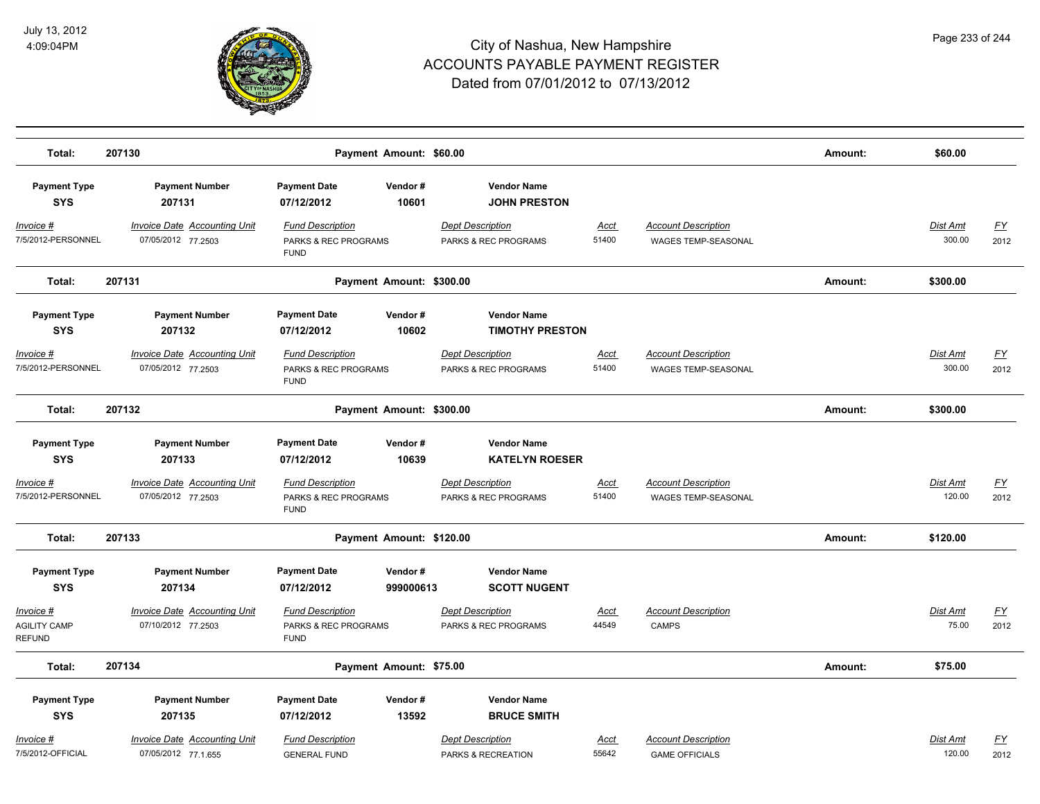

| Total:                                     | 207130                                                     | Payment Amount: \$60.00                                        |                                                 |                      |                                                          | Amount: | \$60.00                   |                   |
|--------------------------------------------|------------------------------------------------------------|----------------------------------------------------------------|-------------------------------------------------|----------------------|----------------------------------------------------------|---------|---------------------------|-------------------|
| <b>Payment Type</b><br><b>SYS</b>          | <b>Payment Number</b><br>207131                            | <b>Payment Date</b><br>Vendor#<br>10601<br>07/12/2012          | <b>Vendor Name</b><br><b>JOHN PRESTON</b>       |                      |                                                          |         |                           |                   |
| Invoice #<br>7/5/2012-PERSONNEL            | <b>Invoice Date Accounting Unit</b><br>07/05/2012 77.2503  | <b>Fund Description</b><br>PARKS & REC PROGRAMS<br><b>FUND</b> | <b>Dept Description</b><br>PARKS & REC PROGRAMS | Acct<br>51400        | <b>Account Description</b><br>WAGES TEMP-SEASONAL        |         | <b>Dist Amt</b><br>300.00 | <u>FY</u><br>2012 |
| Total:                                     | 207131                                                     | Payment Amount: \$300.00                                       |                                                 |                      |                                                          | Amount: | \$300.00                  |                   |
| <b>Payment Type</b><br><b>SYS</b>          | <b>Payment Number</b><br>207132                            | <b>Payment Date</b><br>Vendor#<br>07/12/2012<br>10602          | <b>Vendor Name</b><br><b>TIMOTHY PRESTON</b>    |                      |                                                          |         |                           |                   |
| Invoice #<br>7/5/2012-PERSONNEL            | <b>Invoice Date Accounting Unit</b><br>07/05/2012 77.2503  | <b>Fund Description</b><br>PARKS & REC PROGRAMS<br><b>FUND</b> | <b>Dept Description</b><br>PARKS & REC PROGRAMS | <u>Acct</u><br>51400 | <b>Account Description</b><br><b>WAGES TEMP-SEASONAL</b> |         | <b>Dist Amt</b><br>300.00 | <u>FY</u><br>2012 |
| Total:                                     | 207132                                                     | Payment Amount: \$300.00                                       |                                                 |                      |                                                          | Amount: | \$300.00                  |                   |
| <b>Payment Type</b><br><b>SYS</b>          | <b>Payment Number</b><br>207133                            | <b>Payment Date</b><br>Vendor#<br>07/12/2012<br>10639          | <b>Vendor Name</b><br><b>KATELYN ROESER</b>     |                      |                                                          |         |                           |                   |
| <u> Invoice #</u><br>7/5/2012-PERSONNEL    | <b>Invoice Date Accounting Unit</b><br>07/05/2012 77.2503  | <b>Fund Description</b><br>PARKS & REC PROGRAMS<br><b>FUND</b> | <b>Dept Description</b><br>PARKS & REC PROGRAMS | <u>Acct</u><br>51400 | <b>Account Description</b><br><b>WAGES TEMP-SEASONAL</b> |         | Dist Amt<br>120.00        | <u>FY</u><br>2012 |
| Total:                                     | 207133                                                     | Payment Amount: \$120.00                                       |                                                 |                      |                                                          | Amount: | \$120.00                  |                   |
| <b>Payment Type</b><br><b>SYS</b>          | <b>Payment Number</b><br>207134                            | <b>Payment Date</b><br>Vendor#<br>07/12/2012<br>999000613      | <b>Vendor Name</b><br><b>SCOTT NUGENT</b>       |                      |                                                          |         |                           |                   |
| Invoice #<br><b>AGILITY CAMP</b><br>REFUND | <b>Invoice Date Accounting Unit</b><br>07/10/2012 77.2503  | <b>Fund Description</b><br>PARKS & REC PROGRAMS<br><b>FUND</b> | <b>Dept Description</b><br>PARKS & REC PROGRAMS | <u>Acct</u><br>44549 | <b>Account Description</b><br><b>CAMPS</b>               |         | Dist Amt<br>75.00         | <u>FY</u><br>2012 |
| Total:                                     | 207134                                                     | Payment Amount: \$75.00                                        |                                                 |                      |                                                          | Amount: | \$75.00                   |                   |
| <b>Payment Type</b><br><b>SYS</b>          | <b>Payment Number</b><br>207135                            | <b>Payment Date</b><br>Vendor#<br>13592<br>07/12/2012          | <b>Vendor Name</b><br><b>BRUCE SMITH</b>        |                      |                                                          |         |                           |                   |
| Invoice #<br>7/5/2012-OFFICIAL             | <b>Invoice Date Accounting Unit</b><br>07/05/2012 77.1.655 | <b>Fund Description</b><br><b>GENERAL FUND</b>                 | <b>Dept Description</b><br>PARKS & RECREATION   | Acct<br>55642        | <b>Account Description</b><br><b>GAME OFFICIALS</b>      |         | Dist Amt<br>120.00        | <u>FY</u><br>2012 |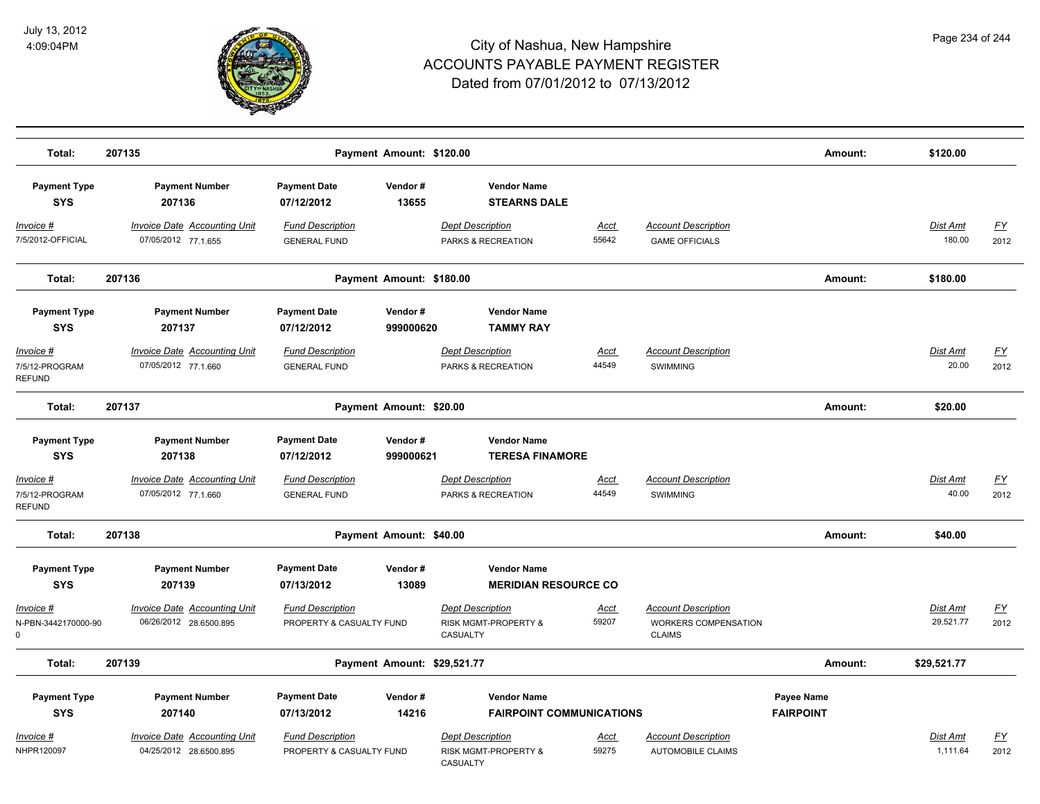

| Total:                                       | 207135                                                        | Payment Amount: \$120.00                            |                      |                                                                    |                      |                                                                            | Amount:                        | \$120.00                  |                   |
|----------------------------------------------|---------------------------------------------------------------|-----------------------------------------------------|----------------------|--------------------------------------------------------------------|----------------------|----------------------------------------------------------------------------|--------------------------------|---------------------------|-------------------|
| <b>Payment Type</b><br><b>SYS</b>            | <b>Payment Number</b><br>207136                               | <b>Payment Date</b><br>07/12/2012                   | Vendor#<br>13655     | <b>Vendor Name</b><br><b>STEARNS DALE</b>                          |                      |                                                                            |                                |                           |                   |
| Invoice #<br>7/5/2012-OFFICIAL               | <b>Invoice Date Accounting Unit</b><br>07/05/2012 77.1.655    | <b>Fund Description</b><br><b>GENERAL FUND</b>      |                      | <b>Dept Description</b><br>PARKS & RECREATION                      | <b>Acct</b><br>55642 | <b>Account Description</b><br><b>GAME OFFICIALS</b>                        |                                | <b>Dist Amt</b><br>180.00 | <u>FY</u><br>2012 |
| Total:                                       | 207136                                                        | Payment Amount: \$180.00                            |                      |                                                                    |                      |                                                                            | Amount:                        | \$180.00                  |                   |
| <b>Payment Type</b><br><b>SYS</b>            | <b>Payment Number</b><br>207137                               | <b>Payment Date</b><br>07/12/2012                   | Vendor#<br>999000620 | <b>Vendor Name</b><br><b>TAMMY RAY</b>                             |                      |                                                                            |                                |                           |                   |
| Invoice #<br>7/5/12-PROGRAM<br><b>REFUND</b> | <b>Invoice Date Accounting Unit</b><br>07/05/2012 77.1.660    | <b>Fund Description</b><br><b>GENERAL FUND</b>      |                      | <b>Dept Description</b><br>PARKS & RECREATION                      | <u>Acct</u><br>44549 | <b>Account Description</b><br><b>SWIMMING</b>                              |                                | Dist Amt<br>20.00         | <u>FY</u><br>2012 |
| Total:                                       | 207137                                                        | Payment Amount: \$20.00                             |                      |                                                                    |                      |                                                                            | Amount:                        | \$20.00                   |                   |
| <b>Payment Type</b><br><b>SYS</b>            | <b>Payment Number</b><br>207138                               | <b>Payment Date</b><br>07/12/2012                   | Vendor#<br>999000621 | <b>Vendor Name</b><br><b>TERESA FINAMORE</b>                       |                      |                                                                            |                                |                           |                   |
| Invoice #<br>7/5/12-PROGRAM<br><b>REFUND</b> | <b>Invoice Date Accounting Unit</b><br>07/05/2012 77.1.660    | <b>Fund Description</b><br><b>GENERAL FUND</b>      |                      | <b>Dept Description</b><br>PARKS & RECREATION                      | <b>Acct</b><br>44549 | <b>Account Description</b><br><b>SWIMMING</b>                              |                                | Dist Amt<br>40.00         | <u>FY</u><br>2012 |
| Total:                                       | 207138                                                        | Payment Amount: \$40.00                             |                      |                                                                    |                      |                                                                            | Amount:                        | \$40.00                   |                   |
| <b>Payment Type</b><br><b>SYS</b>            | <b>Payment Number</b><br>207139                               | <b>Payment Date</b><br>07/13/2012                   | Vendor#<br>13089     | <b>Vendor Name</b><br><b>MERIDIAN RESOURCE CO</b>                  |                      |                                                                            |                                |                           |                   |
| Invoice #<br>N-PBN-3442170000-90<br>$\Omega$ | <b>Invoice Date Accounting Unit</b><br>06/26/2012 28.6500.895 | <b>Fund Description</b><br>PROPERTY & CASUALTY FUND |                      | <b>Dept Description</b><br>RISK MGMT-PROPERTY &<br><b>CASUALTY</b> | Acct<br>59207        | <b>Account Description</b><br><b>WORKERS COMPENSATION</b><br><b>CLAIMS</b> |                                | Dist Amt<br>29,521.77     | EY<br>2012        |
| Total:                                       | 207139                                                        | Payment Amount: \$29,521.77                         |                      |                                                                    |                      |                                                                            | Amount:                        | \$29,521.77               |                   |
| <b>Payment Type</b><br><b>SYS</b>            | <b>Payment Number</b><br>207140                               | <b>Payment Date</b><br>07/13/2012                   | Vendor#<br>14216     | <b>Vendor Name</b><br><b>FAIRPOINT COMMUNICATIONS</b>              |                      |                                                                            | Payee Name<br><b>FAIRPOINT</b> |                           |                   |
| Invoice #<br>NHPR120097                      | <b>Invoice Date Accounting Unit</b><br>04/25/2012 28.6500.895 | <b>Fund Description</b><br>PROPERTY & CASUALTY FUND |                      | <b>Dept Description</b><br>RISK MGMT-PROPERTY &<br><b>CASUALTY</b> | <u>Acct</u><br>59275 | <b>Account Description</b><br><b>AUTOMOBILE CLAIMS</b>                     |                                | Dist Amt<br>1,111.64      | <u>FY</u><br>2012 |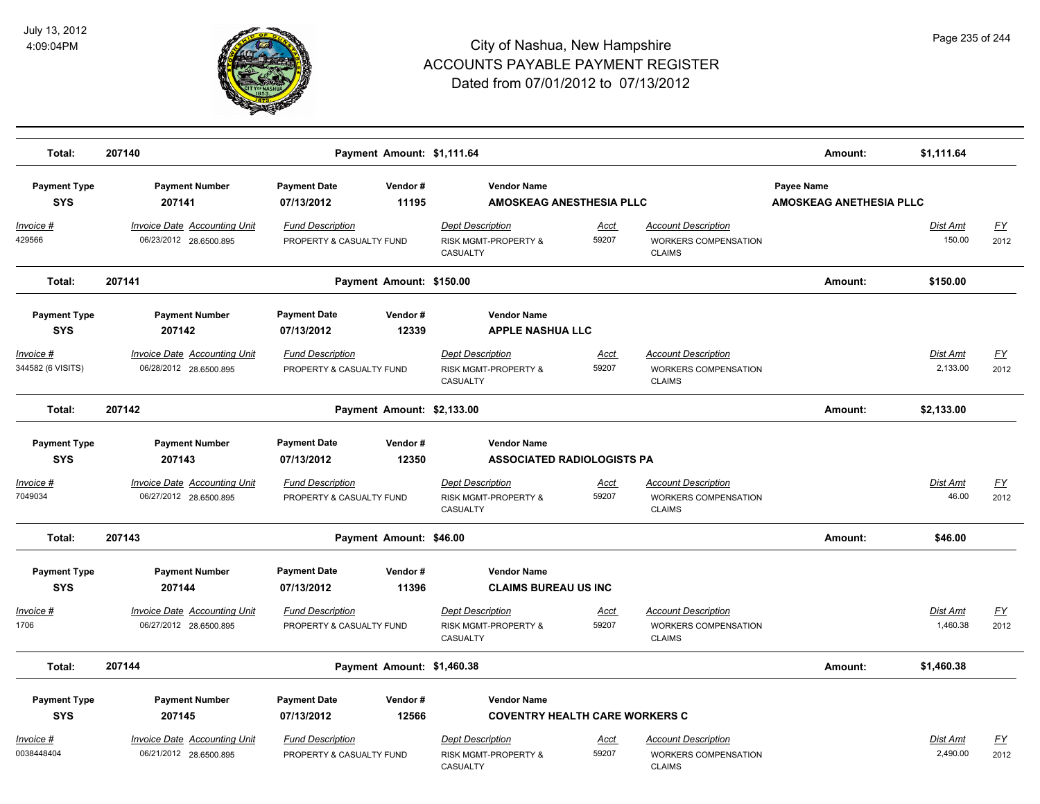

| Total:                            | 207140                                                        |                                                     | Payment Amount: \$1,111.64 |                                                                               |                      |                                                                            | Amount:                                      | \$1,111.64           |                          |
|-----------------------------------|---------------------------------------------------------------|-----------------------------------------------------|----------------------------|-------------------------------------------------------------------------------|----------------------|----------------------------------------------------------------------------|----------------------------------------------|----------------------|--------------------------|
| <b>Payment Type</b><br><b>SYS</b> | <b>Payment Number</b><br>207141                               | <b>Payment Date</b><br>07/13/2012                   | Vendor#<br>11195           | <b>Vendor Name</b><br><b>AMOSKEAG ANESTHESIA PLLC</b>                         |                      |                                                                            | Payee Name<br><b>AMOSKEAG ANETHESIA PLLC</b> |                      |                          |
| Invoice #<br>429566               | <b>Invoice Date Accounting Unit</b><br>06/23/2012 28.6500.895 | <b>Fund Description</b><br>PROPERTY & CASUALTY FUND |                            | <b>Dept Description</b><br>RISK MGMT-PROPERTY &<br><b>CASUALTY</b>            | Acct<br>59207        | <b>Account Description</b><br><b>WORKERS COMPENSATION</b><br><b>CLAIMS</b> |                                              | Dist Amt<br>150.00   | <u>FY</u><br>2012        |
| Total:                            | 207141                                                        |                                                     | Payment Amount: \$150.00   |                                                                               |                      |                                                                            | Amount:                                      | \$150.00             |                          |
| <b>Payment Type</b><br><b>SYS</b> | <b>Payment Number</b><br>207142                               | <b>Payment Date</b><br>07/13/2012                   | Vendor#<br>12339           | <b>Vendor Name</b><br><b>APPLE NASHUA LLC</b>                                 |                      |                                                                            |                                              |                      |                          |
| Invoice #<br>344582 (6 VISITS)    | Invoice Date Accounting Unit<br>06/28/2012 28.6500.895        | <b>Fund Description</b><br>PROPERTY & CASUALTY FUND |                            | <b>Dept Description</b><br>RISK MGMT-PROPERTY &<br><b>CASUALTY</b>            | Acct<br>59207        | <b>Account Description</b><br><b>WORKERS COMPENSATION</b><br><b>CLAIMS</b> |                                              | Dist Amt<br>2,133.00 | FY<br>2012               |
| Total:                            | 207142                                                        |                                                     | Payment Amount: \$2,133.00 |                                                                               |                      |                                                                            | Amount:                                      | \$2,133.00           |                          |
| <b>Payment Type</b><br><b>SYS</b> | <b>Payment Number</b><br>207143                               | <b>Payment Date</b><br>07/13/2012                   | Vendor#<br>12350           | <b>Vendor Name</b><br><b>ASSOCIATED RADIOLOGISTS PA</b>                       |                      |                                                                            |                                              |                      |                          |
| Invoice #<br>7049034              | <b>Invoice Date Accounting Unit</b><br>06/27/2012 28.6500.895 | <b>Fund Description</b><br>PROPERTY & CASUALTY FUND |                            | <b>Dept Description</b><br>RISK MGMT-PROPERTY &<br>CASUALTY                   | Acct<br>59207        | <b>Account Description</b><br>WORKERS COMPENSATION<br><b>CLAIMS</b>        |                                              | Dist Amt<br>46.00    | <u>FY</u><br>2012        |
| Total:                            | 207143                                                        |                                                     | Payment Amount: \$46.00    |                                                                               |                      |                                                                            | Amount:                                      | \$46.00              |                          |
| <b>Payment Type</b><br><b>SYS</b> | <b>Payment Number</b><br>207144                               | <b>Payment Date</b><br>07/13/2012                   | Vendor#<br>11396           | <b>Vendor Name</b><br><b>CLAIMS BUREAU US INC</b>                             |                      |                                                                            |                                              |                      |                          |
| Invoice #<br>1706                 | <b>Invoice Date Accounting Unit</b><br>06/27/2012 28.6500.895 | <b>Fund Description</b><br>PROPERTY & CASUALTY FUND |                            | <b>Dept Description</b><br>RISK MGMT-PROPERTY &<br><b>CASUALTY</b>            | <u>Acct</u><br>59207 | <b>Account Description</b><br>WORKERS COMPENSATION<br><b>CLAIMS</b>        |                                              | Dist Amt<br>1,460.38 | $\underline{FY}$<br>2012 |
| Total:                            | 207144                                                        |                                                     | Payment Amount: \$1,460.38 |                                                                               |                      |                                                                            | Amount:                                      | \$1,460.38           |                          |
| <b>Payment Type</b><br><b>SYS</b> | <b>Payment Number</b><br>207145                               | <b>Payment Date</b><br>07/13/2012                   | Vendor#<br>12566           | <b>Vendor Name</b><br><b>COVENTRY HEALTH CARE WORKERS C</b>                   |                      |                                                                            |                                              |                      |                          |
| Invoice #<br>0038448404           | <b>Invoice Date Accounting Unit</b><br>06/21/2012 28.6500.895 | <b>Fund Description</b><br>PROPERTY & CASUALTY FUND |                            | <b>Dept Description</b><br><b>RISK MGMT-PROPERTY &amp;</b><br><b>CASUALTY</b> | <u>Acct</u><br>59207 | <b>Account Description</b><br><b>WORKERS COMPENSATION</b><br><b>CLAIMS</b> |                                              | Dist Amt<br>2,490.00 | <u>FY</u><br>2012        |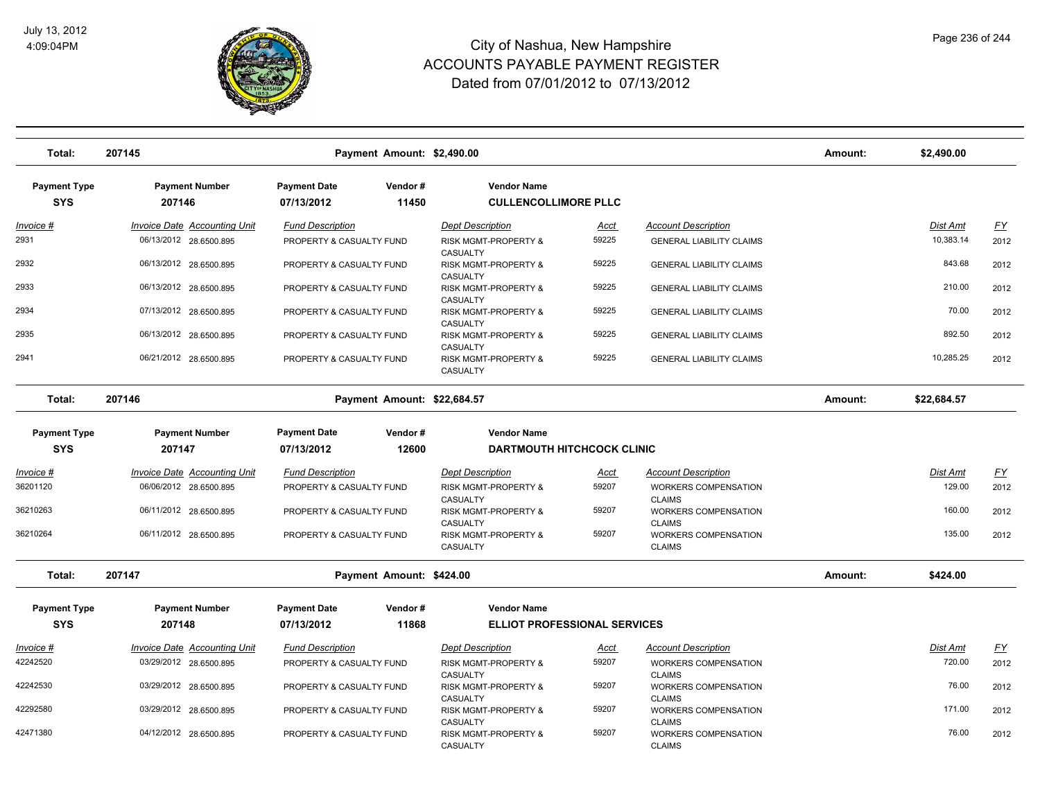

| Total:              | 207145                              |                          | Payment Amount: \$2,490.00  |                                             |             |                                              | Amount: | \$2,490.00      |           |
|---------------------|-------------------------------------|--------------------------|-----------------------------|---------------------------------------------|-------------|----------------------------------------------|---------|-----------------|-----------|
| <b>Payment Type</b> | <b>Payment Number</b>               | <b>Payment Date</b>      | Vendor#                     | <b>Vendor Name</b>                          |             |                                              |         |                 |           |
| <b>SYS</b>          | 207146                              | 07/13/2012               | 11450                       | <b>CULLENCOLLIMORE PLLC</b>                 |             |                                              |         |                 |           |
| <u> Invoice #</u>   | <b>Invoice Date Accounting Unit</b> | <b>Fund Description</b>  |                             | <b>Dept Description</b>                     | <u>Acct</u> | <b>Account Description</b>                   |         | Dist Amt        | <u>FY</u> |
| 2931                | 06/13/2012 28.6500.895              | PROPERTY & CASUALTY FUND |                             | RISK MGMT-PROPERTY &<br>CASUALTY            | 59225       | <b>GENERAL LIABILITY CLAIMS</b>              |         | 10,383.14       | 2012      |
| 2932                | 06/13/2012 28.6500.895              | PROPERTY & CASUALTY FUND |                             | <b>RISK MGMT-PROPERTY &amp;</b><br>CASUALTY | 59225       | <b>GENERAL LIABILITY CLAIMS</b>              |         | 843.68          | 2012      |
| 2933                | 06/13/2012 28.6500.895              | PROPERTY & CASUALTY FUND |                             | RISK MGMT-PROPERTY &<br><b>CASUALTY</b>     | 59225       | <b>GENERAL LIABILITY CLAIMS</b>              |         | 210.00          | 2012      |
| 2934                | 07/13/2012 28.6500.895              | PROPERTY & CASUALTY FUND |                             | RISK MGMT-PROPERTY &<br>CASUALTY            | 59225       | <b>GENERAL LIABILITY CLAIMS</b>              |         | 70.00           | 2012      |
| 2935                | 06/13/2012 28.6500.895              | PROPERTY & CASUALTY FUND |                             | RISK MGMT-PROPERTY &<br>CASUALTY            | 59225       | <b>GENERAL LIABILITY CLAIMS</b>              |         | 892.50          | 2012      |
| 2941                | 06/21/2012 28.6500.895              | PROPERTY & CASUALTY FUND |                             | RISK MGMT-PROPERTY &<br>CASUALTY            | 59225       | <b>GENERAL LIABILITY CLAIMS</b>              |         | 10,285.25       | 2012      |
| Total:              | 207146                              |                          | Payment Amount: \$22,684.57 |                                             |             |                                              | Amount: | \$22,684.57     |           |
| <b>Payment Type</b> | <b>Payment Number</b>               | <b>Payment Date</b>      | Vendor#                     | <b>Vendor Name</b>                          |             |                                              |         |                 |           |
| <b>SYS</b>          | 207147                              | 07/13/2012               | 12600                       | <b>DARTMOUTH HITCHCOCK CLINIC</b>           |             |                                              |         |                 |           |
| Invoice #           | <b>Invoice Date Accounting Unit</b> | <b>Fund Description</b>  |                             | <b>Dept Description</b>                     | <u>Acct</u> | <b>Account Description</b>                   |         | <u>Dist Amt</u> | <u>FY</u> |
| 36201120            | 06/06/2012 28.6500.895              | PROPERTY & CASUALTY FUND |                             | RISK MGMT-PROPERTY &                        | 59207       | WORKERS COMPENSATION                         |         | 129.00          | 2012      |
| 36210263            | 06/11/2012 28.6500.895              | PROPERTY & CASUALTY FUND |                             | CASUALTY<br>RISK MGMT-PROPERTY &            | 59207       | <b>CLAIMS</b><br>WORKERS COMPENSATION        |         | 160.00          | 2012      |
| 36210264            | 06/11/2012 28.6500.895              | PROPERTY & CASUALTY FUND |                             | CASUALTY<br>RISK MGMT-PROPERTY &            | 59207       | <b>CLAIMS</b><br>WORKERS COMPENSATION        |         | 135.00          | 2012      |
|                     |                                     |                          |                             | CASUALTY                                    |             | <b>CLAIMS</b>                                |         |                 |           |
| Total:              | 207147                              |                          | Payment Amount: \$424.00    |                                             |             |                                              | Amount: | \$424.00        |           |
| <b>Payment Type</b> | <b>Payment Number</b>               | <b>Payment Date</b>      | Vendor#                     | <b>Vendor Name</b>                          |             |                                              |         |                 |           |
| <b>SYS</b>          | 207148                              | 07/13/2012               | 11868                       | <b>ELLIOT PROFESSIONAL SERVICES</b>         |             |                                              |         |                 |           |
| Invoice #           | <b>Invoice Date Accounting Unit</b> | <b>Fund Description</b>  |                             | <b>Dept Description</b>                     | Acct        | <b>Account Description</b>                   |         | Dist Amt        | <u>FY</u> |
| 42242520            | 03/29/2012 28.6500.895              | PROPERTY & CASUALTY FUND |                             | RISK MGMT-PROPERTY &                        | 59207       | WORKERS COMPENSATION                         |         | 720.00          | 2012      |
|                     |                                     |                          |                             | CASUALTY                                    |             | <b>CLAIMS</b>                                |         |                 |           |
| 42242530            | 03/29/2012 28.6500.895              | PROPERTY & CASUALTY FUND |                             | RISK MGMT-PROPERTY &<br>CASUALTY            | 59207       | <b>WORKERS COMPENSATION</b><br><b>CLAIMS</b> |         | 76.00           | 2012      |
| 42292580            | 03/29/2012 28.6500.895              | PROPERTY & CASUALTY FUND |                             | RISK MGMT-PROPERTY &<br>CASUALTY            | 59207       | WORKERS COMPENSATION<br><b>CLAIMS</b>        |         | 171.00          | 2012      |
| 42471380            | 04/12/2012 28.6500.895              | PROPERTY & CASUALTY FUND |                             | RISK MGMT-PROPERTY &<br><b>CASUALTY</b>     | 59207       | <b>WORKERS COMPENSATION</b><br><b>CLAIMS</b> |         | 76.00           | 2012      |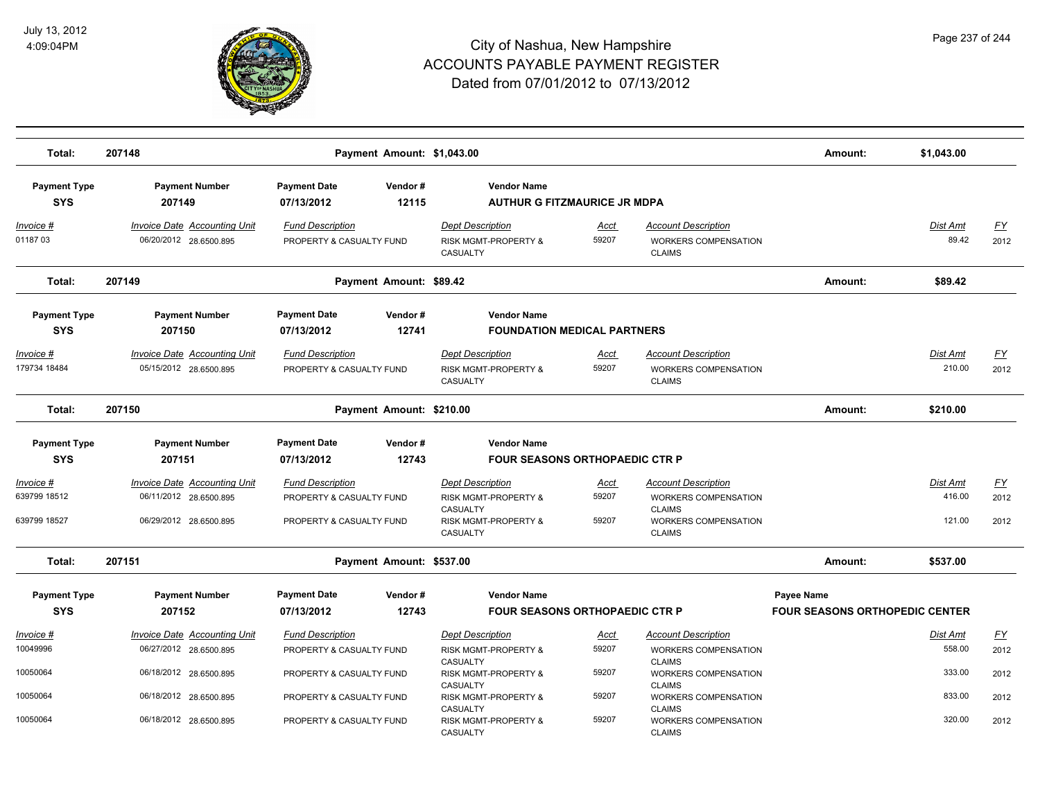

| Total:                            | 207148                                                        |                                                     | Payment Amount: \$1,043.00 |                                                                        |                                       |                                                                     | Amount:                                             | \$1,043.00               |                   |
|-----------------------------------|---------------------------------------------------------------|-----------------------------------------------------|----------------------------|------------------------------------------------------------------------|---------------------------------------|---------------------------------------------------------------------|-----------------------------------------------------|--------------------------|-------------------|
| <b>Payment Type</b><br><b>SYS</b> | <b>Payment Number</b><br>207149                               | <b>Payment Date</b><br>07/13/2012                   | Vendor#<br>12115           | <b>Vendor Name</b>                                                     | <b>AUTHUR G FITZMAURICE JR MDPA</b>   |                                                                     |                                                     |                          |                   |
| <u> Invoice #</u><br>0118703      | <b>Invoice Date Accounting Unit</b><br>06/20/2012 28.6500.895 | <b>Fund Description</b><br>PROPERTY & CASUALTY FUND |                            | <b>Dept Description</b><br><b>RISK MGMT-PROPERTY &amp;</b><br>CASUALTY | <u>Acct</u><br>59207                  | <b>Account Description</b><br>WORKERS COMPENSATION<br><b>CLAIMS</b> |                                                     | <b>Dist Amt</b><br>89.42 | <u>FY</u><br>2012 |
| Total:                            | 207149                                                        |                                                     | Payment Amount: \$89.42    |                                                                        |                                       |                                                                     | Amount:                                             | \$89.42                  |                   |
| <b>Payment Type</b>               | <b>Payment Number</b>                                         | <b>Payment Date</b>                                 | Vendor#                    | <b>Vendor Name</b>                                                     |                                       |                                                                     |                                                     |                          |                   |
| <b>SYS</b>                        | 207150                                                        | 07/13/2012                                          | 12741                      |                                                                        | <b>FOUNDATION MEDICAL PARTNERS</b>    |                                                                     |                                                     |                          |                   |
| Invoice #<br>179734 18484         | <b>Invoice Date Accounting Unit</b><br>05/15/2012 28.6500.895 | <b>Fund Description</b><br>PROPERTY & CASUALTY FUND |                            | <b>Dept Description</b><br><b>RISK MGMT-PROPERTY &amp;</b><br>CASUALTY | <u>Acct</u><br>59207                  | <b>Account Description</b><br>WORKERS COMPENSATION<br><b>CLAIMS</b> |                                                     | Dist Amt<br>210.00       | <u>FY</u><br>2012 |
| Total:                            | 207150                                                        |                                                     | Payment Amount: \$210.00   |                                                                        |                                       |                                                                     | Amount:                                             | \$210.00                 |                   |
| <b>Payment Type</b>               | <b>Payment Number</b>                                         | <b>Payment Date</b>                                 | Vendor#                    | <b>Vendor Name</b>                                                     |                                       |                                                                     |                                                     |                          |                   |
| <b>SYS</b>                        | 207151                                                        | 07/13/2012                                          | 12743                      |                                                                        | <b>FOUR SEASONS ORTHOPAEDIC CTR P</b> |                                                                     |                                                     |                          |                   |
| Invoice #<br>639799 18512         | <b>Invoice Date Accounting Unit</b><br>06/11/2012 28.6500.895 | <b>Fund Description</b><br>PROPERTY & CASUALTY FUND |                            | <b>Dept Description</b><br><b>RISK MGMT-PROPERTY &amp;</b><br>CASUALTY | <u>Acct</u><br>59207                  | <b>Account Description</b><br>WORKERS COMPENSATION<br><b>CLAIMS</b> |                                                     | Dist Amt<br>416.00       | EY<br>2012        |
| 639799 18527                      | 06/29/2012 28.6500.895                                        | PROPERTY & CASUALTY FUND                            |                            | <b>RISK MGMT-PROPERTY &amp;</b><br>CASUALTY                            | 59207                                 | WORKERS COMPENSATION<br><b>CLAIMS</b>                               |                                                     | 121.00                   | 2012              |
| Total:                            | 207151                                                        |                                                     | Payment Amount: \$537.00   |                                                                        |                                       |                                                                     | Amount:                                             | \$537.00                 |                   |
| <b>Payment Type</b><br><b>SYS</b> | <b>Payment Number</b><br>207152                               | <b>Payment Date</b><br>07/13/2012                   | Vendor#<br>12743           | <b>Vendor Name</b>                                                     | <b>FOUR SEASONS ORTHOPAEDIC CTR P</b> |                                                                     | Payee Name<br><b>FOUR SEASONS ORTHOPEDIC CENTER</b> |                          |                   |
| <u> Invoice #</u>                 | <b>Invoice Date Accounting Unit</b>                           | <b>Fund Description</b>                             |                            | <b>Dept Description</b>                                                | <u>Acct</u>                           | <b>Account Description</b>                                          |                                                     | Dist Amt                 | $\underline{FY}$  |
| 10049996                          | 06/27/2012 28.6500.895                                        | PROPERTY & CASUALTY FUND                            |                            | <b>RISK MGMT-PROPERTY &amp;</b><br>CASUALTY                            | 59207                                 | WORKERS COMPENSATION<br><b>CLAIMS</b>                               |                                                     | 558.00                   | 2012              |
| 10050064                          | 06/18/2012 28.6500.895                                        | PROPERTY & CASUALTY FUND                            |                            | <b>RISK MGMT-PROPERTY &amp;</b><br>CASUALTY                            | 59207                                 | <b>WORKERS COMPENSATION</b><br><b>CLAIMS</b>                        |                                                     | 333.00                   | 2012              |
| 10050064                          | 06/18/2012 28.6500.895                                        | PROPERTY & CASUALTY FUND                            |                            | <b>RISK MGMT-PROPERTY &amp;</b><br>CASUALTY                            | 59207                                 | WORKERS COMPENSATION<br><b>CLAIMS</b>                               |                                                     | 833.00                   | 2012              |
| 10050064                          | 06/18/2012 28.6500.895                                        | PROPERTY & CASUALTY FUND                            |                            | <b>RISK MGMT-PROPERTY &amp;</b><br>CASUALTY                            | 59207                                 | WORKERS COMPENSATION<br><b>CLAIMS</b>                               |                                                     | 320.00                   | 2012              |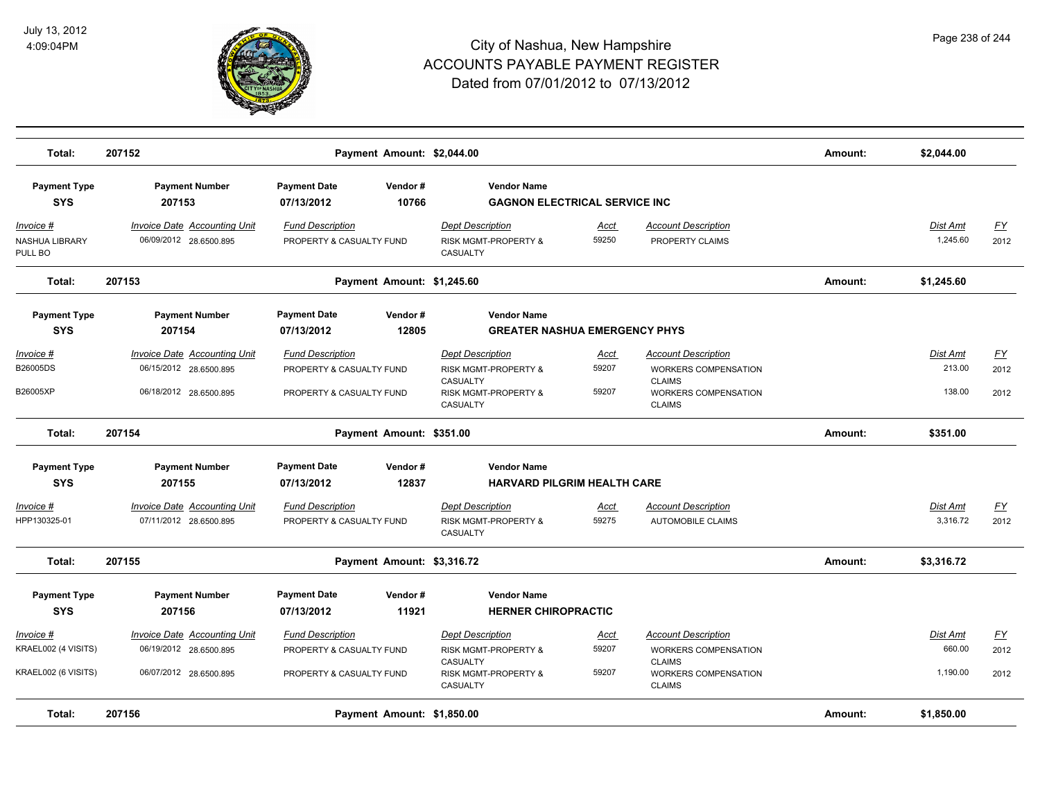

| Total:                                                         | 207152                                                                                  |                                                                                 | Payment Amount: \$2,044.00 |                                                                                                 |                                      |                                                                                                                            | Amount: | \$2,044.00                     |                                  |
|----------------------------------------------------------------|-----------------------------------------------------------------------------------------|---------------------------------------------------------------------------------|----------------------------|-------------------------------------------------------------------------------------------------|--------------------------------------|----------------------------------------------------------------------------------------------------------------------------|---------|--------------------------------|----------------------------------|
| <b>Payment Type</b><br><b>SYS</b>                              | <b>Payment Number</b><br>207153                                                         | <b>Payment Date</b><br>07/13/2012                                               | Vendor#<br>10766           | <b>Vendor Name</b>                                                                              | <b>GAGNON ELECTRICAL SERVICE INC</b> |                                                                                                                            |         |                                |                                  |
| <u> Invoice #</u><br>NASHUA LIBRARY<br>PULL BO                 | <b>Invoice Date Accounting Unit</b><br>06/09/2012 28.6500.895                           | <b>Fund Description</b><br>PROPERTY & CASUALTY FUND                             |                            | <b>Dept Description</b><br>RISK MGMT-PROPERTY &<br>CASUALTY                                     | <u>Acct</u><br>59250                 | <b>Account Description</b><br>PROPERTY CLAIMS                                                                              |         | Dist Amt<br>1,245.60           | <u>FY</u><br>2012                |
| Total:                                                         | 207153                                                                                  |                                                                                 | Payment Amount: \$1,245.60 |                                                                                                 |                                      |                                                                                                                            | Amount: | \$1,245.60                     |                                  |
| <b>Payment Type</b><br><b>SYS</b>                              | <b>Payment Number</b><br>207154                                                         | <b>Payment Date</b><br>07/13/2012                                               | Vendor#<br>12805           | <b>Vendor Name</b>                                                                              | <b>GREATER NASHUA EMERGENCY PHYS</b> |                                                                                                                            |         |                                |                                  |
| Invoice #<br>B26005DS<br>B26005XP                              | Invoice Date Accounting Unit<br>06/15/2012 28.6500.895<br>06/18/2012 28.6500.895        | <b>Fund Description</b><br>PROPERTY & CASUALTY FUND<br>PROPERTY & CASUALTY FUND |                            | <b>Dept Description</b><br>RISK MGMT-PROPERTY &<br>CASUALTY<br>RISK MGMT-PROPERTY &<br>CASUALTY | Acct<br>59207<br>59207               | <b>Account Description</b><br><b>WORKERS COMPENSATION</b><br><b>CLAIMS</b><br><b>WORKERS COMPENSATION</b><br><b>CLAIMS</b> |         | Dist Amt<br>213.00<br>138.00   | EY<br>2012<br>2012               |
| Total:                                                         | 207154                                                                                  |                                                                                 | Payment Amount: \$351.00   |                                                                                                 |                                      |                                                                                                                            | Amount: | \$351.00                       |                                  |
| <b>Payment Type</b><br><b>SYS</b>                              | <b>Payment Number</b><br>207155                                                         | <b>Payment Date</b><br>07/13/2012                                               | Vendor#<br>12837           | <b>Vendor Name</b>                                                                              | <b>HARVARD PILGRIM HEALTH CARE</b>   |                                                                                                                            |         |                                |                                  |
| Invoice #<br>HPP130325-01                                      | <b>Invoice Date Accounting Unit</b><br>07/11/2012 28.6500.895                           | <b>Fund Description</b><br>PROPERTY & CASUALTY FUND                             |                            | <b>Dept Description</b><br>RISK MGMT-PROPERTY &<br>CASUALTY                                     | <u>Acct</u><br>59275                 | <b>Account Description</b><br><b>AUTOMOBILE CLAIMS</b>                                                                     |         | Dist Amt<br>3,316.72           | <u>FY</u><br>2012                |
| Total:                                                         | 207155                                                                                  |                                                                                 | Payment Amount: \$3,316.72 |                                                                                                 |                                      |                                                                                                                            | Amount: | \$3,316.72                     |                                  |
| <b>Payment Type</b><br><b>SYS</b>                              | <b>Payment Number</b><br>207156                                                         | <b>Payment Date</b><br>07/13/2012                                               | Vendor#<br>11921           | <b>Vendor Name</b><br><b>HERNER CHIROPRACTIC</b>                                                |                                      |                                                                                                                            |         |                                |                                  |
| <u>Invoice #</u><br>KRAEL002 (4 VISITS)<br>KRAEL002 (6 VISITS) | <b>Invoice Date Accounting Unit</b><br>06/19/2012 28.6500.895<br>06/07/2012 28.6500.895 | <b>Fund Description</b><br>PROPERTY & CASUALTY FUND<br>PROPERTY & CASUALTY FUND |                            | <b>Dept Description</b><br>RISK MGMT-PROPERTY &<br><b>CASUALTY</b><br>RISK MGMT-PROPERTY &      | <u>Acct</u><br>59207<br>59207        | <b>Account Description</b><br><b>WORKERS COMPENSATION</b><br><b>CLAIMS</b><br><b>WORKERS COMPENSATION</b>                  |         | Dist Amt<br>660.00<br>1,190.00 | $\underline{FY}$<br>2012<br>2012 |
| Total:                                                         | 207156                                                                                  |                                                                                 | Payment Amount: \$1,850.00 | CASUALTY                                                                                        |                                      | <b>CLAIMS</b>                                                                                                              | Amount: | \$1,850.00                     |                                  |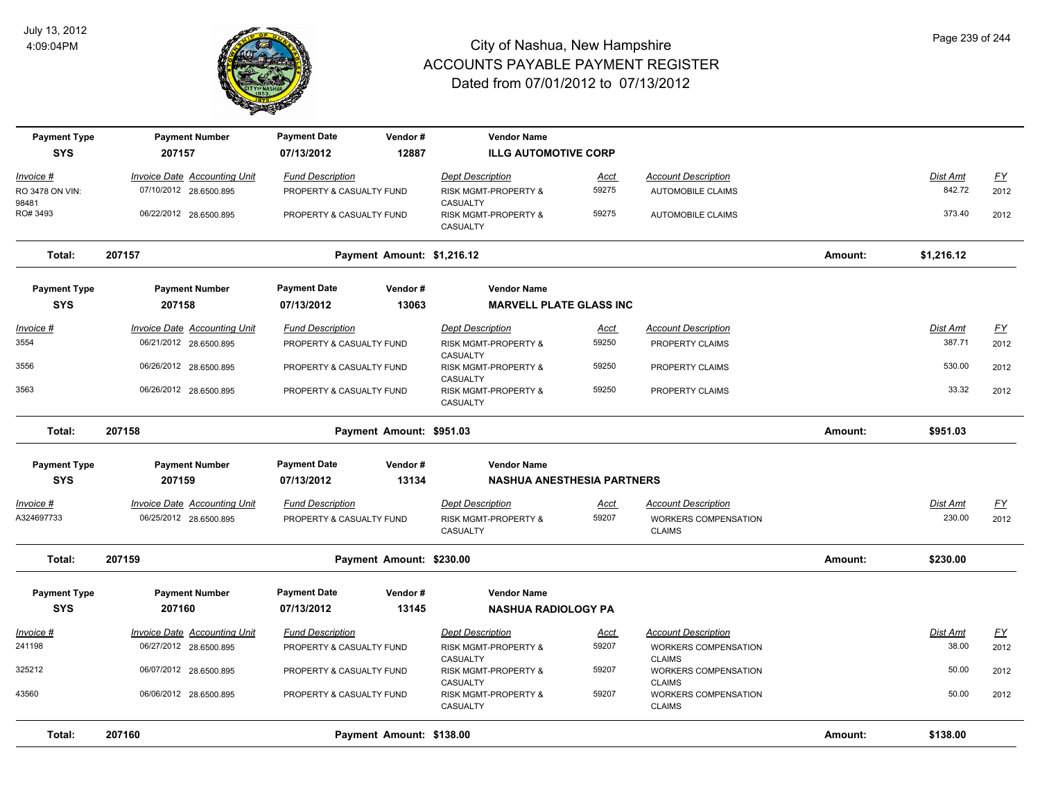

| <b>Payment Type</b> | <b>Payment Number</b>               | <b>Payment Date</b>      | Vendor#                    | <b>Vendor Name</b>                           |             |                                       |         |            |                           |
|---------------------|-------------------------------------|--------------------------|----------------------------|----------------------------------------------|-------------|---------------------------------------|---------|------------|---------------------------|
| <b>SYS</b>          | 207157                              | 07/13/2012               | 12887                      | <b>ILLG AUTOMOTIVE CORP</b>                  |             |                                       |         |            |                           |
| Invoice #           | <b>Invoice Date Accounting Unit</b> | <b>Fund Description</b>  |                            | <b>Dept Description</b>                      | <u>Acct</u> | <b>Account Description</b>            |         | Dist Amt   | <u>FY</u>                 |
| RO 3478 ON VIN:     | 07/10/2012 28.6500.895              | PROPERTY & CASUALTY FUND |                            | RISK MGMT-PROPERTY &                         | 59275       | <b>AUTOMOBILE CLAIMS</b>              |         | 842.72     | 2012                      |
| 98481               |                                     |                          |                            | CASUALTY                                     |             |                                       |         |            |                           |
| RO# 3493            | 06/22/2012 28.6500.895              | PROPERTY & CASUALTY FUND |                            | <b>RISK MGMT-PROPERTY &amp;</b><br>CASUALTY  | 59275       | <b>AUTOMOBILE CLAIMS</b>              |         | 373.40     | 2012                      |
| Total:              | 207157                              |                          | Payment Amount: \$1,216.12 |                                              |             |                                       | Amount: | \$1,216.12 |                           |
| <b>Payment Type</b> | <b>Payment Number</b>               | <b>Payment Date</b>      | Vendor#                    | <b>Vendor Name</b>                           |             |                                       |         |            |                           |
| <b>SYS</b>          | 207158                              | 07/13/2012               | 13063                      | <b>MARVELL PLATE GLASS INC</b>               |             |                                       |         |            |                           |
| Invoice #           | <b>Invoice Date Accounting Unit</b> | <b>Fund Description</b>  |                            | <b>Dept Description</b>                      | <u>Acct</u> | <b>Account Description</b>            |         | Dist Amt   | $\underline{\mathsf{FY}}$ |
| 3554                | 06/21/2012 28.6500.895              | PROPERTY & CASUALTY FUND |                            | <b>RISK MGMT-PROPERTY &amp;</b>              | 59250       | PROPERTY CLAIMS                       |         | 387.71     | 2012                      |
| 3556                | 06/26/2012 28.6500.895              | PROPERTY & CASUALTY FUND |                            | CASUALTY<br>RISK MGMT-PROPERTY &             | 59250       | PROPERTY CLAIMS                       |         | 530.00     | 2012                      |
| 3563                | 06/26/2012 28.6500.895              | PROPERTY & CASUALTY FUND |                            | CASUALTY<br>RISK MGMT-PROPERTY &<br>CASUALTY | 59250       | PROPERTY CLAIMS                       |         | 33.32      | 2012                      |
| Total:              | 207158                              |                          | Payment Amount: \$951.03   |                                              |             |                                       | Amount: | \$951.03   |                           |
|                     |                                     |                          |                            |                                              |             |                                       |         |            |                           |
| <b>Payment Type</b> | <b>Payment Number</b>               | <b>Payment Date</b>      | Vendor#                    | <b>Vendor Name</b>                           |             |                                       |         |            |                           |
| <b>SYS</b>          | 207159                              | 07/13/2012               | 13134                      | <b>NASHUA ANESTHESIA PARTNERS</b>            |             |                                       |         |            |                           |
| Invoice #           | <b>Invoice Date Accounting Unit</b> | <b>Fund Description</b>  |                            | <b>Dept Description</b>                      | <u>Acct</u> | <b>Account Description</b>            |         | Dist Amt   | <u>FY</u>                 |
| A324697733          | 06/25/2012 28.6500.895              | PROPERTY & CASUALTY FUND |                            | RISK MGMT-PROPERTY &                         | 59207       | WORKERS COMPENSATION                  |         | 230.00     | 2012                      |
|                     |                                     |                          |                            | CASUALTY                                     |             | <b>CLAIMS</b>                         |         |            |                           |
| Total:              | 207159                              |                          | Payment Amount: \$230.00   |                                              |             |                                       | Amount: | \$230.00   |                           |
| <b>Payment Type</b> | <b>Payment Number</b>               | <b>Payment Date</b>      | Vendor#                    | <b>Vendor Name</b>                           |             |                                       |         |            |                           |
| <b>SYS</b>          | 207160                              | 07/13/2012               | 13145                      | <b>NASHUA RADIOLOGY PA</b>                   |             |                                       |         |            |                           |
| Invoice #           | Invoice Date Accounting Unit        | <b>Fund Description</b>  |                            | <b>Dept Description</b>                      | <b>Acct</b> | <b>Account Description</b>            |         | Dist Amt   | $\underline{FY}$          |
| 241198              | 06/27/2012 28.6500.895              | PROPERTY & CASUALTY FUND |                            | RISK MGMT-PROPERTY &                         | 59207       | WORKERS COMPENSATION                  |         | 38.00      | 2012                      |
|                     |                                     |                          |                            | CASUALTY                                     |             | <b>CLAIMS</b>                         |         |            |                           |
| 325212              | 06/07/2012 28.6500.895              | PROPERTY & CASUALTY FUND |                            | RISK MGMT-PROPERTY &                         | 59207       | WORKERS COMPENSATION                  |         | 50.00      | 2012                      |
| 43560               | 06/06/2012 28.6500.895              | PROPERTY & CASUALTY FUND |                            | <b>CASUALTY</b><br>RISK MGMT-PROPERTY &      | 59207       | <b>CLAIMS</b><br>WORKERS COMPENSATION |         | 50.00      | 2012                      |
|                     |                                     |                          |                            | <b>CASUALTY</b>                              |             | <b>CLAIMS</b>                         |         |            |                           |
| Total:              | 207160                              |                          | Payment Amount: \$138.00   |                                              |             |                                       | Amount: | \$138.00   |                           |
|                     |                                     |                          |                            |                                              |             |                                       |         |            |                           |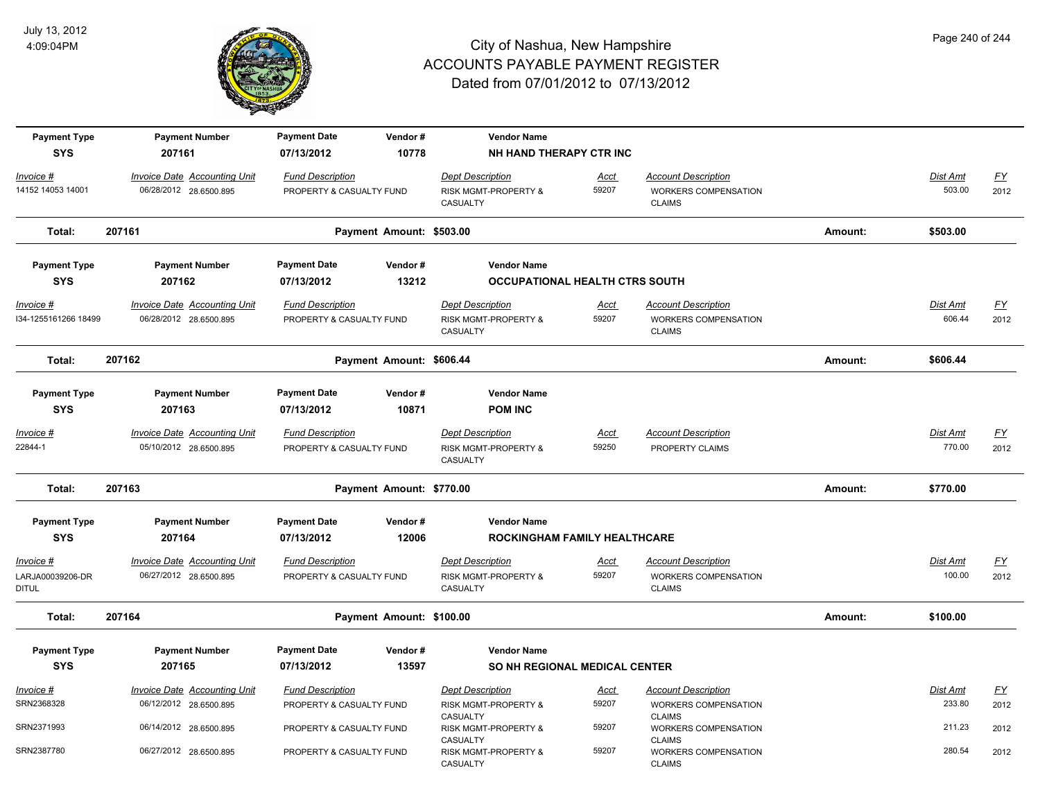

| <b>Payment Type</b><br><b>SYS</b>             | <b>Payment Number</b><br>207161                               | <b>Payment Date</b><br>07/13/2012                   | Vendor#<br>10778         | <b>Vendor Name</b><br>NH HAND THERAPY CTR INC                          |                      |                                                                            |         |                           |                          |
|-----------------------------------------------|---------------------------------------------------------------|-----------------------------------------------------|--------------------------|------------------------------------------------------------------------|----------------------|----------------------------------------------------------------------------|---------|---------------------------|--------------------------|
| Invoice #<br>14152 14053 14001                | <b>Invoice Date Accounting Unit</b><br>06/28/2012 28.6500.895 | <b>Fund Description</b><br>PROPERTY & CASUALTY FUND |                          | <b>Dept Description</b><br><b>RISK MGMT-PROPERTY &amp;</b><br>CASUALTY | Acct<br>59207        | <b>Account Description</b><br><b>WORKERS COMPENSATION</b><br><b>CLAIMS</b> |         | Dist Amt<br>503.00        | $\underline{FY}$<br>2012 |
| Total:                                        | 207161                                                        |                                                     | Payment Amount: \$503.00 |                                                                        |                      |                                                                            | Amount: | \$503.00                  |                          |
| <b>Payment Type</b><br><b>SYS</b>             | <b>Payment Number</b><br>207162                               | <b>Payment Date</b><br>07/13/2012                   | Vendor#<br>13212         | <b>Vendor Name</b><br><b>OCCUPATIONAL HEALTH CTRS SOUTH</b>            |                      |                                                                            |         |                           |                          |
| $Invoice$ #<br>I34-1255161266 18499           | <b>Invoice Date Accounting Unit</b><br>06/28/2012 28.6500.895 | <b>Fund Description</b><br>PROPERTY & CASUALTY FUND |                          | <b>Dept Description</b><br>RISK MGMT-PROPERTY &<br>CASUALTY            | Acct<br>59207        | <b>Account Description</b><br>WORKERS COMPENSATION<br><b>CLAIMS</b>        |         | <b>Dist Amt</b><br>606.44 | EY<br>2012               |
| Total:                                        | 207162                                                        |                                                     | Payment Amount: \$606.44 |                                                                        |                      |                                                                            | Amount: | \$606.44                  |                          |
| <b>Payment Type</b><br><b>SYS</b>             | <b>Payment Number</b><br>207163                               | <b>Payment Date</b><br>07/13/2012                   | Vendor#<br>10871         | <b>Vendor Name</b><br><b>POM INC</b>                                   |                      |                                                                            |         |                           |                          |
| Invoice #<br>22844-1                          | <b>Invoice Date Accounting Unit</b><br>05/10/2012 28.6500.895 | <b>Fund Description</b><br>PROPERTY & CASUALTY FUND |                          | <b>Dept Description</b><br>RISK MGMT-PROPERTY &<br>CASUALTY            | <b>Acct</b><br>59250 | <b>Account Description</b><br>PROPERTY CLAIMS                              |         | Dist Amt<br>770.00        | $\underline{FY}$<br>2012 |
| Total:                                        | 207163                                                        |                                                     | Payment Amount: \$770.00 |                                                                        |                      |                                                                            | Amount: | \$770.00                  |                          |
| <b>Payment Type</b><br><b>SYS</b>             | <b>Payment Number</b><br>207164                               | <b>Payment Date</b><br>07/13/2012                   | Vendor#<br>12006         | <b>Vendor Name</b><br>ROCKINGHAM FAMILY HEALTHCARE                     |                      |                                                                            |         |                           |                          |
| Invoice #<br>LARJA00039206-DR<br><b>DITUL</b> | <b>Invoice Date Accounting Unit</b><br>06/27/2012 28.6500.895 | <b>Fund Description</b><br>PROPERTY & CASUALTY FUND |                          | <b>Dept Description</b><br><b>RISK MGMT-PROPERTY &amp;</b><br>CASUALTY | <u>Acct</u><br>59207 | <b>Account Description</b><br>WORKERS COMPENSATION<br><b>CLAIMS</b>        |         | Dist Amt<br>100.00        | EY<br>2012               |
| Total:                                        | 207164                                                        |                                                     | Payment Amount: \$100.00 |                                                                        |                      |                                                                            | Amount: | \$100.00                  |                          |
| <b>Payment Type</b><br><b>SYS</b>             | <b>Payment Number</b><br>207165                               | <b>Payment Date</b><br>07/13/2012                   | Vendor#<br>13597         | <b>Vendor Name</b><br><b>SO NH REGIONAL MEDICAL CENTER</b>             |                      |                                                                            |         |                           |                          |
| Invoice #<br>SRN2368328                       | <b>Invoice Date Accounting Unit</b><br>06/12/2012 28.6500.895 | <b>Fund Description</b><br>PROPERTY & CASUALTY FUND |                          | <b>Dept Description</b><br><b>RISK MGMT-PROPERTY &amp;</b>             | <u>Acct</u><br>59207 | <b>Account Description</b><br>WORKERS COMPENSATION                         |         | Dist Amt<br>233.80        | EY<br>2012               |
| SRN2371993                                    | 06/14/2012 28.6500.895                                        | PROPERTY & CASUALTY FUND                            |                          | CASUALTY<br>RISK MGMT-PROPERTY &<br>CASUALTY                           | 59207                | <b>CLAIMS</b><br>WORKERS COMPENSATION<br><b>CLAIMS</b>                     |         | 211.23                    | 2012                     |
| SRN2387780                                    | 06/27/2012 28.6500.895                                        | PROPERTY & CASUALTY FUND                            |                          | RISK MGMT-PROPERTY &<br>CASUALTY                                       | 59207                | WORKERS COMPENSATION<br><b>CLAIMS</b>                                      |         | 280.54                    | 2012                     |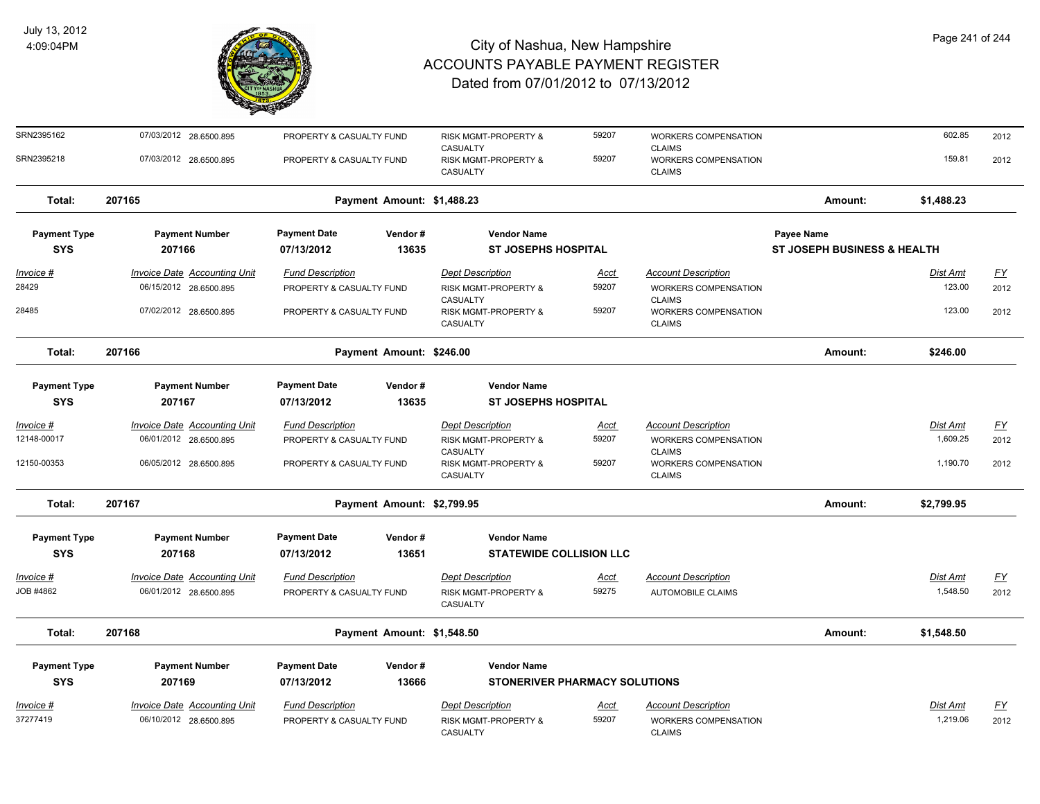

| SRN2395162          | 07/03/2012 28.6500.895              | PROPERTY & CASUALTY FUND   |                            | RISK MGMT-PROPERTY &                         | 59207                                | <b>WORKERS COMPENSATION</b>                                   |                             | 602.85          | 2012             |
|---------------------|-------------------------------------|----------------------------|----------------------------|----------------------------------------------|--------------------------------------|---------------------------------------------------------------|-----------------------------|-----------------|------------------|
| SRN2395218          | 07/03/2012 28.6500.895              | PROPERTY & CASUALTY FUND   |                            | CASUALTY<br>RISK MGMT-PROPERTY &<br>CASUALTY | 59207                                | <b>CLAIMS</b><br>WORKERS COMPENSATION<br><b>CLAIMS</b>        |                             | 159.81          | 2012             |
| Total:              | 207165                              | Payment Amount: \$1,488.23 |                            |                                              | Amount:                              | \$1,488.23                                                    |                             |                 |                  |
| <b>Payment Type</b> | <b>Payment Number</b>               | <b>Payment Date</b>        | Vendor#                    | <b>Vendor Name</b>                           |                                      |                                                               | <b>Payee Name</b>           |                 |                  |
| <b>SYS</b>          | 207166                              | 07/13/2012                 | 13635                      | <b>ST JOSEPHS HOSPITAL</b>                   |                                      |                                                               | ST JOSEPH BUSINESS & HEALTH |                 |                  |
| <u> Invoice #</u>   | <b>Invoice Date Accounting Unit</b> | <b>Fund Description</b>    |                            | <b>Dept Description</b>                      | <u>Acct</u>                          | <b>Account Description</b>                                    |                             | <u>Dist Amt</u> | <u>FY</u>        |
| 28429               | 06/15/2012 28.6500.895              | PROPERTY & CASUALTY FUND   |                            | RISK MGMT-PROPERTY &                         | 59207                                | <b>WORKERS COMPENSATION</b>                                   |                             | 123.00          | 2012             |
| 28485               | 07/02/2012 28.6500.895              | PROPERTY & CASUALTY FUND   |                            | CASUALTY<br>RISK MGMT-PROPERTY &<br>CASUALTY | 59207                                | <b>CLAIMS</b><br><b>WORKERS COMPENSATION</b><br><b>CLAIMS</b> |                             | 123.00          | 2012             |
| Total:              | 207166                              | Payment Amount: \$246.00   |                            |                                              | Amount:                              | \$246.00                                                      |                             |                 |                  |
| <b>Payment Type</b> | <b>Payment Number</b>               | <b>Payment Date</b>        | Vendor#                    | <b>Vendor Name</b>                           |                                      |                                                               |                             |                 |                  |
| <b>SYS</b>          | 207167                              | 07/13/2012                 | 13635                      | <b>ST JOSEPHS HOSPITAL</b>                   |                                      |                                                               |                             |                 |                  |
| Invoice #           | <b>Invoice Date Accounting Unit</b> | <b>Fund Description</b>    |                            | <b>Dept Description</b>                      | <b>Acct</b>                          | <b>Account Description</b>                                    |                             | Dist Amt        | $FY$             |
| 12148-00017         | 06/01/2012 28.6500.895              | PROPERTY & CASUALTY FUND   |                            | RISK MGMT-PROPERTY &<br>CASUALTY             | 59207                                | WORKERS COMPENSATION<br><b>CLAIMS</b>                         |                             | 1,609.25        | 2012             |
| 12150-00353         | 06/05/2012 28.6500.895              | PROPERTY & CASUALTY FUND   |                            | RISK MGMT-PROPERTY &<br>CASUALTY             | 59207                                | WORKERS COMPENSATION<br><b>CLAIMS</b>                         |                             | 1,190.70        | 2012             |
| Total:              | 207167                              |                            | Payment Amount: \$2,799.95 |                                              |                                      |                                                               | Amount:                     | \$2,799.95      |                  |
| <b>Payment Type</b> | <b>Payment Number</b>               | <b>Payment Date</b>        | Vendor#                    | <b>Vendor Name</b>                           |                                      |                                                               |                             |                 |                  |
| <b>SYS</b>          | 207168                              | 07/13/2012                 | 13651                      | <b>STATEWIDE COLLISION LLC</b>               |                                      |                                                               |                             |                 |                  |
| <u>Invoice #</u>    | <b>Invoice Date Accounting Unit</b> | <b>Fund Description</b>    |                            | <b>Dept Description</b>                      | <u>Acct</u>                          | <b>Account Description</b>                                    |                             | Dist Amt        | EY               |
| JOB #4862           | 06/01/2012 28.6500.895              | PROPERTY & CASUALTY FUND   |                            | RISK MGMT-PROPERTY &<br>CASUALTY             | 59275                                | <b>AUTOMOBILE CLAIMS</b>                                      |                             | 1,548.50        | 2012             |
| Total:              | 207168                              |                            | Payment Amount: \$1,548.50 |                                              |                                      |                                                               | Amount:                     | \$1,548.50      |                  |
| <b>Payment Type</b> | <b>Payment Number</b>               | <b>Payment Date</b>        | Vendor#                    | <b>Vendor Name</b>                           |                                      |                                                               |                             |                 |                  |
| <b>SYS</b>          | 207169                              | 07/13/2012                 | 13666                      |                                              | <b>STONERIVER PHARMACY SOLUTIONS</b> |                                                               |                             |                 |                  |
| <u> Invoice #</u>   | <b>Invoice Date Accounting Unit</b> | <b>Fund Description</b>    |                            | <b>Dept Description</b>                      | <u>Acct</u>                          | <b>Account Description</b>                                    |                             | Dist Amt        | $\underline{FY}$ |
| 37277419            | 06/10/2012 28.6500.895              | PROPERTY & CASUALTY FUND   |                            | RISK MGMT-PROPERTY &<br>CASUALTY             | 59207                                | <b>WORKERS COMPENSATION</b><br><b>CLAIMS</b>                  |                             | 1,219.06        | 2012             |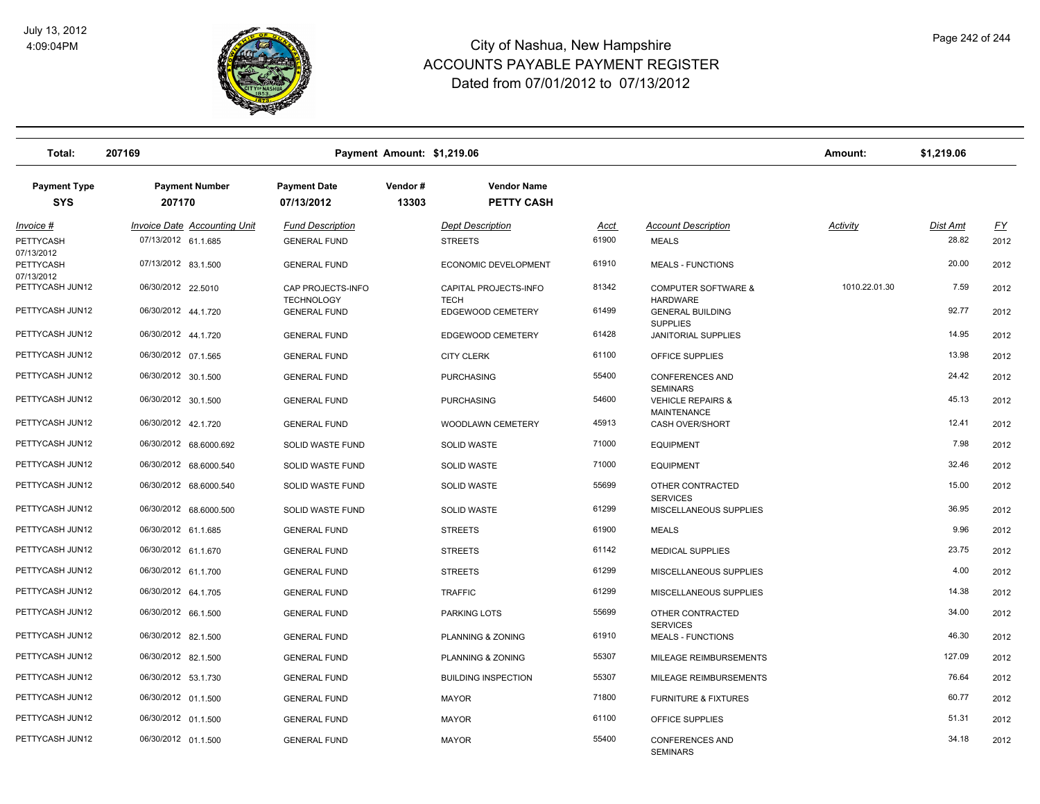

| Total:                            | 207169                                                     | Payment Amount: \$1,219.06                     |                  |                                           |                      |                                                               | Amount:         | \$1,219.06               |                   |
|-----------------------------------|------------------------------------------------------------|------------------------------------------------|------------------|-------------------------------------------|----------------------|---------------------------------------------------------------|-----------------|--------------------------|-------------------|
| <b>Payment Type</b><br><b>SYS</b> | <b>Payment Number</b><br>207170                            | <b>Payment Date</b><br>07/13/2012              | Vendor#<br>13303 | <b>Vendor Name</b><br>PETTY CASH          |                      |                                                               |                 |                          |                   |
| <u>Invoice #</u><br>PETTYCASH     | <b>Invoice Date Accounting Unit</b><br>07/13/2012 61.1.685 | <b>Fund Description</b><br><b>GENERAL FUND</b> |                  | <b>Dept Description</b><br><b>STREETS</b> | <u>Acct</u><br>61900 | <b>Account Description</b><br><b>MEALS</b>                    | <b>Activity</b> | <b>Dist Amt</b><br>28.82 | <u>FY</u><br>2012 |
| 07/13/2012<br>PETTYCASH           | 07/13/2012 83.1.500                                        | <b>GENERAL FUND</b>                            |                  | ECONOMIC DEVELOPMENT                      | 61910                | <b>MEALS - FUNCTIONS</b>                                      |                 | 20.00                    | 2012              |
| 07/13/2012<br>PETTYCASH JUN12     | 06/30/2012 22.5010                                         | CAP PROJECTS-INFO                              |                  | CAPITAL PROJECTS-INFO                     | 81342                | <b>COMPUTER SOFTWARE &amp;</b>                                | 1010.22.01.30   | 7.59                     | 2012              |
| PETTYCASH JUN12                   | 06/30/2012 44.1.720                                        | <b>TECHNOLOGY</b><br><b>GENERAL FUND</b>       |                  | <b>TECH</b><br>EDGEWOOD CEMETERY          | 61499                | <b>HARDWARE</b><br><b>GENERAL BUILDING</b><br><b>SUPPLIES</b> |                 | 92.77                    | 2012              |
| PETTYCASH JUN12                   | 06/30/2012 44.1.720                                        | <b>GENERAL FUND</b>                            |                  | EDGEWOOD CEMETERY                         | 61428                | <b>JANITORIAL SUPPLIES</b>                                    |                 | 14.95                    | 2012              |
| PETTYCASH JUN12                   | 06/30/2012 07.1.565                                        | <b>GENERAL FUND</b>                            |                  | <b>CITY CLERK</b>                         | 61100                | OFFICE SUPPLIES                                               |                 | 13.98                    | 2012              |
| PETTYCASH JUN12                   | 06/30/2012 30.1.500                                        | <b>GENERAL FUND</b>                            |                  | <b>PURCHASING</b>                         | 55400                | <b>CONFERENCES AND</b><br><b>SEMINARS</b>                     |                 | 24.42                    | 2012              |
| PETTYCASH JUN12                   | 06/30/2012 30.1.500                                        | <b>GENERAL FUND</b>                            |                  | <b>PURCHASING</b>                         | 54600                | <b>VEHICLE REPAIRS &amp;</b><br><b>MAINTENANCE</b>            |                 | 45.13                    | 2012              |
| PETTYCASH JUN12                   | 06/30/2012 42.1.720                                        | <b>GENERAL FUND</b>                            |                  | WOODLAWN CEMETERY                         | 45913                | CASH OVER/SHORT                                               |                 | 12.41                    | 2012              |
| PETTYCASH JUN12                   | 06/30/2012 68.6000.692                                     | SOLID WASTE FUND                               |                  | <b>SOLID WASTE</b>                        | 71000                | <b>EQUIPMENT</b>                                              |                 | 7.98                     | 2012              |
| PETTYCASH JUN12                   | 06/30/2012 68.6000.540                                     | SOLID WASTE FUND                               |                  | <b>SOLID WASTE</b>                        | 71000                | <b>EQUIPMENT</b>                                              |                 | 32.46                    | 2012              |
| PETTYCASH JUN12                   | 06/30/2012 68.6000.540                                     | SOLID WASTE FUND                               |                  | <b>SOLID WASTE</b>                        | 55699                | OTHER CONTRACTED<br><b>SERVICES</b>                           |                 | 15.00                    | 2012              |
| PETTYCASH JUN12                   | 06/30/2012 68.6000.500                                     | SOLID WASTE FUND                               |                  | <b>SOLID WASTE</b>                        | 61299                | MISCELLANEOUS SUPPLIES                                        |                 | 36.95                    | 2012              |
| PETTYCASH JUN12                   | 06/30/2012 61.1.685                                        | <b>GENERAL FUND</b>                            |                  | <b>STREETS</b>                            | 61900                | <b>MEALS</b>                                                  |                 | 9.96                     | 2012              |
| PETTYCASH JUN12                   | 06/30/2012 61.1.670                                        | <b>GENERAL FUND</b>                            |                  | <b>STREETS</b>                            | 61142                | <b>MEDICAL SUPPLIES</b>                                       |                 | 23.75                    | 2012              |
| PETTYCASH JUN12                   | 06/30/2012 61.1.700                                        | <b>GENERAL FUND</b>                            |                  | <b>STREETS</b>                            | 61299                | MISCELLANEOUS SUPPLIES                                        |                 | 4.00                     | 2012              |
| PETTYCASH JUN12                   | 06/30/2012 64.1.705                                        | <b>GENERAL FUND</b>                            |                  | <b>TRAFFIC</b>                            | 61299                | MISCELLANEOUS SUPPLIES                                        |                 | 14.38                    | 2012              |
| PETTYCASH JUN12                   | 06/30/2012 66.1.500                                        | <b>GENERAL FUND</b>                            |                  | PARKING LOTS                              | 55699                | OTHER CONTRACTED<br><b>SERVICES</b>                           |                 | 34.00                    | 2012              |
| PETTYCASH JUN12                   | 06/30/2012 82.1.500                                        | <b>GENERAL FUND</b>                            |                  | <b>PLANNING &amp; ZONING</b>              | 61910                | <b>MEALS - FUNCTIONS</b>                                      |                 | 46.30                    | 2012              |
| PETTYCASH JUN12                   | 06/30/2012 82.1.500                                        | <b>GENERAL FUND</b>                            |                  | PLANNING & ZONING                         | 55307                | MILEAGE REIMBURSEMENTS                                        |                 | 127.09                   | 2012              |
| PETTYCASH JUN12                   | 06/30/2012 53.1.730                                        | <b>GENERAL FUND</b>                            |                  | <b>BUILDING INSPECTION</b>                | 55307                | MILEAGE REIMBURSEMENTS                                        |                 | 76.64                    | 2012              |
| PETTYCASH JUN12                   | 06/30/2012 01.1.500                                        | <b>GENERAL FUND</b>                            |                  | <b>MAYOR</b>                              | 71800                | <b>FURNITURE &amp; FIXTURES</b>                               |                 | 60.77                    | 2012              |
| PETTYCASH JUN12                   | 06/30/2012 01.1.500                                        | <b>GENERAL FUND</b>                            |                  | <b>MAYOR</b>                              | 61100                | OFFICE SUPPLIES                                               |                 | 51.31                    | 2012              |
| PETTYCASH JUN12                   | 06/30/2012 01.1.500                                        | <b>GENERAL FUND</b>                            |                  | <b>MAYOR</b>                              | 55400                | <b>CONFERENCES AND</b><br><b>SEMINARS</b>                     |                 | 34.18                    | 2012              |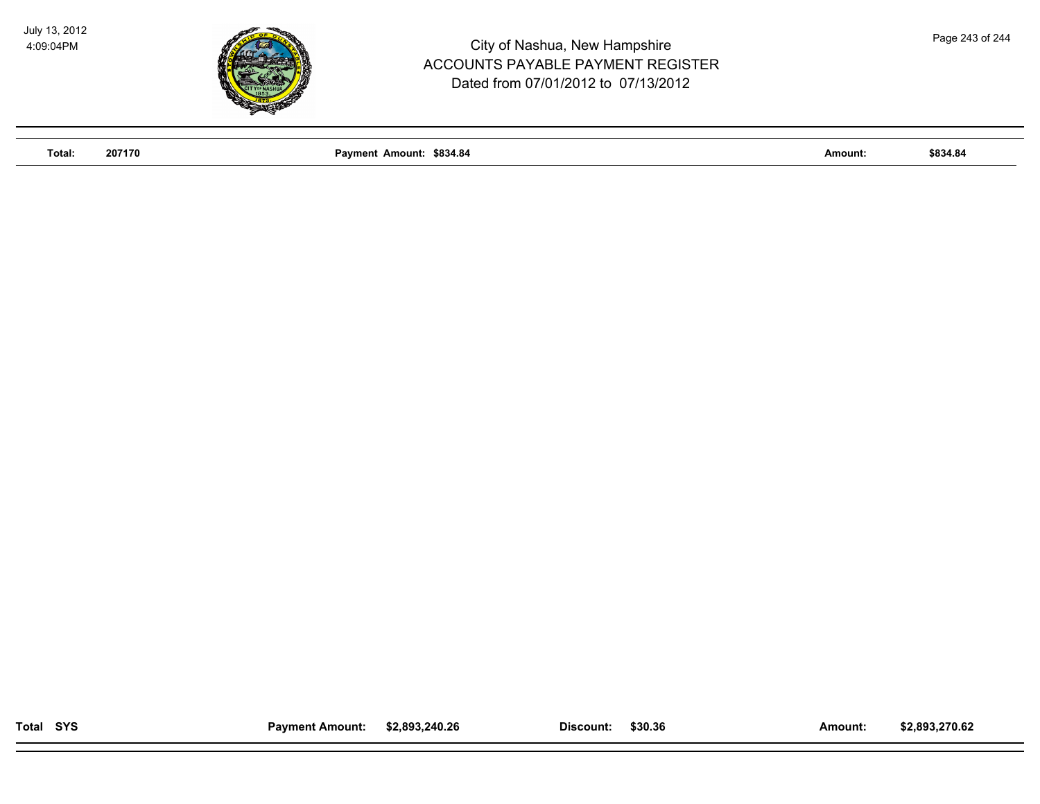

**Total: 207170 Payment Amount: \$834.84 Amount: \$834.84**